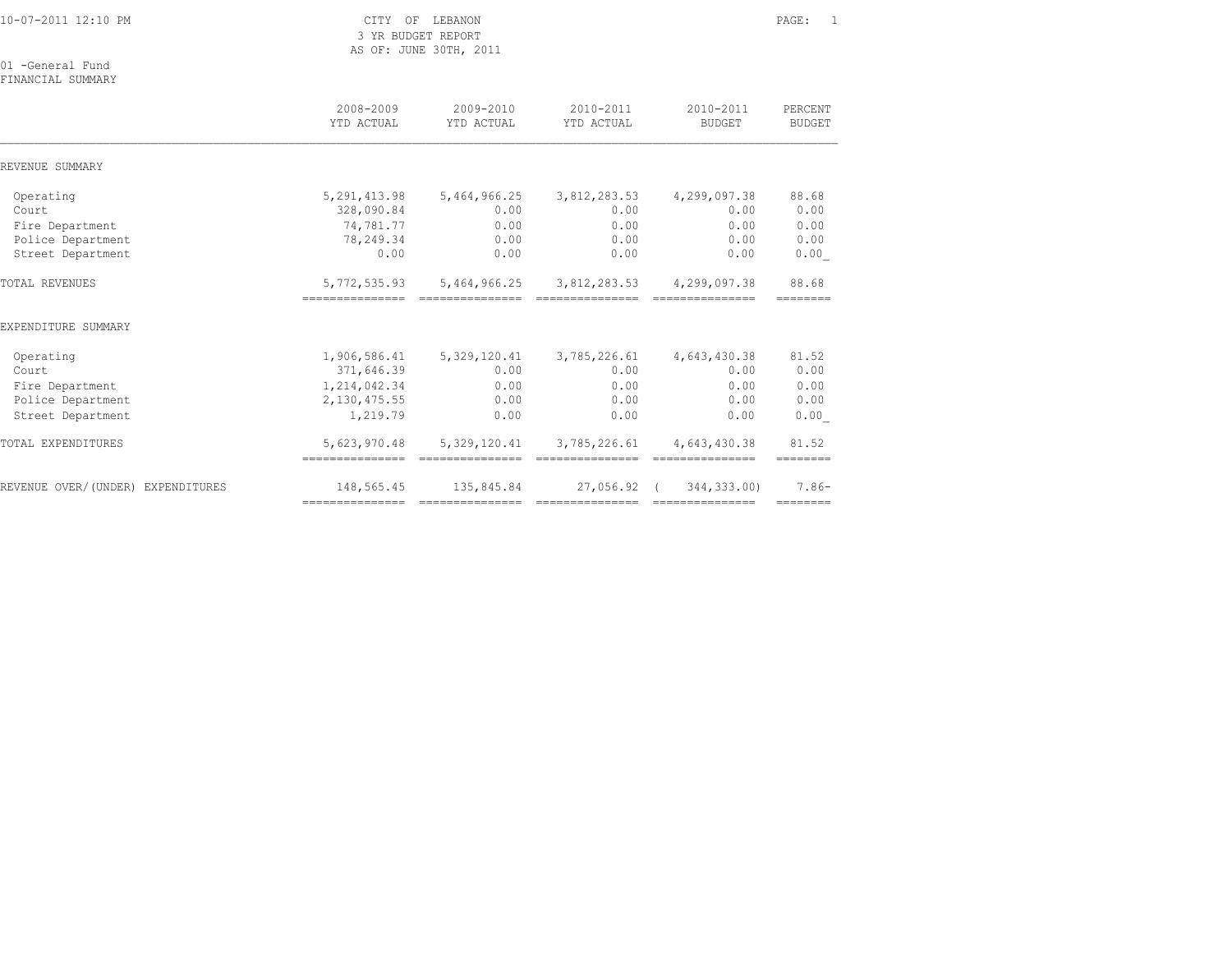| 10-07-2011 12:10 PM                   | CITY OF LEBANON<br>3 YR BUDGET REPORT<br>AS OF: JUNE 30TH, 2011 |                                                                                                                                                                                                                                                                                                                                                                                                                                                                                                |                                                                                                                                                                                                                                                                                                                                                                                                                                                                                                       |                                 | PAGE:<br>$\overline{1}$   |
|---------------------------------------|-----------------------------------------------------------------|------------------------------------------------------------------------------------------------------------------------------------------------------------------------------------------------------------------------------------------------------------------------------------------------------------------------------------------------------------------------------------------------------------------------------------------------------------------------------------------------|-------------------------------------------------------------------------------------------------------------------------------------------------------------------------------------------------------------------------------------------------------------------------------------------------------------------------------------------------------------------------------------------------------------------------------------------------------------------------------------------------------|---------------------------------|---------------------------|
| 01 -General Fund<br>FINANCIAL SUMMARY |                                                                 |                                                                                                                                                                                                                                                                                                                                                                                                                                                                                                |                                                                                                                                                                                                                                                                                                                                                                                                                                                                                                       |                                 |                           |
|                                       | 2008-2009<br>YTD ACTUAL                                         | 2009-2010<br>YTD ACTUAL                                                                                                                                                                                                                                                                                                                                                                                                                                                                        | 2010-2011<br>YTD ACTUAL                                                                                                                                                                                                                                                                                                                                                                                                                                                                               | 2010-2011<br><b>BUDGET</b>      | PERCENT<br><b>BUDGET</b>  |
| REVENUE SUMMARY                       |                                                                 |                                                                                                                                                                                                                                                                                                                                                                                                                                                                                                |                                                                                                                                                                                                                                                                                                                                                                                                                                                                                                       |                                 |                           |
| Operating<br>Court                    | 5, 291, 413.98<br>328,090.84                                    | 5,464,966.25<br>0.00                                                                                                                                                                                                                                                                                                                                                                                                                                                                           | 3,812,283.53<br>0.00                                                                                                                                                                                                                                                                                                                                                                                                                                                                                  | 4,299,097.38<br>0.00            | 88.68<br>0.00             |
| Fire Department                       | 74,781.77                                                       | 0.00                                                                                                                                                                                                                                                                                                                                                                                                                                                                                           | 0.00                                                                                                                                                                                                                                                                                                                                                                                                                                                                                                  | 0.00                            | 0.00                      |
| Police Department                     | 78,249.34                                                       | 0.00                                                                                                                                                                                                                                                                                                                                                                                                                                                                                           | 0.00                                                                                                                                                                                                                                                                                                                                                                                                                                                                                                  | 0.00                            | 0.00                      |
| Street Department                     | 0.00                                                            | 0.00                                                                                                                                                                                                                                                                                                                                                                                                                                                                                           | 0.00                                                                                                                                                                                                                                                                                                                                                                                                                                                                                                  | 0.00                            | 0.00                      |
| TOTAL REVENUES                        | 5,772,535.93<br>----------------                                | 5,464,966.25                                                                                                                                                                                                                                                                                                                                                                                                                                                                                   | 3,812,283.53                                                                                                                                                                                                                                                                                                                                                                                                                                                                                          | 4,299,097.38                    | 88.68<br>========         |
| EXPENDITURE SUMMARY                   |                                                                 |                                                                                                                                                                                                                                                                                                                                                                                                                                                                                                |                                                                                                                                                                                                                                                                                                                                                                                                                                                                                                       |                                 |                           |
| Operating                             | 1,906,586.41                                                    | 5, 329, 120.41                                                                                                                                                                                                                                                                                                                                                                                                                                                                                 | 3,785,226.61                                                                                                                                                                                                                                                                                                                                                                                                                                                                                          | 4,643,430.38                    | 81.52                     |
| Court                                 | 371,646.39                                                      | 0.00                                                                                                                                                                                                                                                                                                                                                                                                                                                                                           | 0.00                                                                                                                                                                                                                                                                                                                                                                                                                                                                                                  | 0.00                            | 0.00                      |
| Fire Department                       | 1, 214, 042.34                                                  | 0.00                                                                                                                                                                                                                                                                                                                                                                                                                                                                                           | 0.00                                                                                                                                                                                                                                                                                                                                                                                                                                                                                                  | 0.00                            | 0.00                      |
| Police Department                     | 2, 130, 475.55                                                  | 0.00                                                                                                                                                                                                                                                                                                                                                                                                                                                                                           | 0.00                                                                                                                                                                                                                                                                                                                                                                                                                                                                                                  | 0.00                            | 0.00                      |
| Street Department                     | 1,219.79                                                        | 0.00                                                                                                                                                                                                                                                                                                                                                                                                                                                                                           | 0.00                                                                                                                                                                                                                                                                                                                                                                                                                                                                                                  | 0.00                            | 0.00                      |
| TOTAL EXPENDITURES                    | 5,623,970.48<br>----------------                                | 5,329,120.41<br>$\begin{array}{cccccccccc} \multicolumn{2}{c}{{\color{red}z}} & \multicolumn{2}{c}{{\color{red}z}} & \multicolumn{2}{c}{{\color{red}z}} & \multicolumn{2}{c}{{\color{red}z}} & \multicolumn{2}{c}{{\color{red}z}} & \multicolumn{2}{c}{{\color{red}z}} & \multicolumn{2}{c}{{\color{red}z}} & \multicolumn{2}{c}{{\color{red}z}} & \multicolumn{2}{c}{{\color{red}z}} & \multicolumn{2}{c}{{\color{red}z}} & \multicolumn{2}{c}{{\color{red}z}} & \multicolumn{2}{c}{{\color{$ | 3,785,226.61<br>===============                                                                                                                                                                                                                                                                                                                                                                                                                                                                       | 4,643,430.38<br>=============== | 81.52<br>========         |
| REVENUE OVER/(UNDER) EXPENDITURES     | 148,565.45<br>------------                                      | 135,845.84                                                                                                                                                                                                                                                                                                                                                                                                                                                                                     | 27,056.92 (<br>$\begin{array}{cccccccccc} \multicolumn{2}{c}{} & \multicolumn{2}{c}{} & \multicolumn{2}{c}{} & \multicolumn{2}{c}{} & \multicolumn{2}{c}{} & \multicolumn{2}{c}{} & \multicolumn{2}{c}{} & \multicolumn{2}{c}{} & \multicolumn{2}{c}{} & \multicolumn{2}{c}{} & \multicolumn{2}{c}{} & \multicolumn{2}{c}{} & \multicolumn{2}{c}{} & \multicolumn{2}{c}{} & \multicolumn{2}{c}{} & \multicolumn{2}{c}{} & \multicolumn{2}{c}{} & \multicolumn{2}{c}{} & \multicolumn{2}{c}{} & \mult$ | 344,333.00)<br>===============  | $7.86-$<br><b>EEEEEEE</b> |
|                                       |                                                                 |                                                                                                                                                                                                                                                                                                                                                                                                                                                                                                |                                                                                                                                                                                                                                                                                                                                                                                                                                                                                                       |                                 |                           |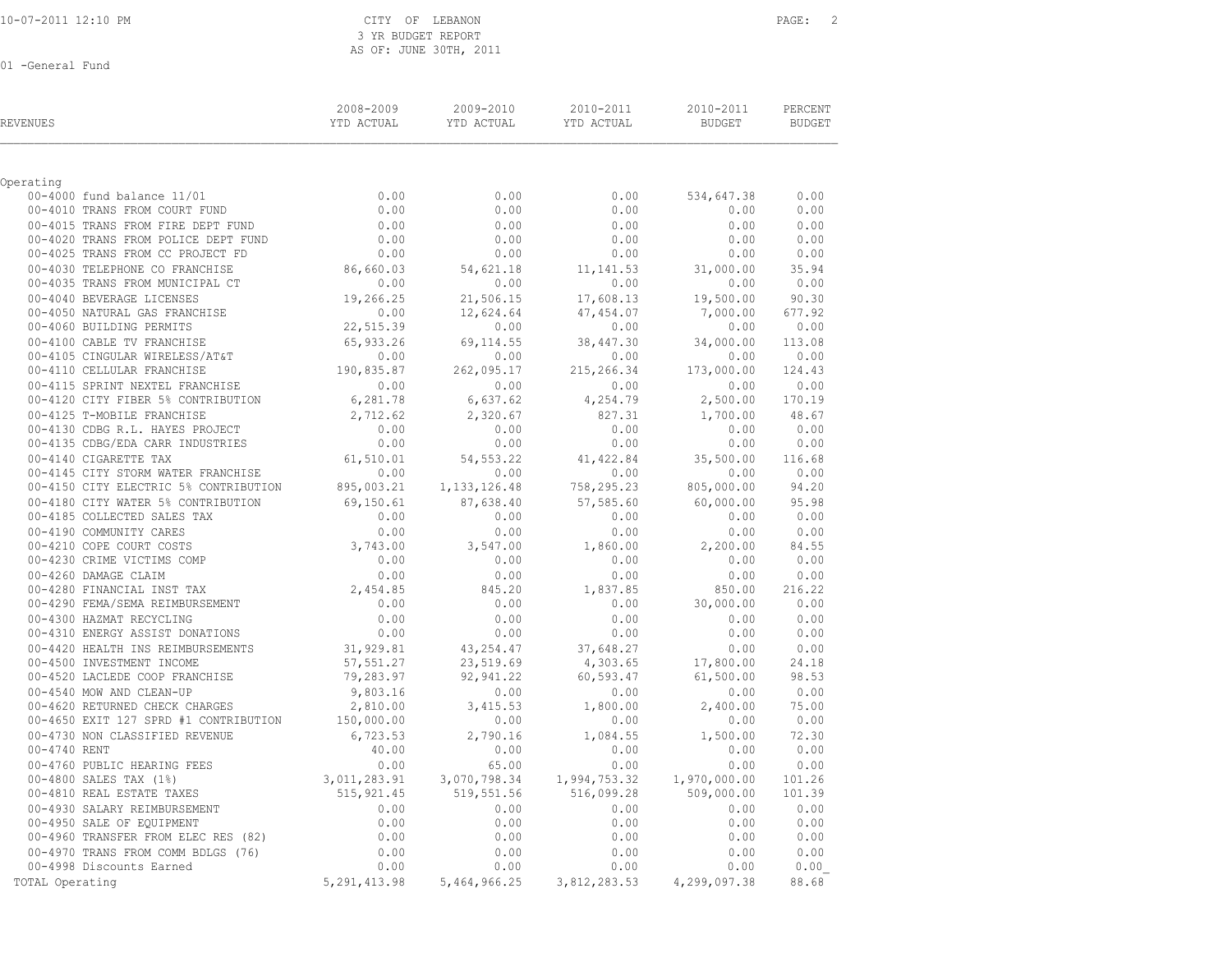| REVENUES                                                                                                                                                                                                                                                                                  | $\begin{tabular}{lcccc} 2008-2009 & 2009-2010 & 2010-2011 & 2010-2011 & 3010-2011 \end{tabular} \begin{tabular}{lcccc} \bf 2008-2009 & 2009-2010 & 2010-2011 & 3010-2011 \end{tabular}$ |      |                   |      |
|-------------------------------------------------------------------------------------------------------------------------------------------------------------------------------------------------------------------------------------------------------------------------------------------|-----------------------------------------------------------------------------------------------------------------------------------------------------------------------------------------|------|-------------------|------|
| Operating                                                                                                                                                                                                                                                                                 |                                                                                                                                                                                         |      |                   |      |
|                                                                                                                                                                                                                                                                                           | 0.00                                                                                                                                                                                    |      | $0.00$ 534,647.38 | 0.00 |
|                                                                                                                                                                                                                                                                                           | 0.00                                                                                                                                                                                    | 0.00 | 0.00              | 0.00 |
|                                                                                                                                                                                                                                                                                           |                                                                                                                                                                                         |      |                   |      |
|                                                                                                                                                                                                                                                                                           |                                                                                                                                                                                         |      |                   |      |
|                                                                                                                                                                                                                                                                                           |                                                                                                                                                                                         |      |                   |      |
|                                                                                                                                                                                                                                                                                           |                                                                                                                                                                                         |      |                   |      |
|                                                                                                                                                                                                                                                                                           |                                                                                                                                                                                         |      |                   |      |
|                                                                                                                                                                                                                                                                                           |                                                                                                                                                                                         |      |                   |      |
|                                                                                                                                                                                                                                                                                           |                                                                                                                                                                                         |      |                   |      |
|                                                                                                                                                                                                                                                                                           |                                                                                                                                                                                         |      |                   |      |
|                                                                                                                                                                                                                                                                                           |                                                                                                                                                                                         |      |                   |      |
|                                                                                                                                                                                                                                                                                           |                                                                                                                                                                                         |      |                   |      |
|                                                                                                                                                                                                                                                                                           |                                                                                                                                                                                         |      |                   |      |
|                                                                                                                                                                                                                                                                                           |                                                                                                                                                                                         |      |                   |      |
|                                                                                                                                                                                                                                                                                           |                                                                                                                                                                                         |      |                   |      |
|                                                                                                                                                                                                                                                                                           |                                                                                                                                                                                         |      |                   |      |
|                                                                                                                                                                                                                                                                                           |                                                                                                                                                                                         |      |                   |      |
|                                                                                                                                                                                                                                                                                           |                                                                                                                                                                                         |      |                   |      |
|                                                                                                                                                                                                                                                                                           |                                                                                                                                                                                         |      |                   |      |
|                                                                                                                                                                                                                                                                                           |                                                                                                                                                                                         |      |                   |      |
|                                                                                                                                                                                                                                                                                           |                                                                                                                                                                                         |      |                   |      |
|                                                                                                                                                                                                                                                                                           |                                                                                                                                                                                         |      |                   |      |
|                                                                                                                                                                                                                                                                                           |                                                                                                                                                                                         |      |                   |      |
|                                                                                                                                                                                                                                                                                           |                                                                                                                                                                                         |      |                   |      |
|                                                                                                                                                                                                                                                                                           |                                                                                                                                                                                         |      |                   |      |
|                                                                                                                                                                                                                                                                                           |                                                                                                                                                                                         |      |                   |      |
|                                                                                                                                                                                                                                                                                           |                                                                                                                                                                                         |      |                   |      |
|                                                                                                                                                                                                                                                                                           |                                                                                                                                                                                         |      |                   |      |
|                                                                                                                                                                                                                                                                                           |                                                                                                                                                                                         |      |                   |      |
|                                                                                                                                                                                                                                                                                           |                                                                                                                                                                                         |      |                   |      |
|                                                                                                                                                                                                                                                                                           |                                                                                                                                                                                         |      |                   |      |
|                                                                                                                                                                                                                                                                                           |                                                                                                                                                                                         |      |                   |      |
|                                                                                                                                                                                                                                                                                           |                                                                                                                                                                                         |      |                   |      |
|                                                                                                                                                                                                                                                                                           |                                                                                                                                                                                         |      |                   |      |
| $\begin{tabular}{cccccccc} 00-4150 & CITY ELECTRIC $8$ & CONTRIBUTION & 895, 003.21 & 1, 133, 126.48 & 758, 295.23 & 805, 000.00 & 94.20 & 0.00 & 0.00 & 0.00 & 0.00 & 0.00 & 0.00 & 0.00 & 0.00 & 0.00 & 0.00 & 0.00 & 0.00 & 0.00 & 0.00 & 0.00 & 0.00 & 0.00 & 0.00 & 0.00 & 0.00 & 0$ |                                                                                                                                                                                         |      |                   |      |
|                                                                                                                                                                                                                                                                                           |                                                                                                                                                                                         |      |                   |      |
|                                                                                                                                                                                                                                                                                           |                                                                                                                                                                                         |      |                   |      |
|                                                                                                                                                                                                                                                                                           |                                                                                                                                                                                         |      |                   |      |
|                                                                                                                                                                                                                                                                                           |                                                                                                                                                                                         |      |                   |      |
|                                                                                                                                                                                                                                                                                           |                                                                                                                                                                                         |      |                   |      |
| 00-4500 INVESTIMEN 1.<br>00-4500 INVESTIMEN COP FRANCHISE<br>00-4500 NON AND CLEAN-UP<br>00-4620 RETURNED CHECK CHARGES<br>00-460 RETURNED CHECK CHARGES<br>00-4730 NON CLASSIFIED REVENUE<br>00-4730 NON CLASSIFIED REVENUE<br>00-4740 RU                                                |                                                                                                                                                                                         |      |                   |      |
|                                                                                                                                                                                                                                                                                           |                                                                                                                                                                                         |      |                   |      |
|                                                                                                                                                                                                                                                                                           |                                                                                                                                                                                         |      |                   |      |
|                                                                                                                                                                                                                                                                                           |                                                                                                                                                                                         |      |                   |      |
|                                                                                                                                                                                                                                                                                           |                                                                                                                                                                                         |      |                   |      |
|                                                                                                                                                                                                                                                                                           |                                                                                                                                                                                         |      |                   |      |
|                                                                                                                                                                                                                                                                                           |                                                                                                                                                                                         |      |                   |      |
|                                                                                                                                                                                                                                                                                           |                                                                                                                                                                                         |      |                   |      |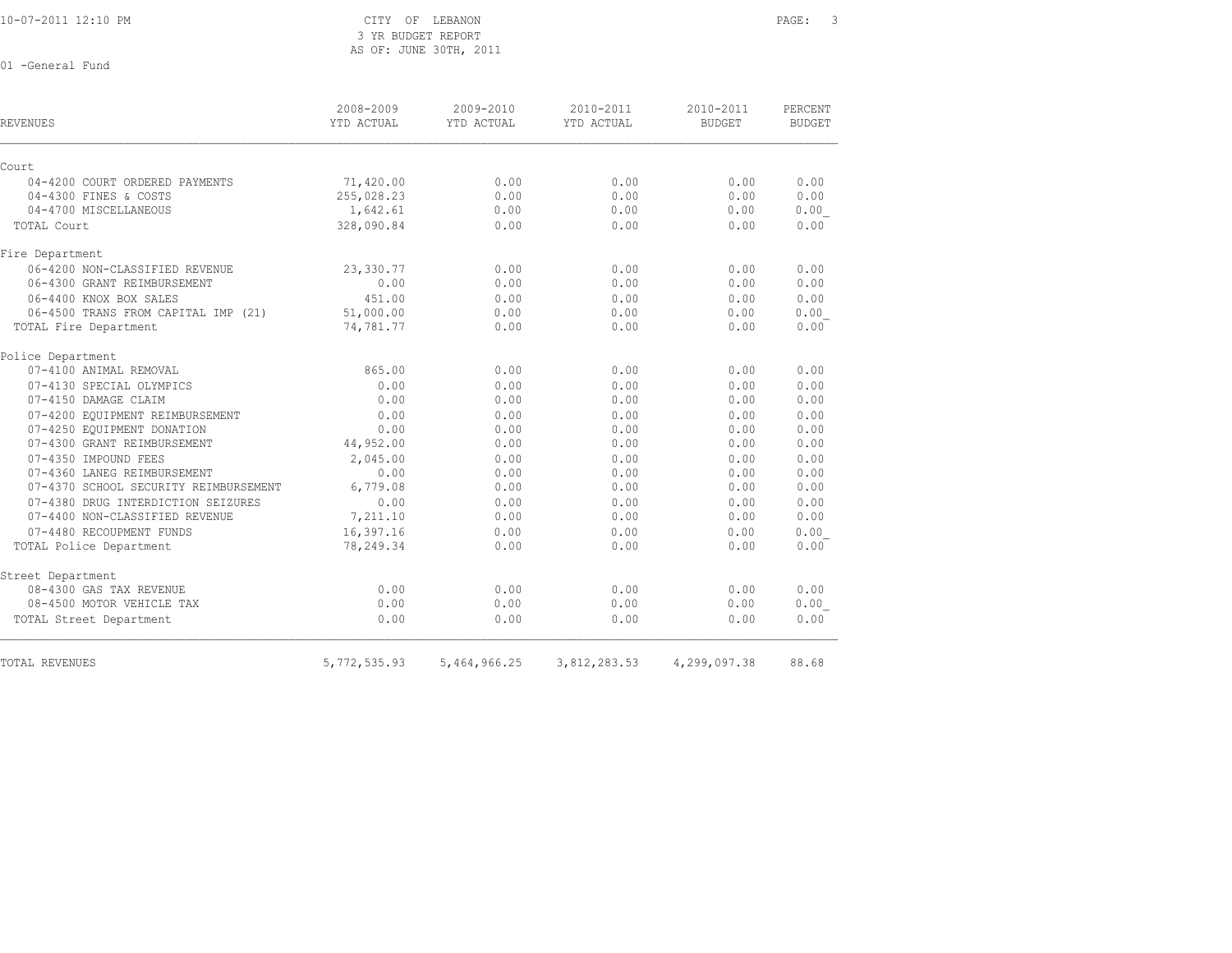3 YR BUDGET REPORT AS OF: JUNE 30TH, 2011

| <b>REVENUES</b>                       | 2008-2009<br>YTD ACTUAL | 2009-2010<br>YTD ACTUAL | 2010-2011<br>YTD ACTUAL | 2010-2011<br><b>BUDGET</b> | PERCENT<br><b>BUDGET</b> |
|---------------------------------------|-------------------------|-------------------------|-------------------------|----------------------------|--------------------------|
| Court                                 |                         |                         |                         |                            |                          |
| 04-4200 COURT ORDERED PAYMENTS        | 71,420.00               | 0.00                    | 0.00                    | 0.00                       | 0.00                     |
| 04-4300 FINES & COSTS                 | 255,028.23              | 0.00                    | 0.00                    | 0.00                       | 0.00                     |
| 04-4700 MISCELLANEOUS                 | 1,642.61                | 0.00                    | 0.00                    | 0.00                       | 0.00                     |
| TOTAL Court                           | 328,090.84              | 0.00                    | 0.00                    | 0.00                       | 0.00                     |
| Fire Department                       |                         |                         |                         |                            |                          |
| 06-4200 NON-CLASSIFIED REVENUE        | 23,330.77               | 0.00                    | 0.00                    | 0.00                       | 0.00                     |
| 06-4300 GRANT REIMBURSEMENT           | 0.00                    | 0.00                    | 0.00                    | 0.00                       | 0.00                     |
| 06-4400 KNOX BOX SALES                | 451.00                  | 0.00                    | 0.00                    | 0.00                       | 0.00                     |
| 06-4500 TRANS FROM CAPITAL IMP (21)   | 51,000.00               | 0.00                    | 0.00                    | 0.00                       | 0.00                     |
| TOTAL Fire Department                 | 74,781.77               | 0.00                    | 0.00                    | 0.00                       | 0.00                     |
| Police Department                     |                         |                         |                         |                            |                          |
| 07-4100 ANIMAL REMOVAL                | 865.00                  | 0.00                    | 0.00                    | 0.00                       | 0.00                     |
| 07-4130 SPECIAL OLYMPICS              | 0.00                    | 0.00                    | 0.00                    | 0.00                       | 0.00                     |
| 07-4150 DAMAGE CLAIM                  | 0.00                    | 0.00                    | 0.00                    | 0.00                       | 0.00                     |
| 07-4200 EQUIPMENT REIMBURSEMENT       | 0.00                    | 0.00                    | 0.00                    | 0.00                       | 0.00                     |
| 07-4250 EOUIPMENT DONATION            | 0.00                    | 0.00                    | 0.00                    | 0.00                       | 0.00                     |
| 07-4300 GRANT REIMBURSEMENT           | 44,952.00               | 0.00                    | 0.00                    | 0.00                       | 0.00                     |
| 07-4350 IMPOUND FEES                  | 2,045.00                | 0.00                    | 0.00                    | 0.00                       | 0.00                     |
| 07-4360 LANEG REIMBURSEMENT           | 0.00                    | 0.00                    | 0.00                    | 0.00                       | 0.00                     |
| 07-4370 SCHOOL SECURITY REIMBURSEMENT | 6,779.08                | 0.00                    | 0.00                    | 0.00                       | 0.00                     |
| 07-4380 DRUG INTERDICTION SEIZURES    | 0.00                    | 0.00                    | 0.00                    | 0.00                       | 0.00                     |
| 07-4400 NON-CLASSIFIED REVENUE        | 7,211.10                | 0.00                    | 0.00                    | 0.00                       | 0.00                     |
| 07-4480 RECOUPMENT FUNDS              | 16,397.16               | 0.00                    | 0.00                    | 0.00                       | 0.00                     |
| TOTAL Police Department               | 78,249.34               | 0.00                    | 0.00                    | 0.00                       | 0.00                     |
| Street Department                     |                         |                         |                         |                            |                          |
| 08-4300 GAS TAX REVENUE               | 0.00                    | 0.00                    | 0.00                    | 0.00                       | 0.00                     |
| 08-4500 MOTOR VEHICLE TAX             | 0.00                    | 0.00                    | 0.00                    | 0.00                       | 0.00                     |
| TOTAL Street Department               | 0.00                    | 0.00                    | 0.00                    | 0.00                       | 0.00                     |
| TOTAL REVENUES                        | 5,772,535.93            | 5,464,966.25            | 3,812,283.53            | 4,299,097.38               | 88.68                    |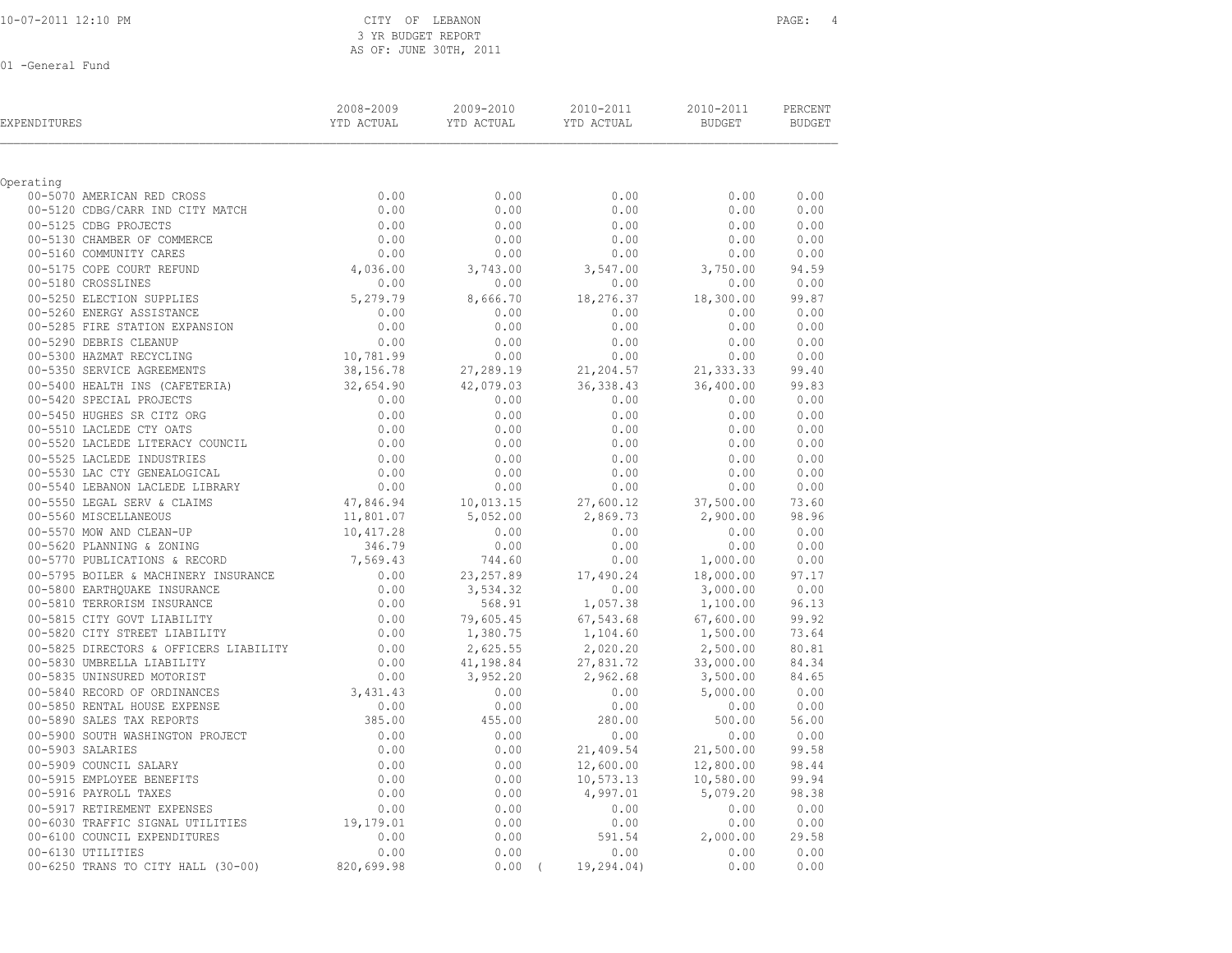| 10-07-2011 12:10 PM |  |  |
|---------------------|--|--|
|                     |  |  |

### CITY OF LEBANON **PAGE:** 4 3 YR BUDGET REPORT AS OF: JUNE 30TH, 2011

| EXPENDITURES                                                                                                                                                                                                                                      | 2008-2009<br>YTD ACTUAL | 2009-2010<br>YTD ACTUAL | 2010-2011<br>YTD ACTUAL | 2010-2011<br>BUDGET  | PERCENT<br><b>BUDGET</b> |
|---------------------------------------------------------------------------------------------------------------------------------------------------------------------------------------------------------------------------------------------------|-------------------------|-------------------------|-------------------------|----------------------|--------------------------|
| Operating                                                                                                                                                                                                                                         |                         |                         |                         |                      |                          |
|                                                                                                                                                                                                                                                   |                         | 0.00                    | 0.00                    | 0.00                 | 0.00                     |
| 00-5070 AMERICAN RED CROSS 00-5120 CDBG/CARR IND CITY MATCH $0.00$                                                                                                                                                                                |                         | 0.00                    | 0.00                    | 0.00                 | 0.00                     |
| 00-5125 CDBG PROJECTS                                                                                                                                                                                                                             |                         | 0.00                    | 0.00                    | 0.00                 | 0.00                     |
| 00-5130 CHAMBER OF COMMERCE                                                                                                                                                                                                                       | $0.00$<br>$0.00$        | 0.00                    | 0.00                    | 0.00                 | 0.00                     |
| 00-5160 COMMUNITY CARES                                                                                                                                                                                                                           |                         | 0.00                    | 0.00                    | 0.00                 | 0.00                     |
| 00-5175 COPE COURT REFUND                                                                                                                                                                                                                         | $0.00$<br>4,036.00      | 3,743.00                | 3,547.00                | 3,750.00             | 94.59                    |
| 00-5180 CROSSLINES                                                                                                                                                                                                                                | 0.00                    | 0.00                    | 0.00                    | 0.00                 | 0.00                     |
|                                                                                                                                                                                                                                                   |                         | 8,666.70                | 18,276.37               | 18,300.00            | 99.87                    |
|                                                                                                                                                                                                                                                   |                         | 0.00                    | 0.00                    | 0.00                 | 0.00                     |
|                                                                                                                                                                                                                                                   |                         | 0.00                    | 0.00                    | 0.00                 | 0.00                     |
| 0.00 00-5180 CROSSLINES<br>0.00 00-5250 ELECTION SUPPLIES<br>0.00 00-5260 ENERGY ASSISTANCE<br>0.00 00-5285 FIRE STATION EXPANSION<br>0.00 00-5300 HAZMAT RECYCLING<br>0.00 00-5300 HAZMAT RECYCLING<br>0.00 00-5300 HAZMAT RECYCLING<br>0.0      |                         | 0.00                    | 0.00                    | 0.00                 | 0.00                     |
|                                                                                                                                                                                                                                                   |                         | 0.00                    | 0.00                    | 0.00                 | 0.00                     |
| 00-5350 SERVICE AGREEMENTS                                                                                                                                                                                                                        | 38,156.78               | 27,289.19               | 21,204.57               | 21, 333.33           | 99.40                    |
| 00-5400 HEALTH INS (CAFETERIA) 32,654.90                                                                                                                                                                                                          |                         | 42,079.03               | 36, 338.43              | 36,400.00            | 99.83                    |
|                                                                                                                                                                                                                                                   | 0.00                    | 0.00                    | 0.00                    | 0.00                 | 0.00                     |
| 00-5420 SPECIAL PROJECTS<br>00-5420 SPECIAL PROJECTS<br>00-5420 SPECIAL PROJECTS<br>00-5510 LACLEDE CTY OATS<br>00-5520 LACLEDE LITERACY COUNCIL<br>00-00-5525 LACLEDE INDUSTRIES<br>00-5530 LAC CTY GENEALOGICAL<br>00-5530 LAC CTY GENEALO      |                         | 0.00                    | 0.00                    | 0.00                 | 0.00                     |
|                                                                                                                                                                                                                                                   |                         | 0.00                    | 0.00                    | 0.00                 | 0.00                     |
|                                                                                                                                                                                                                                                   |                         | 0.00                    | 0.00                    | 0.00                 | 0.00                     |
|                                                                                                                                                                                                                                                   |                         | 0.00                    | 0.00                    | 0.00                 | 0.00                     |
|                                                                                                                                                                                                                                                   |                         | 0.00                    | 0.00                    | 0.00                 | 0.00                     |
|                                                                                                                                                                                                                                                   |                         | 0.00                    | 0.00                    | 0.00                 | 0.00                     |
|                                                                                                                                                                                                                                                   |                         | 10,013.15               | 27,600.12               | 37,500.00            | 73.60                    |
|                                                                                                                                                                                                                                                   |                         | 5,052.00                | 2,869.73                | 2,900.00             | 98.96                    |
| 00-5570 MOW AND CLEAN-UP<br>00-5620 PLANNING & ZONING<br>00-5770 PUBLICATIONS & RECORD                                                                                                                                                            | 10, 417.28              | 0.00                    | 0.00                    | 0.00                 | 0.00                     |
|                                                                                                                                                                                                                                                   | $346.79$<br>7,569.43    | 0.00                    | 0.00                    | 0.00                 | 0.00                     |
|                                                                                                                                                                                                                                                   |                         | 744.60                  | 0.00                    | 1,000.00             | 0.00                     |
|                                                                                                                                                                                                                                                   |                         | 23, 257.89              | 17,490.24               | 18,000.00            | 97.17                    |
|                                                                                                                                                                                                                                                   |                         | 3,534.32                | 0.00                    | 3,000.00             | 0.00                     |
|                                                                                                                                                                                                                                                   |                         | 568.91                  | 1,057.38                | 1,100.00             | 96.13                    |
| 0.00<br>00-5795 BOLLER & MACHINERY INSURANCE<br>00-5800 EARTHQUAKE INSURANCE<br>00-5810 TERRORISM INSURANCE<br>00-5815 CITY GOVT LIABILITY<br>00-5820 CITY STREET LIABILITY<br>0.00<br>00-5820 CITY STREET LIABILITY<br>0.00                      |                         | 79,605.45               | 67,543.68               | 67,600.00            | 99.92<br>73.64           |
|                                                                                                                                                                                                                                                   |                         | 1,380.75<br>2,625.55    | 1,104.60<br>2,020.20    | 1,500.00<br>2,500.00 | 80.81                    |
| 00-5820 CITY STREET LIABILITY<br>00-5825 DIRECTORS & OFFICERS LIABILITY 00-5825 DIRECTORS & OFFICERS LIABILITY 0.00                                                                                                                               |                         | 41,198.84               | 27,831.72               | 33,000.00            | 84.34                    |
| 00-5835 UNINSURED MOTORIST<br>00-5835 UNINSURED MOTORIST<br>00-5840 RECORD OF ORDINANCES<br>00-5850 RENTAL HOUSE EXPENSE<br>00-5890 SALES TAX REPORTS<br>00-5900 SOUTH WASHINGTON PROJECT<br>0.00<br>00-5900 SOUTH WASHINGTON PROJECT<br>0.00<br> |                         | 3,952.20                | 2,962.68                | 3,500.00             | 84.65                    |
|                                                                                                                                                                                                                                                   |                         | 0.00                    | 0.00                    | 5,000.00             | 0.00                     |
|                                                                                                                                                                                                                                                   |                         | 0.00                    | 0.00                    | 0.00                 | 0.00                     |
|                                                                                                                                                                                                                                                   |                         | 455.00                  | 280.00                  | 500.00               | 56.00                    |
|                                                                                                                                                                                                                                                   |                         | 0.00                    | 0.00                    | 0.00                 | 0.00                     |
|                                                                                                                                                                                                                                                   |                         | 0.00                    | 21,409.54               | 21,500.00            | 99.58                    |
|                                                                                                                                                                                                                                                   |                         | 0.00                    | 12,600.00               | 12,800.00            | 98.44                    |
|                                                                                                                                                                                                                                                   |                         | 0.00                    | 10,573.13               | 10,580.00            | 99.94                    |
|                                                                                                                                                                                                                                                   |                         | 0.00                    | 4,997.01                | 5,079.20             | 98.38                    |
|                                                                                                                                                                                                                                                   |                         | 0.00                    | 0.00                    | 0.00                 | 0.00                     |
|                                                                                                                                                                                                                                                   |                         | 0.00                    | 0.00                    | 0.00                 | 0.00                     |
| 00-6100 COUNCIL EXPENDITURES                                                                                                                                                                                                                      | 0.00                    | 0.00                    | 591.54                  | 2,000.00             | 29.58                    |
| 00-6130 UTILITIES                                                                                                                                                                                                                                 | 0.00                    | 0.00                    | 0.00                    | 0.00                 | 0.00                     |
| 00-6250 TRANS TO CITY HALL (30-00)                                                                                                                                                                                                                | 820,699.98              | $0.00$ (                | 19,294.04)              | 0.00                 | 0.00                     |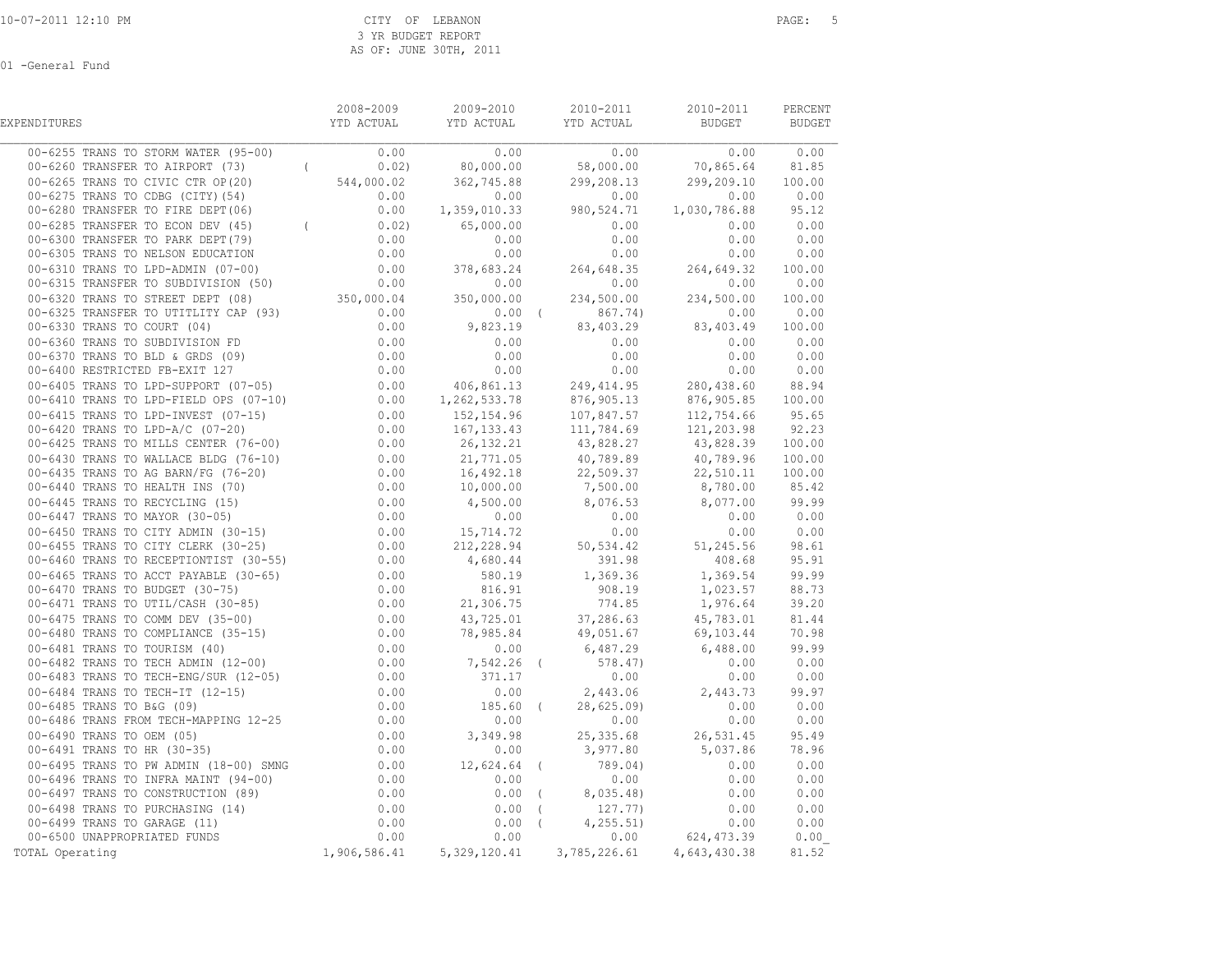| EXPENDITURES                                                                                                                                                                                                                                                                                                                                                                               |  | 2008-2009 2009-2010 2010-2011 | 2010-2011        | PERCENT |
|--------------------------------------------------------------------------------------------------------------------------------------------------------------------------------------------------------------------------------------------------------------------------------------------------------------------------------------------------------------------------------------------|--|-------------------------------|------------------|---------|
| $\begin{array}{cccccccccccc} 0 & -0.04 & \text{Max} & 0.04 & \text{Max} & 0.04 & \text{Max} & 0.04 & \text{Max} & 0.04 & \text{Max} & 0.04 & \text{Max} & 0.04 & \text{Max} & 0.04 & \text{Max} & 0.04 & \text{Max} & 0.04 & \text{Max} & 0.04 & \text{Max} & 0.04 & \text{Max} & 0.04 & \text{Max} & 0.04 & \text{Max} & 0.04 & \text{Max} & 0.04 & \text{Max} & 0.04 & \text{Max} & 0.0$ |  |                               | $0.00$ 0.00 0.00 |         |
| 00-6260 TRANSFER TO AIRPORT (73) (0.02) 80,000.00 58,000.00 70,865.64 81.85                                                                                                                                                                                                                                                                                                                |  |                               |                  |         |
|                                                                                                                                                                                                                                                                                                                                                                                            |  |                               |                  |         |
|                                                                                                                                                                                                                                                                                                                                                                                            |  |                               |                  |         |
|                                                                                                                                                                                                                                                                                                                                                                                            |  |                               |                  |         |
|                                                                                                                                                                                                                                                                                                                                                                                            |  |                               |                  |         |
|                                                                                                                                                                                                                                                                                                                                                                                            |  |                               |                  |         |
|                                                                                                                                                                                                                                                                                                                                                                                            |  |                               |                  |         |
|                                                                                                                                                                                                                                                                                                                                                                                            |  |                               |                  |         |
|                                                                                                                                                                                                                                                                                                                                                                                            |  |                               |                  |         |
|                                                                                                                                                                                                                                                                                                                                                                                            |  |                               |                  |         |
|                                                                                                                                                                                                                                                                                                                                                                                            |  |                               |                  |         |
|                                                                                                                                                                                                                                                                                                                                                                                            |  |                               |                  |         |
|                                                                                                                                                                                                                                                                                                                                                                                            |  |                               |                  |         |
|                                                                                                                                                                                                                                                                                                                                                                                            |  |                               |                  |         |
|                                                                                                                                                                                                                                                                                                                                                                                            |  |                               |                  |         |
|                                                                                                                                                                                                                                                                                                                                                                                            |  |                               |                  |         |
|                                                                                                                                                                                                                                                                                                                                                                                            |  |                               |                  |         |
|                                                                                                                                                                                                                                                                                                                                                                                            |  |                               |                  |         |
|                                                                                                                                                                                                                                                                                                                                                                                            |  |                               |                  |         |
|                                                                                                                                                                                                                                                                                                                                                                                            |  |                               |                  |         |
|                                                                                                                                                                                                                                                                                                                                                                                            |  |                               |                  |         |
|                                                                                                                                                                                                                                                                                                                                                                                            |  |                               |                  |         |
|                                                                                                                                                                                                                                                                                                                                                                                            |  |                               |                  |         |
|                                                                                                                                                                                                                                                                                                                                                                                            |  |                               |                  |         |
|                                                                                                                                                                                                                                                                                                                                                                                            |  |                               |                  |         |
|                                                                                                                                                                                                                                                                                                                                                                                            |  |                               |                  |         |
|                                                                                                                                                                                                                                                                                                                                                                                            |  |                               |                  |         |
|                                                                                                                                                                                                                                                                                                                                                                                            |  |                               |                  |         |
|                                                                                                                                                                                                                                                                                                                                                                                            |  |                               |                  |         |
|                                                                                                                                                                                                                                                                                                                                                                                            |  |                               |                  |         |
|                                                                                                                                                                                                                                                                                                                                                                                            |  |                               |                  |         |
|                                                                                                                                                                                                                                                                                                                                                                                            |  |                               |                  |         |
|                                                                                                                                                                                                                                                                                                                                                                                            |  |                               |                  |         |
|                                                                                                                                                                                                                                                                                                                                                                                            |  |                               |                  |         |
|                                                                                                                                                                                                                                                                                                                                                                                            |  |                               |                  |         |
|                                                                                                                                                                                                                                                                                                                                                                                            |  |                               |                  |         |
|                                                                                                                                                                                                                                                                                                                                                                                            |  |                               |                  |         |
|                                                                                                                                                                                                                                                                                                                                                                                            |  |                               |                  |         |
|                                                                                                                                                                                                                                                                                                                                                                                            |  |                               |                  |         |
|                                                                                                                                                                                                                                                                                                                                                                                            |  |                               |                  |         |
|                                                                                                                                                                                                                                                                                                                                                                                            |  |                               |                  |         |
|                                                                                                                                                                                                                                                                                                                                                                                            |  |                               |                  |         |
|                                                                                                                                                                                                                                                                                                                                                                                            |  |                               |                  |         |
|                                                                                                                                                                                                                                                                                                                                                                                            |  |                               |                  |         |
|                                                                                                                                                                                                                                                                                                                                                                                            |  |                               |                  |         |
|                                                                                                                                                                                                                                                                                                                                                                                            |  |                               |                  |         |
|                                                                                                                                                                                                                                                                                                                                                                                            |  |                               |                  |         |
| TOTAL Operating                                                                                                                                                                                                                                                                                                                                                                            |  |                               |                  |         |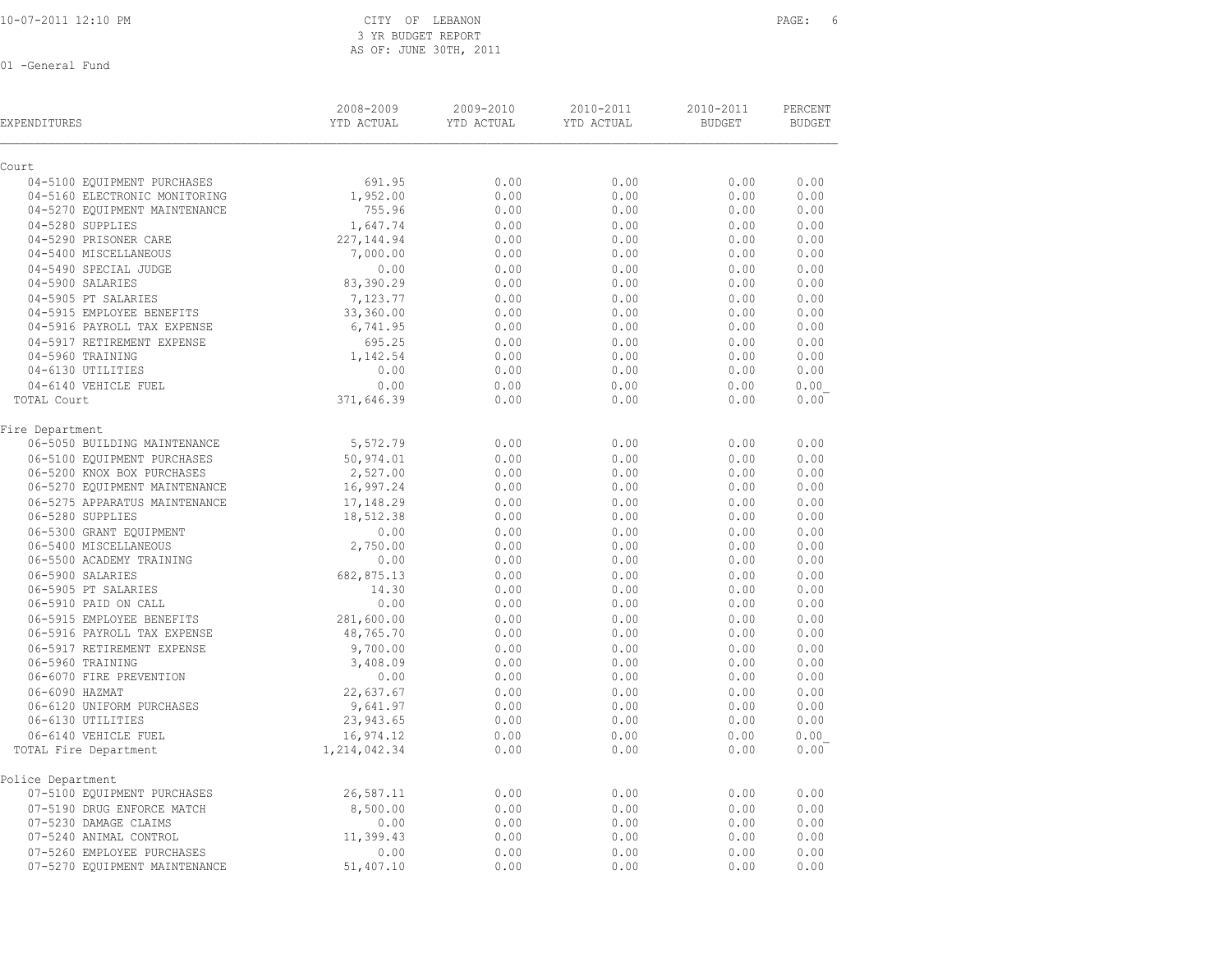3 YR BUDGET REPORT AS OF: JUNE 30TH, 2011

| <b>EXPENDITURES</b>           | 2008-2009<br>YTD ACTUAL | 2009-2010<br>YTD ACTUAL | 2010-2011<br>YTD ACTUAL | 2010-2011<br><b>BUDGET</b> | PERCENT<br><b>BUDGET</b> |
|-------------------------------|-------------------------|-------------------------|-------------------------|----------------------------|--------------------------|
| Court                         |                         |                         |                         |                            |                          |
| 04-5100 EQUIPMENT PURCHASES   | 691.95                  | 0.00                    | 0.00                    | 0.00                       | 0.00                     |
| 04-5160 ELECTRONIC MONITORING | 1,952.00                | 0.00                    | 0.00                    | 0.00                       | 0.00                     |
| 04-5270 EQUIPMENT MAINTENANCE | 755.96                  | 0.00                    | 0.00                    | 0.00                       | 0.00                     |
| 04-5280 SUPPLIES              | 1,647.74                | 0.00                    | 0.00                    | 0.00                       | 0.00                     |
| 04-5290 PRISONER CARE         | 227, 144.94             | 0.00                    | 0.00                    | 0.00                       | 0.00                     |
| 04-5400 MISCELLANEOUS         | 7,000.00                | 0.00                    | 0.00                    | 0.00                       | 0.00                     |
| 04-5490 SPECIAL JUDGE         | 0.00                    | 0.00                    | 0.00                    | 0.00                       | 0.00                     |
| 04-5900 SALARIES              | 83,390.29               | 0.00                    | 0.00                    | 0.00                       | 0.00                     |
| 04-5905 PT SALARIES           | 7,123.77                | 0.00                    | 0.00                    | 0.00                       | 0.00                     |
| 04-5915 EMPLOYEE BENEFITS     | 33,360.00               | 0.00                    | 0.00                    | 0.00                       | 0.00                     |
| 04-5916 PAYROLL TAX EXPENSE   | 6,741.95                | 0.00                    | 0.00                    | 0.00                       | 0.00                     |
| 04-5917 RETIREMENT EXPENSE    | 695.25                  | 0.00                    | 0.00                    | 0.00                       | 0.00                     |
| 04-5960 TRAINING              | 1,142.54                | 0.00                    | 0.00                    | 0.00                       | 0.00                     |
| 04-6130 UTILITIES             | 0.00                    | 0.00                    | 0.00                    | 0.00                       | 0.00                     |
| 04-6140 VEHICLE FUEL          | 0.00                    | 0.00                    | 0.00                    | 0.00                       | 0.00                     |
| TOTAL Court                   | 371,646.39              | 0.00                    | 0.00                    | 0.00                       | 0.00                     |
| Fire Department               |                         |                         |                         |                            |                          |
| 06-5050 BUILDING MAINTENANCE  | 5,572.79                | 0.00                    | 0.00                    | 0.00                       | 0.00                     |
| 06-5100 EQUIPMENT PURCHASES   | 50,974.01               | 0.00                    | 0.00                    | 0.00                       | 0.00                     |
| 06-5200 KNOX BOX PURCHASES    | 2,527.00                | 0.00                    | 0.00                    | 0.00                       | 0.00                     |
| 06-5270 EQUIPMENT MAINTENANCE | 16,997.24               | 0.00                    | 0.00                    | 0.00                       | 0.00                     |
| 06-5275 APPARATUS MAINTENANCE | 17,148.29               | 0.00                    | 0.00                    | 0.00                       | 0.00                     |
| 06-5280 SUPPLIES              | 18,512.38               | 0.00                    | 0.00                    | 0.00                       | 0.00                     |
| 06-5300 GRANT EQUIPMENT       | 0.00                    | 0.00                    | 0.00                    | 0.00                       | 0.00                     |
| 06-5400 MISCELLANEOUS         | 2,750.00                | 0.00                    | 0.00                    | 0.00                       | 0.00                     |
| 06-5500 ACADEMY TRAINING      | 0.00                    | 0.00                    | 0.00                    | 0.00                       | 0.00                     |
| 06-5900 SALARIES              | 682,875.13              | 0.00                    | 0.00                    | 0.00                       | 0.00                     |
| 06-5905 PT SALARIES           | 14.30                   | 0.00                    | 0.00                    | 0.00                       | 0.00                     |
| 06-5910 PAID ON CALL          | 0.00                    | 0.00                    | 0.00                    | 0.00                       | 0.00                     |
| 06-5915 EMPLOYEE BENEFITS     | 281,600.00              | 0.00                    | 0.00                    | 0.00                       | 0.00                     |
| 06-5916 PAYROLL TAX EXPENSE   | 48,765.70               | 0.00                    | 0.00                    | 0.00                       | 0.00                     |
| 06-5917 RETIREMENT EXPENSE    | 9,700.00                | 0.00                    | 0.00                    | 0.00                       | 0.00                     |
| 06-5960 TRAINING              | 3,408.09                | 0.00                    | 0.00                    | 0.00                       | 0.00                     |
| 06-6070 FIRE PREVENTION       | 0.00                    | 0.00                    | 0.00                    | 0.00                       | 0.00                     |
| 06-6090 HAZMAT                | 22,637.67               | 0.00                    | 0.00                    | 0.00                       | 0.00                     |
| 06-6120 UNIFORM PURCHASES     | 9,641.97                | 0.00                    | 0.00                    | 0.00                       | 0.00                     |
| 06-6130 UTILITIES             | 23,943.65               | 0.00                    | 0.00                    | 0.00                       | 0.00                     |
| 06-6140 VEHICLE FUEL          | 16,974.12               | 0.00                    | 0.00                    | 0.00                       | 0.00                     |
| TOTAL Fire Department         | 1,214,042.34            | 0.00                    | 0.00                    | 0.00                       | 0.00                     |
| Police Department             |                         |                         |                         |                            |                          |
| 07-5100 EQUIPMENT PURCHASES   | 26,587.11               | 0.00                    | 0.00                    | 0.00                       | 0.00                     |
| 07-5190 DRUG ENFORCE MATCH    | 8,500.00                | 0.00                    | 0.00                    | 0.00                       | 0.00                     |
| 07-5230 DAMAGE CLAIMS         | 0.00                    | 0.00                    | 0.00                    | 0.00                       | 0.00                     |
| 07-5240 ANIMAL CONTROL        | 11,399.43               | 0.00                    | 0.00                    | 0.00                       | 0.00                     |
| 07-5260 EMPLOYEE PURCHASES    | 0.00                    | 0.00                    | 0.00                    | 0.00                       | 0.00                     |
| 07-5270 EQUIPMENT MAINTENANCE | 51,407.10               | 0.00                    | 0.00                    | 0.00                       | 0.00                     |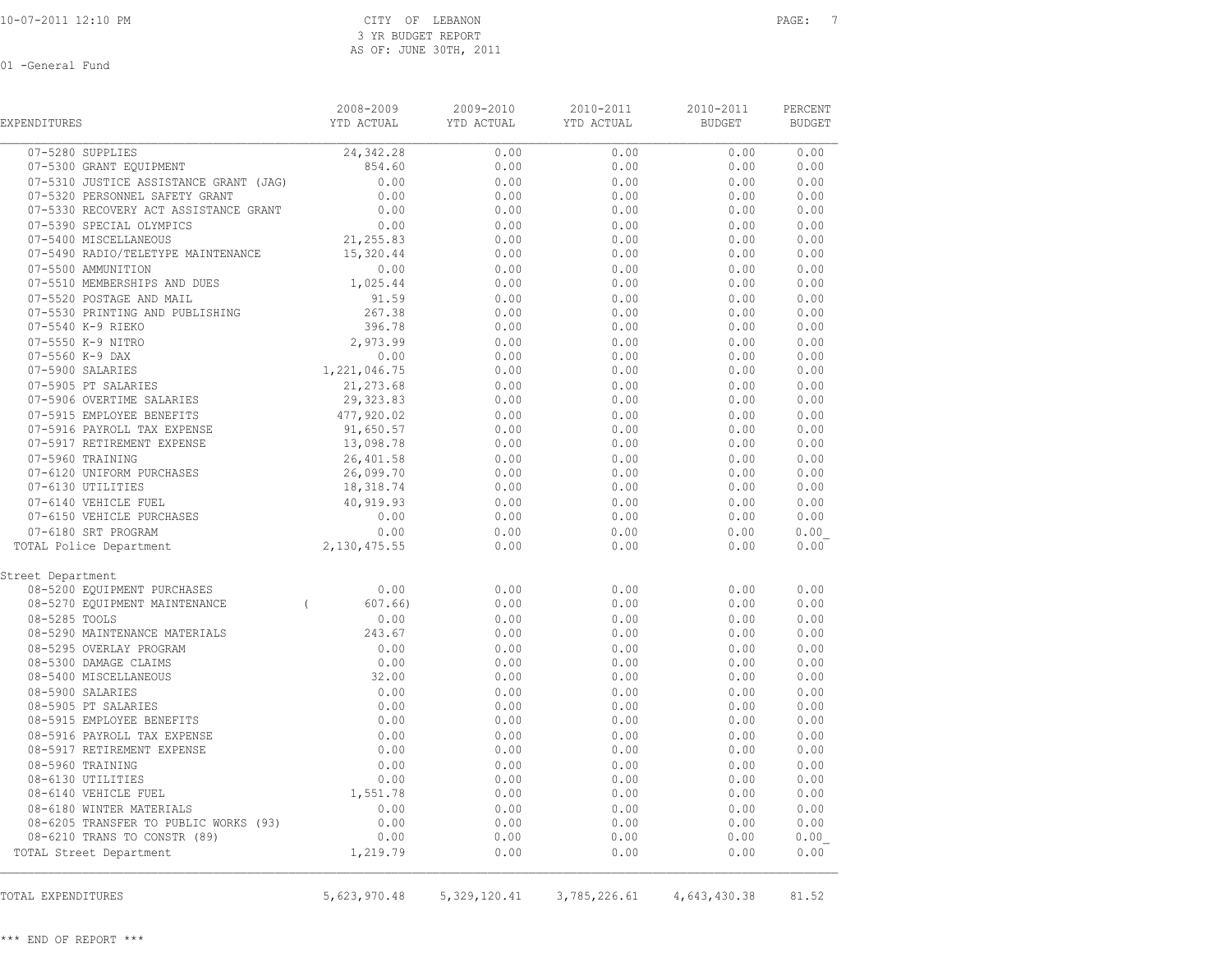| EXPENDITURES                                    | 2008-2009<br>YTD ACTUAL | 2009-2010<br>YTD ACTUAL   | $2010 - 2011$<br>YTD ACTUAL | 2010-2011<br><b>BUDGET</b> | PERCENT<br><b>BUDGET</b> |
|-------------------------------------------------|-------------------------|---------------------------|-----------------------------|----------------------------|--------------------------|
| 07-5280 SUPPLIES                                | 24,342.28               | 0.00                      | 0.00                        | 0.00                       | 0.00                     |
| 07-5300 GRANT EQUIPMENT                         | 854.60                  | 0.00                      | 0.00                        | 0.00                       | 0.00                     |
| 07-5310 JUSTICE ASSISTANCE GRANT (JAG)          | 0.00                    | 0.00                      | 0.00                        | 0.00                       | 0.00                     |
| 07-5320 PERSONNEL SAFETY GRANT                  | 0.00                    | 0.00                      | 0.00                        | 0.00                       | 0.00                     |
| 07-5330 RECOVERY ACT ASSISTANCE GRANT           | 0.00                    | 0.00                      | 0.00                        | 0.00                       | 0.00                     |
| 07-5390 SPECIAL OLYMPICS                        | 0.00                    | 0.00                      | 0.00                        | 0.00                       | 0.00                     |
| 07-5400 MISCELLANEOUS                           | 21,255.83               | 0.00                      | 0.00                        | 0.00                       | 0.00                     |
| 07-5490 RADIO/TELETYPE MAINTENANCE              | 15,320.44               | 0.00                      | 0.00                        | 0.00                       | 0.00                     |
| 07-5500 AMMUNITION                              | 0.00                    | 0.00                      | 0.00                        | 0.00                       | 0.00                     |
| 07-5510 MEMBERSHIPS AND DUES                    | 1,025.44                | 0.00                      | 0.00                        | 0.00                       | 0.00                     |
| 07-5520 POSTAGE AND MAIL                        | 91.59                   | 0.00                      | 0.00                        | 0.00                       | 0.00                     |
| 07-5530 PRINTING AND PUBLISHING                 | 267.38                  | 0.00                      | 0.00                        | 0.00                       | 0.00                     |
| 07-5540 K-9 RIEKO                               | 396.78                  | 0.00                      | 0.00                        | 0.00                       | 0.00                     |
| 07-5550 K-9 NITRO                               | 2,973.99                | 0.00                      | 0.00                        | 0.00                       | 0.00                     |
| 07-5560 K-9 DAX                                 | 0.00                    | 0.00                      | 0.00                        | 0.00                       | 0.00                     |
|                                                 |                         | 0.00                      | 0.00                        | 0.00                       | 0.00                     |
|                                                 |                         | 0.00                      | 0.00                        | 0.00                       | 0.00                     |
|                                                 |                         | 0.00                      | 0.00                        | 0.00                       | 0.00                     |
|                                                 |                         | 0.00                      | 0.00                        | 0.00                       | 0.00                     |
|                                                 |                         | 0.00                      | 0.00                        | 0.00                       | 0.00                     |
|                                                 |                         | 0.00                      | 0.00                        | 0.00                       | 0.00                     |
|                                                 |                         | 0.00                      | 0.00                        | 0.00                       | 0.00                     |
|                                                 |                         | 0.00                      | 0.00                        | 0.00                       | 0.00                     |
| 07-6130 UTILITIES                               | 18,318.74               | 0.00                      | 0.00                        | 0.00                       | 0.00                     |
| 07-6140 VEHICLE FUEL                            | 40,919.93               | 0.00                      | 0.00                        | 0.00                       | 0.00                     |
| 07-6150 VEHICLE PURCHASES                       | 0.00                    | 0.00                      | 0.00                        | 0.00                       | 0.00                     |
| 07-6180 SRT PROGRAM                             | 0.00                    | 0.00                      | 0.00                        | 0.00                       | 0.00                     |
| TOTAL Police Department                         | $0.00$<br>2,130,475.55  | 0.00                      | 0.00                        | 0.00                       | 0.00                     |
| Street Department                               |                         |                           |                             |                            |                          |
| 08-5200 EQUIPMENT PURCHASES                     | 0.00                    | 0.00                      | 0.00                        | 0.00                       | 0.00                     |
| $\overline{a}$<br>08-5270 EQUIPMENT MAINTENANCE | 607.66                  | 0.00                      | 0.00                        | 0.00                       | 0.00                     |
| 08-5285 TOOLS                                   | 0.00                    | 0.00                      | 0.00                        | 0.00                       | 0.00                     |
| 08-5290 MAINTENANCE MATERIALS                   | 243.67                  | 0.00                      | 0.00                        | 0.00                       | 0.00                     |
| 08-5295 OVERLAY PROGRAM                         | 0.00                    | 0.00                      | 0.00                        | 0.00                       | 0.00                     |
| 08-5300 DAMAGE CLAIMS                           | 0.00                    | 0.00                      | 0.00                        | 0.00                       | 0.00                     |
| 08-5400 MISCELLANEOUS                           | 32.00                   | 0.00                      | 0.00                        | 0.00                       | 0.00                     |
| 08-5900 SALARIES                                | 0.00                    | 0.00                      | 0.00                        | 0.00                       | 0.00                     |
| 08-5905 PT SALARIES                             | 0.00                    | 0.00                      | 0.00                        | 0.00                       | 0.00                     |
| 08-5915 EMPLOYEE BENEFITS                       | 0.00                    | 0.00                      | 0.00                        | 0.00                       | 0.00                     |
| 08-5916 PAYROLL TAX EXPENSE                     | 0.00                    | 0.00                      | 0.00                        | 0.00                       | 0.00                     |
| 08-5917 RETIREMENT EXPENSE                      | 0.00                    | 0.00                      | 0.00                        | 0.00                       | 0.00                     |
| 08-5960 TRAINING                                | 0.00                    | 0.00                      | 0.00                        | 0.00                       | 0.00                     |
| 08-6130 UTILITIES                               | 0.00                    | 0.00                      | 0.00                        | 0.00                       | 0.00                     |
| 08-6140 VEHICLE FUEL                            | 1,551.78                | 0.00                      | 0.00                        | 0.00                       | 0.00                     |
| 08-6180 WINTER MATERIALS                        | 0.00                    | 0.00                      | 0.00                        | 0.00                       | 0.00                     |
| 08-6205 TRANSFER TO PUBLIC WORKS (93)           | 0.00                    | 0.00                      | 0.00                        | 0.00                       | 0.00                     |
| 08-6210 TRANS TO CONSTR (89)                    | 0.00                    | 0.00                      | 0.00                        | 0.00                       | 0.00                     |
| TOTAL Street Department                         | 1,219.79                | 0.00                      | 0.00                        | 0.00                       | 0.00                     |
| TOTAL EXPENDITURES                              |                         | 5,623,970.48 5,329,120.41 | 3,785,226.61                | 4,643,430.38               | 81.52                    |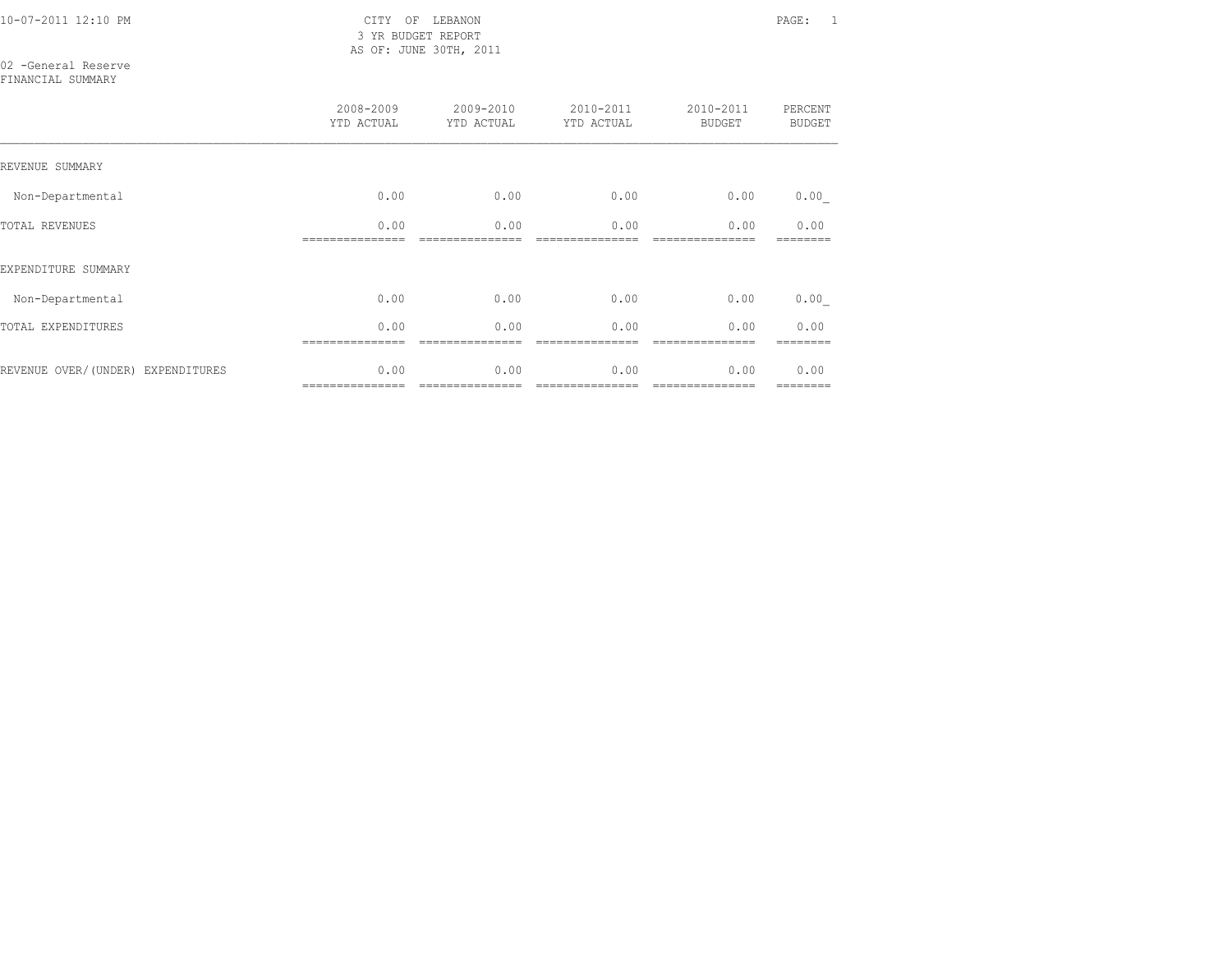10-07-2011 12:10 PM CITY OF LEBANON PAGE: 1 3 YR BUDGET REPORT AS OF: JUNE 30TH, 2011

02 -General Reserve FINANCIAL SUMMARY

|                                   | 2008-2009<br>YTD ACTUAL | 2009-2010<br>YTD ACTUAL | 2010-2011<br>YTD ACTUAL | 2010-2011<br><b>BUDGET</b> | PERCENT<br><b>BUDGET</b> |
|-----------------------------------|-------------------------|-------------------------|-------------------------|----------------------------|--------------------------|
| REVENUE SUMMARY                   |                         |                         |                         |                            |                          |
| Non-Departmental                  | 0.00                    | 0.00                    | 0.00                    | 0.00                       | 0.00                     |
| <b>TOTAL REVENUES</b>             | 0.00                    | 0.00                    | 0.00                    | 0.00                       | 0.00                     |
| EXPENDITURE SUMMARY               |                         |                         |                         |                            |                          |
| Non-Departmental                  | 0.00                    | 0.00                    | 0.00                    | 0.00                       | 0.00                     |
| TOTAL EXPENDITURES                | 0.00                    | 0.00                    | 0.00                    | 0.00                       | 0.00                     |
| REVENUE OVER/(UNDER) EXPENDITURES | 0.00<br>=============== | 0.00<br>=============== | 0.00<br>=============== | 0.00<br>===============    | 0.00<br>========         |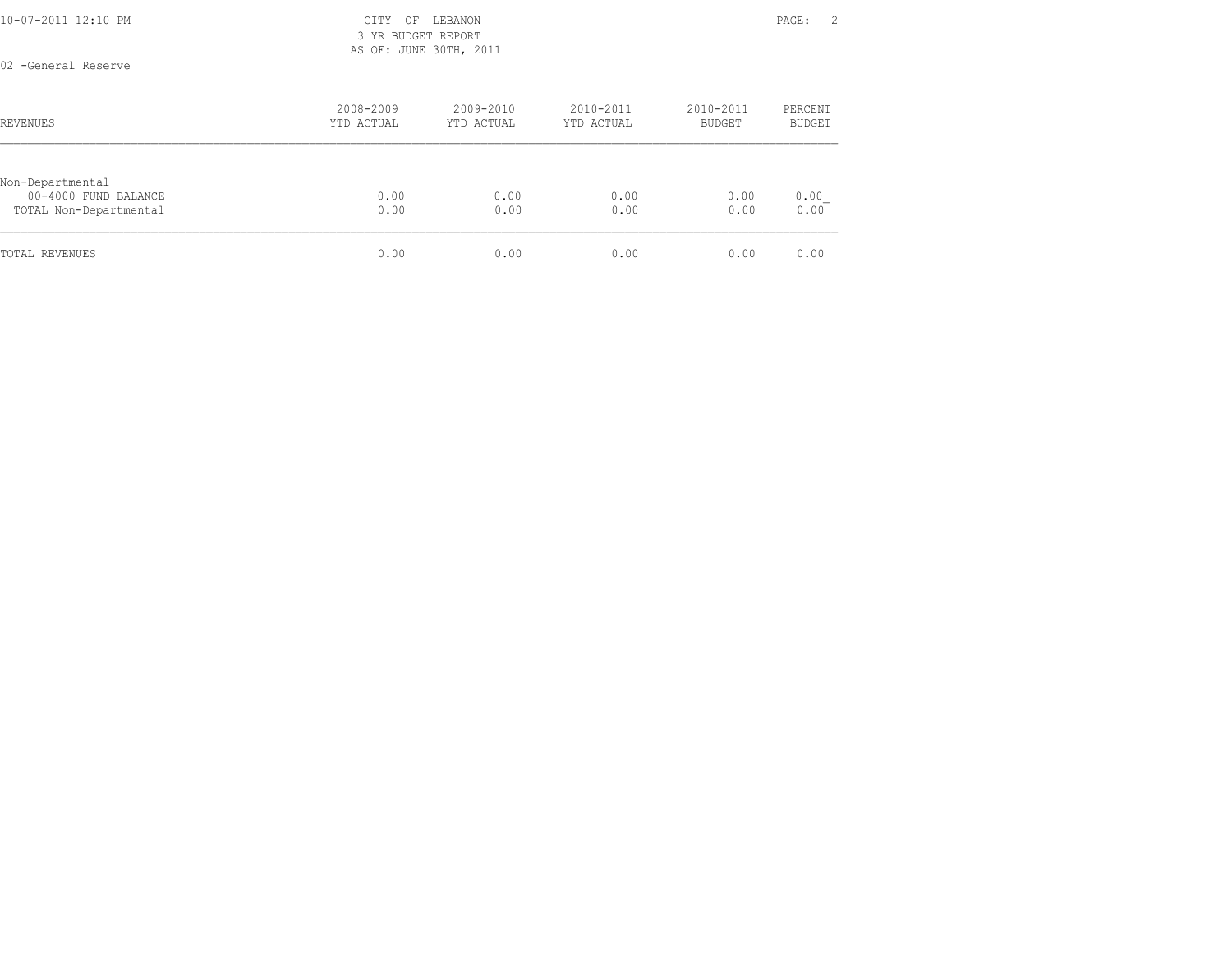| 10-07-2011 12:10 PM | $\cap$ T m $\vee$<br>◡⊥⊥⊥ | ∩ஈ<br>└ ∼      | <b>LEBANON</b> | PAGE. | <u>.</u> |
|---------------------|---------------------------|----------------|----------------|-------|----------|
|                     | YR<br>.                   | <b>RIIDGET</b> | REPORT         |       |          |

 3 YR BUDGET REPORT AS OF: JUNE 30TH, 2011

02 -General Reserve

| REVENUES                                                           | 2008-2009<br>YTD ACTUAL | 2009-2010<br>YTD ACTUAL | 2010-2011<br>YTD ACTUAL | 2010-2011<br>BUDGET | PERCENT<br><b>BUDGET</b> |
|--------------------------------------------------------------------|-------------------------|-------------------------|-------------------------|---------------------|--------------------------|
| Non-Departmental<br>00-4000 FUND BALANCE<br>TOTAL Non-Departmental | 0.00<br>0.00            | 0.00<br>0.00            | 0.00<br>0.00            | 0.00<br>0.00        | 0.00<br>0.00             |
| TOTAL REVENUES                                                     | 0.00                    | 0.00                    | 0.00                    | 0.00                | 0.00                     |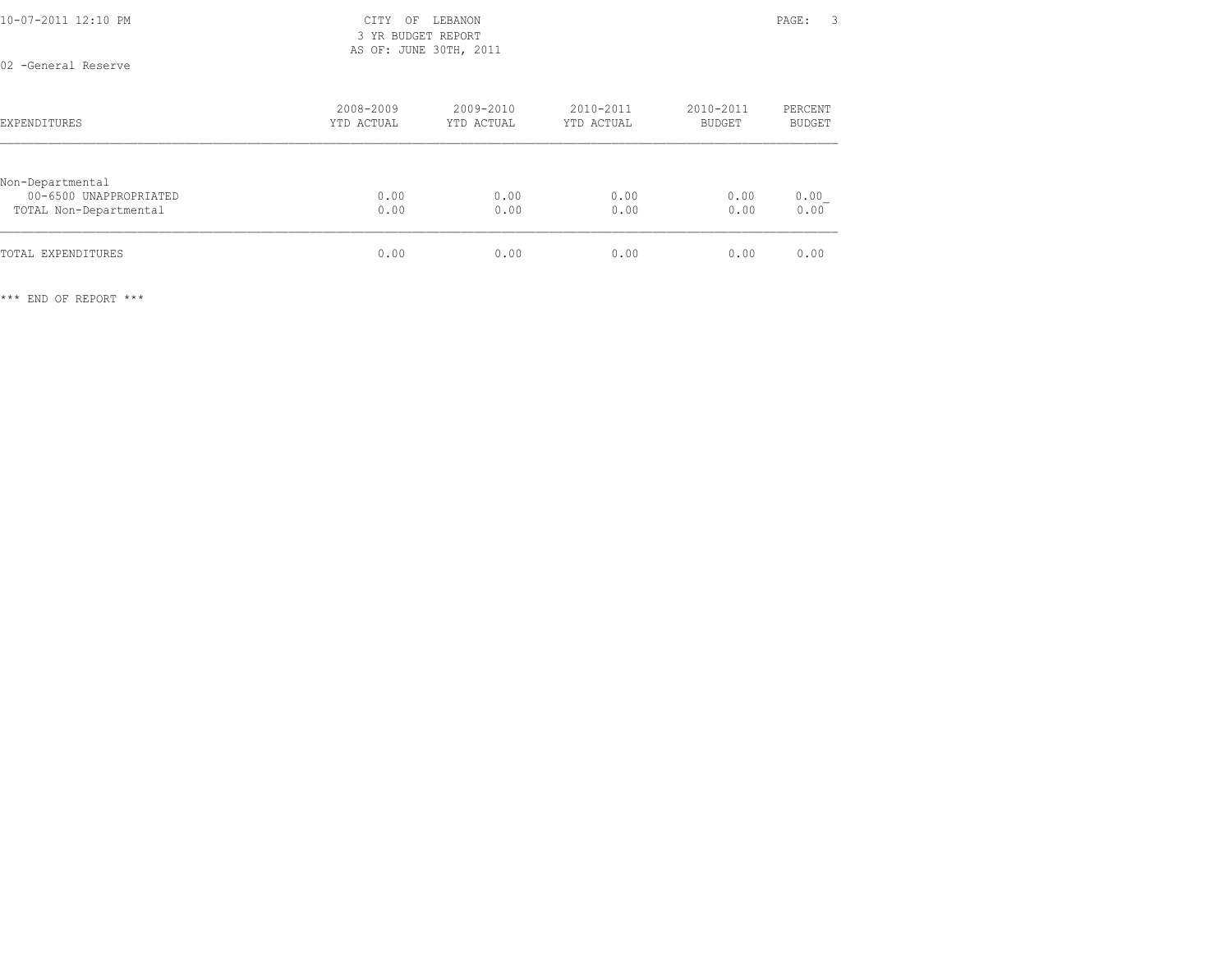| 10-07-2011 12:10 PM | CITY OF LEBANON        | - 3<br>PAGE: |
|---------------------|------------------------|--------------|
|                     | 3 YR BUDGET REPORT     |              |
|                     | AS OF: JUNE 30TH, 2011 |              |
| 02 -General Reserve |                        |              |

| <b>EXPENDITURES</b>                                                  | 2008-2009<br>YTD ACTUAL | 2009-2010<br>YTD ACTUAL | 2010-2011<br>YTD ACTUAL | 2010-2011<br>BUDGET | PERCENT<br><b>BUDGET</b> |
|----------------------------------------------------------------------|-------------------------|-------------------------|-------------------------|---------------------|--------------------------|
| Non-Departmental<br>00-6500 UNAPPROPRIATED<br>TOTAL Non-Departmental | 0.00<br>0.00            | 0.00<br>0.00            | 0.00<br>0.00            | 0.00<br>0.00        | 0.00<br>0.00             |
| TOTAL EXPENDITURES                                                   | 0.00                    | 0.00                    | 0.00                    | 0.00                | 0.00                     |

\*\*\* END OF REPORT \*\*\*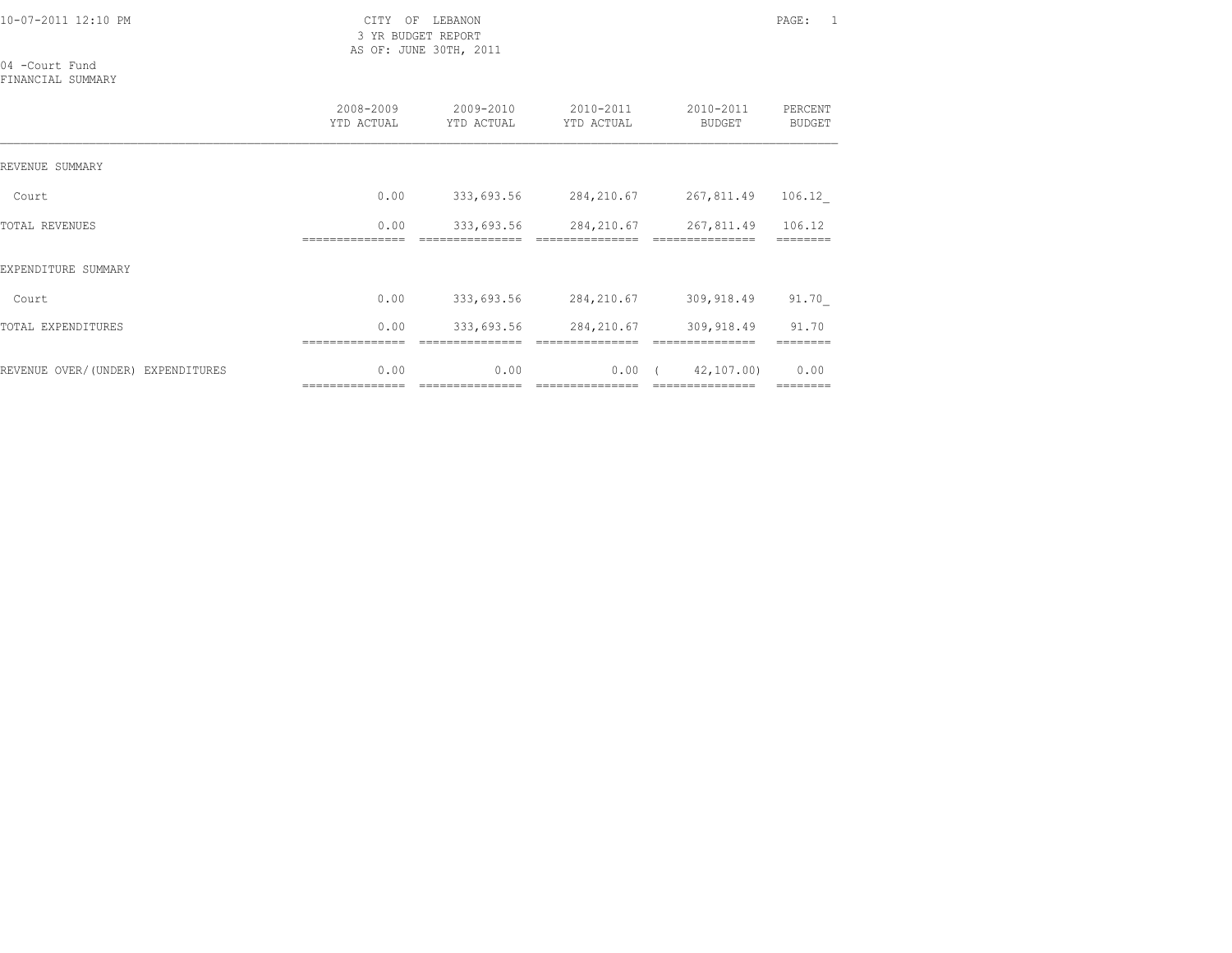3 YR BUDGET REPORT AS OF: JUNE 30TH, 2011

04 -Court Fund

FINANCIAL SUMMARY

|                                   | 2008-2009<br>YTD ACTUAL  | 2009-2010<br>YTD ACTUAL | 2010-2011<br>YTD ACTUAL | 2010-2011<br><b>BUDGET</b>    | PERCENT<br><b>BUDGET</b> |
|-----------------------------------|--------------------------|-------------------------|-------------------------|-------------------------------|--------------------------|
| REVENUE SUMMARY                   |                          |                         |                         |                               |                          |
| Court                             | 0.00                     | 333,693.56              | 284,210.67              | 267,811.49                    | 106.12                   |
| <b>TOTAL REVENUES</b>             | 0.00                     | 333,693.56              | 284,210.67              | 267,811.49                    | 106.12                   |
| EXPENDITURE SUMMARY               |                          |                         |                         |                               |                          |
| Court                             | 0.00                     | 333,693.56              | 284,210.67              | 309,918.49                    | 91.70                    |
| TOTAL EXPENDITURES                | 0.00                     | 333,693.56              | 284,210.67              | 309,918.49                    | 91.70                    |
| REVENUE OVER/(UNDER) EXPENDITURES | 0.00<br>================ | 0.00<br>=============== | 0.00<br>=============== | 42,107.00)<br>--------------- | 0.00<br>========         |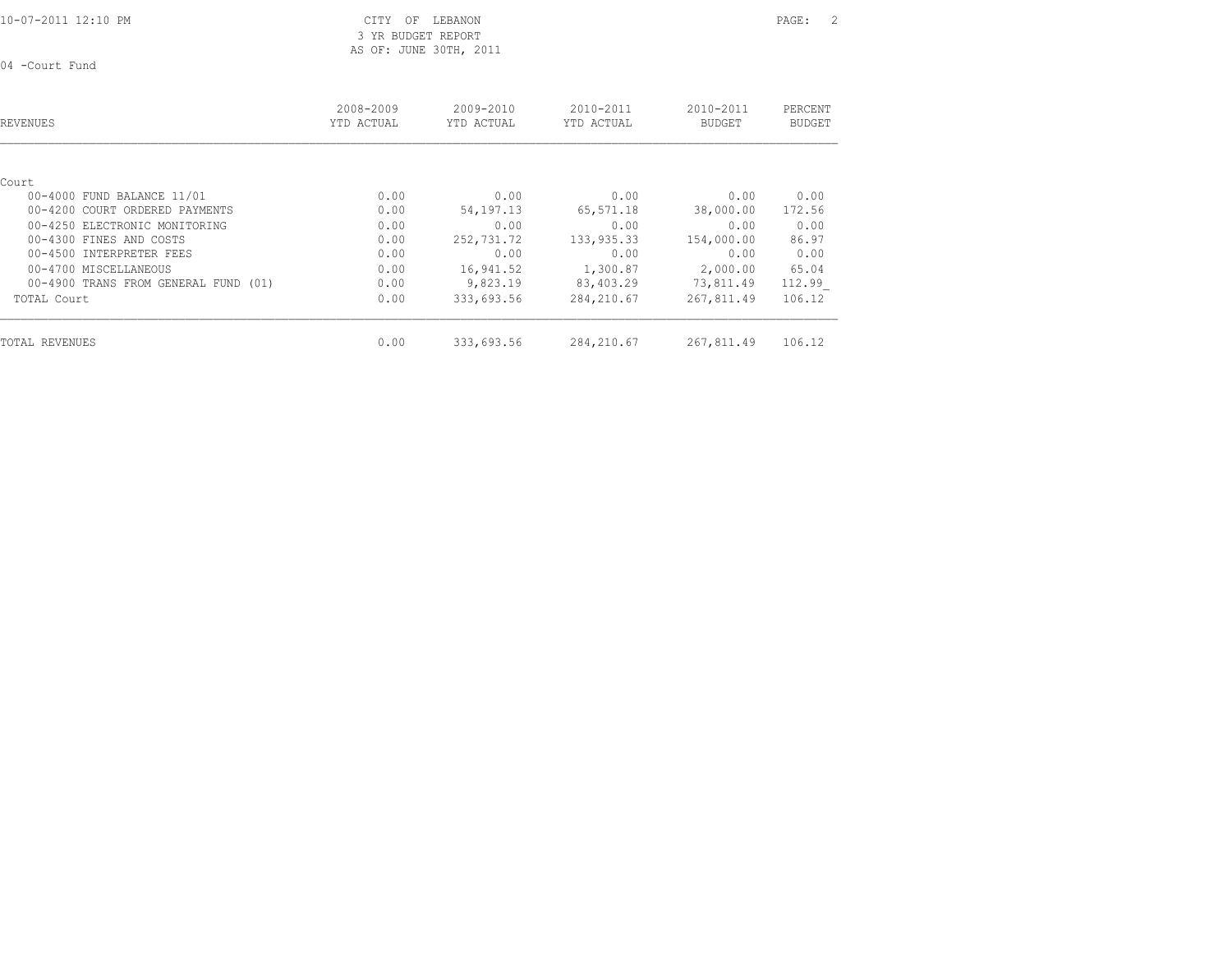CITY OF LEBANON PAGE: 2 3 YR BUDGET REPORT

AS OF: JUNE 30TH, 2011

04 -Court Fund

| REVENUES                             | 2008-2009<br>YTD ACTUAL | 2009-2010<br>YTD ACTUAL | 2010-2011<br>YTD ACTUAL | 2010-2011<br><b>BUDGET</b> | PERCENT<br><b>BUDGET</b> |
|--------------------------------------|-------------------------|-------------------------|-------------------------|----------------------------|--------------------------|
| Court                                |                         |                         |                         |                            |                          |
| 00-4000 FUND BALANCE 11/01           | 0.00                    | 0.00                    | 0.00                    | 0.00                       | 0.00                     |
| 00-4200 COURT ORDERED PAYMENTS       | 0.00                    | 54,197.13               | 65,571.18               | 38,000.00                  | 172.56                   |
| 00-4250 ELECTRONIC MONITORING        | 0.00                    | 0.00                    | 0.00                    | 0.00                       | 0.00                     |
| 00-4300 FINES AND COSTS              | 0.00                    | 252,731.72              | 133,935.33              | 154,000.00                 | 86.97                    |
| 00-4500 INTERPRETER FEES             | 0.00                    | 0.00                    | 0.00                    | 0.00                       | 0.00                     |
| 00-4700 MISCELLANEOUS                | 0.00                    | 16,941.52               | 1,300.87                | 2,000.00                   | 65.04                    |
| 00-4900 TRANS FROM GENERAL FUND (01) | 0.00                    | 9,823.19                | 83,403.29               | 73,811.49                  | 112.99                   |
| TOTAL Court                          | 0.00                    | 333,693.56              | 284, 210.67             | 267,811.49                 | 106.12                   |
| TOTAL REVENUES                       | 0.00                    | 333,693.56              | 284, 210.67             | 267,811.49                 | 106.12                   |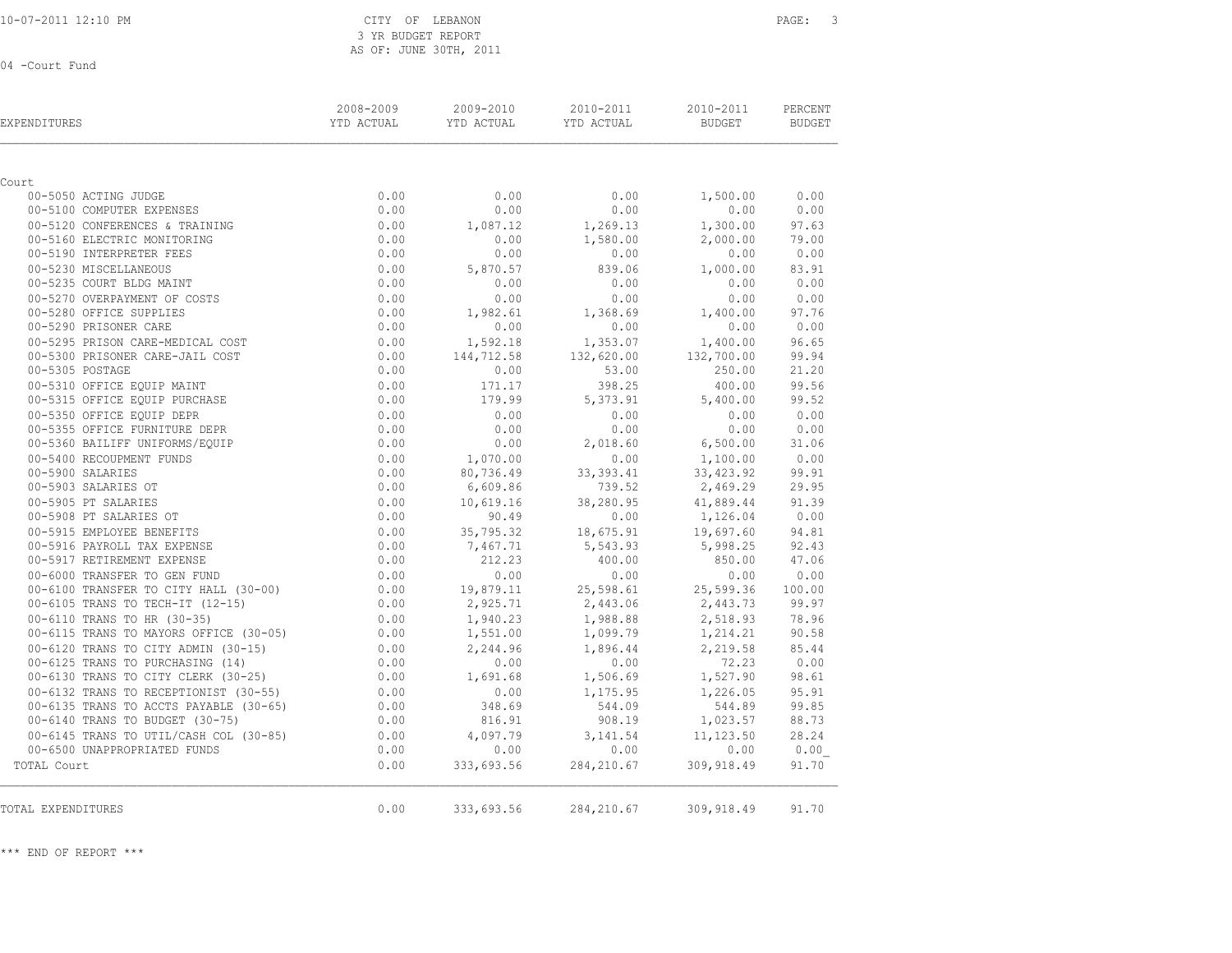CITY OF LEBANON PAGE: 3 3 YR BUDGET REPORT AS OF: JUNE 30TH, 2011

04 -Court Fund

| <b>EXPENDITURES</b>                                                        | 2008-2009<br>YTD ACTUAL | 2009-2010<br>YTD ACTUAL | 2010-2011<br>YTD ACTUAL | 2010-2011<br>BUDGET     | PERCENT<br>BUDGET |
|----------------------------------------------------------------------------|-------------------------|-------------------------|-------------------------|-------------------------|-------------------|
|                                                                            |                         |                         |                         |                         |                   |
| Court                                                                      |                         |                         |                         |                         |                   |
| 00-5050 ACTING JUDGE<br>00-5100 COMPUTER EXPENSES                          | 0.00<br>0.00            | 0.00<br>0.00            | 0.00<br>0.00            | 1,500.00<br>0.00        | 0.00<br>0.00      |
| 00-5120 CONFERENCES & TRAINING                                             | 0.00                    | 1,087.12                |                         | 1,300.00                | 97.63             |
| 00-5160 ELECTRIC MONITORING                                                | 0.00                    | 0.00                    | 1,269.13<br>1,580.00    | 2,000.00                | 79.00             |
| 00-5190 INTERPRETER FEES                                                   | 0.00                    | 0.00                    | 0.00                    | 0.00                    | 0.00              |
| 00-5230 MISCELLANEOUS                                                      | 0.00                    | 5,870.57                | 839.06                  | 1,000.00                | 83.91             |
| 00-5235 COURT BLDG MAINT                                                   | 0.00                    | 0.00                    | 0.00                    | 0.00                    | 0.00              |
| 00-5270 OVERPAYMENT OF COSTS                                               | 0.00                    | 0.00                    | 0.00                    | 0.00                    | 0.00              |
| 00-5280 OFFICE SUPPLIES                                                    | 0.00                    | 1,982.61                | 1,368.69                | 1,400.00                | 97.76             |
| 00-5290 PRISONER CARE                                                      | 0.00                    | 0.00                    | 0.00                    | 0.00                    | 0.00              |
| 00-5295 PRISON CARE-MEDICAL COST                                           | 0.00                    | 1,592.18                | 1,353.07                | 1,400.00                | 96.65             |
| 00-5300 PRISONER CARE-JAIL COST                                            | 0.00                    | 144,712.58              | 132,620.00              | 132,700.00              | 99.94             |
| 00-5305 POSTAGE                                                            | 0.00                    | 0.00                    | 53.00                   | 250.00                  | 21.20             |
| 00-5310 OFFICE EQUIP MAINT                                                 | 0.00                    | 171.17                  | 398.25                  | 400.00                  | 99.56             |
| 00-5315 OFFICE EQUIP PURCHASE                                              | 0.00                    | 179.99                  | 5,373.91                | 5,400.00                | 99.52             |
| 00-5350 OFFICE EQUIP DEPR                                                  | 0.00                    | 0.00                    | 0.00                    | 0.00                    | 0.00              |
| 00-5355 OFFICE FURNITURE DEPR                                              | 0.00                    | 0.00                    | 0.00                    | 0.00                    | 0.00              |
| 00-5360 BAILIFF UNIFORMS/EQUIP                                             | 0.00                    | 0.00                    | 2,018.60                | 6,500.00                | 31.06             |
| 00-5400 RECOUPMENT FUNDS                                                   | 0.00                    | 1,070.00                | 0.00                    | 1,100.00                | 0.00              |
| 00-5900 SALARIES                                                           | 0.00                    | 80,736.49               | 33, 393.41              | 33, 423.92              | 99.91             |
| 00-5903 SALARIES OT                                                        | 0.00                    | 6,609.86                | 739.52                  | 2,469.29                | 29.95             |
| 00-5905 PT SALARIES                                                        | 0.00                    | 10,619.16               | 38,280.95               | 41,889.44               | 91.39             |
| 00-5905 PT SALARIES<br>00-5908 PT SALARIES OT<br>00-5915 EMPLOYEE BENEFITS | 0.00                    | 90.49                   | 0.00                    | 1,126.04                | 0.00              |
| 00-5915 EMPLOYEE BENEFITS                                                  | 0.00                    | 35,795.32               | 18,675.91               | 19,697.60               | 94.81             |
| 00-5916 PAYROLL TAX EXPENSE                                                | 0.00                    | 7,467.71                | 5,543.93                | 5,998.25                | 92.43             |
| 00-5917 RETIREMENT EXPENSE                                                 | 0.00                    | 212.23                  | 400.00                  | 850.00                  | 47.06             |
| 00-6000 TRANSFER TO GEN FUND                                               | 0.00                    | 0.00                    | 0.00                    | 0.00                    | 0.00              |
| 00-6100 TRANSFER TO CITY HALL (30-00)                                      | 0.00                    | 19,879.11               | 25,598.61               | 25,599.36               | 100.00            |
| 00-6105 TRANS TO TECH-IT (12-15)                                           | 0.00                    | 2,925.71                | 2,443.06                | 2,443.73                | 99.97             |
| 00-6110 TRANS TO HR (30-35)                                                | 0.00                    | 1,940.23                | 1,988.88                | 2,518.93                | 78.96             |
| 00-6115 TRANS TO MAYORS OFFICE (30-05)                                     | 0.00                    | 1,551.00                | 1,099.79                | 1,214.21                | 90.58             |
| 00-6120 TRANS TO CITY ADMIN (30-15)                                        | 0.00                    | 2,244.96                | 1,896.44                | 2,219.58                | 85.44             |
| 00-6125 TRANS TO PURCHASING (14)                                           | 0.00                    | 0.00                    | 0.00                    | 72.23                   | 0.00              |
| 00-6130 TRANS TO CITY CLERK (30-25)                                        | 0.00                    | 1,691.68                | 1,506.69                | 1,527.90                | 98.61             |
| 00-6132 TRANS TO RECEPTIONIST (30-55)                                      | 0.00                    | 0.00                    | 1,175.95                | 1,226.05                | 95.91             |
| 00-6135 TRANS TO ACCTS PAYABLE (30-65)                                     | 0.00                    | 348.69                  | 544.09                  | 544.89                  | 99.85             |
| 00-6140 TRANS TO BUDGET (30-75)                                            | 0.00                    | 816.91                  | 908.19                  | 1,023.57                | 88.73<br>28.24    |
| 00-6145 TRANS TO UTIL/CASH COL (30-85)<br>00-6500 UNAPPROPRIATED FUNDS     | 0.00<br>0.00            | 4,097.79<br>0.00        | 3,141.54<br>0.00        | 11,123.50<br>0.00       |                   |
| TOTAL Court                                                                | 0.00                    |                         |                         |                         | 0.00<br>91.70     |
|                                                                            |                         | 333,693.56              | 284, 210.67             | 309,918.49              |                   |
| TOTAL EXPENDITURES                                                         | 0.00                    | 333,693.56              |                         | 284, 210.67 309, 918.49 | 91.70             |

\*\*\* END OF REPORT \*\*\*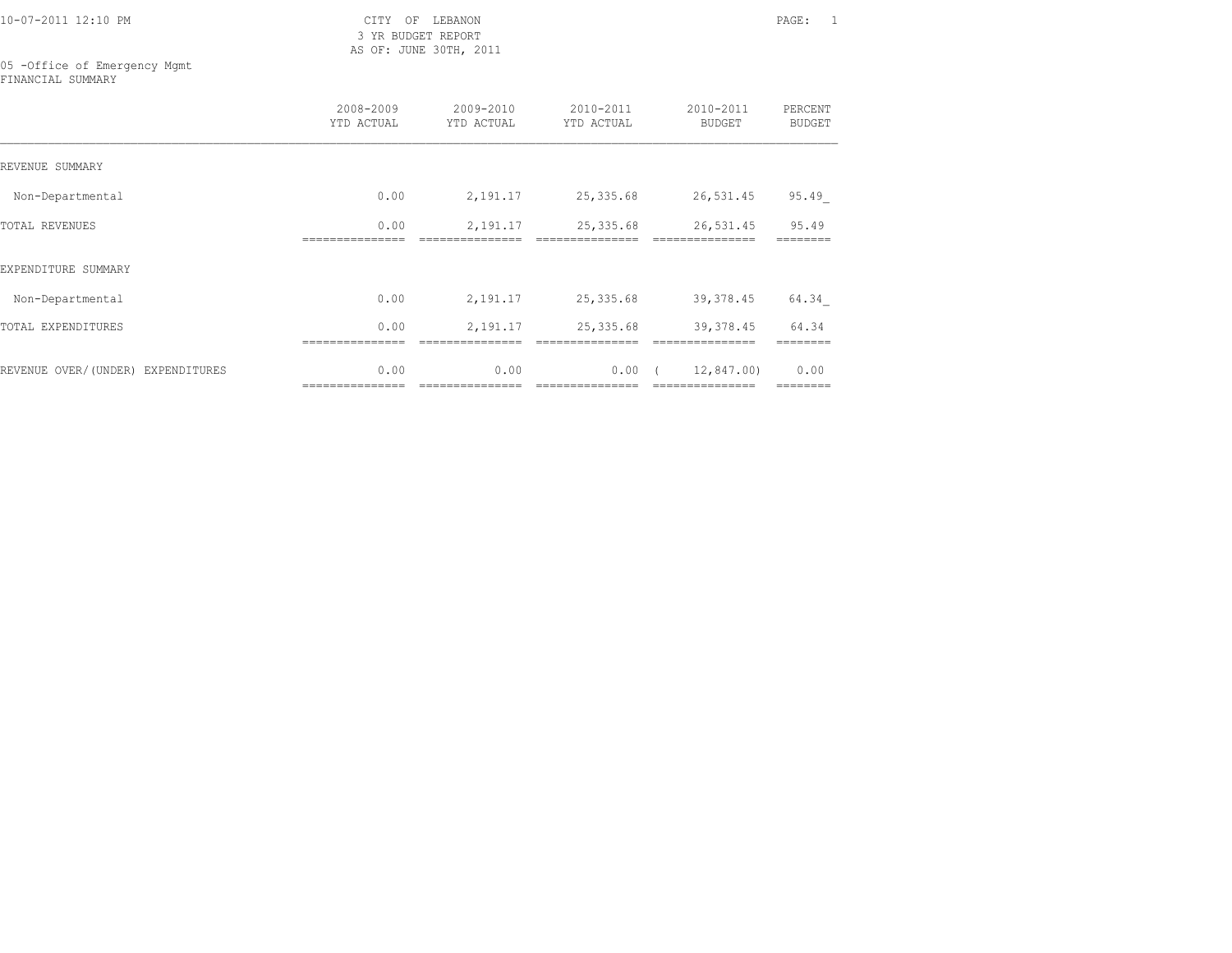3 YR BUDGET REPORT AS OF: JUNE 30TH, 2011

05 -Office of Emergency Mgmt FINANCIAL SUMMARY

|                                   | 2008-2009<br>YTD ACTUAL | 2009-2010<br>YTD ACTUAL | 2010-2011<br>YTD ACTUAL | 2010-2011<br><b>BUDGET</b>    | PERCENT<br><b>BUDGET</b> |
|-----------------------------------|-------------------------|-------------------------|-------------------------|-------------------------------|--------------------------|
| REVENUE SUMMARY                   |                         |                         |                         |                               |                          |
| Non-Departmental                  | 0.00                    | 2,191.17                | 25, 335.68              | 26,531.45                     | 95.49                    |
| <b>TOTAL REVENUES</b>             | 0.00                    | 2,191.17                | 25, 335.68              | 26,531.45                     | 95.49                    |
| EXPENDITURE SUMMARY               |                         |                         |                         |                               |                          |
| Non-Departmental                  | 0.00                    | 2,191.17                | 25,335.68               | 39, 378.45                    | 64.34                    |
| TOTAL EXPENDITURES                | 0.00                    | 2,191.17                | 25, 335.68              | 39,378.45                     | 64.34                    |
| REVENUE OVER/(UNDER) EXPENDITURES | 0.00<br>=============== | 0.00                    | 0.00                    | 12,847.00)<br>--------------- | 0.00<br>========         |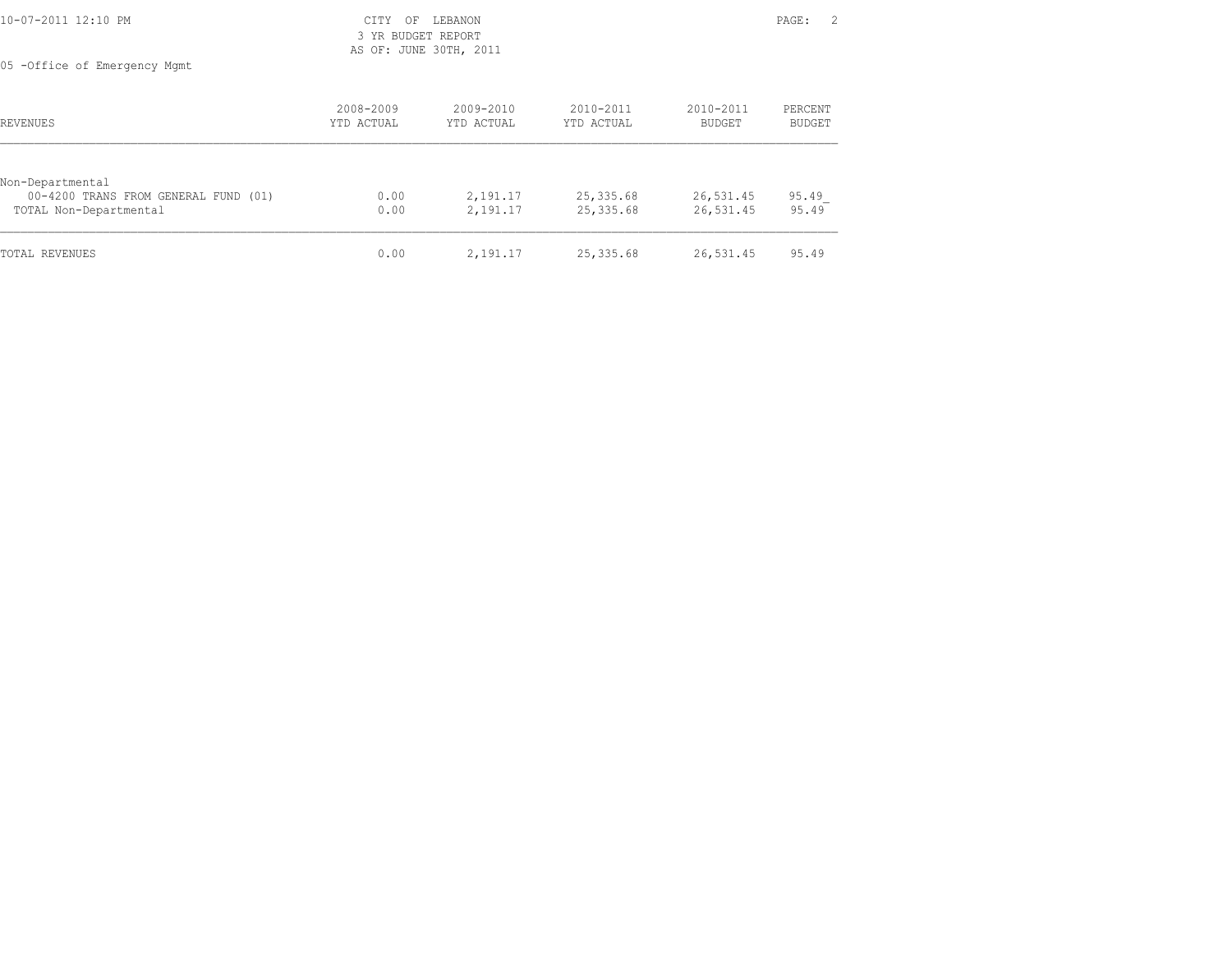| 10-07-2011 12:10 PM          | CITY OF LEBANON                              | PAGE: 2 |
|------------------------------|----------------------------------------------|---------|
|                              | 3 YR BUDGET REPORT<br>AS OF: JUNE 30TH, 2011 |         |
| 05 -Office of Emergency Mgmt |                                              |         |

| REVENUES                                                                           | 2008-2009<br>YTD ACTUAL | $2009 - 2010$<br>YTD ACTUAL | 2010-2011<br>YTD ACTUAL | 2010-2011<br>BUDGET    | PERCENT<br>BUDGET |
|------------------------------------------------------------------------------------|-------------------------|-----------------------------|-------------------------|------------------------|-------------------|
| Non-Departmental<br>00-4200 TRANS FROM GENERAL FUND (01)<br>TOTAL Non-Departmental | 0.00<br>0.00            | 2,191.17<br>2,191.17        | 25,335.68<br>25,335.68  | 26,531.45<br>26,531.45 | 95.49<br>95.49    |
| TOTAL REVENUES                                                                     | 0.00                    | 2,191.17                    | 25,335.68               | 26,531.45              | 95.49             |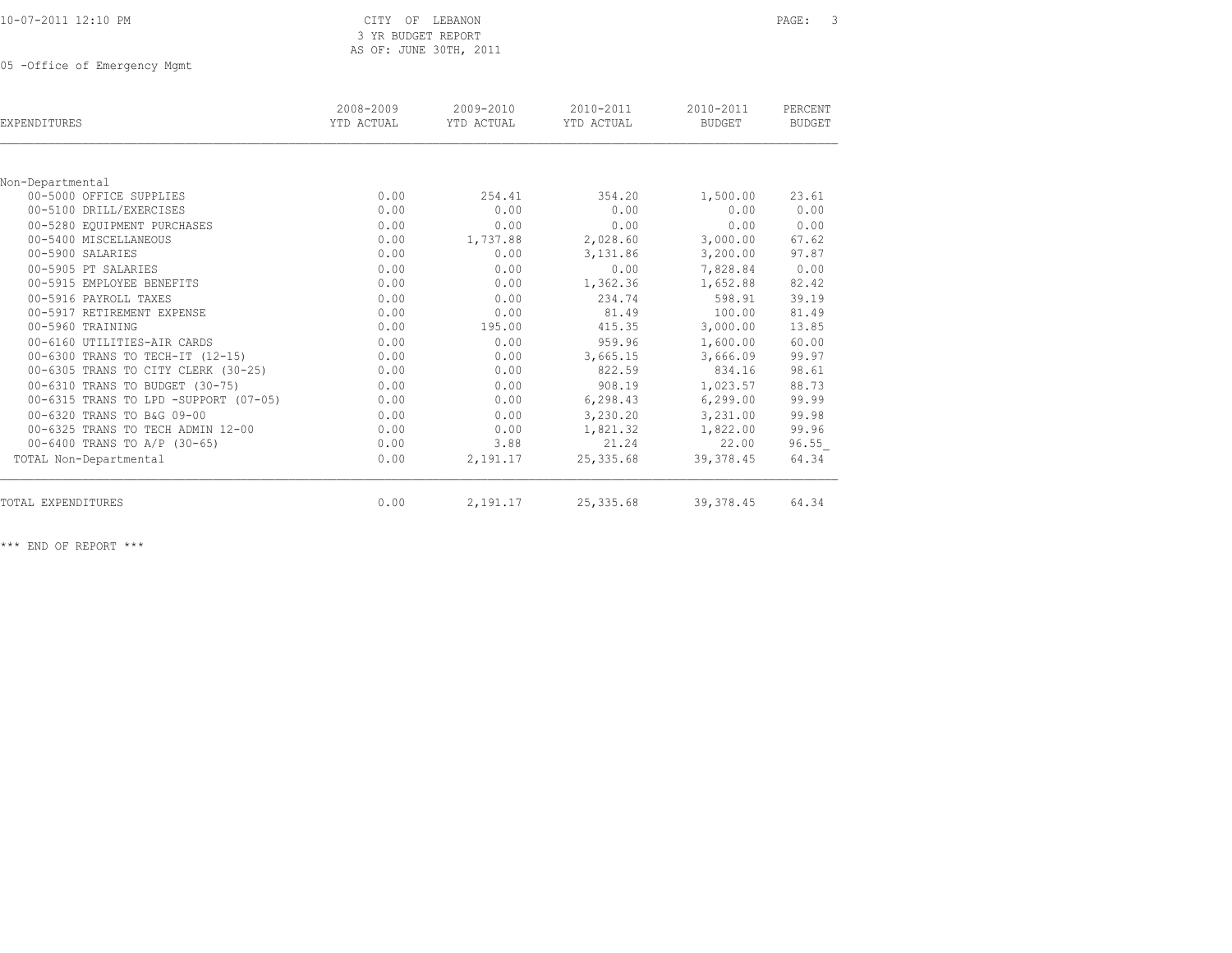| 10-07-2011 12:10 PM |  |  |  |
|---------------------|--|--|--|
|---------------------|--|--|--|

# CITY OF LEBANON PAGE: 3 3 YR BUDGET REPORT AS OF: JUNE 30TH, 2011

05 -Office of Emergency Mgmt

| EXPENDITURES                          | 2008-2009<br>YTD ACTUAL | 2009-2010<br>YTD ACTUAL | 2010-2011<br>YTD ACTUAL | 2010-2011<br>BUDGET | PERCENT<br><b>BUDGET</b> |
|---------------------------------------|-------------------------|-------------------------|-------------------------|---------------------|--------------------------|
|                                       |                         |                         |                         |                     |                          |
| Non-Departmental                      |                         |                         |                         |                     |                          |
| 00-5000 OFFICE SUPPLIES               | 0.00                    | 254.41                  | 354.20                  | 1,500.00            | 23.61                    |
| 00-5100 DRILL/EXERCISES               | 0.00                    | 0.00                    | 0.00                    | 0.00                | 0.00                     |
| 00-5280 EQUIPMENT PURCHASES           | 0.00                    | 0.00                    | 0.00                    | 0.00                | 0.00                     |
| 00-5400 MISCELLANEOUS                 | 0.00                    | 1,737.88                | 2,028.60                | 3,000.00            | 67.62                    |
| 00-5900 SALARIES                      | 0.00                    | 0.00                    | 3,131.86                | 3,200.00            | 97.87                    |
| 00-5905 PT SALARIES                   | 0.00                    | 0.00                    | 0.00                    | 7,828.84            | 0.00                     |
| 00-5915 EMPLOYEE BENEFITS             | 0.00                    | 0.00                    | 1,362.36                | 1,652.88            | 82.42                    |
| 00-5916 PAYROLL TAXES                 | 0.00                    | 0.00                    | 234.74                  | 598.91              | 39.19                    |
| 00-5917 RETIREMENT EXPENSE            | 0.00                    | 0.00                    | 81.49                   | 100.00              | 81.49                    |
| 00-5960 TRAINING                      | 0.00                    | 195.00                  | 415.35                  | 3,000.00            | 13.85                    |
| 00-6160 UTILITIES-AIR CARDS           | 0.00                    | 0.00                    | 959.96                  | 1,600.00            | 60.00                    |
| 00-6300 TRANS TO TECH-IT (12-15)      | 0.00                    | 0.00                    | 3,665.15                | 3,666.09            | 99.97                    |
| 00-6305 TRANS TO CITY CLERK (30-25)   | 0.00                    | 0.00                    | 822.59                  | 834.16              | 98.61                    |
| 00-6310 TRANS TO BUDGET (30-75)       | 0.00                    | 0.00                    | 908.19                  | 1,023.57            | 88.73                    |
| 00-6315 TRANS TO LPD -SUPPORT (07-05) | 0.00                    | 0.00                    | 6,298.43                | 6, 299.00           | 99.99                    |
| 00-6320 TRANS TO B&G 09-00            | 0.00                    | 0.00                    | 3,230.20                | 3,231.00            | 99.98                    |
| 00-6325 TRANS TO TECH ADMIN 12-00     | 0.00                    | 0.00                    | 1,821.32                | 1,822.00            | 99.96                    |
| 00-6400 TRANS TO A/P (30-65)          | 0.00                    | 3.88                    | 21.24                   | 22.00               | 96.55                    |
| TOTAL Non-Departmental                | 0.00                    | 2,191.17                | 25, 335.68              | 39, 378.45          | 64.34                    |
| TOTAL EXPENDITURES                    | 0.00                    | 2,191.17                | 25, 335.68              | 39, 378.45          | 64.34                    |

\*\*\* END OF REPORT \*\*\*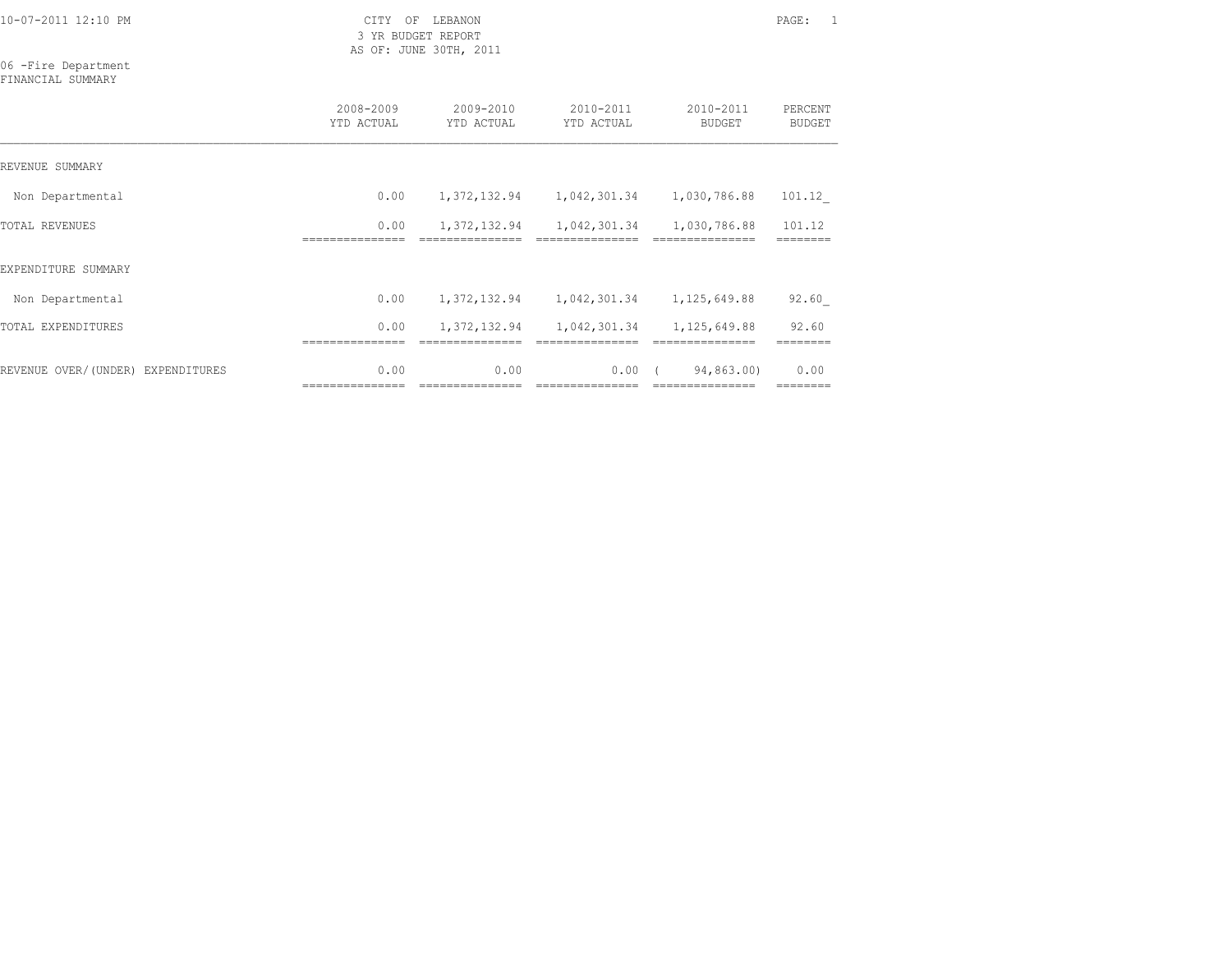3 YR BUDGET REPORT AS OF: JUNE 30TH, 2011

#### 06 -Fire Department FINANCIAL SUMMARY

|                                   | 2008-2009<br>YTD ACTUAL  | 2009-2010<br>YTD ACTUAL  | 2010-2011<br>YTD ACTUAL | 2010-2011<br><b>BUDGET</b>     | PERCENT<br><b>BUDGET</b> |
|-----------------------------------|--------------------------|--------------------------|-------------------------|--------------------------------|--------------------------|
| REVENUE SUMMARY                   |                          |                          |                         |                                |                          |
| Non Departmental                  | 0.00                     | 1,372,132.94             | 1,042,301.34            | 1,030,786.88                   | 101.12                   |
| TOTAL REVENUES                    | 0.00                     | 1,372,132.94             | 1,042,301.34            | 1,030,786.88                   | 101.12                   |
| EXPENDITURE SUMMARY               |                          |                          |                         |                                |                          |
| Non Departmental                  | 0.00                     | 1,372,132.94             | 1,042,301.34            | 1,125,649.88                   | 92.60                    |
| TOTAL EXPENDITURES                | 0.00                     | 1,372,132.94             | 1,042,301.34            | 1,125,649.88                   | 92.60                    |
| REVENUE OVER/(UNDER) EXPENDITURES | 0.00<br>================ | 0.00<br>---------------- | 0.00                    | 94,863.00)<br>================ | 0.00                     |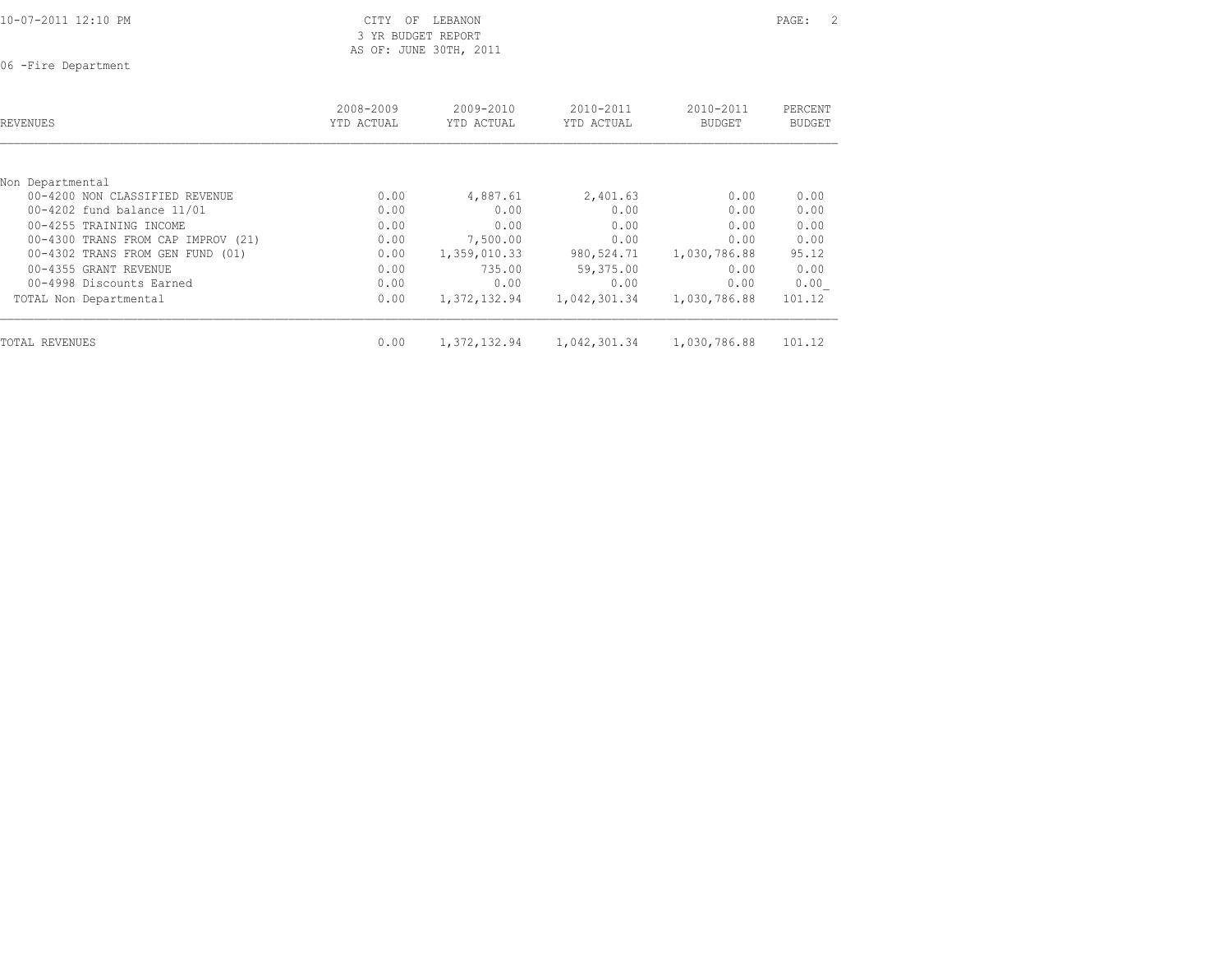3 YR BUDGET REPORT AS OF: JUNE 30TH, 2011

06 -Fire Department

| REVENUES                           | 2008-2009<br>YTD ACTUAL | $2009 - 2010$<br>YTD ACTUAL | $2010 - 2011$<br>YTD ACTUAL | 2010-2011<br><b>BUDGET</b> | PERCENT<br>BUDGET |
|------------------------------------|-------------------------|-----------------------------|-----------------------------|----------------------------|-------------------|
| Non Departmental                   |                         |                             |                             |                            |                   |
| 00-4200 NON CLASSIFIED REVENUE     | 0.00                    | 4,887.61                    | 2,401.63                    | 0.00                       | 0.00              |
| 00-4202 fund balance 11/01         | 0.00                    | 0.00                        | 0.00                        | 0.00                       | 0.00              |
| 00-4255 TRAINING INCOME            | 0.00                    | 0.00                        | 0.00                        | 0.00                       | 0.00              |
| 00-4300 TRANS FROM CAP IMPROV (21) | 0.00                    | 7,500.00                    | 0.00                        | 0.00                       | 0.00              |
| 00-4302 TRANS FROM GEN FUND (01)   | 0.00                    | 1,359,010.33                | 980,524.71                  | 1,030,786.88               | 95.12             |
| 00-4355 GRANT REVENUE              | 0.00                    | 735.00                      | 59,375.00                   | 0.00                       | 0.00              |
| 00-4998 Discounts Earned           | 0.00                    | 0.00                        | 0.00                        | 0.00                       | 0.00              |
| TOTAL Non Departmental             | 0.00                    | 1,372,132.94                | 1,042,301.34                | 1,030,786.88               | 101.12            |
| TOTAL REVENUES                     | 0.00                    | 1,372,132.94                | 1,042,301.34                | 1,030,786.88               | 101.12            |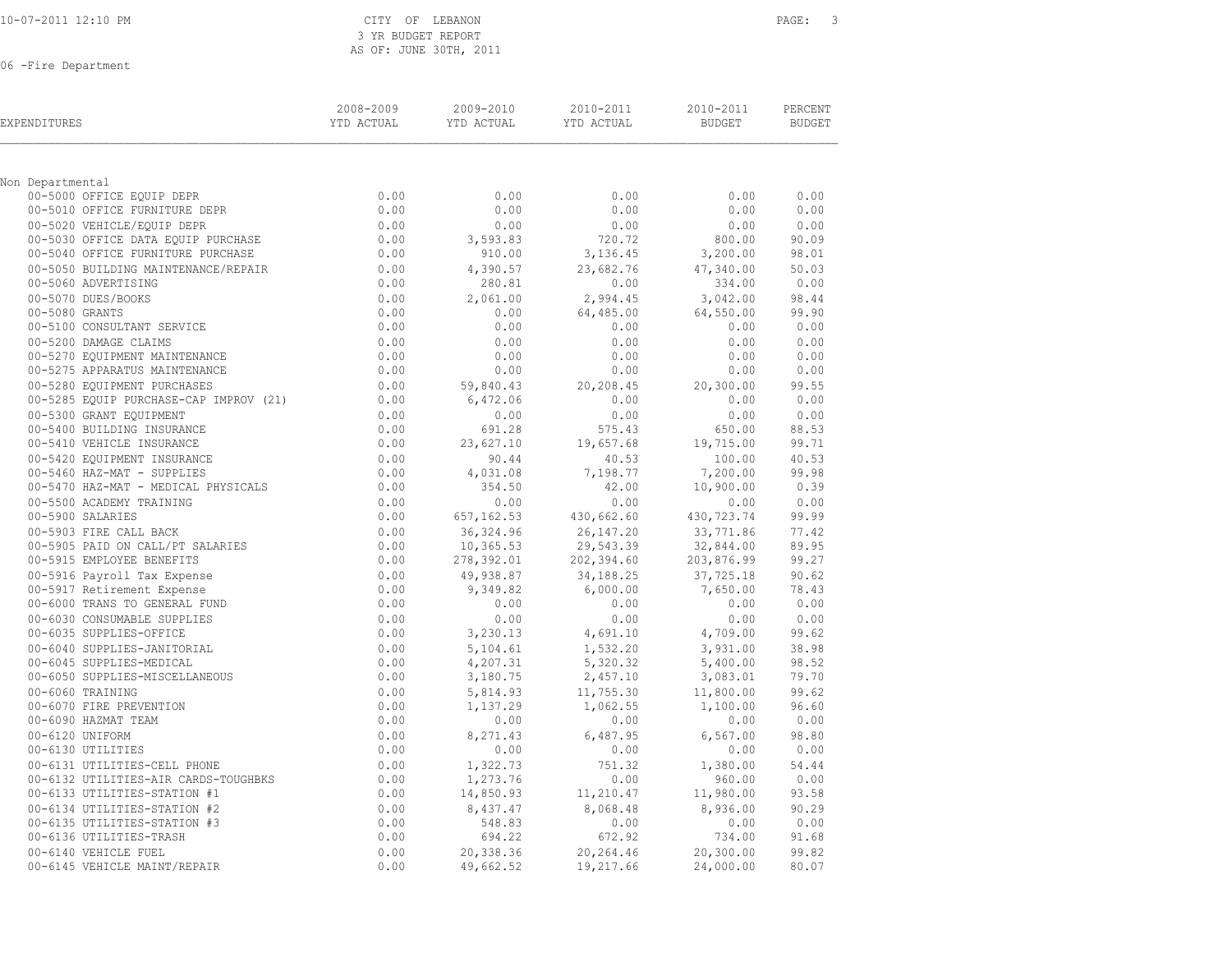| 10-07-2011 12:10 PM |  |  |
|---------------------|--|--|
|                     |  |  |

# CITY OF LEBANON **PAGE:** 3 3 YR BUDGET REPORT AS OF: JUNE 30TH, 2011

06 -Fire Department

| EXPENDITURES                           | 2008-2009<br>YTD ACTUAL | 2009-2010<br>YTD ACTUAL | 2010-2011<br>YTD ACTUAL | 2010-2011<br><b>BUDGET</b> | PERCENT<br><b>BUDGET</b> |
|----------------------------------------|-------------------------|-------------------------|-------------------------|----------------------------|--------------------------|
|                                        |                         |                         |                         |                            |                          |
| Non Departmental                       |                         |                         |                         |                            |                          |
| 00-5000 OFFICE EQUIP DEPR              | 0.00                    | 0.00                    | 0.00                    | 0.00                       | 0.00                     |
| 00-5010 OFFICE FURNITURE DEPR          | 0.00                    | 0.00                    | 0.00                    | 0.00                       | 0.00                     |
| 00-5020 VEHICLE/EQUIP DEPR             | 0.00                    | 0.00                    | 0.00                    | 0.00                       | 0.00                     |
| 00-5030 OFFICE DATA EQUIP PURCHASE     | 0.00                    | 3,593.83                | 720.72                  | 800.00                     | 90.09                    |
| 00-5040 OFFICE FURNITURE PURCHASE      | 0.00                    | 910.00                  | 3,136.45                | 3,200.00                   | 98.01                    |
| 00-5050 BUILDING MAINTENANCE/REPAIR    | 0.00                    | 4,390.57                | 23,682.76               | 47,340.00                  | 50.03                    |
| 00-5060 ADVERTISING                    | 0.00                    | 280.81                  | 0.00                    | 334.00                     | 0.00                     |
| 00-5070 DUES/BOOKS                     | 0.00                    | 2,061.00                | 2,994.45                | 3,042.00                   | 98.44                    |
| 00-5080 GRANTS                         | 0.00                    | 0.00                    | 64,485.00               | 64,550.00                  | 99.90                    |
| 00-5100 CONSULTANT SERVICE             | 0.00                    | 0.00                    | 0.00                    | 0.00                       | 0.00                     |
| 00-5200 DAMAGE CLAIMS                  | 0.00                    | 0.00                    | 0.00                    | 0.00                       | 0.00                     |
| 00-5270 EQUIPMENT MAINTENANCE          | 0.00                    | 0.00                    | 0.00                    | 0.00                       | 0.00                     |
| 00-5275 APPARATUS MAINTENANCE          | 0.00                    | 0.00                    | 0.00                    | 0.00                       | 0.00                     |
| 00-5280 EQUIPMENT PURCHASES            | 0.00                    | 59,840.43               | 20,208.45               | 20,300.00                  | 99.55                    |
| 00-5285 EQUIP PURCHASE-CAP IMPROV (21) | 0.00                    | 6,472.06                | 0.00                    | 0.00                       | 0.00                     |
| 00-5300 GRANT EQUIPMENT                | 0.00                    | 0.00                    | 0.00                    | 0.00                       | 0.00                     |
| 00-5400 BUILDING INSURANCE             | 0.00                    | 691.28                  | 575.43                  | 650.00                     | 88.53                    |
| 00-5410 VEHICLE INSURANCE              | 0.00                    | 23,627.10               | 19,657.68               | 19,715.00                  | 99.71                    |
| 00-5420 EQUIPMENT INSURANCE            | 0.00                    | 90.44                   | 40.53                   | 100.00                     | 40.53                    |
| 00-5460 HAZ-MAT - SUPPLIES             | 0.00                    | 4,031.08                | 7,198.77                | 7,200.00                   | 99.98                    |
| 00-5470 HAZ-MAT - MEDICAL PHYSICALS    | 0.00                    | 354.50                  | 42.00                   | 10,900.00                  | 0.39                     |
| 00-5500 ACADEMY TRAINING               | 0.00                    | 0.00                    | 0.00                    | 0.00                       | 0.00                     |
| 00-5900 SALARIES                       | 0.00                    | 657, 162.53             | 430,662.60              | 430,723.74                 | 99.99                    |
| 00-5903 FIRE CALL BACK                 | 0.00                    | 36, 324.96              | 26, 147.20              | 33,771.86                  | 77.42                    |
| 00-5905 PAID ON CALL/PT SALARIES       | 0.00                    | 10,365.53               | 29,543.39               | 32,844.00                  | 89.95                    |
| 00-5915 EMPLOYEE BENEFITS              | 0.00                    | 278,392.01              | 202,394.60              | 203,876.99                 | 99.27                    |
| 00-5916 Payroll Tax Expense            | 0.00                    | 49,938.87               | 34,188.25               | 37,725.18                  | 90.62                    |
| 00-5917 Retirement Expense             | 0.00                    | 9,349.82                | 6,000.00                | 7,650.00                   | 78.43                    |
| 00-6000 TRANS TO GENERAL FUND          | 0.00                    | 0.00                    | 0.00                    | 0.00                       | 0.00                     |
| 00-6030 CONSUMABLE SUPPLIES            | 0.00                    | 0.00                    | 0.00                    | 0.00                       | 0.00                     |
| 00-6035 SUPPLIES-OFFICE                | 0.00                    | 3,230.13                | 4,691.10                | 4,709.00                   | 99.62                    |
| 00-6040 SUPPLIES-JANITORIAL            | 0.00                    | 5,104.61                | 1,532.20                | 3,931.00                   | 38.98                    |
| 00-6045 SUPPLIES-MEDICAL               | 0.00                    | 4,207.31                | 5,320.32                | 5,400.00                   | 98.52                    |
| 00-6050 SUPPLIES-MISCELLANEOUS         | 0.00                    | 3,180.75                | 2,457.10                | 3,083.01                   | 79.70                    |
| 00-6060 TRAINING                       | 0.00                    | 5,814.93                | 11,755.30               | 11,800.00                  | 99.62                    |
| 00-6070 FIRE PREVENTION                | 0.00                    | 1,137.29                | 1,062.55                | 1,100.00                   | 96.60                    |
| 00-6090 HAZMAT TEAM                    | 0.00                    | 0.00                    | 0.00                    | 0.00                       | 0.00                     |
| 00-6120 UNIFORM                        | 0.00                    | 8,271.43                | 6,487.95                | 6, 567.00                  | 98.80                    |
| 00-6130 UTILITIES                      | 0.00                    | 0.00                    | 0.00                    | 0.00                       | 0.00                     |
| 00-6131 UTILITIES-CELL PHONE           | 0.00                    | 1,322.73                | 751.32                  | 1,380.00                   | 54.44                    |
| 00-6132 UTILITIES-AIR CARDS-TOUGHBKS   | 0.00                    | 1,273.76                | 0.00                    | 960.00                     | 0.00                     |
| 00-6133 UTILITIES-STATION #1           | 0.00                    | 14,850.93               | 11,210.47               | 11,980.00                  | 93.58                    |
| 00-6134 UTILITIES-STATION #2           | 0.00                    | 8,437.47                | 8,068.48                | 8,936.00                   | 90.29                    |
| 00-6135 UTILITIES-STATION #3           | 0.00                    | 548.83                  | 0.00                    | 0.00                       | 0.00                     |
| 00-6136 UTILITIES-TRASH                | 0.00                    | 694.22                  | 672.92                  | 734.00                     | 91.68                    |
| 00-6140 VEHICLE FUEL                   | 0.00                    | 20,338.36               | 20,264.46               | 20,300.00                  | 99.82                    |
| 00-6145 VEHICLE MAINT/REPAIR           | 0.00                    | 49,662.52               | 19,217.66               | 24,000.00                  | 80.07                    |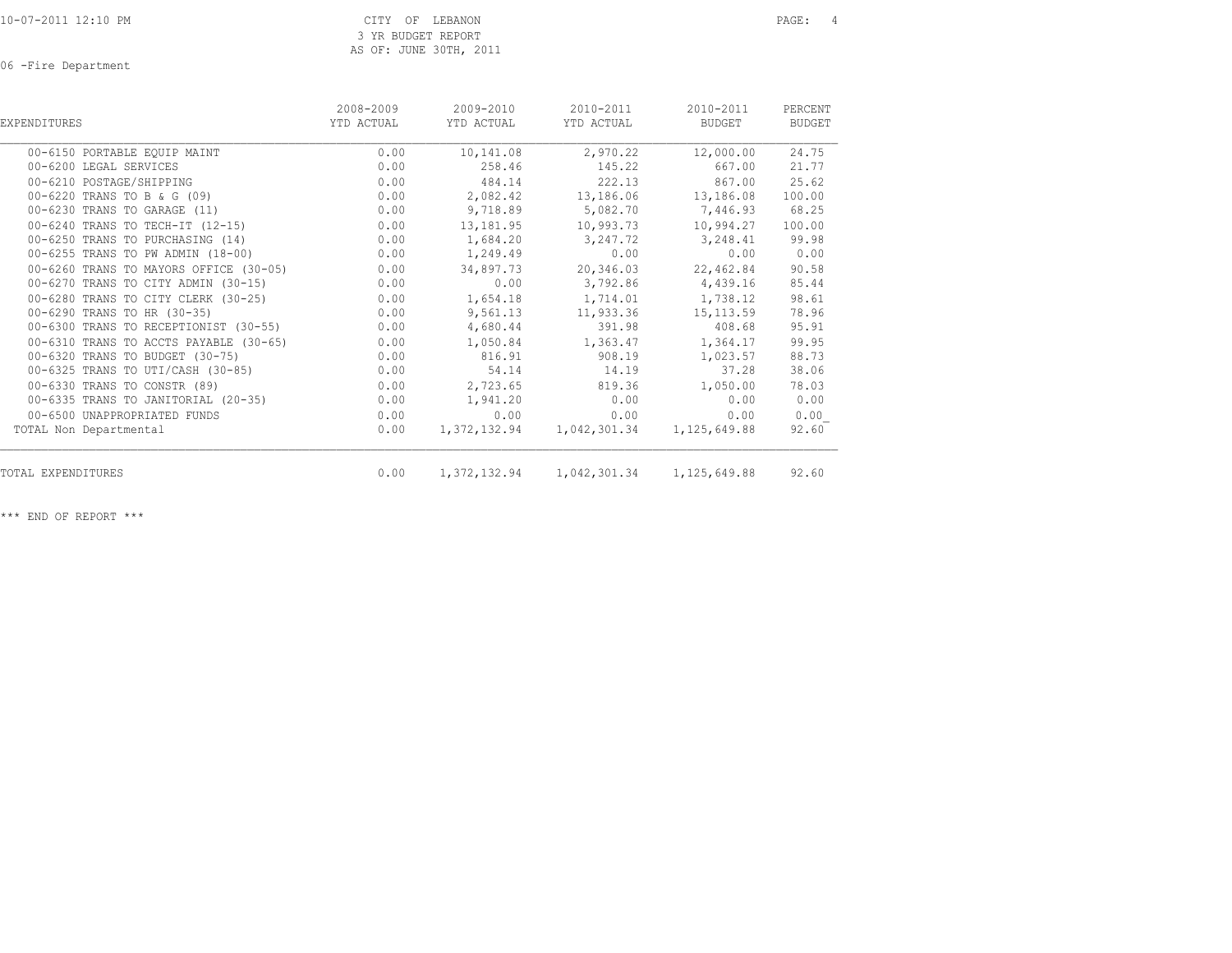06 -Fire Department

| EXPENDITURES                           | 2008-2009<br>YTD ACTUAL | 2009-2010<br>YTD ACTUAL | 2010-2011<br>YTD ACTUAL   | 2010-2011<br>BUDGET | PERCENT<br><b>BUDGET</b> |
|----------------------------------------|-------------------------|-------------------------|---------------------------|---------------------|--------------------------|
| 00-6150 PORTABLE EQUIP MAINT           | 0.00                    | 10,141.08               | 2,970.22                  | 12,000.00           | 24.75                    |
| 00-6200 LEGAL SERVICES                 | 0.00                    | 258.46                  | 145.22                    | 667.00              | 21.77                    |
| 00-6210 POSTAGE/SHIPPING               | 0.00                    | 484.14                  | 222.13                    | 867.00              | 25.62                    |
| 00-6220 TRANS TO B & G (09)            | 0.00                    | 2,082.42                | 13,186.06                 | 13,186.08           | 100.00                   |
| 00-6230 TRANS TO GARAGE (11)           | 0.00                    | 9,718.89                | 5,082.70                  | 7,446.93            | 68.25                    |
| 00-6240 TRANS TO TECH-IT (12-15)       | 0.00                    | 13,181.95               | 10,993.73                 | 10,994.27           | 100.00                   |
| 00-6250 TRANS TO PURCHASING (14)       | 0.00                    | 1,684.20                | 3,247.72                  | 3,248.41            | 99.98                    |
| 00-6255 TRANS TO PW ADMIN (18-00)      | 0.00                    | 1,249.49                | 0.00                      | 0.00                | 0.00                     |
| 00-6260 TRANS TO MAYORS OFFICE (30-05) | 0.00                    | 34,897.73               | 20,346.03                 | 22,462.84           | 90.58                    |
| 00-6270 TRANS TO CITY ADMIN (30-15)    | 0.00                    | 0.00                    | 3,792.86                  | 4,439.16            | 85.44                    |
| 00-6280 TRANS TO CITY CLERK (30-25)    | 0.00                    | 1,654.18                | 1,714.01                  | 1,738.12            | 98.61                    |
| 00-6290 TRANS TO HR (30-35)            | 0.00                    | 9,561.13                | 11,933.36                 | 15, 113.59          | 78.96                    |
| 00-6300 TRANS TO RECEPTIONIST (30-55)  | 0.00                    | 4,680.44                | 391.98                    | 408.68              | 95.91                    |
| 00-6310 TRANS TO ACCTS PAYABLE (30-65) | 0.00                    | 1,050.84                | 1,363.47                  | 1,364.17            | 99.95                    |
| 00-6320 TRANS TO BUDGET (30-75)        | 0.00                    | 816.91                  | 908.19                    | 1,023.57            | 88.73                    |
| 00-6325 TRANS TO UTI/CASH (30-85)      | 0.00                    | 54.14                   | 14.19                     | 37.28               | 38.06                    |
| 00-6330 TRANS TO CONSTR (89)           | 0.00                    | 2,723.65                | 819.36                    | 1,050.00            | 78.03                    |
| 00-6335 TRANS TO JANITORIAL (20-35)    | 0.00                    | 1,941.20                | 0.00                      | 0.00                | 0.00                     |
| 00-6500 UNAPPROPRIATED FUNDS           | 0.00                    | 0.00                    | 0.00                      | 0.00                | 0.00                     |
| TOTAL Non Departmental                 | 0.00                    |                         | 1,372,132.94 1,042,301.34 | 1,125,649.88        | 92.60                    |
| TOTAL EXPENDITURES                     | 0.00                    |                         | 1,372,132.94 1,042,301.34 | 1,125,649.88        | 92.60                    |

\*\*\* END OF REPORT \*\*\*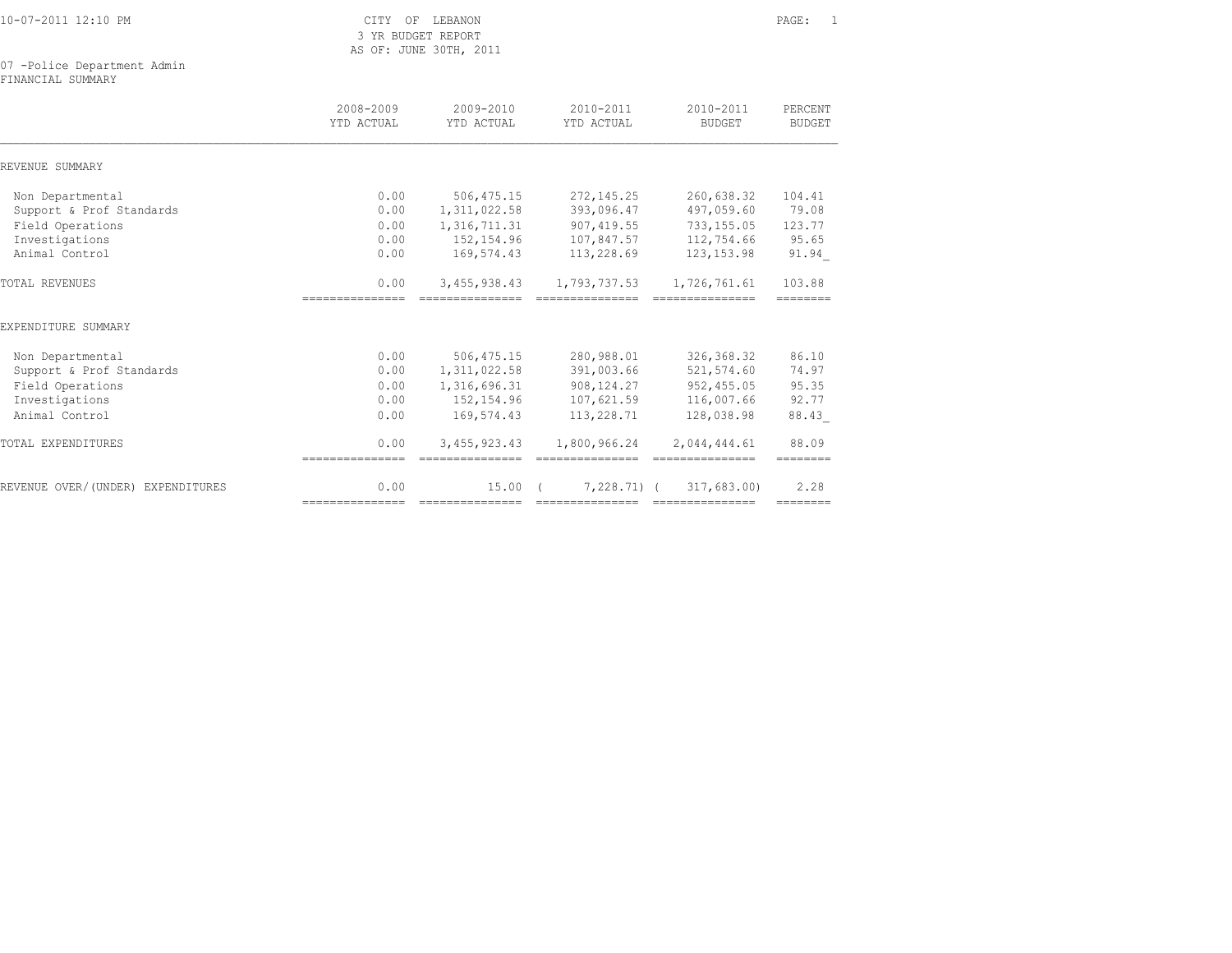| 10-07-2011 12:10 PM |  |  |  |
|---------------------|--|--|--|
|---------------------|--|--|--|

CITY OF LEBANON PAGE: 1 3 YR BUDGET REPORT AS OF: JUNE 30TH, 2011

07 -Police Department Admin

FINANCIAL SUMMARY

|                                   | 2008-2009<br>YTD ACTUAL | $2009 - 2010$<br>YTD ACTUAL | $2010 - 2011$<br>YTD ACTUAL | $2010 - 2011$<br><b>BUDGET</b> | PERCENT<br><b>BUDGET</b> |
|-----------------------------------|-------------------------|-----------------------------|-----------------------------|--------------------------------|--------------------------|
| REVENUE SUMMARY                   |                         |                             |                             |                                |                          |
| Non Departmental                  | 0.00                    | 506, 475.15                 | 272, 145.25                 | 260,638.32                     | 104.41                   |
| Support & Prof Standards          | 0.00                    | 1,311,022.58                | 393,096.47                  | 497,059.60                     | 79.08                    |
| Field Operations                  | 0.00                    | 1, 316, 711.31              | 907, 419.55                 | 733, 155.05                    | 123.77                   |
| Investigations                    | 0.00                    | 152,154.96                  | 107,847.57                  | 112,754.66                     | 95.65                    |
| Animal Control                    | 0.00                    | 169,574.43                  | 113,228.69                  | 123, 153.98                    | 91.94                    |
| <b>TOTAL REVENUES</b>             | 0.00                    | 3,455,938.43                | 1,793,737.53                | 1,726,761.61                   | 103.88                   |
| EXPENDITURE SUMMARY               |                         |                             |                             |                                |                          |
| Non Departmental                  | 0.00                    | 506, 475.15                 | 280,988.01                  | 326, 368.32                    | 86.10                    |
| Support & Prof Standards          | 0.00                    | 1, 311, 022.58              | 391,003.66                  | 521,574.60                     | 74.97                    |
| Field Operations                  | 0.00                    | 1,316,696.31                | 908, 124.27                 | 952,455.05                     | 95.35                    |
| Investigations                    | 0.00                    | 152, 154.96                 | 107,621.59                  | 116,007.66                     | 92.77                    |
| Animal Control                    | 0.00                    | 169,574.43                  | 113,228.71                  | 128,038.98                     | 88.43                    |
| TOTAL EXPENDITURES                | 0.00                    | 3,455,923.43                | 1,800,966.24                | 2,044,444.61                   | 88.09                    |
|                                   | ===============         |                             |                             |                                | ========                 |
| REVENUE OVER/(UNDER) EXPENDITURES | 0.00                    | 15.00                       | $7,228,71$ (                | 317,683,00)                    | 2.28                     |
|                                   | ===============         |                             | ===============             | ===============                | ========                 |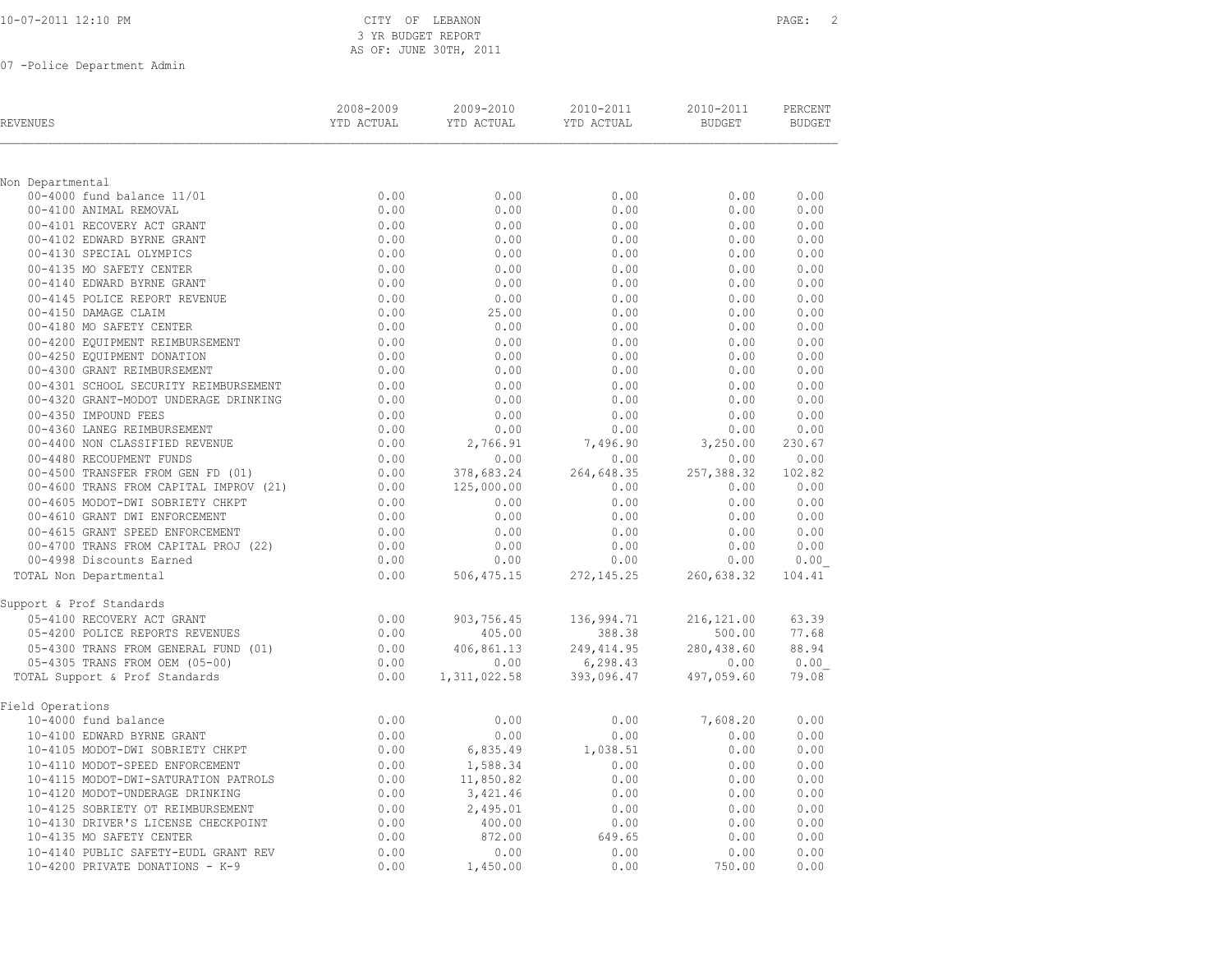| 10-07-2011 12:10 PM |
|---------------------|
|---------------------|

# CITY OF LEBANON **PAGE:** 2 3 YR BUDGET REPORT AS OF: JUNE 30TH, 2011

| REVENUES                                                      | 2008-2009<br>YTD ACTUAL | 2009-2010<br>YTD ACTUAL | 2010-2011<br>YTD ACTUAL | 2010-2011<br><b>BUDGET</b> | PERCENT<br><b>BUDGET</b> |
|---------------------------------------------------------------|-------------------------|-------------------------|-------------------------|----------------------------|--------------------------|
|                                                               |                         |                         |                         |                            |                          |
| Non Departmental                                              |                         |                         |                         |                            |                          |
| 00-4000 fund balance 11/01                                    | 0.00                    | 0.00                    | 0.00                    | 0.00                       | 0.00                     |
| 00-4100 ANIMAL REMOVAL                                        | 0.00                    | 0.00                    | 0.00                    | 0.00                       | 0.00                     |
| 00-4101 RECOVERY ACT GRANT                                    | 0.00                    | 0.00                    | 0.00                    | 0.00                       | 0.00                     |
| 00-4102 EDWARD BYRNE GRANT                                    | 0.00                    | 0.00                    | 0.00                    | 0.00                       | 0.00                     |
| 00-4130 SPECIAL OLYMPICS                                      | 0.00                    | 0.00                    | 0.00                    | 0.00                       | 0.00                     |
| 00-4135 MO SAFETY CENTER                                      | 0.00                    | 0.00                    | 0.00                    | 0.00                       | 0.00                     |
| 00-4140 EDWARD BYRNE GRANT                                    | 0.00                    | 0.00                    | 0.00                    | 0.00                       | 0.00                     |
| 00-4145 POLICE REPORT REVENUE                                 | 0.00                    | 0.00                    | 0.00                    | 0.00                       | 0.00                     |
| 00-4150 DAMAGE CLAIM                                          | 0.00                    | 25.00                   | 0.00                    | 0.00                       | 0.00                     |
| 00-4180 MO SAFETY CENTER                                      | 0.00                    | 0.00                    | 0.00                    | 0.00                       | 0.00                     |
| 00-4200 EQUIPMENT REIMBURSEMENT                               | 0.00                    | 0.00                    | 0.00                    | 0.00                       | 0.00                     |
| 00-4250 EQUIPMENT DONATION                                    | 0.00                    | 0.00                    | 0.00                    | 0.00                       | 0.00                     |
| 00-4300 GRANT REIMBURSEMENT                                   | 0.00                    | 0.00                    | 0.00                    | 0.00                       | 0.00                     |
| 00-4301 SCHOOL SECURITY REIMBURSEMENT                         | 0.00                    | 0.00                    | 0.00                    | 0.00                       | 0.00                     |
| 00-4320 GRANT-MODOT UNDERAGE DRINKING                         | 0.00                    | 0.00                    | 0.00                    | 0.00                       | 0.00                     |
| 00-4350 IMPOUND FEES                                          | 0.00<br>0.00            | 0.00<br>0.00            | 0.00                    | 0.00                       | 0.00<br>0.00             |
| 00-4360 LANEG REIMBURSEMENT<br>00-4400 NON CLASSIFIED REVENUE | 0.00                    |                         | 0.00<br>7,496.90        | 0.00                       | 230.67                   |
| 00-4480 RECOUPMENT FUNDS                                      | 0.00                    | 2,766.91<br>0.00        |                         | 3,250.00                   | 0.00                     |
| 00-4500 TRANSFER FROM GEN FD (01)                             | 0.00                    | 378,683.24              | 0.00<br>264,648.35      | 0.00<br>257,388.32         | 102.82                   |
| 00-4600 TRANS FROM CAPITAL IMPROV (21)                        | 0.00                    | 125,000.00              | 0.00                    | 0.00                       | 0.00                     |
| 00-4605 MODOT-DWI SOBRIETY CHKPT                              | 0.00                    | 0.00                    | 0.00                    | 0.00                       | 0.00                     |
| 00-4610 GRANT DWI ENFORCEMENT                                 | 0.00                    | 0.00                    | 0.00                    | 0.00                       | 0.00                     |
| 00-4615 GRANT SPEED ENFORCEMENT                               | 0.00                    | 0.00                    | 0.00                    | 0.00                       | 0.00                     |
| 00-4700 TRANS FROM CAPITAL PROJ (22)                          | 0.00                    | 0.00                    | 0.00                    | 0.00                       | 0.00                     |
| 00-4998 Discounts Earned                                      | 0.00                    | 0.00                    | 0.00                    | 0.00                       | 0.00                     |
| TOTAL Non Departmental                                        | 0.00                    | 506, 475.15             | 272, 145.25             | 260,638.32                 | 104.41                   |
| Support & Prof Standards                                      |                         |                         |                         |                            |                          |
| 05-4100 RECOVERY ACT GRANT                                    | 0.00                    | 903,756.45              | 136,994.71              | 216, 121.00                | 63.39                    |
| 05-4200 POLICE REPORTS REVENUES                               | 0.00                    | 405.00                  | 388.38                  | 500.00                     | 77.68                    |
| 05-4300 TRANS FROM GENERAL FUND (01)                          | 0.00                    | 406,861.13              | 249, 414.95             | 280,438.60                 | 88.94                    |
| 05-4305 TRANS FROM OEM (05-00)                                | 0.00                    | 0.00                    | 6, 298.43               | 0.00                       | 0.00                     |
| TOTAL Support & Prof Standards                                | 0.00                    | 1,311,022.58            | 393,096.47              | 497,059.60                 | 79.08                    |
| Field Operations                                              |                         |                         |                         |                            |                          |
| 10-4000 fund balance                                          | 0.00                    | 0.00                    | 0.00                    | 7,608.20                   | 0.00                     |
| 10-4100 EDWARD BYRNE GRANT                                    | 0.00                    | 0.00                    | 0.00                    | 0.00                       | 0.00                     |
| 10-4105 MODOT-DWI SOBRIETY CHKPT                              | 0.00                    | 6,835.49                | 1,038.51                | 0.00                       | 0.00                     |
| 10-4110 MODOT-SPEED ENFORCEMENT                               | 0.00                    | 1,588.34                | 0.00                    | 0.00                       | 0.00                     |
| 10-4115 MODOT-DWI-SATURATION PATROLS                          | 0.00                    | 11,850.82               | 0.00                    | 0.00                       | 0.00                     |
| 10-4120 MODOT-UNDERAGE DRINKING                               | 0.00                    | 3,421.46                | 0.00                    | 0.00                       | 0.00                     |
| 10-4125 SOBRIETY OT REIMBURSEMENT                             | 0.00                    | 2,495.01                | 0.00                    | 0.00                       | 0.00                     |
| 10-4130 DRIVER'S LICENSE CHECKPOINT                           | 0.00                    | 400.00                  | 0.00                    | 0.00                       | 0.00                     |
| 10-4135 MO SAFETY CENTER                                      | 0.00                    | 872.00                  | 649.65                  | 0.00                       | 0.00                     |
| 10-4140 PUBLIC SAFETY-EUDL GRANT REV                          | 0.00                    | 0.00                    | 0.00                    | 0.00                       | 0.00                     |
| 10-4200 PRIVATE DONATIONS - K-9                               | 0.00                    | 1,450.00                | 0.00                    | 750.00                     | 0.00                     |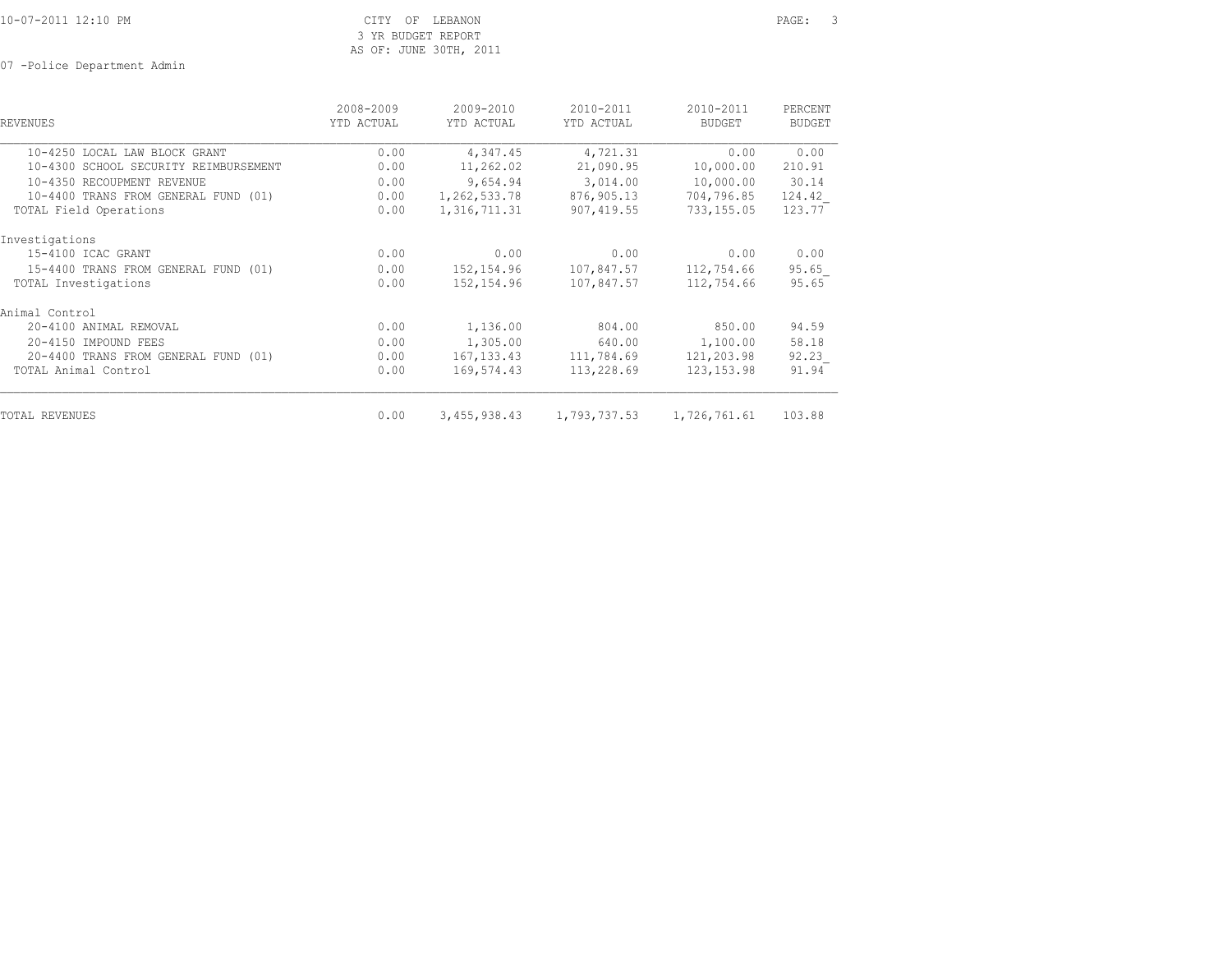CITY OF LEBANON PAGE: 3 3 YR BUDGET REPORT AS OF: JUNE 30TH, 2011

| <b>REVENUES</b>                       | 2008-2009<br>YTD ACTUAL | 2009-2010<br>YTD ACTUAL | 2010-2011<br>YTD ACTUAL                | 2010-2011<br><b>BUDGET</b> | PERCENT<br><b>BUDGET</b> |
|---------------------------------------|-------------------------|-------------------------|----------------------------------------|----------------------------|--------------------------|
| 10-4250 LOCAL LAW BLOCK GRANT         | 0.00                    | 4,347.45                | 4,721.31                               | 0.00                       | 0.00                     |
| 10-4300 SCHOOL SECURITY REIMBURSEMENT | 0.00                    | 11,262.02               | 21,090.95                              | 10,000.00                  | 210.91                   |
| 10-4350 RECOUPMENT REVENUE            | 0.00                    | 9,654.94                | 3,014.00                               | 10,000.00                  | 30.14                    |
| 10-4400 TRANS FROM GENERAL FUND (01)  | 0.00                    | 1,262,533.78            | 876,905.13                             | 704,796.85                 | 124.42                   |
| TOTAL Field Operations                | 0.00                    | 1,316,711.31            | 907,419.55                             | 733,155.05                 | 123.77                   |
| Investigations                        |                         |                         |                                        |                            |                          |
| 15-4100 ICAC GRANT                    | 0.00                    | 0.00                    | 0.00                                   | 0.00                       | 0.00                     |
| 15-4400 TRANS FROM GENERAL FUND (01)  | 0.00                    | 152,154.96              |                                        | 107,847.57 112,754.66      | 95.65                    |
| TOTAL Investigations                  | 0.00                    | 152,154.96              | 107,847.57                             | 112,754.66                 | 95.65                    |
| Animal Control                        |                         |                         |                                        |                            |                          |
| 20-4100 ANIMAL REMOVAL                | 0.00                    | 1,136.00                | 804.00                                 | 850.00                     | 94.59                    |
| 20-4150 IMPOUND FEES                  | 0.00                    | 1,305.00                | 640.00                                 | 1,100.00                   | 58.18                    |
| 20-4400 TRANS FROM GENERAL FUND (01)  | 0.00                    | 167, 133.43             | 111,784.69                             | 121,203.98                 | 92.23                    |
| TOTAL Animal Control                  | 0.00                    | 169,574.43              | 113,228.69                             | 123, 153.98                | 91.94                    |
| <b>TOTAL REVENUES</b>                 | 0.00                    |                         | 3,455,938.43 1,793,737.53 1,726,761.61 |                            | 103.88                   |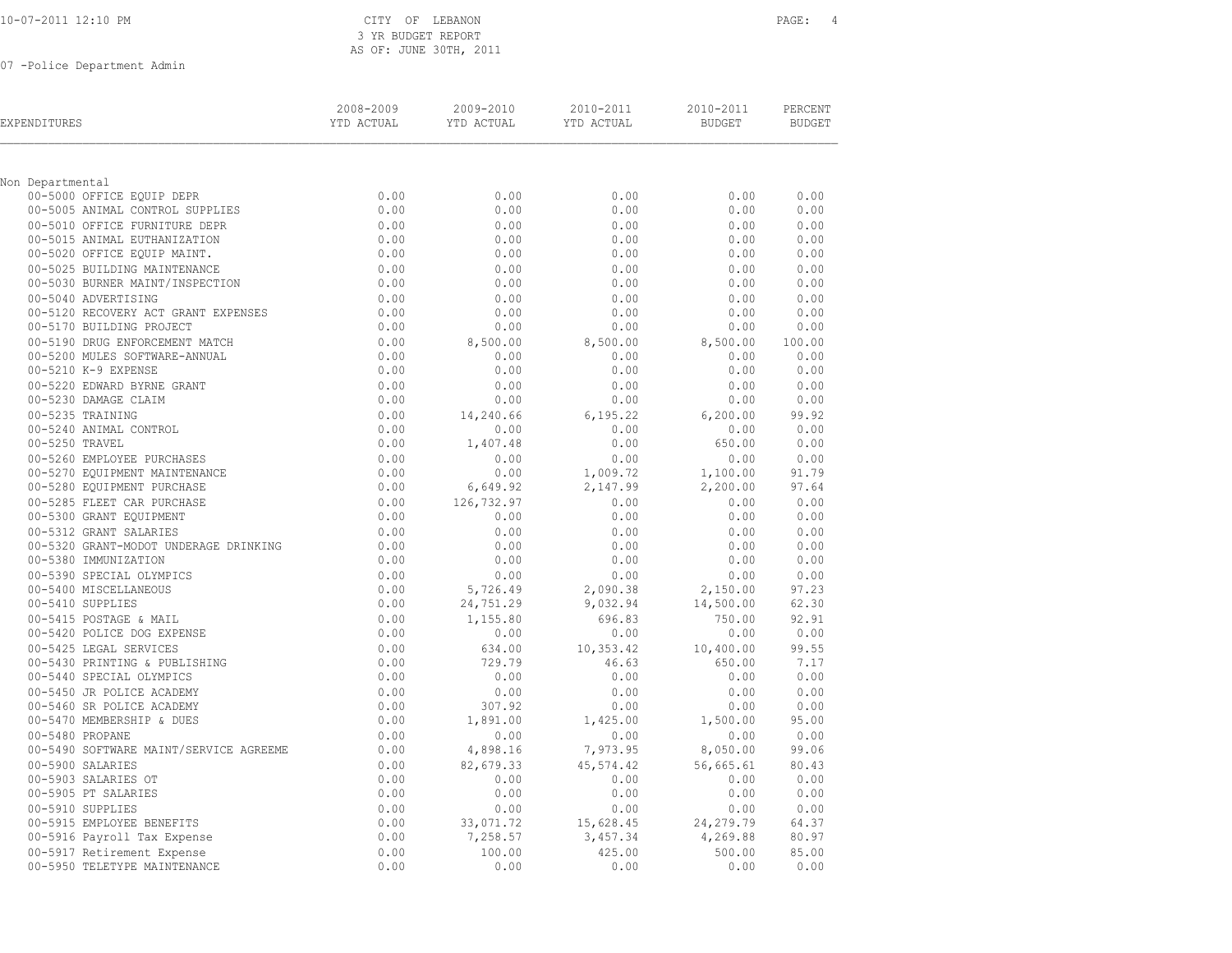# CITY OF LEBANON **PAGE:** 4 3 YR BUDGET REPORT AS OF: JUNE 30TH, 2011

| EXPENDITURES                                              | 2008-2009<br>YTD ACTUAL | 2009-2010<br>YTD ACTUAL | 2010-2011<br>YTD ACTUAL | 2010-2011<br><b>BUDGET</b> | PERCENT<br><b>BUDGET</b> |
|-----------------------------------------------------------|-------------------------|-------------------------|-------------------------|----------------------------|--------------------------|
| Non Departmental                                          |                         |                         |                         |                            |                          |
| 00-5000 OFFICE EQUIP DEPR                                 | 0.00                    | 0.00                    | 0.00                    | 0.00                       | 0.00                     |
| 00-5005 ANIMAL CONTROL SUPPLIES                           | 0.00                    | 0.00                    | 0.00                    | 0.00                       | 0.00                     |
| 00-5010 OFFICE FURNITURE DEPR                             | 0.00                    | 0.00                    | 0.00                    | 0.00                       | 0.00                     |
| 00-5015 ANIMAL EUTHANIZATION                              | 0.00                    | 0.00                    | 0.00                    | 0.00                       | 0.00                     |
| 00-5020 OFFICE EQUIP MAINT.                               | 0.00                    | 0.00                    | 0.00                    | 0.00                       | 0.00                     |
| 00-5025 BUILDING MAINTENANCE                              | 0.00                    | 0.00                    | 0.00                    | 0.00                       | 0.00                     |
| 00-5030 BURNER MAINT/INSPECTION                           | 0.00                    | 0.00                    | 0.00                    | 0.00                       | 0.00                     |
| 00-5040 ADVERTISING                                       | 0.00                    | 0.00                    | 0.00                    | 0.00                       | 0.00                     |
| 00-5120 RECOVERY ACT GRANT EXPENSES                       | 0.00                    | 0.00                    | 0.00                    | 0.00                       | 0.00                     |
| 00-5170 BUILDING PROJECT                                  | 0.00                    | 0.00                    | 0.00                    | 0.00                       | 0.00                     |
| 00-5190 DRUG ENFORCEMENT MATCH                            | 0.00                    | 8,500.00                | 8,500.00                | 8,500.00                   | 100.00                   |
| 00-5200 MULES SOFTWARE-ANNUAL                             | 0.00                    | 0.00                    | 0.00                    | 0.00                       | 0.00                     |
| 00-5210 K-9 EXPENSE                                       | 0.00                    | 0.00                    | 0.00                    | 0.00                       | 0.00                     |
| 00-5220 EDWARD BYRNE GRANT                                | 0.00                    | 0.00                    | 0.00                    | 0.00                       | 0.00                     |
| 00-5230 DAMAGE CLAIM                                      | 0.00                    | 0.00                    | 0.00                    | 0.00                       | 0.00                     |
| 00-5235 TRAINING                                          | 0.00                    | 14,240.66               | 6, 195.22               | 6, 200.00                  | 99.92                    |
| 00-5240 ANIMAL CONTROL                                    | 0.00                    | 0.00                    | 0.00                    | 0.00                       | 0.00                     |
| 00-5250 TRAVEL                                            | 0.00                    | 1,407.48                | 0.00                    | 650.00                     | 0.00                     |
| 00-5260 EMPLOYEE PURCHASES                                | 0.00                    | 0.00                    | 0.00                    | 0.00                       | 0.00                     |
| 00-5270 EQUIPMENT MAINTENANCE                             | 0.00                    | 0.00                    | 1,009.72                | 1,100.00                   | 91.79                    |
| 00-5280 EQUIPMENT PURCHASE                                | 0.00                    | 6,649.92                | 2,147.99                | 2,200.00                   | 97.64                    |
| 00-5285 FLEET CAR PURCHASE                                | 0.00                    | 126,732.97              | 0.00                    | 0.00                       | 0.00                     |
| 00-5300 GRANT EQUIPMENT                                   | 0.00                    | 0.00                    | 0.00                    | 0.00                       | 0.00                     |
| 00-5312 GRANT SALARIES                                    | 0.00                    | 0.00                    | 0.00                    | 0.00                       | 0.00                     |
| 00-5320 GRANT-MODOT UNDERAGE DRINKING                     | 0.00                    | 0.00                    | 0.00                    | 0.00                       | 0.00                     |
| 00-5380 IMMUNIZATION                                      | 0.00                    | 0.00                    | 0.00                    | 0.00                       | 0.00                     |
| 00-5390 SPECIAL OLYMPICS                                  | 0.00                    | 0.00                    | 0.00                    | 0.00                       | 0.00                     |
| 00-5400 MISCELLANEOUS                                     | 0.00                    | 5,726.49                | 2,090.38                | 2,150.00                   | 97.23                    |
| 00-5410 SUPPLIES                                          | 0.00                    | 24,751.29               | 9,032.94                | 14,500.00                  | 62.30                    |
| 00-5415 POSTAGE & MAIL                                    | 0.00                    | 1,155.80                | 696.83                  | 750.00                     | 92.91                    |
| 00-5420 POLICE DOG EXPENSE                                | 0.00                    | 0.00                    | 0.00                    | 0.00                       | 0.00                     |
| 00-5425 LEGAL SERVICES                                    | 0.00                    | 634.00                  | 10,353.42               | 10,400.00                  | 99.55                    |
| 00-5430 PRINTING & PUBLISHING                             | 0.00                    | 729.79                  | 46.63                   | 650.00                     | 7.17                     |
| 00-5440 SPECIAL OLYMPICS                                  | 0.00                    | 0.00                    | 0.00                    | 0.00                       | 0.00                     |
| 00-5450 JR POLICE ACADEMY                                 | 0.00                    | 0.00                    | 0.00                    | 0.00                       | 0.00                     |
| 00-5460 SR POLICE ACADEMY                                 | 0.00                    | 307.92                  | 0.00                    | 0.00                       | 0.00                     |
| 00-5470 MEMBERSHIP & DUES                                 | 0.00                    | 1,891.00                | 1,425.00                | 1,500.00                   | 95.00                    |
| 00-5480 PROPANE                                           | 0.00                    | 0.00                    | 0.00                    | 0.00                       | 0.00                     |
| 00-5490 SOFTWARE MAINT/SERVICE AGREEME                    | 0.00                    | 4,898.16                | 7,973.95                | 8,050.00                   | 99.06                    |
| 00-5900 SALARIES                                          | 0.00                    | 82,679.33               | 45,574.42               | 56,665.61                  | 80.43                    |
| 00-5903 SALARIES OT                                       | 0.00<br>0.00            | 0.00<br>0.00            | 0.00<br>0.00            | 0.00                       | 0.00<br>0.00             |
| 00-5905 PT SALARIES                                       |                         |                         |                         | 0.00                       |                          |
| 00-5910 SUPPLIES                                          | 0.00                    | 0.00                    | 0.00                    | 0.00                       | 0.00                     |
| 00-5915 EMPLOYEE BENEFITS                                 | 0.00<br>0.00            | 33,071.72<br>7,258.57   | 15,628.45               | 24, 279.79<br>4,269.88     | 64.37<br>80.97           |
| 00-5916 Payroll Tax Expense<br>00-5917 Retirement Expense | 0.00                    | 100.00                  | 3,457.34<br>425.00      | 500.00                     | 85.00                    |
| 00-5950 TELETYPE MAINTENANCE                              | 0.00                    | 0.00                    | 0.00                    | 0.00                       | 0.00                     |
|                                                           |                         |                         |                         |                            |                          |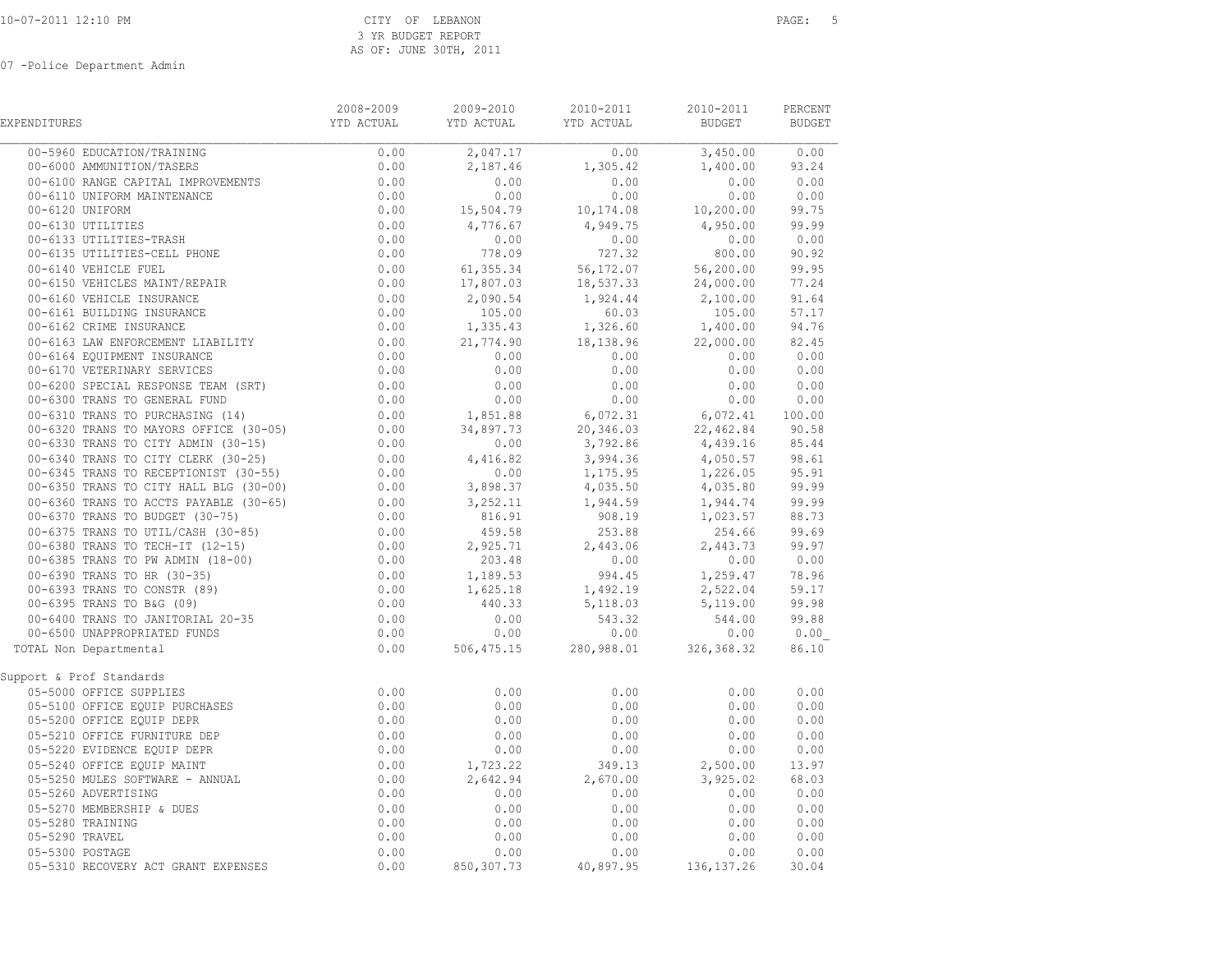| EXPENDITURES                        | 2008-2009 | 2009-2010   | 2010-2011<br>YTD ACTUAL YTD ACTUAL YTD ACTUAL                                                                                                     | 2010-2011<br>BUDGET BUDGET                                                  | PERCENT |  |
|-------------------------------------|-----------|-------------|---------------------------------------------------------------------------------------------------------------------------------------------------|-----------------------------------------------------------------------------|---------|--|
| 00-5960 EDUCATION/TRAINING          |           |             | $\begin{array}{cccccccc} 0.00 & & 2,047.17 & & & 0.00 & & 3,450.00 & & 0.00 \\ 0.00 & & 2,187.46 & & 1,305.42 & & 1,400.00 & & 93.24 \end{array}$ |                                                                             |         |  |
|                                     |           |             |                                                                                                                                                   |                                                                             |         |  |
|                                     |           |             |                                                                                                                                                   |                                                                             |         |  |
|                                     |           |             |                                                                                                                                                   |                                                                             |         |  |
|                                     |           |             |                                                                                                                                                   |                                                                             |         |  |
|                                     |           |             |                                                                                                                                                   |                                                                             |         |  |
|                                     |           |             |                                                                                                                                                   |                                                                             |         |  |
|                                     |           |             |                                                                                                                                                   |                                                                             |         |  |
|                                     |           |             |                                                                                                                                                   |                                                                             |         |  |
|                                     |           |             |                                                                                                                                                   |                                                                             |         |  |
|                                     |           |             |                                                                                                                                                   |                                                                             |         |  |
|                                     |           |             |                                                                                                                                                   |                                                                             |         |  |
|                                     |           |             |                                                                                                                                                   |                                                                             |         |  |
|                                     |           |             |                                                                                                                                                   |                                                                             |         |  |
|                                     |           |             |                                                                                                                                                   |                                                                             |         |  |
|                                     |           |             |                                                                                                                                                   |                                                                             |         |  |
|                                     |           |             |                                                                                                                                                   |                                                                             |         |  |
|                                     |           |             |                                                                                                                                                   |                                                                             |         |  |
|                                     |           |             |                                                                                                                                                   |                                                                             |         |  |
|                                     |           |             |                                                                                                                                                   |                                                                             |         |  |
|                                     |           |             |                                                                                                                                                   |                                                                             |         |  |
|                                     |           |             |                                                                                                                                                   |                                                                             |         |  |
|                                     |           |             |                                                                                                                                                   |                                                                             |         |  |
|                                     |           |             |                                                                                                                                                   |                                                                             |         |  |
|                                     |           |             |                                                                                                                                                   |                                                                             |         |  |
|                                     |           |             |                                                                                                                                                   |                                                                             |         |  |
|                                     |           |             |                                                                                                                                                   |                                                                             |         |  |
|                                     |           |             |                                                                                                                                                   |                                                                             |         |  |
|                                     |           |             |                                                                                                                                                   |                                                                             |         |  |
|                                     |           |             |                                                                                                                                                   |                                                                             |         |  |
|                                     |           |             |                                                                                                                                                   |                                                                             |         |  |
|                                     |           |             |                                                                                                                                                   |                                                                             |         |  |
|                                     |           |             |                                                                                                                                                   |                                                                             |         |  |
|                                     |           |             |                                                                                                                                                   |                                                                             |         |  |
| TOTAL Non Departmental              |           |             |                                                                                                                                                   |                                                                             |         |  |
| Support & Prof Standards            |           |             |                                                                                                                                                   |                                                                             |         |  |
|                                     |           |             |                                                                                                                                                   |                                                                             |         |  |
|                                     |           |             |                                                                                                                                                   |                                                                             |         |  |
|                                     |           |             |                                                                                                                                                   |                                                                             |         |  |
|                                     |           |             |                                                                                                                                                   |                                                                             |         |  |
|                                     |           |             |                                                                                                                                                   |                                                                             |         |  |
|                                     |           |             |                                                                                                                                                   |                                                                             |         |  |
|                                     |           |             |                                                                                                                                                   |                                                                             |         |  |
|                                     |           |             |                                                                                                                                                   |                                                                             |         |  |
|                                     |           |             |                                                                                                                                                   |                                                                             |         |  |
|                                     |           |             |                                                                                                                                                   |                                                                             |         |  |
|                                     |           |             |                                                                                                                                                   | $0.00$ $0.00$ $0.00$ $0.00$<br>$0.00$ $0.00$ $0.00$<br>$0.00$ $0.00$ $0.00$ |         |  |
| 05-5310 RECOVERY ACT GRANT EXPENSES |           |             |                                                                                                                                                   |                                                                             |         |  |
|                                     | 0.00      | 850, 307.73 | 40,897.95                                                                                                                                         | 136, 137.26                                                                 | 30.04   |  |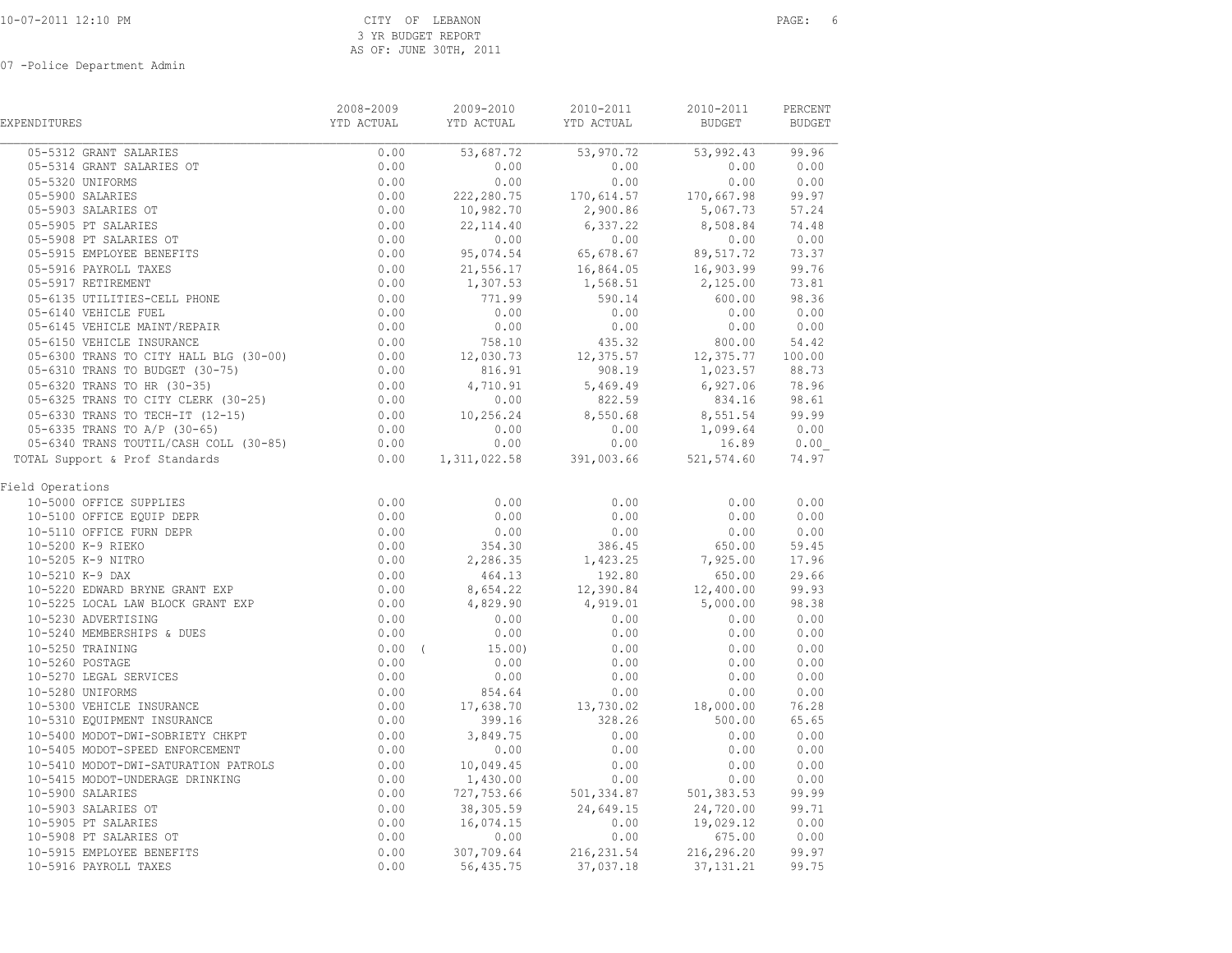| EXPENDITURES                                                                                                                                      | 2008-2009<br>YTD ACTUAL                                                                                                | 2009-2010<br>YTD ACTUAL YTD ACTUAL | 2010-2011                 | 2010-2011<br><b>BUDGET</b> | PERCENT<br><b>BUDGET</b>                                                     |  |
|---------------------------------------------------------------------------------------------------------------------------------------------------|------------------------------------------------------------------------------------------------------------------------|------------------------------------|---------------------------|----------------------------|------------------------------------------------------------------------------|--|
| 05-5312 GRANT SALARIES                                                                                                                            | 0.00                                                                                                                   | 53,687.72                          | 53,970.72 53,992.43 99.96 |                            |                                                                              |  |
| 05-5314 GRANT SALARIES OT                                                                                                                         | 0.00                                                                                                                   | 0.00                               | 0.00                      | 0.00                       | 0.00                                                                         |  |
| 05-5320 UNIFORMS                                                                                                                                  | 0.00                                                                                                                   | 0.00                               | 0.00                      |                            | $0.00$<br>$0.00$<br>$0.00$<br>$0.00$<br>$0.00$<br>$0.00$<br>$0.00$<br>$0.00$ |  |
| 05-5900 SALARIES                                                                                                                                  | 0.00                                                                                                                   | 222, 280.75                        | $170,614.57$ $170,667.98$ |                            |                                                                              |  |
| 05-5903 SALARIES OT                                                                                                                               | 0.00                                                                                                                   | 10,982.70                          | 2,900.86                  | 5,067.73 57.24             |                                                                              |  |
| 05-5905 PT SALARIES                                                                                                                               | 0.00                                                                                                                   | 22, 114.40                         | 6,337.22                  | 8,508.84 74.48             |                                                                              |  |
| 05-5908 PT SALARIES OT                                                                                                                            | 0.00                                                                                                                   | 0.00                               | 0.00                      | 0.00                       | 0.00                                                                         |  |
| 05-5915 EMPLOYEE BENEFITS                                                                                                                         | 0.00                                                                                                                   | 95,074.54                          | 65,678.67                 | 89,517.72                  | 73.37                                                                        |  |
| 05-5916 PAYROLL TAXES                                                                                                                             | 0.00                                                                                                                   | 21,556.17                          |                           |                            |                                                                              |  |
| 05-5917 RETIREMENT                                                                                                                                | 0.00                                                                                                                   | 1,307.53                           | 1,568.51                  | 2,125.00 73.81             |                                                                              |  |
| 05-6135 UTILITIES-CELL PHONE                                                                                                                      | 0.00                                                                                                                   | 771.99                             | 590.14                    | 600.00                     | 98.36                                                                        |  |
| 05-6140 VEHICLE FUEL                                                                                                                              |                                                                                                                        | 0.00                               | 0.00                      | 0.00                       | $0.00$ $0.00$<br>0.00 0.00                                                   |  |
| 05-6145 VEHICLE MAINT/REPAIR                                                                                                                      |                                                                                                                        | 0.00                               | 0.00                      |                            |                                                                              |  |
| 05-6150 VEHICLE INSURANCE                                                                                                                         |                                                                                                                        | 758.10                             | 435.32                    | $800.00$ 54.42             |                                                                              |  |
| 05-6300 TRANS TO CITY HALL BLG (30-00)                                                                                                            |                                                                                                                        | 12,030.73                          | 12,375.57                 | 12,375.77 100.00           |                                                                              |  |
| 05-6310 TRANS TO BUDGET (30-75)                                                                                                                   |                                                                                                                        | 816.91                             | 908.19                    | 1,023.57 88.73             |                                                                              |  |
| 05-6320 TRANS TO HR (30-35)                                                                                                                       |                                                                                                                        | 4,710.91                           | 5,469.49                  | 6,927.06                   | 78.96                                                                        |  |
| 05-6325 TRANS TO CITY CLERK (30-25)                                                                                                               |                                                                                                                        | 0.00                               | 822.59                    | 834.16 98.61               |                                                                              |  |
| 05-6330 TRANS TO TECH-IT (12-15)                                                                                                                  | $\begin{array}{r} 0.00 \\ 0.00 \\ 0.00 \\ 0.00 \\ 0.00 \\ 0.00 \\ 0.00 \\ 0.00 \\ 0.00 \\ 0.00 \\ 0.00 \\ \end{array}$ | 10,256.24                          | 8,550.68                  | 8,551.54 99.99             |                                                                              |  |
| 05-6335 TRANS TO A/P (30-65)                                                                                                                      |                                                                                                                        | 0.00                               | 0.00                      | 1,099.64                   | 0.00                                                                         |  |
| 05-6340 TRANS TOUTIL/CASH COLL (30-85) 0.00                                                                                                       |                                                                                                                        | 0.00                               | 0.00                      |                            | 16.89 0.00                                                                   |  |
| TOTAL Support & Prof Standards<br>:AL Suppose.<br>d Operations<br>10-5000 OFFICE SUPPLIES<br>10-5100 OFFICE EQUIP DEPR<br>^ 5110 OFFICE FURN DEPR | 0.00                                                                                                                   | 1, 311, 022.58 391, 003.66         |                           | 521, 574.60                | 74.97                                                                        |  |
| Field Operations                                                                                                                                  |                                                                                                                        |                                    |                           |                            |                                                                              |  |
|                                                                                                                                                   | 0.00                                                                                                                   | 0.00                               | 0.00                      | 0.00                       | 0.00                                                                         |  |
|                                                                                                                                                   | 0.00                                                                                                                   | 0.00                               | 0.00                      | 0.00                       | 0.00                                                                         |  |
|                                                                                                                                                   | 0.00                                                                                                                   | 0.00                               | 0.00                      | 0.00                       | 0.00                                                                         |  |
|                                                                                                                                                   | 0.00                                                                                                                   | 354.30                             | 386.45                    | 650.00                     | 59.45<br>17.96                                                               |  |
|                                                                                                                                                   | 0.00                                                                                                                   | 2,286.35                           | 1,423.25                  | 7,925.00                   |                                                                              |  |
| 10-5210 K-9 DAX                                                                                                                                   | $0.00$<br>0.00<br>0.00                                                                                                 | 464.13                             | 192.80                    | 650.00                     | 29.66                                                                        |  |
| 10-5220 EDWARD BRYNE GRANT EXP                                                                                                                    |                                                                                                                        | 8,654.22                           | 12,390.84                 | 12,400.00                  | 99.93                                                                        |  |
| 10-5225 LOCAL LAW BLOCK GRANT EXP                                                                                                                 |                                                                                                                        | 4,829.90                           | 4,919.01                  | 5,000.00                   | 98.38                                                                        |  |
| 10-5230 ADVERTISING                                                                                                                               | 0.00                                                                                                                   | 0.00                               | 0.00                      | 0.00                       | 0.00                                                                         |  |
| 10-5240 MEMBERSHIPS & DUES                                                                                                                        | 0.00                                                                                                                   | 0.00                               | 0.00                      | 0.00                       | 0.00                                                                         |  |
| 10-5250 TRAINING                                                                                                                                  | $0.00$ (                                                                                                               | 15.00)                             | 0.00                      | 0.00                       | 0.00                                                                         |  |
| 10-5260 POSTAGE                                                                                                                                   | 0.00                                                                                                                   | 0.00                               | 0.00                      | 0.00                       | 0.00                                                                         |  |
| 10-5270 LEGAL SERVICES                                                                                                                            | 0.00                                                                                                                   | 0.00                               | 0.00                      | 0.00                       | 0.00                                                                         |  |
| 10-5280 UNIFORMS                                                                                                                                  | 0.00                                                                                                                   | 854.64                             | 0.00                      | 0.00                       | 0.00                                                                         |  |
| 10-5300 VEHICLE INSURANCE<br>10-5310 EQUIPMENT INSURANCE                                                                                          | $0.00$<br>0.00<br>0.00<br>0.00                                                                                         | 17,638.70                          | 13,730.02                 | 18,000.00                  | 76.28                                                                        |  |
|                                                                                                                                                   |                                                                                                                        | 399.16                             | 328.26                    | 500.00                     | 65.65                                                                        |  |
| 10-5400 MODOT-DWI-SOBRIETY CHKPT                                                                                                                  |                                                                                                                        | 3,849.75                           | 0.00                      | 0.00                       | 0.00                                                                         |  |
| 10-5405 MODOT-SPEED ENFORCEMENT                                                                                                                   |                                                                                                                        | 0.00                               | 0.00                      | 0.00                       | 0.00                                                                         |  |
| 10-5410 MODOT-DWI-SATURATION PATROLS                                                                                                              | 0.00                                                                                                                   | 10,049.45                          | 0.00                      | 0.00                       | 0.00                                                                         |  |
| 10-5415 MODOT-UNDERAGE DRINKING                                                                                                                   | $0.00$<br>$0.00$                                                                                                       | 1,430.00                           | 0.00                      | 0.00                       | 0.00                                                                         |  |
| 10-5900 SALARIES                                                                                                                                  | 0.00                                                                                                                   | 727,753.66                         | 501, 334.87               | $501, 383.53$ 99.99        |                                                                              |  |
| 10-5903 SALARIES OT                                                                                                                               | 0.00                                                                                                                   | 38,305.59                          | 24,649.15                 | 24,720.00 99.71            |                                                                              |  |
| 10-5905 PT SALARIES                                                                                                                               | 0.00                                                                                                                   | 16,074.15                          | 0.00                      | 19,029.12                  | 0.00                                                                         |  |
| 10-5908 PT SALARIES OT                                                                                                                            | 0.00                                                                                                                   | 0.00                               | 0.00                      | 675.00                     | 0.00                                                                         |  |
| 10-5915 EMPLOYEE BENEFITS                                                                                                                         | 0.00                                                                                                                   | 307,709.64                         | 216, 231.54               | 216,296.20                 | 99.97                                                                        |  |
| 10-5916 PAYROLL TAXES                                                                                                                             | 0.00                                                                                                                   | 56,435.75                          | 37,037.18                 | 37, 131. 21                | 99.75                                                                        |  |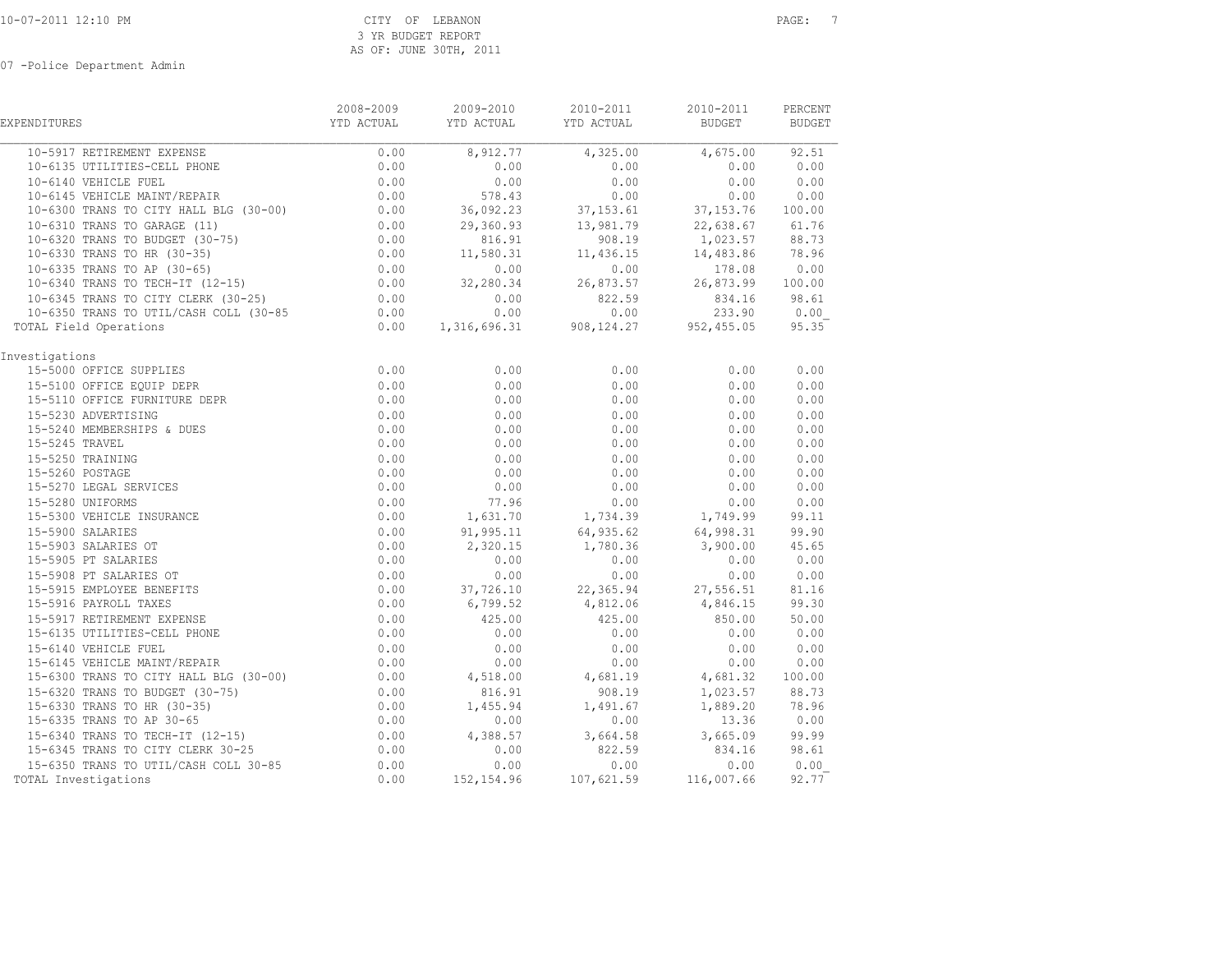|                                                                                                                                                                                                                                                              | 2008-2009                      | 2009-2010                                                                                          | 2010-2011                                                     | 2010-2011                                      | PERCENT   |
|--------------------------------------------------------------------------------------------------------------------------------------------------------------------------------------------------------------------------------------------------------------|--------------------------------|----------------------------------------------------------------------------------------------------|---------------------------------------------------------------|------------------------------------------------|-----------|
| <b>EXPENDITURES</b>                                                                                                                                                                                                                                          | YTD ACTUAL                     | YTD ACTUAL YTD ACTUAL                                                                              |                                                               | <b>BUDGET</b>                                  | BUDGET    |
| 10-5917 RETIREMENT EXPENSE                                                                                                                                                                                                                                   | 0.00                           | 8,912.77                                                                                           | 4,325.00                                                      | $4,675.00$ 92.51                               |           |
| 10-6135 UTILITIES-CELL PHONE                                                                                                                                                                                                                                 | 0.00                           | 0.00                                                                                               | 0.00                                                          | 0.00                                           | 0.00      |
| 10-6140 VEHICLE FUEL                                                                                                                                                                                                                                         | 0.00                           | 0.00                                                                                               | 0.00                                                          | 0.00                                           | 0.00      |
| 10-6145 VEHICLE MAINT/REPAIR                                                                                                                                                                                                                                 | $0.00$<br>$0.00$               | 578.43                                                                                             | 0.00                                                          | 0.00                                           | 0.00      |
| 10-6300 TRANS TO CITY HALL BLG (30-00)                                                                                                                                                                                                                       |                                | 36,092.23                                                                                          | 37, 153.61                                                    | 37,153.76 100.00                               |           |
| 10-6310 TRANS TO GARAGE (11)                                                                                                                                                                                                                                 | $0.00$<br>0.00<br>0.00<br>0.00 |                                                                                                    | 29,360.93 13,981.79 22,638.67 61.76                           |                                                |           |
| 10-6320 TRANS TO BUDGET (30-75)                                                                                                                                                                                                                              |                                |                                                                                                    | $816.91$ $908.19$ $1,023.57$<br>11,580.31 11,436.15 14,483.86 |                                                | 88.73     |
| 10-6330 TRANS TO HR (30-35)                                                                                                                                                                                                                                  |                                |                                                                                                    |                                                               |                                                | 78.96     |
| 10-6335 TRANS TO AP (30-65)<br>10-6340 TRANS TO TECH-IT (12-15)                                                                                                                                                                                              |                                | $0.00$ $0.00$ $0.00$ $0.00$ $178.08$ $0.00$<br>$0.00$ $32,280.34$ $26,873.57$ $26,873.99$ $100.00$ |                                                               |                                                |           |
|                                                                                                                                                                                                                                                              |                                |                                                                                                    |                                                               |                                                |           |
| 10-6345 TRANS TO CITY CLERK $(30-25)$ 0.00                                                                                                                                                                                                                   |                                | 0.00                                                                                               | 822.59                                                        | 834.16 98.61                                   |           |
| 10-6350 TRANS TO UTIL/CASH COLL (30-85                                                                                                                                                                                                                       |                                |                                                                                                    |                                                               |                                                | 0.00      |
| TOTAL Field Operations                                                                                                                                                                                                                                       |                                | $0.00$ $0.00$ $0.00$ $0.00$ $233.90$<br>$0.00$ $1,316,696.31$ $908,124.27$ $952,455.05$            |                                                               |                                                | 95.35     |
| Investigations                                                                                                                                                                                                                                               |                                |                                                                                                    |                                                               |                                                |           |
| 15-5000 OFFICE SUPPLIES<br>15-5100 OFFICE EQUIP DEPR<br>15-5110 OFFICE FURNITURE DEPR                                                                                                                                                                        | 0.00                           | 0.00                                                                                               | 0.00                                                          | 0.00                                           | 0.00      |
|                                                                                                                                                                                                                                                              | 0.00                           | 0.00                                                                                               | 0.00                                                          | 0.00                                           | 0.00      |
|                                                                                                                                                                                                                                                              | 0.00                           | 0.00                                                                                               | 0.00                                                          | 0.00                                           | 0.00      |
|                                                                                                                                                                                                                                                              | 0.00                           | 0.00                                                                                               | 0.00                                                          | 0.00                                           | 0.00      |
|                                                                                                                                                                                                                                                              | 0.00                           | 0.00                                                                                               | 0.00                                                          | 0.00                                           | 0.00      |
|                                                                                                                                                                                                                                                              | 0.00                           | 0.00                                                                                               | 0.00                                                          | 0.00                                           | 0.00      |
| 15-5110 OFFICE FURNITURE DEPR<br>15-5230 ADVERTISING<br>15-5240 MEMBERSHIPS & DUES<br>15-5245 TRAVEL<br>15-5250 TRAINING<br>15-5260 POSTAGE<br>15-5270 LEGAL SERVICES<br>15-5280 UNIFORMS<br>15-5280 UNIFORMS<br>15-5300 VEHICLE INSURANCE<br>15-5903 SALARI | 0.00                           | 0.00                                                                                               | 0.00                                                          | 0.00                                           | 0.00      |
|                                                                                                                                                                                                                                                              | 0.00                           | 0.00                                                                                               | 0.00                                                          | 0.00                                           | 0.00      |
|                                                                                                                                                                                                                                                              | 0.00                           | 0.00                                                                                               | 0.00                                                          | 0.00                                           | 0.00      |
|                                                                                                                                                                                                                                                              | 0.00                           | 77.96                                                                                              | 0.00                                                          | 0.00                                           | 0.00      |
|                                                                                                                                                                                                                                                              | 0.00                           |                                                                                                    | $1,631.70$ $1,734.39$ $1,749.99$                              |                                                | 99.11     |
|                                                                                                                                                                                                                                                              | 0.00                           | 91,995.11                                                                                          | 64,935.62                                                     | 64,998.31                                      | 99.90     |
|                                                                                                                                                                                                                                                              | 0.00                           | 2,320.15                                                                                           | 1,780.36 3,900.00                                             |                                                | 45.65     |
|                                                                                                                                                                                                                                                              | 0.00                           | 0.00                                                                                               | 0.00                                                          | 0.00                                           | 0.00      |
|                                                                                                                                                                                                                                                              | 0.00                           | 0.00                                                                                               | 0.00                                                          | 0.00                                           | 0.00      |
|                                                                                                                                                                                                                                                              | 0.00                           | 37,726.10 22,365.94 27,556.51<br>6,799.52 4,812.06 4,846.15                                        |                                                               |                                                | 81.16     |
|                                                                                                                                                                                                                                                              | 0.00                           |                                                                                                    |                                                               |                                                | 99.30     |
|                                                                                                                                                                                                                                                              | 0.00                           | 425.00                                                                                             | 425.00                                                        | 850.00                                         | 50.00     |
| 15-6135 UTILITIES-CELL PHONE                                                                                                                                                                                                                                 | 0.00                           | 0.00                                                                                               | 0.00                                                          | 0.00                                           | 0.00      |
| 15-6140 VEHICLE FUEL                                                                                                                                                                                                                                         | 0.00                           | 0.00                                                                                               | 0.00                                                          | 0.00                                           | 0.00      |
| 15-6145 VEHICLE MAINT/REPAIR                                                                                                                                                                                                                                 | $0.00$<br>$0.00$               | 0.00                                                                                               | 0.00                                                          | 0.00                                           | 0.00      |
| 15-6300 TRANS TO CITY HALL BLG (30-00)                                                                                                                                                                                                                       |                                | 4,518.00                                                                                           | 4,681.19                                                      | 4,681.32                                       | 100.00    |
| 15-6320 TRANS TO BUDGET (30-75)<br>15-6320 TRANS TO BUDGLE (3)<br>15-6330 TRANS TO HR (30-35)                                                                                                                                                                | 0.00                           | 816.91                                                                                             |                                                               | 908.19 1,023.57 88.73                          |           |
|                                                                                                                                                                                                                                                              | 0.00<br>$0.00$<br>$0.00$       | 1,455.94                                                                                           | $1,491.67$<br>0.00                                            | 1,889.20                                       | 78.96     |
|                                                                                                                                                                                                                                                              |                                | 0.00                                                                                               |                                                               | 13.36                                          | 0.00      |
| 15-6340 TRANS TO TECH-IT (12-15)<br>15-6345 TRANS TO CITY CLERK 30-25                                                                                                                                                                                        | $0.00$<br>$0.00$               | 4,388.57                                                                                           |                                                               | 3,664.58 3,665.09 99.99<br>822.59 834.16 98.61 |           |
|                                                                                                                                                                                                                                                              |                                | 0.00                                                                                               |                                                               |                                                |           |
| 15-6350 TRANS TO UTIL/CASH COLL 30-85                                                                                                                                                                                                                        | 0.00                           | 0.00                                                                                               | 0.00                                                          |                                                | 0.00 0.00 |
| TOTAL Investigations                                                                                                                                                                                                                                         | 0.00                           | 152,154.96                                                                                         | 107,621.59 116,007.66                                         |                                                | 92.77     |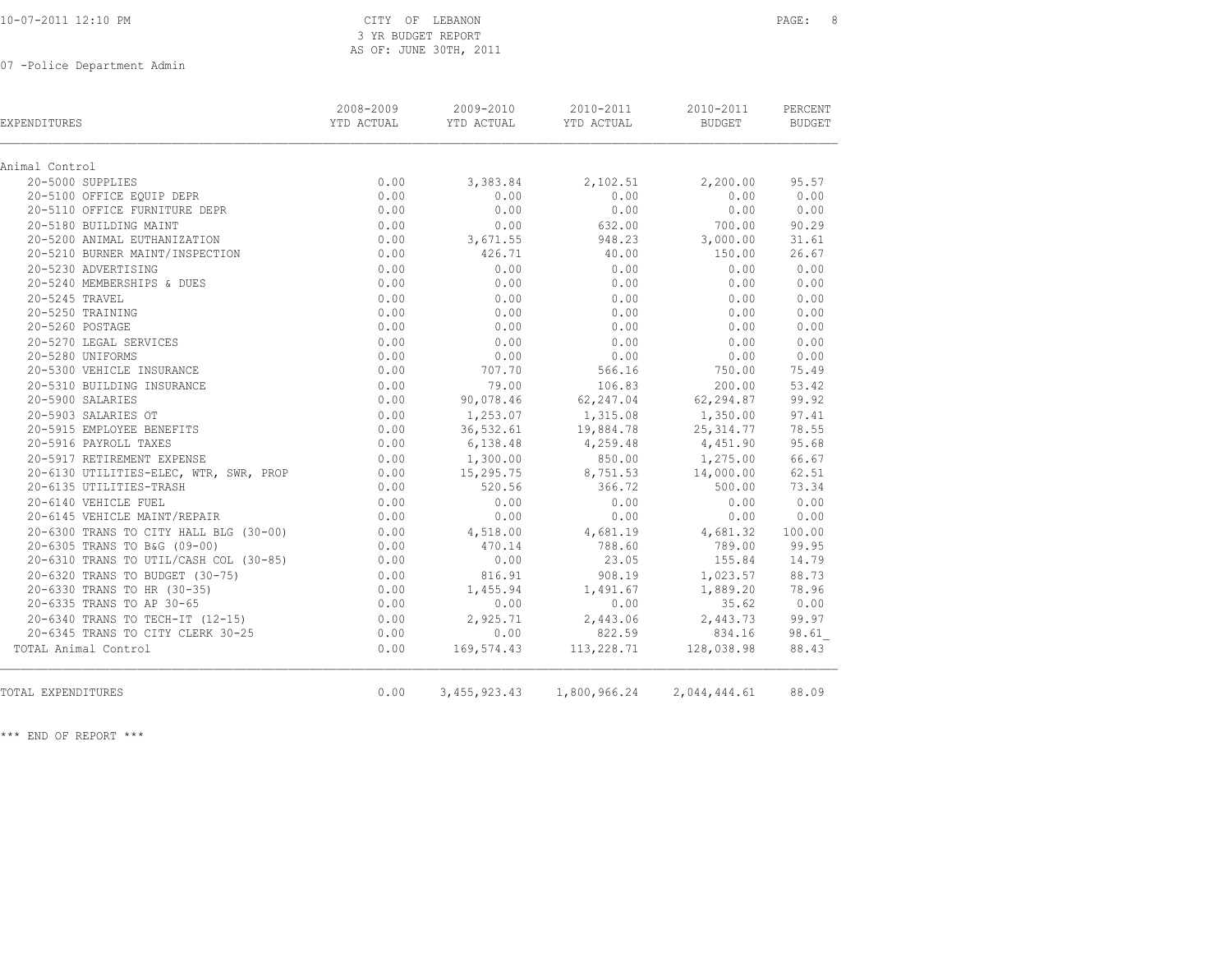| 10-07-2011 12:10 PM |  |  |
|---------------------|--|--|
|---------------------|--|--|

### CITY OF LEBANON PAGE: 8 3 YR BUDGET REPORT AS OF: JUNE 30TH, 2011

07 -Police Department Admin

| EXPENDITURES                           | 2008-2009<br>YTD ACTUAL | 2009-2010<br>YTD ACTUAL | 2010-2011<br>YTD ACTUAL                | 2010-2011<br>BUDGET | PERCENT<br>BUDGET |
|----------------------------------------|-------------------------|-------------------------|----------------------------------------|---------------------|-------------------|
| Animal Control                         |                         |                         |                                        |                     |                   |
| 20-5000 SUPPLIES                       | 0.00                    | 3,383.84                | 2,102.51                               | 2,200.00            | 95.57             |
| 20-5100 OFFICE EQUIP DEPR              | 0.00                    | 0.00                    | 0.00                                   | 0.00                | 0.00              |
| 20-5110 OFFICE FURNITURE DEPR          | 0.00                    | 0.00                    | 0.00                                   | 0.00                | 0.00              |
| 20-5180 BUILDING MAINT                 | 0.00                    | 0.00                    | 632.00                                 | 700.00              | 90.29             |
| 20-5200 ANIMAL EUTHANIZATION           | 0.00                    | 3,671.55                | 948.23                                 | 3,000.00            | 31.61             |
| 20-5210 BURNER MAINT/INSPECTION        | 0.00                    | 426.71                  | 40.00                                  | 150.00              | 26.67             |
| 20-5230 ADVERTISING                    | 0.00                    | 0.00                    | 0.00                                   | 0.00                | 0.00              |
| 20-5240 MEMBERSHIPS & DUES             | 0.00                    | 0.00                    | 0.00                                   | 0.00                | 0.00              |
| 20-5245 TRAVEL                         | 0.00                    | 0.00                    | 0.00                                   | 0.00                | 0.00              |
| 20-5250 TRAINING                       | 0.00                    | 0.00                    | 0.00                                   | 0.00                | 0.00              |
| 20-5260 POSTAGE                        | 0.00                    | 0.00                    | 0.00                                   | 0.00                | 0.00              |
| 20-5270 LEGAL SERVICES                 | 0.00                    | 0.00                    | 0.00                                   | 0.00                | 0.00              |
| 20-5280 UNIFORMS                       | 0.00                    | 0.00                    | 0.00                                   | 0.00                | 0.00              |
| 20-5300 VEHICLE INSURANCE              | 0.00                    | 707.70                  | 566.16                                 | 750.00              | 75.49             |
| 20-5310 BUILDING INSURANCE             | 0.00                    | 79.00                   | 106.83                                 | 200.00              | 53.42             |
| 20-5900 SALARIES                       | 0.00                    | 90,078.46               | 62,247.04                              | 62,294.87           | 99.92             |
| 20-5903 SALARIES OT                    | 0.00                    | 1,253.07                | 1,315.08                               | 1,350.00            | 97.41             |
| 20-5915 EMPLOYEE BENEFITS              | 0.00                    | 36,532.61               | 19,884.78                              | 25, 314.77          | 78.55             |
| 20-5916 PAYROLL TAXES                  | 0.00                    | 6,138.48                | $4,259.48$ $4,451.90$                  |                     | 95.68             |
| 20-5917 RETIREMENT EXPENSE             | 0.00                    | 1,300.00                |                                        | 850.00 1,275.00     | 66.67             |
| 20-6130 UTILITIES-ELEC, WTR, SWR, PROP | 0.00                    | 15,295.75               | 8,751.53                               | 14,000.00           | 62.51             |
| 20-6135 UTILITIES-TRASH                | 0.00                    | 520.56                  | 366.72                                 | 500.00              | 73.34             |
| 20-6140 VEHICLE FUEL                   | 0.00                    | 0.00                    | 0.00                                   | 0.00                | 0.00              |
| 20-6145 VEHICLE MAINT/REPAIR           | 0.00                    | 0.00                    | 0.00                                   | 0.00                | 0.00              |
| 20-6300 TRANS TO CITY HALL BLG (30-00) | 0.00                    | 4,518.00                | 4,681.19                               | 4,681.32            | 100.00            |
| 20-6305 TRANS TO B&G (09-00)           | 0.00                    | 470.14                  | 788.60                                 | 789.00              | 99.95             |
| 20-6310 TRANS TO UTIL/CASH COL (30-85) | 0.00                    | 0.00                    | 23.05                                  | 155.84              | 14.79             |
| 20-6320 TRANS TO BUDGET (30-75)        | 0.00                    | 816.91                  | 908.19                                 | 1,023.57            | 88.73             |
| 20-6330 TRANS TO HR (30-35)            | 0.00                    | 1,455.94                | 1,491.67                               | 1,889.20            | 78.96             |
| 20-6335 TRANS TO AP 30-65              | 0.00                    | 0.00                    | 0.00                                   | 35.62               | 0.00              |
| 20-6340 TRANS TO TECH-IT (12-15)       | 0.00                    | 2,925.71                | 2,443.06                               | 2,443.73            | 99.97             |
| 20-6345 TRANS TO CITY CLERK 30-25      | 0.00                    | 0.00                    | 822.59                                 | 834.16              | 98.61             |
| TOTAL Animal Control                   | 0.00                    |                         | 169,574.43 113,228.71 128,038.98       |                     | 88.43             |
| TOTAL EXPENDITURES                     | 0.00                    |                         | 3,455,923.43 1,800,966.24 2,044,444.61 |                     | 88.09             |

\*\*\* END OF REPORT \*\*\*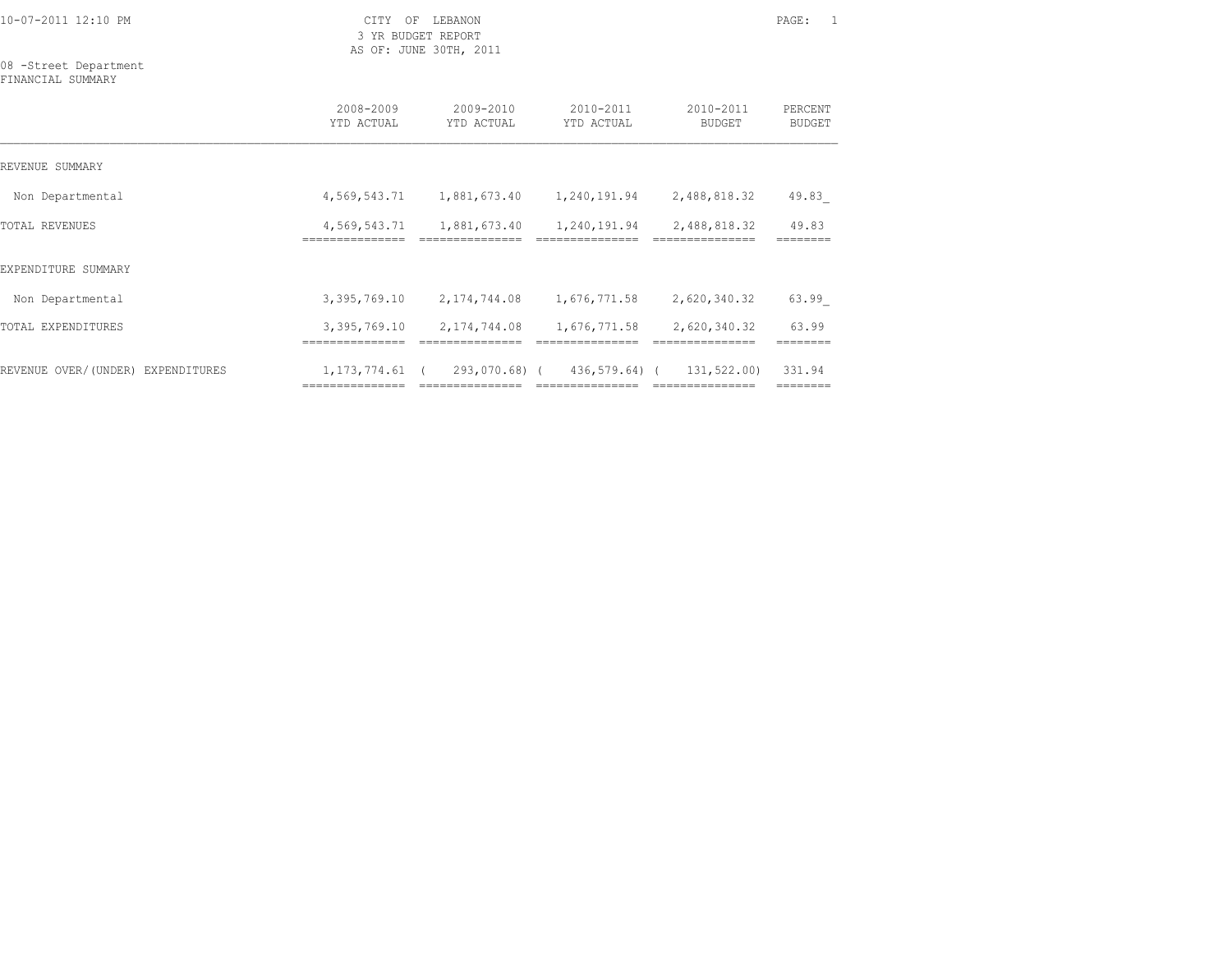3 YR BUDGET REPORT AS OF: JUNE 30TH, 2011

08 -Street Department FINANCIAL SUMMARY

|                                   | 2008-2009<br>YTD ACTUAL         | 2009-2010<br>YTD ACTUAL         | 2010-2011<br>YTD ACTUAL         | 2010-2011<br><b>BUDGET</b>      | PERCENT<br><b>BUDGET</b> |
|-----------------------------------|---------------------------------|---------------------------------|---------------------------------|---------------------------------|--------------------------|
| REVENUE SUMMARY                   |                                 |                                 |                                 |                                 |                          |
| Non Departmental                  | 4,569,543.71                    | 1,881,673.40                    | 1,240,191.94                    | 2,488,818.32                    | 49.83                    |
| TOTAL REVENUES                    | 4,569,543.71<br>=============== | 1,881,673.40<br>=============== | 1,240,191.94<br>=============== | 2,488,818.32<br>=============== | 49.83                    |
| EXPENDITURE SUMMARY               |                                 |                                 |                                 |                                 |                          |
| Non Departmental                  | 3,395,769.10                    | 2,174,744.08                    | 1,676,771.58                    | 2,620,340.32                    | 63.99                    |
| TOTAL EXPENDITURES                | 3,395,769.10                    | 2,174,744.08                    | 1,676,771.58                    | 2,620,340.32                    | 63.99                    |
|                                   |                                 |                                 |                                 |                                 |                          |
| REVENUE OVER/(UNDER) EXPENDITURES | 1, 173, 774.61 (                |                                 | 293,070.68) (436,579.64) (      | 131,522.00)<br>---------------- | 331.94<br>========       |
|                                   |                                 |                                 |                                 |                                 |                          |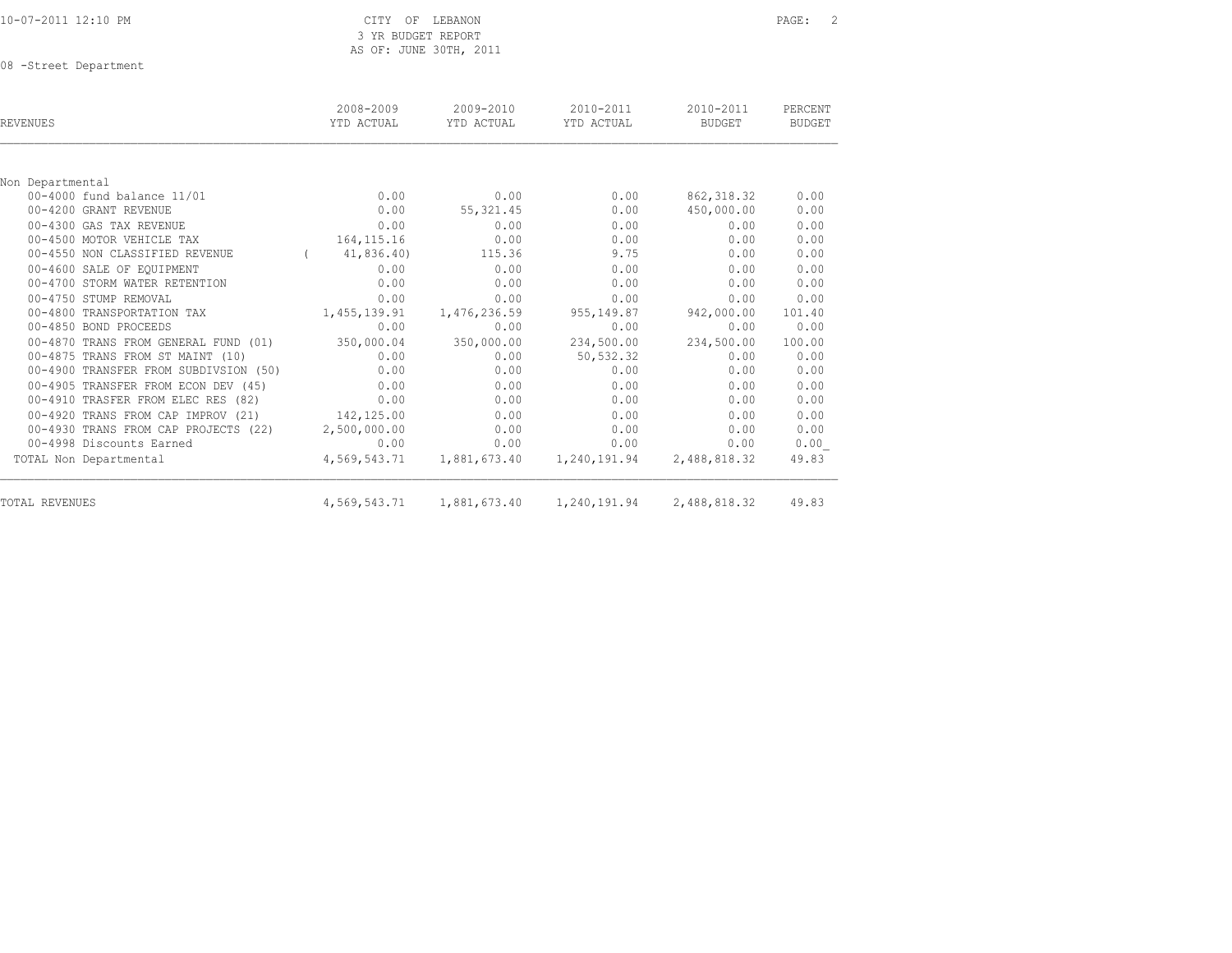|  |  |  |  |  |  | 10-07-2011 12:10 PM |
|--|--|--|--|--|--|---------------------|
|  |  |  |  |  |  |                     |

CITY OF LEBANON **PAGE:** 2 3 YR BUDGET REPORT AS OF: JUNE 30TH, 2011

08 -Street Department

| REVENUES                              | 2008-2009<br>YTD ACTUAL | 2009-2010<br>YTD ACTUAL | 2010-2011<br>YTD ACTUAL | 2010-2011<br><b>BUDGET</b> | PERCENT<br><b>BUDGET</b> |
|---------------------------------------|-------------------------|-------------------------|-------------------------|----------------------------|--------------------------|
|                                       |                         |                         |                         |                            |                          |
| Non Departmental                      |                         |                         |                         |                            |                          |
| 00-4000 fund balance 11/01            | 0.00                    | 0.00                    | 0.00                    | 862, 318.32                | 0.00                     |
| 00-4200 GRANT REVENUE                 | 0.00                    | 55, 321.45              | 0.00                    | 450,000.00                 | 0.00                     |
| 00-4300 GAS TAX REVENUE               | 0.00                    | 0.00                    | 0.00                    | 0.00                       | 0.00                     |
| 00-4500 MOTOR VEHICLE TAX             | 164, 115. 16            | 0.00                    | 0.00                    | 0.00                       | 0.00                     |
| 00-4550 NON CLASSIFIED REVENUE        | 41,836.40)              | 115.36                  | 9.75                    | 0.00                       | 0.00                     |
| 00-4600 SALE OF EOUIPMENT             | 0.00                    | 0.00                    | 0.00                    | 0.00                       | 0.00                     |
| 00-4700 STORM WATER RETENTION         | 0.00                    | 0.00                    | 0.00                    | 0.00                       | 0.00                     |
| 00-4750 STUMP REMOVAL                 | 0.00                    | 0.00                    | 0.00                    | 0.00                       | 0.00                     |
| 00-4800 TRANSPORTATION TAX            | 1,455,139.91            | 1,476,236.59            | 955,149.87              | 942,000.00                 | 101.40                   |
| 00-4850 BOND PROCEEDS                 | 0.00                    | 0.00                    | 0.00                    | 0.00                       | 0.00                     |
| 00-4870 TRANS FROM GENERAL FUND (01)  | 350,000.04              | 350,000.00              | 234,500.00              | 234,500.00                 | 100.00                   |
| 00-4875 TRANS FROM ST MAINT (10)      | 0.00                    | 0.00                    | 50, 532.32              | 0.00                       | 0.00                     |
| 00-4900 TRANSFER FROM SUBDIVSION (50) | 0.00                    | 0.00                    | 0.00                    | 0.00                       | 0.00                     |
| 00-4905 TRANSFER FROM ECON DEV (45)   | 0.00                    | 0.00                    | 0.00                    | 0.00                       | 0.00                     |
| 00-4910 TRASFER FROM ELEC RES (82)    | 0.00                    | 0.00                    | 0.00                    | 0.00                       | 0.00                     |
| 00-4920 TRANS FROM CAP IMPROV (21)    | 142,125.00              | 0.00                    | 0.00                    | 0.00                       | 0.00                     |
| 00-4930 TRANS FROM CAP PROJECTS (22)  | 2,500,000.00            | 0.00                    | 0.00                    | 0.00                       | 0.00                     |
| 00-4998 Discounts Earned              | 0.00                    | 0.00                    | 0.00                    | 0.00                       | 0.00                     |
| TOTAL Non Departmental                | 4,569,543.71            | 1,881,673.40            | 1,240,191.94            | 2,488,818.32               | 49.83                    |
| TOTAL REVENUES                        |                         |                         |                         | 2,488,818.32               | 49.83                    |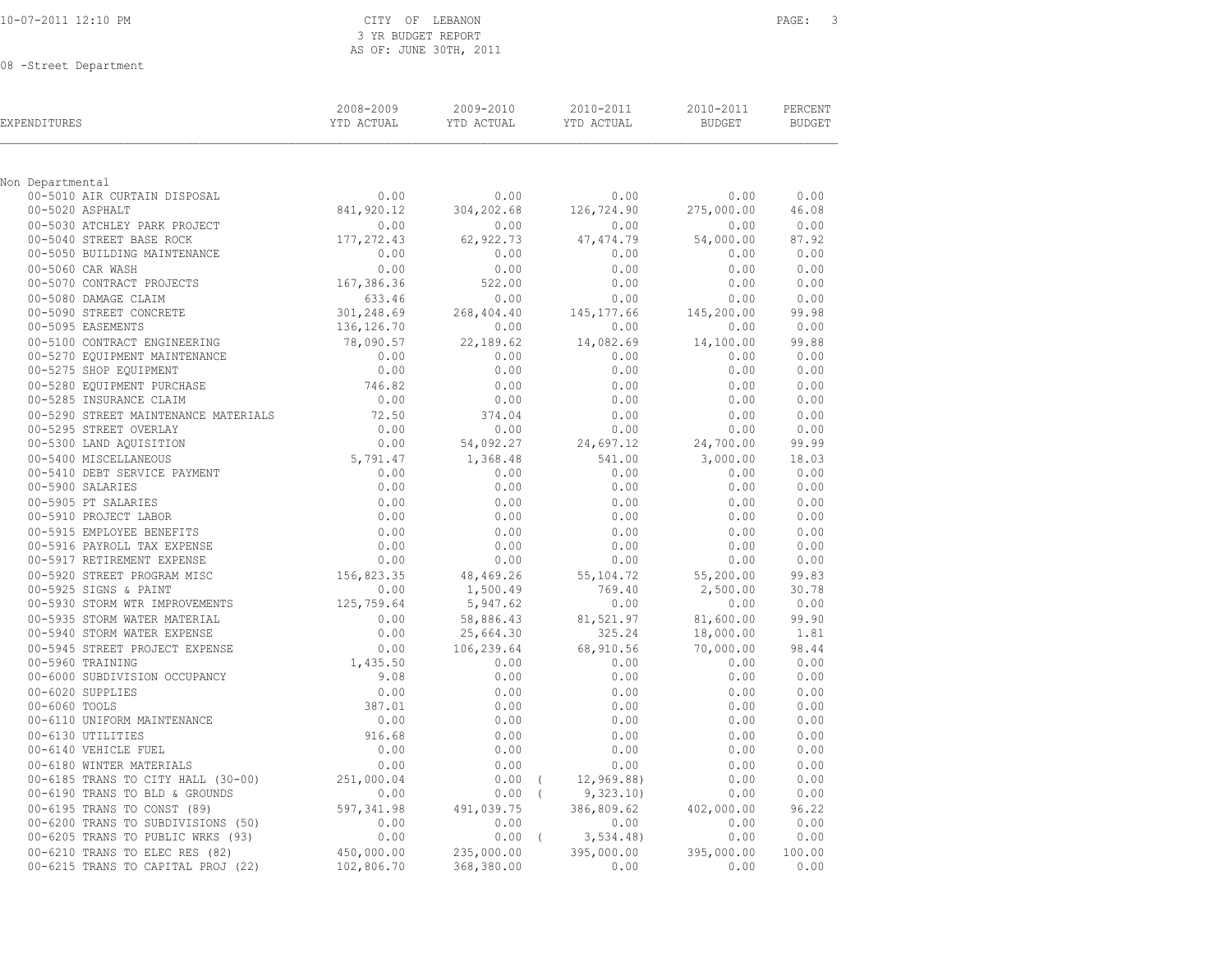### CITY OF LEBANON **PAGE:** 3 3 YR BUDGET REPORT AS OF: JUNE 30TH, 2011

08 -Street Department

| EXPENDITURES                                                                                                               | 2008-2009<br>YTD ACTUAL | 2009-2010<br>YTD ACTUAL | 2010-2011<br>YTD ACTUAL | 2010-2011<br><b>BUDGET</b> | PERCENT<br><b>BUDGET</b> |
|----------------------------------------------------------------------------------------------------------------------------|-------------------------|-------------------------|-------------------------|----------------------------|--------------------------|
| Non Departmental                                                                                                           |                         |                         |                         |                            |                          |
| 00-5010 AIR CURTAIN DISPOSAL                                                                                               | 0.00                    | 0.00                    | 0.00                    | 0.00                       | 0.00                     |
| 00-5020 ASPHALT                                                                                                            | 841,920.12              | 304,202.68              | 126,724.90              | 275,000.00                 | 46.08                    |
| 00-5030 ATCHLEY PARK PROJECT                                                                                               | 0.00                    | 0.00                    | 0.00                    | 0.00                       | 0.00                     |
| 00-5040 STREET BASE ROCK                                                                                                   | 177, 272.43             | 62,922.73               | 47, 474.79              | 54,000.00                  | 87.92                    |
| 00-5050 BUILDING MAINTENANCE                                                                                               | 0.00                    | 0.00                    | 0.00                    | 0.00                       | 0.00                     |
| 00-5060 CAR WASH                                                                                                           | 0.00                    | 0.00                    | 0.00                    | 0.00                       | 0.00                     |
| 00-5070 CONTRACT PROJECTS                                                                                                  | 167,386.36              | 522.00                  | 0.00                    | 0.00                       | 0.00                     |
| 00-5080 DAMAGE CLAIM                                                                                                       | 633.46                  | 0.00                    | 0.00                    | 0.00                       | 0.00                     |
| 00-5090 STREET CONCRETE                                                                                                    | 301, 248.69             | 268,404.40              | 145,177.66              | 145,200.00                 | 99.98                    |
| 00-5095 EASEMENTS                                                                                                          | 136,126.70              | 0.00                    | 0.00                    | 0.00                       | 0.00                     |
| 00-5100 CONTRACT ENGINEERING                                                                                               | 78,090.57               | 22,189.62               | 14,082.69               | 14,100.00                  | 99.88                    |
| 00-5270 EQUIPMENT MAINTENANCE                                                                                              | 0.00                    | 0.00                    | 0.00                    | 0.00                       | 0.00                     |
| 00-5275 SHOP EQUIPMENT                                                                                                     | 0.00                    | 0.00                    | 0.00                    | 0.00                       | 0.00                     |
| 00-5280 EQUIPMENT PURCHASE                                                                                                 | 746.82                  | 0.00                    | 0.00                    | 0.00                       | 0.00                     |
| 00-5285 INSURANCE CLAIM                                                                                                    | 0.00                    | 0.00                    | 0.00                    | 0.00                       | 0.00                     |
| 00-5290 STREET MAINTENANCE MATERIALS                                                                                       | 72.50                   | 374.04                  | 0.00                    | 0.00                       | 0.00                     |
| 00-5295 STREET OVERLAY                                                                                                     | 0.00                    | 0.00                    | 0.00                    | 0.00                       | 0.00                     |
| 00-5300 LAND AQUISITION                                                                                                    | 0.00                    | 54,092.27               | 24,697.12               | 24,700.00                  | 99.99                    |
| 00-5400 MISCELLANEOUS                                                                                                      | 5,791.47                | 1,368.48                | 541.00                  | 3,000.00                   | 18.03                    |
| 00-5410 DEBT SERVICE PAYMENT                                                                                               | 0.00                    | 0.00                    | 0.00                    | 0.00                       | 0.00                     |
| 00-5900 SALARIES<br>00-5905 PT SALARIES<br>00-5910 PROJECT LABOR<br>00-5915 EMPLOYEE BENEFITS<br>00-5915 EMPLOYEE BENEFITS | 0.00                    | 0.00                    | 0.00                    | 0.00                       | 0.00                     |
|                                                                                                                            | 0.00                    | 0.00                    | 0.00                    | 0.00                       | 0.00                     |
|                                                                                                                            | 0.00                    | 0.00                    | 0.00                    | 0.00                       | 0.00                     |
|                                                                                                                            | 0.00                    | 0.00                    | 0.00                    | 0.00                       | 0.00                     |
|                                                                                                                            | 0.00                    | 0.00                    | 0.00                    | 0.00                       | 0.00                     |
| 00-5917 RETIREMENT EXPENSE                                                                                                 | 0.00                    | 0.00                    | 0.00                    | 0.00                       | 0.00                     |
| 00-5920 STREET PROGRAM MISC                                                                                                | 156,823.35              | 48,469.26               | 55, 104.72              | 55,200.00                  | 99.83                    |
| 00-5925 SIGNS & PAINT                                                                                                      | 0.00                    | 1,500.49                | 769.40                  | 2,500.00                   | 30.78                    |
| 00-5930 STORM WTR IMPROVEMENTS                                                                                             | 125,759.64              | 5,947.62                | 0.00                    | 0.00                       | 0.00                     |
| 00-5935 STORM WATER MATERIAL                                                                                               | 0.00                    | 58,886.43               | 81,521.97               | 81,600.00                  | 99.90                    |
| 00-5940 STORM WATER EXPENSE<br>00-5945 STREET PROJECT EXPENSE<br>00-5945 STREET PROJECT EXPENSE                            | 0.00                    | 25,664.30               | 325.24                  | 18,000.00                  | 1.81                     |
|                                                                                                                            | 0.00<br>1,435.50        | 106,239.64              | 68,910.56<br>0.00       | 70,000.00                  | 98.44<br>0.00            |
| 00-6000 SUBDIVISION OCCUPANCY                                                                                              | 9.08                    | 0.00<br>0.00            | 0.00                    | 0.00<br>0.00               | 0.00                     |
| 00-6020 SUPPLIES                                                                                                           | 0.00                    | 0.00                    | 0.00                    | 0.00                       | 0.00                     |
| 00-6060 TOOLS                                                                                                              | 387.01                  | 0.00                    | 0.00                    | 0.00                       | 0.00                     |
| 00-6110 UNIFORM MAINTENANCE                                                                                                | 0.00                    | 0.00                    | 0.00                    | 0.00                       | 0.00                     |
| 00-6130 UTILITIES                                                                                                          | 916.68                  | 0.00                    | 0.00                    | 0.00                       | 0.00                     |
| 00-6140 VEHICLE FUEL                                                                                                       | 0.00                    | 0.00                    | 0.00                    | 0.00                       | 0.00                     |
| 00-6180 WINTER MATERIALS                                                                                                   | 0.00                    | 0.00                    | 0.00                    | 0.00                       | 0.00                     |
| 00-6185 TRANS TO CITY HALL (30-00)                                                                                         | 251,000.04              | $0.00$ (                | 12,969.88)              | 0.00                       | 0.00                     |
| 00-6190 TRANS TO BLD & GROUNDS                                                                                             | 0.00                    | $0.00$ (                | 9,323.10                | 0.00                       | 0.00                     |
| 00-6195 TRANS TO CONST (89)                                                                                                | 597,341.98              | 491,039.75              | 386,809.62              | 402,000.00                 | 96.22                    |
| 00-6200 TRANS TO SUBDIVISIONS (50)                                                                                         | 0.00                    | 0.00                    | 0.00                    | 0.00                       | 0.00                     |
| 00-6205 TRANS TO PUBLIC WRKS (93)                                                                                          | 0.00                    | $0.00$ (                | 3,534.48                | 0.00                       | 0.00                     |
| 00-6210 TRANS TO ELEC RES (82)                                                                                             | 450,000.00              | 235,000.00              | 395,000.00              | 395,000.00                 | 100.00                   |
| 00-6215 TRANS TO CAPITAL PROJ (22)                                                                                         | 102,806.70              | 368,380.00              | 0.00                    | 0.00                       | 0.00                     |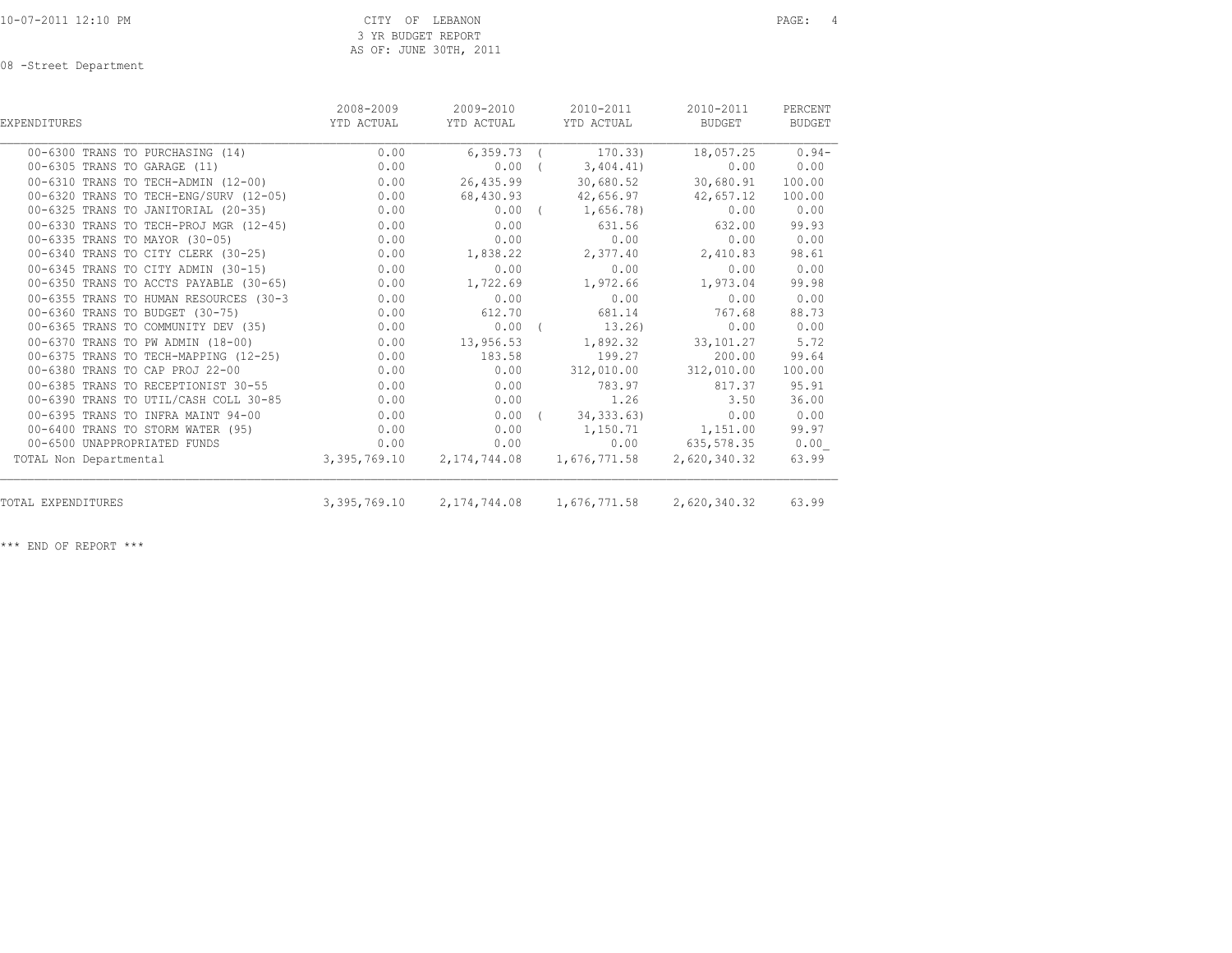08 -Street Department

| EXPENDITURES                                | 2008-2009<br>YTD ACTUAL | 2009-2010<br>YTD ACTUAL | 2010-2011<br>YTD ACTUAL                      | 2010-2011<br>BUDGET | PERCENT<br><b>BUDGET</b> |
|---------------------------------------------|-------------------------|-------------------------|----------------------------------------------|---------------------|--------------------------|
| 00-6300 TRANS TO PURCHASING (14)            | 0.00                    | 6,359.73                | 170.33)                                      | 18,057.25           | $0.94-$                  |
| 00-6305 TRANS TO GARAGE (11)                | 0.00                    | $0.00$ (                | 3,404.41)                                    | 0.00                | 0.00                     |
| 00-6310 TRANS TO TECH-ADMIN (12-00)         | 0.00                    | 26,435.99               | 30,680.52                                    | 30,680.91           | 100.00                   |
| 00-6320 TRANS TO TECH-ENG/SURV (12-05)      | 0.00                    | 68,430.93               | 42,656.97                                    | 42,657.12           | 100.00                   |
| 00-6325 TRANS TO JANITORIAL (20-35)         | 0.00                    |                         | $0.00$ ( $1,656.78$ )                        | 0.00                | 0.00                     |
| 0.00 00-6330 TRANS TO TECH-PROJ MGR (12-45) |                         | 0.00                    | 631.56                                       | 632.00              | 99.93                    |
| 00-6335 TRANS TO MAYOR (30-05)              | 0.00                    | 0.00                    | 0.00                                         | 0.00                | 0.00                     |
| 00-6340 TRANS TO CITY CLERK (30-25)         | 0.00                    | 1,838.22                | 2,377.40                                     | 2,410.83            | 98.61                    |
| 00-6345 TRANS TO CITY ADMIN (30-15)         | 0.00                    | 0.00                    | 0.00                                         | 0.00                | 0.00                     |
| 00-6350 TRANS TO ACCTS PAYABLE (30-65)      | 0.00                    | 1,722.69                | 1,972.66                                     | 1,973.04            | 99.98                    |
| 00-6355 TRANS TO HUMAN RESOURCES (30-3      | 0.00                    | 0.00                    | 0.00                                         | 0.00                | 0.00                     |
| 00-6360 TRANS TO BUDGET (30-75)             | 0.00                    | 612.70                  | 681.14                                       | 767.68              | 88.73                    |
| 00-6365 TRANS TO COMMUNITY DEV (35)         | 0.00                    | $0.00$ (                | $13.26$ )                                    | 0.00                | 0.00                     |
| 00-6370 TRANS TO PW ADMIN (18-00)           | 0.00                    | 13,956.53               | 1,892.32                                     | 33,101.27           | 5.72                     |
| 00-6375 TRANS TO TECH-MAPPING (12-25)       | 0.00                    | 183.58                  | 199.27                                       | 200.00              | 99.64                    |
| 00-6380 TRANS TO CAP PROJ 22-00             | 0.00                    | 0.00                    | 312,010.00                                   | 312,010.00          | 100.00                   |
| 00-6385 TRANS TO RECEPTIONIST 30-55         | 0.00                    | 0.00                    | 783.97                                       | 817.37              | 95.91                    |
| 00-6390 TRANS TO UTIL/CASH COLL 30-85       | 0.00                    | 0.00                    | 1.26                                         | 3.50                | 36.00                    |
| 00-6395 TRANS TO INFRA MAINT 94-00          | 0.00                    |                         | $0.00$ ( $34,333.63$ )                       | 0.00                | 0.00                     |
| 00-6400 TRANS TO STORM WATER (95)           | 0.00                    | 0.00                    |                                              | 1,150.71 1,151.00   | 99.97                    |
| 00-6500 UNAPPROPRIATED FUNDS                | 0.00                    | 0.00                    |                                              | $0.00$ 635,578.35   | 0.00                     |
| TOTAL Non Departmental                      |                         |                         | 3,395,769.10 2,174,744.08 1,676,771.58       | 2,620,340.32        | 63.99                    |
| TOTAL EXPENDITURES                          |                         |                         | 3, 395, 769.10 2, 174, 744.08 1, 676, 771.58 | 2,620,340.32        | 63.99                    |

\*\*\* END OF REPORT \*\*\*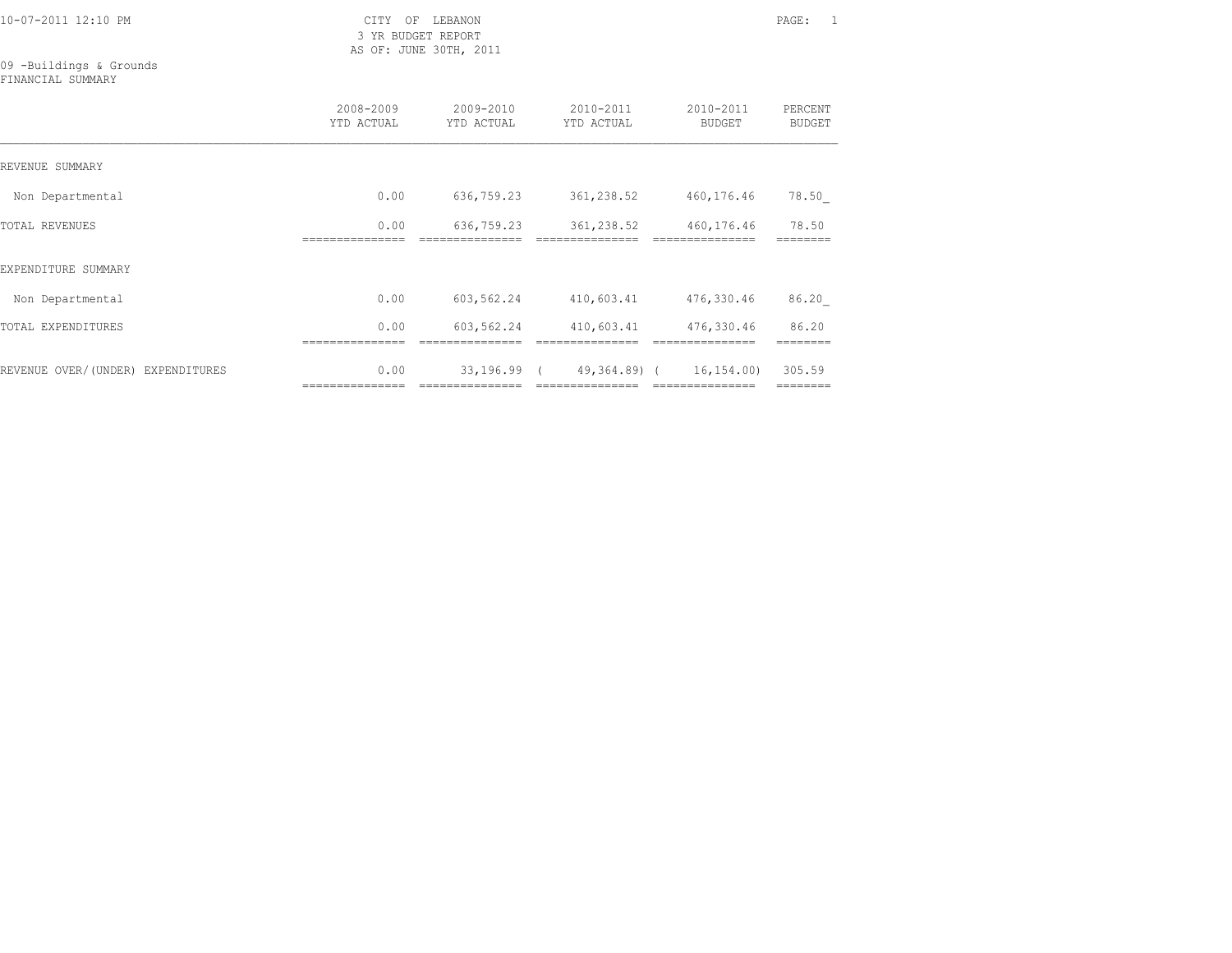3 YR BUDGET REPORT AS OF: JUNE 30TH, 2011

09 -Buildings & Grounds FINANCIAL SUMMARY

|                                   | 2008-2009<br>YTD ACTUAL | 2009-2010<br>YTD ACTUAL         | 2010-2011<br>YTD ACTUAL              | 2010-2011<br><b>BUDGET</b> | PERCENT<br><b>BUDGET</b> |
|-----------------------------------|-------------------------|---------------------------------|--------------------------------------|----------------------------|--------------------------|
| REVENUE SUMMARY                   |                         |                                 |                                      |                            |                          |
| Non Departmental                  | 0.00                    | 636,759.23                      | 361,238.52                           | 460,176.46                 | 78.50                    |
| TOTAL REVENUES                    | 0.00                    | 636,759.23                      | 361,238.52                           | 460,176.46                 | 78.50                    |
| EXPENDITURE SUMMARY               |                         |                                 |                                      |                            |                          |
| Non Departmental                  | 0.00                    | 603,562.24                      | 410,603.41                           | 476,330.46                 | 86.20                    |
| TOTAL EXPENDITURES                | 0.00                    | 603,562.24                      | 410,603.41                           | 476,330.46                 | 86.20                    |
| REVENUE OVER/(UNDER) EXPENDITURES | 0.00<br>=============== | 33,196.99 (<br>---------------- | ------------------------------------ | 49,364.89) ( 16,154.00)    | 305.59<br>========       |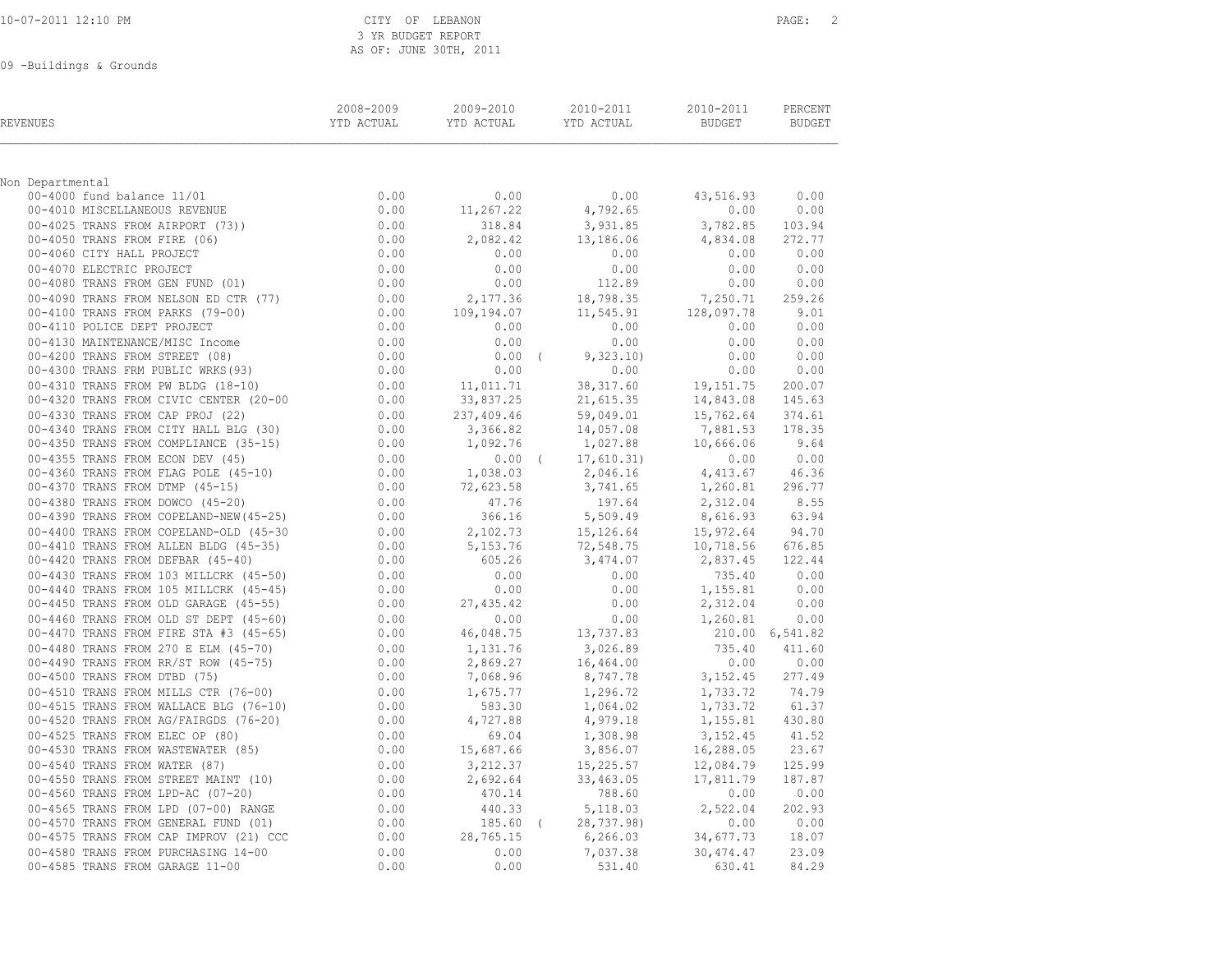|  |  |  | 10-07-2011 12:10 PM |  |  |  |
|--|--|--|---------------------|--|--|--|
|--|--|--|---------------------|--|--|--|

### CITY OF LEBANON PAGE: 2 3 YR BUDGET REPORT AS OF: JUNE 30TH, 2011

09 -Buildings & Grounds

| REVENUES                                                                                                                                                                                                                                | 2008-2009 | 2009-2010              | 2010-2011<br>YTD ACTUAL YTD ACTUAL YTD ACTUAL                                                                                                             | 2010-2011 PERCENT<br><b>BUDGET</b>  | BUDGET        |
|-----------------------------------------------------------------------------------------------------------------------------------------------------------------------------------------------------------------------------------------|-----------|------------------------|-----------------------------------------------------------------------------------------------------------------------------------------------------------|-------------------------------------|---------------|
|                                                                                                                                                                                                                                         |           |                        |                                                                                                                                                           |                                     |               |
| Non Departmental                                                                                                                                                                                                                        |           |                        |                                                                                                                                                           |                                     |               |
|                                                                                                                                                                                                                                         |           | 0.00                   | 0.00                                                                                                                                                      | 43,516.93                           | 0.00          |
|                                                                                                                                                                                                                                         |           | 11,267.22              | 4,792.65                                                                                                                                                  | 0.00                                | 0.00          |
|                                                                                                                                                                                                                                         |           | 318.84                 | 3,931.85                                                                                                                                                  | 3,782.85 103.94<br>4,834.08         | 272.77        |
|                                                                                                                                                                                                                                         |           | 2,082.42<br>0.00       | 13,186.06<br>0.00                                                                                                                                         |                                     | $0.00$ $0.00$ |
|                                                                                                                                                                                                                                         |           | 0.00                   | 0.00                                                                                                                                                      | 0.00                                | 0.00          |
|                                                                                                                                                                                                                                         |           | 0.00                   | $0.00$<br>112.89                                                                                                                                          | 0.00                                | 0.00          |
|                                                                                                                                                                                                                                         |           | 2,177.36               | 18,798.35                                                                                                                                                 | 7,250.71 259.26                     |               |
|                                                                                                                                                                                                                                         |           |                        | $109,194.07$<br>0.00 0.00 0.00                                                                                                                            | $11,545.91$ $128,097.78$            | 9.01          |
|                                                                                                                                                                                                                                         |           |                        |                                                                                                                                                           | 0.00                                | 0.00          |
|                                                                                                                                                                                                                                         |           | 0.00                   | 0.00                                                                                                                                                      | 0.00                                | 0.00          |
|                                                                                                                                                                                                                                         |           | $0.00$ (               | 9,323.10)                                                                                                                                                 | 0.00                                | 0.00          |
|                                                                                                                                                                                                                                         |           | 0.00                   | 0.00                                                                                                                                                      | 0.00                                | 0.00          |
|                                                                                                                                                                                                                                         |           |                        | 38, 317.60                                                                                                                                                | 19,151.75                           | 200.07        |
|                                                                                                                                                                                                                                         |           | 11,011.71<br>33,837.25 | 21,615.35                                                                                                                                                 | 14,843.08                           | 145.63        |
|                                                                                                                                                                                                                                         |           | 237,409.46             |                                                                                                                                                           | 15,762.64                           | 374.61        |
|                                                                                                                                                                                                                                         |           | 3,366.82               | 59,049.01<br>14,057.08                                                                                                                                    | 7,881.53                            | 178.35        |
|                                                                                                                                                                                                                                         |           | 1,092.76               | 1,027.88                                                                                                                                                  | 10,666.06 9.64                      |               |
|                                                                                                                                                                                                                                         |           |                        | $0.00$ ( $17,610.31$ ) $0.00$ 0.00<br>$1,038.03$ 2,046.16 4,413.67 46.36                                                                                  |                                     |               |
|                                                                                                                                                                                                                                         |           |                        |                                                                                                                                                           |                                     |               |
|                                                                                                                                                                                                                                         |           | $72,623.58$<br>$47.76$ | 3,741.65                                                                                                                                                  | 1,260.81 296.77                     |               |
|                                                                                                                                                                                                                                         |           |                        |                                                                                                                                                           | $2,312.04$ 8.55                     |               |
|                                                                                                                                                                                                                                         |           | 366.16                 | 5,509.49                                                                                                                                                  | 8,616.93                            | 63.94         |
|                                                                                                                                                                                                                                         |           | 2,102.73               | 15, 126.64 15, 972.64 94.70<br>72, 548.75 10, 718.56 676.85                                                                                               |                                     |               |
|                                                                                                                                                                                                                                         |           | 5,153.76               |                                                                                                                                                           |                                     |               |
|                                                                                                                                                                                                                                         |           | 605.26                 | $3,474.07$<br>0.00                                                                                                                                        | 2,837.45 122.44                     |               |
|                                                                                                                                                                                                                                         |           |                        |                                                                                                                                                           | 735.40 0.00                         |               |
|                                                                                                                                                                                                                                         |           | 0.00                   | 0.00                                                                                                                                                      | 1,155.81                            | 0.00          |
|                                                                                                                                                                                                                                         |           | $27,435.42$<br>0.00    | 0.00                                                                                                                                                      | 2,312.04                            | 0.00          |
|                                                                                                                                                                                                                                         |           |                        | 0.00                                                                                                                                                      | $1,260.81$ 0.00                     |               |
|                                                                                                                                                                                                                                         |           |                        | 46,048.75 13,737.83                                                                                                                                       | 210.00 6,541.82                     |               |
|                                                                                                                                                                                                                                         |           |                        | 3,026.89                                                                                                                                                  | $735.40$ $411.60$<br>0.00 0.00      |               |
|                                                                                                                                                                                                                                         |           | 2,869.27               | 16,464.00<br>8,747.78                                                                                                                                     |                                     |               |
|                                                                                                                                                                                                                                         |           |                        |                                                                                                                                                           | $3,152.45$ 277.49<br>1,733.72 74.79 |               |
|                                                                                                                                                                                                                                         |           |                        | 1,296.72                                                                                                                                                  |                                     | 61.37         |
|                                                                                                                                                                                                                                         |           |                        | 1,064.02<br>4,979.18                                                                                                                                      | 1,733.72<br>1,155.81 430.80         |               |
|                                                                                                                                                                                                                                         |           |                        |                                                                                                                                                           | 3, 152. 45 41. 52                   |               |
|                                                                                                                                                                                                                                         |           | 15,687.66              |                                                                                                                                                           | 16,288.05 23.67                     |               |
|                                                                                                                                                                                                                                         |           |                        |                                                                                                                                                           | 12,084.79 125.99                    |               |
| 00 -4440 TRAINS FROM DEFRAR (45-50)<br>0.00 -4420 TRAINS FROM DEFRAR (45-40)<br>0.00 -6430 TRAINS FROM 103 MILLCRK (45-50)<br>0.00 -4440 TRAINS FROM DIS MILLCRK (45-55)<br>0.00 -4440 TRAINS FROM OLD ST DEPT (45-65)<br>0.00 -4450 TR |           |                        | $\begin{array}{cccc} & 69.04 & & 1,308.98 \\ 15,687.66 & & 3,856.07 \\ 3,212.37 & & 15,225.57 \\ 2,692.64 & & 33,463.05 \\ 470.14 & & 788.60 \end{array}$ | 17,811.79                           | 187.87        |
|                                                                                                                                                                                                                                         |           |                        |                                                                                                                                                           | 0.00                                | 0.00          |
|                                                                                                                                                                                                                                         |           | 440.33                 | 5, 118.03                                                                                                                                                 | 2,522.04                            | 202.93        |
|                                                                                                                                                                                                                                         |           |                        | 440.33 5,118.05<br>185.60 (28,737.98)<br>8,765.15 6,266.03                                                                                                | 0.00                                | 0.00          |
|                                                                                                                                                                                                                                         |           |                        |                                                                                                                                                           | 34,677.73 18.07                     |               |
| 00-4580 TRANS FROM PURCHASING 14-00                                                                                                                                                                                                     | 0.00      | 0.00                   | 7,037.38                                                                                                                                                  | 30, 474.47                          | 23.09         |
| 00-4585 TRANS FROM GARAGE 11-00                                                                                                                                                                                                         | 0.00      | 0.00                   | 531.40                                                                                                                                                    | 630.41                              | 84.29         |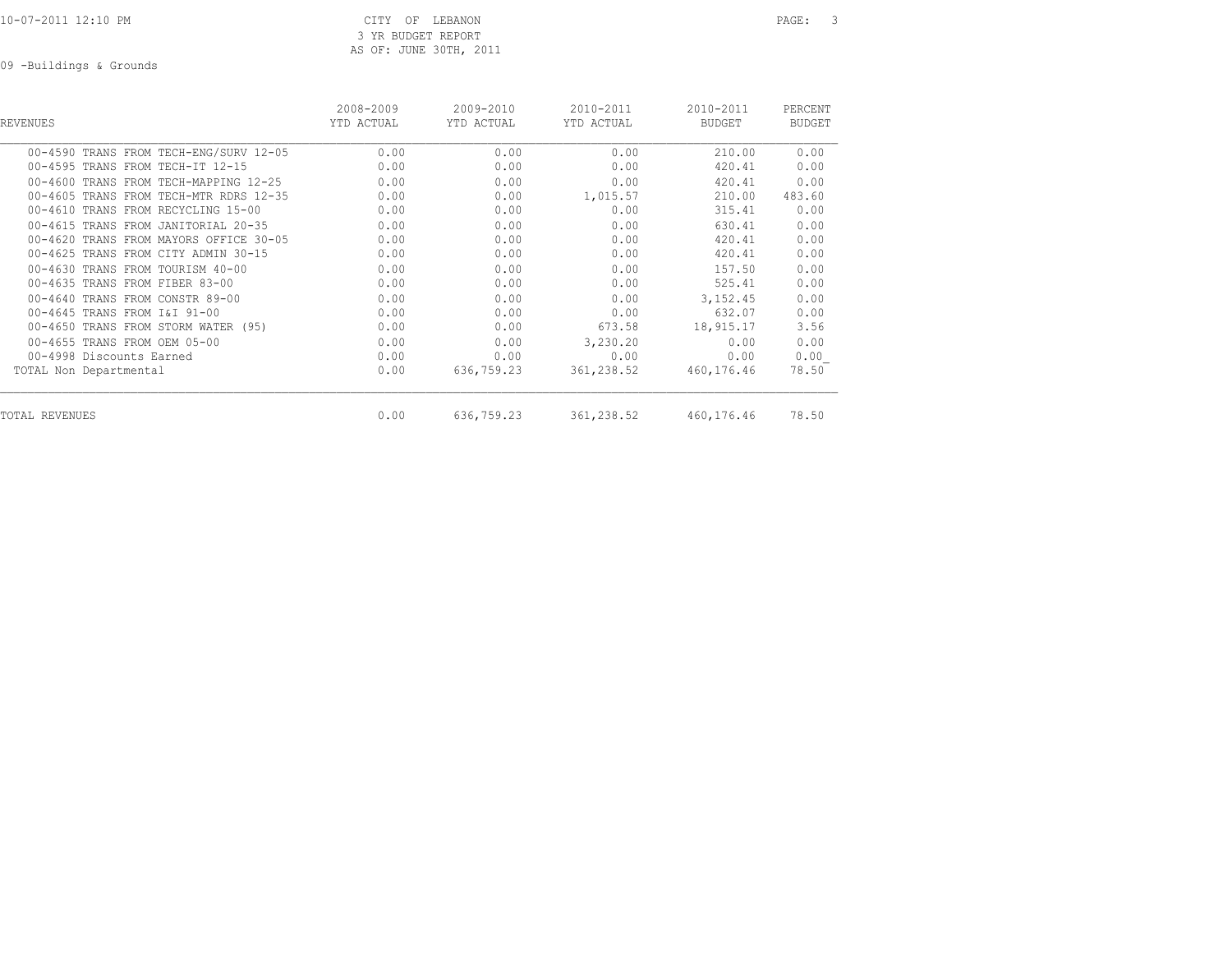10-07-2011 12:10 PM CITY OF LEBANON PAGE: 3 3 YR BUDGET REPORT AS OF: JUNE 30TH, 2011

09 -Buildings & Grounds

| REVENUES                               | 2008-2009<br>YTD ACTUAL | 2009-2010<br>YTD ACTUAL | 2010-2011<br>YTD ACTUAL | 2010-2011<br><b>BUDGET</b> | PERCENT<br><b>BUDGET</b> |
|----------------------------------------|-------------------------|-------------------------|-------------------------|----------------------------|--------------------------|
| 00-4590 TRANS FROM TECH-ENG/SURV 12-05 | 0.00                    | 0.00                    | 0.00                    | 210.00                     | 0.00                     |
| 00-4595 TRANS FROM TECH-IT 12-15       | 0.00                    | 0.00                    | 0.00                    | 420.41                     | 0.00                     |
| 00-4600 TRANS FROM TECH-MAPPING 12-25  | 0.00                    | 0.00                    | 0.00                    | 420.41                     | 0.00                     |
| 00-4605 TRANS FROM TECH-MTR RDRS 12-35 | 0.00                    | 0.00                    | 1,015.57                | 210.00                     | 483.60                   |
| 00-4610 TRANS FROM RECYCLING 15-00     | 0.00                    | 0.00                    | 0.00                    | 315.41                     | 0.00                     |
| 00-4615 TRANS FROM JANITORIAL 20-35    | 0.00                    | 0.00                    | 0.00                    | 630.41                     | 0.00                     |
| 00-4620 TRANS FROM MAYORS OFFICE 30-05 | 0.00                    | 0.00                    | 0.00                    | 420.41                     | 0.00                     |
| 00-4625 TRANS FROM CITY ADMIN 30-15    | 0.00                    | 0.00                    | 0.00                    | 420.41                     | 0.00                     |
| 00-4630 TRANS FROM TOURISM 40-00       | 0.00                    | 0.00                    | 0.00                    | 157.50                     | 0.00                     |
| 00-4635 TRANS FROM FIBER 83-00         | 0.00                    | 0.00                    | 0.00                    | 525.41                     | 0.00                     |
| 00-4640 TRANS FROM CONSTR 89-00        | 0.00                    | 0.00                    | 0.00                    | 3, 152.45                  | 0.00                     |
| 00-4645 TRANS FROM I&I 91-00           | 0.00                    | 0.00                    | 0.00                    | 632.07                     | 0.00                     |
| 00-4650 TRANS FROM STORM WATER (95)    | 0.00                    | 0.00                    | 673.58                  | 18,915.17                  | 3.56                     |
| 00-4655 TRANS FROM OEM 05-00           | 0.00                    | 0.00                    | 3,230.20                | 0.00                       | 0.00                     |
| 00-4998 Discounts Earned               | 0.00                    | 0.00                    | 0.00                    | 0.00                       | 0.00                     |
| TOTAL Non Departmental                 | 0.00                    | 636,759.23              | 361,238.52              | 460,176.46                 | 78.50                    |
| TOTAL REVENUES                         | 0.00                    | 636,759.23              | 361,238.52              | 460,176.46                 | 78.50                    |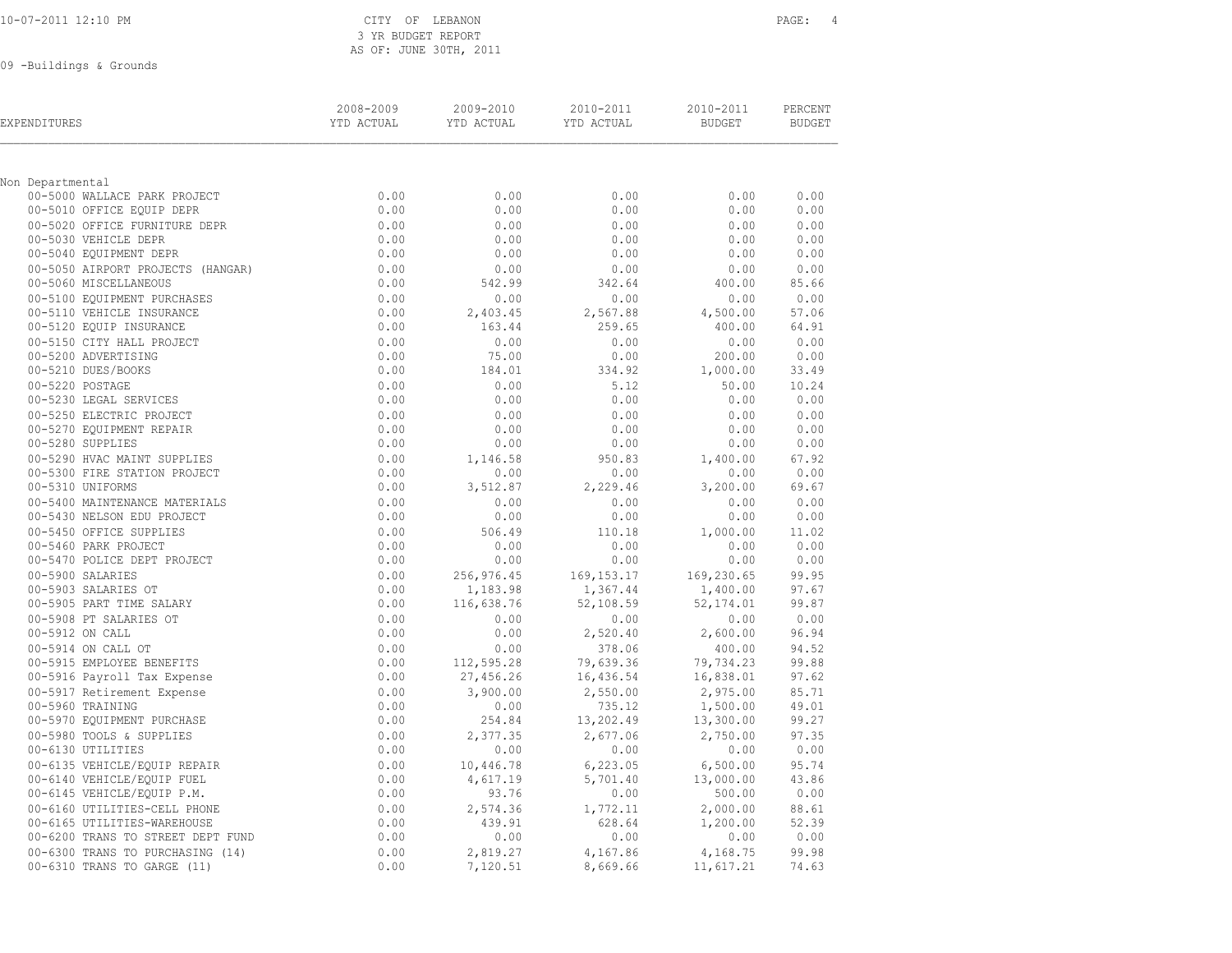# CITY OF LEBANON PAGE: 4 3 YR BUDGET REPORT AS OF: JUNE 30TH, 2011

09 -Buildings & Grounds

| EXPENDITURES                                                | 2008-2009<br>YTD ACTUAL | 2009-2010<br>YTD ACTUAL | 2010-2011<br>YTD ACTUAL | 2010-2011<br><b>BUDGET</b> | PERCENT<br><b>BUDGET</b> |
|-------------------------------------------------------------|-------------------------|-------------------------|-------------------------|----------------------------|--------------------------|
|                                                             |                         |                         |                         |                            |                          |
| Non Departmental<br>00-5000 WALLACE PARK PROJECT            | 0.00                    | 0.00                    | 0.00                    | 0.00                       | 0.00                     |
| 00-5010 OFFICE EQUIP DEPR                                   | 0.00                    | 0.00                    | 0.00                    | 0.00                       | 0.00                     |
| 00-5020 OFFICE FURNITURE DEPR                               | 0.00                    | 0.00                    | 0.00                    | 0.00                       | 0.00                     |
| 00-5030 VEHICLE DEPR                                        | 0.00                    | 0.00                    | 0.00                    | 0.00                       | 0.00                     |
| 00-5040 EQUIPMENT DEPR                                      | 0.00                    | 0.00                    | 0.00                    | 0.00                       | 0.00                     |
| 00-5050 AIRPORT PROJECTS (HANGAR)                           | 0.00                    | 0.00                    | 0.00                    | 0.00                       | 0.00                     |
| 00-5060 MISCELLANEOUS                                       | 0.00                    | 542.99                  | 342.64                  | 400.00                     | 85.66                    |
| 00-5100 EQUIPMENT PURCHASES                                 | 0.00                    | 0.00                    | 0.00                    | 0.00                       | 0.00                     |
| 00-5110 VEHICLE INSURANCE                                   | 0.00                    | 2,403.45                | 2,567.88                | 4,500.00                   | 57.06                    |
| 00-5120 EQUIP INSURANCE                                     | 0.00                    | 163.44                  | 259.65                  | 400.00                     | 64.91                    |
| 00-5150 CITY HALL PROJECT                                   | 0.00                    | 0.00                    | 0.00                    | 0.00                       | 0.00                     |
| 00-5200 ADVERTISING                                         | 0.00                    | 75.00                   | 0.00                    | 200.00                     | 0.00                     |
| 00-5210 DUES/BOOKS                                          | 0.00                    | 184.01                  | 334.92                  | 1,000.00                   | 33.49                    |
| 00-5220 POSTAGE                                             | 0.00                    | 0.00                    | 5.12                    | 50.00                      | 10.24                    |
| 00-5230 LEGAL SERVICES                                      | 0.00                    | 0.00                    | 0.00                    | 0.00                       | 0.00                     |
| 00-5250 ELECTRIC PROJECT                                    | 0.00                    | 0.00                    | 0.00                    | 0.00                       | 0.00                     |
| 00-5270 EQUIPMENT REPAIR<br>00-5280 SUPPLIES                | 0.00                    | 0.00                    | 0.00                    | 0.00                       | 0.00                     |
|                                                             | 0.00                    | 0.00                    | 0.00                    | 0.00                       | 0.00                     |
| 00-5290 HVAC MAINT SUPPLIES<br>00-5300 FIRE STATION PROJECT | 0.00<br>0.00            | 1,146.58<br>0.00        | 950.83<br>0.00          | 1,400.00<br>0.00           | 67.92<br>0.00            |
| 00-5310 UNIFORMS                                            | 0.00                    | 3,512.87                | 2,229.46                | 3,200.00                   | 69.67                    |
| 00-5400 MAINTENANCE MATERIALS                               | 0.00                    | 0.00                    | 0.00                    | 0.00                       | 0.00                     |
| 00-5430 NELSON EDU PROJECT                                  | 0.00                    | 0.00                    | 0.00                    | 0.00                       | 0.00                     |
| 00-5450 OFFICE SUPPLIES                                     | 0.00                    | 506.49                  | 110.18                  | 1,000.00                   | 11.02                    |
| 00-5460 PARK PROJECT                                        | 0.00                    | 0.00                    | 0.00                    | 0.00                       | 0.00                     |
| 00-5470 POLICE DEPT PROJECT                                 | 0.00                    | 0.00                    | 0.00                    | 0.00                       | 0.00                     |
| 00-5900 SALARIES                                            | 0.00                    | 256,976.45              | 169, 153. 17            | 169,230.65                 | 99.95                    |
| 00-5903 SALARIES OT                                         | 0.00                    | 1,183.98                | 1,367.44                | 1,400.00                   | 97.67                    |
| 00-5905 PART TIME SALARY                                    | 0.00                    | 116,638.76              | 52,108.59               | 52, 174.01                 | 99.87                    |
| 00-5908 PT SALARIES OT                                      | 0.00                    | 0.00                    | 0.00                    | 0.00                       | 0.00                     |
| 00-5912 ON CALL                                             | 0.00                    | 0.00                    | 2,520.40                | 2,600.00                   | 96.94                    |
| 00-5914 ON CALL OT                                          | 0.00                    | 0.00                    | 378.06                  | 400.00                     | 94.52                    |
| 00-5915 EMPLOYEE BENEFITS                                   | 0.00                    | 112,595.28              | 79,639.36               | 79,734.23                  | 99.88                    |
| 00-5916 Payroll Tax Expense                                 | 0.00                    | 27,456.26               | 16,436.54               | 16,838.01                  | 97.62                    |
| 00-5917 Retirement Expense                                  | 0.00                    | 3,900.00                | 2,550.00                | 2,975.00                   | 85.71                    |
| 00-5960 TRAINING                                            | 0.00                    | 0.00                    | 735.12                  | 1,500.00                   | 49.01                    |
| 00-5970 EQUIPMENT PURCHASE                                  | 0.00                    | 254.84                  | 13,202.49               | 13,300.00                  | 99.27                    |
| 00-5980 TOOLS & SUPPLIES                                    | 0.00                    | 2,377.35                | 2,677.06                | 2,750.00                   | 97.35                    |
| 00-6130 UTILITIES                                           | 0.00                    | 0.00                    | 0.00                    | 0.00                       | 0.00                     |
| 00-6135 VEHICLE/EQUIP REPAIR                                | 0.00                    | 10,446.78               | 6, 223.05               | 6,500.00                   | 95.74                    |
| 00-6140 VEHICLE/EQUIP FUEL<br>00-6145 VEHICLE/EQUIP P.M.    | 0.00<br>0.00            | 4,617.19<br>93.76       | 5,701.40<br>0.00        | 13,000.00<br>500.00        | 43.86<br>0.00            |
| 00-6160 UTILITIES-CELL PHONE                                | 0.00                    | 2,574.36                | 1,772.11                | 2,000.00                   | 88.61                    |
| 00-6165 UTILITIES-WAREHOUSE                                 | 0.00                    | 439.91                  | 628.64                  | 1,200.00                   | 52.39                    |
| 00-6200 TRANS TO STREET DEPT FUND                           | 0.00                    | 0.00                    | 0.00                    | 0.00                       | 0.00                     |
| 00-6300 TRANS TO PURCHASING (14)                            | 0.00                    | 2,819.27                | 4,167.86                | 4,168.75                   | 99.98                    |
| 00-6310 TRANS TO GARGE (11)                                 | 0.00                    | 7,120.51                | 8,669.66                | 11,617.21                  | 74.63                    |
|                                                             |                         |                         |                         |                            |                          |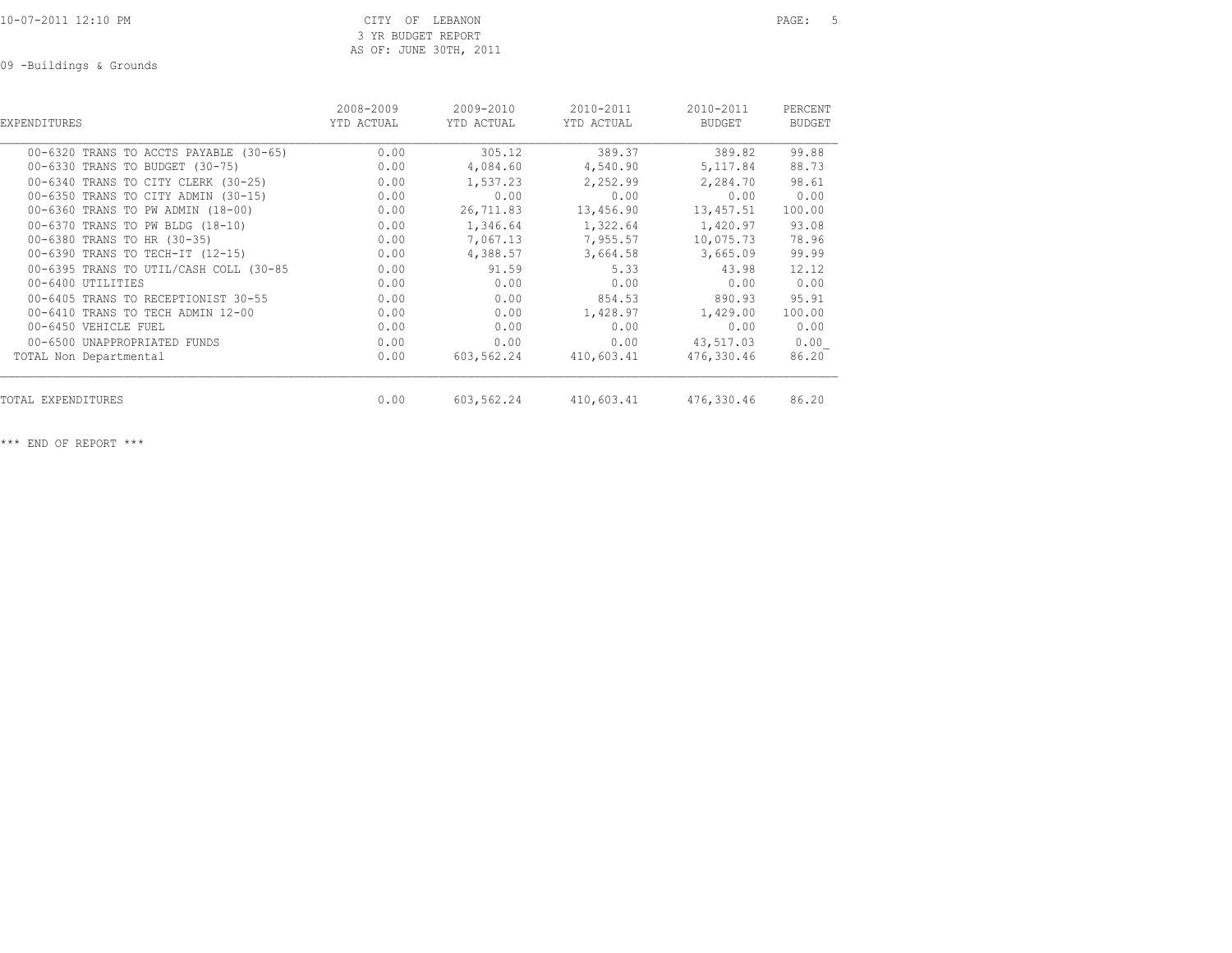09 -Buildings & Grounds

| <b>EXPENDITURES</b>                    | 2008-2009<br>YTD ACTUAL | 2009-2010<br>YTD ACTUAL | 2010-2011<br>YTD ACTUAL | 2010-2011<br>BUDGET | PERCENT<br>BUDGET |
|----------------------------------------|-------------------------|-------------------------|-------------------------|---------------------|-------------------|
| 00-6320 TRANS TO ACCTS PAYABLE (30-65) | 0.00                    | 305.12                  | 389.37                  | 389.82              | 99.88             |
| 00-6330 TRANS TO BUDGET (30-75)        | 0.00                    | 4,084.60                | 4,540.90                | 5,117.84            | 88.73             |
| 00-6340 TRANS TO CITY CLERK (30-25)    | 0.00                    | 1,537.23                | 2,252.99                | 2,284.70            | 98.61             |
| 00-6350 TRANS TO CITY ADMIN (30-15)    | 0.00                    | 0.00                    | 0.00                    | 0.00                | 0.00              |
| 00-6360 TRANS TO PW ADMIN (18-00)      | 0.00                    | 26,711.83               | 13,456.90               | 13,457.51           | 100.00            |
| 00-6370 TRANS TO PW BLDG (18-10)       | 0.00                    | 1,346.64                | 1,322.64                | 1,420.97            | 93.08             |
| 00-6380 TRANS TO HR (30-35)            | 0.00                    | 7,067.13                | 7,955.57                | 10,075.73           | 78.96             |
| 00-6390 TRANS TO TECH-IT (12-15)       | 0.00                    | 4,388.57                | 3,664.58                | 3,665.09            | 99.99             |
| 00-6395 TRANS TO UTIL/CASH COLL (30-85 | 0.00                    | 91.59                   | 5.33                    | 43.98               | 12.12             |
| 00-6400 UTILITIES                      | 0.00                    | 0.00                    | 0.00                    | 0.00                | 0.00              |
| 00-6405 TRANS TO RECEPTIONIST 30-55    | 0.00                    | 0.00                    | 854.53                  | 890.93              | 95.91             |
| 00-6410 TRANS TO TECH ADMIN 12-00      | 0.00                    | 0.00                    | 1,428.97                | 1,429.00            | 100.00            |
| 00-6450 VEHICLE FUEL                   | 0.00                    | 0.00                    | 0.00                    | 0.00                | 0.00              |
| 00-6500 UNAPPROPRIATED FUNDS           | 0.00                    | 0.00                    | 0.00                    | 43,517.03           | 0.00              |
| TOTAL Non Departmental                 | 0.00                    | 603,562.24              | 410,603.41              | 476,330.46          | 86.20             |
| TOTAL EXPENDITURES                     | 0.00                    | 603,562.24              | 410,603.41              | 476,330.46          | 86.20             |

\*\*\* END OF REPORT \*\*\*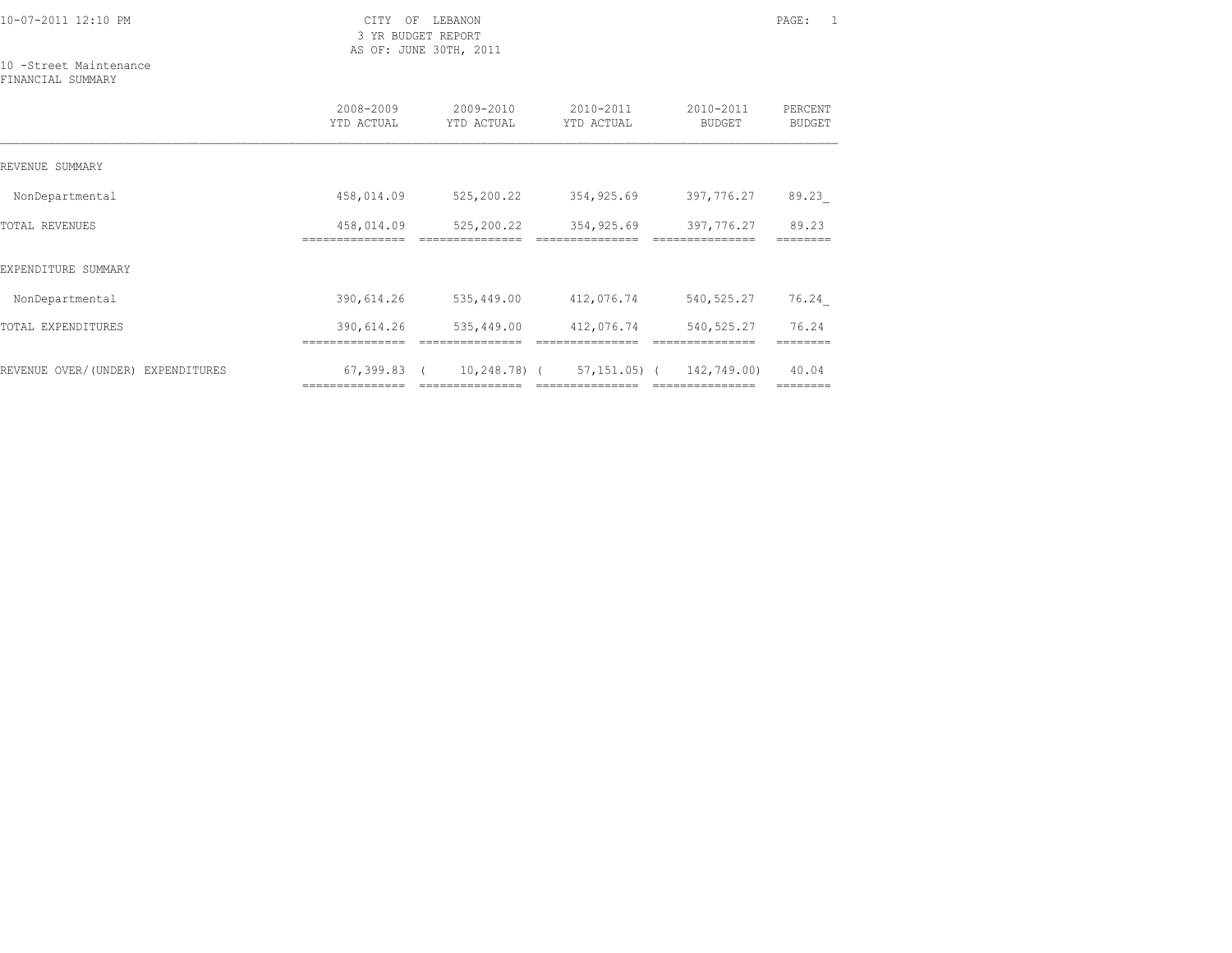3 YR BUDGET REPORT AS OF: JUNE 30TH, 2011

=============== =============== =============== =============== ========

10 -Street Maintenance

| FINANCIAL SUMMARY                    |                         |                         |                         |                            |                          |
|--------------------------------------|-------------------------|-------------------------|-------------------------|----------------------------|--------------------------|
|                                      | 2008-2009<br>YTD ACTUAL | 2009-2010<br>YTD ACTUAL | 2010-2011<br>YTD ACTUAL | 2010-2011<br><b>BUDGET</b> | PERCENT<br><b>BUDGET</b> |
| REVENUE SUMMARY                      |                         |                         |                         |                            |                          |
| NonDepartmental                      | 458,014.09              | 525,200.22              | 354,925.69              | 397,776.27                 | 89.23                    |
| <b>TOTAL REVENUES</b>                | 458,014.09              | 525,200.22              | 354,925.69              | 397,776.27                 | 89.23                    |
| EXPENDITURE SUMMARY                  |                         |                         |                         |                            |                          |
| NonDepartmental                      | 390,614.26              | 535,449.00              | 412,076.74              | 540, 525.27                | 76.24                    |
| TOTAL EXPENDITURES                   | 390,614.26              | 535,449.00              | 412,076.74              | 540, 525.27                | 76.24                    |
| REVENUE OVER/(UNDER)<br>EXPENDITURES | 67,399.83               | $10, 248, 78$ ) (       | 57,151.05) (            | 142,749.00)                | 40.04                    |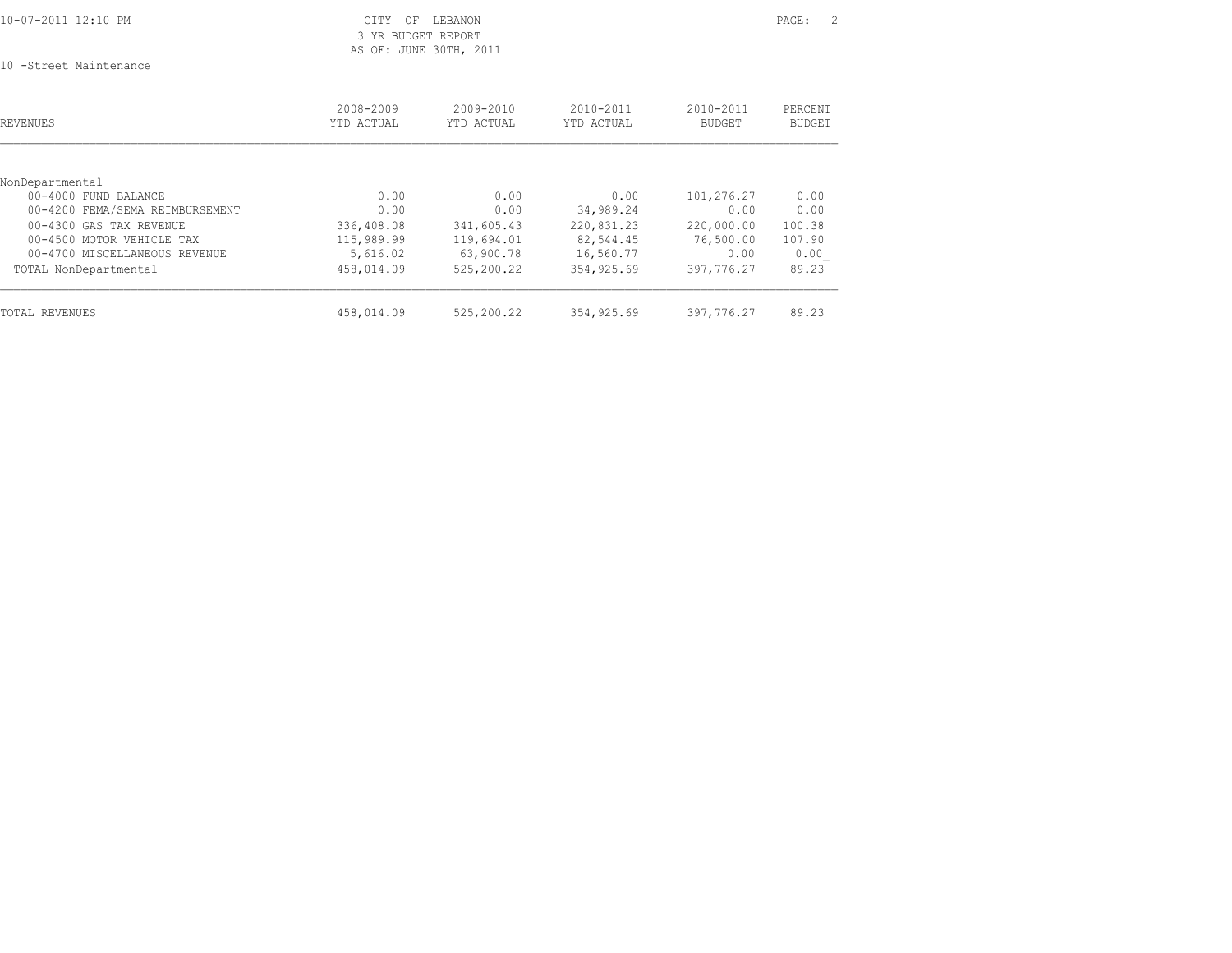| 10-07-2011 12:10 PM |  |
|---------------------|--|
|                     |  |

### CITY OF LEBANON PAGE: 2 3 YR BUDGET REPORT AS OF: JUNE 30TH, 2011

10 -Street Maintenance

| <b>REVENUES</b>                 | 2008-2009<br>YTD ACTUAL | $2009 - 2010$<br>YTD ACTUAL | $2010 - 2011$<br>YTD ACTUAL | $2010 - 2011$<br><b>BUDGET</b> | PERCENT<br><b>BUDGET</b> |
|---------------------------------|-------------------------|-----------------------------|-----------------------------|--------------------------------|--------------------------|
|                                 |                         |                             |                             |                                |                          |
| NonDepartmental                 |                         |                             |                             |                                |                          |
| 00-4000 FUND BALANCE            | 0.00                    | 0.00                        | 0.00                        | 101,276.27                     | 0.00                     |
| 00-4200 FEMA/SEMA REIMBURSEMENT | 0.00                    | 0.00                        | 34,989.24                   | 0.00                           | 0.00                     |
| 00-4300 GAS TAX REVENUE         | 336,408.08              | 341,605.43                  | 220,831.23                  | 220,000.00                     | 100.38                   |
| 00-4500 MOTOR VEHICLE TAX       | 115,989.99              | 119,694.01                  | 82,544.45                   | 76,500.00                      | 107.90                   |
| 00-4700 MISCELLANEOUS REVENUE   | 5,616.02                | 63,900.78                   | 16,560.77                   | 0.00                           | 0.00                     |
| TOTAL NonDepartmental           | 458,014.09              | 525,200.22                  | 354,925.69                  | 397,776.27                     | 89.23                    |
| TOTAL REVENUES                  | 458,014.09              | 525,200.22                  | 354,925.69                  | 397,776.27                     | 89.23                    |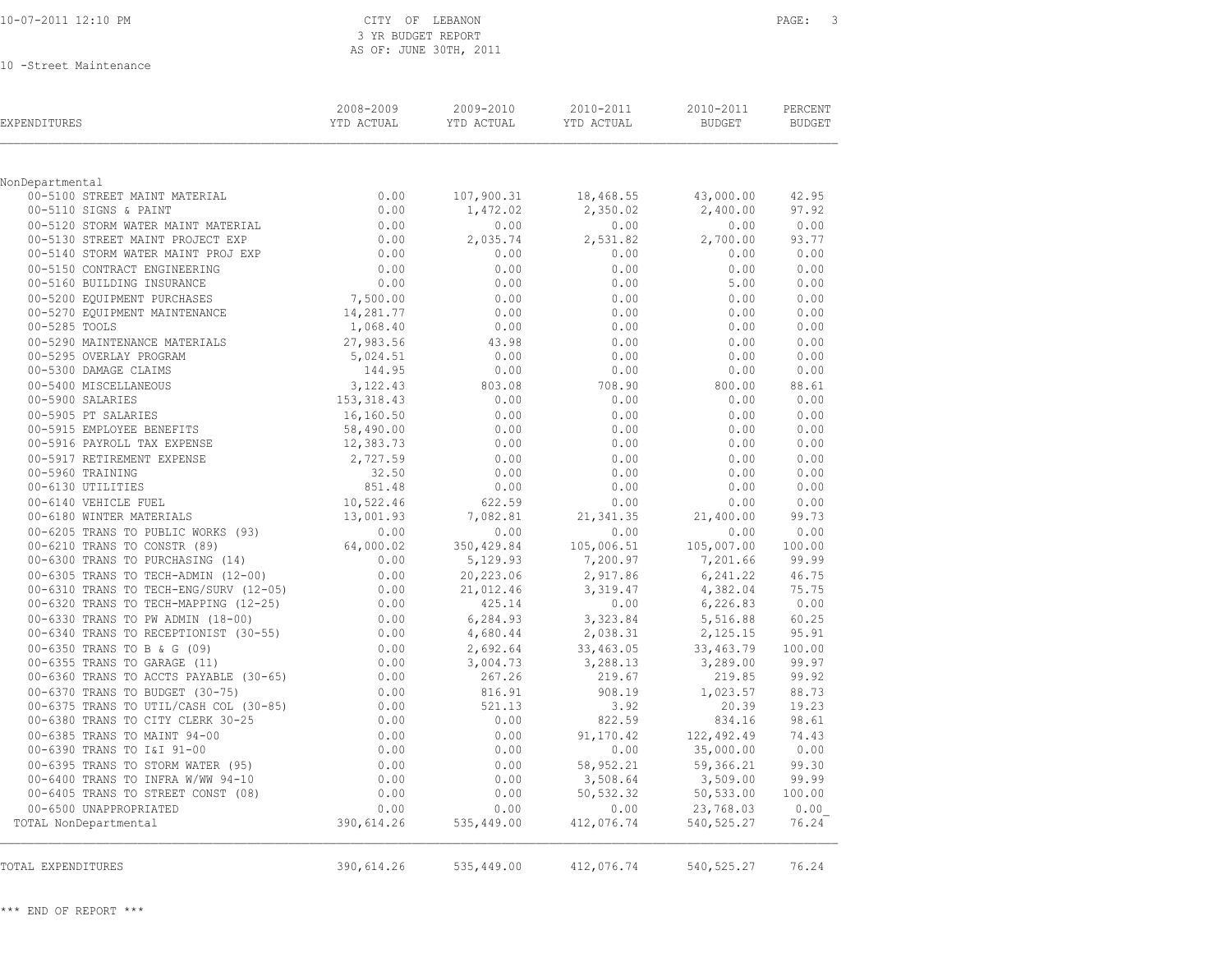### CITY OF LEBANON PAGE: 3 3 YR BUDGET REPORT AS OF: JUNE 30TH, 2011

10 -Street Maintenance

| EXPENDITURES                                                              | 2008-2009<br>YTD ACTUAL | 2009-2010<br>YTD ACTUAL | 2010-2011<br>YTD ACTUAL | 2010-2011<br><b>BUDGET</b> | PERCENT<br><b>BUDGET</b> |
|---------------------------------------------------------------------------|-------------------------|-------------------------|-------------------------|----------------------------|--------------------------|
|                                                                           |                         |                         |                         |                            |                          |
| NonDepartmental<br>00-5100 STREET MAINT MATERIAL                          | 0.00                    | 107,900.31              | 18,468.55               | 43,000.00                  | 42.95                    |
| 00-5110 SIGNS & PAINT                                                     | 0.00                    | 1,472.02                | 2,350.02                | 2,400.00                   | 97.92                    |
| 00-5120 STORM WATER MAINT MATERIAL                                        | 0.00                    | 0.00                    | 0.00                    | 0.00                       | 0.00                     |
| 00-5130 STREET MAINT PROJECT EXP                                          | 0.00                    | 2,035.74                | 2,531.82                | 2,700.00                   | 93.77                    |
| 00-5140 STORM WATER MAINT PROJ EXP                                        | 0.00                    | 0.00                    | 0.00                    | 0.00                       | 0.00                     |
| 00-5150 CONTRACT ENGINEERING                                              | 0.00                    | 0.00                    | 0.00                    | 0.00                       | 0.00                     |
| 00-5160 BUILDING INSURANCE                                                | 0.00                    | 0.00                    | 0.00                    | 5.00                       | 0.00                     |
| 00-5200 EQUIPMENT PURCHASES                                               | 7,500.00                | 0.00                    | 0.00                    | 0.00                       | 0.00                     |
| 00-5270 EQUIPMENT MAINTENANCE                                             | 14,281.77               | 0.00                    | 0.00                    | 0.00                       | 0.00                     |
| 00-5285 TOOLS                                                             | 1,068.40                | 0.00                    | 0.00                    | 0.00                       | 0.00                     |
| 00-5290 MAINTENANCE MATERIALS                                             | 27,983.56               | 43.98                   | 0.00                    | 0.00                       | 0.00                     |
| 00-5295 OVERLAY PROGRAM                                                   | 5,024.51                | 0.00                    | 0.00                    | 0.00                       | 0.00                     |
| 00-5300 DAMAGE CLAIMS                                                     | 144.95                  | 0.00                    | 0.00                    | 0.00                       | 0.00                     |
| 00-5400 MISCELLANEOUS                                                     | 3, 122, 43              | 803.08                  | 708.90                  | 800.00                     | 88.61                    |
| 00-5900 SALARIES                                                          | 153,318.43              | 0.00                    | 0.00                    | 0.00                       | 0.00                     |
| 00-5905 PT SALARIES                                                       | 16,160.50               | 0.00                    | 0.00                    | 0.00                       | 0.00                     |
| 00-5915 EMPLOYEE BENEFITS                                                 | 58,490.00               | 0.00                    | 0.00                    | 0.00                       | 0.00                     |
| 00-5916 PAYROLL TAX EXPENSE                                               | 12,383.73               | 0.00                    | 0.00                    | 0.00                       | 0.00                     |
| 00-5917 RETIREMENT EXPENSE                                                | 2,727.59                | 0.00                    | 0.00                    | 0.00                       | 0.00                     |
| 00-5960 TRAINING                                                          | 32.50                   | 0.00                    | 0.00                    | 0.00                       | 0.00                     |
| 00-6130 UTILITIES                                                         | 851.48                  | 0.00                    | 0.00                    | 0.00                       | 0.00                     |
| 00-6140 VEHICLE FUEL                                                      | 10,522.46               | 622.59                  | 0.00                    | 0.00                       | 0.00                     |
| 00-6180 WINTER MATERIALS                                                  | 13,001.93               | 7,082.81                | 21, 341.35              | 21,400.00                  | 99.73                    |
| 00-6205 TRANS TO PUBLIC WORKS (93)                                        | $0.00$<br>64,000.02     | 0.00                    | 0.00                    | 0.00                       | 0.00                     |
| 00-6210 TRANS TO CONSTR (89)                                              |                         | 350,429.84              | 105,006.51              | 105,007.00                 | 100.00                   |
| 00-6300 TRANS TO PURCHASING (14)                                          | 0.00                    | 5,129.93                | 7,200.97                | 7,201.66                   | 99.99                    |
| 00-6305 TRANS TO TECH-ADMIN (12-00)                                       | 0.00                    | 20,223.06               | 2,917.86                | 6,241.22                   | 46.75                    |
| 00-6310 TRANS TO TECH-ENG/SURV (12-05)                                    | 0.00                    | 21,012.46               | 3,319.47                | 4,382.04                   | 75.75                    |
| 00-6320 TRANS TO TECH-MAPPING (12-25)                                     | 0.00                    | 425.14                  | 0.00                    | 6,226.83                   | 0.00                     |
| 00-6330 TRANS TO PW ADMIN (18-00)                                         | 0.00                    | 6,284.93                | 3,323.84                | 5,516.88                   | 60.25                    |
| 00-6340 TRANS TO RECEPTIONIST (30-55)                                     | 0.00                    | 4,680.44                | 2,038.31                | 2,125.15                   | 95.91                    |
| 00-6350 TRANS TO B & G (09)                                               | 0.00                    | 2,692.64                | 33,463.05               | 33, 463.79                 | 100.00                   |
| 00-6355 TRANS TO GARAGE (11)<br>00-6360 TRANS TO ACCTS PAYABLE (30-65)    | 0.00<br>0.00            | 3,004.73<br>267.26      | 3,288.13<br>219.67      | 3,289.00<br>219.85         | 99.97<br>99.92           |
|                                                                           |                         |                         |                         |                            | 88.73                    |
| 00-6370 TRANS TO BUDGET (30-75)<br>00-6375 TRANS TO UTIL/CASH COL (30-85) | 0.00<br>0.00            | 816.91<br>521.13        | 908.19<br>3.92          | 1,023.57<br>20.39          | 19.23                    |
| 00-6380 TRANS TO CITY CLERK 30-25                                         | 0.00                    | 0.00                    | 822.59                  | 834.16                     | 98.61                    |
| 00-6385 TRANS TO MAINT 94-00                                              | 0.00                    | 0.00                    | 91,170.42               | 122,492.49                 | 74.43                    |
| 00-6390 TRANS TO I&I 91-00                                                | 0.00                    | 0.00                    | 0.00                    | 35,000.00                  | 0.00                     |
| 00-6395 TRANS TO STORM WATER (95)                                         | 0.00                    | 0.00                    | 58,952.21               | 59,366.21                  | 99.30                    |
| 00-6400 TRANS TO INFRA W/WW 94-10                                         | 0.00                    | 0.00                    | 3,508.64                | 3,509.00                   | 99.99                    |
| 00-6405 TRANS TO STREET CONST (08)                                        | 0.00                    | 0.00                    | 50,532.32               | 50,533.00                  | 100.00                   |
| 00-6500 UNAPPROPRIATED                                                    | 0.00                    | 0.00                    | 0.00                    | 23,768.03                  | 0.00                     |
| TOTAL NonDepartmental                                                     | 390,614.26              | 535,449.00              | 412,076.74              | 540, 525.27                | 76.24                    |
| TOTAL EXPENDITURES                                                        | 390,614.26              | 535,449.00              | 412,076.74              | 540, 525.27                | 76.24                    |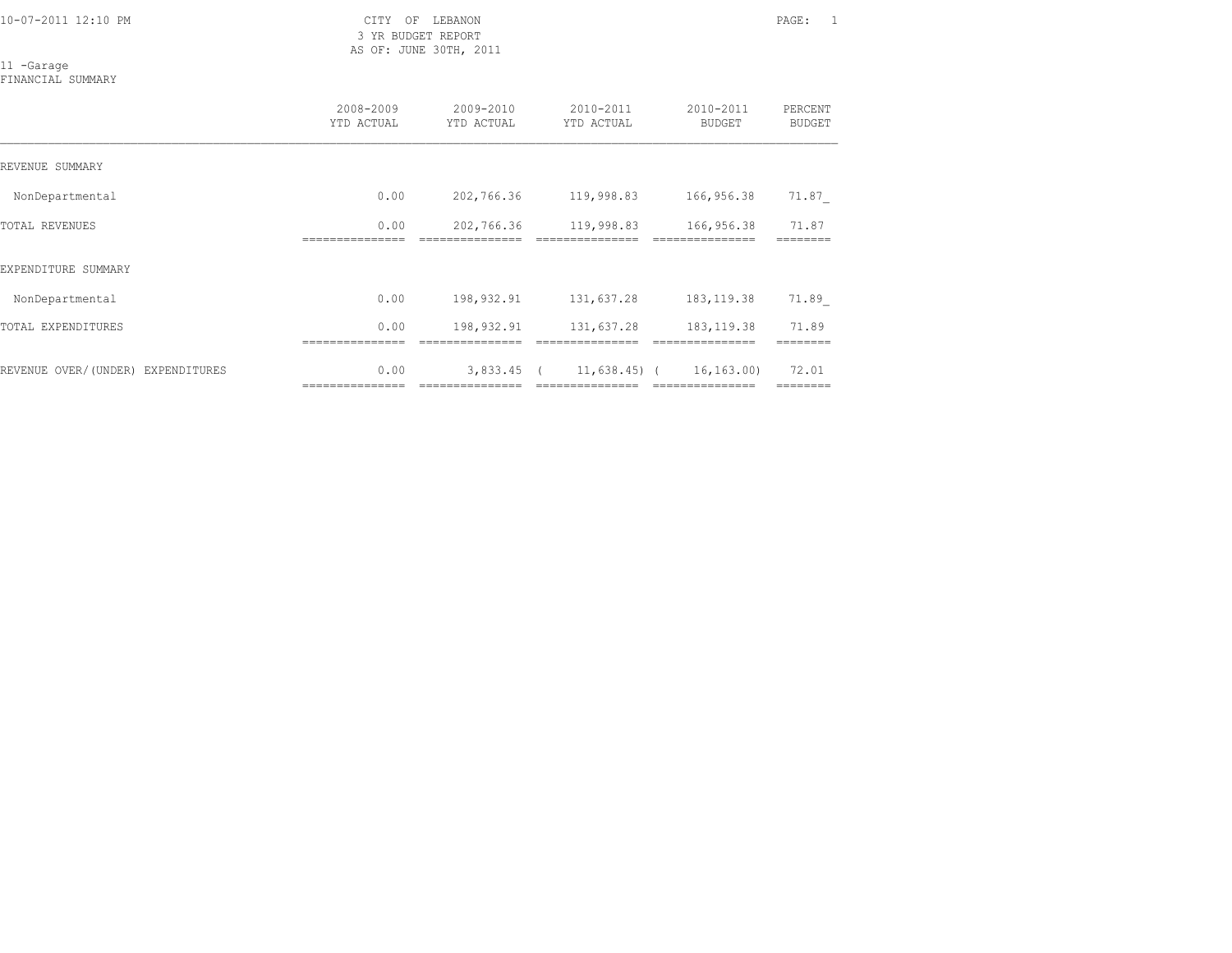3 YR BUDGET REPORT AS OF: JUNE 30TH, 2011

11 -Garage FINANCIAL SUMMARY

|                                   | 2008-2009<br>YTD ACTUAL | 2009-2010<br>YTD ACTUAL | 2010-2011<br>YTD ACTUAL | 2010-2011<br><b>BUDGET</b> | PERCENT<br><b>BUDGET</b> |
|-----------------------------------|-------------------------|-------------------------|-------------------------|----------------------------|--------------------------|
| REVENUE SUMMARY                   |                         |                         |                         |                            |                          |
| NonDepartmental                   | 0.00                    | 202,766.36              | 119,998.83              | 166,956.38                 | 71.87                    |
| TOTAL REVENUES                    | 0.00                    | 202,766.36              | 119,998.83              | 166,956.38                 | 71.87                    |
| EXPENDITURE SUMMARY               |                         |                         |                         |                            |                          |
| NonDepartmental                   | 0.00                    | 198,932.91              | 131,637.28              | 183, 119.38                | 71.89                    |
| TOTAL EXPENDITURES                | 0.00                    | 198,932.91              | 131,637.28              | 183, 119.38                | 71.89                    |
| REVENUE OVER/(UNDER) EXPENDITURES | 0.00                    | 3,833.45                | $11,638.45$ (           | 16, 163, 00)               | 72.01                    |

=============== =============== =============== =============== ========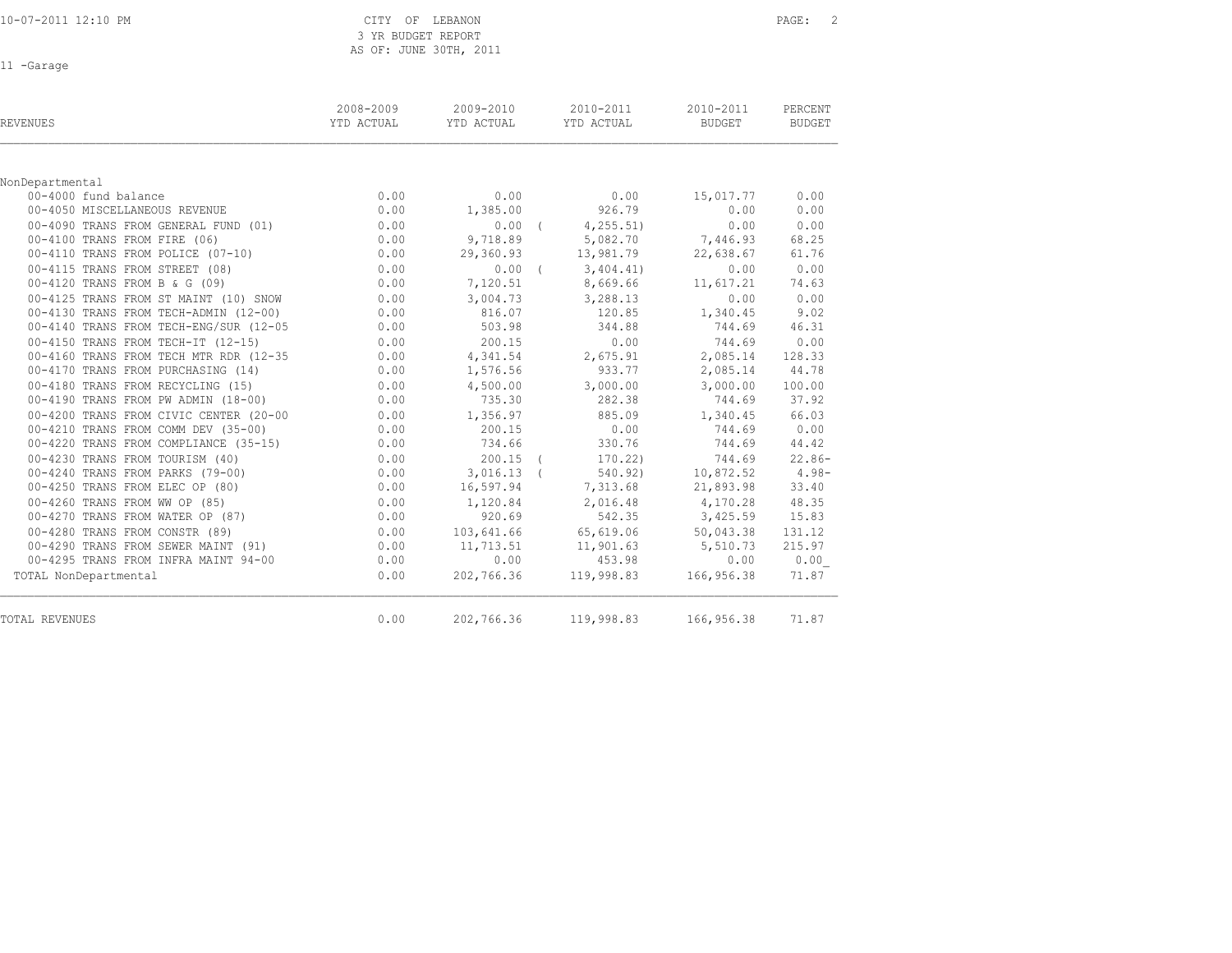3 YR BUDGET REPORT AS OF: JUNE 30TH, 2011

11 -Garage

| REVENUES                               | 2008-2009<br>YTD ACTUAL | 2009-2010<br>YTD ACTUAL | 2010-2011<br>YTD ACTUAL | 2010-2011<br><b>BUDGET</b> | PERCENT<br><b>BUDGET</b> |
|----------------------------------------|-------------------------|-------------------------|-------------------------|----------------------------|--------------------------|
|                                        |                         |                         |                         |                            |                          |
| NonDepartmental                        |                         |                         |                         |                            |                          |
| 00-4000 fund balance                   | 0.00                    | 0.00                    | 0.00                    | 15,017.77                  | 0.00                     |
| 00-4050 MISCELLANEOUS REVENUE          | 0.00                    | 1,385.00                | 926.79                  | 0.00                       | 0.00                     |
| 00-4090 TRANS FROM GENERAL FUND (01)   | 0.00                    | $0.00$ (                | 4, 255.51               | 0.00                       | 0.00                     |
| 00-4100 TRANS FROM FIRE (06)           | 0.00                    | 9,718.89                | 5,082.70                | 7,446.93                   | 68.25                    |
| 00-4110 TRANS FROM POLICE (07-10)      | 0.00                    | 29,360.93               | 13,981.79               | 22,638.67                  | 61.76                    |
| 00-4115 TRANS FROM STREET (08)         | 0.00                    | $0.00$ (                | 3,404,41)               | 0.00                       | 0.00                     |
| 00-4120 TRANS FROM B & G (09)          | 0.00                    | 7,120.51                | 8,669.66                | 11,617.21                  | 74.63                    |
| 00-4125 TRANS FROM ST MAINT (10) SNOW  | 0.00                    | 3,004.73                | 3,288.13                | 0.00                       | 0.00                     |
| 00-4130 TRANS FROM TECH-ADMIN (12-00)  | 0.00                    | 816.07                  | 120.85                  | 1,340.45                   | 9.02                     |
| 00-4140 TRANS FROM TECH-ENG/SUR (12-05 | 0.00                    | 503.98                  | 344.88                  | 744.69                     | 46.31                    |
| 00-4150 TRANS FROM TECH-IT (12-15)     | 0.00                    | 200.15                  | 0.00                    | 744.69                     | 0.00                     |
| 00-4160 TRANS FROM TECH MTR RDR (12-35 | 0.00                    | 4,341.54                | 2,675.91                | 2,085.14                   | 128.33                   |
| 00-4170 TRANS FROM PURCHASING (14)     | 0.00                    | 1,576.56                | 933.77                  | 2,085.14                   | 44.78                    |
| 00-4180 TRANS FROM RECYCLING (15)      | 0.00                    | 4,500.00                | 3,000.00                | 3,000.00                   | 100.00                   |
| 00-4190 TRANS FROM PW ADMIN (18-00)    | 0.00                    | 735.30                  | 282.38                  | 744.69                     | 37.92                    |
| 00-4200 TRANS FROM CIVIC CENTER (20-00 | 0.00                    | 1,356.97                | 885.09                  | 1,340.45                   | 66.03                    |
| 00-4210 TRANS FROM COMM DEV (35-00)    | 0.00                    | 200.15                  | 0.00                    | 744.69                     | 0.00                     |
| 00-4220 TRANS FROM COMPLIANCE (35-15)  | 0.00                    | 734.66                  | 330.76                  | 744.69                     | 44.42                    |
| 00-4230 TRANS FROM TOURISM (40)        | 0.00                    | $200.15$ (              | 170.22                  | 744.69                     | $22.86-$                 |
| 00-4240 TRANS FROM PARKS (79-00)       | 0.00                    | $3,016.13$ (            | 540.92)                 | 10,872.52                  | $4.98-$                  |
| 00-4250 TRANS FROM ELEC OP (80)        | 0.00                    | 16,597.94               | 7,313.68                | 21,893.98                  | 33.40                    |
| 00-4260 TRANS FROM WW OP (85)          | 0.00                    | 1,120.84                | 2,016.48                | 4,170.28                   | 48.35                    |
| 00-4270 TRANS FROM WATER OP (87)       | 0.00                    | 920.69                  | 542.35                  | 3,425.59                   | 15.83                    |
| 00-4280 TRANS FROM CONSTR (89)         | 0.00                    | 103,641.66              | 65,619.06               | 50,043.38                  | 131.12                   |
| 00-4290 TRANS FROM SEWER MAINT (91)    | 0.00                    | 11,713.51               | 11,901.63               | 5,510.73                   | 215.97                   |
| 00-4295 TRANS FROM INFRA MAINT 94-00   | 0.00                    | 0.00                    | 453.98                  | 0.00                       | 0.00                     |
| TOTAL NonDepartmental                  | 0.00                    | 202,766.36              | 119,998.83              | 166,956.38                 | 71.87                    |
| TOTAL REVENUES                         | 0.00                    | 202,766.36              | 119,998.83              | 166,956.38                 | 71.87                    |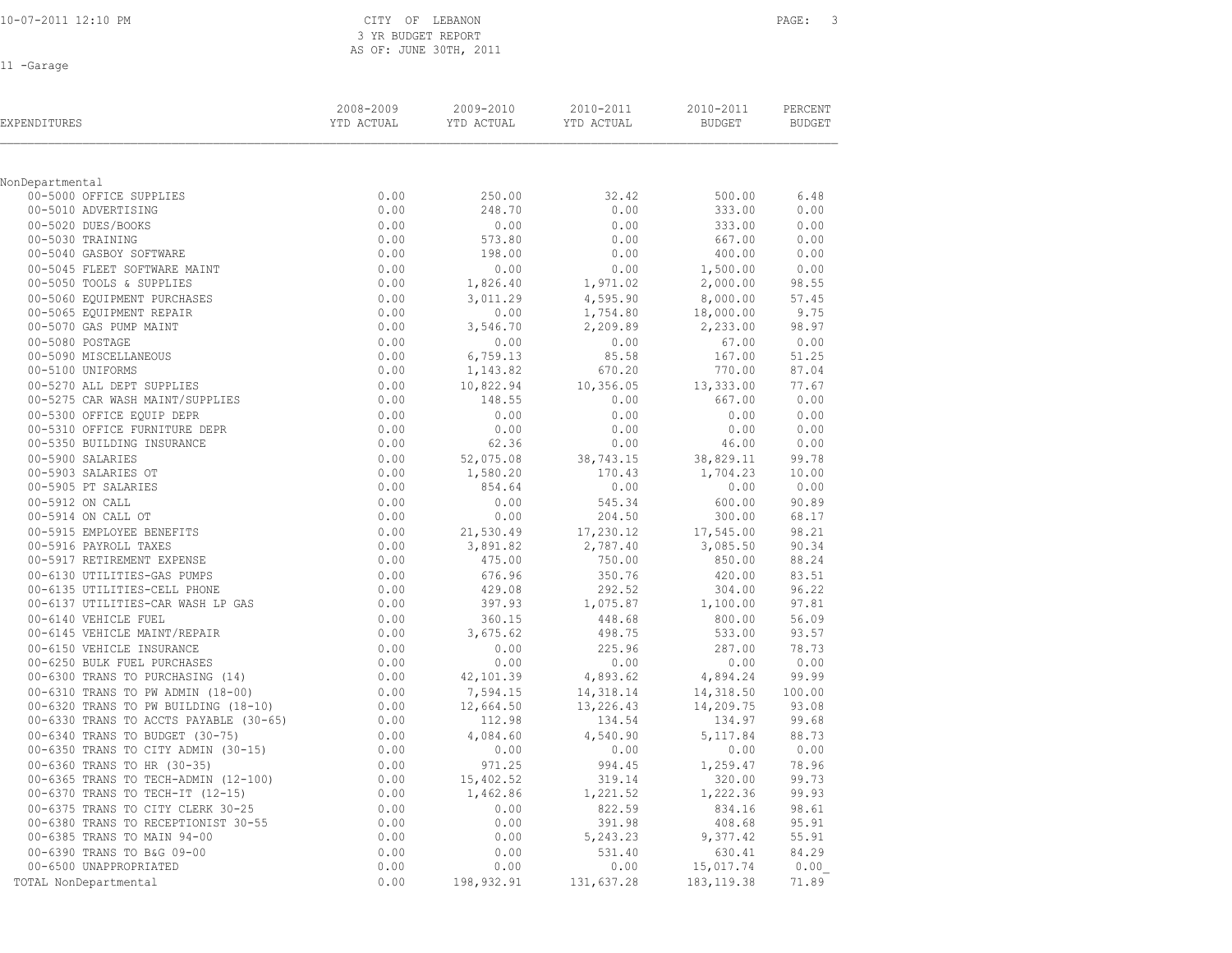| 10-07-2011 12:10 PM |
|---------------------|
|---------------------|

CITY OF LEBANON **PAGE:** 3 3 YR BUDGET REPORT AS OF: JUNE 30TH, 2011

11 -Garage

| EXPENDITURES                                                    | 2008-2009<br>YTD ACTUAL | 2009-2010<br>YTD ACTUAL | 2010-2011<br>YTD ACTUAL | 2010-2011<br>BUDGET | PERCENT<br><b>BUDGET</b> |
|-----------------------------------------------------------------|-------------------------|-------------------------|-------------------------|---------------------|--------------------------|
| NonDepartmental                                                 |                         |                         |                         |                     |                          |
| 00-5000 OFFICE SUPPLIES                                         | 0.00                    | 250.00                  | 32.42                   | 500.00              | 6.48                     |
| 00-5010 ADVERTISING                                             | 0.00                    | 248.70                  | 0.00                    | 333.00              | 0.00                     |
| 00-5020 DUES/BOOKS                                              | 0.00                    | 0.00                    | 0.00                    | 333.00              | 0.00                     |
| 00-5030 TRAINING                                                | 0.00                    | 573.80                  | 0.00                    | 667.00              | 0.00                     |
| 00-5040 GASBOY SOFTWARE                                         | 0.00                    | 198.00                  | 0.00                    | 400.00              | 0.00                     |
| 00-5045 FLEET SOFTWARE MAINT                                    | 0.00                    | 0.00                    | 0.00                    | 1,500.00            | 0.00                     |
| 00-5050 TOOLS & SUPPLIES                                        | 0.00                    | 1,826.40                | 1,971.02                | 2,000.00            | 98.55                    |
| 00-5060 EQUIPMENT PURCHASES                                     | 0.00                    | 3,011.29                | 4,595.90                | 8,000.00            | 57.45                    |
| 00-5065 EQUIPMENT REPAIR                                        | 0.00                    | 0.00                    | 1,754.80                | 18,000.00           | 9.75                     |
| 00-5070 GAS PUMP MAINT                                          | 0.00                    | 3,546.70                | 2,209.89                | 2,233.00            | 98.97                    |
| 00-5080 POSTAGE                                                 | 0.00                    | 0.00                    | 0.00                    | 67.00               | 0.00                     |
| 00-5090 MISCELLANEOUS                                           | 0.00                    | 6,759.13                | 85.58                   | 167.00              | 51.25                    |
| 00-5100 UNIFORMS                                                | 0.00                    | 1,143.82                | 670.20                  | 770.00              | 87.04                    |
| 00-5270 ALL DEPT SUPPLIES                                       | 0.00                    | 10,822.94               | 10,356.05               | 13,333.00           | 77.67                    |
| 00-5275 CAR WASH MAINT/SUPPLIES                                 | 0.00                    | 148.55                  | 0.00                    | 667.00              | 0.00                     |
| 00-5300 OFFICE EQUIP DEPR                                       | 0.00                    | 0.00                    | 0.00                    | 0.00                | 0.00                     |
| 00-5310 OFFICE FURNITURE DEPR                                   | 0.00                    | 0.00                    | 0.00                    | 0.00                | 0.00                     |
| 00-5350 BUILDING INSURANCE                                      | 0.00                    | 62.36                   | 0.00                    | 46.00               | 0.00                     |
| 00-5900 SALARIES                                                | 0.00                    | 52,075.08               | 38,743.15               | 38,829.11           | 99.78                    |
| 00-5903 SALARIES OT                                             | 0.00                    | 1,580.20                | 170.43                  | 1,704.23            | 10.00                    |
| 00-5905 PT SALARIES                                             | 0.00                    | 854.64                  | 0.00                    | 0.00                | 0.00                     |
| 00-5912 ON CALL                                                 | 0.00                    | 0.00                    | 545.34                  | 600.00              | 90.89                    |
| 00-5914 ON CALL OT                                              | 0.00                    | 0.00                    | 204.50                  | 300.00              | 68.17                    |
| 00-5915 EMPLOYEE BENEFITS                                       | 0.00                    | 21,530.49               | 17,230.12               | 17,545.00           | 98.21                    |
| 00-5916 PAYROLL TAXES                                           | 0.00                    | 3,891.82                | 2,787.40                | 3,085.50            | 90.34                    |
| 00-5917 RETIREMENT EXPENSE                                      | 0.00                    | 475.00                  | 750.00                  | 850.00              | 88.24                    |
| 00-6130 UTILITIES-GAS PUMPS                                     | 0.00                    | 676.96                  | 350.76                  | 420.00              | 83.51                    |
| 00-6135 UTILITIES-CELL PHONE                                    | 0.00                    | 429.08                  | 292.52                  | 304.00              | 96.22                    |
| 00-6137 UTILITIES-CAR WASH LP GAS                               | 0.00                    | 397.93                  | 1,075.87                | 1,100.00            | 97.81                    |
| 00-6140 VEHICLE FUEL                                            | 0.00                    | 360.15                  | 448.68                  | 800.00              | 56.09                    |
| 00-6145 VEHICLE MAINT/REPAIR                                    | 0.00                    | 3,675.62                | 498.75                  | 533.00              | 93.57                    |
| 00-6150 VEHICLE INSURANCE                                       | 0.00                    | 0.00                    | 225.96                  | 287.00              | 78.73                    |
| 00-6250 BULK FUEL PURCHASES<br>00-6300 TRANS TO PURCHASING (14) | 0.00<br>0.00            | 0.00<br>42,101.39       | 0.00<br>4,893.62        | 0.00<br>4,894.24    | 0.00<br>99.99            |
| 00-6310 TRANS TO PW ADMIN (18-00)                               | 0.00                    | 7,594.15                | 14,318.14               | 14,318.50           | 100.00                   |
| 00-6320 TRANS TO PW BUILDING (18-10)                            | 0.00                    | 12,664.50               | 13,226.43               | 14,209.75           | 93.08                    |
| 00-6330 TRANS TO ACCTS PAYABLE (30-65)                          | 0.00                    | 112.98                  | 134.54                  | 134.97              | 99.68                    |
| 00-6340 TRANS TO BUDGET (30-75)                                 | 0.00                    | 4,084.60                | 4,540.90                | 5, 117.84           | 88.73                    |
| 00-6350 TRANS TO CITY ADMIN (30-15)                             | 0.00                    | 0.00                    | 0.00                    | 0.00                | 0.00                     |
| 00-6360 TRANS TO HR (30-35)                                     | 0.00                    | 971.25                  | 994.45                  | 1,259.47            | 78.96                    |
| 00-6365 TRANS TO TECH-ADMIN (12-100)                            | 0.00                    | 15,402.52               | 319.14                  | 320.00              | 99.73                    |
| 00-6370 TRANS TO TECH-IT (12-15)                                | 0.00                    | 1,462.86                | 1,221.52                | 1,222.36            | 99.93                    |
| 00-6375 TRANS TO CITY CLERK 30-25                               | 0.00                    | 0.00                    | 822.59                  | 834.16              | 98.61                    |
| 00-6380 TRANS TO RECEPTIONIST 30-55                             | 0.00                    | 0.00                    | 391.98                  | 408.68              | 95.91                    |
| 00-6385 TRANS TO MAIN 94-00                                     | 0.00                    | 0.00                    | 5,243.23                | 9,377.42            | 55.91                    |
| 00-6390 TRANS TO B&G 09-00                                      | 0.00                    | 0.00                    | 531.40                  | 630.41              | 84.29                    |
| 00-6500 UNAPPROPRIATED                                          | 0.00                    | 0.00                    | 0.00                    | 15,017.74           | 0.00                     |
| TOTAL NonDepartmental                                           | 0.00                    | 198,932.91              | 131,637.28              | 183, 119.38         | 71.89                    |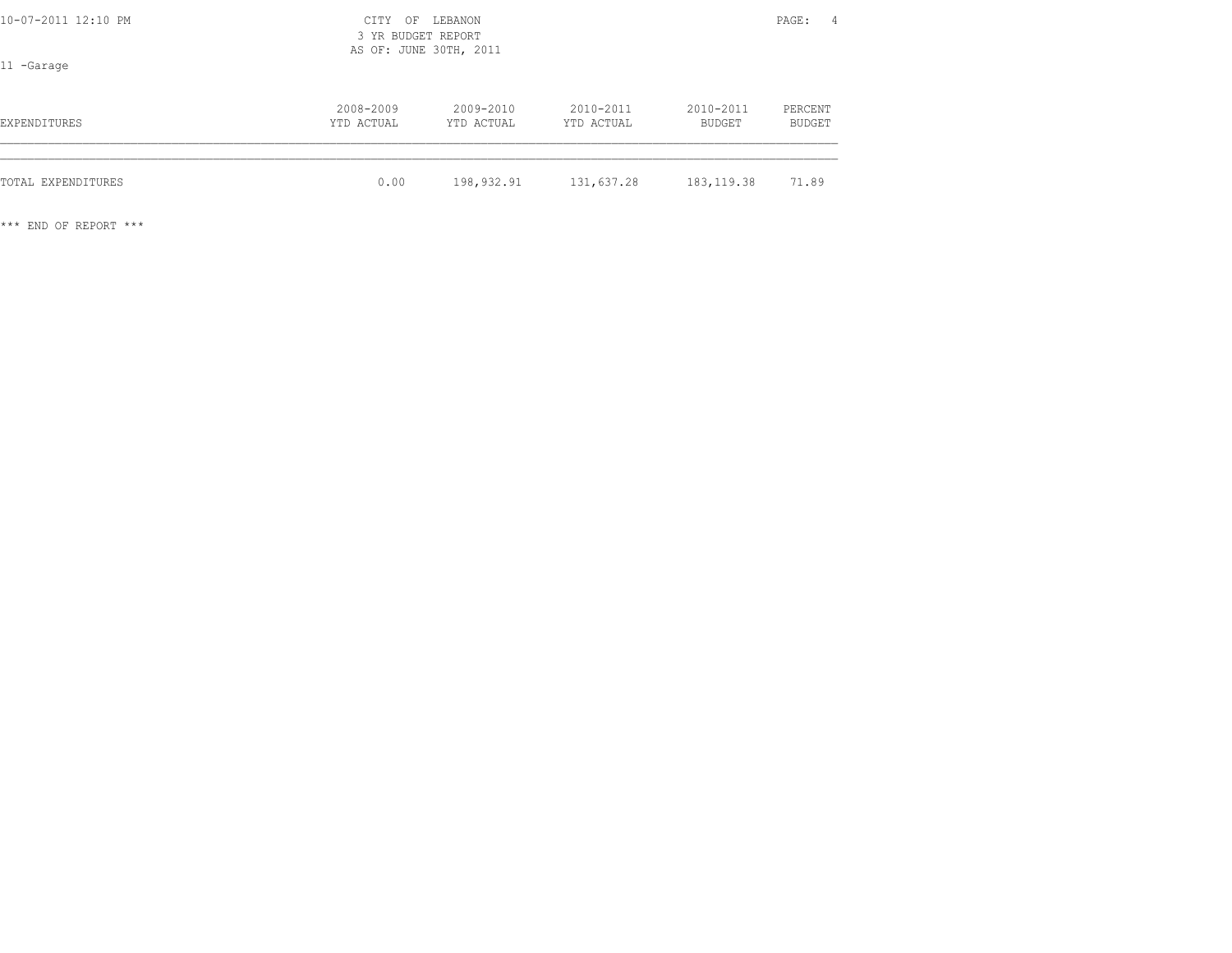| 10-07-2011 12:10 PM<br>11 -Garage | CITY<br>OF<br>3 YR BUDGET REPORT<br>AS OF: JUNE 30TH, 2011 | LEBANON                 |                         |                            | PAGE:<br>$\overline{4}$ |  |
|-----------------------------------|------------------------------------------------------------|-------------------------|-------------------------|----------------------------|-------------------------|--|
| EXPENDITURES                      | 2008-2009<br>YTD ACTUAL                                    | 2009-2010<br>YTD ACTUAL | 2010-2011<br>YTD ACTUAL | 2010-2011<br><b>BUDGET</b> | PERCENT<br>BUDGET       |  |
| TOTAL EXPENDITURES                | 0.00                                                       | 198,932.91              | 131,637.28              | 183, 119.38                | 71.89                   |  |

\*\*\* END OF REPORT \*\*\*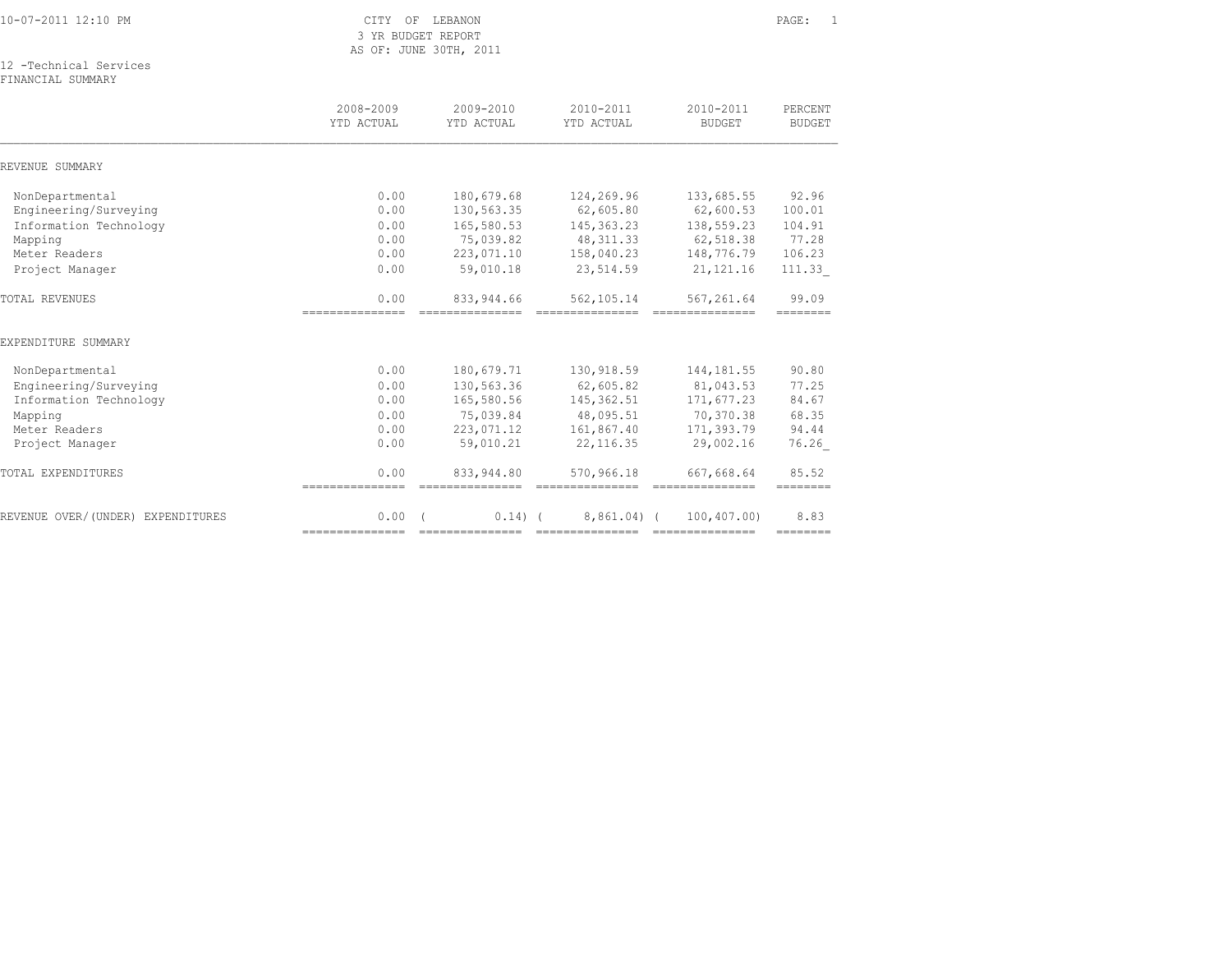|  |  | 10-07-2011 12:10 PM |  |
|--|--|---------------------|--|

CITY OF LEBANON PAGE: 1 3 YR BUDGET REPORT AS OF: JUNE 30TH, 2011

12 -Technical Services

FINANCIAL SUMMARY

| 2008-2009<br>YTD ACTUAL | $2009 - 2010$<br>YTD ACTUAL | $2010 - 2011$<br>YTD ACTUAL | $2010 - 2011$<br><b>BUDGET</b> | PERCENT<br><b>BUDGET</b>                                                                                                                                                                                                                                                                                                                                                                                                                                                                                                                      |
|-------------------------|-----------------------------|-----------------------------|--------------------------------|-----------------------------------------------------------------------------------------------------------------------------------------------------------------------------------------------------------------------------------------------------------------------------------------------------------------------------------------------------------------------------------------------------------------------------------------------------------------------------------------------------------------------------------------------|
|                         |                             |                             |                                |                                                                                                                                                                                                                                                                                                                                                                                                                                                                                                                                               |
| 0.00                    | 180,679.68                  | 124,269.96                  | 133,685.55                     | 92.96                                                                                                                                                                                                                                                                                                                                                                                                                                                                                                                                         |
| 0.00                    | 130,563.35                  | 62,605.80                   | 62,600.53                      | 100.01                                                                                                                                                                                                                                                                                                                                                                                                                                                                                                                                        |
| 0.00                    | 165,580.53                  | 145, 363. 23                | 138,559.23                     | 104.91                                                                                                                                                                                                                                                                                                                                                                                                                                                                                                                                        |
| 0.00                    | 75,039.82                   | 48, 311.33                  | 62,518.38                      | 77.28                                                                                                                                                                                                                                                                                                                                                                                                                                                                                                                                         |
| 0.00                    | 223,071.10                  | 158,040.23                  | 148,776.79                     | 106.23                                                                                                                                                                                                                                                                                                                                                                                                                                                                                                                                        |
| 0.00                    | 59,010.18                   | 23,514.59                   | 21, 121. 16                    | 111.33                                                                                                                                                                                                                                                                                                                                                                                                                                                                                                                                        |
| 0.00                    | 833, 944, 66                | 562,105.14                  | 567,261.64                     | 99.09                                                                                                                                                                                                                                                                                                                                                                                                                                                                                                                                         |
|                         |                             |                             |                                |                                                                                                                                                                                                                                                                                                                                                                                                                                                                                                                                               |
| 0.00                    | 180,679.71                  | 130,918.59                  | 144, 181.55                    | 90.80                                                                                                                                                                                                                                                                                                                                                                                                                                                                                                                                         |
| 0.00                    | 130,563.36                  | 62,605.82                   | 81,043.53                      | 77.25                                                                                                                                                                                                                                                                                                                                                                                                                                                                                                                                         |
| 0.00                    | 165,580.56                  | 145,362.51                  | 171,677.23                     | 84.67                                                                                                                                                                                                                                                                                                                                                                                                                                                                                                                                         |
| 0.00                    | 75,039.84                   | 48,095.51                   | 70,370.38                      | 68.35                                                                                                                                                                                                                                                                                                                                                                                                                                                                                                                                         |
| 0.00                    | 223,071.12                  | 161,867.40                  | 171,393.79                     | 94.44                                                                                                                                                                                                                                                                                                                                                                                                                                                                                                                                         |
| 0.00                    | 59,010.21                   | 22, 116.35                  | 29,002.16                      | 76.26                                                                                                                                                                                                                                                                                                                                                                                                                                                                                                                                         |
| 0.00<br>=============== | 833, 944.80                 | 570,966.18                  | 667,668.64                     | 85.52<br>--------                                                                                                                                                                                                                                                                                                                                                                                                                                                                                                                             |
| 0.00                    |                             |                             | 100,407.00)                    | 8.83<br>========                                                                                                                                                                                                                                                                                                                                                                                                                                                                                                                              |
|                         | ----------------            |                             | $0.14)$ (                      | $8,861,04)$ (<br>----------------------------------<br>$\begin{array}{cccccccccc} \multicolumn{2}{c}{} & \multicolumn{2}{c}{} & \multicolumn{2}{c}{} & \multicolumn{2}{c}{} & \multicolumn{2}{c}{} & \multicolumn{2}{c}{} & \multicolumn{2}{c}{} & \multicolumn{2}{c}{} & \multicolumn{2}{c}{} & \multicolumn{2}{c}{} & \multicolumn{2}{c}{} & \multicolumn{2}{c}{} & \multicolumn{2}{c}{} & \multicolumn{2}{c}{} & \multicolumn{2}{c}{} & \multicolumn{2}{c}{} & \multicolumn{2}{c}{} & \multicolumn{2}{c}{} & \multicolumn{2}{c}{} & \mult$ |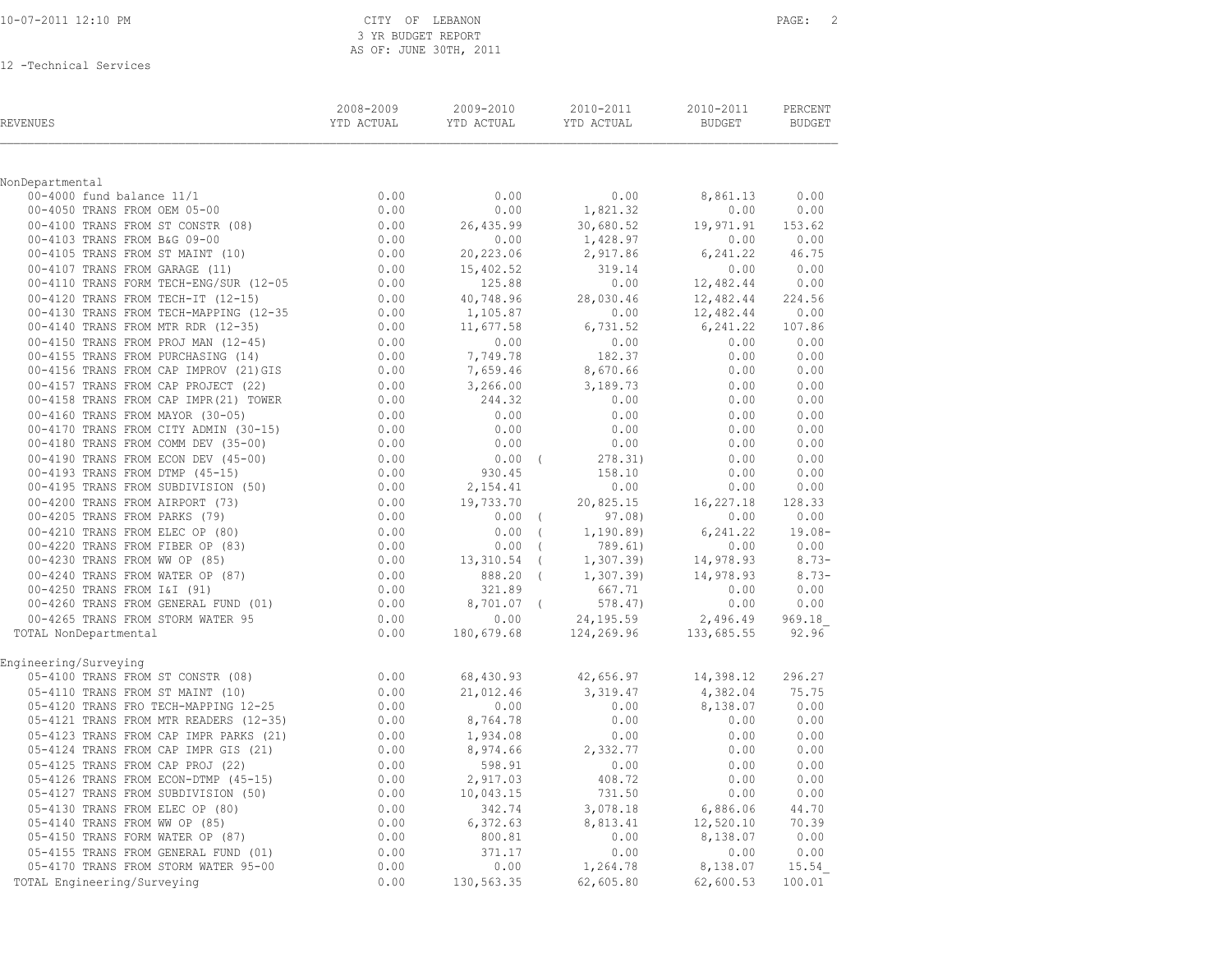| 10-07-2011 12:10 PM |
|---------------------|
|---------------------|

CITY OF LEBANON **PAGE:** 2 3 YR BUDGET REPORT AS OF: JUNE 30TH, 2011

| REVENUES                                                                                                                                                                                                                                                         | 2008-2009<br>YTD ACTUAL                                                                                                                                                                                                                                                                                                    | 2009-2010         | 2010-2011<br>YTD ACTUAL YTD ACTUAL | 2010-2011<br>BUDGET  | PERCENT<br><b>BUDGET</b> |
|------------------------------------------------------------------------------------------------------------------------------------------------------------------------------------------------------------------------------------------------------------------|----------------------------------------------------------------------------------------------------------------------------------------------------------------------------------------------------------------------------------------------------------------------------------------------------------------------------|-------------------|------------------------------------|----------------------|--------------------------|
|                                                                                                                                                                                                                                                                  |                                                                                                                                                                                                                                                                                                                            |                   |                                    |                      |                          |
| NonDepartmental                                                                                                                                                                                                                                                  |                                                                                                                                                                                                                                                                                                                            |                   |                                    |                      |                          |
|                                                                                                                                                                                                                                                                  |                                                                                                                                                                                                                                                                                                                            | 0.00              | 0.00                               | 8,861.13             | 0.00                     |
|                                                                                                                                                                                                                                                                  |                                                                                                                                                                                                                                                                                                                            | 0.00              | 1,821.32                           | 0.00                 | 0.00                     |
|                                                                                                                                                                                                                                                                  |                                                                                                                                                                                                                                                                                                                            | 26,435.99         | 30,680.52                          | 19,971.91            | 153.62<br>0.00           |
|                                                                                                                                                                                                                                                                  |                                                                                                                                                                                                                                                                                                                            | 0.00<br>20,223.06 | 1,428.97<br>2,917.86               | 0.00<br>6,241.22     | 46.75                    |
|                                                                                                                                                                                                                                                                  |                                                                                                                                                                                                                                                                                                                            | 15,402.52         | 319.14                             | 0.00                 | 0.00                     |
|                                                                                                                                                                                                                                                                  |                                                                                                                                                                                                                                                                                                                            | (125.88)          | 0.00                               | 12,482.44 0.00       |                          |
|                                                                                                                                                                                                                                                                  |                                                                                                                                                                                                                                                                                                                            | 40,748.96         | 28,030.46                          | 12,482.44            | 224.56                   |
|                                                                                                                                                                                                                                                                  |                                                                                                                                                                                                                                                                                                                            | 1,105.87          | 0.00                               | 12,482.44 0.00       |                          |
| 00-4130 TRANS FROM TECH-MAPPING (12-35<br>00-4140 TRANS FROM MTR RDR (12-35)<br>00-4140 TRANS FROM MTR RDR (12-35)                                                                                                                                               | 0.00                                                                                                                                                                                                                                                                                                                       | 11,677.58         | 6,731.52                           | 6,241.22 107.86      |                          |
| 00-4150 TRANS FROM PROJ MAN (12-45)                                                                                                                                                                                                                              |                                                                                                                                                                                                                                                                                                                            | 0.00              | 0.00                               | 0.00                 | 0.00                     |
| 00-4150 TRANS FROM PROJ MAN (12-45)<br>00-4155 TRANS FROM PURCHASING (14)<br>00-4156 TRANS FROM CAP IMPROV (21)GIS                                                                                                                                               | $0.00$<br>$0.00$<br>0.00                                                                                                                                                                                                                                                                                                   | 7,749.78          | 182.37                             | 0.00                 | 0.00                     |
|                                                                                                                                                                                                                                                                  | 0.00                                                                                                                                                                                                                                                                                                                       | 7,659.46          | 8,670.66                           | 0.00                 | 0.00                     |
| 00-4157 TRANS FROM CAP PROJECT (22)                                                                                                                                                                                                                              |                                                                                                                                                                                                                                                                                                                            | 3,266.00          | 3,189.73                           | 0.00                 | 0.00                     |
| 00-4158 TRANS FROM CAP IMPR (21) TOWER                                                                                                                                                                                                                           | $0.00$<br>$0.00$                                                                                                                                                                                                                                                                                                           | 244.32            | 0.00                               | 0.00                 | 0.00                     |
| 00-4160 TRANS FROM MAYOR (30-05)                                                                                                                                                                                                                                 | 0.00                                                                                                                                                                                                                                                                                                                       | 0.00              | 0.00                               | 0.00                 | 0.00                     |
|                                                                                                                                                                                                                                                                  | $0.00$<br>$0.00$                                                                                                                                                                                                                                                                                                           | 0.00              | 0.00                               | 0.00                 | 0.00                     |
|                                                                                                                                                                                                                                                                  |                                                                                                                                                                                                                                                                                                                            | 0.00              | 0.00                               | 0.00                 | 0.00                     |
|                                                                                                                                                                                                                                                                  |                                                                                                                                                                                                                                                                                                                            | $0.00$ (          | 278.31)                            | 0.00                 | 0.00                     |
|                                                                                                                                                                                                                                                                  |                                                                                                                                                                                                                                                                                                                            | 930.45            | 158.10                             | 0.00                 | 0.00                     |
|                                                                                                                                                                                                                                                                  |                                                                                                                                                                                                                                                                                                                            | 2,154.41          | 0.00                               | 0.00                 | 0.00                     |
|                                                                                                                                                                                                                                                                  |                                                                                                                                                                                                                                                                                                                            | 19,733.70         | 20,825.15                          | 16,227.18            | 128.33                   |
|                                                                                                                                                                                                                                                                  |                                                                                                                                                                                                                                                                                                                            | $0.00$ (          | 97.08)                             | 0.00                 | 0.00                     |
|                                                                                                                                                                                                                                                                  |                                                                                                                                                                                                                                                                                                                            | $0.00$ (          | 1, 190.89                          | 6,241.22             | $19.08 -$                |
|                                                                                                                                                                                                                                                                  |                                                                                                                                                                                                                                                                                                                            | $0.00$ (          | 789.61)                            | 0.00                 | 0.00                     |
|                                                                                                                                                                                                                                                                  |                                                                                                                                                                                                                                                                                                                            | $13,310.54$ (     | 1,307.39)                          | 14,978.93            | $8.73-$                  |
|                                                                                                                                                                                                                                                                  |                                                                                                                                                                                                                                                                                                                            | 888.20 (          | 1,307.39                           | 14,978.93            | $8.73-$                  |
|                                                                                                                                                                                                                                                                  |                                                                                                                                                                                                                                                                                                                            | 321.89            | 667.71                             | 0.00                 | 0.00                     |
|                                                                                                                                                                                                                                                                  |                                                                                                                                                                                                                                                                                                                            | 8,701.07 (        | 578.47)                            | 0.00                 | 0.00                     |
|                                                                                                                                                                                                                                                                  |                                                                                                                                                                                                                                                                                                                            | 0.00              | 24,195.59                          | 2,496.49             | 969.18                   |
| 00-4160 TRANS FROM MAYOR (30-05)<br>00-4160 TRANS FROM CITY ADMIN (30-15) 0.00<br>00-4180 TRANS FROM COMM DEV (35-00) 0.00<br>00-4190 TRANS FROM ECON DEV (45-00) 0.00<br>00-4190 TRANS FROM DTMP (45-15) 0.00<br>00-4200 TRANS FROM AI<br>TOTAL NonDepartmental |                                                                                                                                                                                                                                                                                                                            | 180,679.68        | 124,269.96                         | 133,685.55           | 92.96                    |
| Engineering/Surveying                                                                                                                                                                                                                                            | 0.00                                                                                                                                                                                                                                                                                                                       |                   |                                    |                      | 296.27                   |
| 05-4100 TRANS FROM ST CONSTR (08)                                                                                                                                                                                                                                |                                                                                                                                                                                                                                                                                                                            | 68,430.93         | 42,656.97                          | 14,398.12            |                          |
| 05-4110 TRANS FROM ST MAINT (10)<br>05-4120 TRANS FROM ST MAINT (10)<br>05-4120 TRANS FRO TECH-MAPPING 12-25                                                                                                                                                     | 0.00                                                                                                                                                                                                                                                                                                                       | 21,012.46<br>0.00 | 3,319.47<br>0.00                   | 4,382.04<br>8,138.07 | 75.75<br>0.00            |
| 05-4121 TRANS FROM MTR READERS (12-35)                                                                                                                                                                                                                           | 0.00<br>0.00                                                                                                                                                                                                                                                                                                               | 8,764.78          | 0.00                               | 0.00                 | 0.00                     |
| 05-4123 TRANS FROM CAP IMPR PARKS (21)                                                                                                                                                                                                                           |                                                                                                                                                                                                                                                                                                                            | 1,934.08          | 0.00                               | 0.00                 | 0.00                     |
| 05-4124 TRANS FROM CAP IMPR GIS (21)                                                                                                                                                                                                                             |                                                                                                                                                                                                                                                                                                                            | 8,974.66          | 2,332.77                           | 0.00                 | 0.00                     |
| 05-4125 TRANS FROM CAP PROJ (22)                                                                                                                                                                                                                                 |                                                                                                                                                                                                                                                                                                                            | 598.91            | 0.00                               | 0.00                 | 0.00                     |
| 05-4125 TRANS FROM CAP PROJ (22)<br>05-4126 TRANS FROM ECON-DTMP (45-15)                                                                                                                                                                                         |                                                                                                                                                                                                                                                                                                                            | 2,917.03          | 408.72                             | 0.00                 | 0.00                     |
| 05-4127 TRANS FROM SUBDIVISION (50)                                                                                                                                                                                                                              |                                                                                                                                                                                                                                                                                                                            | 10,043.15         | 731.50                             | 0.00                 | 0.00                     |
| 05-4130 TRANS FROM ELEC OP (80)                                                                                                                                                                                                                                  | $\begin{array}{cccc} 2-35) & 0.00 \\ (21) & 0.00 \\ 21) & 0.00 \\ (15) & 0.00 \\ (0) & 0.00 \\ (0) & 0.00 \\ (0) & 0.00 \\ (0) & 0.00 \\ (0) & 0.00 \\ (0) & 0.00 \\ (0) & 0.00 \\ (0) & 0.00 \\ (0) & 0.00 \\ (0) & 0.00 \\ (0) & 0.00 \\ (0) & 0.00 \\ (0) & 0.00 \\ (0) & 0.00 \\ (0) & 0.00 \\ (0) & 0.00 \\ (0) & 0.$ | 342.74            | 3,078.18                           | 6,886.06             | 44.70                    |
| 05-4140 TRANS FROM WW OP (85)                                                                                                                                                                                                                                    |                                                                                                                                                                                                                                                                                                                            | 6,372.63          | 8,813.41                           | 12,520.10            | 70.39                    |
| 05-4150 TRANS FORM WATER OP (87)                                                                                                                                                                                                                                 |                                                                                                                                                                                                                                                                                                                            | 800.81            | 0.00                               | 8,138.07             | 0.00                     |
| 05-4155 TRANS FROM GENERAL FUND (01)                                                                                                                                                                                                                             |                                                                                                                                                                                                                                                                                                                            | 371.17            | 0.00                               | 0.00                 | 0.00                     |
| 05-4170 TRANS FROM STORM WATER 95-00                                                                                                                                                                                                                             | 0.00                                                                                                                                                                                                                                                                                                                       | 0.00              | 1,264.78                           | 8,138.07             | 15.54                    |
| TOTAL Engineering/Surveying                                                                                                                                                                                                                                      | 0.00                                                                                                                                                                                                                                                                                                                       | 130, 563.35       | 62,605.80                          | 62,600.53            | 100.01                   |
|                                                                                                                                                                                                                                                                  |                                                                                                                                                                                                                                                                                                                            |                   |                                    |                      |                          |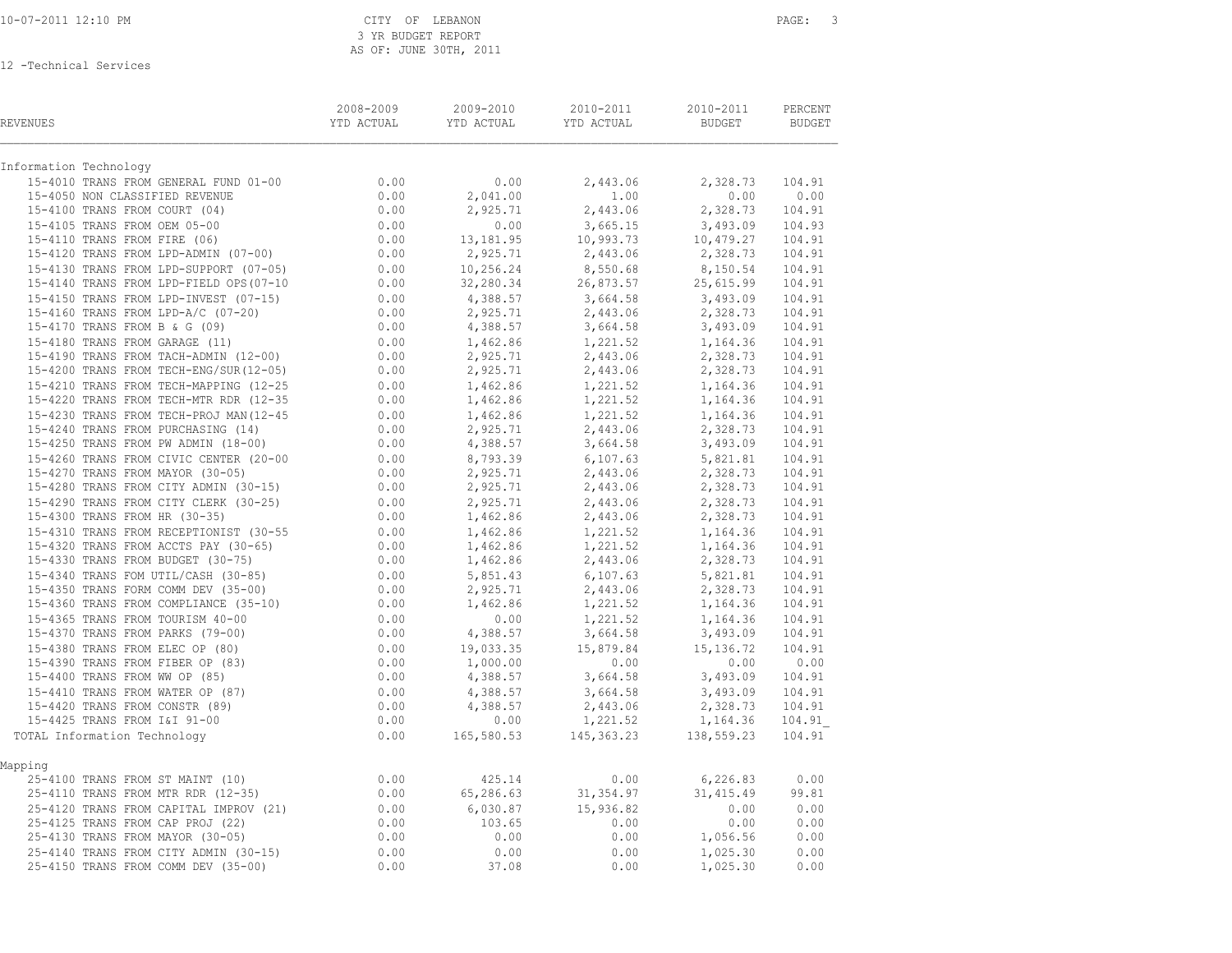| Information Technology<br>0.00<br>15-4010 TRANS FROM GENERAL FUND 01-00<br>0.00<br>2,443.06<br>2,328.73<br>15-4050 NON CLASSIFIED REVENUE<br>2,041.00<br>1.00<br>0.00<br>$0.00$<br>0.00<br>0.00<br>0.00<br>15-4100 TRANS FROM COURT (04)<br>2,925.71<br>2,443.06<br>2,328.73<br>15-4105 TRANS FROM OEM 05-00<br>3,665.15<br>3,493.09<br>0.00<br>15-4110 TRANS FROM FIRE (06)<br>13, 181.95<br>10,993.73<br>10,479.27<br>15-4120 TRANS FROM LPD-ADMIN (07-00)<br>2,443.06<br>0.00<br>2,925.71<br>2,328.73<br>15-4130 TRANS FROM LPD-SUPPORT (07-05)<br>0.00<br>10,256.24<br>8,550.68<br>8,150.54<br>26,873.57<br>15-4140 TRANS FROM LPD-FIELD OPS (07-10 $0.00$<br>32,280.34<br>25,615.99<br>15-4150 TRANS FROM LPD-INVEST (07-15)<br>$0.00$<br>0.00<br>0.00<br>4,388.57<br>3,664.58<br>3,493.09<br>15-4160 TRANS FROM LPD-A/C (07-20)<br>2,925.71<br>2,443.06<br>2,328.73<br>$\frac{2}{3}$ , 664.58<br>15-4170 TRANS FROM B & G (09)<br>4,388.57<br>3,493.09<br>0.00<br>1,462.86<br>1,221.52<br>1,164.36<br>15-4170 1848 1860 1868<br>15-4180 TRANS FROM GARAGE (11)<br>15-4190 TRANS FROM TACH-ADMIN (12-00)<br>$0.00$<br>$0.00$<br>2,443.06<br>2,925.71<br>2,328.73<br>15-4200 TRANS FROM TECH-ENG/SUR(12-05)<br>2,443.06<br>2,925.71<br>2,328.73<br>15-4210 TRANS FROM TECH-MAPPING $(12-25$<br>15-4220 TRANS FROM TECH-MTR RDR $(12-35$<br>0.00<br>1,462.86<br>1,221.52<br>1,221.52<br>1,164.36<br>1,462.86<br>1,462.86<br>1,164.36<br>15-4230 TRANS FROM TECH-PROJ MAN(12-45<br>0.00<br>1,462.86<br>1,221.52<br>2,443.06<br>1,164.36<br>15-4240 TRANS FROM PURCHASING (14)<br>0.00<br>2,925.71<br>2,328.73<br>15-4250 TRANS FROM PW ADMIN (18-00)<br>0.00<br>4,388.57<br>3,664.58<br>3,493.09<br>15-4260 TRANS FROM CIVIC CENTER (20-00<br>0.00<br>8,793.39<br>$6, 107.63$<br>2,443.06<br>5,821.81<br>2,328.73<br>15-4270 TRANS FROM MAYOR (30-05)<br>2,925.71<br>0.00<br>0.00<br>15-4280 TRANS FROM CITY ADMIN (30-15)<br>2,925.71<br>2,443.06<br>2,328.73<br>$0.00$<br>$0.00$<br>15-4290 TRANS FROM CITY CLERK (30-25)<br>2,925.71<br>2,443.06<br>2,443.06<br>2,328.73<br>2,328.73<br>15-4300 TRANS FROM HR (30-35)<br>1,462.86<br>15-4310 TRANS FROM RECEPTIONIST (30-55<br>0.00<br>1,462.86<br>1,221.52<br>1,164.36<br>15-4310 TRANS FROM ACCTS PAY (30-65) 0.00<br>15-4320 TRANS FROM ACCTS PAY (30-65) 0.00<br>15-4330 TRANS FROM BUDGET (30-75) 0.00<br>1,221.52<br>1,164.36<br>1,462.86<br>1,462.86<br>2,443.06<br>2,328.73<br>15-4340 TRANS FOM UTIL/CASH (30-85)<br>5,851.43<br>6, 107.63<br>0.00<br>5,821.81<br>15-4350 TRANS FORM COMM DEV (35-00)<br>$0.00$<br>0.00<br>0.00<br>2,443.06<br>2,328.73<br>2,925.71<br>15-4360 TRANS FROM COMPLIANCE (35-10)<br>15-4365 TRANS FROM TOURISM 40-00<br>1,221.52<br>1,462.86<br>1,164.36<br>1,221.52<br>0.00<br>1,164.36<br>15-4370 TRANS FROM PARKS (79-00)<br>4,388.57<br>3,664.58<br>3,493.09<br>15-4380 TRANS FROM ELEC OP (80)<br>19,033.35<br>15,879.84<br>15, 136.72<br>15-4390 TRANS FROM FIBER OP (83)<br>1,000.00<br>0.00<br>0.00<br>15-4400 TRANS FROM WW OP (85)<br>3,664.58<br>3,493.09<br>4,388.57<br>15-4410 TRANS FROM WATER OP (87)<br>4,388.57<br>3,664.58<br>3,493.09<br>15-4420 TRANS FROM CONSTR (89)<br>2,443.06<br>4,388.57<br>2,328.73<br>15-4425 TRANS FROM I&I 91-00<br>0.00<br>1,221.52<br>1,164.36<br>$165,580.53$ $145,363.23$<br>TOTAL Information Technology<br>138,559.23<br>Mapping<br>25-4100 TRANS FROM ST MAINT (10)<br>0.00<br>425.14<br>0.00<br>6,226.83<br>65,286.63<br>31,354.97<br>31, 415.49<br>25-4110 TRANS FROM MTR RDR (12-35)<br>0.00<br>0.00<br>25-4120 TRANS FROM CAPITAL IMPROV (21)<br>6,030.87<br>15,936.82<br>0.00<br>25-4125 TRANS FROM CAP PROJ (22)<br>0.00<br>0.00<br>103.65<br>0.00<br>25-4130 TRANS FROM MAYOR (30-05)<br>0.00<br>0.00<br>0.00<br>1,056.56<br>25-4140 TRANS FROM CITY ADMIN (30-15)<br>0.00<br>0.00<br>0.00<br>1,025.30<br>0.00<br>25-4150 TRANS FROM COMM DEV (35-00)<br>37.08<br>0.00<br>1,025.30 | REVENUES | 2008-2009<br>YTD ACTUAL | 2009-2010<br>YTD ACTUAL | 2010-2011<br>YTD ACTUAL | 2010-2011<br>BUDGET | PERCENT<br>BUDGET |
|------------------------------------------------------------------------------------------------------------------------------------------------------------------------------------------------------------------------------------------------------------------------------------------------------------------------------------------------------------------------------------------------------------------------------------------------------------------------------------------------------------------------------------------------------------------------------------------------------------------------------------------------------------------------------------------------------------------------------------------------------------------------------------------------------------------------------------------------------------------------------------------------------------------------------------------------------------------------------------------------------------------------------------------------------------------------------------------------------------------------------------------------------------------------------------------------------------------------------------------------------------------------------------------------------------------------------------------------------------------------------------------------------------------------------------------------------------------------------------------------------------------------------------------------------------------------------------------------------------------------------------------------------------------------------------------------------------------------------------------------------------------------------------------------------------------------------------------------------------------------------------------------------------------------------------------------------------------------------------------------------------------------------------------------------------------------------------------------------------------------------------------------------------------------------------------------------------------------------------------------------------------------------------------------------------------------------------------------------------------------------------------------------------------------------------------------------------------------------------------------------------------------------------------------------------------------------------------------------------------------------------------------------------------------------------------------------------------------------------------------------------------------------------------------------------------------------------------------------------------------------------------------------------------------------------------------------------------------------------------------------------------------------------------------------------------------------------------------------------------------------------------------------------------------------------------------------------------------------------------------------------------------------------------------------------------------------------------------------------------------------------------------------------------------------------------------------------------------------------------------------------------------------------------------------------------------------------------------------------------------------------------------------------------------------------------------------------------------------------------------------------------------------------------------------------------------------------------------------------------------------------------------------------------------------------------|----------|-------------------------|-------------------------|-------------------------|---------------------|-------------------|
|                                                                                                                                                                                                                                                                                                                                                                                                                                                                                                                                                                                                                                                                                                                                                                                                                                                                                                                                                                                                                                                                                                                                                                                                                                                                                                                                                                                                                                                                                                                                                                                                                                                                                                                                                                                                                                                                                                                                                                                                                                                                                                                                                                                                                                                                                                                                                                                                                                                                                                                                                                                                                                                                                                                                                                                                                                                                                                                                                                                                                                                                                                                                                                                                                                                                                                                                                                                                                                                                                                                                                                                                                                                                                                                                                                                                                                                                                                                                          |          |                         |                         |                         |                     |                   |
|                                                                                                                                                                                                                                                                                                                                                                                                                                                                                                                                                                                                                                                                                                                                                                                                                                                                                                                                                                                                                                                                                                                                                                                                                                                                                                                                                                                                                                                                                                                                                                                                                                                                                                                                                                                                                                                                                                                                                                                                                                                                                                                                                                                                                                                                                                                                                                                                                                                                                                                                                                                                                                                                                                                                                                                                                                                                                                                                                                                                                                                                                                                                                                                                                                                                                                                                                                                                                                                                                                                                                                                                                                                                                                                                                                                                                                                                                                                                          |          |                         |                         |                         |                     | 104.91            |
|                                                                                                                                                                                                                                                                                                                                                                                                                                                                                                                                                                                                                                                                                                                                                                                                                                                                                                                                                                                                                                                                                                                                                                                                                                                                                                                                                                                                                                                                                                                                                                                                                                                                                                                                                                                                                                                                                                                                                                                                                                                                                                                                                                                                                                                                                                                                                                                                                                                                                                                                                                                                                                                                                                                                                                                                                                                                                                                                                                                                                                                                                                                                                                                                                                                                                                                                                                                                                                                                                                                                                                                                                                                                                                                                                                                                                                                                                                                                          |          |                         |                         |                         |                     | 0.00              |
|                                                                                                                                                                                                                                                                                                                                                                                                                                                                                                                                                                                                                                                                                                                                                                                                                                                                                                                                                                                                                                                                                                                                                                                                                                                                                                                                                                                                                                                                                                                                                                                                                                                                                                                                                                                                                                                                                                                                                                                                                                                                                                                                                                                                                                                                                                                                                                                                                                                                                                                                                                                                                                                                                                                                                                                                                                                                                                                                                                                                                                                                                                                                                                                                                                                                                                                                                                                                                                                                                                                                                                                                                                                                                                                                                                                                                                                                                                                                          |          |                         |                         |                         |                     | 104.91            |
|                                                                                                                                                                                                                                                                                                                                                                                                                                                                                                                                                                                                                                                                                                                                                                                                                                                                                                                                                                                                                                                                                                                                                                                                                                                                                                                                                                                                                                                                                                                                                                                                                                                                                                                                                                                                                                                                                                                                                                                                                                                                                                                                                                                                                                                                                                                                                                                                                                                                                                                                                                                                                                                                                                                                                                                                                                                                                                                                                                                                                                                                                                                                                                                                                                                                                                                                                                                                                                                                                                                                                                                                                                                                                                                                                                                                                                                                                                                                          |          |                         |                         |                         |                     | 104.93            |
|                                                                                                                                                                                                                                                                                                                                                                                                                                                                                                                                                                                                                                                                                                                                                                                                                                                                                                                                                                                                                                                                                                                                                                                                                                                                                                                                                                                                                                                                                                                                                                                                                                                                                                                                                                                                                                                                                                                                                                                                                                                                                                                                                                                                                                                                                                                                                                                                                                                                                                                                                                                                                                                                                                                                                                                                                                                                                                                                                                                                                                                                                                                                                                                                                                                                                                                                                                                                                                                                                                                                                                                                                                                                                                                                                                                                                                                                                                                                          |          |                         |                         |                         |                     | 104.91            |
|                                                                                                                                                                                                                                                                                                                                                                                                                                                                                                                                                                                                                                                                                                                                                                                                                                                                                                                                                                                                                                                                                                                                                                                                                                                                                                                                                                                                                                                                                                                                                                                                                                                                                                                                                                                                                                                                                                                                                                                                                                                                                                                                                                                                                                                                                                                                                                                                                                                                                                                                                                                                                                                                                                                                                                                                                                                                                                                                                                                                                                                                                                                                                                                                                                                                                                                                                                                                                                                                                                                                                                                                                                                                                                                                                                                                                                                                                                                                          |          |                         |                         |                         |                     | 104.91            |
|                                                                                                                                                                                                                                                                                                                                                                                                                                                                                                                                                                                                                                                                                                                                                                                                                                                                                                                                                                                                                                                                                                                                                                                                                                                                                                                                                                                                                                                                                                                                                                                                                                                                                                                                                                                                                                                                                                                                                                                                                                                                                                                                                                                                                                                                                                                                                                                                                                                                                                                                                                                                                                                                                                                                                                                                                                                                                                                                                                                                                                                                                                                                                                                                                                                                                                                                                                                                                                                                                                                                                                                                                                                                                                                                                                                                                                                                                                                                          |          |                         |                         |                         |                     | 104.91            |
|                                                                                                                                                                                                                                                                                                                                                                                                                                                                                                                                                                                                                                                                                                                                                                                                                                                                                                                                                                                                                                                                                                                                                                                                                                                                                                                                                                                                                                                                                                                                                                                                                                                                                                                                                                                                                                                                                                                                                                                                                                                                                                                                                                                                                                                                                                                                                                                                                                                                                                                                                                                                                                                                                                                                                                                                                                                                                                                                                                                                                                                                                                                                                                                                                                                                                                                                                                                                                                                                                                                                                                                                                                                                                                                                                                                                                                                                                                                                          |          |                         |                         |                         |                     | 104.91            |
|                                                                                                                                                                                                                                                                                                                                                                                                                                                                                                                                                                                                                                                                                                                                                                                                                                                                                                                                                                                                                                                                                                                                                                                                                                                                                                                                                                                                                                                                                                                                                                                                                                                                                                                                                                                                                                                                                                                                                                                                                                                                                                                                                                                                                                                                                                                                                                                                                                                                                                                                                                                                                                                                                                                                                                                                                                                                                                                                                                                                                                                                                                                                                                                                                                                                                                                                                                                                                                                                                                                                                                                                                                                                                                                                                                                                                                                                                                                                          |          |                         |                         |                         |                     | 104.91            |
|                                                                                                                                                                                                                                                                                                                                                                                                                                                                                                                                                                                                                                                                                                                                                                                                                                                                                                                                                                                                                                                                                                                                                                                                                                                                                                                                                                                                                                                                                                                                                                                                                                                                                                                                                                                                                                                                                                                                                                                                                                                                                                                                                                                                                                                                                                                                                                                                                                                                                                                                                                                                                                                                                                                                                                                                                                                                                                                                                                                                                                                                                                                                                                                                                                                                                                                                                                                                                                                                                                                                                                                                                                                                                                                                                                                                                                                                                                                                          |          |                         |                         |                         |                     | 104.91            |
|                                                                                                                                                                                                                                                                                                                                                                                                                                                                                                                                                                                                                                                                                                                                                                                                                                                                                                                                                                                                                                                                                                                                                                                                                                                                                                                                                                                                                                                                                                                                                                                                                                                                                                                                                                                                                                                                                                                                                                                                                                                                                                                                                                                                                                                                                                                                                                                                                                                                                                                                                                                                                                                                                                                                                                                                                                                                                                                                                                                                                                                                                                                                                                                                                                                                                                                                                                                                                                                                                                                                                                                                                                                                                                                                                                                                                                                                                                                                          |          |                         |                         |                         |                     | 104.91            |
|                                                                                                                                                                                                                                                                                                                                                                                                                                                                                                                                                                                                                                                                                                                                                                                                                                                                                                                                                                                                                                                                                                                                                                                                                                                                                                                                                                                                                                                                                                                                                                                                                                                                                                                                                                                                                                                                                                                                                                                                                                                                                                                                                                                                                                                                                                                                                                                                                                                                                                                                                                                                                                                                                                                                                                                                                                                                                                                                                                                                                                                                                                                                                                                                                                                                                                                                                                                                                                                                                                                                                                                                                                                                                                                                                                                                                                                                                                                                          |          |                         |                         |                         |                     | 104.91            |
|                                                                                                                                                                                                                                                                                                                                                                                                                                                                                                                                                                                                                                                                                                                                                                                                                                                                                                                                                                                                                                                                                                                                                                                                                                                                                                                                                                                                                                                                                                                                                                                                                                                                                                                                                                                                                                                                                                                                                                                                                                                                                                                                                                                                                                                                                                                                                                                                                                                                                                                                                                                                                                                                                                                                                                                                                                                                                                                                                                                                                                                                                                                                                                                                                                                                                                                                                                                                                                                                                                                                                                                                                                                                                                                                                                                                                                                                                                                                          |          |                         |                         |                         |                     | 104.91            |
|                                                                                                                                                                                                                                                                                                                                                                                                                                                                                                                                                                                                                                                                                                                                                                                                                                                                                                                                                                                                                                                                                                                                                                                                                                                                                                                                                                                                                                                                                                                                                                                                                                                                                                                                                                                                                                                                                                                                                                                                                                                                                                                                                                                                                                                                                                                                                                                                                                                                                                                                                                                                                                                                                                                                                                                                                                                                                                                                                                                                                                                                                                                                                                                                                                                                                                                                                                                                                                                                                                                                                                                                                                                                                                                                                                                                                                                                                                                                          |          |                         |                         |                         |                     | 104.91            |
|                                                                                                                                                                                                                                                                                                                                                                                                                                                                                                                                                                                                                                                                                                                                                                                                                                                                                                                                                                                                                                                                                                                                                                                                                                                                                                                                                                                                                                                                                                                                                                                                                                                                                                                                                                                                                                                                                                                                                                                                                                                                                                                                                                                                                                                                                                                                                                                                                                                                                                                                                                                                                                                                                                                                                                                                                                                                                                                                                                                                                                                                                                                                                                                                                                                                                                                                                                                                                                                                                                                                                                                                                                                                                                                                                                                                                                                                                                                                          |          |                         |                         |                         |                     | 104.91            |
|                                                                                                                                                                                                                                                                                                                                                                                                                                                                                                                                                                                                                                                                                                                                                                                                                                                                                                                                                                                                                                                                                                                                                                                                                                                                                                                                                                                                                                                                                                                                                                                                                                                                                                                                                                                                                                                                                                                                                                                                                                                                                                                                                                                                                                                                                                                                                                                                                                                                                                                                                                                                                                                                                                                                                                                                                                                                                                                                                                                                                                                                                                                                                                                                                                                                                                                                                                                                                                                                                                                                                                                                                                                                                                                                                                                                                                                                                                                                          |          |                         |                         |                         |                     | 104.91            |
|                                                                                                                                                                                                                                                                                                                                                                                                                                                                                                                                                                                                                                                                                                                                                                                                                                                                                                                                                                                                                                                                                                                                                                                                                                                                                                                                                                                                                                                                                                                                                                                                                                                                                                                                                                                                                                                                                                                                                                                                                                                                                                                                                                                                                                                                                                                                                                                                                                                                                                                                                                                                                                                                                                                                                                                                                                                                                                                                                                                                                                                                                                                                                                                                                                                                                                                                                                                                                                                                                                                                                                                                                                                                                                                                                                                                                                                                                                                                          |          |                         |                         |                         |                     | 104.91            |
|                                                                                                                                                                                                                                                                                                                                                                                                                                                                                                                                                                                                                                                                                                                                                                                                                                                                                                                                                                                                                                                                                                                                                                                                                                                                                                                                                                                                                                                                                                                                                                                                                                                                                                                                                                                                                                                                                                                                                                                                                                                                                                                                                                                                                                                                                                                                                                                                                                                                                                                                                                                                                                                                                                                                                                                                                                                                                                                                                                                                                                                                                                                                                                                                                                                                                                                                                                                                                                                                                                                                                                                                                                                                                                                                                                                                                                                                                                                                          |          |                         |                         |                         |                     | 104.91            |
|                                                                                                                                                                                                                                                                                                                                                                                                                                                                                                                                                                                                                                                                                                                                                                                                                                                                                                                                                                                                                                                                                                                                                                                                                                                                                                                                                                                                                                                                                                                                                                                                                                                                                                                                                                                                                                                                                                                                                                                                                                                                                                                                                                                                                                                                                                                                                                                                                                                                                                                                                                                                                                                                                                                                                                                                                                                                                                                                                                                                                                                                                                                                                                                                                                                                                                                                                                                                                                                                                                                                                                                                                                                                                                                                                                                                                                                                                                                                          |          |                         |                         |                         |                     | 104.91            |
|                                                                                                                                                                                                                                                                                                                                                                                                                                                                                                                                                                                                                                                                                                                                                                                                                                                                                                                                                                                                                                                                                                                                                                                                                                                                                                                                                                                                                                                                                                                                                                                                                                                                                                                                                                                                                                                                                                                                                                                                                                                                                                                                                                                                                                                                                                                                                                                                                                                                                                                                                                                                                                                                                                                                                                                                                                                                                                                                                                                                                                                                                                                                                                                                                                                                                                                                                                                                                                                                                                                                                                                                                                                                                                                                                                                                                                                                                                                                          |          |                         |                         |                         |                     | 104.91            |
|                                                                                                                                                                                                                                                                                                                                                                                                                                                                                                                                                                                                                                                                                                                                                                                                                                                                                                                                                                                                                                                                                                                                                                                                                                                                                                                                                                                                                                                                                                                                                                                                                                                                                                                                                                                                                                                                                                                                                                                                                                                                                                                                                                                                                                                                                                                                                                                                                                                                                                                                                                                                                                                                                                                                                                                                                                                                                                                                                                                                                                                                                                                                                                                                                                                                                                                                                                                                                                                                                                                                                                                                                                                                                                                                                                                                                                                                                                                                          |          |                         |                         |                         |                     | 104.91            |
|                                                                                                                                                                                                                                                                                                                                                                                                                                                                                                                                                                                                                                                                                                                                                                                                                                                                                                                                                                                                                                                                                                                                                                                                                                                                                                                                                                                                                                                                                                                                                                                                                                                                                                                                                                                                                                                                                                                                                                                                                                                                                                                                                                                                                                                                                                                                                                                                                                                                                                                                                                                                                                                                                                                                                                                                                                                                                                                                                                                                                                                                                                                                                                                                                                                                                                                                                                                                                                                                                                                                                                                                                                                                                                                                                                                                                                                                                                                                          |          |                         |                         |                         |                     | 104.91            |
|                                                                                                                                                                                                                                                                                                                                                                                                                                                                                                                                                                                                                                                                                                                                                                                                                                                                                                                                                                                                                                                                                                                                                                                                                                                                                                                                                                                                                                                                                                                                                                                                                                                                                                                                                                                                                                                                                                                                                                                                                                                                                                                                                                                                                                                                                                                                                                                                                                                                                                                                                                                                                                                                                                                                                                                                                                                                                                                                                                                                                                                                                                                                                                                                                                                                                                                                                                                                                                                                                                                                                                                                                                                                                                                                                                                                                                                                                                                                          |          |                         |                         |                         |                     | 104.91            |
|                                                                                                                                                                                                                                                                                                                                                                                                                                                                                                                                                                                                                                                                                                                                                                                                                                                                                                                                                                                                                                                                                                                                                                                                                                                                                                                                                                                                                                                                                                                                                                                                                                                                                                                                                                                                                                                                                                                                                                                                                                                                                                                                                                                                                                                                                                                                                                                                                                                                                                                                                                                                                                                                                                                                                                                                                                                                                                                                                                                                                                                                                                                                                                                                                                                                                                                                                                                                                                                                                                                                                                                                                                                                                                                                                                                                                                                                                                                                          |          |                         |                         |                         |                     | 104.91            |
|                                                                                                                                                                                                                                                                                                                                                                                                                                                                                                                                                                                                                                                                                                                                                                                                                                                                                                                                                                                                                                                                                                                                                                                                                                                                                                                                                                                                                                                                                                                                                                                                                                                                                                                                                                                                                                                                                                                                                                                                                                                                                                                                                                                                                                                                                                                                                                                                                                                                                                                                                                                                                                                                                                                                                                                                                                                                                                                                                                                                                                                                                                                                                                                                                                                                                                                                                                                                                                                                                                                                                                                                                                                                                                                                                                                                                                                                                                                                          |          |                         |                         |                         |                     | 104.91            |
|                                                                                                                                                                                                                                                                                                                                                                                                                                                                                                                                                                                                                                                                                                                                                                                                                                                                                                                                                                                                                                                                                                                                                                                                                                                                                                                                                                                                                                                                                                                                                                                                                                                                                                                                                                                                                                                                                                                                                                                                                                                                                                                                                                                                                                                                                                                                                                                                                                                                                                                                                                                                                                                                                                                                                                                                                                                                                                                                                                                                                                                                                                                                                                                                                                                                                                                                                                                                                                                                                                                                                                                                                                                                                                                                                                                                                                                                                                                                          |          |                         |                         |                         |                     | 104.91            |
|                                                                                                                                                                                                                                                                                                                                                                                                                                                                                                                                                                                                                                                                                                                                                                                                                                                                                                                                                                                                                                                                                                                                                                                                                                                                                                                                                                                                                                                                                                                                                                                                                                                                                                                                                                                                                                                                                                                                                                                                                                                                                                                                                                                                                                                                                                                                                                                                                                                                                                                                                                                                                                                                                                                                                                                                                                                                                                                                                                                                                                                                                                                                                                                                                                                                                                                                                                                                                                                                                                                                                                                                                                                                                                                                                                                                                                                                                                                                          |          |                         |                         |                         |                     | 104.91            |
|                                                                                                                                                                                                                                                                                                                                                                                                                                                                                                                                                                                                                                                                                                                                                                                                                                                                                                                                                                                                                                                                                                                                                                                                                                                                                                                                                                                                                                                                                                                                                                                                                                                                                                                                                                                                                                                                                                                                                                                                                                                                                                                                                                                                                                                                                                                                                                                                                                                                                                                                                                                                                                                                                                                                                                                                                                                                                                                                                                                                                                                                                                                                                                                                                                                                                                                                                                                                                                                                                                                                                                                                                                                                                                                                                                                                                                                                                                                                          |          |                         |                         |                         |                     | 104.91            |
|                                                                                                                                                                                                                                                                                                                                                                                                                                                                                                                                                                                                                                                                                                                                                                                                                                                                                                                                                                                                                                                                                                                                                                                                                                                                                                                                                                                                                                                                                                                                                                                                                                                                                                                                                                                                                                                                                                                                                                                                                                                                                                                                                                                                                                                                                                                                                                                                                                                                                                                                                                                                                                                                                                                                                                                                                                                                                                                                                                                                                                                                                                                                                                                                                                                                                                                                                                                                                                                                                                                                                                                                                                                                                                                                                                                                                                                                                                                                          |          |                         |                         |                         |                     | 104.91            |
|                                                                                                                                                                                                                                                                                                                                                                                                                                                                                                                                                                                                                                                                                                                                                                                                                                                                                                                                                                                                                                                                                                                                                                                                                                                                                                                                                                                                                                                                                                                                                                                                                                                                                                                                                                                                                                                                                                                                                                                                                                                                                                                                                                                                                                                                                                                                                                                                                                                                                                                                                                                                                                                                                                                                                                                                                                                                                                                                                                                                                                                                                                                                                                                                                                                                                                                                                                                                                                                                                                                                                                                                                                                                                                                                                                                                                                                                                                                                          |          |                         |                         |                         |                     | 104.91            |
|                                                                                                                                                                                                                                                                                                                                                                                                                                                                                                                                                                                                                                                                                                                                                                                                                                                                                                                                                                                                                                                                                                                                                                                                                                                                                                                                                                                                                                                                                                                                                                                                                                                                                                                                                                                                                                                                                                                                                                                                                                                                                                                                                                                                                                                                                                                                                                                                                                                                                                                                                                                                                                                                                                                                                                                                                                                                                                                                                                                                                                                                                                                                                                                                                                                                                                                                                                                                                                                                                                                                                                                                                                                                                                                                                                                                                                                                                                                                          |          |                         |                         |                         |                     | 104.91            |
|                                                                                                                                                                                                                                                                                                                                                                                                                                                                                                                                                                                                                                                                                                                                                                                                                                                                                                                                                                                                                                                                                                                                                                                                                                                                                                                                                                                                                                                                                                                                                                                                                                                                                                                                                                                                                                                                                                                                                                                                                                                                                                                                                                                                                                                                                                                                                                                                                                                                                                                                                                                                                                                                                                                                                                                                                                                                                                                                                                                                                                                                                                                                                                                                                                                                                                                                                                                                                                                                                                                                                                                                                                                                                                                                                                                                                                                                                                                                          |          |                         |                         |                         |                     | 104.91            |
|                                                                                                                                                                                                                                                                                                                                                                                                                                                                                                                                                                                                                                                                                                                                                                                                                                                                                                                                                                                                                                                                                                                                                                                                                                                                                                                                                                                                                                                                                                                                                                                                                                                                                                                                                                                                                                                                                                                                                                                                                                                                                                                                                                                                                                                                                                                                                                                                                                                                                                                                                                                                                                                                                                                                                                                                                                                                                                                                                                                                                                                                                                                                                                                                                                                                                                                                                                                                                                                                                                                                                                                                                                                                                                                                                                                                                                                                                                                                          |          |                         |                         |                         |                     | 104.91            |
|                                                                                                                                                                                                                                                                                                                                                                                                                                                                                                                                                                                                                                                                                                                                                                                                                                                                                                                                                                                                                                                                                                                                                                                                                                                                                                                                                                                                                                                                                                                                                                                                                                                                                                                                                                                                                                                                                                                                                                                                                                                                                                                                                                                                                                                                                                                                                                                                                                                                                                                                                                                                                                                                                                                                                                                                                                                                                                                                                                                                                                                                                                                                                                                                                                                                                                                                                                                                                                                                                                                                                                                                                                                                                                                                                                                                                                                                                                                                          |          |                         |                         |                         |                     | 0.00              |
|                                                                                                                                                                                                                                                                                                                                                                                                                                                                                                                                                                                                                                                                                                                                                                                                                                                                                                                                                                                                                                                                                                                                                                                                                                                                                                                                                                                                                                                                                                                                                                                                                                                                                                                                                                                                                                                                                                                                                                                                                                                                                                                                                                                                                                                                                                                                                                                                                                                                                                                                                                                                                                                                                                                                                                                                                                                                                                                                                                                                                                                                                                                                                                                                                                                                                                                                                                                                                                                                                                                                                                                                                                                                                                                                                                                                                                                                                                                                          |          |                         |                         |                         |                     | 104.91            |
|                                                                                                                                                                                                                                                                                                                                                                                                                                                                                                                                                                                                                                                                                                                                                                                                                                                                                                                                                                                                                                                                                                                                                                                                                                                                                                                                                                                                                                                                                                                                                                                                                                                                                                                                                                                                                                                                                                                                                                                                                                                                                                                                                                                                                                                                                                                                                                                                                                                                                                                                                                                                                                                                                                                                                                                                                                                                                                                                                                                                                                                                                                                                                                                                                                                                                                                                                                                                                                                                                                                                                                                                                                                                                                                                                                                                                                                                                                                                          |          |                         |                         |                         |                     | 104.91            |
|                                                                                                                                                                                                                                                                                                                                                                                                                                                                                                                                                                                                                                                                                                                                                                                                                                                                                                                                                                                                                                                                                                                                                                                                                                                                                                                                                                                                                                                                                                                                                                                                                                                                                                                                                                                                                                                                                                                                                                                                                                                                                                                                                                                                                                                                                                                                                                                                                                                                                                                                                                                                                                                                                                                                                                                                                                                                                                                                                                                                                                                                                                                                                                                                                                                                                                                                                                                                                                                                                                                                                                                                                                                                                                                                                                                                                                                                                                                                          |          |                         |                         |                         |                     | 104.91            |
|                                                                                                                                                                                                                                                                                                                                                                                                                                                                                                                                                                                                                                                                                                                                                                                                                                                                                                                                                                                                                                                                                                                                                                                                                                                                                                                                                                                                                                                                                                                                                                                                                                                                                                                                                                                                                                                                                                                                                                                                                                                                                                                                                                                                                                                                                                                                                                                                                                                                                                                                                                                                                                                                                                                                                                                                                                                                                                                                                                                                                                                                                                                                                                                                                                                                                                                                                                                                                                                                                                                                                                                                                                                                                                                                                                                                                                                                                                                                          |          |                         |                         |                         |                     | 104.91            |
|                                                                                                                                                                                                                                                                                                                                                                                                                                                                                                                                                                                                                                                                                                                                                                                                                                                                                                                                                                                                                                                                                                                                                                                                                                                                                                                                                                                                                                                                                                                                                                                                                                                                                                                                                                                                                                                                                                                                                                                                                                                                                                                                                                                                                                                                                                                                                                                                                                                                                                                                                                                                                                                                                                                                                                                                                                                                                                                                                                                                                                                                                                                                                                                                                                                                                                                                                                                                                                                                                                                                                                                                                                                                                                                                                                                                                                                                                                                                          |          |                         |                         |                         |                     | 104.91            |
|                                                                                                                                                                                                                                                                                                                                                                                                                                                                                                                                                                                                                                                                                                                                                                                                                                                                                                                                                                                                                                                                                                                                                                                                                                                                                                                                                                                                                                                                                                                                                                                                                                                                                                                                                                                                                                                                                                                                                                                                                                                                                                                                                                                                                                                                                                                                                                                                                                                                                                                                                                                                                                                                                                                                                                                                                                                                                                                                                                                                                                                                                                                                                                                                                                                                                                                                                                                                                                                                                                                                                                                                                                                                                                                                                                                                                                                                                                                                          |          |                         |                         |                         |                     |                   |
|                                                                                                                                                                                                                                                                                                                                                                                                                                                                                                                                                                                                                                                                                                                                                                                                                                                                                                                                                                                                                                                                                                                                                                                                                                                                                                                                                                                                                                                                                                                                                                                                                                                                                                                                                                                                                                                                                                                                                                                                                                                                                                                                                                                                                                                                                                                                                                                                                                                                                                                                                                                                                                                                                                                                                                                                                                                                                                                                                                                                                                                                                                                                                                                                                                                                                                                                                                                                                                                                                                                                                                                                                                                                                                                                                                                                                                                                                                                                          |          |                         |                         |                         |                     | 0.00              |
|                                                                                                                                                                                                                                                                                                                                                                                                                                                                                                                                                                                                                                                                                                                                                                                                                                                                                                                                                                                                                                                                                                                                                                                                                                                                                                                                                                                                                                                                                                                                                                                                                                                                                                                                                                                                                                                                                                                                                                                                                                                                                                                                                                                                                                                                                                                                                                                                                                                                                                                                                                                                                                                                                                                                                                                                                                                                                                                                                                                                                                                                                                                                                                                                                                                                                                                                                                                                                                                                                                                                                                                                                                                                                                                                                                                                                                                                                                                                          |          |                         |                         |                         |                     | 99.81             |
|                                                                                                                                                                                                                                                                                                                                                                                                                                                                                                                                                                                                                                                                                                                                                                                                                                                                                                                                                                                                                                                                                                                                                                                                                                                                                                                                                                                                                                                                                                                                                                                                                                                                                                                                                                                                                                                                                                                                                                                                                                                                                                                                                                                                                                                                                                                                                                                                                                                                                                                                                                                                                                                                                                                                                                                                                                                                                                                                                                                                                                                                                                                                                                                                                                                                                                                                                                                                                                                                                                                                                                                                                                                                                                                                                                                                                                                                                                                                          |          |                         |                         |                         |                     | 0.00              |
|                                                                                                                                                                                                                                                                                                                                                                                                                                                                                                                                                                                                                                                                                                                                                                                                                                                                                                                                                                                                                                                                                                                                                                                                                                                                                                                                                                                                                                                                                                                                                                                                                                                                                                                                                                                                                                                                                                                                                                                                                                                                                                                                                                                                                                                                                                                                                                                                                                                                                                                                                                                                                                                                                                                                                                                                                                                                                                                                                                                                                                                                                                                                                                                                                                                                                                                                                                                                                                                                                                                                                                                                                                                                                                                                                                                                                                                                                                                                          |          |                         |                         |                         |                     | 0.00              |
|                                                                                                                                                                                                                                                                                                                                                                                                                                                                                                                                                                                                                                                                                                                                                                                                                                                                                                                                                                                                                                                                                                                                                                                                                                                                                                                                                                                                                                                                                                                                                                                                                                                                                                                                                                                                                                                                                                                                                                                                                                                                                                                                                                                                                                                                                                                                                                                                                                                                                                                                                                                                                                                                                                                                                                                                                                                                                                                                                                                                                                                                                                                                                                                                                                                                                                                                                                                                                                                                                                                                                                                                                                                                                                                                                                                                                                                                                                                                          |          |                         |                         |                         |                     | 0.00              |
|                                                                                                                                                                                                                                                                                                                                                                                                                                                                                                                                                                                                                                                                                                                                                                                                                                                                                                                                                                                                                                                                                                                                                                                                                                                                                                                                                                                                                                                                                                                                                                                                                                                                                                                                                                                                                                                                                                                                                                                                                                                                                                                                                                                                                                                                                                                                                                                                                                                                                                                                                                                                                                                                                                                                                                                                                                                                                                                                                                                                                                                                                                                                                                                                                                                                                                                                                                                                                                                                                                                                                                                                                                                                                                                                                                                                                                                                                                                                          |          |                         |                         |                         |                     | 0.00              |
|                                                                                                                                                                                                                                                                                                                                                                                                                                                                                                                                                                                                                                                                                                                                                                                                                                                                                                                                                                                                                                                                                                                                                                                                                                                                                                                                                                                                                                                                                                                                                                                                                                                                                                                                                                                                                                                                                                                                                                                                                                                                                                                                                                                                                                                                                                                                                                                                                                                                                                                                                                                                                                                                                                                                                                                                                                                                                                                                                                                                                                                                                                                                                                                                                                                                                                                                                                                                                                                                                                                                                                                                                                                                                                                                                                                                                                                                                                                                          |          |                         |                         |                         |                     | 0.00              |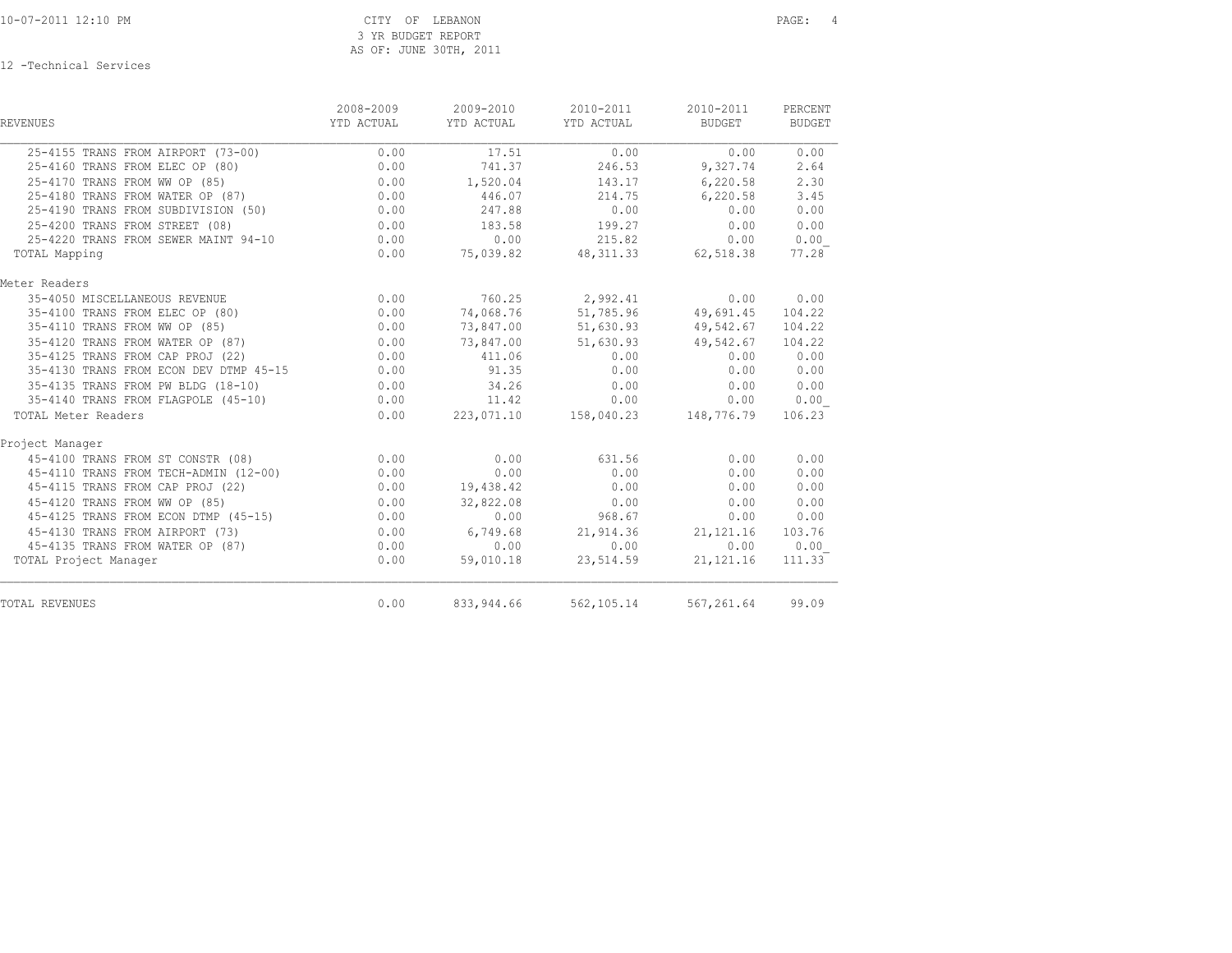| <b>REVENUES</b>                        | 2008-2009<br>YTD ACTUAL | 2009-2010<br>YTD ACTUAL | 2010-2011<br>YTD ACTUAL | 2010-2011<br>BUDGET | PERCENT<br><b>BUDGET</b> |
|----------------------------------------|-------------------------|-------------------------|-------------------------|---------------------|--------------------------|
| 25-4155 TRANS FROM AIRPORT (73-00)     | 0.00                    | 17.51                   | 0.00                    | 0.00                | 0.00                     |
| 25-4160 TRANS FROM ELEC OP (80)        | 0.00                    | 741.37                  | 246.53                  | 9,327.74            | 2.64                     |
| 25-4170 TRANS FROM WW OP (85)          | 0.00                    | 1,520.04                | 143.17                  | 6,220.58            | 2.30                     |
| 25-4180 TRANS FROM WATER OP (87)       | 0.00                    | 446.07                  | 214.75                  | 6,220.58            | 3.45                     |
| 25-4190 TRANS FROM SUBDIVISION (50)    | 0.00                    | 247.88                  | 0.00                    | 0.00                | 0.00                     |
| 25-4200 TRANS FROM STREET (08)         | 0.00                    | 183.58                  | 199.27                  | 0.00                | 0.00                     |
| 25-4220 TRANS FROM SEWER MAINT 94-10   | 0.00                    | 0.00                    | 215.82                  | 0.00                | 0.00                     |
| TOTAL Mapping                          | 0.00                    | 75,039.82               | 48, 311. 33 62, 518. 38 |                     | 77.28                    |
| Meter Readers                          |                         |                         |                         |                     |                          |
| 35-4050 MISCELLANEOUS REVENUE          | 0.00                    |                         | 760.25 2,992.41         | 0.00                | 0.00                     |
| 35-4100 TRANS FROM ELEC OP (80)        | 0.00                    | 74,068.76               | 51,785.96               | 49,691.45           | 104.22                   |
| 35-4110 TRANS FROM WW OP (85)          | 0.00                    | 73,847.00               | 51,630.93               | 49,542.67           | 104.22                   |
| 35-4120 TRANS FROM WATER OP (87)       | 0.00                    | 73,847.00               | 51,630.93               | 49,542.67           | 104.22                   |
| 35-4125 TRANS FROM CAP PROJ (22)       | 0.00                    | 411.06                  | 0.00                    | 0.00                | 0.00                     |
| 35-4130 TRANS FROM ECON DEV DTMP 45-15 | 0.00                    | 91.35                   | 0.00                    | 0.00                | 0.00                     |
| 35-4135 TRANS FROM PW BLDG (18-10)     | 0.00                    | 34.26                   | 0.00                    | 0.00                | 0.00                     |
| 35-4140 TRANS FROM FLAGPOLE (45-10)    | 0.00                    | 11.42                   | 0.00                    | 0.00                | 0.00                     |
| TOTAL Meter Readers                    | 0.00                    | 223,071.10              | 158,040.23 148,776.79   |                     | 106.23                   |
| Project Manager                        |                         |                         |                         |                     |                          |
| 45-4100 TRANS FROM ST CONSTR (08)      | 0.00                    | 0.00                    | 631.56                  | 0.00                | 0.00                     |
| 45-4110 TRANS FROM TECH-ADMIN (12-00)  | 0.00                    | 0.00                    | 0.00                    | 0.00                | 0.00                     |
| 45-4115 TRANS FROM CAP PROJ (22)       | 0.00                    | 19,438.42               | 0.00                    | 0.00                | 0.00                     |
| 45-4120 TRANS FROM WW OP (85)          | 0.00                    | 32,822.08               | 0.00                    | 0.00                | 0.00                     |
| 45-4125 TRANS FROM ECON DTMP (45-15)   | 0.00                    | 0.00                    | 968.67                  | 0.00                | 0.00                     |
| 45-4130 TRANS FROM AIRPORT (73)        | 0.00                    | 6,749.68                | 21,914.36               | 21, 121. 16         | 103.76                   |
| 45-4135 TRANS FROM WATER OP (87)       | 0.00                    | 0.00                    | 0.00                    | 0.00                | 0.00                     |
| TOTAL Project Manager                  | 0.00                    | 59,010.18               | 23,514.59               | 21, 121.16          | 111.33                   |
| <b>TOTAL REVENUES</b>                  | 0.00                    | 833, 944.66             | 562, 105. 14            | 567,261.64          | 99.09                    |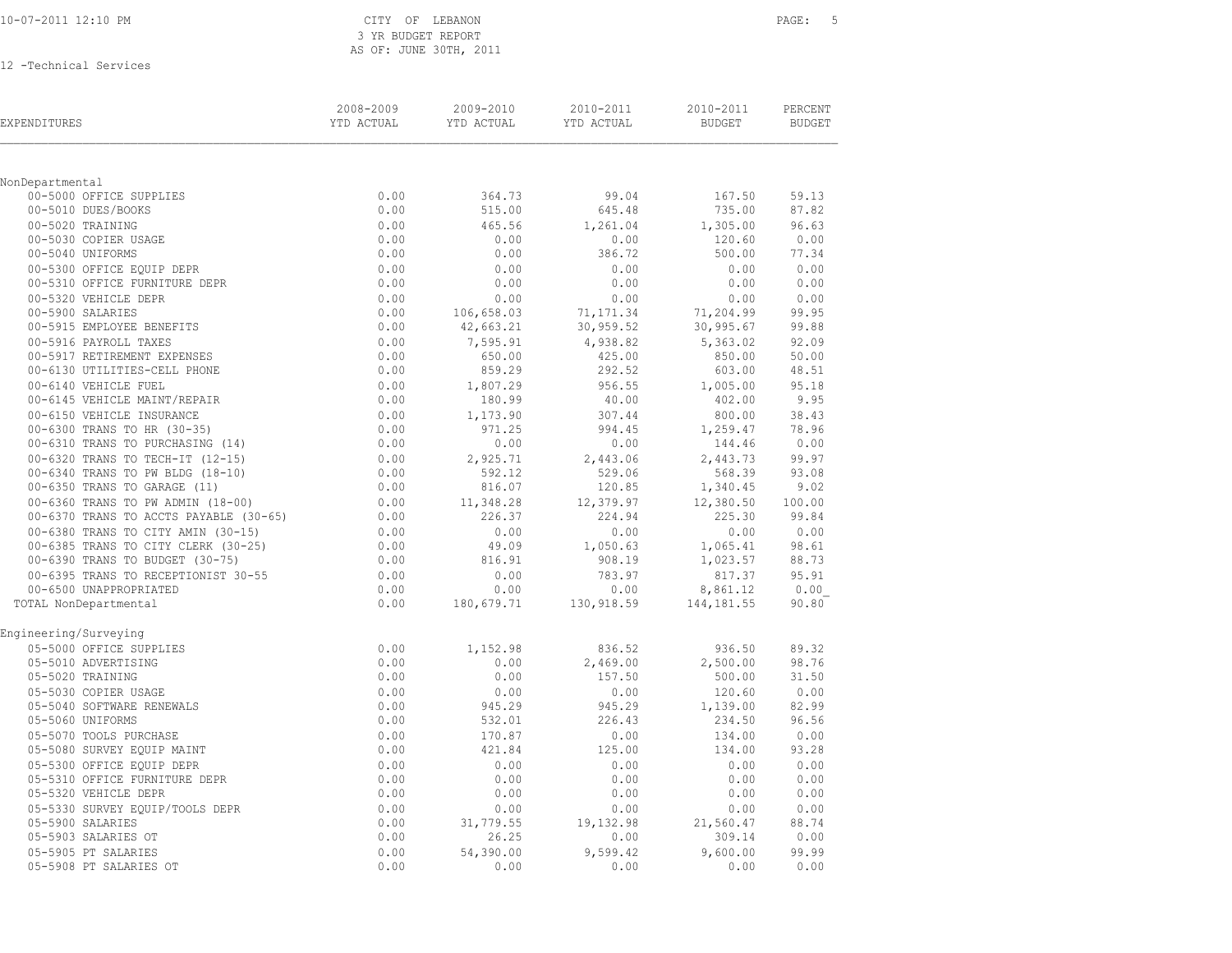|  | 10-07-2011 12:10 PM |  |  |
|--|---------------------|--|--|
|  |                     |  |  |

### CITY OF LEBANON **PAGE:** 5 3 YR BUDGET REPORT AS OF: JUNE 30TH, 2011

| EXPENDITURES                                                  | 2008-2009<br>YTD ACTUAL | 2009-2010<br>YTD ACTUAL | 2010-2011<br>YTD ACTUAL | 2010-2011<br><b>BUDGET</b> | PERCENT<br><b>BUDGET</b> |
|---------------------------------------------------------------|-------------------------|-------------------------|-------------------------|----------------------------|--------------------------|
|                                                               |                         |                         |                         |                            |                          |
| NonDepartmental                                               |                         |                         |                         |                            |                          |
| 00-5000 OFFICE SUPPLIES                                       | 0.00                    | 364.73                  | 99.04                   | 167.50                     | 59.13                    |
| 00-5010 DUES/BOOKS                                            | 0.00                    | 515.00                  | 645.48                  | 735.00                     | 87.82                    |
| 00-5020 TRAINING                                              | 0.00                    | 465.56<br>0.00          | 1,261.04                | 1,305.00                   | 96.63                    |
| 00-5030 COPIER USAGE<br>00-5040 UNIFORMS                      | 0.00<br>0.00            | 0.00                    | 0.00<br>386.72          | 120.60<br>500.00           | 0.00<br>77.34            |
| 00-5300 OFFICE EQUIP DEPR                                     | 0.00                    | 0.00                    | 0.00                    | 0.00                       | 0.00                     |
| 00-5310 OFFICE FURNITURE DEPR                                 | 0.00                    | 0.00                    | 0.00                    | 0.00                       | 0.00                     |
| 00-5320 VEHICLE DEPR                                          | 0.00                    | 0.00                    | 0.00                    | 0.00                       | 0.00                     |
| 00-5900 SALARIES                                              | 0.00                    | 106,658.03              | 71,171.34               | 71,204.99                  | 99.95                    |
| 00-5915 EMPLOYEE BENEFITS                                     | 0.00                    | 42,663.21               | 30,959.52               | 30, 995.67                 | 99.88                    |
| 00-5916 PAYROLL TAXES                                         | 0.00                    | 7,595.91                | 4,938.82                | 5,363.02                   | 92.09                    |
| 00-5917 RETIREMENT EXPENSES                                   | 0.00                    | 650.00                  | 425.00                  | 850.00                     | 50.00                    |
| 00-6130 UTILITIES-CELL PHONE                                  | 0.00                    | 859.29                  | 292.52                  | 603.00                     | 48.51                    |
| 00-6140 VEHICLE FUEL                                          | 0.00                    | 1,807.29                | 956.55                  | 1,005.00                   | 95.18                    |
| 00-6145 VEHICLE MAINT/REPAIR                                  | 0.00                    | 180.99                  | 40.00                   | 402.00                     | 9.95                     |
| 00-6150 VEHICLE INSURANCE                                     | 0.00                    | 1,173.90                | 307.44                  | 800.00                     | 38.43                    |
| 00-6300 TRANS TO HR (30-35)                                   | 0.00                    | 971.25                  | 994.45                  | 1,259.47                   | 78.96                    |
| 00-6310 TRANS TO PURCHASING (14)                              | 0.00                    | 0.00                    | 0.00                    | 144.46                     | 0.00                     |
| 00-6320 TRANS TO TECH-IT (12-15)                              | 0.00                    | 2,925.71                | 2,443.06                | 2,443.73                   | 99.97                    |
| 00-6340 TRANS TO PW BLDG (18-10)                              | 0.00                    | 592.12                  | 529.06                  | 568.39                     | 93.08                    |
| 00-6350 TRANS TO GARAGE (11)                                  | 0.00                    | 816.07                  | 120.85                  | 1,340.45                   | 9.02                     |
| 00-6360 TRANS TO PW ADMIN (18-00)                             | 0.00                    | 11,348.28               | 12,379.97               | 12,380.50                  | 100.00                   |
| 00-6370 TRANS TO ACCTS PAYABLE (30-65)                        | 0.00                    | 226.37                  | 224.94                  | 225.30                     | 99.84                    |
| 00-6380 TRANS TO CITY AMIN (30-15)                            | 0.00                    | 0.00                    | 0.00                    | 0.00                       | 0.00                     |
| 00-6385 TRANS TO CITY CLERK (30-25)                           | 0.00                    | 49.09                   | 1,050.63                | 1,065.41                   | 98.61                    |
| 00-6390 TRANS TO BUDGET (30-75)                               | 0.00                    | 816.91                  | 908.19                  | 1,023.57                   | 88.73                    |
| 00-6395 TRANS TO RECEPTIONIST 30-55<br>00-6500 UNAPPROPRIATED | 0.00<br>0.00            | 0.00<br>0.00            | 783.97<br>0.00          | 817.37                     | 95.91                    |
| TOTAL NonDepartmental                                         | 0.00                    | 180,679.71              | 130,918.59              | 8,861.12<br>144, 181.55    | 0.00<br>90.80            |
|                                                               |                         |                         |                         |                            |                          |
| Engineering/Surveying                                         |                         |                         |                         |                            |                          |
| 05-5000 OFFICE SUPPLIES                                       | 0.00                    | 1,152.98                | 836.52                  | 936.50                     | 89.32                    |
| 05-5010 ADVERTISING                                           | 0.00                    | 0.00                    | 2,469.00                | 2,500.00                   | 98.76                    |
| 05-5020 TRAINING                                              | 0.00                    | 0.00                    | 157.50                  | 500.00                     | 31.50                    |
| 05-5030 COPIER USAGE                                          | 0.00                    | 0.00                    | 0.00                    | 120.60                     | 0.00                     |
| 05-5040 SOFTWARE RENEWALS                                     | 0.00                    | 945.29                  | 945.29                  | 1,139.00                   | 82.99                    |
| 05-5060 UNIFORMS                                              | 0.00                    | 532.01                  | 226.43                  | 234.50                     | 96.56                    |
| 05-5070 TOOLS PURCHASE                                        | 0.00                    | 170.87                  | 0.00                    | 134.00                     | 0.00                     |
| 05-5080 SURVEY EQUIP MAINT                                    | 0.00                    | 421.84                  | 125.00                  | 134.00                     | 93.28                    |
| 05-5300 OFFICE EQUIP DEPR                                     | 0.00                    | 0.00                    | 0.00                    | 0.00                       | 0.00                     |
| 05-5310 OFFICE FURNITURE DEPR<br>05-5320 VEHICLE DEPR         | 0.00<br>0.00            | 0.00<br>0.00            | 0.00<br>0.00            | 0.00<br>0.00               | 0.00<br>0.00             |
|                                                               | 0.00                    | 0.00                    |                         | 0.00                       |                          |
| 05-5330 SURVEY EQUIP/TOOLS DEPR<br>05-5900 SALARIES           | 0.00                    | 31,779.55               | 0.00<br>19,132.98       | 21,560.47                  | 0.00<br>88.74            |
| 05-5903 SALARIES OT                                           | 0.00                    | 26.25                   | 0.00                    | 309.14                     | 0.00                     |
| 05-5905 PT SALARIES                                           | 0.00                    | 54,390.00               | 9,599.42                | 9,600.00                   | 99.99                    |
| 05-5908 PT SALARIES OT                                        | 0.00                    | 0.00                    | 0.00                    | 0.00                       | 0.00                     |
|                                                               |                         |                         |                         |                            |                          |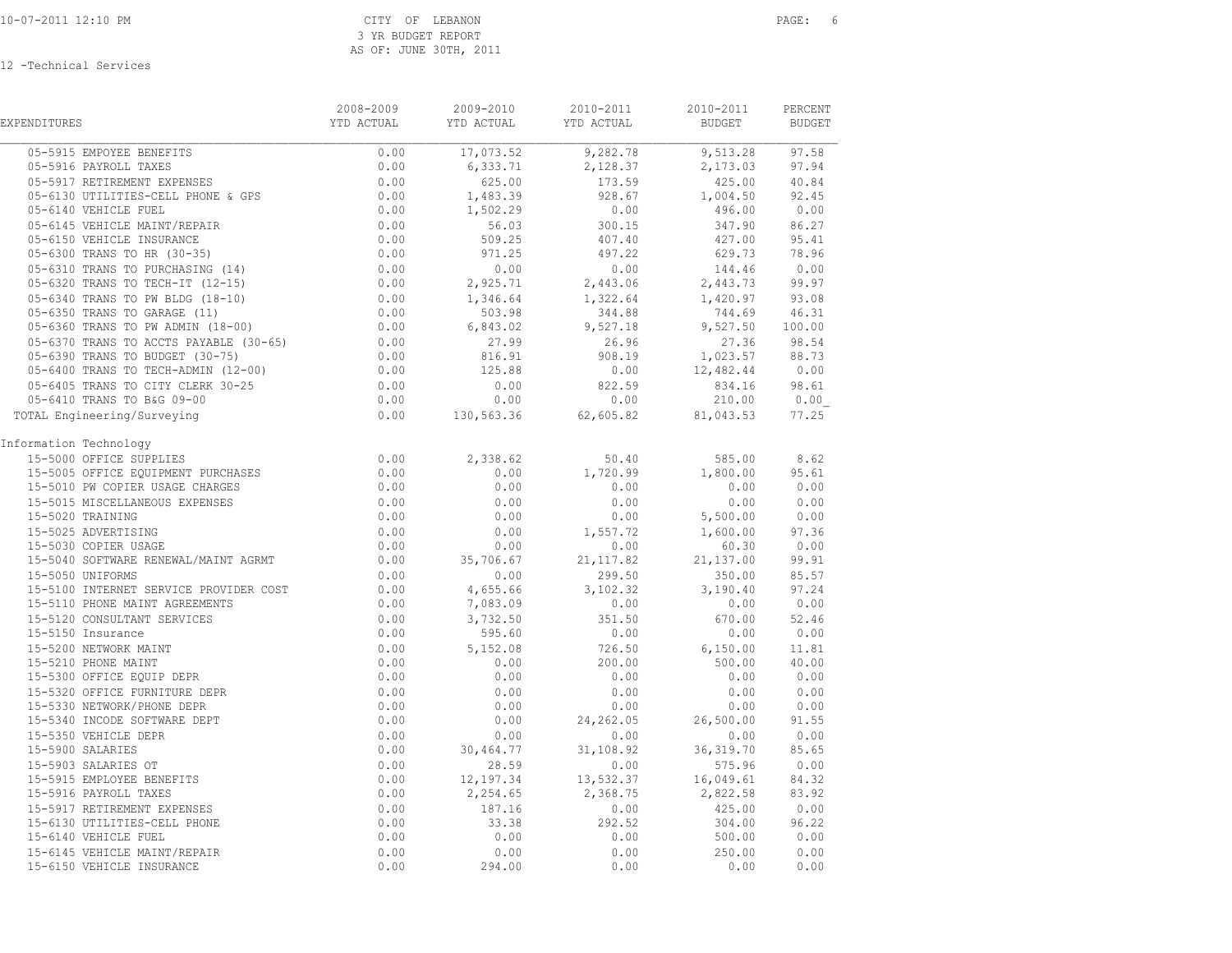| EXPENDITURES                                                                                                                      | 2008-2009              | 2009-2010 | 2010-2011                               | 2010-2011<br><b>BUDGET</b>         | PERCENT<br><b>BUDGET</b> |
|-----------------------------------------------------------------------------------------------------------------------------------|------------------------|-----------|-----------------------------------------|------------------------------------|--------------------------|
| 05-5915 EMPOYEE BENEFITS                                                                                                          | 0.00                   |           | $17,073.52$<br>$6,333.71$<br>$2,128.37$ | 9,513.28 97.58                     |                          |
| 05-5916 PAYROLL TAXES                                                                                                             | 0.00                   |           |                                         | $2,173.03$ 97.94                   |                          |
| 05-5916 PAYKOLL IRALO<br>05-5917 RETIREMENT EXPENSES 0.00<br>05-6130 UTILITIES-CELL PHONE & GPS 0.00<br>--- TILL PHONE & GPS 0.00 |                        | 625.00    | 173.59                                  | 425.00 40.84                       |                          |
|                                                                                                                                   |                        | 1,483.39  | 928.67                                  | 1,004.50 92.45                     |                          |
|                                                                                                                                   |                        | 1,502.29  | 0.00                                    | 496.00                             | 0.00                     |
| 05-6145 VEHICLE MAINT/REPAIR                                                                                                      | 0.00                   | 56.03     | $300.15$<br>$407.40$                    | 347.90 86.27                       |                          |
| 05-6150 VEHICLE INSURANCE                                                                                                         | 0.00                   | 509.25    |                                         | 427.00 95.41                       |                          |
|                                                                                                                                   |                        | 971.25    | 497.22                                  | 629.73                             | 78.96                    |
| 05-6310 TRANS TO PURCHASING (14)<br>05-6320 TRANS TO PURCHASING (14)                                                              | $0.00$<br>0.00<br>0.00 | 0.00      | 0.00                                    | 144.46                             | 0.00                     |
|                                                                                                                                   |                        | 2,925.71  | 2,443.06                                | 2,443.73 99.97                     |                          |
| 05-6340 TRANS TO PW BLDG (18-10)                                                                                                  | $0.00$<br>0.00<br>0.00 | 1,346.64  |                                         | 1,322.64 1,420.97 93.08            |                          |
| 05-6350 TRANS TO GARAGE (11)                                                                                                      |                        | 503.98    | 344.88                                  | 744.69 46.31                       |                          |
| 05-6360 TRANS TO PW ADMIN (18-00)                                                                                                 |                        | 6,843.02  | 9,527.18                                | 9,527.50 100.00                    |                          |
| 05-6370 TRANS TO ACCTS PAYABLE (30-65)                                                                                            | $0.00$<br>0.00         | 27.99     | 26.96                                   | 27.36 98.54                        |                          |
| 05-6390 TRANS TO BUDGET (30-75)                                                                                                   |                        | 816.91    | 908.19                                  | 1,023.57 88.73                     |                          |
| 05-6400 TRANS TO TECH-ADMIN (12-00)                                                                                               | 0.00                   | 125.88    | 0.00                                    | $12,482.44$ 0.00                   |                          |
| 05-6405 TRANS TO CITY CLERK 30-25                                                                                                 | 0.00                   | 0.00      | 822.59                                  | 834.16 98.61                       |                          |
| 05-6410 TRANS TO B&G 09-00                                                                                                        | 0.00                   | 0.00      | 0.00                                    | $210.00$ $0.00$<br>81,043.53 77.25 |                          |
| TOTAL Engineering/Surveying                                                                                                       | 0.00                   |           | $130,563.36$ 62,605.82                  |                                    |                          |
| Information Technology                                                                                                            |                        |           |                                         |                                    |                          |
| 15-5000 OFFICE SUPPLIES                                                                                                           | 0.00                   | 2,338.62  | 50.40                                   | 585.00 8.62                        |                          |
| 15-5005 OFFICE EQUIPMENT PURCHASES                                                                                                | 0.00                   | 0.00      | 1,720.99                                | 1,800.00                           | 95.61                    |
| 15-5010 PW COPIER USAGE CHARGES                                                                                                   | 0.00                   | 0.00      | 0.00                                    | 0.00 0.00                          |                          |
| 15-5015 MISCELLANEOUS EXPENSES                                                                                                    | 0.00                   | 0.00      | 0.00                                    | 0.00                               | 0.00                     |
| 15-5020 TRAINING                                                                                                                  | 0.00                   | 0.00      |                                         | $0.00$ 5,500.00 0.00               |                          |
| 15-5025 ADVERTISING                                                                                                               | 0.00                   | 0.00      | 1,557.72                                | 1,600.00                           | 97.36                    |
| 15-5030 COPIER USAGE                                                                                                              | 0.00                   | 0.00      | 0.00                                    | $60.30$ $0.00$<br>21,137.00 99.91  |                          |
| 15-5040 SOFTWARE RENEWAL/MAINT AGRMT                                                                                              | 0.00                   | 35,706.67 | 21, 117.82                              |                                    |                          |
| 15-5050 UNIFORMS                                                                                                                  | 0.00                   | 0.00      | 299.50                                  | 350.00 85.57                       |                          |
| 15-5100 INTERNET SERVICE PROVIDER COST                                                                                            | 0.00                   | 4,655.66  | 3,102.32                                | 3, 190.40 97.24                    |                          |
| 15-5110 PHONE MAINT AGREEMENTS                                                                                                    | 0.00                   | 7,083.09  | 0.00                                    | 0.00 0.00                          |                          |
| 15-5120 CONSULTANT SERVICES                                                                                                       | 0.00                   | 3,732.50  | 351.50                                  | 670.00 52.46                       |                          |
| 15-5150 Insurance                                                                                                                 | 0.00                   | 595.60    | 0.00                                    | $0.00$ $0.00$                      |                          |
| 15-5200 NETWORK MAINT<br>15-5210 PHONE MAINT<br>15-5300 OFFICE EQUIP DEPR<br>15-5320 OFFICE FUNNITURE DEPR                        | 0.00                   | 5,152.08  | 726.50<br>200.00                        | 6,150.00 11.81<br>500.00 40.00     |                          |
|                                                                                                                                   | 0.00                   | 0.00      |                                         |                                    |                          |
|                                                                                                                                   | 0.00                   | 0.00      | 0.00                                    | 0.00                               | 0.00                     |
|                                                                                                                                   | 0.00                   | 0.00      | 0.00                                    | $0.00$ $0.00$<br>0.00 0.00         |                          |
| 15-5330 NETWORK/PHONE DEPR                                                                                                        | 0.00                   | 0.00      | 0.00                                    |                                    |                          |
| 15-5340 INCODE SOFTWARE DEPT                                                                                                      | 0.00                   | 0.00      | 24, 262.05                              | 26,500.00                          | 91.55                    |
| 15-5350 VEHICLE DEPR                                                                                                              | 0.00                   | 0.00      | 0.00                                    |                                    | 0.00 0.00                |
| 15-5900 SALARIES                                                                                                                  | 0.00                   | 30,464.77 | 31,108.92                               | 36, 319.70                         | 85.65                    |
| 15-5903 SALARIES OT                                                                                                               | 0.00                   | 28.59     | 0.00                                    | 575.96 0.00                        |                          |
| 15-5915 EMPLOYEE BENEFITS                                                                                                         | 0.00                   |           | 12, 197.34 13, 532.37                   | 16,049.61                          | 84.32                    |
| 15-5916 PAYROLL TAXES                                                                                                             | 0.00                   | 2,254.65  | 2,368.75                                | 2,822.58 83.92                     |                          |
| 15-5917 RETIREMENT EXPENSES                                                                                                       | 0.00                   | 187.16    | 0.00                                    | 425.00 0.00                        |                          |
| 15-6130 UTILITIES-CELL PHONE                                                                                                      | 0.00                   | 33.38     | 292.52                                  | 304.00                             | 96.22                    |
| 15-6140 VEHICLE FUEL                                                                                                              | 0.00                   | 0.00      | 0.00                                    | 500.00 0.00                        |                          |
| 15-6145 VEHICLE MAINT/REPAIR                                                                                                      | 0.00                   | 0.00      | 0.00                                    | 250.00                             | 0.00                     |
| 15-6150 VEHICLE INSURANCE                                                                                                         | 0.00                   | 294.00    | 0.00                                    | 0.00                               | 0.00                     |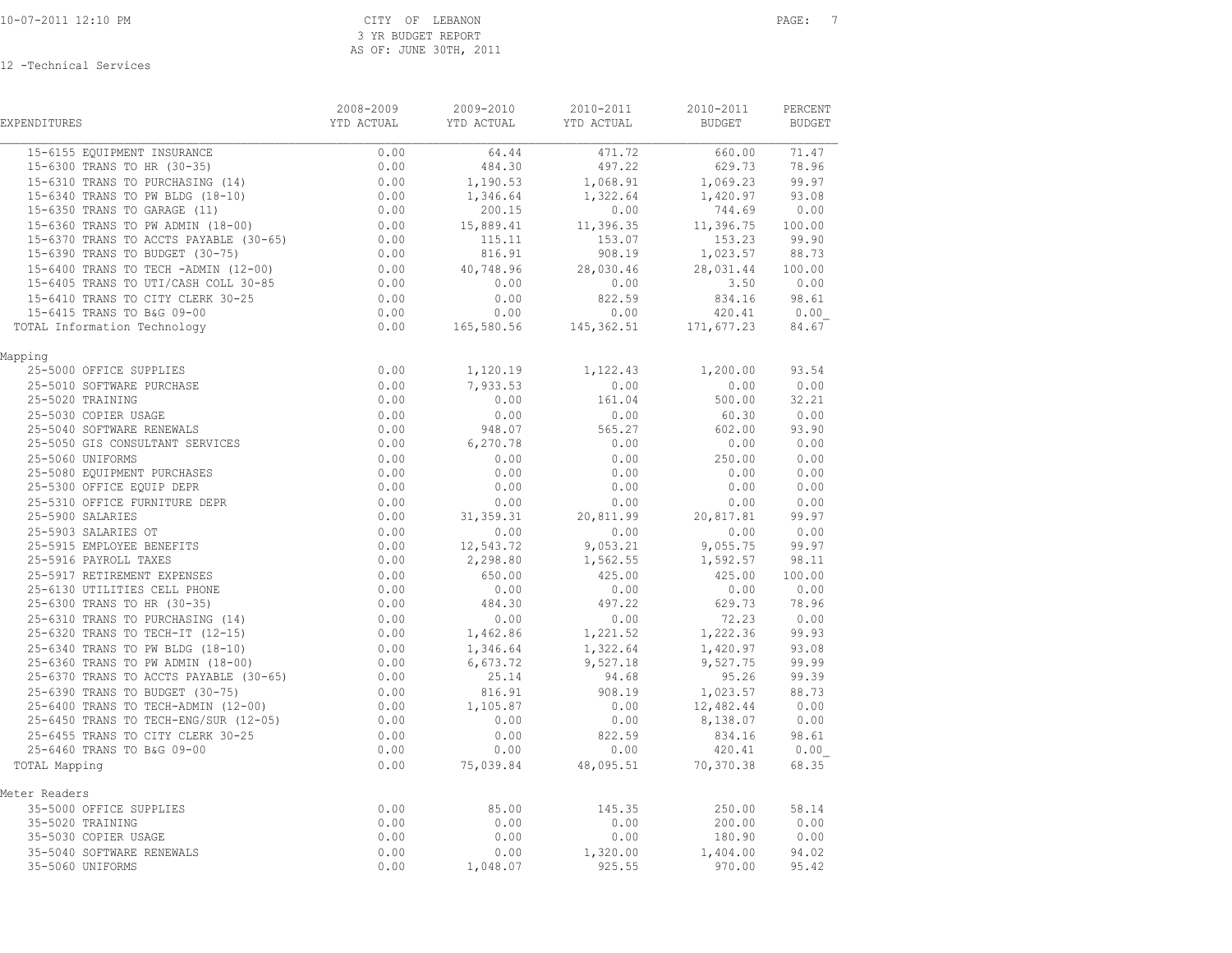| <b>EXPENDITURES</b>                                                                                                                                                                                                                                | 2008-2009<br>YTD ACTUAL                | 2009-2010<br>YTD ACTUAL YTD ACTUAL | 2010-2011                       | 2010-2011<br><b>BUDGET</b> | PERCENT<br><b>BUDGET</b> |
|----------------------------------------------------------------------------------------------------------------------------------------------------------------------------------------------------------------------------------------------------|----------------------------------------|------------------------------------|---------------------------------|----------------------------|--------------------------|
| 15-6155 EOUIPMENT INSURANCE                                                                                                                                                                                                                        | 0.00                                   |                                    | 64.44 471.72 660.00             |                            | 71.47                    |
| 15-6300 TRANS TO HR (30-35)                                                                                                                                                                                                                        | 0.00                                   | 484.30                             | 497.22                          | 629.73 78.96               |                          |
| 15-6310 TRANS TO PURCHASING (13)<br>15-6340 TRANS TO PW BLDG (18-10)                                                                                                                                                                               | $0.00$<br>0.00<br>0.00                 | 1,190.53                           | 1,068.91                        | 1,069.23                   | 99.97                    |
|                                                                                                                                                                                                                                                    |                                        | 1,346.64                           | 1,322.64                        | 1,420.97 93.08             |                          |
|                                                                                                                                                                                                                                                    |                                        | 200.15                             | 0.00                            | 744.69                     | 0.00                     |
| $15 - 6360$ TRANS TO PW ADMIN $(18-00)$                                                                                                                                                                                                            | $0.00$<br>$0.00$                       | 15,889.41                          | 11,396.35                       | 11,396.75 100.00           |                          |
| 15-6370 TRANS TO ACCTS PAYABLE (30-65)                                                                                                                                                                                                             |                                        | 115.11                             | 153.07                          | 153.23 99.90               |                          |
| 15-6390 TRANS TO BUDGET (30-75)                                                                                                                                                                                                                    | 0.00                                   | 816.91                             | 908.19                          | 1,023.57 88.73             |                          |
| 15-6400 TRANS TO TECH -ADMIN (12-00)                                                                                                                                                                                                               | 0.00                                   |                                    | 40,748.96 28,030.46             | 28,031.44 100.00           |                          |
| 15-6405 TRANS TO UTI/CASH COLL 30-85                                                                                                                                                                                                               | 0.00                                   | 0.00                               | 0.00                            | $3.50$ 0.00                |                          |
| 15-6410 TRANS TO CITY CLERK 30-25                                                                                                                                                                                                                  | 0.00                                   | 0.00                               | 822.59                          | 834.16 98.61               |                          |
| 15-6415 TRANS TO B&G 09-00                                                                                                                                                                                                                         | 0.00                                   | 0.00                               | 0.00                            | 420.41                     | 0.00                     |
| TOTAL Information Technology                                                                                                                                                                                                                       | 0.00                                   | 165,580.56                         | 145, 362.51                     | 171,677.23                 | 84.67                    |
| Mapping<br>91ng<br>25-5000 OFFICE SUPPLIES<br>25-5010 SOFTWARE PURCHASE<br>25-5020 TRAINING<br>25-5030 COPIER USAGE<br>25-5050 GIS CONSULTANT SERVICES<br>25-5050 GIS CONSULTANT SERVICES                                                          |                                        |                                    |                                 |                            |                          |
|                                                                                                                                                                                                                                                    | 0.00                                   | 1,120.19                           | 1,122.43                        | 1,200.00                   | 93.54                    |
|                                                                                                                                                                                                                                                    | 0.00                                   | 7,933.53                           | 0.00                            | 0.00                       | 0.00                     |
|                                                                                                                                                                                                                                                    | 0.00                                   | 0.00                               | 161.04                          | 500.00                     | 32.21                    |
|                                                                                                                                                                                                                                                    | 0.00                                   | 0.00                               | 0.00                            | 60.30 0.00                 |                          |
|                                                                                                                                                                                                                                                    | 0.00<br>0.00                           | 948.07                             | 565.27                          | 602.00                     | 93.90                    |
|                                                                                                                                                                                                                                                    |                                        | 6,270.78                           | 0.00                            | 0.00                       | 0.00                     |
| 25-5060 UNIFORMS                                                                                                                                                                                                                                   | 0.00                                   | 0.00                               | 0.00                            | 250.00                     | 0.00                     |
|                                                                                                                                                                                                                                                    |                                        | 0.00                               | 0.00                            | 0.00                       | 0.00                     |
| 25-5060 UNIFORMS<br>25-5060 UNIFORMS<br>25-5060 UNIFORMS<br>25-5060 EQUIPMENT PURCHASES<br>25-5300 OFFICE EQUIP DEPR<br>25-5300 OFFICE EQUIP DEPR<br>25-5300 CRICE EQUIP DEPR<br>25-5300 TRAIRIES<br>25-5903 SALARIES<br>25-5903 SALARIES<br>25-59 |                                        | 0.00                               | 0.00                            | 0.00                       | 0.00                     |
|                                                                                                                                                                                                                                                    |                                        | 0.00                               | 0.00                            | 0.00<br>20,817.81          | 0.00<br>99.97            |
|                                                                                                                                                                                                                                                    |                                        | 31, 359.31                         | 20,811.99                       |                            |                          |
|                                                                                                                                                                                                                                                    |                                        | 0.00<br>12,543.72                  | 0.00                            | 0.00<br>9,055.75           | 0.00<br>99.97            |
|                                                                                                                                                                                                                                                    |                                        | 2,298.80                           | 9,053.21<br>1,562.55            | 1,592.57 98.11             |                          |
|                                                                                                                                                                                                                                                    |                                        | 650.00                             | 425.00                          | 425.00                     | 100.00                   |
|                                                                                                                                                                                                                                                    |                                        | 0.00                               | 0.00                            | 0.00                       | 0.00                     |
|                                                                                                                                                                                                                                                    |                                        | 484.30                             | 497.22                          | 629.73                     | 78.96                    |
|                                                                                                                                                                                                                                                    |                                        | 0.00                               | 0.00                            |                            | 72.23 0.00               |
| 25-6310 TRANS TO PURCHASING (14)<br>25-6320 TRANS TO TECH-IT (12-15)                                                                                                                                                                               |                                        | 1,462.86                           | 1,221.52                        | 1,222.36                   | 99.93                    |
| 25-6340 TRANS TO PW BLDG (18-10)                                                                                                                                                                                                                   |                                        | 1,346.64                           | 1,322.64                        | 1,420.97                   | 93.08                    |
| 25-6360 TRANS TO PW ADMIN $(18-00)$                                                                                                                                                                                                                |                                        |                                    | $1,340.04$<br>6,673.72 9,527.18 | 9,527.75                   | 99.99                    |
| 25-6370 TRANS TO ACCTS PAYABLE (30-65)                                                                                                                                                                                                             | $0.00$<br>0.00<br>0.00<br>0.00<br>0.00 |                                    | 94.68                           | 95.26                      | 99.39                    |
| 25-6390 TRANS TO BUDGET (30-75)                                                                                                                                                                                                                    | 0.00                                   | $25.14$<br>816.91                  | 908.19                          | 1,023.57                   | 88.73                    |
| $25-6400$ TRANS TO TECH-ADMIN $(12-00)$                                                                                                                                                                                                            | 0.00                                   | 1,105.87                           | 0.00                            | $12,482.44$ 0.00           |                          |
|                                                                                                                                                                                                                                                    | 0.00                                   | 0.00                               | 0.00                            | 8,138.07                   | 0.00                     |
| 25-6450 TRANS TO TECH-ENG/SUR (12-05)<br>25-6455 TRANS TO CITY CLERK 30-25                                                                                                                                                                         | 0.00                                   | 0.00                               | 822.59                          | 834.16                     | 98.61                    |
| 25-6460 TRANS TO B&G 09-00                                                                                                                                                                                                                         | 0.00                                   | 0.00                               | 0.00                            | 420.41                     | 0.00                     |
| TOTAL Mapping                                                                                                                                                                                                                                      | 0.00                                   | 75,039.84                          | 48,095.51 70,370.38             |                            | 68.35                    |
| Meter Readers                                                                                                                                                                                                                                      |                                        |                                    |                                 |                            |                          |
| 35-5000 OFFICE SUPPLIES                                                                                                                                                                                                                            | 0.00                                   | 85.00                              | 145.35                          | 250.00                     | 58.14                    |
| 35-5020 TRAINING                                                                                                                                                                                                                                   | 0.00                                   | 0.00                               | 0.00                            | 200.00                     | 0.00                     |
| 35-5030 COPIER USAGE                                                                                                                                                                                                                               | 0.00                                   | 0.00                               | 0.00                            | 180.90                     | 0.00                     |
| 35-5040 SOFTWARE RENEWALS                                                                                                                                                                                                                          | 0.00                                   | 0.00                               | 1,320.00                        | 1,404.00                   | 94.02                    |
| 35-5060 UNIFORMS                                                                                                                                                                                                                                   | 0.00                                   | 1,048.07                           | 925.55                          | 970.00                     | 95.42                    |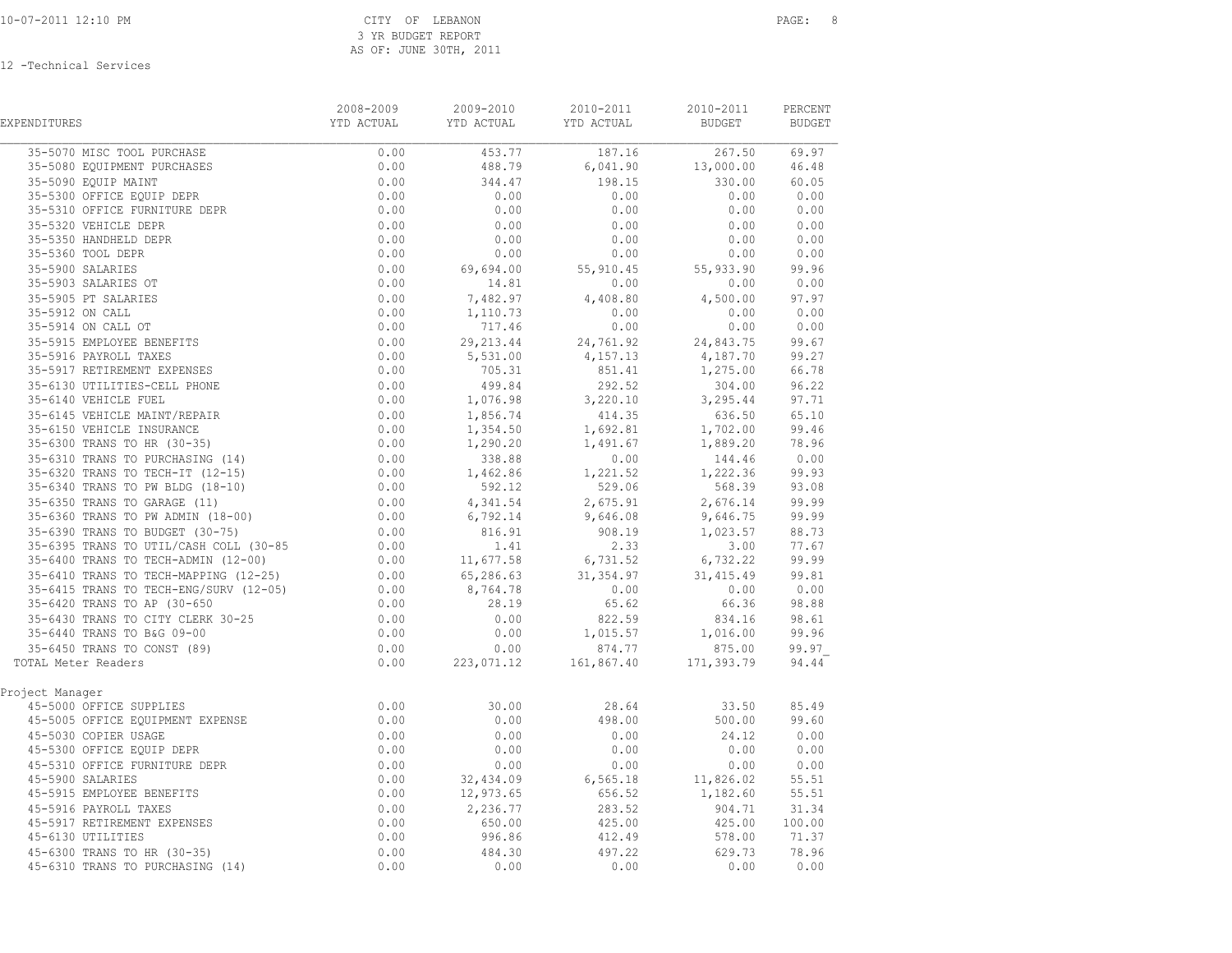| EXPENDITURES                                                                                                                                                                                  | 2008-2009                      | 2009-2010            | 2010-2011                                                                                                                                                               | 2010-2011                                                                                                      | PERCENT<br><b>BUDGET</b> |
|-----------------------------------------------------------------------------------------------------------------------------------------------------------------------------------------------|--------------------------------|----------------------|-------------------------------------------------------------------------------------------------------------------------------------------------------------------------|----------------------------------------------------------------------------------------------------------------|--------------------------|
| 35-5070 MISC TOOL PURCHASE<br>35-5070 MISC TOOL PURCHASE<br>35-5080 EQUIPMENT PURCHASES<br>35-5090 EQUIP MAINT<br>35-5300 OFFICE EQUIP DEPR<br>1000 CERICE EQUIP DEPR                         | 0.00                           |                      | $\begin{array}{cccccccc} \hline &453.77 & & & 187.16 & & & 267.50 & & 69.97 \\ \hline 488.79 & & & 6,041.90 & & & 13,000.00 & & 46.48 \end{array}$                      | 267.50 69.97                                                                                                   |                          |
|                                                                                                                                                                                               | 0.00                           |                      |                                                                                                                                                                         |                                                                                                                |                          |
|                                                                                                                                                                                               | 0.00                           | 344.47               | $198.15$<br>0.00                                                                                                                                                        | 330.00 60.05                                                                                                   |                          |
|                                                                                                                                                                                               | 0.00                           | 0.00                 |                                                                                                                                                                         | $0.00$ $0.00$<br>0.00 0.00                                                                                     |                          |
| 35-5310 OFFICE FURNITURE DEPR                                                                                                                                                                 | 0.00                           | 0.00                 | 0.00                                                                                                                                                                    |                                                                                                                |                          |
| 35-5320 VEHICLE DEPR                                                                                                                                                                          | 0.00                           | 0.00                 | 0.00                                                                                                                                                                    | $\begin{array}{ccc} 0\,.\,00 & \quad & 0\,.00 \ 0\,.00 & \quad & 0\,.00 \ 0\,.00 & \quad & 0\,.00 \end{array}$ |                          |
| 35-5350 HANDHELD DEPR                                                                                                                                                                         | 0.00                           | 0.00                 | 0.00                                                                                                                                                                    |                                                                                                                |                          |
| 35-5360 TOOL DEPR                                                                                                                                                                             | 0.00                           | 0.00                 | 0.00                                                                                                                                                                    |                                                                                                                |                          |
| 35-5900 SALARIES                                                                                                                                                                              | 0.00                           | 69,694.00            |                                                                                                                                                                         | 55, 910.45 55, 933.90 99.96                                                                                    |                          |
| 35-5903 SALARIES OT                                                                                                                                                                           | 0.00                           | 14.81                | 0.00                                                                                                                                                                    |                                                                                                                | 0.00 0.00                |
| 35-5905 PT SALARIES                                                                                                                                                                           | 0.00                           |                      | $7,482.97$<br>$1,110.73$<br>$717.46$<br>0.00                                                                                                                            | $4,500.00$ 97.97<br>0.00 0.00<br>0.00 0.00                                                                     |                          |
| 35-5912 ON CALL                                                                                                                                                                               | 0.00                           |                      |                                                                                                                                                                         |                                                                                                                |                          |
| 35-5914 ON CALL OT                                                                                                                                                                            | 0.00                           | 717.46               |                                                                                                                                                                         |                                                                                                                |                          |
| 35-5914 ON CALL OT<br>35-5915 EMPLOYEE BENEFITS<br>35-5916 PAYROLL TAXES<br>35-5917 RETIREMENT EXPENSES<br>35-6130 UTILITIES-CELL PHONE<br>35-6140 VEHICLE FUEL                               | 0.00                           |                      | 29, 213.44 24, 761.92 24, 843.75 99.67                                                                                                                                  |                                                                                                                |                          |
|                                                                                                                                                                                               |                                | $5,531.00$<br>705.31 |                                                                                                                                                                         |                                                                                                                |                          |
|                                                                                                                                                                                               |                                |                      |                                                                                                                                                                         |                                                                                                                |                          |
|                                                                                                                                                                                               | $0.00$<br>$0.00$<br>$0.00$     | 499.84               |                                                                                                                                                                         | 4, 157.13<br>851.41<br>292.52<br>292.52<br>1, 275.00<br>304.00<br>3.27 1, 27.71                                |                          |
|                                                                                                                                                                                               |                                | 1,076.98<br>1,856.74 | $3,220.10$<br>$414.35$                                                                                                                                                  |                                                                                                                |                          |
|                                                                                                                                                                                               |                                |                      |                                                                                                                                                                         | 3, 295.44<br>636.50 65.10<br>1, 702.00 99.46                                                                   |                          |
|                                                                                                                                                                                               |                                | 1,354.50             | 1,692.81                                                                                                                                                                |                                                                                                                |                          |
|                                                                                                                                                                                               |                                |                      | $1,354.50$<br>$1,290.20$<br>$1,491.67$<br>$1,889.20$<br>$1,491.67$<br>$1,889.20$<br>$144.46$<br>0.00                                                                    |                                                                                                                |                          |
|                                                                                                                                                                                               |                                |                      |                                                                                                                                                                         |                                                                                                                |                          |
|                                                                                                                                                                                               |                                |                      |                                                                                                                                                                         |                                                                                                                |                          |
|                                                                                                                                                                                               |                                |                      | $1,290.20$<br>$338.88$<br>$1,462.86$<br>$529.06$<br>$1,222.36$<br>$568.39$<br>$93.08$<br>$93.08$<br>$1,222.36$<br>$99.93$<br>$93.08$<br>$93.08$                         |                                                                                                                |                          |
|                                                                                                                                                                                               |                                |                      | 4, 341.54 2, 675.91 2, 676.14 99.99<br>6, 792.14 9, 646.08 9, 646.75 99.99                                                                                              |                                                                                                                |                          |
|                                                                                                                                                                                               |                                |                      |                                                                                                                                                                         |                                                                                                                |                          |
|                                                                                                                                                                                               |                                |                      |                                                                                                                                                                         |                                                                                                                |                          |
|                                                                                                                                                                                               |                                |                      | $\begin{array}{cccccc} 816.91 & & & 908.19 & & 1,023.57 & & 88.73 \\ & & 1.41 & & 2.33 & & 3.00 & 77.67 \\ 11,677.58 & & & 6,731.52 & & 6,732.22 & & 99.99 \end{array}$ |                                                                                                                |                          |
|                                                                                                                                                                                               |                                | 65,286.63            | 31, 354.97                                                                                                                                                              |                                                                                                                |                          |
|                                                                                                                                                                                               |                                | 8,764.78             | 0.00                                                                                                                                                                    | $31,415.49$ $99.81$<br>0.00 0.00                                                                               |                          |
|                                                                                                                                                                                               |                                | 28.19                | 65.62                                                                                                                                                                   | 66.36                                                                                                          | 98.88                    |
| 35-6430 TRANS TO CITY CLERK 30-25                                                                                                                                                             |                                | 0.00                 |                                                                                                                                                                         | 834.16 98.61                                                                                                   |                          |
| 35-6440 TRANS TO B&G 09-00                                                                                                                                                                    | $0.00$<br>$0.00$               | 0.00                 | $822.59$<br>1,015.57                                                                                                                                                    | 1,016.00 99.96                                                                                                 |                          |
| 35-6450 TRANS TO CONST (89)                                                                                                                                                                   | 0.00                           | 0.00                 | 874.77                                                                                                                                                                  | 875.00                                                                                                         | 99.97                    |
| TOTAL Meter Readers                                                                                                                                                                           | 0.00                           |                      | $223,071.12$ 161,867.40 171,393.79                                                                                                                                      |                                                                                                                | 94.44                    |
|                                                                                                                                                                                               |                                |                      |                                                                                                                                                                         |                                                                                                                |                          |
| Project Manager                                                                                                                                                                               |                                |                      |                                                                                                                                                                         |                                                                                                                |                          |
| 45-5000 OFFICE SUPPLIES                                                                                                                                                                       | 0.00                           | 30.00                | 28.64                                                                                                                                                                   | 33.50 85.49                                                                                                    |                          |
| 45-5005 OFFICE EQUIPMENT EXPENSE                                                                                                                                                              | 0.00                           | 0.00                 | 498.00                                                                                                                                                                  | 500.00                                                                                                         | 99.60                    |
| 45-5030 COPIER USAGE                                                                                                                                                                          | $0.00$<br>$0.00$               | 0.00                 | 0.00                                                                                                                                                                    | 24.12 0.00                                                                                                     |                          |
|                                                                                                                                                                                               | 0.00                           | 0.00                 | 0.00                                                                                                                                                                    | 0.00                                                                                                           | 0.00                     |
| 30-0000 OFFICE EQUIP DEPR<br>45-5310 OFFICE FURNITURE DEPR<br>45-5900 SALARIES<br>45-5915 EMPRACE                                                                                             | 0.00                           | 0.00                 | 0.00                                                                                                                                                                    | 0.00                                                                                                           | 0.00                     |
|                                                                                                                                                                                               | 0.00                           | 32,434.09            |                                                                                                                                                                         | 6,565.18 11,826.02                                                                                             | 55.51                    |
|                                                                                                                                                                                               |                                | 12,973.65            |                                                                                                                                                                         | $1,182.60$ 55.51<br>904.71 31.34                                                                               |                          |
| 45-5900 SALARIES<br>45-5915 EMPLOYEE BENEFITS<br>45-5916 PAYROLL TAXES<br>45-5917 RETIREMENT EXPENSES<br>45-6130 UTILITIES<br>45-6300 TRANS TO HR (30-35)<br>45-6310 TRANS TO PURCHASING (14) | $0.00$<br>0.00<br>0.00<br>0.00 | 2,236.77             | $656.52$<br>283.52<br>425.00<br>412.49                                                                                                                                  |                                                                                                                |                          |
|                                                                                                                                                                                               |                                | 650.00               |                                                                                                                                                                         |                                                                                                                | 425.00 100.00            |
|                                                                                                                                                                                               |                                | 996.86               |                                                                                                                                                                         | 578.00                                                                                                         | 71.37                    |
|                                                                                                                                                                                               | 0.00                           | 484.30               | 497.22                                                                                                                                                                  | 629.73                                                                                                         | 78.96                    |
| 45-6310 TRANS TO PURCHASING (14)                                                                                                                                                              | 0.00                           | 0.00                 | 0.00                                                                                                                                                                    | 0.00                                                                                                           | 0.00                     |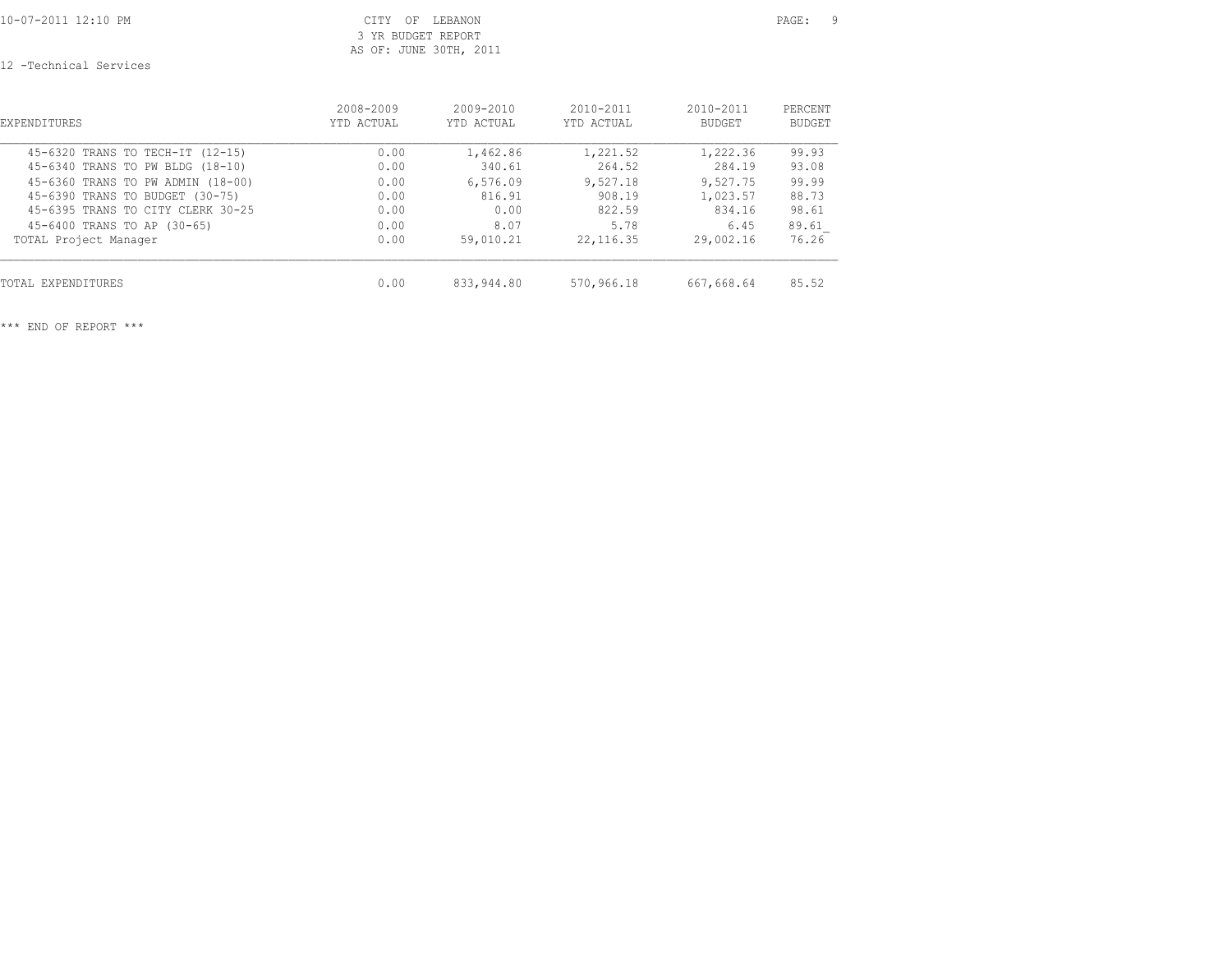10-07-2011 12:10 PM CITY OF LEBANON PAGE: 9 3 YR BUDGET REPORT AS OF: JUNE 30TH, 2011

12 -Technical Services

| EXPENDITURES                      | 2008-2009  | $2009 - 2010$ | $2010 - 2011$ | $2010 - 2011$ | PERCENT       |
|-----------------------------------|------------|---------------|---------------|---------------|---------------|
|                                   | YTD ACTUAL | YTD ACTUAL    | YTD ACTUAL    | <b>BUDGET</b> | <b>BUDGET</b> |
| 45-6320 TRANS TO TECH-IT (12-15)  | 0.00       | 1,462.86      | 1,221.52      | 1,222.36      | 99.93         |
| 45-6340 TRANS TO PW BLDG (18-10)  | 0.00       | 340.61        | 264.52        | 284.19        | 93.08         |
| 45-6360 TRANS TO PW ADMIN (18-00) | 0.00       | 6,576.09      | 9,527.18      | 9,527.75      | 99.99         |
| 45-6390 TRANS TO BUDGET (30-75)   | 0.00       | 816.91        | 908.19        | 1,023.57      | 88.73         |
| 45-6395 TRANS TO CITY CLERK 30-25 | 0.00       | 0.00          | 822.59        | 834.16        | 98.61         |
| 45-6400 TRANS TO AP (30-65)       | 0.00       | 8.07          | 5.78          | 6.45          | 89.61         |
| TOTAL Project Manager             | 0.00       | 59,010.21     | 22, 116.35    | 29,002.16     | 76.26         |
| TOTAL EXPENDITURES                | 0.00       | 833,944.80    | 570,966.18    | 667,668.64    | 85.52         |

\*\*\* END OF REPORT \*\*\*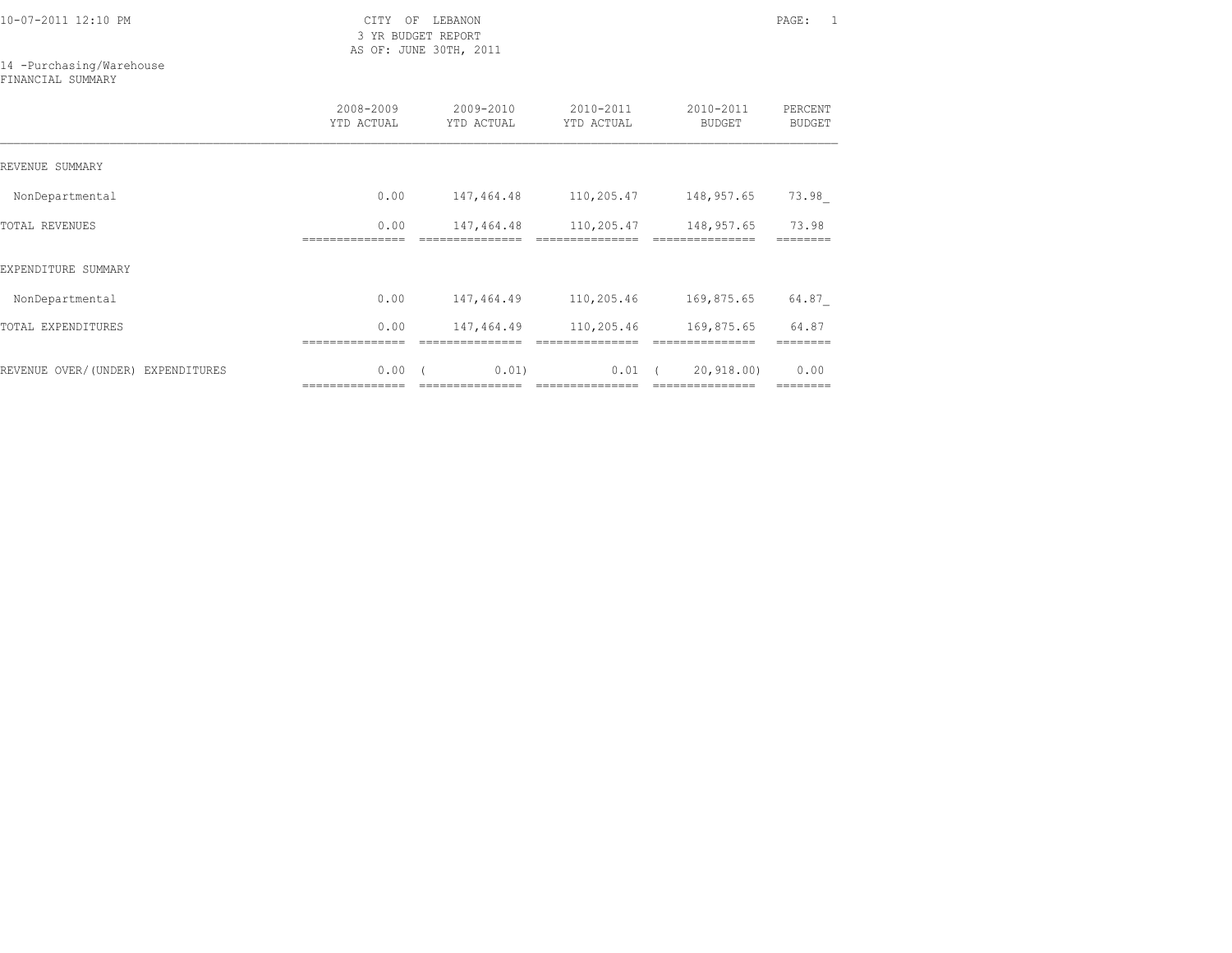3 YR BUDGET REPORT AS OF: JUNE 30TH, 2011

14 -Purchasing/Warehouse

FINANCIAL SUMMARY

|                                   | 2008-2009<br>YTD ACTUAL                                                                                                                                                                                                                                                                                                                                                                                                                                                                        | 2009-2010<br>YTD ACTUAL | 2010-2011<br>YTD ACTUAL                                                                                                                                                                                                                                                                                                                                                                                                                                                                        | 2010-2011<br><b>BUDGET</b>      | PERCENT<br><b>BUDGET</b> |
|-----------------------------------|------------------------------------------------------------------------------------------------------------------------------------------------------------------------------------------------------------------------------------------------------------------------------------------------------------------------------------------------------------------------------------------------------------------------------------------------------------------------------------------------|-------------------------|------------------------------------------------------------------------------------------------------------------------------------------------------------------------------------------------------------------------------------------------------------------------------------------------------------------------------------------------------------------------------------------------------------------------------------------------------------------------------------------------|---------------------------------|--------------------------|
| REVENUE SUMMARY                   |                                                                                                                                                                                                                                                                                                                                                                                                                                                                                                |                         |                                                                                                                                                                                                                                                                                                                                                                                                                                                                                                |                                 |                          |
| NonDepartmental                   | 0.00                                                                                                                                                                                                                                                                                                                                                                                                                                                                                           | 147,464.48              | 110,205.47                                                                                                                                                                                                                                                                                                                                                                                                                                                                                     | 148,957.65                      | 73.98                    |
| <b>TOTAL REVENUES</b>             | 0.00                                                                                                                                                                                                                                                                                                                                                                                                                                                                                           | 147,464.48              | 110,205.47                                                                                                                                                                                                                                                                                                                                                                                                                                                                                     | 148,957.65                      | 73.98                    |
| EXPENDITURE SUMMARY               |                                                                                                                                                                                                                                                                                                                                                                                                                                                                                                |                         |                                                                                                                                                                                                                                                                                                                                                                                                                                                                                                |                                 |                          |
| NonDepartmental                   | 0.00                                                                                                                                                                                                                                                                                                                                                                                                                                                                                           | 147,464.49              | 110,205.46                                                                                                                                                                                                                                                                                                                                                                                                                                                                                     | 169,875.65                      | 64.87                    |
| TOTAL EXPENDITURES                | 0.00                                                                                                                                                                                                                                                                                                                                                                                                                                                                                           | 147,464.49              | 110,205.46                                                                                                                                                                                                                                                                                                                                                                                                                                                                                     | 169,875.65                      | 64.87                    |
| REVENUE OVER/(UNDER) EXPENDITURES | 0.00<br>$\begin{array}{cccccccccc} \multicolumn{2}{c}{} & \multicolumn{2}{c}{} & \multicolumn{2}{c}{} & \multicolumn{2}{c}{} & \multicolumn{2}{c}{} & \multicolumn{2}{c}{} & \multicolumn{2}{c}{} & \multicolumn{2}{c}{} & \multicolumn{2}{c}{} & \multicolumn{2}{c}{} & \multicolumn{2}{c}{} & \multicolumn{2}{c}{} & \multicolumn{2}{c}{} & \multicolumn{2}{c}{} & \multicolumn{2}{c}{} & \multicolumn{2}{c}{} & \multicolumn{2}{c}{} & \multicolumn{2}{c}{} & \multicolumn{2}{c}{} & \mult$ | 0.01<br>=============== | 0.01<br>$\begin{array}{cccccccccccccc} \multicolumn{2}{c}{} & \multicolumn{2}{c}{} & \multicolumn{2}{c}{} & \multicolumn{2}{c}{} & \multicolumn{2}{c}{} & \multicolumn{2}{c}{} & \multicolumn{2}{c}{} & \multicolumn{2}{c}{} & \multicolumn{2}{c}{} & \multicolumn{2}{c}{} & \multicolumn{2}{c}{} & \multicolumn{2}{c}{} & \multicolumn{2}{c}{} & \multicolumn{2}{c}{} & \multicolumn{2}{c}{} & \multicolumn{2}{c}{} & \multicolumn{2}{c}{} & \multicolumn{2}{c}{} & \multicolumn{2}{c}{} & \$ | 20, 918, 00)<br>=============== | 0.00<br>========         |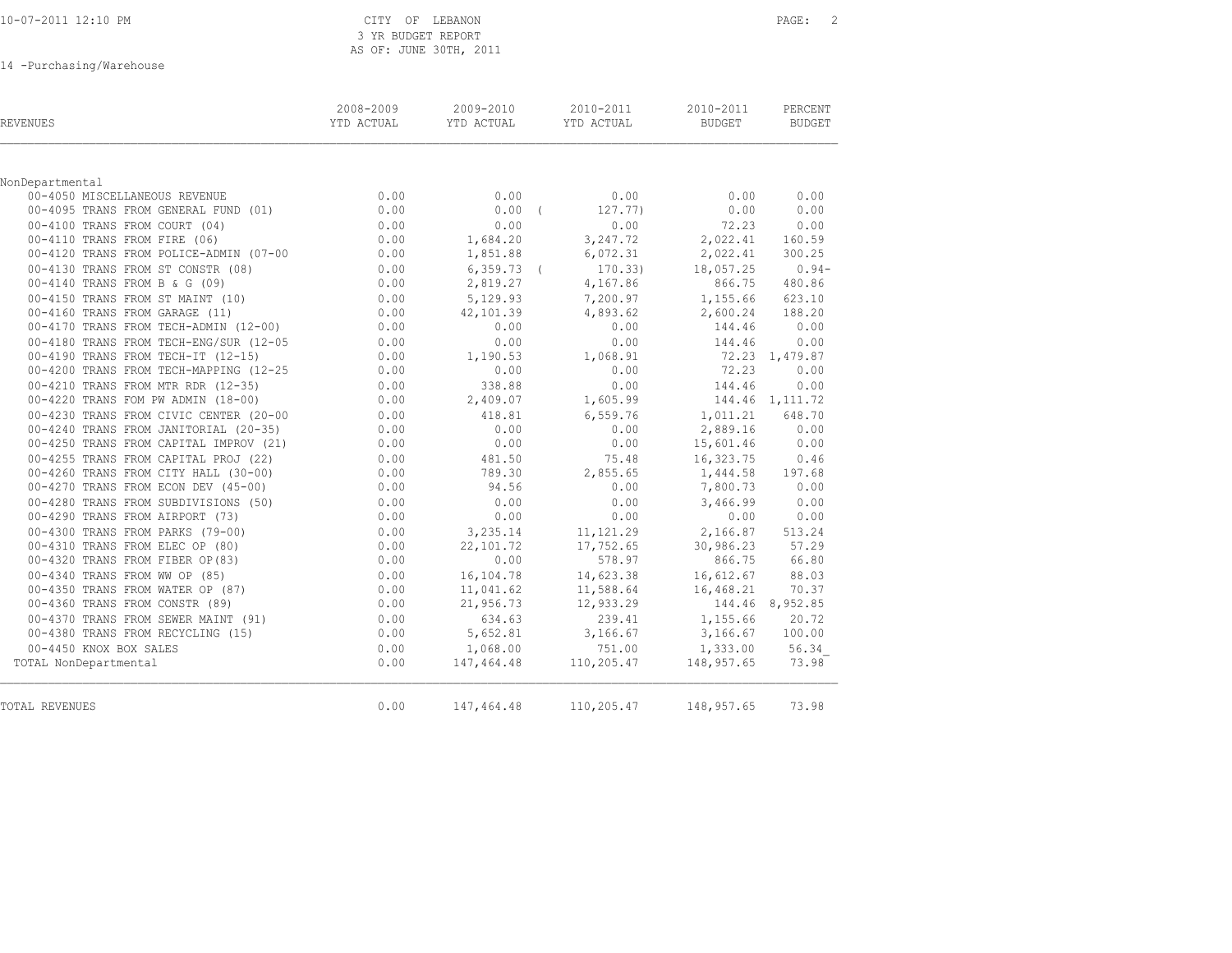|  |  |  |  |  | 10-07-2011 12:10 PM |  |
|--|--|--|--|--|---------------------|--|
|--|--|--|--|--|---------------------|--|

### CITY OF LEBANON **PAGE:** 2 3 YR BUDGET REPORT AS OF: JUNE 30TH, 2011

14 -Purchasing/Warehouse

| REVENUES                                    | 2008-2009<br>YTD ACTUAL | 2009-2010<br>YTD ACTUAL | 2010-2011<br>YTD ACTUAL | 2010-2011<br>BUDGET | PERCENT<br><b>BUDGET</b> |
|---------------------------------------------|-------------------------|-------------------------|-------------------------|---------------------|--------------------------|
|                                             |                         |                         |                         |                     |                          |
| NonDepartmental                             |                         |                         |                         |                     |                          |
| 00-4050 MISCELLANEOUS REVENUE               | 0.00                    | 0.00                    | 0.00                    | 0.00                | 0.00                     |
| 00-4095 TRANS FROM GENERAL FUND (01)        | 0.00                    | $0.00$ (                | 127.77)                 | 0.00                | 0.00                     |
| 00-4100 TRANS FROM COURT (04)               | 0.00                    | 0.00                    | 0.00                    | 72.23               | 0.00                     |
| 00-4110 TRANS FROM FIRE (06)                | 0.00                    | 1,684.20                | 3,247.72                | 2,022.41            | 160.59                   |
| 00-4120 TRANS FROM POLICE-ADMIN (07-00 0.00 |                         | 1,851.88                | 6,072.31                | 2,022.41            | 300.25                   |
| 00-4130 TRANS FROM ST CONSTR (08)           | 0.00                    | $6, 359, 73$ (          | 170.33)                 | 18,057.25           | $0.94-$                  |
| 00-4140 TRANS FROM B & G (09)               | 0.00                    | 2,819.27                | 4,167.86                | 866.75              | 480.86                   |
| 00-4150 TRANS FROM ST MAINT (10)            | 0.00                    | 5,129.93                | 7,200.97                | 1,155.66            | 623.10                   |
| 00-4160 TRANS FROM GARAGE (11)              | 0.00                    | 42,101.39               | 4,893.62                | 2,600.24            | 188.20                   |
| 00-4170 TRANS FROM TECH-ADMIN (12-00)       | 0.00                    | 0.00                    | 0.00                    | 144.46              | 0.00                     |
| 00-4180 TRANS FROM TECH-ENG/SUR (12-05      | 0.00                    | 0.00                    | 0.00                    | 144.46              | 0.00                     |
| 00-4190 TRANS FROM TECH-IT (12-15)          | 0.00                    | 1,190.53                | 1,068.91                |                     | 72.23 1,479.87           |
| 00-4200 TRANS FROM TECH-MAPPING (12-25      | 0.00                    | 0.00                    | 0.00                    | 72.23               | 0.00                     |
| 00-4210 TRANS FROM MTR RDR (12-35)          | 0.00                    | 338.88                  | 0.00                    | 144.46              | 0.00                     |
| 00-4220 TRANS FOM PW ADMIN (18-00)          | 0.00                    | 2,409.07                | 1,605.99                |                     | 144.46 1,111.72          |
| 00-4230 TRANS FROM CIVIC CENTER (20-00      | 0.00                    | 418.81                  | 6,559.76                | 1,011.21            | 648.70                   |
| 00-4240 TRANS FROM JANITORIAL (20-35)       | 0.00                    | 0.00                    | 0.00                    | 2,889.16            | 0.00                     |
| 00-4250 TRANS FROM CAPITAL IMPROV (21)      | 0.00                    | 0.00                    | 0.00                    | 15,601.46           | 0.00                     |
| 00-4255 TRANS FROM CAPITAL PROJ (22)        | 0.00                    | 481.50                  | 75.48                   | 16,323.75           | 0.46                     |
| 00-4260 TRANS FROM CITY HALL (30-00)        | 0.00                    | 789.30                  | 2,855.65                | 1,444.58            | 197.68                   |
| 00-4270 TRANS FROM ECON DEV (45-00)         | 0.00                    | 94.56                   | 0.00                    | 7,800.73            | 0.00                     |
| 00-4280 TRANS FROM SUBDIVISIONS (50)        | 0.00                    | 0.00                    | 0.00                    | 3,466.99            | 0.00                     |
| 00-4290 TRANS FROM AIRPORT (73)             | 0.00                    | 0.00                    | 0.00                    | 0.00                | 0.00                     |
| 00-4300 TRANS FROM PARKS (79-00)            | 0.00                    | 3,235.14                | 11, 121. 29             | 2,166.87            | 513.24                   |
| 00-4310 TRANS FROM ELEC OP (80)             | 0.00                    | 22,101.72               | 17,752.65               | 30,986.23           | 57.29                    |
| 00-4320 TRANS FROM FIBER OP (83)            | 0.00                    | 0.00                    | 578.97                  | 866.75              | 66.80                    |
| 00-4340 TRANS FROM WW OP (85)               | 0.00                    | 16,104.78               | 14,623.38               | 16,612.67           | 88.03                    |
| 00-4350 TRANS FROM WATER OP (87)            | 0.00                    | 11,041.62               | 11,588.64               | 16,468.21           | 70.37                    |
| 00-4360 TRANS FROM CONSTR (89)              | 0.00                    | 21,956.73               | 12,933.29               |                     | 144.46 8,952.85          |
| 00-4370 TRANS FROM SEWER MAINT (91)         | 0.00                    | 634.63                  | 239.41                  | 1,155.66            | 20.72                    |
| 00-4380 TRANS FROM RECYCLING (15)           | 0.00                    | 5,652.81                | 3,166.67                | 3,166.67            | 100.00                   |
| 00-4450 KNOX BOX SALES                      | 0.00                    | 1,068.00                | 751.00                  | 1,333.00            | 56.34                    |
| TOTAL NonDepartmental                       | 0.00                    | 147,464.48              | 110,205.47              | 148,957.65          | 73.98                    |
| TOTAL REVENUES                              | 0.00                    | 147,464.48              | 110,205.47 148,957.65   |                     | 73.98                    |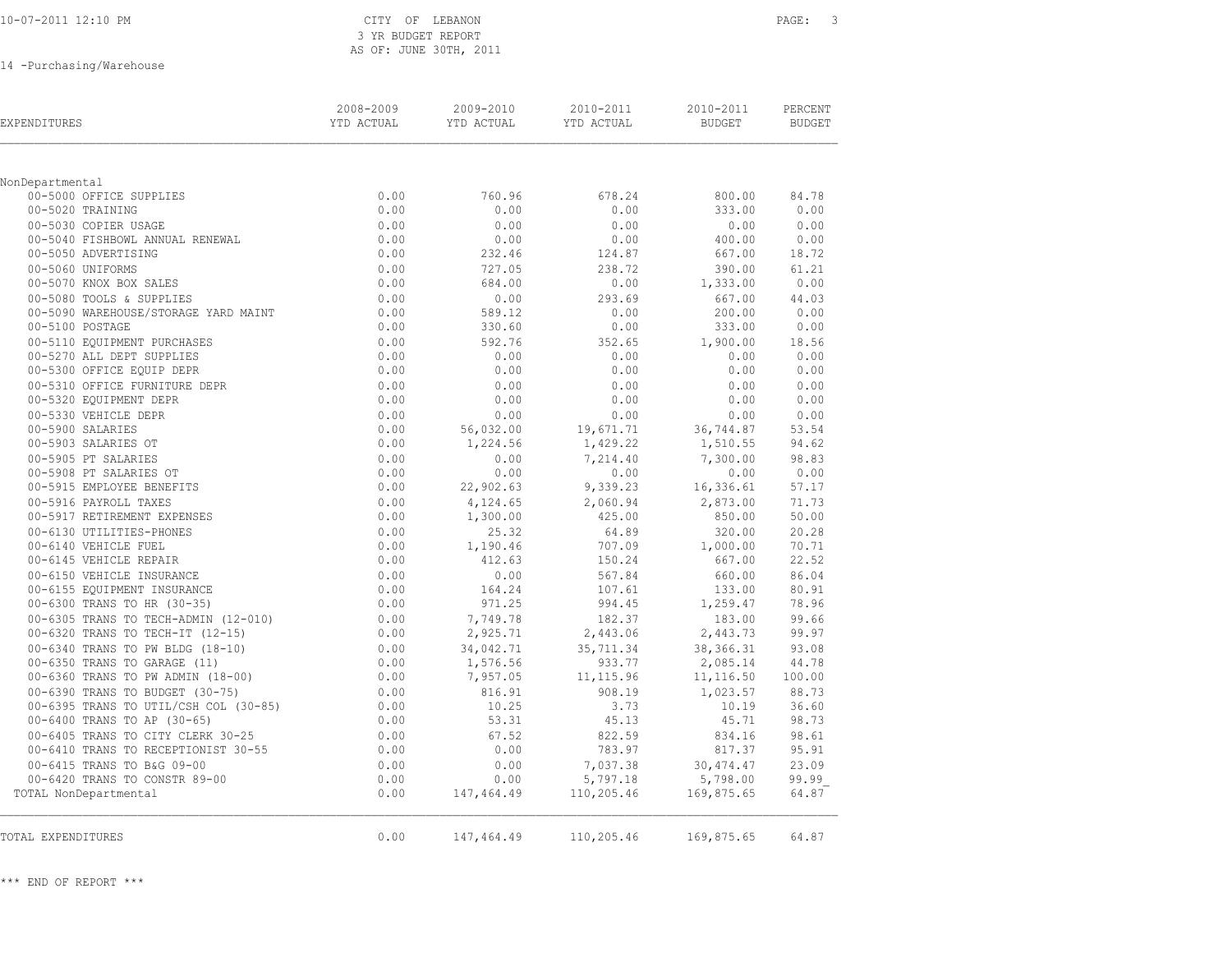| 10-07-2011 12:10 PM |  |
|---------------------|--|
|---------------------|--|

### CITY OF LEBANON PAGE: 3 3 YR BUDGET REPORT AS OF: JUNE 30TH, 2011

14 -Purchasing/Warehouse

| <b>EXPENDITURES</b>                           | 2008-2009<br>YTD ACTUAL | 2009-2010<br>YTD ACTUAL | 2010-2011<br>YTD ACTUAL | 2010-2011<br>BUDGET | PERCENT<br>BUDGET |
|-----------------------------------------------|-------------------------|-------------------------|-------------------------|---------------------|-------------------|
|                                               |                         |                         |                         |                     |                   |
| NonDepartmental                               |                         |                         |                         |                     |                   |
| 00-5000 OFFICE SUPPLIES                       | 0.00                    | 760.96                  | 678.24                  | 800.00              | 84.78             |
| 00-5020 TRAINING                              | 0.00                    | 0.00                    | 0.00                    | 333.00              | 0.00              |
| 00-5030 COPIER USAGE                          | 0.00                    | 0.00                    | 0.00                    | 0.00                | 0.00              |
| 00-5040 FISHBOWL ANNUAL RENEWAL               | 0.00                    | 0.00                    | 0.00                    | 400.00              | 0.00              |
| 00-5050 ADVERTISING                           | 0.00                    | 232.46                  | 124.87                  | 667.00              | 18.72             |
| 00-5060 UNIFORMS                              | 0.00                    | 727.05                  | 238.72                  | 390.00              | 61.21             |
| 00-5070 KNOX BOX SALES                        | 0.00                    | 684.00                  | 0.00                    | 1,333.00            | 0.00              |
| 00-5080 TOOLS & SUPPLIES                      | 0.00                    | 0.00                    | 293.69                  | 667.00              | 44.03             |
| 00-5090 WAREHOUSE/STORAGE YARD MAINT          | 0.00                    | 589.12                  | 0.00                    | 200.00              | 0.00              |
| 00-5100 POSTAGE                               | 0.00                    | 330.60                  | 0.00                    | 333.00              | 0.00              |
| 00-5110 EOUIPMENT PURCHASES                   | 0.00                    | 592.76                  | 352.65                  | 1,900.00            | 18.56             |
| 00-5270 ALL DEPT SUPPLIES                     | 0.00                    | 0.00                    | 0.00                    | 0.00<br>0.00        | 0.00<br>0.00      |
| 00-5300 OFFICE EQUIP DEPR                     | 0.00                    | 0.00                    | 0.00                    |                     |                   |
| 00-5310 OFFICE FURNITURE DEPR                 | 0.00                    | 0.00                    | 0.00<br>0.00            | 0.00                | 0.00              |
| 00-5320 EQUIPMENT DEPR                        | 0.00                    | 0.00                    |                         | 0.00                | 0.00              |
| 00-5330 VEHICLE DEPR<br>00-5900 SALARIES      | 0.00                    | 0.00                    | 0.00                    | 0.00                | 0.00<br>53.54     |
| 00-5903 SALARIES OT                           | 0.00<br>0.00            | 56,032.00               | 19,671.71               | 36,744.87           | 94.62             |
|                                               | 0.00                    | 1,224.56                | 1,429.22                | 1,510.55            | 98.83             |
| 00-5905 PT SALARIES<br>00-5908 PT SALARIES OT | 0.00                    | 0.00<br>0.00            | 7,214.40<br>0.00        | 7,300.00<br>0.00    | 0.00              |
| 00-5915 EMPLOYEE BENEFITS                     | 0.00                    | 22,902.63               | 9,339.23                | 16,336.61           | 57.17             |
| 00-5916 PAYROLL TAXES                         | 0.00                    | 4,124.65                | 2,060.94                | 2,873.00            | 71.73             |
| 00-5917 RETIREMENT EXPENSES                   | 0.00                    | 1,300.00                | 425.00                  | 850.00              | 50.00             |
| 00-6130 UTILITIES-PHONES                      | 0.00                    | 25.32                   | 64.89                   | 320.00              | 20.28             |
| 00-6140 VEHICLE FUEL                          | 0.00                    | 1,190.46                | 707.09                  | 1,000.00            | 70.71             |
| 00-6145 VEHICLE REPAIR                        | 0.00                    | 412.63                  | 150.24                  | 667.00              | 22.52             |
| 00-6150 VEHICLE INSURANCE                     | 0.00                    | 0.00                    | 567.84                  | 660.00              | 86.04             |
| 00-6155 EQUIPMENT INSURANCE                   | 0.00                    | 164.24                  | 107.61                  | 133.00              | 80.91             |
| 00-6300 TRANS TO HR (30-35)                   | 0.00                    | 971.25                  | 994.45                  | 1,259.47            | 78.96             |
| 00-6305 TRANS TO TECH-ADMIN (12-010)          | 0.00                    | 7,749.78                | 182.37                  | 183.00              | 99.66             |
| 00-6320 TRANS TO TECH-IT (12-15)              | 0.00                    | 2,925.71                | 2,443.06                | 2,443.73            | 99.97             |
| 00-6340 TRANS TO PW BLDG (18-10)              | 0.00                    | 34,042.71               | 35,711.34               | 38, 366. 31         | 93.08             |
| 00-6350 TRANS TO GARAGE (11)                  | 0.00                    | 1,576.56                | 933.77                  | 2,085.14            | 44.78             |
| 00-6360 TRANS TO PW ADMIN (18-00)             | 0.00                    | 7,957.05                | 11, 115.96              | 11, 116.50          | 100.00            |
| 00-6390 TRANS TO BUDGET (30-75)               | 0.00                    | 816.91                  | 908.19                  | 1,023.57            | 88.73             |
| 00-0395 TRANS TO UTIL/CSH COL (30-85)         | 0.00                    | 10.25                   | 3.73                    | 10.19               | 36.60             |
| 00-6400 TRANS TO AP (30-65)                   | 0.00                    | 53.31                   | 45.13                   | 45.71               | 98.73             |
| 00-6405 TRANS TO CITY CLERK 30-25             | 0.00                    | 67.52                   | 822.59                  | 834.16              | 98.61             |
| 00-6410 TRANS TO RECEPTIONIST 30-55           | 0.00                    | 0.00                    | 783.97                  | 817.37              | 95.91             |
| 00-6415 TRANS TO B&G 09-00                    | 0.00                    | 0.00                    | 7,037.38                | 30, 474.47          | 23.09             |
| 00-6420 TRANS TO CONSTR 89-00                 | 0.00                    | 0.00                    | 5,797.18                | 5,798.00            | 99.99             |
| TOTAL NonDepartmental                         | 0.00                    | 147,464.49              | 110,205.46              | 169,875.65          | 64.87             |
| TOTAL EXPENDITURES                            | 0.00                    | 147,464.49              | 110,205.46              | 169,875.65          | 64.87             |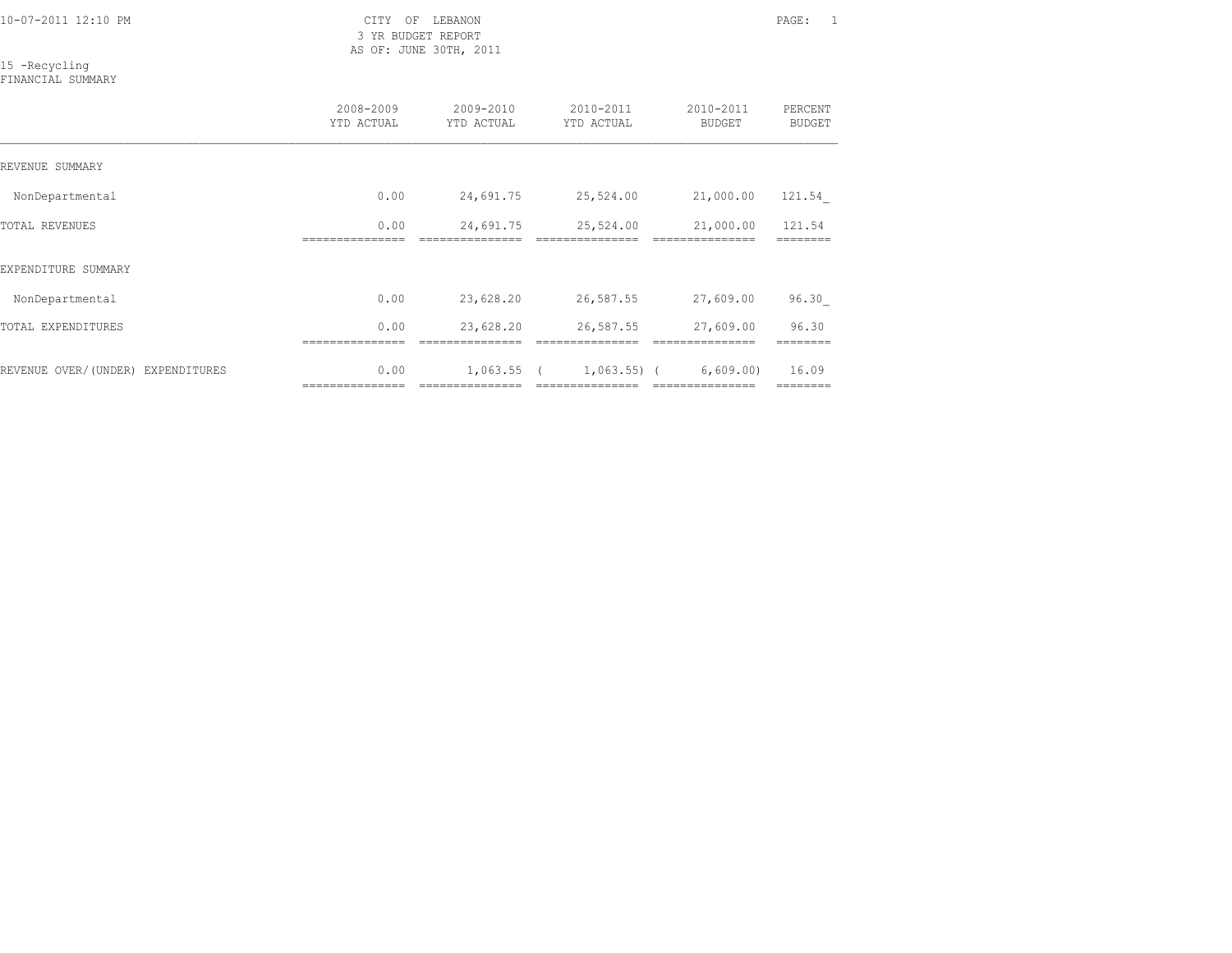3 YR BUDGET REPORT AS OF: JUNE 30TH, 2011

## 15 -Recycling

FINANCIAL SUMMARY

|                                   | 2008-2009<br>YTD ACTUAL  | 2009-2010<br>YTD ACTUAL        | 2010-2011<br>YTD ACTUAL           | 2010-2011<br><b>BUDGET</b>   | PERCENT<br><b>BUDGET</b> |
|-----------------------------------|--------------------------|--------------------------------|-----------------------------------|------------------------------|--------------------------|
| REVENUE SUMMARY                   |                          |                                |                                   |                              |                          |
| NonDepartmental                   | 0.00                     | 24,691.75                      | 25,524.00                         | 21,000.00                    | 121.54                   |
| TOTAL REVENUES                    | 0.00<br>------------     | 24,691.75                      | 25,524.00                         | 21,000.00                    | 121.54                   |
| EXPENDITURE SUMMARY               |                          |                                |                                   |                              |                          |
| NonDepartmental                   | 0.00                     | 23,628.20                      | 26,587.55                         | 27,609.00                    | 96.30                    |
| TOTAL EXPENDITURES                | 0.00                     | 23,628.20                      | 26,587.55                         | 27,609.00                    | 96.30                    |
| REVENUE OVER/(UNDER) EXPENDITURES | 0.00<br>================ | 1,063.55 (<br>---------------- | $1,063.55)$ (<br>---------------- | 6,609.00<br>---------------- | 16.09<br>========        |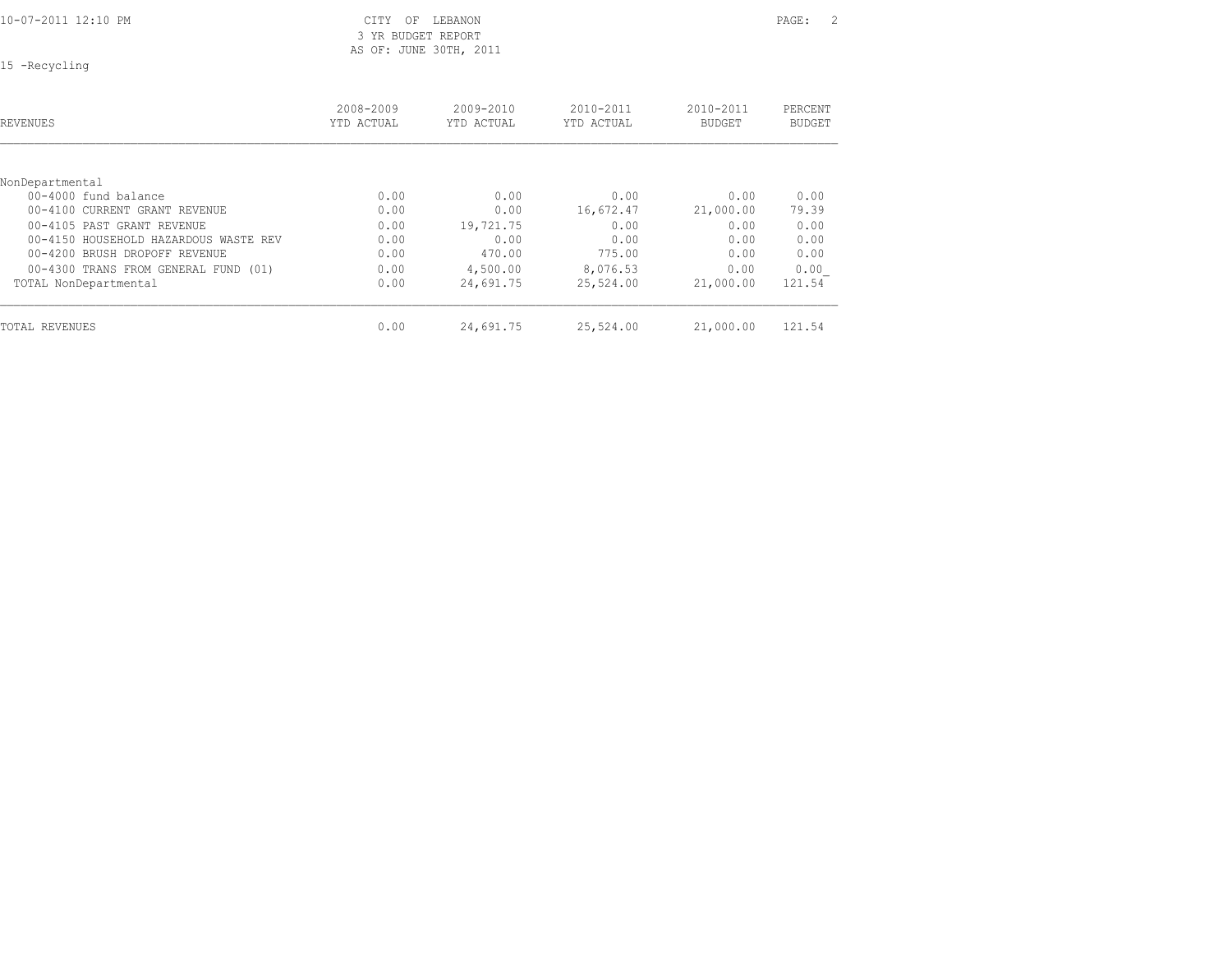| 10-07-2011 12:10 PM |  |  |
|---------------------|--|--|
|                     |  |  |

CITY OF LEBANON PAGE: 2 3 YR BUDGET REPORT AS OF: JUNE 30TH, 2011

15 -Recycling

| <b>REVENUES</b>                       | 2008-2009<br>YTD ACTUAL | $2009 - 2010$<br>YTD ACTUAL | $2010 - 2011$<br>YTD ACTUAL | $2010 - 2011$<br><b>BUDGET</b> | PERCENT<br><b>BUDGET</b> |
|---------------------------------------|-------------------------|-----------------------------|-----------------------------|--------------------------------|--------------------------|
| NonDepartmental                       |                         |                             |                             |                                |                          |
| $00-4000$ fund balance                | 0.00                    | 0.00                        | 0.00                        | 0.00                           | 0.00                     |
| 00-4100 CURRENT GRANT REVENUE         | 0.00                    | 0.00                        | 16,672.47                   | 21,000.00                      | 79.39                    |
| 00-4105 PAST GRANT REVENUE            | 0.00                    | 19,721.75                   | 0.00                        | 0.00                           | 0.00                     |
| 00-4150 HOUSEHOLD HAZARDOUS WASTE REV | 0.00                    | 0.00                        | 0.00                        | 0.00                           | 0.00                     |
| 00-4200 BRUSH DROPOFF REVENUE         | 0.00                    | 470.00                      | 775.00                      | 0.00                           | 0.00                     |
| 00-4300 TRANS FROM GENERAL FUND (01)  | 0.00                    | 4,500.00                    | 8,076.53                    | 0.00                           | 0.00                     |
| TOTAL NonDepartmental                 | 0.00                    | 24,691.75                   | 25,524.00                   | 21,000.00                      | 121.54                   |
| TOTAL REVENUES                        | 0.00                    | 24,691.75                   | 25,524.00                   | 21,000.00                      | 121.54                   |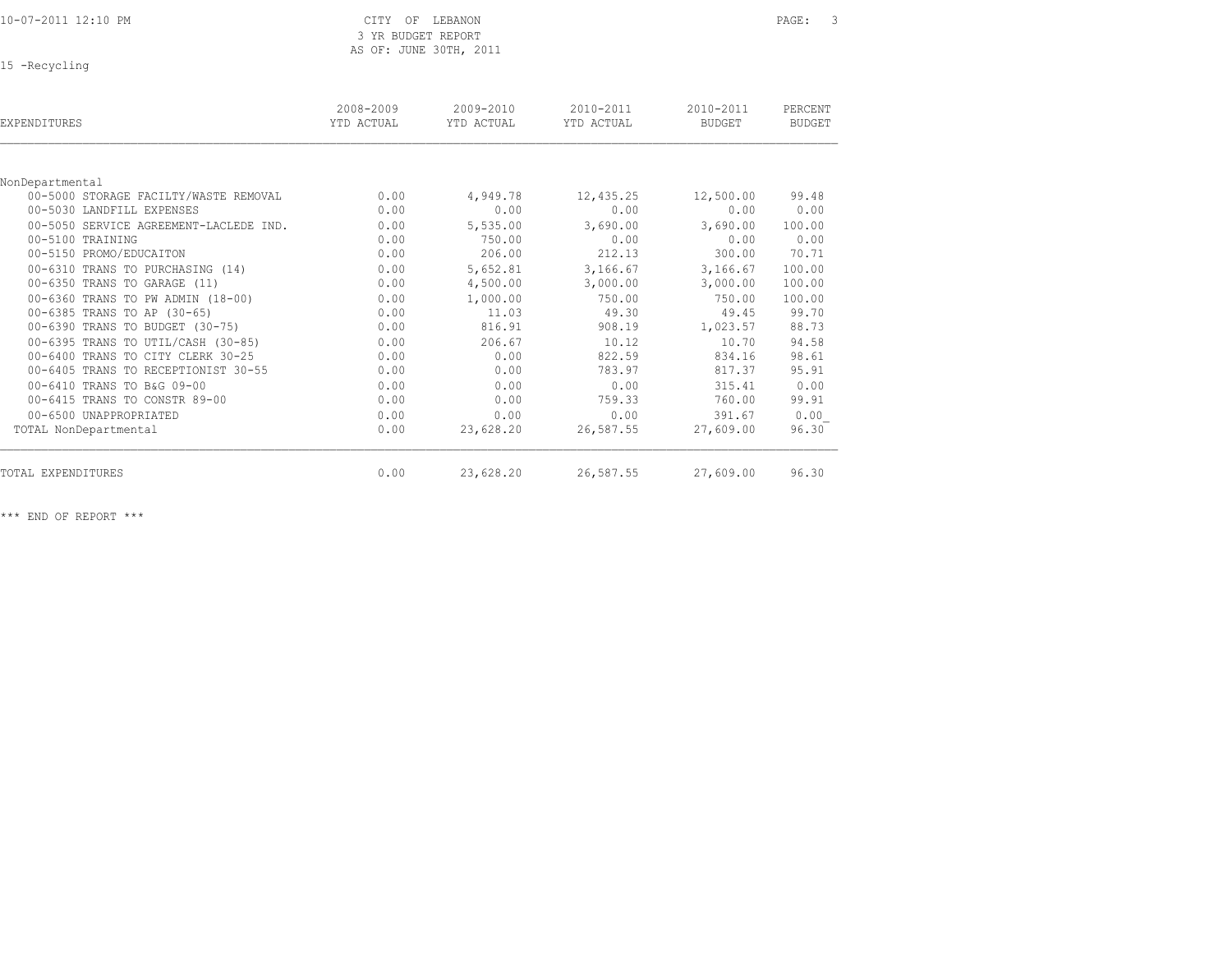# 3 YR BUDGET REPORT AS OF: JUNE 30TH, 2011

15 -Recycling

| <b>EXPENDITURES</b>                    | 2008-2009<br>YTD ACTUAL | 2009-2010<br>YTD ACTUAL | 2010-2011<br>YTD ACTUAL | 2010-2011<br><b>BUDGET</b> | PERCENT<br><b>BUDGET</b> |
|----------------------------------------|-------------------------|-------------------------|-------------------------|----------------------------|--------------------------|
|                                        |                         |                         |                         |                            |                          |
| NonDepartmental                        |                         |                         |                         |                            |                          |
| 00-5000 STORAGE FACILTY/WASTE REMOVAL  | 0.00                    | 4,949.78                | 12,435.25               | 12,500.00                  | 99.48                    |
| 00-5030 LANDFILL EXPENSES              | 0.00                    | 0.00                    | 0.00                    | 0.00                       | 0.00                     |
| 00-5050 SERVICE AGREEMENT-LACLEDE IND. | 0.00                    | 5,535.00                | 3,690.00                | 3,690.00                   | 100.00                   |
| 00-5100 TRAINING                       | 0.00                    | 750.00                  | 0.00                    | 0.00                       | 0.00                     |
| 00-5150 PROMO/EDUCAITON                | 0.00                    | 206.00                  | 212.13                  | 300.00                     | 70.71                    |
| 00-6310 TRANS TO PURCHASING (14)       | 0.00                    | 5,652.81                | 3,166.67                | 3,166.67                   | 100.00                   |
| 00-6350 TRANS TO GARAGE (11)           | 0.00                    | 4,500.00                | 3,000.00                | 3,000.00                   | 100.00                   |
| 00-6360 TRANS TO PW ADMIN (18-00)      | 0.00                    | 1,000.00                | 750.00                  | 750.00                     | 100.00                   |
| 00-6385 TRANS TO AP (30-65)            | 0.00                    | 11.03                   | 49.30                   | 49.45                      | 99.70                    |
| 00-6390 TRANS TO BUDGET (30-75)        | 0.00                    | 816.91                  | 908.19                  | 1,023.57                   | 88.73                    |
| 00-6395 TRANS TO UTIL/CASH (30-85)     | 0.00                    | 206.67                  | 10.12                   | 10.70                      | 94.58                    |
| 00-6400 TRANS TO CITY CLERK 30-25      | 0.00                    | 0.00                    | 822.59                  | 834.16                     | 98.61                    |
| 00-6405 TRANS TO RECEPTIONIST 30-55    | 0.00                    | 0.00                    | 783.97                  | 817.37                     | 95.91                    |
| 00-6410 TRANS TO B&G 09-00             | 0.00                    | 0.00                    | 0.00                    | 315.41                     | 0.00                     |
| 00-6415 TRANS TO CONSTR 89-00          | 0.00                    | 0.00                    | 759.33                  | 760.00                     | 99.91                    |
| 00-6500 UNAPPROPRIATED                 | 0.00                    | 0.00                    | 0.00                    | 391.67                     | 0.00                     |
| TOTAL NonDepartmental                  | 0.00                    | 23,628.20               | 26,587.55               | 27,609.00                  | 96.30                    |
| TOTAL EXPENDITURES                     | 0.00                    | 23,628.20               | 26,587.55               | 27,609.00                  | 96.30                    |

\*\*\* END OF REPORT \*\*\*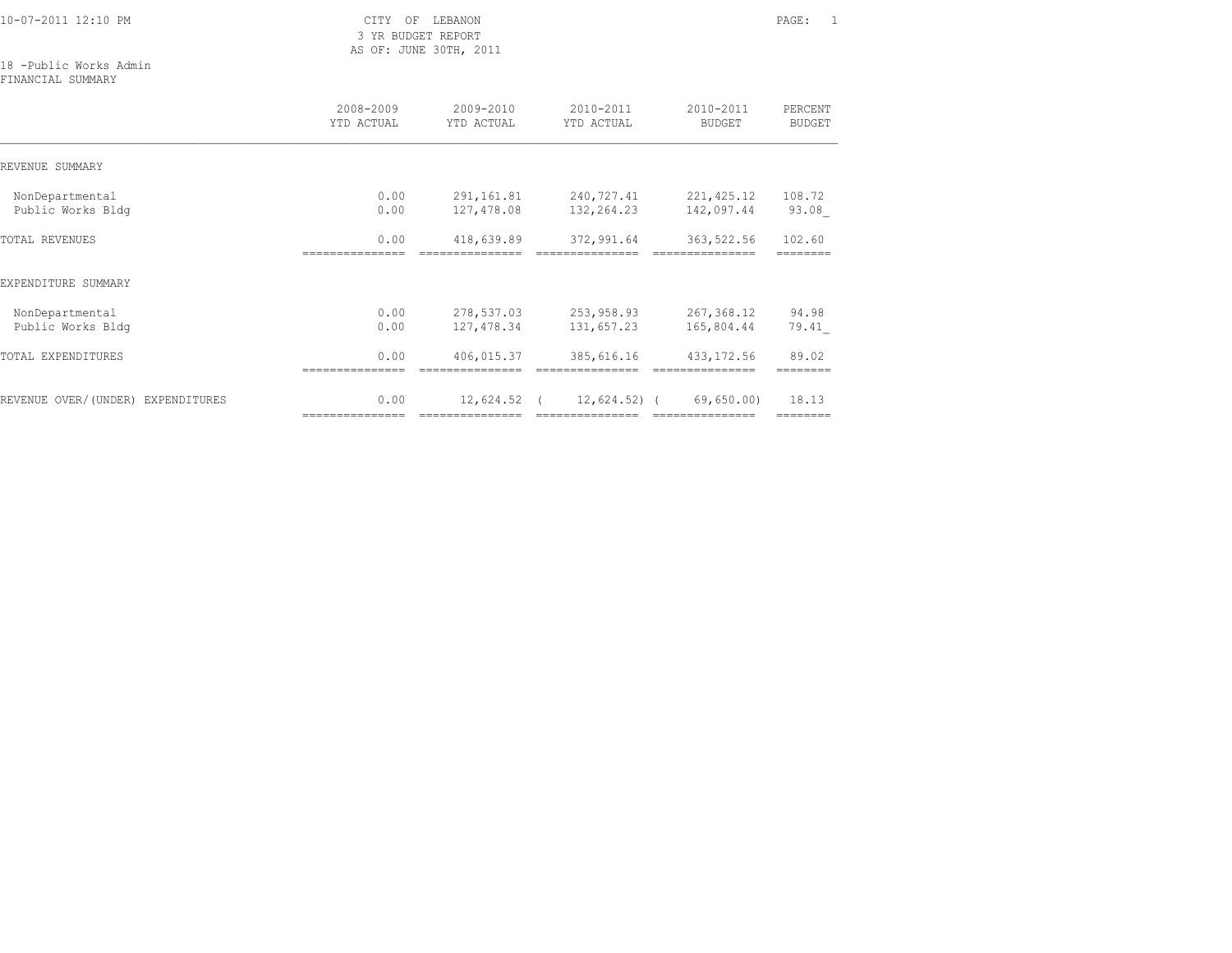3 YR BUDGET REPORT AS OF: JUNE 30TH, 2011

### 18 -Public Works Admin

FINANCIAL SUMMARY

|                                      | 2008-2009<br>YTD ACTUAL | 2009-2010<br>YTD ACTUAL          | 2010-2011<br>YTD ACTUAL         | 2010-2011<br><b>BUDGET</b>    | PERCENT<br><b>BUDGET</b> |
|--------------------------------------|-------------------------|----------------------------------|---------------------------------|-------------------------------|--------------------------|
| REVENUE SUMMARY                      |                         |                                  |                                 |                               |                          |
| NonDepartmental<br>Public Works Bldg | 0.00<br>0.00            | 291,161.81<br>127,478.08         | 240,727.41<br>132,264.23        | 221, 425.12<br>142,097.44     | 108.72<br>93.08          |
| <b>TOTAL REVENUES</b>                | 0.00                    | 418,639.89                       | 372,991.64                      | 363,522.56                    | 102.60                   |
| EXPENDITURE SUMMARY                  |                         |                                  |                                 |                               |                          |
| NonDepartmental<br>Public Works Bldg | 0.00<br>0.00            | 278,537.03<br>127,478.34         | 253,958.93<br>131,657.23        | 267,368.12<br>165,804.44      | 94.98<br>79.41           |
| <b>TOTAL EXPENDITURES</b>            | 0.00                    | 406,015.37                       | 385,616.16                      | 433, 172.56                   | 89.02                    |
| REVENUE OVER/(UNDER) EXPENDITURES    | 0.00<br>=============== | $12,624.52$ (<br>=============== | 12,624.52) (<br>=============== | 69,650.00<br>---------------- | 18.13                    |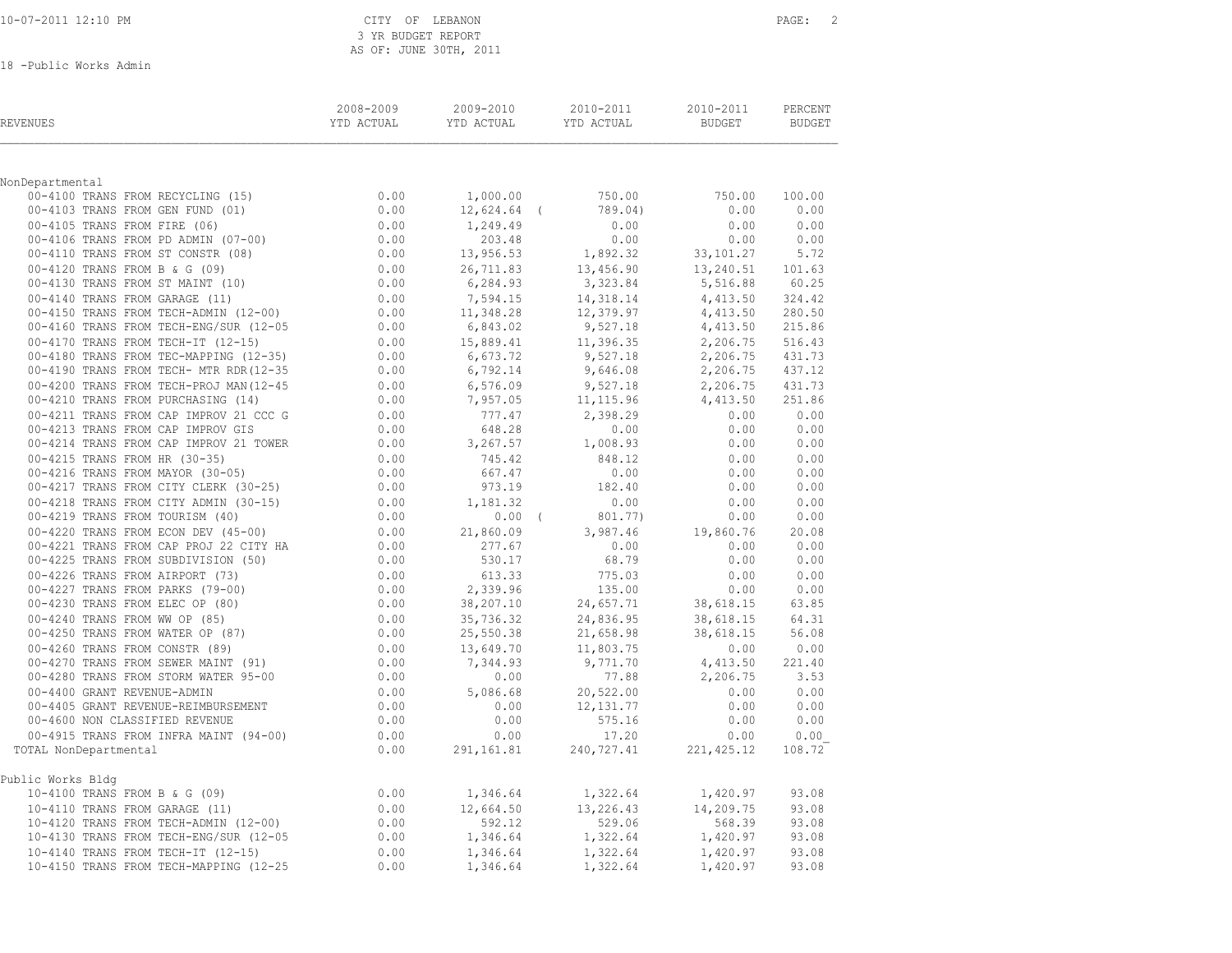### 10-07-2011 12:10 PM CITY OF LEBANON PAGE: 2 3 YR BUDGET REPORT AS OF: JUNE 30TH, 2011

18 -Public Works Admin

| <b>REVENUES</b>                                                                                                                                                                                                                          | 2008-2009 | 2009-2010        | 2010-2011 2010-2011                                                                |                                                                                             | PERCENT   |
|------------------------------------------------------------------------------------------------------------------------------------------------------------------------------------------------------------------------------------------|-----------|------------------|------------------------------------------------------------------------------------|---------------------------------------------------------------------------------------------|-----------|
|                                                                                                                                                                                                                                          |           |                  |                                                                                    |                                                                                             |           |
| NonDepartmental                                                                                                                                                                                                                          |           | 1,000.00         | 750.00                                                                             | 750.00                                                                                      | 100.00    |
|                                                                                                                                                                                                                                          |           | 12,624.64 (      | 789.04)                                                                            | $0.00$ $0.00$                                                                               |           |
|                                                                                                                                                                                                                                          |           | 1,249.49         | 0.00                                                                               | 0.00                                                                                        | 0.00      |
|                                                                                                                                                                                                                                          |           | 203.48           | 0.00                                                                               |                                                                                             | 0.00 0.00 |
|                                                                                                                                                                                                                                          |           | 13,956.53        | 1,892.32                                                                           | 33,101.27                                                                                   | 5.72      |
|                                                                                                                                                                                                                                          |           |                  |                                                                                    |                                                                                             |           |
|                                                                                                                                                                                                                                          |           | 6, 284.93        | 26,711.83 13,456.90<br>6.284.93 3,323.84                                           | 13,456.90<br>$3,456.90$<br>$3,516.88$<br>$5,516.88$<br>$3,240.31$<br>$5,516.88$<br>$304.42$ |           |
|                                                                                                                                                                                                                                          |           | 7,594.15         | 14,318.14                                                                          | 4,413.50                                                                                    | 324.42    |
|                                                                                                                                                                                                                                          |           |                  |                                                                                    |                                                                                             | 280.50    |
|                                                                                                                                                                                                                                          |           |                  | $11,348.28$<br>$12,379.97$<br>$1,413.50$<br>$6,843.02$<br>$9,527.18$<br>$1,413.50$ |                                                                                             | 215.86    |
|                                                                                                                                                                                                                                          |           |                  | 15,889.41 11,396.35 2,206.75<br>6,673.72 9,527.18 2,206.75                         |                                                                                             | 516.43    |
|                                                                                                                                                                                                                                          |           |                  |                                                                                    |                                                                                             | 431.73    |
|                                                                                                                                                                                                                                          |           | 6,792.14         | 9,646.08                                                                           | 2,206.75                                                                                    | 437.12    |
|                                                                                                                                                                                                                                          |           |                  | 6,576.09 9,527.18 2,206.75<br>7,957.05 11,115.96 4,413.50                          |                                                                                             | 431.73    |
|                                                                                                                                                                                                                                          |           |                  |                                                                                    |                                                                                             | 251.86    |
|                                                                                                                                                                                                                                          |           |                  |                                                                                    | 0.00                                                                                        | 0.00      |
|                                                                                                                                                                                                                                          |           | 777.47<br>648.28 | $2,398.29$<br>0.00                                                                 | 0.00                                                                                        | 0.00      |
|                                                                                                                                                                                                                                          |           | 3,267.57         | 1,008.93                                                                           | 0.00                                                                                        | 0.00      |
|                                                                                                                                                                                                                                          |           | 745.42<br>667.47 | 848.12                                                                             | $0.00$<br>$0.00$                                                                            | 0.00      |
|                                                                                                                                                                                                                                          |           |                  | 0.00                                                                               |                                                                                             | 0.00      |
|                                                                                                                                                                                                                                          |           | 973.19           | 182.40                                                                             | 0.00                                                                                        | 0.00      |
|                                                                                                                                                                                                                                          |           | 1,181.32         | 0.00                                                                               | 0.00                                                                                        | 0.00      |
|                                                                                                                                                                                                                                          |           | $0.00$ (         | 801.77)                                                                            | 0.00                                                                                        | 0.00      |
|                                                                                                                                                                                                                                          |           | 21,860.09        | 3,987.46                                                                           | 19,860.76                                                                                   | 20.08     |
|                                                                                                                                                                                                                                          |           | 277.67           | 0.00                                                                               | $0.00$ $0.00$                                                                               |           |
|                                                                                                                                                                                                                                          |           | 530.17           | 68.79                                                                              | 0.00                                                                                        | 0.00      |
|                                                                                                                                                                                                                                          |           | 613.33           | 775.03                                                                             | 0.00                                                                                        | 0.00      |
|                                                                                                                                                                                                                                          |           | 2,339.96         | 135.00                                                                             | 0.00                                                                                        | 0.00      |
|                                                                                                                                                                                                                                          |           | 38,207.10        | 24,657.71                                                                          | 38,618.15                                                                                   | 63.85     |
|                                                                                                                                                                                                                                          |           | 35,736.32        | 24,836.95                                                                          | 38,618.15                                                                                   | 64.31     |
|                                                                                                                                                                                                                                          |           | 25,550.38        | 21,658.98                                                                          | 38,618.15                                                                                   | 56.08     |
|                                                                                                                                                                                                                                          |           |                  | 13,649.70 11,803.75<br>7,344.93 9,771.70                                           | $0.00$ $0.00$<br>4,413.50 221.40                                                            | 0.00 0.00 |
|                                                                                                                                                                                                                                          |           | 0.00             |                                                                                    | 2,206.75                                                                                    | 3.53      |
|                                                                                                                                                                                                                                          |           |                  | 77.88<br>20,522.00                                                                 |                                                                                             |           |
|                                                                                                                                                                                                                                          |           | 5,086.68<br>0.00 | 12, 131.77                                                                         | 0.00 0.00<br>0.00                                                                           | 0.00      |
|                                                                                                                                                                                                                                          |           | 0.00             | 575.16                                                                             | 0.00                                                                                        | 0.00      |
|                                                                                                                                                                                                                                          |           | 0.00             | 17.20                                                                              | 0.00                                                                                        | 0.00      |
| TOTAL NonDepartmental                                                                                                                                                                                                                    |           | 291,161.81       | 240,727.41                                                                         | 221, 425.12                                                                                 | 108.72    |
|                                                                                                                                                                                                                                          |           |                  |                                                                                    |                                                                                             |           |
| Public Works Bldg                                                                                                                                                                                                                        |           |                  |                                                                                    |                                                                                             |           |
|                                                                                                                                                                                                                                          |           | 1,346.64         | 1,322.64                                                                           | 1,420.97                                                                                    | 93.08     |
|                                                                                                                                                                                                                                          |           | 12,664.50        | 13,226.43                                                                          | 14,209.75                                                                                   | 93.08     |
|                                                                                                                                                                                                                                          |           | 592.12           | 529.06                                                                             | 568.39                                                                                      | 93.08     |
|                                                                                                                                                                                                                                          |           | 1,346.64         |                                                                                    | 1,322.64 1,420.97                                                                           | 93.08     |
|                                                                                                                                                                                                                                          |           | 1,346.64         | 1,322.64                                                                           | 1,420.97                                                                                    | 93.08     |
| 110-4100 TRANS FROM B & G (09) 0.00<br>10-4110 TRANS FROM GARAGE (11) 0.00<br>10-4120 TRANS FROM TECH-ADMIN (12-00) 0.00<br>10-4130 TRANS FROM TECH-ENG/SUR (12-05 0.00<br>10-4140 TRANS FROM TECH-IT (12-15) 0.00<br>10-4150 TRANS FROM |           | 1,346.64         | 1,322.64                                                                           | 1,420.97                                                                                    | 93.08     |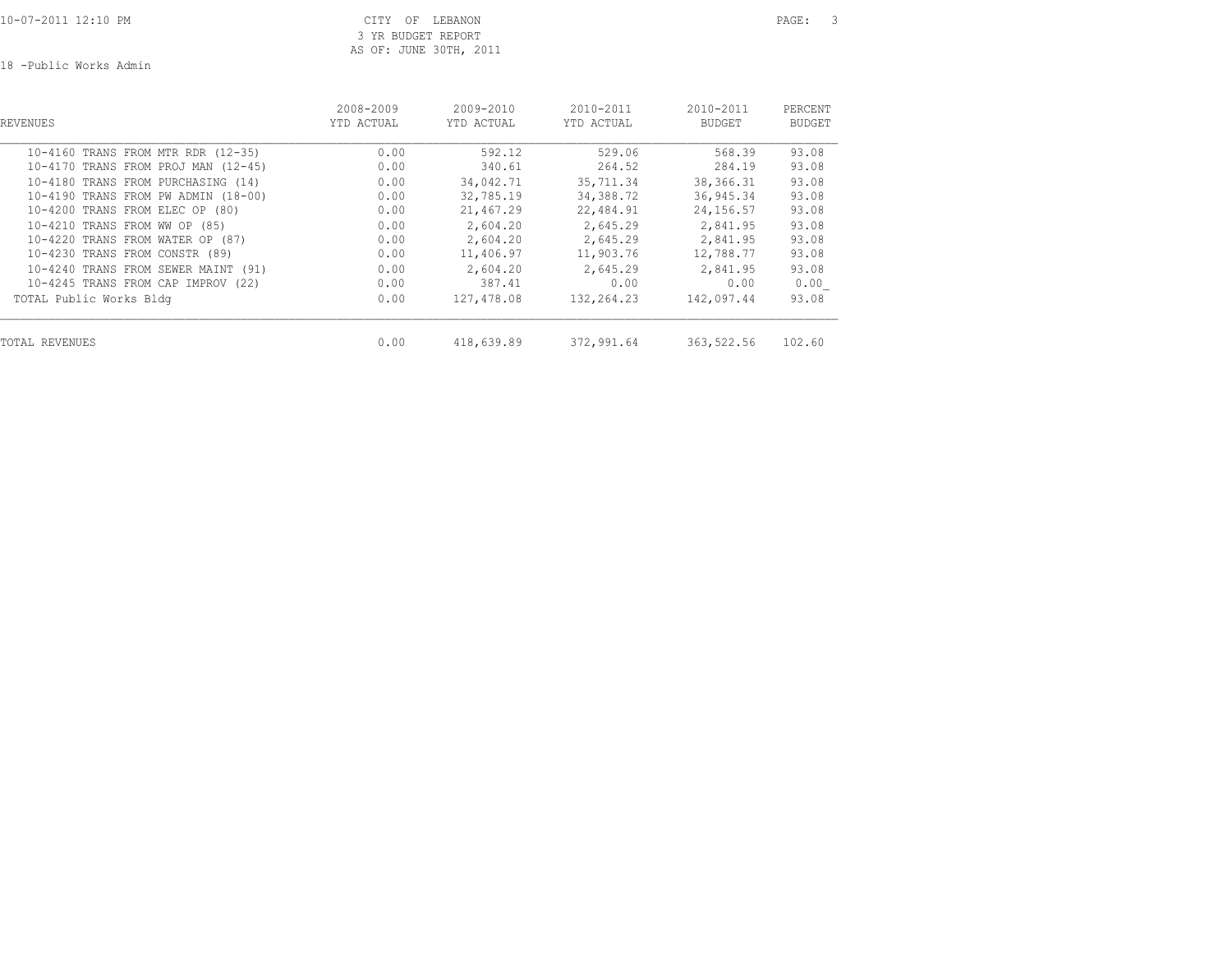10-07-2011 12:10 PM CITY OF LEBANON PAGE: 3 3 YR BUDGET REPORT AS OF: JUNE 30TH, 2011

18 -Public Works Admin

| REVENUES                            | 2008-2009<br>YTD ACTUAL | $2009 - 2010$<br>YTD ACTUAL | $2010 - 2011$<br>YTD ACTUAL | 2010-2011<br><b>BUDGET</b> | PERCENT<br><b>BUDGET</b> |
|-------------------------------------|-------------------------|-----------------------------|-----------------------------|----------------------------|--------------------------|
| 10-4160 TRANS FROM MTR RDR (12-35)  | 0.00                    | 592.12                      | 529.06                      | 568.39                     | 93.08                    |
| 10-4170 TRANS FROM PROJ MAN (12-45) | 0.00                    | 340.61                      | 264.52                      | 284.19                     | 93.08                    |
| 10-4180 TRANS FROM PURCHASING (14)  | 0.00                    | 34,042.71                   | 35,711.34                   | 38, 366. 31                | 93.08                    |
| 10-4190 TRANS FROM PW ADMIN (18-00) | 0.00                    | 32,785.19                   | 34,388.72                   | 36,945.34                  | 93.08                    |
| 10-4200 TRANS FROM ELEC OP (80)     | 0.00                    | 21,467.29                   | 22,484.91                   | 24,156.57                  | 93.08                    |
| 10-4210 TRANS FROM WW OP (85)       | 0.00                    | 2,604.20                    | 2,645.29                    | 2,841.95                   | 93.08                    |
| 10-4220 TRANS FROM WATER OP (87)    | 0.00                    | 2,604.20                    | 2,645.29                    | 2,841.95                   | 93.08                    |
| 10-4230 TRANS FROM CONSTR (89)      | 0.00                    | 11,406.97                   | 11,903.76                   | 12,788.77                  | 93.08                    |
| 10-4240 TRANS FROM SEWER MAINT (91) | 0.00                    | 2,604.20                    | 2,645.29                    | 2,841.95                   | 93.08                    |
| 10-4245 TRANS FROM CAP IMPROV (22)  | 0.00                    | 387.41                      | 0.00                        | 0.00                       | 0.00                     |
| TOTAL Public Works Bldg             | 0.00                    | 127,478.08                  | 132,264.23                  | 142,097.44                 | 93.08                    |
| <b>TOTAL REVENUES</b>               | 0.00                    | 418,639.89                  | 372,991.64                  | 363,522.56                 | 102.60                   |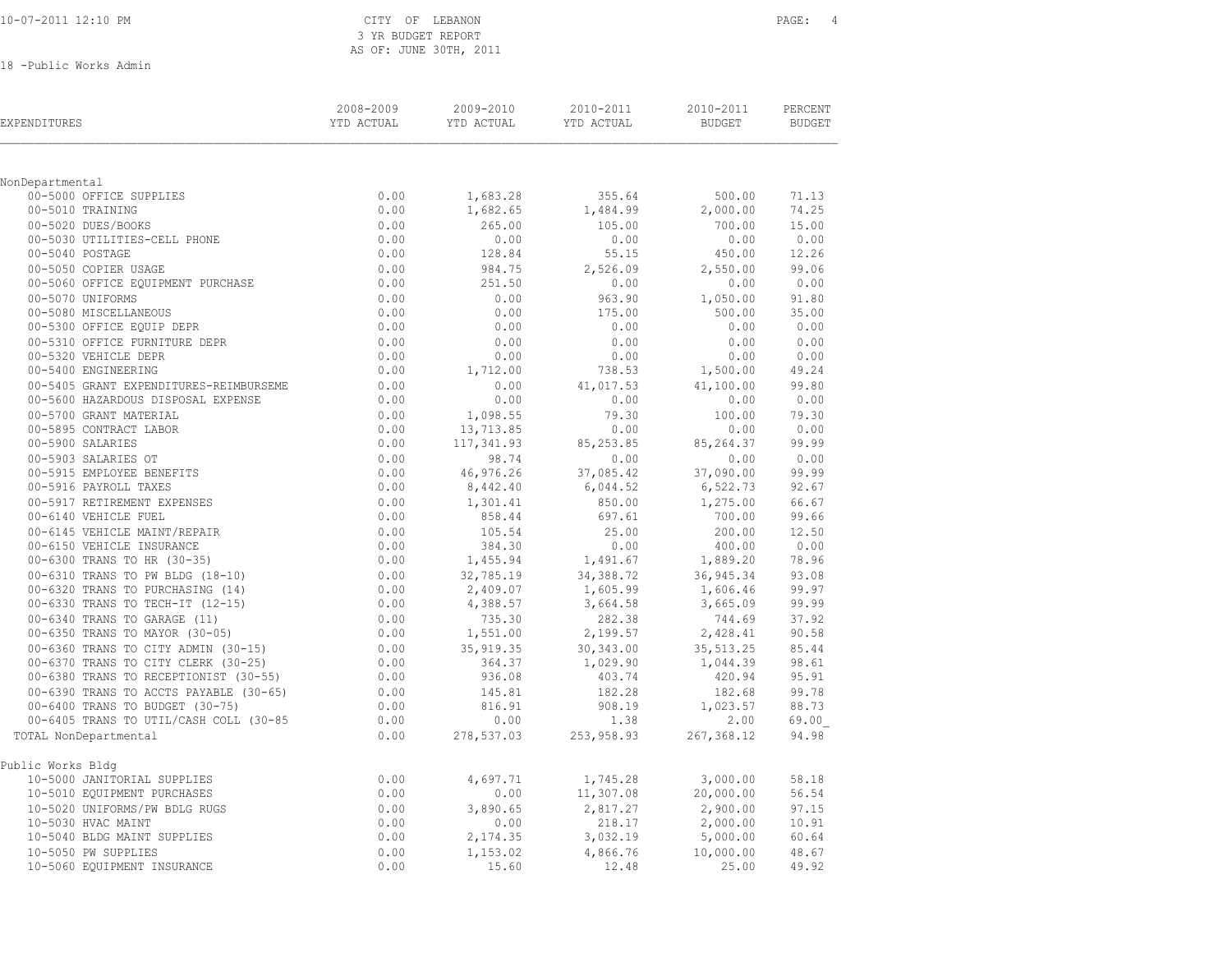| 10-07-2011 12:10 PM |  |
|---------------------|--|
|                     |  |

### CITY OF LEBANON PAGE: 4 3 YR BUDGET REPORT AS OF: JUNE 30TH, 2011

18 -Public Works Admin

| EXPENDITURES                                                                 | 2008-2009<br>YTD ACTUAL | 2009-2010<br>YTD ACTUAL | 2010-2011<br>YTD ACTUAL | 2010-2011<br><b>BUDGET</b> | PERCENT<br><b>BUDGET</b> |
|------------------------------------------------------------------------------|-------------------------|-------------------------|-------------------------|----------------------------|--------------------------|
|                                                                              |                         |                         |                         |                            |                          |
| NonDepartmental                                                              |                         |                         |                         |                            |                          |
| 00-5000 OFFICE SUPPLIES                                                      | 0.00                    | 1,683.28                | 355.64                  | 500.00                     | 71.13                    |
| 00-5010 TRAINING                                                             | 0.00                    | 1,682.65                | 1,484.99                | 2,000.00                   | 74.25                    |
| 00-5020 DUES/BOOKS                                                           | 0.00                    | 265.00                  | 105.00                  | 700.00                     | 15.00                    |
| 00-5030 UTILITIES-CELL PHONE                                                 | 0.00                    | 0.00                    | 0.00                    | 0.00                       | 0.00                     |
| 00-5040 POSTAGE                                                              | 0.00                    | 128.84                  | 55.15                   | 450.00                     | 12.26                    |
| 00-5050 COPIER USAGE                                                         | 0.00                    | 984.75                  | 2,526.09                | 2,550.00                   | 99.06<br>0.00            |
| 00-5060 OFFICE EQUIPMENT PURCHASE                                            | 0.00                    | 251.50                  | 0.00                    | 0.00                       |                          |
| 00-5070 UNIFORMS                                                             | 0.00                    | 0.00                    | 963.90                  | 1,050.00                   | 91.80                    |
| 00-5080 MISCELLANEOUS<br>00-5300 OFFICE EQUIP DEPR                           | 0.00<br>0.00            | 0.00<br>0.00            | 175.00<br>0.00          | 500.00<br>0.00             | 35.00<br>0.00            |
|                                                                              |                         |                         |                         |                            |                          |
| 00-5310 OFFICE FURNITURE DEPR<br>00-5320 VEHICLE DEPR                        | 0.00<br>0.00            | 0.00<br>0.00            | 0.00                    | 0.00                       | 0.00<br>0.00             |
| 00-5400 ENGINEERING                                                          | 0.00                    |                         | 0.00<br>738.53          | 0.00                       | 49.24                    |
|                                                                              |                         | 1,712.00                |                         | 1,500.00                   | 99.80                    |
| 00-5405 GRANT EXPENDITURES-REIMBURSEME<br>00-5600 HAZARDOUS DISPOSAL EXPENSE | 0.00<br>0.00            | 0.00<br>0.00            | 41,017.53<br>0.00       | 41,100.00<br>0.00          | 0.00                     |
| 00-5700 GRANT MATERIAL                                                       |                         | 1,098.55                |                         |                            | 79.30                    |
| 00-5895 CONTRACT LABOR                                                       | 0.00<br>0.00            | 13,713.85               | 79.30<br>0.00           | 100.00<br>0.00             | 0.00                     |
| 00-5900 SALARIES                                                             | 0.00                    | 117,341.93              | 85, 253.85              | 85, 264.37                 | 99.99                    |
| 00-5903 SALARIES OT                                                          | 0.00                    | 98.74                   |                         |                            | 0.00                     |
| 00-5915 EMPLOYEE BENEFITS                                                    | 0.00                    | 46,976.26               | 0.00<br>37,085.42       | 0.00<br>37,090.00          | 99.99                    |
| 00-5916 PAYROLL TAXES                                                        | 0.00                    | 8,442.40                | 6,044.52                | 6,522.73                   | 92.67                    |
| 00-5917 RETIREMENT EXPENSES                                                  | 0.00                    | 1,301.41                | 850.00                  | 1,275.00                   | 66.67                    |
| 00-6140 VEHICLE FUEL                                                         | 0.00                    | 858.44                  | 697.61                  | 700.00                     | 99.66                    |
| 00-6145 VEHICLE MAINT/REPAIR                                                 | 0.00                    | 105.54                  | 25.00                   | 200.00                     | 12.50                    |
| 00-6150 VEHICLE INSURANCE                                                    | 0.00                    | 384.30                  | 0.00                    | 400.00                     | 0.00                     |
| 00-6300 TRANS TO HR (30-35)                                                  | 0.00                    | 1,455.94                | 1,491.67                | 1,889.20                   | 78.96                    |
|                                                                              | 0.00                    | 32,785.19               |                         | 36, 945.34                 | 93.08                    |
| 00-6310 TRANS TO PW BLDG (18-10)<br>00-6320 TRANS TO PURCHASING (14)         | 0.00                    | 2,409.07                | 34,388.72<br>1,605.99   | 1,606.46                   | 99.97                    |
| 00-6330 TRANS TO TECH-IT (12-15)                                             | 0.00                    | 4,388.57                | 3,664.58                | 3,665.09                   | 99.99                    |
| 00-6340 TRANS TO GARAGE (11)                                                 | 0.00                    | 735.30                  | 282.38                  | 744.69                     | 37.92                    |
| 00-6350 TRANS TO MAYOR (30-05)                                               | 0.00                    | 1,551.00                | 2,199.57                | 2,428.41                   | 90.58                    |
| 00-6360 TRANS TO CITY ADMIN (30-15)                                          | 0.00                    | 35, 919.35              | 30,343.00               | 35, 513.25                 | 85.44                    |
| 00-6370 TRANS TO CITY CLERK (30-25)                                          | 0.00                    | 364.37                  | 1,029.90                | 1,044.39                   | 98.61                    |
| 00-6380 TRANS TO RECEPTIONIST (30-55)                                        | 0.00                    | 936.08                  | 403.74                  | 420.94                     | 95.91                    |
| 00-6390 TRANS TO ACCTS PAYABLE (30-65)                                       | 0.00                    | 145.81                  | 182.28                  | 182.68                     | 99.78                    |
| 00-6400 TRANS TO BUDGET (30-75)                                              | 0.00                    | 816.91                  | 908.19                  | 1,023.57                   | 88.73                    |
| 00-6405 TRANS TO UTIL/CASH COLL (30-85                                       | 0.00                    | 0.00                    | 1.38                    | 2.00                       | 69.00                    |
| TOTAL NonDepartmental                                                        | 0.00                    | 278,537.03              | 253,958.93              | 267, 368.12                | 94.98                    |
|                                                                              |                         |                         |                         |                            |                          |
| Public Works Bldq                                                            |                         |                         |                         |                            |                          |
| 10-5000 JANITORIAL SUPPLIES                                                  | 0.00                    | 4,697.71                | 1,745.28                | 3,000.00                   | 58.18                    |
| 10-5010 EQUIPMENT PURCHASES                                                  | 0.00                    | 0.00                    | 11,307.08               | 20,000.00                  | 56.54                    |
| 10-5020 UNIFORMS/PW BDLG RUGS                                                | 0.00                    | 3,890.65                | 2,817.27                | 2,900.00                   | 97.15                    |
| 10-5030 HVAC MAINT                                                           | 0.00                    | 0.00                    | 218.17                  | 2,000.00                   | 10.91                    |
| 10-5040 BLDG MAINT SUPPLIES                                                  | 0.00                    | 2,174.35                | 3,032.19                | 5,000.00                   | 60.64                    |
| 10-5050 PW SUPPLIES                                                          | 0.00                    | 1,153.02                | 4,866.76                | 10,000.00                  | 48.67                    |
| 10-5060 EOUIPMENT INSURANCE                                                  | 0.00                    | 15.60                   | 12.48                   | 25.00                      | 49.92                    |
|                                                                              |                         |                         |                         |                            |                          |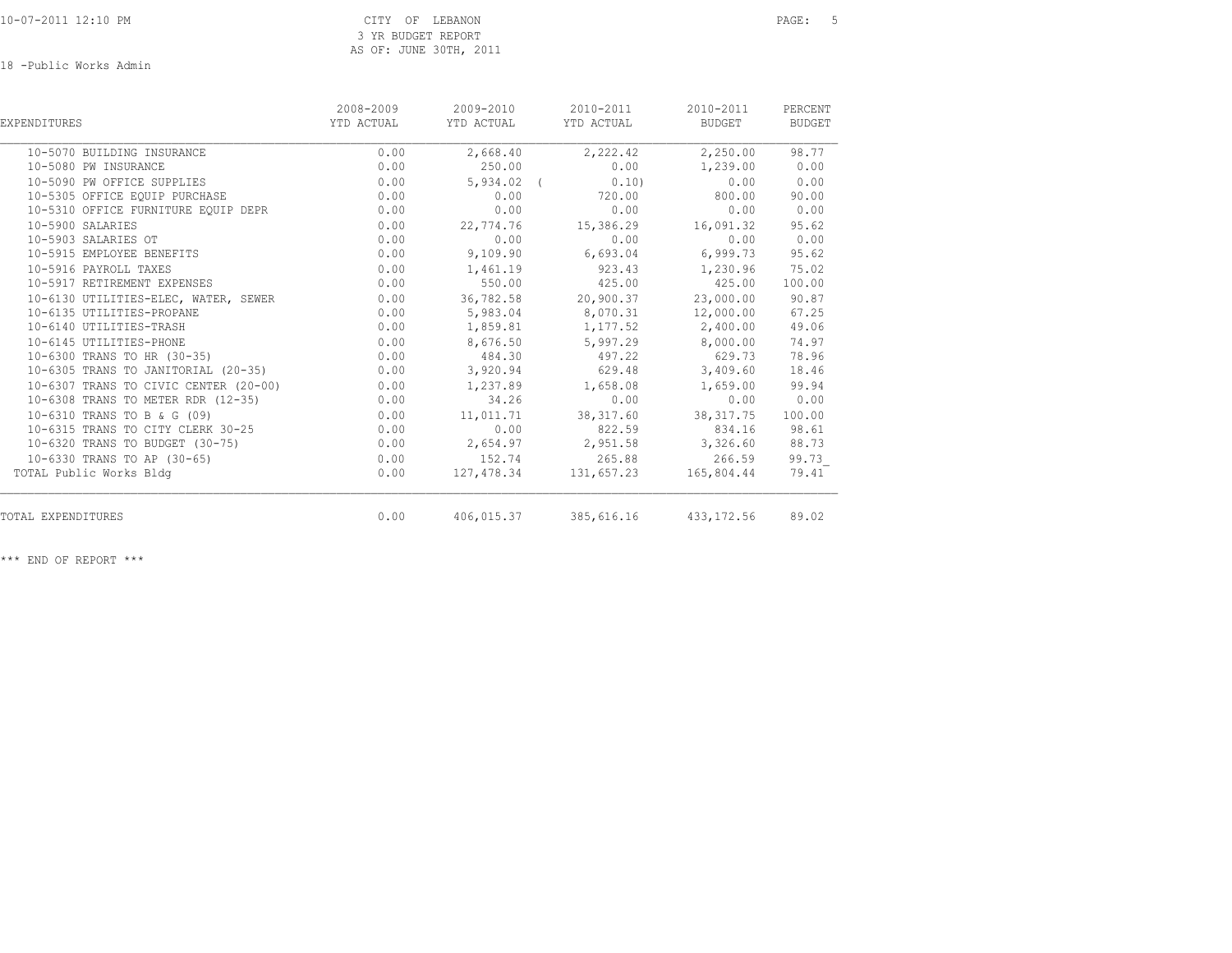18 -Public Works Admin

| EXPENDITURES                          | 2008-2009<br>YTD ACTUAL | 2009-2010<br>YTD ACTUAL | 2010-2011<br>YTD ACTUAL          | 2010-2011<br>BUDGET | PERCENT<br><b>BUDGET</b> |
|---------------------------------------|-------------------------|-------------------------|----------------------------------|---------------------|--------------------------|
| 10-5070 BUILDING INSURANCE            | 0.00                    | 2,668.40                | 2,222.42                         | 2,250.00            | 98.77                    |
| 10-5080 PW INSURANCE                  | 0.00                    | 250.00                  | 0.00                             | 1,239.00            | 0.00                     |
| 10-5090 PW OFFICE SUPPLIES            | 0.00                    | $5,934.02$ (            | 0.10                             | 0.00                | 0.00                     |
| 10-5305 OFFICE EQUIP PURCHASE         | 0.00                    | 0.00                    | 720.00                           | 800.00              | 90.00                    |
| 10-5310 OFFICE FURNITURE EQUIP DEPR   | 0.00                    | 0.00                    | 0.00                             | 0.00                | 0.00                     |
| 10-5900 SALARIES                      | 0.00                    | 22,774.76               | 15,386.29 16,091.32              |                     | 95.62                    |
| 10-5903 SALARIES OT                   | 0.00                    | 0.00                    | 0.00                             | 0.00                | 0.00                     |
| 10-5915 EMPLOYEE BENEFITS             | 0.00                    | 9,109.90                | 6,693.04                         | 6,999.73            | 95.62                    |
| 10-5916 PAYROLL TAXES                 | 0.00                    |                         | 1,461.19 923.43                  | 1,230.96            | 75.02                    |
| 10-5917 RETIREMENT EXPENSES           | 0.00                    | 550.00                  | 425.00                           | 425.00              | 100.00                   |
| 10-6130 UTILITIES-ELEC, WATER, SEWER  | 0.00                    |                         | 36,782.58 20,900.37              | 23,000.00           | 90.87                    |
| 10-6135 UTILITIES-PROPANE             | 0.00                    |                         | 5,983.04 8,070.31                | 12,000.00           | 67.25                    |
| 10-6140 UTILITIES-TRASH               | 0.00                    | 1,859.81                | 1,177.52                         | 2,400.00            | 49.06                    |
| 10-6145 UTILITIES-PHONE               | 0.00                    | 8,676.50                | 5,997.29                         | 8,000.00            | 74.97                    |
| 10-6300 TRANS TO HR (30-35)           | 0.00                    | 484.30                  | 497.22                           | 629.73              | 78.96                    |
| 10-6305 TRANS TO JANITORIAL (20-35)   | 0.00                    |                         | 3,920.94 629.48                  | 3,409.60            | 18.46                    |
| 10-6307 TRANS TO CIVIC CENTER (20-00) | 0.00                    | 1,237.89                | 1,658.08                         | 1,659.00            | 99.94                    |
| 10-6308 TRANS TO METER RDR (12-35)    | 0.00                    | 34.26                   | 0.00                             | 0.00                | 0.00                     |
| 10-6310 TRANS TO B & G (09)           | 0.00                    | 11,011.71               | 38, 317.60                       | 38, 317.75          | 100.00                   |
| 10-6315 TRANS TO CITY CLERK 30-25     | 0.00                    | 0.00                    | 822.59                           | 834.16              | 98.61                    |
| 10-6320 TRANS TO BUDGET (30-75)       | 0.00                    |                         | 2,654.97 2,951.58 3,326.60       |                     | 88.73                    |
| 10-6330 TRANS TO AP (30-65)           | 0.00                    |                         | 152.74 265.88                    | 266.59              | 99.73                    |
| TOTAL Public Works Bldg               | 0.00                    |                         | 127,478.34 131,657.23            | 165,804.44          | 79.41                    |
| TOTAL EXPENDITURES                    | 0.00                    |                         | 406,015.37 385,616.16 433,172.56 |                     | 89.02                    |

\*\*\* END OF REPORT \*\*\*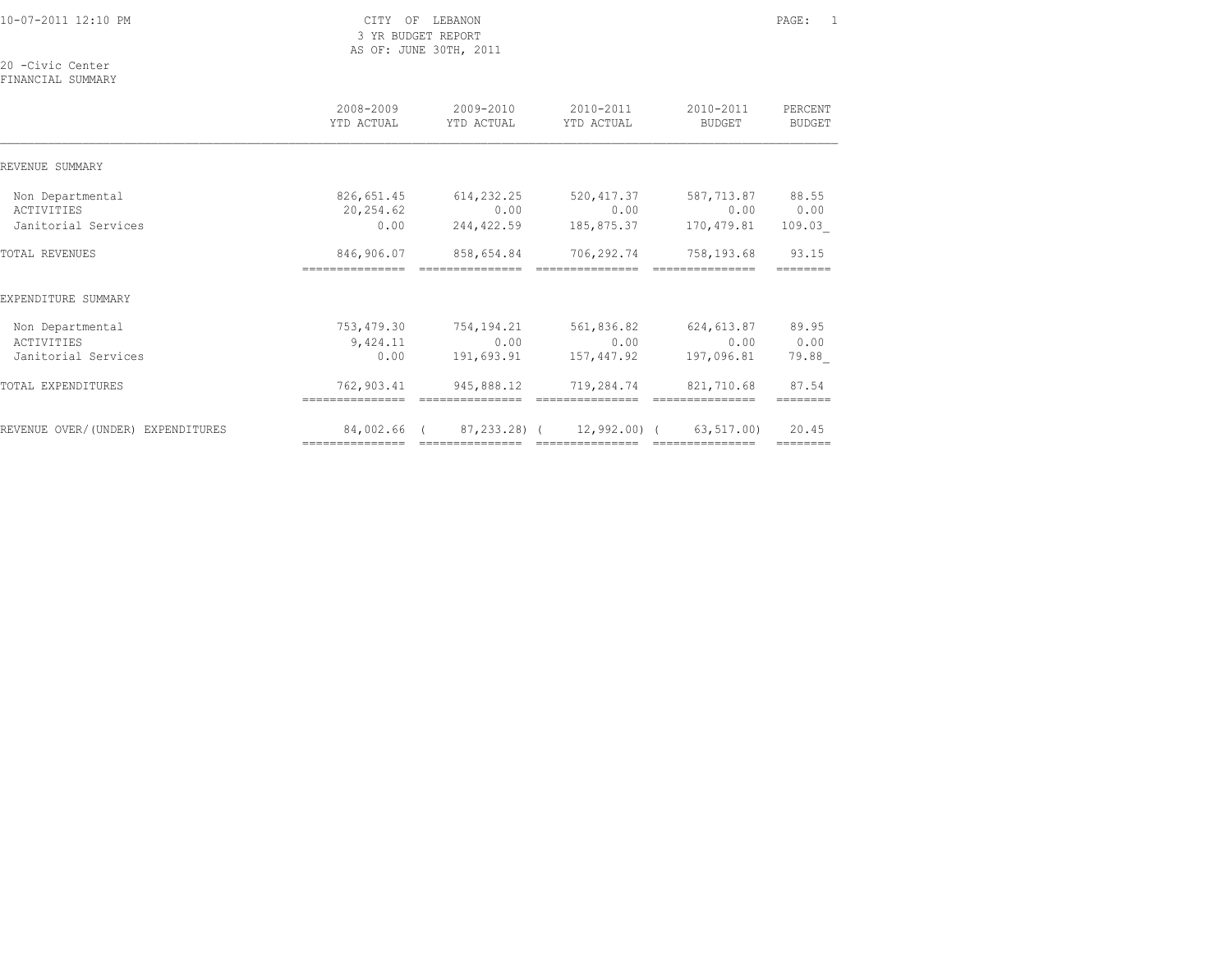| 10-07-2011 12:10 PM                   | LEBANON<br>CITY OF<br>3 YR BUDGET REPORT<br>AS OF: JUNE 30TH, 2011 |                                                                                                                                                                                                                                                                                                                                                                                                                                                                                                                 |                                      |                                      |                          |
|---------------------------------------|--------------------------------------------------------------------|-----------------------------------------------------------------------------------------------------------------------------------------------------------------------------------------------------------------------------------------------------------------------------------------------------------------------------------------------------------------------------------------------------------------------------------------------------------------------------------------------------------------|--------------------------------------|--------------------------------------|--------------------------|
| 20 -Civic Center<br>FINANCIAL SUMMARY |                                                                    |                                                                                                                                                                                                                                                                                                                                                                                                                                                                                                                 |                                      |                                      |                          |
|                                       | 2008-2009<br>YTD ACTUAL                                            | 2009-2010<br>YTD ACTUAL                                                                                                                                                                                                                                                                                                                                                                                                                                                                                         | 2010-2011<br>YTD ACTUAL              | 2010-2011<br>BUDGET                  | PERCENT<br><b>BUDGET</b> |
| REVENUE SUMMARY                       |                                                                    |                                                                                                                                                                                                                                                                                                                                                                                                                                                                                                                 |                                      |                                      |                          |
| Non Departmental                      |                                                                    | 826,651.45 614,232.25                                                                                                                                                                                                                                                                                                                                                                                                                                                                                           |                                      | 520, 417.37 587, 713.87 88.55        |                          |
| ACTIVITIES<br>Janitorial Services     | 20,254.62<br>0.00                                                  | 0.00<br>244,422.59                                                                                                                                                                                                                                                                                                                                                                                                                                                                                              | 0.00                                 | 0.00<br>185,875.37 170,479.81 109.03 | 0.00                     |
| TOTAL REVENUES                        |                                                                    | 846,906.07 858,654.84<br>$\begin{array}{cccccccccc} \multicolumn{2}{c}{} & \multicolumn{2}{c}{} & \multicolumn{2}{c}{} & \multicolumn{2}{c}{} & \multicolumn{2}{c}{} & \multicolumn{2}{c}{} & \multicolumn{2}{c}{} & \multicolumn{2}{c}{} & \multicolumn{2}{c}{} & \multicolumn{2}{c}{} & \multicolumn{2}{c}{} & \multicolumn{2}{c}{} & \multicolumn{2}{c}{} & \multicolumn{2}{c}{} & \multicolumn{2}{c}{} & \multicolumn{2}{c}{} & \multicolumn{2}{c}{} & \multicolumn{2}{c}{} & \multicolumn{2}{c}{} & \mult$ |                                      | 706,292.74 758,193.68<br>==========  | 93.15<br>========        |
| EXPENDITURE SUMMARY                   |                                                                    |                                                                                                                                                                                                                                                                                                                                                                                                                                                                                                                 |                                      |                                      |                          |
| Non Departmental                      |                                                                    | 753,479.30 754,194.21 561,836.82 624,613.87                                                                                                                                                                                                                                                                                                                                                                                                                                                                     |                                      |                                      | 89.95                    |
| ACTIVITIES<br>Janitorial Services     | 9,424.11<br>0.00                                                   | 0.00<br>191,693.91                                                                                                                                                                                                                                                                                                                                                                                                                                                                                              | 0.00<br>157,447.92                   | 0.00<br>197,096.81                   | 0.00<br>79.88            |
| TOTAL EXPENDITURES                    | 762,903.41                                                         | 945,888.12 719,284.74 821,710.68                                                                                                                                                                                                                                                                                                                                                                                                                                                                                |                                      |                                      | 87.54<br>--------        |
| REVENUE OVER/(UNDER) EXPENDITURES     | 84,002.66 (                                                        |                                                                                                                                                                                                                                                                                                                                                                                                                                                                                                                 | 87,233.28) ( 12,992.00) ( 63,517.00) |                                      | 20.45<br>========        |
|                                       |                                                                    |                                                                                                                                                                                                                                                                                                                                                                                                                                                                                                                 |                                      |                                      |                          |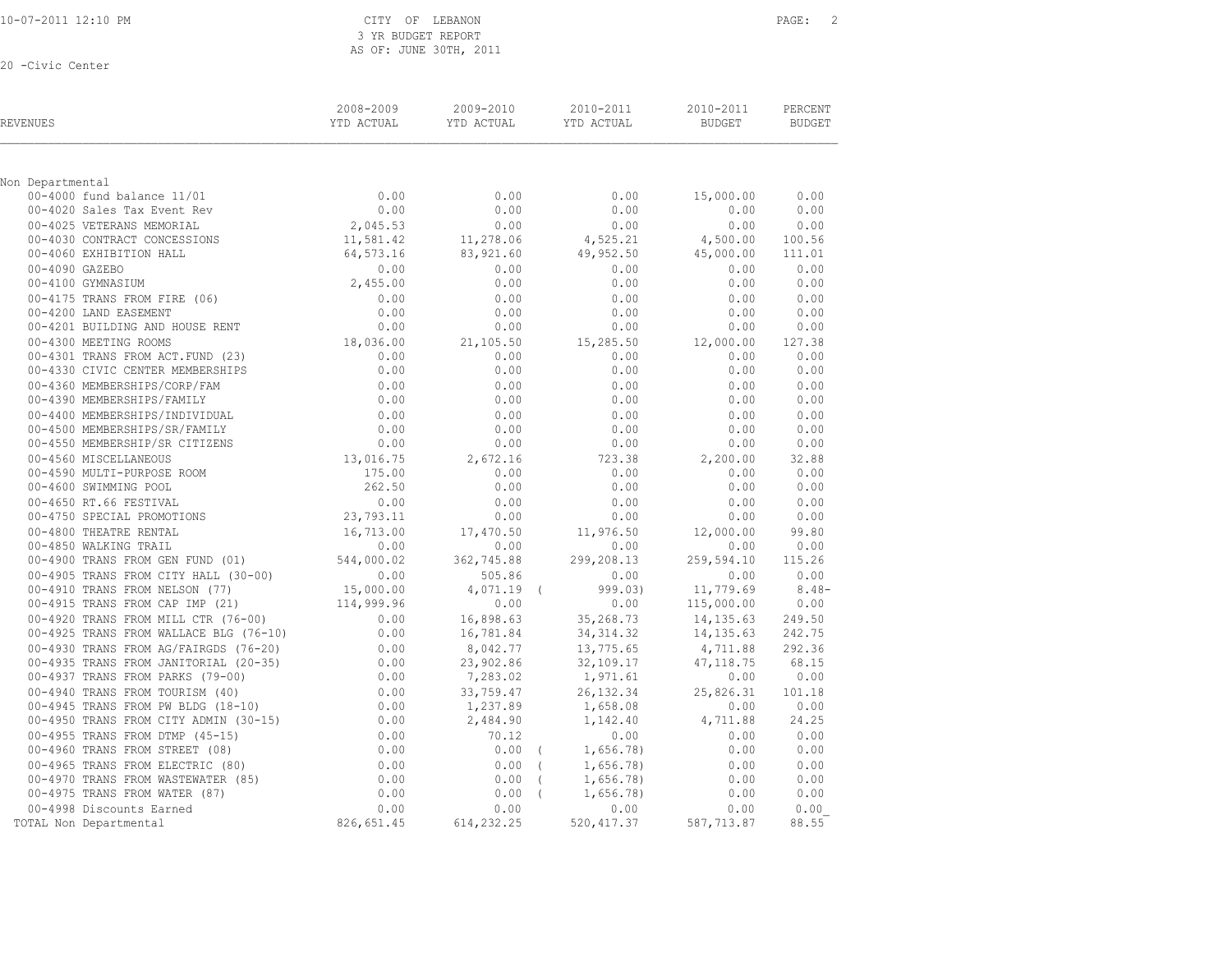3 YR BUDGET REPORT AS OF: JUNE 30TH, 2011

| REVENUES                                                                                                                                                                                 | 2008-2009                                                                                                    | 2009-2010<br>YTD ACTUAL YTD ACTUAL YTD ACTUAL | 2010-2011             | 2010-2011<br>BUDGET          | PERCENT<br>BUDGET  |
|------------------------------------------------------------------------------------------------------------------------------------------------------------------------------------------|--------------------------------------------------------------------------------------------------------------|-----------------------------------------------|-----------------------|------------------------------|--------------------|
| Non Departmental                                                                                                                                                                         |                                                                                                              |                                               |                       |                              |                    |
| Departmentai<br>00-4000 fund balance 11/01<br>00-4020 Sales Tax Event Rev<br>00-4025 VETERANS MEMORIAL                                                                                   | 0.00                                                                                                         | 0.00                                          |                       | 0.00<br>15,000.00            | 0.00               |
|                                                                                                                                                                                          | 0.00                                                                                                         | 0.00                                          |                       | 0.00<br>0.00                 | 0.00               |
|                                                                                                                                                                                          | 2,045.53                                                                                                     | 0.00                                          |                       | 0.00<br>0.00                 | 0.00               |
| 00-4030 CONTRACT CONCESSIONS<br>00-4060 EXHIBITION HALL                                                                                                                                  | 11,581.42<br>64,573.16                                                                                       | 11,278.06                                     | 4,525.21              | 4,500.00                     | 100.56             |
|                                                                                                                                                                                          |                                                                                                              | 83,921.60                                     |                       | $49,952.50$ $45,000.00$      | 111.01             |
| 00-4090 GAZEBO                                                                                                                                                                           | 2,455.00                                                                                                     | 0.00                                          |                       | 0.00<br>0.00                 | 0.00               |
| 00-4100 GYMNASIUM                                                                                                                                                                        |                                                                                                              | 0.00                                          |                       | 0.00<br>0.00                 | 0.00               |
| 00-4175 TRANS FROM FIRE (06)                                                                                                                                                             | 0.00                                                                                                         | 0.00                                          |                       | 0.00<br>0.00                 | 0.00               |
| 00-4200 LAND EASEMENT                                                                                                                                                                    | 0.00                                                                                                         | 0.00                                          |                       | 0.00<br>0.00                 | 0.00               |
| 00-4201 BUILDING AND HOUSE RENT                                                                                                                                                          | $0.00$<br>18,036.00                                                                                          | 0.00                                          |                       | 0.00<br>0.00                 | 0.00               |
| 00-4300 MEETING ROOMS                                                                                                                                                                    |                                                                                                              | 21,105.50                                     | 15,285.50             | 12,000.00                    | 127.38             |
| 00-4301 TRANS FROM ACT. FUND (23)                                                                                                                                                        | $0.00$<br>0.00<br>0.00                                                                                       | 0.00                                          | 0.00                  | 0.00                         | 0.00               |
|                                                                                                                                                                                          |                                                                                                              | 0.00                                          |                       | 0.00<br>0.00                 | 0.00               |
|                                                                                                                                                                                          |                                                                                                              | 0.00                                          |                       | 0.00<br>0.00                 | 0.00               |
| 00-4330 CIVIC CENTER MEMBERSHIPS<br>00-4360 MEMBERSHIPS/CORP/FAM<br>00-4390 MEMBERSHIPS/FAMILY<br>00-4400 MEMBERSHIPS/INDIVIDUAL<br>00-4500 MEMBERSHIPS/ONDIVIDUAL                       | $0.00$<br>0.00                                                                                               | 0.00                                          |                       | 0.00<br>0.00                 | 0.00               |
|                                                                                                                                                                                          |                                                                                                              | 0.00<br>0.00                                  |                       | 0.00<br>0.00<br>0.00<br>0.00 | 0.00<br>0.00       |
|                                                                                                                                                                                          |                                                                                                              | 0.00                                          |                       | 0.00<br>0.00                 | 0.00               |
| 00-4400 MEMBERSHIPS/SR/FAMILY<br>00-4500 MEMBERSHIPS/SR/FAMILY<br>00-4550 MEMBERSHIP/SR CITIZENS<br>00-4560 MISCELLANEOUS<br>COLLECTION CONTROL CONTROL 13,016.75<br>13,016.75<br>175.00 |                                                                                                              | 2,672.16                                      |                       | 2,200.00                     | 32.88              |
|                                                                                                                                                                                          |                                                                                                              | 0.00                                          | 723.38<br>0.00        | 0.00                         | 0.00               |
| ---- SWIMMING POOL<br>00-4650 RT.66 FESTIVAL<br>00-4750 SPECIAL PROMOTIONS<br>00-4800 min                                                                                                | $175.00$<br>$262.50$<br>0.00<br>23,793.11<br>16,713.00                                                       | 0.00                                          | 0.00                  | 0.00                         | 0.00               |
|                                                                                                                                                                                          |                                                                                                              | 0.00                                          |                       | 0.00<br>0.00                 | 0.00               |
|                                                                                                                                                                                          |                                                                                                              | 0.00                                          |                       | 0.00<br>0.00                 | 0.00               |
| 00-4800 THEATRE RENTAL                                                                                                                                                                   |                                                                                                              | 17,470.50                                     | 11,976.50             | 12,000.00                    | 99.80              |
| 00-4850 WALKING TRAIL                                                                                                                                                                    | 0.00                                                                                                         | 0.00                                          |                       | 0.00<br>0.00                 | 0.00               |
| 00-4900 TRANS FROM GEN FUND (01)                                                                                                                                                         | 544,000.02                                                                                                   | 362,745.88                                    | 299,208.13            | 259,594.10                   | 115.26             |
| 00-4905 TRANS FROM CITY HALL (30-00)                                                                                                                                                     | $0.00$<br>15,000.00<br>114,999.96                                                                            | 505.86                                        | 0.00                  | 0.00                         | 0.00               |
| 00-4910 TRANS FROM NELSON (77)                                                                                                                                                           |                                                                                                              | $4,071.19$ (                                  |                       | 999.03) 11,779.69            | $8.48-$            |
| 00-4915 TRANS FROM CAP IMP (21)                                                                                                                                                          |                                                                                                              | 0.00                                          |                       | 0.00<br>115,000.00           | 0.00               |
| 00-4920 TRANS FROM MILL CTR (76-00)                                                                                                                                                      | 0.00                                                                                                         | 16,898.63                                     |                       | $35,268.73$ $14,135.63$      | 249.50             |
| 00-4925 TRANS FROM WALLACE BLG (76-10)                                                                                                                                                   | 0.00                                                                                                         | 16,781.84                                     | 34, 314.32            | 14,135.63                    | 242.75             |
| 00-4930 TRANS FROM AG/FAIRGDS (76-20)                                                                                                                                                    | 0.00                                                                                                         | 8,042.77                                      |                       | 13,775.65 4,711.88           | 292.36             |
| 00-4935 TRANS FROM JANITORIAL (20-35)                                                                                                                                                    |                                                                                                              | 23,902.86                                     | 32,109.17             | 47, 118.75                   | 68.15              |
| 00-4937 TRANS FROM PARKS (79-00)                                                                                                                                                         |                                                                                                              | 7,283.02                                      | 1,971.61              | 0.00                         | 0.00               |
| 00-4940 TRANS FROM TOURISM (40)                                                                                                                                                          |                                                                                                              | 33,759.47                                     | 26, 132.34            | 25,826.31 101.18             |                    |
| 00-4945 TRANS FROM PW BLDG (18-10)<br>00-4950 TRANS FROM CITY ADMIN (30-15)                                                                                                              |                                                                                                              | 1,237.89                                      | 1,658.08              | 4,711.88                     | 0.00 0.00<br>24.25 |
|                                                                                                                                                                                          |                                                                                                              | 2,484.90                                      | 1,142.40              |                              |                    |
| 00-4955 TRANS FROM DTMP (45-15)                                                                                                                                                          | $(0.00 - 35)$<br>$(0.00 - 35)$<br>$(0.00 - 0.00 - 0.00)$<br>$(0.00 - 0.00 - 0.00)$<br>$(0.00 - 0.00 - 0.00)$ | 70.12<br>$0.00$ (                             | 0.00<br>1,656.78)     | 0.00<br>0.00                 | 0.00<br>0.00       |
|                                                                                                                                                                                          |                                                                                                              |                                               | $0.00$ (<br>1,656.78) |                              | 0.00               |
|                                                                                                                                                                                          |                                                                                                              | $0.00$ (                                      | 1,656.78)             | $0.00$<br>$0.00$             | 0.00               |
| 00 -2960 TRANS FROM STREET (00,<br>00-4965 TRANS FROM ELECTRIC (80)<br>00-4965 TRANS FROM WASTEWATER (85)<br>00-4970 TRANS FROM WATER (87)                                               | $0.00$<br>0.00<br>0.00<br>0.00                                                                               | $0.00$ (                                      | 1,656.78              | 0.00                         | 0.00               |
| 00-4998 Discounts Earned                                                                                                                                                                 | 0.00                                                                                                         | 0.00                                          |                       | 0.00<br>0.00                 | 0.00               |
| TOTAL Non Departmental                                                                                                                                                                   | 826,651.45                                                                                                   | 614,232.25                                    | 520, 417.37           | 587,713.87                   | 88.55              |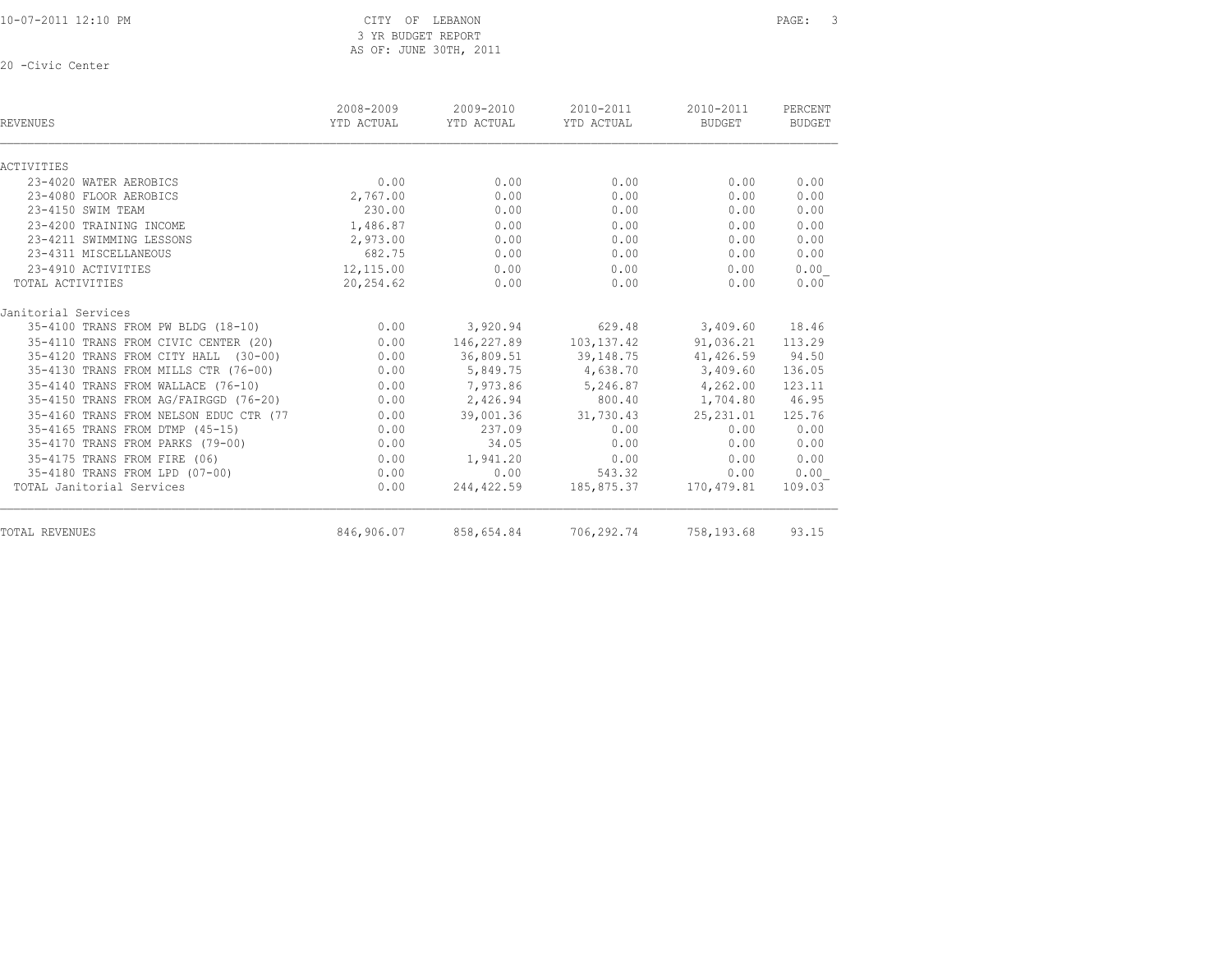10-07-2011 12:10 PM CITY OF LEBANON PAGE: 3 3 YR BUDGET REPORT AS OF: JUNE 30TH, 2011

| REVENUES                               | 2008-2009<br>YTD ACTUAL | 2009-2010<br>YTD ACTUAL | 2010-2011<br>YTD ACTUAL | 2010-2011<br><b>BUDGET</b> | PERCENT<br><b>BUDGET</b> |
|----------------------------------------|-------------------------|-------------------------|-------------------------|----------------------------|--------------------------|
| ACTIVITIES                             |                         |                         |                         |                            |                          |
| 23-4020 WATER AEROBICS                 | 0.00                    | 0.00                    | 0.00                    | 0.00                       | 0.00                     |
| 23-4080 FLOOR AEROBICS                 | 2,767.00                | 0.00                    | 0.00                    | 0.00                       | 0.00                     |
| 23-4150 SWIM TEAM                      | 230.00                  | 0.00                    | 0.00                    | 0.00                       | 0.00                     |
| 23-4200 TRAINING INCOME                | 1,486.87                | 0.00                    | 0.00                    | 0.00                       | 0.00                     |
| 23-4211 SWIMMING LESSONS               | 2,973.00                | 0.00                    | 0.00                    | 0.00                       | 0.00                     |
| 23-4311 MISCELLANEOUS                  | 682.75                  | 0.00                    | 0.00                    | 0.00                       | 0.00                     |
| 23-4910 ACTIVITIES                     | 12,115.00               | 0.00                    | 0.00                    | 0.00                       | 0.00                     |
| TOTAL ACTIVITIES                       | 20,254.62               | 0.00                    | 0.00                    | 0.00                       | 0.00                     |
| Janitorial Services                    |                         |                         |                         |                            |                          |
| 35-4100 TRANS FROM PW BLDG (18-10)     | 0.00                    | 3,920.94                | 629.48                  | 3,409.60                   | 18.46                    |
| 35-4110 TRANS FROM CIVIC CENTER (20)   | 0.00                    | 146,227.89              | 103, 137. 42            | 91,036.21                  | 113.29                   |
| 35-4120 TRANS FROM CITY HALL (30-00)   | 0.00                    | 36,809.51               | 39,148.75               | 41,426.59                  | 94.50                    |
| 35-4130 TRANS FROM MILLS CTR (76-00)   | 0.00                    | 5,849.75                | 4,638.70                | 3,409.60                   | 136.05                   |
| 35-4140 TRANS FROM WALLACE (76-10)     | 0.00                    | 7,973.86                | 5,246.87                | 4,262.00                   | 123.11                   |
| 35-4150 TRANS FROM AG/FAIRGGD (76-20)  | 0.00                    | 2,426.94                | 800.40                  | 1,704.80                   | 46.95                    |
| 35-4160 TRANS FROM NELSON EDUC CTR (77 | 0.00                    | 39,001.36               | 31,730.43               | 25, 231.01                 | 125.76                   |
| 35-4165 TRANS FROM DTMP (45-15)        | 0.00                    | 237.09                  | 0.00                    | 0.00                       | 0.00                     |
| 35-4170 TRANS FROM PARKS (79-00)       | 0.00                    | 34.05                   | 0.00                    | 0.00                       | 0.00                     |
| 35-4175 TRANS FROM FIRE (06)           | 0.00                    | 1,941.20                | 0.00                    | 0.00                       | 0.00                     |
| 35-4180 TRANS FROM LPD (07-00)         | 0.00                    | 0.00                    | 543.32                  | 0.00                       | 0.00                     |
| TOTAL Janitorial Services              | 0.00                    | 244,422.59              | 185,875.37              | 170,479.81                 | 109.03                   |
| TOTAL REVENUES                         | 846,906.07              | 858,654.84              | 706,292.74              | 758,193.68                 | 93.15                    |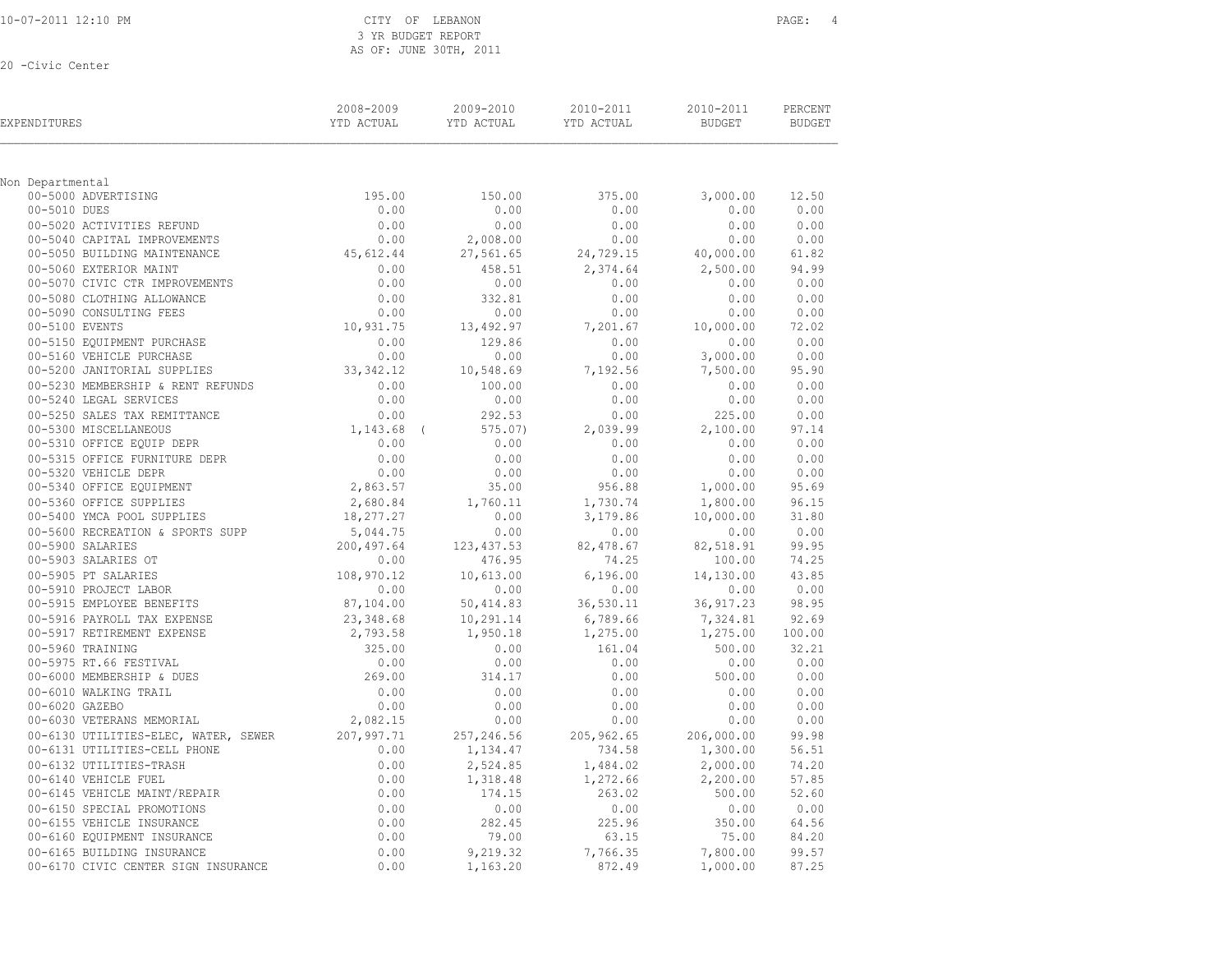|  | 10-07-2011 12:10 PM |  |  |
|--|---------------------|--|--|
|  |                     |  |  |

#### CITY OF LEBANON PAGE: 4 3 YR BUDGET REPORT AS OF: JUNE 30TH, 2011

| EXPENDITURES                            | 2008-2009<br>YTD ACTUAL | 2009-2010<br>YTD ACTUAL | 2010-2011<br>YTD ACTUAL | 2010-2011<br><b>BUDGET</b> | PERCENT<br><b>BUDGET</b> |
|-----------------------------------------|-------------------------|-------------------------|-------------------------|----------------------------|--------------------------|
| Non Departmental                        |                         |                         |                         |                            |                          |
| 00-5000 ADVERTISING                     | 195.00                  | 150.00                  | 375.00                  | 3,000.00                   | 12.50                    |
| 00-5010 DUES                            | 0.00                    | 0.00                    | 0.00                    | 0.00                       | 0.00                     |
| 00-5020 ACTIVITIES REFUND               | 0.00                    | 0.00                    | 0.00                    | 0.00                       | 0.00                     |
| 00-5040 CAPITAL IMPROVEMENTS            | 0.00                    | 2,008.00                | 0.00                    | 0.00                       | 0.00                     |
| 00-5050 BUILDING MAINTENANCE            | 45,612.44               | 27,561.65               | 24,729.15               | 40,000.00                  | 61.82                    |
| 00-5060 EXTERIOR MAINT                  | 0.00                    | 458.51                  | 2,374.64                | 2,500.00                   | 94.99                    |
| 00-5070 CIVIC CTR IMPROVEMENTS          | 0.00                    | 0.00                    | 0.00                    | 0.00                       | 0.00                     |
| 00-5080 CLOTHING ALLOWANCE              | 0.00                    | 332.81                  | 0.00                    | 0.00                       | 0.00                     |
| 00-5090 CONSULTING FEES                 | 0.00                    | 0.00                    | 0.00                    | 0.00                       | 0.00                     |
| 00-5100 EVENTS                          | 10,931.75               | 13,492.97               | 7,201.67                | 10,000.00                  | 72.02                    |
| 00-5150 EQUIPMENT PURCHASE              | 0.00                    | 129.86                  | 0.00                    | 0.00                       | 0.00                     |
| 00-5160 VEHICLE PURCHASE                | 0.00                    | 0.00                    | 0.00                    | 3,000.00                   | 0.00                     |
| 00-5200 JANITORIAL SUPPLIES             | 33, 342.12              | 10,548.69               | 7,192.56                | 7,500.00                   | 95.90                    |
| 00-5230 MEMBERSHIP & RENT REFUNDS       | 0.00                    | 100.00                  | 0.00                    | 0.00                       | 0.00                     |
| 00-5240 LEGAL SERVICES                  | 0.00                    | 0.00                    | 0.00                    | 0.00                       | 0.00                     |
| 00-5250 SALES TAX REMITTANCE            | 0.00                    | 292.53                  | 0.00                    | 225.00                     | 0.00                     |
| 00-5300 MISCELLANEOUS                   | $1,143.68$ (            | 575.07                  | 2,039.99                | 2,100.00                   | 97.14                    |
| 00-5310 OFFICE EQUIP DEPR               | 0.00                    | 0.00                    | 0.00                    | 0.00                       | 0.00                     |
| 00-5315 OFFICE FURNITURE DEPR           | 0.00                    | 0.00                    | 0.00                    | 0.00                       | 0.00                     |
| 00-5320 VEHICLE DEPR                    | 0.00                    | 0.00                    | 0.00                    | 0.00                       | 0.00                     |
| 00-5340 OFFICE EQUIPMENT                | 2,863.57                | 35.00                   | 956.88                  | 1,000.00                   | 95.69                    |
| 00-5360 OFFICE SUPPLIES                 | 2,680.84                | 1,760.11                | 1,730.74                | 1,800.00                   | 96.15                    |
| 00-5400 YMCA POOL SUPPLIES              | 18,277.27               | 0.00                    | 3,179.86                | 10,000.00                  | 31.80                    |
| 00-5600 RECREATION & SPORTS SUPP        | 5,044.75                | 0.00                    | 0.00                    | 0.00                       | 0.00                     |
| 00-5900 SALARIES<br>00-5903 SALARIES OT | 200,497.64<br>0.00      | 123, 437.53<br>476.95   | 82,478.67<br>74.25      | 82,518.91<br>100.00        | 99.95<br>74.25           |
| 00-5905 PT SALARIES                     | 108,970.12              | 10,613.00               | 6,196.00                | 14,130.00                  | 43.85                    |
| 00-5910 PROJECT LABOR                   | 0.00                    | 0.00                    | 0.00                    | 0.00                       | 0.00                     |
| 00-5915 EMPLOYEE BENEFITS               | 87,104.00               | 50,414.83               | 36,530.11               | 36, 917.23                 | 98.95                    |
| 00-5916 PAYROLL TAX EXPENSE             | 23,348.68               | 10,291.14               | 6,789.66                | 7,324.81                   | 92.69                    |
| 00-5917 RETIREMENT EXPENSE              | 2,793.58                | 1,950.18                | 1,275.00                | 1,275.00                   | 100.00                   |
| 00-5960 TRAINING                        | 325.00                  | 0.00                    | 161.04                  | 500.00                     | 32.21                    |
| 00-5975 RT.66 FESTIVAL                  | 0.00                    | 0.00                    | 0.00                    | 0.00                       | 0.00                     |
| 00-6000 MEMBERSHIP & DUES               | 269.00                  | 314.17                  | 0.00                    | 500.00                     | 0.00                     |
| 00-6010 WALKING TRAIL                   | 0.00                    | 0.00                    | 0.00                    | 0.00                       | 0.00                     |
| 00-6020 GAZEBO                          | 0.00                    | 0.00                    | 0.00                    | 0.00                       | 0.00                     |
| 00-6030 VETERANS MEMORIAL               | 2,082.15                | 0.00                    | 0.00                    | 0.00                       | 0.00                     |
| 00-6130 UTILITIES-ELEC, WATER, SEWER    | 207,997.71              | 257,246.56              | 205,962.65              | 206,000.00                 | 99.98                    |
| 00-6131 UTILITIES-CELL PHONE            | 0.00                    | 1,134.47                | 734.58                  | 1,300.00                   | 56.51                    |
| 00-6132 UTILITIES-TRASH                 | 0.00                    | 2,524.85                | 1,484.02                | 2,000.00                   | 74.20                    |
| 00-6140 VEHICLE FUEL                    | 0.00                    | 1,318.48                | 1,272.66                | 2,200.00                   | 57.85                    |
| 00-6145 VEHICLE MAINT/REPAIR            | 0.00                    | 174.15                  | 263.02                  | 500.00                     | 52.60                    |
| 00-6150 SPECIAL PROMOTIONS              | 0.00                    | 0.00                    | 0.00                    | 0.00                       | 0.00                     |
| 00-6155 VEHICLE INSURANCE               | 0.00                    | 282.45                  | 225.96                  | 350.00                     | 64.56                    |
| 00-6160 EQUIPMENT INSURANCE             | 0.00                    | 79.00                   | 63.15                   | 75.00                      | 84.20                    |
| 00-6165 BUILDING INSURANCE              | 0.00                    | 9,219.32                | 7,766.35                | 7,800.00                   | 99.57                    |
| 00-6170 CIVIC CENTER SIGN INSURANCE     | 0.00                    | 1,163.20                | 872.49                  | 1,000.00                   | 87.25                    |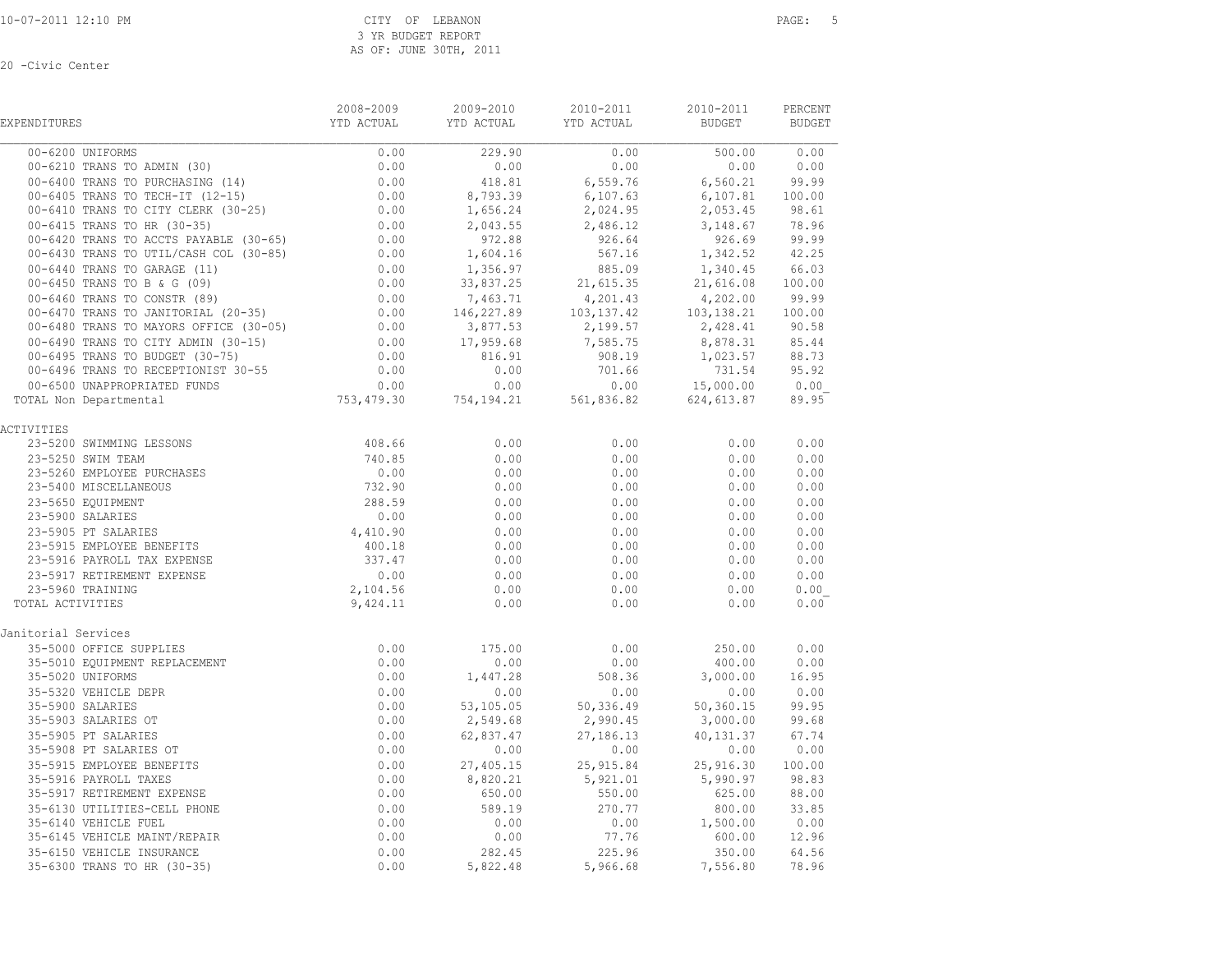| <b>EXPENDITURES</b>                                                                                                                                                                                                                                | 2008-2009<br>YTD ACTUAL                             | 2009-2010<br>YTD ACTUAL YTD ACTUAL | 2010-2011                                                                                                                                                                                                                                          | 2010-2011<br><b>BUDGET</b>        | PERCENT<br><b>BUDGET</b> |
|----------------------------------------------------------------------------------------------------------------------------------------------------------------------------------------------------------------------------------------------------|-----------------------------------------------------|------------------------------------|----------------------------------------------------------------------------------------------------------------------------------------------------------------------------------------------------------------------------------------------------|-----------------------------------|--------------------------|
| 00-6200 UNIFORMS                                                                                                                                                                                                                                   | 0.00                                                | 229.90                             | 0.00                                                                                                                                                                                                                                               |                                   |                          |
| 00-6210 TRANS TO ADMIN (30)                                                                                                                                                                                                                        | 0.00                                                | 0.00                               | 0.00                                                                                                                                                                                                                                               | $500.00$ $0.00$<br>0.00 0.00      |                          |
| 00-6400 TRANS TO PURCHASING (14)                                                                                                                                                                                                                   | $\begin{array}{c} 0.00 \\ 0.00 \\ 0.00 \end{array}$ | 418.81                             | 6,559.76                                                                                                                                                                                                                                           | 6,560.21 99.99<br>6,107.81 100.00 |                          |
| $00-6405$ TRANS TO TECH-IT (12-15)<br>00-6410 mpays ==                                                                                                                                                                                             |                                                     | 8,793.39                           | 6,107.63                                                                                                                                                                                                                                           |                                   |                          |
| 00-6410 TRANS TO CITY CLERK (30-25)<br>00-6415 TRANS TO HR (30-35)<br>00-6420 TRANS TO ACCTS PAYABLE (30-65)                                                                                                                                       |                                                     | 1,656.24                           | 2,024.95                                                                                                                                                                                                                                           | 2,053.45 98.61                    |                          |
|                                                                                                                                                                                                                                                    | $0.00$<br>0.00<br>0.00<br>0.00<br>0.00              | 2,043.55                           |                                                                                                                                                                                                                                                    | $2,486.12$ $3,148.67$ 78.96       |                          |
|                                                                                                                                                                                                                                                    |                                                     | 972.88                             | 926.64                                                                                                                                                                                                                                             | 926.69                            | 99.99                    |
| 00-6430 TRANS TO UTIL/CASH COL (30-85)                                                                                                                                                                                                             |                                                     | 1,604.16                           | 567.16                                                                                                                                                                                                                                             | 1,342.52                          | 42.25                    |
| 00-6440 TRANS TO GARAGE (11)<br>00-6450 TRANS TO B & G (09)<br>00-6460 TRANS TO CONSTR (89)<br>00-6470 TRANS TO JANITORIAL (20-35)<br>00-6480 TRANS TO MAYORS OFFICE (30-05)<br>00-6490 TRANS TO CITY ADMIN (30-15)<br>0.00<br>00-6490 TRANS       |                                                     | 1,356.97                           | 885.09                                                                                                                                                                                                                                             | 1,340.45                          | 66.03                    |
|                                                                                                                                                                                                                                                    |                                                     | 33,837.25                          | 21,615.35                                                                                                                                                                                                                                          | 21,616.08                         | 100.00                   |
|                                                                                                                                                                                                                                                    |                                                     |                                    |                                                                                                                                                                                                                                                    |                                   |                          |
|                                                                                                                                                                                                                                                    |                                                     |                                    | $\begin{array}{cccccc} 7,463.71 & & & 4,201.43 & & & 4,202.00 & & 99.99 \\ 146,227.89 & & & 103,137.42 & & 103,138.21 & & 100.00 \\ 3,877.53 & & & 2,199.57 & & 2,428.41 & & 90.58 \\ 17,959.68 & & & 7,585.75 & & 8,878.31 & & 85.44 \end{array}$ |                                   |                          |
|                                                                                                                                                                                                                                                    |                                                     |                                    |                                                                                                                                                                                                                                                    |                                   |                          |
|                                                                                                                                                                                                                                                    |                                                     |                                    |                                                                                                                                                                                                                                                    |                                   |                          |
|                                                                                                                                                                                                                                                    | 0.00                                                | 816.91<br>0.00                     | 908.19<br>701.66                                                                                                                                                                                                                                   | 1,023.57 88.73                    | 95.92                    |
| 00-6496 TRANS TO RECEPTIONIST 30-55                                                                                                                                                                                                                |                                                     |                                    |                                                                                                                                                                                                                                                    | 731.54                            | 0.00                     |
| 00-6500 UNAPPROPRIATED FUNDS<br>OTAL Non Departmental<br>TOTAL Non Departmental                                                                                                                                                                    |                                                     |                                    | $0.00$ $0.00$ $0.00$ $0.00$ $0.00$ $0.00$ $0.00$ $0.00$ $0.00$ $0.00$ $0.00$ $0.00$ $0.00$ $0.00$ $0.00$ $0.00$ $0.00$ $0.00$ $0.00$ $0.00$ $0.00$ $0.00$ $0.00$ $0.00$ $0.00$ $0.00$ $0.00$ $0.00$ $0.00$ $0.00$ $0.00$ $0.0$                     |                                   | 89.95                    |
|                                                                                                                                                                                                                                                    |                                                     |                                    |                                                                                                                                                                                                                                                    |                                   |                          |
| ACTIVITIES                                                                                                                                                                                                                                         |                                                     |                                    |                                                                                                                                                                                                                                                    |                                   |                          |
|                                                                                                                                                                                                                                                    |                                                     | 0.00                               | 0.00                                                                                                                                                                                                                                               | 0.00                              | 0.00                     |
|                                                                                                                                                                                                                                                    |                                                     | 0.00                               | 0.00                                                                                                                                                                                                                                               | 0.00                              | 0.00                     |
|                                                                                                                                                                                                                                                    |                                                     | 0.00                               | 0.00                                                                                                                                                                                                                                               | 0.00                              | 0.00                     |
|                                                                                                                                                                                                                                                    |                                                     | 0.00                               | 0.00                                                                                                                                                                                                                                               | 0.00                              | 0.00                     |
|                                                                                                                                                                                                                                                    |                                                     | 0.00                               | 0.00                                                                                                                                                                                                                                               | 0.00                              | 0.00                     |
| 10171ES<br>23-5200 SWIMMING LESSONS<br>23-5260 SWIM TEAM<br>23-5260 EMPLOYEE PURCHASES<br>23-5400 MISCELLANEOUS<br>23-5400 MISCELLANEOUS<br>23-5400 MISCELLANEOUS<br>23-5650 EQUIPMENT<br>23-5900 SALARIES<br>23-5905 PT SALARIES<br>23-5915 EMPLO |                                                     | 0.00                               | 0.00                                                                                                                                                                                                                                               | 0.00                              | 0.00                     |
|                                                                                                                                                                                                                                                    |                                                     | 0.00                               | 0.00                                                                                                                                                                                                                                               | 0.00                              | 0.00                     |
|                                                                                                                                                                                                                                                    |                                                     | 0.00                               | 0.00                                                                                                                                                                                                                                               | 0.00                              | 0.00                     |
|                                                                                                                                                                                                                                                    |                                                     | 0.00                               | 0.00                                                                                                                                                                                                                                               | 0.00                              | 0.00                     |
|                                                                                                                                                                                                                                                    |                                                     | 0.00                               | 0.00                                                                                                                                                                                                                                               | 0.00                              | 0.00                     |
|                                                                                                                                                                                                                                                    |                                                     | 0.00                               | 0.00                                                                                                                                                                                                                                               | 0.00                              | 0.00                     |
| TOTAL ACTIVITIES                                                                                                                                                                                                                                   |                                                     | 0.00                               | 0.00                                                                                                                                                                                                                                               | 0.00                              | 0.00                     |
| Janitorial Services                                                                                                                                                                                                                                |                                                     |                                    |                                                                                                                                                                                                                                                    |                                   |                          |
|                                                                                                                                                                                                                                                    | 0.00                                                | 175.00                             | 0.00                                                                                                                                                                                                                                               | 250.00                            | 0.00                     |
|                                                                                                                                                                                                                                                    | 0.00                                                | 0.00                               | 0.00                                                                                                                                                                                                                                               | 400.00                            | 0.00                     |
|                                                                                                                                                                                                                                                    | 0.00                                                | 1,447.28                           | 508.36                                                                                                                                                                                                                                             | 3,000.00                          | 16.95                    |
|                                                                                                                                                                                                                                                    | 0.00                                                | 0.00                               | 0.00                                                                                                                                                                                                                                               | 0.00                              | 0.00                     |
|                                                                                                                                                                                                                                                    | 0.00                                                |                                    | 53, 105.05 50, 336.49 50, 360.15                                                                                                                                                                                                                   |                                   | 99.95                    |
|                                                                                                                                                                                                                                                    | 0.00                                                | 2,549.68                           | 2,990.45                                                                                                                                                                                                                                           | 3,000.00                          | 99.68                    |
|                                                                                                                                                                                                                                                    | 0.00                                                | 62,837.47                          | 27, 186.13                                                                                                                                                                                                                                         | 40,131.37                         | 67.74                    |
|                                                                                                                                                                                                                                                    | 0.00                                                | 0.00                               | 0.00                                                                                                                                                                                                                                               | 0.00                              | 0.00                     |
|                                                                                                                                                                                                                                                    | 0.00                                                | 27,405.15                          | 25, 915.84                                                                                                                                                                                                                                         | 25,916.30                         | 100.00                   |
| ial 30.<br>-5000 OFFICE SOM.<br>-5010 EQUIPMENT REPLACEMENT REPLACEMENT PREPR<br>5-5220 UNIFORMS<br>5-5320 UNIFORMS<br>35-5900 SALARIES OT<br>35-5905 PT SALARIES OT<br>35-5905 PT SALARIES OT<br>35-5915 EMPLOYEE BENEFITS<br>35-5916 PAYROLL T   | 0.00                                                | 8,820.21                           | 5,921.01                                                                                                                                                                                                                                           | 5,990.97                          | 98.83                    |
|                                                                                                                                                                                                                                                    | 0.00                                                | 650.00                             | 550.00                                                                                                                                                                                                                                             | 625.00                            | 88.00                    |
|                                                                                                                                                                                                                                                    | 0.00                                                | 589.19                             | 270.77                                                                                                                                                                                                                                             | 800.00<br>1,500.00                | 33.85                    |
|                                                                                                                                                                                                                                                    | 0.00                                                | 0.00                               | 0.00                                                                                                                                                                                                                                               |                                   | 0.00                     |
|                                                                                                                                                                                                                                                    | 0.00                                                | 0.00                               | 77.76                                                                                                                                                                                                                                              | 600.00                            | 12.96                    |
|                                                                                                                                                                                                                                                    | 0.00                                                | 282.45                             | 225.96                                                                                                                                                                                                                                             | 350.00                            | 64.56                    |
|                                                                                                                                                                                                                                                    | 0.00                                                | 5,822.48                           | 5,966.68                                                                                                                                                                                                                                           | 7,556.80                          | 78.96                    |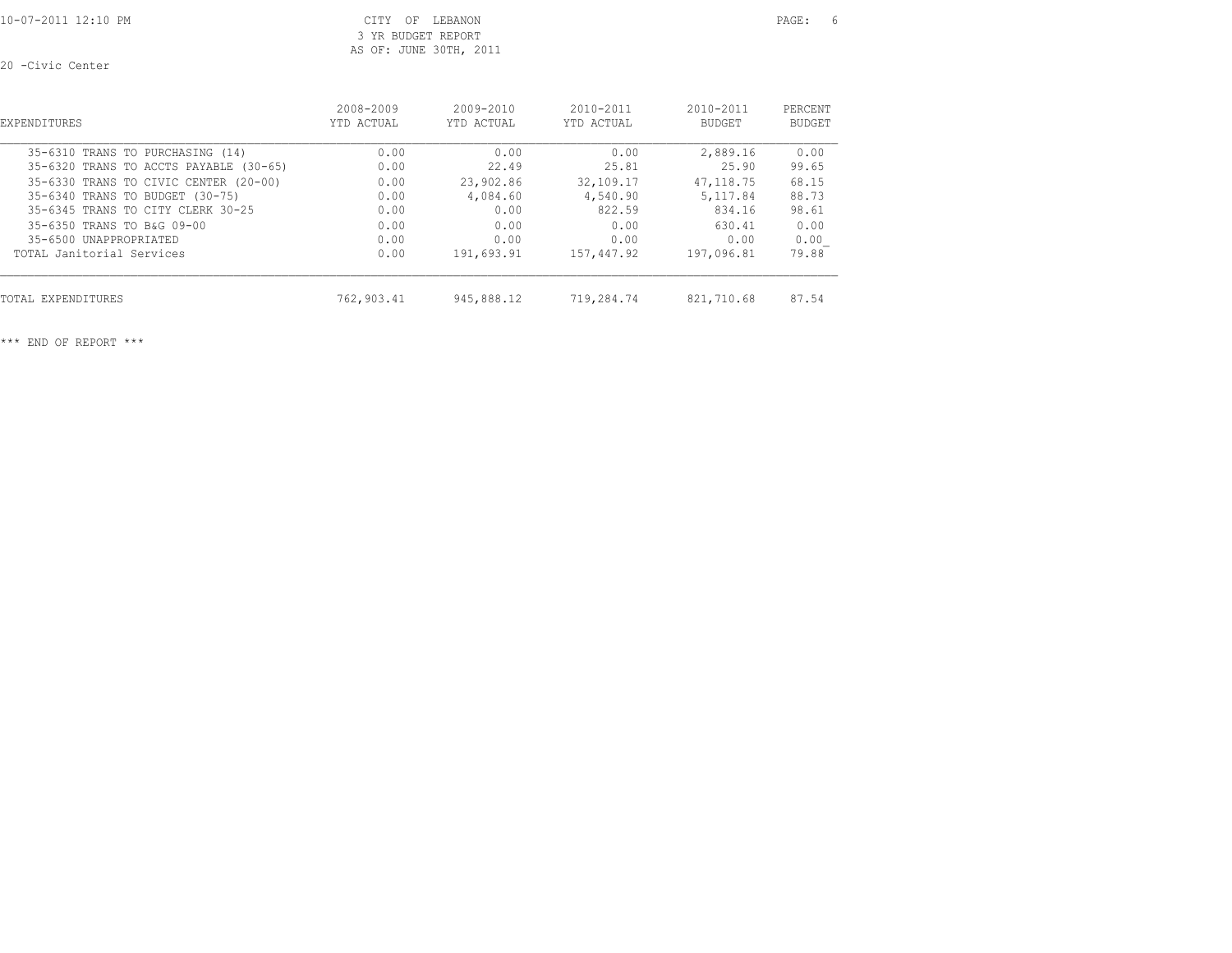10-07-2011 12:10 PM CITY OF LEBANON PAGE: 6 3 YR BUDGET REPORT AS OF: JUNE 30TH, 2011

20 -Civic Center

| <b>EXPENDITURES</b>                    | 2008-2009  | $2009 - 2010$ | $2010 - 2011$ | $2010 - 2011$ | PERCENT       |
|----------------------------------------|------------|---------------|---------------|---------------|---------------|
|                                        | YTD ACTUAL | YTD ACTUAL    | YTD ACTUAL    | <b>BUDGET</b> | <b>BUDGET</b> |
| 35-6310 TRANS TO PURCHASING (14)       | 0.00       | 0.00          | 0.00          | 2,889.16      | 0.00          |
| 35-6320 TRANS TO ACCTS PAYABLE (30-65) | 0.00       | 22.49         | 25.81         | 25.90         | 99.65         |
| 35-6330 TRANS TO CIVIC CENTER (20-00)  | 0.00       | 23,902.86     | 32,109.17     | 47, 118, 75   | 68.15         |
| 35-6340 TRANS TO BUDGET (30-75)        | 0.00       | 4,084.60      | 4,540.90      | 5, 117.84     | 88.73         |
| 35-6345 TRANS TO CITY CLERK 30-25      | 0.00       | 0.00          | 822.59        | 834.16        | 98.61         |
| 35-6350 TRANS TO B&G 09-00             | 0.00       | 0.00          | 0.00          | 630.41        | 0.00          |
| 35-6500 UNAPPROPRTATED                 | 0.00       | 0.00          | 0.00          | 0.00          | 0.00          |
| TOTAL Janitorial Services              | 0.00       | 191,693.91    | 157,447.92    | 197,096.81    | 79.88         |
| TOTAL EXPENDITURES                     | 762,903.41 | 945,888.12    | 719,284.74    | 821,710.68    | 87.54         |

\*\*\* END OF REPORT \*\*\*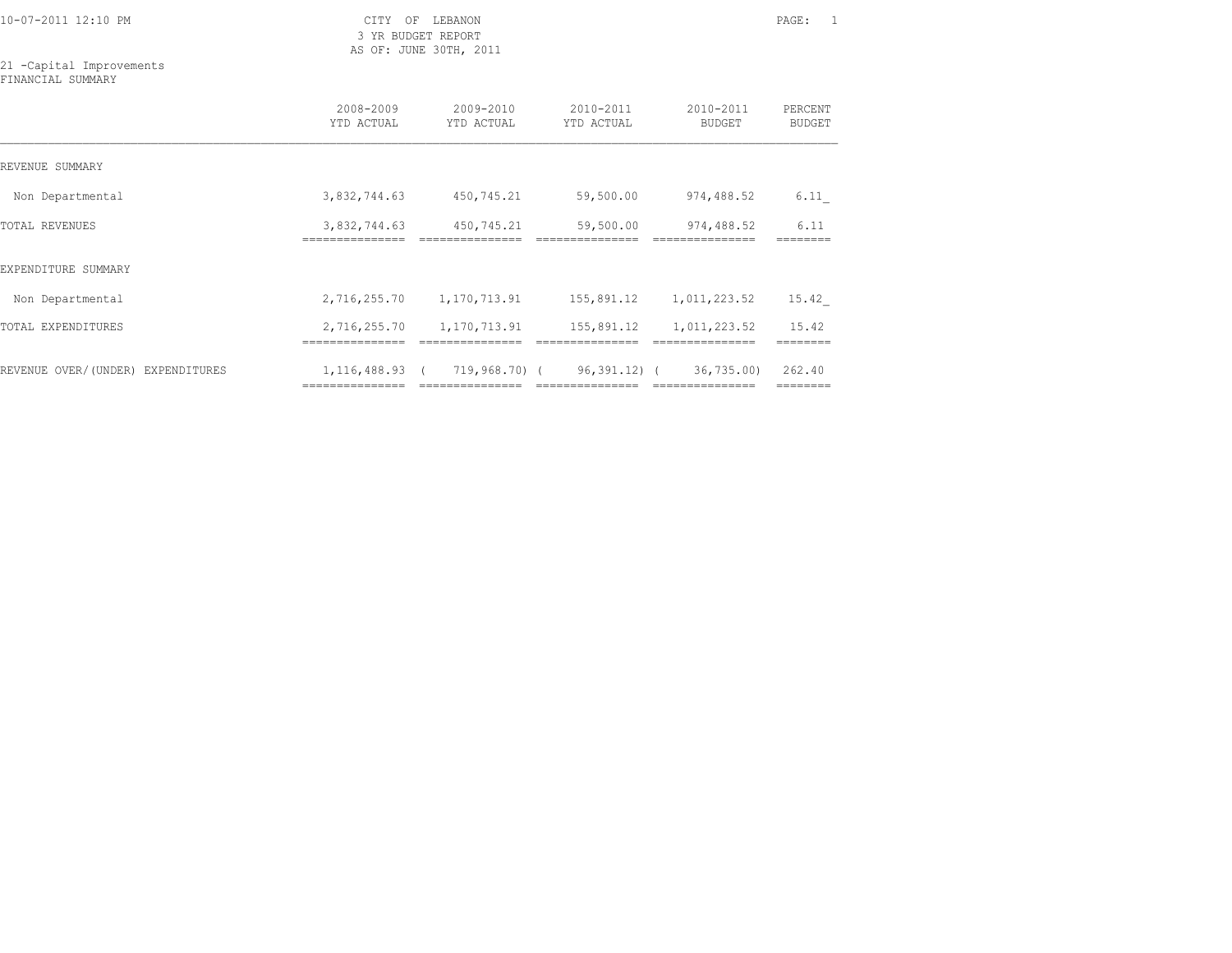3 YR BUDGET REPORT AS OF: JUNE 30TH, 2011

21 -Capital Improvements FINANCIAL SUMMARY

|                                      | 2008-2009<br>YTD ACTUAL               | 2009-2010<br>YTD ACTUAL | 2010-2011<br>YTD ACTUAL | 2010-2011<br><b>BUDGET</b> | PERCENT<br><b>BUDGET</b> |
|--------------------------------------|---------------------------------------|-------------------------|-------------------------|----------------------------|--------------------------|
| REVENUE SUMMARY                      |                                       |                         |                         |                            |                          |
| Non Departmental                     | 3,832,744.63                          | 450,745.21              | 59,500.00               | 974,488.52                 | 6.11                     |
| TOTAL REVENUES                       | 3,832,744.63                          | 450,745.21              | 59,500.00               | 974,488.52                 | 6.11                     |
| EXPENDITURE SUMMARY                  |                                       |                         |                         |                            |                          |
| Non Departmental                     | 2,716,255.70                          | 1,170,713.91            | 155,891.12              | 1,011,223.52               | 15.42                    |
| TOTAL EXPENDITURES                   | 2,716,255.70                          | 1,170,713.91            | 155,891.12              | 1,011,223.52               | 15.42                    |
| REVENUE OVER/(UNDER)<br>EXPENDITURES | ===============<br>$1, 116, 488.93$ ( | 719,968.70) (           | $96, 391, 12)$ (        | 36, 735, 00)               | 262.40                   |

=============== =============== =============== =============== ========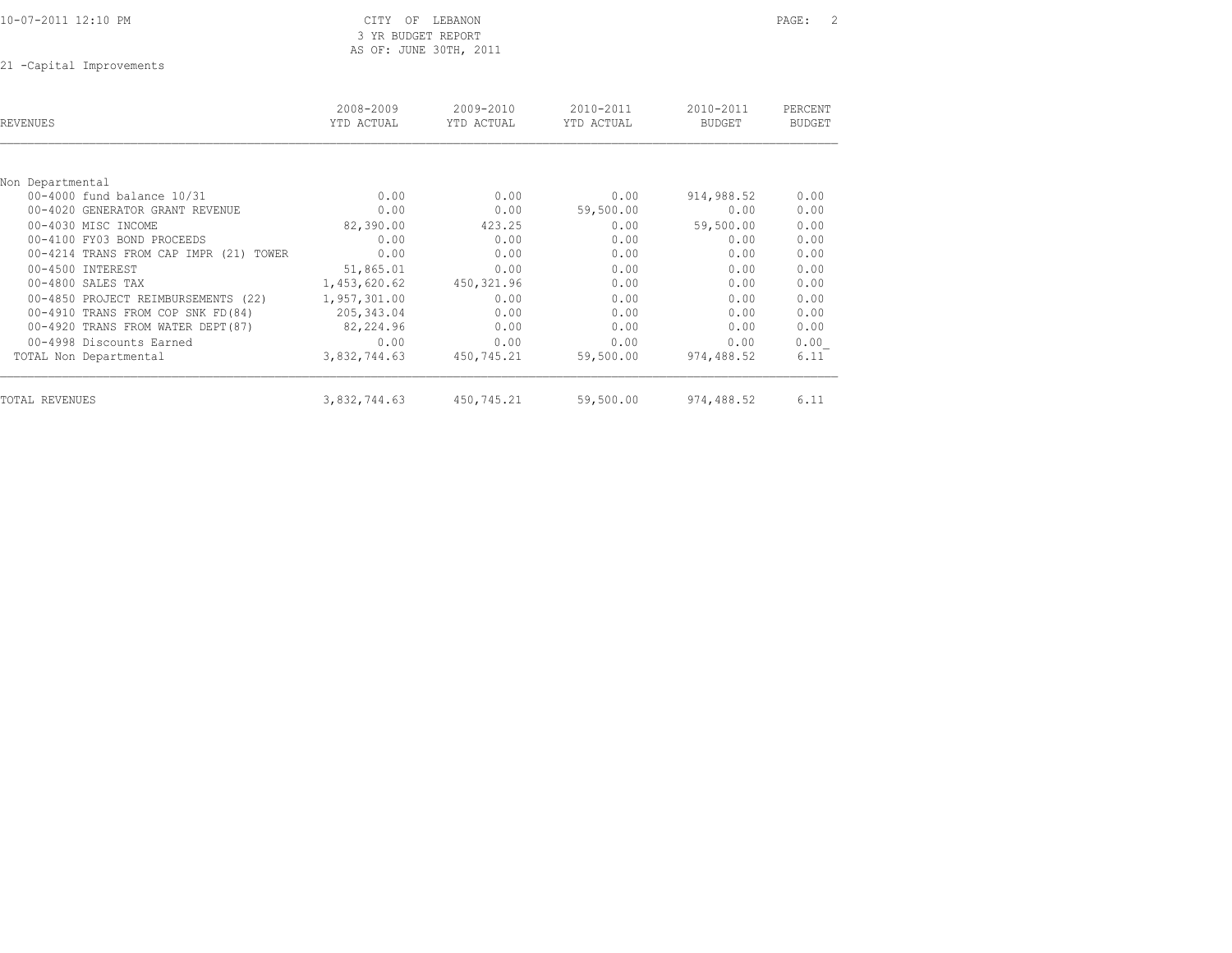|  | 10-07-2011 12:10 PM |  |  |  |
|--|---------------------|--|--|--|
|--|---------------------|--|--|--|

### CITY OF LEBANON PAGE: 2 3 YR BUDGET REPORT AS OF: JUNE 30TH, 2011

21 -Capital Improvements

| <b>REVENUES</b>                        | 2008-2009<br>YTD ACTUAL | 2009-2010<br>YTD ACTUAL | 2010-2011<br>YTD ACTUAL | 2010-2011<br><b>BUDGET</b> | PERCENT<br><b>BUDGET</b> |
|----------------------------------------|-------------------------|-------------------------|-------------------------|----------------------------|--------------------------|
|                                        |                         |                         |                         |                            |                          |
| Non Departmental                       |                         |                         |                         |                            |                          |
| 00-4000 fund balance 10/31             | 0.00                    | 0.00                    | 0.00                    | 914,988.52                 | 0.00                     |
| 00-4020 GENERATOR GRANT REVENUE        | 0.00                    | 0.00                    | 59,500.00               | 0.00                       | 0.00                     |
| 00-4030 MISC INCOME                    | 82,390.00               | 423.25                  | 0.00                    | 59,500.00                  | 0.00                     |
| 00-4100 FY03 BOND PROCEEDS             | 0.00                    | 0.00                    | 0.00                    | 0.00                       | 0.00                     |
| 00-4214 TRANS FROM CAP IMPR (21) TOWER | 0.00                    | 0.00                    | 0.00                    | 0.00                       | 0.00                     |
| 00-4500 INTEREST                       | 51,865.01               | 0.00                    | 0.00                    | 0.00                       | 0.00                     |
| 00-4800 SALES TAX                      | 1,453,620.62            | 450,321.96              | 0.00                    | 0.00                       | 0.00                     |
| 00-4850 PROJECT REIMBURSEMENTS (22)    | 1,957,301.00            | 0.00                    | 0.00                    | 0.00                       | 0.00                     |
| 00-4910 TRANS FROM COP SNK FD(84)      | 205, 343.04             | 0.00                    | 0.00                    | 0.00                       | 0.00                     |
| 00-4920 TRANS FROM WATER DEPT (87)     | 82,224.96               | 0.00                    | 0.00                    | 0.00                       | 0.00                     |
| 00-4998 Discounts Earned               | 0.00                    | 0.00                    | 0.00                    | 0.00                       | 0.00                     |
| TOTAL Non Departmental                 | 3,832,744.63            | 450,745.21              | 59,500.00               | 974,488.52                 | 6.11                     |
| TOTAL REVENUES                         | 3,832,744.63            | 450,745.21              | 59,500.00               | 974,488.52                 | 6.11                     |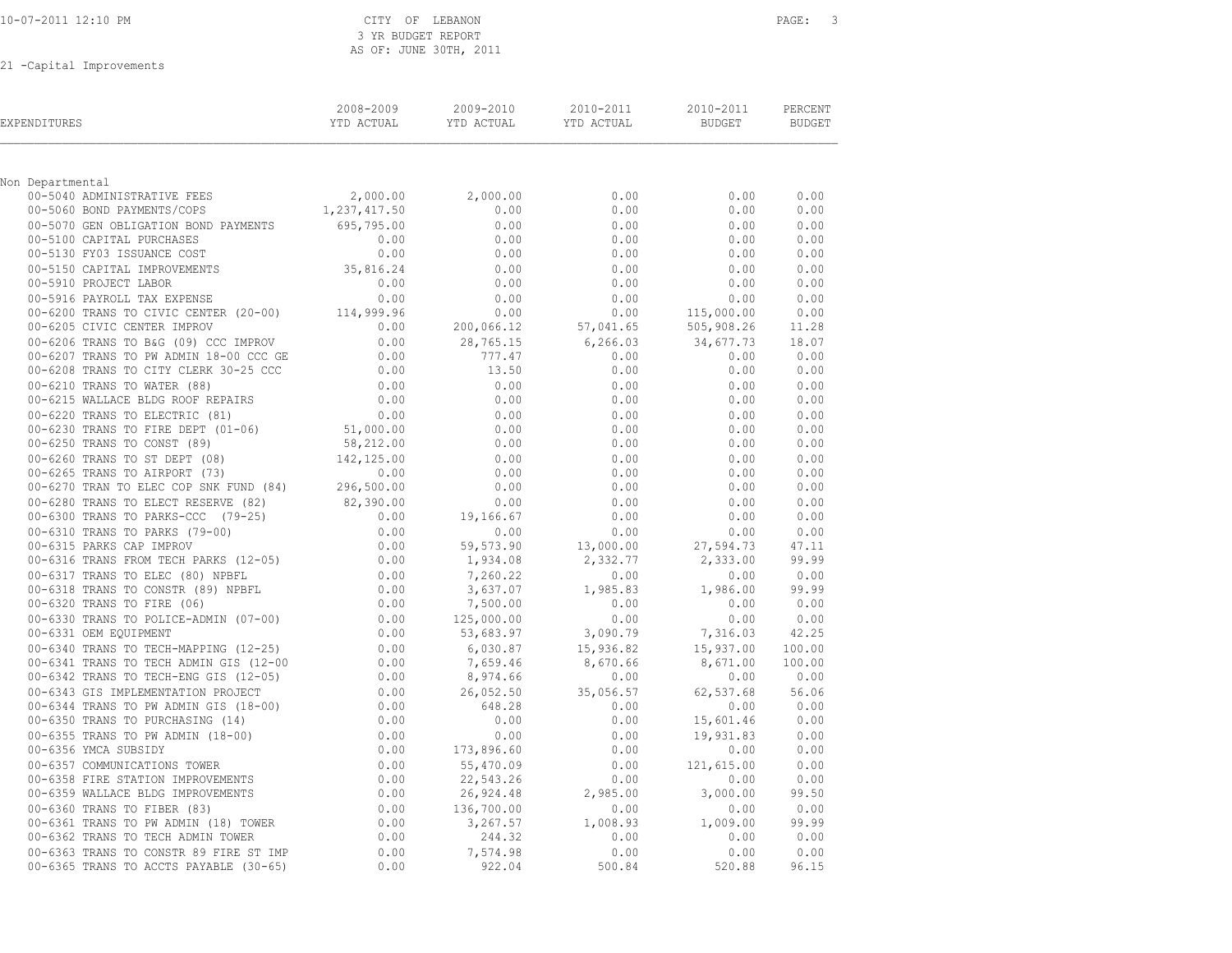|  | 10-07-2011 12:10 PM |  |  |  |
|--|---------------------|--|--|--|
|--|---------------------|--|--|--|

#### CITY OF LEBANON PAGE: 3 3 YR BUDGET REPORT AS OF: JUNE 30TH, 2011

21 -Capital Improvements

| EXPENDITURES     |                                                                                                                                                                                                                                           | 2008-2009<br>YTD ACTUAL | 2009-2010                                           | 2010-2011<br>YTD ACTUAL YTD ACTUAL BUDGET          | 2010-2011                                                                                                                                                                                                         | PERCENT<br>BUDGET |
|------------------|-------------------------------------------------------------------------------------------------------------------------------------------------------------------------------------------------------------------------------------------|-------------------------|-----------------------------------------------------|----------------------------------------------------|-------------------------------------------------------------------------------------------------------------------------------------------------------------------------------------------------------------------|-------------------|
| Non Departmental |                                                                                                                                                                                                                                           |                         |                                                     |                                                    |                                                                                                                                                                                                                   |                   |
|                  |                                                                                                                                                                                                                                           |                         | 2,000.00                                            | 0.00                                               | 0.00                                                                                                                                                                                                              | 0.00              |
|                  | 00-5040 ADMINISTRATIVE FEES 2,000.00<br>00-5060 BOND PAYMENTS/COPS 1,237,417.50                                                                                                                                                           |                         | 0.00                                                | 0.00                                               | 0.00                                                                                                                                                                                                              | 0.00              |
|                  |                                                                                                                                                                                                                                           |                         |                                                     | 0.00                                               | 0.00                                                                                                                                                                                                              | 0.00              |
|                  |                                                                                                                                                                                                                                           |                         |                                                     | 0.00                                               | 0.00                                                                                                                                                                                                              | 0.00              |
|                  |                                                                                                                                                                                                                                           |                         |                                                     | 0.00                                               | 0.00                                                                                                                                                                                                              | 0.00              |
|                  |                                                                                                                                                                                                                                           |                         |                                                     | 0.00                                               | $0.00$<br>$0.00$                                                                                                                                                                                                  | 0.00              |
|                  |                                                                                                                                                                                                                                           |                         |                                                     | 0.00                                               |                                                                                                                                                                                                                   | 0.00              |
|                  |                                                                                                                                                                                                                                           |                         |                                                     | 0.00                                               | 0.00                                                                                                                                                                                                              | 0.00              |
|                  |                                                                                                                                                                                                                                           |                         |                                                     | $0.00$<br>57,041.65                                | $0.00$<br>0.00 115,000.00 0.00                                                                                                                                                                                    |                   |
|                  |                                                                                                                                                                                                                                           |                         |                                                     |                                                    | 505,908.26                                                                                                                                                                                                        | 11.28             |
|                  |                                                                                                                                                                                                                                           |                         |                                                     | 28, 765. 15 6, 266. 03 34, 677. 73                 |                                                                                                                                                                                                                   | 18.07             |
|                  |                                                                                                                                                                                                                                           |                         |                                                     | 0.00                                               | 0.00                                                                                                                                                                                                              | 0.00              |
|                  |                                                                                                                                                                                                                                           |                         |                                                     | 0.00                                               | 0.00                                                                                                                                                                                                              | 0.00              |
|                  |                                                                                                                                                                                                                                           |                         |                                                     | 0.00<br>0.00                                       | 0.00<br>0.00                                                                                                                                                                                                      | 0.00<br>0.00      |
|                  |                                                                                                                                                                                                                                           |                         |                                                     | 0.00                                               |                                                                                                                                                                                                                   | 0.00              |
|                  |                                                                                                                                                                                                                                           |                         |                                                     | 0.00                                               | 0.00<br>0.00                                                                                                                                                                                                      | 0.00              |
|                  | 00-6220 TRANS TO ELECTRIC (81)<br>00-6230 TRANS TO FIRE DEPT (01-06)<br>00-6250 TRANS TO CONST (89)<br>00-6260 TRANS TO CONST (89)                                                                                                        | 58,212.00               | 0.00                                                | 0.00                                               | 0.00                                                                                                                                                                                                              | 0.00              |
|                  | 00-6260 TRANS TO ST DEPT (08)<br>00-6265 TRANS TO AIRPORT (73) 0.00                                                                                                                                                                       |                         | 0.00                                                | 0.00                                               | 0.00                                                                                                                                                                                                              | 0.00              |
|                  | $0.00$<br>$0.00$ = 6270 TRAN TO ELEC COP SNK FUND (84)<br>$0.00$<br>$0.00$ = 6280 TRANS TO ELECT RESERVE (82)<br>$0.00$ = 6300 TRANS TO PARKS-COC (30)<br>$0.00$ = 6300 TRANS TO PARKS-COC (30, 35)<br>$0.00$ = 6300 TRANS TO PARKS-COC ( |                         | 0.00                                                | 0.00                                               | 0.00                                                                                                                                                                                                              | 0.00              |
|                  |                                                                                                                                                                                                                                           |                         | 0.00                                                | 0.00                                               | 0.00                                                                                                                                                                                                              | 0.00              |
|                  |                                                                                                                                                                                                                                           |                         | $0.00$<br>19,166.67                                 | 0.00                                               | 0.00                                                                                                                                                                                                              | 0.00              |
|                  |                                                                                                                                                                                                                                           |                         |                                                     | 0.00                                               | 0.00                                                                                                                                                                                                              | 0.00              |
|                  |                                                                                                                                                                                                                                           |                         | 0.00                                                | $0.00$<br>13,000.00                                |                                                                                                                                                                                                                   | 0.00 0.00         |
|                  |                                                                                                                                                                                                                                           |                         | 59,573.90                                           |                                                    | 27,594.73                                                                                                                                                                                                         | 47.11             |
|                  |                                                                                                                                                                                                                                           |                         | 1,934.08                                            | 2,332.77                                           | 2,333.00                                                                                                                                                                                                          | 99.99             |
|                  |                                                                                                                                                                                                                                           |                         | 7,260.22                                            | 0.00                                               | 0.00                                                                                                                                                                                                              | 0.00              |
|                  |                                                                                                                                                                                                                                           |                         |                                                     | 1,985.83                                           | 1,986.00                                                                                                                                                                                                          | 99.99             |
|                  |                                                                                                                                                                                                                                           |                         | $3,637.07$<br>7,500.00                              | $0.00$<br>$0.00$                                   | 0.00                                                                                                                                                                                                              | 0.00              |
|                  |                                                                                                                                                                                                                                           |                         | 125,000.00                                          |                                                    | 0.00                                                                                                                                                                                                              | 0.00              |
|                  |                                                                                                                                                                                                                                           |                         | 53,683.97                                           | 3,090.79                                           | 7,316.03 42.25                                                                                                                                                                                                    |                   |
|                  |                                                                                                                                                                                                                                           |                         | 6,030.87<br>$7,659.46$<br>$8,974.66$<br>$50,974.66$ | 15,936.82                                          | 15,937.00                                                                                                                                                                                                         | 100.00            |
|                  |                                                                                                                                                                                                                                           |                         |                                                     | 8,670.66                                           | 8,671.00                                                                                                                                                                                                          | 100.00            |
|                  |                                                                                                                                                                                                                                           |                         |                                                     | 0.00                                               | 0.00 0.00<br>62,537.68 56.06                                                                                                                                                                                      |                   |
|                  |                                                                                                                                                                                                                                           |                         | 26,052.50<br>648.28                                 | $35,056.57$<br>0.00                                | 0.00                                                                                                                                                                                                              | 0.00              |
|                  |                                                                                                                                                                                                                                           |                         | 0.00                                                |                                                    |                                                                                                                                                                                                                   |                   |
|                  |                                                                                                                                                                                                                                           |                         | 0.00                                                |                                                    | $0.00$ $15,601.46$ $0.00$<br>$18,831,83$ $0.00$                                                                                                                                                                   |                   |
|                  |                                                                                                                                                                                                                                           |                         |                                                     |                                                    |                                                                                                                                                                                                                   |                   |
|                  | 00-62/0 TRAN TO ELEC COP SIN FUND (84)<br>00-6280 TRANS TO ELECT RESERVE (82)<br>00-6280 TRANS TO ELECT RESERVE (82)<br>00-6300 TRANS TO PARKS -CCC (79-25)<br>00.00<br>00-6310 TRANS TO PARKS (79-00)<br>00-6311 TRANS TO EXECT RESERVE  |                         | 173,896.60<br>55,470.09                             |                                                    | $\begin{array}{cccc} & -2, & 0.1 & 46 & 0.00 \\ 0.00 & 19, & 931.83 & 0.00 \\ 0.00 & 0.00 & 0.00 & 0.00 \\ 0.00 & 121, & 615.00 & 0.00 \\ 0.00 & 0.00 & 0.00 & 0.00 \\ 2.985 & 0.00 & 0.00 & 0.00 \\ \end{array}$ |                   |
|                  |                                                                                                                                                                                                                                           |                         |                                                     |                                                    |                                                                                                                                                                                                                   |                   |
|                  |                                                                                                                                                                                                                                           |                         |                                                     | 22,543.26 0.00 0.00<br>26,924.48 2,985.00 3,000.00 |                                                                                                                                                                                                                   | 99.50             |
|                  |                                                                                                                                                                                                                                           |                         |                                                     | 0.00                                               | 0.00                                                                                                                                                                                                              | 0.00              |
|                  |                                                                                                                                                                                                                                           |                         | 136,700.00<br>3,267.57<br>244.32                    | 1,008.93                                           | 1,009.00                                                                                                                                                                                                          | 99.99             |
|                  |                                                                                                                                                                                                                                           |                         |                                                     | 0.00                                               | 0.00 0.00                                                                                                                                                                                                         |                   |
|                  | 00 - 000 - --------<br>00 - 6363 TRANS TO CONSTR 89 FIRE ST IMP<br>00 - 000 TRANG TO BOOTS PAVARLE (30-65)                                                                                                                                |                         | 7,574.98                                            | 0.00                                               | 0.00                                                                                                                                                                                                              | 0.00              |
|                  | 00-6365 TRANS TO ACCTS PAYABLE (30-65)                                                                                                                                                                                                    | 0.00                    | 922.04                                              | 500.84                                             | 520.88                                                                                                                                                                                                            | 96.15             |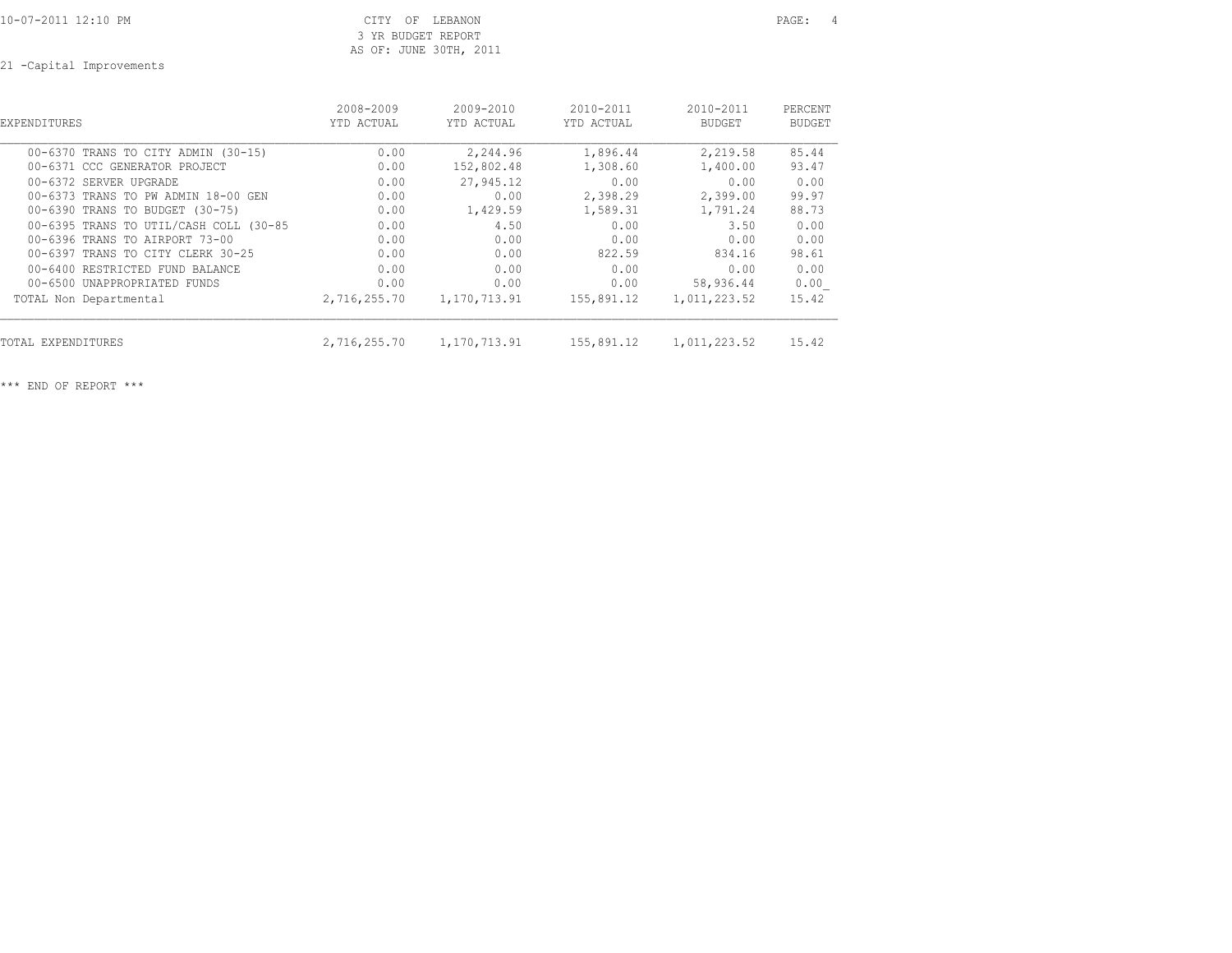## CITY OF LEBANON PAGE: 4 3 YR BUDGET REPORT AS OF: JUNE 30TH, 2011

21 -Capital Improvements

| EXPENDITURES                           | 2008-2009<br>YTD ACTUAL | $2009 - 2010$<br>YTD ACTUAL | $2010 - 2011$<br>YTD ACTUAL | $2010 - 2011$<br><b>BUDGET</b> | PERCENT<br><b>BUDGET</b> |
|----------------------------------------|-------------------------|-----------------------------|-----------------------------|--------------------------------|--------------------------|
| 00-6370 TRANS TO CITY ADMIN (30-15)    | 0.00                    | 2,244.96                    | 1,896.44                    | 2,219.58                       | 85.44                    |
| 00-6371 CCC GENERATOR PROJECT          | 0.00                    | 152,802.48                  | 1,308.60                    | 1,400.00                       | 93.47                    |
| 00-6372 SERVER UPGRADE                 | 0.00                    | 27,945.12                   | 0.00                        | 0.00                           | 0.00                     |
| 00-6373 TRANS TO PW ADMIN 18-00 GEN    | 0.00                    | 0.00                        | 2,398.29                    | 2,399.00                       | 99.97                    |
| 00-6390 TRANS TO BUDGET (30-75)        | 0.00                    | 1,429.59                    | 1,589.31                    | 1,791.24                       | 88.73                    |
| 00-6395 TRANS TO UTIL/CASH COLL (30-85 | 0.00                    | 4.50                        | 0.00                        | 3.50                           | 0.00                     |
| 00-6396 TRANS TO AIRPORT 73-00         | 0.00                    | 0.00                        | 0.00                        | 0.00                           | 0.00                     |
| 00-6397 TRANS TO CITY CLERK 30-25      | 0.00                    | 0.00                        | 822.59                      | 834.16                         | 98.61                    |
| 00-6400 RESTRICTED FUND BALANCE        | 0.00                    | 0.00                        | 0.00                        | 0.00                           | 0.00                     |
| 00-6500 UNAPPROPRIATED FUNDS           | 0.00                    | 0.00                        | 0.00                        | 58,936.44                      | 0.00                     |
| TOTAL Non Departmental                 | 2,716,255.70            | 1,170,713.91                | 155,891.12                  | 1,011,223.52                   | 15.42                    |
| TOTAL EXPENDITURES                     | 2,716,255.70            | 1,170,713.91                | 155,891.12                  | 1,011,223.52                   | 15.42                    |

\*\*\* END OF REPORT \*\*\*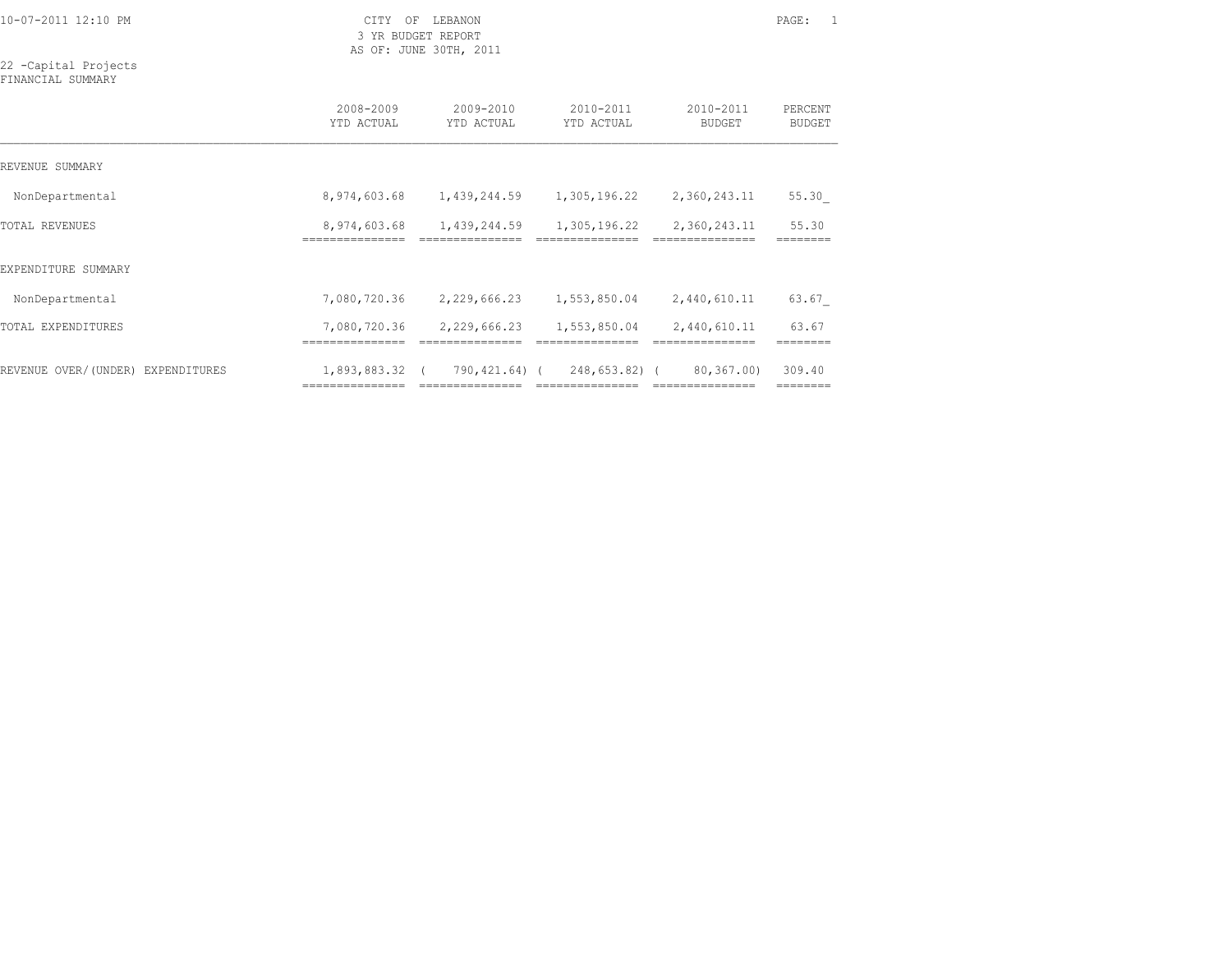10-07-2011 12:10 PM CITY OF LEBANON PAGE: 1

 3 YR BUDGET REPORT AS OF: JUNE 30TH, 2011

22 -Capital Projects FINANCIAL SUMMARY

|                                   | 2008-2009<br>YTD ACTUAL       | 2009-2010<br>YTD ACTUAL | 2010-2011<br>YTD ACTUAL | 2010-2011<br><b>BUDGET</b> | PERCENT<br><b>BUDGET</b> |
|-----------------------------------|-------------------------------|-------------------------|-------------------------|----------------------------|--------------------------|
| REVENUE SUMMARY                   |                               |                         |                         |                            |                          |
| NonDepartmental                   | 8,974,603.68                  | 1,439,244.59            | 1,305,196.22            | 2,360,243.11               | 55.30                    |
| TOTAL REVENUES                    | 8,974,603.68                  | 1,439,244.59            | 1,305,196.22            | 2,360,243.11               | 55.30                    |
| EXPENDITURE SUMMARY               |                               |                         |                         |                            |                          |
| NonDepartmental                   | 7,080,720.36                  | 2,229,666.23            | 1,553,850.04            | 2,440,610.11               | 63.67                    |
| TOTAL EXPENDITURES                | 7,080,720.36<br>------------- | 2,229,666.23            | 1,553,850.04            | 2,440,610.11               | 63.67                    |
| REVENUE OVER/(UNDER) EXPENDITURES | 1,893,883.32                  | 790,421.64) (           | $248,653.82$ ) (        | 80,367.00)                 | 309.40                   |

=============== =============== =============== =============== ========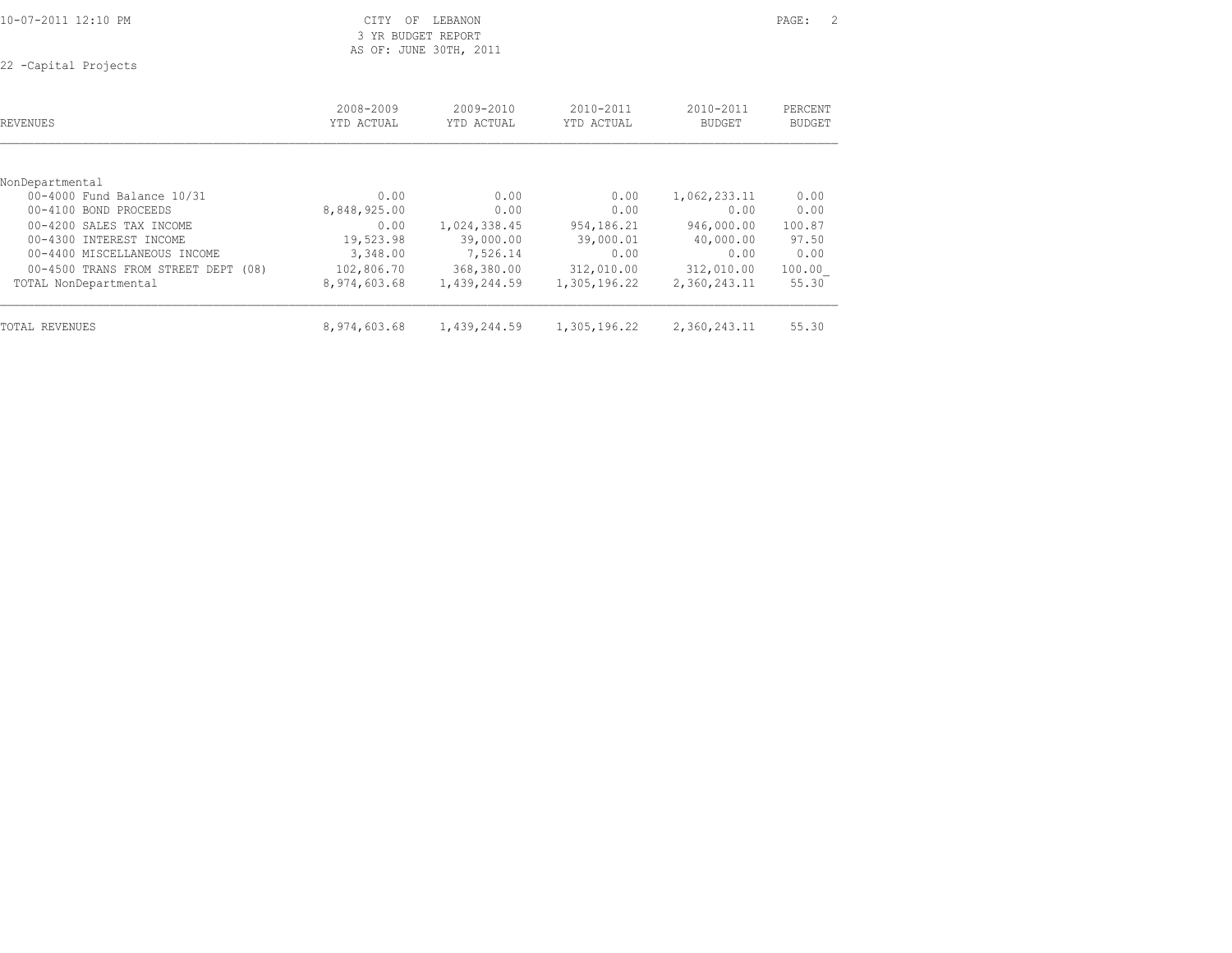| 10-07-2011 12:10 PM |  |
|---------------------|--|
|---------------------|--|

CITY OF LEBANON PAGE: 2 3 YR BUDGET REPORT AS OF: JUNE 30TH, 2011

22 -Capital Projects

| REVENUES                                      | 2008-2009<br>YTD ACTUAL | 2009-2010<br>YTD ACTUAL | 2010-2011<br>YTD ACTUAL | 2010-2011<br><b>BUDGET</b> | PERCENT<br><b>BUDGET</b> |
|-----------------------------------------------|-------------------------|-------------------------|-------------------------|----------------------------|--------------------------|
|                                               |                         |                         |                         |                            |                          |
| NonDepartmental<br>00-4000 Fund Balance 10/31 | 0.00                    | 0.00                    | 0.00                    | 1,062,233.11               | 0.00                     |
| 00-4100 BOND PROCEEDS                         | 8,848,925.00            | 0.00                    | 0.00                    | 0.00                       | 0.00                     |
|                                               |                         |                         |                         |                            |                          |
| 00-4200 SALES TAX INCOME                      | 0.00                    | 1,024,338.45            | 954,186.21              | 946,000.00                 | 100.87                   |
| 00-4300 INTEREST INCOME                       | 19,523.98               | 39,000.00               | 39,000.01               | 40,000.00                  | 97.50                    |
| 00-4400 MISCELLANEOUS INCOME                  | 3,348.00                | 7,526.14                | 0.00                    | 0.00                       | 0.00                     |
| 00-4500 TRANS FROM STREET DEPT (08)           | 102,806.70              | 368,380.00              | 312,010.00              | 312,010.00                 | 100.00                   |
| TOTAL NonDepartmental                         | 8,974,603.68            | 1,439,244.59            | 1,305,196.22            | 2,360,243.11               | 55.30                    |
| TOTAL REVENUES                                | 8,974,603.68            | 1,439,244.59            | 1,305,196.22            | 2,360,243.11               | 55.30                    |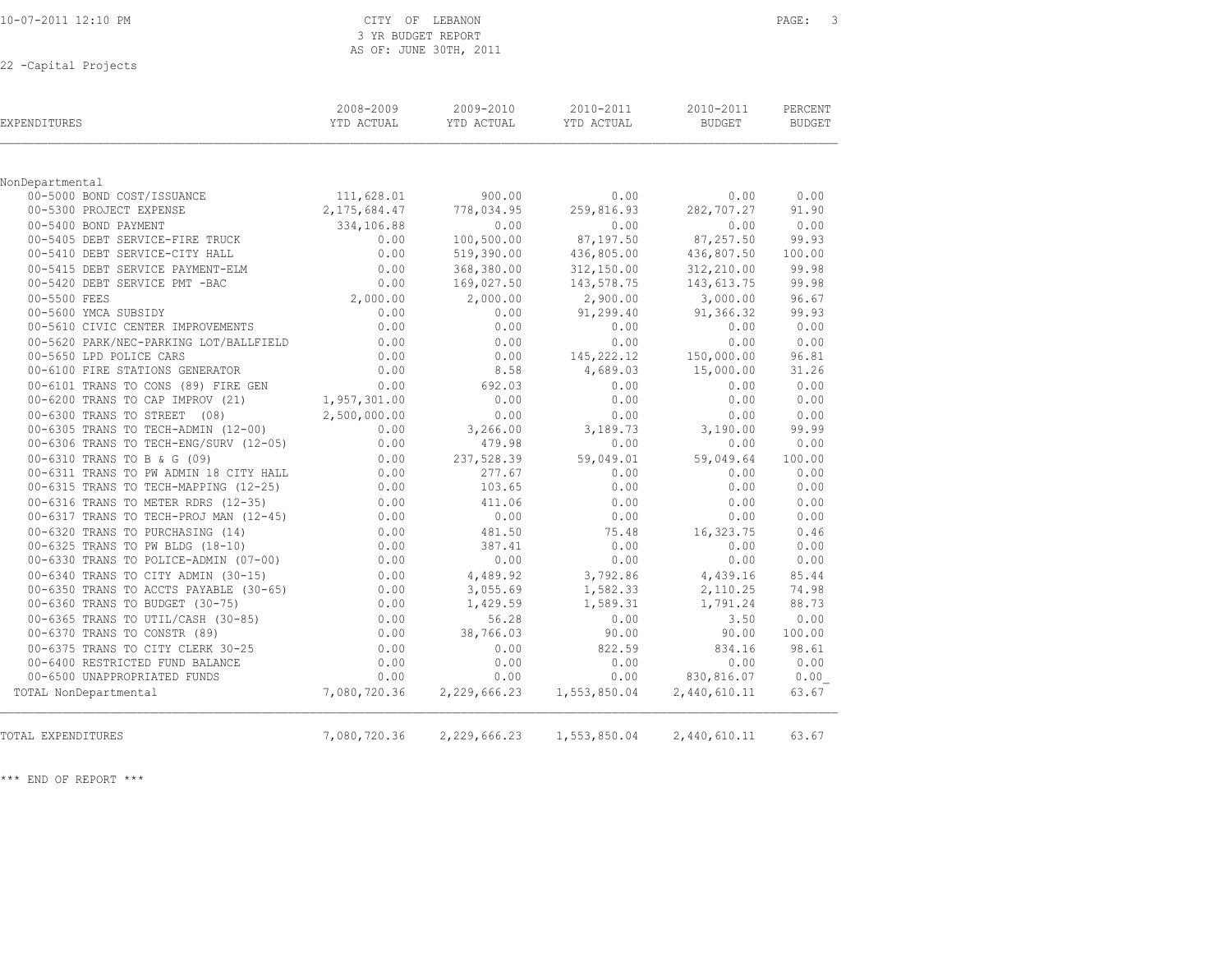| 10-07-2011 12:10 PM   |  |
|-----------------------|--|
| 22 - Capital Projects |  |

| EXPENDITURES                           | 2008-2009<br>YTD ACTUAL | 2009-2010<br>YTD ACTUAL | 2010-2011<br>YTD ACTUAL | 2010-2011<br><b>BUDGET</b> | PERCENT<br><b>BUDGET</b> |
|----------------------------------------|-------------------------|-------------------------|-------------------------|----------------------------|--------------------------|
|                                        |                         |                         |                         |                            |                          |
| NonDepartmental                        |                         |                         |                         |                            |                          |
| 00-5000 BOND COST/ISSUANCE             | 111,628.01              | 900.00                  | 0.00                    | 0.00                       | 0.00                     |
| 00-5300 PROJECT EXPENSE                | 2, 175, 684.47          | 778,034.95              | 259,816.93              | 282,707.27                 | 91.90                    |
| 00-5400 BOND PAYMENT                   | 334,106.88              | 0.00                    | 0.00                    | 0.00                       | 0.00                     |
| 00-5405 DEBT SERVICE-FIRE TRUCK        | 0.00                    | 100,500.00              | 87,197.50               | 87,257.50                  | 99.93                    |
| 00-5410 DEBT SERVICE-CITY HALL         | 0.00                    | 519,390.00              | 436,805.00              | 436,807.50                 | 100.00                   |
| 00-5415 DEBT SERVICE PAYMENT-ELM       | 0.00                    | 368,380.00              | 312,150.00              | 312,210.00                 | 99.98                    |
| 00-5420 DEBT SERVICE PMT -BAC          | 0.00                    | 169,027.50              | 143,578.75              | 143,613.75                 | 99.98                    |
| 00-5500 FEES                           | 2,000.00                | 2,000.00                | 2,900.00                | 3,000.00                   | 96.67                    |
| 00-5600 YMCA SUBSIDY                   | 0.00                    | 0.00                    | 91,299.40               | 91,366.32                  | 99.93                    |
| 00-5610 CIVIC CENTER IMPROVEMENTS      | 0.00                    | 0.00                    | 0.00                    | 0.00                       | 0.00                     |
| 00-5620 PARK/NEC-PARKING LOT/BALLFIELD | 0.00                    | 0.00                    | 0.00                    | 0.00                       | 0.00                     |
| 00-5650 LPD POLICE CARS                | 0.00                    | 0.00                    | 145,222.12              | 150,000.00                 | 96.81                    |
| 00-6100 FIRE STATIONS GENERATOR        | 0.00                    | 8.58                    | 4,689.03                | 15,000.00                  | 31.26                    |
| 00-6101 TRANS TO CONS (89) FIRE GEN    | 0.00                    | 692.03                  | 0.00                    | 0.00                       | 0.00                     |
| 00-6200 TRANS TO CAP IMPROV (21)       | 1,957,301.00            | 0.00                    | 0.00                    | 0.00                       | 0.00                     |
| 00-6300 TRANS TO STREET (08)           | 2,500,000.00            | 0.00                    | 0.00                    | 0.00                       | 0.00                     |
| 00-6305 TRANS TO TECH-ADMIN (12-00)    | 0.00                    | 3,266.00                | 3,189.73                | 3,190.00                   | 99.99                    |
| 00-6306 TRANS TO TECH-ENG/SURV (12-05) | 0.00                    | 479.98                  | 0.00                    | 0.00                       | 0.00                     |
| 00-6310 TRANS TO B & G (09)            | 0.00                    | 237,528.39              | 59,049.01               | 59,049.64                  | 100.00                   |
| 00-6311 TRANS TO PW ADMIN 18 CITY HALL | 0.00                    | 277.67                  | 0.00                    | 0.00                       | 0.00                     |
| 00-6315 TRANS TO TECH-MAPPING (12-25)  | 0.00                    | 103.65                  | 0.00                    | 0.00                       | 0.00                     |
| 00-6316 TRANS TO METER RDRS (12-35)    | 0.00                    | 411.06                  | 0.00                    | 0.00                       | 0.00                     |
| 00-6317 TRANS TO TECH-PROJ MAN (12-45) | 0.00                    | 0.00                    | 0.00                    | 0.00                       | 0.00                     |
| 00-6320 TRANS TO PURCHASING (14)       | 0.00                    | 481.50                  | 75.48                   | 16,323.75                  | 0.46                     |
| 00-6325 TRANS TO PW BLDG (18-10)       | 0.00                    | 387.41                  | 0.00                    | 0.00                       | 0.00                     |
| 00-6330 TRANS TO POLICE-ADMIN (07-00)  | 0.00                    | 0.00                    | 0.00                    | 0.00                       | 0.00                     |
| 00-6340 TRANS TO CITY ADMIN (30-15)    | 0.00                    | 4,489.92                | 3,792.86                | 4,439.16                   | 85.44                    |
| 00-6350 TRANS TO ACCTS PAYABLE (30-65) | 0.00                    | 3,055.69                | 1,582.33                | 2,110.25                   | 74.98                    |
| 00-6360 TRANS TO BUDGET (30-75)        | 0.00                    | 1,429.59                | 1,589.31                | 1,791.24                   | 88.73                    |
| 00-6365 TRANS TO UTIL/CASH (30-85)     | 0.00                    | 56.28                   | 0.00                    | 3.50                       | 0.00                     |
| 00-6370 TRANS TO CONSTR (89)           | 0.00                    | 38,766.03               | 90.00                   | 90.00                      | 100.00                   |
| 00-6375 TRANS TO CITY CLERK 30-25      | 0.00                    | 0.00                    | 822.59                  | 834.16                     | 98.61                    |
| 00-6400 RESTRICTED FUND BALANCE        | 0.00                    | 0.00                    | 0.00                    | 0.00                       | 0.00                     |
| 00-6500 UNAPPROPRIATED FUNDS           | 0.00                    | 0.00                    | 0.00                    | 830,816.07                 | 0.00                     |
| TOTAL NonDepartmental                  | 7,080,720.36            | 2,229,666.23            | 1,553,850.04            | 2,440,610.11               | 63.67                    |
| TOTAL EXPENDITURES                     | 7,080,720.36            | 2,229,666.23            | 1,553,850.04            | 2,440,610.11               | 63.67                    |

 3 YR BUDGET REPORT AS OF: JUNE 30TH, 2011

\*\*\* END OF REPORT \*\*\*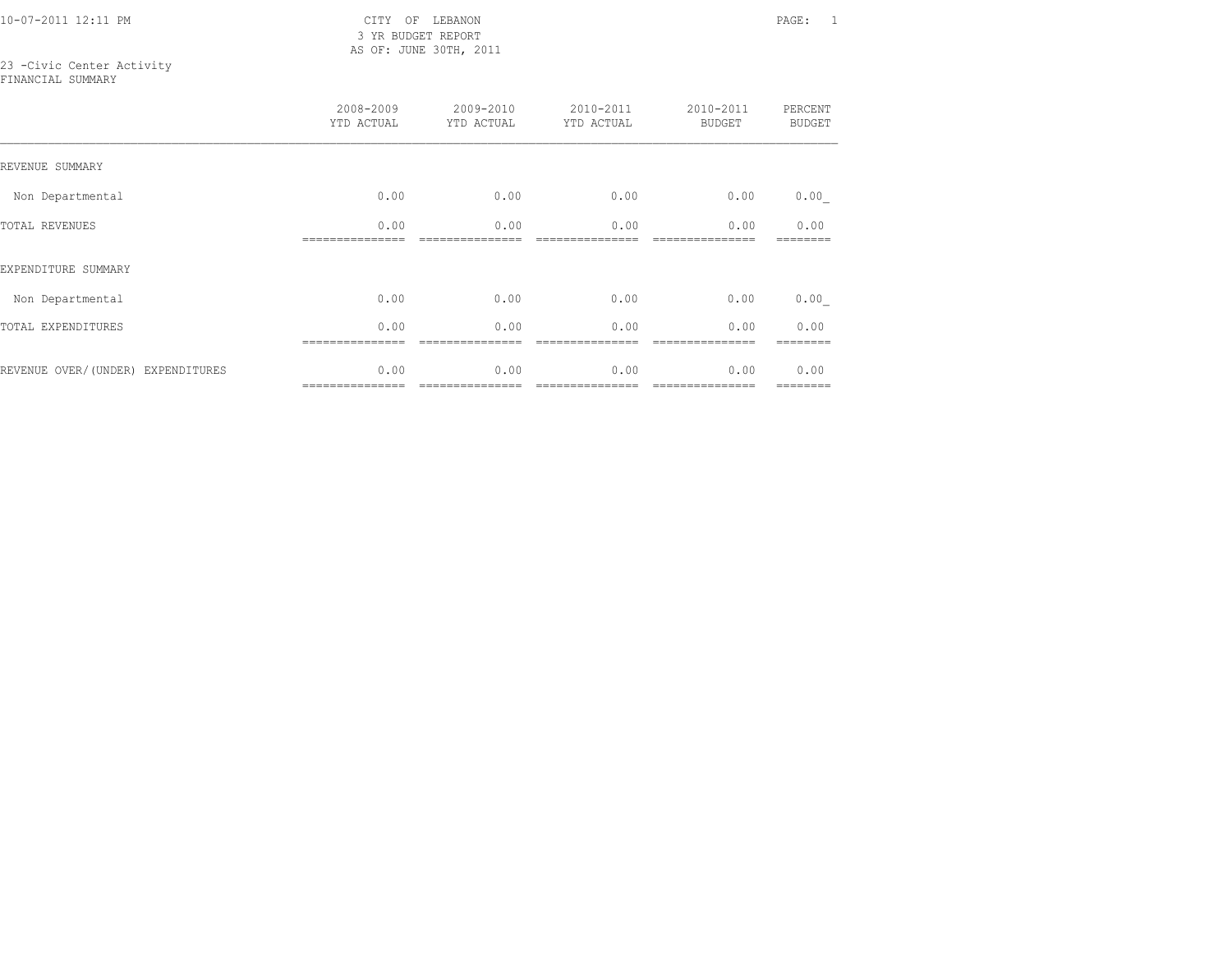10-07-2011 12:11 PM CITY OF LEBANON PAGE: 1 3 YR BUDGET REPORT AS OF: JUNE 30TH, 2011

# 23 -Civic Center Activity

FINANCIAL SUMMARY

|                                   | 2008-2009<br>YTD ACTUAL | 2009-2010<br>YTD ACTUAL | 2010-2011<br>YTD ACTUAL | 2010-2011<br><b>BUDGET</b> | PERCENT<br><b>BUDGET</b> |
|-----------------------------------|-------------------------|-------------------------|-------------------------|----------------------------|--------------------------|
| REVENUE SUMMARY                   |                         |                         |                         |                            |                          |
| Non Departmental                  | 0.00                    | 0.00                    | 0.00                    | 0.00                       | 0.00                     |
| TOTAL REVENUES                    | 0.00                    | 0.00                    | 0.00                    | 0.00                       | 0.00                     |
| EXPENDITURE SUMMARY               |                         |                         |                         |                            |                          |
| Non Departmental                  | 0.00                    | 0.00                    | 0.00                    | 0.00                       | 0.00                     |
| TOTAL EXPENDITURES                | 0.00                    | 0.00                    | 0.00                    | 0.00                       | 0.00                     |
| REVENUE OVER/(UNDER) EXPENDITURES | 0.00<br>--------------- | 0.00                    | 0.00                    | 0.00<br>===============    | 0.00<br>========         |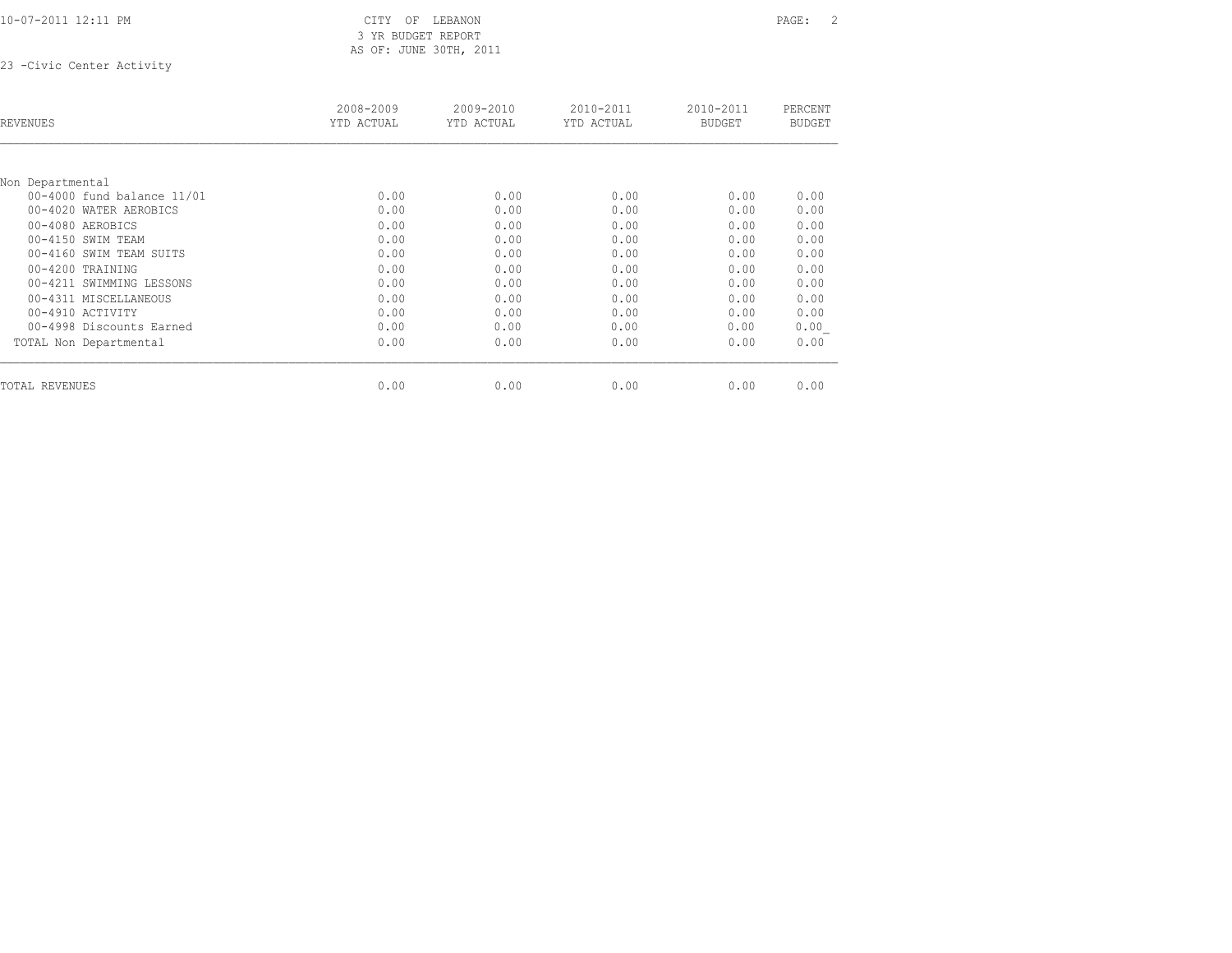### 10-07-2011 12:11 PM CITY OF LEBANON PAGE: 2 3 YR BUDGET REPORT AS OF: JUNE 30TH, 2011

23 -Civic Center Activity

| REVENUES                   | 2008-2009<br>YTD ACTUAL | 2009-2010<br>YTD ACTUAL | 2010-2011<br>YTD ACTUAL | 2010-2011<br><b>BUDGET</b> | PERCENT<br><b>BUDGET</b> |
|----------------------------|-------------------------|-------------------------|-------------------------|----------------------------|--------------------------|
|                            |                         |                         |                         |                            |                          |
| Non Departmental           |                         |                         |                         |                            |                          |
| 00-4000 fund balance 11/01 | 0.00                    | 0.00                    | 0.00                    | 0.00                       | 0.00                     |
| 00-4020 WATER AEROBICS     | 0.00                    | 0.00                    | 0.00                    | 0.00                       | 0.00                     |
| 00-4080 AEROBICS           | 0.00                    | 0.00                    | 0.00                    | 0.00                       | 0.00                     |
| 00-4150 SWIM TEAM          | 0.00                    | 0.00                    | 0.00                    | 0.00                       | 0.00                     |
| 00-4160 SWIM TEAM SUITS    | 0.00                    | 0.00                    | 0.00                    | 0.00                       | 0.00                     |
| 00-4200 TRAINING           | 0.00                    | 0.00                    | 0.00                    | 0.00                       | 0.00                     |
| 00-4211 SWIMMING LESSONS   | 0.00                    | 0.00                    | 0.00                    | 0.00                       | 0.00                     |
| 00-4311 MISCELLANEOUS      | 0.00                    | 0.00                    | 0.00                    | 0.00                       | 0.00                     |
| 00-4910 ACTIVITY           | 0.00                    | 0.00                    | 0.00                    | 0.00                       | 0.00                     |
| 00-4998 Discounts Earned   | 0.00                    | 0.00                    | 0.00                    | 0.00                       | 0.00                     |
| TOTAL Non Departmental     | 0.00                    | 0.00                    | 0.00                    | 0.00                       | 0.00                     |
| TOTAL REVENUES             | 0.00                    | 0.00                    | 0.00                    | 0.00                       | 0.00                     |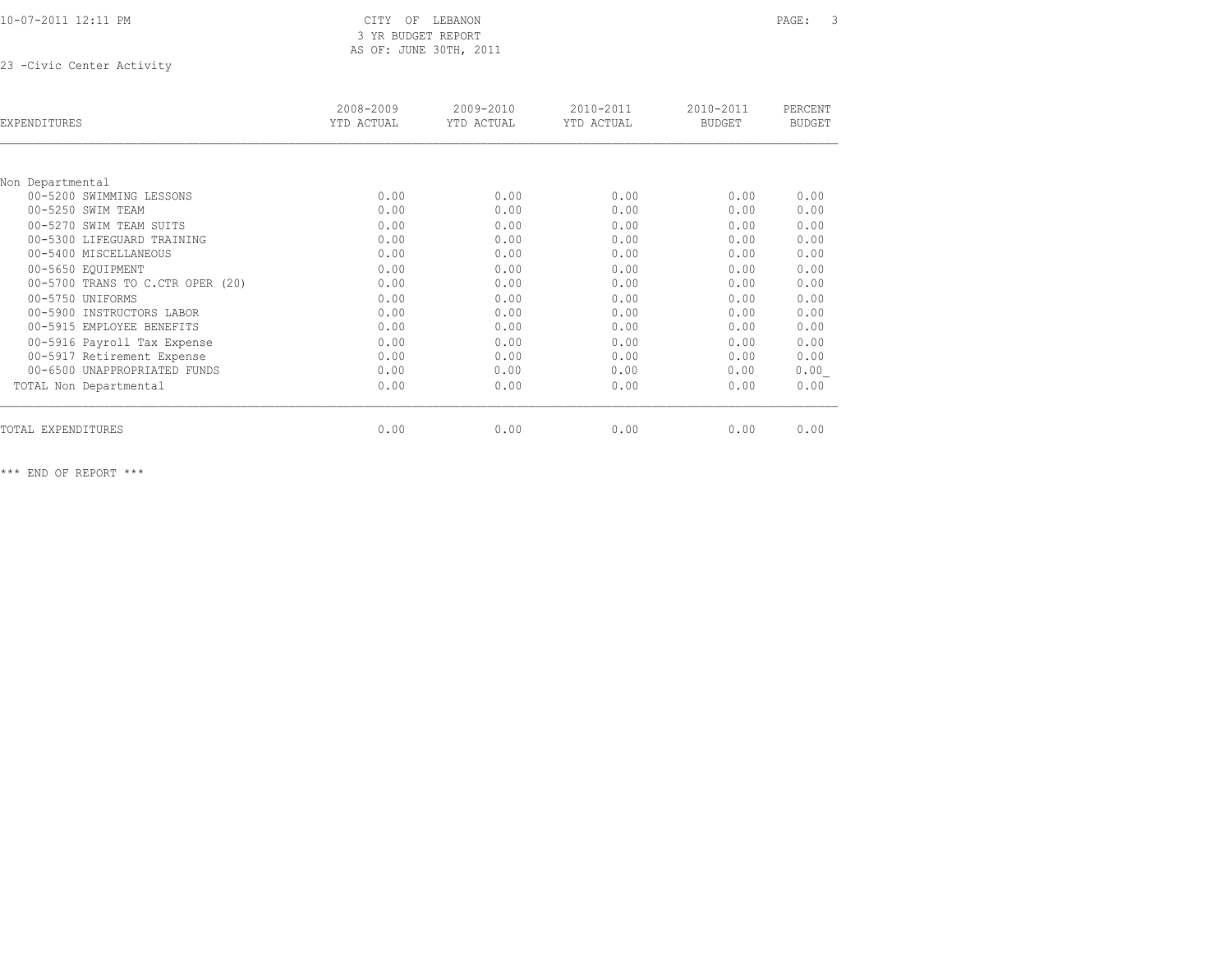10-07-2011 12:11 PM CITY OF LEBANON PAGE: 3

# 3 YR BUDGET REPORT AS OF: JUNE 30TH, 2011

23 -Civic Center Activity

| EXPENDITURES                     | 2008-2009<br>YTD ACTUAL | 2009-2010<br>YTD ACTUAL | $2010 - 2011$<br>YTD ACTUAL | 2010-2011<br><b>BUDGET</b> | PERCENT<br><b>BUDGET</b> |
|----------------------------------|-------------------------|-------------------------|-----------------------------|----------------------------|--------------------------|
|                                  |                         |                         |                             |                            |                          |
| Non Departmental                 |                         |                         |                             |                            |                          |
| 00-5200 SWIMMING LESSONS         | 0.00                    | 0.00                    | 0.00                        | 0.00                       | 0.00                     |
| 00-5250 SWIM TEAM                | 0.00                    | 0.00                    | 0.00                        | 0.00                       | 0.00                     |
| 00-5270 SWIM TEAM SUITS          | 0.00                    | 0.00                    | 0.00                        | 0.00                       | 0.00                     |
| 00-5300 LIFEGUARD TRAINING       | 0.00                    | 0.00                    | 0.00                        | 0.00                       | 0.00                     |
| 00-5400 MISCELLANEOUS            | 0.00                    | 0.00                    | 0.00                        | 0.00                       | 0.00                     |
| 00-5650 EQUIPMENT                | 0.00                    | 0.00                    | 0.00                        | 0.00                       | 0.00                     |
| 00-5700 TRANS TO C.CTR OPER (20) | 0.00                    | 0.00                    | 0.00                        | 0.00                       | 0.00                     |
| 00-5750 UNIFORMS                 | 0.00                    | 0.00                    | 0.00                        | 0.00                       | 0.00                     |
| 00-5900 INSTRUCTORS LABOR        | 0.00                    | 0.00                    | 0.00                        | 0.00                       | 0.00                     |
| 00-5915 EMPLOYEE BENEFITS        | 0.00                    | 0.00                    | 0.00                        | 0.00                       | 0.00                     |
| 00-5916 Payroll Tax Expense      | 0.00                    | 0.00                    | 0.00                        | 0.00                       | 0.00                     |
| 00-5917 Retirement Expense       | 0.00                    | 0.00                    | 0.00                        | 0.00                       | 0.00                     |
| 00-6500 UNAPPROPRIATED FUNDS     | 0.00                    | 0.00                    | 0.00                        | 0.00                       | 0.00                     |
| TOTAL Non Departmental           | 0.00                    | 0.00                    | 0.00                        | 0.00                       | 0.00                     |
|                                  |                         |                         |                             |                            | 0.00                     |
| TOTAL EXPENDITURES               | 0.00                    | 0.00                    | 0.00                        | 0.00                       |                          |

\*\*\* END OF REPORT \*\*\*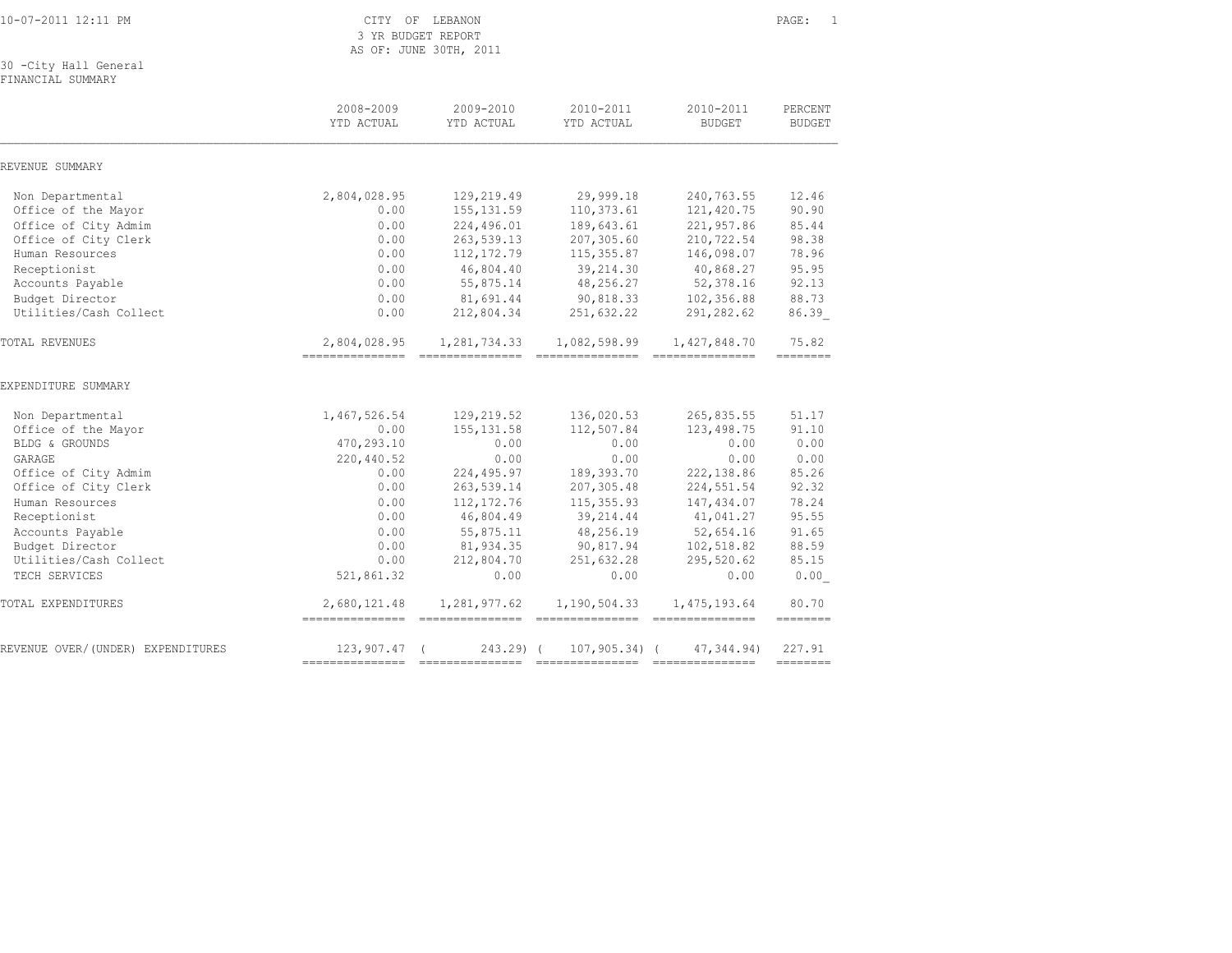10-07-2011 12:11 PM CITY OF LEBANON PAGE: 1

 3 YR BUDGET REPORT AS OF: JUNE 30TH, 2011

30 -City Hall General

FINANCIAL SUMMARY

|                                   | 2008-2009<br>YTD ACTUAL                       | 2009-2010<br>YTD ACTUAL | 2010-2011<br>YTD ACTUAL | 2010-2011<br><b>BUDGET</b> | PERCENT<br><b>BUDGET</b> |
|-----------------------------------|-----------------------------------------------|-------------------------|-------------------------|----------------------------|--------------------------|
| REVENUE SUMMARY                   |                                               |                         |                         |                            |                          |
| Non Departmental                  | 2,804,028.95                                  | 129,219.49              | 29,999.18               | 240,763.55                 | 12.46                    |
| Office of the Mayor               | 0.00                                          | 155, 131.59             | 110,373.61              | 121,420.75                 | 90.90                    |
| Office of City Admim              | 0.00                                          | 224,496.01              | 189,643.61              | 221,957.86                 | 85.44                    |
| Office of City Clerk              | 0.00                                          | 263,539.13              | 207,305.60              | 210,722.54                 | 98.38                    |
| Human Resources                   | 0.00                                          | 112, 172.79             | 115, 355.87             | 146,098.07                 | 78.96                    |
| Receptionist                      | 0.00                                          | 46,804.40               | 39,214.30               | 40,868.27                  | 95.95                    |
| Accounts Payable                  | 0.00                                          | 55,875.14               | 48,256.27               | 52,378.16                  | 92.13                    |
| Budget Director                   | 0.00                                          | 81,691.44               | 90,818.33               | 102,356.88                 | 88.73                    |
| Utilities/Cash Collect            | 0.00                                          | 212,804.34              | 251,632.22              | 291,282.62                 | 86.39                    |
| <b>TOTAL REVENUES</b>             | 2,804,028.95                                  | 1,281,734.33            | 1,082,598.99            | 1,427,848.70               | 75.82<br>--------        |
| EXPENDITURE SUMMARY               |                                               |                         |                         |                            |                          |
| Non Departmental                  | 1,467,526.54                                  | 129,219.52              | 136,020.53              | 265,835.55                 | 51.17                    |
| Office of the Mayor               | 0.00                                          | 155, 131.58             | 112,507.84              | 123, 498.75                | 91.10                    |
| BLDG & GROUNDS                    | 470,293.10                                    | 0.00                    | 0.00                    | 0.00                       | 0.00                     |
| GARAGE                            | 220,440.52                                    | 0.00                    | 0.00                    | 0.00                       | 0.00                     |
| Office of City Admim              | 0.00                                          | 224,495.97              | 189,393.70              | 222,138.86                 | 85.26                    |
| Office of City Clerk              | 0.00                                          | 263,539.14              | 207,305.48              | 224,551.54                 | 92.32                    |
| Human Resources                   | 0.00                                          | 112, 172.76             | 115, 355.93             | 147,434.07                 | 78.24                    |
| Receptionist                      | 0.00                                          | 46,804.49               | 39, 214.44              | 41,041.27                  | 95.55                    |
| Accounts Payable                  | 0.00                                          | 55,875.11               | 48,256.19               | 52,654.16                  | 91.65                    |
| Budget Director                   | 0.00                                          | 81,934.35               | 90,817.94               | 102,518.82                 | 88.59                    |
| Utilities/Cash Collect            | 0.00                                          | 212,804.70              | 251,632.28              | 295,520.62                 | 85.15                    |
| TECH SERVICES                     | 521,861.32                                    | 0.00                    | 0.00                    | 0.00                       | 0.00                     |
| TOTAL EXPENDITURES                | 2,680,121.48<br>============================= | 1,281,977.62            | 1,190,504.33            | 1,475,193.64               | 80.70<br>--------        |
| REVENUE OVER/(UNDER) EXPENDITURES | $123,907,47$ (                                | $243.29$ $($            | $107, 905, 34)$ (       | 47, 344, 94)               | 227.91<br>--------       |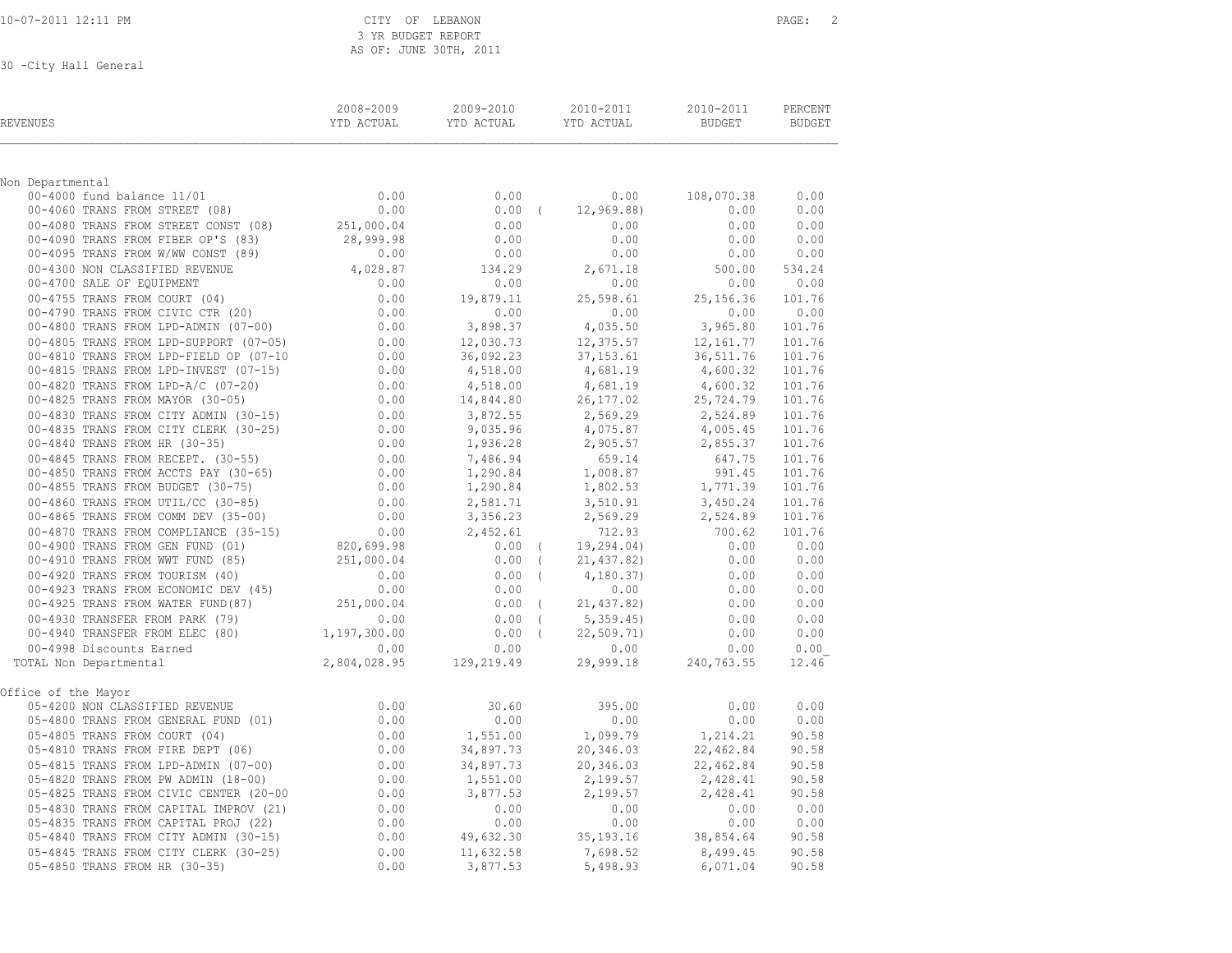|  | 10-07-2011 12:11 PM |  |
|--|---------------------|--|
|  |                     |  |

CITY OF LEBANON PAGE: 2 3 YR BUDGET REPORT AS OF: JUNE 30TH, 2011

| REVENUES                                                                                                                                                                                                                                                            | 2008-2009 | 2009-2010<br><b>THE SECTED SECTION CONTROL</b><br>TENNIS TENNIS TENNIS YED ACTUAL | 2010-2011<br>YTD ACTUAL BUDGET BUDGET                                              | 2010-2011                      | PERCENT                 |
|---------------------------------------------------------------------------------------------------------------------------------------------------------------------------------------------------------------------------------------------------------------------|-----------|-----------------------------------------------------------------------------------|------------------------------------------------------------------------------------|--------------------------------|-------------------------|
| Non Departmental                                                                                                                                                                                                                                                    |           |                                                                                   |                                                                                    |                                |                         |
|                                                                                                                                                                                                                                                                     | 0.00      | 0.00                                                                              | 0.00                                                                               | 108,070.38                     | 0.00                    |
| 00-4000 fund balance 11/01<br>00-4060 TRANS FROM STREET (08)                                                                                                                                                                                                        | 0.00      | $0.00$ (                                                                          | 12,969.88)                                                                         | 0.00                           | 0.00                    |
| 00-4080 TRANS FROM STREET CONST (08)<br>00-4090 TRANS FROM FIBER OP'S (83) 28,999.98 0.00                                                                                                                                                                           |           |                                                                                   | 0.00                                                                               | 0.00                           | 0.00                    |
| 00-4090 TRANS FROM FIBER OP'S (83)                                                                                                                                                                                                                                  |           |                                                                                   | 0.00                                                                               | 0.00                           | 0.00                    |
|                                                                                                                                                                                                                                                                     |           |                                                                                   |                                                                                    | 0.00                           | 0.00                    |
| 00 -4000 TRAIN PROM FIBER OP 'S (83)<br>00 -4090 TRAIN PROM FIBER OP 'S (83)<br>00 -4000 TRAIN PROM FIBER OP 'S (83)<br>00 -4000 SALE OF EQUIPMENT<br>00-4700 SALE OF EQUIPMENT<br>00-4700 SALE OF EQUIPMENT<br>00-4700 SALE OF EQUIPMENT                           |           |                                                                                   |                                                                                    | $500.00$ $534.24$<br>0.00 0.00 |                         |
|                                                                                                                                                                                                                                                                     |           |                                                                                   |                                                                                    |                                |                         |
|                                                                                                                                                                                                                                                                     |           |                                                                                   |                                                                                    | 25, 156.36                     | 101.76<br>$0.00$ $0.00$ |
|                                                                                                                                                                                                                                                                     |           |                                                                                   |                                                                                    | 3,965.80                       | 101.76                  |
|                                                                                                                                                                                                                                                                     |           |                                                                                   |                                                                                    |                                | 101.76                  |
|                                                                                                                                                                                                                                                                     |           |                                                                                   |                                                                                    |                                | 101.76                  |
|                                                                                                                                                                                                                                                                     |           |                                                                                   |                                                                                    |                                | 101.76                  |
|                                                                                                                                                                                                                                                                     |           |                                                                                   | $4,681.19$<br>$4,600.32$<br>$4,681.19$<br>$4,600.32$<br>$26,177.02$<br>$25,724.79$ |                                | 101.76                  |
|                                                                                                                                                                                                                                                                     |           |                                                                                   |                                                                                    |                                | 101.76                  |
|                                                                                                                                                                                                                                                                     |           |                                                                                   | $3,872.55$ $2,569.29$ $2,524.89$                                                   |                                | 101.76                  |
|                                                                                                                                                                                                                                                                     |           |                                                                                   |                                                                                    | 4,005.45                       | 101.76                  |
|                                                                                                                                                                                                                                                                     |           |                                                                                   | 2,905.57<br>659.14                                                                 | 2,855.37                       | 101.76                  |
|                                                                                                                                                                                                                                                                     |           |                                                                                   |                                                                                    | 647.75                         | 101.76                  |
|                                                                                                                                                                                                                                                                     |           |                                                                                   |                                                                                    | 991.45                         | 101.76                  |
|                                                                                                                                                                                                                                                                     |           |                                                                                   |                                                                                    | $1,771.39$<br>$3,450.24$       | 101.76                  |
|                                                                                                                                                                                                                                                                     |           |                                                                                   |                                                                                    | 2,524.89                       | 101.76<br>101.76        |
|                                                                                                                                                                                                                                                                     |           |                                                                                   |                                                                                    | 700.62                         | 101.76                  |
|                                                                                                                                                                                                                                                                     |           |                                                                                   |                                                                                    | $0.00$ $0.00$                  |                         |
|                                                                                                                                                                                                                                                                     |           |                                                                                   |                                                                                    |                                |                         |
|                                                                                                                                                                                                                                                                     |           |                                                                                   |                                                                                    | $0.00$ $0.00$<br>0.00 0.00     |                         |
|                                                                                                                                                                                                                                                                     |           |                                                                                   |                                                                                    | 0.00                           | 0.00                    |
|                                                                                                                                                                                                                                                                     |           |                                                                                   |                                                                                    | 0.00                           | 0.00                    |
|                                                                                                                                                                                                                                                                     |           |                                                                                   |                                                                                    | 0.00                           | 0.00                    |
|                                                                                                                                                                                                                                                                     |           |                                                                                   |                                                                                    | 0.00                           | 0.00                    |
|                                                                                                                                                                                                                                                                     |           |                                                                                   |                                                                                    | 0.00                           | 0.00                    |
| 00–4865 TRANS FROM COMM DEV (35–00)<br>00–4870 TRANS FROM COMPLIANCE (35–15)<br>00–4900 TRANS FROM GEN FUND (01)<br>02–4900 TRANS FROM GEN FUND (01)<br>02–4910 TRANS FROM WWT FUND (85)<br>02–4910 TRANS FROM WWT FUND (85)<br>02–4923 T<br>TOTAL Non Departmental |           |                                                                                   |                                                                                    | 29,999.18 240,763.55           | 12.46                   |
| Office of the Mayor                                                                                                                                                                                                                                                 |           |                                                                                   |                                                                                    |                                |                         |
| 05-4200 NON CLASSIFIED REVENUE                                                                                                                                                                                                                                      | 0.00      | 30.60                                                                             | 395.00                                                                             | 0.00                           | 0.00                    |
|                                                                                                                                                                                                                                                                     |           |                                                                                   | 0.00                                                                               | 0.00                           | 0.00                    |
|                                                                                                                                                                                                                                                                     |           |                                                                                   | 1,099.79                                                                           | 1,214.21                       | 90.58                   |
|                                                                                                                                                                                                                                                                     |           |                                                                                   | 20,346.03                                                                          | 22,462.84                      | 90.58                   |
|                                                                                                                                                                                                                                                                     |           |                                                                                   | 20,346.03                                                                          | 22,462.84                      | 90.58                   |
|                                                                                                                                                                                                                                                                     |           |                                                                                   | $2,199.57$<br>2,199.57                                                             | 2,428.41                       | 90.58                   |
|                                                                                                                                                                                                                                                                     |           |                                                                                   |                                                                                    | 2,428.41 90.58                 |                         |
|                                                                                                                                                                                                                                                                     |           | 0.00                                                                              | 0.00                                                                               | 0.00                           | 0.00                    |
|                                                                                                                                                                                                                                                                     |           | 0.00                                                                              | 0.00<br>35, 193. 16                                                                | 0.00<br>38,854.64 90.58        | 0.00                    |
|                                                                                                                                                                                                                                                                     |           |                                                                                   | 7,698.52                                                                           | 8,499.45                       | 90.58                   |
| 05-4845 TRANS FROM CITY CLERK (30-25)<br>05-4850 TRANS FROM HR (30-35)<br>05-4850 TRANS FROM HR (30-35)                                                                                                                                                             | 0.00      | 3,877.53                                                                          | 5,498.93                                                                           | 6,071.04                       | 90.58                   |
|                                                                                                                                                                                                                                                                     |           |                                                                                   |                                                                                    |                                |                         |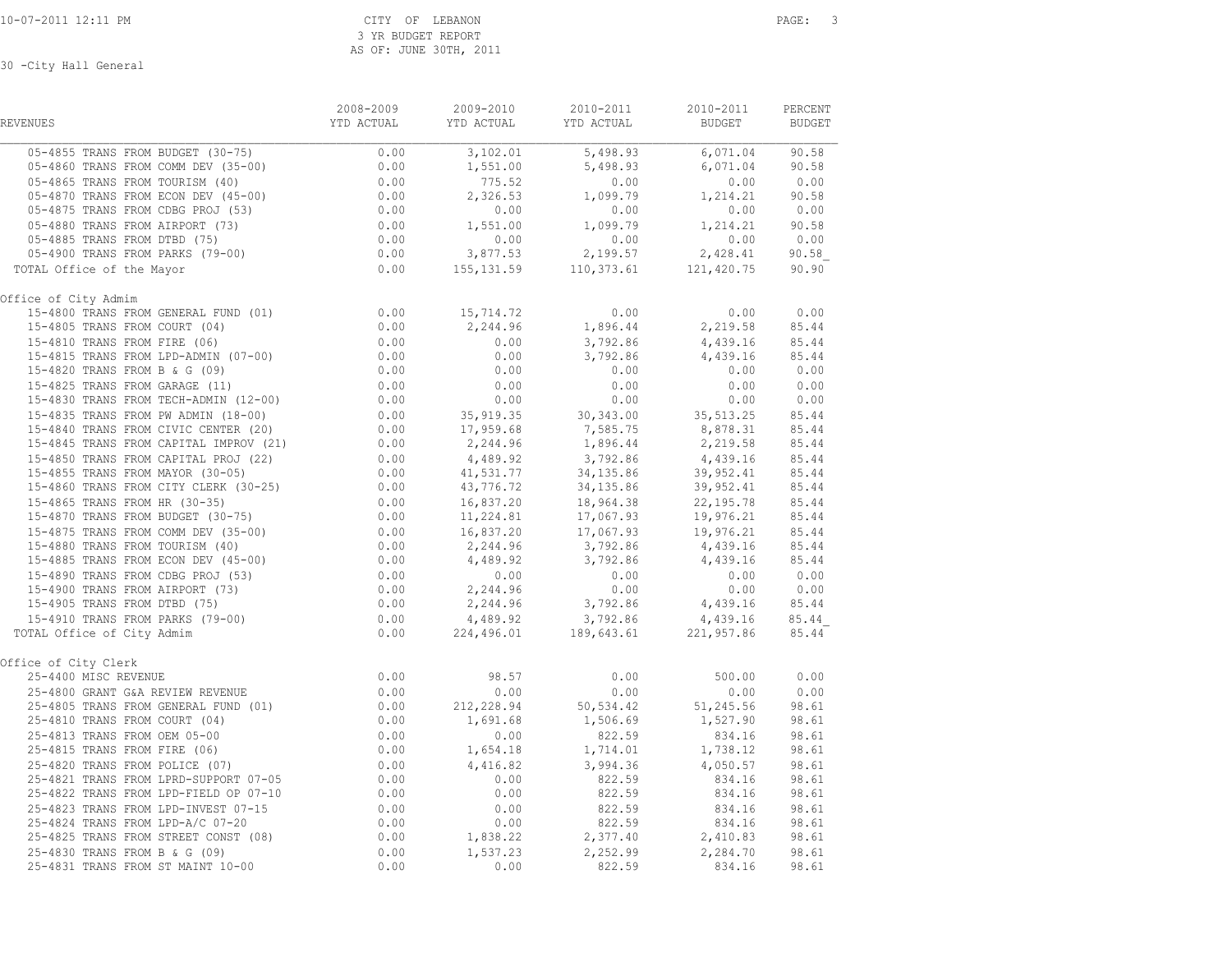| <b>REVENUES</b>           |  | $\begin{tabular}{lcccc} 2008-2009 & 2009-2010 & 2010-2011 & 2010-2011 & 3010-2011 \end{tabular} \begin{tabular}{lcccc} \bf 2008-2009 & 2009-2010 & 2010-2011 & 3010-2011 \end{tabular}$ |  |
|---------------------------|--|-----------------------------------------------------------------------------------------------------------------------------------------------------------------------------------------|--|
|                           |  |                                                                                                                                                                                         |  |
|                           |  |                                                                                                                                                                                         |  |
|                           |  |                                                                                                                                                                                         |  |
|                           |  |                                                                                                                                                                                         |  |
|                           |  |                                                                                                                                                                                         |  |
|                           |  |                                                                                                                                                                                         |  |
|                           |  |                                                                                                                                                                                         |  |
|                           |  |                                                                                                                                                                                         |  |
| TOTAL Office of the Mayor |  |                                                                                                                                                                                         |  |
| Office of City Admim      |  |                                                                                                                                                                                         |  |
|                           |  |                                                                                                                                                                                         |  |
|                           |  |                                                                                                                                                                                         |  |
|                           |  |                                                                                                                                                                                         |  |
|                           |  |                                                                                                                                                                                         |  |
|                           |  |                                                                                                                                                                                         |  |
|                           |  |                                                                                                                                                                                         |  |
|                           |  |                                                                                                                                                                                         |  |
|                           |  |                                                                                                                                                                                         |  |
|                           |  |                                                                                                                                                                                         |  |
|                           |  |                                                                                                                                                                                         |  |
|                           |  |                                                                                                                                                                                         |  |
|                           |  |                                                                                                                                                                                         |  |
|                           |  |                                                                                                                                                                                         |  |
|                           |  |                                                                                                                                                                                         |  |
|                           |  |                                                                                                                                                                                         |  |
|                           |  |                                                                                                                                                                                         |  |
|                           |  |                                                                                                                                                                                         |  |
|                           |  |                                                                                                                                                                                         |  |
|                           |  |                                                                                                                                                                                         |  |
|                           |  |                                                                                                                                                                                         |  |
|                           |  |                                                                                                                                                                                         |  |
|                           |  |                                                                                                                                                                                         |  |
| Office of City Clerk      |  |                                                                                                                                                                                         |  |
|                           |  |                                                                                                                                                                                         |  |
|                           |  |                                                                                                                                                                                         |  |
|                           |  |                                                                                                                                                                                         |  |
|                           |  |                                                                                                                                                                                         |  |
|                           |  |                                                                                                                                                                                         |  |
|                           |  |                                                                                                                                                                                         |  |
|                           |  |                                                                                                                                                                                         |  |
|                           |  |                                                                                                                                                                                         |  |
|                           |  |                                                                                                                                                                                         |  |
|                           |  |                                                                                                                                                                                         |  |
|                           |  |                                                                                                                                                                                         |  |
|                           |  |                                                                                                                                                                                         |  |
|                           |  |                                                                                                                                                                                         |  |
|                           |  |                                                                                                                                                                                         |  |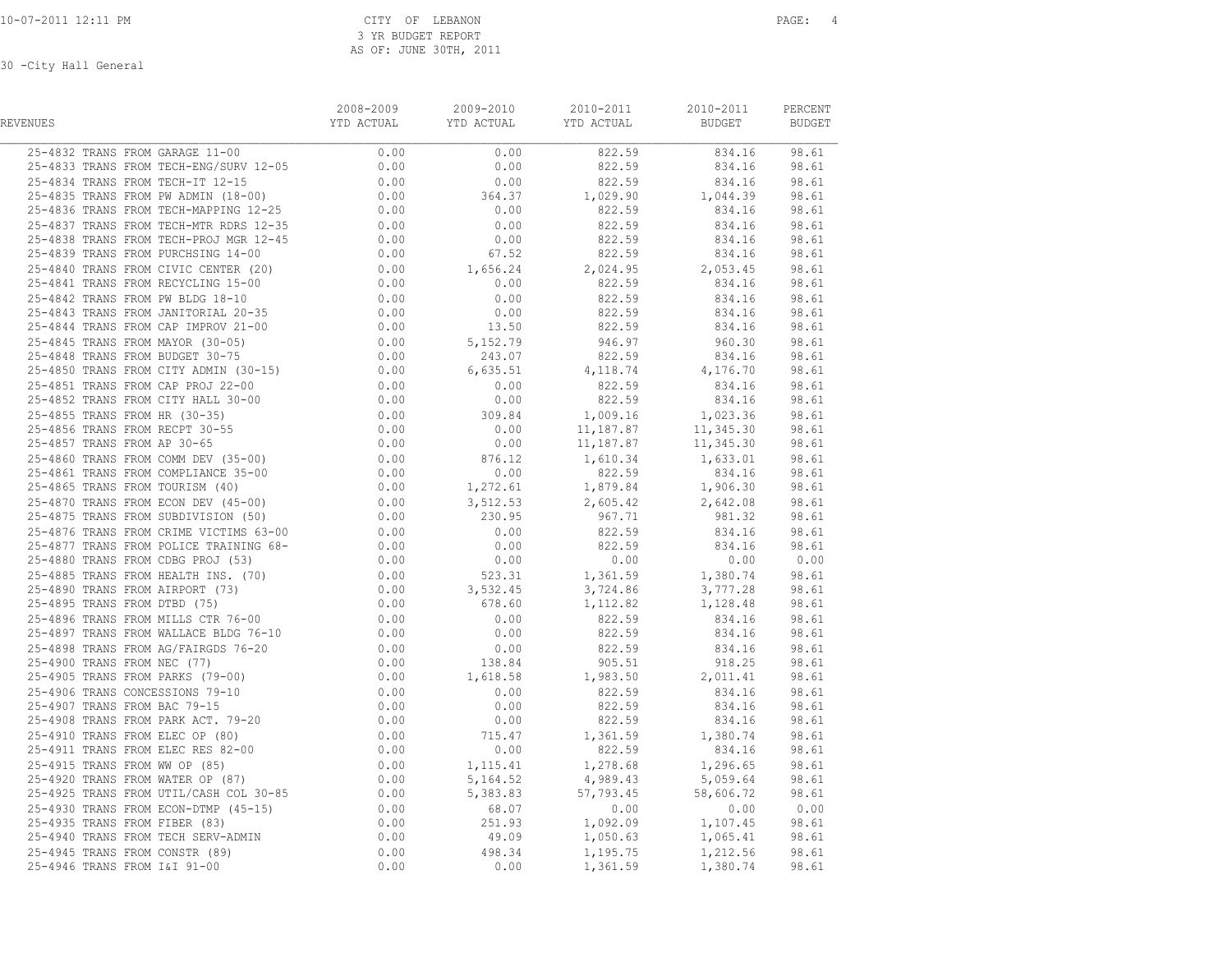| REVENUES                                                                                                                                                                                                                                                                                                               | 2008-2009 | 2009-2010 | 2010-2011<br>YTD ACTUAL         YTD ACTUAL           YTD ACTUAL                BUDGET            BUDGET | 2010-2011 | PERCENT |
|------------------------------------------------------------------------------------------------------------------------------------------------------------------------------------------------------------------------------------------------------------------------------------------------------------------------|-----------|-----------|---------------------------------------------------------------------------------------------------------|-----------|---------|
| 25-4832 TRANS FROM GARAGE 11-00 0.00 0.00 0.00 0.25-4833 TRANS FROM TECH-ENG/SURV 12-05 0.00 0.00 0.00 0.25-4833 TRANS FROM TECH-ENG/SURV 12-05                                                                                                                                                                        |           |           |                                                                                                         |           |         |
|                                                                                                                                                                                                                                                                                                                        |           |           |                                                                                                         |           |         |
| $\begin{array}{cccccccc} 25-4834 & \text{TRANS FROM TECH-IT} & 12-15 & 0.00 & 0.00 & 822.59 & 834.16 & 98.61 \\ 25-4835 & \text{TRANS FROM PW} & 18-00) & 0.00 & 364.37 & 1,029.90 & 1,044.39 & 98.61 \\ 25-4836 & \text{TRANS FROM TECH-MAPPING} & 12-25 & 0.00 & 0.00 & 822.59 & 834.16 & 98.61 \\ \end{array}$      |           |           |                                                                                                         |           |         |
|                                                                                                                                                                                                                                                                                                                        |           |           |                                                                                                         |           |         |
|                                                                                                                                                                                                                                                                                                                        |           |           | $822.59$<br>$822.59$<br>$822.59$<br>$822.59$                                                            |           |         |
|                                                                                                                                                                                                                                                                                                                        |           |           |                                                                                                         |           |         |
|                                                                                                                                                                                                                                                                                                                        |           |           |                                                                                                         |           |         |
|                                                                                                                                                                                                                                                                                                                        |           |           |                                                                                                         |           |         |
|                                                                                                                                                                                                                                                                                                                        |           |           |                                                                                                         |           |         |
|                                                                                                                                                                                                                                                                                                                        |           |           |                                                                                                         |           |         |
|                                                                                                                                                                                                                                                                                                                        |           |           |                                                                                                         |           |         |
|                                                                                                                                                                                                                                                                                                                        |           |           |                                                                                                         |           |         |
|                                                                                                                                                                                                                                                                                                                        |           |           |                                                                                                         |           |         |
|                                                                                                                                                                                                                                                                                                                        |           |           |                                                                                                         |           |         |
|                                                                                                                                                                                                                                                                                                                        |           |           |                                                                                                         |           |         |
|                                                                                                                                                                                                                                                                                                                        |           |           |                                                                                                         |           |         |
|                                                                                                                                                                                                                                                                                                                        |           |           |                                                                                                         |           |         |
|                                                                                                                                                                                                                                                                                                                        |           |           |                                                                                                         |           |         |
|                                                                                                                                                                                                                                                                                                                        |           |           |                                                                                                         |           |         |
|                                                                                                                                                                                                                                                                                                                        |           |           |                                                                                                         |           |         |
|                                                                                                                                                                                                                                                                                                                        |           |           |                                                                                                         |           |         |
|                                                                                                                                                                                                                                                                                                                        |           |           |                                                                                                         |           |         |
|                                                                                                                                                                                                                                                                                                                        |           |           |                                                                                                         |           |         |
|                                                                                                                                                                                                                                                                                                                        |           |           |                                                                                                         |           |         |
|                                                                                                                                                                                                                                                                                                                        |           |           |                                                                                                         |           |         |
|                                                                                                                                                                                                                                                                                                                        |           |           |                                                                                                         |           |         |
|                                                                                                                                                                                                                                                                                                                        |           |           |                                                                                                         |           |         |
|                                                                                                                                                                                                                                                                                                                        |           |           |                                                                                                         |           |         |
|                                                                                                                                                                                                                                                                                                                        |           |           |                                                                                                         |           |         |
|                                                                                                                                                                                                                                                                                                                        |           |           |                                                                                                         |           |         |
|                                                                                                                                                                                                                                                                                                                        |           |           |                                                                                                         |           |         |
|                                                                                                                                                                                                                                                                                                                        |           |           |                                                                                                         |           |         |
|                                                                                                                                                                                                                                                                                                                        |           |           |                                                                                                         |           |         |
|                                                                                                                                                                                                                                                                                                                        |           |           |                                                                                                         |           |         |
|                                                                                                                                                                                                                                                                                                                        |           |           |                                                                                                         |           |         |
|                                                                                                                                                                                                                                                                                                                        |           |           |                                                                                                         |           |         |
|                                                                                                                                                                                                                                                                                                                        |           |           |                                                                                                         |           |         |
|                                                                                                                                                                                                                                                                                                                        |           |           |                                                                                                         |           |         |
|                                                                                                                                                                                                                                                                                                                        |           |           |                                                                                                         |           |         |
|                                                                                                                                                                                                                                                                                                                        |           |           |                                                                                                         |           |         |
|                                                                                                                                                                                                                                                                                                                        |           |           |                                                                                                         |           |         |
|                                                                                                                                                                                                                                                                                                                        |           |           |                                                                                                         |           |         |
|                                                                                                                                                                                                                                                                                                                        |           |           |                                                                                                         |           |         |
|                                                                                                                                                                                                                                                                                                                        |           |           |                                                                                                         |           |         |
| 2) $\frac{1}{2}$ $\frac{1}{2}$ $\frac{1}{2}$ $\frac{1}{2}$ $\frac{1}{2}$ $\frac{1}{2}$ $\frac{1}{2}$ $\frac{1}{2}$ $\frac{1}{2}$ $\frac{1}{2}$ $\frac{1}{2}$ $\frac{1}{2}$ $\frac{1}{2}$ $\frac{1}{2}$ $\frac{1}{2}$ $\frac{1}{2}$ $\frac{1}{2}$ $\frac{1}{2}$ $\frac{1}{2}$ $\frac{1}{2}$ $\frac{1}{2}$ $\frac{1}{2}$ |           |           |                                                                                                         |           |         |
|                                                                                                                                                                                                                                                                                                                        |           |           |                                                                                                         |           |         |
|                                                                                                                                                                                                                                                                                                                        |           |           |                                                                                                         |           |         |
|                                                                                                                                                                                                                                                                                                                        |           |           |                                                                                                         |           |         |
|                                                                                                                                                                                                                                                                                                                        |           |           |                                                                                                         |           |         |
|                                                                                                                                                                                                                                                                                                                        |           |           |                                                                                                         |           |         |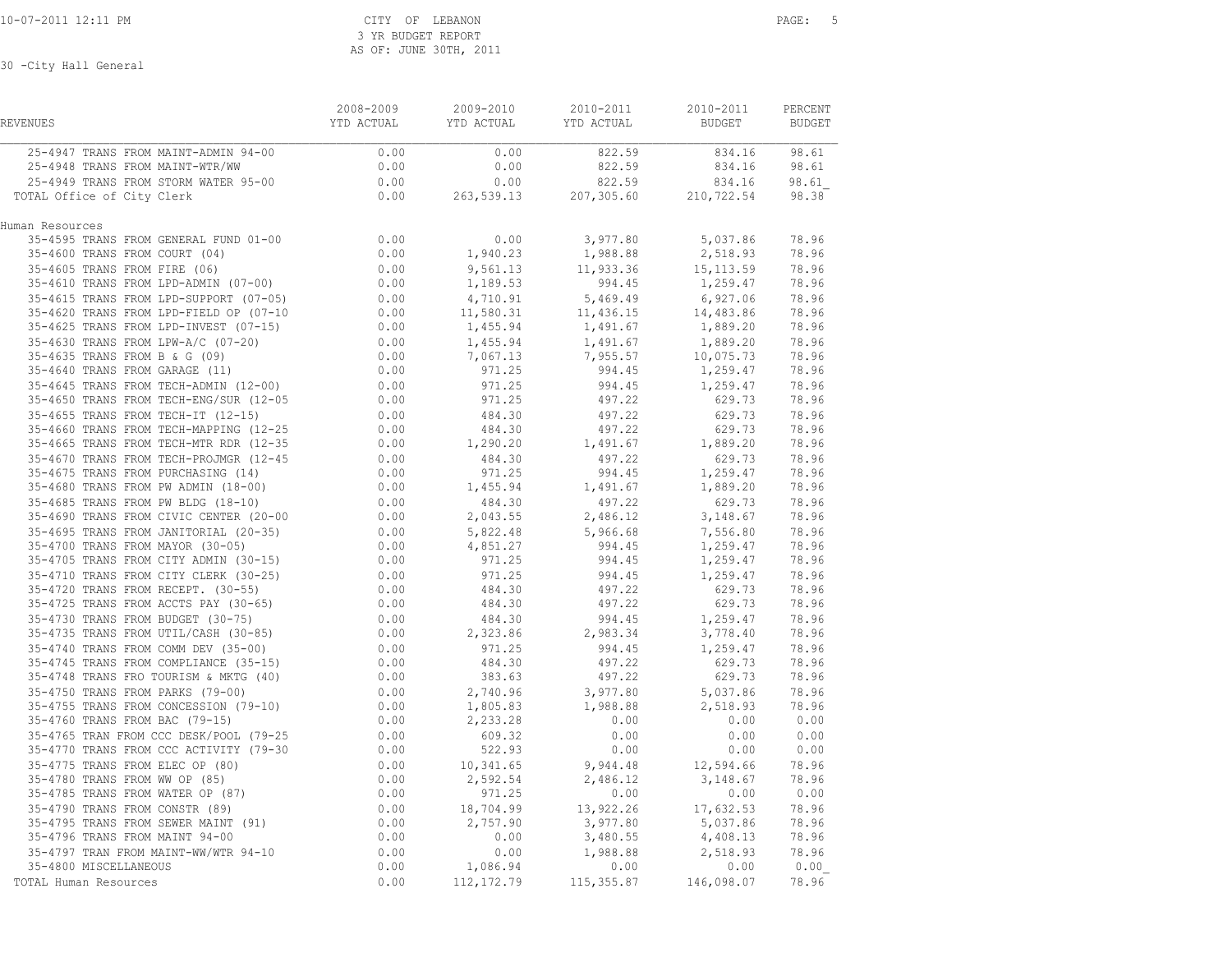| REVENUES                                                                                                                   | 2008-2009<br>YTD ACTUAL                                                      | 2009-2010<br>YTD ACTUAL | 2010-2011<br>YTD ACTUAL | 2010-2011<br><b>BUDGET</b>           | PERCENT<br><b>BUDGET</b> |
|----------------------------------------------------------------------------------------------------------------------------|------------------------------------------------------------------------------|-------------------------|-------------------------|--------------------------------------|--------------------------|
| 25-4947 TRANS FROM MAINT-ADMIN 94-00                                                                                       | 0.00                                                                         | 0.00                    | 822.59                  | 834.16 98.61                         |                          |
| 25-4948 TRANS FROM MAINT-WTR/WW                                                                                            | 0.00                                                                         | 0.00                    | 822.59                  | 834.16                               | 98.61                    |
| 25-4949 TRANS FROM STORM WATER 95-00                                                                                       | 0.00                                                                         | 0.00                    | 822.59                  | 834.16                               | 98.61                    |
| TOTAL Office of City Clerk                                                                                                 | 0.00                                                                         | 263,539.13              | 207, 305.60             | 210,722.54                           | 98.38                    |
| Human Resources                                                                                                            |                                                                              |                         |                         |                                      |                          |
| 35-4595 TRANS FROM GENERAL FUND 01-00                                                                                      | $0.00$<br>0.00                                                               | 0.00                    | 3,977.80                | 5,037.86                             | 78.96                    |
| 35-4600 TRANS FROM COURT (04)                                                                                              |                                                                              | 1,940.23                | 1,988.88                | 2,518.93                             | 78.96                    |
| 35-4605 TRANS FROM FIRE (06)                                                                                               | $0.00$<br>$0.00$                                                             | 9,561.13                | 11,933.36               | 15, 113.59                           | 78.96                    |
| 35-4610 TRANS FROM LPD-ADMIN (07-00)                                                                                       |                                                                              | 1,189.53                | 994.45                  | 1,259.47                             | 78.96                    |
| 35-4615 TRANS FROM LPD-SUPPORT (07-05)                                                                                     | $0.00$<br>$0.00$                                                             | 4,710.91                | 5,469.49                | 6,927.06                             | 78.96                    |
| 35-4620 TRANS FROM LPD-FIELD OP (07-10                                                                                     |                                                                              | 11,580.31               | 11,436.15               | 14,483.86                            | 78.96                    |
| 35-4625 TRANS FROM LPD-INVEST (07-15)                                                                                      | 0.00                                                                         | 1,455.94                | 1,491.67                | 1,889.20                             | 78.96                    |
| 35-4630 TRANS FROM LPW-A/C (07-20)                                                                                         | $0.00$<br>0.00<br>0.00                                                       | 1,455.94                | 1,491.67                | 1,889.20                             | 78.96                    |
| 35-4635 TRANS FROM B & G (09)                                                                                              |                                                                              | 7,067.13                | 7,955.57                | 10,075.73                            | 78.96                    |
| 35-4640 TRANS FROM GARAGE (11)                                                                                             |                                                                              | 971.25                  | 994.45                  | 1,259.47                             | 78.96                    |
| 35-4640 IAANS FROM GARAGE (11)<br>35-4645 TRANS FROM TECH-ADMIN (12-00)                                                    | $0.00$<br>$0.00$                                                             |                         | 994.45                  | 1,259.47                             | 78.96                    |
| 35-4650 TRANS FROM TECH-ENG/SUR (12-05                                                                                     |                                                                              | $971.25$<br>971.25      | 497.22                  | 629.73                               | 78.96                    |
| 35-4655 TRANS FROM TECH-IT (12-15)<br>35-4660 TRANS FROM TECH-MAPPING (12-25                                               | 0.00                                                                         | 484.30                  | 497.22                  | 629.73                               | 78.96                    |
|                                                                                                                            | $0.00$<br>$0.00$                                                             | 484.30                  | 497.22                  | 629.73                               | 78.96                    |
| 35-4665 TRANS FROM TECH-MTR RDR (12-35                                                                                     |                                                                              | 1,290.20                | 1,491.67                | 1,889.20                             | 78.96                    |
| 35-4670 TRANS FROM TECH-PROJMGR (12-45                                                                                     | 0.00                                                                         | 484.30                  | 497.22                  | 629.73                               | 78.96                    |
| 35-4675 TRANS FROM PURCHASING (14)                                                                                         | $0.00$<br>$0.00$                                                             | 971.25                  | 994.45                  | 1,259.47                             | 78.96                    |
| 35-4680 TRANS FROM PW ADMIN (18-00)                                                                                        |                                                                              | 1,455.94                | 1,491.67<br>497.22      | 1,889.20                             | 78.96                    |
| 35-4685 TRANS FROM PW BLDG (18-10)                                                                                         | $0.00$<br>$0.00$                                                             | 484.30                  |                         | 629.73                               | 78.96                    |
| 35-4690 TRANS FROM CIVIC CENTER (20-00                                                                                     |                                                                              | 2,043.55                | 2,486.12                | 3,148.67                             | 78.96                    |
| 35-4695 TRANS FROM JANITORIAL (20-35)                                                                                      | $0.00$<br>0.00<br>0.00                                                       | 5,822.48                |                         | 5,966.68 7,556.80<br>994.45 1,259.47 | 78.96                    |
| 35-4700 TRANS FROM MAYOR (30-05)                                                                                           |                                                                              | 4,851.27                |                         |                                      | 78.96                    |
| 35-4705 TRANS FROM CITY ADMIN (30-15)                                                                                      |                                                                              | 971.25                  | 994.45                  | 1,259.47                             | 78.96                    |
| 35-4710 TRANS FROM CITY CLERK (30-25)                                                                                      | $\begin{array}{c} 0.00 \\ 0.00 \\ 0.00 \end{array}$                          | 971.25                  | 994.45<br>497.22        | 1,259.47                             | 78.96                    |
| 35-4720 TRANS FROM RECEPT. (30-55)                                                                                         |                                                                              | 484.30                  |                         | 629.73                               | 78.96                    |
| 35-4725 TRANS FROM ACCTS PAY (30-65)                                                                                       |                                                                              | 484.30                  | 497.22                  | 629.73                               | 78.96                    |
| 35-4730 TRANS FROM BUDGET (30-75)                                                                                          |                                                                              | 484.30                  |                         | 994.45 1,259.47                      | 78.96                    |
| 35-4735 TRANS FROM UTIL/CASH (30-85)                                                                                       |                                                                              | 2,323.86                | 2,983.34                | 3,778.40                             | 78.96                    |
| 35-4740 TRANS FROM COMM DEV (35-00)                                                                                        |                                                                              | 971.25                  | 994.45                  | 1,259.47                             | 78.96                    |
| 35-4745 TRANS FROM COMPLIANCE (35-15)                                                                                      | $0.00$<br>0.00<br>0.00<br>0.00<br>0.00                                       | 484.30                  | 497.22                  | 629.73                               | 78.96                    |
| 35-4748 TRANS FRO TOURISM & MKTG (40)                                                                                      |                                                                              | 383.63                  | 497.22                  | 629.73                               | 78.96                    |
|                                                                                                                            |                                                                              | 2,740.96                | 3,977.80                | 5,037.86                             | 78.96                    |
| 35-4750 TRANS FROM PARKS (79-00) 0.00<br>35-4755 TRANS FROM CONCESSION (79-10) 0.00<br>35-4760 TRANS FROM BAC (79-15) 0.00 |                                                                              | 1,805.83                | 1,988.88                | 2,518.93 78.96                       |                          |
|                                                                                                                            |                                                                              | 2,233.28                | 0.00                    | 0.00                                 | 0.00                     |
| 35-4765 TRAN FROM CCC DESK/POOL (79-25                                                                                     |                                                                              | 609.32                  | 0.00                    | 0.00                                 | 0.00                     |
| 35-4770 TRANS FROM CCC ACTIVITY (79-30                                                                                     |                                                                              | 522.93                  | 0.00                    | 0.00                                 | 0.00                     |
| 35-4775 TRANS FROM ELEC OP (80)                                                                                            |                                                                              | 10,341.65               | 9,944.48                | 12,594.66                            | 78.96                    |
| 35-4780 TRANS FROM WW OP (85)                                                                                              |                                                                              | 2,592.54                | 2,486.12                | 3,148.67                             | 78.96                    |
| 35-4785 TRANS FROM WATER OP (87)                                                                                           | $0.00$<br>$0.00$<br>$0.00$<br>$0.00$<br>$0.00$<br>$0.00$<br>$0.00$<br>$0.00$ | 971.25                  | 0.00                    | 0.00                                 | 0.00                     |
| 35-4790 TRANS FROM CONSTR (89)                                                                                             |                                                                              | 18,704.99               | 13,922.26               | 17,632.53                            | 78.96                    |
| 35-4795 TRANS FROM SEWER MAINT (91)<br>35-4796 TRANS FROM MAINT 94-00                                                      |                                                                              | 2,757.90                | 3,977.80<br>3,480.55    | 5,037.86<br>4,408.13                 | 78.96<br>78.96           |
| 35-4797 TRAN FROM MAINT-WW/WTR 94-10                                                                                       | 0.00                                                                         | 0.00                    | 1,988.88                | 2,518.93                             | 78.96                    |
| 35-4800 MISCELLANEOUS                                                                                                      | 0.00                                                                         | 0.00                    | 0.00                    | 0.00                                 |                          |
|                                                                                                                            |                                                                              | 1,086.94                |                         |                                      | 0.00                     |
| TOTAL Human Resources                                                                                                      | 0.00                                                                         | 112, 172.79             | 115,355.87              | 146,098.07                           | 78.96                    |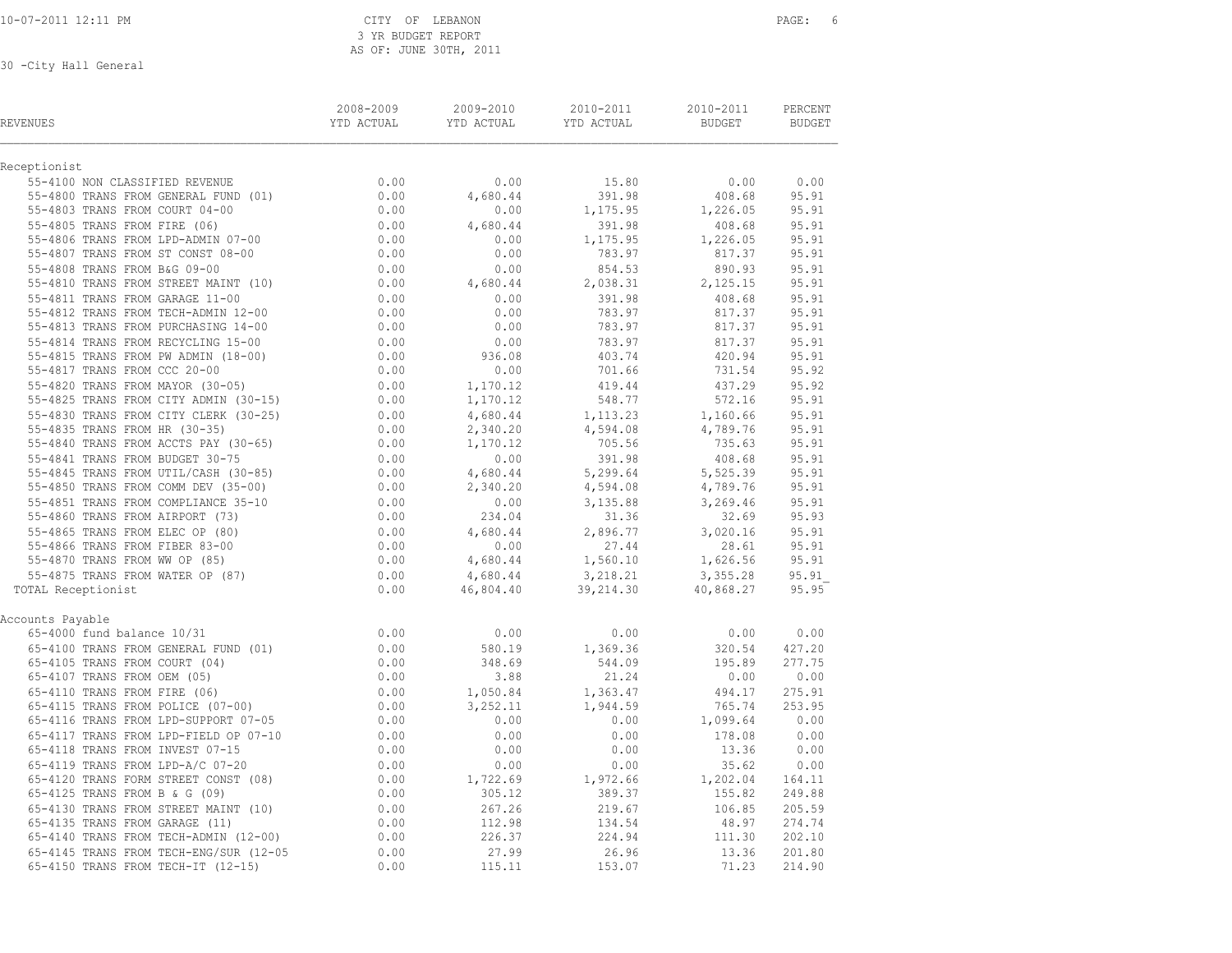10-07-2011 12:11 PM CITY OF LEBANON PAGE: 6 3 YR BUDGET REPORT AS OF: JUNE 30TH, 2011

| <b>REVENUES</b>                                                                                                                                                                                                                                                  | 2008-2009<br>YTD ACTUAL | 2009-2010<br>YTD ACTUAL | 2010-2011<br>YTD ACTUAL                  | 2010-2011<br><b>BUDGET</b> | PERCENT<br><b>BUDGET</b> |
|------------------------------------------------------------------------------------------------------------------------------------------------------------------------------------------------------------------------------------------------------------------|-------------------------|-------------------------|------------------------------------------|----------------------------|--------------------------|
| Receptionist                                                                                                                                                                                                                                                     |                         |                         |                                          |                            |                          |
| $\begin{tabular}{lllllllllll} 55-4100&\text{NON CLASSIFIED REVIEW} & & & & 0.00 \\ 55-4800&\text{TRANS FROM GENERAL FUND} & (01) & & & 0.00 \\ 55-4803&\text{TRANS FROM COUNT} & 04-00 & & & 0.00 \\ \end{tabular}$                                              |                         | 0.00                    | 15.80                                    | 0.00                       | 0.00                     |
|                                                                                                                                                                                                                                                                  |                         | 4,680.44                | 391.98                                   | 408.68                     | 95.91                    |
|                                                                                                                                                                                                                                                                  |                         | 0.00                    | 1,175.95                                 | 1,226.05                   | 95.91                    |
| 55-4805 TRANS FROM FIRE (06)<br>55-4806 TRANS FROM FIRE (06)<br>55-4806 TRANS FROM EPD-ADMIN 07-00<br>55-4807 TRANS FROM ST CONST 08-00<br>55-4808 TRANS FROM B&G 09-00<br>55-4810 TRANS FROM STREET MAINT (10)<br>0.00                                          |                         | 4,680.44                | 391.98                                   | 408.68                     | 95.91                    |
|                                                                                                                                                                                                                                                                  |                         | 0.00                    | 1,175.95                                 | 1,226.05                   | 95.91                    |
|                                                                                                                                                                                                                                                                  |                         | 0.00                    | 783.97                                   | 817.37                     | 95.91                    |
|                                                                                                                                                                                                                                                                  |                         | 0.00                    | 854.53                                   | 890.93                     | 95.91                    |
| 55-4810 TRANS FROM STREET MAINT (10)                                                                                                                                                                                                                             |                         | 4,680.44                | 2,038.31                                 | 2,125.15                   | 95.91                    |
| 55-4811 TRANS FROM GARAGE 11-00                                                                                                                                                                                                                                  | $0.00$<br>0.00<br>0.00  | 0.00                    | 391.98                                   | 408.68                     | 95.91                    |
| 55-4812 TRANS FROM TECH-ADMIN 12-00                                                                                                                                                                                                                              |                         | 0.00                    | 783.97                                   | 817.37                     | 95.91                    |
| 55-4813 TRANS FROM PURCHASING 14-00                                                                                                                                                                                                                              | 0.00                    | 0.00                    | 783.97                                   | 817.37                     | 95.91                    |
|                                                                                                                                                                                                                                                                  |                         | 0.00                    | 783.97<br>403.74                         | 817.37                     | 95.91                    |
|                                                                                                                                                                                                                                                                  |                         | 936.08                  |                                          | 420.94                     | 95.91                    |
|                                                                                                                                                                                                                                                                  |                         | 0.00                    |                                          | 731.54                     | 95.92                    |
|                                                                                                                                                                                                                                                                  |                         | 1,170.12                | 701.66<br>419.44                         | 437.29                     | 95.92                    |
|                                                                                                                                                                                                                                                                  |                         | 1,170.12                | 548.77                                   | 572.16                     | 95.91                    |
|                                                                                                                                                                                                                                                                  |                         | 4,680.44                | 1, 113. 23                               | 1,160.66                   | 95.91                    |
|                                                                                                                                                                                                                                                                  |                         | 2,340.20                |                                          | 4,789.76                   | 95.91                    |
|                                                                                                                                                                                                                                                                  |                         | 1,170.12                |                                          | 735.63                     | 95.91                    |
|                                                                                                                                                                                                                                                                  |                         | 0.00                    | 4,594.08<br>705.56<br>391.98<br>5,299.64 | 408.68                     | 95.91                    |
|                                                                                                                                                                                                                                                                  |                         | 4,680.44                |                                          | 5, 525.39<br>4, 789.76     | 95.91                    |
|                                                                                                                                                                                                                                                                  |                         | 2,340.20                | 4,594.08                                 |                            | 95.91                    |
|                                                                                                                                                                                                                                                                  |                         | $.340.22$<br>0.00       | 3, 135.88<br>31.36                       | 3,269.46                   | 95.91                    |
|                                                                                                                                                                                                                                                                  |                         | 234.04                  |                                          | 32.69                      | 95.93                    |
|                                                                                                                                                                                                                                                                  |                         | 4,680.44                | 2,896.77                                 | 3,020.16                   | 95.91                    |
|                                                                                                                                                                                                                                                                  |                         | 0.00                    | 27.44                                    | 28.61                      | 95.91                    |
|                                                                                                                                                                                                                                                                  |                         | 4,680.44                | 1,560.10 1,626.56                        |                            | 95.91                    |
|                                                                                                                                                                                                                                                                  |                         | 4,680.44                | 3,218.21                                 | 3,355.28                   | 95.91                    |
| 35-4812 TRANS FROM IECH-ADWIN 12-00<br>55-4813 TRANS FROM PURCHASING 14-00<br>55-4813 TRANS FROM RECYCLING 15-00<br>55-4815 TRANS FROM NADMIN (18-00)<br>55-4815 TRANS FROM MADMIN (18-00)<br>55-4817 TRANS FROM MADMIN (30-15)<br>55-4825<br>TOTAL Receptionist |                         | 46,804.40               | 39,214.30                                | 40,868.27                  | 95.95                    |
| Accounts Payable                                                                                                                                                                                                                                                 |                         |                         |                                          |                            |                          |
| 65-4000 fund balance 10/31                                                                                                                                                                                                                                       | 0.00                    | 0.00                    | 0.00                                     | 0.00                       | 0.00                     |
| 65-4100 TRANS FROM GENERAL FUND (01)                                                                                                                                                                                                                             |                         | 580.19                  |                                          | 320.54                     | 427.20                   |
| 65-4105 TRANS FROM COURT (04)                                                                                                                                                                                                                                    | $0.5$<br>0.00           | 348.69                  | 1,369.36<br>544.09                       | 195.89                     | 277.75                   |
|                                                                                                                                                                                                                                                                  |                         | 3.88                    | 21.24                                    | 0.00                       | 0.00                     |
|                                                                                                                                                                                                                                                                  |                         | 1,050.84                | 1,363.47                                 | 494.17                     | 275.91                   |
| 65-4105 TRANS FROM COURT (04) 0.00<br>65-4107 TRANS FROM OEM (05) 0.00<br>65-4110 TRANS FROM FIRE (06) 0.00<br>65-4115 TRANS FROM POLICE (07-00) 0.00<br>65-4116 TRANS FROM LPD-SUPPORT 07-05 0.00                                                               |                         | 3,252.11                | 1,944.59                                 | 765.74                     | 253.95                   |
| 65-4116 TRANS FROM LPD-SUPPORT 07-05                                                                                                                                                                                                                             | 0.00                    | 0.00                    | 0.00                                     | 1,099.64                   | 0.00                     |
| 65-4117 TRANS FROM LPD-FIELD OP 07-10 0.00                                                                                                                                                                                                                       |                         | 0.00                    | $0.00$<br>$0.00$                         | 178.08                     | 0.00                     |
| 65-4118 TRANS FROM INVEST 07-15                                                                                                                                                                                                                                  | 0.00                    | 0.00                    |                                          | 13.36                      | 0.00                     |
| 65-4119 TRANS FROM LPD-A/C 07-20 0.00<br>65-4120 TRANS FORM STREET CONST (08) 0.00<br>65-4125 TRANS FROM B & G (09) 0.00                                                                                                                                         |                         | 0.00                    | 0.00                                     | 35.62                      | 0.00                     |
|                                                                                                                                                                                                                                                                  |                         | 1,722.69                | $1,972.66$<br>389.37                     | $35.62$<br>1,202.04        | 164.11                   |
|                                                                                                                                                                                                                                                                  |                         | 305.12                  |                                          | 155.82                     | 249.88                   |
| 65-4130 TRANS FROM STREET MAINT (10) 0.00<br>65-4135 TRANS FROM GARAGE (11) 0.00<br>65-4140 TRANS FROM TECH-ADMIN (12-00) 0.00                                                                                                                                   |                         | 267.26                  | 219.67                                   | 106.85                     | 205.59                   |
|                                                                                                                                                                                                                                                                  |                         | 112.98                  |                                          | 48.97                      | 274.74                   |
|                                                                                                                                                                                                                                                                  |                         | 226.37                  | 134.54<br>224.94                         | 111.30                     | 202.10                   |
|                                                                                                                                                                                                                                                                  | 0.00                    | 27.99                   | 26.96                                    | 13.36                      | 201.80                   |
| 65-4145 TRANS FROM TECH-ENG/SUR (12-05<br>65-4150 TRANS FROM TECH-IT (12-15)                                                                                                                                                                                     | 0.00                    | 115.11                  | 153.07                                   | 71.23                      | 214.90                   |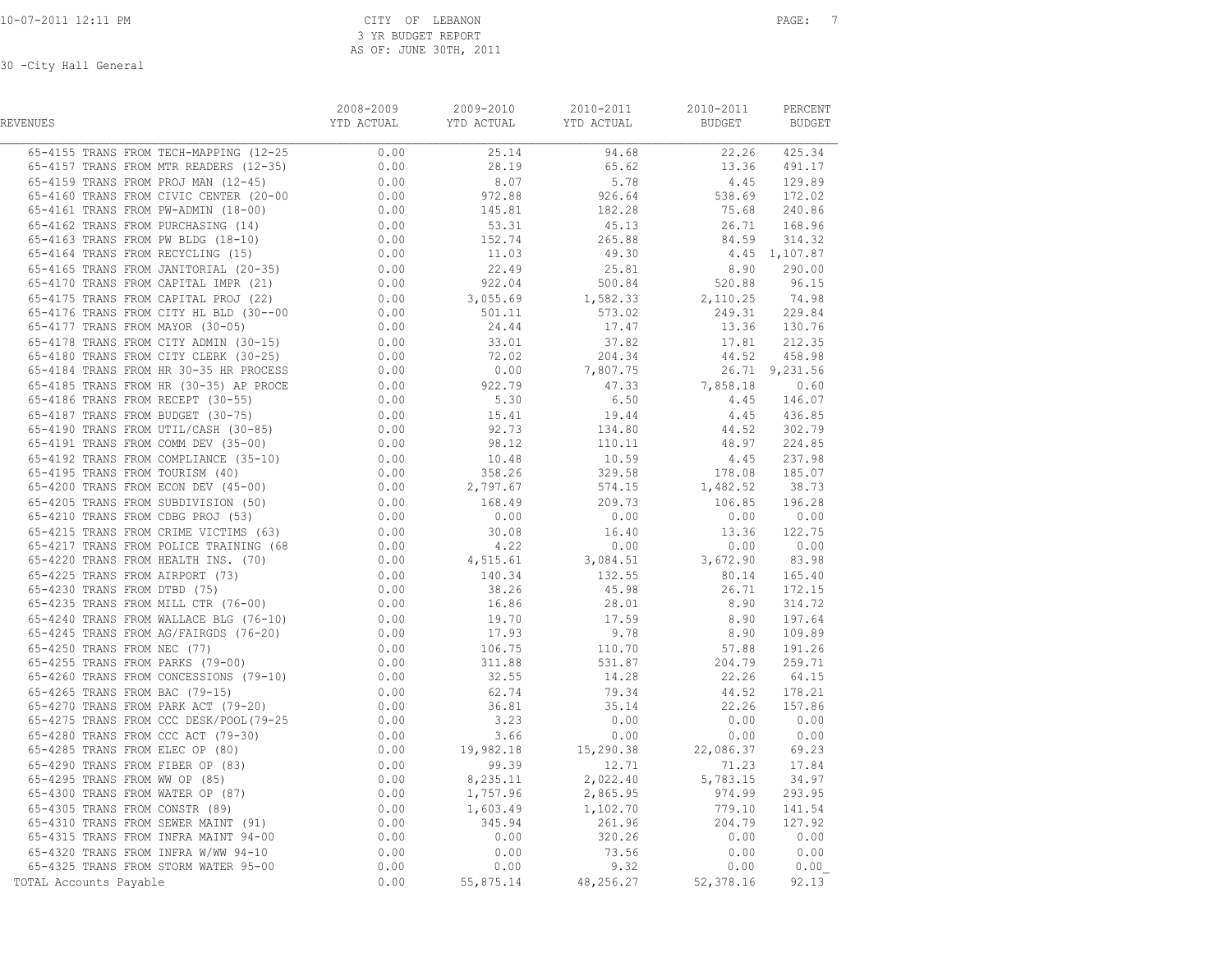| REVENUES               | 2008-2009 | 2009-2010 | 2010-2011<br>YTD ACTUAL            YTD ACTUAL                YTD ACTUAL                       BUDGET              BUDGET | 2010-2011 | PERCENT |
|------------------------|-----------|-----------|--------------------------------------------------------------------------------------------------------------------------|-----------|---------|
|                        |           |           |                                                                                                                          |           |         |
|                        |           |           |                                                                                                                          |           |         |
|                        |           |           |                                                                                                                          |           |         |
|                        |           |           |                                                                                                                          |           |         |
|                        |           |           |                                                                                                                          |           |         |
|                        |           |           |                                                                                                                          |           |         |
|                        |           |           |                                                                                                                          |           |         |
|                        |           |           |                                                                                                                          |           |         |
|                        |           |           |                                                                                                                          |           |         |
|                        |           |           |                                                                                                                          |           |         |
|                        |           |           |                                                                                                                          |           |         |
|                        |           |           |                                                                                                                          |           |         |
|                        |           |           |                                                                                                                          |           |         |
|                        |           |           |                                                                                                                          |           |         |
|                        |           |           |                                                                                                                          |           |         |
|                        |           |           |                                                                                                                          |           |         |
|                        |           |           |                                                                                                                          |           |         |
|                        |           |           |                                                                                                                          |           |         |
|                        |           |           |                                                                                                                          |           |         |
|                        |           |           |                                                                                                                          |           |         |
|                        |           |           |                                                                                                                          |           |         |
|                        |           |           |                                                                                                                          |           |         |
|                        |           |           |                                                                                                                          |           |         |
|                        |           |           |                                                                                                                          |           |         |
|                        |           |           |                                                                                                                          |           |         |
|                        |           |           |                                                                                                                          |           |         |
|                        |           |           |                                                                                                                          |           |         |
|                        |           |           |                                                                                                                          |           |         |
|                        |           |           |                                                                                                                          |           |         |
|                        |           |           |                                                                                                                          |           |         |
|                        |           |           |                                                                                                                          |           |         |
|                        |           |           |                                                                                                                          |           |         |
|                        |           |           |                                                                                                                          |           |         |
|                        |           |           |                                                                                                                          |           |         |
|                        |           |           |                                                                                                                          |           |         |
|                        |           |           |                                                                                                                          |           |         |
|                        |           |           |                                                                                                                          |           |         |
|                        |           |           |                                                                                                                          |           |         |
|                        |           |           |                                                                                                                          |           |         |
|                        |           |           |                                                                                                                          |           |         |
|                        |           |           |                                                                                                                          |           |         |
|                        |           |           |                                                                                                                          |           |         |
|                        |           |           |                                                                                                                          |           |         |
|                        |           |           |                                                                                                                          |           |         |
|                        |           |           |                                                                                                                          |           |         |
|                        |           |           |                                                                                                                          |           |         |
|                        |           |           |                                                                                                                          |           |         |
|                        |           |           |                                                                                                                          |           |         |
|                        |           |           |                                                                                                                          |           |         |
|                        |           |           |                                                                                                                          |           |         |
| TOTAL Accounts Payable |           |           |                                                                                                                          |           |         |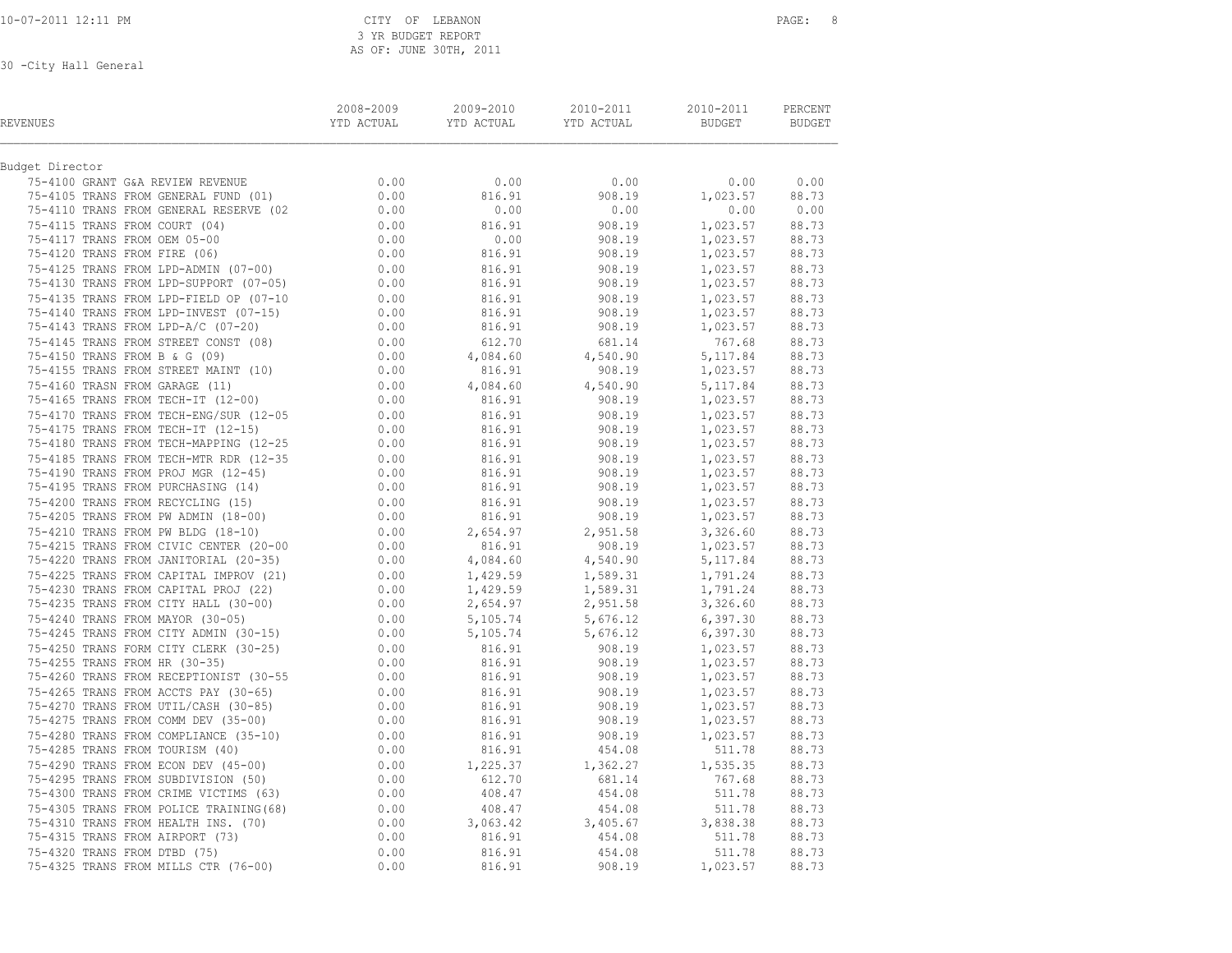3 YR BUDGET REPORT AS OF: JUNE 30TH, 2011

| REVENUES                                                                                                                                                                                                                                 | 2008-2009 | 2009-2010<br><b>THE SECT OF THE SECT OF THE SECT OF THE SECT OF THE SECT OF SECT OF SECT OF SECT OF SECT OF SECT OF SECT OF SECT OF SECT OF SECT OF SECT OF SECT OF SECT OF SECT OF SECT OF SECT OF SECT OF SECT OF SECT OF SECT OF SECT OF S</b> | 2010-2011<br>YTD ACTUAL                                                                                             | 2010-2011<br><b>BUDGET</b>                                                             | PERCENT<br>BUDGET |
|------------------------------------------------------------------------------------------------------------------------------------------------------------------------------------------------------------------------------------------|-----------|---------------------------------------------------------------------------------------------------------------------------------------------------------------------------------------------------------------------------------------------------|---------------------------------------------------------------------------------------------------------------------|----------------------------------------------------------------------------------------|-------------------|
| Budget Director                                                                                                                                                                                                                          |           |                                                                                                                                                                                                                                                   |                                                                                                                     |                                                                                        |                   |
| 75-4100 GRANT G&A REVIEW REVENUE 0.00<br>75-4105 TRANS FROM GENERAL FUND (01) 0.00<br>75-4110 TRANS FROM GENERAL RESERVE (02 0.00<br>75-4115 TRANS FROM COURT (04) 0.00<br>75-4117 TRANS FROM OEM 05-00 0.00<br>75-4120 TRANS FROM IPD-A |           | 0.00                                                                                                                                                                                                                                              | 0.00                                                                                                                | 0.00                                                                                   | 0.00              |
|                                                                                                                                                                                                                                          |           | 816.91                                                                                                                                                                                                                                            | 908.19                                                                                                              | 1,023.57                                                                               | 88.73             |
|                                                                                                                                                                                                                                          |           | 0.00                                                                                                                                                                                                                                              | 0.00                                                                                                                | 0.00                                                                                   | 0.00              |
|                                                                                                                                                                                                                                          |           | 816.91                                                                                                                                                                                                                                            | $0.00$<br>$908.19$<br>$908.19$<br>$908.19$<br>$908.19$<br>$908.19$<br>$908.19$<br>$908.19$<br>$681.14$<br>$4540.90$ | 1,023.57                                                                               | 88.73             |
|                                                                                                                                                                                                                                          |           | 0.00                                                                                                                                                                                                                                              |                                                                                                                     | 1,023.57                                                                               | 88.73             |
|                                                                                                                                                                                                                                          |           |                                                                                                                                                                                                                                                   |                                                                                                                     | 1,023.57                                                                               | 88.73             |
|                                                                                                                                                                                                                                          |           |                                                                                                                                                                                                                                                   |                                                                                                                     | 1,023.57                                                                               | 88.73             |
| 75-4125 TRANS FROM LPD-ADMIN (07-00) 0.00<br>75-4130 TRANS FROM LPD-SUPPORT (07-05) 0.00<br>75-4135 TRANS FROM LPD-FIELD OP (07-10 0.00<br>75-4140 TRANS FROM LPD-INVEST (07-15) 0.00<br>75-4143 TRANS FROM LPD-A/C (07-20) 0.00<br>75-  |           | 816.91<br>816.91<br>816.91                                                                                                                                                                                                                        |                                                                                                                     | 1,023.57                                                                               | 88.73             |
|                                                                                                                                                                                                                                          |           | 816.91                                                                                                                                                                                                                                            |                                                                                                                     | 1,023.57                                                                               | 88.73             |
|                                                                                                                                                                                                                                          |           | 816.91                                                                                                                                                                                                                                            |                                                                                                                     | 1,023.57                                                                               | 88.73             |
|                                                                                                                                                                                                                                          |           | 816.91                                                                                                                                                                                                                                            |                                                                                                                     | 1,023.57                                                                               | 88.73             |
|                                                                                                                                                                                                                                          |           | 612.70                                                                                                                                                                                                                                            |                                                                                                                     | 767.68                                                                                 | 88.73             |
|                                                                                                                                                                                                                                          |           | 4,084.60                                                                                                                                                                                                                                          | $4,540.90$<br>908.19                                                                                                | 5, 117.84                                                                              | 88.73             |
|                                                                                                                                                                                                                                          |           | 816.91                                                                                                                                                                                                                                            |                                                                                                                     | 1,023.57                                                                               | 88.73             |
|                                                                                                                                                                                                                                          |           | 4,084.60                                                                                                                                                                                                                                          |                                                                                                                     | 5,117.84                                                                               | 88.73             |
|                                                                                                                                                                                                                                          |           | 816.91                                                                                                                                                                                                                                            |                                                                                                                     | 1,023.57                                                                               | 88.73             |
|                                                                                                                                                                                                                                          |           | 816.91                                                                                                                                                                                                                                            | 4,540.90<br>908.19<br>908.19                                                                                        | 1,023.57                                                                               | 88.73             |
|                                                                                                                                                                                                                                          |           |                                                                                                                                                                                                                                                   | 816.91 908.19<br>816.91 908.19<br>816.91 908.19<br>816.91 908.19<br>816.91 908.19<br>816.91 908.19<br>816.91 908.19 | 1,023.57                                                                               | 88.73             |
|                                                                                                                                                                                                                                          |           | 816.91                                                                                                                                                                                                                                            |                                                                                                                     | 1,023.57                                                                               | 88.73             |
| 75–4180 TRANS FROM TECH-MAPPING (12–25 0.00<br>75–4185 TRANS FROM TECH-MTR RDR (12–35 0.00<br>75–4190 TRANS FROM PROJ MGR (12–45) 0.00<br>75–4195 TRANS FROM PURCHASING (14) 0.00<br>75–4200 TRANS FROM PRECYCLING (15) 0.00<br>75–4200  |           |                                                                                                                                                                                                                                                   |                                                                                                                     | 1,023.57                                                                               | 88.73             |
|                                                                                                                                                                                                                                          |           |                                                                                                                                                                                                                                                   |                                                                                                                     | 1,023.57                                                                               | 88.73             |
|                                                                                                                                                                                                                                          |           |                                                                                                                                                                                                                                                   |                                                                                                                     | 1,023.57                                                                               | 88.73             |
|                                                                                                                                                                                                                                          |           |                                                                                                                                                                                                                                                   |                                                                                                                     | 1,023.57                                                                               | 88.73             |
|                                                                                                                                                                                                                                          |           | 816.91                                                                                                                                                                                                                                            |                                                                                                                     | $\frac{1}{1}$ , 023.57                                                                 | 88.73             |
|                                                                                                                                                                                                                                          |           | 2,654.97                                                                                                                                                                                                                                          |                                                                                                                     |                                                                                        | 88.73             |
|                                                                                                                                                                                                                                          |           | 816.91                                                                                                                                                                                                                                            |                                                                                                                     |                                                                                        | 88.73             |
|                                                                                                                                                                                                                                          |           | 4,084.60                                                                                                                                                                                                                                          |                                                                                                                     |                                                                                        | 88.73             |
|                                                                                                                                                                                                                                          |           | 1,429.59                                                                                                                                                                                                                                          |                                                                                                                     | 2,951.58<br>908.19<br>5,117.84<br>908.19<br>5,117.84<br>909.19<br>5,117.84<br>1,791.24 | 88.73             |
|                                                                                                                                                                                                                                          |           | 1,429.59                                                                                                                                                                                                                                          | 1,589.31<br>1,589.31                                                                                                | 1,791.24                                                                               | 88.73             |
|                                                                                                                                                                                                                                          |           | 2,654.97                                                                                                                                                                                                                                          | 2,951.58                                                                                                            | 3,326.60                                                                               | 88.73             |
|                                                                                                                                                                                                                                          |           | 5, 105. 74                                                                                                                                                                                                                                        |                                                                                                                     | $5,676.12$ $6,397.30$                                                                  | 88.73             |
|                                                                                                                                                                                                                                          |           | 5,105.74                                                                                                                                                                                                                                          | 5,676.12                                                                                                            | 6,397.30                                                                               | 88.73             |
|                                                                                                                                                                                                                                          |           |                                                                                                                                                                                                                                                   |                                                                                                                     | 1,023.57                                                                               | 88.73             |
|                                                                                                                                                                                                                                          |           | 816.91<br>816.91                                                                                                                                                                                                                                  | 908.19<br>908.19<br>908.19                                                                                          | 1,023.57                                                                               | 88.73             |
|                                                                                                                                                                                                                                          |           | 816.91                                                                                                                                                                                                                                            |                                                                                                                     | 1,023.57                                                                               | 88.73             |
|                                                                                                                                                                                                                                          |           | 816.91                                                                                                                                                                                                                                            | $908.19$<br>$908.19$<br>$908.19$<br>$908.19$<br>$454.08$                                                            | 1,023.57                                                                               | 88.73             |
|                                                                                                                                                                                                                                          |           | 816.91                                                                                                                                                                                                                                            |                                                                                                                     | 1,023.57                                                                               | 88.73             |
|                                                                                                                                                                                                                                          |           | 816.91                                                                                                                                                                                                                                            |                                                                                                                     | 1,023.57                                                                               | 88.73             |
|                                                                                                                                                                                                                                          |           | 816.91                                                                                                                                                                                                                                            |                                                                                                                     | 1,023.57                                                                               | 88.73             |
|                                                                                                                                                                                                                                          |           | 816.91                                                                                                                                                                                                                                            |                                                                                                                     | 511.78                                                                                 | 88.73             |
|                                                                                                                                                                                                                                          |           | 1,225.37                                                                                                                                                                                                                                          | 1,362.27                                                                                                            | 1,535.35                                                                               | 88.73             |
|                                                                                                                                                                                                                                          |           | 612.70                                                                                                                                                                                                                                            |                                                                                                                     | 767.68                                                                                 | 88.73             |
|                                                                                                                                                                                                                                          |           | 408.47                                                                                                                                                                                                                                            |                                                                                                                     |                                                                                        | 88.73             |
|                                                                                                                                                                                                                                          |           | 408.47                                                                                                                                                                                                                                            | $681.14$<br>$454.08$<br>$454.08$                                                                                    | 511.78<br>511.78                                                                       | 88.73             |
|                                                                                                                                                                                                                                          |           | 3,063.42                                                                                                                                                                                                                                          |                                                                                                                     | 3,838.38                                                                               | 88.73             |
| 75-4260 TRANS FROM RECEPTIONIST (30-55<br>75-4265 TRANS FROM ACCTS PAY (30-65) 0.00<br>75-4270 TRANS FROM UTIL/CASH (30-85) 0.00<br>75-4275 TRANS FROM COMM DEV (35-00) 0.00<br>75-4280 TRANS FROM COMPLIANCE (35-10) 0.00<br>75-4285 TR |           | 816.91                                                                                                                                                                                                                                            | 3,405.67<br>454.08                                                                                                  | 511.78                                                                                 | 88.73             |
|                                                                                                                                                                                                                                          |           | 816.91                                                                                                                                                                                                                                            | 454.08                                                                                                              | 511.78                                                                                 | 88.73             |
|                                                                                                                                                                                                                                          |           | 816.91                                                                                                                                                                                                                                            | 908.19                                                                                                              | 1,023.57                                                                               | 88.73             |
|                                                                                                                                                                                                                                          |           |                                                                                                                                                                                                                                                   |                                                                                                                     |                                                                                        |                   |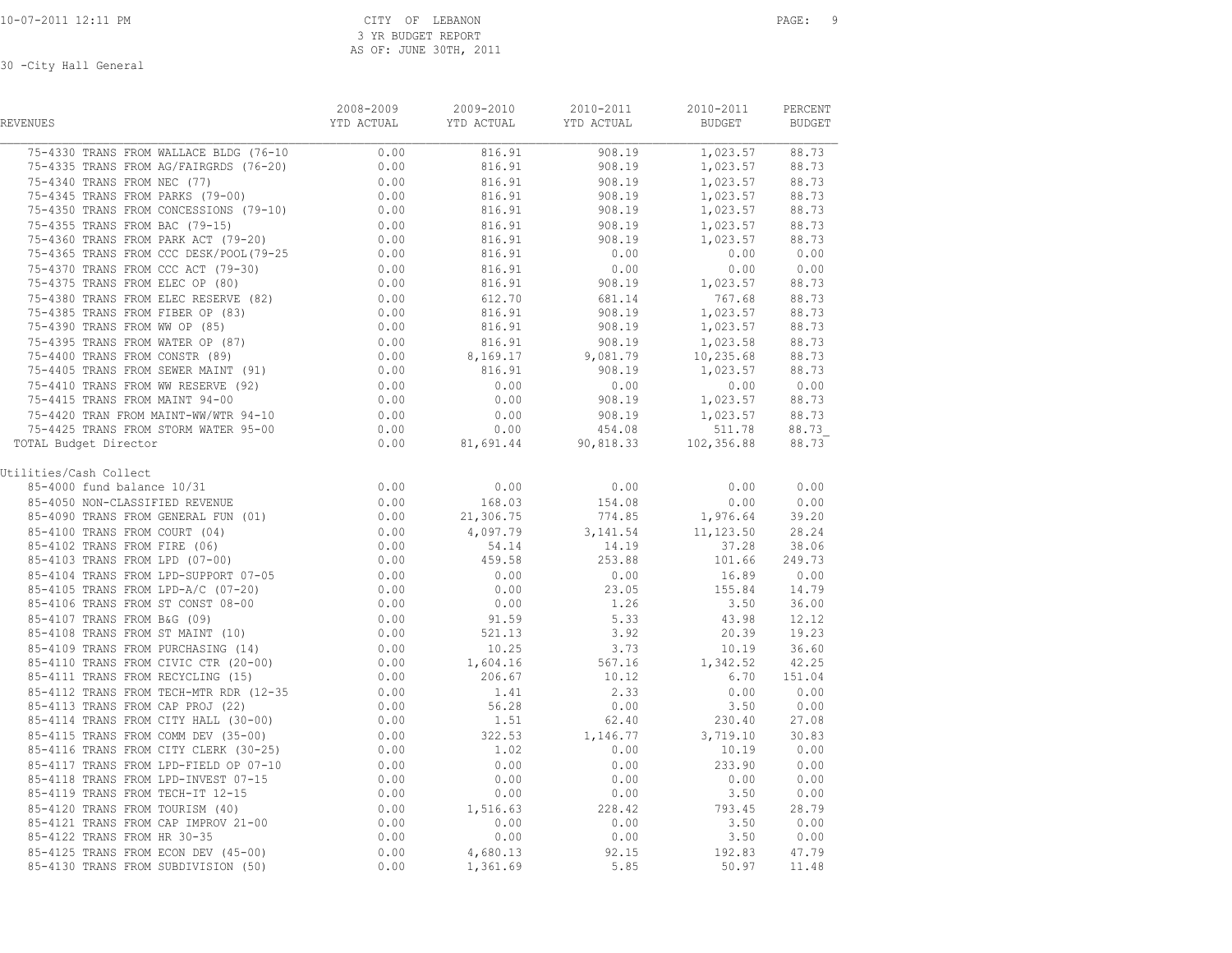| REVENUES                                                                                                                                                                                                                                                                                                                       | 2008-2009 | 2009-2010              | 2010-2011                                                                                                                                | 2010-2011<br><b>BUDGET</b>                          | PERCENT<br><b>BUDGET</b> |
|--------------------------------------------------------------------------------------------------------------------------------------------------------------------------------------------------------------------------------------------------------------------------------------------------------------------------------|-----------|------------------------|------------------------------------------------------------------------------------------------------------------------------------------|-----------------------------------------------------|--------------------------|
| $\begin{tabular}{cccccc} 75-4330 TRANS FROM WALLACE BLDG (76-10 & 0.00 & 816.91 & 908.19 & 1,023.57 & 88.73 \\ 75-4335 TRANS FROM AG/FAIRGRDS (76-20) & 0.00 & 816.91 & 908.19 & 1,023.57 & 88.73 \\ 75-4340 TRANS FROM NEC (77) & 0.00 & 816.91 & 908.19 & 1,023.57 & 88.73 \\ 75-4345 TRANS FROM PARKS (79-00) & 0.00 & 816$ |           |                        |                                                                                                                                          |                                                     |                          |
|                                                                                                                                                                                                                                                                                                                                |           |                        |                                                                                                                                          |                                                     |                          |
|                                                                                                                                                                                                                                                                                                                                |           |                        | $816.91$<br>$816.91$<br>$816.91$<br>$908.19$<br>$19$<br>$19$<br>$908.19$<br>$908.19$<br>$908.19$<br>$19$<br>$19$<br>$19$<br>$19$<br>$19$ |                                                     |                          |
|                                                                                                                                                                                                                                                                                                                                |           |                        |                                                                                                                                          |                                                     |                          |
|                                                                                                                                                                                                                                                                                                                                |           |                        |                                                                                                                                          |                                                     |                          |
|                                                                                                                                                                                                                                                                                                                                |           |                        |                                                                                                                                          |                                                     |                          |
|                                                                                                                                                                                                                                                                                                                                |           |                        |                                                                                                                                          |                                                     |                          |
|                                                                                                                                                                                                                                                                                                                                |           |                        |                                                                                                                                          |                                                     |                          |
|                                                                                                                                                                                                                                                                                                                                |           |                        |                                                                                                                                          |                                                     |                          |
|                                                                                                                                                                                                                                                                                                                                |           |                        |                                                                                                                                          |                                                     |                          |
|                                                                                                                                                                                                                                                                                                                                |           |                        |                                                                                                                                          |                                                     |                          |
|                                                                                                                                                                                                                                                                                                                                |           |                        |                                                                                                                                          |                                                     |                          |
|                                                                                                                                                                                                                                                                                                                                |           |                        |                                                                                                                                          |                                                     |                          |
|                                                                                                                                                                                                                                                                                                                                |           |                        |                                                                                                                                          |                                                     |                          |
|                                                                                                                                                                                                                                                                                                                                |           |                        |                                                                                                                                          |                                                     |                          |
|                                                                                                                                                                                                                                                                                                                                |           |                        |                                                                                                                                          |                                                     |                          |
|                                                                                                                                                                                                                                                                                                                                |           |                        |                                                                                                                                          |                                                     |                          |
|                                                                                                                                                                                                                                                                                                                                |           |                        |                                                                                                                                          |                                                     |                          |
|                                                                                                                                                                                                                                                                                                                                |           |                        |                                                                                                                                          |                                                     |                          |
|                                                                                                                                                                                                                                                                                                                                |           |                        |                                                                                                                                          |                                                     |                          |
| 1941<br>1941 THANS FROM CONCESSIONS (79-10)<br>1964-31 TRANS FROM EXEC T(9-10)<br>1964-31 TRANS FROM PARK ACT (79-20)<br>1964-31 998.19 1,023.57 88.73<br>1964-31 998.19 1,023.57 88.73<br>1964-31 998.19 1,023.57 88.73<br>1964-31 0.00 0.0<br>TOTAL Budget Director                                                          |           |                        |                                                                                                                                          |                                                     |                          |
| Utilities/Cash Collect                                                                                                                                                                                                                                                                                                         |           |                        |                                                                                                                                          |                                                     |                          |
|                                                                                                                                                                                                                                                                                                                                |           |                        | $0.00$ 0.00                                                                                                                              | 0.00                                                | 0.00                     |
|                                                                                                                                                                                                                                                                                                                                |           | 168.03                 | 154.08                                                                                                                                   | 0.00                                                | 0.00                     |
|                                                                                                                                                                                                                                                                                                                                |           | 21,306.75              |                                                                                                                                          | $774.85$ 1,976.64 39.20<br>3,141.54 11,123.50 28.24 |                          |
|                                                                                                                                                                                                                                                                                                                                |           | 4,097.79               |                                                                                                                                          |                                                     |                          |
|                                                                                                                                                                                                                                                                                                                                |           | 54.14                  |                                                                                                                                          | 37.28 38.06                                         |                          |
|                                                                                                                                                                                                                                                                                                                                |           | 459.58                 | $14.19$<br>$253.88$                                                                                                                      | 101.66 249.73                                       |                          |
|                                                                                                                                                                                                                                                                                                                                |           | $0.00$<br>0.00<br>0.00 | 0.00                                                                                                                                     | 16.89 0.00                                          |                          |
|                                                                                                                                                                                                                                                                                                                                |           |                        | 23.05                                                                                                                                    | 155.84 14.79<br>3.50 36.00                          |                          |
|                                                                                                                                                                                                                                                                                                                                |           |                        | 1.26                                                                                                                                     |                                                     |                          |
|                                                                                                                                                                                                                                                                                                                                |           | $91.59$<br>$521.13$    | 5.33                                                                                                                                     | 43.98                                               | 12.12                    |
|                                                                                                                                                                                                                                                                                                                                |           |                        | 3.92                                                                                                                                     | $20.39$ $19.23$                                     |                          |
|                                                                                                                                                                                                                                                                                                                                |           | 10.25                  | $3.73$<br>$567.16$<br>$10.12$                                                                                                            | $10.19$ $36.60$<br>1, $342.52$ $42.25$              |                          |
|                                                                                                                                                                                                                                                                                                                                |           | 1,604.16               |                                                                                                                                          |                                                     |                          |
|                                                                                                                                                                                                                                                                                                                                |           | 206.67                 |                                                                                                                                          | 6.70 151.04                                         |                          |
|                                                                                                                                                                                                                                                                                                                                |           | $1.41$<br>$56.28$      | 2.33                                                                                                                                     | $0.00$ $0.00$<br>3.50 $0.00$                        |                          |
| 85-4113 TRANS FROM CAP PROJ (22)                                                                                                                                                                                                                                                                                               | 0.00      |                        | 0.00                                                                                                                                     |                                                     |                          |
| 0.00<br>85-4114 TRANS FROM CITY HALL (30-00) 0.00<br>85-4115 TRANS FROM COMM DEV (35-00) 0.00<br>85-4116 TRANS FROM CITY CLERK (30-25) 0.00                                                                                                                                                                                    |           | 1.51                   | 62.40                                                                                                                                    | 230.40 27.08                                        |                          |
|                                                                                                                                                                                                                                                                                                                                |           |                        | $322.53$ $1,146.77$ $3,719.10$ $30.83$<br>1.02 0.00 10.19 0.00                                                                           |                                                     |                          |
|                                                                                                                                                                                                                                                                                                                                |           |                        |                                                                                                                                          |                                                     |                          |
|                                                                                                                                                                                                                                                                                                                                |           |                        | 0.00                                                                                                                                     |                                                     |                          |
|                                                                                                                                                                                                                                                                                                                                |           |                        | 0.00                                                                                                                                     | $233.90$ $0.00$<br>0.00 0.00<br>3.50 0.00           |                          |
|                                                                                                                                                                                                                                                                                                                                |           |                        | 0.00                                                                                                                                     |                                                     |                          |
|                                                                                                                                                                                                                                                                                                                                |           |                        |                                                                                                                                          | 793.45 28.79                                        |                          |
|                                                                                                                                                                                                                                                                                                                                |           |                        | $228.42$<br>0.00                                                                                                                         |                                                     |                          |
|                                                                                                                                                                                                                                                                                                                                |           |                        | 0.00                                                                                                                                     |                                                     |                          |
|                                                                                                                                                                                                                                                                                                                                |           |                        | 92.15                                                                                                                                    | $3.50$ $0.00$<br>$3.50$ $0.00$<br>$192.83$ $47.79$  |                          |
| 85-4117 TRANS FROM LPD-FIELD OP 07-10<br>85-4117 TRANS FROM LPD-FIELD OP 07-10<br>85-4118 TRANS FROM LPD-TNVEST 07-15<br>85-4118 TRANS FROM TECH-IT 12-15<br>0.00 0.00 0.00<br>85-4120 TRANS FROM TOURISM (40)<br>85-4121 TRANS FROM CAP I                                                                                     |           |                        | 5.85                                                                                                                                     | 50.97                                               | 11.48                    |
|                                                                                                                                                                                                                                                                                                                                |           |                        |                                                                                                                                          |                                                     |                          |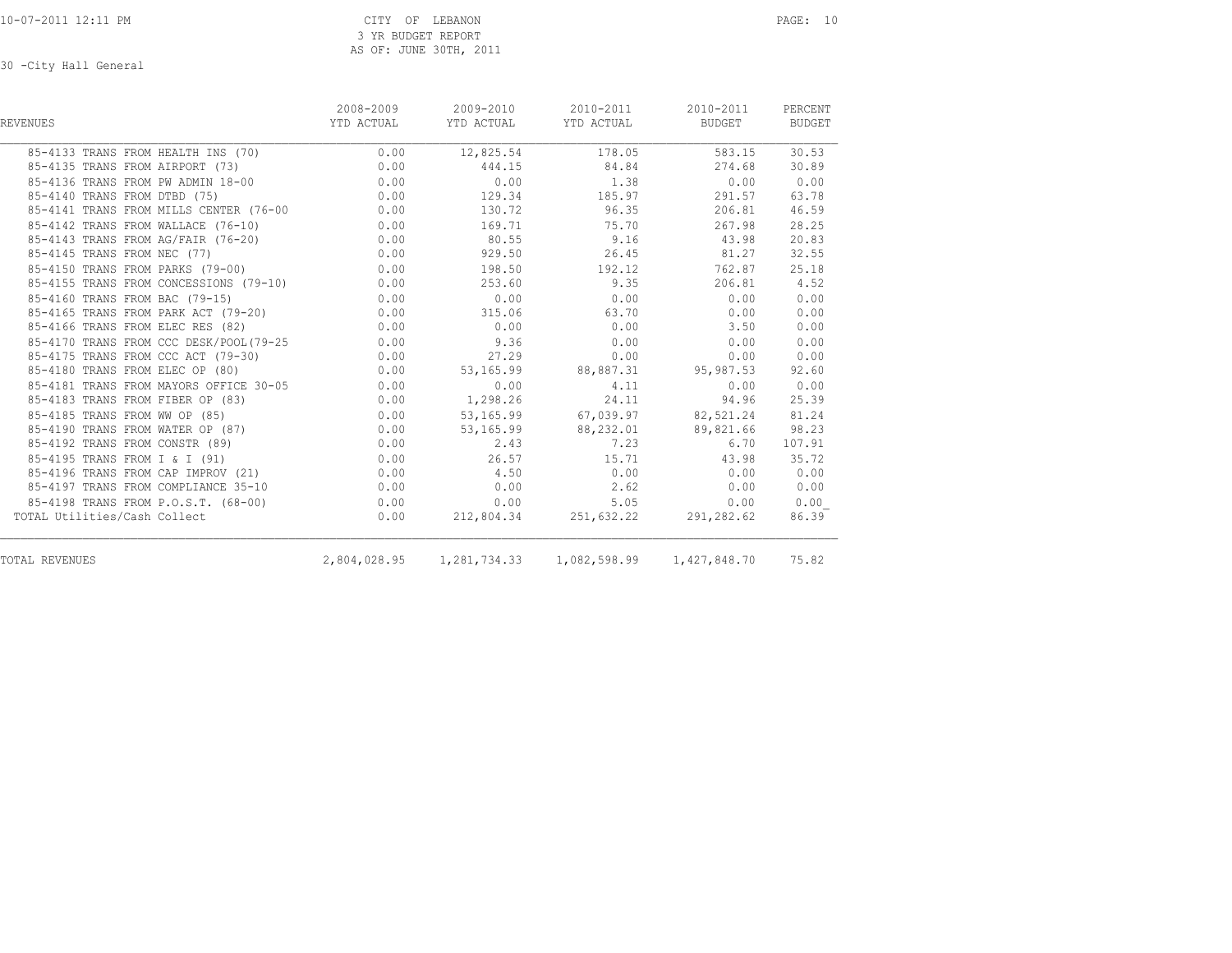| REVENUES                               | 2008-2009<br>YTD ACTUAL | 2009-2010<br>YTD ACTUAL | 2010-2011<br>YTD ACTUAL | 2010-2011<br>BUDGET | PERCENT<br>BUDGET |
|----------------------------------------|-------------------------|-------------------------|-------------------------|---------------------|-------------------|
| 85-4133 TRANS FROM HEALTH INS (70)     | 0.00                    | 12,825.54               | 178.05                  | 583.15              | 30.53             |
| 85-4135 TRANS FROM AIRPORT (73)        | 0.00                    | 444.15                  | 84.84                   | 274.68              | 30.89             |
| 85-4136 TRANS FROM PW ADMIN 18-00      | 0.00                    | 0.00                    | 1.38                    | 0.00                | 0.00              |
| 85-4140 TRANS FROM DTBD (75)           | 0.00                    | 129.34                  | 185.97                  | 291.57              | 63.78             |
| 85-4141 TRANS FROM MILLS CENTER (76-00 | 0.00                    | 130.72                  | 96.35                   | 206.81              | 46.59             |
| 85-4142 TRANS FROM WALLACE (76-10)     | 0.00                    | 169.71                  | 75.70                   | 267.98              | 28.25             |
| 85-4143 TRANS FROM AG/FAIR (76-20)     | 0.00                    | 80.55                   | 9.16                    | 43.98               | 20.83             |
| 85-4145 TRANS FROM NEC (77)            | 0.00                    | 929.50                  | 26.45                   | 81.27               | 32.55             |
| 85-4150 TRANS FROM PARKS (79-00)       | 0.00                    | 198.50                  | 192.12                  | 762.87              | 25.18             |
| 85-4155 TRANS FROM CONCESSIONS (79-10) | 0.00                    | 253.60                  | 9.35                    | 206.81              | 4.52              |
| 85-4160 TRANS FROM BAC (79-15)         | 0.00                    | 0.00                    | 0.00                    | 0.00                | 0.00              |
| 85-4165 TRANS FROM PARK ACT (79-20)    | 0.00                    | 315.06                  | 63.70                   | 0.00                | 0.00              |
| 85-4166 TRANS FROM ELEC RES (82)       | 0.00                    | 0.00                    | 0.00                    | 3.50                | 0.00              |
| 85-4170 TRANS FROM CCC DESK/POOL(79-25 | 0.00                    | 9.36                    | 0.00                    | 0.00                | 0.00              |
| 85-4175 TRANS FROM CCC ACT (79-30)     | 0.00                    | 27.29                   | 0.00                    | 0.00                | 0.00              |
| 85-4180 TRANS FROM ELEC OP (80)        | 0.00                    |                         | 53,165.99 88,887.31     | 95,987.53           | 92.60             |
| 85-4181 TRANS FROM MAYORS OFFICE 30-05 | 0.00                    | 0.00                    | 4.11                    | 0.00                | 0.00              |
| 85-4183 TRANS FROM FIBER OP (83)       | 0.00                    | 1,298.26                | 24.11                   | 94.96               | 25.39             |
| 85-4185 TRANS FROM WW OP (85)          | 0.00                    |                         | 53,165.99 67,039.97     | 82,521.24           | 81.24             |
| 85-4190 TRANS FROM WATER OP (87)       | 0.00                    | 53,165.99               | 88,232.01               | 89,821.66           | 98.23             |
| 85-4192 TRANS FROM CONSTR (89)         | 0.00                    | 2.43                    | 7.23                    | 6.70                | 107.91            |
| 85-4195 TRANS FROM I & I (91)          | 0.00                    | 26.57                   | 15.71                   | 43.98               | 35.72             |
| 85-4196 TRANS FROM CAP IMPROV (21)     | 0.00                    | 4.50                    | 0.00                    | 0.00                | 0.00              |
| 85-4197 TRANS FROM COMPLIANCE 35-10    | 0.00                    | 0.00                    | 2.62                    | 0.00                | 0.00              |
| 85-4198 TRANS FROM P.O.S.T. (68-00)    | 0.00                    | 0.00                    | 5.05                    | 0.00                | 0.00              |
| TOTAL Utilities/Cash Collect           | 0.00                    |                         | 212,804.34 251,632.22   | 291,282.62          | 86.39             |
| TOTAL REVENUES                         | 2,804,028.95            |                         |                         | 1,427,848.70        | 75.82             |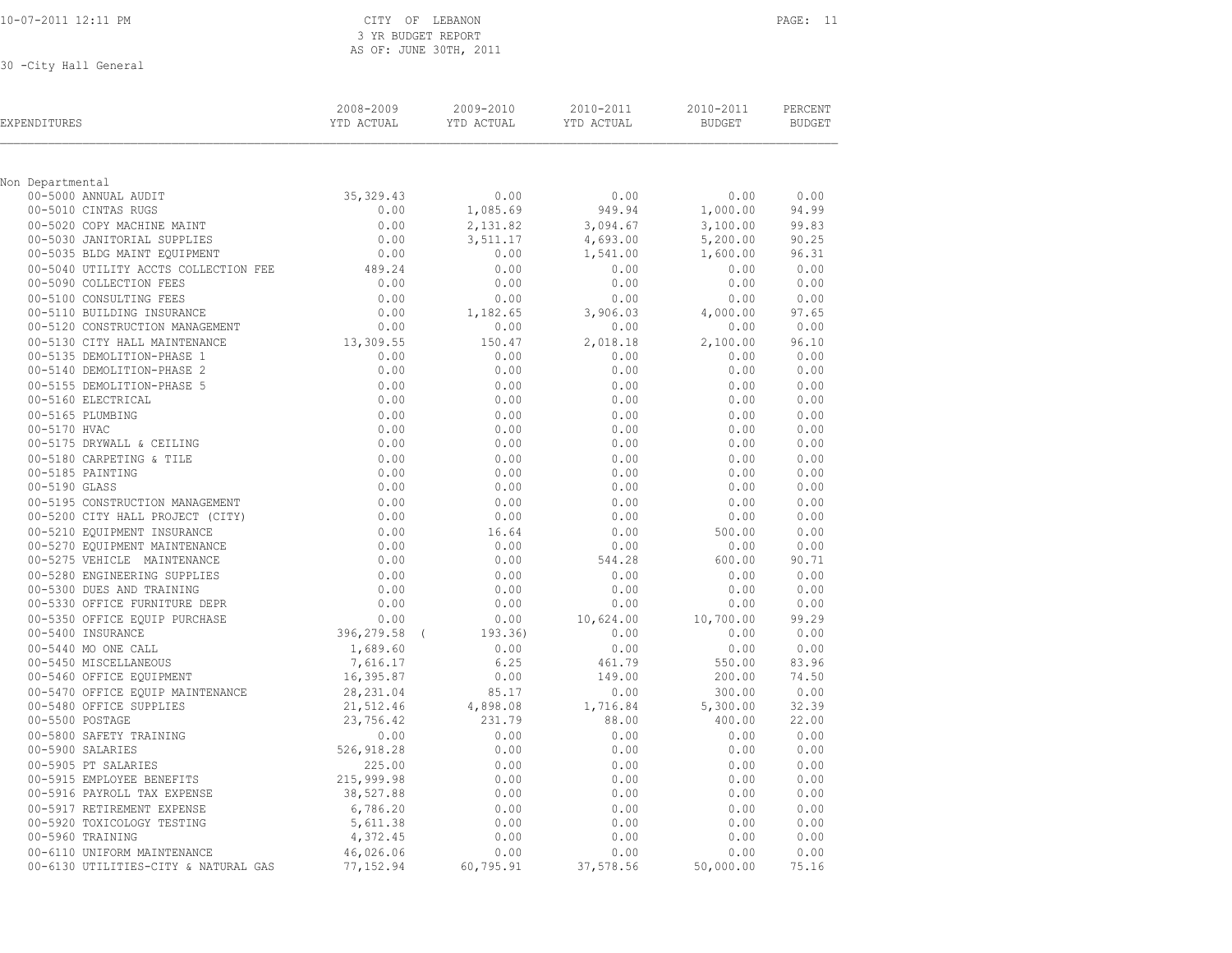| 10-07-2011 12:11 PM |  |
|---------------------|--|
|                     |  |

#### CITY OF LEBANON PAGE: 11 3 YR BUDGET REPORT AS OF: JUNE 30TH, 2011

| EXPENDITURES                                             | 2008-2009<br>2009-2010<br>YTD ACTUAL<br>YTD ACTUAL |                 | 2010-2011<br>YTD ACTUAL | 2010-2011<br><b>BUDGET</b> | PERCENT<br><b>BUDGET</b> |  |
|----------------------------------------------------------|----------------------------------------------------|-----------------|-------------------------|----------------------------|--------------------------|--|
| Non Departmental                                         |                                                    |                 |                         |                            |                          |  |
| 00-5000 ANNUAL AUDIT                                     | 35,329.43                                          | 0.00            | 0.00                    | 0.00                       | 0.00                     |  |
| 00-5010 CINTAS RUGS                                      | 0.00                                               | 1,085.69        | 949.94                  | 1,000.00                   | 94.99                    |  |
| 00-5020 COPY MACHINE MAINT                               | 0.00                                               | 2,131.82        | 3,094.67                | 3,100.00                   | 99.83                    |  |
| 00-5030 JANITORIAL SUPPLIES                              | 0.00                                               | 3,511.17        | 4,693.00                | 5,200.00                   | 90.25                    |  |
| 00-5035 BLDG MAINT EQUIPMENT                             | 0.00                                               | 0.00            | 1,541.00                | 1,600.00                   | 96.31                    |  |
| 00-5040 UTILITY ACCTS COLLECTION FEE                     | 489.24                                             | 0.00            | 0.00                    | 0.00                       | 0.00                     |  |
| 00-5090 COLLECTION FEES                                  | 0.00                                               | 0.00            | 0.00                    | 0.00                       | 0.00                     |  |
| 00-5100 CONSULTING FEES                                  | 0.00                                               | 0.00            | 0.00                    | 0.00                       | 0.00                     |  |
| 00-5110 BUILDING INSURANCE                               | 0.00                                               | 1,182.65        | 3,906.03                | 4,000.00                   | 97.65                    |  |
| 00-5120 CONSTRUCTION MANAGEMENT                          | 0.00                                               | 0.00            | 0.00                    | 0.00                       | 0.00                     |  |
| 00-5130 CITY HALL MAINTENANCE                            | 13,309.55                                          | 150.47          | 2,018.18                | 2,100.00                   | 96.10                    |  |
| 00-5135 DEMOLITION-PHASE 1<br>00-5140 DEMOLITION-PHASE 2 | 0.00<br>0.00                                       | 0.00<br>0.00    | 0.00<br>0.00            | 0.00<br>0.00               | 0.00<br>0.00             |  |
| 00-5155 DEMOLITION-PHASE 5                               | 0.00                                               | 0.00            | 0.00                    | 0.00                       | 0.00                     |  |
| 00-5160 ELECTRICAL                                       | 0.00                                               | 0.00            | 0.00                    | 0.00                       | 0.00                     |  |
| 00-5165 PLUMBING                                         | 0.00                                               | 0.00            | 0.00                    | 0.00                       | 0.00                     |  |
| 00-5170 HVAC                                             | 0.00                                               | 0.00            | 0.00                    | 0.00                       | 0.00                     |  |
| 00-5175 DRYWALL & CEILING                                | 0.00                                               | 0.00            | 0.00                    | 0.00                       | 0.00                     |  |
| 00-5180 CARPETING & TILE                                 | 0.00                                               | 0.00            | 0.00                    | 0.00                       | 0.00                     |  |
| 00-5185 PAINTING                                         | 0.00                                               | 0.00            | 0.00                    | 0.00                       | 0.00                     |  |
| 00-5190 GLASS                                            | 0.00                                               | 0.00            | 0.00                    | 0.00                       | 0.00                     |  |
| 00-5195 CONSTRUCTION MANAGEMENT                          | 0.00                                               | 0.00            | 0.00                    | 0.00                       | 0.00                     |  |
| 00-5200 CITY HALL PROJECT (CITY)                         | 0.00                                               | 0.00            | 0.00                    | 0.00                       | 0.00                     |  |
| 00-5210 EQUIPMENT INSURANCE                              | 0.00                                               | 16.64           | 0.00                    | 500.00                     | 0.00                     |  |
| 00-5270 EQUIPMENT MAINTENANCE                            | 0.00                                               | 0.00            | 0.00                    | 0.00                       | 0.00                     |  |
| 00-5275 VEHICLE MAINTENANCE                              | 0.00                                               | 0.00            | 544.28                  | 600.00                     | 90.71                    |  |
| 00-5280 ENGINEERING SUPPLIES                             | 0.00                                               | 0.00            | 0.00                    | 0.00                       | 0.00                     |  |
| 00-5300 DUES AND TRAINING                                | 0.00                                               | 0.00            | 0.00                    | 0.00                       | 0.00                     |  |
| 00-5330 OFFICE FURNITURE DEPR                            | 0.00                                               | 0.00            | 0.00                    | 0.00                       | 0.00                     |  |
| 00-5350 OFFICE EQUIP PURCHASE                            | 0.00                                               | 0.00            | 10,624.00               | 10,700.00                  | 99.29                    |  |
| 00-5400 INSURANCE                                        | 396,279.58 (                                       | 193.36)<br>0.00 | 0.00                    | 0.00                       | 0.00<br>0.00             |  |
| 00-5440 MO ONE CALL<br>00-5450 MISCELLANEOUS             | 1,689.60<br>7,616.17                               | 6.25            | 0.00<br>461.79          | 0.00<br>550.00             | 83.96                    |  |
| 00-5460 OFFICE EQUIPMENT                                 | 16,395.87                                          | 0.00            | 149.00                  | 200.00                     | 74.50                    |  |
| 00-5470 OFFICE EQUIP MAINTENANCE                         | 28,231.04                                          | 85.17           | 0.00                    | 300.00                     | 0.00                     |  |
| 00-5480 OFFICE SUPPLIES                                  | 21,512.46                                          | 4,898.08        | 1,716.84                | 5,300.00                   | 32.39                    |  |
| 00-5500 POSTAGE                                          | 23,756.42                                          | 231.79          | 88.00                   | 400.00                     | 22.00                    |  |
| 00-5800 SAFETY TRAINING                                  | 0.00                                               | 0.00            | 0.00                    | 0.00                       | 0.00                     |  |
| 00-5900 SALARIES                                         | 526, 918.28                                        | 0.00            | 0.00                    | 0.00                       | 0.00                     |  |
| 00-5905 PT SALARIES                                      | 225.00                                             | 0.00            | 0.00                    | 0.00                       | 0.00                     |  |
| 00-5915 EMPLOYEE BENEFITS                                | 215,999.98                                         | 0.00            | 0.00                    | 0.00                       | 0.00                     |  |
| 00-5916 PAYROLL TAX EXPENSE                              | 38,527.88                                          | 0.00            | 0.00                    | 0.00                       | 0.00                     |  |
| 00-5917 RETIREMENT EXPENSE                               | 6,786.20                                           | 0.00            | 0.00                    | 0.00                       | 0.00                     |  |
| 00-5920 TOXICOLOGY TESTING                               | 5,611.38                                           | 0.00            | 0.00                    | 0.00                       | 0.00                     |  |
| 00-5960 TRAINING                                         | 4,372.45                                           | 0.00            | 0.00                    | 0.00                       | 0.00                     |  |
| 00-6110 UNIFORM MAINTENANCE                              | 46,026.06                                          | 0.00            | 0.00                    | 0.00                       | 0.00                     |  |
| 00-6130 UTILITIES-CITY & NATURAL GAS                     | 77,152.94                                          | 60,795.91       | 37,578.56               | 50,000.00                  | 75.16                    |  |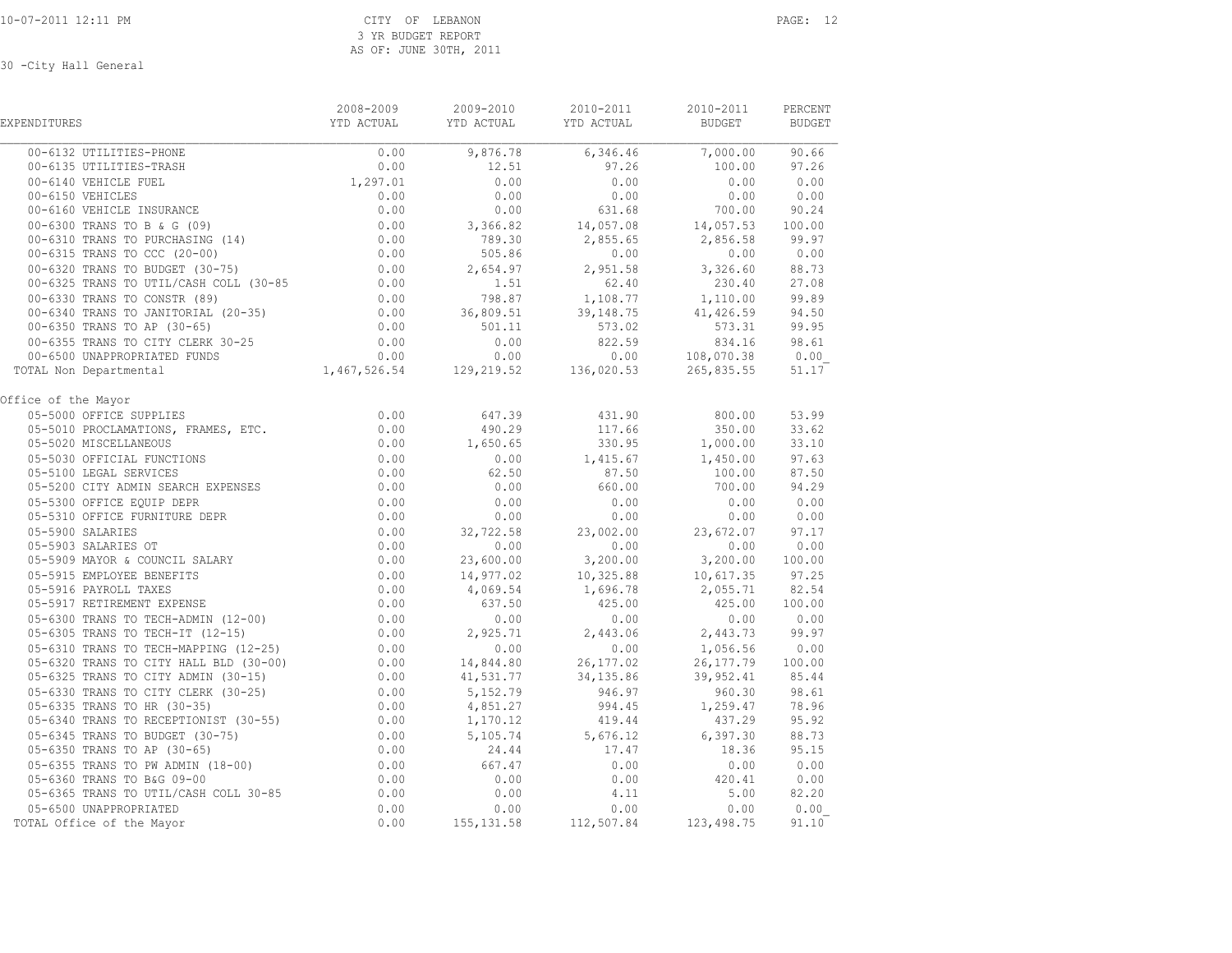| EXPENDITURES              | 2008-2009 | 2009-2010 | 2010-2011<br>YTD ACTUAL         YTD ACTUAL           YTD ACTUAL                 BUDGET            BUDGET                     | 2010-2011 | PERCENT |
|---------------------------|-----------|-----------|------------------------------------------------------------------------------------------------------------------------------|-----------|---------|
|                           |           |           | $\begin{array}{cccccccc} 0.00 & 9,876.78 & 6,346.46 & 7,000.00 & 90.66 \\ 0.00 & 12.51 & 97.26 & 100.00 & 97.26 \end{array}$ |           |         |
|                           |           |           |                                                                                                                              |           |         |
|                           |           |           |                                                                                                                              |           |         |
|                           |           |           |                                                                                                                              |           |         |
|                           |           |           |                                                                                                                              |           |         |
|                           |           |           |                                                                                                                              |           |         |
|                           |           |           |                                                                                                                              |           |         |
|                           |           |           |                                                                                                                              |           |         |
|                           |           |           |                                                                                                                              |           |         |
|                           |           |           |                                                                                                                              |           |         |
|                           |           |           |                                                                                                                              |           |         |
|                           |           |           |                                                                                                                              |           |         |
|                           |           |           |                                                                                                                              |           |         |
|                           |           |           |                                                                                                                              |           |         |
|                           |           |           |                                                                                                                              |           |         |
| TOTAL Non Departmental    |           |           |                                                                                                                              |           |         |
| Office of the Mayor       |           |           |                                                                                                                              |           |         |
|                           |           |           |                                                                                                                              |           |         |
|                           |           |           |                                                                                                                              |           |         |
|                           |           |           |                                                                                                                              |           |         |
|                           |           |           |                                                                                                                              |           |         |
|                           |           |           |                                                                                                                              |           |         |
|                           |           |           |                                                                                                                              |           |         |
|                           |           |           |                                                                                                                              |           |         |
|                           |           |           |                                                                                                                              |           |         |
|                           |           |           |                                                                                                                              |           |         |
|                           |           |           |                                                                                                                              |           |         |
|                           |           |           |                                                                                                                              |           |         |
|                           |           |           |                                                                                                                              |           |         |
|                           |           |           |                                                                                                                              |           |         |
|                           |           |           |                                                                                                                              |           |         |
|                           |           |           |                                                                                                                              |           |         |
|                           |           |           |                                                                                                                              |           |         |
|                           |           |           |                                                                                                                              |           |         |
|                           |           |           |                                                                                                                              |           |         |
|                           |           |           |                                                                                                                              |           |         |
|                           |           |           |                                                                                                                              |           |         |
|                           |           |           |                                                                                                                              |           |         |
|                           |           |           |                                                                                                                              |           |         |
|                           |           |           |                                                                                                                              |           |         |
|                           |           |           |                                                                                                                              |           |         |
|                           |           |           |                                                                                                                              |           |         |
|                           |           |           |                                                                                                                              |           |         |
|                           |           |           |                                                                                                                              |           |         |
|                           |           |           |                                                                                                                              |           |         |
| TOTAL Office of the Mayor |           |           |                                                                                                                              |           |         |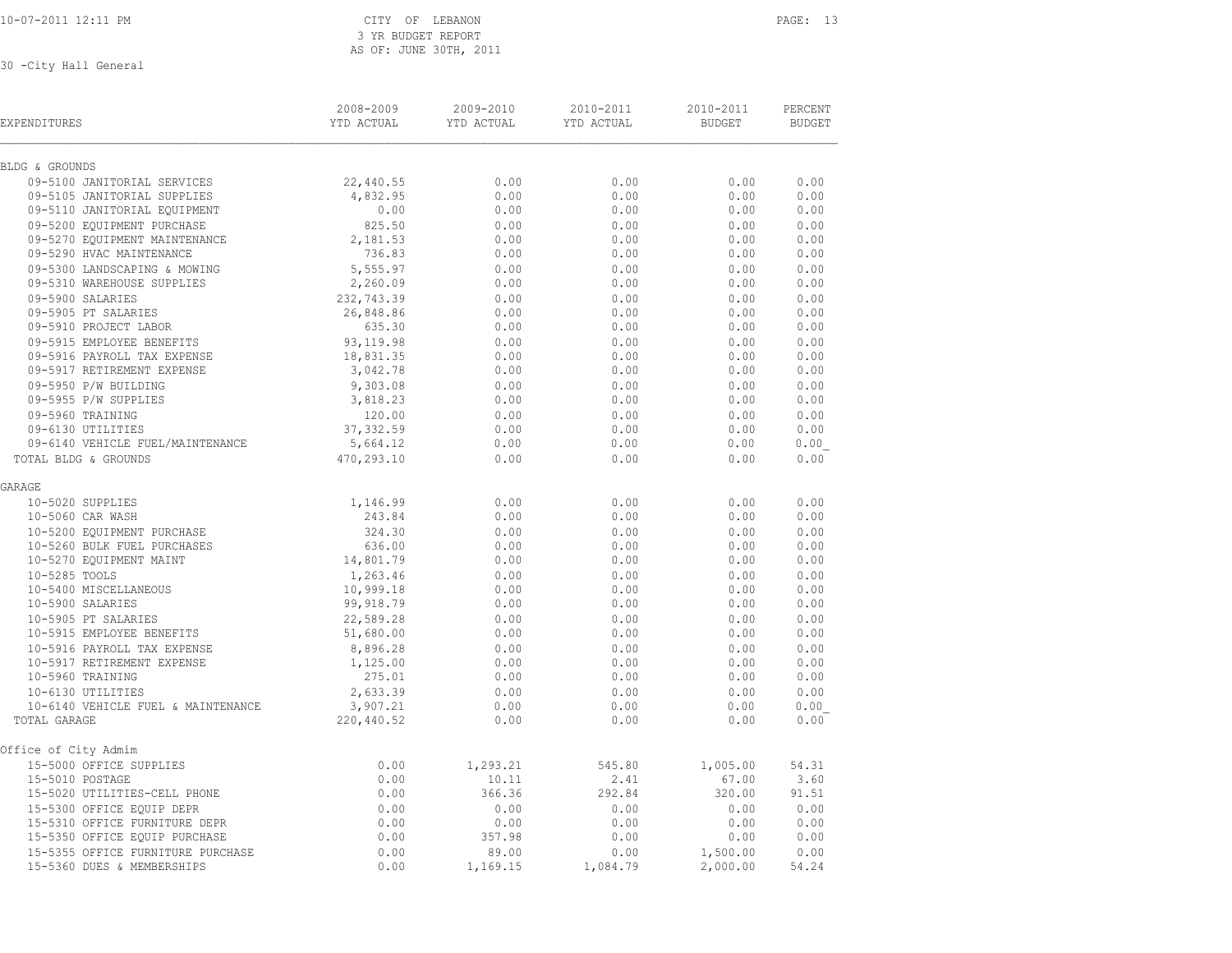### 10-07-2011 12:11 PM CITY OF LEBANON PAGE: 13 3 YR BUDGET REPORT<br>AS OF: JUNE 30TH, 2 AS OF: JUNE 30TH, 2011

| .) IN DUIJEEL NEEVNI<br>AS OF: JUNE 30TH, 2011<br>30 - City Hall General |                         |                         |                         |                            |                          |  |  |  |  |
|--------------------------------------------------------------------------|-------------------------|-------------------------|-------------------------|----------------------------|--------------------------|--|--|--|--|
| EXPENDITURES                                                             | 2008-2009<br>YTD ACTUAL | 2009-2010<br>YTD ACTUAL | 2010-2011<br>YTD ACTUAL | 2010-2011<br><b>BUDGET</b> | PERCENT<br><b>BUDGET</b> |  |  |  |  |
| BLDG & GROUNDS                                                           |                         |                         |                         |                            |                          |  |  |  |  |
| 09-5100 JANITORIAL SERVICES                                              | 22,440.55               | 0.00                    | 0.00                    | 0.00                       | 0.00                     |  |  |  |  |
| 09-5105 JANITORIAL SUPPLIES                                              | 4,832.95                | 0.00                    | 0.00                    | 0.00                       | 0.00                     |  |  |  |  |
| 09-5110 JANITORIAL EQUIPMENT                                             | 0.00                    | 0.00                    | 0.00                    | 0.00                       | 0.00                     |  |  |  |  |
| 09-5200 EOUIPMENT PURCHASE                                               | 825.50                  | 0.00                    | 0.00                    | 0.00                       | 0.00                     |  |  |  |  |
| 09-5270 EQUIPMENT MAINTENANCE                                            | 2,181.53                | 0.00                    | 0.00                    | 0.00                       | 0.00                     |  |  |  |  |
| 09-5290 HVAC MAINTENANCE                                                 | 736.83                  | 0.00                    | 0.00                    | 0.00                       | 0.00                     |  |  |  |  |
| 09-5300 LANDSCAPING & MOWING                                             | 5,555.97                | 0.00                    | 0.00                    | 0.00                       | 0.00                     |  |  |  |  |
| 09-5310 WAREHOUSE SUPPLIES                                               | 2,260.09                | 0.00                    | 0.00                    | 0.00                       | 0.00                     |  |  |  |  |

| 09-5200 EQUIPMENT PURCHASE         | 825.50     | 0.00     | 0.00     | 0.00     | 0.00  |
|------------------------------------|------------|----------|----------|----------|-------|
| 09-5270 EQUIPMENT MAINTENANCE      | 2,181.53   | 0.00     | 0.00     | 0.00     | 0.00  |
| 09-5290 HVAC MAINTENANCE           | 736.83     | 0.00     | 0.00     | 0.00     | 0.00  |
| 09-5300 LANDSCAPING & MOWING       | 5,555.97   | 0.00     | 0.00     | 0.00     | 0.00  |
| 09-5310 WAREHOUSE SUPPLIES         | 2,260.09   | 0.00     | 0.00     | 0.00     | 0.00  |
| 09-5900 SALARIES                   | 232,743.39 | 0.00     | 0.00     | 0.00     | 0.00  |
| 09-5905 PT SALARIES                | 26,848.86  | 0.00     | 0.00     | 0.00     | 0.00  |
| 09-5910 PROJECT LABOR              | 635.30     | 0.00     | 0.00     | 0.00     | 0.00  |
| 09-5915 EMPLOYEE BENEFITS          | 93,119.98  | 0.00     | 0.00     | 0.00     | 0.00  |
| 09-5916 PAYROLL TAX EXPENSE        | 18,831.35  | 0.00     | 0.00     | 0.00     | 0.00  |
| 09-5917 RETIREMENT EXPENSE         | 3,042.78   | 0.00     | 0.00     | 0.00     | 0.00  |
| 09-5950 P/W BUILDING               | 9,303.08   | 0.00     | 0.00     | 0.00     | 0.00  |
| 09-5955 P/W SUPPLIES               | 3,818.23   | 0.00     | 0.00     | 0.00     | 0.00  |
| 09-5960 TRAINING                   | 120.00     | 0.00     | 0.00     | 0.00     | 0.00  |
| 09-6130 UTILITIES                  | 37, 332.59 | 0.00     | 0.00     | 0.00     | 0.00  |
| 09-6140 VEHICLE FUEL/MAINTENANCE   | 5,664.12   | 0.00     | 0.00     | 0.00     | 0.00  |
| TOTAL BLDG & GROUNDS               | 470,293.10 | 0.00     | 0.00     | 0.00     | 0.00  |
| GARAGE                             |            |          |          |          |       |
| 10-5020 SUPPLIES                   | 1,146.99   | 0.00     | 0.00     | 0.00     | 0.00  |
| 10-5060 CAR WASH                   | 243.84     | 0.00     | 0.00     | 0.00     | 0.00  |
| 10-5200 EQUIPMENT PURCHASE         | 324.30     | 0.00     | 0.00     | 0.00     | 0.00  |
| 10-5260 BULK FUEL PURCHASES        | 636.00     | 0.00     | 0.00     | 0.00     | 0.00  |
| 10-5270 EQUIPMENT MAINT            | 14,801.79  | 0.00     | 0.00     | 0.00     | 0.00  |
| 10-5285 TOOLS                      | 1,263.46   | 0.00     | 0.00     | 0.00     | 0.00  |
| 10-5400 MISCELLANEOUS              | 10,999.18  | 0.00     | 0.00     | 0.00     | 0.00  |
| 10-5900 SALARIES                   | 99,918.79  | 0.00     | 0.00     | 0.00     | 0.00  |
| 10-5905 PT SALARIES                | 22,589.28  | 0.00     | 0.00     | 0.00     | 0.00  |
| 10-5915 EMPLOYEE BENEFITS          | 51,680.00  | 0.00     | 0.00     | 0.00     | 0.00  |
| 10-5916 PAYROLL TAX EXPENSE        | 8,896.28   | 0.00     | 0.00     | 0.00     | 0.00  |
| 10-5917 RETIREMENT EXPENSE         | 1,125.00   | 0.00     | 0.00     | 0.00     | 0.00  |
| 10-5960 TRAINING                   | 275.01     | 0.00     | 0.00     | 0.00     | 0.00  |
| 10-6130 UTILITIES                  | 2,633.39   | 0.00     | 0.00     | 0.00     | 0.00  |
| 10-6140 VEHICLE FUEL & MAINTENANCE | 3,907.21   | 0.00     | 0.00     | 0.00     | 0.00  |
| TOTAL GARAGE                       | 220,440.52 | 0.00     | 0.00     | 0.00     | 0.00  |
| Office of City Admim               |            |          |          |          |       |
| 15-5000 OFFICE SUPPLIES            | 0.00       | 1,293.21 | 545.80   | 1,005.00 | 54.31 |
| 15-5010 POSTAGE                    | 0.00       | 10.11    | 2.41     | 67.00    | 3.60  |
| 15-5020 UTILITIES-CELL PHONE       | 0.00       | 366.36   | 292.84   | 320.00   | 91.51 |
| 15-5300 OFFICE EQUIP DEPR          | 0.00       | 0.00     | 0.00     | 0.00     | 0.00  |
| 15-5310 OFFICE FURNITURE DEPR      | 0.00       | 0.00     | 0.00     | 0.00     | 0.00  |
| 15-5350 OFFICE EQUIP PURCHASE      | 0.00       | 357.98   | 0.00     | 0.00     | 0.00  |
| 15-5355 OFFICE FURNITURE PURCHASE  | 0.00       | 89.00    | 0.00     | 1,500.00 | 0.00  |
| 15-5360 DUES & MEMBERSHIPS         | 0.00       | 1,169.15 | 1,084.79 | 2,000.00 | 54.24 |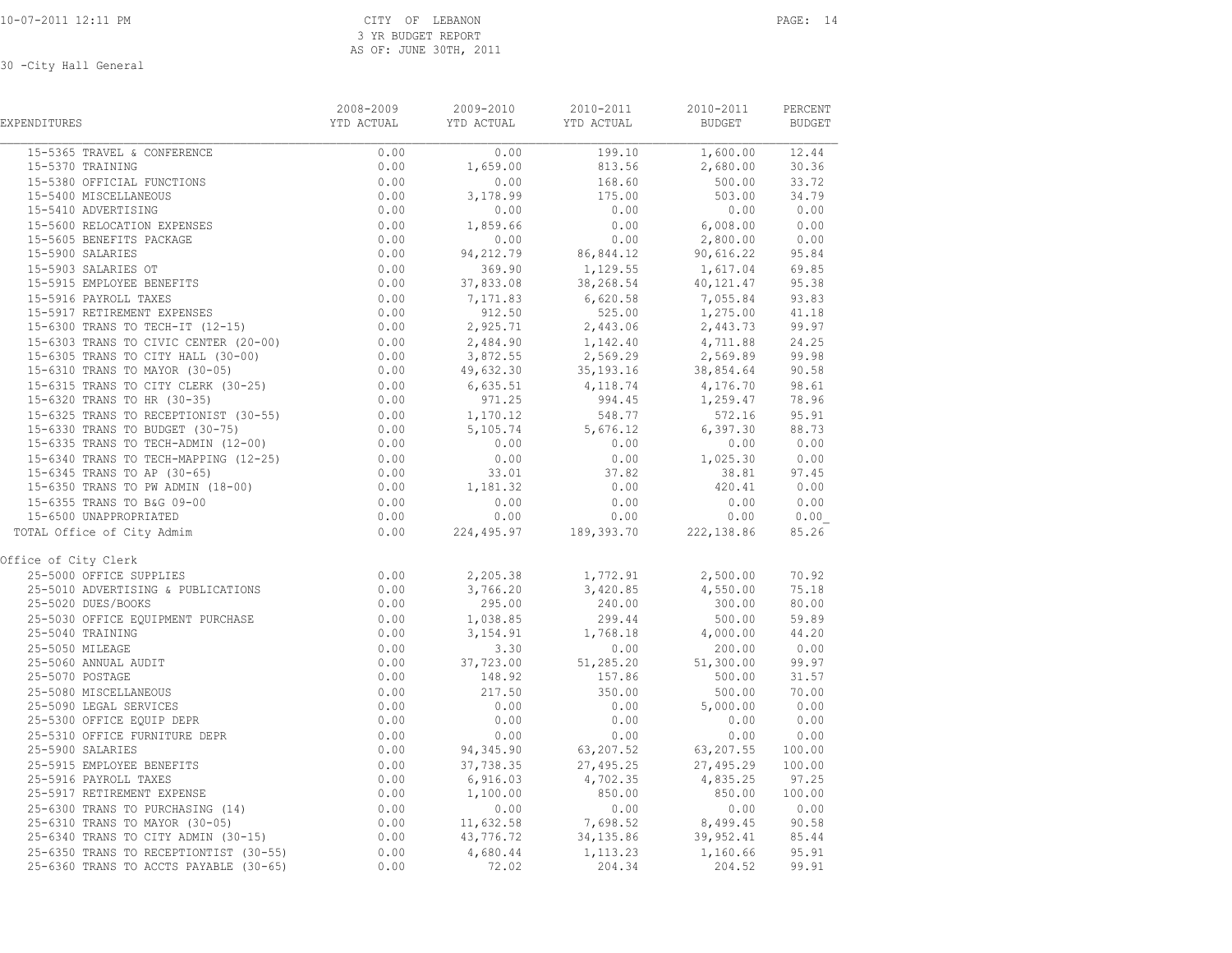| EXPENDITURES                                                                                                                                                                                                                                     | 2008-2009<br>YTD ACTUAL | 2009-2010<br>2009-2010 2010-2011<br>YTD ACTUAL YTD ACTUAL | 2010-2011                                                                                                                                                                                                                                                                  | 2010-2011<br><b>BUDGET</b>                                                                                                        | PERCENT<br><b>BUDGET</b> |
|--------------------------------------------------------------------------------------------------------------------------------------------------------------------------------------------------------------------------------------------------|-------------------------|-----------------------------------------------------------|----------------------------------------------------------------------------------------------------------------------------------------------------------------------------------------------------------------------------------------------------------------------------|-----------------------------------------------------------------------------------------------------------------------------------|--------------------------|
|                                                                                                                                                                                                                                                  |                         | $\frac{0.00}{1,659.00}$                                   | $\begin{array}{c cccc} \hline & & & & 199.10 & & & 1,600.00 & & 12.44 \\ \hline & & 813.56 & & & 2,680.00 & & 30.36 \end{array}$                                                                                                                                           |                                                                                                                                   |                          |
|                                                                                                                                                                                                                                                  |                         |                                                           |                                                                                                                                                                                                                                                                            |                                                                                                                                   |                          |
|                                                                                                                                                                                                                                                  |                         | 0.00                                                      | $168.60$<br>$175.00$                                                                                                                                                                                                                                                       | 500.00                                                                                                                            | 33.72                    |
|                                                                                                                                                                                                                                                  |                         | 3,178.99                                                  |                                                                                                                                                                                                                                                                            | 503.00                                                                                                                            | 34.79                    |
|                                                                                                                                                                                                                                                  |                         | 0.00                                                      | 0.00                                                                                                                                                                                                                                                                       | 0.00                                                                                                                              | 0.00                     |
|                                                                                                                                                                                                                                                  |                         |                                                           |                                                                                                                                                                                                                                                                            |                                                                                                                                   |                          |
|                                                                                                                                                                                                                                                  |                         |                                                           |                                                                                                                                                                                                                                                                            |                                                                                                                                   |                          |
|                                                                                                                                                                                                                                                  |                         |                                                           |                                                                                                                                                                                                                                                                            |                                                                                                                                   |                          |
|                                                                                                                                                                                                                                                  |                         |                                                           | $\begin{array}{cccccc} 0.00 & 0.00 & 0.00 & 0.00 & 0.00 \\ 1,859.66 & 0.00 & 6,008.00 & 0.00 \\ 0.00 & 0.00 & 2,800.00 & 0.00 \\ 94,212.79 & 86,844.12 & 90,616.22 & 95.84 \\ 369.90 & 1,129.55 & 1,617.04 & 69.85 \\ 37,833.08 & 38,268.54 & 40,121.47 & 95.38 \\ 7,171.$ |                                                                                                                                   |                          |
|                                                                                                                                                                                                                                                  |                         |                                                           |                                                                                                                                                                                                                                                                            |                                                                                                                                   |                          |
|                                                                                                                                                                                                                                                  |                         |                                                           |                                                                                                                                                                                                                                                                            |                                                                                                                                   |                          |
|                                                                                                                                                                                                                                                  |                         |                                                           |                                                                                                                                                                                                                                                                            |                                                                                                                                   | 41.18                    |
|                                                                                                                                                                                                                                                  |                         |                                                           |                                                                                                                                                                                                                                                                            |                                                                                                                                   | 99.97                    |
|                                                                                                                                                                                                                                                  |                         |                                                           | 912.50 525.00 1, 275.00<br>912.50 525.00 1, 275.00<br>2, 925.71 2, 443.06 2, 443.73<br>2, 484.90 1, 142.40 4, 711.88<br>3, 872.55 2, 569.29 2, 569.89<br>49, 632.30 35, 193.16 38, 854.64                                                                                  |                                                                                                                                   | 24.25                    |
|                                                                                                                                                                                                                                                  |                         |                                                           |                                                                                                                                                                                                                                                                            |                                                                                                                                   | 99.98                    |
|                                                                                                                                                                                                                                                  |                         |                                                           |                                                                                                                                                                                                                                                                            |                                                                                                                                   | 90.58                    |
|                                                                                                                                                                                                                                                  |                         |                                                           |                                                                                                                                                                                                                                                                            |                                                                                                                                   |                          |
|                                                                                                                                                                                                                                                  |                         | $6,635.51$<br>971.25                                      |                                                                                                                                                                                                                                                                            |                                                                                                                                   |                          |
|                                                                                                                                                                                                                                                  |                         | 1, 170.12<br>5, 105.74                                    |                                                                                                                                                                                                                                                                            | 4, 118.74 4, 176.70 98.61<br>994.45 1, 259.47 78.96<br>548.77 572.16 95.91<br>5, 676.12 6, 397.30 88.73<br>0.00 0.00 0.00         |                          |
|                                                                                                                                                                                                                                                  |                         |                                                           |                                                                                                                                                                                                                                                                            |                                                                                                                                   |                          |
|                                                                                                                                                                                                                                                  |                         | 0.00                                                      |                                                                                                                                                                                                                                                                            |                                                                                                                                   |                          |
|                                                                                                                                                                                                                                                  |                         | 0.00                                                      |                                                                                                                                                                                                                                                                            |                                                                                                                                   |                          |
|                                                                                                                                                                                                                                                  |                         | $0.00$<br>33.01                                           |                                                                                                                                                                                                                                                                            |                                                                                                                                   |                          |
|                                                                                                                                                                                                                                                  |                         | $1, 181.32$<br>0.00                                       |                                                                                                                                                                                                                                                                            | $\begin{array}{cccc} 0.00 & & & & & 1.025.30 & & & 0.00 \ 37.82 & & & 38.81 & & 97.45 \ 0.00 & & & & 420.41 & & 0.00 \end{array}$ |                          |
|                                                                                                                                                                                                                                                  |                         |                                                           | $\begin{array}{cccccccc} 0.00 & & & & 0.00 & & & & 0.00 & & & 0.00 \\ 0.00 & & & & & 0.00 & & & & 0.00 & & & 0.00 \end{array}$                                                                                                                                             |                                                                                                                                   |                          |
|                                                                                                                                                                                                                                                  |                         |                                                           |                                                                                                                                                                                                                                                                            |                                                                                                                                   |                          |
| TOTAL Office of City Admim                                                                                                                                                                                                                       |                         |                                                           | $0.00$ 224,495.97 189,393.70 222,138.86                                                                                                                                                                                                                                    |                                                                                                                                   | 85.26                    |
| Office of City Clerk                                                                                                                                                                                                                             |                         |                                                           |                                                                                                                                                                                                                                                                            |                                                                                                                                   |                          |
| 25-5000 OFFICE SUPPLIES<br>25-5000 OFFICE SUPPLIES<br>25-5010 ADVERTISING & PUBLICATIONS<br>25-5020 DUES/BOOKS<br>25-5030 OFFICE EQUIPMENT PURCHASE<br>25-5040 TRAINING<br>0.00<br>25-5040 TRAINING<br>0.00                                      |                         |                                                           |                                                                                                                                                                                                                                                                            | 2,500.00<br>4,550.00                                                                                                              | 70.92                    |
|                                                                                                                                                                                                                                                  |                         |                                                           |                                                                                                                                                                                                                                                                            |                                                                                                                                   | 75.18                    |
|                                                                                                                                                                                                                                                  |                         |                                                           |                                                                                                                                                                                                                                                                            | 300.00                                                                                                                            | 80.00                    |
|                                                                                                                                                                                                                                                  |                         |                                                           |                                                                                                                                                                                                                                                                            | $500.00$<br>4,000.00                                                                                                              | 59.89                    |
|                                                                                                                                                                                                                                                  |                         |                                                           |                                                                                                                                                                                                                                                                            |                                                                                                                                   | 44.20                    |
| 25-5040 TRAINING<br>25-5040 TRAINING<br>25-5050 MILEAGE<br>25-5060 ANNUAL AUDIT<br>25-5070 POSTAGE<br>25-5080 MISCELLANEOUS<br>25-5080 LEGAL SERVICES<br>25-5300 OFFICE EQUIP DEPR<br>25-5310 OFFICE EQUIP DEPR<br>25-5310 OFFICE FURNITURE DEPR | 0.00                    |                                                           | 2, 205.38<br>3, 766.20<br>295.00<br>1, 038.85<br>3, 154.91<br>3.30<br>37, 723.00<br>1, 038.85<br>299.44<br>3.30<br>0.00<br>37, 723.00<br>1, 038.85<br>51, 285.20<br>51, 285.20                                                                                             | 200.00                                                                                                                            | 0.00                     |
|                                                                                                                                                                                                                                                  | 0.00                    |                                                           |                                                                                                                                                                                                                                                                            | 51,300.00                                                                                                                         | 99.97                    |
|                                                                                                                                                                                                                                                  | 0.00                    | 148.92<br>217.50                                          | 157.86<br>350.00                                                                                                                                                                                                                                                           | 500.00                                                                                                                            | 31.57                    |
|                                                                                                                                                                                                                                                  | 0.00                    |                                                           |                                                                                                                                                                                                                                                                            | 500.00                                                                                                                            | 70.00                    |
|                                                                                                                                                                                                                                                  | $0.00$<br>$0.00$        | 0.00                                                      | $0.00$<br>0.00                                                                                                                                                                                                                                                             | 5,000.00                                                                                                                          | 0.00                     |
|                                                                                                                                                                                                                                                  |                         | 0.00                                                      |                                                                                                                                                                                                                                                                            | 0.00                                                                                                                              | 0.00                     |
|                                                                                                                                                                                                                                                  | 0.00                    |                                                           | $0.00$ $0.00$ $0.00$ $0.00$ $0.00$ $0.00$ $0.00$ $0.00$ $0.00$ $0.00$ $0.00$ $0.00$ $0.00$ $0.00$ $0.00$ $0.00$ $0.00$ $0.00$ $0.00$ $0.00$ $0.00$ $0.00$ $0.00$ $0.00$ $0.00$ $0.00$ $0.00$ $0.00$ $0.00$ $0.00$ $0.00$ $0.0$                                             |                                                                                                                                   |                          |
| 25-5900 SALARIES                                                                                                                                                                                                                                 | 0.00                    |                                                           |                                                                                                                                                                                                                                                                            |                                                                                                                                   |                          |
|                                                                                                                                                                                                                                                  |                         |                                                           |                                                                                                                                                                                                                                                                            |                                                                                                                                   |                          |
|                                                                                                                                                                                                                                                  |                         |                                                           |                                                                                                                                                                                                                                                                            |                                                                                                                                   |                          |
|                                                                                                                                                                                                                                                  |                         |                                                           |                                                                                                                                                                                                                                                                            |                                                                                                                                   |                          |
| 25-5900 SALARIES<br>25-5915 EMPLOYEE BENEFITS<br>25-5915 EMPLOYEE BENEFITS<br>25-5916 PAYROLL TAXES<br>25-5916 PAYROLL TAXES<br>25-5916 PAYROLL TAXES<br>25-5917 RETIREMENT EXPENSE<br>25-5917 RETIREMENT EXPENSE<br>25-5917 RETIREMENT EXPENS   |                         |                                                           |                                                                                                                                                                                                                                                                            |                                                                                                                                   |                          |
|                                                                                                                                                                                                                                                  |                         |                                                           |                                                                                                                                                                                                                                                                            |                                                                                                                                   |                          |
|                                                                                                                                                                                                                                                  |                         |                                                           |                                                                                                                                                                                                                                                                            |                                                                                                                                   |                          |
|                                                                                                                                                                                                                                                  |                         |                                                           |                                                                                                                                                                                                                                                                            |                                                                                                                                   |                          |
|                                                                                                                                                                                                                                                  |                         |                                                           |                                                                                                                                                                                                                                                                            |                                                                                                                                   |                          |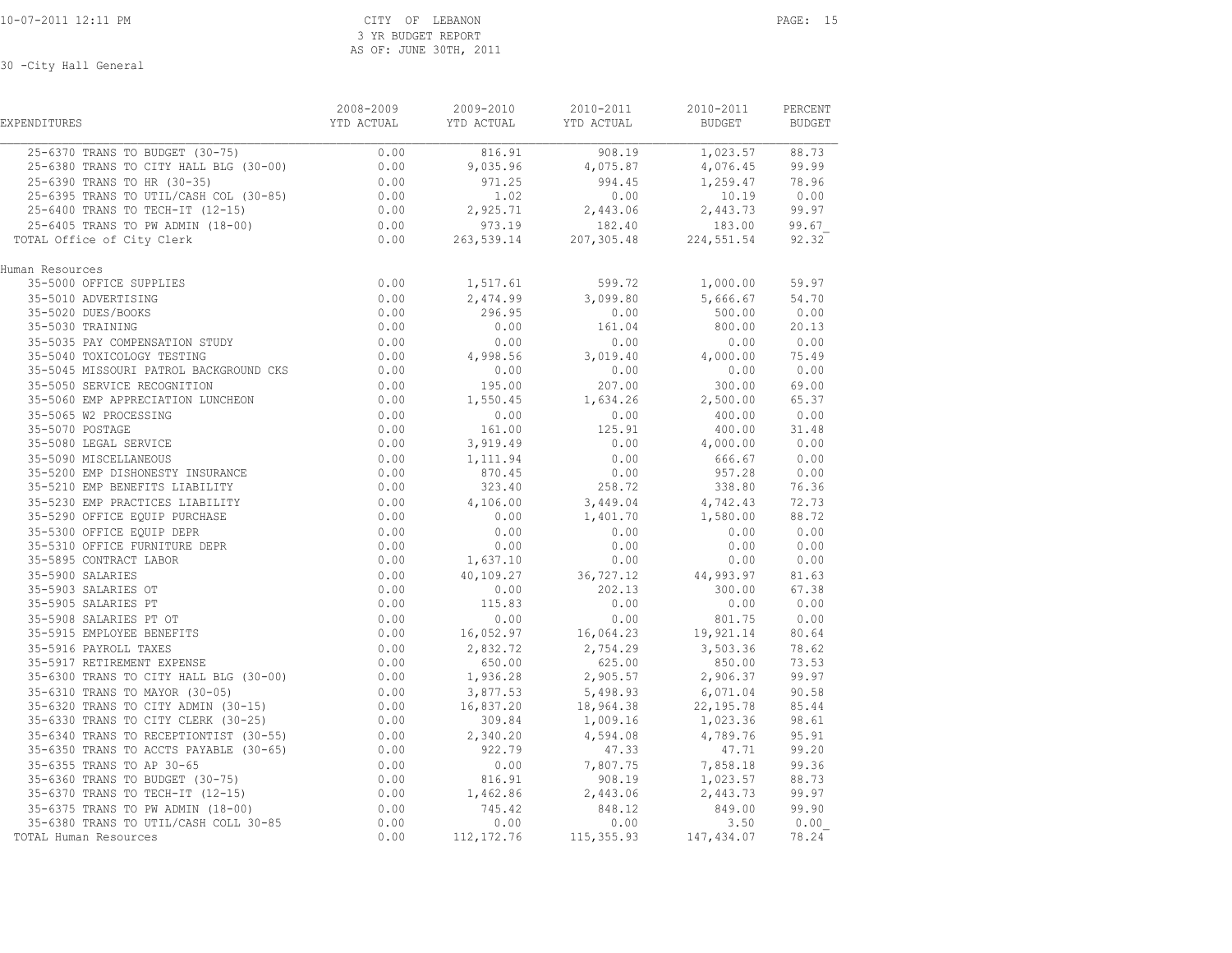| EXPENDITURES                                                                                                                                                                                                                                                                   | 2008-2009        | 2009-2010                        | 2010-2011<br>YTD ACTUAL         YTD ACTUAL           YTD ACTUAL                BUDGET            BUDGET                                                     | 2010-2011     | PERCENT |
|--------------------------------------------------------------------------------------------------------------------------------------------------------------------------------------------------------------------------------------------------------------------------------|------------------|----------------------------------|-------------------------------------------------------------------------------------------------------------------------------------------------------------|---------------|---------|
|                                                                                                                                                                                                                                                                                |                  |                                  |                                                                                                                                                             |               |         |
|                                                                                                                                                                                                                                                                                |                  |                                  |                                                                                                                                                             |               |         |
|                                                                                                                                                                                                                                                                                |                  |                                  |                                                                                                                                                             |               |         |
|                                                                                                                                                                                                                                                                                |                  |                                  |                                                                                                                                                             |               |         |
|                                                                                                                                                                                                                                                                                |                  |                                  |                                                                                                                                                             |               |         |
|                                                                                                                                                                                                                                                                                |                  |                                  |                                                                                                                                                             |               |         |
| TOTAL Office of City Clerk                                                                                                                                                                                                                                                     |                  |                                  |                                                                                                                                                             |               |         |
| Human Resources<br>an Resources<br>35-5000 OFFICE SUPPLIES<br>35-5010 ADVERTISING<br>35-5020 DUES/BOOKS<br>35-5030 TRAINING<br>35-5035 PAY COMPENSATION STUDY<br>35-5035 PAY COMPENSATION STUDY<br>0.00<br>55-5035 PAY COMPENSATION STUDY<br>0.00                              |                  |                                  |                                                                                                                                                             |               |         |
|                                                                                                                                                                                                                                                                                |                  |                                  | 1,517.61 599.72 1,000.00                                                                                                                                    |               | 59.97   |
|                                                                                                                                                                                                                                                                                |                  |                                  | 2,474.99 3,099.80<br>296.95 0.00                                                                                                                            | 5,666.67      | 54.70   |
|                                                                                                                                                                                                                                                                                | $0.00$<br>$0.00$ |                                  | 0.00<br>161.04                                                                                                                                              | $500.00$ 0.00 |         |
|                                                                                                                                                                                                                                                                                |                  | 0.00                             |                                                                                                                                                             | 800.00        | 20.13   |
|                                                                                                                                                                                                                                                                                |                  | $0.00$ $0.00$<br>0.00 $4,998.56$ |                                                                                                                                                             |               |         |
| 35-5040 TOXICOLOGY TESTING                                                                                                                                                                                                                                                     |                  |                                  | $\begin{array}{cccc} &0.00 & & &0.00 & & & 0.00\ 3,019.40 & & & 4,000.00 & & 75.49\ 0.00 & & & 0.00 & & & 0.00\ 207.00 & & & 300.00 & & 69.00\ \end{array}$ |               |         |
|                                                                                                                                                                                                                                                                                |                  |                                  |                                                                                                                                                             |               |         |
|                                                                                                                                                                                                                                                                                |                  |                                  |                                                                                                                                                             |               |         |
|                                                                                                                                                                                                                                                                                |                  |                                  |                                                                                                                                                             |               |         |
|                                                                                                                                                                                                                                                                                |                  |                                  |                                                                                                                                                             |               |         |
|                                                                                                                                                                                                                                                                                |                  |                                  |                                                                                                                                                             |               |         |
|                                                                                                                                                                                                                                                                                |                  |                                  |                                                                                                                                                             |               |         |
|                                                                                                                                                                                                                                                                                |                  |                                  |                                                                                                                                                             |               |         |
|                                                                                                                                                                                                                                                                                |                  |                                  |                                                                                                                                                             |               |         |
|                                                                                                                                                                                                                                                                                |                  |                                  |                                                                                                                                                             |               |         |
|                                                                                                                                                                                                                                                                                |                  |                                  |                                                                                                                                                             |               |         |
|                                                                                                                                                                                                                                                                                |                  |                                  |                                                                                                                                                             |               |         |
|                                                                                                                                                                                                                                                                                |                  |                                  |                                                                                                                                                             |               |         |
|                                                                                                                                                                                                                                                                                |                  |                                  |                                                                                                                                                             |               |         |
|                                                                                                                                                                                                                                                                                |                  |                                  |                                                                                                                                                             |               |         |
|                                                                                                                                                                                                                                                                                |                  |                                  |                                                                                                                                                             |               |         |
|                                                                                                                                                                                                                                                                                |                  |                                  |                                                                                                                                                             |               |         |
|                                                                                                                                                                                                                                                                                |                  |                                  |                                                                                                                                                             |               |         |
|                                                                                                                                                                                                                                                                                |                  |                                  |                                                                                                                                                             |               |         |
|                                                                                                                                                                                                                                                                                |                  |                                  |                                                                                                                                                             |               |         |
|                                                                                                                                                                                                                                                                                |                  |                                  |                                                                                                                                                             |               |         |
|                                                                                                                                                                                                                                                                                |                  |                                  |                                                                                                                                                             |               |         |
|                                                                                                                                                                                                                                                                                |                  |                                  |                                                                                                                                                             |               |         |
|                                                                                                                                                                                                                                                                                |                  |                                  |                                                                                                                                                             |               |         |
|                                                                                                                                                                                                                                                                                |                  |                                  |                                                                                                                                                             |               |         |
|                                                                                                                                                                                                                                                                                |                  |                                  |                                                                                                                                                             |               |         |
|                                                                                                                                                                                                                                                                                |                  |                                  |                                                                                                                                                             |               |         |
|                                                                                                                                                                                                                                                                                |                  |                                  |                                                                                                                                                             |               |         |
| $\begin{array}{cccccc} 3.5-5034 & 40 & 0.00 & 0.00 & 0.00 & 0.00 & 0.00 & 0.00 & 0.00 & 0.00 & 0.00 & 0.00 & 0.00 & 0.00 & 0.00 & 0.00 & 0.00 & 0.00 & 0.00 & 0.00 & 0.00 & 0.00 & 0.00 & 0.00 & 0.00 & 0.00 & 0.00 & 0.00 & 0.00 & 0.00 & 0.00 & 0.00 & 0.00 & 0.00 & 0.00 &$ |                  |                                  |                                                                                                                                                             |               |         |
|                                                                                                                                                                                                                                                                                |                  |                                  |                                                                                                                                                             |               |         |
|                                                                                                                                                                                                                                                                                |                  |                                  |                                                                                                                                                             |               |         |
|                                                                                                                                                                                                                                                                                |                  |                                  |                                                                                                                                                             |               |         |
|                                                                                                                                                                                                                                                                                |                  |                                  |                                                                                                                                                             |               |         |
| TOTAL Human Resources                                                                                                                                                                                                                                                          |                  |                                  |                                                                                                                                                             |               |         |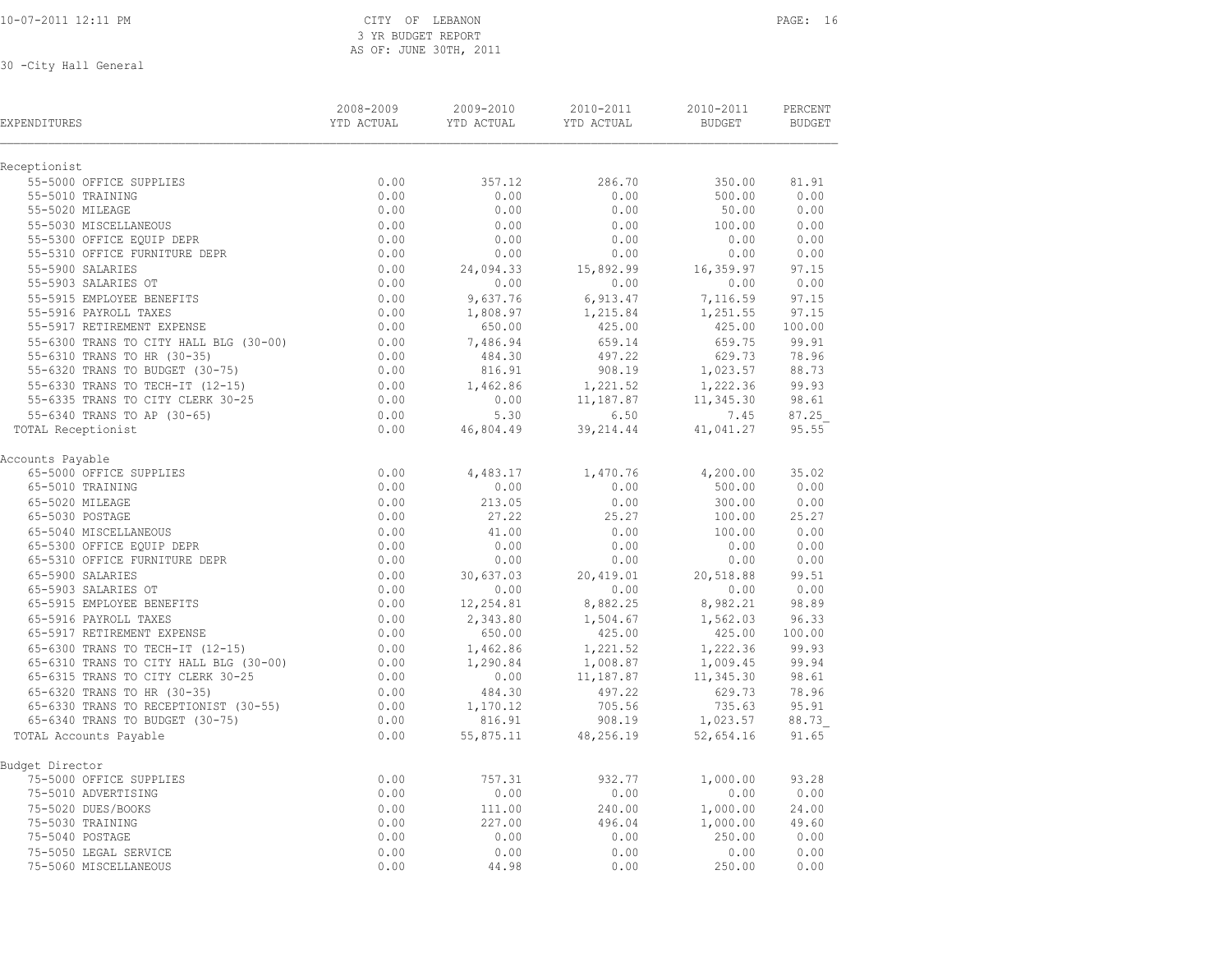10-07-2011 12:11 PM CITY OF LEBANON PAGE: 16 3 YR BUDGET REPORT AS OF: JUNE 30TH, 2011

| EXPENDITURES                           | 2008-2009<br>YTD ACTUAL | 2009-2010<br>YTD ACTUAL | 2010-2011<br>YTD ACTUAL | 2010-2011<br><b>BUDGET</b> | PERCENT<br><b>BUDGET</b> |
|----------------------------------------|-------------------------|-------------------------|-------------------------|----------------------------|--------------------------|
| Receptionist                           |                         |                         |                         |                            |                          |
| 55-5000 OFFICE SUPPLIES                | 0.00                    | 357.12                  | 286.70                  | 350.00                     | 81.91                    |
| 55-5010 TRAINING                       | 0.00                    | 0.00                    | 0.00                    | 500.00                     | 0.00                     |
| 55-5020 MILEAGE                        | 0.00                    | 0.00                    | 0.00                    | 50.00                      | 0.00                     |
| 55-5030 MISCELLANEOUS                  | 0.00                    | 0.00                    | 0.00                    | 100.00                     | 0.00                     |
| 55-5300 OFFICE EQUIP DEPR              | 0.00                    | 0.00                    | 0.00                    | 0.00                       | 0.00                     |
| 55-5310 OFFICE FURNITURE DEPR          | 0.00                    | 0.00                    | 0.00                    | 0.00                       | 0.00                     |
| 55-5900 SALARIES                       | 0.00                    | 24,094.33               | 15,892.99               | 16,359.97                  | 97.15                    |
| 55-5903 SALARIES OT                    | 0.00                    | 0.00                    | 0.00                    | 0.00                       | 0.00                     |
| 55-5915 EMPLOYEE BENEFITS              | 0.00                    | 9,637.76                | 6,913.47                | 7,116.59                   | 97.15                    |
| 55-5916 PAYROLL TAXES                  | 0.00                    | 1,808.97                | 1,215.84                | 1,251.55                   | 97.15                    |
| 55-5917 RETIREMENT EXPENSE             | 0.00                    | 650.00                  | 425.00                  | 425.00                     | 100.00                   |
| 55-6300 TRANS TO CITY HALL BLG (30-00) | 0.00                    | 7,486.94                | 659.14                  | 659.75                     | 99.91                    |
| 55-6310 TRANS TO HR (30-35)            | 0.00                    | 484.30                  | 497.22                  | 629.73                     | 78.96                    |
| 55-6320 TRANS TO BUDGET (30-75)        | 0.00                    | 816.91                  | 908.19                  | 1,023.57                   | 88.73                    |
| 55-6330 TRANS TO TECH-IT (12-15)       | 0.00                    | 1,462.86                | 1,221.52                | 1,222.36                   | 99.93                    |
| 55-6335 TRANS TO CITY CLERK 30-25      | 0.00                    | 0.00                    | 11,187.87               | 11,345.30                  | 98.61                    |
| 55-6340 TRANS TO AP (30-65)            | 0.00                    | 5.30                    | 6.50                    | 7.45                       | 87.25                    |
| TOTAL Receptionist                     | 0.00                    | 46,804.49               | 39,214.44               | 41,041.27                  | 95.55                    |
| Accounts Payable                       |                         |                         |                         |                            |                          |
| 65-5000 OFFICE SUPPLIES                | 0.00                    | 4,483.17                | 1,470.76                | 4,200.00                   | 35.02                    |
| 65-5010 TRAINING                       | 0.00                    | 0.00                    | 0.00                    | 500.00                     | 0.00                     |
| 65-5020 MILEAGE                        | 0.00                    | 213.05                  | 0.00                    | 300.00                     | 0.00                     |
| 65-5030 POSTAGE                        | 0.00                    | 27.22                   | 25.27                   | 100.00                     | 25.27                    |
| 65-5040 MISCELLANEOUS                  | 0.00                    | 41.00                   | 0.00                    | 100.00                     | 0.00                     |
| 65-5300 OFFICE EQUIP DEPR              | 0.00                    | 0.00                    | 0.00                    | 0.00                       | 0.00                     |
| 65-5310 OFFICE FURNITURE DEPR          | 0.00                    | 0.00                    | 0.00                    | 0.00                       | 0.00                     |
| 65-5900 SALARIES                       | 0.00                    | 30,637.03               | 20,419.01               | 20,518.88                  | 99.51                    |
| 65-5903 SALARIES OT                    | 0.00                    | 0.00                    | 0.00                    | 0.00                       | 0.00                     |
| 65-5915 EMPLOYEE BENEFITS              | 0.00                    | 12,254.81               | 8,882.25                | 8,982.21                   | 98.89                    |
| 65-5916 PAYROLL TAXES                  | 0.00                    | 2,343.80                | 1,504.67                | 1,562.03                   | 96.33                    |
| 65-5917 RETIREMENT EXPENSE             | 0.00                    | 650.00                  | 425.00                  | 425.00                     | 100.00                   |
| 65-6300 TRANS TO TECH-IT (12-15)       | 0.00                    | 1,462.86                | 1,221.52                | 1,222.36                   | 99.93                    |
| 65-6310 TRANS TO CITY HALL BLG (30-00) | 0.00                    | 1,290.84                | 1,008.87                | 1,009.45                   | 99.94                    |
| 65-6315 TRANS TO CITY CLERK 30-25      | 0.00                    | 0.00                    | 11,187.87               | 11,345.30                  | 98.61                    |
| 65-6320 TRANS TO HR (30-35)            | 0.00                    | 484.30                  | 497.22                  | 629.73                     | 78.96                    |
| 65-6330 TRANS TO RECEPTIONIST (30-55)  | 0.00                    | 1,170.12                | 705.56                  | 735.63                     | 95.91                    |
| 65-6340 TRANS TO BUDGET (30-75)        | 0.00                    | 816.91                  | 908.19                  | 1,023.57                   | 88.73                    |
| TOTAL Accounts Payable                 | 0.00                    | 55,875.11               | 48,256.19               | 52,654.16                  | 91.65                    |
| Budget Director                        |                         |                         |                         |                            |                          |
| 75-5000 OFFICE SUPPLIES                | 0.00                    | 757.31                  | 932.77                  | 1,000.00                   | 93.28                    |
| 75-5010 ADVERTISING                    | 0.00                    | 0.00                    | 0.00                    | 0.00                       | 0.00                     |
| 75-5020 DUES/BOOKS                     | 0.00                    | 111.00                  | 240.00                  | 1,000.00                   | 24.00                    |
| 75-5030 TRAINING                       | 0.00                    | 227.00                  | 496.04                  | 1,000.00                   | 49.60                    |
| 75-5040 POSTAGE                        | 0.00                    | 0.00                    | 0.00                    | 250.00                     | 0.00                     |
| 75-5050 LEGAL SERVICE                  | 0.00                    | 0.00                    | 0.00                    | 0.00                       | 0.00                     |
| 75-5060 MISCELLANEOUS                  | 0.00                    | 44.98                   | 0.00                    | 250.00                     | 0.00                     |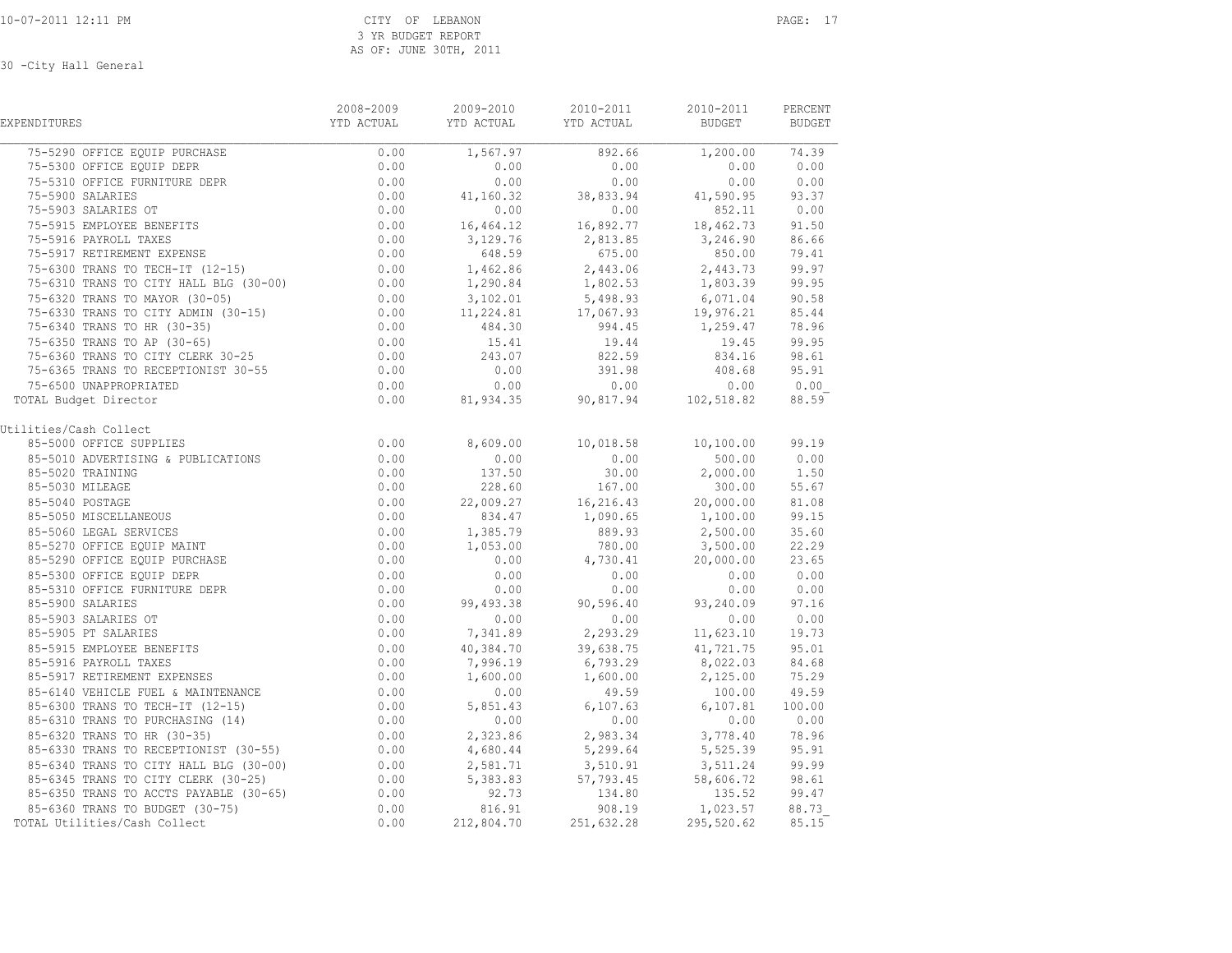| EXPENDITURES                                                                                                                                                                                                                                                                                                                                          | 2008-2009        | 2009-2010             | 2010-2011                                                                                                                                                                                                                      | 2010-2011                            | PERCENT<br>BUDGET |
|-------------------------------------------------------------------------------------------------------------------------------------------------------------------------------------------------------------------------------------------------------------------------------------------------------------------------------------------------------|------------------|-----------------------|--------------------------------------------------------------------------------------------------------------------------------------------------------------------------------------------------------------------------------|--------------------------------------|-------------------|
| 75-5290 OFFICE EQUIP PURCHASE<br>75-5300 OFFICE EQUIP DEPR<br>75-5310 OFFICE FURNITURE DEPR<br>0.00<br>0.00<br>0.00                                                                                                                                                                                                                                   |                  | 1,567.97              | 892.66                                                                                                                                                                                                                         | 1,200.00 74.39                       |                   |
|                                                                                                                                                                                                                                                                                                                                                       |                  | 0.00                  | 0.00                                                                                                                                                                                                                           | 0.00                                 | 0.00              |
|                                                                                                                                                                                                                                                                                                                                                       |                  |                       | $0.00$ $0.00$ $0.00$ $0.00$ $0.00$ $0.00$ $0.00$ $0.00$ $0.00$ $0.00$ $0.00$ $0.00$ $0.00$ $0.00$ $0.00$ $0.00$ $0.00$ $0.00$ $0.00$ $0.00$ $0.00$ $0.00$ $0.00$ $0.00$ $0.00$ $0.00$ $0.00$ $0.00$ $0.00$ $0.00$ $0.00$ $0.0$ |                                      |                   |
|                                                                                                                                                                                                                                                                                                                                                       |                  |                       |                                                                                                                                                                                                                                |                                      |                   |
|                                                                                                                                                                                                                                                                                                                                                       |                  |                       |                                                                                                                                                                                                                                |                                      | 0.00              |
| 75-5310 OFFICE FURNITURE DEEN<br>75-5310 OFFICE FURNITURE DEEN<br>75-5903 SALARIES OT<br>75-5903 SALARIES OT<br>75-5903 SALARIES OT<br>75-5903 SALARIES OT<br>75-5915 EMPLOYEE BENEFITS 0.00<br>75-5916 PAYROLL TAXES 0.00<br>75-5917 RETIREMENT EXPENSE 0.00<br>75-6300 TRANS TO TECH-IT (12-15) 0.00<br>75-6310 TRANS TO CITY HALL BLG (30-00) 0.00 |                  |                       | $0.00$<br>16,464.12<br>16,892.77                                                                                                                                                                                               | $852.11$<br>$18,462.73$              | 91.50             |
|                                                                                                                                                                                                                                                                                                                                                       |                  |                       | $3,129.76$ $2,813.85$ $3,246.90$                                                                                                                                                                                               |                                      | 86.66             |
|                                                                                                                                                                                                                                                                                                                                                       |                  | 648.59                | 675.00                                                                                                                                                                                                                         | 850.00                               | 79.41             |
|                                                                                                                                                                                                                                                                                                                                                       |                  |                       | 1,462.86 2,443.06 2,443.73<br>1,290.84 1,802.53 1,803.39                                                                                                                                                                       |                                      | 99.97             |
|                                                                                                                                                                                                                                                                                                                                                       |                  |                       |                                                                                                                                                                                                                                |                                      | 99.95             |
|                                                                                                                                                                                                                                                                                                                                                       |                  |                       | $\begin{array}{cccc} 3,102.01 & 5,498.93 & 6,071.04 \\ 11,224.81 & 17,067.93 & 19,976.21 \end{array}$                                                                                                                          |                                      | 90.58             |
|                                                                                                                                                                                                                                                                                                                                                       |                  | $3,102.$<br>11,224.81 |                                                                                                                                                                                                                                |                                      | 85.44             |
|                                                                                                                                                                                                                                                                                                                                                       |                  |                       | 484.30 994.45 1,259.47                                                                                                                                                                                                         |                                      | 78.96             |
| 75-6310 TRANS TO CITY HALL BLG (30-00)<br>75-6320 TRANS TO MAYOR (30-05) 0.00<br>75-6330 TRANS TO CITY ADMIN (30-15) 0.00<br>75-6340 TRANS TO HR (30-35) 0.00<br>75-6350 TRANS TO AP (30-65) 0.00<br>75-6360 TRANS TO CITY CLERK 30-25 0                                                                                                              |                  | 15.41                 | 19.44<br>822.59                                                                                                                                                                                                                | 19.45                                | 99.95             |
|                                                                                                                                                                                                                                                                                                                                                       |                  | 243.07                |                                                                                                                                                                                                                                | 834.16                               | 98.61             |
|                                                                                                                                                                                                                                                                                                                                                       |                  | 0.00                  | 391.98                                                                                                                                                                                                                         | 408.68                               | 95.91             |
| 75-6500 UNAPPROPRIATED                                                                                                                                                                                                                                                                                                                                | 0.00             | 0.00                  | $0.00$<br>90,817.94<br>90,817.94<br>102,518.82                                                                                                                                                                                 | 0.00                                 | 0.00              |
| TOTAL Budget Director                                                                                                                                                                                                                                                                                                                                 | 0.00             | 81,934.35             |                                                                                                                                                                                                                                |                                      | 88.59             |
| Utilities/Cash Collect                                                                                                                                                                                                                                                                                                                                |                  |                       |                                                                                                                                                                                                                                |                                      |                   |
| 85-5000 OFFICE SUPPLIES                                                                                                                                                                                                                                                                                                                               | $0.00$<br>$0.00$ | 8,609.00              | $10,018.58$ $10,100.00$ 99.19                                                                                                                                                                                                  |                                      |                   |
| 85-5010 ADVERTISING & PUBLICATIONS                                                                                                                                                                                                                                                                                                                    |                  | 0.00                  | 0.00                                                                                                                                                                                                                           | 500.00                               | 0.00              |
| 85-5020 TRAINING<br>85-5020 TRAINING<br>85-5030 MILEAGE<br>85-5030 MILEAGE<br>85-5040 POSTAGE<br>85-5050 MISCELLANEOUS<br>85-5050 MISCELLANEOUS<br>85-5050 MISCELLANEOUS<br>85-5060 LEGAL SERVICES<br>85-5270 OFFICE EQUIP MAINT<br>85-5290 OFFICE EQUIP PURCHASE<br>8                                                                                | 0.00             | 137.50<br>228.60      | $30.00$<br>$167.00$                                                                                                                                                                                                            | 2,000.00                             | 1,50              |
|                                                                                                                                                                                                                                                                                                                                                       |                  |                       |                                                                                                                                                                                                                                | 300.00                               | 55.67             |
|                                                                                                                                                                                                                                                                                                                                                       |                  |                       | $22,009.27$ $16,216.43$ $20,000.00$<br>834.47 $1,090.65$ $1,100.00$                                                                                                                                                            | 20,000.00                            | 81.08             |
|                                                                                                                                                                                                                                                                                                                                                       |                  |                       |                                                                                                                                                                                                                                |                                      | 99.15             |
|                                                                                                                                                                                                                                                                                                                                                       |                  |                       |                                                                                                                                                                                                                                | 889.93 2,500.00<br>780.00 3,500.00   | 35.60             |
|                                                                                                                                                                                                                                                                                                                                                       |                  |                       |                                                                                                                                                                                                                                |                                      | 22.29             |
|                                                                                                                                                                                                                                                                                                                                                       |                  |                       | $0.00$ $4,730.41$                                                                                                                                                                                                              | 20,000.00                            | 23.65             |
|                                                                                                                                                                                                                                                                                                                                                       |                  |                       | $0.00$<br>$0.00$                                                                                                                                                                                                               | 0.00                                 | 0.00              |
|                                                                                                                                                                                                                                                                                                                                                       |                  |                       | $0.00$<br>90,596.40                                                                                                                                                                                                            | 0.00                                 | 0.00              |
| 85-5900 SALARIES                                                                                                                                                                                                                                                                                                                                      | 0.00             | 99, 493.38            |                                                                                                                                                                                                                                | 93, 240.09 97.16                     |                   |
|                                                                                                                                                                                                                                                                                                                                                       | $0.00$<br>$0.00$ |                       | $0.00$ $0.00$ $0.00$ $0.00$ $0.00$ $0.00$ $0.00$                                                                                                                                                                               |                                      | 0.00 0.00         |
| 85-5900 SALARIES<br>85-5903 SALARIES OT<br>85-5905 PT SALARIES<br>85-5915 EMPLOYEE BENEFITS<br>85-5916 PAYROLL TAXES<br>85-5917 RETIREMENT EXPENSES                                                                                                                                                                                                   |                  |                       |                                                                                                                                                                                                                                |                                      | 19.73             |
|                                                                                                                                                                                                                                                                                                                                                       |                  |                       | $0.00$ $40,384.70$ $39,638.75$ $41,721.75$<br>$0.00$ $7,996.19$ $6,793.29$ $8,022.03$                                                                                                                                          |                                      | 95.01             |
|                                                                                                                                                                                                                                                                                                                                                       |                  |                       |                                                                                                                                                                                                                                |                                      | 84.68             |
|                                                                                                                                                                                                                                                                                                                                                       |                  |                       |                                                                                                                                                                                                                                |                                      |                   |
| 85-6140 VEHICLE FUEL & MAINTENANCE                                                                                                                                                                                                                                                                                                                    |                  |                       |                                                                                                                                                                                                                                |                                      |                   |
| 85-6300 TRANS TO TECH-IT (12-15)                                                                                                                                                                                                                                                                                                                      |                  |                       |                                                                                                                                                                                                                                |                                      |                   |
| 85-6310 TRANS TO PURCHASING (14)                                                                                                                                                                                                                                                                                                                      |                  |                       |                                                                                                                                                                                                                                |                                      |                   |
| 85-6320 TRANS TO HR (30-35)                                                                                                                                                                                                                                                                                                                           |                  |                       | $0.00$ $2,323.86$ $2,983.34$ $3,778.40$ $78.96$<br>$0.00$ $4,680.44$ $5,299.64$ $5,525.39$ $95.91$                                                                                                                             |                                      |                   |
| 85-6330 TRANS TO RECEPTIONIST (30-55)                                                                                                                                                                                                                                                                                                                 |                  |                       |                                                                                                                                                                                                                                |                                      |                   |
| 85-6340 TRANS TO CITY HALL BLG (30-00)<br>85-6345 TRANS TO CITY CLERK (30-25)<br>85-6345 TRANS TO CITY CLERK (30-25)<br>85-6350 TRANS TO ACCTS PAYABLE (30-65)<br>85-6360 TRANS TO BUDGET (30-75)<br>85-6360 TRANS TO BUDGET (30-75)<br>85                                                                                                            |                  |                       |                                                                                                                                                                                                                                |                                      | 99.99             |
|                                                                                                                                                                                                                                                                                                                                                       |                  |                       |                                                                                                                                                                                                                                |                                      | 98.61             |
| 85-6345 TRANS TO CHIL CERNA (30 23)<br>85-6350 TRANS TO ACCTS PAYABLE (30-65) 0.00<br>85-6360 TRANS TO BUDGET (30-75) 0.00                                                                                                                                                                                                                            |                  |                       |                                                                                                                                                                                                                                |                                      | 99.47             |
|                                                                                                                                                                                                                                                                                                                                                       |                  | 816.91                |                                                                                                                                                                                                                                | $134.80$ $133.32$<br>908.19 1,023.57 | 88.73             |
| 85-6360 TRANS TO BUDGET (30-75)<br>)TAL Utilities/Cash Collect<br>TOTAL Utilities/Cash Collect                                                                                                                                                                                                                                                        | 0.00             | 212,804.70            | 251,632.28                                                                                                                                                                                                                     | 295,520.62                           | 85.15             |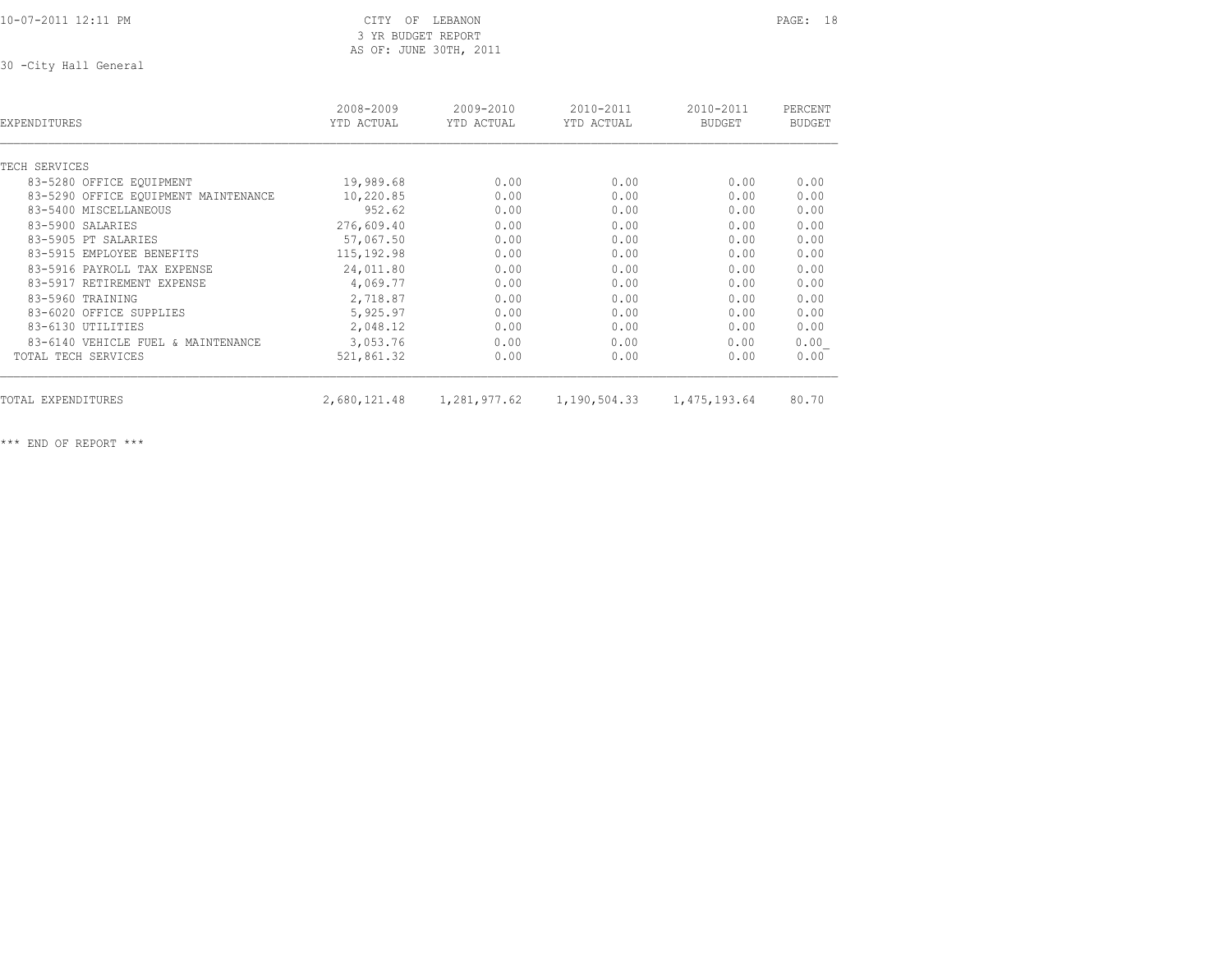10-07-2011 12:11 PM CITY OF LEBANON PAGE: 18

 3 YR BUDGET REPORT AS OF: JUNE 30TH, 2011

30 -City Hall General

| EXPENDITURES                         | 2008-2009<br>YTD ACTUAL | 2009-2010<br>YTD ACTUAL | 2010-2011<br>YTD ACTUAL | 2010-2011<br><b>BUDGET</b> | PERCENT<br><b>BUDGET</b> |
|--------------------------------------|-------------------------|-------------------------|-------------------------|----------------------------|--------------------------|
| TECH SERVICES                        |                         |                         |                         |                            |                          |
| 83-5280 OFFICE EQUIPMENT             | 19,989.68               | 0.00                    | 0.00                    | 0.00                       | 0.00                     |
| 83-5290 OFFICE EOUIPMENT MAINTENANCE | 10,220.85               | 0.00                    | 0.00                    | 0.00                       | 0.00                     |
| 83-5400 MISCELLANEOUS                | 952.62                  | 0.00                    | 0.00                    | 0.00                       | 0.00                     |
| 83-5900 SALARIES                     | 276,609.40              | 0.00                    | 0.00                    | 0.00                       | 0.00                     |
| 83-5905 PT SALARIES                  | 57,067.50               | 0.00                    | 0.00                    | 0.00                       | 0.00                     |
| 83-5915 EMPLOYEE BENEFITS            | 115, 192.98             | 0.00                    | 0.00                    | 0.00                       | 0.00                     |
| 83-5916 PAYROLL TAX EXPENSE          | 24,011.80               | 0.00                    | 0.00                    | 0.00                       | 0.00                     |
| 83-5917 RETIREMENT EXPENSE           | 4,069.77                | 0.00                    | 0.00                    | 0.00                       | 0.00                     |
| 83-5960 TRAINING                     | 2,718.87                | 0.00                    | 0.00                    | 0.00                       | 0.00                     |
|                                      |                         |                         |                         |                            |                          |
| 83-6020 OFFICE SUPPLIES              | 5,925.97                | 0.00                    | 0.00                    | 0.00                       | 0.00                     |
| 83-6130 UTILITIES                    | 2,048.12                | 0.00                    | 0.00                    | 0.00                       | 0.00                     |
| 83-6140 VEHICLE FUEL & MAINTENANCE   | 3,053.76                | 0.00                    | 0.00                    | 0.00                       | 0.00                     |
| TOTAL TECH SERVICES                  | 521,861.32              | 0.00                    | 0.00                    | 0.00                       | 0.00                     |
| TOTAL EXPENDITURES                   | 2,680,121.48            | 1,281,977.62            | 1,190,504.33            | 1,475,193.64               | 80.70                    |

\*\*\* END OF REPORT \*\*\*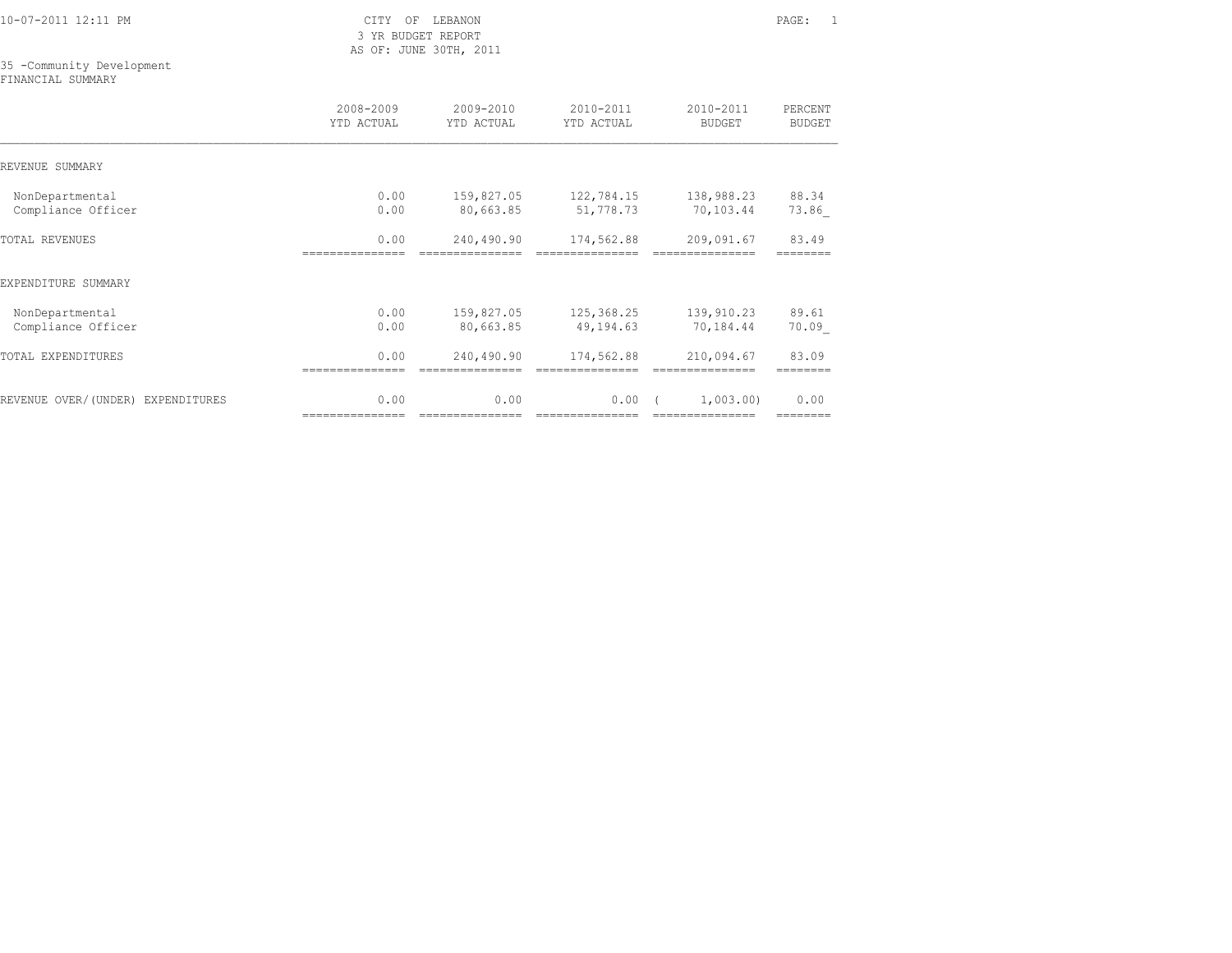|  |  | 10-07-2011 12:11 PM |  |
|--|--|---------------------|--|
|  |  |                     |  |

CITY OF LEBANON PAGE: 1 3 YR BUDGET REPORT AS OF: JUNE 30TH, 2011

## 35 -Community Development

FINANCIAL SUMMARY

|                                   | 2008-2009       | 2009-2010       | 2010-2011       | 2010-2011       | PERCENT       |
|-----------------------------------|-----------------|-----------------|-----------------|-----------------|---------------|
|                                   | YTD ACTUAL      | YTD ACTUAL      | YTD ACTUAL      | <b>BUDGET</b>   | <b>BUDGET</b> |
| REVENUE SUMMARY                   |                 |                 |                 |                 |               |
| NonDepartmental                   | 0.00            | 159,827.05      | 122,784.15      | 138,988.23      | 88.34         |
| Compliance Officer                | 0.00            | 80,663.85       | 51,778.73       | 70,103.44       | 73.86         |
| <b>TOTAL REVENUES</b>             | 0.00            | 240,490.90      | 174,562.88      | 209,091.67      | 83.49         |
| EXPENDITURE SUMMARY               |                 |                 |                 |                 |               |
| NonDepartmental                   | 0.00            | 159,827.05      | 125,368.25      | 139,910.23      | 89.61         |
| Compliance Officer                | 0.00            | 80,663.85       | 49,194.63       | 70,184.44       | 70.09         |
| <b>TOTAL EXPENDITURES</b>         | 0.00            | 240,490.90      | 174,562.88      | 210,094.67      | 83.09         |
| REVENUE OVER/(UNDER) EXPENDITURES | 0.00            | 0.00            | 0.00            | 1,003.00        | 0.00          |
|                                   | =============== | =============== | =============== | --------------- | ========      |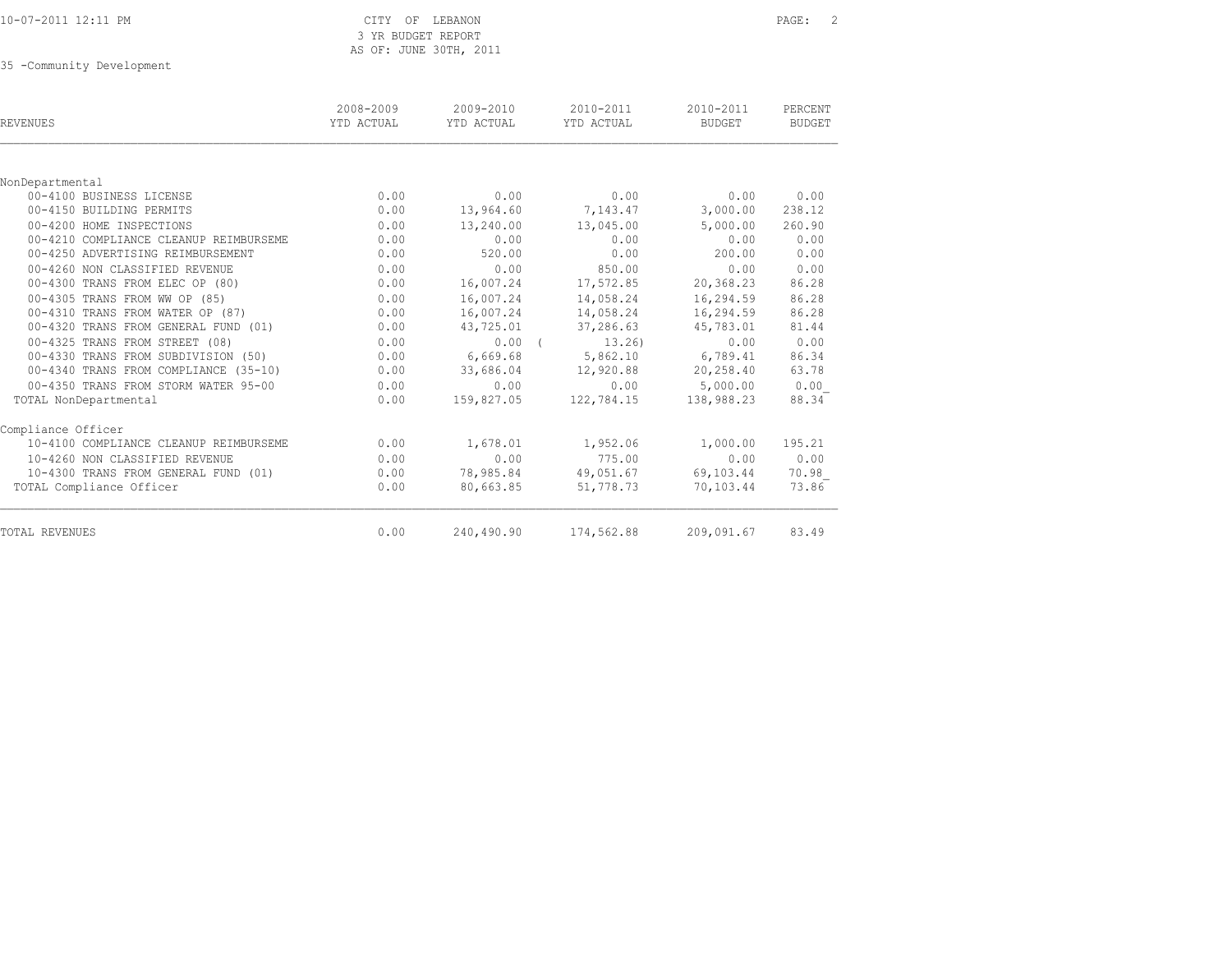|  |  |  | 10-07-2011 12:11 PM |  |  |  |
|--|--|--|---------------------|--|--|--|
|--|--|--|---------------------|--|--|--|

#### CITY OF LEBANON PAGE: 2 3 YR BUDGET REPORT AS OF: JUNE 30TH, 2011

35 -Community Development

| <b>REVENUES</b>                        | 2008-2009<br>YTD ACTUAL | 2009-2010<br>YTD ACTUAL | 2010-2011<br>YTD ACTUAL | 2010-2011<br>BUDGET | PERCENT<br><b>BUDGET</b> |
|----------------------------------------|-------------------------|-------------------------|-------------------------|---------------------|--------------------------|
|                                        |                         |                         |                         |                     |                          |
| NonDepartmental                        |                         |                         |                         |                     |                          |
| 00-4100 BUSINESS LICENSE               | 0.00                    | 0.00                    | 0.00                    | 0.00                | 0.00                     |
| 00-4150 BUILDING PERMITS               | 0.00                    | 13,964.60               | 7,143.47                | 3,000.00            | 238.12                   |
| 00-4200 HOME INSPECTIONS               | 0.00                    | 13,240.00               | 13,045.00               | 5,000.00            | 260.90                   |
| 00-4210 COMPLIANCE CLEANUP REIMBURSEME | 0.00                    | 0.00                    | 0.00                    | 0.00                | 0.00                     |
| 00-4250 ADVERTISING REIMBURSEMENT      | 0.00                    | 520.00                  | 0.00                    | 200.00              | 0.00                     |
| 00-4260 NON CLASSIFIED REVENUE         | 0.00                    | 0.00                    | 850.00                  | 0.00                | 0.00                     |
| 00-4300 TRANS FROM ELEC OP (80)        | 0.00                    | 16,007.24               | 17,572.85               | 20,368.23           | 86.28                    |
| 00-4305 TRANS FROM WW OP (85)          | 0.00                    | 16,007.24               | 14,058.24               | 16,294.59           | 86.28                    |
| 00-4310 TRANS FROM WATER OP (87)       | 0.00                    | 16,007.24               | 14,058.24               | 16,294.59           | 86.28                    |
| 00-4320 TRANS FROM GENERAL FUND (01)   | 0.00                    | 43,725.01               | 37,286.63               | 45,783.01           | 81.44                    |
| 00-4325 TRANS FROM STREET (08)         | 0.00                    | $0.00$ (                | 13,26                   | 0.00                | 0.00                     |
| 00-4330 TRANS FROM SUBDIVISION (50)    | 0.00                    | 6,669.68                | 5,862.10                | 6,789.41            | 86.34                    |
| 00-4340 TRANS FROM COMPLIANCE (35-10)  | 0.00                    | 33,686.04               | 12,920.88               | 20,258.40           | 63.78                    |
| 00-4350 TRANS FROM STORM WATER 95-00   | 0.00                    | 0.00                    | 0.00                    | 5,000.00            | 0.00                     |
| TOTAL NonDepartmental                  | 0.00                    | 159,827.05              | 122,784.15              | 138,988.23          | 88.34                    |
| Compliance Officer                     |                         |                         |                         |                     |                          |
| 10-4100 COMPLIANCE CLEANUP REIMBURSEME | 0.00                    | 1,678.01                | 1,952.06                | 1,000.00            | 195.21                   |
| 10-4260 NON CLASSIFIED REVENUE         | 0.00                    | 0.00                    | 775.00                  | 0.00                | 0.00                     |
| 10-4300 TRANS FROM GENERAL FUND (01)   | 0.00                    | 78,985.84               | 49,051.67               | 69,103.44           | 70.98                    |
| TOTAL Compliance Officer               | 0.00                    | 80,663.85               | 51,778.73               | 70,103.44           | 73.86                    |
| TOTAL REVENUES                         | 0.00                    | 240,490.90              | 174,562.88              | 209,091.67          | 83.49                    |
|                                        |                         |                         |                         |                     |                          |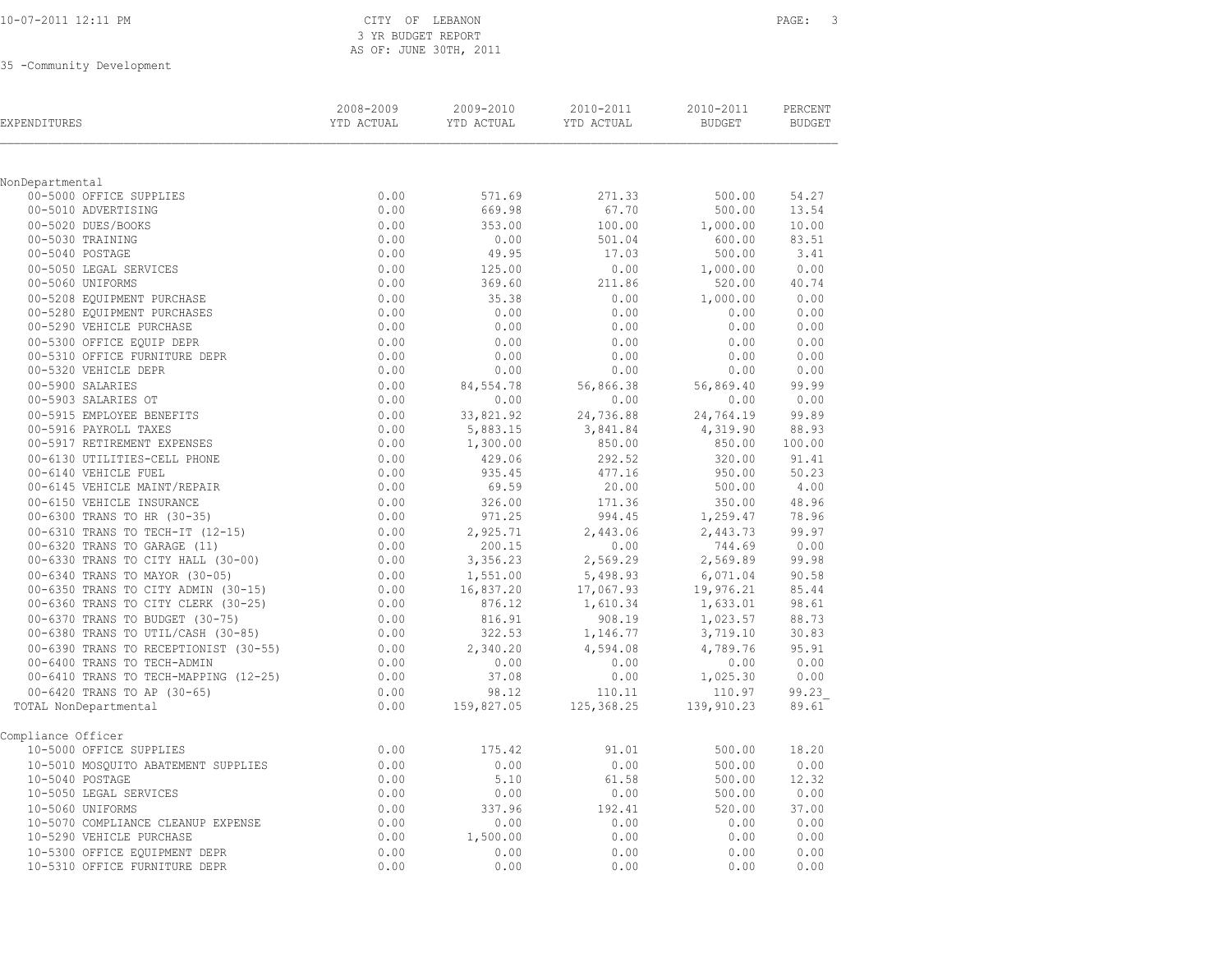| 10-07-2011 12:11 PM |  |  |  |
|---------------------|--|--|--|
|---------------------|--|--|--|

### CITY OF LEBANON **PAGE:** 3 3 YR BUDGET REPORT AS OF: JUNE 30TH, 2011

35 -Community Development

| EXPENDITURES                                         | 2008-2009<br>YTD ACTUAL | 2009-2010<br>YTD ACTUAL | 2010-2011<br>YTD ACTUAL | 2010-2011<br><b>BUDGET</b> | PERCENT<br><b>BUDGET</b> |
|------------------------------------------------------|-------------------------|-------------------------|-------------------------|----------------------------|--------------------------|
|                                                      |                         |                         |                         |                            |                          |
| NonDepartmental                                      |                         |                         |                         |                            |                          |
| 00-5000 OFFICE SUPPLIES<br>00-5010 ADVERTISING       | 0.00<br>0.00            | 571.69<br>669.98        | 271.33<br>67.70         | 500.00<br>500.00           | 54.27<br>13.54           |
| 00-5020 DUES/BOOKS                                   | 0.00                    | 353.00                  |                         |                            | 10.00                    |
| 00-5030 TRAINING                                     | 0.00                    | 0.00                    | 100.00<br>501.04        | 1,000.00<br>600.00         | 83.51                    |
| 00-5040 POSTAGE                                      | 0.00                    | 49.95                   | 17.03                   | 500.00                     | 3.41                     |
| 00-5050 LEGAL SERVICES                               | 0.00                    | 125.00                  | 0.00                    | 1,000.00                   | 0.00                     |
| 00-5060 UNIFORMS                                     | 0.00                    | 369.60                  | 211.86                  | 520.00                     | 40.74                    |
| 00-5208 EQUIPMENT PURCHASE                           | 0.00                    | 35.38                   | 0.00                    | 1,000.00                   | 0.00                     |
| 00-5280 EQUIPMENT PURCHASES                          | 0.00                    | 0.00                    | 0.00                    | 0.00                       | 0.00                     |
| 00-5290 VEHICLE PURCHASE                             | 0.00                    | 0.00                    | 0.00                    | 0.00                       | 0.00                     |
| 00-5300 OFFICE EQUIP DEPR                            | 0.00                    | 0.00                    | 0.00                    | 0.00                       | 0.00                     |
| 00-5310 OFFICE FURNITURE DEPR                        | 0.00                    | 0.00                    | 0.00                    | 0.00                       | 0.00                     |
| 00-5320 VEHICLE DEPR                                 | 0.00                    | 0.00                    | 0.00                    | 0.00                       | 0.00                     |
| 00-5900 SALARIES                                     | 0.00                    | 84,554.78               | 56,866.38               | 56,869.40                  | 99.99                    |
| 00-5903 SALARIES OT                                  | 0.00                    | 0.00                    | 0.00                    | 0.00                       | 0.00                     |
| 00-5915 EMPLOYEE BENEFITS                            | 0.00                    | 33,821.92               | 24,736.88               | 24,764.19                  | 99.89                    |
| 00-5916 PAYROLL TAXES                                | 0.00                    | 5,883.15                | 3,841.84                | 4,319.90                   | 88.93                    |
| 00-5917 RETIREMENT EXPENSES                          | 0.00                    | 1,300.00                | 850.00                  | 850.00                     | 100.00                   |
| 00-6130 UTILITIES-CELL PHONE                         | 0.00                    | 429.06                  | 292.52                  | 320.00                     | 91.41                    |
| 00-6140 VEHICLE FUEL<br>00-6145 VEHICLE MAINT/REPAIR | 0.00<br>0.00            | 935.45<br>69.59         | 477.16<br>20.00         | 950.00<br>500.00           | 50.23<br>4.00            |
| 00-6150 VEHICLE INSURANCE                            | 0.00                    | 326.00                  | 171.36                  | 350.00                     | 48.96                    |
| 00-6300 TRANS TO HR (30-35)                          | 0.00                    | 971.25                  | 994.45                  | 1,259.47                   | 78.96                    |
| 00-6310 TRANS TO TECH-IT (12-15)                     | 0.00                    | 2,925.71                | 2,443.06                | 2,443.73                   | 99.97                    |
| 00-6320 TRANS TO GARAGE (11)                         | 0.00                    | 200.15                  | 0.00                    | 744.69                     | 0.00                     |
| 00-6330 TRANS TO CITY HALL (30-00)                   | 0.00                    | 3,356.23                | 2,569.29                | 2,569.89                   | 99.98                    |
| 00-6340 TRANS TO MAYOR (30-05)                       | 0.00                    | 1,551.00                | 5,498.93                | 6,071.04                   | 90.58                    |
| 00-6350 TRANS TO CITY ADMIN (30-15)                  | 0.00                    | 16,837.20               | 17,067.93               | 19,976.21                  | 85.44                    |
| 00-6360 TRANS TO CITY CLERK (30-25)                  | 0.00                    | 876.12                  | 1,610.34                | 1,633.01                   | 98.61                    |
| 00-6370 TRANS TO BUDGET (30-75)                      | 0.00                    | 816.91                  | 908.19                  | 1,023.57                   | 88.73                    |
| 00-6380 TRANS TO UTIL/CASH (30-85)                   | 0.00                    | 322.53                  | 1,146.77                | 3,719.10                   | 30.83                    |
| 00-6390 TRANS TO RECEPTIONIST (30-55)                | 0.00                    | 2,340.20                | 4,594.08                | 4,789.76                   | 95.91                    |
| 00-6400 TRANS TO TECH-ADMIN                          | 0.00                    | 0.00                    | 0.00                    | 0.00                       | 0.00                     |
| 00-6410 TRANS TO TECH-MAPPING (12-25)                | 0.00                    | 37.08                   | 0.00                    | 1,025.30                   | 0.00                     |
| 00-6420 TRANS TO AP (30-65)                          | 0.00                    | 98.12                   | 110.11                  | 110.97                     | 99.23                    |
| TOTAL NonDepartmental                                | 0.00                    | 159,827.05              | 125, 368.25             | 139,910.23                 | 89.61                    |
| Compliance Officer                                   |                         |                         |                         |                            |                          |
| 10-5000 OFFICE SUPPLIES                              | 0.00                    | 175.42                  | 91.01                   | 500.00                     | 18.20                    |
| 10-5010 MOSQUITO ABATEMENT SUPPLIES                  | 0.00                    | 0.00                    | 0.00                    | 500.00                     | 0.00                     |
| 10-5040 POSTAGE                                      | 0.00                    | 5.10                    | 61.58                   | 500.00                     | 12.32                    |
| 10-5050 LEGAL SERVICES                               | 0.00                    | 0.00                    | 0.00                    | 500.00                     | 0.00                     |
| 10-5060 UNIFORMS                                     | 0.00                    | 337.96                  | 192.41                  | 520.00                     | 37.00                    |
| 10-5070 COMPLIANCE CLEANUP EXPENSE                   | 0.00                    | 0.00                    | 0.00                    | 0.00                       | 0.00                     |
| 10-5290 VEHICLE PURCHASE                             | 0.00                    | 1,500.00                | 0.00                    | 0.00                       | 0.00                     |
| 10-5300 OFFICE EQUIPMENT DEPR                        | 0.00                    | 0.00                    | 0.00                    | 0.00                       | 0.00                     |
| 10-5310 OFFICE FURNITURE DEPR                        | 0.00                    | 0.00                    | 0.00                    | 0.00                       | 0.00                     |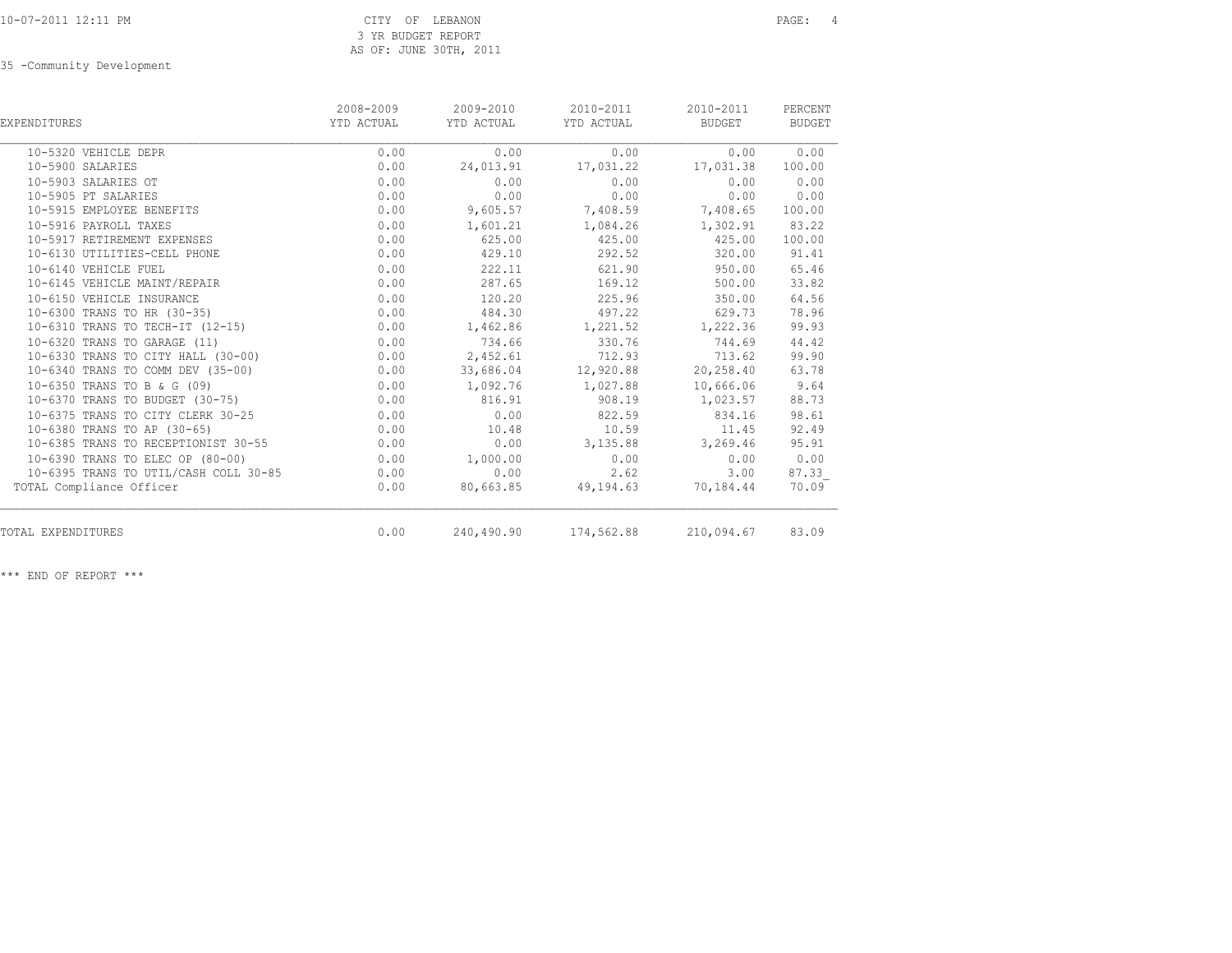| EXPENDITURES                          | 2008-2009<br>YTD ACTUAL | 2009-2010<br>YTD ACTUAL | 2010-2011<br>YTD ACTUAL | 2010-2011<br>BUDGET | PERCENT<br>BUDGET |
|---------------------------------------|-------------------------|-------------------------|-------------------------|---------------------|-------------------|
| 10-5320 VEHICLE DEPR                  | 0.00                    | 0.00                    | 0.00                    | 0.00                | 0.00              |
| 10-5900 SALARIES                      | 0.00                    | 24,013.91               | 17,031.22               | 17,031.38           | 100.00            |
| 10-5903 SALARIES OT                   | 0.00                    | 0.00                    | 0.00                    | 0.00                | 0.00              |
| 10-5905 PT SALARIES                   | 0.00                    | 0.00                    | 0.00                    | 0.00                | 0.00              |
| 10-5915 EMPLOYEE BENEFITS             | 0.00                    | 9,605.57                | 7,408.59                | 7,408.65            | 100.00            |
| 10-5916 PAYROLL TAXES                 | 0.00                    | 1,601.21                | 1,084.26                | 1,302.91            | 83.22             |
| 10-5917 RETIREMENT EXPENSES           | 0.00                    | 625.00                  | 425.00                  | 425.00              | 100.00            |
| 10-6130 UTILITIES-CELL PHONE          | 0.00                    | 429.10                  | 292.52                  | 320.00              | 91.41             |
| 10-6140 VEHICLE FUEL                  | 0.00                    | 222.11                  | 621.90                  | 950.00              | 65.46             |
| 10-6145 VEHICLE MAINT/REPAIR          | 0.00                    | 287.65                  | 169.12                  | 500.00              | 33.82             |
| 10-6150 VEHICLE INSURANCE             | 0.00                    | 120.20                  | 225.96                  | 350.00              | 64.56             |
| 10-6300 TRANS TO HR (30-35)           | 0.00                    | 484.30                  | 497.22                  | 629.73              | 78.96             |
| 10-6310 TRANS TO TECH-IT (12-15)      | 0.00                    | 1,462.86                | 1,221.52                | 1,222.36            | 99.93             |
| 10-6320 TRANS TO GARAGE (11)          | 0.00                    | 734.66                  | 330.76                  | 744.69              | 44.42             |
| 10-6330 TRANS TO CITY HALL (30-00)    | 0.00                    | 2,452.61                | 712.93                  | 713.62              | 99.90             |
| 10-6340 TRANS TO COMM DEV (35-00)     | 0.00                    | 33,686.04               | 12,920.88               | 20,258.40           | 63.78             |
| 10-6350 TRANS TO B & G (09)           | 0.00                    | 1,092.76                | 1,027.88                | 10,666.06           | 9.64              |
| 10-6370 TRANS TO BUDGET (30-75)       | 0.00                    | 816.91                  | 908.19                  | 1,023.57            | 88.73             |
| 10-6375 TRANS TO CITY CLERK 30-25     | 0.00                    | 0.00                    | 822.59                  | 834.16              | 98.61             |
| 10-6380 TRANS TO AP (30-65)           | 0.00                    | 10.48                   | 10.59                   | 11.45               | 92.49             |
| 10-6385 TRANS TO RECEPTIONIST 30-55   | 0.00                    | 0.00                    | 3,135.88                | 3,269.46            | 95.91             |
| 10-6390 TRANS TO ELEC OP (80-00)      | 0.00                    | 1,000.00                | 0.00                    | 0.00                | 0.00              |
| 10-6395 TRANS TO UTIL/CASH COLL 30-85 | 0.00                    | 0.00                    | 2.62                    | 3.00                | 87.33             |
| TOTAL Compliance Officer              | 0.00                    | 80,663.85               | 49,194.63               | 70,184.44           | 70.09             |
| TOTAL EXPENDITURES                    | 0.00                    |                         | 240,490.90 174,562.88   | 210,094.67          | 83.09             |
|                                       |                         |                         |                         |                     |                   |

\*\*\* END OF REPORT \*\*\*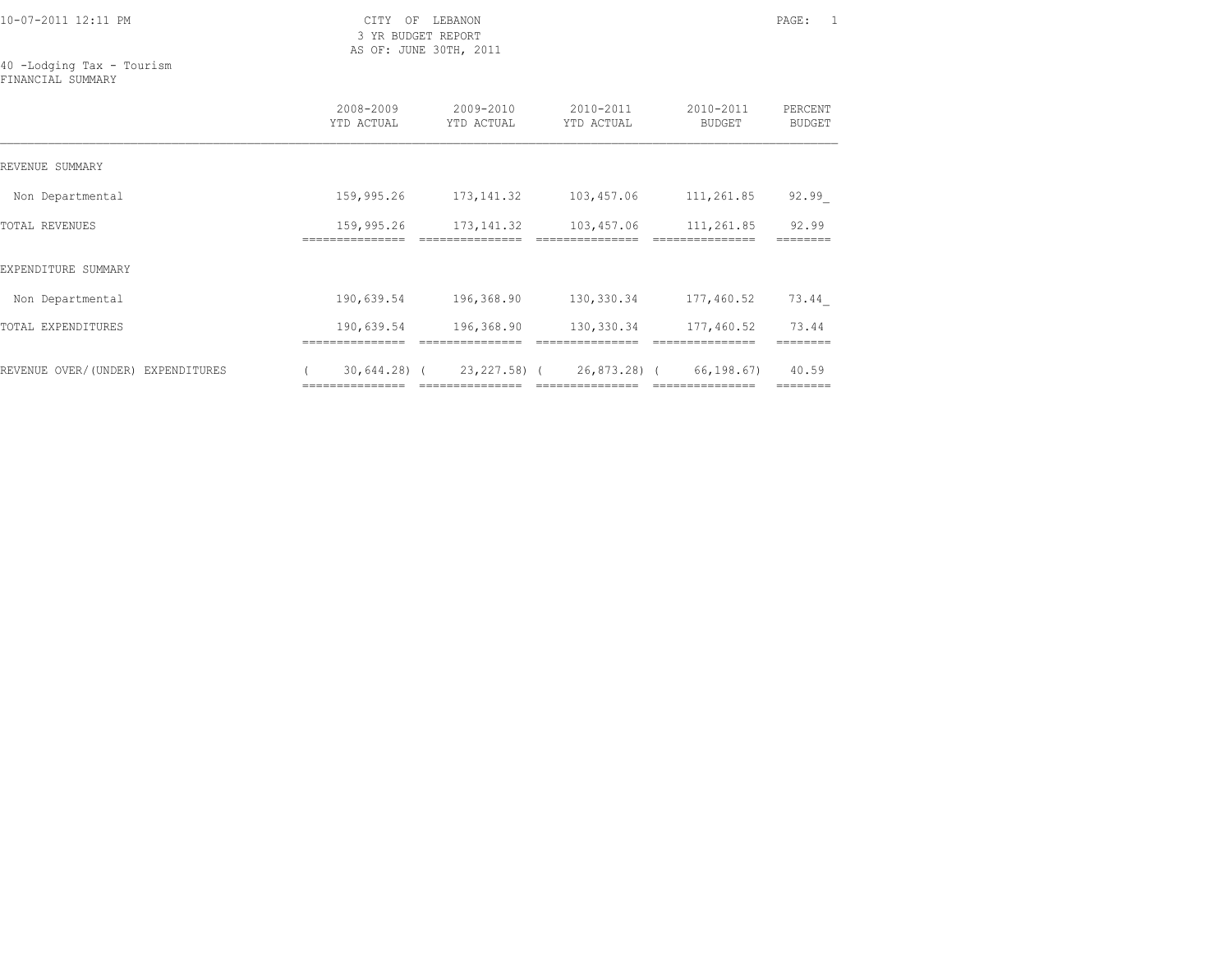10-07-2011 12:11 PM CITY OF LEBANON PAGE: 1

 3 YR BUDGET REPORT AS OF: JUNE 30TH, 2011

40 -Lodging Tax - Tourism FINANCIAL SUMMARY

|                                   | 2008-2009<br>YTD ACTUAL | $2009 - 2010$<br>YTD ACTUAL               | 2010-2011<br>YTD ACTUAL | 2010-2011<br>BUDGET | PERCENT<br>BUDGET |
|-----------------------------------|-------------------------|-------------------------------------------|-------------------------|---------------------|-------------------|
| REVENUE SUMMARY                   |                         |                                           |                         |                     |                   |
| Non Departmental                  | 159,995.26              | 173, 141.32                               | 103,457.06              | 111,261.85          | 92.99             |
| TOTAL REVENUES                    | 159,995.26<br>========= | 173,141.32                                | 103,457.06              | 111,261.85          | 92.99             |
| EXPENDITURE SUMMARY               |                         |                                           |                         |                     |                   |
| Non Departmental                  | 190,639.54              | 196,368.90                                | 130,330.34              | 177,460.52          | 73.44             |
| TOTAL EXPENDITURES                | 190,639.54              | 196,368.90                                | 130,330.34              | 177,460.52          | 73.44             |
| REVENUE OVER/(UNDER) EXPENDITURES |                         | $30,644.28$ ( $23,227.58$ ( $26,873.28$ ( |                         | 66,198.67)          | 40.59<br>======== |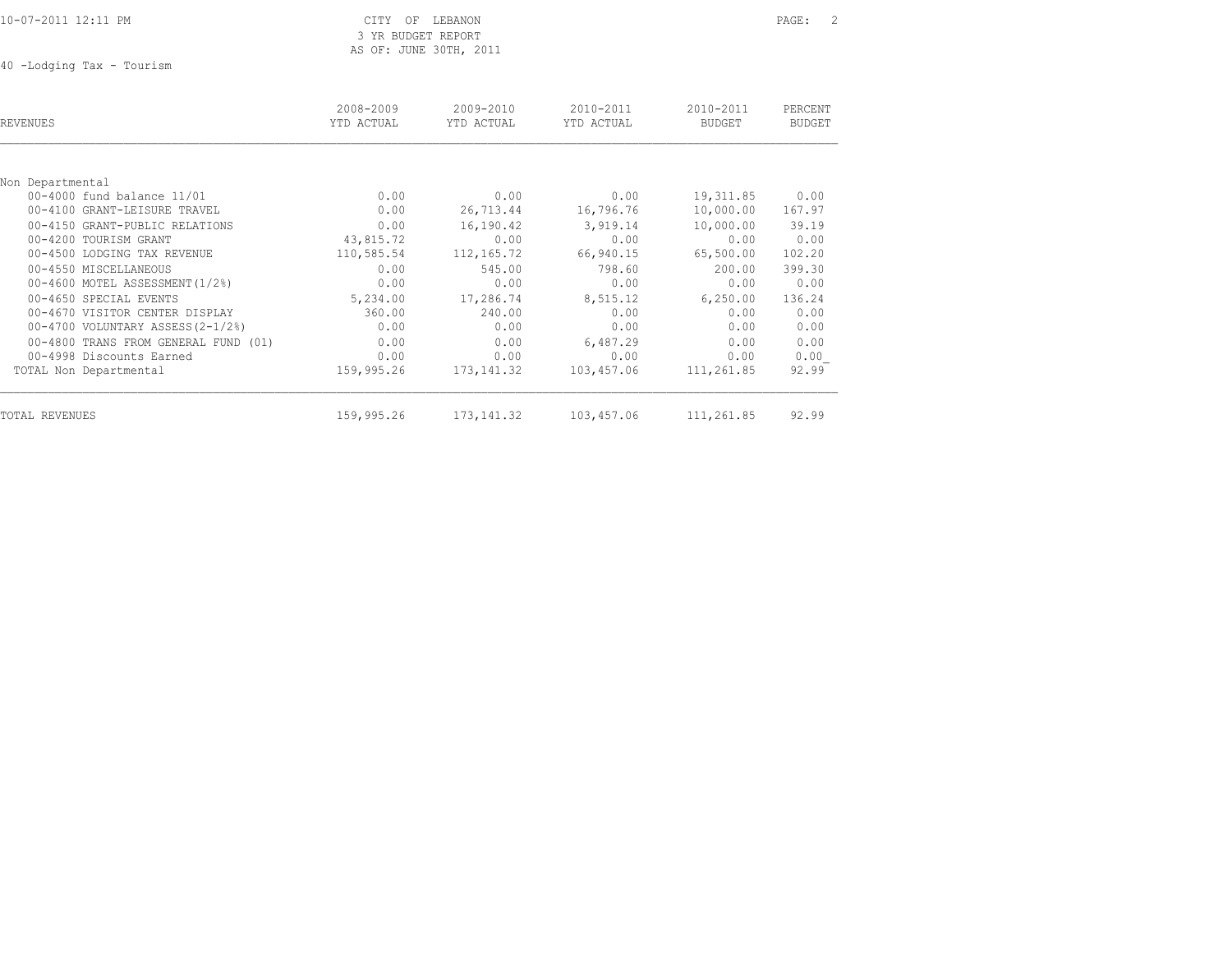10-07-2011 12:11 PM CITY OF LEBANON PAGE: 2

# 3 YR BUDGET REPORT AS OF: JUNE 30TH, 2011

40 -Lodging Tax - Tourism

| REVENUES                             | 2008-2009<br>YTD ACTUAL | 2009-2010<br>YTD ACTUAL | 2010-2011<br>YTD ACTUAL | 2010-2011<br><b>BUDGET</b> | PERCENT<br><b>BUDGET</b> |
|--------------------------------------|-------------------------|-------------------------|-------------------------|----------------------------|--------------------------|
|                                      |                         |                         |                         |                            |                          |
| Non Departmental                     |                         |                         |                         |                            |                          |
| 00-4000 fund balance 11/01           | 0.00                    | 0.00                    | 0.00                    | 19, 311.85                 | 0.00                     |
| 00-4100 GRANT-LEISURE TRAVEL         | 0.00                    | 26,713.44               | 16,796.76               | 10,000.00                  | 167.97                   |
| 00-4150 GRANT-PUBLIC RELATIONS       | 0.00                    | 16,190.42               | 3,919.14                | 10,000.00                  | 39.19                    |
| 00-4200 TOURISM GRANT                | 43,815.72               | 0.00                    | 0.00                    | 0.00                       | 0.00                     |
| 00-4500 LODGING TAX REVENUE          | 110,585.54              | 112, 165.72             | 66,940.15               | 65,500.00                  | 102.20                   |
| 00-4550 MISCELLANEOUS                | 0.00                    | 545.00                  | 798.60                  | 200.00                     | 399.30                   |
| 00-4600 MOTEL ASSESSMENT (1/2%)      | 0.00                    | 0.00                    | 0.00                    | 0.00                       | 0.00                     |
| 00-4650 SPECIAL EVENTS               | 5,234.00                | 17,286.74               | 8,515.12                | 6, 250.00                  | 136.24                   |
| 00-4670 VISITOR CENTER DISPLAY       | 360.00                  | 240.00                  | 0.00                    | 0.00                       | 0.00                     |
| 00-4700 VOLUNTARY ASSESS (2-1/2%)    | 0.00                    | 0.00                    | 0.00                    | 0.00                       | 0.00                     |
| 00-4800 TRANS FROM GENERAL FUND (01) | 0.00                    | 0.00                    | 6,487.29                | 0.00                       | 0.00                     |
| 00-4998 Discounts Earned             | 0.00                    | 0.00                    | 0.00                    | 0.00                       | 0.00                     |
| TOTAL Non Departmental               | 159,995.26              | 173, 141.32             | 103,457.06              | 111,261.85                 | 92.99                    |
| TOTAL REVENUES                       | 159,995.26              | 173, 141.32             | 103,457.06              | 111,261.85                 | 92.99                    |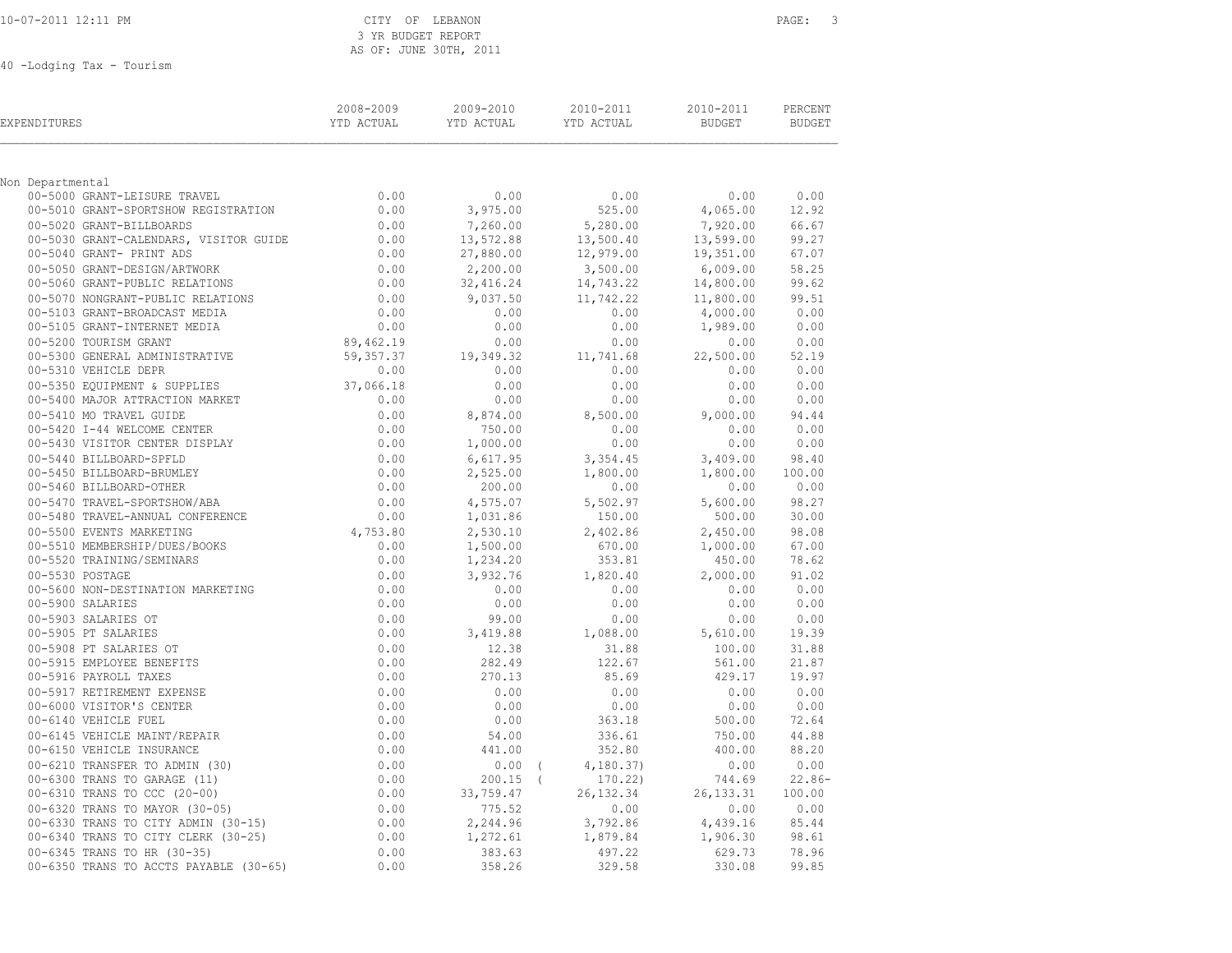#### CITY OF LEBANON **PAGE:** 3 3 YR BUDGET REPORT AS OF: JUNE 30TH, 2011

40 -Lodging Tax - Tourism

| EXPENDITURES                                                         | 2008-2009<br>YTD ACTUAL        | 2009-2010<br>YTD ACTUAL | 2010-2011<br>YTD ACTUAL | 2010-2011<br>BUDGET   | PERCENT<br><b>BUDGET</b> |
|----------------------------------------------------------------------|--------------------------------|-------------------------|-------------------------|-----------------------|--------------------------|
|                                                                      |                                |                         |                         |                       |                          |
| Non Departmental                                                     |                                |                         |                         |                       |                          |
| 00-5000 GRANT-LEISURE TRAVEL<br>00-5010 GRANT-SPORTSHOW REGISTRATION | 0.00<br>0.00                   | 0.00<br>3,975.00        | 0.00<br>525.00          | 0.00<br>4,065.00      | 0.00<br>12.92            |
| 00-5020 GRANT-BILLBOARDS                                             | 0.00                           |                         | 5,280.00                |                       | 66.67                    |
| 00-5030 GRANT-CALENDARS, VISITOR GUIDE                               | 0.00                           | 7,260.00<br>13,572.88   | 13,500.40               | 7,920.00<br>13,599.00 | 99.27                    |
| 00-5040 GRANT- PRINT ADS                                             | 0.00                           | 27,880.00               | 12,979.00               | 19,351.00             | 67.07                    |
| 00-5050 GRANT-DESIGN/ARTWORK                                         |                                | 2,200.00                | 3,500.00                | 6,009.00              | 58.25                    |
| 00-5060 GRANT-PUBLIC RELATIONS                                       | $0.00$<br>$0.00$<br>$0.00$     | 32,416.24               | 14,743.22               | 14,800.00             | 99.62                    |
| 00-5070 NONGRANT-PUBLIC RELATIONS                                    |                                | 9,037.50                | 11,742.22               | 11,800.00             | 99.51                    |
| 00-5103 GRANT-BROADCAST MEDIA                                        | 0.00                           | 0.00                    | 0.00                    | 4,000.00              | 0.00                     |
| 00-5105 GRANT-INTERNET MEDIA                                         | 0.00                           | 0.00                    | 0.00                    | 1,989.00              | 0.00                     |
| 00-5200 TOURISM GRANT                                                | 89,462.19                      | 0.00                    | 0.00                    | 0.00                  | 0.00                     |
| 00-5300 GENERAL ADMINISTRATIVE                                       | 59,357.37                      | 19,349.32               | 11,741.68               | 22,500.00             | 52.19                    |
| 00-5310 VEHICLE DEPR                                                 | 0.00                           | 0.00                    | 0.00                    | 0.00                  | 0.00                     |
| 00-5350 EQUIPMENT & SUPPLIES                                         | 37,066.18                      | 0.00                    | 0.00                    | 0.00                  | 0.00                     |
| 00-5400 MAJOR ATTRACTION MARKET                                      | 0.00                           | 0.00                    | 0.00                    | 0.00                  | 0.00                     |
| 00-5410 MO TRAVEL GUIDE                                              | 0.00                           | 8,874.00                | 8,500.00                | 9,000.00              | 94.44                    |
| 00-5420 I-44 WELCOME CENTER                                          | 0.00                           | 750.00                  | 0.00                    | 0.00                  | 0.00                     |
| 00-5430 VISITOR CENTER DISPLAY<br>00-5440 BILLBOARD-SPFLD            | 0.00                           | 1,000.00                | 0.00                    | 0.00                  | 0.00<br>98.40            |
| 00-5450 BILLBOARD-BRUMLEY                                            |                                | 6,617.95<br>2,525.00    | 3,354.45<br>1,800.00    | 3,409.00<br>1,800.00  | 100.00                   |
| 00-5460 BILLBOARD-OTHER                                              | $0.00$<br>$0.00$<br>$0.00$     | 200.00                  | 0.00                    | 0.00                  | 0.00                     |
| 00-5470 TRAVEL-SPORTSHOW/ABA                                         |                                | 4,575.07                | 5,502.97                | 5,600.00              | 98.27                    |
| 00-5480 TRAVEL-ANNUAL CONFERENCE                                     | $0.00$<br>$0.00$               | 1,031.86                | 150.00                  | 500.00                | 30.00                    |
| 00-5500 EVENTS MARKETING                                             | 4,753.80                       | 2,530.10                | 2,402.86                | 2,450.00              | 98.08                    |
| 00-5510 MEMBERSHIP/DUES/BOOKS                                        | 0.00                           | 1,500.00                | 670.00                  | 1,000.00              | 67.00                    |
| 00-5520 TRAINING/SEMINARS                                            | 0.00                           | 1,234.20                | 353.81                  | 450.00                | 78.62                    |
| 00-5530 POSTAGE                                                      | 0.00                           | 3,932.76                | 1,820.40                | 2,000.00              | 91.02                    |
| 00-5600 NON-DESTINATION MARKETING                                    | 0.00                           | 0.00                    | 0.00                    | 0.00                  | 0.00                     |
| 00-5900 SALARIES                                                     | 0.00                           | 0.00                    | 0.00                    | 0.00                  | 0.00                     |
| 00-5903 SALARIES OT                                                  | 0.00                           | 99.00                   | 0.00                    | 0.00                  | 0.00                     |
| 00-5905 PT SALARIES                                                  | 0.00                           | 3,419.88                | 1,088.00                | 5,610.00              | 19.39                    |
| 00-5908 PT SALARIES OT                                               | 0.00                           | 12.38                   | 31.88                   | 100.00                | 31.88                    |
| 00-5915 EMPLOYEE BENEFITS                                            | 0.00                           | 282.49                  | 122.67                  | 561.00                | 21.87                    |
| 00-5916 PAYROLL TAXES                                                | 0.00                           | 270.13                  | 85.69                   | 429.17                | 19.97                    |
| 00-5917 RETIREMENT EXPENSE                                           | 0.00<br>0.00                   | 0.00<br>0.00            | 0.00                    | 0.00                  | 0.00<br>0.00             |
| 00-6000 VISITOR'S CENTER<br>00-6140 VEHICLE FUEL                     | 0.00                           | 0.00                    | 0.00<br>363.18          | 0.00<br>500.00        | 72.64                    |
| 00-6145 VEHICLE MAINT/REPAIR                                         | 0.00                           | 54.00                   | 336.61                  | 750.00                | 44.88                    |
| 00-6150 VEHICLE INSURANCE                                            | 0.00                           | 441.00                  | 352.80                  | 400.00                | 88.20                    |
| 00-6210 TRANSFER TO ADMIN (30)                                       |                                | $0.00$ (                | 4, 180.37               | 0.00                  | 0.00                     |
| 00-6300 TRANS TO GARAGE (11)                                         |                                | $200.15$ (              | 170.22)                 | 744.69                | $22.86-$                 |
| 00-6310 TRANS TO CCC (20-00)                                         | $0.00$<br>0.00<br>0.00<br>0.00 | 33,759.47               | 26, 132.34              | 26, 133.31            | 100.00                   |
| 00-6320 TRANS TO MAYOR (30-05)                                       |                                | 775.52                  | 0.00                    | 0.00                  | 0.00                     |
| 00-6330 TRANS TO CITY ADMIN (30-15)                                  | 0.00                           | 2,244.96                | 3,792.86                | 4,439.16              | 85.44                    |
| 00-6340 TRANS TO CITY CLERK (30-25)                                  | 0.00                           | 1,272.61                | 1,879.84                | 1,906.30              | 98.61                    |
| 00-6345 TRANS TO HR (30-35)                                          | 0.00                           | 383.63                  | 497.22                  | 629.73                | 78.96                    |
| 00-6350 TRANS TO ACCTS PAYABLE (30-65)                               | 0.00                           | 358.26                  | 329.58                  | 330.08                | 99.85                    |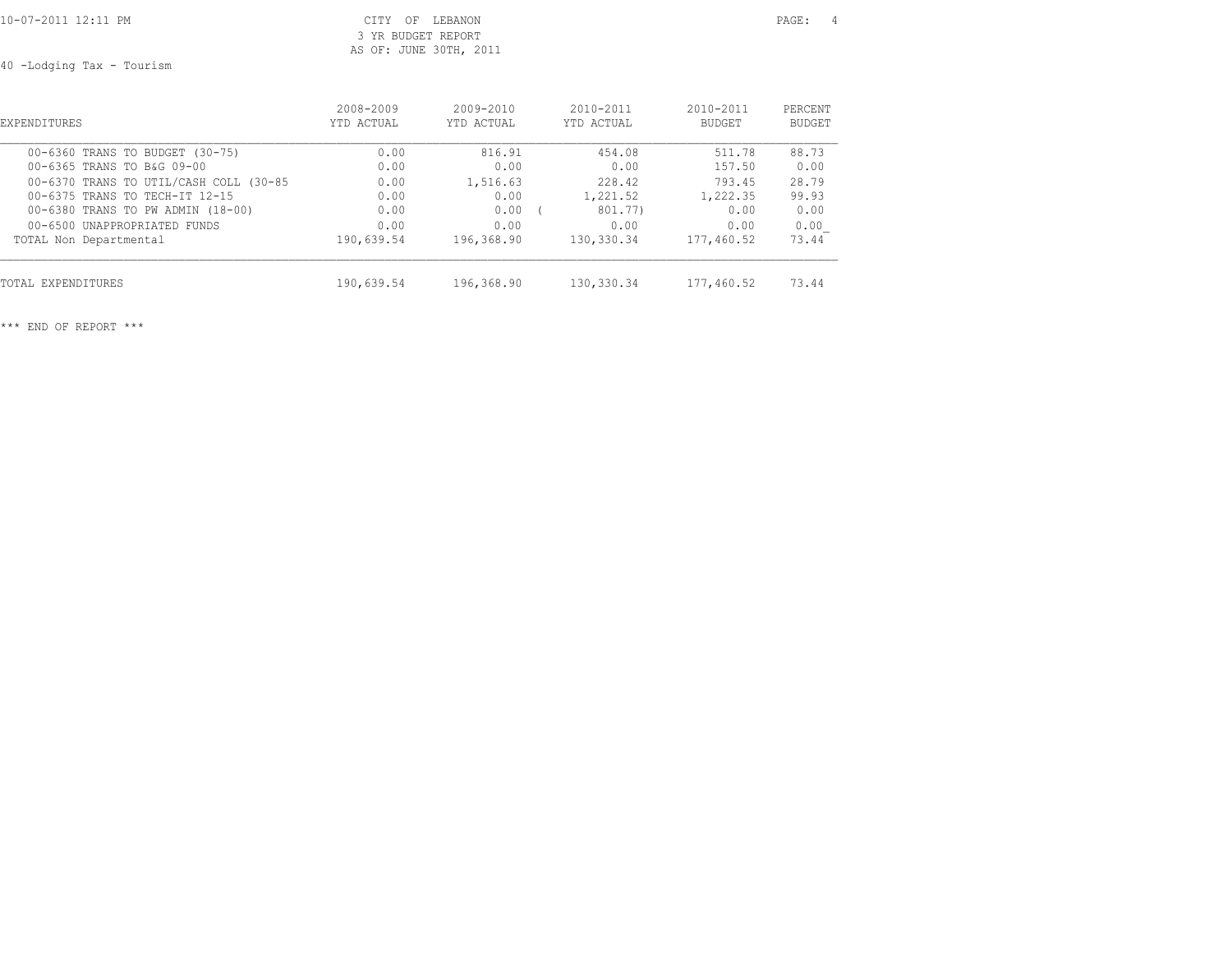## 10-07-2011 12:11 PM CITY OF LEBANON PAGE: 4 3 YR BUDGET REPORT AS OF: JUNE 30TH, 2011

40 -Lodging Tax - Tourism

| <b>EXPENDITURES</b>                    | 2008-2009  | $2009 - 2010$ | $2010 - 2011$ | $2010 - 2011$ | PERCENT |
|----------------------------------------|------------|---------------|---------------|---------------|---------|
|                                        | YTD ACTUAL | YTD ACTUAL    | YTD ACTUAL    | <b>BUDGET</b> | BUDGET  |
| 00-6360 TRANS TO BUDGET (30-75)        | 0.00       | 816.91        | 454.08        | 511.78        | 88.73   |
| 00-6365 TRANS TO B&G 09-00             | 0.00       | 0.00          | 0.00          | 157.50        | 0.00    |
| 00-6370 TRANS TO UTIL/CASH COLL (30-85 | 0.00       | 1,516.63      | 228.42        | 793.45        | 28.79   |
| 00-6375 TRANS TO TECH-IT 12-15         | 0.00       | 0.00          | 1,221.52      | 1,222.35      | 99.93   |
| 00-6380 TRANS TO PW ADMIN (18-00)      | 0.00       | 0.00          | 801.77)       | 0.00          | 0.00    |
| 00-6500 UNAPPROPRTATED FUNDS           | 0.00       | 0.00          | 0.00          | 0.00          | 0.00    |
| TOTAL Non Departmental                 | 190,639.54 | 196,368.90    | 130,330.34    | 177,460.52    | 73.44   |
| TOTAL EXPENDITURES                     | 190,639.54 | 196,368.90    | 130,330.34    | 177,460.52    | 73.44   |

\*\*\* END OF REPORT \*\*\*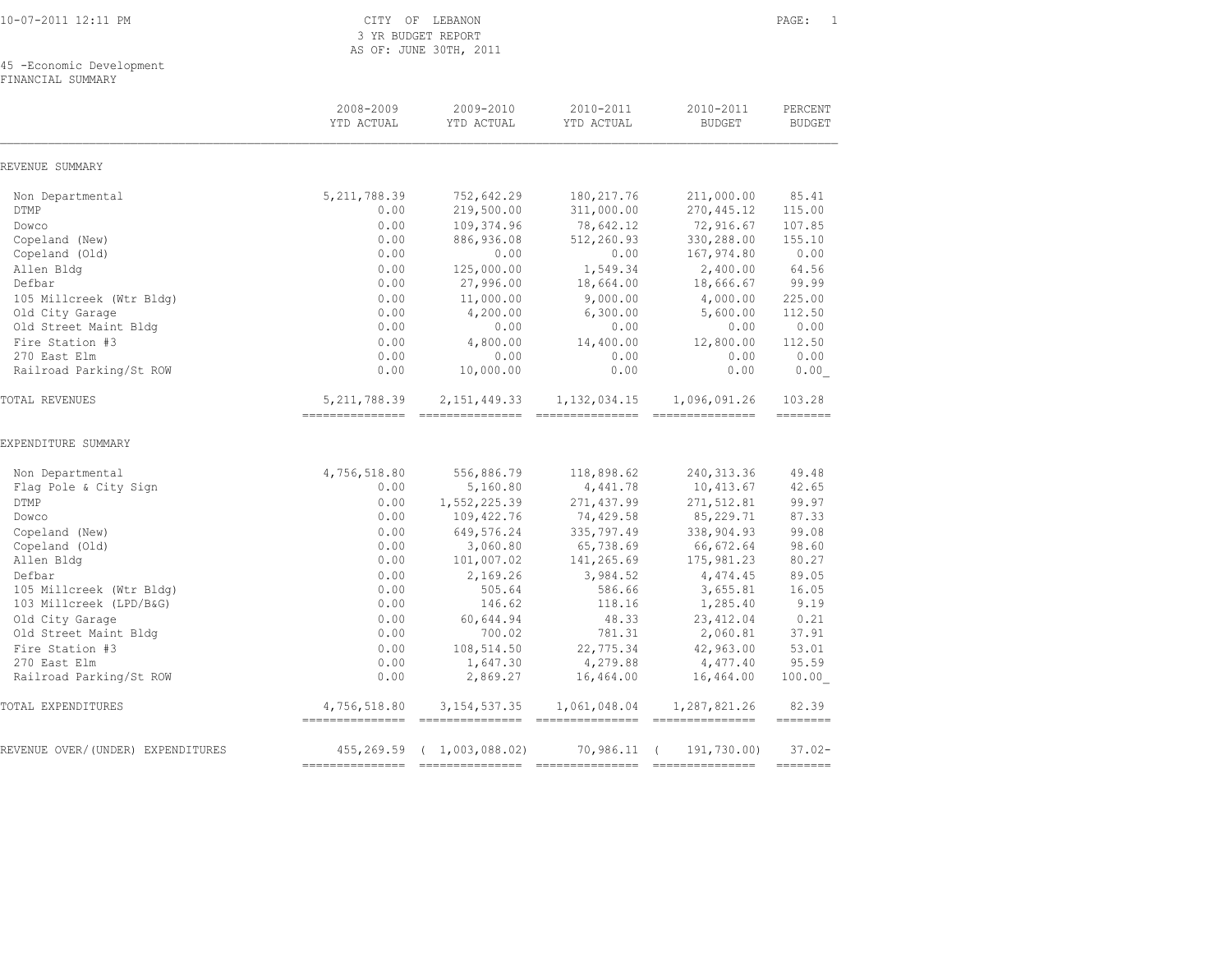10-07-2011 12:11 PM CITY OF LEBANON PAGE: 1

 3 YR BUDGET REPORT AS OF: JUNE 30TH, 2011

45 -Economic Development

FINANCIAL SUMMARY

|                                   | 2008-2009<br>YTD ACTUAL           | 2009-2010<br>YTD ACTUAL                                                                                                                                                                                                                                                                                                                                                                                                                                                                                  | 2010-2011<br>YTD ACTUAL                                                                                                                                                                                                                                                                                                                                                                                                                                                                                  | 2010-2011<br><b>BUDGET</b>       | PERCENT<br><b>BUDGET</b> |
|-----------------------------------|-----------------------------------|----------------------------------------------------------------------------------------------------------------------------------------------------------------------------------------------------------------------------------------------------------------------------------------------------------------------------------------------------------------------------------------------------------------------------------------------------------------------------------------------------------|----------------------------------------------------------------------------------------------------------------------------------------------------------------------------------------------------------------------------------------------------------------------------------------------------------------------------------------------------------------------------------------------------------------------------------------------------------------------------------------------------------|----------------------------------|--------------------------|
| REVENUE SUMMARY                   |                                   |                                                                                                                                                                                                                                                                                                                                                                                                                                                                                                          |                                                                                                                                                                                                                                                                                                                                                                                                                                                                                                          |                                  |                          |
| Non Departmental                  | 5, 211, 788.39                    | 752,642.29                                                                                                                                                                                                                                                                                                                                                                                                                                                                                               | 180, 217.76                                                                                                                                                                                                                                                                                                                                                                                                                                                                                              | 211,000.00                       | 85.41                    |
| <b>DTMP</b>                       | 0.00                              | 219,500.00                                                                                                                                                                                                                                                                                                                                                                                                                                                                                               | 311,000.00                                                                                                                                                                                                                                                                                                                                                                                                                                                                                               | 270, 445.12                      | 115.00                   |
| Dowco                             | 0.00                              | 109,374.96                                                                                                                                                                                                                                                                                                                                                                                                                                                                                               | 78,642.12                                                                                                                                                                                                                                                                                                                                                                                                                                                                                                | 72,916.67                        | 107.85                   |
| Copeland (New)                    | 0.00                              | 886,936.08                                                                                                                                                                                                                                                                                                                                                                                                                                                                                               | 512,260.93                                                                                                                                                                                                                                                                                                                                                                                                                                                                                               | 330,288.00                       | 155.10                   |
| Copeland (Old)                    | 0.00                              | 0.00                                                                                                                                                                                                                                                                                                                                                                                                                                                                                                     | 0.00                                                                                                                                                                                                                                                                                                                                                                                                                                                                                                     | 167,974.80                       | 0.00                     |
| Allen Bldg                        | 0.00                              | 125,000.00                                                                                                                                                                                                                                                                                                                                                                                                                                                                                               | 1,549.34                                                                                                                                                                                                                                                                                                                                                                                                                                                                                                 | 2,400.00                         | 64.56                    |
| Defbar                            | 0.00                              | 27,996.00                                                                                                                                                                                                                                                                                                                                                                                                                                                                                                | 18,664.00                                                                                                                                                                                                                                                                                                                                                                                                                                                                                                | 18,666.67                        | 99.99                    |
| 105 Millcreek (Wtr Bldg)          | 0.00                              | 11,000.00                                                                                                                                                                                                                                                                                                                                                                                                                                                                                                | 9,000.00                                                                                                                                                                                                                                                                                                                                                                                                                                                                                                 | 4,000.00                         | 225.00                   |
| Old City Garage                   | 0.00                              | 4,200.00                                                                                                                                                                                                                                                                                                                                                                                                                                                                                                 | 6,300.00                                                                                                                                                                                                                                                                                                                                                                                                                                                                                                 | 5,600.00                         | 112.50                   |
| Old Street Maint Bldg             | 0.00                              | 0.00                                                                                                                                                                                                                                                                                                                                                                                                                                                                                                     | 0.00                                                                                                                                                                                                                                                                                                                                                                                                                                                                                                     | 0.00                             | 0.00                     |
| Fire Station #3                   | 0.00                              | 4,800.00                                                                                                                                                                                                                                                                                                                                                                                                                                                                                                 | 14,400.00                                                                                                                                                                                                                                                                                                                                                                                                                                                                                                | 12,800.00                        | 112.50                   |
| 270 East Elm                      | 0.00                              | 0.00                                                                                                                                                                                                                                                                                                                                                                                                                                                                                                     | 0.00                                                                                                                                                                                                                                                                                                                                                                                                                                                                                                     | 0.00                             | 0.00                     |
| Railroad Parking/St ROW           | 0.00                              | 10,000.00                                                                                                                                                                                                                                                                                                                                                                                                                                                                                                | 0.00                                                                                                                                                                                                                                                                                                                                                                                                                                                                                                     | 0.00                             | 0.00                     |
| TOTAL REVENUES                    | 5, 211, 788.39<br>=============== | 2, 151, 449.33<br>$\begin{array}{cccccccccccccc} \multicolumn{2}{c}{} & \multicolumn{2}{c}{} & \multicolumn{2}{c}{} & \multicolumn{2}{c}{} & \multicolumn{2}{c}{} & \multicolumn{2}{c}{} & \multicolumn{2}{c}{} & \multicolumn{2}{c}{} & \multicolumn{2}{c}{} & \multicolumn{2}{c}{} & \multicolumn{2}{c}{} & \multicolumn{2}{c}{} & \multicolumn{2}{c}{} & \multicolumn{2}{c}{} & \multicolumn{2}{c}{} & \multicolumn{2}{c}{} & \multicolumn{2}{c}{} & \multicolumn{2}{c}{} & \multicolumn{2}{c}{} & \$ | 1, 132, 034.15<br>$\begin{array}{cccccccccc} \multicolumn{2}{c}{} & \multicolumn{2}{c}{} & \multicolumn{2}{c}{} & \multicolumn{2}{c}{} & \multicolumn{2}{c}{} & \multicolumn{2}{c}{} & \multicolumn{2}{c}{} & \multicolumn{2}{c}{} & \multicolumn{2}{c}{} & \multicolumn{2}{c}{} & \multicolumn{2}{c}{} & \multicolumn{2}{c}{} & \multicolumn{2}{c}{} & \multicolumn{2}{c}{} & \multicolumn{2}{c}{} & \multicolumn{2}{c}{} & \multicolumn{2}{c}{} & \multicolumn{2}{c}{} & \multicolumn{2}{c}{} & \mult$ | 1,096,091.26                     | 103.28<br>========       |
| EXPENDITURE SUMMARY               |                                   |                                                                                                                                                                                                                                                                                                                                                                                                                                                                                                          |                                                                                                                                                                                                                                                                                                                                                                                                                                                                                                          |                                  |                          |
| Non Departmental                  | 4,756,518.80                      | 556,886.79                                                                                                                                                                                                                                                                                                                                                                                                                                                                                               | 118,898.62                                                                                                                                                                                                                                                                                                                                                                                                                                                                                               | 240, 313.36                      | 49.48                    |
| Flag Pole & City Sign             | 0.00                              | 5,160.80                                                                                                                                                                                                                                                                                                                                                                                                                                                                                                 | 4,441.78                                                                                                                                                                                                                                                                                                                                                                                                                                                                                                 | 10,413.67                        | 42.65                    |
| <b>DTMP</b>                       | 0.00                              | 1,552,225.39                                                                                                                                                                                                                                                                                                                                                                                                                                                                                             | 271,437.99                                                                                                                                                                                                                                                                                                                                                                                                                                                                                               | 271,512.81                       | 99.97                    |
| Dowco                             | 0.00                              | 109, 422.76                                                                                                                                                                                                                                                                                                                                                                                                                                                                                              | 74,429.58                                                                                                                                                                                                                                                                                                                                                                                                                                                                                                | 85, 229.71                       | 87.33                    |
| Copeland (New)                    | 0.00                              | 649,576.24                                                                                                                                                                                                                                                                                                                                                                                                                                                                                               | 335,797.49                                                                                                                                                                                                                                                                                                                                                                                                                                                                                               | 338,904.93                       | 99.08                    |
| Copeland (Old)                    | 0.00                              | 3,060.80                                                                                                                                                                                                                                                                                                                                                                                                                                                                                                 | 65,738.69                                                                                                                                                                                                                                                                                                                                                                                                                                                                                                | 66,672.64                        | 98.60                    |
| Allen Bldg                        | 0.00                              | 101,007.02                                                                                                                                                                                                                                                                                                                                                                                                                                                                                               | 141,265.69                                                                                                                                                                                                                                                                                                                                                                                                                                                                                               | 175,981.23                       | 80.27                    |
| Defbar                            | 0.00                              | 2,169.26                                                                                                                                                                                                                                                                                                                                                                                                                                                                                                 | 3,984.52                                                                                                                                                                                                                                                                                                                                                                                                                                                                                                 | 4,474.45                         | 89.05                    |
| 105 Millcreek (Wtr Bldg)          | 0.00                              | 505.64                                                                                                                                                                                                                                                                                                                                                                                                                                                                                                   | 586.66                                                                                                                                                                                                                                                                                                                                                                                                                                                                                                   | 3,655.81                         | 16.05                    |
| 103 Millcreek (LPD/B&G)           | 0.00                              | 146.62                                                                                                                                                                                                                                                                                                                                                                                                                                                                                                   | 118.16                                                                                                                                                                                                                                                                                                                                                                                                                                                                                                   | 1,285.40                         | 9.19                     |
| Old City Garage                   | 0.00                              | 60,644.94                                                                                                                                                                                                                                                                                                                                                                                                                                                                                                | 48.33                                                                                                                                                                                                                                                                                                                                                                                                                                                                                                    | 23, 412.04                       | 0.21                     |
| Old Street Maint Bldg             | 0.00                              | 700.02                                                                                                                                                                                                                                                                                                                                                                                                                                                                                                   | 781.31                                                                                                                                                                                                                                                                                                                                                                                                                                                                                                   | 2,060.81                         | 37.91                    |
| Fire Station #3                   | 0.00                              | 108,514.50                                                                                                                                                                                                                                                                                                                                                                                                                                                                                               | 22,775.34                                                                                                                                                                                                                                                                                                                                                                                                                                                                                                | 42,963.00                        | 53.01                    |
| 270 East Elm                      | 0.00                              | 1,647.30                                                                                                                                                                                                                                                                                                                                                                                                                                                                                                 | 4,279.88                                                                                                                                                                                                                                                                                                                                                                                                                                                                                                 | 4,477.40                         | 95.59                    |
| Railroad Parking/St ROW           | 0.00                              | 2,869.27                                                                                                                                                                                                                                                                                                                                                                                                                                                                                                 | 16,464.00                                                                                                                                                                                                                                                                                                                                                                                                                                                                                                | 16,464.00                        | 100.00                   |
| TOTAL EXPENDITURES                | 4,756,518.80<br>================  | 3, 154, 537.35                                                                                                                                                                                                                                                                                                                                                                                                                                                                                           | 1,061,048.04                                                                                                                                                                                                                                                                                                                                                                                                                                                                                             | 1,287,821.26<br>---------------- | 82.39<br>========        |
| REVENUE OVER/(UNDER) EXPENDITURES | 455,269.59                        | (1,003,088,02)                                                                                                                                                                                                                                                                                                                                                                                                                                                                                           | 70,986.11                                                                                                                                                                                                                                                                                                                                                                                                                                                                                                | 191,730.00)                      | $37.02 -$                |
|                                   | ===========                       |                                                                                                                                                                                                                                                                                                                                                                                                                                                                                                          |                                                                                                                                                                                                                                                                                                                                                                                                                                                                                                          |                                  | --------                 |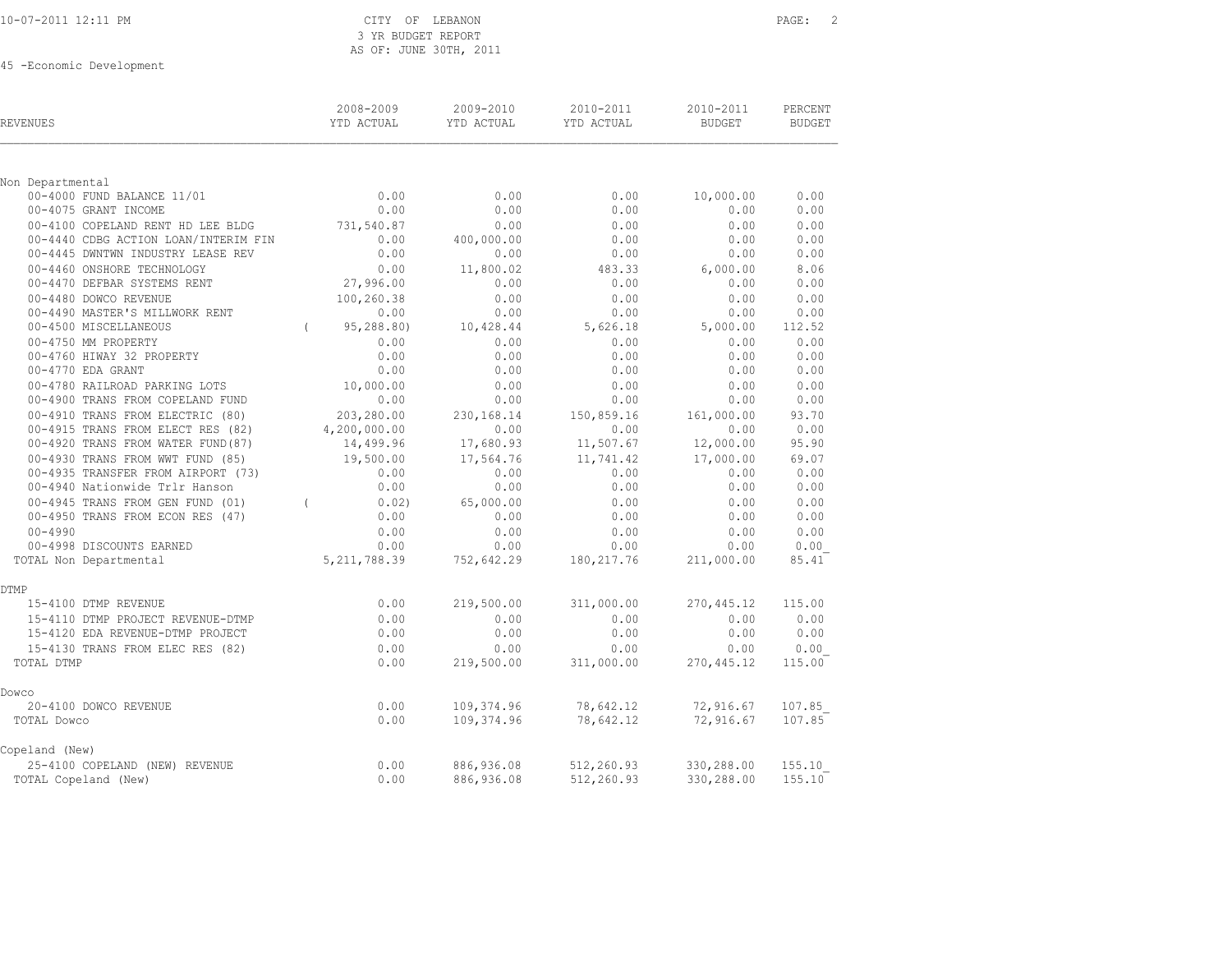## 10-07-2011 12:11 PM CITY OF LEBANON PAGE: 2 3 YR BUDGET REPORT AS OF: JUNE 30TH, 2011

45 -Economic Development

| REVENUES                                         | 2008-2009<br>YTD ACTUAL | 2009-2010<br>YTD ACTUAL | 2010-2011<br>YTD ACTUAL | 2010-2011<br><b>BUDGET</b> | PERCENT<br><b>BUDGET</b> |
|--------------------------------------------------|-------------------------|-------------------------|-------------------------|----------------------------|--------------------------|
|                                                  |                         |                         |                         |                            |                          |
| Non Departmental<br>00-4000 FUND BALANCE 11/01   | 0.00                    | 0.00                    | 0.00                    | 10,000.00                  | 0.00                     |
| 00-4075 GRANT INCOME                             | 0.00                    | 0.00                    | 0.00                    | 0.00                       | 0.00                     |
| 00-4100 COPELAND RENT HD LEE BLDG                | 731,540.87              | 0.00                    | 0.00                    | 0.00                       | 0.00                     |
| 00-4440 CDBG ACTION LOAN/INTERIM FIN             | 0.00                    | 400,000.00              | 0.00                    | 0.00                       | 0.00                     |
| 00-4445 DWNTWN INDUSTRY LEASE REV                | 0.00                    | 0.00                    | 0.00                    | 0.00                       | 0.00                     |
| 00-4460 ONSHORE TECHNOLOGY                       | 0.00                    | 11,800.02               | 483.33                  | 6,000.00                   | 8.06                     |
| 00-4470 DEFBAR SYSTEMS RENT                      | 27,996.00               | 0.00                    | 0.00                    | 0.00                       | 0.00                     |
| 00-4480 DOWCO REVENUE                            | 100,260.38              | 0.00                    | 0.00                    | 0.00                       | 0.00                     |
| 00-4490 MASTER'S MILLWORK RENT                   | 0.00                    | 0.00                    | 0.00                    | 0.00                       | 0.00                     |
| 00-4500 MISCELLANEOUS                            | $\left($<br>95,288.80)  | 10,428.44               | 5,626.18                | 5,000.00                   | 112.52                   |
| 00-4750 MM PROPERTY<br>00-4760 HIWAY 32 PROPERTY | 0.00<br>0.00            | 0.00<br>0.00            | 0.00<br>0.00            | 0.00                       | 0.00<br>0.00             |
| 00-4770 EDA GRANT                                | 0.00                    | 0.00                    | 0.00                    | 0.00<br>0.00               | 0.00                     |
| 00-4780 RAILROAD PARKING LOTS                    | 10,000.00               | 0.00                    | 0.00                    | 0.00                       | 0.00                     |
| 00-4900 TRANS FROM COPELAND FUND                 | 0.00                    | 0.00                    | 0.00                    | 0.00                       | 0.00                     |
| 00-4910 TRANS FROM ELECTRIC (80)                 | 203,280.00              | 230,168.14              | 150,859.16              | 161,000.00                 | 93.70                    |
| 00-4915 TRANS FROM ELECT RES (82)                | 4,200,000.00            | 0.00                    | 0.00                    | 0.00                       | 0.00                     |
| 00-4920 TRANS FROM WATER FUND (87)               | 14,499.96               | 17,680.93               | 11,507.67               | 12,000.00                  | 95.90                    |
| 00-4930 TRANS FROM WWT FUND (85)                 | 19,500.00               | 17,564.76               | 11,741.42               | 17,000.00                  | 69.07                    |
| 00-4935 TRANSFER FROM AIRPORT (73)               | 0.00                    | 0.00                    | 0.00                    | 0.00                       | 0.00                     |
| 00-4940 Nationwide Trlr Hanson                   | 0.00                    | 0.00                    | 0.00                    | 0.00                       | 0.00                     |
| 00-4945 TRANS FROM GEN FUND (01)                 | $\left($<br>0.02)       | 65,000.00               | 0.00                    | 0.00                       | 0.00                     |
| 00-4950 TRANS FROM ECON RES (47)                 | 0.00                    | 0.00                    | 0.00                    | 0.00                       | 0.00                     |
| $00 - 4990$                                      | 0.00                    | 0.00                    | 0.00                    | 0.00                       | 0.00                     |
| 00-4998 DISCOUNTS EARNED                         | 0.00<br>5, 211, 788.39  | 0.00                    | 0.00                    | 0.00                       | 0.00                     |
| TOTAL Non Departmental                           |                         | 752,642.29              | 180,217.76              | 211,000.00                 | 85.41                    |
| <b>DTMP</b><br>15-4100 DTMP REVENUE              | 0.00                    | 219,500.00              | 311,000.00              | 270, 445.12                | 115.00                   |
| 15-4110 DTMP PROJECT REVENUE-DTMP                | 0.00                    | 0.00                    | 0.00                    | 0.00                       | 0.00                     |
| 15-4120 EDA REVENUE-DTMP PROJECT                 | 0.00                    | 0.00                    | 0.00                    | 0.00                       | 0.00                     |
| 15-4130 TRANS FROM ELEC RES (82)                 | 0.00                    | 0.00                    | 0.00                    | 0.00                       | 0.00                     |
| TOTAL DTMP                                       | 0.00                    | 219,500.00              | 311,000.00              | 270,445.12                 | 115.00                   |
| Dowco                                            |                         |                         |                         |                            |                          |
| 20-4100 DOWCO REVENUE                            | 0.00                    | 109,374.96              | 78,642.12               | 72,916.67                  | 107.85                   |
| TOTAL Dowco                                      | 0.00                    | 109,374.96              | 78,642.12               | 72,916.67                  | 107.85                   |
| Copeland (New)                                   |                         |                         |                         |                            |                          |
| 25-4100 COPELAND (NEW) REVENUE                   | 0.00                    | 886, 936.08             | 512,260.93              | 330,288.00                 | 155.10                   |
| TOTAL Copeland (New)                             | 0.00                    | 886, 936.08             | 512,260.93              | 330,288.00                 | 155.10                   |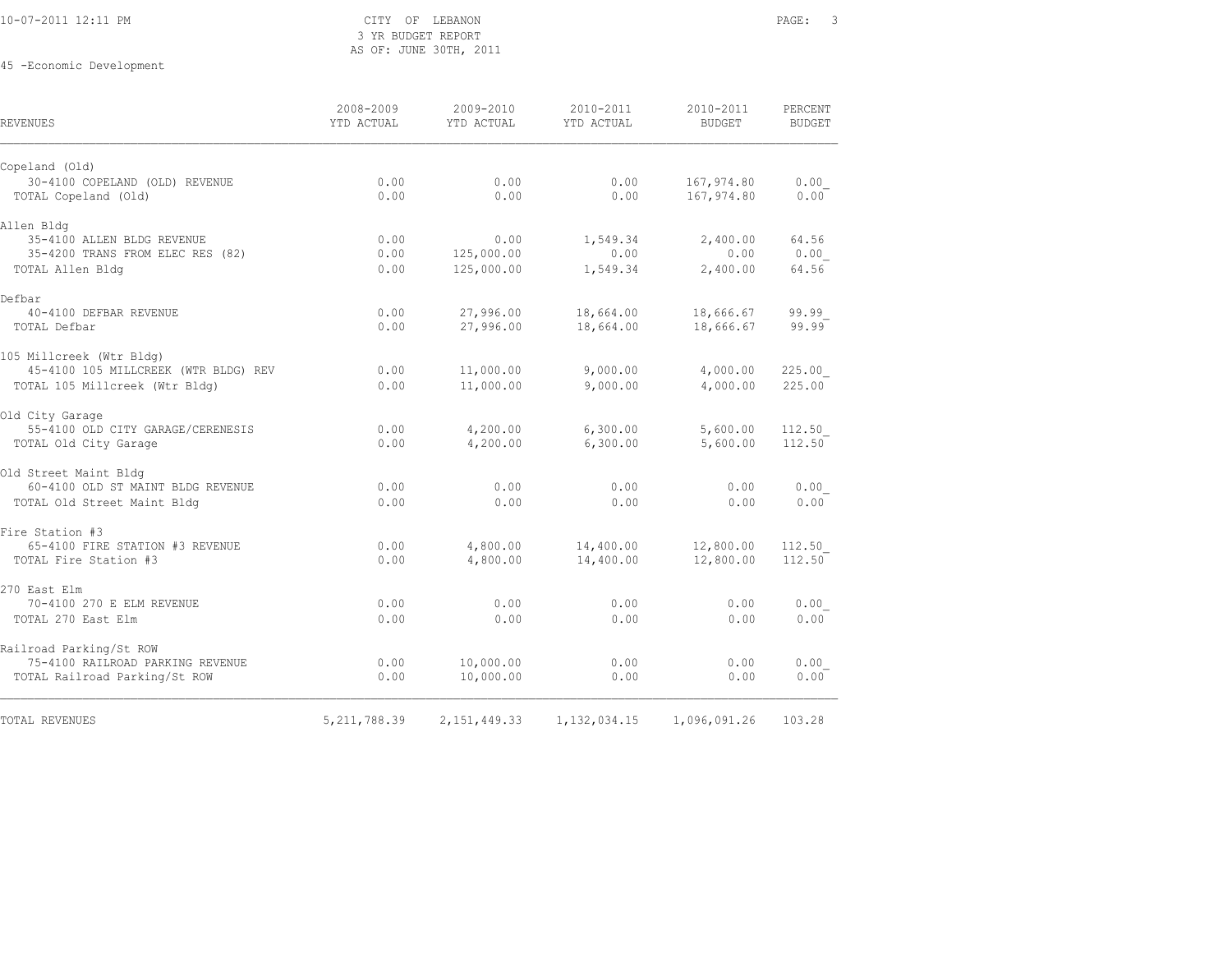### 10-07-2011 12:11 PM CITY OF LEBANON PAGE: 3 3 YR BUDGET REPORT AS OF: JUNE 30TH, 2011

| <b>REVENUES</b>                      | 2008-2009<br>YTD ACTUAL | 2009-2010<br>YTD ACTUAL | 2010-2011<br>YTD ACTUAL | 2010-2011<br><b>BUDGET</b> | PERCENT<br><b>BUDGET</b> |
|--------------------------------------|-------------------------|-------------------------|-------------------------|----------------------------|--------------------------|
| Copeland (Old)                       |                         |                         |                         |                            |                          |
| 30-4100 COPELAND (OLD) REVENUE       | 0.00                    | 0.00                    | 0.00                    | 167,974.80                 | 0.00                     |
| TOTAL Copeland (Old)                 | 0.00                    | 0.00                    | 0.00                    | 167,974.80                 | 0.00                     |
| Allen Bldg                           |                         |                         |                         |                            |                          |
| 35-4100 ALLEN BLDG REVENUE           | 0.00                    | 0.00                    | 1,549.34                | 2,400.00                   | 64.56                    |
| 35-4200 TRANS FROM ELEC RES (82)     | 0.00                    | 125,000.00              | 0.00                    | 0.00                       | 0.00                     |
| TOTAL Allen Bldg                     | 0.00                    | 125,000.00              | 1,549.34                | 2,400.00                   | 64.56                    |
| Defbar                               |                         |                         |                         |                            |                          |
| 40-4100 DEFBAR REVENUE               | 0.00                    | 27,996.00               | 18,664.00               | 18,666.67                  | 99.99                    |
| TOTAL Defbar                         | 0.00                    | 27,996.00               | 18,664.00               | 18,666.67                  | 99.99                    |
| 105 Millcreek (Wtr Bldg)             |                         |                         |                         |                            |                          |
| 45-4100 105 MILLCREEK (WTR BLDG) REV | 0.00                    | 11,000.00               | 9,000.00                | 4,000.00                   | 225.00                   |
| TOTAL 105 Millcreek (Wtr Bldg)       | 0.00                    | 11,000.00               | 9,000.00                | 4,000.00                   | 225.00                   |
| Old City Garage                      |                         |                         |                         |                            |                          |
| 55-4100 OLD CITY GARAGE/CERENESIS    | 0.00                    | 4,200.00                | 6,300.00                | 5,600.00                   | 112.50                   |
| TOTAL Old City Garage                | 0.00                    | 4,200.00                | 6,300.00                | 5,600.00                   | 112.50                   |
| Old Street Maint Bldg                |                         |                         |                         |                            |                          |
| 60-4100 OLD ST MAINT BLDG REVENUE    | 0.00                    | 0.00                    | 0.00                    | 0.00                       | 0.00                     |
| TOTAL Old Street Maint Bldg          | 0.00                    | 0.00                    | 0.00                    | 0.00                       | 0.00                     |
| Fire Station #3                      |                         |                         |                         |                            |                          |
| 65-4100 FIRE STATION #3 REVENUE      | 0.00                    | 4,800.00                | 14,400.00               | 12,800.00                  | 112.50                   |
| TOTAL Fire Station #3                | 0.00                    | 4,800.00                | 14,400.00               | 12,800.00                  | 112.50                   |
| 270 East Elm                         |                         |                         |                         |                            |                          |
| 70-4100 270 E ELM REVENUE            | 0.00                    | 0.00                    | 0.00                    | 0.00                       | 0.00                     |
| TOTAL 270 East Elm                   | 0.00                    | 0.00                    | 0.00                    | 0.00                       | 0.00                     |
| Railroad Parking/St ROW              |                         |                         |                         |                            |                          |
| 75-4100 RAILROAD PARKING REVENUE     | 0.00                    | 10,000.00               | 0.00                    | 0.00                       | 0.00                     |
| TOTAL Railroad Parking/St ROW        | 0.00                    | 10,000.00               | 0.00                    | 0.00                       | 0.00                     |
| <b>TOTAL REVENUES</b>                | 5, 211, 788.39          | 2,151,449.33            | 1, 132, 034. 15         | 1,096,091.26               | 103.28                   |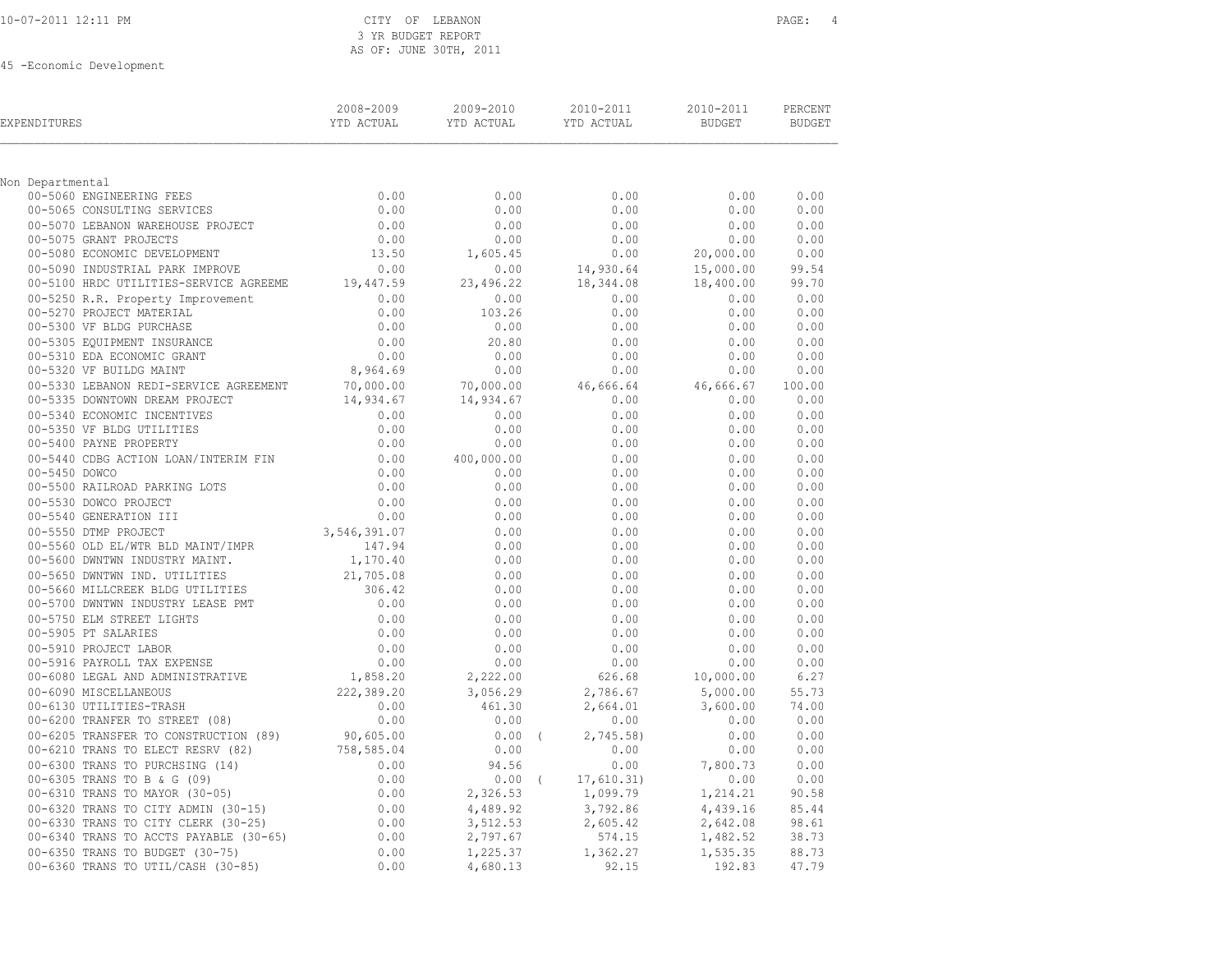|  |  | 10-07-2011 12:11 PM |  |
|--|--|---------------------|--|
|  |  |                     |  |

### CITY OF LEBANON PAGE: 4 3 YR BUDGET REPORT AS OF: JUNE 30TH, 2011

| EXPENDITURES                                                                                                                                                                                                                                         | 2008-2009 | 2009-2010            | 2010-2011 2010-2011                                                                                                     |                                                                                                                                         | PERCENT<br>BUDGET |
|------------------------------------------------------------------------------------------------------------------------------------------------------------------------------------------------------------------------------------------------------|-----------|----------------------|-------------------------------------------------------------------------------------------------------------------------|-----------------------------------------------------------------------------------------------------------------------------------------|-------------------|
| Non Departmental                                                                                                                                                                                                                                     |           |                      |                                                                                                                         |                                                                                                                                         |                   |
|                                                                                                                                                                                                                                                      |           |                      | 0.00                                                                                                                    | 0.00                                                                                                                                    | 0.00              |
|                                                                                                                                                                                                                                                      |           |                      | 0.00                                                                                                                    | 0.00                                                                                                                                    | 0.00              |
|                                                                                                                                                                                                                                                      |           |                      | $0.00$<br>$0.00$<br>$14,930.64$<br>$18,344.08$<br>$0.00$<br>$0.00$<br>$18,400$<br>$0.00$<br>$0.00$                      |                                                                                                                                         | 0.00              |
|                                                                                                                                                                                                                                                      |           |                      |                                                                                                                         |                                                                                                                                         | 0.00 0.00         |
|                                                                                                                                                                                                                                                      |           |                      |                                                                                                                         |                                                                                                                                         | 0.00              |
|                                                                                                                                                                                                                                                      |           |                      |                                                                                                                         | 15,000.00                                                                                                                               | 99.54             |
|                                                                                                                                                                                                                                                      |           |                      |                                                                                                                         | 18,400.00                                                                                                                               | 99.70             |
|                                                                                                                                                                                                                                                      |           |                      |                                                                                                                         | 0.00 0.00                                                                                                                               |                   |
|                                                                                                                                                                                                                                                      |           |                      |                                                                                                                         | $0.00$<br>$0.00$                                                                                                                        | 0.00              |
|                                                                                                                                                                                                                                                      |           |                      | 0.00                                                                                                                    |                                                                                                                                         | 0.00              |
|                                                                                                                                                                                                                                                      |           |                      | 0.00                                                                                                                    | 0.00<br>0.00                                                                                                                            | 0.00              |
|                                                                                                                                                                                                                                                      |           |                      | 0.00<br>$0.00$<br>$70,000.00$<br>$14,934.67$<br>$14,934.67$<br>$0.00$<br>$0.00$<br>$0.00$<br>$0.00$<br>$0.00$<br>$0.00$ |                                                                                                                                         | 0.00<br>0.00      |
|                                                                                                                                                                                                                                                      |           |                      |                                                                                                                         |                                                                                                                                         | 100.00            |
|                                                                                                                                                                                                                                                      |           |                      |                                                                                                                         | 0.00 0.00                                                                                                                               |                   |
|                                                                                                                                                                                                                                                      |           |                      | $0.00$<br>0.00<br>0.00                                                                                                  |                                                                                                                                         | 0.00              |
|                                                                                                                                                                                                                                                      |           |                      |                                                                                                                         | $0.00$<br>$0.00$                                                                                                                        | 0.00              |
|                                                                                                                                                                                                                                                      |           |                      | 0.00                                                                                                                    | 0.00                                                                                                                                    | 0.00              |
|                                                                                                                                                                                                                                                      |           |                      | 0.00                                                                                                                    |                                                                                                                                         | 0.00              |
|                                                                                                                                                                                                                                                      |           |                      | 0.00                                                                                                                    | $0.00$<br>$0.00$                                                                                                                        | 0.00              |
|                                                                                                                                                                                                                                                      |           |                      | 0.00                                                                                                                    | 0.00                                                                                                                                    | 0.00              |
|                                                                                                                                                                                                                                                      |           |                      | 0.00                                                                                                                    | $0.00$<br>$0.00$                                                                                                                        | 0.00              |
|                                                                                                                                                                                                                                                      |           |                      | 0.00                                                                                                                    |                                                                                                                                         | 0.00              |
|                                                                                                                                                                                                                                                      |           |                      | 0.00                                                                                                                    | $0.00$<br>$0.00$                                                                                                                        | 0.00              |
|                                                                                                                                                                                                                                                      |           |                      | 0.00                                                                                                                    |                                                                                                                                         | 0.00              |
|                                                                                                                                                                                                                                                      |           |                      | 0.00                                                                                                                    | 0.00                                                                                                                                    | 0.00              |
|                                                                                                                                                                                                                                                      |           |                      | 0.00                                                                                                                    | 0.00                                                                                                                                    | 0.00              |
|                                                                                                                                                                                                                                                      |           |                      | 0.00                                                                                                                    | 0.00                                                                                                                                    | 0.00              |
|                                                                                                                                                                                                                                                      |           |                      | 0.00                                                                                                                    | 0.00                                                                                                                                    | 0.00              |
|                                                                                                                                                                                                                                                      |           |                      | 0.00                                                                                                                    | $0.00$<br>0.00                                                                                                                          | 0.00              |
|                                                                                                                                                                                                                                                      |           |                      | 0.00                                                                                                                    |                                                                                                                                         | 0.00              |
|                                                                                                                                                                                                                                                      |           |                      | 0.00<br>$0.00$<br>$0.00$                                                                                                | 0.00                                                                                                                                    | 0.00              |
|                                                                                                                                                                                                                                                      |           | 2,222.00             | $626.68$<br>2,786.67                                                                                                    | 0.00                                                                                                                                    | 0.00<br>6.27      |
|                                                                                                                                                                                                                                                      |           |                      |                                                                                                                         | 10,000.00<br>5,000.00                                                                                                                   | 55.73             |
|                                                                                                                                                                                                                                                      |           |                      |                                                                                                                         | 3,600.00                                                                                                                                | 74.00             |
|                                                                                                                                                                                                                                                      |           |                      | $2,664.01$<br>0.00                                                                                                      |                                                                                                                                         |                   |
|                                                                                                                                                                                                                                                      |           | $0.00$ (             | 2,745.58)                                                                                                               | $\begin{array}{cccc} 0.00 & 0.00 & 0.00 & 0.00 \ 45.58) & 0.00 & 0.00 \ 0.00 & 0.00 & 0.00 & 0.00 \ 0.00 & 7,800.73 & 0.00 \end{array}$ |                   |
|                                                                                                                                                                                                                                                      |           | 0.00                 |                                                                                                                         |                                                                                                                                         |                   |
|                                                                                                                                                                                                                                                      |           | 94.56                | 0.00                                                                                                                    |                                                                                                                                         |                   |
|                                                                                                                                                                                                                                                      |           |                      |                                                                                                                         |                                                                                                                                         | 0.00              |
| 00-6090 MISCELLANEOUS<br>00-6130 UTILITIES-TRASH<br>0.00<br>00-6200 TRANFER TO STREET (08)<br>0.00<br>00-6205 TRANSFER TO CONSTRUCTION (89)<br>0.00<br>00-6210 TRANS TO ELECT RESRV (82)<br>0.00<br>00-630 TRANS TO EVICCHSING (14)<br>0.00<br>00-63 |           | 2,326.53             | 94.56<br>0.00 (17,610.31) 0.00<br>326.53 1,099.79 1,214.21<br>3.792.86 4,439.16<br>3.792.86 3.642.08                    |                                                                                                                                         | 90.58             |
|                                                                                                                                                                                                                                                      |           | 4,489.92             | 3,792.86<br>2,605.42<br>574.15<br>574.15<br>1,482.52                                                                    |                                                                                                                                         | 85.44             |
|                                                                                                                                                                                                                                                      |           | 3,512.53<br>2,797.67 |                                                                                                                         |                                                                                                                                         | 98.61             |
|                                                                                                                                                                                                                                                      |           |                      |                                                                                                                         |                                                                                                                                         | 38.73             |
|                                                                                                                                                                                                                                                      |           | 1,225.37             | 1,362.27                                                                                                                | 1,535.35                                                                                                                                | 88.73             |
|                                                                                                                                                                                                                                                      |           | 4,680.13             | 92.15                                                                                                                   | 192.83                                                                                                                                  | 47.79             |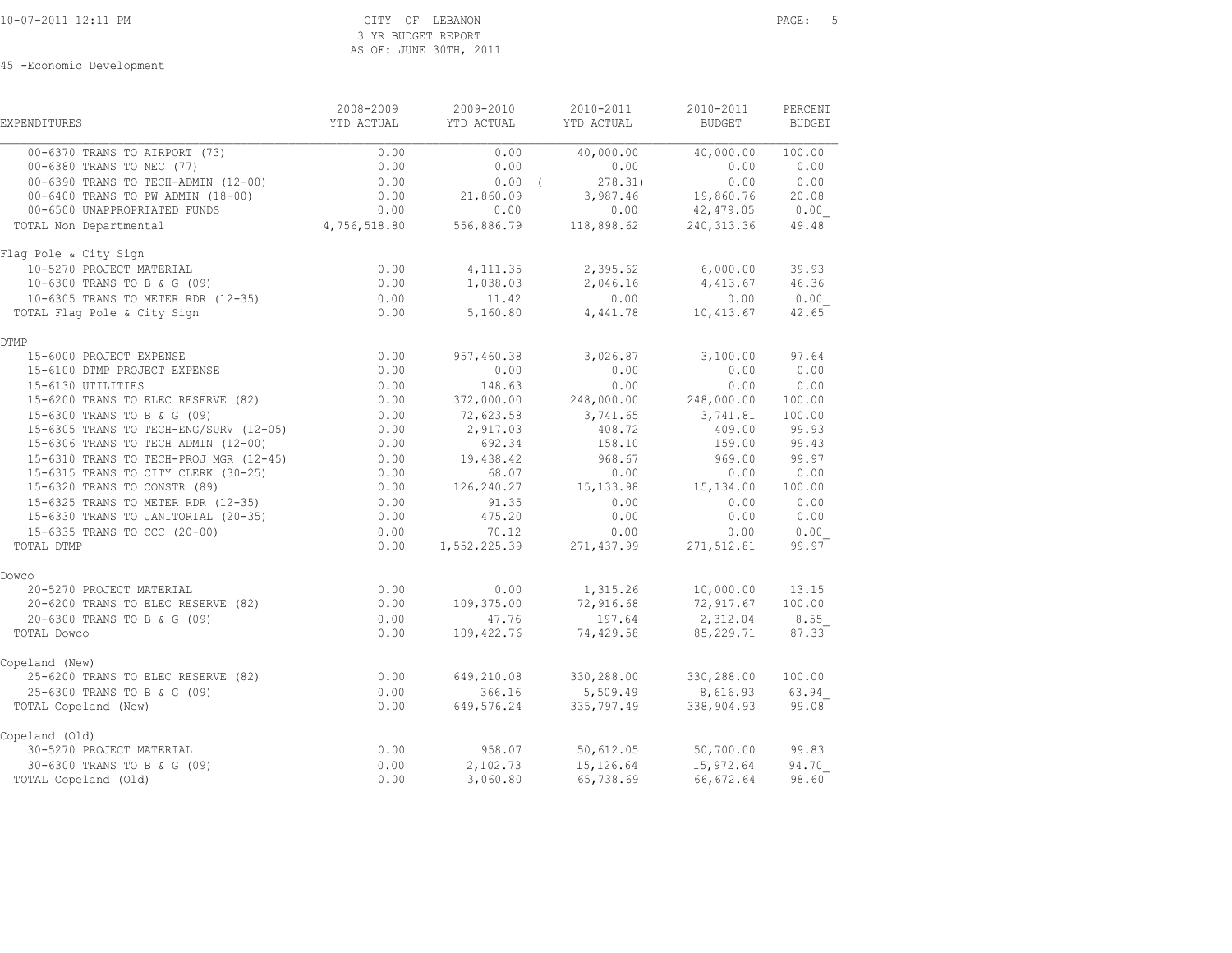| <b>EXPENDITURES</b>                                                                                                               | 2008-2009<br>YTD ACTUAL | 2009-2010<br>YTD ACTUAL | 2010-2011<br>YTD ACTUAL                                                                                    | 2010-2011<br><b>BUDGET</b>                | PERCENT<br><b>BUDGET</b> |
|-----------------------------------------------------------------------------------------------------------------------------------|-------------------------|-------------------------|------------------------------------------------------------------------------------------------------------|-------------------------------------------|--------------------------|
| 00-6370 TRANS TO AIRPORT (73)                                                                                                     | 0.00                    | 0.00                    |                                                                                                            | 40,000.00 40,000.00                       | 100.00                   |
| 00-6380 TRANS TO NEC (77)<br>00-6380 TRANS 10 NDC ()<br>00-6390 TRANS TO TECH-ADMIN (12-00)<br>2001 C. D. D. D. D. J. MIN (18-00) | 0.00                    | 0.00                    | 0.00                                                                                                       | 0.00                                      | 0.00                     |
|                                                                                                                                   | 0.00                    | $0.00$ (                | 278.31)                                                                                                    | 0.00                                      | 0.00                     |
|                                                                                                                                   | 0.00                    | 21,860.09               | $210.31$<br>3,987.46 19,860.76                                                                             |                                           | 20.08                    |
| 00-6500 UNAPPROPRIATED FUNDS                                                                                                      |                         |                         | $0.00$<br>$4,756,518.80$<br>$0.00$<br>$0.00$<br>$0.00$<br>$0.00$<br>$0.00$<br>$118,898.62$<br>$240,313.36$ |                                           | 0.00                     |
| TOTAL Non Departmental                                                                                                            |                         |                         |                                                                                                            |                                           | 49.48                    |
| Flag Pole & City Sign                                                                                                             |                         |                         |                                                                                                            |                                           |                          |
| 10-5270 PROJECT MATERIAL                                                                                                          | 0.00                    | 4, 111, 35              | 2,395.62 6,000.00                                                                                          |                                           | 39.93                    |
| 10-6300 TRANS TO B & G (09)<br>10-6305 TRANS TO METER RDR (12-35)                                                                 | $0.00$<br>$0.00$        | 1,038.03                |                                                                                                            | 2,046.16 4,413.67                         | 46.36                    |
|                                                                                                                                   |                         | 11.42                   | 0.00                                                                                                       | 0.00                                      | 0.00                     |
| TOTAL Flag Pole & City Sign                                                                                                       | 0.00                    | 5,160.80                | 4,441.78                                                                                                   | 10,413.67                                 | 42.65                    |
| <b>DTMP</b>                                                                                                                       |                         |                         |                                                                                                            |                                           |                          |
| 15-6000 PROJECT EXPENSE                                                                                                           | 0.00                    | 957,460.38              | 3,026.87                                                                                                   | 3,100.00                                  | 97.64                    |
| 15-6100 DTMP PROJECT EXPENSE<br>15-6120 UTMP PROJECT EXPENSE                                                                      | 0.00                    | 0.00                    | 0.00                                                                                                       | 0.00                                      | 0.00                     |
| 15-6130 UTILITIES                                                                                                                 | 0.00                    | 148.63                  | 0.00                                                                                                       | 0.00                                      | 0.00                     |
| 15-6200 TRANS TO ELEC RESERVE (82)                                                                                                | 0.00                    | 372,000.00              | 248,000.00                                                                                                 | 248,000.00                                | 100.00                   |
| 15-6300 TRANS TO B & G (09)                                                                                                       | 0.00                    | 72,623.58               | 3,741.65 3,741.81                                                                                          |                                           | 100.00                   |
| 15-6305 TRANS TO TECH-ENG/SURV (12-05)                                                                                            | 0.00                    | 2,917.03                | 408.72                                                                                                     | 409.00                                    | 99.93                    |
| 15-6306 TRANS TO TECH ADMIN (12-00)                                                                                               | 0.00                    | 692.34                  | 158.10                                                                                                     | 159.00                                    | 99.43                    |
| 15-6310 TRANS TO TECH-PROJ MGR (12-45) 0.00                                                                                       |                         | 19,438.42               | 968.67                                                                                                     | 969.00                                    | 99.97                    |
| 15-6315 TRANS TO CITY CLERK (30-25)                                                                                               | 0.00                    | 68.07                   | 0.00                                                                                                       | 0.00                                      | 0.00                     |
| 15-6320 TRANS TO CONSTR (89)                                                                                                      | 0.00                    | 126,240.27              | 15, 133.98   15, 134.00   100.00                                                                           |                                           |                          |
| 15-6325 TRANS TO METER RDR (12-35)                                                                                                | 0.00                    | 91.35                   | 0.00                                                                                                       | 0.00                                      | 0.00                     |
| 15-6330 TRANS TO JANITORIAL (20-35) 0.00                                                                                          |                         | 475.20                  | 0.00                                                                                                       | 0.00                                      | 0.00                     |
| 15-6335 TRANS TO CCC (20-00)                                                                                                      | 0.00                    | 70.12                   | 0.00                                                                                                       | 0.00                                      | 0.00                     |
| TOTAL DTMP                                                                                                                        | 0.00                    |                         | $1,552,225.39$ 271,437.99                                                                                  | 271,512.81                                | 99.97                    |
| Dowco                                                                                                                             |                         |                         |                                                                                                            |                                           |                          |
| 20-5270 PROJECT MATERIAL                                                                                                          | 0.00                    | 0.00                    | 1,315.26                                                                                                   | 10,000.00                                 | 13.15                    |
| 20-6200 TRANS TO ELEC RESERVE (82)                                                                                                | 0.00                    | 109,375.00              | 72,916.68                                                                                                  | 72,917.67<br>$\frac{12,312.04}{2,312.04}$ | 100.00                   |
| 20-6300 TRANS TO B & G (09)                                                                                                       | 0.00                    | 47.76                   | 197.64                                                                                                     |                                           | 8.55                     |
| TOTAL Dowco                                                                                                                       | 0.00                    | 109,422.76              | 74,429.58                                                                                                  | 85,229.71                                 | 87.33                    |
| Copeland (New)                                                                                                                    |                         |                         |                                                                                                            |                                           |                          |
| 25-6200 TRANS TO ELEC RESERVE (82)                                                                                                | 0.00                    |                         | 649,210.08 330,288.00                                                                                      | 330,288.00                                | 100.00                   |
| 25-6300 TRANS TO B & G (09)                                                                                                       | 0.00                    | 366.16                  | 5,509.49 8,616.93 63.94                                                                                    |                                           |                          |
| TOTAL Copeland (New)                                                                                                              | 0.00                    | 649,576.24              | 335,797.49                                                                                                 | 338,904.93                                | 99.08                    |
| Copeland (Old)                                                                                                                    |                         |                         |                                                                                                            |                                           |                          |
| 30-5270 PROJECT MATERIAL                                                                                                          | 0.00                    | 958.07                  | 50,612.05                                                                                                  | 50,700.00                                 | 99.83                    |
| $30-6300$ TRANS TO B & G (09)<br>TOTAL Copeland (Old)                                                                             | 0.00                    | 2,102.73                | 15,126.64                                                                                                  | 15,972.64                                 | 94.70                    |
| TOTAL Copeland (Old)                                                                                                              | 0.00                    | 3,060.80                | 65,738.69                                                                                                  | 66,672.64                                 | 98.60                    |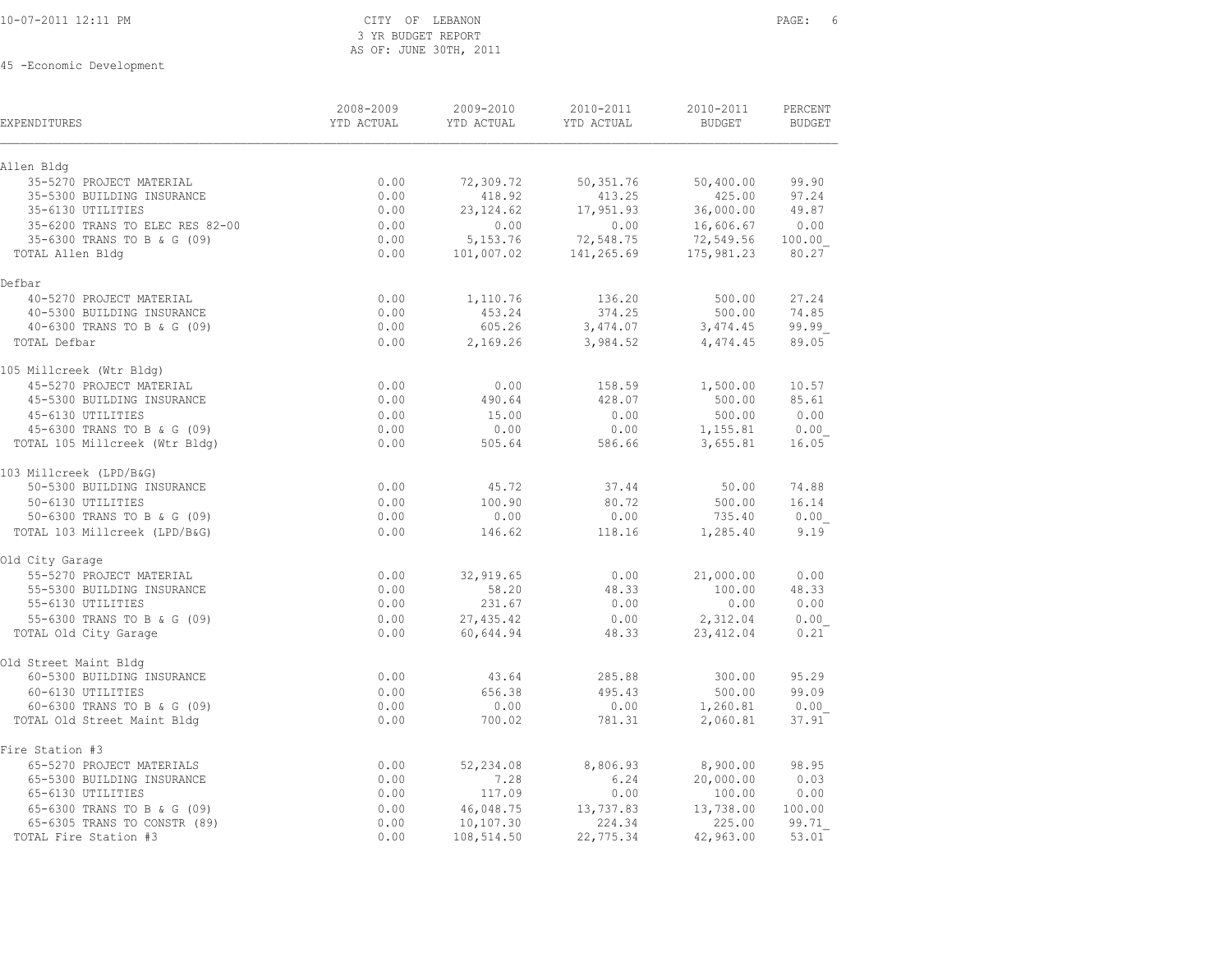|  | 10-07-2011 12:11 PM |  |  |
|--|---------------------|--|--|
|  |                     |  |  |

### CITY OF LEBANON **PAGE:** 6 3 YR BUDGET REPORT AS OF: JUNE 30TH, 2011

| <b>EXPENDITURES</b>             | 2008-2009<br>YTD ACTUAL | 2009-2010<br>YTD ACTUAL | 2010-2011<br>YTD ACTUAL | 2010-2011<br><b>BUDGET</b> | PERCENT<br><b>BUDGET</b> |
|---------------------------------|-------------------------|-------------------------|-------------------------|----------------------------|--------------------------|
| Allen Bldg                      |                         |                         |                         |                            |                          |
| 35-5270 PROJECT MATERIAL        | 0.00                    | 72,309.72               | 50,351.76               | 50,400.00                  | 99.90                    |
| 35-5300 BUILDING INSURANCE      | 0.00                    | 418.92                  | 413.25                  | 425.00                     | 97.24                    |
| 35-6130 UTILITIES               | 0.00                    | 23, 124.62              | 17,951.93               | 36,000.00                  | 49.87                    |
| 35-6200 TRANS TO ELEC RES 82-00 | 0.00                    | 0.00                    | 0.00                    | 16,606.67                  | 0.00                     |
| 35-6300 TRANS TO B & G (09)     | 0.00                    | 5,153.76                | 72,548.75               | 72,549.56                  | 100.00                   |
| TOTAL Allen Bldg                | 0.00                    | 101,007.02              | 141,265.69              | 175,981.23                 | 80.27                    |
| Defbar                          |                         |                         |                         |                            |                          |
| 40-5270 PROJECT MATERIAL        | 0.00                    | 1,110.76                | 136.20                  | 500.00                     | 27.24                    |
| 40-5300 BUILDING INSURANCE      | 0.00                    | 453.24                  | 374.25                  | 500.00                     | 74.85                    |
| 40-6300 TRANS TO B & G (09)     | 0.00                    | 605.26                  | 3,474.07                | 3,474.45                   | 99.99                    |
| TOTAL Defbar                    | 0.00                    | 2,169.26                | 3,984.52                | 4,474.45                   | 89.05                    |
| 105 Millcreek (Wtr Bldg)        |                         |                         |                         |                            |                          |
| 45-5270 PROJECT MATERIAL        | 0.00                    | 0.00                    | 158.59                  | 1,500.00                   | 10.57                    |
| 45-5300 BUILDING INSURANCE      | 0.00                    | 490.64                  | 428.07                  | 500.00                     | 85.61                    |
| 45-6130 UTILITIES               | 0.00                    | 15.00                   | 0.00                    | 500.00                     | 0.00                     |
| 45-6300 TRANS TO B & G (09)     | 0.00                    | 0.00                    | 0.00                    | 1,155.81                   | 0.00                     |
| TOTAL 105 Millcreek (Wtr Bldg)  | 0.00                    | 505.64                  | 586.66                  | 3,655.81                   | 16.05                    |
| 103 Millcreek (LPD/B&G)         |                         |                         |                         |                            |                          |
| 50-5300 BUILDING INSURANCE      | 0.00                    | 45.72                   | 37.44                   | 50.00                      | 74.88                    |
| 50-6130 UTILITIES               | 0.00                    | 100.90                  | 80.72                   | 500.00                     | 16.14                    |
| 50-6300 TRANS TO B & G (09)     | 0.00                    | 0.00                    | 0.00                    | 735.40                     | 0.00                     |
| TOTAL 103 Millcreek (LPD/B&G)   | 0.00                    | 146.62                  | 118.16                  | 1,285.40                   | 9.19                     |
| Old City Garage                 |                         |                         |                         |                            |                          |
| 55-5270 PROJECT MATERIAL        | 0.00                    | 32,919.65               | 0.00                    | 21,000.00                  | 0.00                     |
| 55-5300 BUILDING INSURANCE      | 0.00                    | 58.20                   | 48.33                   | 100.00                     | 48.33                    |
| 55-6130 UTILITIES               | 0.00                    | 231.67                  | 0.00                    | 0.00                       | 0.00                     |
| 55-6300 TRANS TO B & G (09)     | 0.00                    | 27, 435.42              | 0.00                    | 2,312.04                   | 0.00                     |
| TOTAL Old City Garage           | 0.00                    | 60,644.94               | 48.33                   | 23, 412.04                 | 0.21                     |
| Old Street Maint Bldg           |                         |                         |                         |                            |                          |
| 60-5300 BUILDING INSURANCE      | 0.00                    | 43.64                   | 285.88                  | 300.00                     | 95.29                    |
| 60-6130 UTILITIES               | 0.00                    | 656.38                  | 495.43                  | 500.00                     | 99.09                    |
| 60-6300 TRANS TO B & G (09)     | 0.00                    | 0.00                    | 0.00                    | 1,260.81                   | 0.00                     |
| TOTAL Old Street Maint Bldg     | 0.00                    | 700.02                  | 781.31                  | 2,060.81                   | 37.91                    |
| Fire Station #3                 |                         |                         |                         |                            |                          |
| 65-5270 PROJECT MATERIALS       | 0.00                    | 52,234.08               | 8,806.93                | 8,900.00                   | 98.95                    |
| 65-5300 BUILDING INSURANCE      | 0.00                    | 7.28                    | 6.24                    | 20,000.00                  | 0.03                     |
| 65-6130 UTILITIES               | 0.00                    | 117.09                  | 0.00                    | 100.00                     | 0.00                     |
| 65-6300 TRANS TO B & G (09)     | 0.00                    | 46,048.75               | 13,737.83               | 13,738.00                  | 100.00                   |
| 65-6305 TRANS TO CONSTR (89)    | 0.00                    | 10,107.30               | 224.34                  | 225.00                     | 99.71                    |
| TOTAL Fire Station #3           | 0.00                    | 108,514.50              | 22,775.34               | 42,963.00                  | 53.01                    |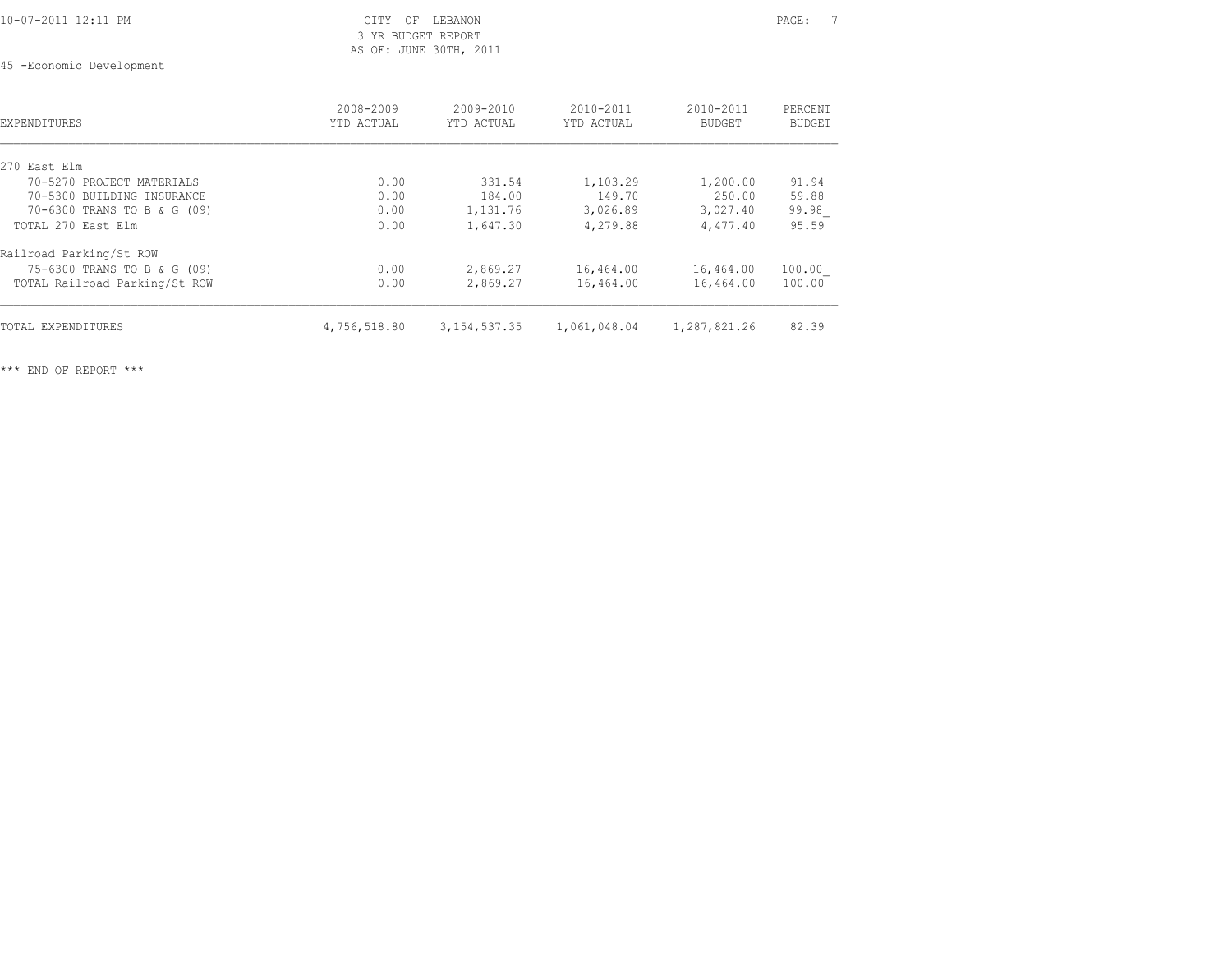### 10-07-2011 12:11 PM CITY OF LEBANON PAGE: 7 3 YR BUDGET REPORT AS OF: JUNE 30TH, 2011

45 -Economic Development

| <b>EXPENDITURES</b>           | 2008-2009<br>YTD ACTUAL | $2009 - 2010$<br>YTD ACTUAL | $2010 - 2011$<br>YTD ACTUAL | $2010 - 2011$<br><b>BUDGET</b> | PERCENT<br><b>BUDGET</b> |
|-------------------------------|-------------------------|-----------------------------|-----------------------------|--------------------------------|--------------------------|
| 270 East Elm                  |                         |                             |                             |                                |                          |
| 70-5270 PROJECT MATERIALS     | 0.00                    | 331.54                      | 1,103.29                    | 1,200.00                       | 91.94                    |
| 70-5300 BUILDING INSURANCE    | 0.00                    | 184.00                      | 149.70                      | 250.00                         | 59.88                    |
| 70-6300 TRANS TO B & G (09)   | 0.00                    | 1,131.76                    | 3,026.89                    | 3,027.40                       | 99.98                    |
| TOTAL 270 East Elm            | 0.00                    | 1,647.30                    | 4,279.88                    | 4,477.40                       | 95.59                    |
| Railroad Parking/St ROW       |                         |                             |                             |                                |                          |
| 75-6300 TRANS TO B & G (09)   | 0.00                    | 2,869.27                    | 16,464.00                   | 16,464.00                      | 100.00                   |
| TOTAL Railroad Parking/St ROW | 0.00                    | 2,869.27                    | 16,464.00                   | 16,464.00                      | 100.00                   |
| TOTAL EXPENDITURES            | 4,756,518.80            | 3, 154, 537.35              | 1,061,048.04                | 1,287,821.26                   | 82.39                    |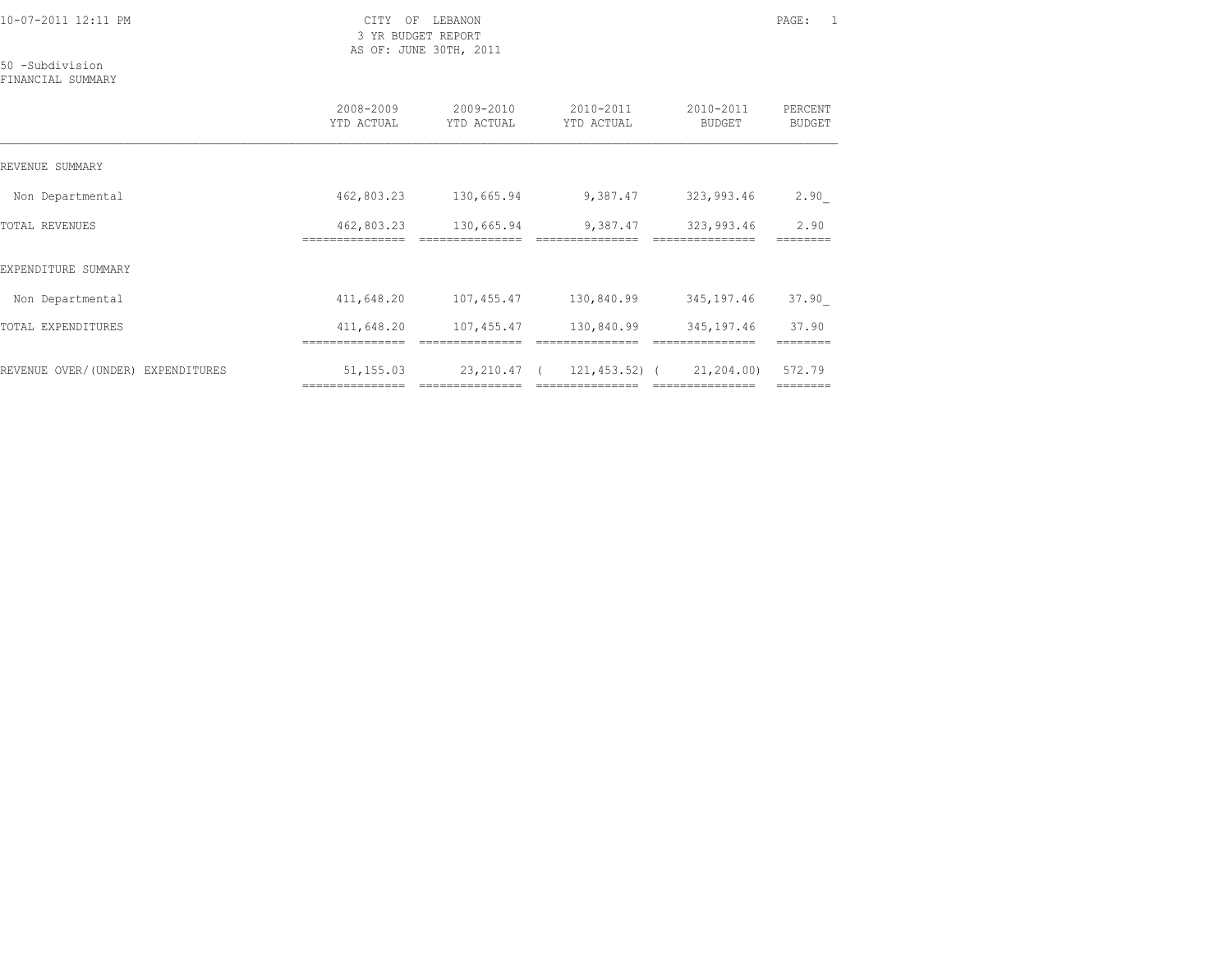3 YR BUDGET REPORT AS OF: JUNE 30TH, 2011

50 -Subdivision

FINANCIAL SUMMARY

|                                   | 2008-2009<br>YTD ACTUAL | 2009-2010<br>YTD ACTUAL | 2010-2011<br>YTD ACTUAL | 2010-2011<br><b>BUDGET</b> | PERCENT<br><b>BUDGET</b> |
|-----------------------------------|-------------------------|-------------------------|-------------------------|----------------------------|--------------------------|
| REVENUE SUMMARY                   |                         |                         |                         |                            |                          |
| Non Departmental                  | 462,803.23              | 130,665.94              | 9,387.47                | 323,993.46                 | 2.90                     |
| <b>TOTAL REVENUES</b>             | 462,803.23              | 130,665.94              | 9,387.47                | 323,993.46                 | 2.90                     |
| EXPENDITURE SUMMARY               |                         |                         |                         |                            |                          |
| Non Departmental                  | 411,648.20              | 107,455.47              | 130,840.99              | 345,197.46                 | 37.90                    |
| TOTAL EXPENDITURES                | 411,648.20              | 107,455.47              | 130,840.99              | 345,197.46                 | 37.90                    |
| REVENUE OVER/(UNDER) EXPENDITURES | 51,155.03               | 23,210.47 (             | 121,453.52) (           | 21,204.00)                 | 572.79<br>========       |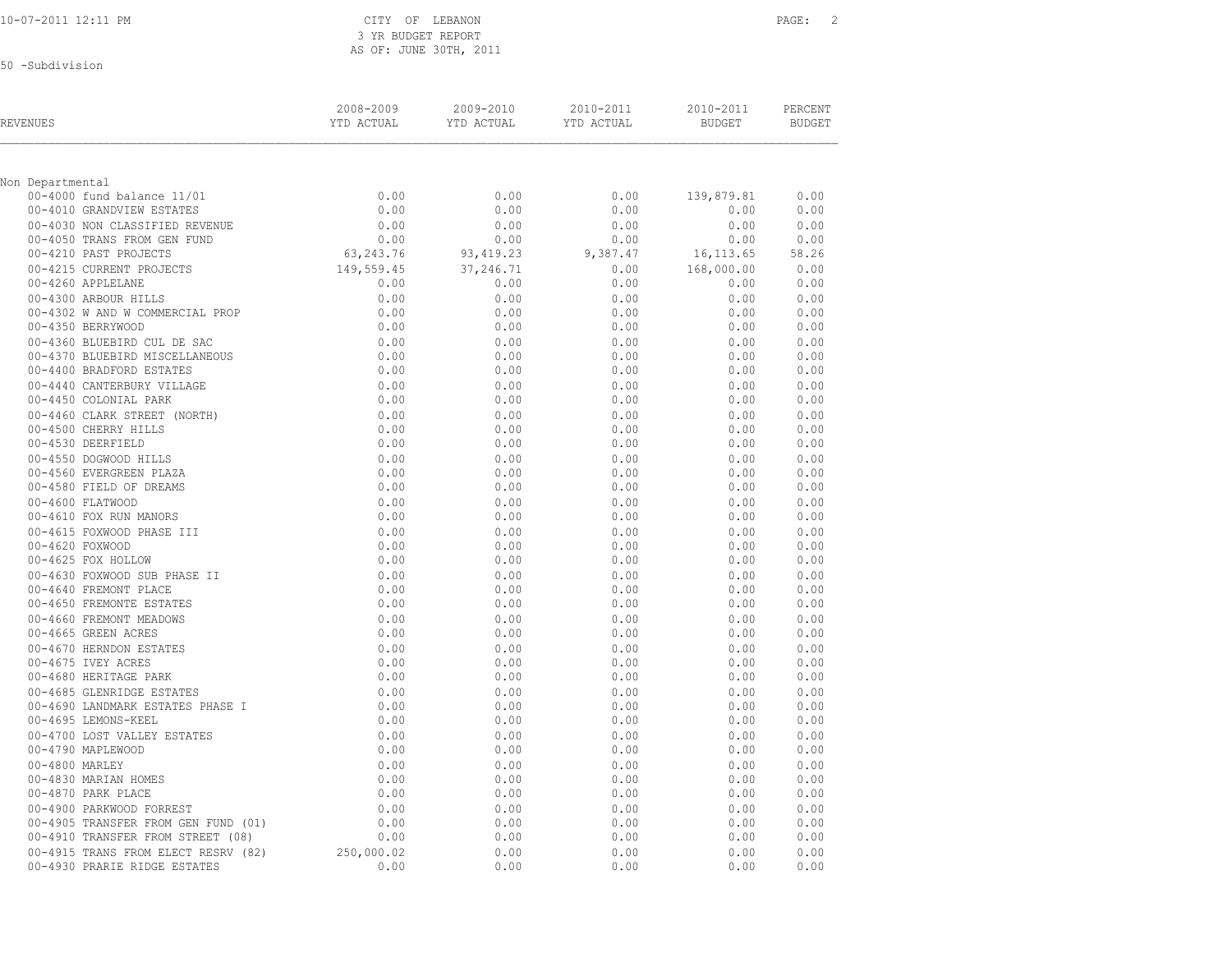3 YR BUDGET REPORT AS OF: JUNE 30TH, 2011

50 -Subdivision

| REVENUES                            | 2008-2009<br>YTD ACTUAL | 2009-2010<br>YTD ACTUAL | 2010-2011<br>YTD ACTUAL | 2010-2011<br><b>BUDGET</b> | PERCENT<br><b>BUDGET</b> |
|-------------------------------------|-------------------------|-------------------------|-------------------------|----------------------------|--------------------------|
| Non Departmental                    |                         |                         |                         |                            |                          |
| 00-4000 fund balance 11/01          | 0.00                    | 0.00                    | 0.00                    | 139,879.81                 | 0.00                     |
| 00-4010 GRANDVIEW ESTATES           | 0.00                    | 0.00                    | 0.00                    | 0.00                       | 0.00                     |
| 00-4030 NON CLASSIFIED REVENUE      | 0.00                    | 0.00                    | 0.00                    | 0.00                       | 0.00                     |
| 00-4050 TRANS FROM GEN FUND         | 0.00                    | 0.00                    | 0.00                    | 0.00                       | 0.00                     |
| 00-4210 PAST PROJECTS               | 63, 243. 76             | 93, 419.23              | 9,387.47                | 16, 113.65                 | 58.26                    |
| 00-4215 CURRENT PROJECTS            | 149,559.45              | 37,246.71               | 0.00                    | 168,000.00                 | 0.00                     |
| 00-4260 APPLELANE                   | 0.00                    | 0.00                    | 0.00                    | 0.00                       | 0.00                     |
| 00-4300 ARBOUR HILLS                | 0.00                    | 0.00                    | 0.00                    | 0.00                       | 0.00                     |
| 00-4302 W AND W COMMERCIAL PROP     | 0.00                    | 0.00                    | 0.00                    | 0.00                       | 0.00                     |
| 00-4350 BERRYWOOD                   | 0.00                    | 0.00                    | 0.00                    | 0.00                       | 0.00                     |
| 00-4360 BLUEBIRD CUL DE SAC         | 0.00                    | 0.00                    | 0.00                    | 0.00                       | 0.00                     |
| 00-4370 BLUEBIRD MISCELLANEOUS      | 0.00                    | 0.00                    | 0.00                    | 0.00                       | 0.00                     |
| 00-4400 BRADFORD ESTATES            | 0.00                    | 0.00                    | 0.00                    | 0.00                       | 0.00                     |
| 00-4440 CANTERBURY VILLAGE          | 0.00                    | 0.00                    | 0.00                    | 0.00                       | 0.00                     |
| 00-4450 COLONIAL PARK               | 0.00                    | 0.00                    | 0.00                    | 0.00                       | 0.00                     |
| 00-4460 CLARK STREET (NORTH)        | 0.00                    | 0.00                    | 0.00                    | 0.00                       | 0.00                     |
| 00-4500 CHERRY HILLS                | 0.00                    | 0.00                    | 0.00                    | 0.00                       | 0.00                     |
| 00-4530 DEERFIELD                   | 0.00                    | 0.00                    | 0.00                    | 0.00                       | 0.00                     |
| 00-4550 DOGWOOD HILLS               | 0.00                    | 0.00                    | 0.00                    | 0.00                       | 0.00                     |
| 00-4560 EVERGREEN PLAZA             | 0.00                    | 0.00                    | 0.00                    | 0.00                       | 0.00                     |
| 00-4580 FIELD OF DREAMS             | 0.00                    | 0.00                    | 0.00                    | 0.00                       | 0.00                     |
| 00-4600 FLATWOOD                    | 0.00                    | 0.00                    | 0.00                    | 0.00                       | 0.00                     |
| 00-4610 FOX RUN MANORS              | 0.00                    | 0.00                    | 0.00                    | 0.00                       | 0.00                     |
| 00-4615 FOXWOOD PHASE III           | 0.00                    | 0.00                    | 0.00                    | 0.00                       | 0.00                     |
| 00-4620 FOXWOOD                     | 0.00                    | 0.00                    | 0.00                    | 0.00                       | 0.00                     |
| 00-4625 FOX HOLLOW                  | 0.00                    | 0.00                    | 0.00                    | 0.00                       | 0.00                     |
| 00-4630 FOXWOOD SUB PHASE II        | 0.00                    | 0.00                    | 0.00                    | 0.00                       | 0.00                     |
| 00-4640 FREMONT PLACE               | 0.00                    | 0.00                    | 0.00                    | 0.00                       | 0.00                     |
| 00-4650 FREMONTE ESTATES            | 0.00                    | 0.00                    | 0.00                    | 0.00                       | 0.00                     |
| 00-4660 FREMONT MEADOWS             | 0.00                    | 0.00                    | 0.00                    | 0.00                       | 0.00                     |
| 00-4665 GREEN ACRES                 | 0.00                    | 0.00                    | 0.00                    | 0.00                       | 0.00                     |
| 00-4670 HERNDON ESTATES             | 0.00                    | 0.00                    | 0.00                    | 0.00                       | 0.00                     |
| 00-4675 IVEY ACRES                  | 0.00                    | 0.00                    | 0.00                    | 0.00                       | 0.00                     |
| 00-4680 HERITAGE PARK               | 0.00                    | 0.00                    | 0.00                    | 0.00                       | 0.00                     |
| 00-4685 GLENRIDGE ESTATES           | 0.00                    | 0.00                    | 0.00                    | 0.00                       | 0.00                     |
| 00-4690 LANDMARK ESTATES PHASE I    | 0.00                    | 0.00                    | 0.00                    | 0.00                       | 0.00                     |
| 00-4695 LEMONS-KEEL                 | 0.00                    | 0.00                    | 0.00                    | 0.00                       | 0.00                     |
| 00-4700 LOST VALLEY ESTATES         | 0.00                    | 0.00                    | 0.00                    | 0.00                       | 0.00                     |
| 00-4790 MAPLEWOOD                   | 0.00                    | 0.00                    | 0.00                    | 0.00                       | 0.00                     |
| 00-4800 MARLEY                      | 0.00                    | 0.00                    | 0.00                    | 0.00                       | 0.00                     |
| 00-4830 MARIAN HOMES                | 0.00                    | 0.00                    | 0.00                    | 0.00                       | 0.00                     |
| 00-4870 PARK PLACE                  | 0.00                    | 0.00                    | 0.00                    | 0.00                       | 0.00                     |
| 00-4900 PARKWOOD FORREST            | 0.00                    | 0.00                    | 0.00                    | 0.00                       | 0.00                     |
| 00-4905 TRANSFER FROM GEN FUND (01) | 0.00                    | 0.00                    | 0.00                    | 0.00                       | 0.00                     |
| 00-4910 TRANSFER FROM STREET (08)   | 0.00                    | 0.00                    | 0.00                    | 0.00                       | 0.00                     |
| 00-4915 TRANS FROM ELECT RESRV (82) | 250,000.02              | 0.00                    | 0.00                    | 0.00                       | 0.00                     |
| 00-4930 PRARIE RIDGE ESTATES        | 0.00                    | 0.00                    | 0.00                    | 0.00                       | 0.00                     |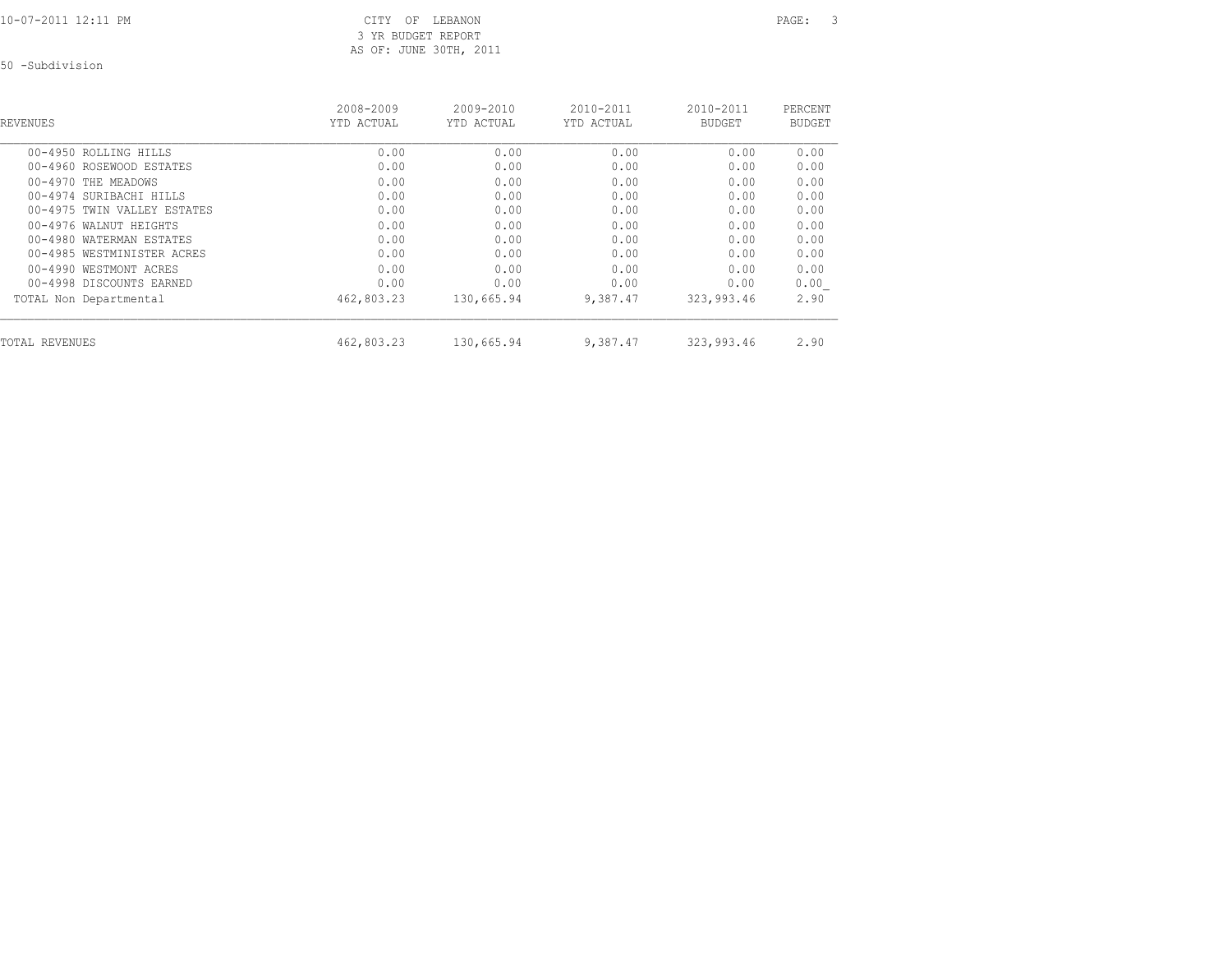10-07-2011 12:11 PM CITY OF LEBANON PAGE: 3 3 YR BUDGET REPORT AS OF: JUNE 30TH, 2011

50 -Subdivision

| <b>REVENUES</b>             | 2008-2009<br>YTD ACTUAL | $2009 - 2010$<br>YTD ACTUAL | $2010 - 2011$<br>YTD ACTUAL | $2010 - 2011$<br><b>BUDGET</b> | PERCENT<br>BUDGET |
|-----------------------------|-------------------------|-----------------------------|-----------------------------|--------------------------------|-------------------|
| 00-4950 ROLLING HILLS       | 0.00                    | 0.00                        | 0.00                        | 0.00                           | 0.00              |
| 00-4960 ROSEWOOD ESTATES    | 0.00                    | 0.00                        | 0.00                        | 0.00                           | 0.00              |
| 00-4970 THE MEADOWS         | 0.00                    | 0.00                        | 0.00                        | 0.00                           | 0.00              |
| 00-4974 SURIBACHI HILLS     | 0.00                    | 0.00                        | 0.00                        | 0.00                           | 0.00              |
| 00-4975 TWIN VALLEY ESTATES | 0.00                    | 0.00                        | 0.00                        | 0.00                           | 0.00              |
| 00-4976 WALNUT HEIGHTS      | 0.00                    | 0.00                        | 0.00                        | 0.00                           | 0.00              |
| 00-4980 WATERMAN ESTATES    | 0.00                    | 0.00                        | 0.00                        | 0.00                           | 0.00              |
| 00-4985 WESTMINISTER ACRES  | 0.00                    | 0.00                        | 0.00                        | 0.00                           | 0.00              |
| 00-4990 WESTMONT ACRES      | 0.00                    | 0.00                        | 0.00                        | 0.00                           | 0.00              |
| 00-4998 DISCOUNTS EARNED    | 0.00                    | 0.00                        | 0.00                        | 0.00                           | 0.00              |
| TOTAL Non Departmental      | 462,803.23              | 130,665.94                  | 9,387.47                    | 323,993.46                     | 2.90              |
| TOTAL REVENUES              | 462,803.23              | 130,665.94                  | 9,387.47                    | 323,993.46                     | 2.90              |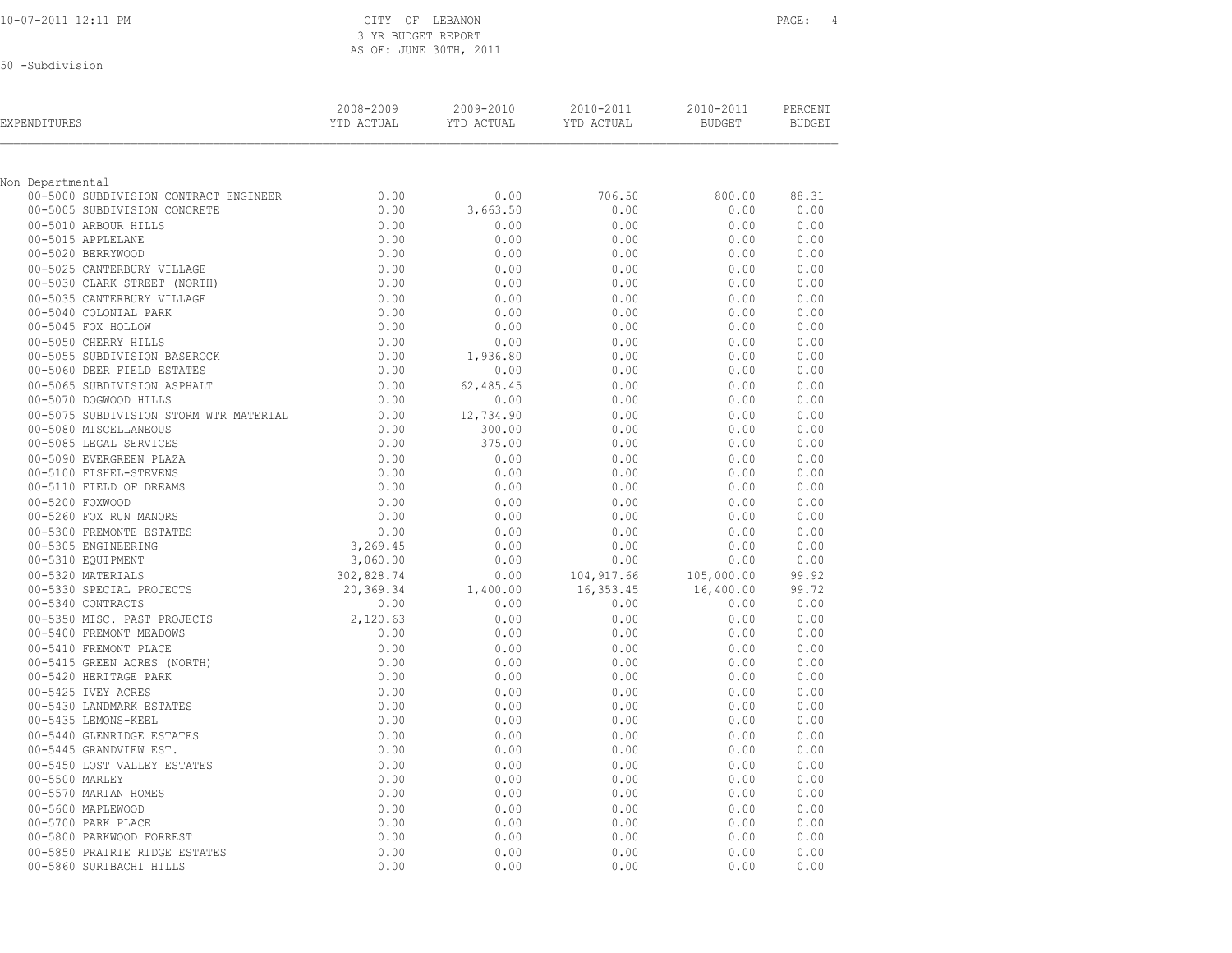| 10-07-2011 12:11 PM |  |  |
|---------------------|--|--|
|                     |  |  |

CITY OF LEBANON PAGE: 4 3 YR BUDGET REPORT AS OF: JUNE 30TH, 2011

50 -Subdivision

| EXPENDITURES                                              | 2008-2009<br>YTD ACTUAL | 2009-2010<br>YTD ACTUAL | 2010-2011<br>YTD ACTUAL | 2010-2011<br><b>BUDGET</b> | PERCENT<br><b>BUDGET</b> |
|-----------------------------------------------------------|-------------------------|-------------------------|-------------------------|----------------------------|--------------------------|
|                                                           |                         |                         |                         |                            |                          |
| Non Departmental<br>00-5000 SUBDIVISION CONTRACT ENGINEER | 0.00                    | 0.00                    | 706.50                  | 800.00                     | 88.31                    |
| 00-5005 SUBDIVISION CONCRETE                              | 0.00                    | 3,663.50                | 0.00                    | 0.00                       | 0.00                     |
| 00-5010 ARBOUR HILLS                                      | 0.00                    | 0.00                    | 0.00                    | 0.00                       | 0.00                     |
| 00-5015 APPLELANE                                         | 0.00                    | 0.00                    | 0.00                    | 0.00                       | 0.00                     |
| 00-5020 BERRYWOOD                                         | 0.00                    | 0.00                    | 0.00                    | 0.00                       | 0.00                     |
| 00-5025 CANTERBURY VILLAGE                                | 0.00                    | 0.00                    | 0.00                    | 0.00                       | 0.00                     |
| 00-5030 CLARK STREET (NORTH)                              | 0.00                    | 0.00                    | 0.00                    | 0.00                       | 0.00                     |
| 00-5035 CANTERBURY VILLAGE                                | 0.00                    | 0.00                    | 0.00                    | 0.00                       | 0.00                     |
| 00-5040 COLONIAL PARK                                     | 0.00                    | 0.00                    | 0.00                    | 0.00                       | 0.00                     |
| 00-5045 FOX HOLLOW                                        | 0.00                    | 0.00                    | 0.00                    | 0.00                       | 0.00                     |
| 00-5050 CHERRY HILLS                                      | 0.00                    | 0.00                    | 0.00                    | 0.00                       | 0.00                     |
| 00-5055 SUBDIVISION BASEROCK                              | 0.00                    | 1,936.80                | 0.00                    | 0.00                       | 0.00                     |
| 00-5060 DEER FIELD ESTATES                                | 0.00                    | 0.00                    | 0.00                    | 0.00                       | 0.00                     |
| 00-5065 SUBDIVISION ASPHALT                               | 0.00                    | 62,485.45               | 0.00                    | 0.00                       | 0.00                     |
| 00-5070 DOGWOOD HILLS                                     | 0.00                    | 0.00                    | 0.00                    | 0.00                       | 0.00                     |
| 00-5075 SUBDIVISION STORM WTR MATERIAL                    | 0.00                    | 12,734.90               | 0.00                    | 0.00                       | 0.00                     |
| 00-5080 MISCELLANEOUS                                     | 0.00                    | 300.00                  | 0.00                    | 0.00                       | 0.00                     |
| 00-5085 LEGAL SERVICES                                    | 0.00                    | 375.00                  | 0.00                    | 0.00                       | 0.00                     |
| 00-5090 EVERGREEN PLAZA                                   | 0.00                    | 0.00                    | 0.00                    | 0.00                       | 0.00                     |
| 00-5100 FISHEL-STEVENS                                    | 0.00                    | 0.00                    | 0.00                    | 0.00                       | 0.00                     |
| 00-5110 FIELD OF DREAMS                                   | 0.00                    | 0.00                    | 0.00                    | 0.00                       | 0.00                     |
| 00-5200 FOXWOOD                                           | 0.00                    | 0.00                    | 0.00                    | 0.00                       | 0.00                     |
| 00-5260 FOX RUN MANORS                                    | 0.00                    | 0.00                    | 0.00                    | 0.00                       | 0.00                     |
| 00-5300 FREMONTE ESTATES                                  | 0.00                    | 0.00                    | 0.00                    | 0.00                       | 0.00                     |
| 00-5305 ENGINEERING                                       | 3,269.45                | 0.00                    | 0.00                    | 0.00                       | 0.00                     |
| 00-5310 EQUIPMENT                                         | 3,060.00                | 0.00                    | 0.00                    | 0.00                       | 0.00                     |
| 00-5320 MATERIALS                                         | 302,828.74              | 0.00                    | 104, 917.66             | 105,000.00                 | 99.92                    |
| 00-5330 SPECIAL PROJECTS<br>00-5340 CONTRACTS             | 20,369.34               | 1,400.00                | 16, 353.45              | 16,400.00                  | 99.72                    |
| 00-5350 MISC. PAST PROJECTS                               | 0.00<br>2,120.63        | 0.00<br>0.00            | 0.00<br>0.00            | 0.00<br>0.00               | 0.00<br>0.00             |
| 00-5400 FREMONT MEADOWS                                   | 0.00                    | 0.00                    | 0.00                    | 0.00                       | 0.00                     |
| 00-5410 FREMONT PLACE                                     | 0.00                    | 0.00                    | 0.00                    | 0.00                       | 0.00                     |
| 00-5415 GREEN ACRES (NORTH)                               | 0.00                    | 0.00                    | 0.00                    | 0.00                       | 0.00                     |
| 00-5420 HERITAGE PARK                                     | 0.00                    | 0.00                    | 0.00                    | 0.00                       | 0.00                     |
| 00-5425 IVEY ACRES                                        | 0.00                    | 0.00                    | 0.00                    | 0.00                       | 0.00                     |
| 00-5430 LANDMARK ESTATES                                  | 0.00                    | 0.00                    | 0.00                    | 0.00                       | 0.00                     |
| 00-5435 LEMONS-KEEL                                       | 0.00                    | 0.00                    | 0.00                    | 0.00                       | 0.00                     |
| 00-5440 GLENRIDGE ESTATES                                 | 0.00                    | 0.00                    | 0.00                    | 0.00                       | 0.00                     |
| 00-5445 GRANDVIEW EST.                                    | 0.00                    | 0.00                    | 0.00                    | 0.00                       | 0.00                     |
| 00-5450 LOST VALLEY ESTATES                               | 0.00                    | 0.00                    | 0.00                    | 0.00                       | 0.00                     |
| 00-5500 MARLEY                                            | 0.00                    | 0.00                    | 0.00                    | 0.00                       | 0.00                     |
| 00-5570 MARIAN HOMES                                      | 0.00                    | 0.00                    | 0.00                    | 0.00                       | 0.00                     |
| 00-5600 MAPLEWOOD                                         | 0.00                    | 0.00                    | 0.00                    | 0.00                       | 0.00                     |
| 00-5700 PARK PLACE                                        | 0.00                    | 0.00                    | 0.00                    | 0.00                       | 0.00                     |
| 00-5800 PARKWOOD FORREST                                  | 0.00                    | 0.00                    | 0.00                    | 0.00                       | 0.00                     |
| 00-5850 PRAIRIE RIDGE ESTATES                             | 0.00                    | 0.00                    | 0.00                    | 0.00                       | 0.00                     |
| 00-5860 SURIBACHI HILLS                                   | 0.00                    | 0.00                    | 0.00                    | 0.00                       | 0.00                     |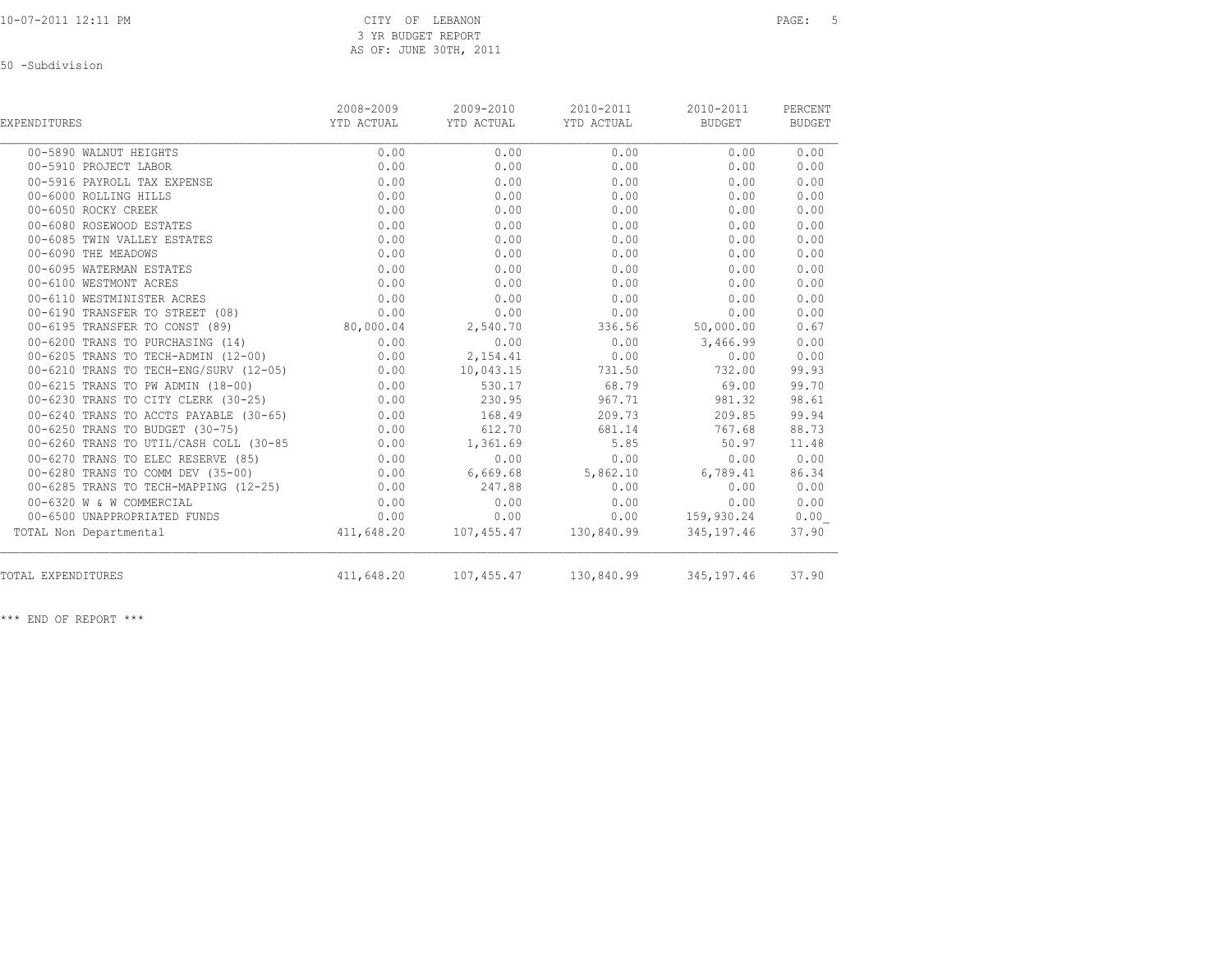50 -Subdivision

| EXPENDITURES                           | 2008-2009<br>YTD ACTUAL | 2009-2010<br>YTD ACTUAL | 2010-2011<br>YTD ACTUAL | 2010-2011<br>BUDGET | PERCENT<br><b>BUDGET</b> |
|----------------------------------------|-------------------------|-------------------------|-------------------------|---------------------|--------------------------|
| 00-5890 WALNUT HEIGHTS                 | 0.00                    | 0.00                    | 0.00                    | 0.00                | 0.00                     |
| 00-5910 PROJECT LABOR                  | 0.00                    | 0.00                    | 0.00                    | 0.00                | 0.00                     |
| 00-5916 PAYROLL TAX EXPENSE            | 0.00                    | 0.00                    | 0.00                    | 0.00                | 0.00                     |
| 00-6000 ROLLING HILLS                  | 0.00                    | 0.00                    | 0.00                    | 0.00                | 0.00                     |
| 00-6050 ROCKY CREEK                    | 0.00                    | 0.00                    | 0.00                    | 0.00                | 0.00                     |
| 00-6080 ROSEWOOD ESTATES               | 0.00                    | 0.00                    | 0.00                    | 0.00                | 0.00                     |
| 00-6085 TWIN VALLEY ESTATES            | 0.00                    | 0.00                    | 0.00                    | 0.00                | 0.00                     |
| 00-6090 THE MEADOWS                    | 0.00                    | 0.00                    | 0.00                    | 0.00                | 0.00                     |
| 00-6095 WATERMAN ESTATES               | 0.00                    | 0.00                    | 0.00                    | 0.00                | 0.00                     |
| 00-6100 WESTMONT ACRES                 | 0.00                    | 0.00                    | 0.00                    | 0.00                | 0.00                     |
| 00-6110 WESTMINISTER ACRES             | 0.00                    | 0.00                    | 0.00                    | 0.00                | 0.00                     |
| 00-6190 TRANSFER TO STREET (08)        | 0.00                    | 0.00                    | 0.00                    | 0.00                | 0.00                     |
| 00-6195 TRANSFER TO CONST (89)         | 80,000.04               | 2,540.70                | 336.56                  | 50,000.00           | 0.67                     |
| 00-6200 TRANS TO PURCHASING (14)       | 0.00                    | 0.00                    | 0.00                    | 3,466.99            | 0.00                     |
| 00-6205 TRANS TO TECH-ADMIN (12-00)    | 0.00                    | 2,154.41                | 0.00                    | 0.00                | 0.00                     |
| 00-6210 TRANS TO TECH-ENG/SURV (12-05) | 0.00                    | 10,043.15               | 731.50                  | 732.00              | 99.93                    |
| 00-6215 TRANS TO PW ADMIN (18-00)      | 0.00                    | 530.17                  | 68.79                   | 69.00               | 99.70                    |
| 00-6230 TRANS TO CITY CLERK (30-25)    | 0.00                    | 230.95                  | 967.71                  | 981.32              | 98.61                    |
| 00-6240 TRANS TO ACCTS PAYABLE (30-65) | 0.00                    | 168.49                  | 209.73                  | 209.85              | 99.94                    |
| 00-6250 TRANS TO BUDGET (30-75)        | 0.00                    | 612.70                  | 681.14                  | 767.68              | 88.73                    |
| 00-6260 TRANS TO UTIL/CASH COLL (30-85 | 0.00                    | 1,361.69                | 5.85                    | 50.97               | 11.48                    |
| 00-6270 TRANS TO ELEC RESERVE (85)     | 0.00                    | 0.00                    | 0.00                    | 0.00                | 0.00                     |
| 00-6280 TRANS TO COMM DEV (35-00)      | 0.00                    | 6,669.68                | 5,862.10                | 6,789.41            | 86.34                    |
| 00-6285 TRANS TO TECH-MAPPING (12-25)  | 0.00                    | 247.88                  | 0.00                    | 0.00                | 0.00                     |
| 00-6320 W & W COMMERCIAL               | 0.00                    | 0.00                    | 0.00                    | 0.00                | 0.00                     |
| 00-6500 UNAPPROPRIATED FUNDS           | 0.00                    | 0.00                    | 0.00                    | 159,930.24          | 0.00                     |
| TOTAL Non Departmental                 | 411,648.20              |                         | 107,455.47 130,840.99   | 345,197.46          | 37.90                    |
| TOTAL EXPENDITURES                     | 411,648.20              | 107,455.47              | 130,840.99              | 345,197.46          | 37.90                    |
|                                        |                         |                         |                         |                     |                          |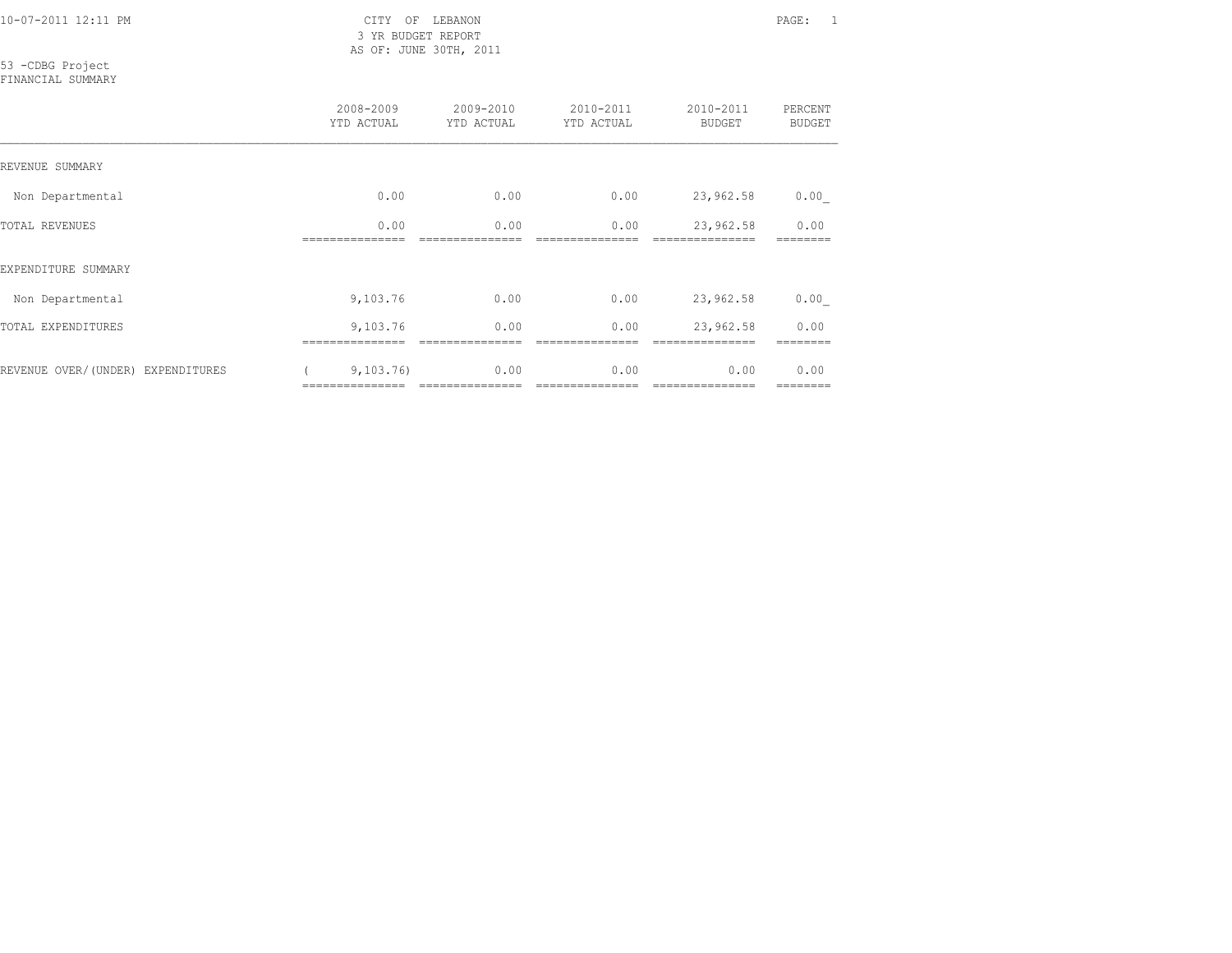3 YR BUDGET REPORT AS OF: JUNE 30TH, 2011

53 -CDBG Project

FINANCIAL SUMMARY

|                                   | 2008-2009<br>YTD ACTUAL     | 2009-2010<br>YTD ACTUAL | $2010 - 2011$<br>YTD ACTUAL | 2010-2011<br><b>BUDGET</b> | PERCENT<br><b>BUDGET</b> |
|-----------------------------------|-----------------------------|-------------------------|-----------------------------|----------------------------|--------------------------|
| REVENUE SUMMARY                   |                             |                         |                             |                            |                          |
| Non Departmental                  | 0.00                        | 0.00                    | 0.00                        | 23,962.58                  | 0.00                     |
| <b>TOTAL REVENUES</b>             | 0.00                        | 0.00                    | 0.00                        | 23,962.58                  | 0.00                     |
| EXPENDITURE SUMMARY               |                             |                         |                             |                            |                          |
| Non Departmental                  | 9,103.76                    | 0.00                    | 0.00                        | 23,962.58                  | 0.00                     |
| TOTAL EXPENDITURES                | 9,103.76                    | 0.00                    | 0.00                        | 23,962.58                  | 0.00                     |
| REVENUE OVER/(UNDER) EXPENDITURES | 9,103,76<br>=============== | 0.00<br>=============== | 0.00<br>----------------    | 0.00<br>===============    | 0.00<br>========         |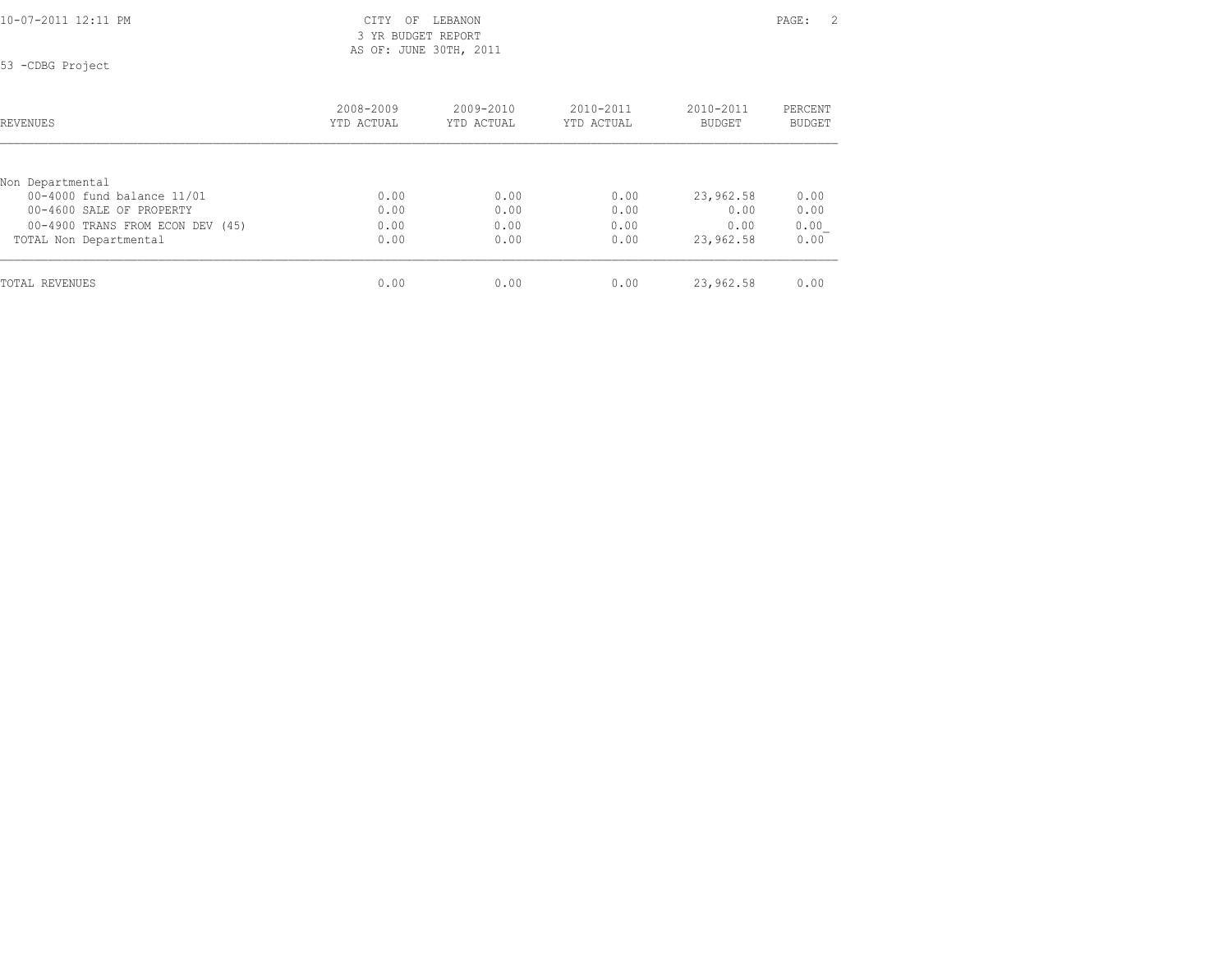3 YR BUDGET REPORT AS OF: JUNE 30TH, 2011

53 -CDBG Project

| REVENUES                         | 2008-2009<br>YTD ACTUAL | $2009 - 2010$<br>YTD ACTUAL | $2010 - 2011$<br>YTD ACTUAL | $2010 - 2011$<br><b>BUDGET</b> | PERCENT<br><b>BUDGET</b> |
|----------------------------------|-------------------------|-----------------------------|-----------------------------|--------------------------------|--------------------------|
|                                  |                         |                             |                             |                                |                          |
| Non Departmental                 |                         |                             |                             |                                |                          |
| 00-4000 fund balance 11/01       | 0.00                    | 0.00                        | 0.00                        | 23,962.58                      | 0.00                     |
| 00-4600 SALE OF PROPERTY         | 0.00                    | 0.00                        | 0.00                        | 0.00                           | 0.00                     |
| 00-4900 TRANS FROM ECON DEV (45) | 0.00                    | 0.00                        | 0.00                        | 0.00                           | 0.00                     |
| TOTAL Non Departmental           | 0.00                    | 0.00                        | 0.00                        | 23,962.58                      | 0.00                     |
| TOTAL REVENUES                   | 0.00                    | 0.00                        | 0.00                        | 23,962.58                      | 0.00                     |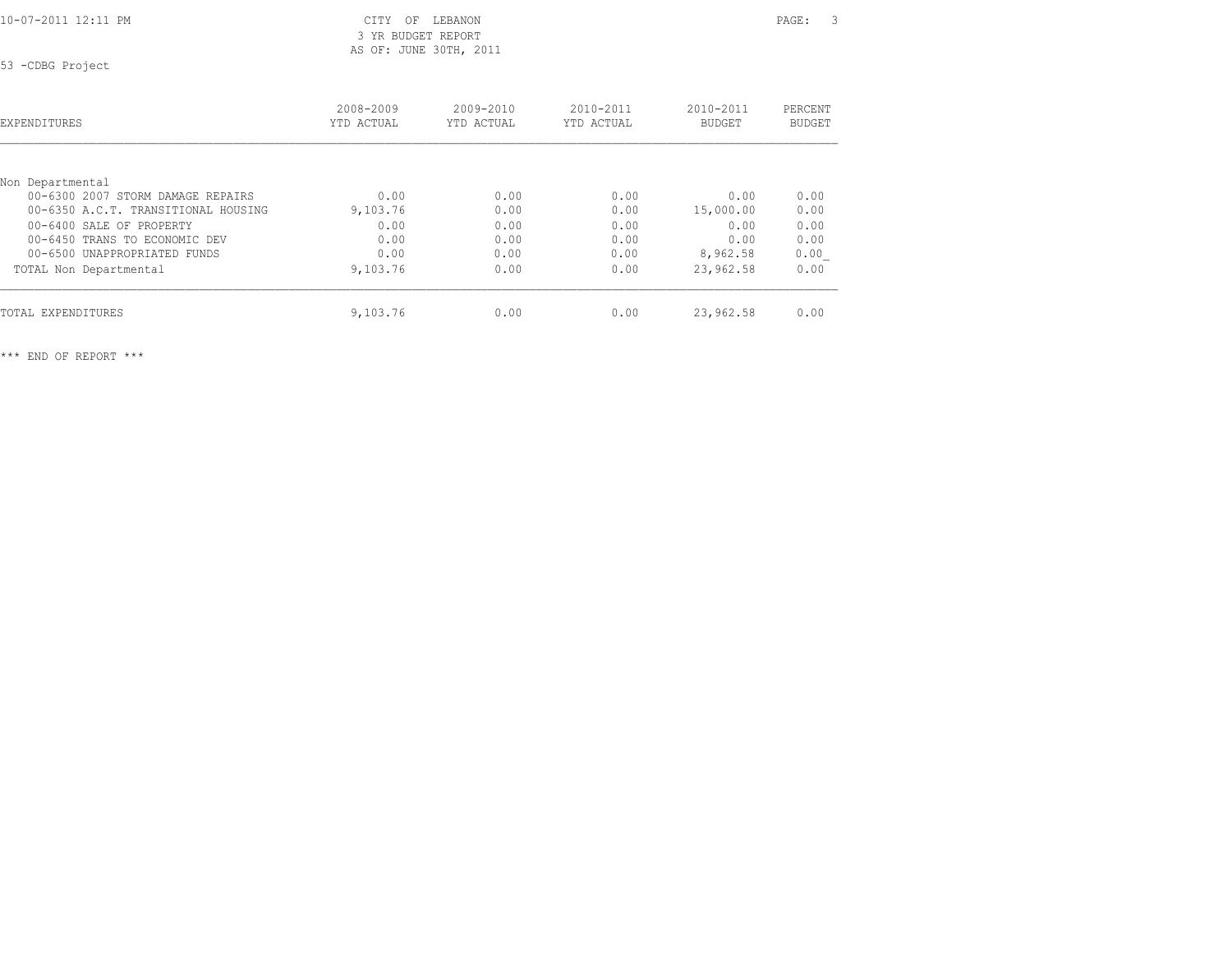3 YR BUDGET REPORT AS OF: JUNE 30TH, 2011

53 -CDBG Project

| <b>EXPENDITURES</b>                 | 2008-2009<br>YTD ACTUAL | $2009 - 2010$<br>YTD ACTUAL | 2010-2011<br>YTD ACTUAL | 2010-2011<br><b>BUDGET</b> | PERCENT<br>BUDGET |
|-------------------------------------|-------------------------|-----------------------------|-------------------------|----------------------------|-------------------|
| Non Departmental                    |                         |                             |                         |                            |                   |
| 00-6300 2007 STORM DAMAGE REPAIRS   | 0.00                    | 0.00                        | 0.00                    | 0.00                       | 0.00              |
| 00-6350 A.C.T. TRANSITIONAL HOUSING | 9,103.76                | 0.00                        | 0.00                    | 15,000.00                  | 0.00              |
| 00-6400 SALE OF PROPERTY            | 0.00                    | 0.00                        | 0.00                    | 0.00                       | 0.00              |
| 00-6450 TRANS TO ECONOMIC DEV       | 0.00                    | 0.00                        | 0.00                    | 0.00                       | 0.00              |
| 00-6500 UNAPPROPRIATED FUNDS        | 0.00                    | 0.00                        | 0.00                    | 8,962.58                   | 0.00              |
| TOTAL Non Departmental              | 9,103.76                | 0.00                        | 0.00                    | 23,962.58                  | 0.00              |
| TOTAL EXPENDITURES                  | 9,103.76                | 0.00                        | 0.00                    | 23,962.58                  | 0.00              |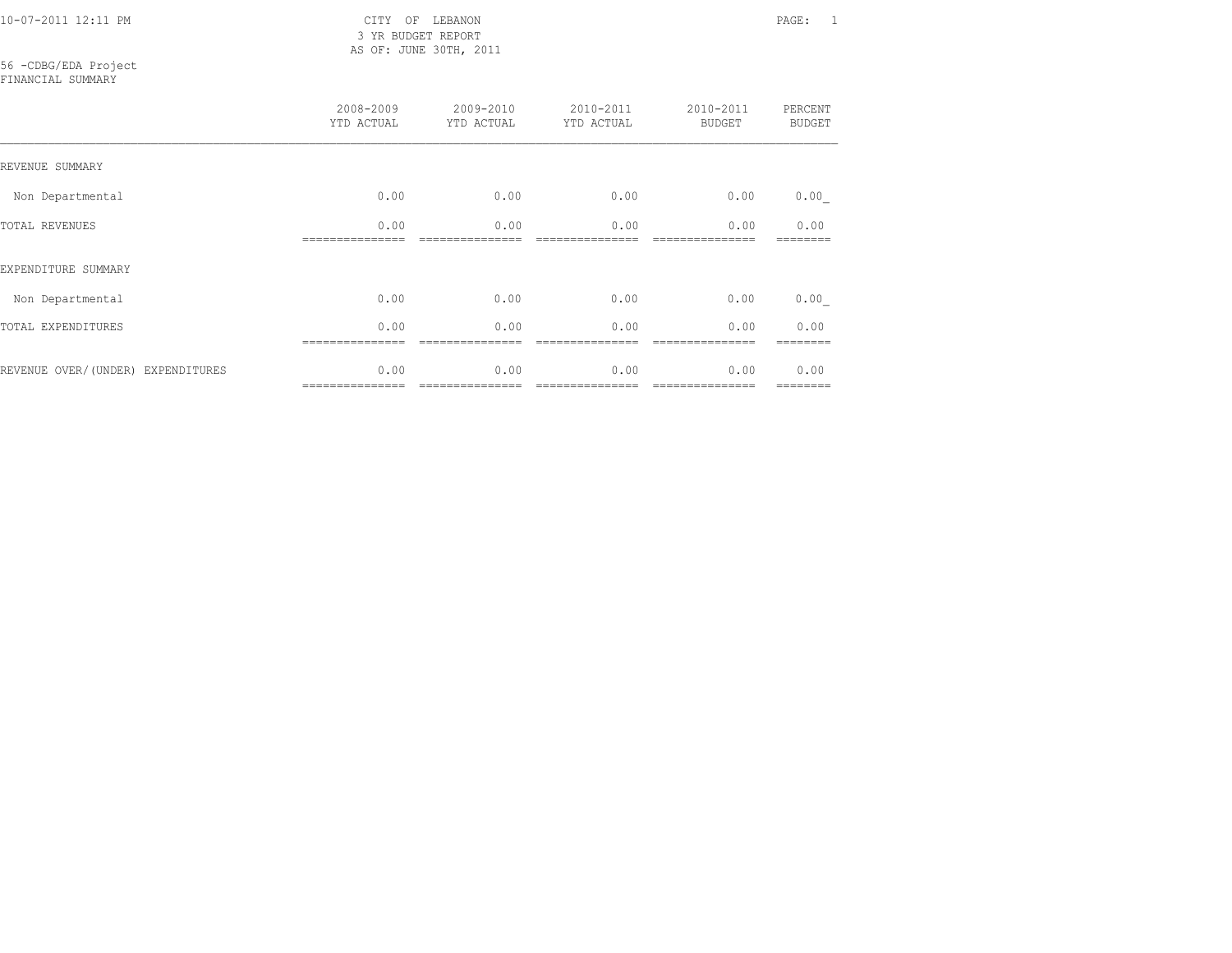10-07-2011 12:11 PM CITY OF LEBANON PAGE: 1 3 YR BUDGET REPORT AS OF: JUNE 30TH, 2011

### 56 -CDBG/EDA Project

FINANCIAL SUMMARY

|                                   | 2008-2009<br>YTD ACTUAL | 2009-2010<br>YTD ACTUAL | 2010-2011<br>YTD ACTUAL | 2010-2011<br><b>BUDGET</b> | PERCENT<br><b>BUDGET</b> |
|-----------------------------------|-------------------------|-------------------------|-------------------------|----------------------------|--------------------------|
| REVENUE SUMMARY                   |                         |                         |                         |                            |                          |
| Non Departmental                  | 0.00                    | 0.00                    | 0.00                    | 0.00                       | 0.00                     |
| TOTAL REVENUES                    | 0.00                    | 0.00                    | 0.00                    | 0.00                       | 0.00                     |
| EXPENDITURE SUMMARY               |                         |                         |                         |                            |                          |
| Non Departmental                  | 0.00                    | 0.00                    | 0.00                    | 0.00                       | 0.00                     |
| TOTAL EXPENDITURES                | 0.00                    | 0.00                    | 0.00                    | 0.00                       | 0.00                     |
| REVENUE OVER/(UNDER) EXPENDITURES | 0.00<br>--------------- | 0.00<br>--------------- | 0.00                    | 0.00<br>===============    | 0.00<br>========         |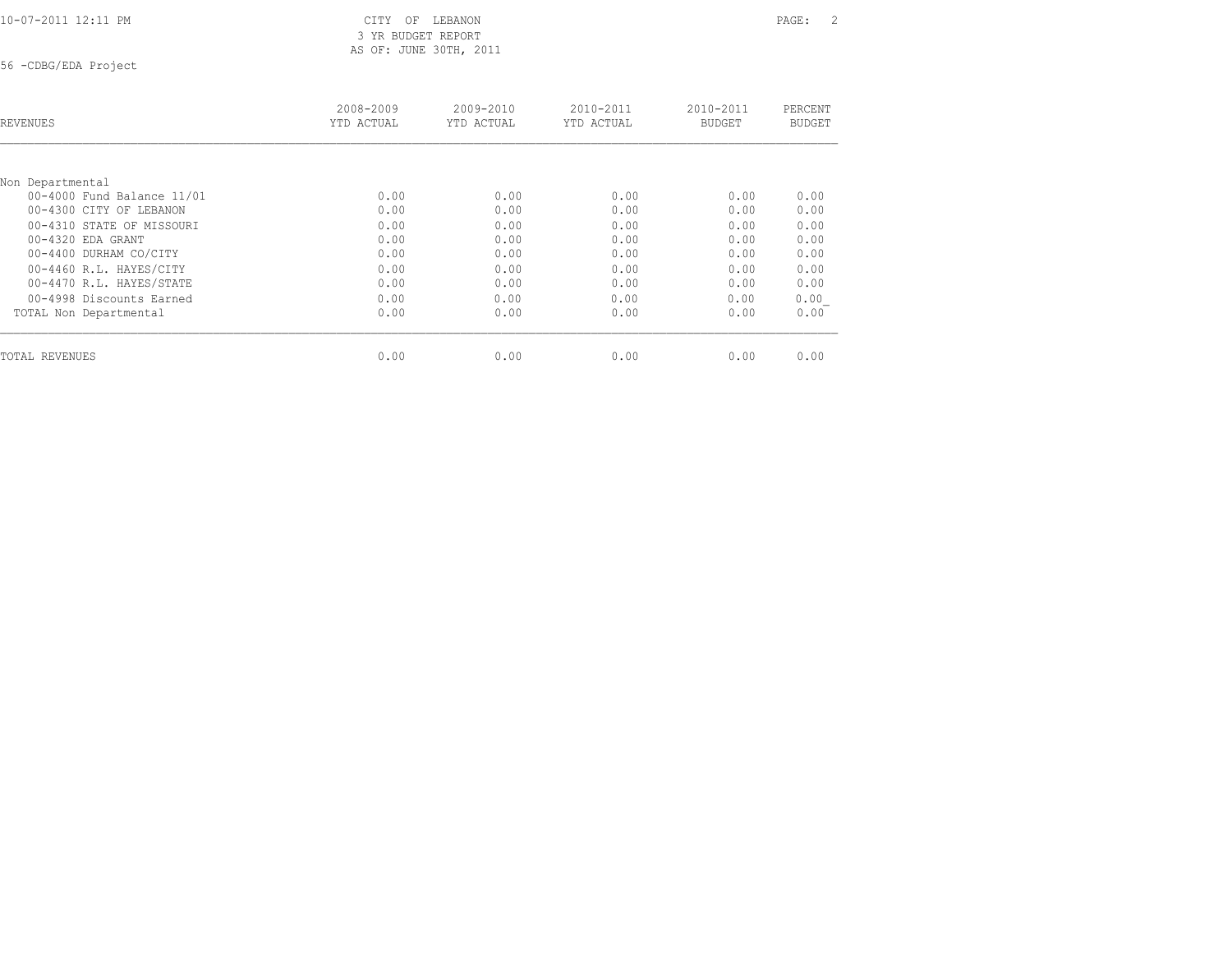3 YR BUDGET REPORT AS OF: JUNE 30TH, 2011

56 -CDBG/EDA Project

| REVENUES                   | 2008-2009<br>YTD ACTUAL | $2009 - 2010$<br>YTD ACTUAL | $2010 - 2011$<br>YTD ACTUAL | $2010 - 2011$<br><b>BUDGET</b> | PERCENT<br><b>BUDGET</b> |
|----------------------------|-------------------------|-----------------------------|-----------------------------|--------------------------------|--------------------------|
|                            |                         |                             |                             |                                |                          |
| Non Departmental           |                         |                             |                             |                                |                          |
| 00-4000 Fund Balance 11/01 | 0.00                    | 0.00                        | 0.00                        | 0.00                           | 0.00                     |
| 00-4300 CITY OF LEBANON    | 0.00                    | 0.00                        | 0.00                        | 0.00                           | 0.00                     |
| 00-4310 STATE OF MISSOURI  | 0.00                    | 0.00                        | 0.00                        | 0.00                           | 0.00                     |
| $00-4320$ EDA GRANT        | 0.00                    | 0.00                        | 0.00                        | 0.00                           | 0.00                     |
| 00-4400 DURHAM CO/CITY     | 0.00                    | 0.00                        | 0.00                        | 0.00                           | 0.00                     |
| 00-4460 R.L. HAYES/CITY    | 0.00                    | 0.00                        | 0.00                        | 0.00                           | 0.00                     |
| 00-4470 R.L. HAYES/STATE   | 0.00                    | 0.00                        | 0.00                        | 0.00                           | 0.00                     |
| 00-4998 Discounts Earned   | 0.00                    | 0.00                        | 0.00                        | 0.00                           | 0.00                     |
| TOTAL Non Departmental     | 0.00                    | 0.00                        | 0.00                        | 0.00                           | 0.00                     |
| TOTAL REVENUES             | 0.00                    | 0.00                        | 0.00                        | 0.00                           | 0.00                     |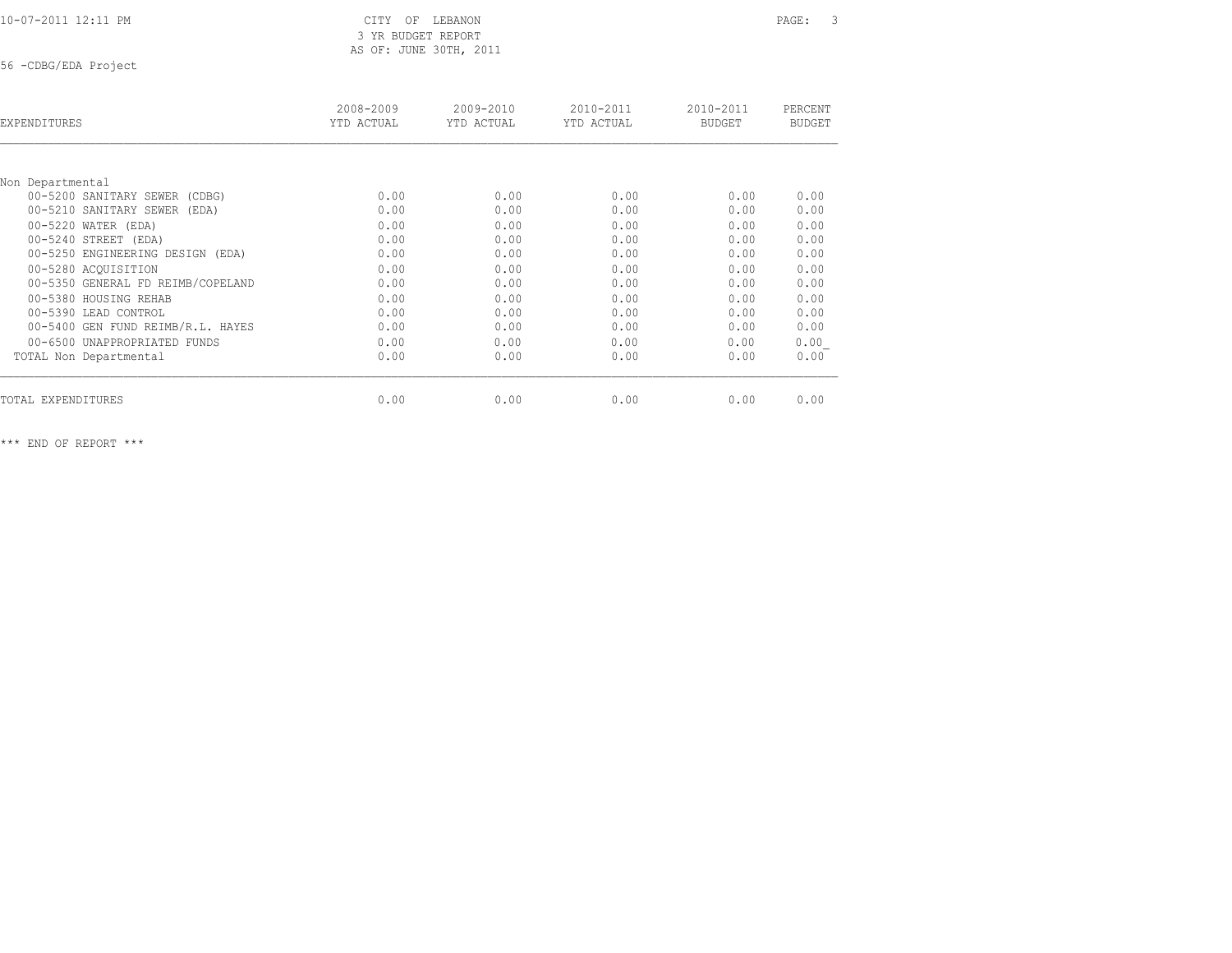# 3 YR BUDGET REPORT AS OF: JUNE 30TH, 2011

56 -CDBG/EDA Project

| EXPENDITURES                      | 2008-2009<br>YTD ACTUAL | 2009-2010<br>YTD ACTUAL | 2010-2011<br>YTD ACTUAL | 2010-2011<br><b>BUDGET</b> | PERCENT<br><b>BUDGET</b> |
|-----------------------------------|-------------------------|-------------------------|-------------------------|----------------------------|--------------------------|
|                                   |                         |                         |                         |                            |                          |
| Non Departmental                  |                         |                         |                         |                            |                          |
| 00-5200 SANITARY SEWER (CDBG)     | 0.00                    | 0.00                    | 0.00                    | 0.00                       | 0.00                     |
| 00-5210 SANITARY SEWER (EDA)      | 0.00                    | 0.00                    | 0.00                    | 0.00                       | 0.00                     |
| 00-5220 WATER (EDA)               | 0.00                    | 0.00                    | 0.00                    | 0.00                       | 0.00                     |
| 00-5240 STREET (EDA)              | 0.00                    | 0.00                    | 0.00                    | 0.00                       | 0.00                     |
| 00-5250 ENGINEERING DESIGN (EDA)  | 0.00                    | 0.00                    | 0.00                    | 0.00                       | 0.00                     |
| 00-5280 ACOUISITION               | 0.00                    | 0.00                    | 0.00                    | 0.00                       | 0.00                     |
| 00-5350 GENERAL FD REIMB/COPELAND | 0.00                    | 0.00                    | 0.00                    | 0.00                       | 0.00                     |
| 00-5380 HOUSING REHAB             | 0.00                    | 0.00                    | 0.00                    | 0.00                       | 0.00                     |
| 00-5390 LEAD CONTROL              | 0.00                    | 0.00                    | 0.00                    | 0.00                       | 0.00                     |
| 00-5400 GEN FUND REIMB/R.L. HAYES | 0.00                    | 0.00                    | 0.00                    | 0.00                       | 0.00                     |
| 00-6500 UNAPPROPRIATED FUNDS      | 0.00                    | 0.00                    | 0.00                    | 0.00                       | 0.00                     |
| TOTAL Non Departmental            | 0.00                    | 0.00                    | 0.00                    | 0.00                       | 0.00                     |
| TOTAL EXPENDITURES                | 0.00                    | 0.00                    | 0.00                    | 0.00                       | 0.00                     |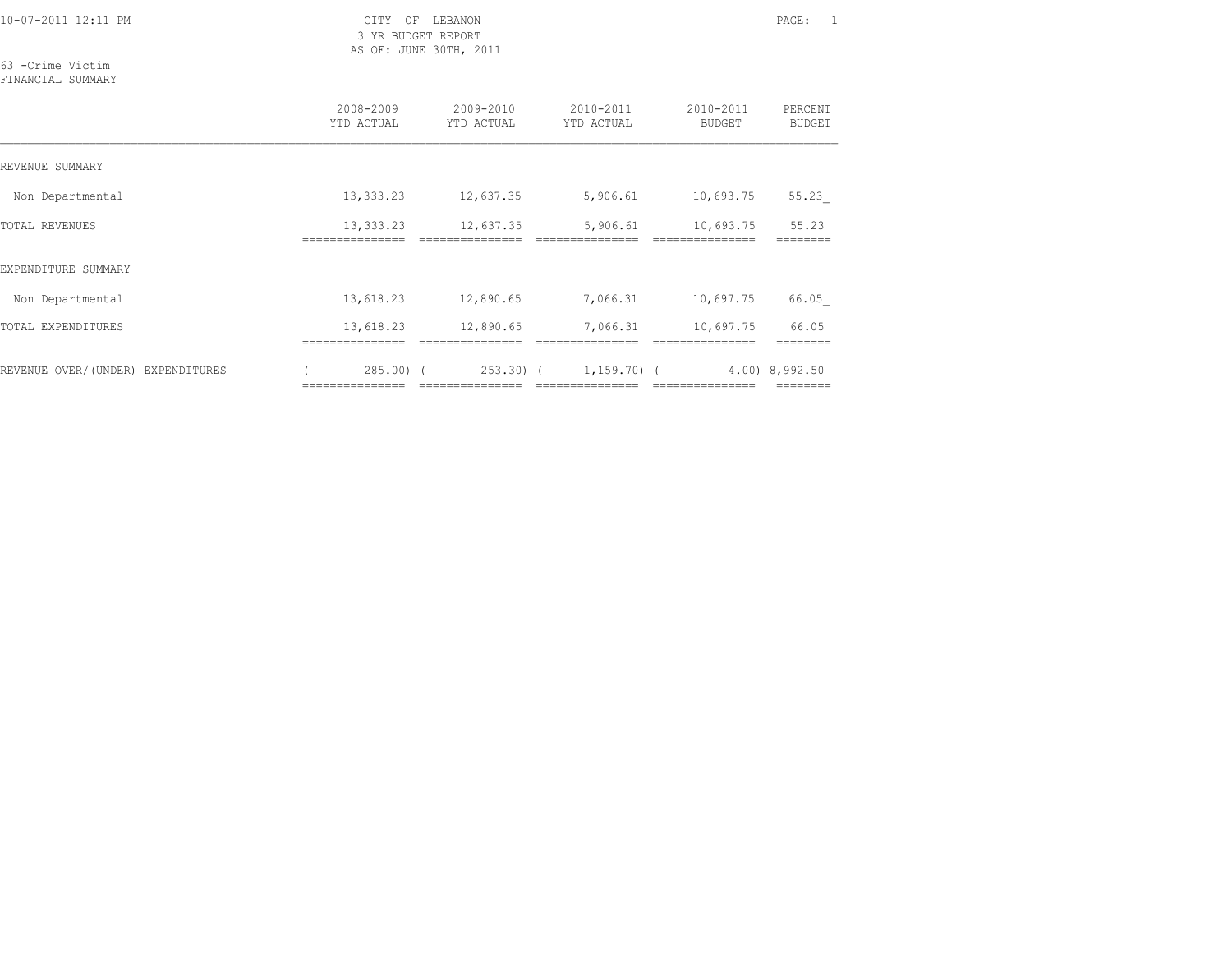3 YR BUDGET REPORT AS OF: JUNE 30TH, 2011

63 -Crime Victim FINANCIAL SUMMARY

|                                   | 2008-2009<br>YTD ACTUAL          | 2009-2010<br>YTD ACTUAL       | 2010-2011<br>YTD ACTUAL          | 2010-2011<br>BUDGET | PERCENT<br>BUDGET   |
|-----------------------------------|----------------------------------|-------------------------------|----------------------------------|---------------------|---------------------|
| REVENUE SUMMARY                   |                                  |                               |                                  |                     |                     |
| Non Departmental                  | 13,333.23                        | 12,637.35                     | 5,906.61                         | 10,693.75           | 55.23               |
| TOTAL REVENUES                    | 13,333.23<br>.============       | 12,637.35                     | 5,906.61                         | 10,693.75           | 55.23               |
| EXPENDITURE SUMMARY               |                                  |                               |                                  |                     |                     |
| Non Departmental                  | 13,618.23                        | 12,890.65                     | 7,066.31                         | 10,697.75           | 66.05               |
| TOTAL EXPENDITURES                | 13,618.23                        | 12,890.65                     | 7,066.31                         | 10,697.75           | 66.05               |
| REVENUE OVER/(UNDER) EXPENDITURES | $285.00$ ) (<br>================ | 253.30) (<br>---------------- | $1,159.70$ (<br>---------------- | ---------------     | $4.00$ ) $8,992.50$ |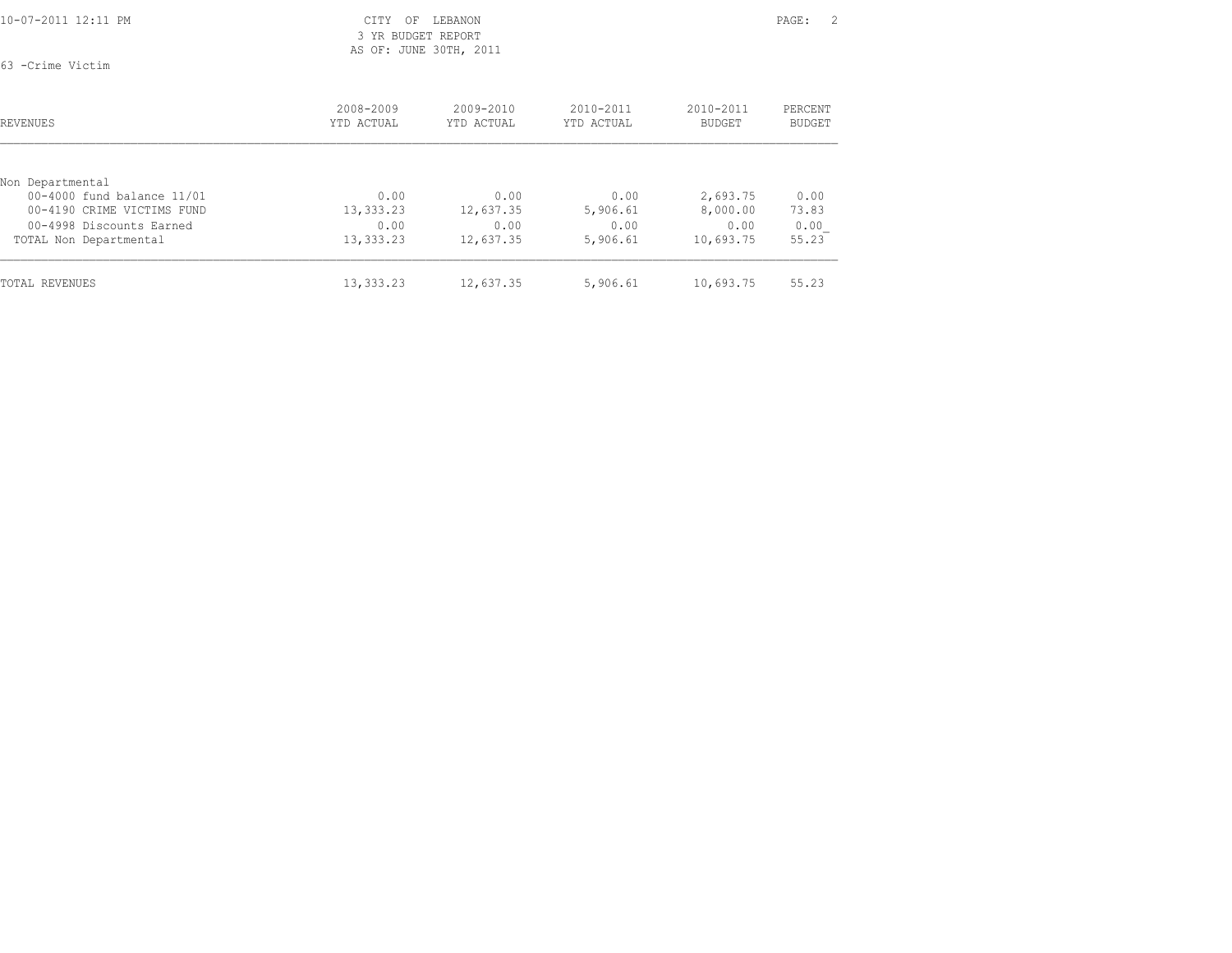### 3 YR BUDGET REPORT AS OF: JUNE 30TH, 2011

63 -Crime Victim

| REVENUES                                       | 2008-2009<br>YTD ACTUAL | $2009 - 2010$<br>YTD ACTUAL | $2010 - 2011$<br>YTD ACTUAL | 2010-2011<br><b>BUDGET</b> | PERCENT<br>BUDGET |
|------------------------------------------------|-------------------------|-----------------------------|-----------------------------|----------------------------|-------------------|
|                                                |                         |                             |                             |                            |                   |
| Non Departmental<br>00-4000 fund balance 11/01 | 0.00                    | 0.00                        | 0.00                        |                            |                   |
| 00-4190 CRIME VICTIMS FUND                     | 13,333.23               | 12,637.35                   | 5,906.61                    | 2,693.75<br>8,000.00       | 0.00<br>73.83     |
| 00-4998 Discounts Earned                       | 0.00                    | 0.00                        | 0.00                        | 0.00                       | 0.00              |
| TOTAL Non Departmental                         | 13,333.23               | 12,637.35                   | 5,906.61                    | 10,693.75                  | 55.23             |
| <b>TOTAL REVENUES</b>                          | 13,333.23               | 12,637.35                   | 5,906.61                    | 10,693.75                  | 55.23             |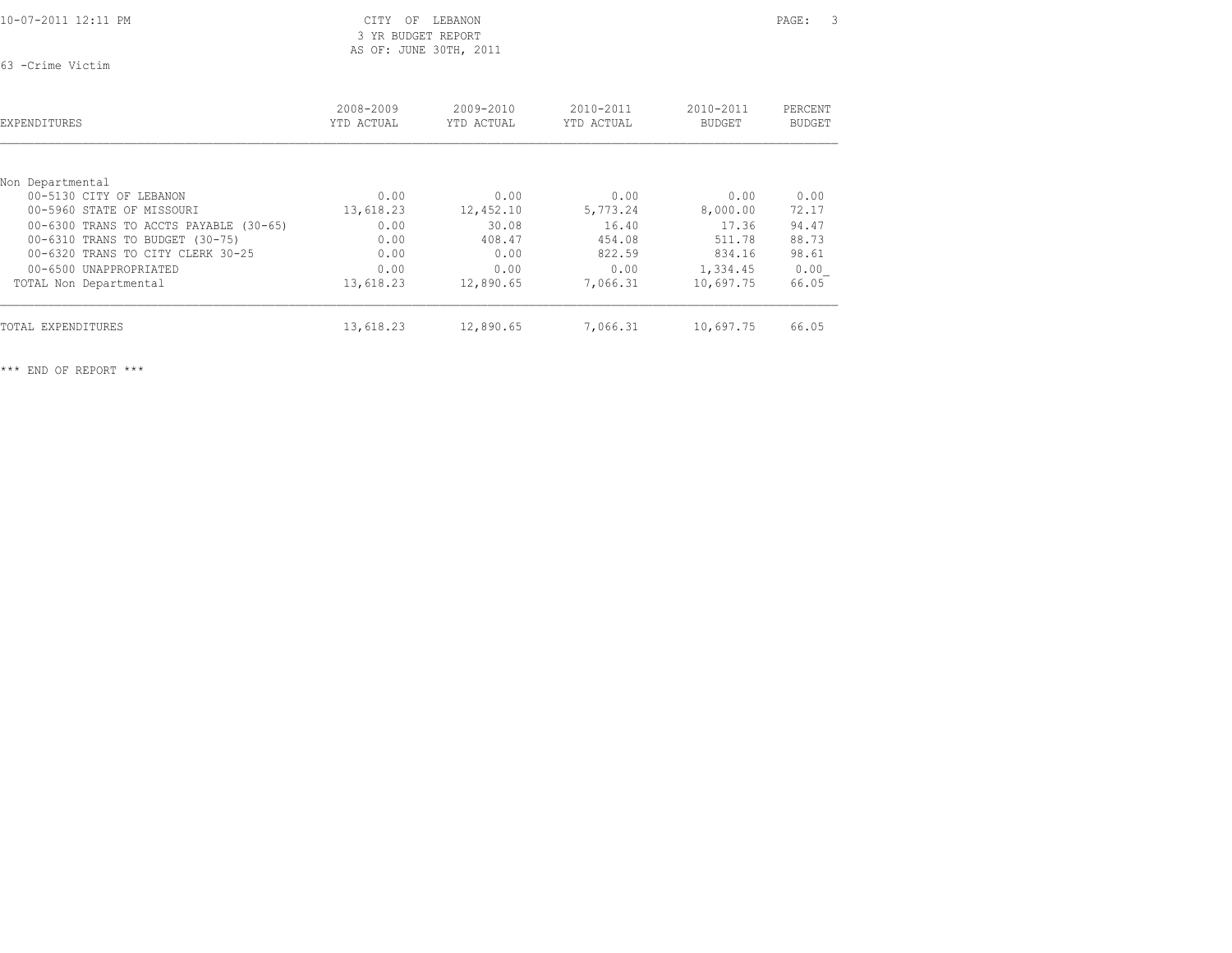63 -Crime Victim

| EXPENDITURES                           | 2008-2009<br>YTD ACTUAL | 2009-2010<br>YTD ACTUAL | 2010-2011<br>YTD ACTUAL | 2010-2011<br><b>BUDGET</b> | PERCENT<br>BUDGET |
|----------------------------------------|-------------------------|-------------------------|-------------------------|----------------------------|-------------------|
| Non Departmental                       |                         |                         |                         |                            |                   |
| 00-5130 CITY OF LEBANON                | 0.00                    | 0.00                    | 0.00                    | 0.00                       | 0.00              |
| 00-5960 STATE OF MISSOURI              | 13,618.23               | 12,452.10               | 5,773.24                | 8,000.00                   | 72.17             |
| 00-6300 TRANS TO ACCTS PAYABLE (30-65) | 0.00                    | 30.08                   | 16.40                   | 17.36                      | 94.47             |
| 00-6310 TRANS TO BUDGET (30-75)        | 0.00                    | 408.47                  | 454.08                  | 511.78                     | 88.73             |
| 00-6320 TRANS TO CITY CLERK 30-25      | 0.00                    | 0.00                    | 822.59                  | 834.16                     | 98.61             |
| 00-6500 UNAPPROPRIATED                 | 0.00                    | 0.00                    | 0.00                    | 1,334.45                   | 0.00              |
| TOTAL Non Departmental                 | 13,618.23               | 12,890.65               | 7,066.31                | 10,697.75                  | 66.05             |
| <b>TOTAL EXPENDITURES</b>              | 13,618.23               | 12,890.65               | 7,066.31                | 10,697.75                  | 66.05             |

 3 YR BUDGET REPORT AS OF: JUNE 30TH, 2011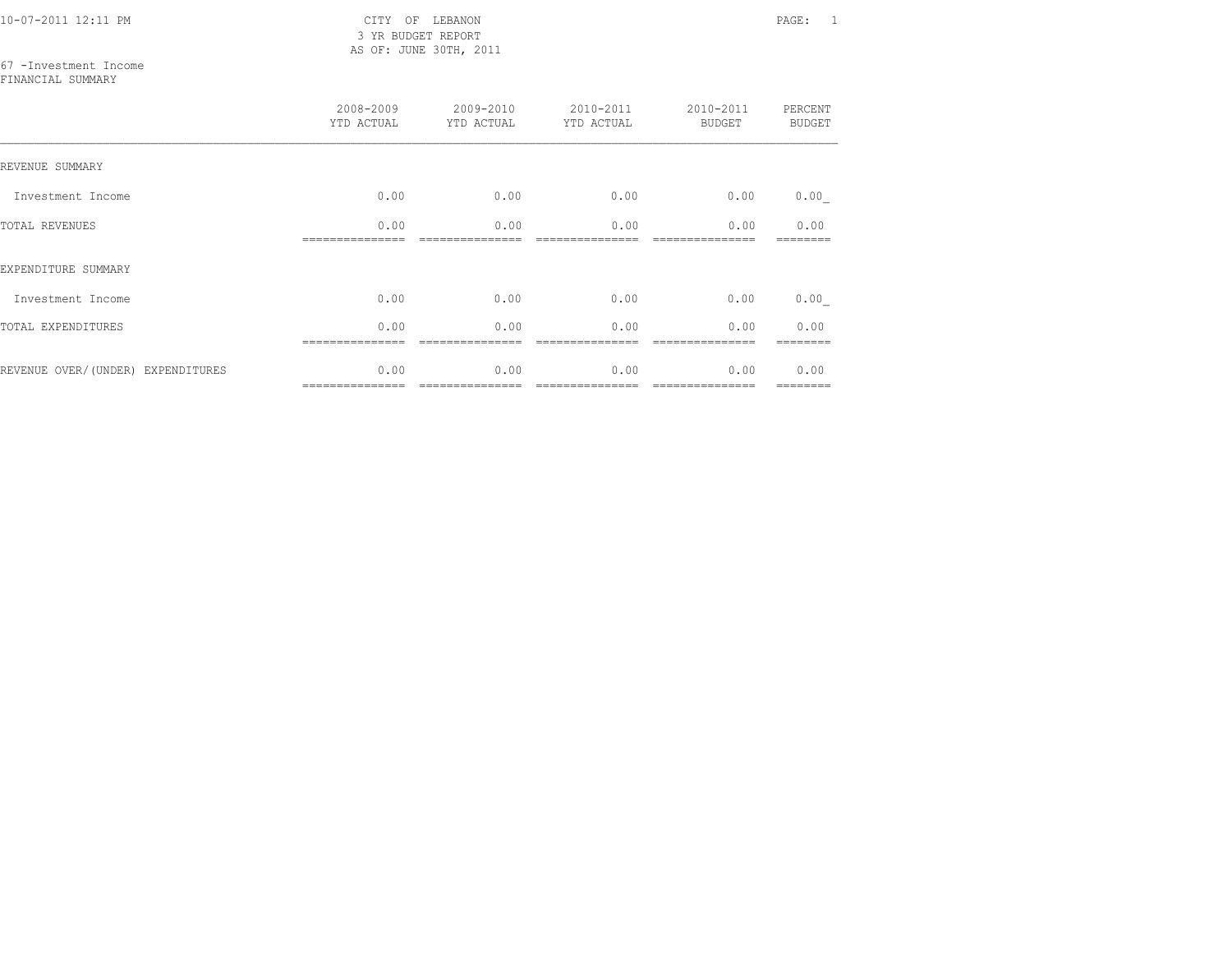10-07-2011 12:11 PM CITY OF LEBANON PAGE: 1 3 YR BUDGET REPORT AS OF: JUNE 30TH, 2011

67 -Investment Income

FINANCIAL SUMMARY

|                                   | 2008-2009<br>YTD ACTUAL | 2009-2010<br>YTD ACTUAL | 2010-2011<br>YTD ACTUAL | 2010-2011<br><b>BUDGET</b> | PERCENT<br><b>BUDGET</b> |
|-----------------------------------|-------------------------|-------------------------|-------------------------|----------------------------|--------------------------|
| REVENUE SUMMARY                   |                         |                         |                         |                            |                          |
| Investment Income                 | 0.00                    | 0.00                    | 0.00                    | 0.00                       | 0.00                     |
| TOTAL REVENUES                    | 0.00                    | 0.00                    | 0.00                    | 0.00                       | 0.00                     |
| EXPENDITURE SUMMARY               |                         |                         |                         |                            |                          |
| Investment Income                 | 0.00                    | 0.00                    | 0.00                    | 0.00                       | 0.00                     |
| TOTAL EXPENDITURES                | 0.00                    | 0.00                    | 0.00                    | 0.00                       | 0.00                     |
| REVENUE OVER/(UNDER) EXPENDITURES | 0.00                    | 0.00                    | 0.00                    | 0.00                       | 0.00<br>========         |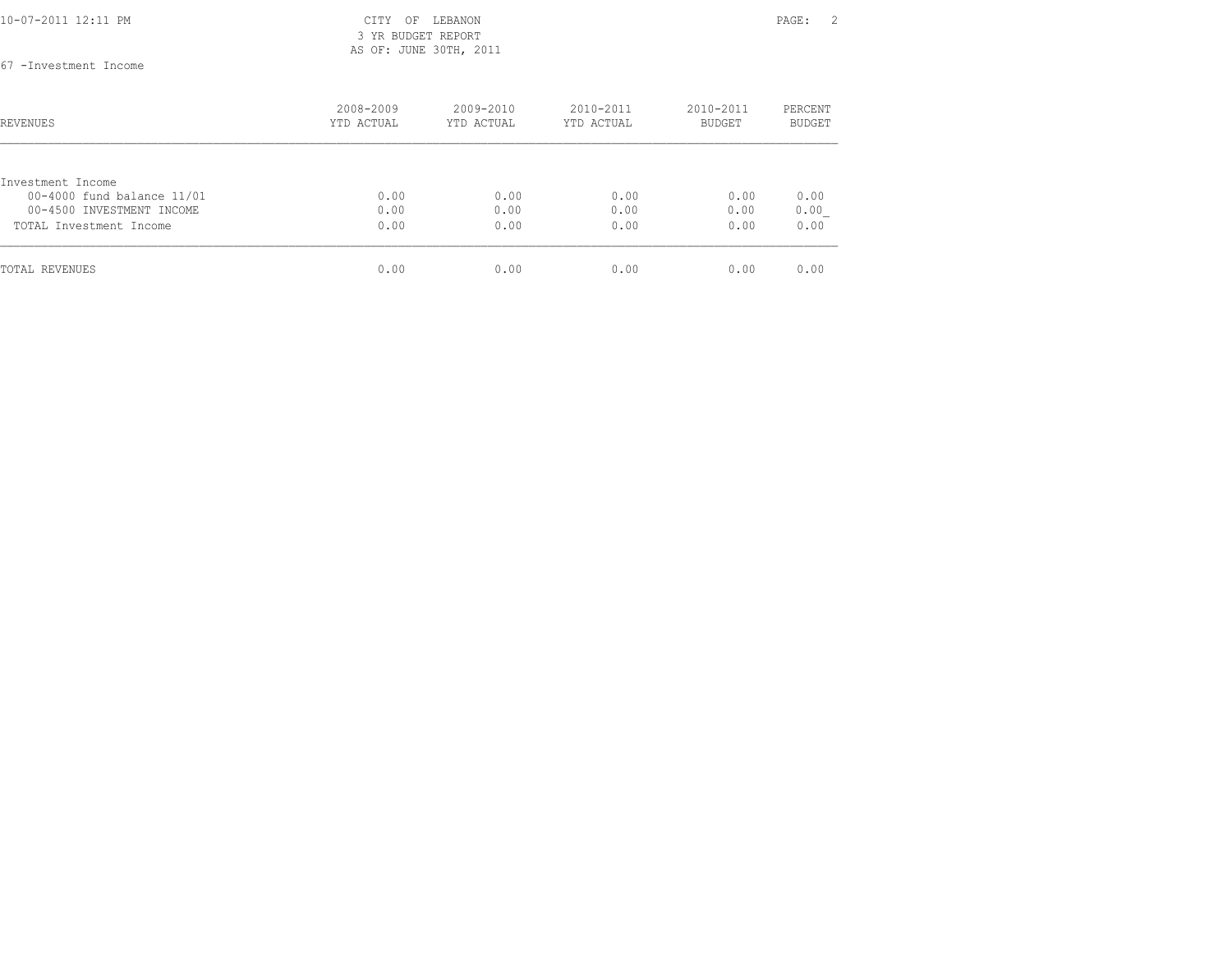|--|

### CITY OF LEBANON PAGE: 2 3 YR BUDGET REPORT AS OF: JUNE 30TH, 2011

67 -Investment Income

| REVENUES                                        | 2008-2009<br>YTD ACTUAL | $2009 - 2010$<br>YTD ACTUAL | $2010 - 2011$<br>YTD ACTUAL | $2010 - 2011$<br><b>BUDGET</b> | PERCENT<br><b>BUDGET</b> |
|-------------------------------------------------|-------------------------|-----------------------------|-----------------------------|--------------------------------|--------------------------|
|                                                 |                         |                             |                             |                                |                          |
| Investment Income<br>00-4000 fund balance 11/01 | 0.00                    | 0.00                        | 0.00                        | 0.00                           | 0.00                     |
| 00-4500 INVESTMENT INCOME                       | 0.00                    | 0.00                        | 0.00                        | 0.00                           | 0.00                     |
| TOTAL Investment Income                         | 0.00                    | 0.00                        | 0.00                        | 0.00                           | 0.00                     |
| TOTAL REVENUES                                  | 0.00                    | 0.00                        | 0.00                        | 0.00                           | 0.00                     |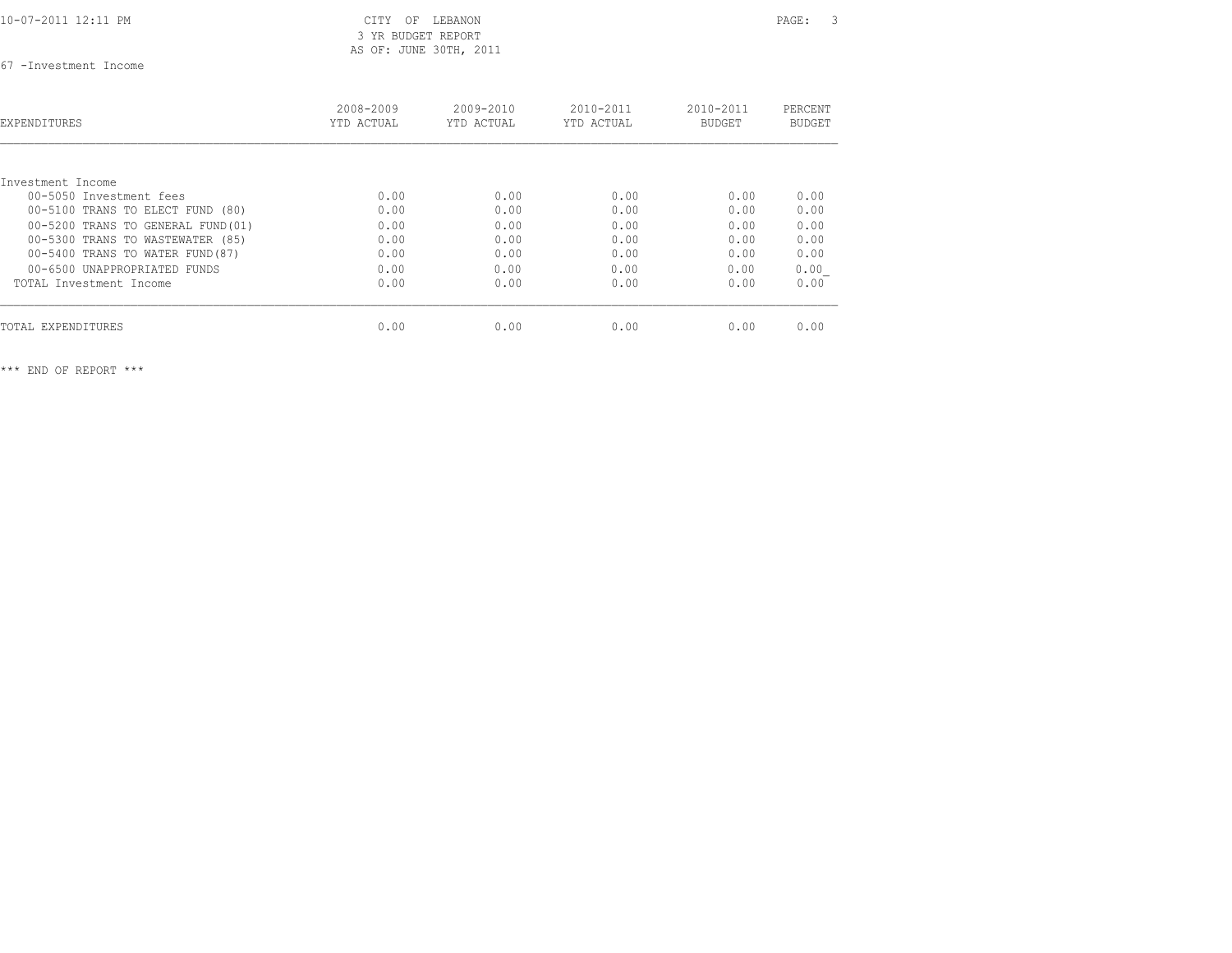### 3 YR BUDGET REPORT AS OF: JUNE 30TH, 2011

67 -Investment Income

| EXPENDITURES                       | 2008-2009<br>YTD ACTUAL | $2009 - 2010$<br>YTD ACTUAL | $2010 - 2011$<br>YTD ACTUAL | $2010 - 2011$<br><b>BUDGET</b> | PERCENT<br><b>BUDGET</b> |
|------------------------------------|-------------------------|-----------------------------|-----------------------------|--------------------------------|--------------------------|
| Investment Income                  |                         |                             |                             |                                |                          |
| 00-5050 Investment fees            | 0.00                    | 0.00                        | 0.00                        | 0.00                           | 0.00                     |
| 00-5100 TRANS TO ELECT FUND (80)   | 0.00                    | 0.00                        | 0.00                        | 0.00                           | 0.00                     |
| 00-5200 TRANS TO GENERAL FUND (01) | 0.00                    | 0.00                        | 0.00                        | 0.00                           | 0.00                     |
| 00-5300 TRANS TO WASTEWATER (85)   | 0.00                    | 0.00                        | 0.00                        | 0.00                           | 0.00                     |
| 00-5400 TRANS TO WATER FUND (87)   | 0.00                    | 0.00                        | 0.00                        | 0.00                           | 0.00                     |
| 00-6500 UNAPPROPRIATED FUNDS       | 0.00                    | 0.00                        | 0.00                        | 0.00                           | 0.00                     |
| TOTAL Investment Income            | 0.00                    | 0.00                        | 0.00                        | 0.00                           | 0.00                     |
| TOTAL EXPENDITURES                 | 0.00                    | 0.00                        | 0.00                        | 0.00                           | 0.00                     |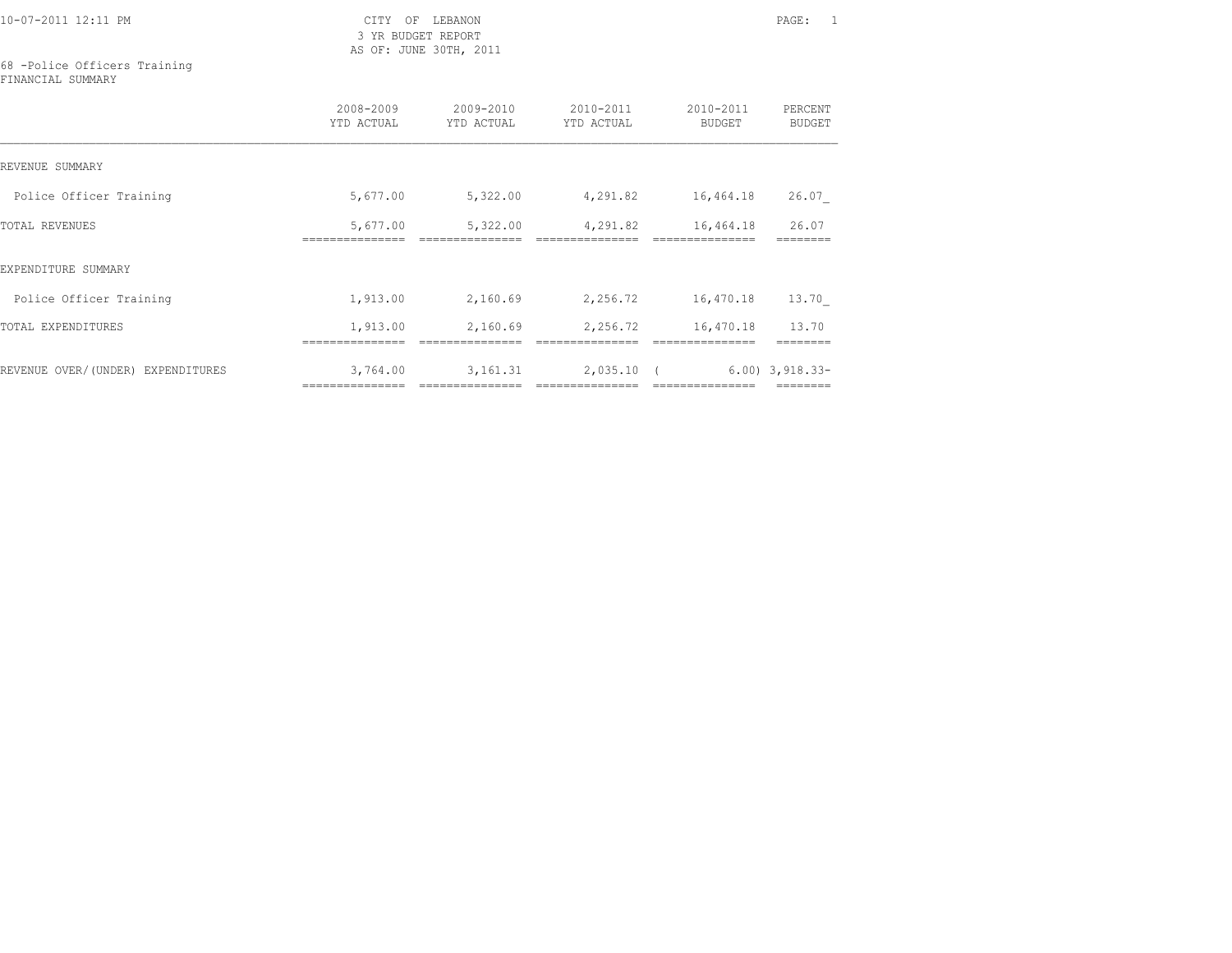3 YR BUDGET REPORT AS OF: JUNE 30TH, 2011

### 68 -Police Officers Training FINANCIAL SUMMARY

|                                   | 2008-2009<br>YTD ACTUAL     | 2009-2010<br>YTD ACTUAL      | 2010-2011<br>YTD ACTUAL     | 2010-2011<br><b>BUDGET</b>    | PERCENT<br><b>BUDGET</b> |
|-----------------------------------|-----------------------------|------------------------------|-----------------------------|-------------------------------|--------------------------|
| REVENUE SUMMARY                   |                             |                              |                             |                               |                          |
| Police Officer Training           | 5,677.00                    | 5,322.00                     | 4,291.82                    | 16,464.18                     | 26.07                    |
| <b>TOTAL REVENUES</b>             | 5,677.00                    | 5,322.00                     | 4,291.82                    | 16,464.18                     | 26.07                    |
| EXPENDITURE SUMMARY               |                             |                              |                             |                               |                          |
| Police Officer Training           | 1,913.00                    | 2,160.69                     | 2,256.72                    | 16,470.18                     | 13.70                    |
| TOTAL EXPENDITURES                | 1,913.00                    | 2,160.69                     | 2,256.72                    | 16,470.18                     | 13.70                    |
| REVENUE OVER/(UNDER) EXPENDITURES | 3,764.00<br>=============== | 3, 161.31<br>=============== | 2,035.10<br>=============== | $\sqrt{2}$<br>--------------- | $6.00$ ) $3,918.33-$     |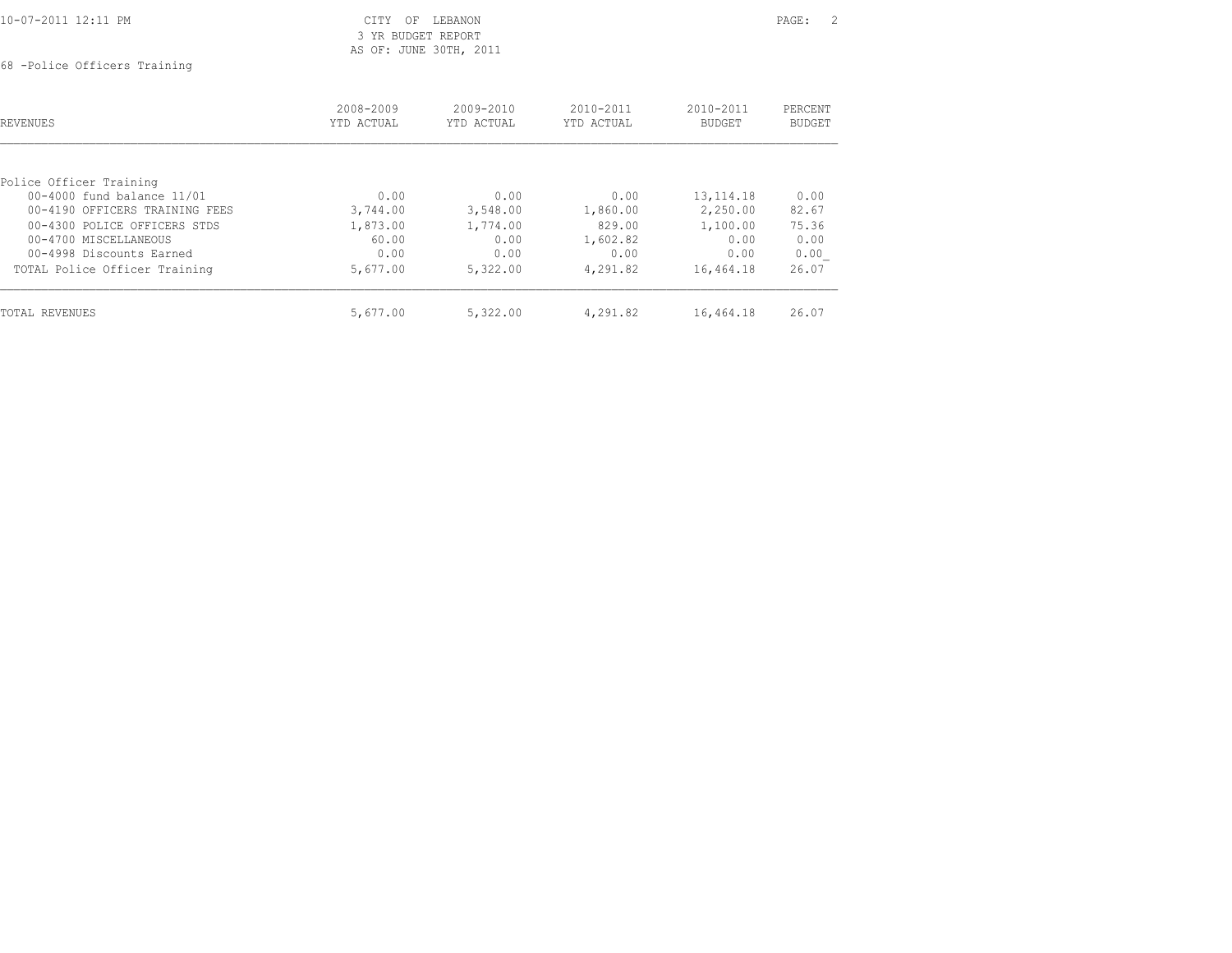| 10-07-2011 12:11 PM<br>the contract of the contract of the contract of the contract of the contract of the contract of the contract of | ヘエロい<br>∩F<br>LEBANON<br>◡⊥⊥⊥ | PAGE. |  |
|----------------------------------------------------------------------------------------------------------------------------------------|-------------------------------|-------|--|
|                                                                                                                                        | BUDGET REPORT<br>VR           |       |  |

## 3 YR BUDGET REPORT AS OF: JUNE 30TH, 2011

68 -Police Officers Training

| <b>REVENUES</b>                | 2008-2009<br>YTD ACTUAL | $2009 - 2010$<br>YTD ACTUAL | $2010 - 2011$<br>YTD ACTUAL | $2010 - 2011$<br><b>BUDGET</b> | PERCENT<br>BUDGET |
|--------------------------------|-------------------------|-----------------------------|-----------------------------|--------------------------------|-------------------|
| Police Officer Training        |                         |                             |                             |                                |                   |
| 00-4000 fund balance 11/01     | 0.00                    | 0.00                        | 0.00                        | 13, 114. 18                    | 0.00              |
| 00-4190 OFFICERS TRAINING FEES | 3,744.00                | 3,548.00                    | 1,860.00                    | 2,250.00                       | 82.67             |
| 00-4300 POLICE OFFICERS STDS   | 1,873.00                | 1,774.00                    | 829.00                      | 1,100.00                       | 75.36             |
| 00-4700 MISCELLANEOUS          | 60.00                   | 0.00                        | 1,602.82                    | 0.00                           | 0.00              |
| 00-4998 Discounts Earned       | 0.00                    | 0.00                        | 0.00                        | 0.00                           | 0.00              |
| TOTAL Police Officer Training  | 5,677.00                | 5,322.00                    | 4,291.82                    | 16,464.18                      | 26.07             |
| TOTAL REVENUES                 | 5,677.00                | 5,322.00                    | 4,291.82                    | 16,464.18                      | 26.07             |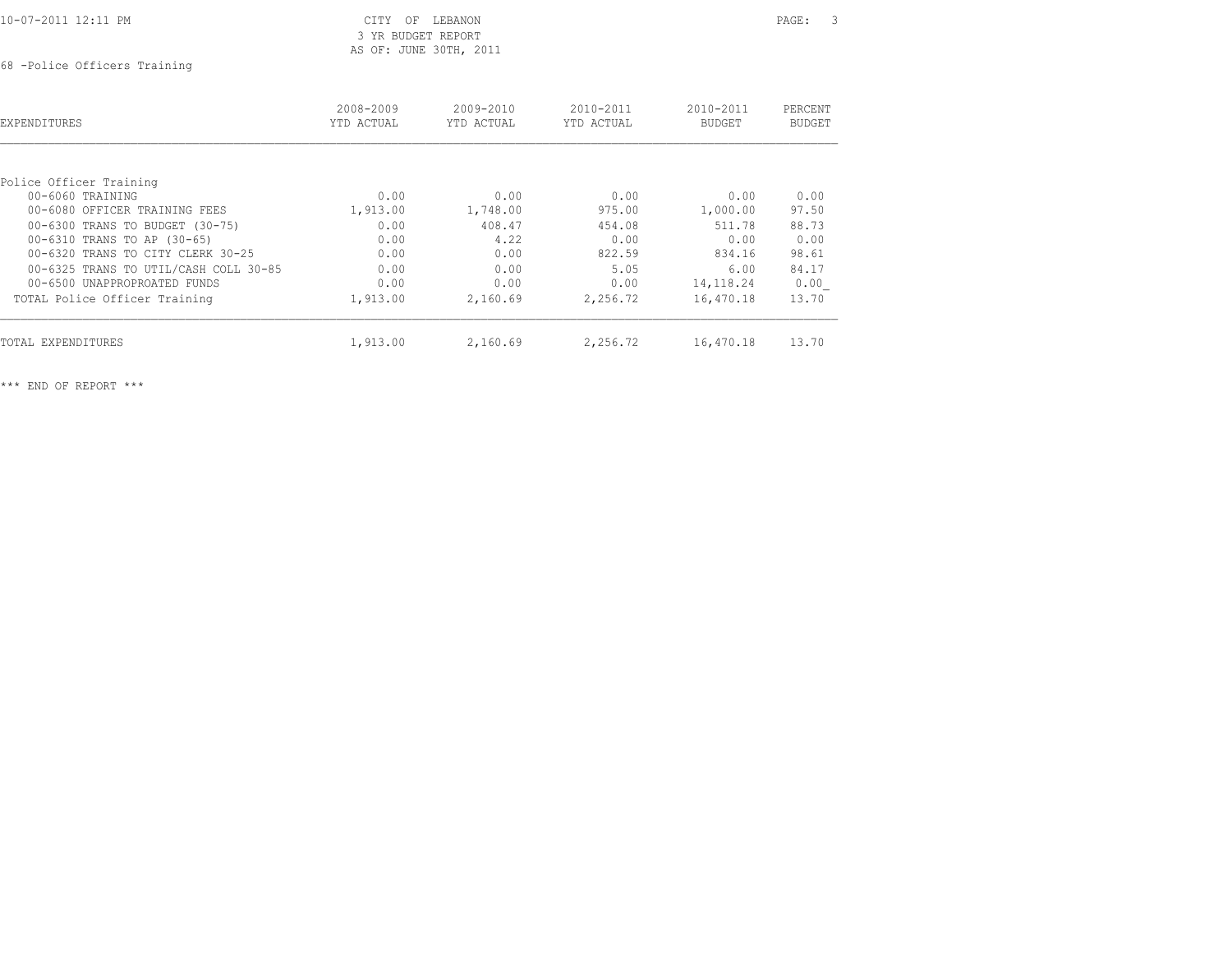| 10-07-2011 12:11 PM |  |
|---------------------|--|
|                     |  |

### CITY OF LEBANON PAGE: 3 3 YR BUDGET REPORT AS OF: JUNE 30TH, 2011

68 -Police Officers Training

| EXPENDITURES                          | 2008-2009<br>YTD ACTUAL | 2009-2010<br>YTD ACTUAL | 2010-2011<br>YTD ACTUAL | 2010-2011<br><b>BUDGET</b> | PERCENT<br><b>BUDGET</b> |
|---------------------------------------|-------------------------|-------------------------|-------------------------|----------------------------|--------------------------|
|                                       |                         |                         |                         |                            |                          |
| Police Officer Training               |                         |                         |                         |                            |                          |
| $00 - 6060$ TRAINING                  | 0.00                    | 0.00                    | 0.00                    | 0.00                       | 0.00                     |
| 00-6080 OFFICER TRAINING FEES         | 1,913.00                | 1,748.00                | 975.00                  | 1,000.00                   | 97.50                    |
| 00-6300 TRANS TO BUDGET (30-75)       | 0.00                    | 408.47                  | 454.08                  | 511.78                     | 88.73                    |
| 00-6310 TRANS TO AP (30-65)           | 0.00                    | 4.22                    | 0.00                    | 0.00                       | 0.00                     |
| 00-6320 TRANS TO CITY CLERK 30-25     | 0.00                    | 0.00                    | 822.59                  | 834.16                     | 98.61                    |
| 00-6325 TRANS TO UTIL/CASH COLL 30-85 | 0.00                    | 0.00                    | 5.05                    | 6.00                       | 84.17                    |
| 00-6500 UNAPPROPROATED FUNDS          | 0.00                    | 0.00                    | 0.00                    | 14, 118. 24                | 0.00                     |
| TOTAL Police Officer Training         | 1,913.00                | 2,160.69                | 2,256.72                | 16,470.18                  | 13.70                    |
| TOTAL EXPENDITURES                    | 1,913.00                | 2,160.69                | 2,256.72                | 16,470.18                  | 13.70                    |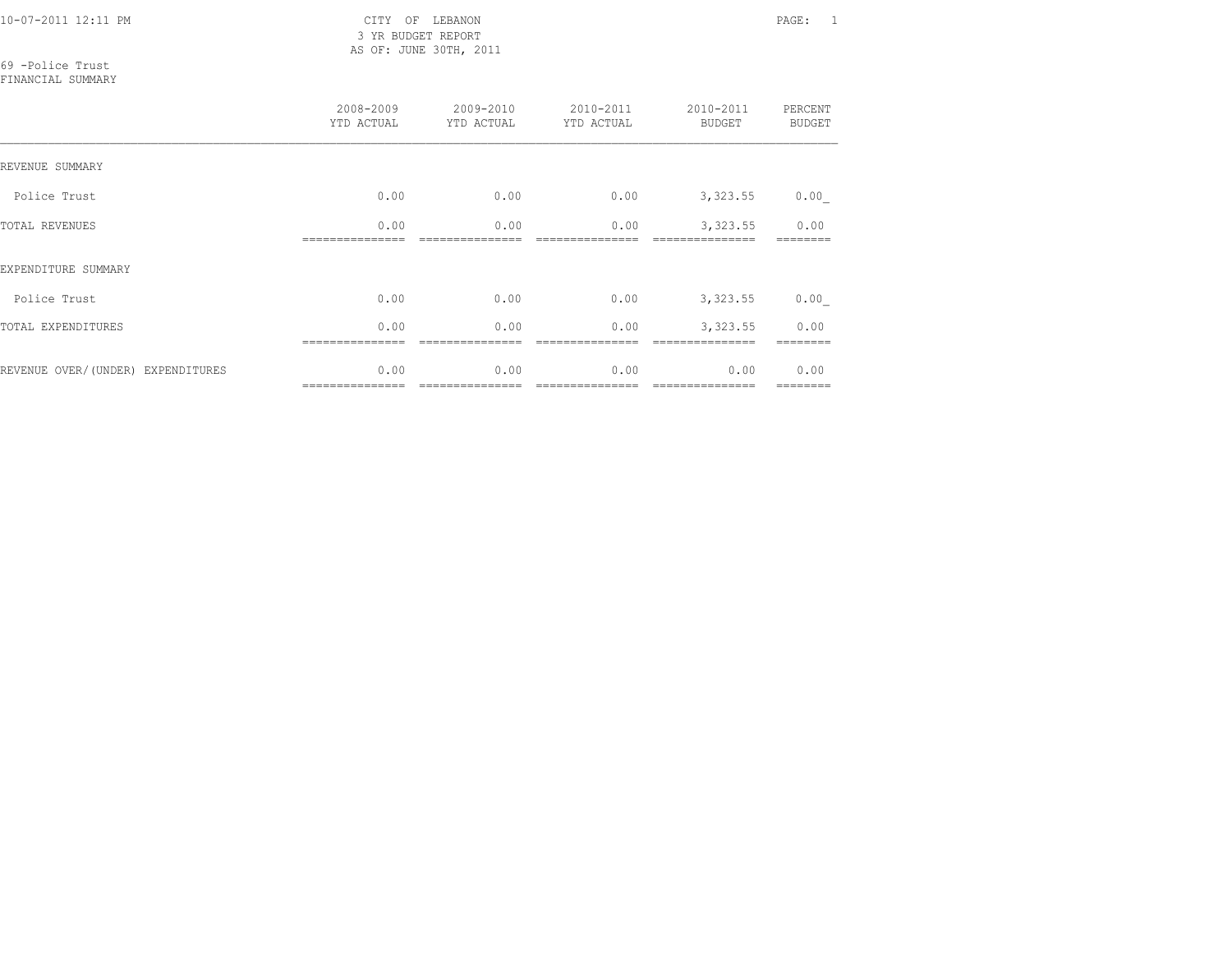3 YR BUDGET REPORT AS OF: JUNE 30TH, 2011

69 -Police Trust

FINANCIAL SUMMARY

|                                   | 2008-2009<br>YTD ACTUAL | 2009-2010<br>YTD ACTUAL | 2010-2011<br>YTD ACTUAL | 2010-2011<br><b>BUDGET</b> | PERCENT<br><b>BUDGET</b> |
|-----------------------------------|-------------------------|-------------------------|-------------------------|----------------------------|--------------------------|
| REVENUE SUMMARY                   |                         |                         |                         |                            |                          |
| Police Trust                      | 0.00                    | 0.00                    | 0.00                    | 3,323.55                   | 0.00                     |
| <b>TOTAL REVENUES</b>             | 0.00                    | 0.00                    | 0.00                    | 3,323.55                   | 0.00                     |
| EXPENDITURE SUMMARY               |                         |                         |                         |                            |                          |
| Police Trust                      | 0.00                    | 0.00                    | 0.00                    | 3,323.55                   | 0.00                     |
| TOTAL EXPENDITURES                | 0.00                    | 0.00                    | 0.00                    | 3,323.55                   | 0.00                     |
| REVENUE OVER/(UNDER) EXPENDITURES | 0.00<br>--------------- | 0.00                    | 0.00                    | 0.00<br>---------------    | 0.00<br>========         |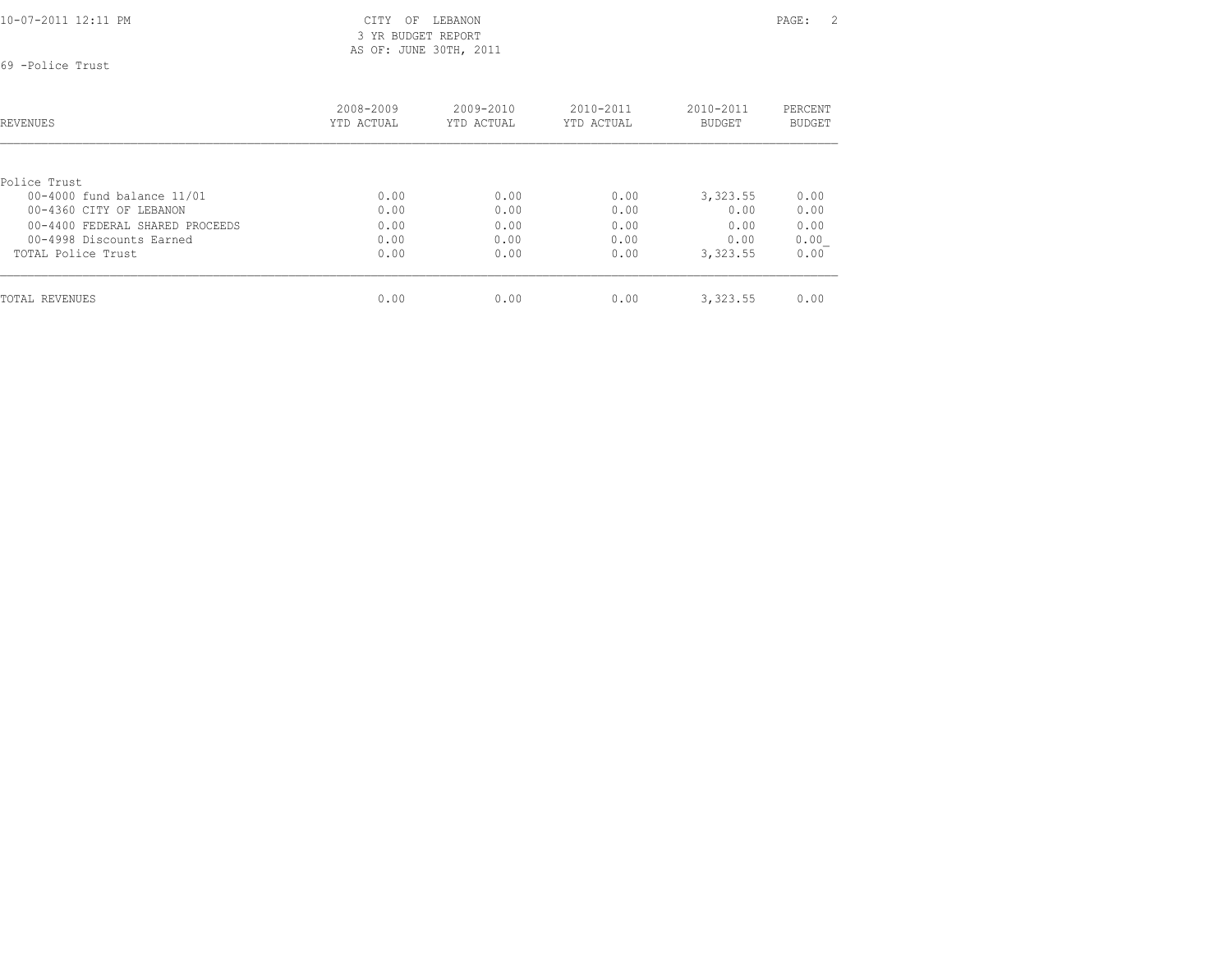3 YR BUDGET REPORT AS OF: JUNE 30TH, 2011

69 -Police Trust

| REVENUES                        | 2008-2009<br>YTD ACTUAL | $2009 - 2010$<br>YTD ACTUAL | $2010 - 2011$<br>YTD ACTUAL | $2010 - 2011$<br><b>BUDGET</b> | PERCENT<br>BUDGET |
|---------------------------------|-------------------------|-----------------------------|-----------------------------|--------------------------------|-------------------|
|                                 |                         |                             |                             |                                |                   |
| Police Trust                    |                         |                             |                             |                                |                   |
| 00-4000 fund balance 11/01      | 0.00                    | 0.00                        | 0.00                        | 3,323.55                       | 0.00              |
| 00-4360 CITY OF LEBANON         | 0.00                    | 0.00                        | 0.00                        | 0.00                           | 0.00              |
| 00-4400 FEDERAL SHARED PROCEEDS | 0.00                    | 0.00                        | 0.00                        | 0.00                           | 0.00              |
| 00-4998 Discounts Earned        | 0.00                    | 0.00                        | 0.00                        | 0.00                           | 0.00              |
| TOTAL Police Trust              | 0.00                    | 0.00                        | 0.00                        | 3,323.55                       | 0.00              |
| TOTAL REVENUES                  | 0.00                    | 0.00                        | 0.00                        | 3,323.55                       | 0.00              |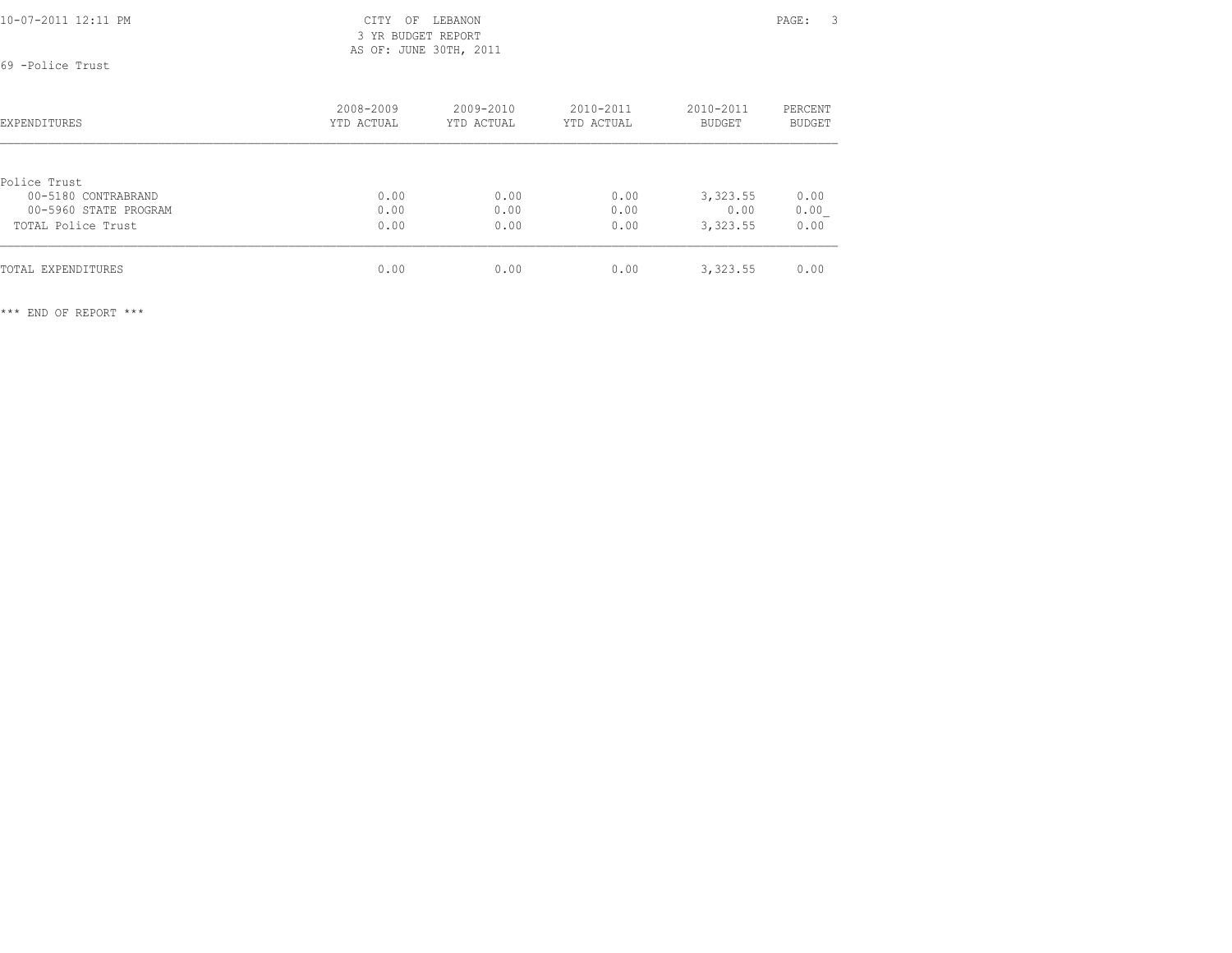3 YR BUDGET REPORT AS OF: JUNE 30TH, 2011

69 -Police Trust

| <b>EXPENDITURES</b>   | 2008-2009<br>YTD ACTUAL | $2009 - 2010$<br>YTD ACTUAL | $2010 - 2011$<br>YTD ACTUAL | $2010 - 2011$<br><b>BUDGET</b> | PERCENT<br><b>BUDGET</b> |
|-----------------------|-------------------------|-----------------------------|-----------------------------|--------------------------------|--------------------------|
|                       |                         |                             |                             |                                |                          |
| Police Trust          |                         |                             |                             |                                |                          |
| 00-5180 CONTRABRAND   | 0.00                    | 0.00                        | 0.00                        | 3,323.55                       | 0.00                     |
| 00-5960 STATE PROGRAM | 0.00                    | 0.00                        | 0.00                        | 0.00                           | 0.00                     |
| TOTAL Police Trust    | 0.00                    | 0.00                        | 0.00                        | 3,323.55                       | 0.00                     |
| TOTAL EXPENDITURES    | 0.00                    | 0.00                        | 0.00                        | 3,323.55                       | 0.00                     |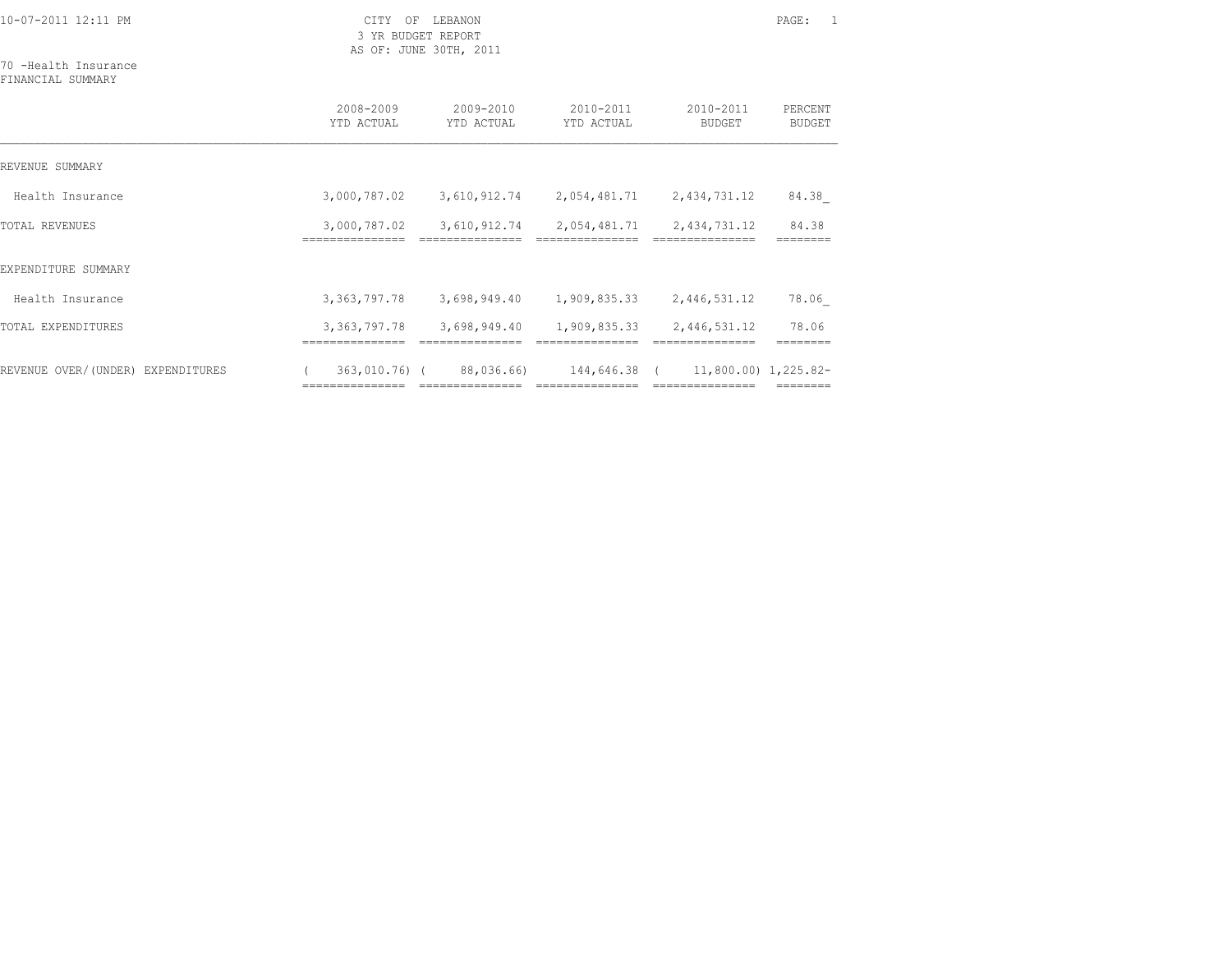3 YR BUDGET REPORT AS OF: JUNE 30TH, 2011

70 -Health Insurance FINANCIAL SUMMARY

|                                   | 2008-2009<br>YTD ACTUAL         | $2009 - 2010$<br>YTD ACTUAL     | 2010-2011<br>YTD ACTUAL         | 2010-2011<br><b>BUDGET</b>                 | PERCENT<br><b>BUDGET</b> |
|-----------------------------------|---------------------------------|---------------------------------|---------------------------------|--------------------------------------------|--------------------------|
| REVENUE SUMMARY                   |                                 |                                 |                                 |                                            |                          |
| Health Insurance                  | 3,000,787.02                    | 3,610,912.74                    | 2,054,481.71                    | 2,434,731.12                               | 84.38                    |
| <b>TOTAL REVENUES</b>             | 3,000,787.02<br>=============== | 3,610,912.74<br>=============== | 2,054,481.71<br>=============== | 2,434,731.12<br>===============            | 84.38                    |
| EXPENDITURE SUMMARY               |                                 |                                 |                                 |                                            |                          |
| Health Insurance                  | 3, 363, 797. 78                 | 3,698,949.40                    | 1,909,835.33                    | 2,446,531.12                               | 78.06                    |
| TOTAL EXPENDITURES                | 3, 363, 797. 78                 | 3,698,949.40                    | 1,909,835.33                    | 2,446,531.12                               | 78.06                    |
| REVENUE OVER/(UNDER) EXPENDITURES | 363,010.76) (                   | 88,036.66)                      | 144,646.38<br>----------------  | $11,800.00)$ 1,225.82-<br>---------------- |                          |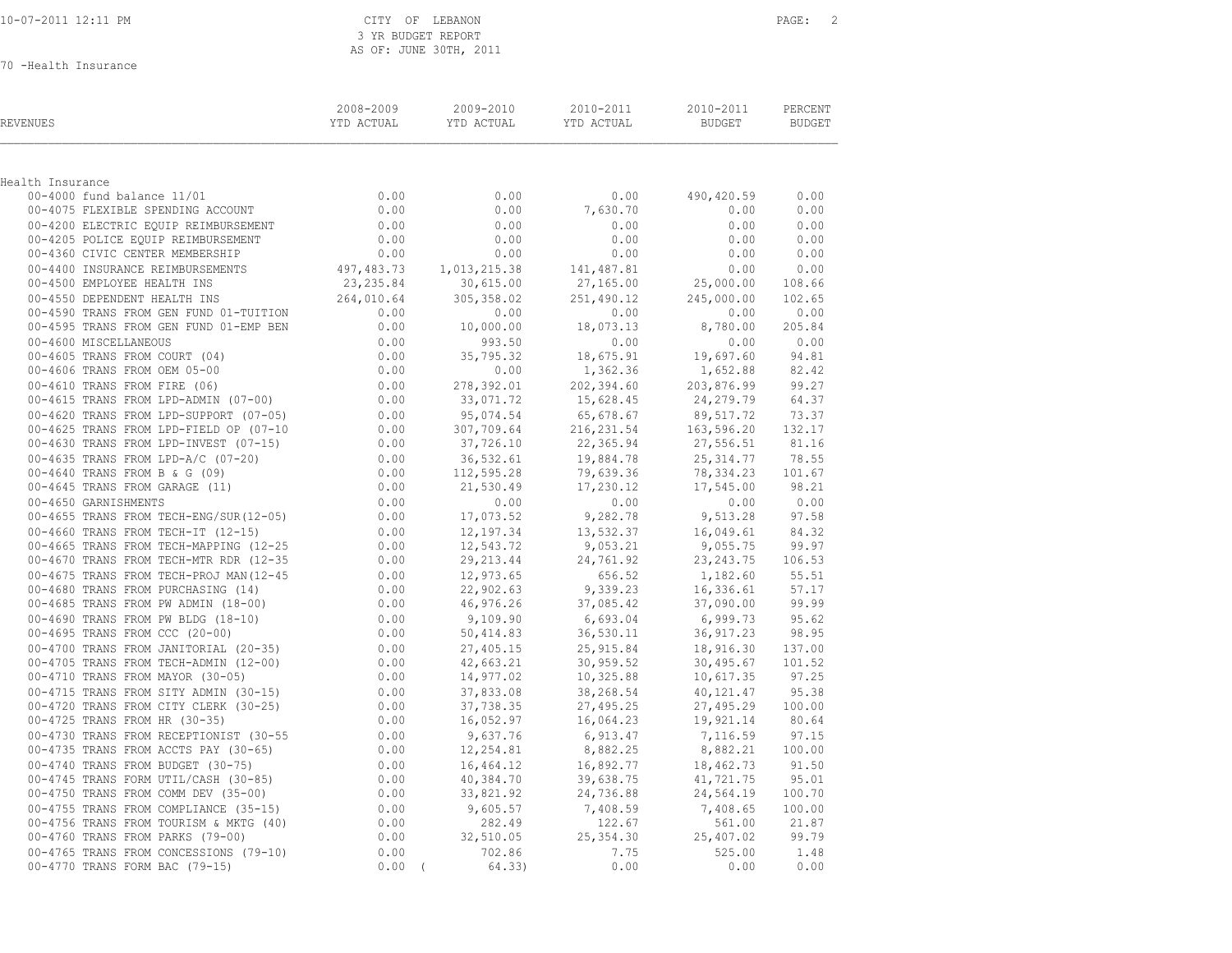|  | 10-07-2011 12:11 PM |  |
|--|---------------------|--|
|  |                     |  |

CITY OF LEBANON PAGE: 2 3 YR BUDGET REPORT AS OF: JUNE 30TH, 2011

70 -Health Insurance

| REVENUES                                                             | 2008-2009<br>YTD ACTUAL                                | 2009-2010<br>YTD ACTUAL           | 2010-2011<br>YTD ACTUAL                   | 2010-2011<br>BUDGET                                        | PERCENT<br><b>BUDGET</b> |
|----------------------------------------------------------------------|--------------------------------------------------------|-----------------------------------|-------------------------------------------|------------------------------------------------------------|--------------------------|
| Health Insurance                                                     |                                                        |                                   |                                           |                                                            |                          |
| 00-4000 fund balance 11/01                                           | 0.00                                                   | 0.00                              | 0.00                                      | 490,420.59                                                 | 0.00                     |
| 00-4075 FLEXIBLE SPENDING ACCOUNT                                    | 0.00                                                   | 0.00                              | 7,630.70                                  | 0.00                                                       | 0.00                     |
| 00-4200 ELECTRIC EQUIP REIMBURSEMENT                                 | 0.00                                                   | 0.00                              | 0.00                                      | 0.00                                                       | 0.00                     |
| 00-4205 POLICE EQUIP REIMBURSEMENT                                   | 0.00                                                   | 0.00                              | 0.00                                      | 0.00                                                       | 0.00                     |
| 00-4360 CIVIC CENTER MEMBERSHIP                                      | 0.00                                                   | 0.00                              | 0.00                                      | 0.00                                                       | 0.00                     |
| 00-4400 INSURANCE REIMBURSEMENTS                                     |                                                        | 497,483.73 1,013,215.38           | 141,487.81                                | 0.00                                                       | 0.00                     |
| 00-4500 EMPLOYEE HEALTH INS                                          | 23, 235.84                                             | 30,615.00                         | 27,165.00                                 | 25,000.00                                                  | 108.66                   |
| 00-4550 DEPENDENT HEALTH INS                                         | 264,010.64                                             | 305,358.02                        | 251,490.12                                | 245,000.00                                                 | 102.65                   |
| 00-4590 TRANS FROM GEN FUND 01-TUITION                               |                                                        | 0.00                              | 0.00                                      | 0.00                                                       | 0.00                     |
| 00-4595 TRANS FROM GEN FUND 01-EMP BEN                               | $0.00$<br>$0.00$<br>0.00                               | 10,000.00                         | $0.00$<br>18,073.13                       | 8,780.00                                                   | 205.84                   |
| 00-4600 MISCELLANEOUS                                                | 0.00                                                   | 993.50                            | 0.00                                      | 0.00                                                       | 0.00                     |
| 00-4605 TRANS FROM COURT (04)                                        | $0.00$<br>0.00<br>0.00                                 | 35,795.32                         | 18,675.91                                 | 19,697.60 94.81                                            |                          |
| 00-4606 TRANS FROM OEM 05-00                                         |                                                        | 0.00                              | 1,362.36                                  | 1,652.88                                                   | 82.42                    |
| 00-4610 TRANS FROM FIRE (06)                                         |                                                        | 278,392.01<br>33,071.72           |                                           | 202,394.60 203,876.99<br>15,628.45 24,279.79<br>203,876.99 | 99.27                    |
| 00-4615 TRANS FROM LPD-ADMIN (07-00)                                 | $0.00$<br>$0.00$                                       |                                   | 202, 394.60<br>15, 628.45                 |                                                            | 64.37                    |
| 00-4620 TRANS FROM LPD-SUPPORT (07-05)                               |                                                        | 95,074.54                         | 65,678.67                                 | 89,517.72                                                  | 73.37                    |
| 00-4625 TRANS FROM LPD-FIELD OP (07-10                               | $0.00$<br>0.00<br>0.00<br>0.00<br>0.00                 | 307,709.64                        | $216, 231$<br>$22, 365.94$<br>$984.78$    | $163,590$<br>27,556.51<br>$-214.77$                        | 132.17                   |
| 00-4630 TRANS FROM LPD-INVEST (07-15)                                |                                                        | 37,726.10                         |                                           |                                                            | 81.16                    |
| 00-4635 TRANS FROM LPD-A/C (07-20)                                   |                                                        | 36,532.61                         |                                           |                                                            | 78.55                    |
| 00-4640 TRANS FROM B & G (09)                                        |                                                        | 112,595.28                        |                                           | 78, 334.23                                                 | 101.67                   |
| 00-4645 TRANS FROM GARAGE (11)                                       |                                                        | 21,530.49                         | 19,884.78<br>79,639.36<br>17,230.12       | 17,545.00 98.21                                            |                          |
| 00-4650 GARNISHMENTS                                                 |                                                        | $0.00$ $0.00$<br>0.00 $17,073.52$ | 0.00                                      | 0.00                                                       | 0.00                     |
| 00-4655 TRANS FROM TECH-ENG/SUR(12-05)                               |                                                        |                                   | 9,282.78                                  | 9,513.28                                                   | 97.58                    |
| 00-4660 TRANS FROM TECH-IT (12-15)                                   | 0.00                                                   | 12,197.34                         | 13,532.37                                 | 16,049.61                                                  | 84.32                    |
| 00-4665 TRANS FROM TECH-MAPPING (12-25                               | $0.00$<br>$0.00$                                       | 12,543.72<br>29,213.44            | 9,053.21                                  | 9,055.75                                                   | 99.97                    |
| 00-4670 TRANS FROM TECH-MTR RDR (12-35                               |                                                        |                                   | 24,761.92                                 | 23, 243. 75                                                | 106.53                   |
| 00-4675 TRANS FROM TECH-PROJ MAN (12-45                              |                                                        | 12,973.65<br>22,902.63            | $656.52$<br>9,339.23                      | 1,182.60                                                   | 55.51                    |
| 00-4680 TRANS FROM PURCHASING (14)                                   |                                                        |                                   |                                           | 16,336.61                                                  | 57.17                    |
| 00-4685 TRANS FROM PW ADMIN (18-00)                                  |                                                        | 46,976.26                         | 37,085.42                                 | 37,090.00                                                  | 99.99                    |
| 00-4690 TRANS FROM PW BLDG (18-10)<br>00-4695 TRANS FROM CCC (20-00) |                                                        | 9,109.90<br>50,414.83             | $6,693.04$<br>36,530.11                   | 6,999.73<br>36,917.23                                      | 95.62<br>98.95           |
| 00-4700 TRANS FROM JANITORIAL (20-35)                                |                                                        |                                   |                                           | 18,916.30                                                  | 137.00                   |
| 00-4705 TRANS FROM TECH-ADMIN (12-00)                                |                                                        | 27,405.15<br>42,663.21            |                                           | 30,495.67                                                  | 101.52                   |
| 00-4710 TRANS FROM MAYOR (30-05)                                     | $0.00$<br>0.00<br>0.00<br>0.00<br>0.00<br>0.00<br>0.00 | 14,977.02                         | $25,915.84$<br>$30,959.52$<br>$10,325,88$ | 10,617.35                                                  | 97.25                    |
| 00-4715 TRANS FROM SITY ADMIN (30-15)                                |                                                        |                                   | 38, 268.54                                | 40,121.47                                                  | 95.38                    |
| 00-4720 TRANS FROM CITY CLERK (30-25)                                | $0.00$<br>$0.00$<br>$0.00$                             | 37,833.08<br>37,738.35            | 27,495.25                                 | 27,495.29                                                  | 100.00                   |
| 00-4725 TRANS FROM HR (30-35)                                        | 0.00                                                   | 16,052.97                         | 16,064.23                                 | 19,921.14                                                  | 80.64                    |
| 00-4730 TRANS FROM RECEPTIONIST (30-55                               | $0.00$<br>$0.00$                                       | 9,637.76                          | 6,913.47                                  | 7,116.59                                                   | 97.15                    |
| 00-4735 TRANS FROM ACCTS PAY (30-65)                                 |                                                        | 12,254.81                         | 8,882.25                                  | 8,882.21                                                   | 100.00                   |
| 00-4740 TRANS FROM BUDGET (30-75)                                    |                                                        |                                   | 16,892.77                                 | 18,462.73                                                  | 91.50                    |
| 00-4745 TRANS FORM UTIL/CASH (30-85)                                 |                                                        | 16,464.12<br>40,384.70            | 39,638.75                                 | 41,721.75                                                  | 95.01                    |
| 00-4750 TRANS FROM COMM DEV (35-00)                                  | $0.00$<br>0.00<br>0.00                                 | 33,821.92                         | 24,736.88                                 | 24,564.19                                                  | 100.70                   |
| 00-4755 TRANS FROM COMPLIANCE (35-15)                                |                                                        | 9,605.57                          | 7,408.59                                  | 7,408.65                                                   | 100.00                   |
| 00-4756 TRANS FROM TOURISM & MKTG (40)                               | $0.00$<br>$0.00$                                       | 282.49                            | 122.67                                    | 561.00 21.87                                               |                          |
| 00-4760 TRANS FROM PARKS (79-00)                                     | 0.00                                                   | 32,510.05                         | 25, 354.30                                | 25,407.02                                                  | 99.79                    |
| 00-4765 TRANS FROM CONCESSIONS (79-10)                               | 0.00                                                   | 702.86                            | 7.75                                      |                                                            | 525.00 1.48              |
| 00-4770 TRANS FORM BAC (79-15)                                       | $0.00$ (                                               | 64.33)                            | 0.00                                      | 0.00                                                       | 0.00                     |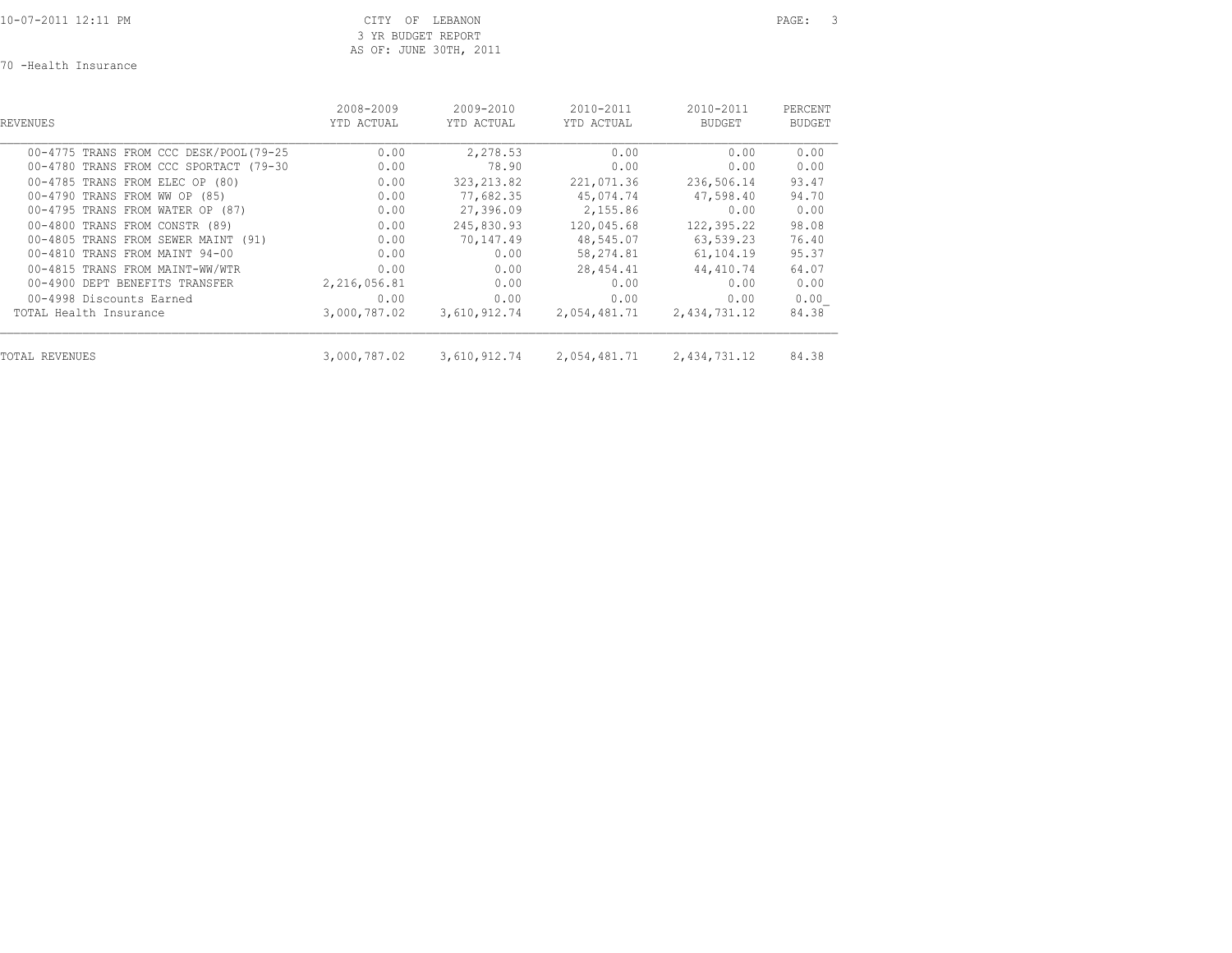10-07-2011 12:11 PM CITY OF LEBANON PAGE: 3 3 YR BUDGET REPORT AS OF: JUNE 30TH, 2011

70 -Health Insurance

| REVENUES                                                                                                 | 2008-2009            | 2009-2010                 | 2010-2011                           | 2010-2011                           | PERCENT                |
|----------------------------------------------------------------------------------------------------------|----------------------|---------------------------|-------------------------------------|-------------------------------------|------------------------|
|                                                                                                          | YTD ACTUAL           | YTD ACTUAL                | YTD ACTUAL                          | <b>BUDGET</b>                       | BUDGET                 |
| 00-4775 TRANS FROM CCC DESK/POOL(79-25                                                                   | 0.00                 | 2,278.53                  | 0.00                                | 0.00                                | 0.00                   |
| 00-4780 TRANS FROM CCC SPORTACT (79-30                                                                   | 0.00                 | 78.90                     | 0.00                                | 0.00                                | 0.00                   |
| 00-4785 TRANS FROM ELEC OP (80)                                                                          | 0.00                 | 323, 213.82               | 221,071.36                          | 236,506.14                          | 93.47                  |
| 00-4790 TRANS FROM WW OP (85)                                                                            | 0.00                 | 77,682.35                 | 45,074.74                           | 47,598.40                           | 94.70                  |
| 00-4795 TRANS FROM WATER OP (87)<br>00-4800 TRANS FROM CONSTR (89)                                       | 0.00<br>0.00<br>0.00 | 27,396.09<br>245,830.93   | 2,155.86<br>120,045.68              | 0.00<br>122,395.22                  | 0.00<br>98.08<br>76.40 |
| 00-4805 TRANS FROM SEWER MAINT (91)<br>00-4810 TRANS FROM MAINT 94-00<br>00-4815 TRANS FROM MAINT-WW/WTR | 0.00<br>0.00         | 70,147.49<br>0.00<br>0.00 | 48,545.07<br>58,274.81<br>28,454.41 | 63,539.23<br>61,104.19<br>44,410.74 | 95.37<br>64.07         |
| 00-4900 DEPT BENEFITS TRANSFER                                                                           | 2,216,056.81         | 0.00                      | 0.00                                | 0.00                                | 0.00                   |
| 00-4998 Discounts Earned                                                                                 | 0.00                 | 0.00                      | 0.00                                | 0.00                                | 0.00                   |
| TOTAL Health Insurance                                                                                   | 3,000,787.02         | 3,610,912.74              | 2,054,481.71                        | 2,434,731.12                        | 84.38                  |
| TOTAL REVENUES                                                                                           | 3,000,787.02         | 3,610,912.74              | 2,054,481.71                        | 2,434,731.12                        | 84.38                  |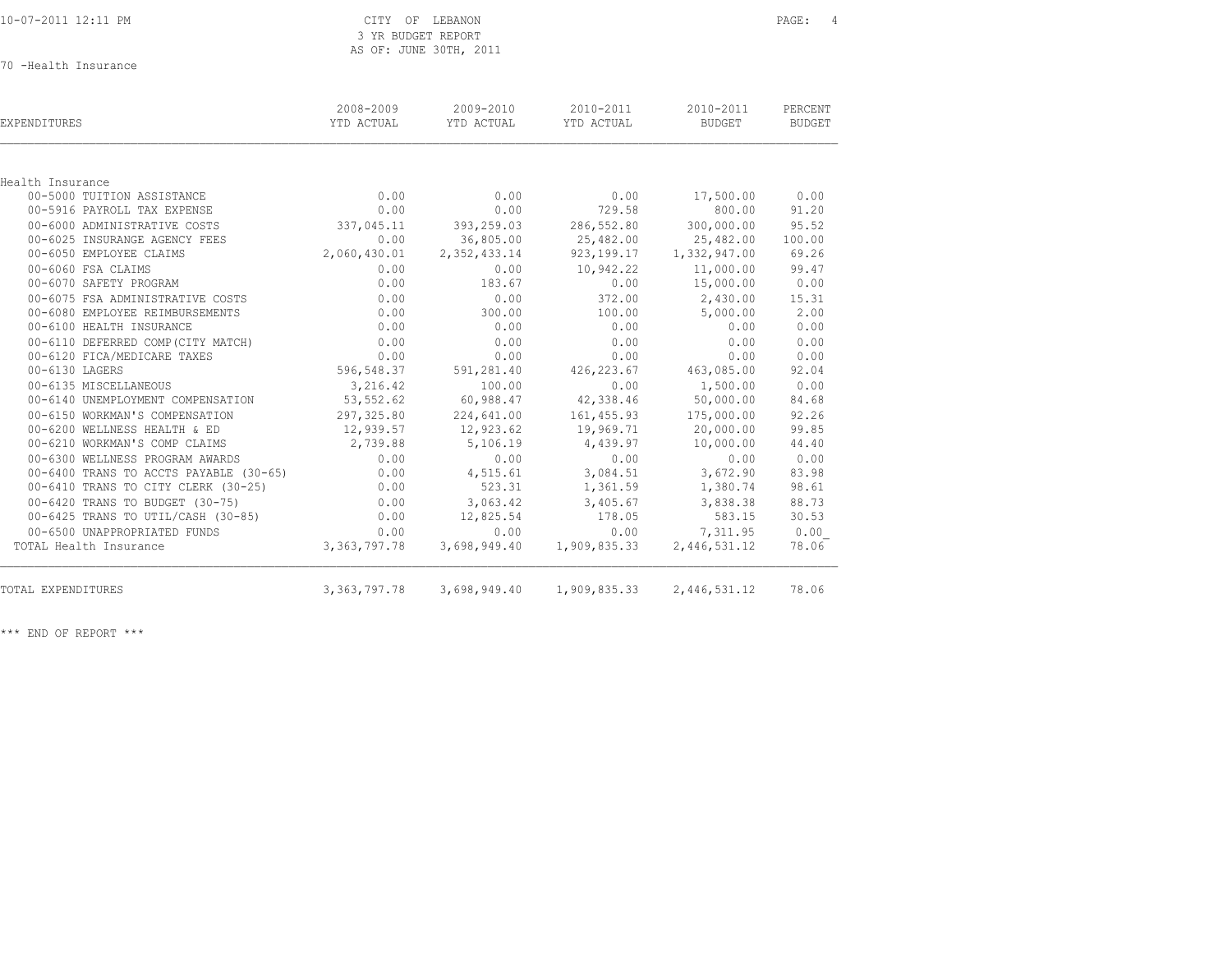|  |  |  | 10-07-2011 12:11 PM |  |
|--|--|--|---------------------|--|
|  |  |  |                     |  |

#### CITY OF LEBANON PAGE: 4 3 YR BUDGET REPORT AS OF: JUNE 30TH, 2011

70 -Health Insurance

| EXPENDITURES                           | 2008-2009<br>YTD ACTUAL | 2009-2010<br>YTD ACTUAL                         | 2010-2011<br>YTD ACTUAL      | 2010-2011<br>BUDGET | PERCENT<br><b>BUDGET</b> |
|----------------------------------------|-------------------------|-------------------------------------------------|------------------------------|---------------------|--------------------------|
|                                        |                         |                                                 |                              |                     |                          |
| Health Insurance                       |                         |                                                 |                              |                     |                          |
| 00-5000 TUITION ASSISTANCE             | 0.00                    | 0.00                                            | 0.00                         | 17,500.00           | 0.00                     |
| 00-5916 PAYROLL TAX EXPENSE            | 0.00                    | 0.00                                            | 729.58                       | 800.00              | 91.20                    |
| 00-6000 ADMINISTRATIVE COSTS           | 337,045.11              | 393,259.03                                      | 286,552.80                   | 300,000.00          | 95.52                    |
| 00-6025 INSURANGE AGENCY FEES          | 0.00                    | 36,805.00                                       | 25,482.00                    | 25,482.00           | 100.00                   |
| 00-6050 EMPLOYEE CLAIMS                | 2,060,430.01            | 2, 352, 433.14                                  | 923, 199. 17 1, 332, 947. 00 |                     | 69.26                    |
| 00-6060 FSA CLAIMS                     | 0.00                    | 0.00                                            | 10,942.22                    | 11,000.00           | 99.47                    |
| 00-6070 SAFETY PROGRAM                 | 0.00                    | 183.67                                          | 0.00                         | 15,000.00           | 0.00                     |
| 00-6075 FSA ADMINISTRATIVE COSTS       | 0.00                    | 0.00                                            | 372.00                       | 2,430.00            | 15.31                    |
| 00-6080 EMPLOYEE REIMBURSEMENTS        | 0.00                    | 300.00                                          | 100.00                       | 5,000.00            | 2.00                     |
| 00-6100 HEALTH INSURANCE               | 0.00                    | 0.00                                            | 0.00                         | 0.00                | 0.00                     |
| 00-6110 DEFERRED COMP (CITY MATCH)     | 0.00                    | 0.00                                            | 0.00                         | 0.00                | 0.00                     |
| 00-6120 FICA/MEDICARE TAXES            | 0.00                    | 0.00                                            | 0.00                         | 0.00                | 0.00                     |
| 00-6130 LAGERS                         | 596,548.37              | 591,281.40                                      | 426,223.67                   | 463,085.00          | 92.04                    |
| 00-6135 MISCELLANEOUS                  | 3,216.42                | 100.00                                          | 0.00                         | 1,500.00            | 0.00                     |
| 00-6140 UNEMPLOYMENT COMPENSATION      | 53, 552.62              | 60,988.47                                       | 42,338.46                    | 50,000.00           | 84.68                    |
| 00-6150 WORKMAN'S COMPENSATION         | 297,325.80              | 224,641.00                                      | 161,455.93                   | 175,000.00          | 92.26                    |
| 00-6200 WELLNESS HEALTH & ED           | 12,939.57               | 12,923.62                                       | 19,969.71                    | 20,000.00           | 99.85                    |
| 00-6210 WORKMAN'S COMP CLAIMS          | 2,739.88                | 5,106.19                                        | 4,439.97                     | 10,000.00           | 44.40                    |
| 00-6300 WELLNESS PROGRAM AWARDS        | 0.00                    | 0.00                                            | 0.00                         | 0.00                | 0.00                     |
| 00-6400 TRANS TO ACCTS PAYABLE (30-65) | 0.00                    | 4,515.61                                        | 3,084.51                     | 3,672.90            | 83.98                    |
| 00-6410 TRANS TO CITY CLERK (30-25)    | 0.00                    | 523.31                                          | 1,361.59                     | 1,380.74            | 98.61                    |
| 00-6420 TRANS TO BUDGET (30-75)        | 0.00                    | 3,063.42                                        | 3,405.67                     | 3,838.38            | 88.73                    |
| 00-6425 TRANS TO UTIL/CASH (30-85)     | 0.00                    | 12,825.54                                       | 178.05                       | 583.15              | 30.53                    |
| 00-6500 UNAPPROPRIATED FUNDS           | 0.00                    | 0.00                                            | 0.00                         | 7,311.95            | 0.00                     |
| TOTAL Health Insurance                 | 3,363,797.78            | 3,698,949.40                                    | 1,909,835.33                 | 2,446,531.12        | 78.06                    |
| TOTAL EXPENDITURES                     |                         | 3, 363, 797. 78 3, 698, 949. 40 1, 909, 835. 33 |                              | 2,446,531.12        | 78.06                    |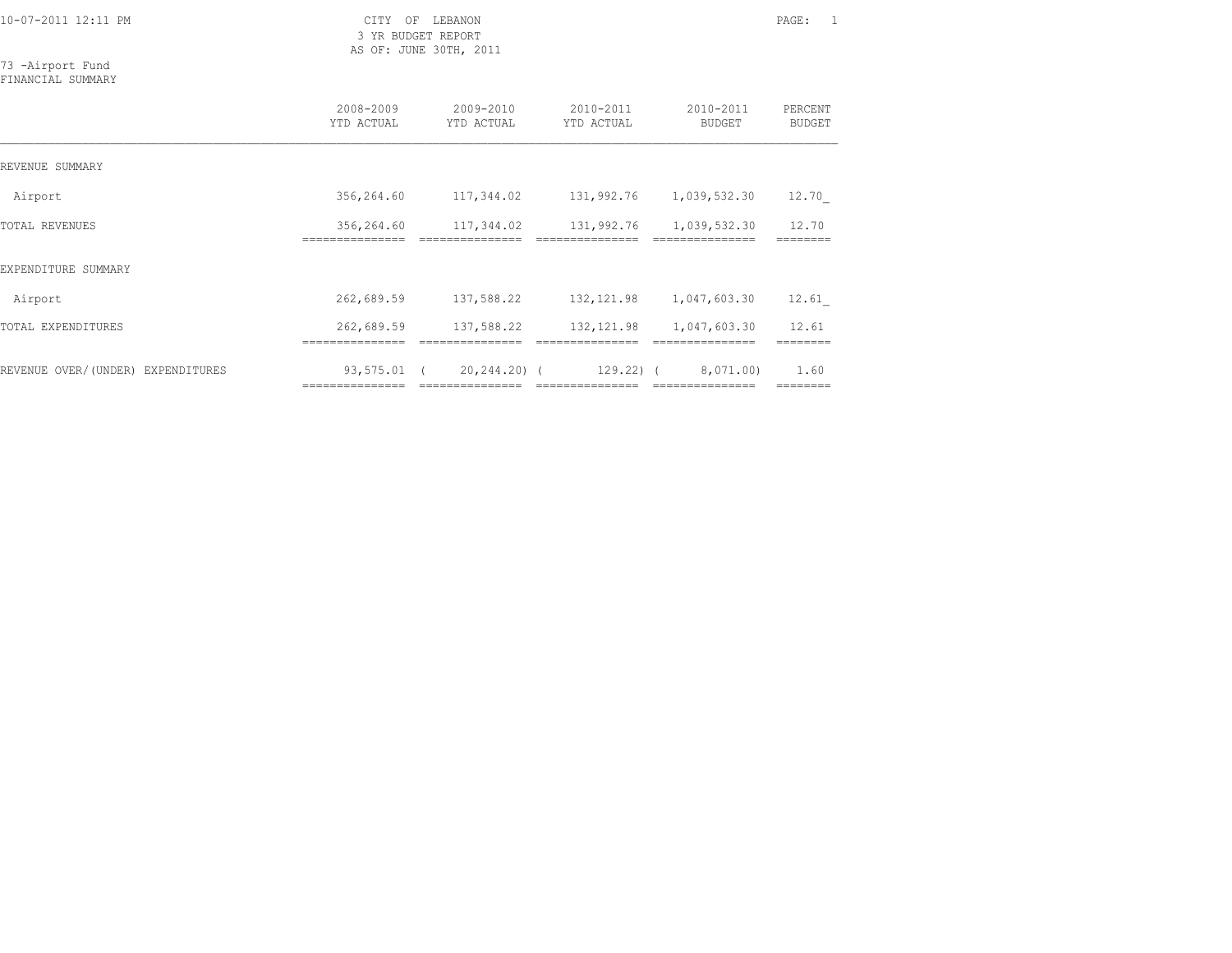3 YR BUDGET REPORT AS OF: JUNE 30TH, 2011

=============== =============== =============== =============== ========

73 -Airport Fund FINANCIAL SUMMARY

|                                   | 2008-2009<br>YTD ACTUAL       | 2009-2010<br>YTD ACTUAL | 2010-2011<br>YTD ACTUAL | 2010-2011<br><b>BUDGET</b> | PERCENT<br><b>BUDGET</b> |
|-----------------------------------|-------------------------------|-------------------------|-------------------------|----------------------------|--------------------------|
| REVENUE SUMMARY                   |                               |                         |                         |                            |                          |
| Airport                           | 356,264.60                    | 117,344.02              | 131,992.76              | 1,039,532.30               | 12.70                    |
| TOTAL REVENUES                    | 356,264.60                    | 117,344.02              | 131,992.76              | 1,039,532.30               | 12.70                    |
| EXPENDITURE SUMMARY               |                               |                         |                         |                            |                          |
| Airport                           | 262,689.59                    | 137,588.22              | 132, 121.98             | 1,047,603.30               | 12.61                    |
| TOTAL EXPENDITURES                | 262,689.59<br>=============== | 137,588.22              | 132, 121.98             | 1,047,603.30               | 12.61                    |
| REVENUE OVER/(UNDER) EXPENDITURES | 93,575.01                     | 20,244.20) (            | $129.22$ ) (            | 8,071.00)                  | 1.60                     |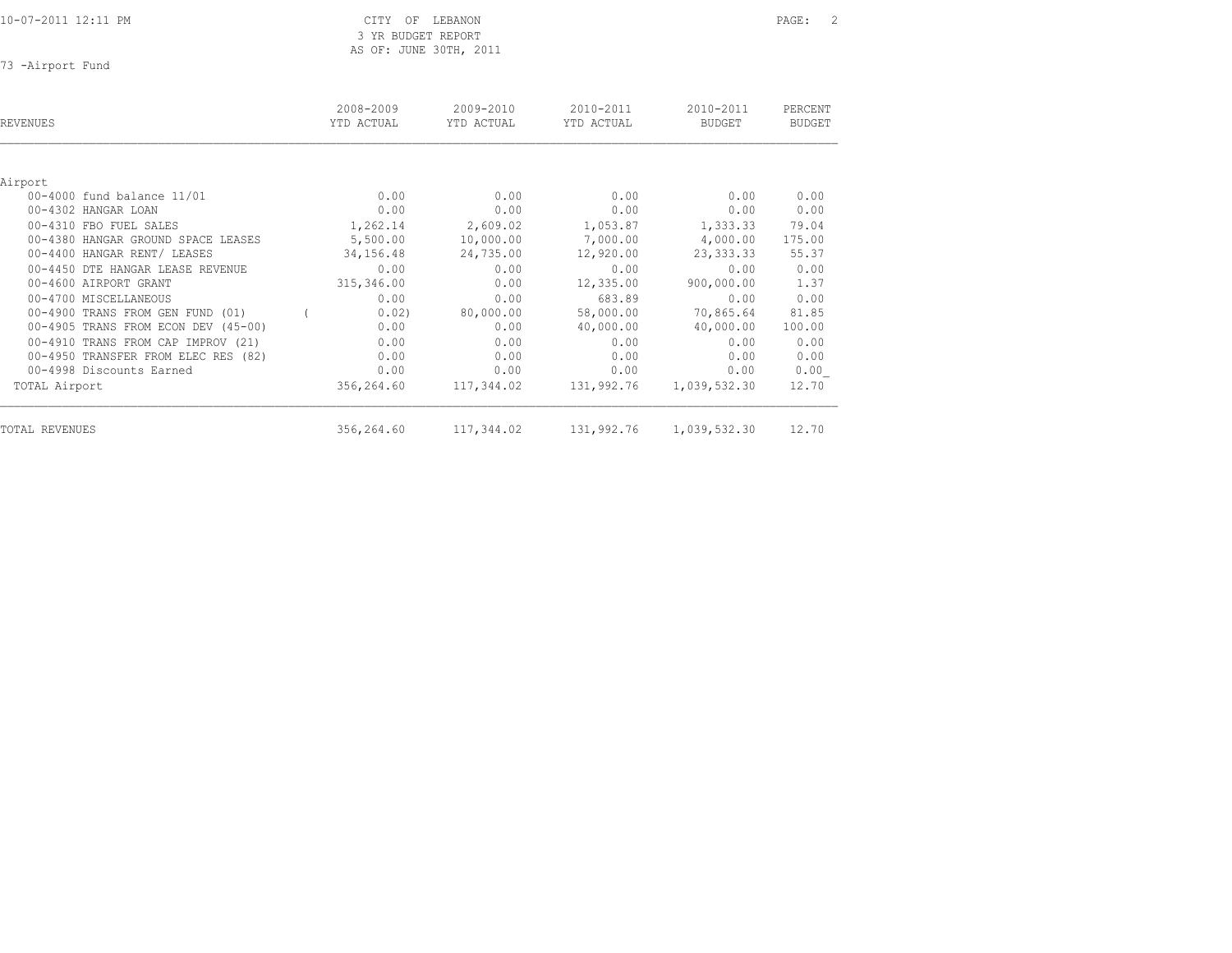3 YR BUDGET REPORT AS OF: JUNE 30TH, 2011

73 -Airport Fund

| <b>REVENUES</b>                     | 2008-2009<br>YTD ACTUAL | 2009-2010<br>YTD ACTUAL | 2010-2011<br>YTD ACTUAL | 2010-2011<br><b>BUDGET</b> | PERCENT<br><b>BUDGET</b> |
|-------------------------------------|-------------------------|-------------------------|-------------------------|----------------------------|--------------------------|
|                                     |                         |                         |                         |                            |                          |
| Airport                             |                         |                         |                         |                            |                          |
| 00-4000 fund balance 11/01          | 0.00                    | 0.00                    | 0.00                    | 0.00                       | 0.00                     |
| 00-4302 HANGAR LOAN                 | 0.00                    | 0.00                    | 0.00                    | 0.00                       | 0.00                     |
| 00-4310 FBO FUEL SALES              | 1,262.14                | 2,609.02                | 1,053.87                | 1,333.33                   | 79.04                    |
| 00-4380 HANGAR GROUND SPACE LEASES  | 5,500.00                | 10,000.00               | 7,000.00                | 4,000.00                   | 175.00                   |
| 00-4400 HANGAR RENT/ LEASES         | 34, 156. 48             | 24,735.00               | 12,920.00               | 23, 333.33                 | 55.37                    |
| 00-4450 DTE HANGAR LEASE REVENUE    | 0.00                    | 0.00                    | 0.00                    | 0.00                       | 0.00                     |
| 00-4600 AIRPORT GRANT               | 315,346.00              | 0.00                    | 12,335.00               | 900,000.00                 | 1.37                     |
| 00-4700 MISCELLANEOUS               | 0.00                    | 0.00                    | 683.89                  | 0.00                       | 0.00                     |
| 00-4900 TRANS FROM GEN FUND (01)    | 0.02)                   | 80,000.00               | 58,000.00               | 70,865.64                  | 81.85                    |
| 00-4905 TRANS FROM ECON DEV (45-00) | 0.00                    | 0.00                    | 40,000.00               | 40,000.00                  | 100.00                   |
| 00-4910 TRANS FROM CAP IMPROV (21)  | 0.00                    | 0.00                    | 0.00                    | 0.00                       | 0.00                     |
| 00-4950 TRANSFER FROM ELEC RES (82) | 0.00                    | 0.00                    | 0.00                    | 0.00                       | 0.00                     |
| 00-4998 Discounts Earned            | 0.00                    | 0.00                    | 0.00                    | 0.00                       | 0.00                     |
| TOTAL Airport                       | 356,264.60              | 117,344.02              | 131,992.76              | 1,039,532.30               | 12.70                    |
| <b>TOTAL REVENUES</b>               | 356,264.60              | 117,344.02              | 131,992.76              | 1,039,532.30               | 12.70                    |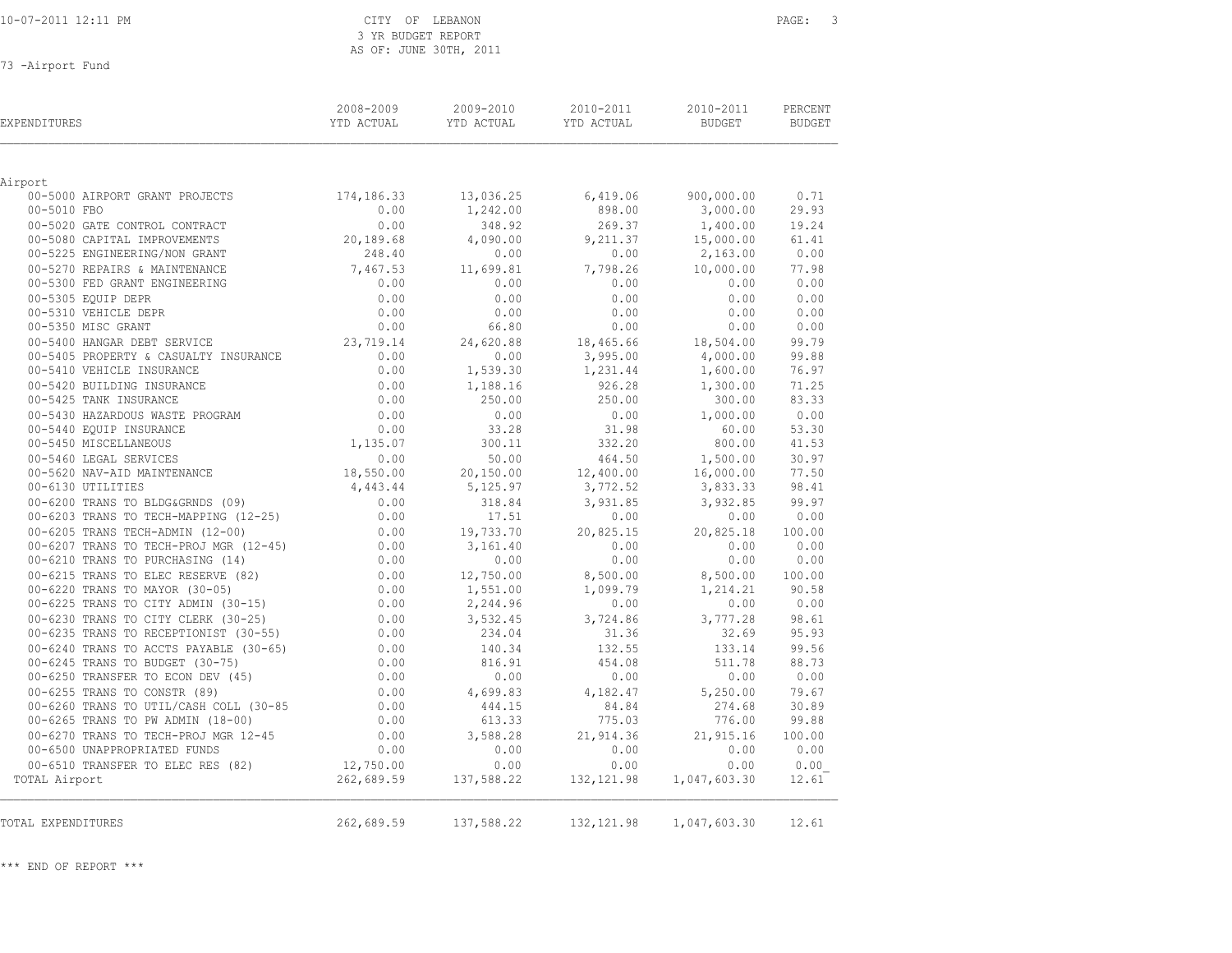#### CITY OF LEBANON PAGE: 3 3 YR BUDGET REPORT AS OF: JUNE 30TH, 2011

73 -Airport Fund

| <b>EXPENDITURES</b>                                                                                                        | 2008-2009<br>YTD ACTUAL    | 2009-2010<br>YTD ACTUAL | 2010-2011<br>YTD ACTUAL | 2010-2011<br><b>BUDGET</b> | PERCENT<br>BUDGET |
|----------------------------------------------------------------------------------------------------------------------------|----------------------------|-------------------------|-------------------------|----------------------------|-------------------|
|                                                                                                                            |                            |                         |                         |                            |                   |
| Airport<br>00-5000 AIRPORT GRANT PROJECTS 174,186.33                                                                       |                            | 13,036.25               | 6,419.06                | 900,000.00                 | 0.71              |
| 00-5010 FBO                                                                                                                | 0.00                       | 1,242.00                | 898.00                  | 3,000.00                   | 29.93             |
| 00-5020 GATE CONTROL CONTRACT                                                                                              | 0.00                       | 348.92                  | 269.37                  | 1,400.00                   | 19.24             |
| 00-5080 CAPITAL IMPROVEMENTS                                                                                               | 20,189.68                  | 4,090.00                | 9,211.37                | 15,000.00                  | 61.41             |
| 00-5225 ENGINEERING/NON GRANT                                                                                              | 248.40                     | 0.00                    | 0.00                    | 2,163.00                   | 0.00              |
| 00-5270 REPAIRS & MAINTENANCE                                                                                              | 7,467.53                   | 11,699.81               | 7,798.26                | 10,000.00                  | 77.98             |
| 00-5300 FED GRANT ENGINEERING                                                                                              | 0.00                       | 0.00                    | 0.00                    | 0.00                       | 0.00              |
| 00-5305 EQUIP DEPR                                                                                                         |                            | 0.00                    | 0.00                    | 0.00                       | 0.00              |
| 00-5310 VEHICLE DEPR                                                                                                       | $0.00$<br>$0.00$           | 0.00                    | 0.00                    | 0.00                       | 0.00              |
| 00-5350 MISC GRANT                                                                                                         |                            | 66.80                   | 0.00                    | 0.00                       | 0.00              |
| 00-5400 HANGAR DEBT SERVICE                                                                                                | $0.00$<br>23,719.14        | 24,620.88               | 18,465.66               | 18,504.00                  | 99.79             |
| 00-5405 PROPERTY & CASUALTY INSURANCE                                                                                      | 0.00                       | 0.00                    | 3,995.00                | 4,000.00                   | 99.88             |
| 00-5410 VEHICLE INSURANCE                                                                                                  | 0.00                       | 1,539.30                | 1,231.44                | 1,600.00                   | 76.97             |
| 00-5420 BUILDING INSURANCE                                                                                                 | 0.00                       | 1,188.16                | 926.28                  | 1,300.00                   | 71.25             |
| 00-5425 TANK INSURANCE                                                                                                     | 0.00                       | 250.00                  | 250.00                  | 300.00                     | 83.33             |
| 00-5430 HAZARDOUS WASTE PROGRAM                                                                                            |                            | 0.00                    | 0.00                    | 1,000.00                   | 0.00              |
| 00-5440 EQUIP INSURANCE                                                                                                    | $0.00$<br>$0.00$           | 33.28                   | 31.98                   | 60.00                      | 53.30             |
| 00-5450 MISCELLANEOUS                                                                                                      | $0.00$<br>0.00<br>1,135.07 | 300.11                  | 332.20                  | 800.00                     | 41.53             |
| 00-5460 LEGAL SERVICES                                                                                                     | 0.00                       | 50.00                   | 464.50                  | 1,500.00                   | 30.97             |
| 00-5620 NAV-AID MAINTENANCE<br>00-6130 UTILITIES                                                                           | 18,550.00                  | 20,150.00               | 12,400.00               | 16,000.00                  | 77.50             |
|                                                                                                                            |                            | 5,125.97                | 3,772.52                | 3,833.33                   | 98.41             |
| 00 00-6130 UTILITIES<br>00-6200 TRANS TO BLDG&GRNDS (09) 0.00<br>00-6203 TRANS TO TECH-MAPPING (12-25) 0.00<br>0.00        |                            | 318.84                  | 3,931.85                | 3,932.85                   | 99.97             |
|                                                                                                                            |                            | 17.51                   | 0.00                    | 0.00                       | 0.00              |
| 00 0200 1.11.1.2 1 1.<br>00-6205 TRANS TECH-ADMIN (12-00)<br>00-6207 TRANS TO TECH-PROJ MGR (12-45)                        | 0.00                       | 19,733.70               | 20,825.15               | 20,825.18                  | 100.00            |
|                                                                                                                            | 0.00                       | 3,161.40                | 0.00                    | 0.00                       | 0.00              |
| 00-6210 TRANS TO PURCHASING (14)                                                                                           | 0.00                       | 0.00                    | 0.00                    | 0.00                       | 0.00              |
|                                                                                                                            |                            | 12,750.00               | 8,500.00                | 8,500.00 100.00            |                   |
| 00-6215 TRANS TO ELEC RESERVE (82) 0.00<br>00-6220 TRANS TO MAYOR (30-05) 0.00<br>00-6225 TRANS TO CITY ADMIN (30-15) 0.00 |                            | 1,551.00                | 1,099.79                | 1,214.21                   | 90.58             |
| 00-6225 TRANS TO CITY ADMIN (30-15)                                                                                        | 0.00                       | 2,244.96                | 0.00                    | 0.00                       | 0.00              |
| 00-6230 TRANS TO CITY CLERK (30-25)                                                                                        | $0.00$<br>$0.00$           | 3,532.45                | 3,724.86                | 3,777.28                   | 98.61             |
| 00-6235 TRANS TO RECEPTIONIST (30-55)                                                                                      |                            | 234.04                  | 31.36                   | 32.69                      | 95.93             |
| 00-6240 TRANS TO ACCTS PAYABLE (30-65) 0.00                                                                                |                            | 140.34                  | 132.55                  | 133.14                     | 99.56             |
| 00-6245 TRANS TO BUDGET (30-75)                                                                                            | 0.00                       | 816.91                  | 454.08                  | 511.78                     | 88.73             |
| 00-6250 TRANSFER TO ECON DEV (45)                                                                                          | 0.00                       | 0.00                    | 0.00                    | 0.00                       | 0.00              |
| 00-6255 TRANS TO CONSTR (89)                                                                                               | 0.00                       | 4,699.83                | 4,182.47                | 5,250.00                   | 79.67             |
| 00-6260 TRANS TO UTIL/CASH COLL (30-85                                                                                     | 0.00                       | 444.15                  | 84.84                   | 274.68                     | 30.89             |
| 00-6265 TRANS TO PW ADMIN (18-00)                                                                                          | 0.00                       | 613.33                  | 775.03                  |                            | 776.00 99.88      |
| 0.00 00 1 1 2 45 0.00 TRANS TO TECH-PROJ MGR 12-45                                                                         |                            | 3,588.28                | 21,914.36               | 21,915.16                  | 100.00            |
| 00-6500 UNAPPROPRIATED FUNDS                                                                                               | 0.00                       | 0.00                    | 0.00                    | 0.00                       | 0.00              |
| 00-6510 TRANSFER TO ELEC RES (82)                                                                                          | 12,750.00                  | 0.00                    | 0.00                    | 0.00                       | 0.00              |
| TOTAL Airport                                                                                                              | 262,689.59                 | 137,588.22              | 132, 121.98             | 1,047,603.30               | 12.61             |
| TOTAL EXPENDITURES                                                                                                         | 262,689.59                 | 137,588.22              | 132, 121.98             | 1,047,603.30               | 12.61             |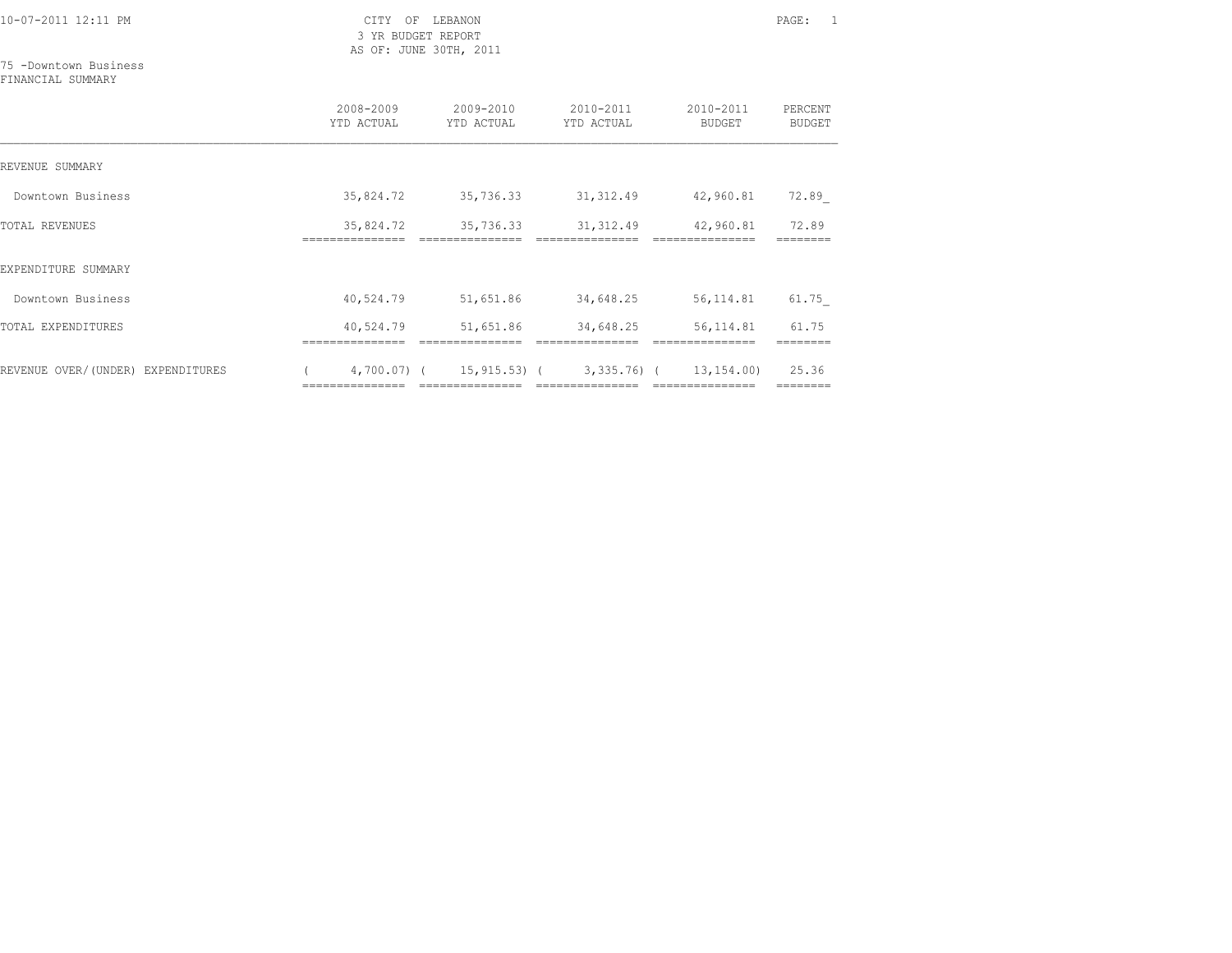3 YR BUDGET REPORT AS OF: JUNE 30TH, 2011

### 75 -Downtown Business

FINANCIAL SUMMARY

|                                   | 2008-2009<br>YTD ACTUAL   | 2009-2010<br>YTD ACTUAL                      | 2010-2011<br>YTD ACTUAL                             | 2010-2011<br><b>BUDGET</b> | PERCENT<br><b>BUDGET</b> |
|-----------------------------------|---------------------------|----------------------------------------------|-----------------------------------------------------|----------------------------|--------------------------|
| REVENUE SUMMARY                   |                           |                                              |                                                     |                            |                          |
| Downtown Business                 | 35,824.72                 | 35,736.33                                    | 31, 312.49                                          | 42,960.81                  | 72.89                    |
| <b>TOTAL REVENUES</b>             | 35,824.72<br>------------ | 35,736.33                                    | 31, 312.49                                          | 42,960.81                  | 72.89                    |
| EXPENDITURE SUMMARY               |                           |                                              |                                                     |                            |                          |
| Downtown Business                 | 40,524.79                 | 51,651.86                                    | 34,648.25                                           | 56,114.81                  | 61.75                    |
| TOTAL EXPENDITURES                | 40,524.79                 | 51,651.86                                    | 34,648.25                                           | 56, 114.81                 | 61.75                    |
| REVENUE OVER/(UNDER) EXPENDITURES |                           | 4,700.07) ( 15,915.53) (<br>---------------- | 3,335.76) (<br>------------------------------------ | 13,154.00)                 | 25.36<br>========        |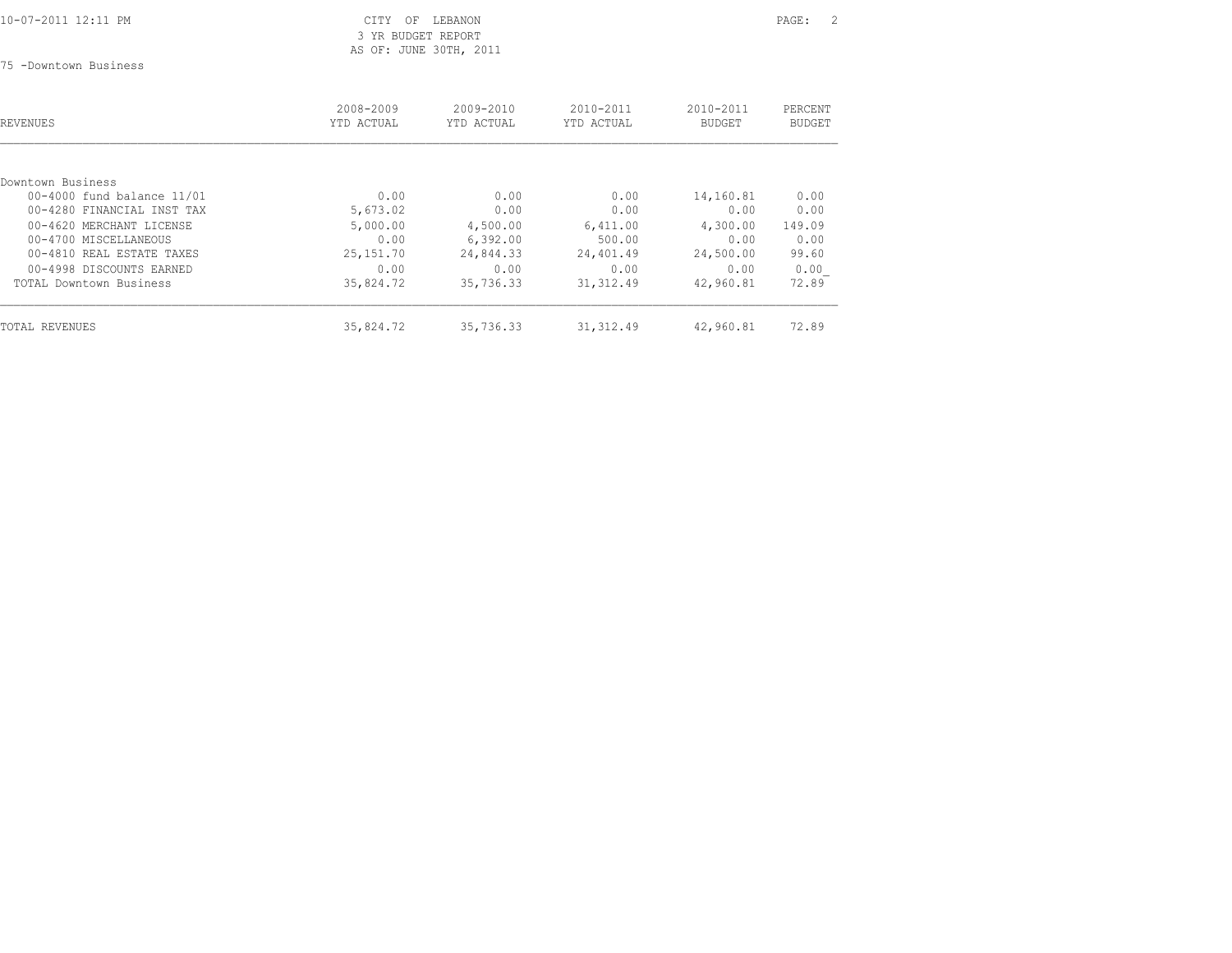10-07-2011 12:11 PM CITY OF LEBANON PAGE: 2 3 YR BUDGET REPORT AS OF: JUNE 30TH, 2011

75 -Downtown Business

| REVENUES                         | 2008-2009<br>YTD ACTUAL | 2009-2010<br>YTD ACTUAL | 2010-2011<br>YTD ACTUAL | 2010-2011<br><b>BUDGET</b> | PERCENT<br>BUDGET |  |
|----------------------------------|-------------------------|-------------------------|-------------------------|----------------------------|-------------------|--|
|                                  |                         |                         |                         |                            |                   |  |
| Downtown Business                |                         |                         |                         |                            |                   |  |
| $00 - 4000$ fund balance $11/01$ | 0.00                    | 0.00                    | 0.00                    | 14,160.81                  | 0.00              |  |
| 00-4280 FINANCIAL INST TAX       | 5,673.02                | 0.00                    | 0.00                    | 0.00                       | 0.00              |  |
| 00-4620 MERCHANT LICENSE         | 5,000.00                | 4,500.00                | 6,411.00                | 4,300.00                   | 149.09            |  |
| 00-4700 MISCELLANEOUS            | 0.00                    | 6,392.00                | 500.00                  | 0.00                       | 0.00              |  |
| 00-4810 REAL ESTATE TAXES        | 25, 151. 70             | 24,844.33               | 24,401.49               | 24,500.00                  | 99.60             |  |
| 00-4998 DISCOUNTS EARNED         | 0.00                    | 0.00                    | 0.00                    | 0.00                       | 0.00              |  |
| TOTAL Downtown Business          | 35,824.72               | 35,736.33               | 31, 312.49              | 42,960.81                  | 72.89             |  |
| TOTAL REVENUES                   | 35,824.72               | 35,736.33               | 31, 312.49              | 42,960.81                  | 72.89             |  |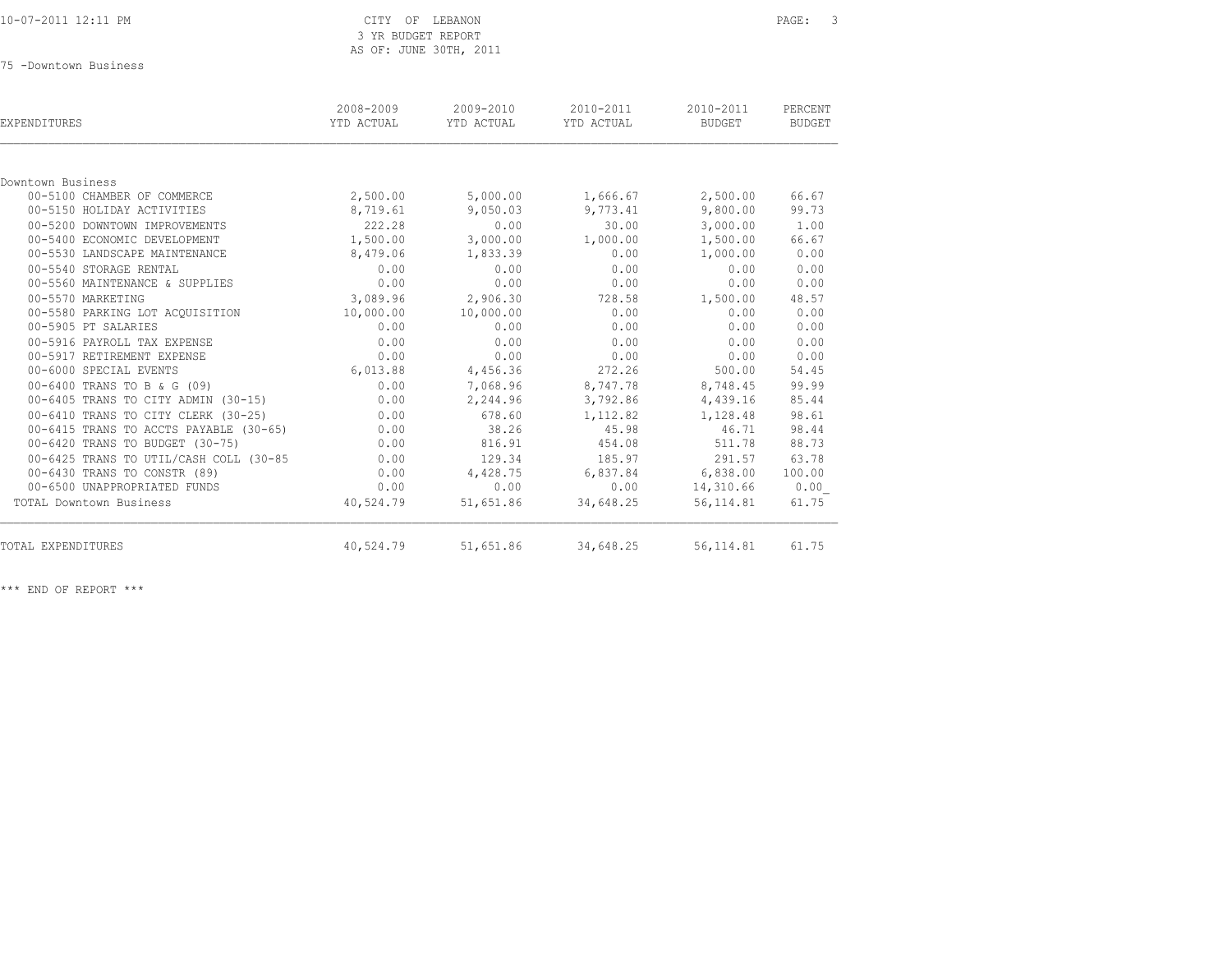75 -Downtown Business

| EXPENDITURES                           | 2008-2009<br>YTD ACTUAL | 2009-2010<br>YTD ACTUAL | 2010-2011<br>YTD ACTUAL | 2010-2011<br>BUDGET | PERCENT<br><b>BUDGET</b> |
|----------------------------------------|-------------------------|-------------------------|-------------------------|---------------------|--------------------------|
|                                        |                         |                         |                         |                     |                          |
| Downtown Business                      |                         |                         |                         |                     |                          |
| 00-5100 CHAMBER OF COMMERCE            | 2,500.00                | 5,000.00                | 1,666.67                | 2,500.00            | 66.67                    |
| 00-5150 HOLIDAY ACTIVITIES             | 8,719.61                | 9,050.03                | 9,773.41                | 9,800.00            | 99.73                    |
| 00-5200 DOWNTOWN IMPROVEMENTS          | 222.28                  | 0.00                    | 30.00                   | 3,000.00            | 1.00                     |
| 00-5400 ECONOMIC DEVELOPMENT           | 1,500.00                | 3,000.00                | 1,000.00                | 1,500.00            | 66.67                    |
| 00-5530 LANDSCAPE MAINTENANCE          | 8,479.06                | 1,833.39                | 0.00                    | 1,000.00            | 0.00                     |
| 00-5540 STORAGE RENTAL                 | 0.00                    | 0.00                    | 0.00                    | 0.00                | 0.00                     |
| 00-5560 MAINTENANCE & SUPPLIES         | 0.00                    | 0.00                    | 0.00                    | 0.00                | 0.00                     |
| 00-5570 MARKETING                      | 3,089.96                | 2,906.30                | 728.58                  | 1,500.00            | 48.57                    |
| 00-5580 PARKING LOT ACOUISITION        | 10,000.00               | 10,000.00               | 0.00                    | 0.00                | 0.00                     |
| 00-5905 PT SALARIES                    | 0.00                    | 0.00                    | 0.00                    | 0.00                | 0.00                     |
| 00-5916 PAYROLL TAX EXPENSE            | 0.00                    | 0.00                    | 0.00                    | 0.00                | 0.00                     |
| 00-5917 RETIREMENT EXPENSE             | 0.00                    | 0.00                    | 0.00                    | 0.00                | 0.00                     |
| 00-6000 SPECIAL EVENTS                 | 6,013.88                | 4,456.36                | 272.26                  | 500.00              | 54.45                    |
| 00-6400 TRANS TO B & G (09)            | 0.00                    | 7,068.96                | 8,747.78                | 8,748.45            | 99.99                    |
| 00-6405 TRANS TO CITY ADMIN (30-15)    | 0.00                    | 2,244.96                | 3,792.86                | 4,439.16            | 85.44                    |
| 00-6410 TRANS TO CITY CLERK (30-25)    | 0.00                    | 678.60                  | 1,112.82                | 1,128.48            | 98.61                    |
| 00-6415 TRANS TO ACCTS PAYABLE (30-65) | 0.00                    | 38.26                   | 45.98                   | 46.71               | 98.44                    |
| 00-6420 TRANS TO BUDGET (30-75)        | 0.00                    | 816.91                  | 454.08                  | 511.78              | 88.73                    |
| 00-6425 TRANS TO UTIL/CASH COLL (30-85 | 0.00                    | 129.34                  | 185.97                  | 291.57              | 63.78                    |
| 00-6430 TRANS TO CONSTR (89)           | 0.00                    | 4,428.75                | 6,837.84                | 6,838.00            | 100.00                   |
| 00-6500 UNAPPROPRIATED FUNDS           | 0.00                    | 0.00                    | 0.00                    | 14,310.66           | 0.00                     |
| TOTAL Downtown Business                | 40,524.79               | 51,651.86               | 34,648.25               | 56, 114.81          | 61.75                    |
| TOTAL EXPENDITURES                     | 40,524.79               | 51,651.86               | 34,648.25               | 56, 114.81          | 61.75                    |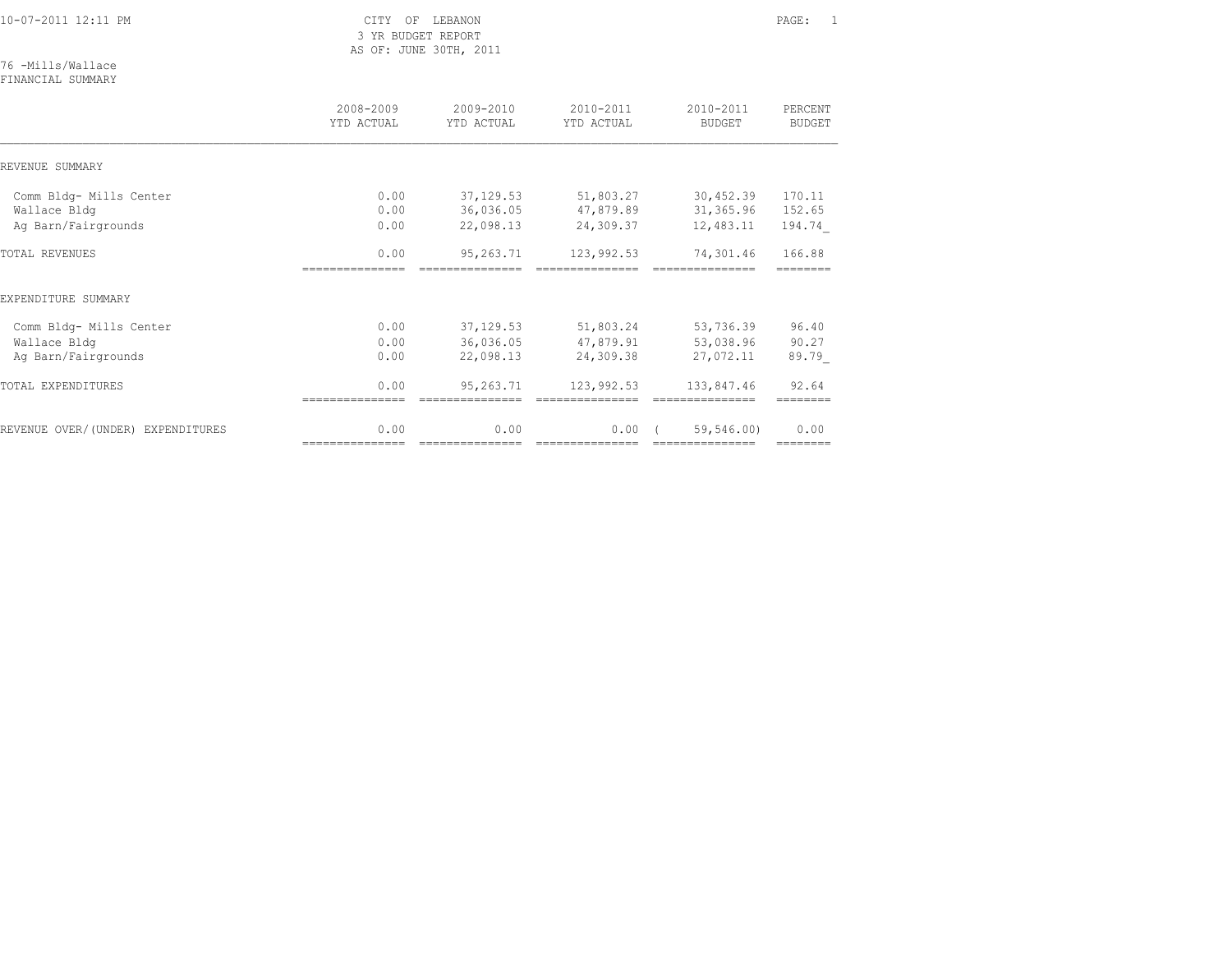76 -Mills/Wallace

FINANCIAL SUMMARY

|                                         | 2008-2009<br>YTD ACTUAL | 2009-2010<br>YTD ACTUAL | 2010-2011<br>YTD ACTUAL | 2010-2011<br><b>BUDGET</b>    | PERCENT<br><b>BUDGET</b> |
|-----------------------------------------|-------------------------|-------------------------|-------------------------|-------------------------------|--------------------------|
| REVENUE SUMMARY                         |                         |                         |                         |                               |                          |
| Comm Bldg- Mills Center<br>Wallace Bldg | 0.00<br>0.00            | 37,129.53<br>36,036.05  | 51,803.27<br>47,879.89  | 30,452.39<br>31,365.96        | 170.11<br>152.65         |
| Ag Barn/Fairgrounds                     | 0.00                    | 22,098.13               | 24,309.37               | 12,483.11                     | 194.74                   |
| <b>TOTAL REVENUES</b>                   | 0.00                    | 95,263.71               | 123,992.53              | 74,301.46                     | 166.88                   |
| EXPENDITURE SUMMARY                     |                         |                         |                         |                               |                          |
| Comm Bldg- Mills Center                 | 0.00                    | 37, 129.53              | 51,803.24               | 53,736.39                     | 96.40                    |
| Wallace Bldg<br>Aq Barn/Fairgrounds     | 0.00<br>0.00            | 36,036.05<br>22,098.13  | 47,879.91<br>24,309.38  | 53,038.96<br>27,072.11        | 90.27<br>89.79           |
| TOTAL EXPENDITURES                      | 0.00                    | 95,263.71               | 123,992.53              | 133,847.46                    | 92.64                    |
| REVENUE OVER/(UNDER) EXPENDITURES       | 0.00                    | 0.00                    | 0.00                    | 59,546.00)<br>--------------- | 0.00                     |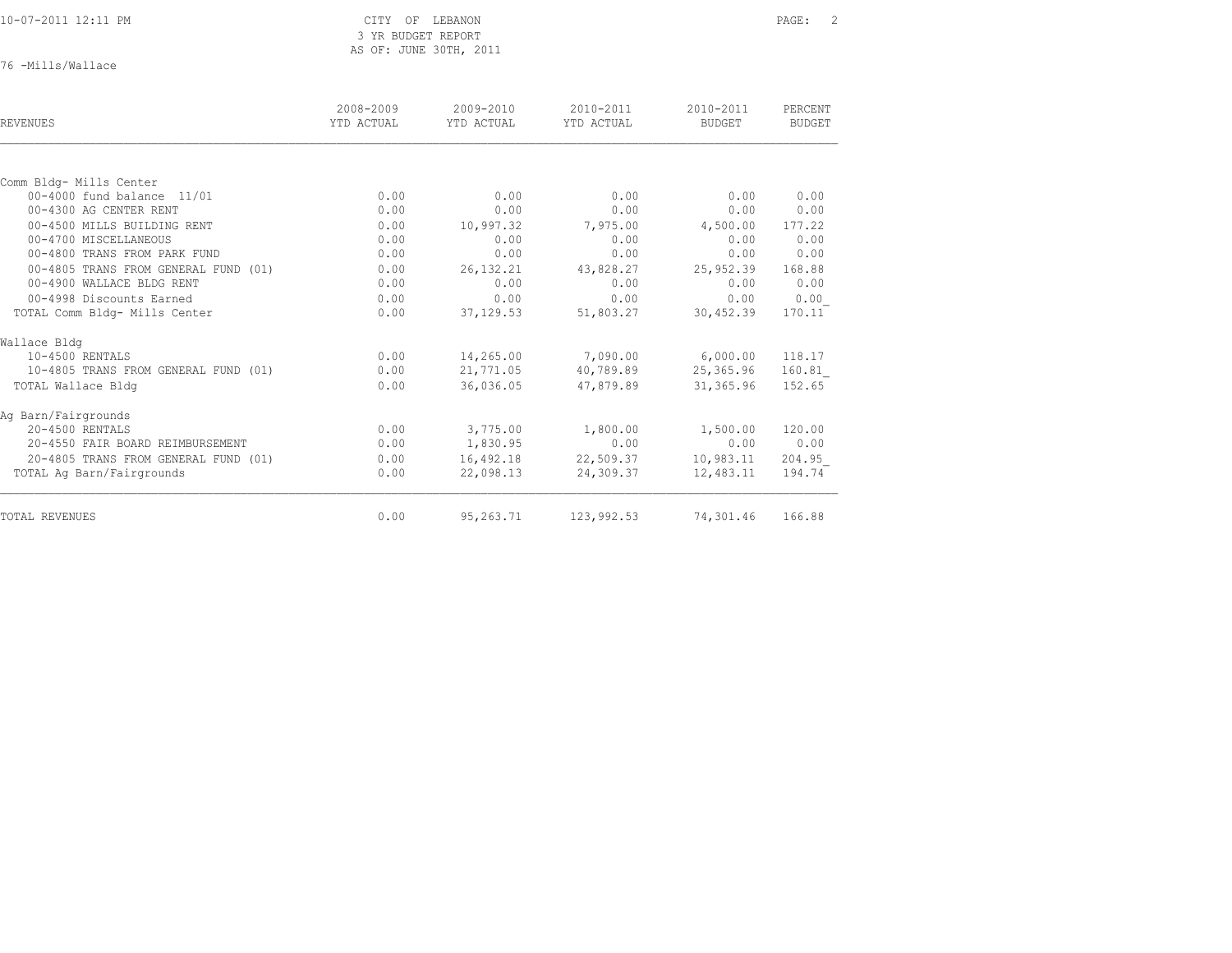|  |  |  |  |  |  | 10-07-2011 12:11 PM |
|--|--|--|--|--|--|---------------------|
|  |  |  |  |  |  |                     |

76 -Mills/Wallace

| REVENUES                             | 2008-2009<br>YTD ACTUAL | 2009-2010<br>YTD ACTUAL | 2010-2011<br>YTD ACTUAL | 2010-2011<br>BUDGET | PERCENT<br><b>BUDGET</b> |
|--------------------------------------|-------------------------|-------------------------|-------------------------|---------------------|--------------------------|
|                                      |                         |                         |                         |                     |                          |
| Comm Bldg- Mills Center              |                         |                         |                         |                     |                          |
| 00-4000 fund balance 11/01           | 0.00                    | 0.00                    | 0.00                    | 0.00                | 0.00                     |
| 00-4300 AG CENTER RENT               | 0.00                    | 0.00                    | 0.00                    | 0.00                | 0.00                     |
| 00-4500 MILLS BUILDING RENT          | 0.00                    | 10,997.32               | 7,975.00                | 4,500.00            | 177.22                   |
| 00-4700 MISCELLANEOUS                | 0.00                    | 0.00                    | 0.00                    | 0.00                | 0.00                     |
| 00-4800 TRANS FROM PARK FUND         | 0.00                    | 0.00                    | 0.00                    | 0.00                | 0.00                     |
| 00-4805 TRANS FROM GENERAL FUND (01) | 0.00                    | 26, 132. 21             | 43,828.27               | 25,952.39           | 168.88                   |
| 00-4900 WALLACE BLDG RENT            | 0.00                    | 0.00                    | 0.00                    | 0.00                | 0.00                     |
| 00-4998 Discounts Earned             | 0.00                    | 0.00                    | 0.00                    | 0.00                | 0.00                     |
| TOTAL Comm Bldg- Mills Center        | 0.00                    | 37, 129.53              | 51,803.27               | 30,452.39           | 170.11                   |
| Wallace Bldg                         |                         |                         |                         |                     |                          |
| 10-4500 RENTALS                      | 0.00                    | 14,265.00               | 7,090.00                | 6,000.00            | 118.17                   |
| 10-4805 TRANS FROM GENERAL FUND (01) | 0.00                    | 21,771.05               | 40,789.89               | 25,365.96           | 160.81                   |
| TOTAL Wallace Bldg                   | 0.00                    | 36,036.05               | 47,879.89               | 31,365.96           | 152.65                   |
| Ag Barn/Fairgrounds                  |                         |                         |                         |                     |                          |
| 20-4500 RENTALS                      | 0.00                    | 3,775.00                | 1,800.00                | 1,500.00            | 120.00                   |
| 20-4550 FAIR BOARD REIMBURSEMENT     | 0.00                    | 1,830.95                | 0.00                    | 0.00                | 0.00                     |
| 20-4805 TRANS FROM GENERAL FUND (01) | 0.00                    | 16,492.18               | 22,509.37               | 10,983.11           | 204.95                   |
| TOTAL Ag Barn/Fairgrounds            | 0.00                    | 22,098.13               | 24,309.37               | 12,483.11           | 194.74                   |
| TOTAL REVENUES                       | 0.00                    | 95,263.71               | 123,992.53              | 74,301.46           | 166.88                   |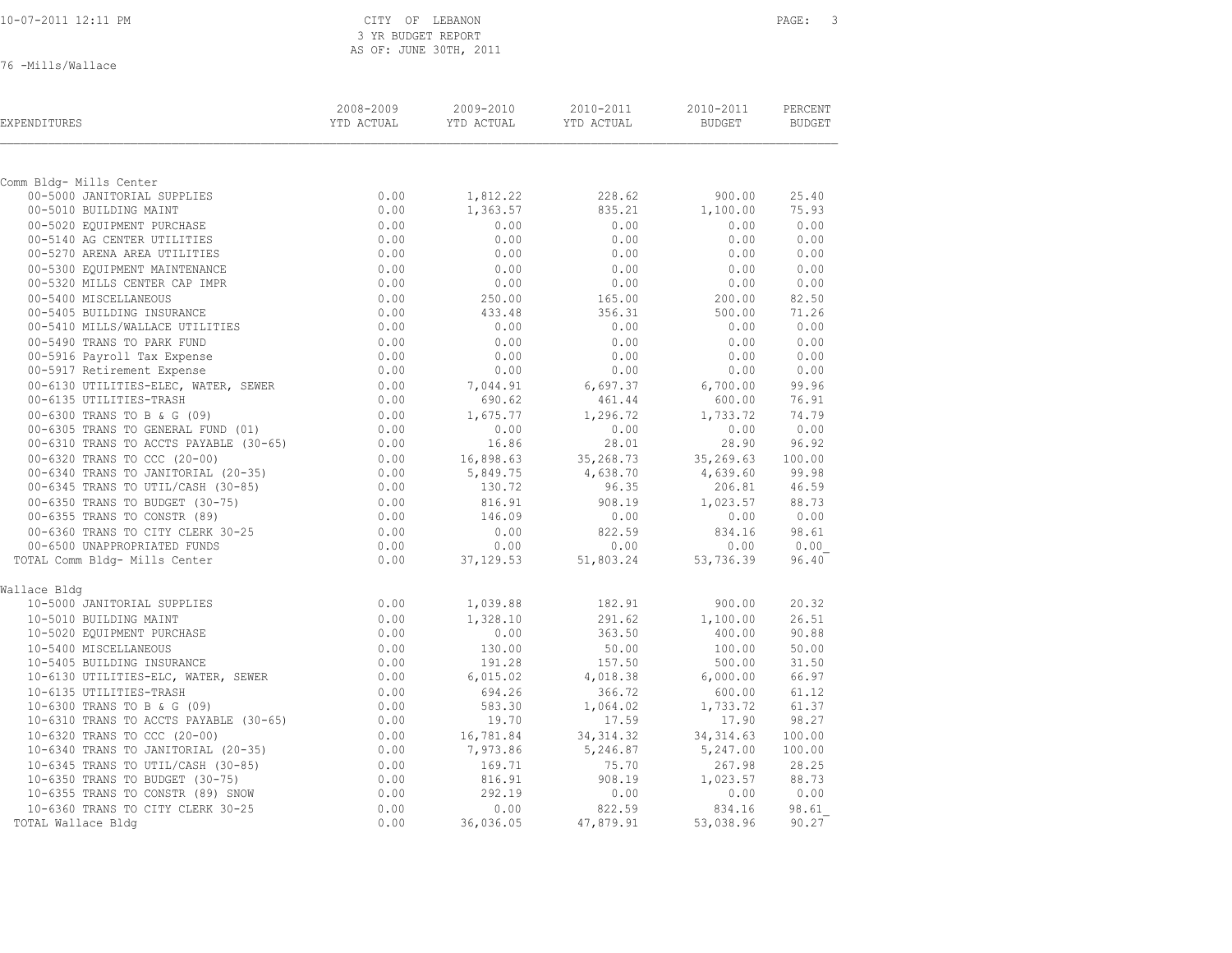76 -Mills/Wallace

| EXPENDITURES                           | 2008-2009<br>YTD ACTUAL | 2009-2010<br>YTD ACTUAL | 2010-2011<br>YTD ACTUAL | 2010-2011<br>BUDGET | PERCENT<br>BUDGET |
|----------------------------------------|-------------------------|-------------------------|-------------------------|---------------------|-------------------|
|                                        |                         |                         |                         |                     |                   |
| Comm Bldg- Mills Center                |                         |                         |                         |                     |                   |
| 00-5000 JANITORIAL SUPPLIES            | 0.00                    | 1,812.22                | 228.62                  | 900.00              | 25.40             |
| 00-5010 BUILDING MAINT                 | 0.00                    | 1,363.57                | 835.21                  | 1,100.00            | 75.93             |
| 00-5020 EQUIPMENT PURCHASE             | 0.00                    | 0.00                    | 0.00                    | 0.00                | 0.00              |
| 00-5140 AG CENTER UTILITIES            | 0.00                    | 0.00                    | 0.00                    | 0.00                | 0.00              |
| 00-5270 ARENA AREA UTILITIES           | 0.00                    | 0.00                    | 0.00                    | 0.00                | 0.00              |
| 00-5300 EQUIPMENT MAINTENANCE          | 0.00                    | 0.00                    | 0.00                    | 0.00                | 0.00              |
| 00-5320 MILLS CENTER CAP IMPR          | 0.00                    | 0.00                    | 0.00                    | 0.00                | 0.00              |
| 00-5400 MISCELLANEOUS                  | 0.00                    | 250.00                  | 165.00                  | 200.00              | 82.50             |
| 00-5405 BUILDING INSURANCE             | 0.00                    | 433.48                  | 356.31                  | 500.00              | 71.26             |
| 00-5410 MILLS/WALLACE UTILITIES        | 0.00                    | 0.00                    | 0.00                    | 0.00                | 0.00              |
| 00-5490 TRANS TO PARK FUND             | 0.00                    | 0.00                    | 0.00                    | 0.00                | 0.00              |
| 00-5916 Payroll Tax Expense            | 0.00                    | 0.00                    | 0.00                    | 0.00                | 0.00              |
| 00-5917 Retirement Expense             | 0.00                    | 0.00                    | 0.00                    | 0.00                | 0.00              |
| 00-6130 UTILITIES-ELEC, WATER, SEWER   | 0.00                    | 7,044.91                | 6,697.37                | 6,700.00            | 99.96             |
| 00-6135 UTILITIES-TRASH                | 0.00                    | 690.62                  | 461.44                  | 600.00              | 76.91             |
| 00-6300 TRANS TO B & G (09)            | 0.00                    | 1,675.77                | 1,296.72                | 1,733.72            | 74.79             |
| 00-6305 TRANS TO GENERAL FUND (01)     | 0.00                    | 0.00                    | 0.00                    | 0.00                | 0.00              |
| 00-6310 TRANS TO ACCTS PAYABLE (30-65) | 0.00                    | 16.86                   | 28.01                   | 28.90               | 96.92             |
| 00-6320 TRANS TO CCC (20-00)           | 0.00                    | 16,898.63               | 35,268.73               | 35,269.63           | 100.00            |
| 00-6340 TRANS TO JANITORIAL (20-35)    | 0.00                    | 5,849.75                | 4,638.70                | 4,639.60            | 99.98             |
| 00-6345 TRANS TO UTIL/CASH (30-85)     | 0.00                    | 130.72                  | 96.35                   | 206.81              | 46.59             |
| 00-6350 TRANS TO BUDGET (30-75)        | 0.00                    | 816.91                  | 908.19                  | 1,023.57            | 88.73             |
| 00-6355 TRANS TO CONSTR (89)           | 0.00                    | 146.09                  | 0.00                    | 0.00                | 0.00              |
| 00-6360 TRANS TO CITY CLERK 30-25      | 0.00                    | 0.00                    | 822.59                  | 834.16              | 98.61             |
| 00-6500 UNAPPROPRIATED FUNDS           | 0.00                    | 0.00                    | 0.00                    | 0.00                | 0.00              |
| TOTAL Comm Bldg- Mills Center          | 0.00                    | 37, 129.53              | 51,803.24               | 53,736.39           | 96.40             |
| Wallace Bldg                           |                         |                         |                         |                     |                   |
| 10-5000 JANITORIAL SUPPLIES            | 0.00                    | 1,039.88                | 182.91                  | 900.00              | 20.32             |
| 10-5010 BUILDING MAINT                 | 0.00                    | 1,328.10                | 291.62                  | 1,100.00            | 26.51             |
| 10-5020 EQUIPMENT PURCHASE             | 0.00                    | 0.00                    | 363.50                  | 400.00              | 90.88             |
| 10-5400 MISCELLANEOUS                  | 0.00                    | 130.00                  | 50.00                   | 100.00              | 50.00             |
| 10-5405 BUILDING INSURANCE             | 0.00                    | 191.28                  | 157.50                  | 500.00              | 31.50             |
| 10-6130 UTILITIES-ELC, WATER, SEWER    | $0.00$<br>$0.00$        | 6,015.02                | 4,018.38                | 6,000.00            | 66.97             |
| 10-6135 UTILITIES-TRASH                |                         | 694.26                  | 366.72                  | 600.00              | 61.12             |
| 10-6300 TRANS TO B & G (09)            | 0.00                    | 583.30                  | 1,064.02                | 1,733.72            | 61.37             |
| 10-6310 TRANS TO ACCTS PAYABLE (30-65) | 0.00                    | 19.70                   | 17.59                   | 17.90               | 98.27             |
| 10-6320 TRANS TO CCC (20-00)           | 0.00                    | 16,781.84               | 34, 314.32              | 34, 314.63          | 100.00            |
| 10-6340 TRANS TO JANITORIAL (20-35)    | 0.00                    | 7,973.86                | 5,246.87                | 5,247.00            | 100.00            |
| 10-6345 TRANS TO UTIL/CASH (30-85)     | 0.00                    | 169.71                  | 75.70                   | 267.98              | 28.25             |
| 10-6350 TRANS TO BUDGET (30-75)        | 0.00                    | 816.91                  | 908.19                  | 1,023.57            | 88.73             |
| 10-6355 TRANS TO CONSTR (89) SNOW      | 0.00                    | 292.19                  | 0.00                    | 0.00                | 0.00              |
| 10-6360 TRANS TO CITY CLERK 30-25      | 0.00                    | 0.00                    | 822.59                  | 834.16              | 98.61             |
| TOTAL Wallace Bldg                     | 0.00                    | 36,036.05               | 47,879.91               | 53,038.96           | 90.27             |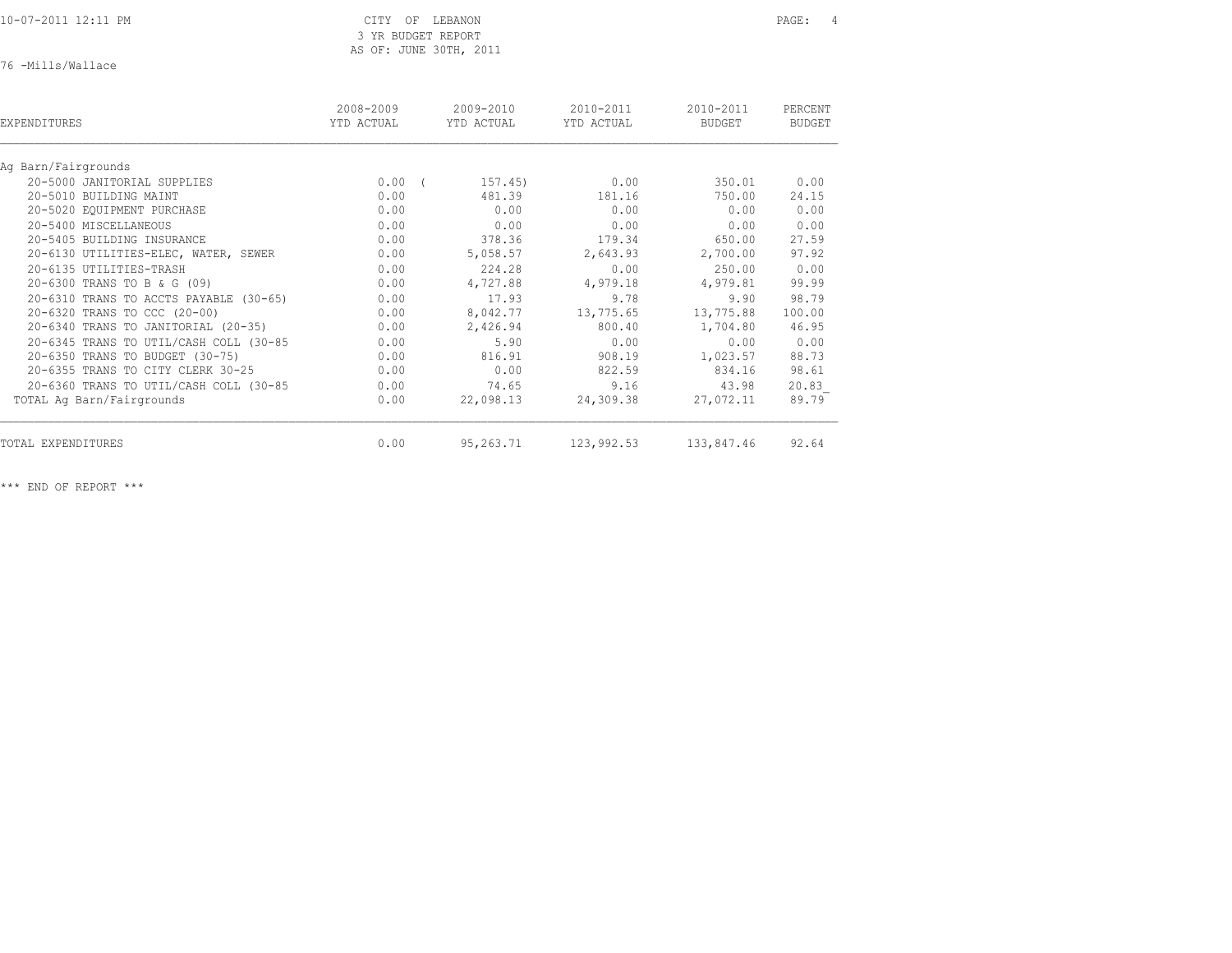10-07-2011 12:11 PM CITY OF LEBANON PAGE: 4

# 3 YR BUDGET REPORT AS OF: JUNE 30TH, 2011

76 -Mills/Wallace

| EXPENDITURES                           | 2008-2009<br>YTD ACTUAL |            | $2009 - 2010$<br>YTD ACTUAL | $2010 - 2011$<br>YTD ACTUAL | $2010 - 2011$<br>BUDGET | PERCENT<br><b>BUDGET</b> |  |
|----------------------------------------|-------------------------|------------|-----------------------------|-----------------------------|-------------------------|--------------------------|--|
| Aq Barn/Fairgrounds                    |                         |            |                             |                             |                         |                          |  |
| 20-5000 JANITORIAL SUPPLIES            | 0.00                    | $\sqrt{2}$ | 157.45)                     | 0.00                        | 350.01                  | 0.00                     |  |
| 20-5010 BUILDING MAINT                 | 0.00                    |            | 481.39                      | 181.16                      | 750.00                  | 24.15                    |  |
| 20-5020 EQUIPMENT PURCHASE             | 0.00                    |            | 0.00                        | 0.00                        | 0.00                    | 0.00                     |  |
| 20-5400 MISCELLANEOUS                  | 0.00                    |            | 0.00                        | 0.00                        | 0.00                    | 0.00                     |  |
| 20-5405 BUILDING INSURANCE             | 0.00                    |            | 378.36                      | 179.34                      | 650.00                  | 27.59                    |  |
| 20-6130 UTILITIES-ELEC, WATER, SEWER   | 0.00                    |            | 5,058.57                    | 2,643.93                    | 2,700.00                | 97.92                    |  |
| 20-6135 UTILITIES-TRASH                | 0.00                    |            | 224.28                      | 0.00                        | 250.00                  | 0.00                     |  |
| 20-6300 TRANS TO B & G (09)            | 0.00                    |            | 4,727.88                    | 4,979.18                    | 4,979.81                | 99.99                    |  |
| 20-6310 TRANS TO ACCTS PAYABLE (30-65) | 0.00                    |            | 17.93                       | 9.78                        | 9.90                    | 98.79                    |  |
| 20-6320 TRANS TO CCC (20-00)           | 0.00                    |            | 8,042.77                    | 13,775.65                   | 13,775.88               | 100.00                   |  |
| 20-6340 TRANS TO JANITORIAL (20-35)    | 0.00                    |            | 2,426.94                    | 800.40                      | 1,704.80                | 46.95                    |  |
| 20-6345 TRANS TO UTIL/CASH COLL (30-85 | 0.00                    |            | 5.90                        | 0.00                        | 0.00                    | 0.00                     |  |
| 20-6350 TRANS TO BUDGET (30-75)        | 0.00                    |            | 816.91                      | 908.19                      | 1,023.57                | 88.73                    |  |
| 20-6355 TRANS TO CITY CLERK 30-25      | 0.00                    |            | 0.00                        | 822.59                      | 834.16                  | 98.61                    |  |
| 20-6360 TRANS TO UTIL/CASH COLL (30-85 | 0.00                    |            | 74.65                       | 9.16                        | 43.98                   | 20.83                    |  |
| TOTAL Ag Barn/Fairgrounds              | 0.00                    |            | 22,098.13                   | 24,309.38                   | 27,072.11               | 89.79                    |  |
| TOTAL EXPENDITURES                     | 0.00                    |            | 95,263.71                   | 123,992.53                  | 133,847.46              | 92.64                    |  |
|                                        |                         |            |                             |                             |                         |                          |  |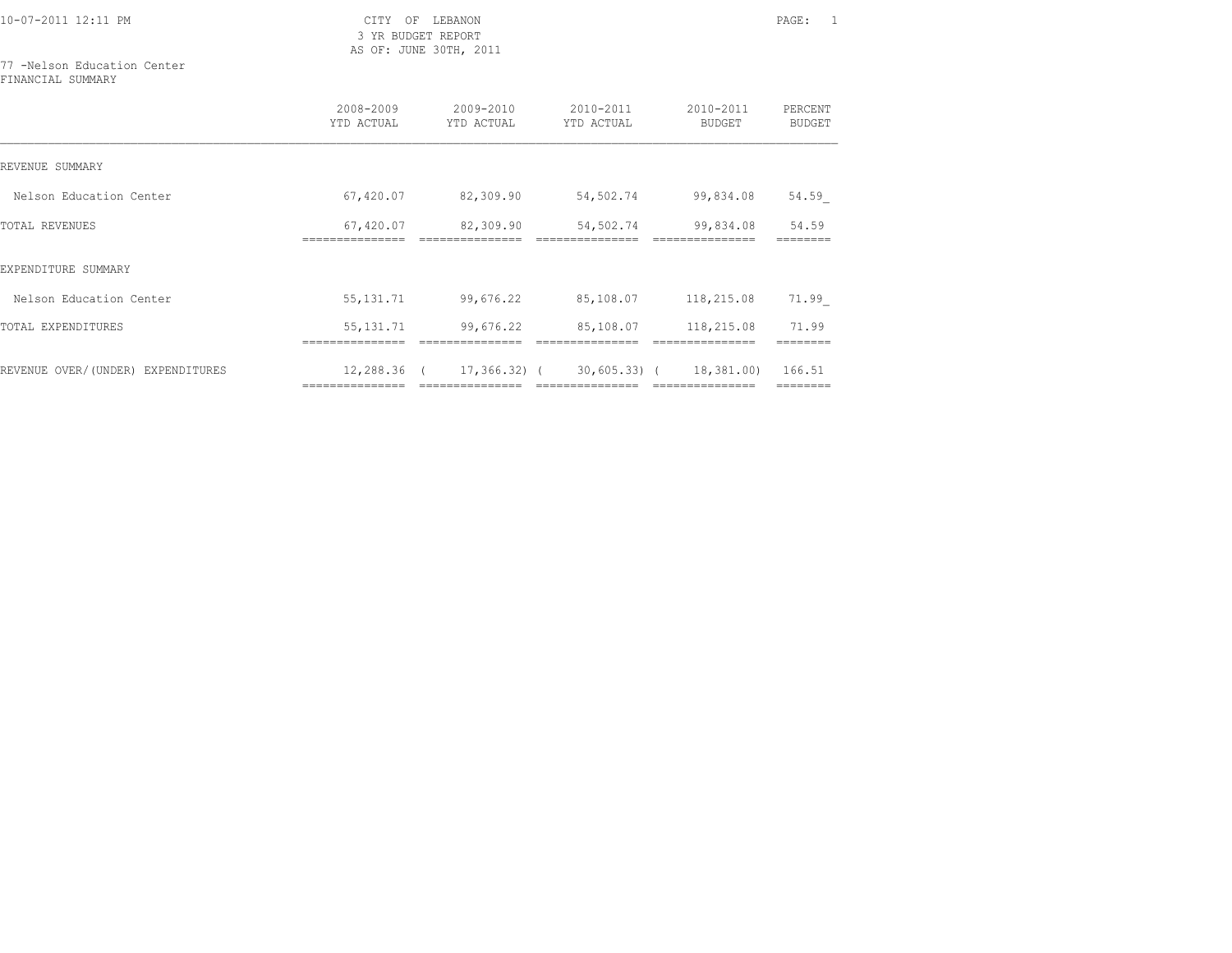10-07-2011 12:11 PM CITY OF LEBANON PAGE: 1

 3 YR BUDGET REPORT AS OF: JUNE 30TH, 2011

77 -Nelson Education Center FINANCIAL SUMMARY

|                                   | 2008-2009<br>YTD ACTUAL | $2009 - 2010$<br>YTD ACTUAL | $2010 - 2011$<br>YTD ACTUAL | 2010-2011<br>BUDGET | PERCENT<br>BUDGET |
|-----------------------------------|-------------------------|-----------------------------|-----------------------------|---------------------|-------------------|
| REVENUE SUMMARY                   |                         |                             |                             |                     |                   |
| Nelson Education Center           | 67,420.07               | 82,309.90                   | 54,502.74                   | 99,834.08           | 54.59             |
| <b>TOTAL REVENUES</b>             | 67,420.07               | 82,309.90                   | 54,502.74                   | 99,834.08           | 54.59             |
| EXPENDITURE SUMMARY               |                         |                             |                             |                     |                   |
| Nelson Education Center           | 55, 131.71              | 99,676.22                   | 85,108.07                   | 118,215.08          | 71.99             |
| TOTAL EXPENDITURES                | 55, 131.71              | 99,676.22                   | 85,108.07                   | 118,215.08          | 71.99             |
| REVENUE OVER/(UNDER) EXPENDITURES | 12,288.36 (             | 17,366.32) (                | 30,605.33) (                | 18,381.00)          | 166.51            |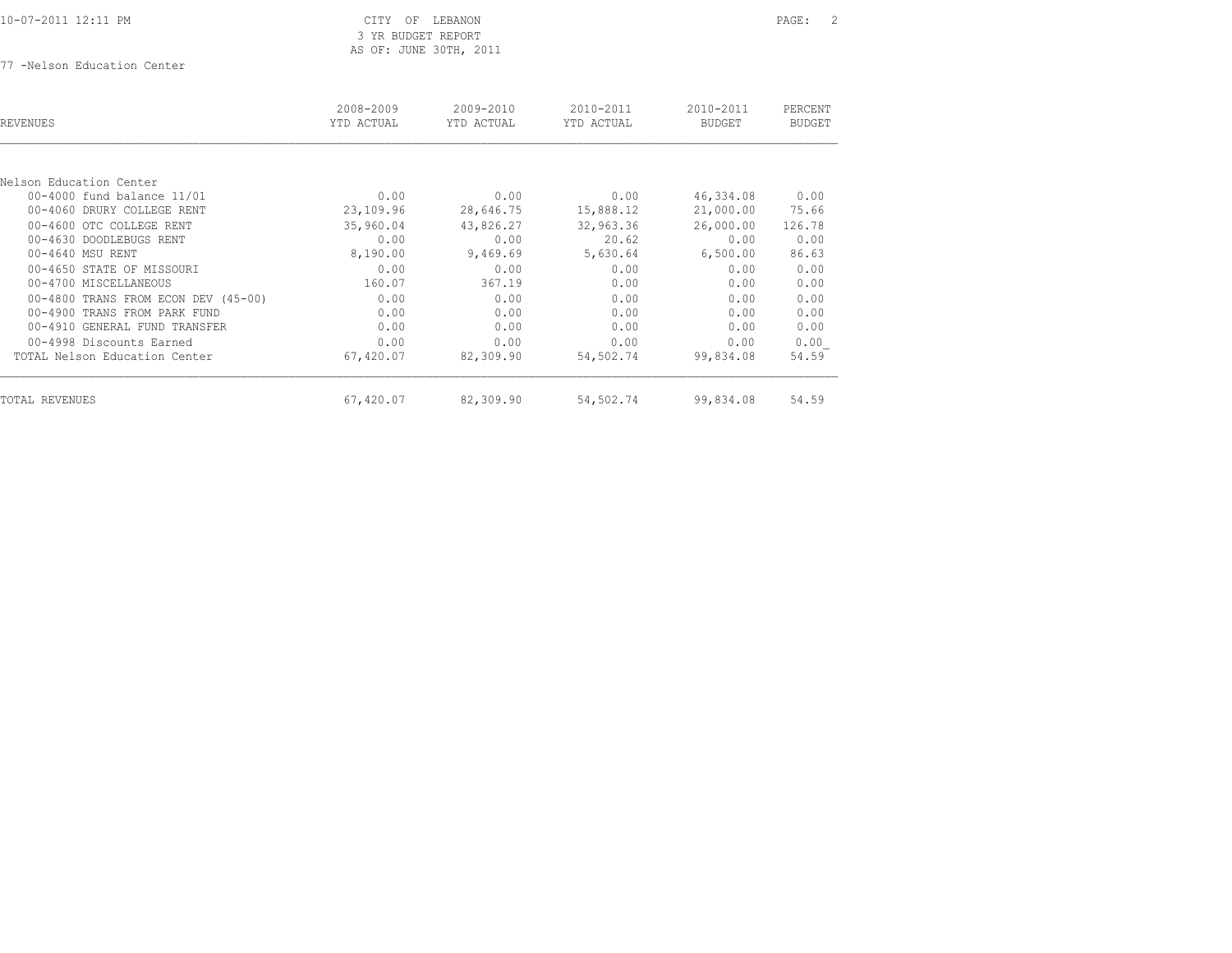77 -Nelson Education Center

| <b>REVENUES</b>                     | 2008-2009<br>YTD ACTUAL | 2009-2010<br>YTD ACTUAL | 2010-2011<br>YTD ACTUAL | 2010-2011<br><b>BUDGET</b> | PERCENT<br><b>BUDGET</b> |
|-------------------------------------|-------------------------|-------------------------|-------------------------|----------------------------|--------------------------|
|                                     |                         |                         |                         |                            |                          |
| Nelson Education Center             |                         |                         |                         |                            |                          |
| 00-4000 fund balance 11/01          | 0.00                    | 0.00                    | 0.00                    | 46,334.08                  | 0.00                     |
| 00-4060 DRURY COLLEGE RENT          | 23,109.96               | 28,646.75               | 15,888.12               | 21,000.00                  | 75.66                    |
| 00-4600 OTC COLLEGE RENT            | 35,960.04               | 43,826.27               | 32,963.36               | 26,000.00                  | 126.78                   |
| 00-4630 DOODLEBUGS RENT             | 0.00                    | 0.00                    | 20.62                   | 0.00                       | 0.00                     |
| 00-4640 MSU RENT                    | 8,190.00                | 9,469.69                | 5,630.64                | 6,500.00                   | 86.63                    |
| 00-4650 STATE OF MISSOURI           | 0.00                    | 0.00                    | 0.00                    | 0.00                       | 0.00                     |
| 00-4700 MISCELLANEOUS               | 160.07                  | 367.19                  | 0.00                    | 0.00                       | 0.00                     |
| 00-4800 TRANS FROM ECON DEV (45-00) | 0.00                    | 0.00                    | 0.00                    | 0.00                       | 0.00                     |
| 00-4900 TRANS FROM PARK FUND        | 0.00                    | 0.00                    | 0.00                    | 0.00                       | 0.00                     |
| 00-4910 GENERAL FUND TRANSFER       | 0.00                    | 0.00                    | 0.00                    | 0.00                       | 0.00                     |
| 00-4998 Discounts Earned            | 0.00                    | 0.00                    | 0.00                    | 0.00                       | 0.00                     |
| TOTAL Nelson Education Center       | 67,420.07               | 82,309.90               | 54,502.74               | 99,834.08                  | 54.59                    |
| TOTAL REVENUES                      | 67,420.07               | 82,309.90               | 54,502.74               | 99,834.08                  | 54.59                    |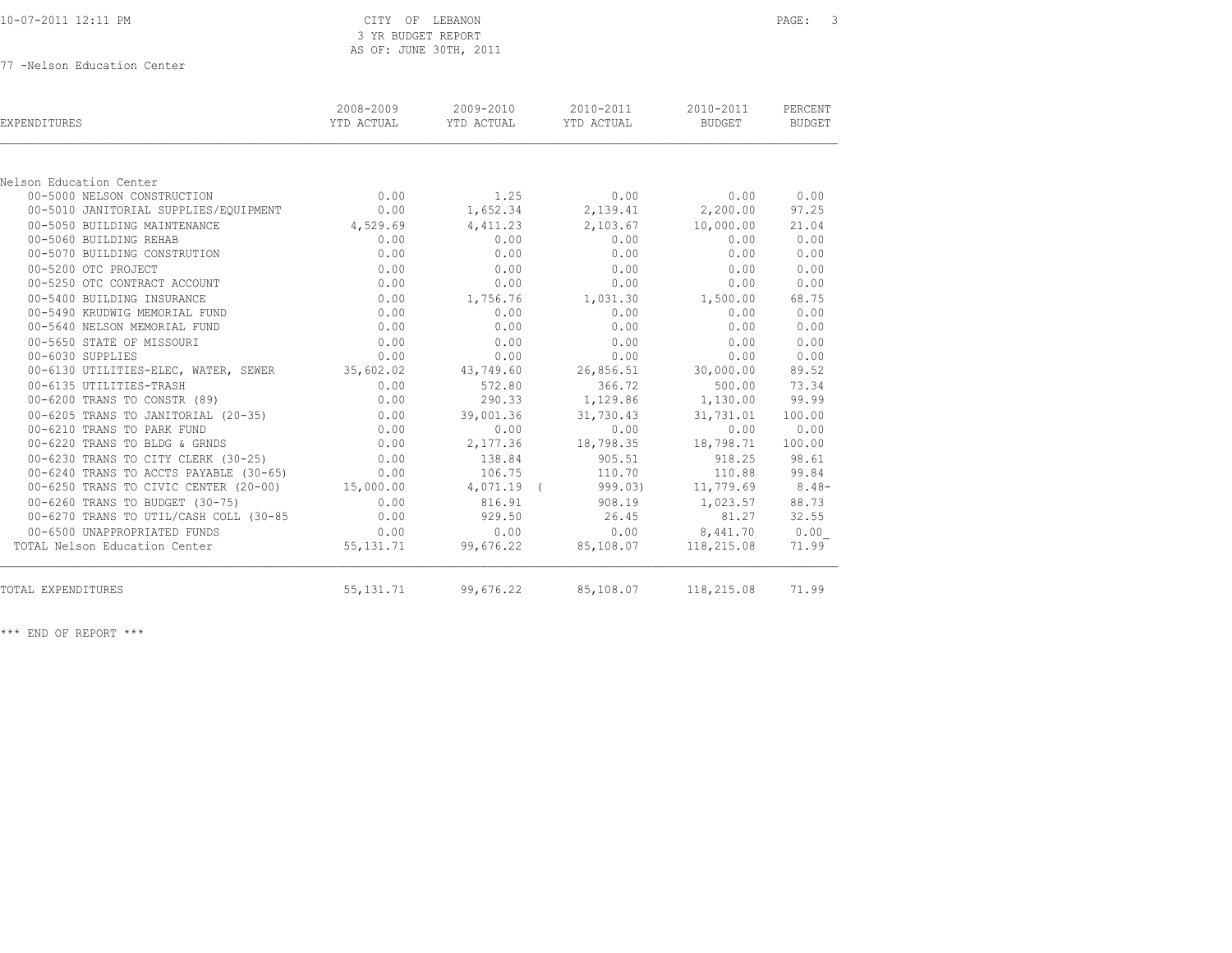| 10-07-2011 12:11 PM |  |  |  |
|---------------------|--|--|--|
|---------------------|--|--|--|

77 -Nelson Education Center

| <b>EXPENDITURES</b>                             | 2008-2009<br>YTD ACTUAL | 2009-2010<br>YTD ACTUAL | 2010-2011<br>YTD ACTUAL                      | 2010-2011<br>BUDGET | PERCENT<br><b>BUDGET</b> |
|-------------------------------------------------|-------------------------|-------------------------|----------------------------------------------|---------------------|--------------------------|
|                                                 |                         |                         |                                              |                     |                          |
| Nelson Education Center                         |                         |                         |                                              |                     |                          |
| 00-5000 NELSON CONSTRUCTION                     | 0.00                    |                         | $1.25$ 0.00                                  | 0.00                | 0.00                     |
| 00-5010 JANITORIAL SUPPLIES/EQUIPMENT           | 0.00                    |                         | 1,652.34 2,139.41 2,200.00                   |                     | 97.25                    |
| 00-5050 BUILDING MAINTENANCE                    | 4,529.69                | 4,411.23                | 2,103.67 10,000.00                           |                     | 21.04                    |
| 00-5060 BUILDING REHAB                          | 0.00                    | 0.00                    | 0.00                                         | 0.00                | 0.00                     |
| 00-5070 BUILDING CONSTRUTION                    | 0.00                    | 0.00                    | 0.00                                         | 0.00                | 0.00                     |
| 00-5200 OTC PROJECT                             | 0.00                    | 0.00                    | 0.00                                         | 0.00                | 0.00                     |
| 00-5250 OTC CONTRACT ACCOUNT                    | 0.00                    | 0.00                    | 0.00                                         | 0.00                | 0.00                     |
| 00-5400 BUILDING INSURANCE                      | 0.00                    | 1,756.76                | 1,031.30                                     | 1,500.00            | 68.75                    |
| 00-5490 KRUDWIG MEMORIAL FUND                   | 0.00                    | 0.00                    | 0.00                                         | 0.00                | 0.00                     |
| 00-5640 NELSON MEMORIAL FUND                    | 0.00                    | 0.00                    | 0.00                                         | 0.00                | 0.00                     |
| 00-5650 STATE OF MISSOURI                       | 0.00                    | 0.00                    | 0.00                                         | 0.00                | 0.00                     |
| 00-6030 SUPPLIES                                | 0.00                    | 0.00                    | 0.00                                         | 0.00                | 0.00                     |
| 00-6130 UTILITIES-ELEC, WATER, SEWER 35,602.02  |                         | 43,749.60               | 26,856.51                                    | 30,000.00           | 89.52                    |
| 00-6135 UTILITIES-TRASH                         | 0.00                    | 572.80                  | 366.72                                       | 500.00              | 73.34                    |
| 00-6200 TRANS TO CONSTR (89)                    | 0.00                    | 290.33                  | 1,129.86                                     | 1,130.00            | 99.99                    |
| 00-6205 TRANS TO JANITORIAL (20-35) 0.00        |                         | 39,001.36               | 31,730.43                                    | 31,731.01           | 100.00                   |
| 00-6210 TRANS TO PARK FUND                      | 0.00                    | 0.00                    | 0.00                                         | 0.00                | 0.00                     |
| 00-6220 TRANS TO BLDG & GRNDS                   | 0.00                    | 2,177.36                | 18,798.35                                    | 18,798.71           | 100.00                   |
| 0.00 00-6230 TRANS TO CITY CLERK (30-25)        |                         | 138.84                  | 905.51                                       | 918.25              | 98.61                    |
| 00-6240 TRANS TO ACCTS PAYABLE (30-65)          | 0.00                    | 106.75                  | 110.70                                       |                     | 110.88 99.84             |
| 00-6250 TRANS TO CIVIC CENTER (20-00) 15,000.00 |                         | $4,071.19$ (            | 999.03)                                      | $11,779.69$ 8.48-   |                          |
| 00-6260 TRANS TO BUDGET (30-75)                 | 0.00                    | 816.91                  |                                              | 908.19 1,023.57     | 88.73                    |
| 00-6270 TRANS TO UTIL/CASH COLL (30-85          | 0.00                    | 929.50                  | 26.45                                        | 81.27               | 32.55                    |
| 00-6500 UNAPPROPRIATED FUNDS                    | 0.00                    | 0.00                    |                                              | $0.00$ $8,441.70$   | 0.00                     |
| TOTAL Nelson Education Center                   |                         |                         | 55, 131. 71 99, 676. 22 85, 108. 07          | 118,215.08          | 71.99                    |
| TOTAL EXPENDITURES                              |                         |                         | 55, 131.71 99, 676.22 85, 108.07 118, 215.08 |                     | 71.99                    |
|                                                 |                         |                         |                                              |                     |                          |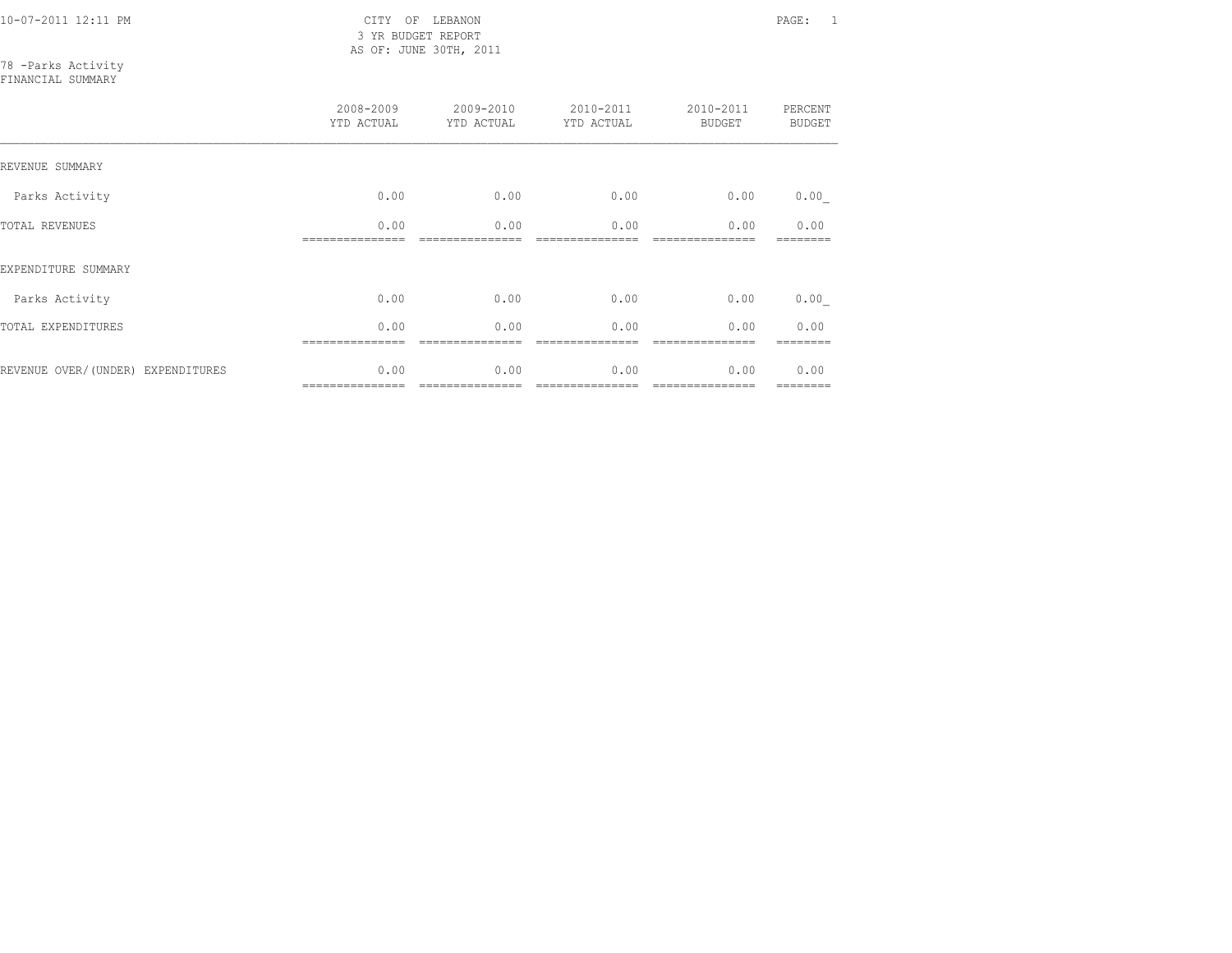10-07-2011 12:11 PM CITY OF LEBANON PAGE: 1 3 YR BUDGET REPORT AS OF: JUNE 30TH, 2011

78 -Parks Activity FINANCIAL SUMMARY

|                                   | 2008-2009<br>YTD ACTUAL | 2009-2010<br>YTD ACTUAL | 2010-2011<br>YTD ACTUAL | 2010-2011<br><b>BUDGET</b> | PERCENT<br><b>BUDGET</b> |
|-----------------------------------|-------------------------|-------------------------|-------------------------|----------------------------|--------------------------|
| REVENUE SUMMARY                   |                         |                         |                         |                            |                          |
| Parks Activity                    | 0.00                    | 0.00                    | 0.00                    | 0.00                       | 0.00                     |
| <b>TOTAL REVENUES</b>             | 0.00                    | 0.00                    | 0.00                    | 0.00                       | 0.00                     |
| EXPENDITURE SUMMARY               |                         |                         |                         |                            |                          |
| Parks Activity                    | 0.00                    | 0.00                    | 0.00                    | 0.00                       | 0.00                     |
| TOTAL EXPENDITURES                | 0.00                    | 0.00                    | 0.00                    | 0.00                       | 0.00                     |
| REVENUE OVER/(UNDER) EXPENDITURES | 0.00<br>=============== | 0.00                    | 0.00                    | 0.00                       | 0.00<br>========         |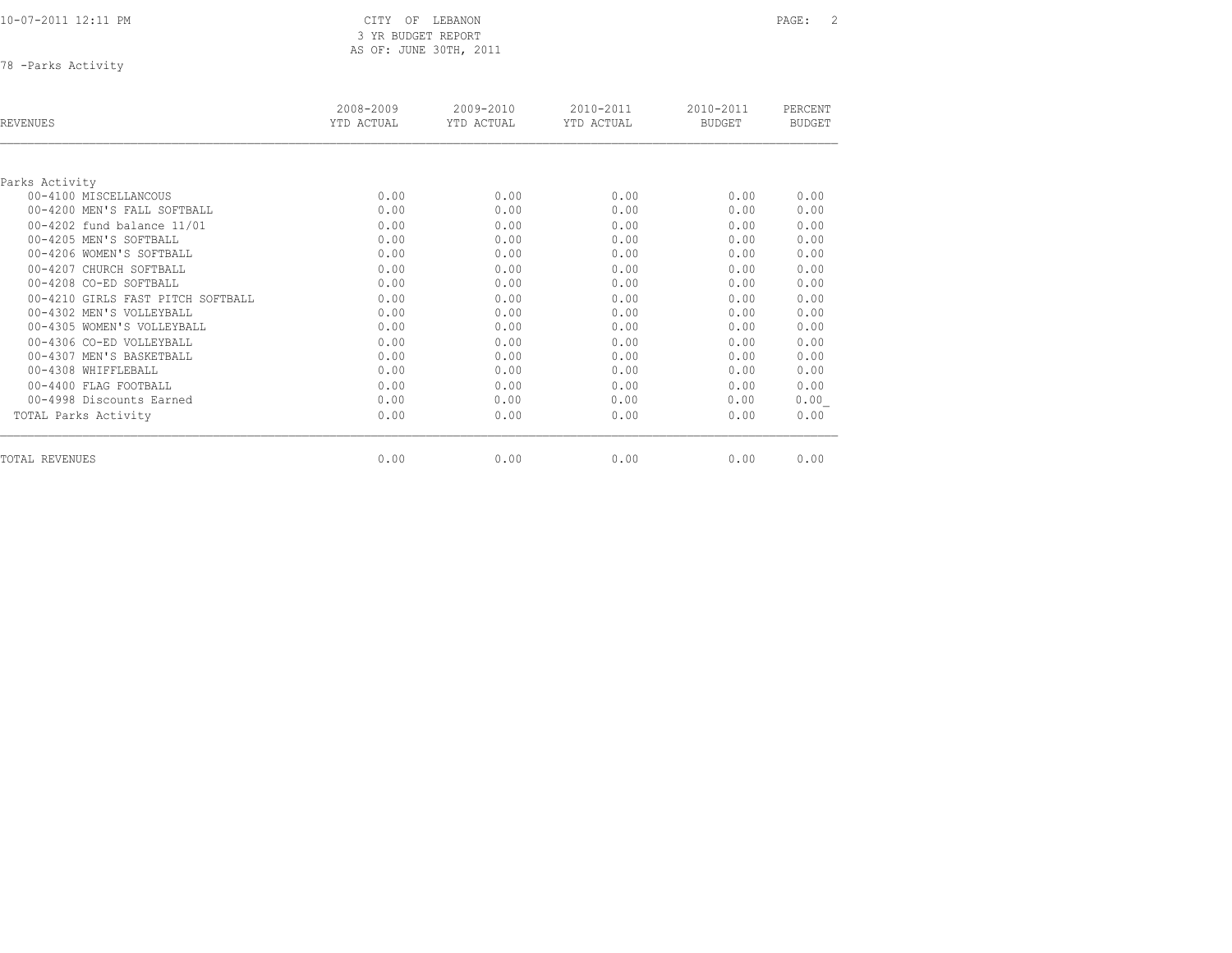10-07-2011 12:11 PM CITY OF LEBANON PAGE: 2

 3 YR BUDGET REPORT AS OF: JUNE 30TH, 2011

78 -Parks Activity

| REVENUES                          | 2008-2009<br>YTD ACTUAL | 2009-2010<br>YTD ACTUAL | 2010-2011<br>YTD ACTUAL | 2010-2011<br><b>BUDGET</b> | PERCENT<br><b>BUDGET</b> |
|-----------------------------------|-------------------------|-------------------------|-------------------------|----------------------------|--------------------------|
|                                   |                         |                         |                         |                            |                          |
| Parks Activity                    |                         |                         |                         |                            |                          |
| 00-4100 MISCELLANCOUS             | 0.00                    | 0.00                    | 0.00                    | 0.00                       | 0.00                     |
| 00-4200 MEN'S FALL SOFTBALL       | 0.00                    | 0.00                    | 0.00                    | 0.00                       | 0.00                     |
| 00-4202 fund balance 11/01        | 0.00                    | 0.00                    | 0.00                    | 0.00                       | 0.00                     |
| 00-4205 MEN'S SOFTBALL            | 0.00                    | 0.00                    | 0.00                    | 0.00                       | 0.00                     |
| 00-4206 WOMEN'S SOFTBALL          | 0.00                    | 0.00                    | 0.00                    | 0.00                       | 0.00                     |
| 00-4207 CHURCH SOFTBALL           | 0.00                    | 0.00                    | 0.00                    | 0.00                       | 0.00                     |
| 00-4208 CO-ED SOFTBALL            | 0.00                    | 0.00                    | 0.00                    | 0.00                       | 0.00                     |
| 00-4210 GIRLS FAST PITCH SOFTBALL | 0.00                    | 0.00                    | 0.00                    | 0.00                       | 0.00                     |
| 00-4302 MEN'S VOLLEYBALL          | 0.00                    | 0.00                    | 0.00                    | 0.00                       | 0.00                     |
| 00-4305 WOMEN'S VOLLEYBALL        | 0.00                    | 0.00                    | 0.00                    | 0.00                       | 0.00                     |
| 00-4306 CO-ED VOLLEYBALL          | 0.00                    | 0.00                    | 0.00                    | 0.00                       | 0.00                     |
| 00-4307 MEN'S BASKETBALL          | 0.00                    | 0.00                    | 0.00                    | 0.00                       | 0.00                     |
| 00-4308 WHIFFLEBALL               | 0.00                    | 0.00                    | 0.00                    | 0.00                       | 0.00                     |
| 00-4400 FLAG FOOTBALL             | 0.00                    | 0.00                    | 0.00                    | 0.00                       | 0.00                     |
| 00-4998 Discounts Earned          | 0.00                    | 0.00                    | 0.00                    | 0.00                       | 0.00                     |
| TOTAL Parks Activity              | 0.00                    | 0.00                    | 0.00                    | 0.00                       | 0.00                     |
| TOTAL REVENUES                    | 0.00                    | 0.00                    | 0.00                    | 0.00                       | 0.00                     |
|                                   |                         |                         |                         |                            |                          |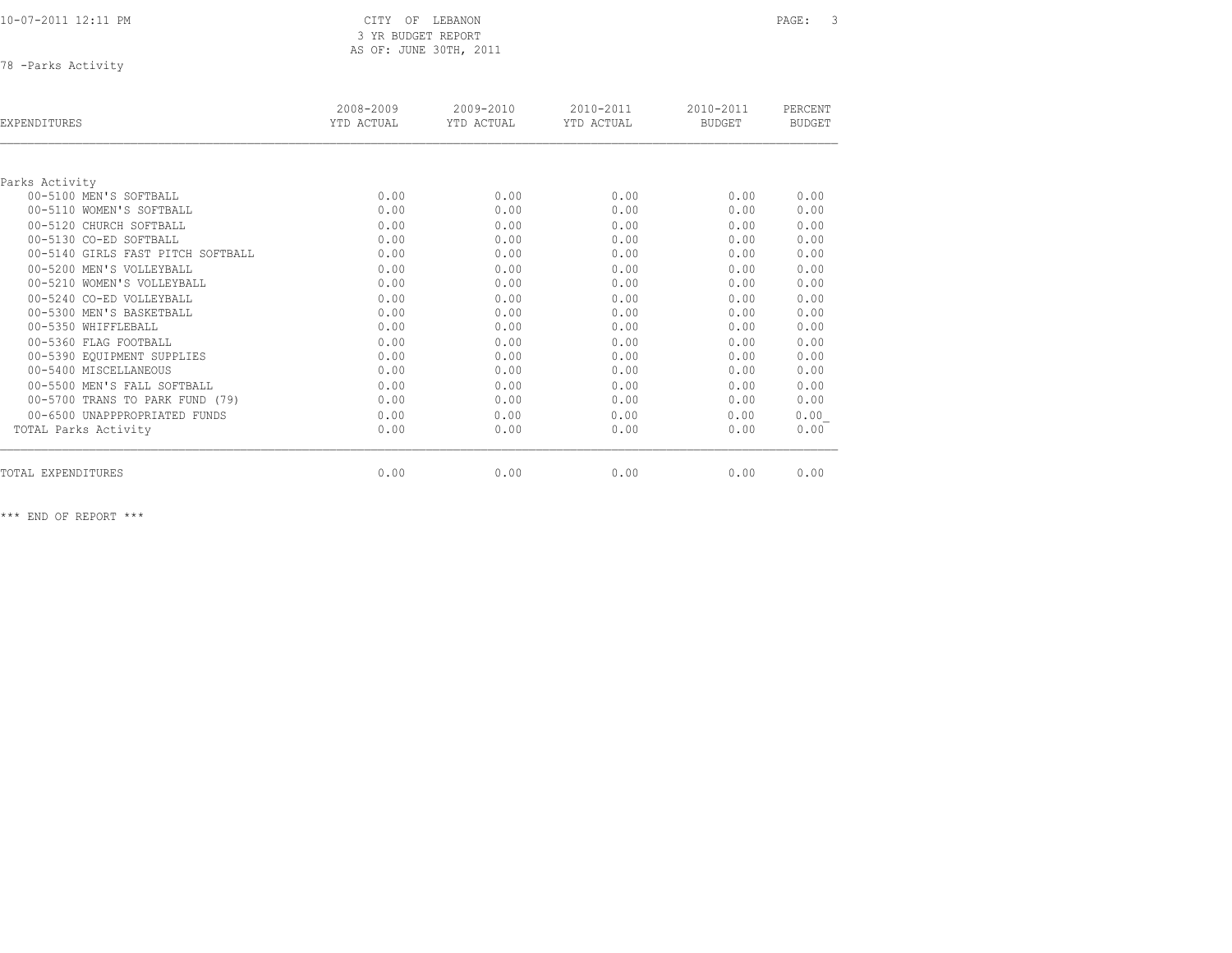| 10-07-2011 12:11 PM |  |
|---------------------|--|
|                     |  |

78 -Parks Activity

| EXPENDITURES                      | 2008-2009<br>YTD ACTUAL | $2009 - 2010$<br>YTD ACTUAL | $2010 - 2011$<br>YTD ACTUAL | $2010 - 2011$<br><b>BUDGET</b> | PERCENT<br><b>BUDGET</b> |
|-----------------------------------|-------------------------|-----------------------------|-----------------------------|--------------------------------|--------------------------|
|                                   |                         |                             |                             |                                |                          |
| Parks Activity                    |                         |                             |                             |                                |                          |
| 00-5100 MEN'S SOFTBALL            | 0.00                    | 0.00                        | 0.00                        | 0.00                           | 0.00                     |
| 00-5110 WOMEN'S SOFTBALL          | 0.00                    | 0.00                        | 0.00                        | 0.00                           | 0.00                     |
| 00-5120 CHURCH SOFTBALL           | 0.00                    | 0.00                        | 0.00                        | 0.00                           | 0.00                     |
| 00-5130 CO-ED SOFTBALL            | 0.00                    | 0.00                        | 0.00                        | 0.00                           | 0.00                     |
| 00-5140 GIRLS FAST PITCH SOFTBALL | 0.00                    | 0.00                        | 0.00                        | 0.00                           | 0.00                     |
| 00-5200 MEN'S VOLLEYBALL          | 0.00                    | 0.00                        | 0.00                        | 0.00                           | 0.00                     |
| 00-5210 WOMEN'S VOLLEYBALL        | 0.00                    | 0.00                        | 0.00                        | 0.00                           | 0.00                     |
| 00-5240 CO-ED VOLLEYBALL          | 0.00                    | 0.00                        | 0.00                        | 0.00                           | 0.00                     |
| 00-5300 MEN'S BASKETBALL          | 0.00                    | 0.00                        | 0.00                        | 0.00                           | 0.00                     |
| 00-5350 WHIFFLEBALL               | 0.00                    | 0.00                        | 0.00                        | 0.00                           | 0.00                     |
| 00-5360 FLAG FOOTBALL             | 0.00                    | 0.00                        | 0.00                        | 0.00                           | 0.00                     |
| 00-5390 EQUIPMENT SUPPLIES        | 0.00                    | 0.00                        | 0.00                        | 0.00                           | 0.00                     |
| 00-5400 MISCELLANEOUS             | 0.00                    | 0.00                        | 0.00                        | 0.00                           | 0.00                     |
| 00-5500 MEN'S FALL SOFTBALL       | 0.00                    | 0.00                        | 0.00                        | 0.00                           | 0.00                     |
| 00-5700 TRANS TO PARK FUND (79)   | 0.00                    | 0.00                        | 0.00                        | 0.00                           | 0.00                     |
| 00-6500 UNAPPPROPRIATED FUNDS     | 0.00                    | 0.00                        | 0.00                        | 0.00                           | 0.00                     |
| TOTAL Parks Activity              | 0.00                    | 0.00                        | 0.00                        | 0.00                           | 0.00                     |
|                                   |                         |                             |                             |                                | 0.00                     |
| TOTAL EXPENDITURES                | 0.00                    | 0.00                        | 0.00                        | 0.00                           |                          |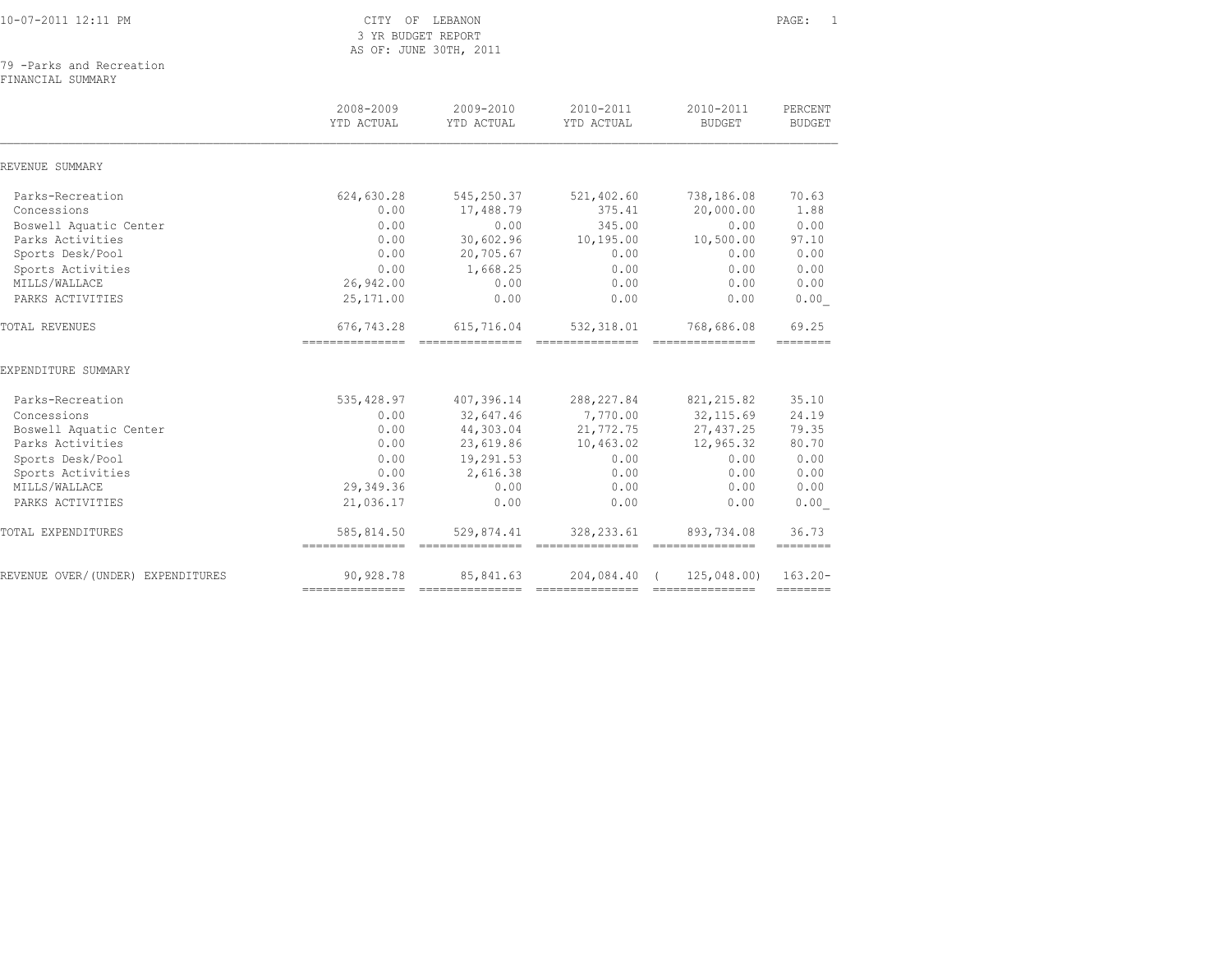| 10-07-2011 12:11 PM |
|---------------------|
|---------------------|

|  | 79 -Parks and Recreation |
|--|--------------------------|
|  |                          |

FINANCIAL SUMMARY

|                                   | 2008-2009<br>YTD ACTUAL                          | 2009-2010<br>YTD ACTUAL       | 2010-2011<br>YTD ACTUAL        | 2010-2011<br><b>BUDGET</b>                           | PERCENT<br><b>BUDGET</b> |
|-----------------------------------|--------------------------------------------------|-------------------------------|--------------------------------|------------------------------------------------------|--------------------------|
| REVENUE SUMMARY                   |                                                  |                               |                                |                                                      |                          |
| Parks-Recreation                  | 624,630.28                                       | 545,250.37                    | 521,402.60                     | 738,186.08                                           | 70.63                    |
| Concessions                       | 0.00                                             | 17,488.79                     | 375.41                         | 20,000.00                                            | 1.88                     |
| Boswell Aquatic Center            | 0.00                                             | 0.00                          | 345.00                         | 0.00                                                 | 0.00                     |
| Parks Activities                  | 0.00                                             | 30,602.96                     | 10,195.00                      | 10,500.00                                            | 97.10                    |
| Sports Desk/Pool                  | 0.00                                             | 20,705.67                     | 0.00                           | 0.00                                                 | 0.00                     |
| Sports Activities                 | 0.00                                             | 1,668.25                      | 0.00                           | 0.00                                                 | 0.00                     |
| MILLS/WALLACE                     | 26,942.00                                        | 0.00                          | 0.00                           | 0.00                                                 | 0.00                     |
| PARKS ACTIVITIES                  | 25, 171.00                                       | 0.00                          | 0.00                           | 0.00                                                 | 0.00                     |
| TOTAL REVENUES                    | 676,743.28                                       | 615,716.04                    | 532, 318.01                    | 768,686.08                                           | 69.25<br>========        |
| EXPENDITURE SUMMARY               |                                                  |                               |                                |                                                      |                          |
| Parks-Recreation                  | 535,428.97                                       | 407,396.14                    | 288, 227.84                    | 821, 215.82                                          | 35.10                    |
| Concessions                       | 0.00                                             | 32,647.46                     | 7,770.00                       | 32, 115.69                                           | 24.19                    |
| Boswell Aquatic Center            | 0.00                                             | 44,303.04                     | 21,772.75                      | 27, 437.25                                           | 79.35                    |
| Parks Activities                  | 0.00                                             | 23,619.86                     | 10,463.02                      | 12,965.32                                            | 80.70                    |
| Sports Desk/Pool                  | 0.00                                             | 19,291.53                     | 0.00                           | 0.00                                                 | 0.00                     |
| Sports Activities                 | 0.00                                             | 2,616.38                      | 0.00                           | 0.00                                                 | 0.00                     |
| MILLS/WALLACE                     | 29,349.36                                        | 0.00                          | 0.00                           | 0.00                                                 | 0.00                     |
| PARKS ACTIVITIES                  | 21,036.17                                        | 0.00                          | 0.00                           | 0.00                                                 | 0.00                     |
| TOTAL EXPENDITURES                | 585,814.50<br>---------------- ----------------- | 529,874.41                    | 328, 233.61<br>--------------- | 893,734.08<br>---------------                        | 36.73<br>ennenne         |
| REVENUE OVER/(UNDER) EXPENDITURES | 90,928.78<br>---------------                     | 85,841.63<br>---------------- | 204,084.40                     | 125,048.00)<br>===================================== | $163.20 -$<br>========   |
|                                   |                                                  |                               |                                |                                                      |                          |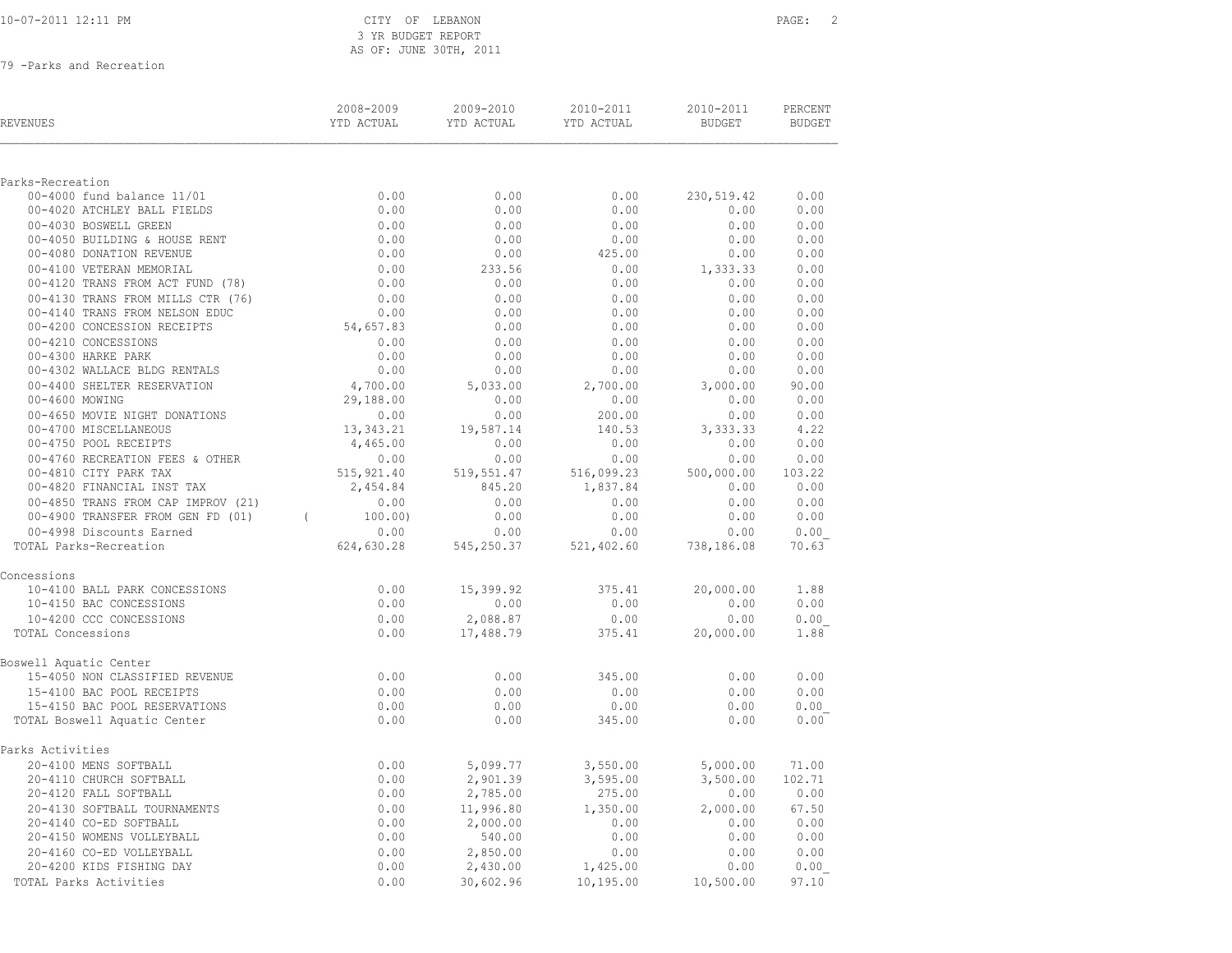|  |  |  | 10-07-2011 12:11 PM |  |  |  |
|--|--|--|---------------------|--|--|--|
|--|--|--|---------------------|--|--|--|

| <b>REVENUES</b>                                     | 2008-2009<br>YTD ACTUAL | 2009-2010<br>YTD ACTUAL | 2010-2011<br>YTD ACTUAL | 2010-2011<br><b>BUDGET</b> | PERCENT<br><b>BUDGET</b> |
|-----------------------------------------------------|-------------------------|-------------------------|-------------------------|----------------------------|--------------------------|
|                                                     |                         |                         |                         |                            |                          |
| Parks-Recreation<br>00-4000 fund balance 11/01      | 0.00                    | 0.00                    | 0.00                    | 230,519.42                 | 0.00                     |
| 00-4020 ATCHLEY BALL FIELDS                         | 0.00                    | 0.00                    | 0.00                    | 0.00                       | 0.00                     |
| 00-4030 BOSWELL GREEN                               | 0.00                    | 0.00                    | 0.00                    | 0.00                       | 0.00                     |
| 00-4050 BUILDING & HOUSE RENT                       | 0.00                    | 0.00                    | 0.00                    | 0.00                       | 0.00                     |
| 00-4080 DONATION REVENUE                            | 0.00                    | 0.00                    | 425.00                  | 0.00                       | 0.00                     |
| 00-4100 VETERAN MEMORIAL                            | 0.00                    | 233.56                  | 0.00                    | 1,333.33                   | 0.00                     |
| 00-4120 TRANS FROM ACT FUND (78)                    | 0.00                    | 0.00                    | 0.00                    | 0.00                       | 0.00                     |
| 00-4130 TRANS FROM MILLS CTR (76)                   | 0.00                    | 0.00                    | 0.00                    | 0.00                       | 0.00                     |
| 00-4140 TRANS FROM NELSON EDUC                      | 0.00                    | 0.00                    | 0.00                    | 0.00                       | 0.00                     |
| 00-4200 CONCESSION RECEIPTS                         | 54,657.83               | 0.00                    | 0.00                    | 0.00                       | 0.00                     |
| 00-4210 CONCESSIONS                                 | 0.00                    | 0.00                    | 0.00                    | 0.00                       | 0.00                     |
| 00-4300 HARKE PARK<br>00-4302 WALLACE BLDG RENTALS  | 0.00<br>0.00            | 0.00<br>0.00            | 0.00<br>0.00            | 0.00<br>0.00               | 0.00<br>0.00             |
| 00-4400 SHELTER RESERVATION                         | 4,700.00                | 5,033.00                | 2,700.00                | 3,000.00                   | 90.00                    |
| 00-4600 MOWING                                      | 29,188.00               | 0.00                    | 0.00                    | 0.00                       | 0.00                     |
| 00-4650 MOVIE NIGHT DONATIONS                       | 0.00                    | 0.00                    | 200.00                  | 0.00                       | 0.00                     |
| 00-4700 MISCELLANEOUS                               | 13,343.21               | 19,587.14               | 140.53                  | 3, 333.33                  | 4.22                     |
| 00-4750 POOL RECEIPTS                               | 4,465.00                | 0.00                    | 0.00                    | 0.00                       | 0.00                     |
| 00-4760 RECREATION FEES & OTHER                     | 0.00                    | 0.00                    | 0.00                    | 0.00                       | 0.00                     |
| 00-4810 CITY PARK TAX                               | 515, 921.40             | 519,551.47              | 516,099.23              | 500,000.00                 | 103.22                   |
| 00-4820 FINANCIAL INST TAX                          | 2,454.84                | 845.20                  | 1,837.84                | 0.00                       | 0.00                     |
| 00-4850 TRANS FROM CAP IMPROV (21)                  | 0.00                    | 0.00                    | 0.00                    | 0.00                       | 0.00                     |
| 00-4900 TRANSFER FROM GEN FD (01)                   | 100.00)<br>$\sqrt{2}$   | 0.00                    | 0.00                    | 0.00                       | 0.00                     |
| 00-4998 Discounts Earned                            | 0.00                    | 0.00                    | 0.00                    | 0.00                       | 0.00                     |
| TOTAL Parks-Recreation                              | 624,630.28              | 545,250.37              | 521,402.60              | 738,186.08                 | 70.63                    |
| Concessions                                         |                         |                         |                         |                            |                          |
| 10-4100 BALL PARK CONCESSIONS                       | 0.00                    | 15,399.92               | 375.41                  | 20,000.00                  | 1.88                     |
| 10-4150 BAC CONCESSIONS                             | 0.00                    | 0.00                    | 0.00                    | 0.00                       | 0.00                     |
| 10-4200 CCC CONCESSIONS                             | 0.00                    | 2,088.87                | 0.00                    | 0.00                       | 0.00                     |
| TOTAL Concessions                                   | 0.00                    | 17,488.79               | 375.41                  | 20,000.00                  | 1.88                     |
| Boswell Aquatic Center                              |                         |                         |                         |                            |                          |
| 15-4050 NON CLASSIFIED REVENUE                      | 0.00                    | 0.00                    | 345.00                  | 0.00                       | 0.00                     |
| 15-4100 BAC POOL RECEIPTS                           | 0.00                    | 0.00                    | 0.00                    | 0.00                       | 0.00                     |
| 15-4150 BAC POOL RESERVATIONS                       | 0.00                    | 0.00                    | 0.00                    | 0.00                       | 0.00                     |
| TOTAL Boswell Aquatic Center                        | 0.00                    | 0.00                    | 345.00                  | 0.00                       | 0.00                     |
| Parks Activities                                    |                         |                         |                         |                            |                          |
| 20-4100 MENS SOFTBALL                               | 0.00                    | 5,099.77                | 3,550.00                | 5,000.00                   | 71.00                    |
| 20-4110 CHURCH SOFTBALL                             | 0.00                    | 2,901.39                | 3,595.00                | 3,500.00                   | 102.71                   |
| 20-4120 FALL SOFTBALL                               | 0.00                    | 2,785.00                | 275.00                  | 0.00                       | 0.00                     |
| 20-4130 SOFTBALL TOURNAMENTS                        | 0.00                    | 11,996.80               | 1,350.00                | 2,000.00                   | 67.50                    |
| 20-4140 CO-ED SOFTBALL<br>20-4150 WOMENS VOLLEYBALL | 0.00                    | 2,000.00                | 0.00                    | 0.00                       | 0.00                     |
| 20-4160 CO-ED VOLLEYBALL                            | 0.00<br>0.00            | 540.00<br>2,850.00      | 0.00<br>0.00            | 0.00<br>0.00               | 0.00<br>0.00             |
| 20-4200 KIDS FISHING DAY                            | 0.00                    | 2,430.00                | 1,425.00                | 0.00                       | 0.00                     |
| TOTAL Parks Activities                              | 0.00                    | 30,602.96               | 10,195.00               | 10,500.00                  | 97.10                    |
|                                                     |                         |                         |                         |                            |                          |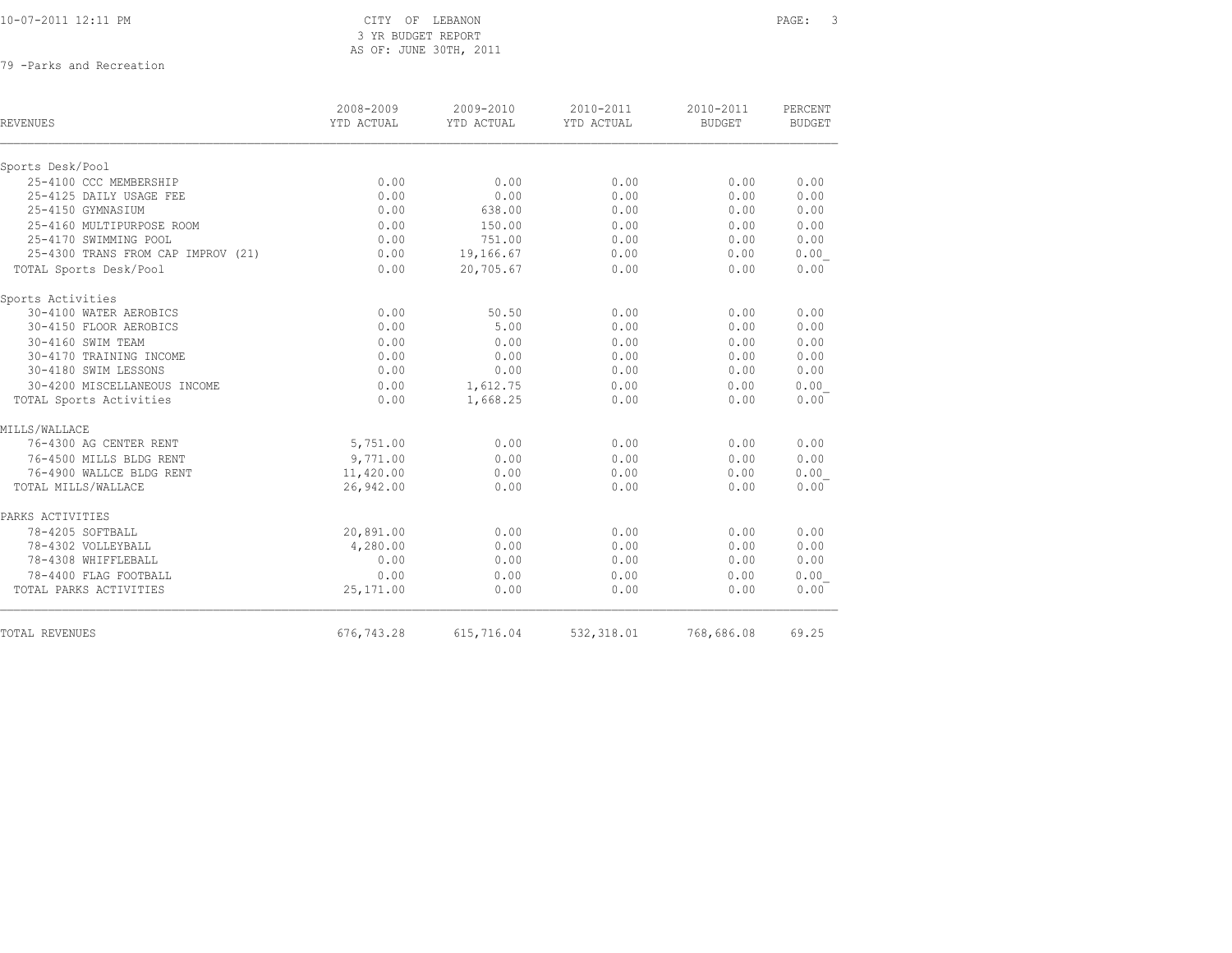| 10-07-2011 12:11 PM |
|---------------------|
|---------------------|

| <b>REVENUES</b>                    | 2008-2009<br>YTD ACTUAL | 2009-2010<br>YTD ACTUAL | 2010-2011<br>YTD ACTUAL | 2010-2011<br><b>BUDGET</b> | PERCENT<br><b>BUDGET</b> |
|------------------------------------|-------------------------|-------------------------|-------------------------|----------------------------|--------------------------|
| Sports Desk/Pool                   |                         |                         |                         |                            |                          |
| 25-4100 CCC MEMBERSHIP             | 0.00                    | 0.00                    | 0.00                    | 0.00                       | 0.00                     |
| 25-4125 DAILY USAGE FEE            | 0.00                    | 0.00                    | 0.00                    | 0.00                       | 0.00                     |
| 25-4150 GYMNASIUM                  | 0.00                    | 638.00                  | 0.00                    | 0.00                       | 0.00                     |
| 25-4160 MULTIPURPOSE ROOM          | 0.00                    | 150.00                  | 0.00                    | 0.00                       | 0.00                     |
| 25-4170 SWIMMING POOL              | 0.00                    | 751.00                  | 0.00                    | 0.00                       | 0.00                     |
| 25-4300 TRANS FROM CAP IMPROV (21) | 0.00                    | 19,166.67               | 0.00                    | 0.00                       | 0.00                     |
| TOTAL Sports Desk/Pool             | 0.00                    | 20,705.67               | 0.00                    | 0.00                       | 0.00                     |
| Sports Activities                  |                         |                         |                         |                            |                          |
| 30-4100 WATER AEROBICS             | 0.00                    | 50.50                   | 0.00                    | 0.00                       | 0.00                     |
| 30-4150 FLOOR AEROBICS             | 0.00                    | 5.00                    | 0.00                    | 0.00                       | 0.00                     |
| 30-4160 SWIM TEAM                  | 0.00                    | 0.00                    | 0.00                    | 0.00                       | 0.00                     |
| 30-4170 TRAINING INCOME            | 0.00                    | 0.00                    | 0.00                    | 0.00                       | 0.00                     |
| 30-4180 SWIM LESSONS               | 0.00                    | 0.00                    | 0.00                    | 0.00                       | 0.00                     |
| 30-4200 MISCELLANEOUS INCOME       | 0.00                    | 1,612.75                | 0.00                    | 0.00                       | 0.00                     |
| TOTAL Sports Activities            | 0.00                    | 1,668.25                | 0.00                    | 0.00                       | 0.00                     |
| MILLS/WALLACE                      |                         |                         |                         |                            |                          |
| 76-4300 AG CENTER RENT             | 5,751.00                | 0.00                    | 0.00                    | 0.00                       | 0.00                     |
| 76-4500 MILLS BLDG RENT            | 9,771.00                | 0.00                    | 0.00                    | 0.00                       | 0.00                     |
| 76-4900 WALLCE BLDG RENT           | 11,420.00               | 0.00                    | 0.00                    | 0.00                       | 0.00                     |
| TOTAL MILLS/WALLACE                | 26,942.00               | 0.00                    | 0.00                    | 0.00                       | 0.00                     |
| PARKS ACTIVITIES                   |                         |                         |                         |                            |                          |
| 78-4205 SOFTBALL                   | 20,891.00               | 0.00                    | 0.00                    | 0.00                       | 0.00                     |
| 78-4302 VOLLEYBALL                 | 4,280.00                | 0.00                    | 0.00                    | 0.00                       | 0.00                     |
| 78-4308 WHIFFLEBALL                | 0.00                    | 0.00                    | 0.00                    | 0.00                       | 0.00                     |
| 78-4400 FLAG FOOTBALL              | 0.00                    | 0.00                    | 0.00                    | 0.00                       | 0.00                     |
| TOTAL PARKS ACTIVITIES             | 25,171.00               | 0.00                    | 0.00                    | 0.00                       | 0.00                     |
| <b>TOTAL REVENUES</b>              | 676,743.28              | 615,716.04              |                         | 532,318.01 768,686.08      | 69.25                    |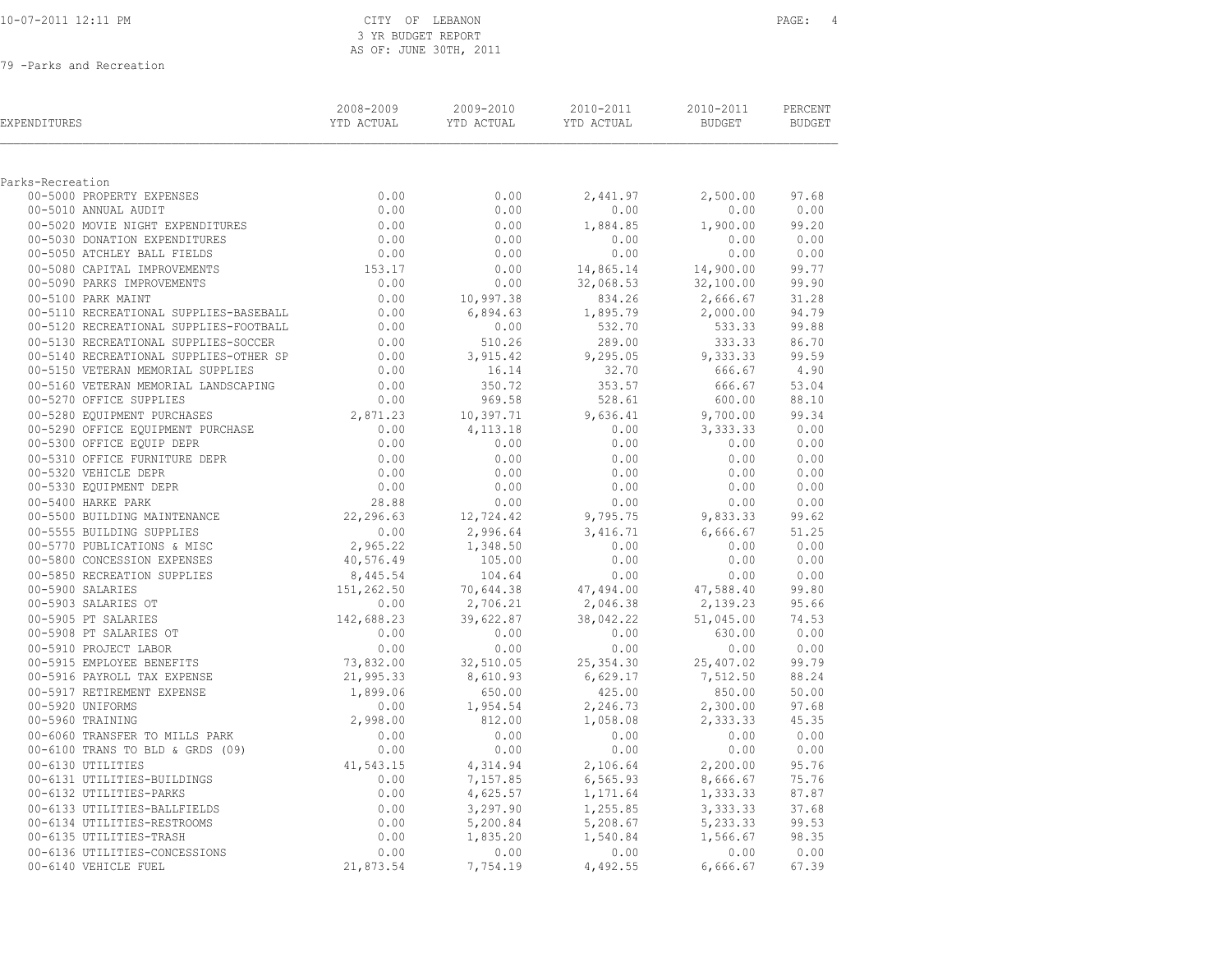|  | 10-07-2011 12:11 PM |  |  |
|--|---------------------|--|--|
|  |                     |  |  |

| EXPENDITURES                                                       | 2008-2009<br>YTD ACTUAL | 2009-2010<br>YTD ACTUAL | 2010-2011<br>YTD ACTUAL | 2010-2011<br>BUDGET  | PERCENT<br><b>BUDGET</b> |
|--------------------------------------------------------------------|-------------------------|-------------------------|-------------------------|----------------------|--------------------------|
| Parks-Recreation                                                   |                         |                         |                         |                      |                          |
| 00-5000 PROPERTY EXPENSES                                          | 0.00                    | 0.00                    | 2,441.97                | 2,500.00             | 97.68                    |
| 00-5010 ANNUAL AUDIT                                               | 0.00                    | 0.00                    | 0.00                    | 0.00                 | 0.00                     |
| 00-5020 MOVIE NIGHT EXPENDITURES                                   | 0.00                    | 0.00                    | 1,884.85                | 1,900.00             | 99.20                    |
| 00-5030 DONATION EXPENDITURES                                      | 0.00                    | 0.00                    | 0.00                    | 0.00                 | 0.00                     |
| 00-5050 ATCHLEY BALL FIELDS                                        | 0.00                    | 0.00                    | 0.00                    | 0.00                 | 0.00                     |
| 00-5080 CAPITAL IMPROVEMENTS                                       | 153.17                  | 0.00                    | 14,865.14               | 14,900.00            | 99.77                    |
| 00-5090 PARKS IMPROVEMENTS                                         | 0.00                    | 0.00                    | 32,068.53               | 32,100.00            | 99.90                    |
| 00-5100 PARK MAINT                                                 | 0.00                    | 10,997.38               | 834.26                  | 2,666.67             | 31.28                    |
| 00-5110 RECREATIONAL SUPPLIES-BASEBALL                             |                         | 6,894.63                | 1,895.79                | 2,000.00             | 94.79                    |
| 00-5120 RECREATIONAL SUPPLIES-FOOTBALL                             | $0.00$<br>$0.00$        | 0.00                    | 532.70                  | 533.33               | 99.88                    |
| 00-5130 RECREATIONAL SUPPLIES-SOCCER                               | 0.00                    | 510.26                  | 289.00                  | 333.33               | 86.70                    |
| 00-5140 RECREATIONAL SUPPLIES-OTHER SP                             | 0.00                    | 3,915.42                | 9,295.05                | 9,333.33             | 99.59                    |
| 00-5150 VETERAN MEMORIAL SUPPLIES                                  | 0.00                    | 16.14                   | 32.70                   | 666.67               | 4.90                     |
| 00-5160 VETERAN MEMORIAL LANDSCAPING                               | 0.00                    | 350.72                  | 353.57                  | 666.67               | 53.04                    |
| 00-5270 OFFICE SUPPLIES                                            | 0.00                    | 969.58                  | 528.61                  | 600.00               | 88.10                    |
| 00-5280 EQUIPMENT PURCHASES                                        | 2,871.23                | 10,397.71               | 9,636.41                | 9,700.00             | 99.34                    |
| 00-5290 OFFICE EQUIPMENT PURCHASE                                  | 0.00                    | 4, 113. 18              | 0.00                    | 3,333.33             | 0.00                     |
| 00-5300 OFFICE EQUIP DEPR                                          | 0.00                    | 0.00                    | 0.00                    | 0.00                 | 0.00                     |
| 00-5310 OFFICE FURNITURE DEPR                                      | 0.00                    | 0.00                    | 0.00                    | 0.00                 | 0.00                     |
| 00-5320 VEHICLE DEPR                                               | 0.00                    | 0.00                    | 0.00                    | 0.00                 | 0.00                     |
| 00-5330 EQUIPMENT DEPR                                             | 0.00                    | 0.00                    | 0.00                    | 0.00                 | 0.00                     |
| 00-5400 HARKE PARK                                                 | 28.88                   | 0.00                    | 0.00                    | 0.00                 | 0.00                     |
| 00-5500 BUILDING MAINTENANCE                                       | 22,296.63               | 12,724.42               | 9,795.75                | 9,833.33             | 99.62                    |
| 00-5555 BUILDING SUPPLIES                                          | 0.00                    | 2,996.64                | 3,416.71                | 6,666.67             | 51.25                    |
| 00-5770 PUBLICATIONS & MISC                                        | 2,965.22                | 1,348.50                | 0.00                    | 0.00                 | 0.00                     |
| 00-5800 CONCESSION EXPENSES                                        | 40,576.49               | 105.00                  | 0.00                    | 0.00                 | 0.00                     |
| 00-5850 RECREATION SUPPLIES                                        | 8,445.54                | 104.64                  | 0.00                    | 0.00                 | 0.00                     |
| 00-5900 SALARIES                                                   | 151, 262.50             | 70,644.38               | 47,494.00               | 47,588.40            | 99.80                    |
| 00-5903 SALARIES OT                                                | 0.00                    | 2,706.21                | 2,046.38                | 2,139.23             | 95.66                    |
| 00-5905 PT SALARIES                                                | 142,688.23              | 39,622.87               | 38,042.22               | 51,045.00            | 74.53                    |
| 00-5908 PT SALARIES OT                                             | 0.00                    | 0.00                    | 0.00                    | 630.00               | 0.00                     |
| 00-5910 PROJECT LABOR                                              | 0.00                    | 0.00                    | 0.00                    | 0.00                 | 0.00                     |
| 00-5915 EMPLOYEE BENEFITS                                          | 73,832.00               | 32,510.05               | 25, 354.30              | 25,407.02            | 99.79                    |
| 00-5916 PAYROLL TAX EXPENSE                                        | 21,995.33               | 8,610.93                | 6,629.17                | 7,512.50             | 88.24                    |
| 00-5917 RETIREMENT EXPENSE                                         | 1,899.06                | 650.00                  | 425.00                  | 850.00               | 50.00                    |
| 00-5920 UNIFORMS                                                   | 0.00                    | 1,954.54                | 2,246.73                | 2,300.00             | 97.68                    |
| 00-5960 TRAINING                                                   | 2,998.00                | 812.00                  | 1,058.08                | 2,333.33             | 45.35                    |
| 00-6060 TRANSFER TO MILLS PARK<br>00-6100 TRANS TO BLD & GRDS (09) | 0.00<br>0.00            | 0.00<br>0.00            | 0.00<br>0.00            | 0.00<br>0.00         | 0.00<br>0.00             |
|                                                                    |                         |                         |                         |                      |                          |
| 00-6130 UTILITIES<br>00-6131 UTILITIES-BUILDINGS                   | 41,543.15<br>0.00       | 4,314.94                | 2,106.64                | 2,200.00<br>8,666.67 | 95.76                    |
| 00-6132 UTILITIES-PARKS                                            | 0.00                    | 7,157.85<br>4,625.57    | 6, 565.93<br>1,171.64   | 1,333.33             | 75.76<br>87.87           |
| 00-6133 UTILITIES-BALLFIELDS                                       | 0.00                    | 3,297.90                | 1,255.85                | 3,333.33             | 37.68                    |
| 00-6134 UTILITIES-RESTROOMS                                        | 0.00                    | 5,200.84                | 5,208.67                | 5,233.33             | 99.53                    |
| 00-6135 UTILITIES-TRASH                                            | 0.00                    | 1,835.20                | 1,540.84                | 1,566.67             | 98.35                    |
| 00-6136 UTILITIES-CONCESSIONS                                      | 0.00                    | 0.00                    | 0.00                    | 0.00                 | 0.00                     |
| 00-6140 VEHICLE FUEL                                               | 21,873.54               | 7,754.19                | 4,492.55                | 6,666.67             | 67.39                    |
|                                                                    |                         |                         |                         |                      |                          |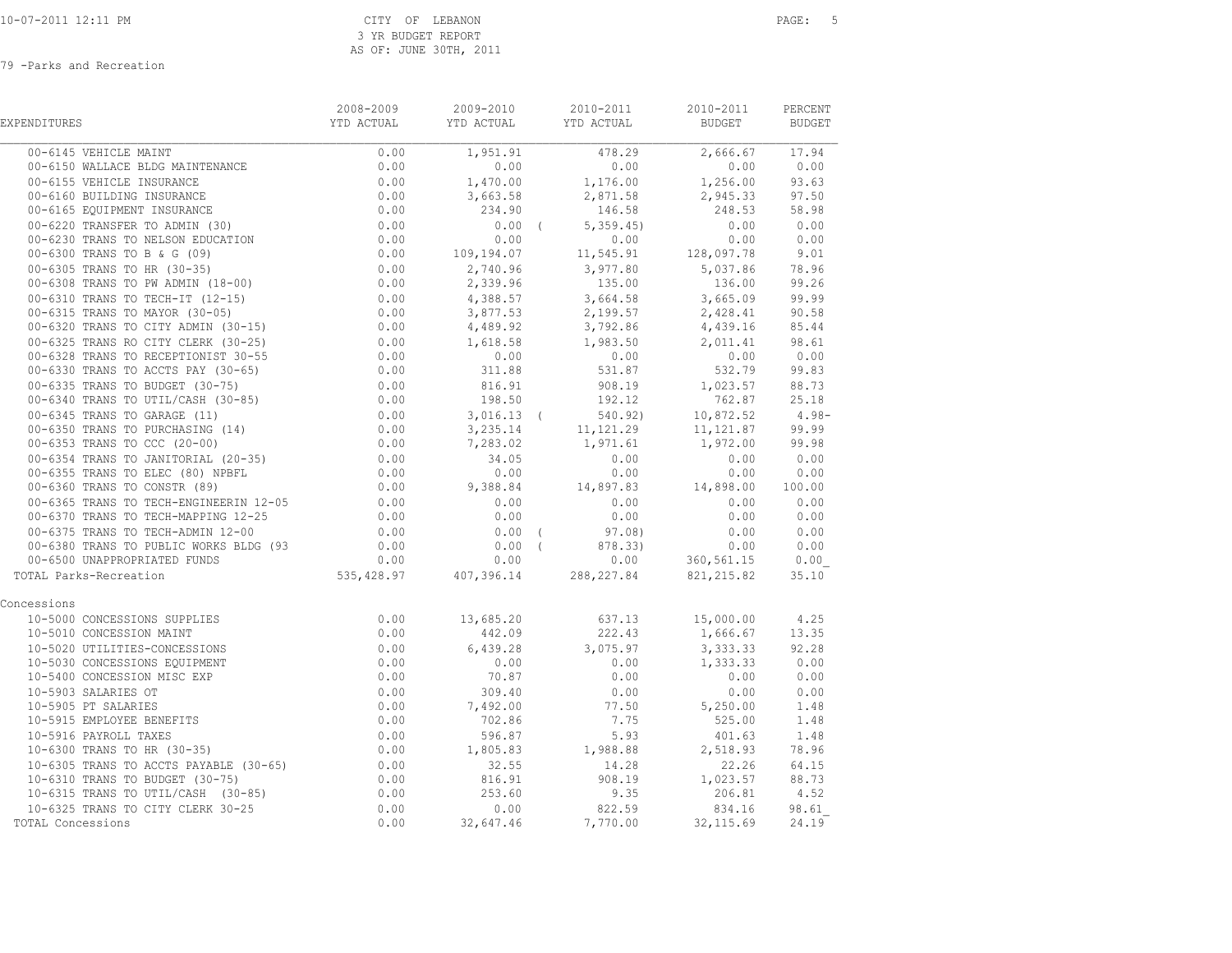| EXPENDITURES                                                                                                                                                                                                                               | 2008-2009<br>YTD ACTUAL | 2009-2010                      | 2010-2011<br><b>EVOU ZOIU ANNO 2011</b>                                                                                                                                                                                        | 2010-2011<br>BUDGET                                                                                                                        | PERCENT<br><b>BUDGET</b>                   |
|--------------------------------------------------------------------------------------------------------------------------------------------------------------------------------------------------------------------------------------------|-------------------------|--------------------------------|--------------------------------------------------------------------------------------------------------------------------------------------------------------------------------------------------------------------------------|--------------------------------------------------------------------------------------------------------------------------------------------|--------------------------------------------|
| 00-6145 VEHICLE MAINT                                                                                                                                                                                                                      | 0.00                    |                                | $\begin{array}{c cccc} \hline 1,951.91 & & & 478.29 & & 2,666.67 & & 17.94 \\ \hline 0.00 & & & 0.00 & & & 0.00 & & 0.00 \\ \hline \end{array}$                                                                                |                                                                                                                                            |                                            |
|                                                                                                                                                                                                                                            |                         |                                |                                                                                                                                                                                                                                |                                                                                                                                            |                                            |
|                                                                                                                                                                                                                                            |                         |                                | $1,470.00$ $1,176.00$ $1,256.00$ $93.63$                                                                                                                                                                                       |                                                                                                                                            |                                            |
|                                                                                                                                                                                                                                            |                         |                                |                                                                                                                                                                                                                                | 2,945.33 97.50                                                                                                                             |                                            |
|                                                                                                                                                                                                                                            |                         |                                |                                                                                                                                                                                                                                | 248.53 58.98                                                                                                                               |                                            |
|                                                                                                                                                                                                                                            |                         |                                |                                                                                                                                                                                                                                |                                                                                                                                            |                                            |
|                                                                                                                                                                                                                                            |                         |                                |                                                                                                                                                                                                                                |                                                                                                                                            |                                            |
| 00-6145 VEHICLE MAINT<br>00-6150 WALLACE BLDG MAINTENANCE<br>00-6150 WALLACE BLDG MAINTENANCE<br>00-6155 VEHICLE INSURANCE<br>00-6165 EQUIPMENT INSURANCE<br>00-6165 EQUIPMENT INSURANCE<br>00-6165 EQUIPMENT INSURANCE<br>00-6165 EQUIPME |                         |                                |                                                                                                                                                                                                                                |                                                                                                                                            | $248.55$<br>0.00 0.00<br>0.00 0.00<br>9.01 |
|                                                                                                                                                                                                                                            |                         |                                |                                                                                                                                                                                                                                |                                                                                                                                            |                                            |
|                                                                                                                                                                                                                                            |                         |                                |                                                                                                                                                                                                                                |                                                                                                                                            |                                            |
|                                                                                                                                                                                                                                            |                         |                                |                                                                                                                                                                                                                                |                                                                                                                                            |                                            |
|                                                                                                                                                                                                                                            |                         |                                |                                                                                                                                                                                                                                |                                                                                                                                            |                                            |
|                                                                                                                                                                                                                                            |                         |                                |                                                                                                                                                                                                                                |                                                                                                                                            |                                            |
|                                                                                                                                                                                                                                            |                         |                                |                                                                                                                                                                                                                                |                                                                                                                                            |                                            |
|                                                                                                                                                                                                                                            |                         |                                |                                                                                                                                                                                                                                |                                                                                                                                            |                                            |
|                                                                                                                                                                                                                                            |                         |                                |                                                                                                                                                                                                                                |                                                                                                                                            |                                            |
|                                                                                                                                                                                                                                            |                         |                                |                                                                                                                                                                                                                                |                                                                                                                                            |                                            |
|                                                                                                                                                                                                                                            |                         |                                |                                                                                                                                                                                                                                |                                                                                                                                            |                                            |
|                                                                                                                                                                                                                                            |                         |                                |                                                                                                                                                                                                                                |                                                                                                                                            |                                            |
|                                                                                                                                                                                                                                            |                         |                                |                                                                                                                                                                                                                                |                                                                                                                                            |                                            |
|                                                                                                                                                                                                                                            |                         |                                |                                                                                                                                                                                                                                |                                                                                                                                            |                                            |
|                                                                                                                                                                                                                                            |                         |                                |                                                                                                                                                                                                                                |                                                                                                                                            |                                            |
|                                                                                                                                                                                                                                            |                         |                                |                                                                                                                                                                                                                                |                                                                                                                                            |                                            |
|                                                                                                                                                                                                                                            |                         |                                |                                                                                                                                                                                                                                |                                                                                                                                            |                                            |
|                                                                                                                                                                                                                                            |                         |                                | $0.00$<br>$0.00$                                                                                                                                                                                                               |                                                                                                                                            | $0.00$ $0.00$<br>0.00 0.00                 |
|                                                                                                                                                                                                                                            |                         |                                |                                                                                                                                                                                                                                |                                                                                                                                            |                                            |
| 00-6375 TRANS TO TECH-ADMIN 12-00                                                                                                                                                                                                          |                         | $0.00$ $0.00$ (<br>0.00 0.00 ( |                                                                                                                                                                                                                                |                                                                                                                                            |                                            |
| 00-6380 TRANS TO PUBLIC WORKS BLDG (93                                                                                                                                                                                                     |                         |                                | 97.08)<br>878.33)                                                                                                                                                                                                              |                                                                                                                                            |                                            |
| 00-6500 UNAPPROPRIATED FUNDS                                                                                                                                                                                                               |                         |                                | $0.00$ $0.00$ $0.00$ $0.00$ $0.00$ $0.00$ $0.00$ $0.00$ $0.00$ $0.00$ $0.00$ $0.00$ $0.00$ $0.00$ $0.00$ $0.00$ $0.00$ $0.00$ $0.00$ $0.00$ $0.00$ $0.00$ $0.00$ $0.00$ $0.00$ $0.00$ $0.00$ $0.00$ $0.00$ $0.00$ $0.00$ $0.0$ |                                                                                                                                            | 0.00                                       |
| TOTAL Parks-Recreation                                                                                                                                                                                                                     |                         |                                |                                                                                                                                                                                                                                | $\begin{array}{cccc} 97.08) & 0.00 & 0.00 \\ 878.33) & 0.00 & 0.00 \\ 0.00 & 360,561.15 & 0.00 \\ 227.84 & 821,215.82 & 35.10 \end{array}$ |                                            |
| Concessions                                                                                                                                                                                                                                |                         |                                |                                                                                                                                                                                                                                |                                                                                                                                            |                                            |
| cessions do CONCESSIONS SUPPLIES 0.00<br>10-5010 CONCESSION MAINT 0.00<br>10-5020 UTILITIES-CONCESSIONS 0.00<br>10-5030 CONCESSIONS EQUIPMENT 0.00<br>10-5400 CONCESSION MISC EXP 0.00<br>10-5905 PT SALARIES OT 0.00<br>10-5905 PT SALARI |                         | 13,685.20                      | $\begin{array}{cccc} 13,685.20 & \hspace*{1.5cm} 637.13 & \hspace*{1.5cm} 15,000.00 & \hspace*{1.5cm} 4.25 \\ 442.09 & \hspace*{1.5cm} 222.43 & \hspace*{1.5cm} 1,666.67 & \hspace*{1.5cm} 13.35 \end{array}$                  |                                                                                                                                            |                                            |
|                                                                                                                                                                                                                                            |                         |                                |                                                                                                                                                                                                                                |                                                                                                                                            |                                            |
|                                                                                                                                                                                                                                            |                         | 6,439.28                       | $3,075.97$<br>0.00                                                                                                                                                                                                             | 3, 333. 33 92. 28<br>1, 333. 33 0.00                                                                                                       |                                            |
|                                                                                                                                                                                                                                            |                         | 0.00                           |                                                                                                                                                                                                                                |                                                                                                                                            |                                            |
|                                                                                                                                                                                                                                            |                         | 70.87                          | $0.00$<br>$0.00$                                                                                                                                                                                                               | 0.00<br>$0.00$<br>0.00<br>5,250.00                                                                                                         | 0.00                                       |
|                                                                                                                                                                                                                                            |                         | 309.40                         |                                                                                                                                                                                                                                |                                                                                                                                            | 0.00                                       |
|                                                                                                                                                                                                                                            |                         | 7,492.00<br>702.86             | $77.50$<br>$7.75$                                                                                                                                                                                                              |                                                                                                                                            | 1.48                                       |
|                                                                                                                                                                                                                                            |                         |                                |                                                                                                                                                                                                                                | 525.00                                                                                                                                     | 1.48                                       |
|                                                                                                                                                                                                                                            |                         |                                | $\begin{array}{cccccccc} 0.00 & & & & 596.87 & & & & 5.93 & & & 401.63 & & 1.48 \\ 0.00 & & & & 1,805.83 & & & 1,988.88 & & & 2,518.93 & & 78.96 \end{array}$                                                                  |                                                                                                                                            |                                            |
|                                                                                                                                                                                                                                            |                         |                                |                                                                                                                                                                                                                                |                                                                                                                                            |                                            |
| 10-6305 TRANS TO ACCTS PAYABLE (30-65)                                                                                                                                                                                                     |                         |                                | $\begin{array}{cccccccc} 0.00 & 32.55 & 14.28 & 22.26 & 64.15 \ 0.00 & 816.91 & 908.19 & 1,023.57 & 88.73 \ 0.00 & 253.60 & 9.35 & 206.81 & 4.52 \ 0.00 & 0.00 & 822.59 & 834.16 & 98.61 \end{array}$                          |                                                                                                                                            |                                            |
| 10-6310 TRANS TO BUDGET (30-75)<br>10-6315 TRANS TO UTIL/CASH (30-85)                                                                                                                                                                      |                         |                                |                                                                                                                                                                                                                                |                                                                                                                                            |                                            |
|                                                                                                                                                                                                                                            |                         |                                |                                                                                                                                                                                                                                |                                                                                                                                            |                                            |
| 10-6325 TRANS TO CITY CLERK 30-25                                                                                                                                                                                                          |                         |                                |                                                                                                                                                                                                                                |                                                                                                                                            |                                            |
| TOTAL Concessions                                                                                                                                                                                                                          | 0.00                    | 32,647.46                      | 7,770.00                                                                                                                                                                                                                       | 32,115.69                                                                                                                                  | 24.19                                      |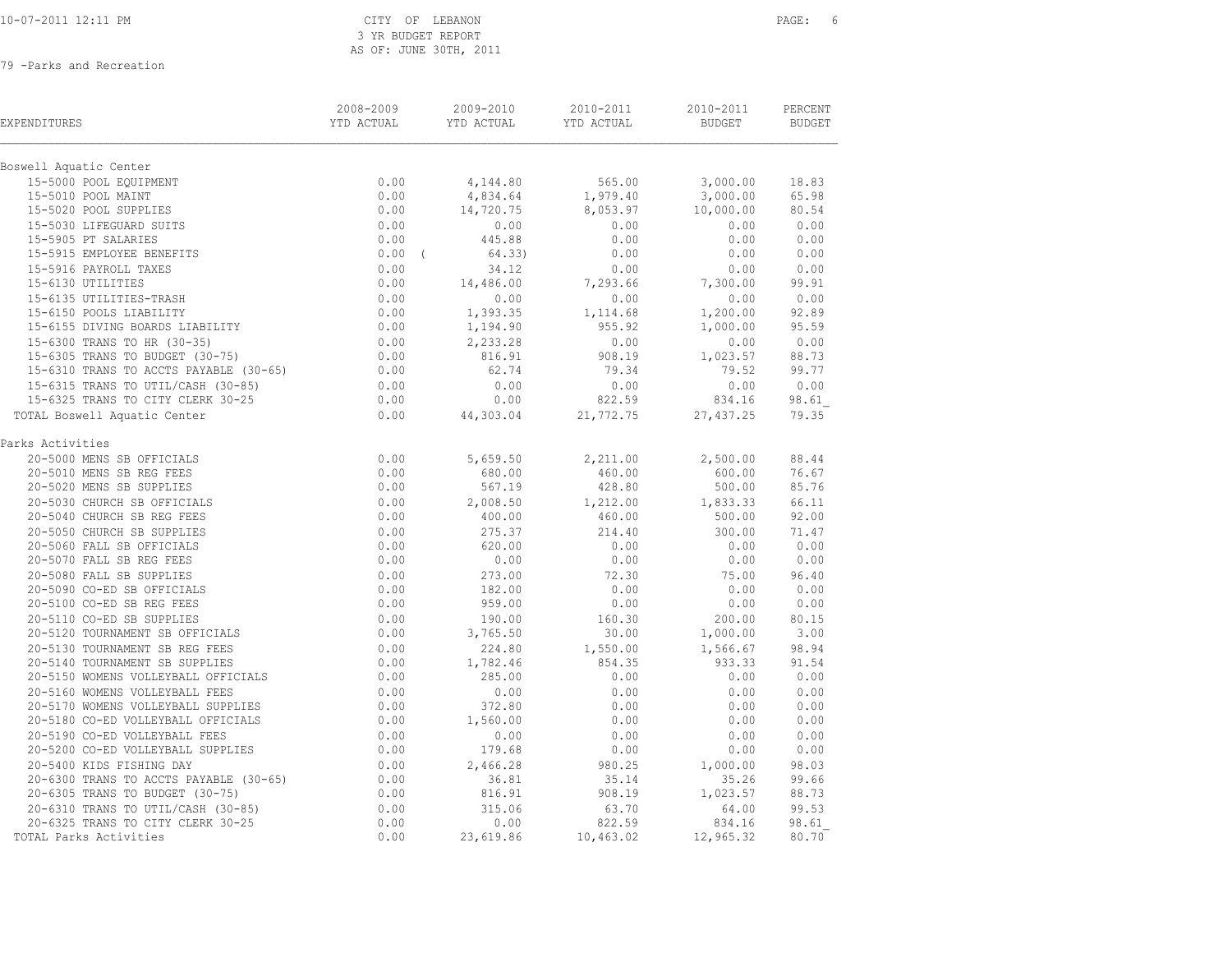# 10-07-2011 12:11 PM CITY OF LEBANON PAGE: 6 3 YR BUDGET REPORT AS OF: JUNE 30TH, 2011

| EXPENDITURES                                                                                                                                                                                               | 2008-2009<br>YTD ACTUAL        | 2009-2010<br>YTD ACTUAL | 2010-2011<br>YTD ACTUAL | 2010-2011<br>BUDGET | PERCENT<br>BUDGET |
|------------------------------------------------------------------------------------------------------------------------------------------------------------------------------------------------------------|--------------------------------|-------------------------|-------------------------|---------------------|-------------------|
| Boswell Aquatic Center                                                                                                                                                                                     |                                |                         |                         |                     |                   |
| 15-5000 POOL EQUIPMENT                                                                                                                                                                                     | 0.00                           | 4,144.80                | 565.00                  | 3,000.00            | 18.83             |
| 15-5010 POOL MAINT                                                                                                                                                                                         | 0.00                           | 4,834.64                | 1,979.40                | 3,000.00            | 65.98             |
| 15-5020 POOL SUPPLIES                                                                                                                                                                                      | 0.00                           | 14,720.75               | 8,053.97                | 10,000.00           | 80.54             |
| 15-5030 LIFEGUARD SUITS                                                                                                                                                                                    | 0.00                           | 0.00                    | 0.00                    | 0.00                | 0.00              |
| 15-5905 PT SALARIES                                                                                                                                                                                        | 0.00                           | 445.88                  | 0.00                    | 0.00                | 0.00              |
| 15-5915 EMPLOYEE BENEFITS                                                                                                                                                                                  | $0.00$ (                       | 64.33)                  | 0.00                    | 0.00                | 0.00              |
| 15-5916 PAYROLL TAXES                                                                                                                                                                                      | 0.00                           | 34.12                   | 0.00                    | 0.00                | 0.00              |
| 15-6130 UTILITIES                                                                                                                                                                                          | 0.00                           | 14,486.00               | 7,293.66                | 7,300.00            | 99.91             |
| 15-6135 UTILITIES-TRASH                                                                                                                                                                                    | $0.00$<br>$0.00$               | 0.00                    | 0.00                    | 0.00                | 0.00              |
| 15-6150 POOLS LIABILITY                                                                                                                                                                                    |                                | 1,393.35                | 1,114.68                | 1,200.00            | 92.89             |
| 15-6150 POOLS LIABILITY<br>15-6155 DIVING BOARDS LIABILITY                                                                                                                                                 |                                | 1,194.90                | 955.92                  | 1,000.00            | 95.59             |
| 15-6300 TRANS TO HR (30-35)                                                                                                                                                                                | $0.00$<br>$0.00$               | 2,233.28                | 0.00                    | 0.00                | 0.00              |
| 15-6305 TRANS TO BUDGET (30-75)                                                                                                                                                                            | 0.00                           | 816.91                  | 908.19                  | 1,023.57            | 88.73             |
| 15-6310 TRANS TO ACCTS PAYABLE (30-65)                                                                                                                                                                     | 0.00                           | 62.74                   | 79.34                   | 79.52               | 99.77             |
| 15-6315 TRANS TO UTIL/CASH (30-85)                                                                                                                                                                         | $0.00$<br>$0.00$               | 0.00                    | 0.00                    | 0.00                | 0.00              |
| 15-6325 TRANS TO CITY CLERK 30-25                                                                                                                                                                          |                                | 0.00                    | 822.59                  | 834.16              | 98.61             |
| TOTAL Boswell Aquatic Center                                                                                                                                                                               | 0.00                           | 44,303.04               | 21,772.75               | 27, 437.25          | 79.35             |
| Parks Activities                                                                                                                                                                                           |                                |                         |                         |                     |                   |
| 20-5000 MENS SB OFFICIALS                                                                                                                                                                                  | 0.00                           | 5,659.50                | 2,211.00                | 2,500.00            | 88.44             |
| 20-5010 MENS SB REG FEES                                                                                                                                                                                   | 0.00                           | 680.00                  | 460.00                  | 600.00              | 76.67             |
| 20-5020 MENS SB SUPPLIES                                                                                                                                                                                   | $0.00$<br>$0.00$               | 567.19                  | 428.80                  | 500.00              | 85.76             |
| 20-5030 CHURCH SB OFFICIALS                                                                                                                                                                                |                                | 2,008.50                | 1,212.00                | 1,833.33            | 66.11             |
|                                                                                                                                                                                                            | 0.00                           | 400.00                  | 460.00                  | 500.00              | 92.00             |
|                                                                                                                                                                                                            | 0.00                           | 275.37                  | 214.40                  | 300.00              | 71.47             |
|                                                                                                                                                                                                            | 0.00                           | 620.00                  | 0.00                    | 0.00                | 0.00              |
| 20-5030 CHURCH SB OFFICIALS<br>20-5040 CHURCH SB REG FEES<br>20-5050 CHURCH SB SUPPLIES<br>20-5060 FALL SB OFFICIALS<br>20-5070 FALL SB REG FEES<br>20-5080 FALL SB SUPPLIES<br>20-5090 CO-ED SB OFFICIALS | 0.00                           | 0.00                    | 0.00                    | 0.00                | 0.00              |
|                                                                                                                                                                                                            | 0.00                           | 273.00                  | 72.30                   | 75.00               | 96.40             |
|                                                                                                                                                                                                            | $0.00$<br>$0.00$               | 182.00                  | 0.00                    | 0.00                | 0.00              |
|                                                                                                                                                                                                            |                                | 959.00                  | 0.00                    | 0.00                | 0.00              |
|                                                                                                                                                                                                            | $0.00$<br>$0.00$               | 190.00                  | 160.30                  | 200.00              | 80.15             |
| 20-5110 CO-ED SB SUPPLIES<br>20-5120 TOURNAMENT SB OFFICIALS                                                                                                                                               |                                | 3,765.50                | 30.00                   | 1,000.00            | 3.00              |
| 20-5130 TOURNAMENT SB REG FEES                                                                                                                                                                             | $0.00$<br>$0.00$               | 224.80                  | 1,550.00                | 1,566.67            | 98.94             |
| 20-5140 TOURNAMENT SB SUPPLIES                                                                                                                                                                             |                                | 1,782.46                | 854.35                  | 933.33              | 91.54             |
| 20-5150 WOMENS VOLLEYBALL OFFICIALS                                                                                                                                                                        | 0.00                           | 285.00                  | 0.00                    | 0.00                | 0.00              |
| 20-5160 WOMENS VOLLEYBALL FEES                                                                                                                                                                             | 0.00                           | 0.00                    | 0.00                    | 0.00                | 0.00              |
| 20-5170 WOMENS VOLLEYBALL SUPPLIES                                                                                                                                                                         | 0.00                           | 372.80                  | 0.00                    | 0.00                | 0.00              |
| 20-5180 CO-ED VOLLEYBALL OFFICIALS                                                                                                                                                                         |                                | 1,560.00                | 0.00                    | 0.00                | 0.00              |
| 20-5190 CO-ED VOLLEYBALL FEES                                                                                                                                                                              |                                | 0.00                    | 0.00                    | 0.00                | 0.00              |
| 20-5200 CO-ED VOLLEYBALL SUPPLIES                                                                                                                                                                          | $0.00$<br>0.00<br>0.00<br>0.00 | 179.68                  | 0.00                    | 0.00                | 0.00              |
| 20-5400 KIDS FISHING DAY                                                                                                                                                                                   |                                | 2,466.28                | 980.25                  | 1,000.00            | 98.03             |
| 20-6300 TRANS TO ACCTS PAYABLE (30-65)                                                                                                                                                                     | $0.00$<br>$0.00$               | 36.81                   | 35.14                   | 35.26               | 99.66             |
| 20-6305 TRANS TO BUDGET (30-75)                                                                                                                                                                            |                                | 816.91                  | 908.19                  | 1,023.57            | 88.73             |
| 20-6310 TRANS TO UTIL/CASH (30-85)                                                                                                                                                                         | 0.00                           | 315.06                  | 63.70                   | 64.00               | 99.53             |
| 20-6325 TRANS TO CITY CLERK 30-25                                                                                                                                                                          | 0.00                           | 0.00                    | 822.59                  | 834.16              | 98.61             |
| TOTAL Parks Activities                                                                                                                                                                                     | 0.00                           | 23,619.86               | 10,463.02               | 12,965.32           | 80.70             |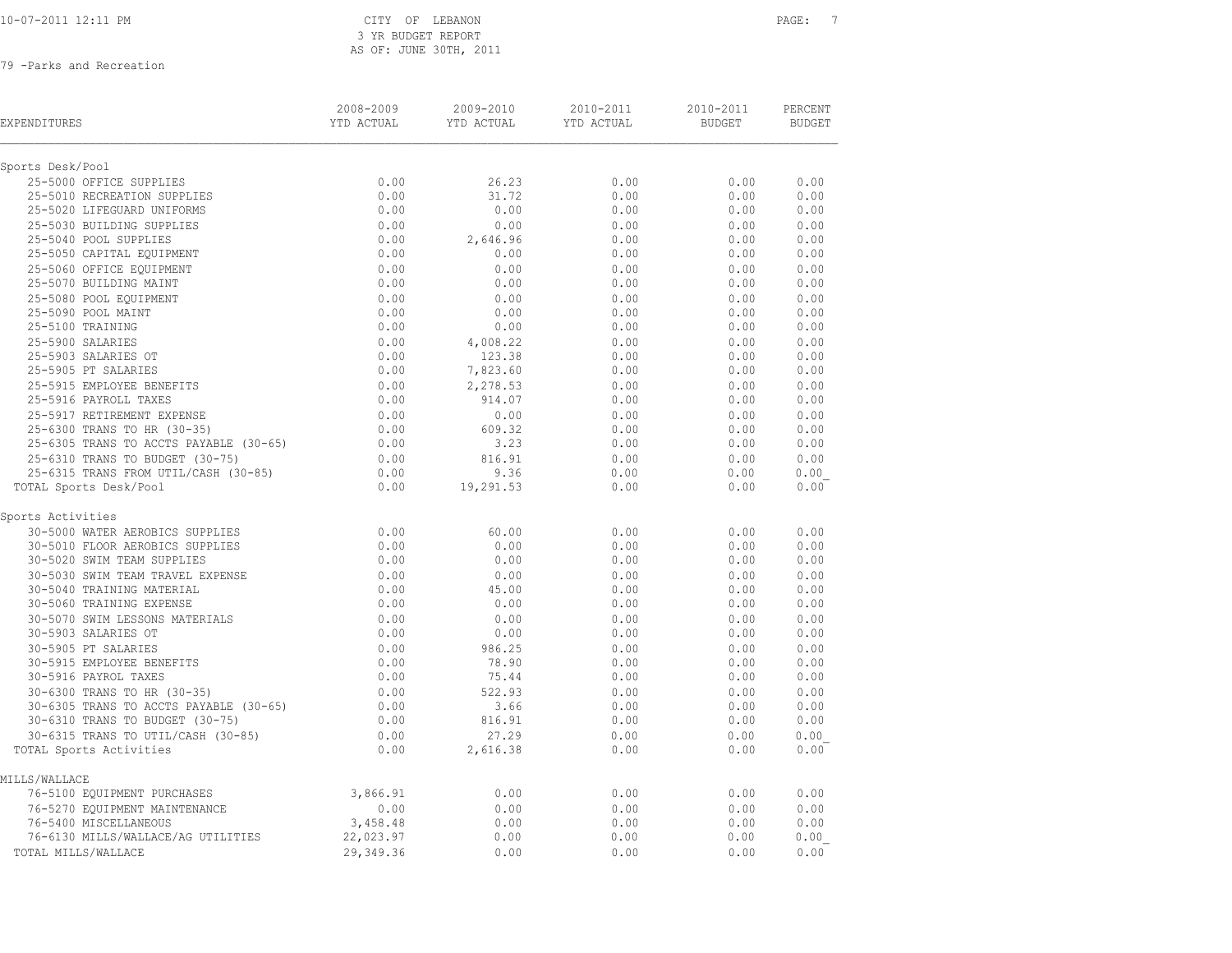|  |  | 10-07-2011 12:11 PM |  |
|--|--|---------------------|--|
|  |  |                     |  |

| EXPENDITURES                           | 2008-2009<br>YTD ACTUAL | 2009-2010<br>YTD ACTUAL | 2010-2011<br>YTD ACTUAL | 2010-2011<br><b>BUDGET</b> | PERCENT<br><b>BUDGET</b> |
|----------------------------------------|-------------------------|-------------------------|-------------------------|----------------------------|--------------------------|
| Sports Desk/Pool                       |                         |                         |                         |                            |                          |
| 25-5000 OFFICE SUPPLIES                | 0.00                    | 26.23                   | 0.00                    | 0.00                       | 0.00                     |
| 25-5010 RECREATION SUPPLIES            | 0.00                    | 31.72                   | 0.00                    | 0.00                       | 0.00                     |
| 25-5020 LIFEGUARD UNIFORMS             | 0.00                    | 0.00                    | 0.00                    | 0.00                       | 0.00                     |
| 25-5030 BUILDING SUPPLIES              | 0.00                    | 0.00                    | 0.00                    | 0.00                       | 0.00                     |
| 25-5040 POOL SUPPLIES                  | 0.00                    | 2,646.96                | 0.00                    | 0.00                       | 0.00                     |
| 25-5050 CAPITAL EQUIPMENT              | 0.00                    | 0.00                    | 0.00                    | 0.00                       | 0.00                     |
| 25-5060 OFFICE EQUIPMENT               | 0.00                    | 0.00                    | 0.00                    | 0.00                       | 0.00                     |
| 25-5070 BUILDING MAINT                 | 0.00                    | 0.00                    | 0.00                    | 0.00                       | 0.00                     |
| 25-5080 POOL EQUIPMENT                 | 0.00                    | 0.00                    | 0.00                    | 0.00                       | 0.00                     |
| 25-5090 POOL MAINT                     | 0.00                    | 0.00                    | 0.00                    | 0.00                       | 0.00                     |
| 25-5100 TRAINING                       | 0.00                    | 0.00                    | 0.00                    | 0.00                       | 0.00                     |
| 25-5900 SALARIES                       | 0.00                    | 4,008.22                | 0.00                    | 0.00                       | 0.00                     |
| 25-5903 SALARIES OT                    | 0.00                    | 123.38                  | 0.00                    | 0.00                       | 0.00                     |
| 25-5905 PT SALARIES                    | 0.00                    | 7,823.60                | 0.00                    | 0.00                       | 0.00                     |
| 25-5915 EMPLOYEE BENEFITS              | 0.00                    | 2,278.53                | 0.00                    | 0.00                       | 0.00                     |
| 25-5916 PAYROLL TAXES                  | 0.00                    | 914.07                  | 0.00                    | 0.00                       | 0.00                     |
| 25-5917 RETIREMENT EXPENSE             | 0.00                    | 0.00                    | 0.00                    | 0.00                       | 0.00                     |
| 25-6300 TRANS TO HR (30-35)            | 0.00                    | 609.32                  | 0.00                    | 0.00                       | 0.00                     |
| 25-6305 TRANS TO ACCTS PAYABLE (30-65) | 0.00                    | 3.23                    | 0.00                    | 0.00                       | 0.00                     |
| 25-6310 TRANS TO BUDGET (30-75)        | 0.00                    | 816.91                  | 0.00                    | 0.00                       | 0.00                     |
| 25-6315 TRANS FROM UTIL/CASH (30-85)   | 0.00                    | 9.36                    | 0.00                    | 0.00                       | 0.00                     |
| TOTAL Sports Desk/Pool                 | 0.00                    | 19,291.53               | 0.00                    | 0.00                       | 0.00                     |
| Sports Activities                      |                         |                         |                         |                            |                          |
| 30-5000 WATER AEROBICS SUPPLIES        | 0.00                    | 60.00                   | 0.00                    | 0.00                       | 0.00                     |
| 30-5010 FLOOR AEROBICS SUPPLIES        | 0.00                    | 0.00                    | 0.00                    | 0.00                       | 0.00                     |
| 30-5020 SWIM TEAM SUPPLIES             | 0.00                    | 0.00                    | 0.00                    | 0.00                       | 0.00                     |
| 30-5030 SWIM TEAM TRAVEL EXPENSE       | 0.00                    | 0.00                    | 0.00                    | 0.00                       | 0.00                     |
| 30-5040 TRAINING MATERIAL              | 0.00                    | 45.00                   | 0.00                    | 0.00                       | 0.00                     |
| 30-5060 TRAINING EXPENSE               | 0.00                    | 0.00                    | 0.00                    | 0.00                       | 0.00                     |
| 30-5070 SWIM LESSONS MATERIALS         | 0.00                    | 0.00                    | 0.00                    | 0.00                       | 0.00                     |
| 30-5903 SALARIES OT                    | 0.00                    | 0.00                    | 0.00                    | 0.00                       | 0.00                     |
| 30-5905 PT SALARIES                    | 0.00                    | 986.25                  | 0.00                    | 0.00                       | 0.00                     |
| 30-5915 EMPLOYEE BENEFITS              | 0.00                    | 78.90                   | 0.00                    | 0.00                       | 0.00                     |
| 30-5916 PAYROL TAXES                   | 0.00                    | 75.44                   | 0.00                    | 0.00                       | 0.00                     |
| 30-6300 TRANS TO HR (30-35)            | 0.00                    | 522.93                  | 0.00                    | 0.00                       | 0.00                     |
| 30-6305 TRANS TO ACCTS PAYABLE (30-65) | 0.00                    | 3.66                    | 0.00                    | 0.00                       | 0.00                     |
| 30-6310 TRANS TO BUDGET (30-75)        | 0.00                    | 816.91                  | 0.00                    | 0.00                       | 0.00                     |
| $30-6315$ TRANS TO UTIL/CASH (30-85)   | 0.00                    | 27.29                   | 0.00                    | 0.00                       | 0.00                     |
| TOTAL Sports Activities                | 0.00                    | 2,616.38                | 0.00                    | 0.00                       | 0.00                     |
| MILLS/WALLACE                          |                         |                         |                         |                            |                          |
| 76-5100 EQUIPMENT PURCHASES            | 3,866.91                | 0.00                    | 0.00                    | 0.00                       | 0.00                     |
| 76-5270 EQUIPMENT MAINTENANCE          | 0.00                    | 0.00                    | 0.00                    | 0.00                       | 0.00                     |
| 76-5400 MISCELLANEOUS                  | 3,458.48                | 0.00                    | 0.00                    | 0.00                       | 0.00                     |
| 76-6130 MILLS/WALLACE/AG UTILITIES     | 22,023.97               | 0.00                    | 0.00                    | 0.00                       | 0.00                     |
| TOTAL MILLS/WALLACE                    | 29,349.36               | 0.00                    | 0.00                    | 0.00                       | 0.00                     |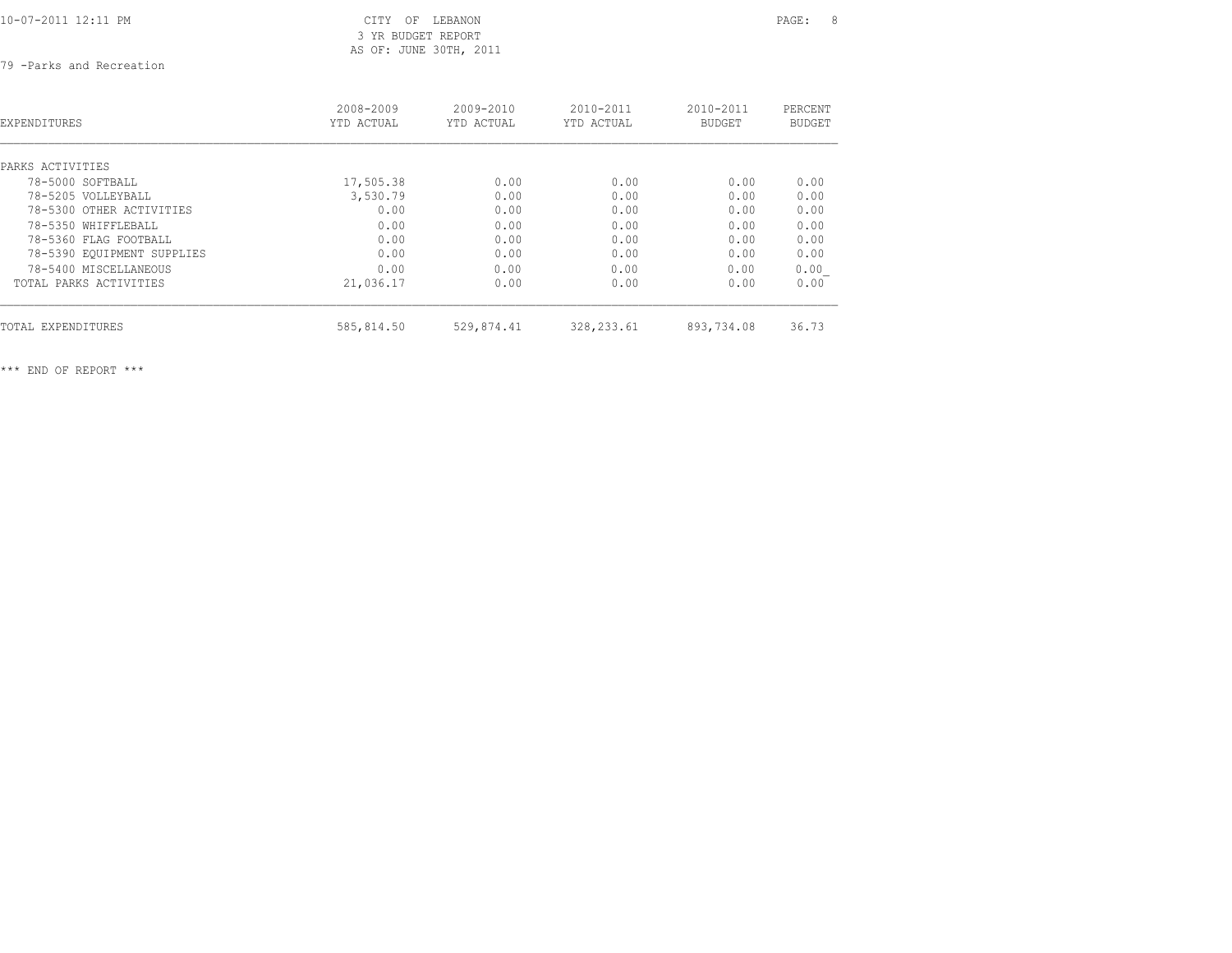10-07-2011 12:11 PM CITY OF LEBANON PAGE: 8

# 3 YR BUDGET REPORT AS OF: JUNE 30TH, 2011

79 -Parks and Recreation

| <b>EXPENDITURES</b>        | 2008-2009<br>YTD ACTUAL | $2009 - 2010$<br>YTD ACTUAL | $2010 - 2011$<br>YTD ACTUAL | 2010-2011<br><b>BUDGET</b> | PERCENT<br>BUDGET |
|----------------------------|-------------------------|-----------------------------|-----------------------------|----------------------------|-------------------|
| PARKS ACTIVITIES           |                         |                             |                             |                            |                   |
| 78-5000 SOFTBALL           | 17,505.38               | 0.00                        | 0.00                        | 0.00                       | 0.00              |
| 78-5205 VOLLEYBALL         | 3,530.79                | 0.00                        | 0.00                        | 0.00                       | 0.00              |
| 78-5300 OTHER ACTIVITIES   | 0.00                    | 0.00                        | 0.00                        | 0.00                       | 0.00              |
| 78-5350 WHIFFLEBALL        | 0.00                    | 0.00                        | 0.00                        | 0.00                       | 0.00              |
| 78-5360 FLAG FOOTBALL      | 0.00                    | 0.00                        | 0.00                        | 0.00                       | 0.00              |
| 78-5390 EQUIPMENT SUPPLIES | 0.00                    | 0.00                        | 0.00                        | 0.00                       | 0.00              |
| 78-5400 MISCELLANEOUS      | 0.00                    | 0.00                        | 0.00                        | 0.00                       | 0.00              |
| TOTAL PARKS ACTIVITIES     | 21,036.17               | 0.00                        | 0.00                        | 0.00                       | 0.00              |
| TOTAL EXPENDITURES         | 585,814.50              | 529,874.41                  | 328, 233.61                 | 893,734.08                 | 36.73             |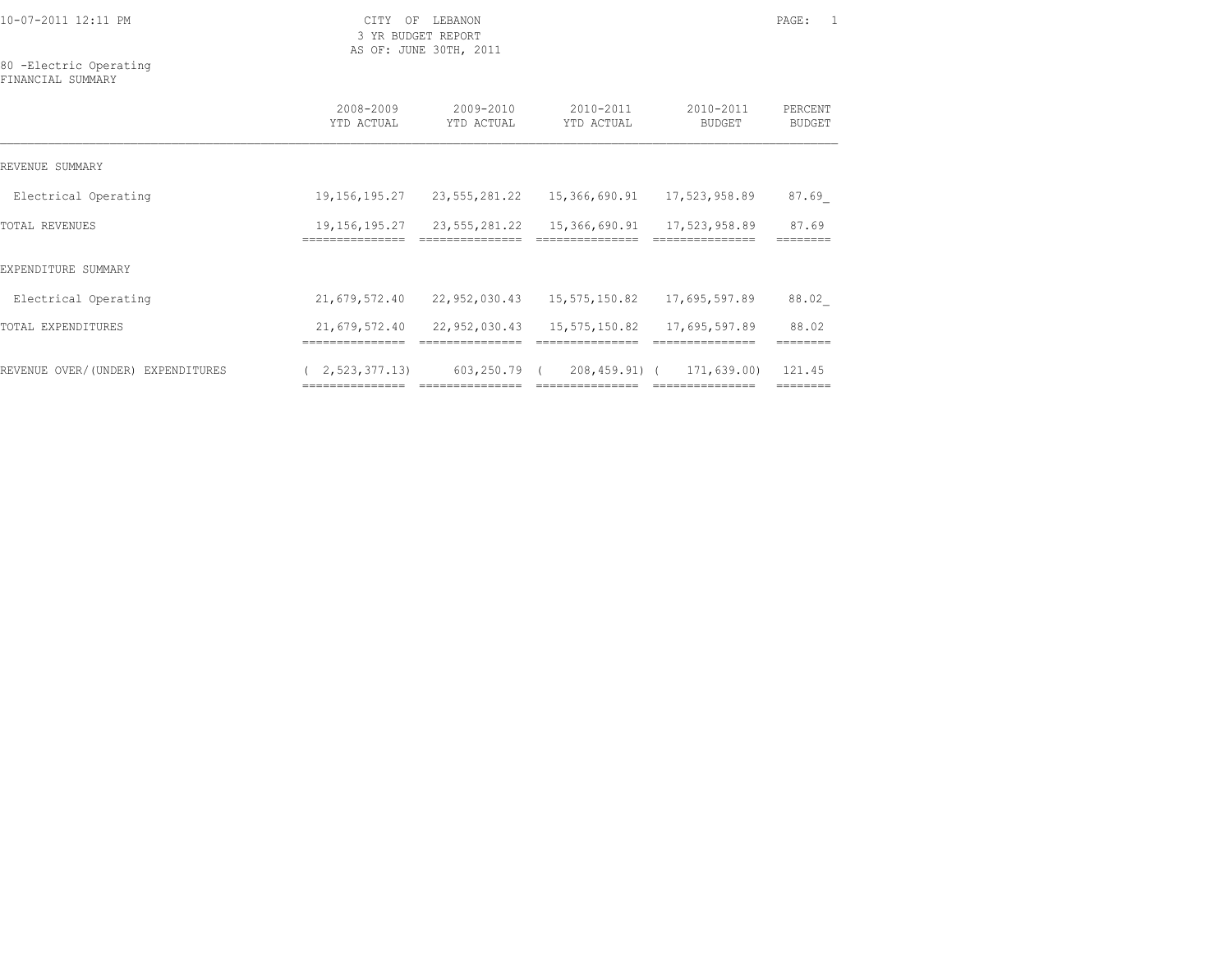80 -Electric Operating FINANCIAL SUMMARY

|                                   | 2008-2009<br>YTD ACTUAL           | 2009-2010<br>YTD ACTUAL | $2010 - 2011$<br>YTD ACTUAL | 2010-2011<br>BUDGET | PERCENT<br>BUDGET  |
|-----------------------------------|-----------------------------------|-------------------------|-----------------------------|---------------------|--------------------|
| REVENUE SUMMARY                   |                                   |                         |                             |                     |                    |
| Electrical Operating              | 19,156,195.27                     | 23,555,281.22           | 15,366,690.91 17,523,958.89 |                     | 87.69              |
| TOTAL REVENUES                    | 19, 156, 195. 27<br>============= | 23, 555, 281, 22        | 15,366,690.91               | 17,523,958.89       | 87.69              |
| EXPENDITURE SUMMARY               |                                   |                         |                             |                     |                    |
| Electrical Operating              | 21,679,572.40                     | 22,952,030.43           | 15,575,150.82               | 17,695,597.89       | 88.02              |
| TOTAL EXPENDITURES                | 21,679,572.40                     | 22,952,030.43           | 15,575,150.82               | 17,695,597.89       | 88.02              |
| REVENUE OVER/(UNDER) EXPENDITURES | 2, 523, 377, 13                   | 603,250.79 (            | 208,459.91) (               | 171,639.00)         | 121.45<br>-------- |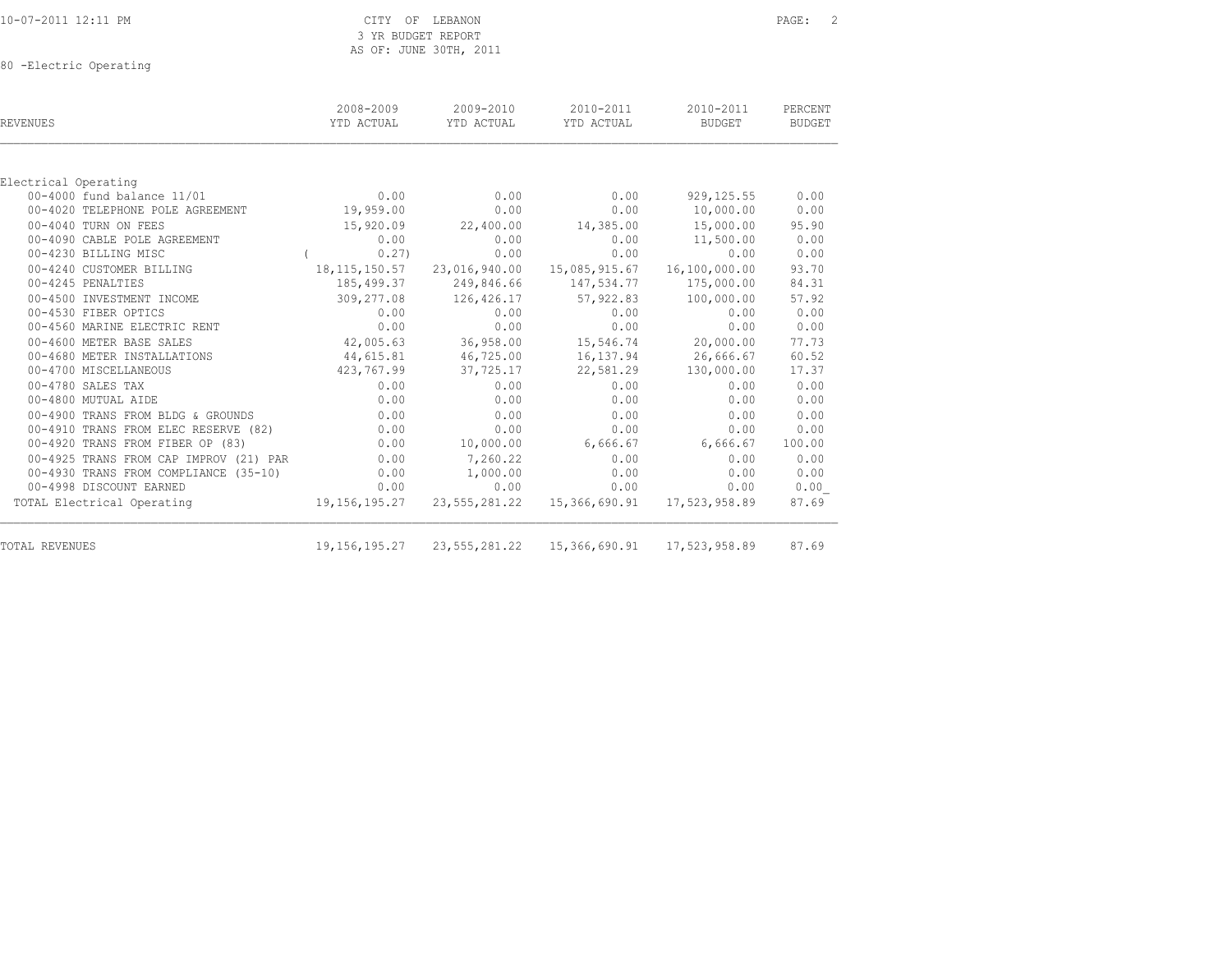|  |  | 10-07-2011 12:11 PM |  |
|--|--|---------------------|--|

80 -Electric Operating

| REVENUES                               | 2008-2009<br>YTD ACTUAL | 2009-2010<br>YTD ACTUAL | 2010-2011<br>YTD ACTUAL                     | 2010-2011<br>BUDGET | PERCENT<br><b>BUDGET</b> |
|----------------------------------------|-------------------------|-------------------------|---------------------------------------------|---------------------|--------------------------|
|                                        |                         |                         |                                             |                     |                          |
| Electrical Operating                   |                         |                         |                                             |                     |                          |
| 00-4000 fund balance 11/01             | 0.00                    | 0.00                    | 0.00                                        | 929, 125.55         | 0.00                     |
| 00-4020 TELEPHONE POLE AGREEMENT       | 19,959.00               | 0.00                    | 0.00                                        | 10,000.00           | 0.00                     |
| 00-4040 TURN ON FEES                   | 15,920.09               | 22,400.00               | 14,385.00                                   | 15,000.00           | 95.90                    |
| 00-4090 CABLE POLE AGREEMENT           | 0.00                    | 0.00                    | 0.00                                        | 11,500.00           | 0.00                     |
| 00-4230 BILLING MISC                   | 0.27)                   | 0.00                    | 0.00                                        | 0.00                | 0.00                     |
| 00-4240 CUSTOMER BILLING               | 18, 115, 150. 57        | 23,016,940.00           | 15,085,915.67                               | 16,100,000.00       | 93.70                    |
| 00-4245 PENALTIES                      | 185,499.37              | 249,846.66              | 147,534.77                                  | 175,000.00          | 84.31                    |
| 00-4500 INVESTMENT INCOME              | 309,277.08              | 126,426.17              | 57,922.83                                   | 100,000.00          | 57.92                    |
| 00-4530 FIBER OPTICS                   | 0.00                    | 0.00                    | 0.00                                        | 0.00                | 0.00                     |
| 00-4560 MARINE ELECTRIC RENT           | 0.00                    | 0.00                    | 0.00                                        | 0.00                | 0.00                     |
| 00-4600 METER BASE SALES               | 42,005.63               | 36,958.00               | 15,546.74                                   | 20,000.00           | 77.73                    |
| 00-4680 METER INSTALLATIONS            | 44,615.81               | 46,725.00               | 16,137.94                                   | 26,666.67           | 60.52                    |
| 00-4700 MISCELLANEOUS                  | 423,767.99              | 37,725.17               | 22,581.29                                   | 130,000.00          | 17.37                    |
| 00-4780 SALES TAX                      | 0.00                    | 0.00                    | 0.00                                        | 0.00                | 0.00                     |
| 00-4800 MUTUAL AIDE                    | 0.00                    | 0.00                    | 0.00                                        | 0.00                | 0.00                     |
| 00-4900 TRANS FROM BLDG & GROUNDS      | 0.00                    | 0.00                    | 0.00                                        | 0.00                | 0.00                     |
| 00-4910 TRANS FROM ELEC RESERVE (82)   | 0.00                    | 0.00                    | 0.00                                        | 0.00                | 0.00                     |
| 00-4920 TRANS FROM FIBER OP (83)       | 0.00                    | 10,000.00               | 6,666.67                                    | 6,666.67            | 100.00                   |
| 00-4925 TRANS FROM CAP IMPROV (21) PAR | 0.00                    | 7,260.22                | 0.00                                        | 0.00                | 0.00                     |
| 00-4930 TRANS FROM COMPLIANCE (35-10)  | 0.00                    | 1,000.00                | 0.00                                        | 0.00                | 0.00                     |
| 00-4998 DISCOUNT EARNED                | 0.00                    | 0.00                    | 0.00                                        | 0.00                | 0.00                     |
| TOTAL Electrical Operating             | 19,156,195.27           | 23,555,281.22           | 15,366,690.91 17,523,958.89                 |                     | 87.69                    |
| TOTAL REVENUES                         | 19, 156, 195. 27        |                         | 23,555,281.22  15,366,690.91  17,523,958.89 |                     | 87.69                    |
|                                        |                         |                         |                                             |                     |                          |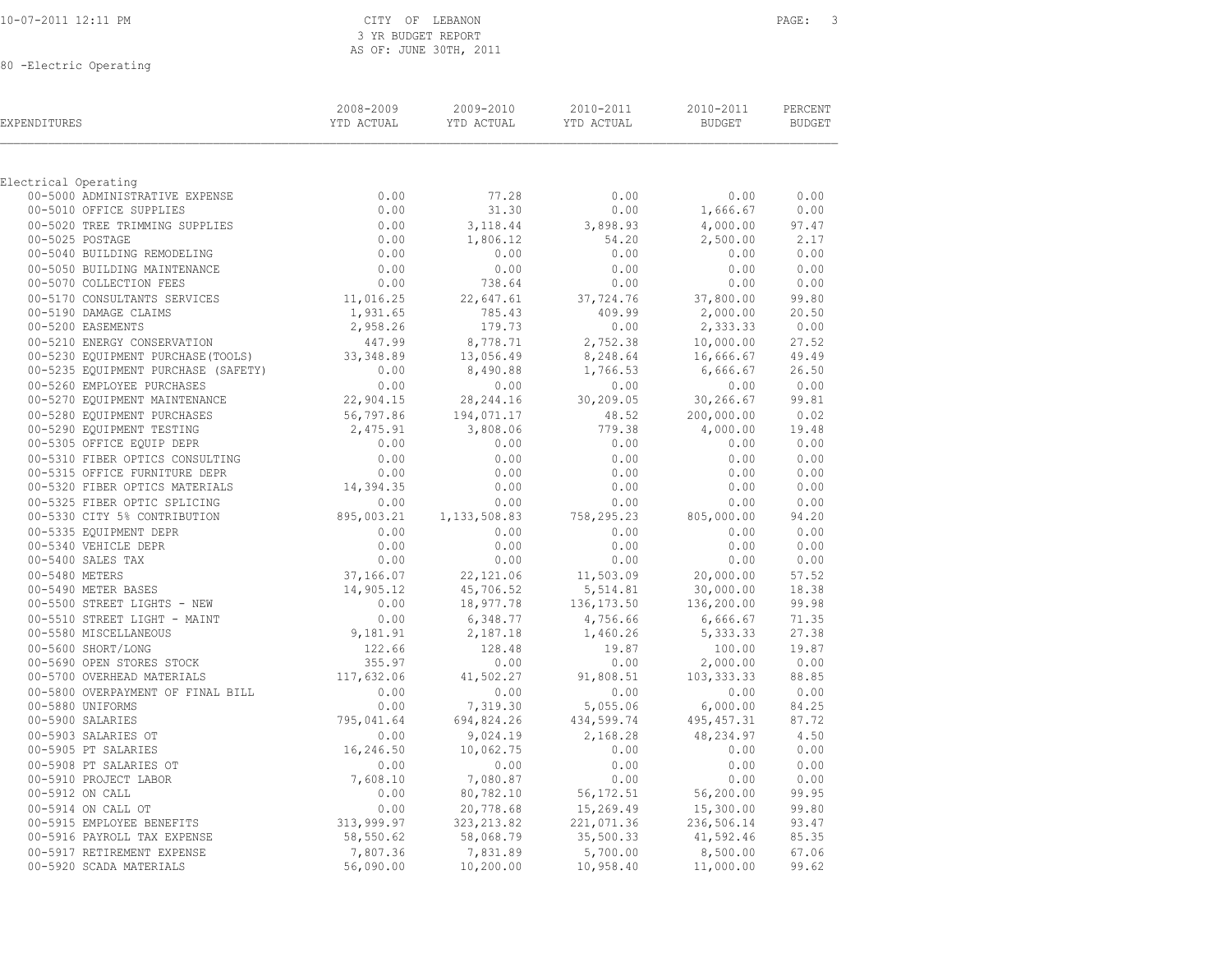| 10-07-2011 12:11 PM |  |
|---------------------|--|
|                     |  |

80 -Electric Operating

| EXPENDITURES                                           | 2008-2009<br>YTD ACTUAL | 2009-2010<br>YTD ACTUAL | 2010-2011<br>YTD ACTUAL | 2010-2011<br><b>BUDGET</b> | PERCENT<br><b>BUDGET</b> |
|--------------------------------------------------------|-------------------------|-------------------------|-------------------------|----------------------------|--------------------------|
|                                                        |                         |                         |                         |                            |                          |
| Electrical Operating<br>00-5000 ADMINISTRATIVE EXPENSE | 0.00                    | 77.28                   | 0.00                    | 0.00                       | 0.00                     |
| 00-5010 OFFICE SUPPLIES                                | 0.00                    | 31.30                   | 0.00                    | 1,666.67                   | 0.00                     |
| 00-5020 TREE TRIMMING SUPPLIES                         | 0.00                    | 3,118.44                | 3,898.93                | 4,000.00                   | 97.47                    |
| 00-5025 POSTAGE                                        | 0.00                    | 1,806.12                | 54.20                   | 2,500.00                   | 2.17                     |
| 00-5040 BUILDING REMODELING                            | 0.00                    | 0.00                    | 0.00                    | 0.00                       | 0.00                     |
| 00-5050 BUILDING MAINTENANCE                           | 0.00                    | 0.00                    | 0.00                    | 0.00                       | 0.00                     |
| 00-5070 COLLECTION FEES                                | 0.00                    | 738.64                  | 0.00                    | 0.00                       | 0.00                     |
| 00-5170 CONSULTANTS SERVICES                           | 11,016.25               | 22,647.61               | 37,724.76               | 37,800.00                  | 99.80                    |
| 00-5190 DAMAGE CLAIMS                                  | 1,931.65                | 785.43                  | 409.99                  | 2,000.00                   | 20.50                    |
| 00-5200 EASEMENTS                                      | 2,958.26                | 179.73                  | 0.00                    | 2,333.33                   | 0.00                     |
| 00-5210 ENERGY CONSERVATION                            | 447.99                  | 8,778.71                | 2,752.38                | 10,000.00                  | 27.52                    |
| 00-5230 EQUIPMENT PURCHASE (TOOLS)                     | 33, 348.89              | 13,056.49               | 8,248.64                | 16,666.67                  | 49.49                    |
| 00-5235 EQUIPMENT PURCHASE (SAFETY)                    | 0.00                    | 8,490.88                | 1,766.53                | 6,666.67                   | 26.50                    |
| 00-5260 EMPLOYEE PURCHASES                             | 0.00                    | 0.00                    | 0.00                    | 0.00                       | 0.00                     |
| 00-5270 EQUIPMENT MAINTENANCE                          | 22,904.15               | 28, 244.16              | 30,209.05               | 30,266.67                  | 99.81                    |
| 00-5280 EQUIPMENT PURCHASES                            | 56,797.86               | 194,071.17              | 48.52                   | 200,000.00                 | 0.02                     |
| 00-5290 EQUIPMENT TESTING                              | 2,475.91                | 3,808.06                | 779.38                  | 4,000.00                   | 19.48                    |
| 00-5305 OFFICE EQUIP DEPR                              | 0.00                    | 0.00                    | 0.00                    | 0.00                       | 0.00                     |
| 00-5310 FIBER OPTICS CONSULTING                        | 0.00                    | 0.00                    | 0.00                    | 0.00                       | 0.00                     |
| 00-5315 OFFICE FURNITURE DEPR                          | 0.00                    | 0.00                    | 0.00                    | 0.00                       | 0.00                     |
| 00-5320 FIBER OPTICS MATERIALS                         | 14,394.35               | 0.00                    | 0.00                    | 0.00                       | 0.00                     |
| 00-5325 FIBER OPTIC SPLICING                           | 0.00                    | 0.00                    | 0.00                    | 0.00                       | 0.00                     |
| 00-5330 CITY 5% CONTRIBUTION                           | 895,003.21              | 1, 133, 508.83          | 758,295.23              | 805,000.00                 | 94.20                    |
| 00-5335 EQUIPMENT DEPR                                 | 0.00                    | 0.00                    | 0.00                    | 0.00                       | 0.00                     |
| 00-5340 VEHICLE DEPR                                   | 0.00                    | 0.00                    | 0.00                    | 0.00                       | 0.00                     |
| 00-5400 SALES TAX                                      | 0.00                    | 0.00                    | 0.00                    | 0.00                       | 0.00                     |
| 00-5480 METERS                                         | 37,166.07               | 22,121.06               | 11,503.09               | 20,000.00                  | 57.52                    |
| 00-5490 METER BASES                                    | 14,905.12               | 45,706.52               | 5,514.81                | 30,000.00                  | 18.38                    |
| 00-5500 STREET LIGHTS - NEW                            | 0.00                    | 18,977.78               | 136, 173.50             | 136,200.00                 | 99.98                    |
| 00-5510 STREET LIGHT - MAINT                           | 0.00                    | 6,348.77                | 4,756.66                | 6,666.67                   | 71.35                    |
| 00-5580 MISCELLANEOUS                                  | 9,181.91                | 2,187.18                | 1,460.26                | 5,333.33                   | 27.38                    |
| 00-5600 SHORT/LONG                                     |                         | 128.48                  | 19.87                   | 100.00                     | 19.87                    |
| 00-5690 OPEN STORES STOCK                              | 122.66<br>355.97        | 0.00                    | 0.00                    | 2,000.00                   | 0.00                     |
| 00-5700 OVERHEAD MATERIALS                             | 117,632.06              | 41,502.27               | 91,808.51               | 103, 333.33                | 88.85                    |
| 00-5800 OVERPAYMENT OF FINAL BILL                      | 0.00                    | 0.00                    | 0.00                    | 0.00                       | 0.00                     |
| 00-5880 UNIFORMS                                       | 0.00                    | 7,319.30                | 5,055.06                | 6,000.00                   | 84.25                    |
| 00-5900 SALARIES                                       | 795,041.64              | 694,824.26              | 434,599.74              | 495, 457.31                | 87.72                    |
| 00-5903 SALARIES OT                                    | 0.00                    | 9,024.19                | 2,168.28                | 48,234.97                  | 4.50                     |
| 00-5905 PT SALARIES                                    | 16,246.50               | 10,062.75               | 0.00                    | 0.00                       | 0.00                     |
| 00-5908 PT SALARIES OT                                 | 0.00                    | 0.00                    | 0.00                    | 0.00                       | 0.00                     |
| 00-5910 PROJECT LABOR                                  | 7,608.10                | 7,080.87                | 0.00                    | 0.00                       | 0.00                     |
| 00-5912 ON CALL                                        | 0.00                    | 80,782.10               | 56,172.51               | 56,200.00                  | 99.95                    |
| 00-5914 ON CALL OT                                     | 0.00                    | 20,778.68               | 15,269.49               | 15,300.00                  | 99.80                    |
| 00-5915 EMPLOYEE BENEFITS                              | 313,999.97              | 323, 213.82             | 221,071.36              | 236,506.14                 | 93.47                    |
| 00-5916 PAYROLL TAX EXPENSE                            | 58,550.62               | 58,068.79               | 35,500.33               | 41,592.46                  | 85.35                    |
| 00-5917 RETIREMENT EXPENSE                             | 7,807.36                | 7,831.89                | 5,700.00                | 8,500.00                   | 67.06                    |
| 00-5920 SCADA MATERIALS                                | 56,090.00               | 10, 200.00              | 10,958.40               | 11,000.00                  | 99.62                    |
|                                                        |                         |                         |                         |                            |                          |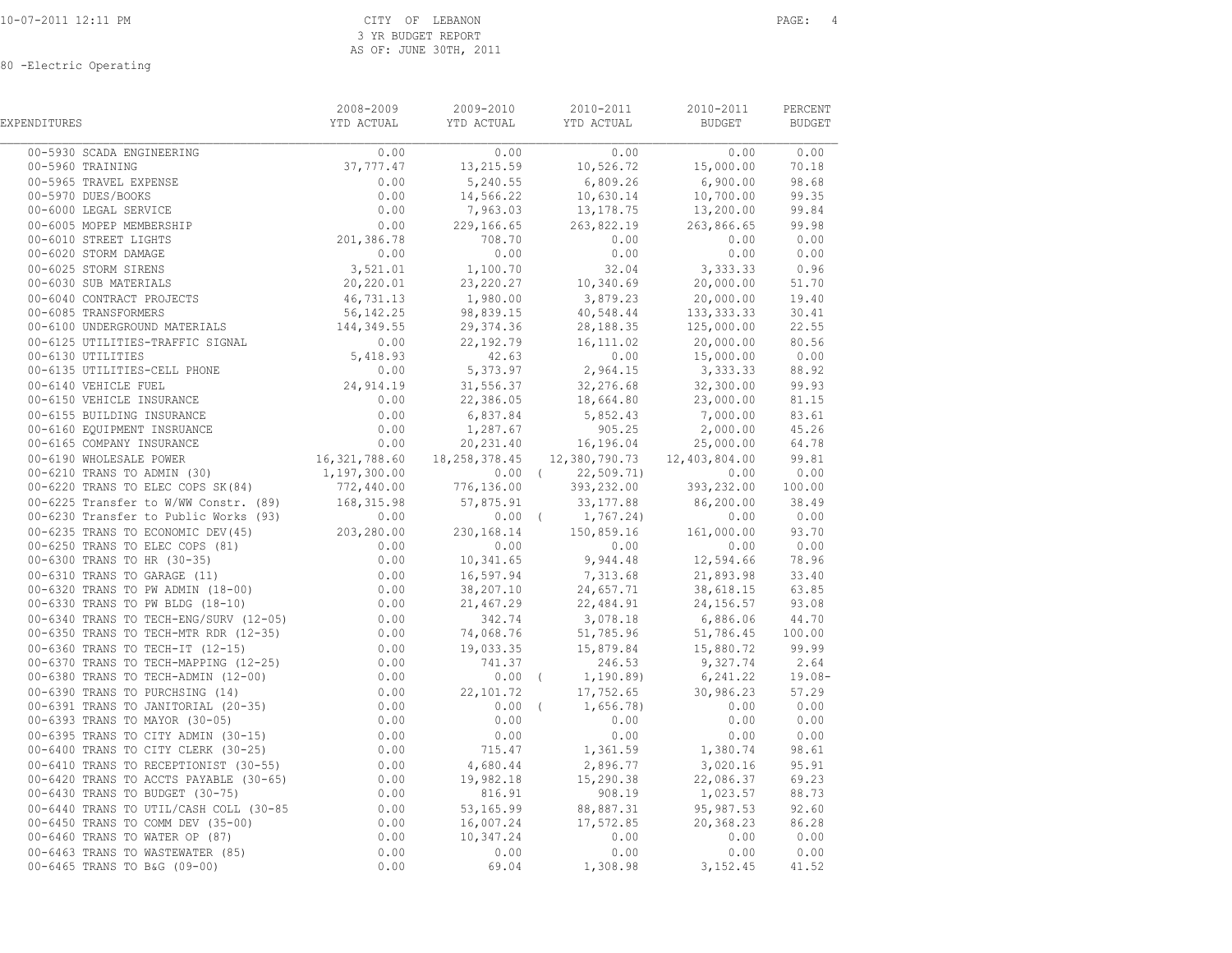80 -Electric Operating

| EXPENDITURES                                                                                                                                                                                                                   | 2008-2009 | 2009-2010 | 2010-2011                                       | 2010-2011                                           | PERCENT<br><b>BUDGET</b> |
|--------------------------------------------------------------------------------------------------------------------------------------------------------------------------------------------------------------------------------|-----------|-----------|-------------------------------------------------|-----------------------------------------------------|--------------------------|
|                                                                                                                                                                                                                                |           |           |                                                 | $\begin{array}{c c} \hline 0.00 & 0.00 \end{array}$ | 0.00                     |
|                                                                                                                                                                                                                                |           |           | $37,777.47$ $13,215.59$ $10,526.72$ $15,000.00$ |                                                     | 70.18                    |
|                                                                                                                                                                                                                                |           |           |                                                 |                                                     | 98.68                    |
|                                                                                                                                                                                                                                |           |           |                                                 |                                                     | 99.35                    |
|                                                                                                                                                                                                                                |           |           |                                                 |                                                     | 99.84                    |
|                                                                                                                                                                                                                                |           |           |                                                 | 263,866.65 99.98                                    |                          |
|                                                                                                                                                                                                                                |           |           |                                                 | 0.00                                                | 0.00                     |
|                                                                                                                                                                                                                                |           |           |                                                 |                                                     | 0.00                     |
|                                                                                                                                                                                                                                |           |           |                                                 |                                                     | 0.96                     |
|                                                                                                                                                                                                                                |           |           |                                                 |                                                     |                          |
|                                                                                                                                                                                                                                |           |           |                                                 |                                                     |                          |
|                                                                                                                                                                                                                                |           |           |                                                 |                                                     |                          |
|                                                                                                                                                                                                                                |           |           |                                                 |                                                     |                          |
|                                                                                                                                                                                                                                |           |           |                                                 |                                                     |                          |
|                                                                                                                                                                                                                                |           |           |                                                 |                                                     |                          |
|                                                                                                                                                                                                                                |           |           |                                                 |                                                     |                          |
|                                                                                                                                                                                                                                |           |           |                                                 |                                                     |                          |
|                                                                                                                                                                                                                                |           |           |                                                 |                                                     |                          |
|                                                                                                                                                                                                                                |           |           |                                                 |                                                     |                          |
|                                                                                                                                                                                                                                |           |           |                                                 |                                                     |                          |
|                                                                                                                                                                                                                                |           |           |                                                 |                                                     |                          |
|                                                                                                                                                                                                                                |           |           |                                                 |                                                     |                          |
|                                                                                                                                                                                                                                |           |           |                                                 |                                                     |                          |
|                                                                                                                                                                                                                                |           |           |                                                 |                                                     |                          |
|                                                                                                                                                                                                                                |           |           |                                                 |                                                     |                          |
|                                                                                                                                                                                                                                |           |           |                                                 |                                                     |                          |
|                                                                                                                                                                                                                                |           |           |                                                 |                                                     |                          |
|                                                                                                                                                                                                                                |           |           |                                                 |                                                     |                          |
|                                                                                                                                                                                                                                |           |           |                                                 |                                                     |                          |
|                                                                                                                                                                                                                                |           |           |                                                 |                                                     |                          |
|                                                                                                                                                                                                                                |           |           |                                                 |                                                     |                          |
|                                                                                                                                                                                                                                |           |           |                                                 |                                                     |                          |
|                                                                                                                                                                                                                                |           |           |                                                 |                                                     |                          |
|                                                                                                                                                                                                                                |           |           |                                                 |                                                     |                          |
|                                                                                                                                                                                                                                |           |           |                                                 |                                                     |                          |
|                                                                                                                                                                                                                                |           |           |                                                 |                                                     |                          |
|                                                                                                                                                                                                                                |           |           |                                                 |                                                     |                          |
|                                                                                                                                                                                                                                |           |           |                                                 |                                                     |                          |
|                                                                                                                                                                                                                                |           |           |                                                 |                                                     |                          |
|                                                                                                                                                                                                                                |           |           |                                                 |                                                     |                          |
|                                                                                                                                                                                                                                |           |           |                                                 |                                                     |                          |
|                                                                                                                                                                                                                                |           |           |                                                 |                                                     |                          |
|                                                                                                                                                                                                                                |           |           |                                                 |                                                     |                          |
|                                                                                                                                                                                                                                |           |           |                                                 |                                                     |                          |
| 00–6210 TRANS TO ABIN' (100)<br>00–6220 TRANS TO ABIN' (100) (100) (100) (100) (100) (100) (100) (100) (100) (100) (100) (100) (100) (100) (100) (100) (100) (100) (100) (100) (100) (100) (100) (100) (100) (100) (100) (100) |           |           |                                                 |                                                     |                          |
|                                                                                                                                                                                                                                |           |           |                                                 |                                                     |                          |
|                                                                                                                                                                                                                                |           |           |                                                 |                                                     |                          |
|                                                                                                                                                                                                                                |           |           |                                                 |                                                     |                          |
|                                                                                                                                                                                                                                |           |           |                                                 |                                                     |                          |
|                                                                                                                                                                                                                                |           |           |                                                 |                                                     |                          |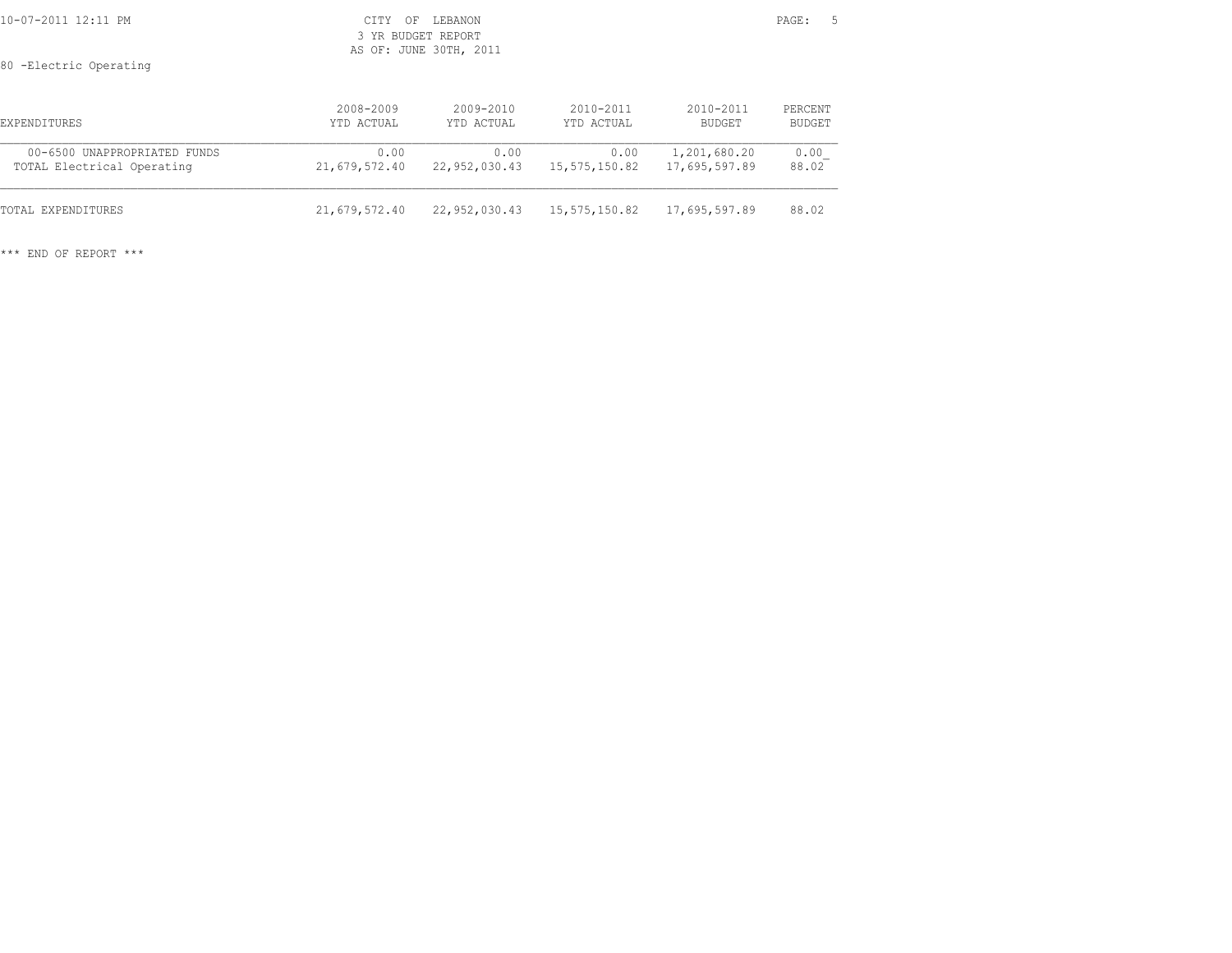| 10-07-2011 12:11 PM                                        | CTTY<br>ΟF              | LEBANON<br>3 YR BUDGET REPORT<br>AS OF: JUNE 30TH, 2011 |                         |                               | PAGE:             | - 5 |
|------------------------------------------------------------|-------------------------|---------------------------------------------------------|-------------------------|-------------------------------|-------------------|-----|
| 80 - Electric Operating                                    |                         |                                                         |                         |                               |                   |     |
| EXPENDITURES                                               | 2008-2009<br>YTD ACTUAL | $2009 - 2010$<br>YTD ACTUAL                             | 2010-2011<br>YTD ACTUAL | 2010-2011<br>BUDGET           | PERCENT<br>BUDGET |     |
| 00-6500 UNAPPROPRIATED FUNDS<br>TOTAL Electrical Operating | 0.00<br>21,679,572.40   | 0.00<br>22,952,030.43                                   | 0.00<br>15,575,150.82   | 1,201,680.20<br>17,695,597.89 | 0.00<br>88.02     |     |
| TOTAL EXPENDITURES                                         | 21,679,572.40           | 22,952,030.43                                           | 15,575,150.82           | 17,695,597.89                 | 88.02             |     |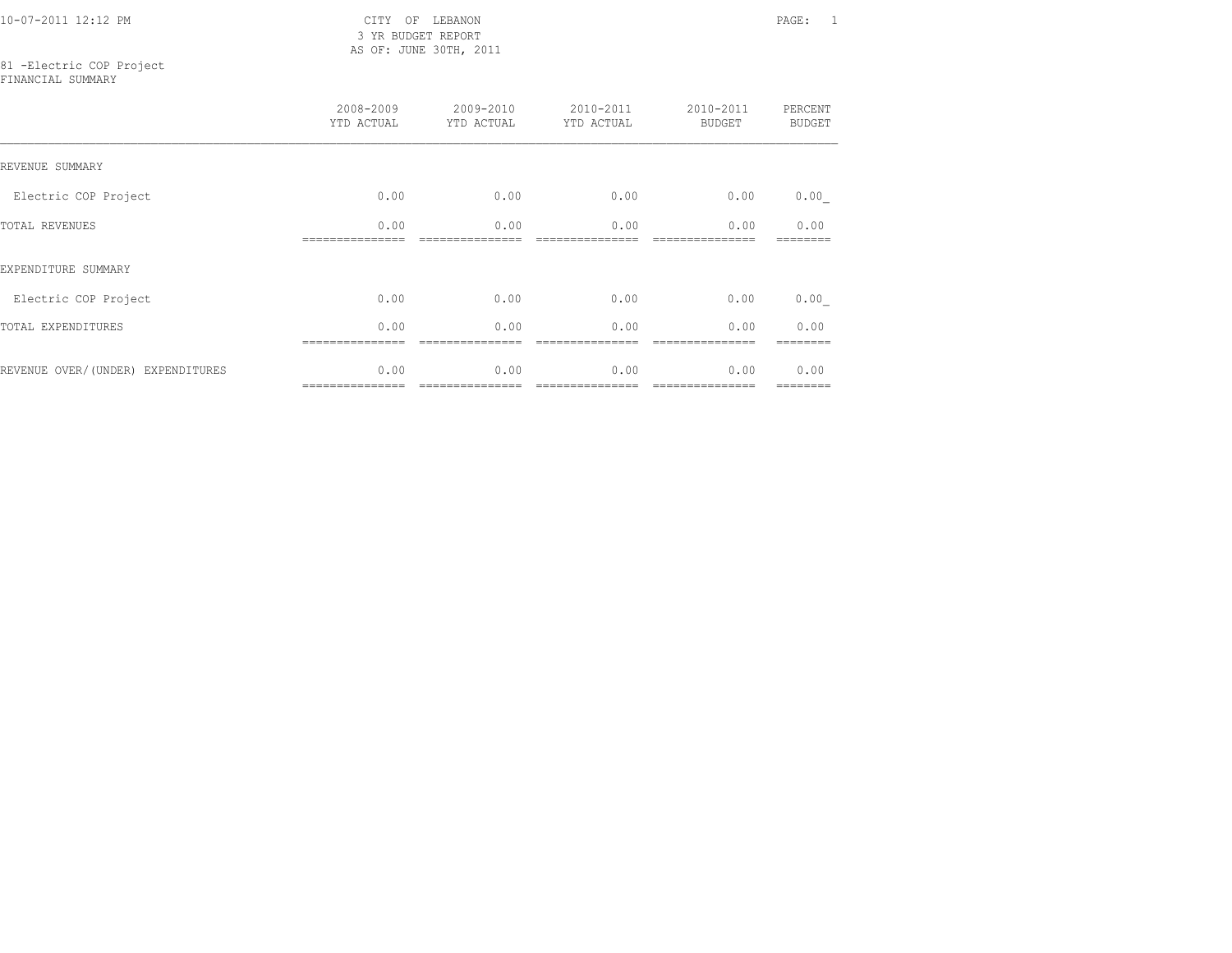10-07-2011 12:12 PM CITY OF LEBANON PAGE: 1

 3 YR BUDGET REPORT AS OF: JUNE 30TH, 2011

# 81 -Electric COP Project

FINANCIAL SUMMARY

|                                   | 2008-2009<br>YTD ACTUAL | 2009-2010<br>YTD ACTUAL | 2010-2011<br>YTD ACTUAL | 2010-2011<br><b>BUDGET</b> | PERCENT<br><b>BUDGET</b> |
|-----------------------------------|-------------------------|-------------------------|-------------------------|----------------------------|--------------------------|
| REVENUE SUMMARY                   |                         |                         |                         |                            |                          |
| Electric COP Project              | 0.00                    | 0.00                    | 0.00                    | 0.00                       | 0.00                     |
| TOTAL REVENUES                    | 0.00                    | 0.00                    | 0.00                    | 0.00                       | 0.00                     |
| EXPENDITURE SUMMARY               |                         |                         |                         |                            |                          |
| Electric COP Project              | 0.00                    | 0.00                    | 0.00                    | 0.00                       | 0.00                     |
| TOTAL EXPENDITURES                | 0.00                    | 0.00                    | 0.00                    | 0.00                       | 0.00                     |
| REVENUE OVER/(UNDER) EXPENDITURES | 0.00                    | 0.00                    | 0.00                    | 0.00                       | 0.00<br>--------         |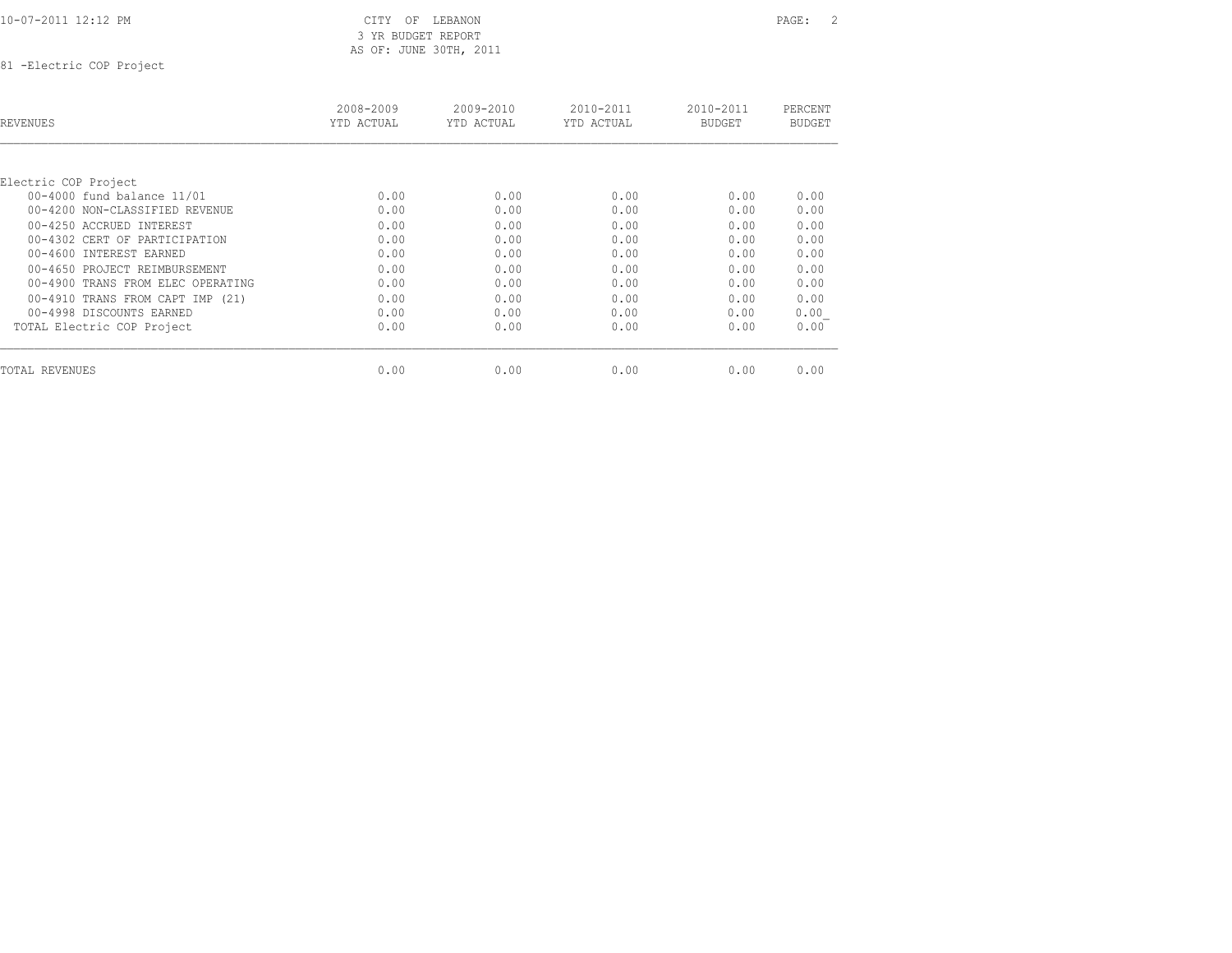81 -Electric COP Project

| <b>REVENUES</b>                   | 2008-2009<br>YTD ACTUAL | $2009 - 2010$<br>YTD ACTUAL | 2010-2011<br>YTD ACTUAL | 2010-2011<br><b>BUDGET</b> | PERCENT<br><b>BUDGET</b> |
|-----------------------------------|-------------------------|-----------------------------|-------------------------|----------------------------|--------------------------|
|                                   |                         |                             |                         |                            |                          |
| Electric COP Project              |                         |                             |                         |                            |                          |
| 00-4000 fund balance 11/01        | 0.00                    | 0.00                        | 0.00                    | 0.00                       | 0.00                     |
| 00-4200 NON-CLASSIFIED REVENUE    | 0.00                    | 0.00                        | 0.00                    | 0.00                       | 0.00                     |
| 00-4250 ACCRUED INTEREST          | 0.00                    | 0.00                        | 0.00                    | 0.00                       | 0.00                     |
| 00-4302 CERT OF PARTICIPATION     | 0.00                    | 0.00                        | 0.00                    | 0.00                       | 0.00                     |
| 00-4600 INTEREST EARNED           | 0.00                    | 0.00                        | 0.00                    | 0.00                       | 0.00                     |
| 00-4650 PROJECT REIMBURSEMENT     | 0.00                    | 0.00                        | 0.00                    | 0.00                       | 0.00                     |
| 00-4900 TRANS FROM ELEC OPERATING | 0.00                    | 0.00                        | 0.00                    | 0.00                       | 0.00                     |
| 00-4910 TRANS FROM CAPT IMP (21)  | 0.00                    | 0.00                        | 0.00                    | 0.00                       | 0.00                     |
| 00-4998 DISCOUNTS EARNED          | 0.00                    | 0.00                        | 0.00                    | 0.00                       | 0.00                     |
| TOTAL Electric COP Project        | 0.00                    | 0.00                        | 0.00                    | 0.00                       | 0.00                     |
| <b>TOTAL REVENUES</b>             | 0.00                    | 0.00                        | 0.00                    | 0.00                       | 0.00                     |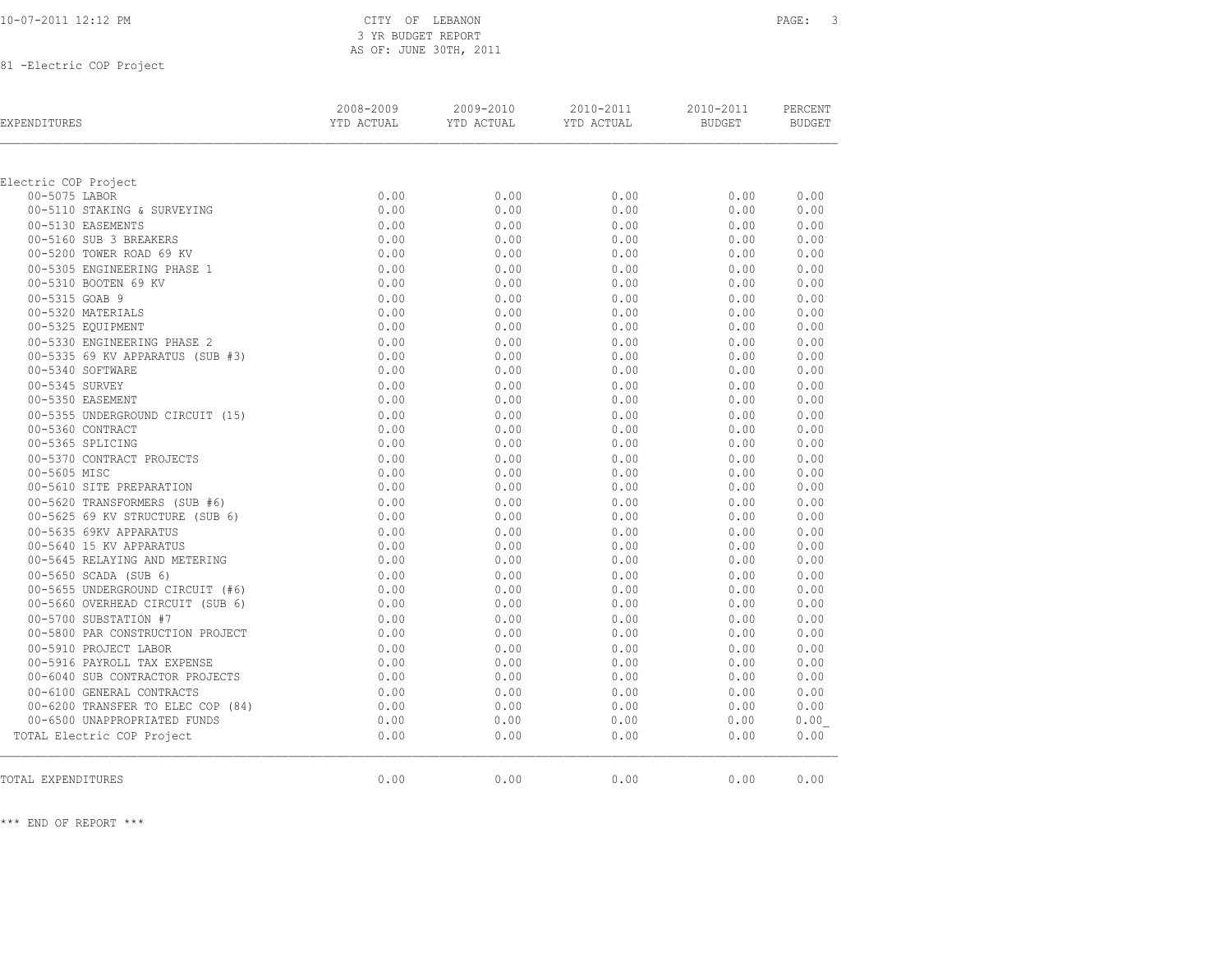\*\*\* END OF REPORT \*\*\*

81 -Electric COP Project

| Electric COP Project              |      |      |      |      |      |
|-----------------------------------|------|------|------|------|------|
| 00-5075 LABOR                     | 0.00 | 0.00 | 0.00 | 0.00 | 0.00 |
| 00-5110 STAKING & SURVEYING       | 0.00 | 0.00 | 0.00 | 0.00 | 0.00 |
| 00-5130 EASEMENTS                 | 0.00 | 0.00 | 0.00 | 0.00 | 0.00 |
| 00-5160 SUB 3 BREAKERS            | 0.00 | 0.00 | 0.00 | 0.00 | 0.00 |
| 00-5200 TOWER ROAD 69 KV          | 0.00 | 0.00 | 0.00 | 0.00 | 0.00 |
| 00-5305 ENGINEERING PHASE 1       | 0.00 | 0.00 | 0.00 | 0.00 | 0.00 |
| 00-5310 BOOTEN 69 KV              | 0.00 | 0.00 | 0.00 | 0.00 | 0.00 |
| 00-5315 GOAB 9                    | 0.00 | 0.00 | 0.00 | 0.00 | 0.00 |
| 00-5320 MATERIALS                 | 0.00 | 0.00 | 0.00 | 0.00 | 0.00 |
| 00-5325 EQUIPMENT                 | 0.00 | 0.00 | 0.00 | 0.00 | 0.00 |
| 00-5330 ENGINEERING PHASE 2       | 0.00 | 0.00 | 0.00 | 0.00 | 0.00 |
| 00-5335 69 KV APPARATUS (SUB #3)  | 0.00 | 0.00 | 0.00 | 0.00 | 0.00 |
| 00-5340 SOFTWARE                  | 0.00 | 0.00 | 0.00 | 0.00 | 0.00 |
| 00-5345 SURVEY                    | 0.00 | 0.00 | 0.00 | 0.00 | 0.00 |
| 00-5350 EASEMENT                  | 0.00 | 0.00 | 0.00 | 0.00 | 0.00 |
| 00-5355 UNDERGROUND CIRCUIT (15)  | 0.00 | 0.00 | 0.00 | 0.00 | 0.00 |
| 00-5360 CONTRACT                  | 0.00 | 0.00 | 0.00 | 0.00 | 0.00 |
| 00-5365 SPLICING                  | 0.00 | 0.00 | 0.00 | 0.00 | 0.00 |
| 00-5370 CONTRACT PROJECTS         | 0.00 | 0.00 | 0.00 | 0.00 | 0.00 |
| 00-5605 MISC                      | 0.00 | 0.00 | 0.00 | 0.00 | 0.00 |
| 00-5610 SITE PREPARATION          | 0.00 | 0.00 | 0.00 | 0.00 | 0.00 |
| 00-5620 TRANSFORMERS (SUB #6)     | 0.00 | 0.00 | 0.00 | 0.00 | 0.00 |
| 00-5625 69 KV STRUCTURE (SUB 6)   | 0.00 | 0.00 | 0.00 | 0.00 | 0.00 |
| 00-5635 69KV APPARATUS            | 0.00 | 0.00 | 0.00 | 0.00 | 0.00 |
| 00-5640 15 KV APPARATUS           | 0.00 | 0.00 | 0.00 | 0.00 | 0.00 |
| 00-5645 RELAYING AND METERING     | 0.00 | 0.00 | 0.00 | 0.00 | 0.00 |
| 00-5650 SCADA (SUB 6)             | 0.00 | 0.00 | 0.00 | 0.00 | 0.00 |
| 00-5655 UNDERGROUND CIRCUIT (#6)  | 0.00 | 0.00 | 0.00 | 0.00 | 0.00 |
| 00-5660 OVERHEAD CIRCUIT (SUB 6)  | 0.00 | 0.00 | 0.00 | 0.00 | 0.00 |
| 00-5700 SUBSTATION #7             | 0.00 | 0.00 | 0.00 | 0.00 | 0.00 |
| 00-5800 PAR CONSTRUCTION PROJECT  | 0.00 | 0.00 | 0.00 | 0.00 | 0.00 |
| 00-5910 PROJECT LABOR             | 0.00 | 0.00 | 0.00 | 0.00 | 0.00 |
| 00-5916 PAYROLL TAX EXPENSE       | 0.00 | 0.00 | 0.00 | 0.00 | 0.00 |
| 00-6040 SUB CONTRACTOR PROJECTS   | 0.00 | 0.00 | 0.00 | 0.00 | 0.00 |
| 00-6100 GENERAL CONTRACTS         | 0.00 | 0.00 | 0.00 | 0.00 | 0.00 |
| 00-6200 TRANSFER TO ELEC COP (84) | 0.00 | 0.00 | 0.00 | 0.00 | 0.00 |
| 00-6500 UNAPPROPRIATED FUNDS      | 0.00 | 0.00 | 0.00 | 0.00 | 0.00 |
| TOTAL Electric COP Project        | 0.00 | 0.00 | 0.00 | 0.00 | 0.00 |
|                                   |      |      |      |      |      |
| TOTAL EXPENDITURES                | 0.00 | 0.00 | 0.00 | 0.00 | 0.00 |

10-07-2011 12:12 PM CITY OF LEBANON PAGE: 3 3 YR BUDGET REPORT AS OF: JUNE 30TH, 2011

 2008-2009 2009-2010 2010-2011 2010-2011 PERCENT EXPENDITURES YTD ACTUAL YTD ACTUAL YTD ACTUAL BUDGET BUDGET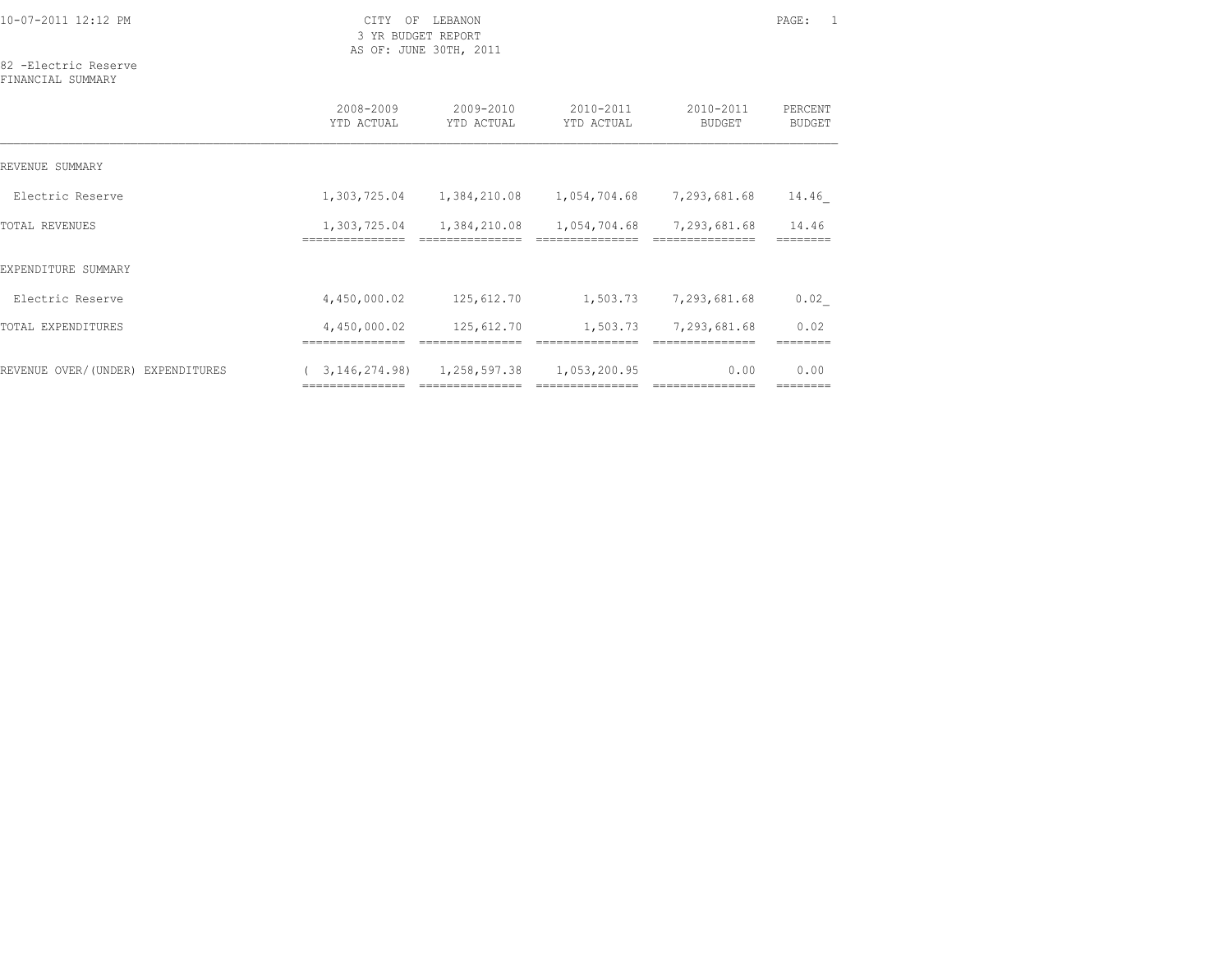10-07-2011 12:12 PM CITY OF LEBANON PAGE: 1

 3 YR BUDGET REPORT AS OF: JUNE 30TH, 2011

# 82 -Electric Reserve

| FINANCIAL. | SUMMARY |
|------------|---------|
|------------|---------|

|                                   | 2008-2009<br>YTD ACTUAL                              | 2009-2010<br>YTD ACTUAL | 2010-2011<br>YTD ACTUAL          | 2010-2011<br>BUDGET      | PERCENT<br><b>BUDGET</b> |
|-----------------------------------|------------------------------------------------------|-------------------------|----------------------------------|--------------------------|--------------------------|
| REVENUE SUMMARY                   |                                                      |                         |                                  |                          |                          |
| Electric Reserve                  | 1,303,725.04                                         | 1,384,210.08            | 1,054,704.68                     | 7,293,681.68             | 14.46                    |
| TOTAL REVENUES                    | 1,303,725.04<br>============                         | 1,384,210.08            | 1,054,704.68                     | 7,293,681.68             | 14.46                    |
| EXPENDITURE SUMMARY               |                                                      |                         |                                  |                          |                          |
| Electric Reserve                  | 4,450,000.02                                         | 125,612.70              | 1,503.73                         | 7,293,681.68             | 0.02                     |
| TOTAL EXPENDITURES                | 4,450,000.02                                         | 125,612.70              | 1,503.73                         | 7,293,681.68             | 0.02                     |
| REVENUE OVER/(UNDER) EXPENDITURES | 3, 146, 274, 98)<br>================================ | 1,258,597.38            | 1,053,200.95<br>---------------- | 0.00<br>---------------- | 0.00<br>--------         |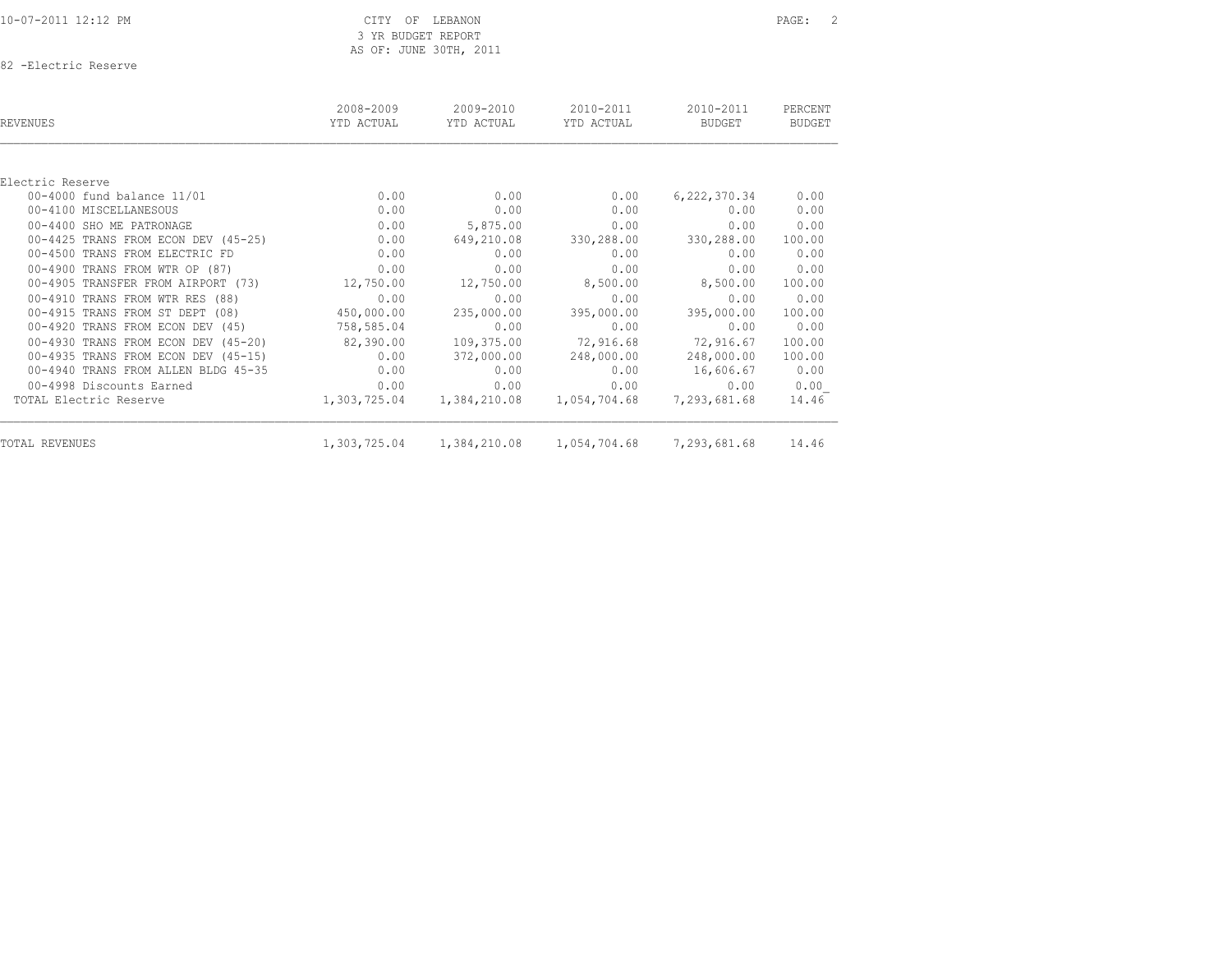| 10-07-2011 12:12 PM |  |  |
|---------------------|--|--|
|---------------------|--|--|

82 -Electric Reserve

| REVENUES                            | 2008-2009<br>YTD ACTUAL | 2009-2010<br>YTD ACTUAL | 2010-2011<br>YTD ACTUAL | 2010-2011<br>BUDGET | PERCENT<br><b>BUDGET</b> |
|-------------------------------------|-------------------------|-------------------------|-------------------------|---------------------|--------------------------|
|                                     |                         |                         |                         |                     |                          |
| Electric Reserve                    |                         |                         |                         |                     |                          |
| 00-4000 fund balance 11/01          | 0.00                    | 0.00                    | 0.00                    | 6,222,370.34        | 0.00                     |
| 00-4100 MISCELLANESOUS              | 0.00                    | 0.00                    | 0.00                    | 0.00                | 0.00                     |
| 00-4400 SHO ME PATRONAGE            | 0.00                    | 5,875.00                | 0.00                    | 0.00                | 0.00                     |
| 00-4425 TRANS FROM ECON DEV (45-25) | 0.00                    | 649,210.08              | 330,288.00              | 330,288.00          | 100.00                   |
| 00-4500 TRANS FROM ELECTRIC FD      | 0.00                    | 0.00                    | 0.00                    | 0.00                | 0.00                     |
| 00-4900 TRANS FROM WTR OP (87)      | 0.00                    | 0.00                    | 0.00                    | 0.00                | 0.00                     |
| 00-4905 TRANSFER FROM AIRPORT (73)  | 12,750.00               | 12,750.00               | 8,500.00                | 8,500.00            | 100.00                   |
| 00-4910 TRANS FROM WTR RES (88)     | 0.00                    | 0.00                    | 0.00                    | 0.00                | 0.00                     |
| 00-4915 TRANS FROM ST DEPT (08)     | 450,000.00              | 235,000.00              | 395,000.00              | 395,000.00          | 100.00                   |
| 00-4920 TRANS FROM ECON DEV (45)    | 758,585.04              | 0.00                    | 0.00                    | 0.00                | 0.00                     |
| 00-4930 TRANS FROM ECON DEV (45-20) | 82,390.00               | 109,375.00              | 72,916.68               | 72,916.67           | 100.00                   |
| 00-4935 TRANS FROM ECON DEV (45-15) | 0.00                    | 372,000.00              | 248,000.00              | 248,000.00          | 100.00                   |
| 00-4940 TRANS FROM ALLEN BLDG 45-35 | 0.00                    | 0.00                    | 0.00                    | 16,606.67           | 0.00                     |
| 00-4998 Discounts Earned            | 0.00                    | 0.00                    | 0.00                    | 0.00                | 0.00                     |
| TOTAL Electric Reserve              | 1,303,725.04            | 1,384,210.08            | 1,054,704.68            | 7,293,681.68        | 14.46                    |
| TOTAL REVENUES                      | 1,303,725.04            | 1,384,210.08            | 1,054,704.68            | 7,293,681.68        | 14.46                    |
|                                     |                         |                         |                         |                     |                          |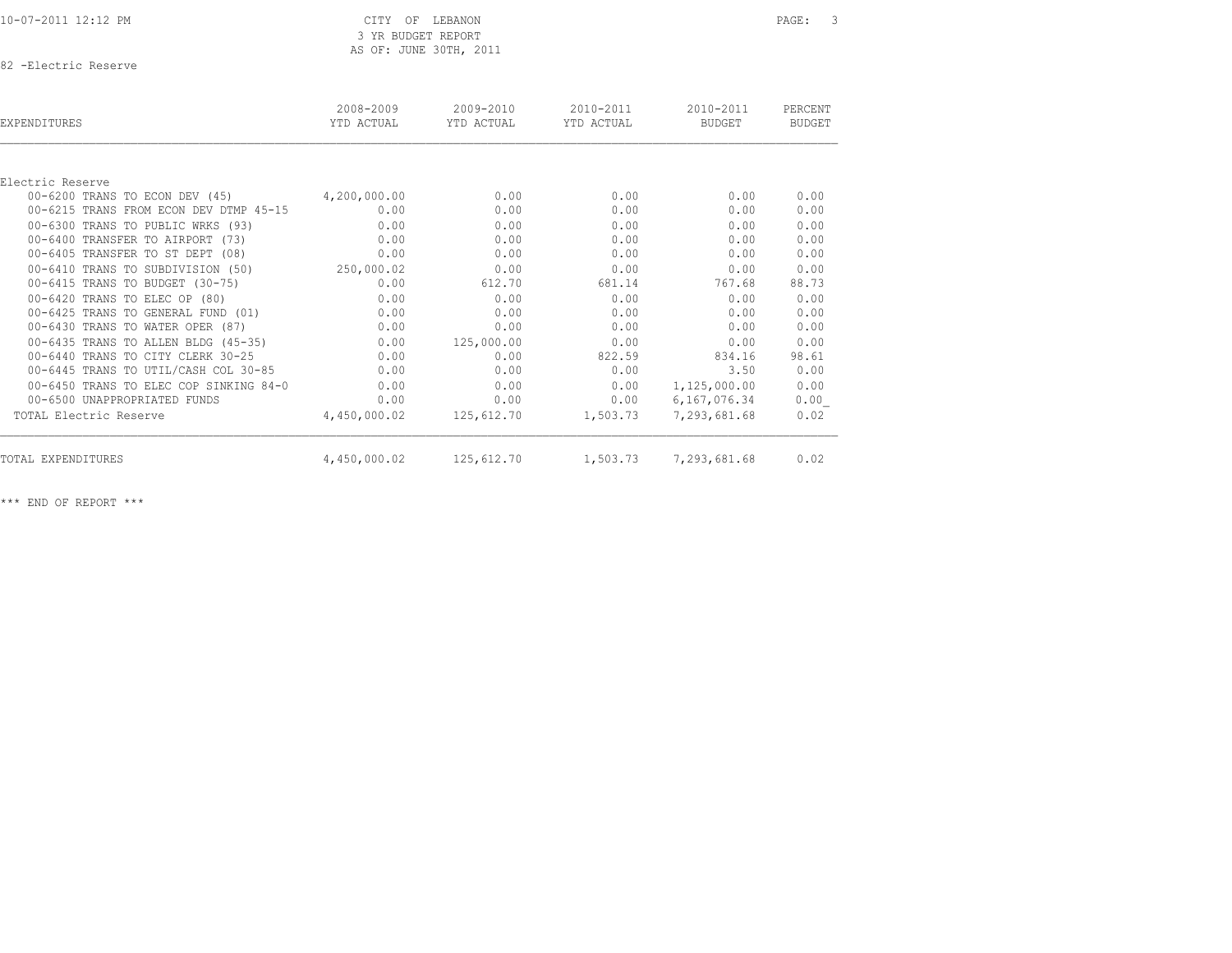# 10-07-2011 12:12 PM CITY OF LEBANON PAGE: 3 3 YR BUDGET REPORT AS OF: JUNE 30TH, 2011

82 -Electric Reserve

| EXPENDITURES                           | 2008-2009<br>YTD ACTUAL | $2009 - 2010$<br>YTD ACTUAL | 2010-2011<br>YTD ACTUAL | 2010-2011<br><b>BUDGET</b> | PERCENT<br><b>BUDGET</b> |
|----------------------------------------|-------------------------|-----------------------------|-------------------------|----------------------------|--------------------------|
|                                        |                         |                             |                         |                            |                          |
| Electric Reserve                       |                         |                             |                         |                            |                          |
| 00-6200 TRANS TO ECON DEV (45)         | 4,200,000.00            | 0.00                        | 0.00                    | 0.00                       | 0.00                     |
| 00-6215 TRANS FROM ECON DEV DTMP 45-15 | 0.00                    | 0.00                        | 0.00                    | 0.00                       | 0.00                     |
| 00-6300 TRANS TO PUBLIC WRKS (93)      | 0.00                    | 0.00                        | 0.00                    | 0.00                       | 0.00                     |
| 00-6400 TRANSFER TO AIRPORT (73)       | 0.00                    | 0.00                        | 0.00                    | 0.00                       | 0.00                     |
| 00-6405 TRANSFER TO ST DEPT (08)       | 0.00                    | 0.00                        | 0.00                    | 0.00                       | 0.00                     |
| 00-6410 TRANS TO SUBDIVISION (50)      | 250,000.02              | 0.00                        | 0.00                    | 0.00                       | 0.00                     |
| 00-6415 TRANS TO BUDGET (30-75)        | 0.00                    | 612.70                      | 681.14                  | 767.68                     | 88.73                    |
| 00-6420 TRANS TO ELEC OP (80)          | 0.00                    | 0.00                        | 0.00                    | 0.00                       | 0.00                     |
| 00-6425 TRANS TO GENERAL FUND (01)     | 0.00                    | 0.00                        | 0.00                    | 0.00                       | 0.00                     |
| 00-6430 TRANS TO WATER OPER (87)       | 0.00                    | 0.00                        | 0.00                    | 0.00                       | 0.00                     |
| 00-6435 TRANS TO ALLEN BLDG (45-35)    | 0.00                    | 125,000.00                  | 0.00                    | 0.00                       | 0.00                     |
| 00-6440 TRANS TO CITY CLERK 30-25      | 0.00                    | 0.00                        | 822.59                  | 834.16                     | 98.61                    |
| 00-6445 TRANS TO UTIL/CASH COL 30-85   | 0.00                    | 0.00                        | 0.00                    | 3.50                       | 0.00                     |
| 00-6450 TRANS TO ELEC COP SINKING 84-0 | 0.00                    | 0.00                        | 0.00                    | 1,125,000.00               | 0.00                     |
| 00-6500 UNAPPROPRIATED FUNDS           | 0.00                    | 0.00                        | 0.00                    | 6,167,076.34               | 0.00                     |
| TOTAL Electric Reserve                 | 4,450,000.02            | 125,612.70                  | 1,503.73                | 7,293,681.68               | 0.02                     |
| TOTAL EXPENDITURES                     | 4,450,000.02            | 125,612.70                  | 1,503.73                | 7,293,681.68               | 0.02                     |
|                                        |                         |                             |                         |                            |                          |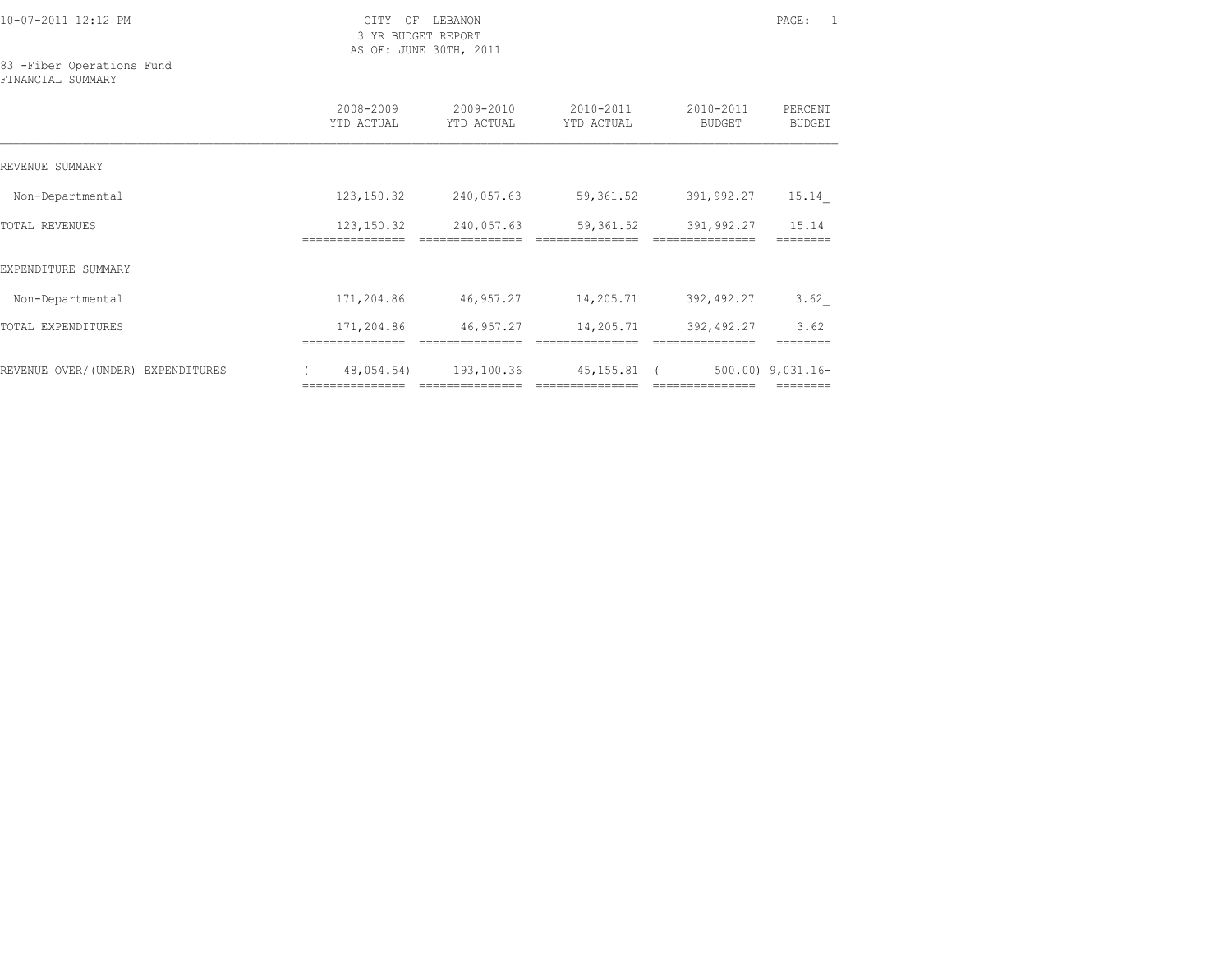10-07-2011 12:12 PM CITY OF LEBANON PAGE: 1

 3 YR BUDGET REPORT AS OF: JUNE 30TH, 2011

83 -Fiber Operations Fund FINANCIAL SUMMARY

|                                   | 2008-2009<br>YTD ACTUAL     | 2009-2010<br>YTD ACTUAL        | 2010-2011<br>YTD ACTUAL        | 2010-2011<br>BUDGET            | PERCENT<br><b>BUDGET</b> |
|-----------------------------------|-----------------------------|--------------------------------|--------------------------------|--------------------------------|--------------------------|
| REVENUE SUMMARY                   |                             |                                |                                |                                |                          |
| Non-Departmental                  | 123,150.32                  | 240,057.63                     | 59,361.52                      | 391,992.27                     | 15.14                    |
| TOTAL REVENUES                    | 123,150.32<br>============= | 240,057.63                     | 59,361.52                      | 391,992.27                     | 15.14                    |
| EXPENDITURE SUMMARY               |                             |                                |                                |                                |                          |
| Non-Departmental                  | 171,204.86                  | 46,957.27                      | 14,205.71                      | 392,492.27                     | 3.62                     |
| TOTAL EXPENDITURES                | 171,204.86                  | 46,957.27                      | 14,205.71                      | 392,492.27                     | 3.62                     |
| REVENUE OVER/(UNDER) EXPENDITURES | 48,054.54)                  | 193,100.36<br>---------------- | 45, 155.81<br>---------------- | $\sqrt{2}$<br>================ | $500.00$ ) $9.031.16 -$  |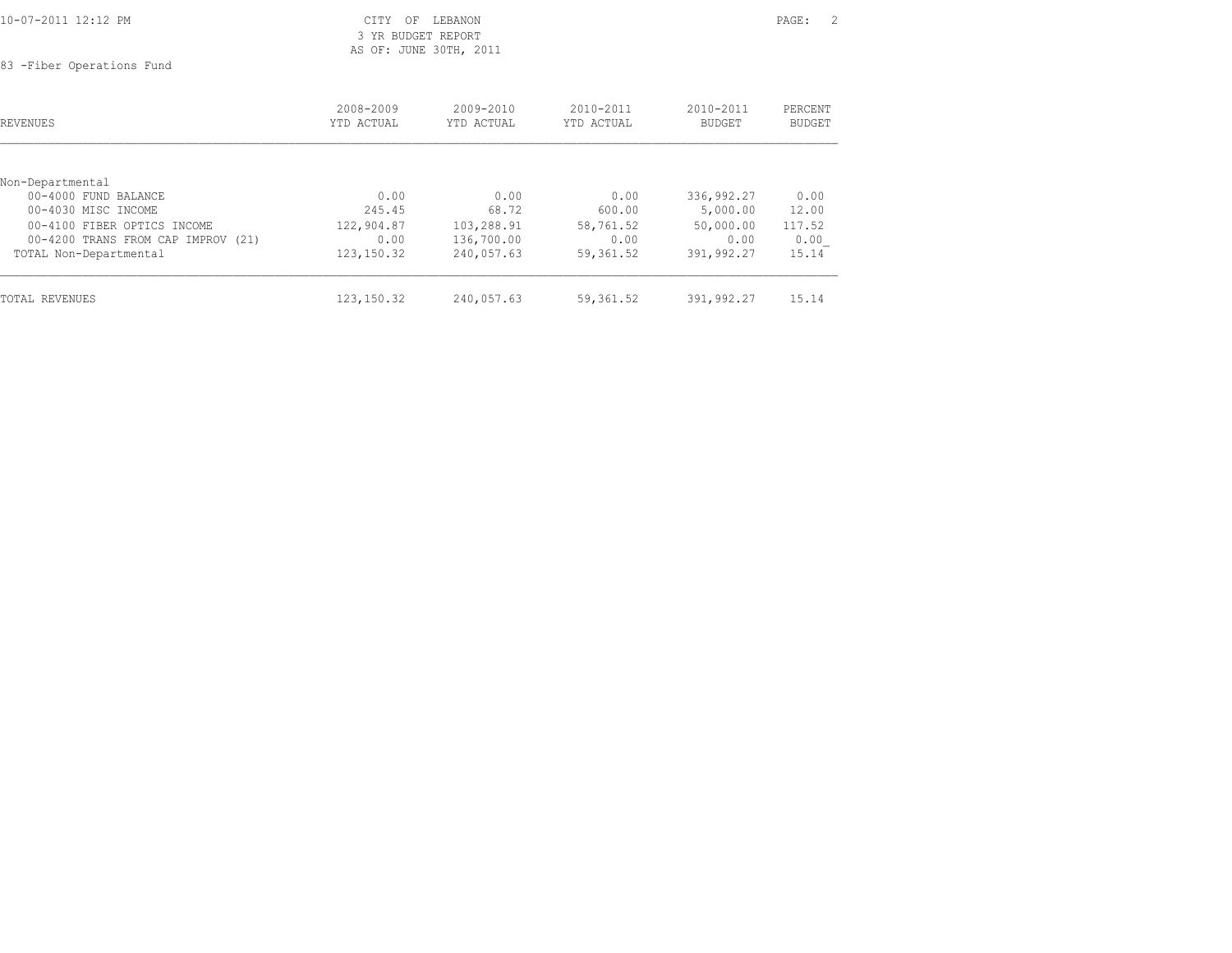|  |  | 10-07-2011 12:12 PM |
|--|--|---------------------|
|--|--|---------------------|

83 -Fiber Operations Fund

| REVENUES                           | 2008-2009<br>YTD ACTUAL | 2009-2010<br>YTD ACTUAL | 2010-2011<br>YTD ACTUAL | 2010-2011<br><b>BUDGET</b> | PERCENT<br>BUDGET |
|------------------------------------|-------------------------|-------------------------|-------------------------|----------------------------|-------------------|
| Non-Departmental                   |                         |                         |                         |                            |                   |
| 00-4000 FUND BALANCE               | 0.00                    | 0.00                    | 0.00                    | 336,992.27                 | 0.00              |
| 00-4030 MISC INCOME                | 245.45                  | 68.72                   | 600.00                  | 5,000.00                   | 12.00             |
| 00-4100 FIBER OPTICS INCOME        | 122,904.87              | 103,288.91              | 58,761.52               | 50,000.00                  | 117.52            |
| 00-4200 TRANS FROM CAP IMPROV (21) | 0.00                    | 136,700.00              | 0.00                    | 0.00                       | 0.00              |
| TOTAL Non-Departmental             | 123, 150.32             | 240,057.63              | 59,361.52               | 391,992.27                 | 15.14             |
| <b>TOTAL REVENUES</b>              | 123, 150.32             | 240,057.63              | 59,361.52               | 391,992.27                 | 15.14             |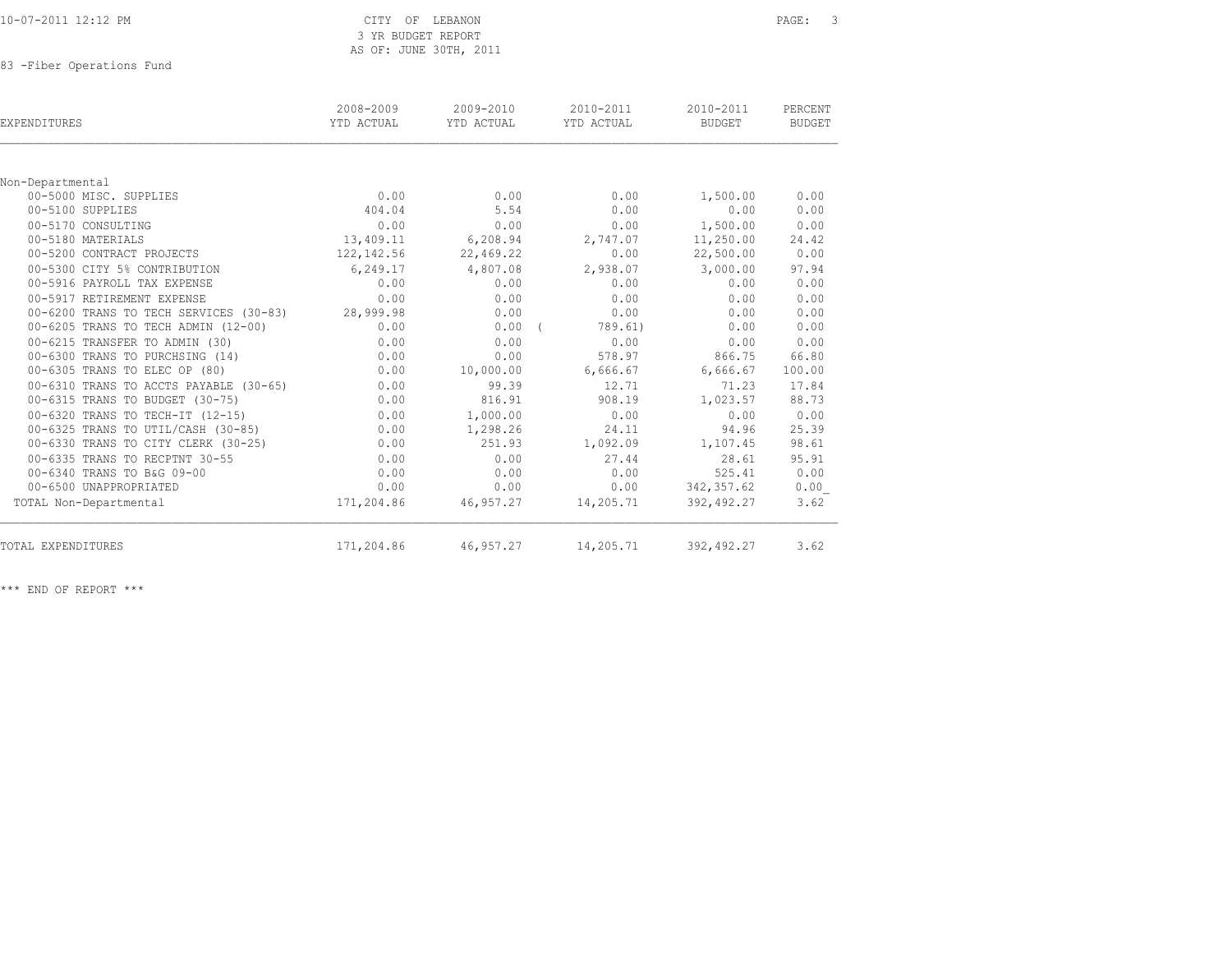83 -Fiber Operations Fund

| <b>EXPENDITURES</b>                    | 2008-2009<br>YTD ACTUAL | 2009-2010<br>YTD ACTUAL | 2010-2011<br>YTD ACTUAL | 2010-2011<br><b>BUDGET</b> | PERCENT<br>BUDGET |
|----------------------------------------|-------------------------|-------------------------|-------------------------|----------------------------|-------------------|
|                                        |                         |                         |                         |                            |                   |
| Non-Departmental                       |                         |                         |                         |                            |                   |
| 00-5000 MISC. SUPPLIES                 | 0.00                    | 0.00                    | 0.00                    | 1,500.00                   | 0.00              |
| 00-5100 SUPPLIES                       | 404.04                  | 5.54                    | 0.00                    | 0.00                       | 0.00              |
| 00-5170 CONSULTING                     | 0.00                    | 0.00                    | 0.00                    | 1,500.00                   | 0.00              |
| 00-5180 MATERIALS                      | 13,409.11               | 6,208.94                | 2,747.07                | 11,250.00                  | 24.42             |
| 00-5200 CONTRACT PROJECTS              | 122,142.56              | 22,469.22               | 0.00                    | 22,500.00                  | 0.00              |
| 00-5300 CITY 5% CONTRIBUTION           | 6,249.17                | 4,807.08                | 2,938.07                | 3,000.00                   | 97.94             |
| 00-5916 PAYROLL TAX EXPENSE            | 0.00                    | 0.00                    | 0.00                    | 0.00                       | 0.00              |
| 00-5917 RETIREMENT EXPENSE             | 0.00                    | 0.00                    | 0.00                    | 0.00                       | 0.00              |
| 00-6200 TRANS TO TECH SERVICES (30-83) | 28,999.98               | 0.00                    | 0.00                    | 0.00                       | 0.00              |
| 00-6205 TRANS TO TECH ADMIN (12-00)    | 0.00                    | 0.00                    | 789.61)                 | 0.00                       | 0.00              |
| 00-6215 TRANSFER TO ADMIN (30)         | 0.00                    | 0.00                    | 0.00                    | 0.00                       | 0.00              |
| 00-6300 TRANS TO PURCHSING (14)        | 0.00                    | 0.00                    | 578.97                  | 866.75                     | 66.80             |
| 00-6305 TRANS TO ELEC OP (80)          | 0.00                    | 10,000.00               | 6,666.67                | 6,666.67                   | 100.00            |
| 00-6310 TRANS TO ACCTS PAYABLE (30-65) | 0.00                    | 99.39                   | 12.71                   | 71.23                      | 17.84             |
| 00-6315 TRANS TO BUDGET (30-75)        | 0.00                    | 816.91                  | 908.19                  | 1,023.57                   | 88.73             |
| 00-6320 TRANS TO TECH-IT (12-15)       | 0.00                    | 1,000.00                | 0.00                    | 0.00                       | 0.00              |
| 00-6325 TRANS TO UTIL/CASH (30-85)     | 0.00                    | 1,298.26                | 24.11                   | 94.96                      | 25.39             |
| 00-6330 TRANS TO CITY CLERK (30-25)    | 0.00                    | 251.93                  | 1,092.09                | 1,107.45                   | 98.61             |
| 00-6335 TRANS TO RECPTNT 30-55         | 0.00                    | 0.00                    | 27.44                   | 28.61                      | 95.91             |
| 00-6340 TRANS TO B&G 09-00             | 0.00                    | 0.00                    | 0.00                    | 525.41                     | 0.00              |
| 00-6500 UNAPPROPRIATED                 | 0.00                    | 0.00                    | 0.00                    | 342,357.62                 | 0.00              |
| TOTAL Non-Departmental                 | 171,204.86              | 46,957.27               | 14,205.71               | 392,492.27                 | 3.62              |
| TOTAL EXPENDITURES                     | 171,204.86              | 46,957.27               | 14,205.71               | 392,492.27                 | 3.62              |
|                                        |                         |                         |                         |                            |                   |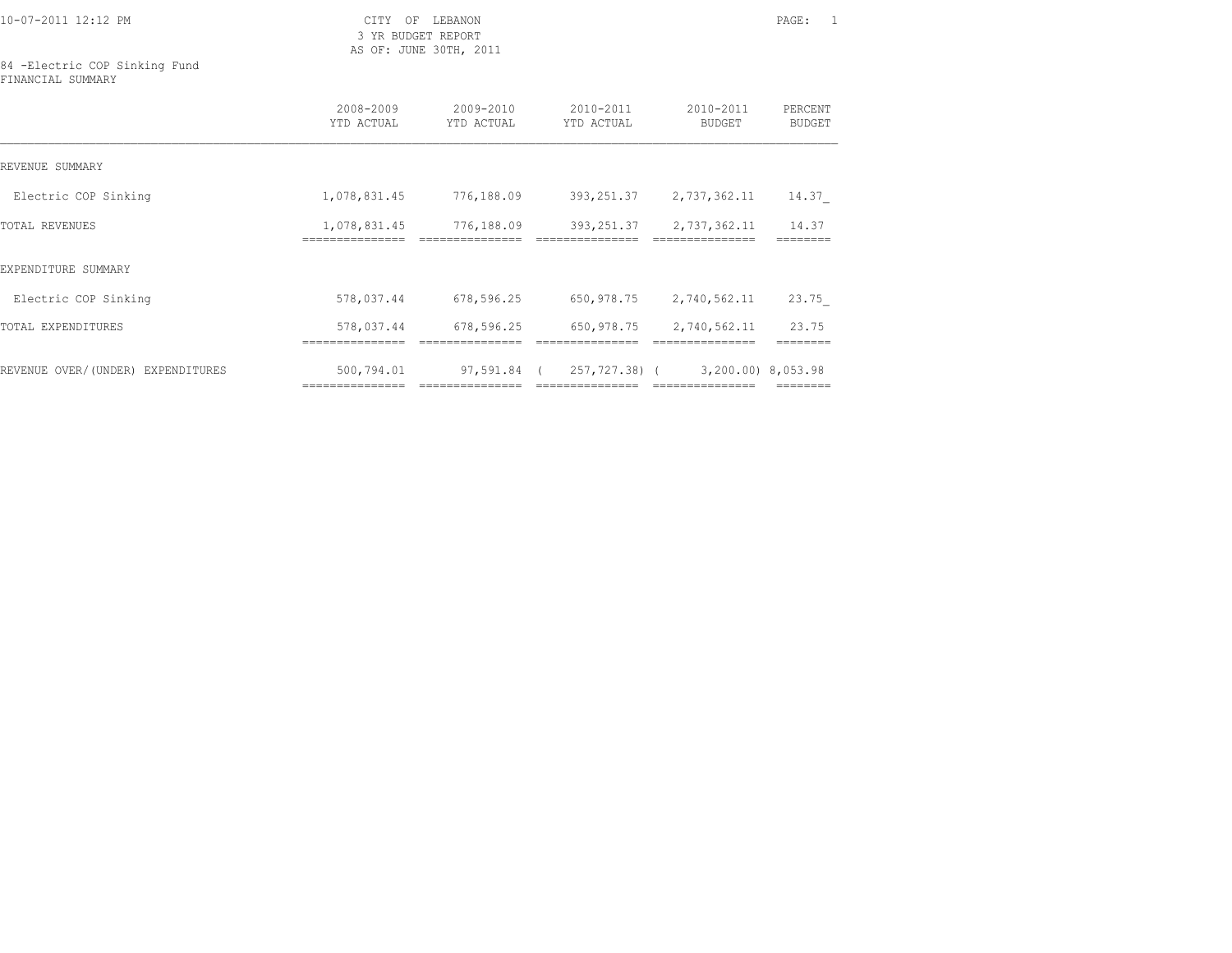10-07-2011 12:12 PM CITY OF LEBANON PAGE: 1

 3 YR BUDGET REPORT AS OF: JUNE 30TH, 2011

84 -Electric COP Sinking Fund FINANCIAL SUMMARY

|                                   | 2008-2009<br>YTD ACTUAL      | $2009 - 2010$<br>YTD ACTUAL | $2010 - 2011$<br>YTD ACTUAL | 2010-2011<br><b>BUDGET</b>                           | PERCENT<br>BUDGET |
|-----------------------------------|------------------------------|-----------------------------|-----------------------------|------------------------------------------------------|-------------------|
| REVENUE SUMMARY                   |                              |                             |                             |                                                      |                   |
| Electric COP Sinking              | 1,078,831.45                 | 776,188.09                  | 393,251.37                  | 2,737,362.11                                         | 14.37             |
| <b>TOTAL REVENUES</b>             | 1,078,831.45<br>============ | 776,188.09                  | 393,251.37                  | 2,737,362.11                                         | 14.37             |
| EXPENDITURE SUMMARY               |                              |                             |                             |                                                      |                   |
| Electric COP Sinking              | 578,037.44                   | 678,596.25                  | 650,978.75                  | 2,740,562.11                                         | 23.75             |
| TOTAL EXPENDITURES                | 578,037.44                   | 678,596.25                  | 650,978.75                  | 2,740,562.11                                         | 23.75             |
| REVENUE OVER/(UNDER) EXPENDITURES | 500,794.01                   | 97,591.84 (                 |                             | 257,727.38) ( 3,200.00) 8,053.98<br>---------------- |                   |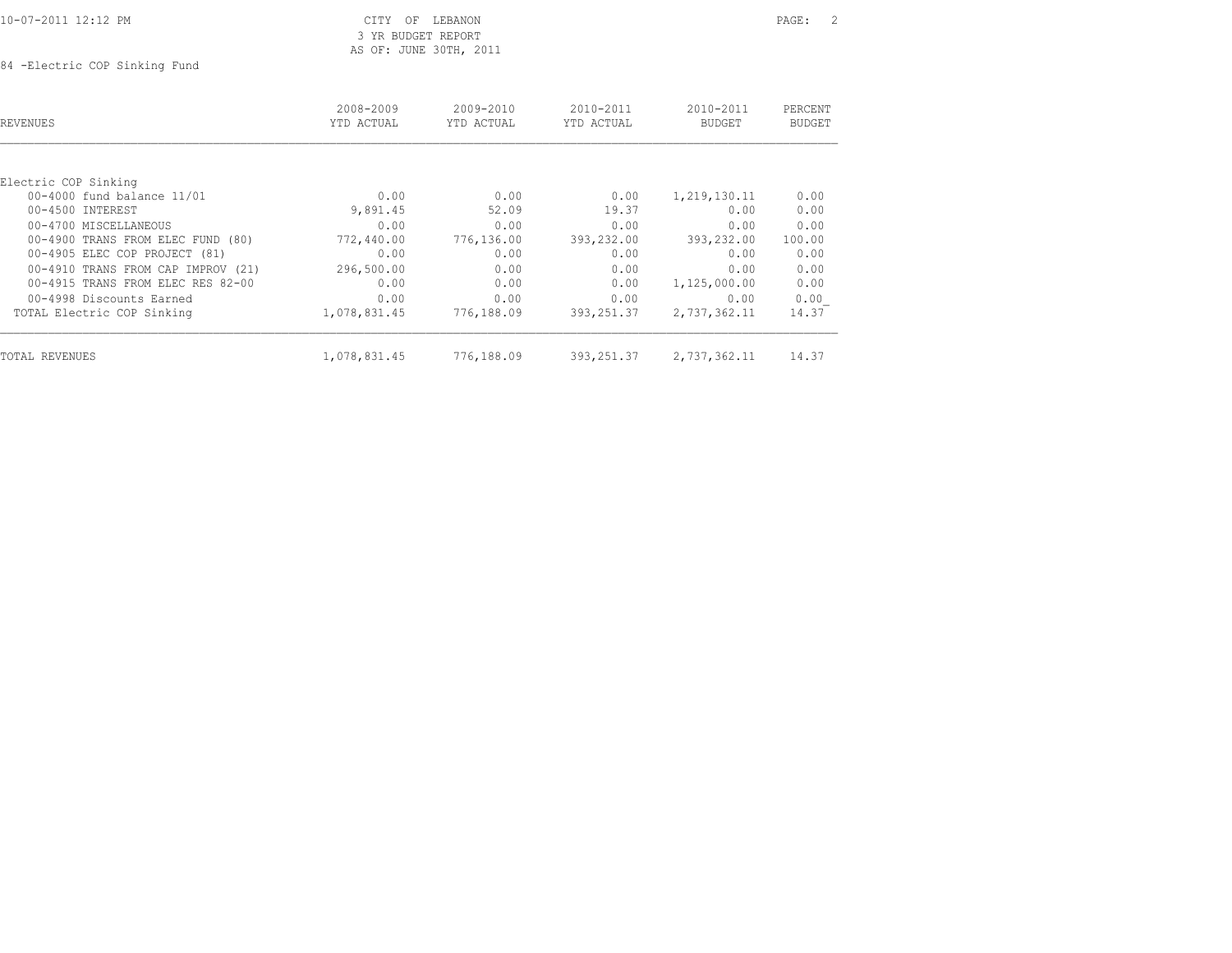| 10-07-2011 12:12 PM |  |
|---------------------|--|
|---------------------|--|

84 -Electric COP Sinking Fund

| <b>REVENUES</b>                    | 2008-2009<br>YTD ACTUAL | $2009 - 2010$<br>YTD ACTUAL | $2010 - 2011$<br>YTD ACTUAL | 2010-2011<br><b>BUDGET</b> | PERCENT<br><b>BUDGET</b> |
|------------------------------------|-------------------------|-----------------------------|-----------------------------|----------------------------|--------------------------|
|                                    |                         |                             |                             |                            |                          |
| Electric COP Sinking               |                         |                             |                             |                            |                          |
| 00-4000 fund balance 11/01         | 0.00                    | 0.00                        | 0.00                        | 1,219,130.11               | 0.00                     |
| 00-4500 INTEREST                   | 9,891.45                | 52.09                       | 19.37                       | 0.00                       | 0.00                     |
| 00-4700 MISCELLANEOUS              | 0.00                    | 0.00                        | 0.00                        | 0.00                       | 0.00                     |
| 00-4900 TRANS FROM ELEC FUND (80)  | 772,440.00              | 776,136.00                  | 393,232.00                  | 393,232.00                 | 100.00                   |
| 00-4905 ELEC COP PROJECT (81)      | 0.00                    | 0.00                        | 0.00                        | 0.00                       | 0.00                     |
| 00-4910 TRANS FROM CAP IMPROV (21) | 296,500.00              | 0.00                        | 0.00                        | 0.00                       | 0.00                     |
| 00-4915 TRANS FROM ELEC RES 82-00  | 0.00                    | 0.00                        | 0.00                        | 1,125,000.00               | 0.00                     |
| 00-4998 Discounts Earned           | 0.00                    | 0.00                        | 0.00                        | 0.00                       | 0.00                     |
| TOTAL Electric COP Sinking         | 1,078,831.45            | 776,188.09                  | 393,251.37                  | 2,737,362.11               | 14.37                    |
| TOTAL REVENUES                     | 1,078,831.45            | 776,188.09                  | 393, 251.37                 | 2,737,362.11               | 14.37                    |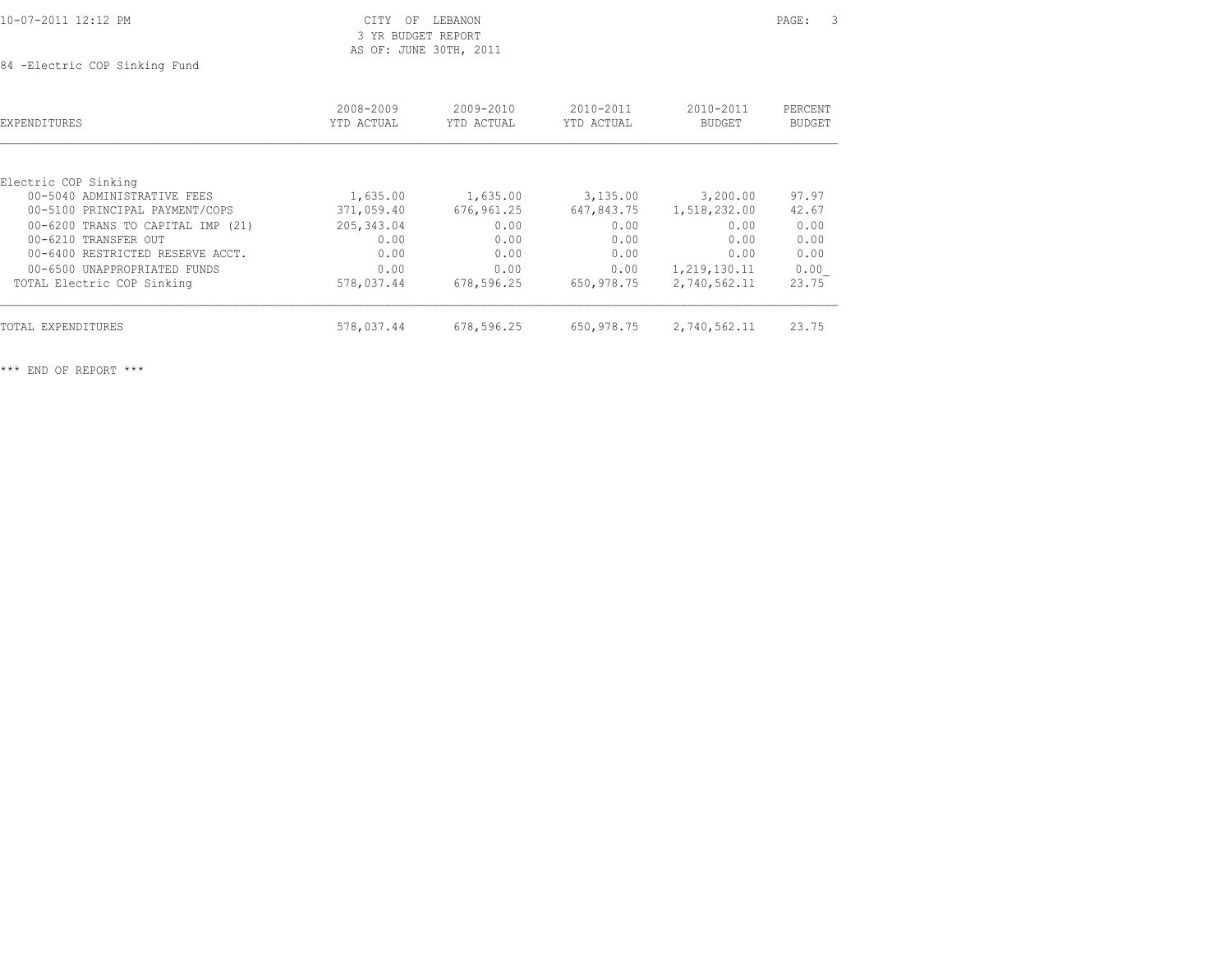| 10-07-2011 12:12 PM<br>the contract of the contract of the contract of the contract of the contract of the contract of the contract of | ヘエロソ<br>ΩF<br>LEBANON<br>◡⊥⊥⊥ | PAGE. |  |
|----------------------------------------------------------------------------------------------------------------------------------------|-------------------------------|-------|--|
|                                                                                                                                        | BUDGET REPORT<br>VR           |       |  |

 3 YR BUDGET REPORT AS OF: JUNE 30TH, 2011

84 -Electric COP Sinking Fund

| EXPENDITURES                      | 2008-2009<br>YTD ACTUAL | 2009-2010<br>YTD ACTUAL | 2010-2011<br>YTD ACTUAL | 2010-2011<br><b>BUDGET</b> | PERCENT<br><b>BUDGET</b> |
|-----------------------------------|-------------------------|-------------------------|-------------------------|----------------------------|--------------------------|
|                                   |                         |                         |                         |                            |                          |
| Electric COP Sinking              |                         |                         |                         |                            |                          |
| 00-5040 ADMINISTRATIVE FEES       | 1,635.00                | 1,635.00                | 3,135.00                | 3,200.00                   | 97.97                    |
| 00-5100 PRINCIPAL PAYMENT/COPS    | 371,059.40              | 676,961.25              | 647,843.75              | 1,518,232.00               | 42.67                    |
| 00-6200 TRANS TO CAPITAL IMP (21) | 205, 343.04             | 0.00                    | 0.00                    | 0.00                       | 0.00                     |
| 00-6210 TRANSFER OUT              | 0.00                    | 0.00                    | 0.00                    | 0.00                       | 0.00                     |
| 00-6400 RESTRICTED RESERVE ACCT.  | 0.00                    | 0.00                    | 0.00                    | 0.00                       | 0.00                     |
| 00-6500 UNAPPROPRIATED FUNDS      | 0.00                    | 0.00                    | 0.00                    | 1,219,130.11               | 0.00                     |
| TOTAL Electric COP Sinking        | 578,037.44              | 678,596.25              | 650,978.75              | 2,740,562.11               | 23.75                    |
| TOTAL EXPENDITURES                | 578,037.44              | 678,596.25              | 650,978.75              | 2,740,562.11               | 23.75                    |
|                                   |                         |                         |                         |                            |                          |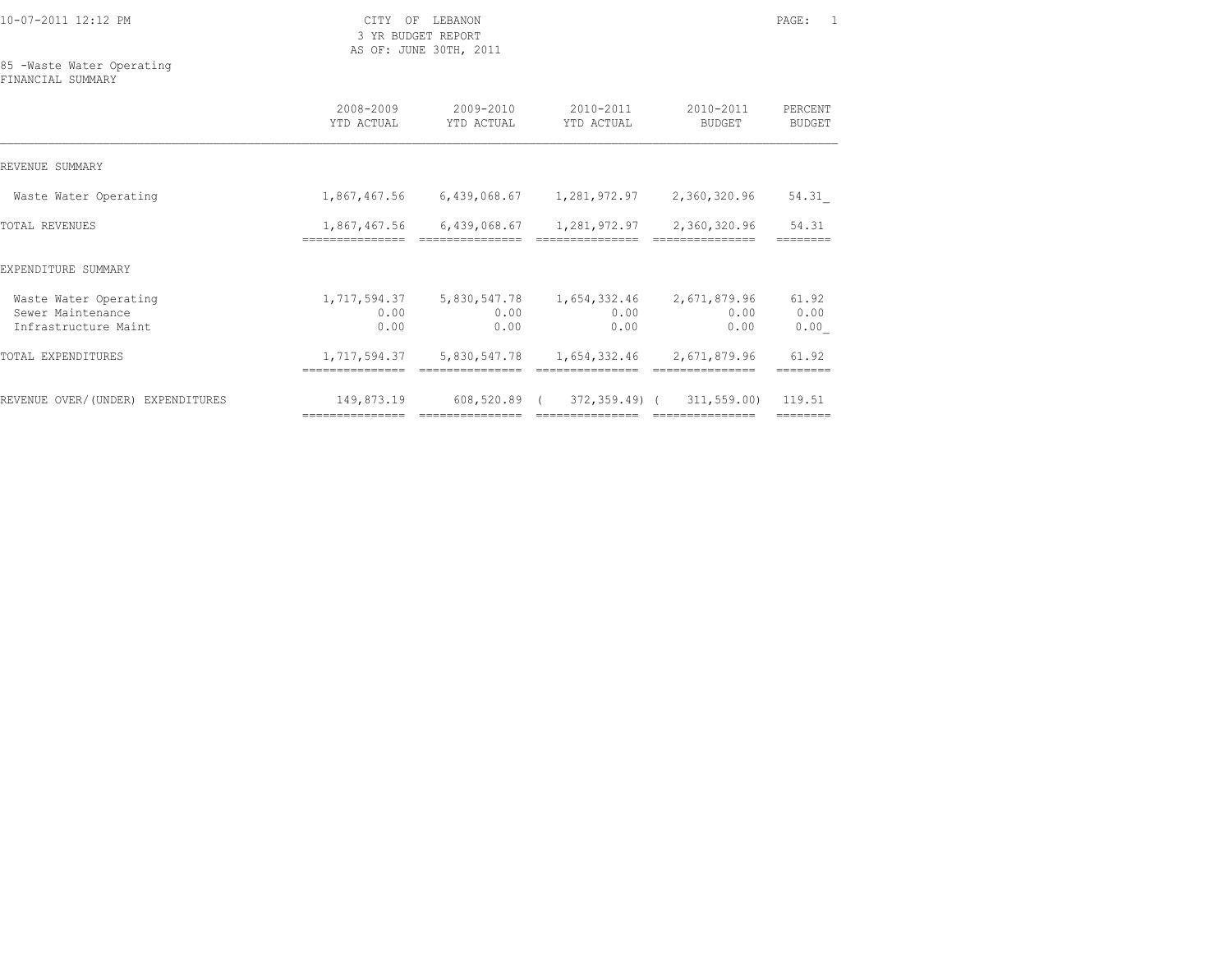3 YR BUDGET REPORT AS OF: JUNE 30TH, 2011

85 -Waste Water Operating

FINANCIAL SUMMARY

|                                                                    | 2008-2009<br>YTD ACTUAL       | 2009-2010<br>YTD ACTUAL         | 2010-2011<br>YTD ACTUAL                                                | 2010-2011<br>BUDGET            | PERCENT<br><b>BUDGET</b> |
|--------------------------------------------------------------------|-------------------------------|---------------------------------|------------------------------------------------------------------------|--------------------------------|--------------------------|
| REVENUE SUMMARY                                                    |                               |                                 |                                                                        |                                |                          |
| Waste Water Operating                                              | 1,867,467.56                  |                                 |                                                                        | 2,360,320.96                   | 54.31                    |
| TOTAL REVENUES                                                     | ===============               | ===============                 | 1,867,467.56 6,439,068.67 1,281,972.97 2,360,320.96<br>=============== | ===============                | 54.31                    |
| EXPENDITURE SUMMARY                                                |                               |                                 |                                                                        |                                |                          |
| Waste Water Operating<br>Sewer Maintenance<br>Infrastructure Maint | 1,717,594.37<br>0.00<br>0.00  | 5,830,547.78<br>0.00<br>0.00    | 1,654,332.46<br>0.00<br>0.00                                           | 2,671,879.96<br>0.00<br>0.00   | 61.92<br>0.00<br>0.00    |
| TOTAL EXPENDITURES                                                 | 1,717,594.37<br>------------- | 5,830,547.78<br>=============== | 1,654,332.46 2,671,879.96<br>===============                           | ===============                | 61.92                    |
| REVENUE OVER/(UNDER) EXPENDITURES                                  | 149,873.19<br>=============== | 608,520.89 (<br>=============== | 372,359.49) (<br>===============                                       | 311,559.00)<br>=============== | 119.51                   |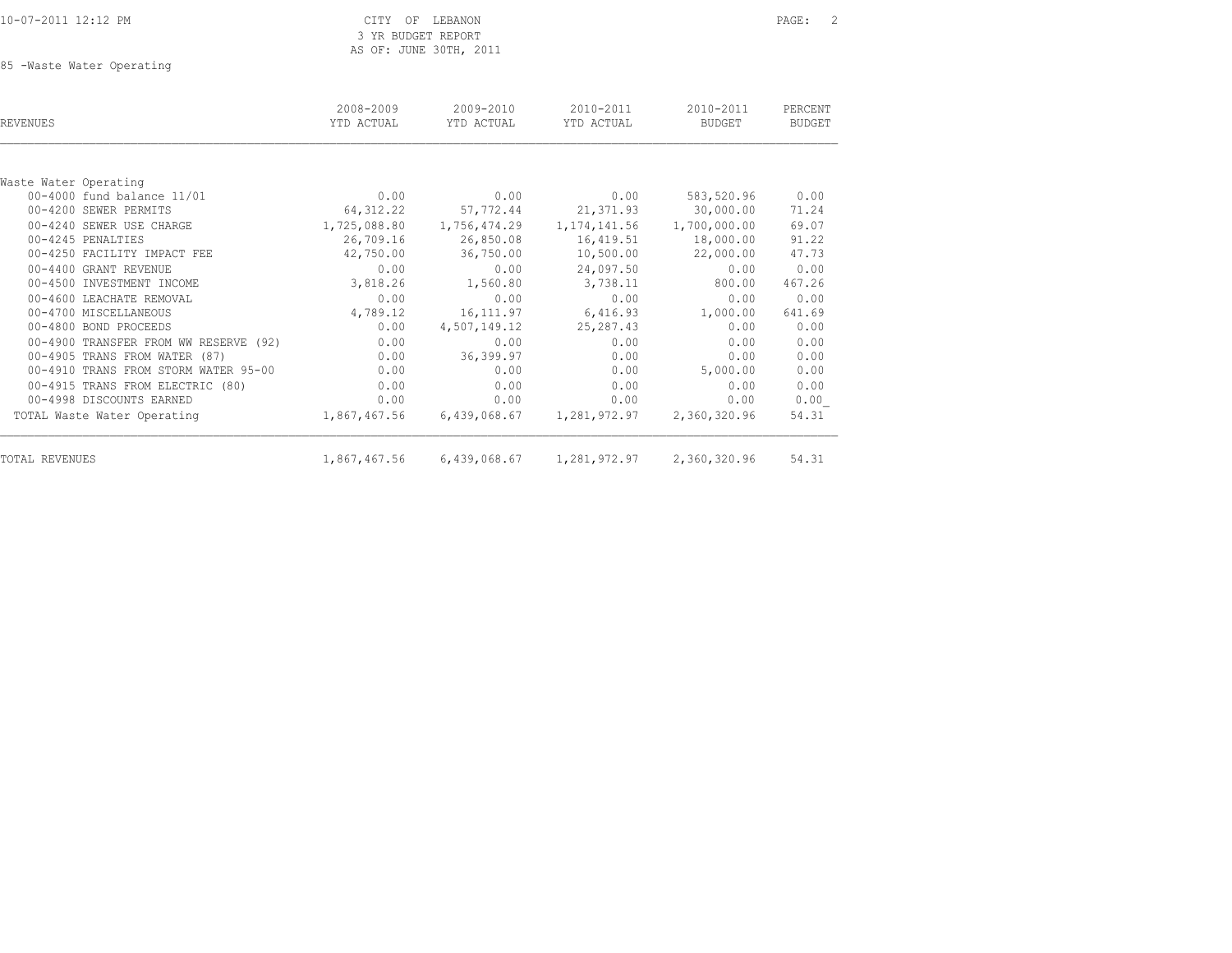10-07-2011 12:12 PM CITY OF LEBANON PAGE: 2 3 YR BUDGET REPORT AS OF: JUNE 30TH, 2011

85 -Waste Water Operating

| REVENUES                              | 2008-2009<br>YTD ACTUAL | 2009-2010<br>YTD ACTUAL                | $2010 - 2011$<br>YTD ACTUAL | $2010 - 2011$<br>BUDGET | PERCENT<br><b>BUDGET</b> |
|---------------------------------------|-------------------------|----------------------------------------|-----------------------------|-------------------------|--------------------------|
|                                       |                         |                                        |                             |                         |                          |
| Waste Water Operating                 |                         |                                        |                             |                         |                          |
| 00-4000 fund balance 11/01            | 0.00                    | 0.00                                   | 0.00                        | 583,520.96              | 0.00                     |
| 00-4200 SEWER PERMITS                 | 64, 312.22              | 57,772.44                              | 21,371.93                   | 30,000.00               | 71.24                    |
| 00-4240 SEWER USE CHARGE              | 1,725,088.80            | 1,756,474.29                           | 1, 174, 141.56              | 1,700,000.00            | 69.07                    |
| 00-4245 PENALTIES                     | 26,709.16               | 26,850.08                              | 16,419.51                   | 18,000.00               | 91.22                    |
| 00-4250 FACILITY IMPACT FEE           | 42,750.00               | 36,750.00                              | 10,500.00                   | 22,000.00               | 47.73                    |
| 00-4400 GRANT REVENUE                 | 0.00                    | 0.00                                   | 24,097.50                   | 0.00                    | 0.00                     |
| 00-4500 INVESTMENT INCOME             | 3,818.26                | 1,560.80                               | 3,738.11                    | 800.00                  | 467.26                   |
| 00-4600 LEACHATE REMOVAL              | 0.00                    | 0.00                                   | 0.00                        | 0.00                    | 0.00                     |
| 00-4700 MISCELLANEOUS                 | 4,789.12                | 16,111.97                              | 6,416.93                    | 1,000.00                | 641.69                   |
| 00-4800 BOND PROCEEDS                 | 0.00                    | 4,507,149.12                           | 25, 287.43                  | 0.00                    | 0.00                     |
| 00-4900 TRANSFER FROM WW RESERVE (92) | 0.00                    | 0.00                                   | 0.00                        | 0.00                    | 0.00                     |
| 00-4905 TRANS FROM WATER (87)         | 0.00                    | 36,399.97                              | 0.00                        | 0.00                    | 0.00                     |
| 00-4910 TRANS FROM STORM WATER 95-00  | 0.00                    | 0.00                                   | 0.00                        | 5,000.00                | 0.00                     |
| 00-4915 TRANS FROM ELECTRIC (80)      | 0.00                    | 0.00                                   | 0.00                        | 0.00                    | 0.00                     |
| 00-4998 DISCOUNTS EARNED              | 0.00                    | 0.00                                   | 0.00                        | 0.00                    | 0.00                     |
| TOTAL Waste Water Operating           | 1,867,467.56            | 6,439,068.67                           | 1,281,972.97                | 2,360,320.96            | 54.31                    |
| TOTAL REVENUES                        |                         | 1,867,467.56 6,439,068.67 1,281,972.97 |                             | 2,360,320.96            | 54.31                    |
|                                       |                         |                                        |                             |                         |                          |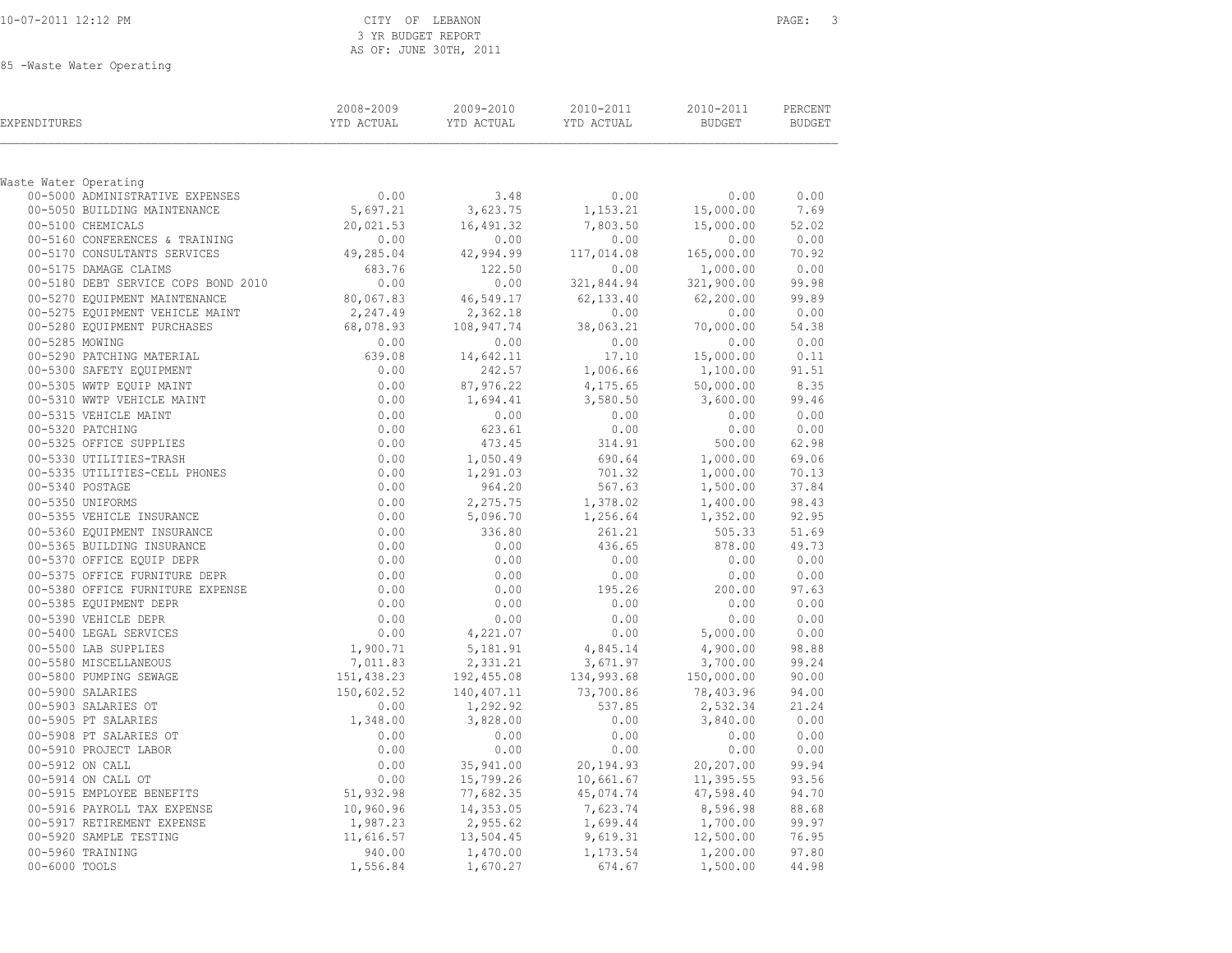### CITY OF LEBANON **PAGE:** 3 3 YR BUDGET REPORT AS OF: JUNE 30TH, 2011

85 -Waste Water Operating

| EXPENDITURES                                                                                           | 2008-2009<br>YTD ACTUAL        | 2009-2010<br>YTD ACTUAL | 2010-2011<br>YTD ACTUAL | 2010-2011<br>BUDGET  | PERCENT<br><b>BUDGET</b> |
|--------------------------------------------------------------------------------------------------------|--------------------------------|-------------------------|-------------------------|----------------------|--------------------------|
| Waste Water Operating                                                                                  |                                |                         |                         |                      |                          |
| 00-5000 ADMINISTRATIVE EXPENSES                                                                        | 0.00                           | 3.48                    | 0.00                    | 0.00                 | 0.00                     |
| 00-5050 BUILDING MAINTENANCE                                                                           | 5,697.21                       | 3,623.75                | 1,153.21                | 15,000.00            | 7.69                     |
| 00-5100 CHEMICALS                                                                                      | 20,021.53                      | 16,491.32               | 7,803.50                | 15,000.00            | 52.02                    |
| 00-5160 CONFERENCES & TRAINING                                                                         | 0.00                           | 0.00                    | 0.00                    | 0.00                 | 0.00                     |
| 00-5170 CONSULTANTS SERVICES                                                                           | 49,285.04                      | 42,994.99               | 117,014.08              | 165,000.00           | 70.92                    |
| 00-5175 DAMAGE CLAIMS                                                                                  | 683.76                         | 122.50                  | 0.00                    | 1,000.00             | 0.00                     |
| 00-5180 DEBT SERVICE COPS BOND 2010                                                                    | 0.00                           | 0.00                    | 321,844.94              | 321,900.00           | 99.98                    |
| 00-5270 EQUIPMENT MAINTENANCE                                                                          | 80,067.83                      | 46,549.17               | 62,133.40               | 62,200.00            | 99.89                    |
| 00-5275 EQUIPMENT VEHICLE MAINT                                                                        | 2,247.49                       | 2,362.18                | 0.00                    | 0.00                 | 0.00                     |
| 00-5280 EQUIPMENT PURCHASES                                                                            | 68,078.93                      | 108,947.74              | 38,063.21               | 70,000.00            | 54.38                    |
| 00-5285 MOWING                                                                                         | 0.00                           | 0.00                    | 0.00                    | 0.00                 | 0.00                     |
| 00-5290 PATCHING MATERIAL                                                                              | 639.08                         | 14,642.11               | 17.10                   | 15,000.00            | 0.11                     |
| 00-5300 SAFETY EQUIPMENT                                                                               | 0.00                           | 242.57                  | 1,006.66                | 1,100.00             | 91.51                    |
| 00-5305 WWTP EQUIP MAINT                                                                               | 0.00                           | 87,976.22               | 4,175.65                | 50,000.00            | 8.35                     |
| 00-5310 WWTP VEHICLE MAINT                                                                             | 0.00                           | 1,694.41                | 3,580.50                | 3,600.00             | 99.46                    |
| 00-5315 VEHICLE MAINT                                                                                  | 0.00                           | 0.00                    | 0.00                    | 0.00                 | 0.00                     |
| 00-5320 PATCHING                                                                                       | 0.00                           | 623.61                  | 0.00                    | 0.00                 | 0.00                     |
| 00-5325 OFFICE SUPPLIES                                                                                | 0.00                           | 473.45                  | 314.91                  | 500.00               | 62.98                    |
| 00-5330 UTILITIES-TRASH                                                                                | 0.00                           | 1,050.49                | 690.64                  | 1,000.00             | 69.06                    |
| 00-5335 UTILITIES-CELL PHONES<br>00-5340 POSTAGE                                                       | 0.00<br>0.00                   | 1,291.03<br>964.20      | 701.32<br>567.63        | 1,000.00<br>1,500.00 | 70.13<br>37.84           |
| 00-5350 UNIFORMS                                                                                       | 0.00                           | 2,275.75                | 1,378.02                | 1,400.00             | 98.43                    |
| 00-5350 UNIL<br>00-5355 VEHICLE INSURANCE<br>00-5360 EQUIPMENT INSURANCE<br>00-5365 BUILDING INSURANCE | 0.00                           | 5,096.70                | 1,256.64                | 1,352.00             | 92.95                    |
|                                                                                                        |                                | 336.80                  | 261.21                  | 505.33               | 51.69                    |
|                                                                                                        |                                | 0.00                    | 436.65                  | 878.00               | 49.73                    |
|                                                                                                        | $0.00$<br>0.00<br>0.00<br>0.00 | 0.00                    | 0.00                    | 0.00                 | 0.00                     |
| 00-5375 OFFICE FURNITURE DEPR                                                                          | 0.00                           | 0.00                    | 0.00                    | 0.00                 | 0.00                     |
| 00-5380 OFFICE FURNITURE EXPENSE<br>---                                                                | 0.00                           | 0.00                    | 195.26                  | 200.00               | 97.63                    |
| 00-5385 EQUIPMENT DEPR                                                                                 | 0.00                           | 0.00                    | 0.00                    | 0.00                 | 0.00                     |
| 00-5390 VEHICLE DEPR                                                                                   | 0.00                           | 0.00                    | 0.00                    | 0.00                 | 0.00                     |
| 00-5400 LEGAL SERVICES                                                                                 | 0.00                           | 4,221.07                | 0.00                    | 5,000.00             | 0.00                     |
| 00-5500 LAB SUPPLIES                                                                                   |                                | 5,181.91                | 4,845.14                | 4,900.00             | 98.88                    |
| 00-5580 MISCELLANEOUS                                                                                  | $1,900.71$<br>7,011.83         | 2,331.21                | 3,671.97                | 3,700.00             | 99.24                    |
| 00-5800 PUMPING SEWAGE                                                                                 | 151,438.23                     | 192,455.08              | 134,993.68              | 150,000.00           | 90.00                    |
| 00-5900 SALARIES                                                                                       | 150,602.52                     | 140,407.11              | 73,700.86               | 78,403.96            | 94.00                    |
| 00-5903 SALARIES OT                                                                                    | 0.00                           | 1,292.92                | 537.85                  | 2,532.34             | 21.24                    |
| 00-5905 PT SALARIES                                                                                    | 1,348.00                       | 3,828.00                | 0.00                    | 3,840.00             | 0.00                     |
| 00-5908 PT SALARIES OT                                                                                 | 0.00                           | 0.00                    | 0.00                    | 0.00                 | 0.00                     |
| 00-5910 PROJECT LABOR                                                                                  | 0.00                           | 0.00                    | 0.00                    | 0.00                 | 0.00                     |
| 00-5912 ON CALL                                                                                        | 0.00                           | 35,941.00               | 20,194.93               | 20,207.00            | 99.94                    |
| 00-5914 ON CALL OT                                                                                     | 0.00                           | 15,799.26               | 10,661.67               | 11,395.55            | 93.56                    |
| 00-5915 EMPLOYEE BENEFITS                                                                              | 51,932.98                      | 77,682.35               | 45,074.74               | 47,598.40            | 94.70                    |
| 00-5916 PAYROLL TAX EXPENSE                                                                            | 10,960.96                      | 14,353.05               | 7,623.74                | 8,596.98             | 88.68                    |
| 00 0011 -<br>00-5917 RETIREMENT EXPENSE<br>00-5920 SAMPLE TESTING                                      | 1,987.23                       | 2,955.62                | 1,699.44                | 1,700.00             | 99.97                    |
|                                                                                                        | 11,616.57                      | 13,504.45               | 9,619.31                | 12,500.00            | 76.95                    |
| 00-5960 TRAINING                                                                                       | 940.00                         | 1,470.00                | 1,173.54                | 1,200.00             | 97.80                    |
| 00-6000 TOOLS                                                                                          | 1,556.84                       | 1,670.27                | 674.67                  | 1,500.00             | 44.98                    |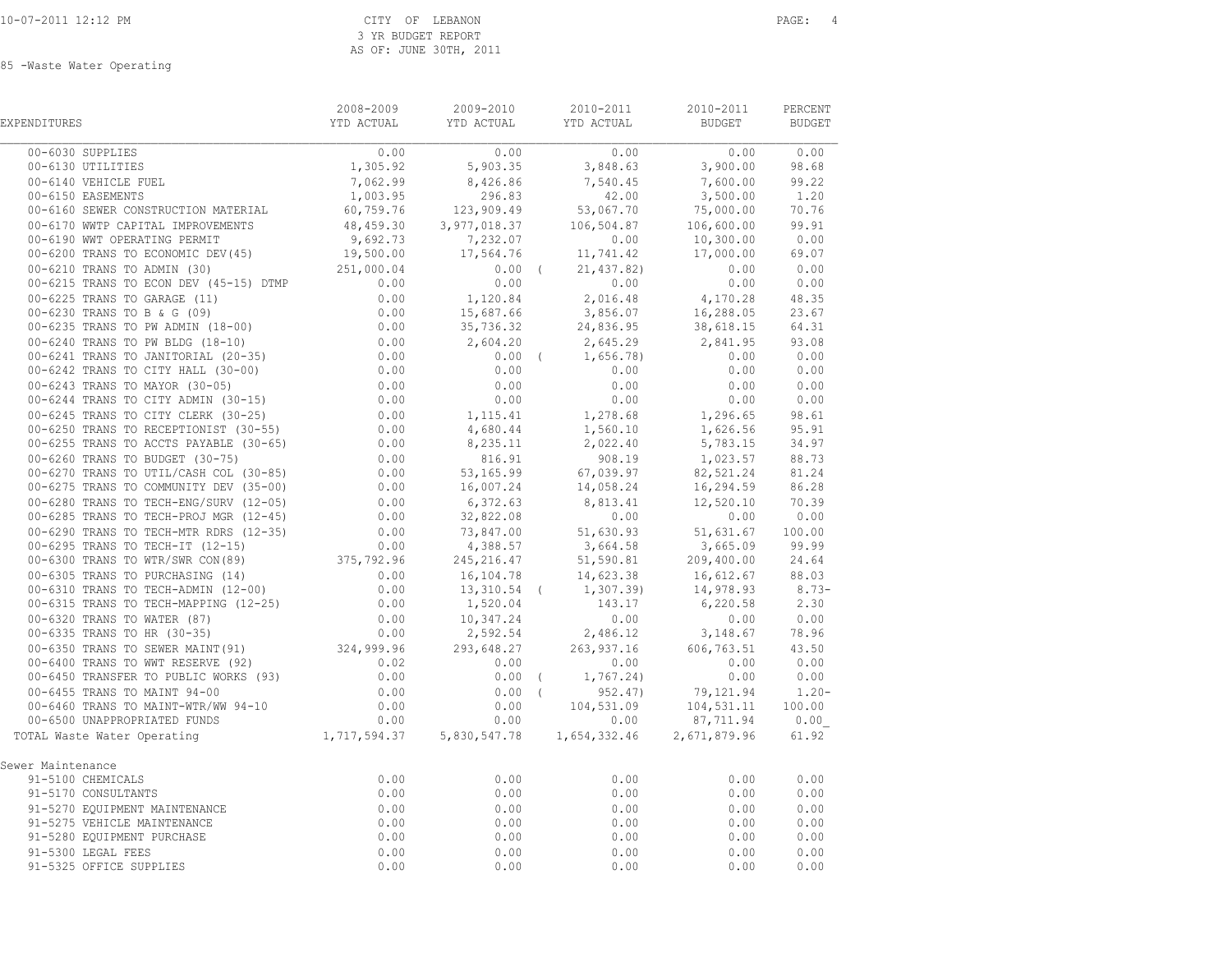85 -Waste Water Operating

| EXPENDITURES                                                                                                                                                                                                                                 | 2008-2009 | 2009-2010 2010-2011 |                                | 2010-2011 | PERCENT |
|----------------------------------------------------------------------------------------------------------------------------------------------------------------------------------------------------------------------------------------------|-----------|---------------------|--------------------------------|-----------|---------|
|                                                                                                                                                                                                                                              |           |                     |                                |           |         |
|                                                                                                                                                                                                                                              |           |                     |                                |           |         |
|                                                                                                                                                                                                                                              |           |                     |                                |           |         |
|                                                                                                                                                                                                                                              |           |                     |                                |           |         |
|                                                                                                                                                                                                                                              |           |                     |                                |           |         |
|                                                                                                                                                                                                                                              |           |                     |                                |           |         |
|                                                                                                                                                                                                                                              |           |                     |                                |           |         |
|                                                                                                                                                                                                                                              |           |                     |                                |           |         |
|                                                                                                                                                                                                                                              |           |                     |                                |           |         |
|                                                                                                                                                                                                                                              |           |                     |                                |           |         |
|                                                                                                                                                                                                                                              |           |                     |                                |           |         |
|                                                                                                                                                                                                                                              |           |                     |                                |           |         |
|                                                                                                                                                                                                                                              |           |                     |                                |           |         |
|                                                                                                                                                                                                                                              |           |                     |                                |           |         |
|                                                                                                                                                                                                                                              |           |                     |                                |           |         |
|                                                                                                                                                                                                                                              |           |                     |                                |           |         |
|                                                                                                                                                                                                                                              |           |                     |                                |           |         |
|                                                                                                                                                                                                                                              |           |                     |                                |           |         |
|                                                                                                                                                                                                                                              |           |                     |                                |           |         |
|                                                                                                                                                                                                                                              |           |                     |                                |           |         |
|                                                                                                                                                                                                                                              |           |                     |                                |           |         |
|                                                                                                                                                                                                                                              |           |                     |                                |           |         |
|                                                                                                                                                                                                                                              |           |                     |                                |           |         |
|                                                                                                                                                                                                                                              |           |                     |                                |           |         |
|                                                                                                                                                                                                                                              |           |                     |                                |           |         |
|                                                                                                                                                                                                                                              |           |                     |                                |           |         |
|                                                                                                                                                                                                                                              |           |                     |                                |           |         |
|                                                                                                                                                                                                                                              |           |                     |                                |           |         |
|                                                                                                                                                                                                                                              |           |                     |                                |           |         |
|                                                                                                                                                                                                                                              |           |                     |                                |           |         |
|                                                                                                                                                                                                                                              |           |                     |                                |           |         |
|                                                                                                                                                                                                                                              |           |                     |                                |           |         |
|                                                                                                                                                                                                                                              |           |                     |                                |           |         |
|                                                                                                                                                                                                                                              |           |                     |                                |           |         |
|                                                                                                                                                                                                                                              |           |                     |                                |           |         |
|                                                                                                                                                                                                                                              |           |                     |                                |           |         |
|                                                                                                                                                                                                                                              |           |                     |                                |           |         |
|                                                                                                                                                                                                                                              |           |                     |                                |           |         |
|                                                                                                                                                                                                                                              |           |                     |                                |           |         |
|                                                                                                                                                                                                                                              |           |                     |                                |           |         |
|                                                                                                                                                                                                                                              |           |                     |                                |           |         |
| Sewer Maintenance                                                                                                                                                                                                                            |           |                     |                                |           |         |
|                                                                                                                                                                                                                                              |           | 0.00                | 0.00                           | 0.00      | 0.00    |
|                                                                                                                                                                                                                                              |           | 0.00                | 0.00                           | 0.00      | 0.00    |
|                                                                                                                                                                                                                                              |           | 0.00                | 0.00                           | 0.00      | 0.00    |
|                                                                                                                                                                                                                                              |           | 0.00                |                                | 0.00      | 0.00    |
|                                                                                                                                                                                                                                              |           | 0.00                |                                | 0.00      | 0.00    |
|                                                                                                                                                                                                                                              |           | 0.00                | $0.00$<br>0.00<br>0.00<br>0.00 | 0.00      | 0.00    |
| er Maintenance<br>91-5100 CHEMICALS<br>91-5170 CONSULTANTS<br>91-5270 EQUIPMENT MAINTENANCE<br>91-5275 VEHICLE MAINTENANCE<br>91-5280 EQUIPMENT PURCHASE<br>91-5300 LEGAL FEES<br>91-5325 OFFICE SUPPLIES<br>91-5325 OFFICE SUPPLIES<br>0.00 |           | 0.00                | 0.00                           | 0.00      | 0.00    |
|                                                                                                                                                                                                                                              |           |                     |                                |           |         |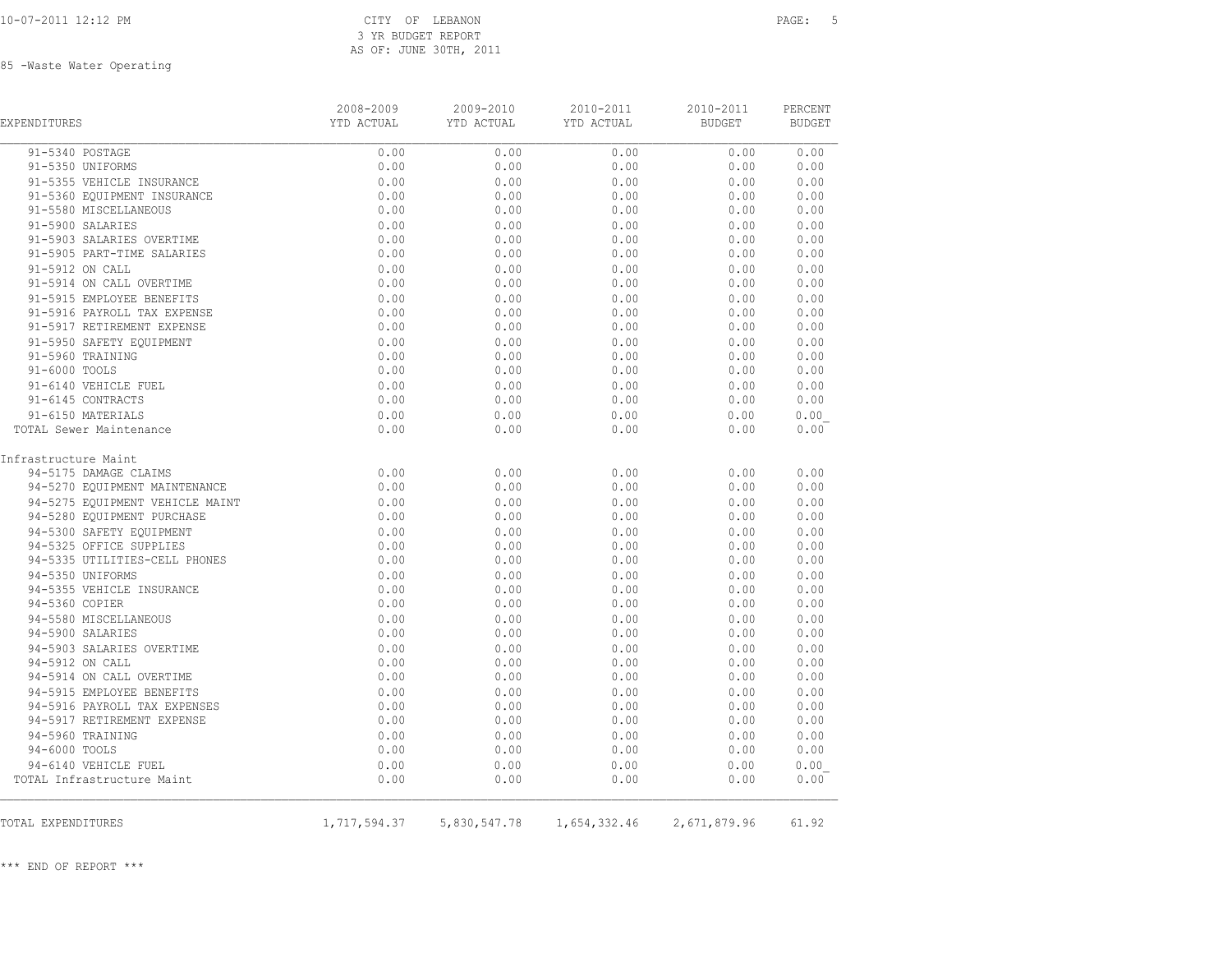# 3 YR BUDGET REPORT AS OF: JUNE 30TH, 2011

85 -Waste Water Operating

| EXPENDITURES                    | 2008-2009<br>YTD ACTUAL | 2009-2010<br>YTD ACTUAL | 2010-2011<br>YTD ACTUAL | 2010-2011<br><b>BUDGET</b> | PERCENT<br><b>BUDGET</b> |
|---------------------------------|-------------------------|-------------------------|-------------------------|----------------------------|--------------------------|
| 91-5340 POSTAGE                 | 0.00                    | 0.00                    | 0.00                    | 0.00                       | 0.00                     |
| 91-5350 UNIFORMS                | 0.00                    | 0.00                    | 0.00                    | 0.00                       | 0.00                     |
| 91-5355 VEHICLE INSURANCE       | 0.00                    | 0.00                    | 0.00                    | 0.00                       | 0.00                     |
| 91-5360 EQUIPMENT INSURANCE     | 0.00                    | 0.00                    | 0.00                    | 0.00                       | 0.00                     |
| 91-5580 MISCELLANEOUS           | 0.00                    | 0.00                    | 0.00                    | 0.00                       | 0.00                     |
| 91-5900 SALARIES                | 0.00                    | 0.00                    | 0.00                    | 0.00                       | 0.00                     |
| 91-5903 SALARIES OVERTIME       | 0.00                    | 0.00                    | 0.00                    | 0.00                       | 0.00                     |
| 91-5905 PART-TIME SALARIES      | 0.00                    | 0.00                    | 0.00                    | 0.00                       | 0.00                     |
| 91-5912 ON CALL                 | 0.00                    | 0.00                    | 0.00                    | 0.00                       | 0.00                     |
| 91-5914 ON CALL OVERTIME        | 0.00                    | 0.00                    | 0.00                    | 0.00                       | 0.00                     |
| 91-5915 EMPLOYEE BENEFITS       | 0.00                    | 0.00                    | 0.00                    | 0.00                       | 0.00                     |
| 91-5916 PAYROLL TAX EXPENSE     | 0.00                    | 0.00                    | 0.00                    | 0.00                       | 0.00                     |
| 91-5917 RETIREMENT EXPENSE      | 0.00                    | 0.00                    | 0.00                    | 0.00                       | 0.00                     |
| 91-5950 SAFETY EQUIPMENT        | 0.00                    | 0.00                    | 0.00                    | 0.00                       | 0.00                     |
| 91-5960 TRAINING                | 0.00                    | 0.00                    | 0.00                    | 0.00                       | 0.00                     |
| 91-6000 TOOLS                   | 0.00                    | 0.00                    | 0.00                    | 0.00                       | 0.00                     |
| 91-6140 VEHICLE FUEL            | 0.00                    | 0.00                    | 0.00                    | 0.00                       | 0.00                     |
| 91-6145 CONTRACTS               | 0.00                    | 0.00                    | 0.00                    | 0.00                       | 0.00                     |
| 91-6150 MATERIALS               | 0.00                    | 0.00                    | 0.00                    | 0.00                       | 0.00                     |
| TOTAL Sewer Maintenance         | 0.00                    | 0.00                    | 0.00                    | 0.00                       | 0.00                     |
| Infrastructure Maint            |                         |                         |                         |                            |                          |
| 94-5175 DAMAGE CLAIMS           | 0.00                    | 0.00                    | 0.00                    | 0.00                       | 0.00                     |
| 94-5270 EQUIPMENT MAINTENANCE   | 0.00                    | 0.00                    | 0.00                    | 0.00                       | 0.00                     |
| 94-5275 EQUIPMENT VEHICLE MAINT | 0.00                    | 0.00                    | 0.00                    | 0.00                       | 0.00                     |
| 94-5280 EQUIPMENT PURCHASE      | 0.00                    | 0.00                    | 0.00                    | 0.00                       | 0.00                     |
| 94-5300 SAFETY EQUIPMENT        | 0.00                    | 0.00                    | 0.00                    | 0.00                       | 0.00                     |
| 94-5325 OFFICE SUPPLIES         | 0.00                    | 0.00                    | 0.00                    | 0.00                       | 0.00                     |
| 94-5335 UTILITIES-CELL PHONES   | 0.00                    | 0.00                    | 0.00                    | 0.00                       | 0.00                     |
| 94-5350 UNIFORMS                | 0.00                    | 0.00                    | 0.00                    | 0.00                       | 0.00                     |
| 94-5355 VEHICLE INSURANCE       | 0.00                    | 0.00                    | 0.00                    | 0.00                       | 0.00                     |
| 94-5360 COPIER                  | 0.00                    | 0.00                    | 0.00                    | 0.00                       | 0.00                     |
| 94-5580 MISCELLANEOUS           | 0.00                    | 0.00                    | 0.00                    | 0.00                       | 0.00                     |
| 94-5900 SALARIES                | 0.00                    | 0.00                    | 0.00                    | 0.00                       | 0.00                     |
| 94-5903 SALARIES OVERTIME       | 0.00                    | 0.00                    | 0.00                    | 0.00                       | 0.00                     |
| 94-5912 ON CALL                 | 0.00                    | 0.00                    | 0.00                    | 0.00                       | 0.00                     |
| 94-5914 ON CALL OVERTIME        | 0.00                    | 0.00                    | 0.00                    | 0.00                       | 0.00                     |
| 94-5915 EMPLOYEE BENEFITS       | 0.00                    | 0.00                    | 0.00                    | 0.00                       | 0.00                     |
| 94-5916 PAYROLL TAX EXPENSES    | 0.00                    | 0.00                    | 0.00                    | 0.00                       | 0.00                     |
| 94-5917 RETIREMENT EXPENSE      | 0.00                    | 0.00                    | 0.00                    | 0.00                       | 0.00                     |
| 94-5960 TRAINING                | 0.00                    | 0.00                    | 0.00                    | 0.00                       | 0.00                     |
| 94-6000 TOOLS                   | 0.00                    | 0.00                    | 0.00                    | 0.00                       | 0.00                     |
| 94-6140 VEHICLE FUEL            | 0.00                    | 0.00                    | 0.00                    | 0.00                       | 0.00                     |
| TOTAL Infrastructure Maint      | 0.00                    | 0.00                    | 0.00                    | 0.00                       | 0.00                     |
|                                 |                         |                         |                         |                            |                          |
| TOTAL EXPENDITURES              | 1,717,594.37            | 5,830,547.78            | 1,654,332.46            | 2,671,879.96               | 61.92                    |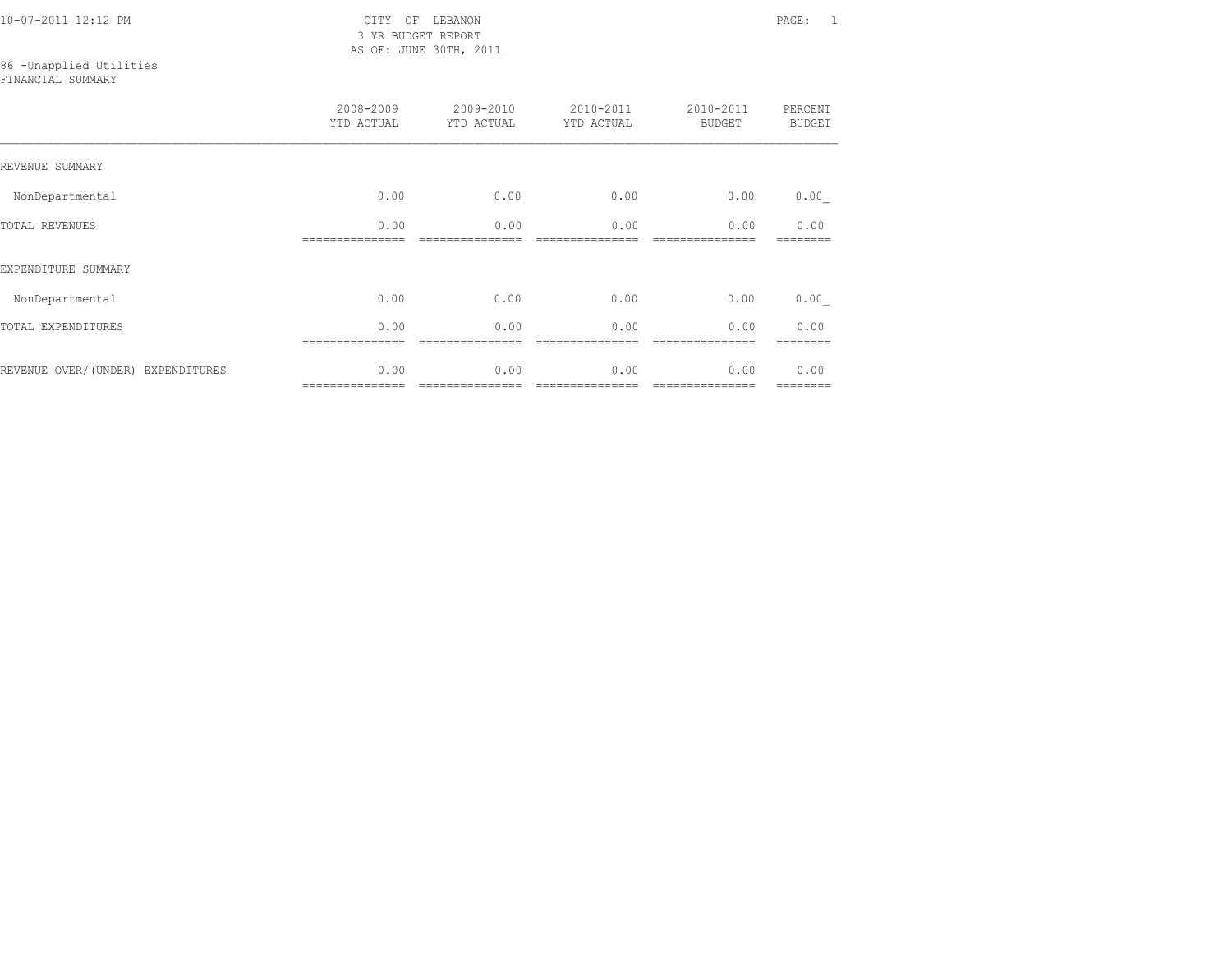3 YR BUDGET REPORT AS OF: JUNE 30TH, 2011

## 86 -Unapplied Utilities

FINANCIAL SUMMARY

|                                   | 2008-2009<br>YTD ACTUAL | 2009-2010<br>YTD ACTUAL | 2010-2011<br>YTD ACTUAL | 2010-2011<br><b>BUDGET</b> | PERCENT<br><b>BUDGET</b> |
|-----------------------------------|-------------------------|-------------------------|-------------------------|----------------------------|--------------------------|
| REVENUE SUMMARY                   |                         |                         |                         |                            |                          |
| NonDepartmental                   | 0.00                    | 0.00                    | 0.00                    | 0.00                       | 0.00                     |
| <b>TOTAL REVENUES</b>             | 0.00                    | 0.00                    | 0.00                    | 0.00                       | 0.00                     |
| EXPENDITURE SUMMARY               |                         |                         |                         |                            |                          |
| NonDepartmental                   | 0.00                    | 0.00                    | 0.00                    | 0.00                       | 0.00                     |
| TOTAL EXPENDITURES                | 0.00                    | 0.00                    | 0.00                    | 0.00                       | 0.00                     |
| REVENUE OVER/(UNDER) EXPENDITURES | 0.00<br>=============== | 0.00                    | 0.00                    | 0.00<br>---------------    | 0.00<br>========         |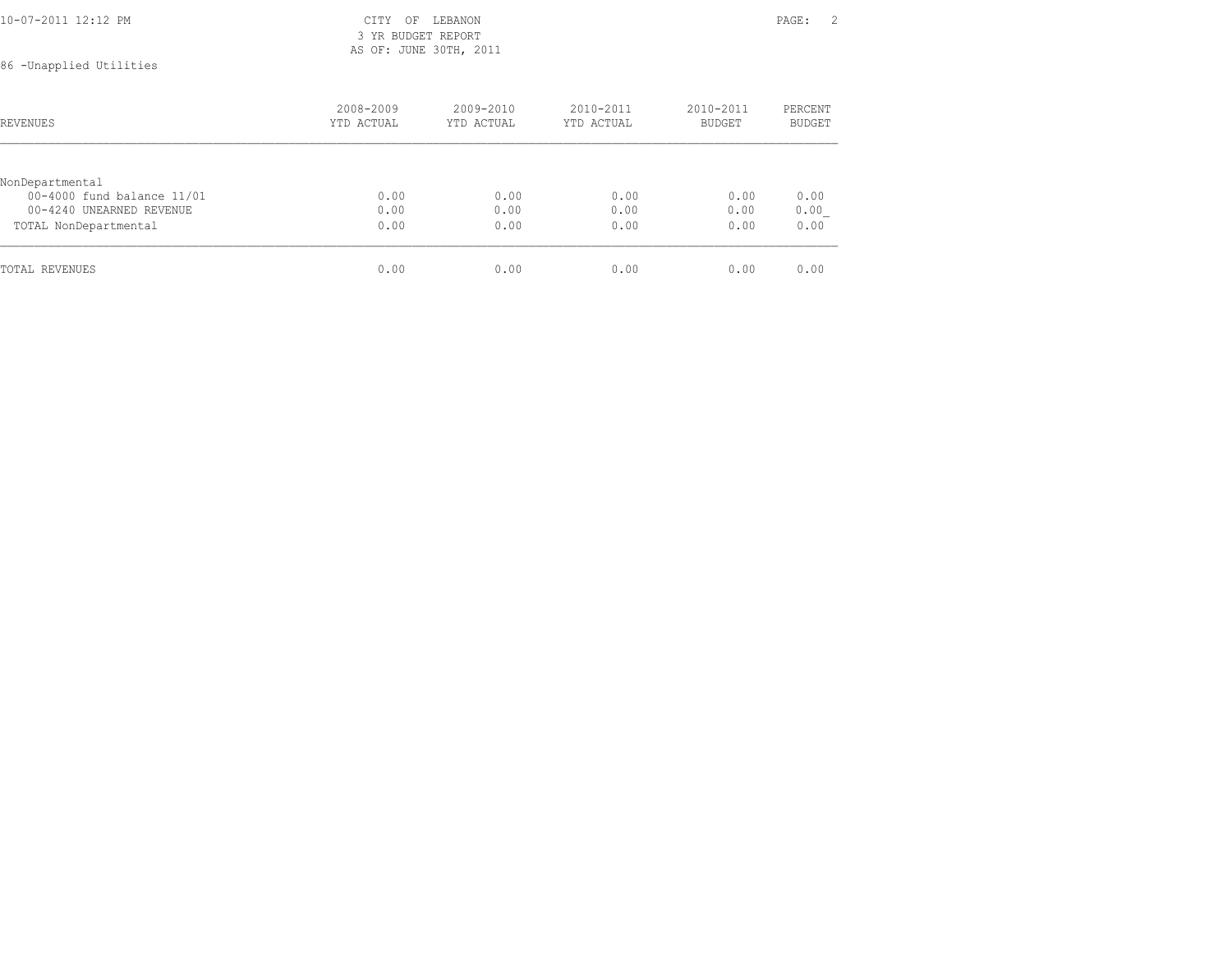| 10-07-2011 12:12 PM | CITY OF LEBANON        | PAGE: | $\gamma$ |
|---------------------|------------------------|-------|----------|
|                     | 3 YR BUDGET REPORT     |       |          |
|                     | AS OF: JUNE 30TH, 2011 |       |          |

## 86 -Unapplied Utilities

| REVENUES                   | 2008-2009<br>YTD ACTUAL | $2009 - 2010$<br>YTD ACTUAL | $2010 - 2011$<br>YTD ACTUAL | $2010 - 2011$<br>BUDGET | PERCENT<br>BUDGET |
|----------------------------|-------------------------|-----------------------------|-----------------------------|-------------------------|-------------------|
|                            |                         |                             |                             |                         |                   |
| NonDepartmental            |                         |                             |                             |                         |                   |
| 00-4000 fund balance 11/01 | 0.00                    | 0.00                        | 0.00                        | 0.00                    | 0.00              |
| 00-4240 UNEARNED REVENUE   | 0.00                    | 0.00                        | 0.00                        | 0.00                    | 0.00              |
| TOTAL NonDepartmental      | 0.00                    | 0.00                        | 0.00                        | 0.00                    | 0.00              |
| TOTAL REVENUES             | 0.00                    | 0.00                        | 0.00                        | 0.00                    | 0.00              |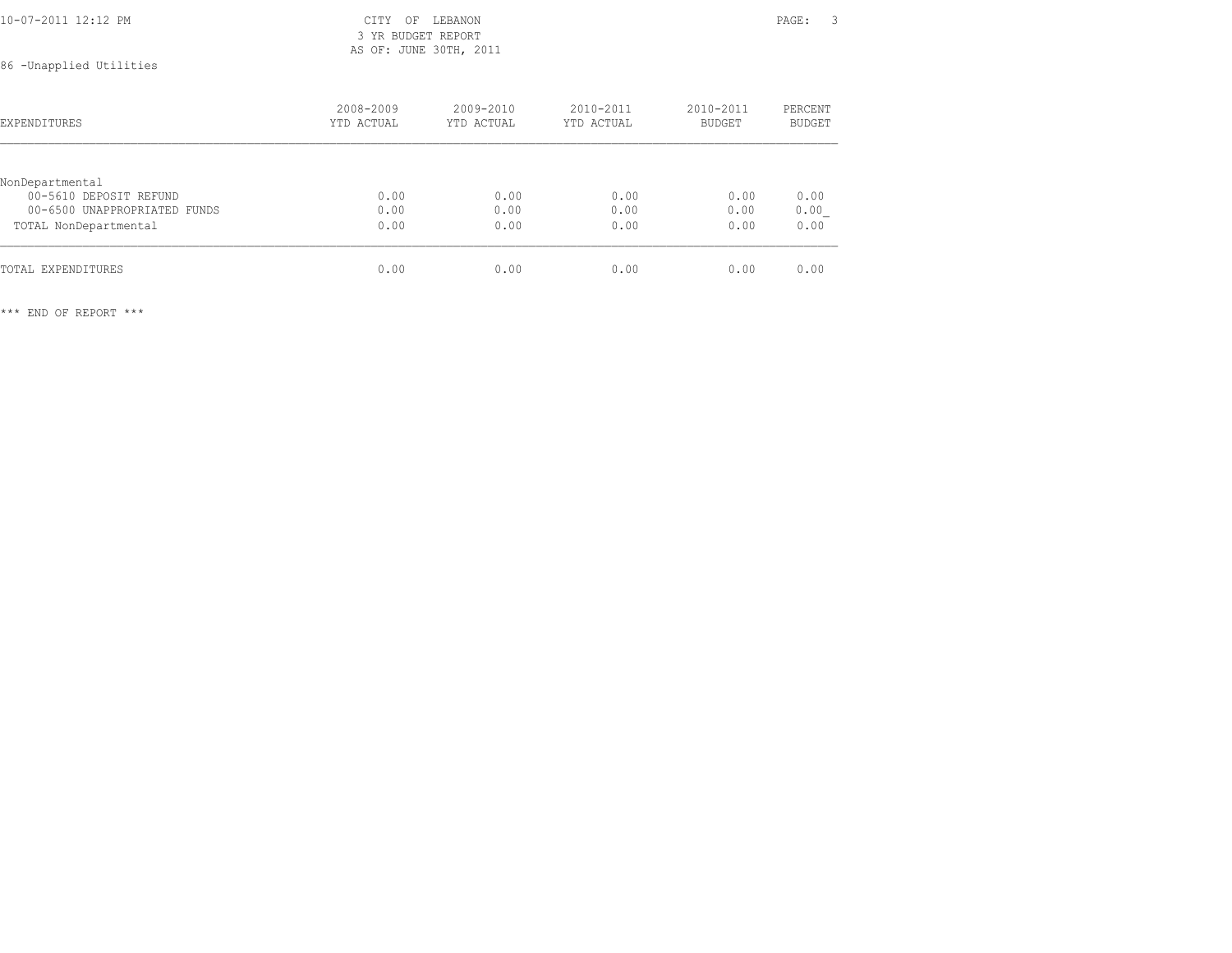| 10-07-2011 12:12 PM       | CITY OF LEBANON        | PAGE: |  |
|---------------------------|------------------------|-------|--|
|                           | 3 YR BUDGET REPORT     |       |  |
|                           | AS OF: JUNE 30TH, 2011 |       |  |
| ハアー・サービス エストレス・サイト ストイトレー |                        |       |  |

86 -Unapplied Utilities

| <b>EXPENDITURES</b>          | 2008-2009<br>YTD ACTUAL | $2009 - 2010$<br>YTD ACTUAL | $2010 - 2011$<br>YTD ACTUAL | 2010-2011<br><b>BUDGET</b> | PERCENT<br>BUDGET |  |
|------------------------------|-------------------------|-----------------------------|-----------------------------|----------------------------|-------------------|--|
|                              |                         |                             |                             |                            |                   |  |
| NonDepartmental              |                         |                             |                             |                            |                   |  |
| 00-5610 DEPOSIT REFUND       | 0.00                    | 0.00                        | 0.00                        | 0.00                       | 0.00              |  |
| 00-6500 UNAPPROPRIATED FUNDS | 0.00                    | 0.00                        | 0.00                        | 0.00                       | 0.00              |  |
| TOTAL NonDepartmental        | 0.00                    | 0.00                        | 0.00                        | 0.00                       | 0.00              |  |
| TOTAL EXPENDITURES           | 0.00                    | 0.00                        | 0.00                        | 0.00                       | 0.00              |  |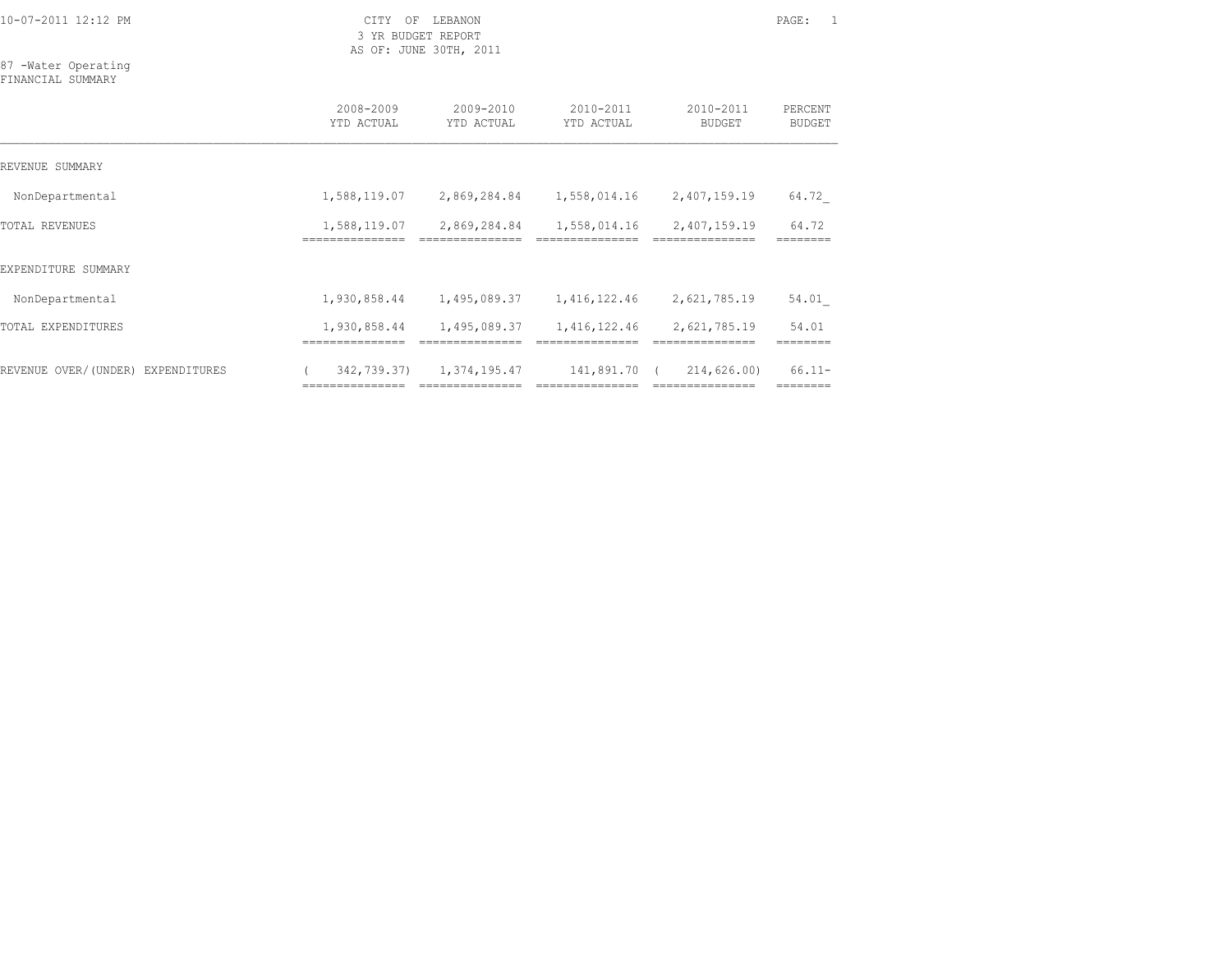3 YR BUDGET REPORT AS OF: JUNE 30TH, 2011

87 -Water Operating FINANCIAL SUMMARY

|                                   | 2008-2009<br>YTD ACTUAL       | 2009-2010<br>YTD ACTUAL          | 2010-2011<br>YTD ACTUAL       | 2010-2011<br><b>BUDGET</b>                    | PERCENT<br><b>BUDGET</b> |
|-----------------------------------|-------------------------------|----------------------------------|-------------------------------|-----------------------------------------------|--------------------------|
| REVENUE SUMMARY                   |                               |                                  |                               |                                               |                          |
| NonDepartmental                   | 1,588,119.07                  | 2,869,284.84                     | 1,558,014.16                  | 2,407,159.19                                  | 64.72                    |
| <b>TOTAL REVENUES</b>             | 1,588,119.07<br>============= | 2,869,284.84                     | 1,558,014.16                  | 2,407,159.19                                  | 64.72                    |
| EXPENDITURE SUMMARY               |                               |                                  |                               |                                               |                          |
| NonDepartmental                   | 1,930,858.44                  | 1,495,089.37                     | 1,416,122.46                  | 2,621,785.19                                  | 54.01                    |
| TOTAL EXPENDITURES                | 1,930,858.44                  | 1,495,089.37                     | 1,416,122.46                  | 2,621,785.19                                  | 54.01                    |
| REVENUE OVER/(UNDER) EXPENDITURES | 342,739.37)                   | 1,374,195.47<br>---------------- | 141,891.70<br>--------------- | 214,626.00)<br>$\sqrt{2}$<br>---------------- | $66.11 -$<br>========    |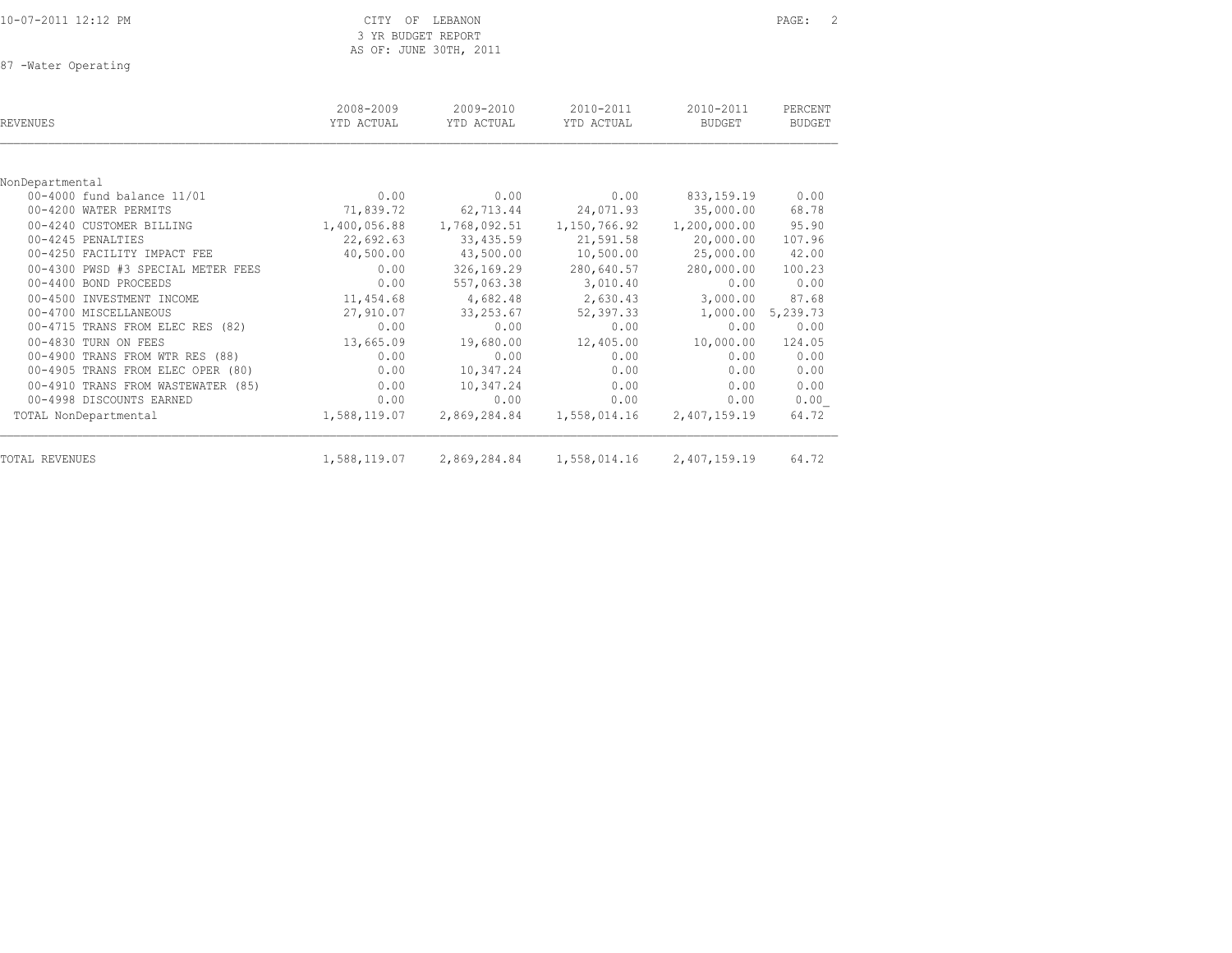10-07-2011 12:12 PM CITY OF LEBANON PAGE: 2 3 YR BUDGET REPORT AS OF: JUNE 30TH, 2011

87 -Water Operating

| REVENUES                           | 2008-2009<br>YTD ACTUAL | 2009-2010<br>YTD ACTUAL | 2010-2011<br>YTD ACTUAL | 2010-2011<br><b>BUDGET</b> | PERCENT<br><b>BUDGET</b> |
|------------------------------------|-------------------------|-------------------------|-------------------------|----------------------------|--------------------------|
|                                    |                         |                         |                         |                            |                          |
| NonDepartmental                    |                         |                         |                         |                            |                          |
| 00-4000 fund balance 11/01         | 0.00                    | 0.00                    | 0.00                    | 833, 159. 19               | 0.00                     |
| 00-4200 WATER PERMITS              | 71,839.72               | 62,713.44               | 24,071.93               | 35,000.00                  | 68.78                    |
| 00-4240 CUSTOMER BILLING           | 1,400,056.88            | 1,768,092.51            | 1,150,766.92            | 1,200,000.00               | 95.90                    |
| 00-4245 PENALTIES                  | 22,692.63               | 33,435.59               | 21,591.58               | 20,000.00                  | 107.96                   |
| 00-4250 FACILITY IMPACT FEE        | 40,500.00               | 43,500.00               | 10,500.00               | 25,000.00                  | 42.00                    |
| 00-4300 PWSD #3 SPECIAL METER FEES | 0.00                    | 326,169.29              | 280,640.57              | 280,000.00                 | 100.23                   |
| 00-4400 BOND PROCEEDS              | 0.00                    | 557,063.38              | 3,010.40                | 0.00                       | 0.00                     |
| 00-4500 INVESTMENT INCOME          | 11,454.68               | 4,682.48                | 2,630.43                | 3,000.00                   | 87.68                    |
| 00-4700 MISCELLANEOUS              | 27,910.07               | 33, 253.67              | 52,397.33               | 1,000.00 5,239.73          |                          |
| 00-4715 TRANS FROM ELEC RES (82)   | 0.00                    | 0.00                    | 0.00                    | 0.00                       | 0.00                     |
| 00-4830 TURN ON FEES               | 13,665.09               | 19,680.00               | 12,405.00               | 10,000.00                  | 124.05                   |
| 00-4900 TRANS FROM WTR RES (88)    | 0.00                    | 0.00                    | 0.00                    | 0.00                       | 0.00                     |
| 00-4905 TRANS FROM ELEC OPER (80)  | 0.00                    | 10,347.24               | 0.00                    | 0.00                       | 0.00                     |
| 00-4910 TRANS FROM WASTEWATER (85) | 0.00                    | 10,347.24               | 0.00                    | 0.00                       | 0.00                     |
| 00-4998 DISCOUNTS EARNED           | 0.00                    | 0.00                    | 0.00                    | 0.00                       | 0.00                     |
| TOTAL NonDepartmental              | 1,588,119.07            | 2,869,284.84            | 1,558,014.16            | 2,407,159.19               | 64.72                    |
| TOTAL REVENUES                     | 1,588,119.07            | 2,869,284.84            | 1,558,014.16            | 2,407,159.19               | 64.72                    |
|                                    |                         |                         |                         |                            |                          |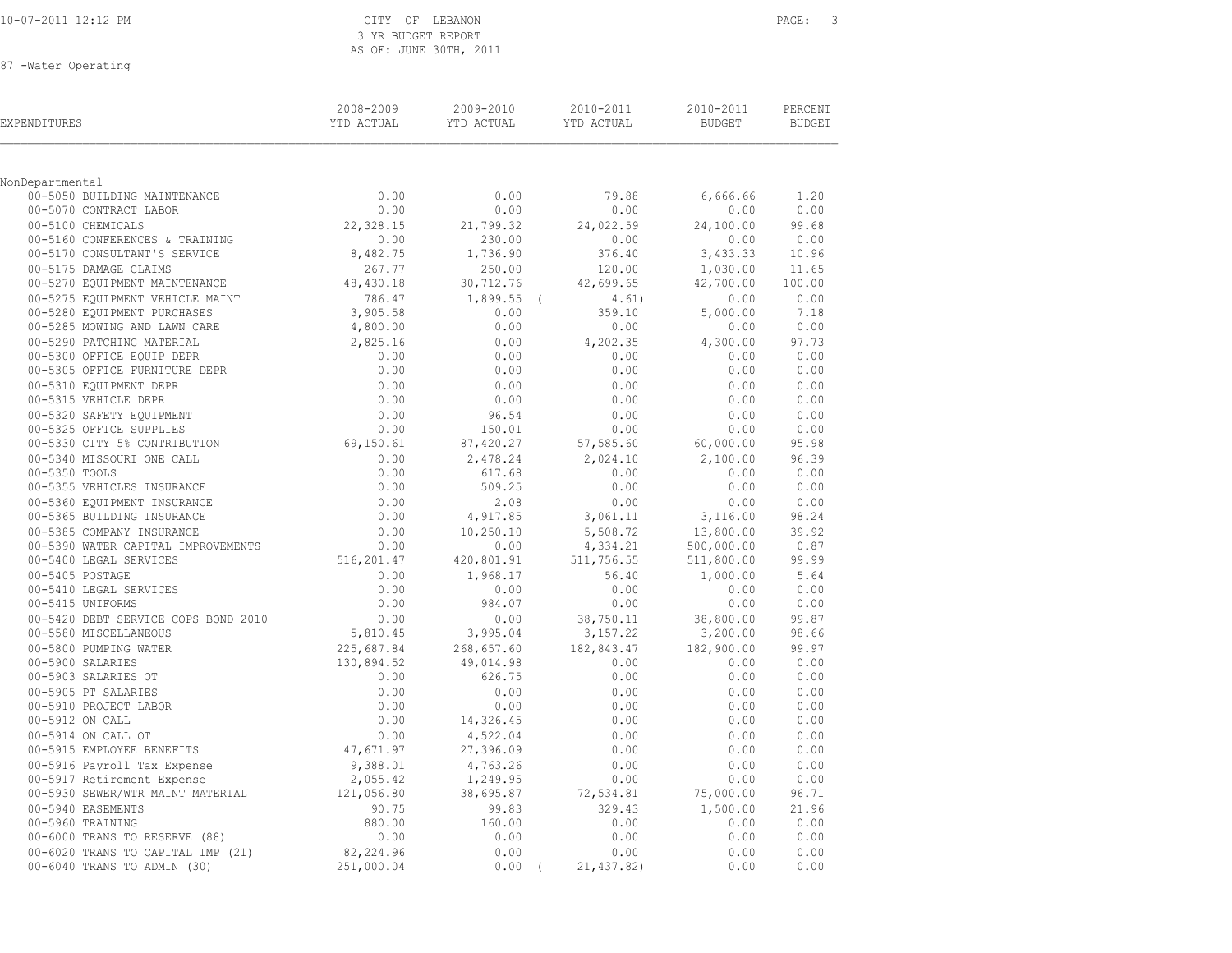| 10-07-2011 12:12 PM |  |
|---------------------|--|
|---------------------|--|

### CITY OF LEBANON **PAGE:** 3 3 YR BUDGET REPORT AS OF: JUNE 30TH, 2011

87 -Water Operating

| EXPENDITURES                                        | 2008-2009<br>YTD ACTUAL | 2009-2010<br>YTD ACTUAL | 2010-2011<br>YTD ACTUAL | 2010-2011<br>BUDGET | PERCENT<br><b>BUDGET</b> |  |
|-----------------------------------------------------|-------------------------|-------------------------|-------------------------|---------------------|--------------------------|--|
| NonDepartmental                                     |                         |                         |                         |                     |                          |  |
| 00-5050 BUILDING MAINTENANCE                        | 0.00                    | 0.00                    | 79.88                   | 6,666.66            | 1.20                     |  |
| 00-5070 CONTRACT LABOR                              | 0.00                    | 0.00                    | 0.00                    | 0.00                | 0.00                     |  |
| 00-5100 CHEMICALS                                   | 22,328.15               | 21,799.32               | 24,022.59               | 24,100.00           | 99.68                    |  |
| 00-5160 CONFERENCES & TRAINING                      | 0.00                    | 230.00                  | 0.00                    | 0.00                | 0.00                     |  |
| 00-5170 CONSULTANT'S SERVICE                        | 8,482.75                | 1,736.90                | 376.40                  | 3,433.33            | 10.96                    |  |
| 00-5175 DAMAGE CLAIMS                               | 267.77                  | 250.00                  | 120.00                  | 1,030.00            | 11.65                    |  |
| 00-5270 EQUIPMENT MAINTENANCE                       | 48,430.18               | 30,712.76               | 42,699.65               | 42,700.00           | 100.00                   |  |
| 00-5275 EQUIPMENT VEHICLE MAINT                     | 786.47                  | $1,899.55$ (            | 4.61)                   | 0.00                | 0.00                     |  |
| 00-5280 EQUIPMENT PURCHASES                         | 3,905.58                | 0.00                    | 359.10                  | 5,000.00            | 7.18                     |  |
| 00-5285 MOWING AND LAWN CARE                        | 4,800.00                | 0.00                    | 0.00                    | 0.00                | 0.00                     |  |
| 00-5290 PATCHING MATERIAL                           | 2,825.16                | 0.00                    | 4,202.35                | 4,300.00            | 97.73                    |  |
| 00-5300 OFFICE EQUIP DEPR                           | 0.00                    | 0.00                    | 0.00                    | 0.00                | 0.00                     |  |
| 00-5305 OFFICE FURNITURE DEPR                       | 0.00                    | 0.00                    | 0.00                    | 0.00                | 0.00                     |  |
| 00-5310 EQUIPMENT DEPR                              | 0.00                    | 0.00                    | 0.00                    | 0.00                | 0.00                     |  |
| 00-5315 VEHICLE DEPR                                | 0.00                    | 0.00                    | 0.00                    | 0.00                | 0.00                     |  |
| 00-5320 SAFETY EQUIPMENT<br>00-5325 OFFICE SUPPLIES | 0.00                    | 96.54                   | 0.00                    | 0.00                | 0.00                     |  |
| 00-5325 OFFICE SUPPLIES                             | 0.00                    | 150.01                  | 0.00                    | 0.00                | 0.00                     |  |
| 00-5330 CITY 5% CONTRIBUTION                        | 69,150.61               | 87,420.27               | 57,585.60               | 60,000.00           | 95.98                    |  |
| 00-5340 MISSOURI ONE CALL                           | 0.00                    | 2,478.24                | 2,024.10                | 2,100.00            | 96.39                    |  |
| 00-5350 TOOLS                                       | 0.00                    | 617.68                  | 0.00                    | 0.00                | 0.00                     |  |
| 00-5355 VEHICLES INSURANCE                          | 0.00                    | 509.25                  | 0.00                    | 0.00                | 0.00                     |  |
| 00-5360 EQUIPMENT INSURANCE                         | $0.00$<br>0.00          | 2.08                    | 0.00                    | 0.00                | 0.00                     |  |
| 00-5365 BUILDING INSURANCE                          |                         | 4,917.85                | 3,061.11                | 3,116.00            | 98.24                    |  |
| 00-5385 COMPANY INSURANCE                           | 0.00                    | 10,250.10               | 5,508.72                | 13,800.00           | 39.92                    |  |
| 00-5390 WATER CAPITAL IMPROVEMENTS                  | 0.00                    | 0.00                    | 4,334.21                | 500,000.00          | 0.87                     |  |
| 00-5400 LEGAL SERVICES                              | 516,201.47              | 420,801.91              | 511,756.55              | 511,800.00          | 99.99<br>5.64            |  |
| 00-5405 POSTAGE<br>00-5410 LEGAL SERVICES           | 0.00<br>0.00            | 1,968.17<br>0.00        | 56.40<br>0.00           | 1,000.00<br>0.00    | 0.00                     |  |
| 00-5415 UNIFORMS                                    | 0.00                    | 984.07                  | 0.00                    | 0.00                | 0.00                     |  |
| 00-5420 DEBT SERVICE COPS BOND 2010                 | 0.00                    | 0.00                    | 38,750.11               | 38,800.00           | 99.87                    |  |
| 00-5580 MISCELLANEOUS                               | 5,810.45                | 3,995.04                | 3,157.22                | 3,200.00            | 98.66                    |  |
| 00-5800 PUMPING WATER                               | 225,687.84              | 268,657.60              | 182,843.47              | 182,900.00          | 99.97                    |  |
| 00-5900 SALARIES                                    | 130,894.52              | 49,014.98               | 0.00                    | 0.00                | 0.00                     |  |
| 00-5903 SALARIES OT                                 | 0.00                    | 626.75                  | 0.00                    | 0.00                | 0.00                     |  |
| 00-5905 PT SALARIES                                 | 0.00                    | 0.00                    | 0.00                    | 0.00                | 0.00                     |  |
| 00-5910 PROJECT LABOR                               | 0.00                    | 0.00                    | 0.00                    | 0.00                | 0.00                     |  |
| 00-5912 ON CALL                                     | 0.00                    | 14,326.45               | 0.00                    | 0.00                | 0.00                     |  |
| 00-5914 ON CALL OT                                  | 0.00                    | 4,522.04                | 0.00                    | 0.00                | 0.00                     |  |
| 00-5915 EMPLOYEE BENEFITS                           | 47,671.97               | 27,396.09               | 0.00                    | 0.00                | 0.00                     |  |
| 00-5916 Payroll Tax Expense                         | 9,388.01                | 4,763.26                | 0.00                    | 0.00                | 0.00                     |  |
| 00-5917 Retirement Expense                          | 2,055.42                | 1,249.95                | 0.00                    | 0.00                | 0.00                     |  |
| 00-5930 SEWER/WTR MAINT MATERIAL 121,056.80         |                         | 38,695.87               | 72,534.81               | 75,000.00           | 96.71                    |  |
| 00-5940 EASEMENTS                                   | 90.75                   | 99.83                   | 329.43                  | 1,500.00            | 21.96                    |  |
| 00-5960 TRAINING                                    | 880.00                  | 160.00                  | 0.00                    | 0.00                | 0.00                     |  |
| 00-6000 TRANS TO RESERVE (88)                       | 0.00                    | 0.00                    | 0.00                    | 0.00                | 0.00                     |  |
| 00-6020 TRANS TO CAPITAL IMP (21)                   | 82,224.96               | 0.00                    | 0.00                    | 0.00                | 0.00                     |  |
| 00-6040 TRANS TO ADMIN (30)                         | 251,000.04              | 0.00<br>$\sqrt{2}$      | 21, 437.82)             | 0.00                | 0.00                     |  |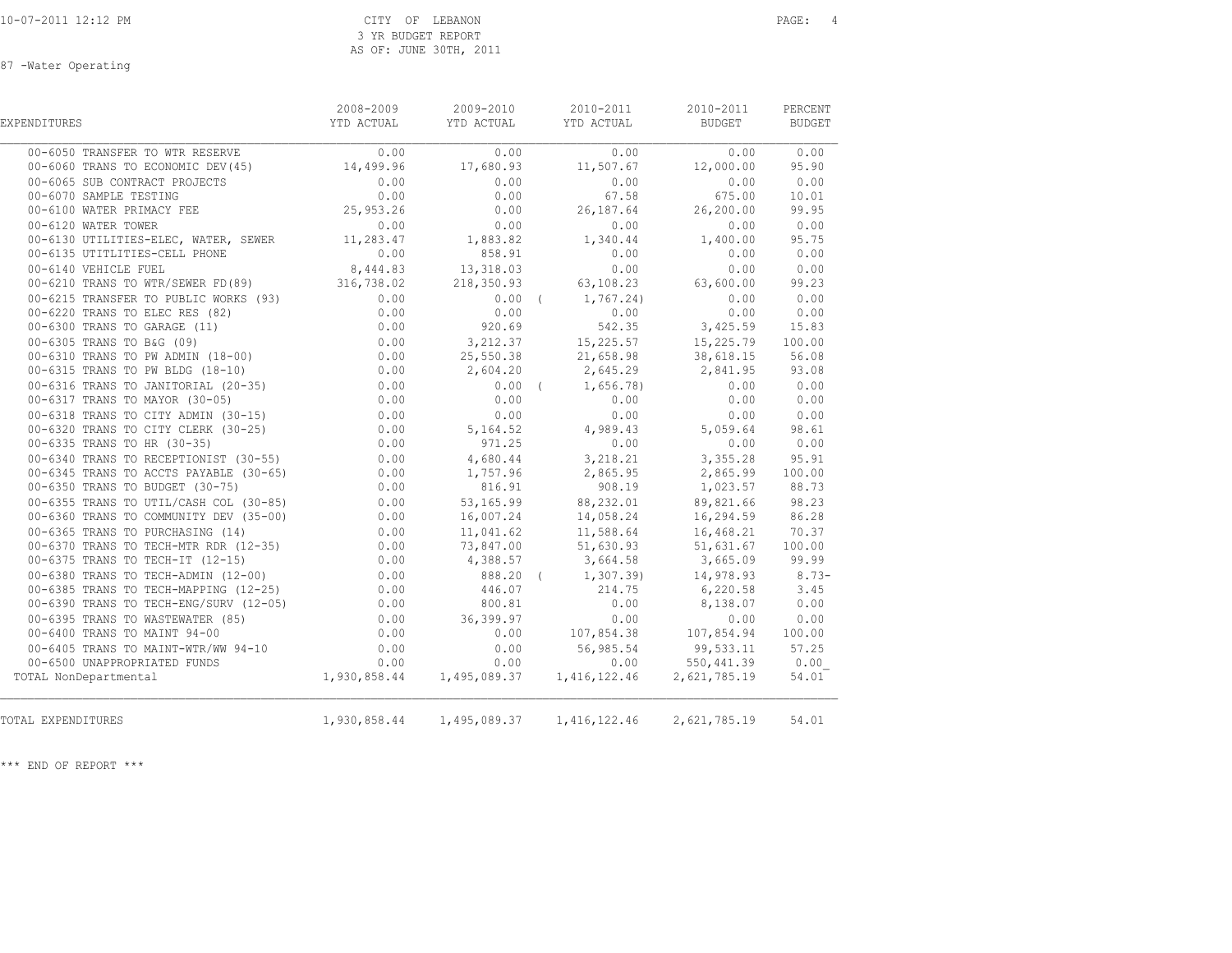87 -Water Operating

| EXPENDITURES                                                                                                                                                               | 2008-2009 | 2009-2010<br>YTD ACTUAL YTD ACTUAL | 2010-2011<br>YTD ACTUAL                                                                  | 2010-2011<br>BUDGET | PERCENT<br>BUDGET |
|----------------------------------------------------------------------------------------------------------------------------------------------------------------------------|-----------|------------------------------------|------------------------------------------------------------------------------------------|---------------------|-------------------|
| 00-6050 TRANSFER TO WTR RESERVE                                                                                                                                            | 0.00      | 0.00                               | 0.00                                                                                     | 0.00                | 0.00              |
| 00-6060 TRANS TO ECONOMIC DEV(45) 14,499.96 17,680.93                                                                                                                      |           |                                    | 11,507.67                                                                                | 12,000.00           | 95.90             |
| 00-6065 SUB CONTRACT PROJECTS                                                                                                                                              | 0.00      | 0.00                               | 0.00                                                                                     | 0.00                | 0.00              |
| 00-6065 SUB CONTRACT PROJECTS 0.00<br>00-6070 SAMPLE TESTING 0.00<br>00-6100 WATER PRIMACY FEE 25,953.26                                                                   |           | 0.00                               | 67.58                                                                                    | 675.00              | 10.01             |
|                                                                                                                                                                            |           | 0.00                               | 26, 187.64 26, 200.00                                                                    |                     | 99.95             |
| 00-6120 WATER TOWER                                                                                                                                                        | 0.00      | 0.00                               | 0.00                                                                                     | 0.00                | 0.00              |
| 0.00 00-6120 WAIER IOWER<br>00-6130 UTILITIES-ELEC, WATER, SEWER 11,283.47                                                                                                 |           | 1,883.82                           | 1,340.44                                                                                 | 1,400.00            | 95.75             |
| 0.00 858.91<br>00-6135 UTITLITIES-CELL PHONE 0.00 858.91<br>0.00 858.91<br>8,444.83 13,318.03                                                                              |           |                                    | 0.00                                                                                     | 0.00                | 0.00              |
|                                                                                                                                                                            |           |                                    | 0.00                                                                                     | 0.00                | 0.00              |
| 00-6210 TRANS TO WTR/SEWER FD(89) 316,738.02                                                                                                                               |           |                                    | 218,350.93 63,108.23 63,600.00                                                           |                     | 99.23             |
|                                                                                                                                                                            |           |                                    |                                                                                          |                     | 0.00              |
|                                                                                                                                                                            |           |                                    |                                                                                          |                     | 0.00              |
|                                                                                                                                                                            |           |                                    |                                                                                          |                     | 15.83             |
|                                                                                                                                                                            |           |                                    |                                                                                          |                     | 100.00            |
|                                                                                                                                                                            |           |                                    |                                                                                          |                     | 56.08             |
|                                                                                                                                                                            |           |                                    |                                                                                          |                     | 93.08             |
|                                                                                                                                                                            |           |                                    | $0.00$ ( $1,656.78$ )                                                                    | 0.00                | 0.00              |
| 00-6317 TRANS TO MAYOR (30-05) (0.00<br>00-6318 TRANS TO CITY ADMIN (30-15) (0.00                                                                                          |           | 0.00                               | 0.00                                                                                     | 0.00                | 0.00              |
|                                                                                                                                                                            |           | 0.00                               | 0.00                                                                                     | 0.00                | 0.00              |
| 0.00 00-6320 TRANS TO CITY CLERK (30-25)                                                                                                                                   |           |                                    | $5,164.52$ $4,989.43$ $5,059.64$                                                         |                     | 98.61             |
| 0.00 00-6340 TRANS TO HR (30-35) 0.00<br>00-6340 TRANS TO RECEPTIONIST (30-55) 0.00<br>00-6345 TRANS TO ACCTS PAYABLE (30-65) 0.00<br>00-6350 TRANS TO BUDGET (30 35) 0.00 |           | 971.25                             | 0.00                                                                                     | 0.00                | 0.00              |
|                                                                                                                                                                            |           | 4,680.44                           | 3,218.21                                                                                 | 3,355.28            | 95.91             |
|                                                                                                                                                                            |           |                                    | $1,757.96$ 2,865.95 2,865.99                                                             |                     | 100.00            |
|                                                                                                                                                                            |           |                                    |                                                                                          |                     | 88.73             |
| 00-6350 TRANS TO BUDGET (30-75) (0.00<br>00-6355 TRANS TO UTIL/CASH COL (30-85) (0.00<br>00-6360 TRANS TO COMMUNITY DEV (35-00) (0.00                                      |           |                                    | 816.91 908.19 1,023.57<br>53,165.99 88,232.01 89,821.66<br>16,007.24 14,058.24 16,294.59 |                     | 98.23             |
|                                                                                                                                                                            |           |                                    |                                                                                          |                     | 86.28             |
| 00-6365 TRANS TO PURCHASING (14)                                                                                                                                           | 0.00      | 11,041.62                          | 11,588.64                                                                                | 16,468.21           | 70.37             |
|                                                                                                                                                                            |           |                                    | 73,847.00 51,630.93                                                                      | 51,631.67           | 100.00            |
| 00-6370 TRANS TO TECH-MTR RDR (12-35)<br>00-6375 TRANS TO TECH-IT (12-15) 0.00<br>00-6380 TRANS TO TECH-ADMIN (12-00) 0.00                                                 |           | 4,388.57                           | 3,664.58<br>$\begin{array}{cccc} 6 & 6 & 888.20 & (1,307.39) & 14,978.93 \end{array}$    | 3,665.09            | 99.99             |
|                                                                                                                                                                            |           |                                    |                                                                                          |                     | $8.73-$           |
| 00-6385 TRANS TO TECH-MAPPING (12-25) 0.00                                                                                                                                 |           | 446.07<br>800.81                   | 214.75 6,220.58                                                                          |                     | 3.45              |
|                                                                                                                                                                            |           | 36, 399.97                         | 0.00<br>0.00                                                                             | 8,138.07<br>0.00    | 0.00<br>0.00      |
|                                                                                                                                                                            |           | 0.00                               | 107,854.38 107,854.94                                                                    |                     | 100.00            |
|                                                                                                                                                                            | 0.00      | 0.00                               |                                                                                          |                     | 57.25             |
| 00-6405 TRANS TO MAINT-WTR/WW 94-10                                                                                                                                        |           |                                    | 56, 985.54 99, 533.11                                                                    | $0.00$ $550,441.39$ | 0.00              |
| TOTAL NonDepartmental                                                                                                                                                      |           |                                    |                                                                                          | 2,621,785.19        | 54.01             |
|                                                                                                                                                                            |           |                                    |                                                                                          |                     |                   |
| TOTAL EXPENDITURES                                                                                                                                                         |           |                                    | 1,930,858.44    1,495,089.37    1,416,122.46    2,621,785.19                             |                     | 54.01             |
|                                                                                                                                                                            |           |                                    |                                                                                          |                     |                   |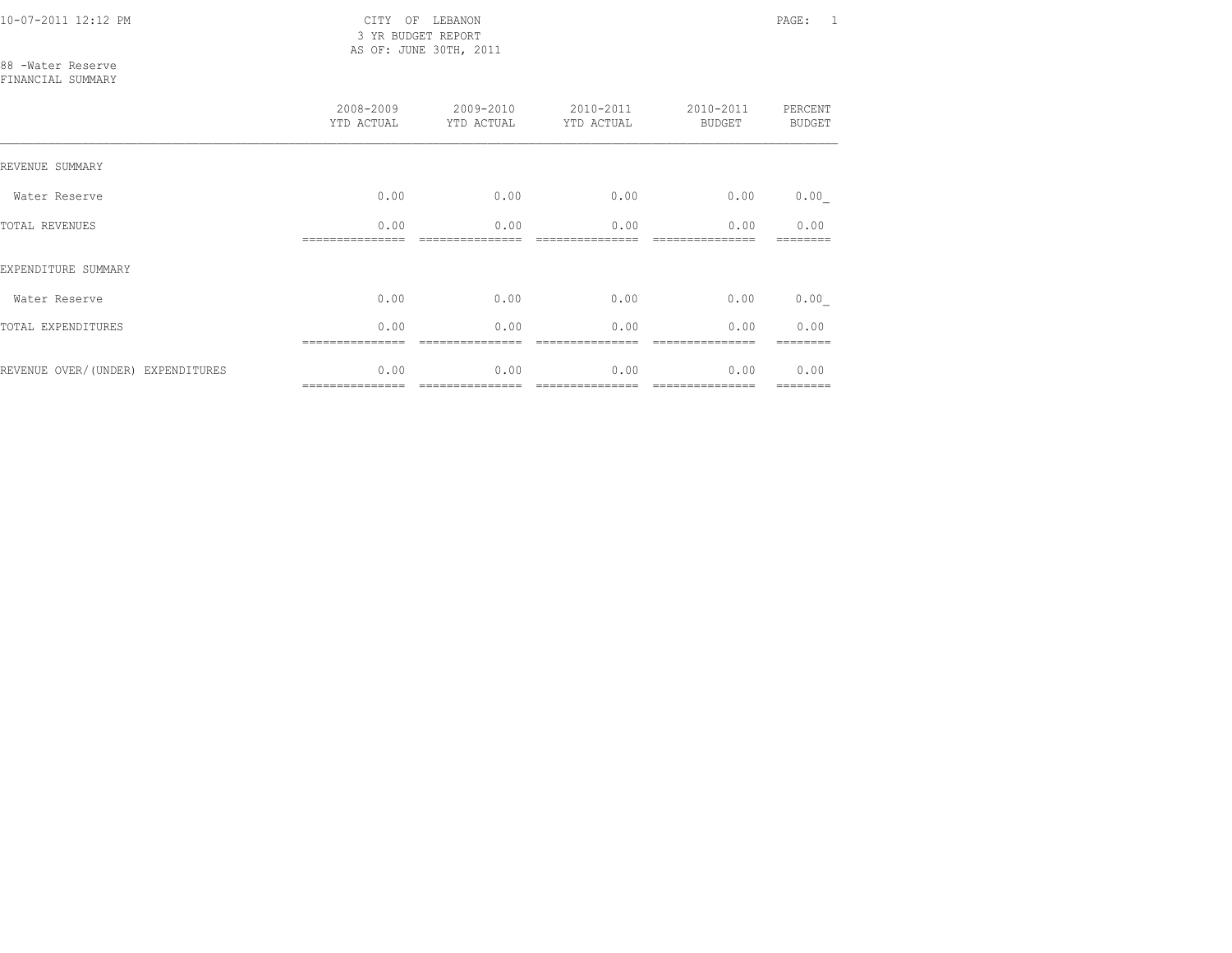10-07-2011 12:12 PM CITY OF LEBANON PAGE: 1 3 YR BUDGET REPORT AS OF: JUNE 30TH, 2011

88 -Water Reserve FINANCIAL SUMMARY

|                                   | 2008-2009<br>YTD ACTUAL | 2009-2010<br>YTD ACTUAL | 2010-2011<br>YTD ACTUAL | 2010-2011<br>BUDGET | PERCENT<br><b>BUDGET</b> |
|-----------------------------------|-------------------------|-------------------------|-------------------------|---------------------|--------------------------|
| REVENUE SUMMARY                   |                         |                         |                         |                     |                          |
| Water Reserve                     | 0.00                    | 0.00                    | 0.00                    | 0.00                | 0.00                     |
| <b>TOTAL REVENUES</b>             | 0.00                    | 0.00                    | 0.00                    | 0.00                | 0.00                     |
| EXPENDITURE SUMMARY               |                         |                         |                         |                     |                          |
| Water Reserve                     | 0.00                    | 0.00                    | 0.00                    | 0.00                | 0.00                     |
| TOTAL EXPENDITURES                | 0.00                    | 0.00                    | 0.00                    | 0.00                | 0.00                     |
| REVENUE OVER/(UNDER) EXPENDITURES | 0.00                    | 0.00                    | 0.00                    | 0.00                | 0.00<br>========         |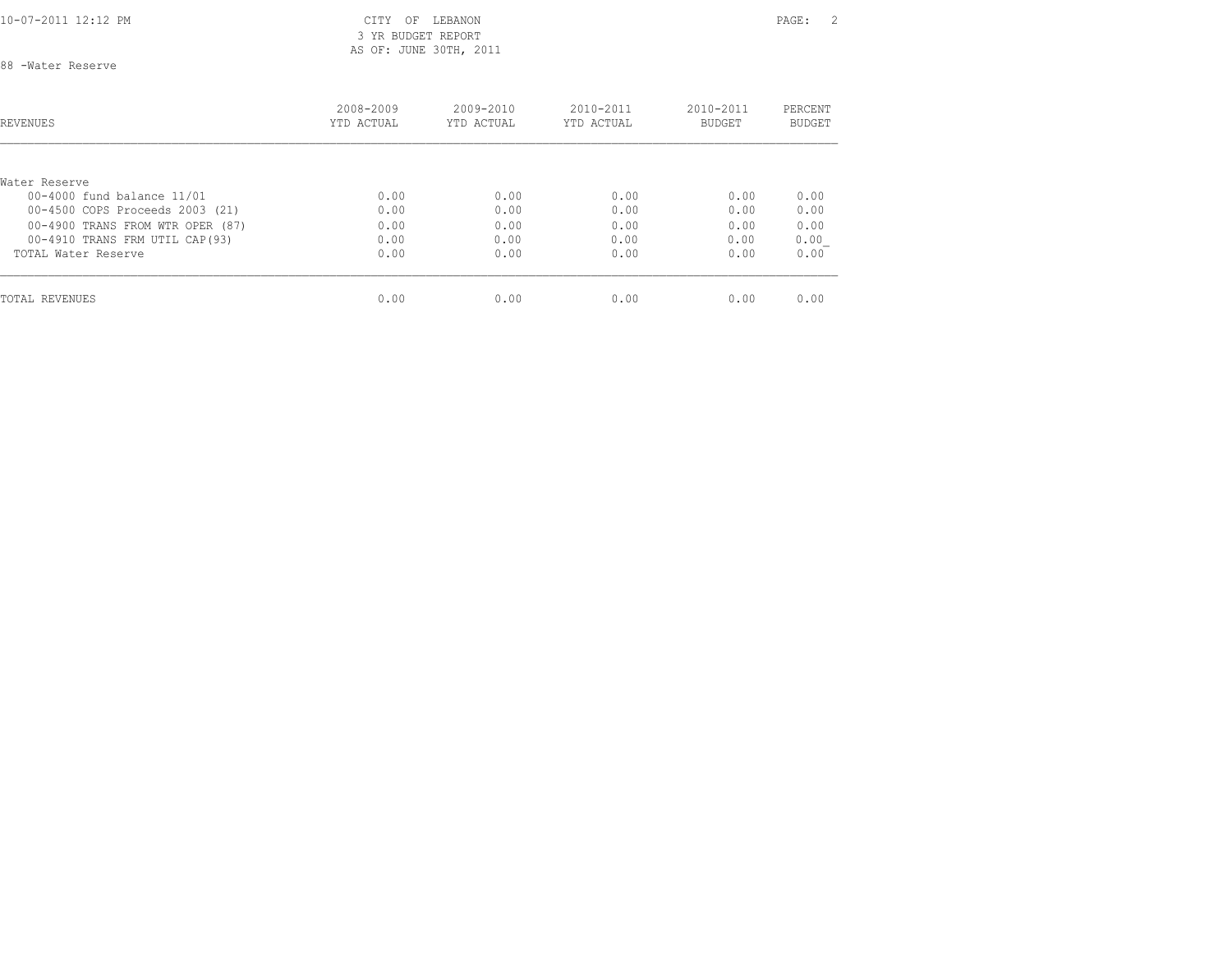10-07-2011 12:12 PM CITY OF LEBANON PAGE: 2 3 YR BUDGET REPORT AS OF: JUNE 30TH, 2011

88 -Water Reserve

| <b>REVENUES</b>                  | 2008-2009<br>YTD ACTUAL | $2009 - 2010$<br>YTD ACTUAL | $2010 - 2011$<br>YTD ACTUAL | $2010 - 2011$<br><b>BUDGET</b> | PERCENT<br><b>BUDGET</b> |
|----------------------------------|-------------------------|-----------------------------|-----------------------------|--------------------------------|--------------------------|
|                                  |                         |                             |                             |                                |                          |
| Water Reserve                    |                         |                             |                             |                                |                          |
| 00-4000 fund balance 11/01       | 0.00                    | 0.00                        | 0.00                        | 0.00                           | 0.00                     |
| 00-4500 COPS Proceeds 2003 (21)  | 0.00                    | 0.00                        | 0.00                        | 0.00                           | 0.00                     |
| 00-4900 TRANS FROM WTR OPER (87) | 0.00                    | 0.00                        | 0.00                        | 0.00                           | 0.00                     |
| 00-4910 TRANS FRM UTIL CAP (93)  | 0.00                    | 0.00                        | 0.00                        | 0.00                           | 0.00                     |
| TOTAL Water Reserve              | 0.00                    | 0.00                        | 0.00                        | 0.00                           | 0.00                     |
| TOTAL REVENUES                   | 0.00                    | 0.00                        | 0.00                        | 0.00                           | 0.00                     |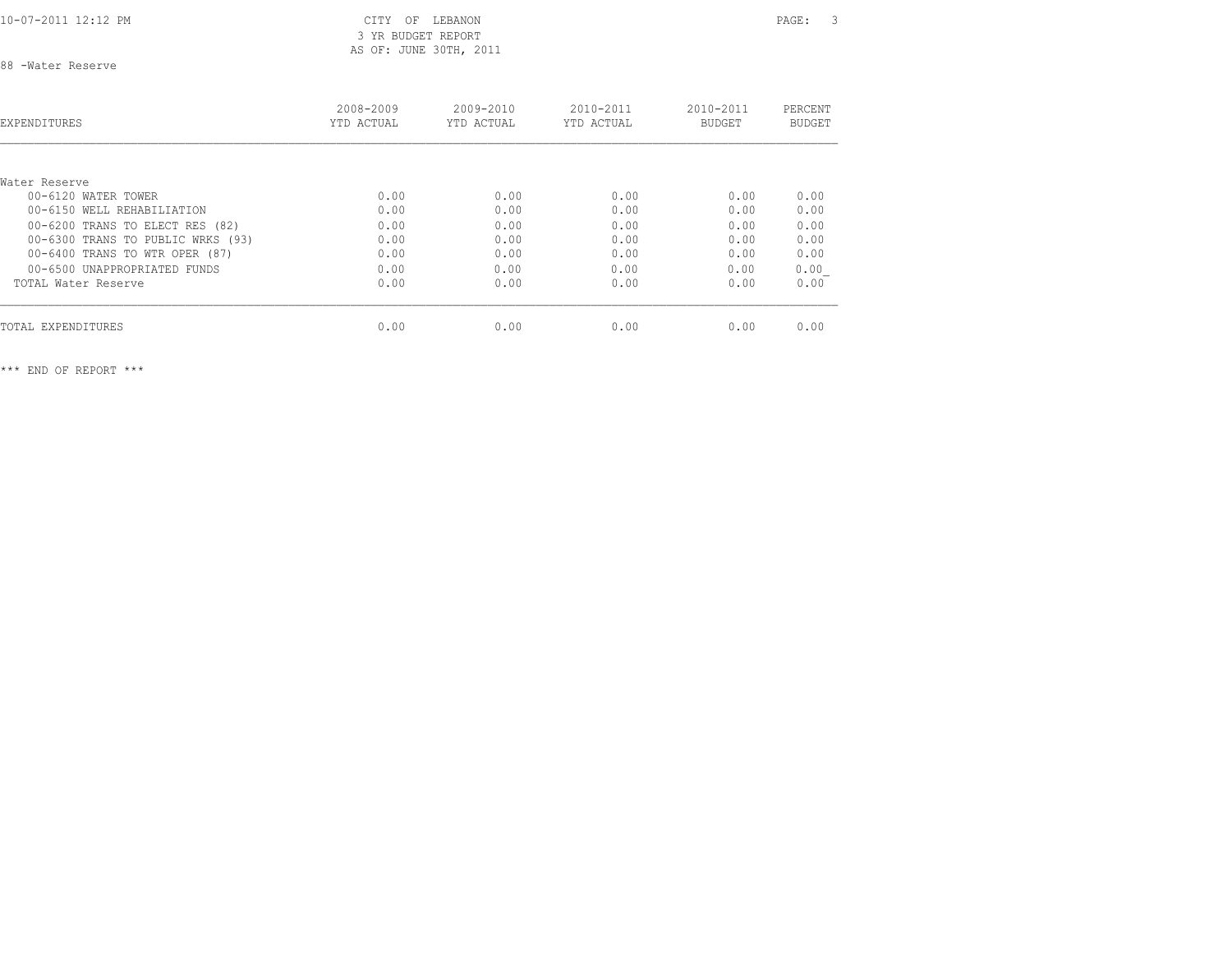## 3 YR BUDGET REPORT AS OF: JUNE 30TH, 2011

88 -Water Reserve

| EXPENDITURES                      | 2008-2009<br>YTD ACTUAL | 2009-2010<br>YTD ACTUAL | $2010 - 2011$<br>YTD ACTUAL | 2010-2011<br><b>BUDGET</b> | PERCENT<br><b>BUDGET</b> |
|-----------------------------------|-------------------------|-------------------------|-----------------------------|----------------------------|--------------------------|
|                                   |                         |                         |                             |                            |                          |
| Water Reserve                     |                         |                         |                             |                            |                          |
| 00-6120 WATER TOWER               | 0.00                    | 0.00                    | 0.00                        | 0.00                       | 0.00                     |
| 00-6150 WELL REHABILIATION        | 0.00                    | 0.00                    | 0.00                        | 0.00                       | 0.00                     |
| 00-6200 TRANS TO ELECT RES (82)   | 0.00                    | 0.00                    | 0.00                        | 0.00                       | 0.00                     |
| 00-6300 TRANS TO PUBLIC WRKS (93) | 0.00                    | 0.00                    | 0.00                        | 0.00                       | 0.00                     |
| 00-6400 TRANS TO WTR OPER (87)    | 0.00                    | 0.00                    | 0.00                        | 0.00                       | 0.00                     |
| 00-6500 UNAPPROPRIATED FUNDS      | 0.00                    | 0.00                    | 0.00                        | 0.00                       | 0.00                     |
| TOTAL Water Reserve               | 0.00                    | 0.00                    | 0.00                        | 0.00                       | 0.00                     |
| TOTAL EXPENDITURES                | 0.00                    | 0.00                    | 0.00                        | 0.00                       | 0.00                     |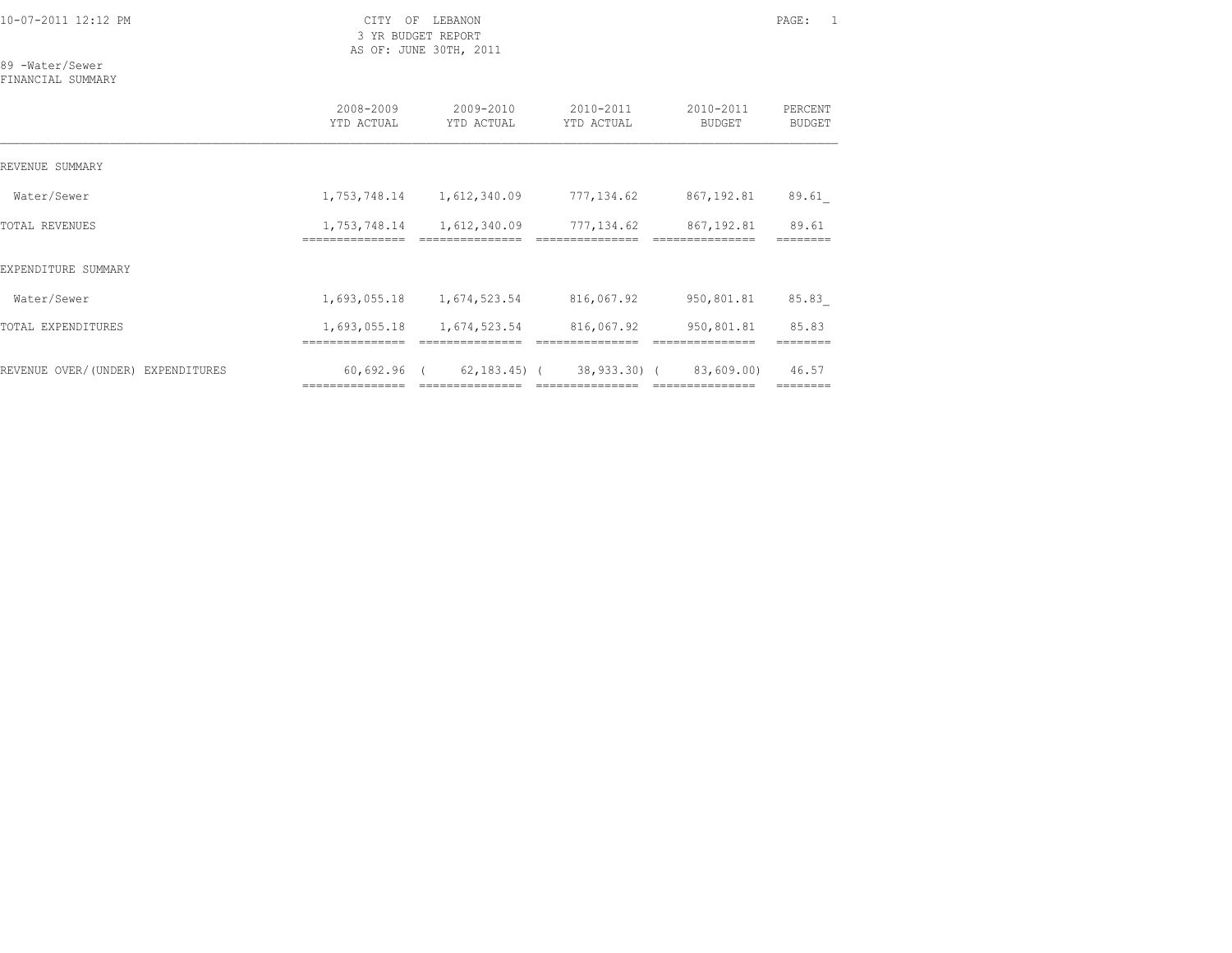3 YR BUDGET REPORT AS OF: JUNE 30TH, 2011

89 -Water/Sewer

FINANCIAL SUMMARY

|                                   | 2008-2009<br>YTD ACTUAL        | 2009-2010<br>YTD ACTUAL                                                                                                                                                                                                                                                                                                                                                                                                                                                                      | 2010-2011<br>YTD ACTUAL                                                                                                                                                                                                                                                                                                                                                                                                                                                                                                  | 2010-2011<br><b>BUDGET</b>    | PERCENT<br><b>BUDGET</b> |
|-----------------------------------|--------------------------------|----------------------------------------------------------------------------------------------------------------------------------------------------------------------------------------------------------------------------------------------------------------------------------------------------------------------------------------------------------------------------------------------------------------------------------------------------------------------------------------------|--------------------------------------------------------------------------------------------------------------------------------------------------------------------------------------------------------------------------------------------------------------------------------------------------------------------------------------------------------------------------------------------------------------------------------------------------------------------------------------------------------------------------|-------------------------------|--------------------------|
| REVENUE SUMMARY                   |                                |                                                                                                                                                                                                                                                                                                                                                                                                                                                                                              |                                                                                                                                                                                                                                                                                                                                                                                                                                                                                                                          |                               |                          |
| Water/Sewer                       | 1,753,748.14                   | 1,612,340.09                                                                                                                                                                                                                                                                                                                                                                                                                                                                                 | 777,134.62                                                                                                                                                                                                                                                                                                                                                                                                                                                                                                               | 867,192.81                    | 89.61                    |
| <b>TOTAL REVENUES</b>             | 1,753,748.14<br>============   | 1,612,340.09                                                                                                                                                                                                                                                                                                                                                                                                                                                                                 | 777,134.62                                                                                                                                                                                                                                                                                                                                                                                                                                                                                                               | 867,192.81                    | 89.61                    |
| EXPENDITURE SUMMARY               |                                |                                                                                                                                                                                                                                                                                                                                                                                                                                                                                              |                                                                                                                                                                                                                                                                                                                                                                                                                                                                                                                          |                               |                          |
| Water/Sewer                       | 1,693,055.18                   | 1,674,523.54                                                                                                                                                                                                                                                                                                                                                                                                                                                                                 | 816,067.92                                                                                                                                                                                                                                                                                                                                                                                                                                                                                                               | 950,801.81                    | 85.83                    |
| TOTAL EXPENDITURES                | 1,693,055.18                   | 1,674,523.54                                                                                                                                                                                                                                                                                                                                                                                                                                                                                 | 816,067.92                                                                                                                                                                                                                                                                                                                                                                                                                                                                                                               | 950,801.81                    | 85.83                    |
| REVENUE OVER/(UNDER) EXPENDITURES | 60,692.96 (<br>=============== | $\begin{array}{c} \multicolumn{2}{c} {\textbf{1}} & \multicolumn{2}{c} {\textbf{2}} & \multicolumn{2}{c} {\textbf{3}} & \multicolumn{2}{c} {\textbf{4}} \\ \multicolumn{2}{c} {\textbf{5}} & \multicolumn{2}{c} {\textbf{6}} & \multicolumn{2}{c} {\textbf{7}} & \multicolumn{2}{c} {\textbf{8}} & \multicolumn{2}{c} {\textbf{9}} \\ \multicolumn{2}{c} {\textbf{6}} & \multicolumn{2}{c} {\textbf{7}} & \multicolumn{2}{c} {\textbf{8}} & \multicolumn{2}{c} {\textbf{9}} & \multicolumn{$ | 62,183.45) (38,933.30) (<br>$\begin{array}{c} \multicolumn{2}{c} {\textbf{1}} & \multicolumn{2}{c} {\textbf{2}} & \multicolumn{2}{c} {\textbf{3}} & \multicolumn{2}{c} {\textbf{4}} \\ \multicolumn{2}{c} {\textbf{5}} & \multicolumn{2}{c} {\textbf{6}} & \multicolumn{2}{c} {\textbf{7}} & \multicolumn{2}{c} {\textbf{8}} & \multicolumn{2}{c} {\textbf{9}} \\ \multicolumn{2}{c} {\textbf{6}} & \multicolumn{2}{c} {\textbf{7}} & \multicolumn{2}{c} {\textbf{8}} & \multicolumn{2}{c} {\textbf{9}} & \multicolumn{$ | 83,609.00)<br>=============== | 46.57                    |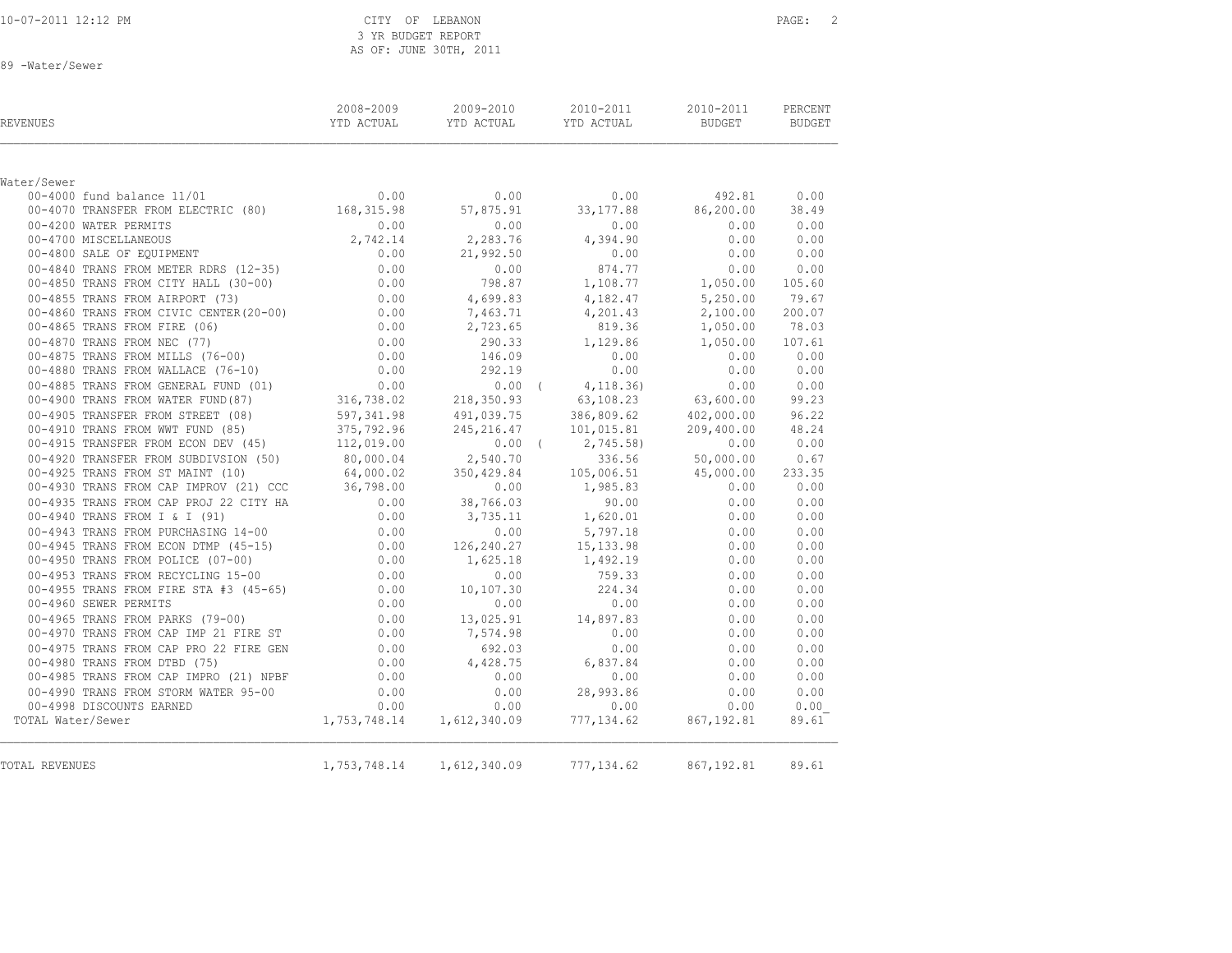|  |  |  | 10-07-2011 12:12 PM |  |  |
|--|--|--|---------------------|--|--|
|  |  |  |                     |  |  |

CITY OF LEBANON PAGE: 2 3 YR BUDGET REPORT AS OF: JUNE 30TH, 2011

89 -Water/Sewer

| <b>REVENUES</b>                                                                                                                                                                                                                                                      | YTD ACTUAL |          | 2008-2009 2009-2010 2010-2011 2010-2011<br>YTD ACTUAL YTD ACTUAL | BUDGET BUDGET              | PERCENT |
|----------------------------------------------------------------------------------------------------------------------------------------------------------------------------------------------------------------------------------------------------------------------|------------|----------|------------------------------------------------------------------|----------------------------|---------|
|                                                                                                                                                                                                                                                                      |            |          |                                                                  |                            |         |
| Water/Sewer                                                                                                                                                                                                                                                          |            |          |                                                                  |                            |         |
| 00–4000 fund balance 11/01<br>00–4070 TRANSFER FROM ELECTRIC (80)<br>00–4070 TRANSFER FROM ELECTRIC (80)<br>168,315.98<br>07,875.91<br>33,177.88<br>86,200.00                                                                                                        |            |          |                                                                  |                            | 0.00    |
|                                                                                                                                                                                                                                                                      |            |          |                                                                  |                            | 38.49   |
| 00-4200 WATER PERMITS<br>00-4700 MISCELLANEOUS<br>00-4800 SALE OF EQUIPMENT                                                                                                                                                                                          | 0.00       | 0.00     | $0.00$<br>4,394.90                                               | 0.00                       | 0.00    |
|                                                                                                                                                                                                                                                                      | 2,742.14   | 2,283.76 |                                                                  |                            | 0.00    |
|                                                                                                                                                                                                                                                                      |            |          | $21,992.50$ 0.00<br>0.00 874.77                                  | 0.00                       | 0.00    |
| 0.00 00-4840 TRANS FROM METER RDRS (12-35) 0.00<br>00-4840 TRANS FROM METER RDRS (12-35) 0.00                                                                                                                                                                        |            |          |                                                                  | 0.00                       | 0.00    |
|                                                                                                                                                                                                                                                                      |            |          |                                                                  |                            |         |
| 00–4840 TRANS FROM METER RDRS (12–35)<br>0.00 00–4855 TRANS FROM CITY HALL (30–00)<br>0.00 00–4855 TRANS FROM AIRPORT (73)<br>0.00 00–4855 TRANS FROM AIRPORT (73)<br>0.00 00–4855 TRANS FROM METER (20–00)<br>0.00 4,699.83<br>0.00 4,69                            |            |          |                                                                  |                            |         |
|                                                                                                                                                                                                                                                                      |            |          |                                                                  |                            |         |
|                                                                                                                                                                                                                                                                      |            |          |                                                                  |                            |         |
|                                                                                                                                                                                                                                                                      |            |          |                                                                  |                            |         |
|                                                                                                                                                                                                                                                                      |            |          |                                                                  |                            |         |
|                                                                                                                                                                                                                                                                      |            |          |                                                                  |                            |         |
|                                                                                                                                                                                                                                                                      |            |          |                                                                  |                            |         |
|                                                                                                                                                                                                                                                                      |            |          |                                                                  |                            |         |
|                                                                                                                                                                                                                                                                      |            |          |                                                                  |                            |         |
| 00-4910 TRANS FROM WWT FUND (85)<br>00-4915 TRANSFER FROM ECON DEV (45)<br>112,019.00<br>0.00 (2,745.58) 0.00                                                                                                                                                        |            |          |                                                                  |                            | 48.24   |
|                                                                                                                                                                                                                                                                      |            |          |                                                                  |                            | 0.00    |
| 00-4920 TRANSFER FROM SUBDIVSION (50)<br>00-4925 TRANS FROM ST MAINT (10)<br>00-4925 TRANS FROM ST MAINT (10)<br>64,000.02<br>350,429.84<br>0.00<br>0.00<br>0.00<br>1,985.83<br>0.00<br>0.00<br>0.00<br>0.00<br>0.00<br>0.00<br>0.00<br>0.00<br>0.00<br>0.00<br>0.00 |            |          |                                                                  |                            |         |
|                                                                                                                                                                                                                                                                      |            |          |                                                                  |                            |         |
|                                                                                                                                                                                                                                                                      |            |          |                                                                  |                            |         |
| 00-4935 TRANS FROM CAP PROJ 22 CITY HA $0.00$ 38,766.03 90.00<br>00-4940 TRANS FROM I & I (91) 0.00 3,735.11 1,620.01                                                                                                                                                |            |          |                                                                  | $0.00$ $0.00$<br>0.00 0.00 |         |
|                                                                                                                                                                                                                                                                      |            |          |                                                                  |                            |         |
|                                                                                                                                                                                                                                                                      |            |          | $0.00$ 5,797.18 0.00                                             |                            | 0.00    |
|                                                                                                                                                                                                                                                                      |            |          |                                                                  | 0.00                       | 0.00    |
|                                                                                                                                                                                                                                                                      |            |          |                                                                  | 0.00                       | 0.00    |
|                                                                                                                                                                                                                                                                      |            |          |                                                                  | 0.00                       | 0.00    |
|                                                                                                                                                                                                                                                                      |            |          |                                                                  | 0.00                       | 0.00    |
|                                                                                                                                                                                                                                                                      |            |          |                                                                  | 0.00                       | 0.00    |
|                                                                                                                                                                                                                                                                      |            |          |                                                                  | 0.00                       | 0.00    |
|                                                                                                                                                                                                                                                                      |            |          |                                                                  | 0.00                       | 0.00    |
|                                                                                                                                                                                                                                                                      |            |          |                                                                  | 0.00                       | 0.00    |
| 00–4940 TRANS FROM 1 & 1 (91)<br>00–4940 TRANS FROM PURCHASING 14–00<br>00–4945 TRANS FROM PURCHASING 14–00<br>00–4945 TRANS FROM PURCH (07–00)<br>00–4950 TRANS FROM RECYCLING 15–00<br>00–4950 TRANS FROM RECYCLING 15–00<br>00–4950 TRA                           |            |          |                                                                  | 0.00                       | 0.00    |
|                                                                                                                                                                                                                                                                      |            | 0.00     | 0.00                                                             | 0.00                       | 0.00    |
| 00-4985 TRANS FROM CAP IMPRO $(21)$ NPBF $(0.00 - 4990)$ TRANS FROM STORM WATER 95-00 $(0.00 - 4998)$ DISCOUNTS EARNED $(0.00$                                                                                                                                       |            | 0.00     | 28,993.86                                                        | 0.00                       | 0.00    |
| 00-4998 DISCOUNTS EARNED                                                                                                                                                                                                                                             |            |          |                                                                  |                            | 0.00    |
| TOTAL Water/Sewer                                                                                                                                                                                                                                                    |            |          | $1,753,748.14$ $1,612,340.09$ $777,134.62$ $867,192.81$          |                            | 89.61   |
| <b>TOTAL REVENUES</b>                                                                                                                                                                                                                                                |            |          | 1,753,748.14 1,612,340.09 777,134.62 867,192.81                  |                            | 89.61   |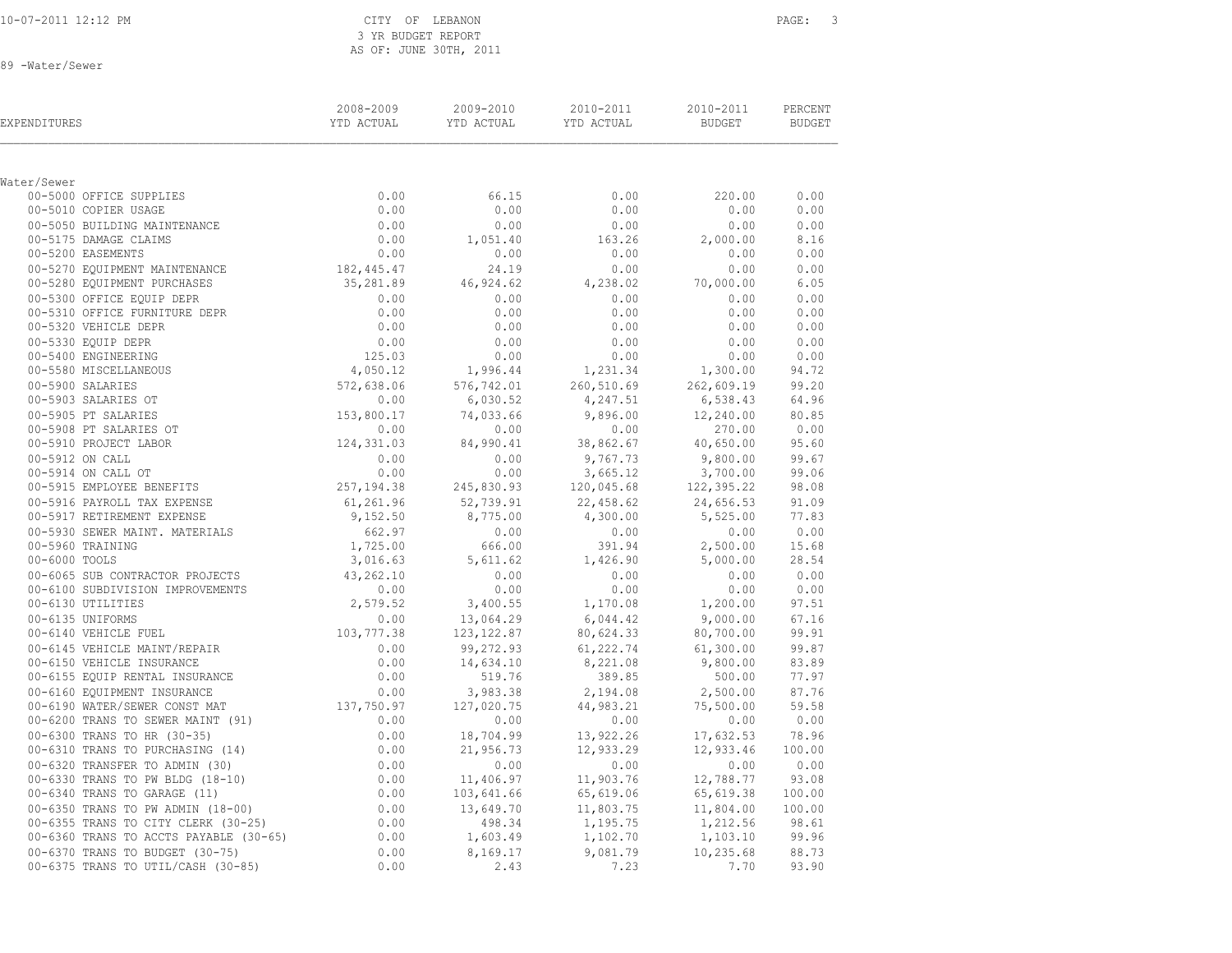CITY OF LEBANON PAGE: 3 3 YR BUDGET REPORT AS OF: JUNE 30TH, 2011

89 -Water/Sewer

| EXPENDITURES                                                                                                                                                                                                                                                               |                    | 2008-2009   2009-2010   2010-2011   2010-2011   PERCENT<br>TTD_ACTUAL   YTD_ACTUAL   YTD_ACTUAL   BUDGET   BUDGET                                                                                                                                                             |        |      |
|----------------------------------------------------------------------------------------------------------------------------------------------------------------------------------------------------------------------------------------------------------------------------|--------------------|-------------------------------------------------------------------------------------------------------------------------------------------------------------------------------------------------------------------------------------------------------------------------------|--------|------|
|                                                                                                                                                                                                                                                                            |                    |                                                                                                                                                                                                                                                                               |        |      |
| Water/Sewer<br>3r/Sewer<br>00-5000 OFFICE SUPPLIES<br>00-5010 COPIER USAGE<br>00-5050 BUILDING MAINTENANCE<br>00-5175 DAMAGE CLAIMS<br>00-5175 DAMAGE CLAIMS<br>00-5200 EASEMENTS<br>00-00                                                                                 |                    |                                                                                                                                                                                                                                                                               |        |      |
|                                                                                                                                                                                                                                                                            | 66.15              | 0.00                                                                                                                                                                                                                                                                          | 220.00 | 0.00 |
|                                                                                                                                                                                                                                                                            | 0.00               |                                                                                                                                                                                                                                                                               |        |      |
|                                                                                                                                                                                                                                                                            | $0.00$<br>1,051.40 |                                                                                                                                                                                                                                                                               |        |      |
|                                                                                                                                                                                                                                                                            |                    |                                                                                                                                                                                                                                                                               |        |      |
|                                                                                                                                                                                                                                                                            | 0.00               |                                                                                                                                                                                                                                                                               |        |      |
|                                                                                                                                                                                                                                                                            |                    | $\begin{array}{cccccc} 66.15 & 0.00 & 220.00 & 0.00 & 0.00 & 0.00 & 0.00 & 0.00 & 0.00 & 0.00 & 0.00 & 0.00 & 0.00 & 0.00 & 0.00 & 0.00 & 0.00 & 0.00 & 0.00 & 0.00 & 0.00 & 0.00 & 0.00 & 0.00 & 0.00 & 0.00 & 0.00 & 0.00 & 0.00 & 0.00 & 0.00 & 0.00 & 0.00 & 0.00 & 0.00$ |        |      |
|                                                                                                                                                                                                                                                                            |                    |                                                                                                                                                                                                                                                                               |        |      |
|                                                                                                                                                                                                                                                                            |                    |                                                                                                                                                                                                                                                                               |        |      |
|                                                                                                                                                                                                                                                                            |                    |                                                                                                                                                                                                                                                                               |        |      |
|                                                                                                                                                                                                                                                                            |                    |                                                                                                                                                                                                                                                                               |        |      |
|                                                                                                                                                                                                                                                                            |                    |                                                                                                                                                                                                                                                                               |        |      |
|                                                                                                                                                                                                                                                                            |                    |                                                                                                                                                                                                                                                                               |        |      |
|                                                                                                                                                                                                                                                                            |                    |                                                                                                                                                                                                                                                                               |        |      |
|                                                                                                                                                                                                                                                                            |                    |                                                                                                                                                                                                                                                                               |        |      |
|                                                                                                                                                                                                                                                                            |                    |                                                                                                                                                                                                                                                                               |        |      |
|                                                                                                                                                                                                                                                                            |                    |                                                                                                                                                                                                                                                                               |        |      |
|                                                                                                                                                                                                                                                                            |                    |                                                                                                                                                                                                                                                                               |        |      |
|                                                                                                                                                                                                                                                                            |                    |                                                                                                                                                                                                                                                                               |        |      |
|                                                                                                                                                                                                                                                                            |                    |                                                                                                                                                                                                                                                                               |        |      |
|                                                                                                                                                                                                                                                                            |                    |                                                                                                                                                                                                                                                                               |        |      |
|                                                                                                                                                                                                                                                                            |                    |                                                                                                                                                                                                                                                                               |        |      |
|                                                                                                                                                                                                                                                                            |                    |                                                                                                                                                                                                                                                                               |        |      |
|                                                                                                                                                                                                                                                                            |                    |                                                                                                                                                                                                                                                                               |        |      |
|                                                                                                                                                                                                                                                                            |                    |                                                                                                                                                                                                                                                                               |        |      |
|                                                                                                                                                                                                                                                                            |                    |                                                                                                                                                                                                                                                                               |        |      |
|                                                                                                                                                                                                                                                                            |                    |                                                                                                                                                                                                                                                                               |        |      |
|                                                                                                                                                                                                                                                                            |                    |                                                                                                                                                                                                                                                                               |        |      |
|                                                                                                                                                                                                                                                                            |                    |                                                                                                                                                                                                                                                                               |        |      |
|                                                                                                                                                                                                                                                                            |                    |                                                                                                                                                                                                                                                                               |        |      |
|                                                                                                                                                                                                                                                                            |                    |                                                                                                                                                                                                                                                                               |        |      |
|                                                                                                                                                                                                                                                                            |                    |                                                                                                                                                                                                                                                                               |        |      |
|                                                                                                                                                                                                                                                                            |                    |                                                                                                                                                                                                                                                                               |        |      |
|                                                                                                                                                                                                                                                                            |                    |                                                                                                                                                                                                                                                                               |        |      |
|                                                                                                                                                                                                                                                                            |                    |                                                                                                                                                                                                                                                                               |        |      |
|                                                                                                                                                                                                                                                                            |                    |                                                                                                                                                                                                                                                                               |        |      |
|                                                                                                                                                                                                                                                                            |                    |                                                                                                                                                                                                                                                                               |        |      |
|                                                                                                                                                                                                                                                                            |                    |                                                                                                                                                                                                                                                                               |        |      |
|                                                                                                                                                                                                                                                                            |                    |                                                                                                                                                                                                                                                                               |        |      |
| $\begin{smallmatrix} 0.06 & 0.07 & 0.08 & 0.000 & 0.000 & 0.000 & 0.000 & 0.000 & 0.000 & 0.000 & 0.000 & 0.000 & 0.000 & 0.000 & 0.000 & 0.000 & 0.000 & 0.000 & 0.000 & 0.000 & 0.000 & 0.000 & 0.000 & 0.000 & 0.000 & 0.000 & 0.000 & 0.000 & 0.000 & 0.000 & 0.000 &$ |                    |                                                                                                                                                                                                                                                                               |        |      |
|                                                                                                                                                                                                                                                                            |                    |                                                                                                                                                                                                                                                                               |        |      |
|                                                                                                                                                                                                                                                                            |                    |                                                                                                                                                                                                                                                                               |        |      |
|                                                                                                                                                                                                                                                                            |                    |                                                                                                                                                                                                                                                                               |        |      |
|                                                                                                                                                                                                                                                                            |                    |                                                                                                                                                                                                                                                                               |        |      |
|                                                                                                                                                                                                                                                                            |                    |                                                                                                                                                                                                                                                                               |        |      |
|                                                                                                                                                                                                                                                                            |                    |                                                                                                                                                                                                                                                                               |        |      |
|                                                                                                                                                                                                                                                                            |                    |                                                                                                                                                                                                                                                                               |        |      |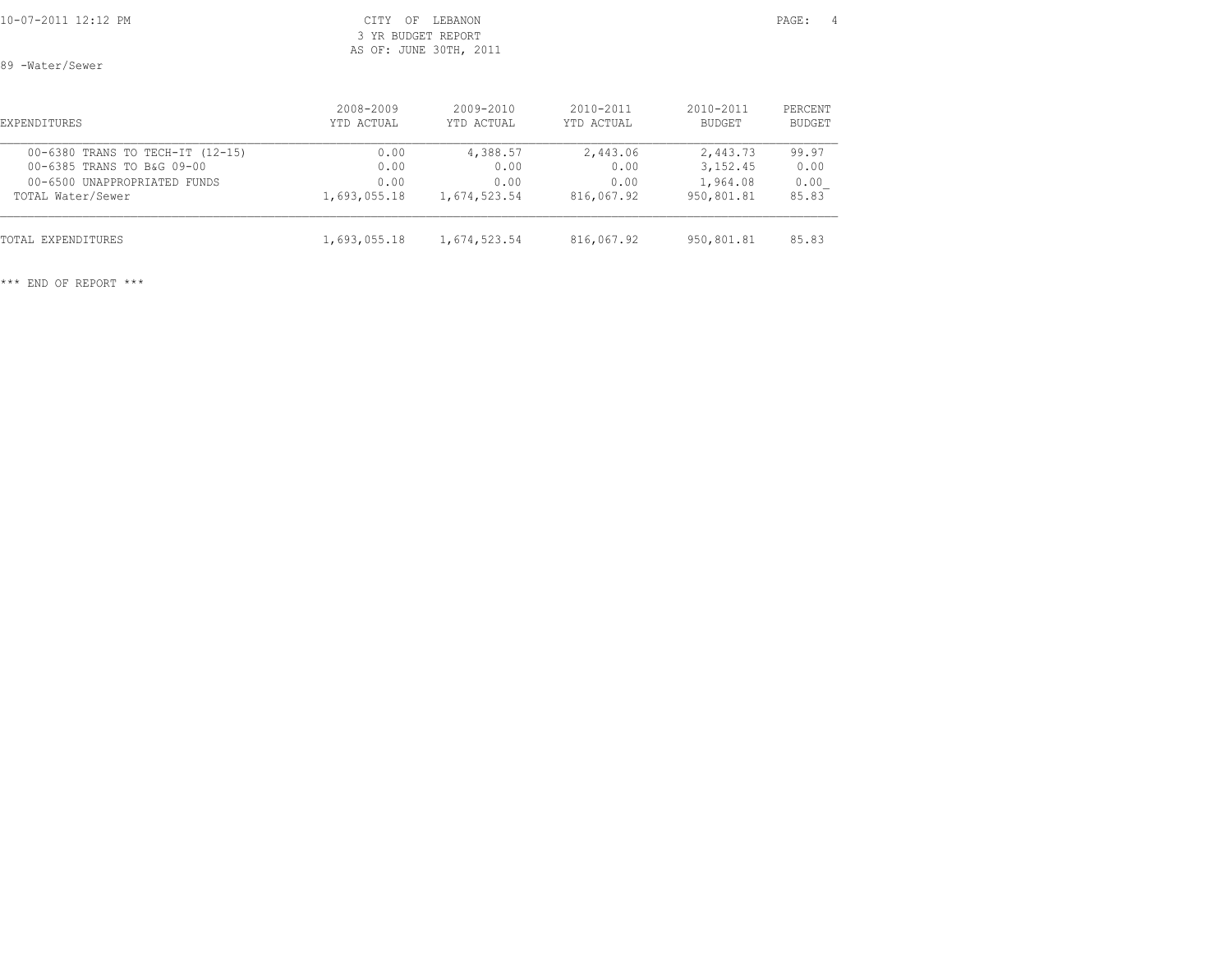### CITY OF LEBANON PAGE: 4 3 YR BUDGET REPORT AS OF: JUNE 30TH, 2011

89 -Water/Sewer

| <b>EXPENDITURES</b>              | 2008-2009    | $2009 - 2010$ | $2010 - 2011$ | $2010 - 2011$ | PERCENT |
|----------------------------------|--------------|---------------|---------------|---------------|---------|
|                                  | YTD ACTUAL   | YTD ACTUAL    | YTD ACTUAL    | BUDGET        | BUDGET  |
| 00-6380 TRANS TO TECH-IT (12-15) | 0.00         | 4,388.57      | 2,443.06      | 2,443.73      | 99.97   |
| 00-6385 TRANS TO B&G 09-00       | 0.00         | 0.00          | 0.00          | 3, 152.45     | 0.00    |
| 00-6500 UNAPPROPRIATED FUNDS     | 0.00         | 0.00          | 0.00          | 1,964.08      | 0.00    |
| TOTAL Water/Sewer                | 1,693,055.18 | 1,674,523.54  | 816,067.92    | 950,801.81    | 85.83   |
| TOTAL EXPENDITURES               | 1,693,055.18 | 1,674,523.54  | 816,067.92    | 950,801.81    | 85.83   |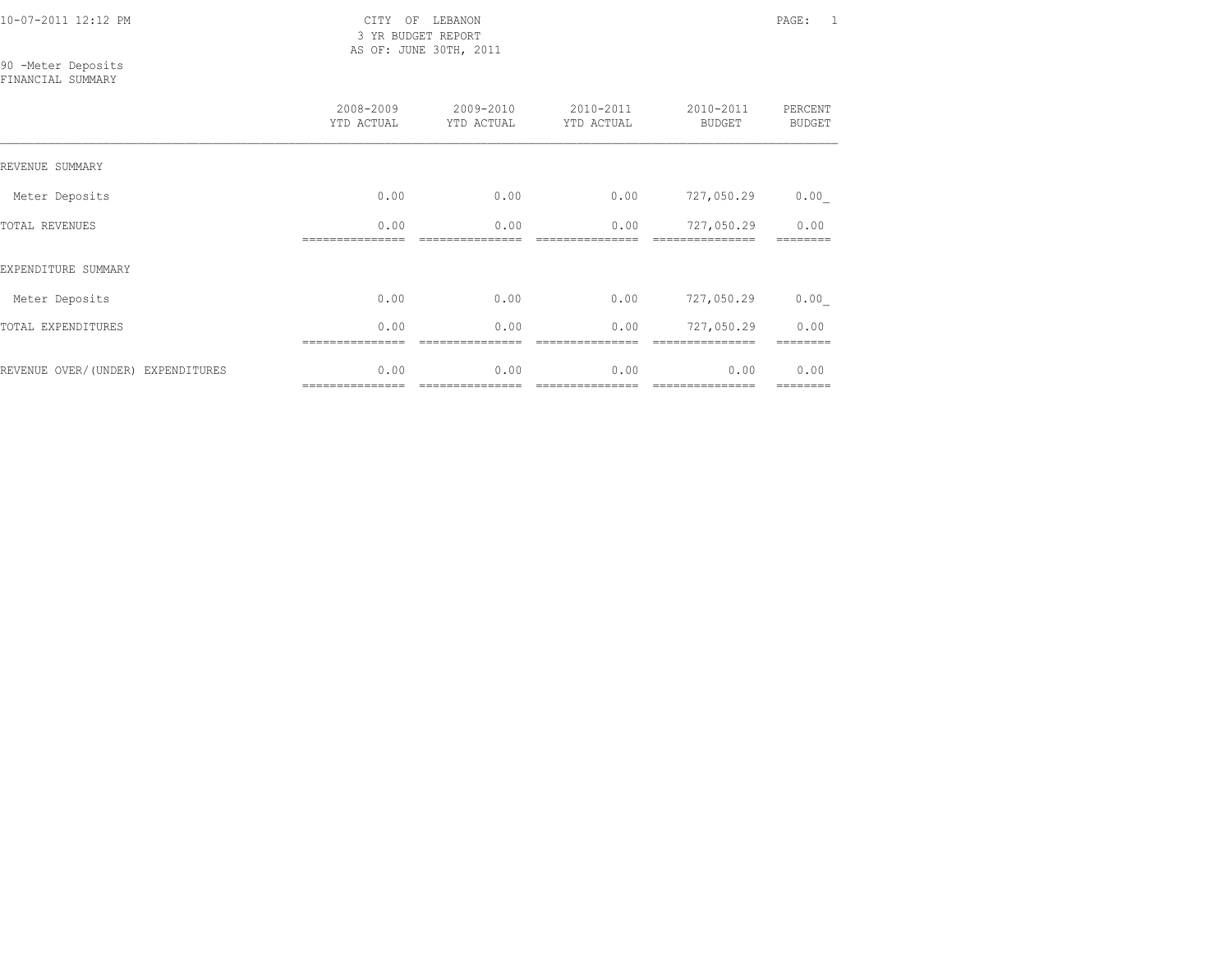3 YR BUDGET REPORT AS OF: JUNE 30TH, 2011

90 -Meter Deposits FINANCIAL SUMMARY

|                                   | 2008-2009<br>YTD ACTUAL | 2009-2010<br>YTD ACTUAL | 2010-2011<br>YTD ACTUAL | 2010-2011<br><b>BUDGET</b> | PERCENT<br><b>BUDGET</b> |
|-----------------------------------|-------------------------|-------------------------|-------------------------|----------------------------|--------------------------|
| REVENUE SUMMARY                   |                         |                         |                         |                            |                          |
| Meter Deposits                    | 0.00                    | 0.00                    | 0.00                    | 727,050.29                 | 0.00                     |
| <b>TOTAL REVENUES</b>             | 0.00                    | 0.00                    | 0.00                    | 727,050.29                 | 0.00                     |
| EXPENDITURE SUMMARY               |                         |                         |                         |                            |                          |
| Meter Deposits                    | 0.00                    | 0.00                    | 0.00                    | 727,050.29                 | 0.00                     |
| TOTAL EXPENDITURES                | 0.00                    | 0.00                    | 0.00                    | 727,050.29                 | 0.00                     |
| REVENUE OVER/(UNDER) EXPENDITURES | 0.00                    | 0.00                    | 0.00                    | 0.00                       | 0.00                     |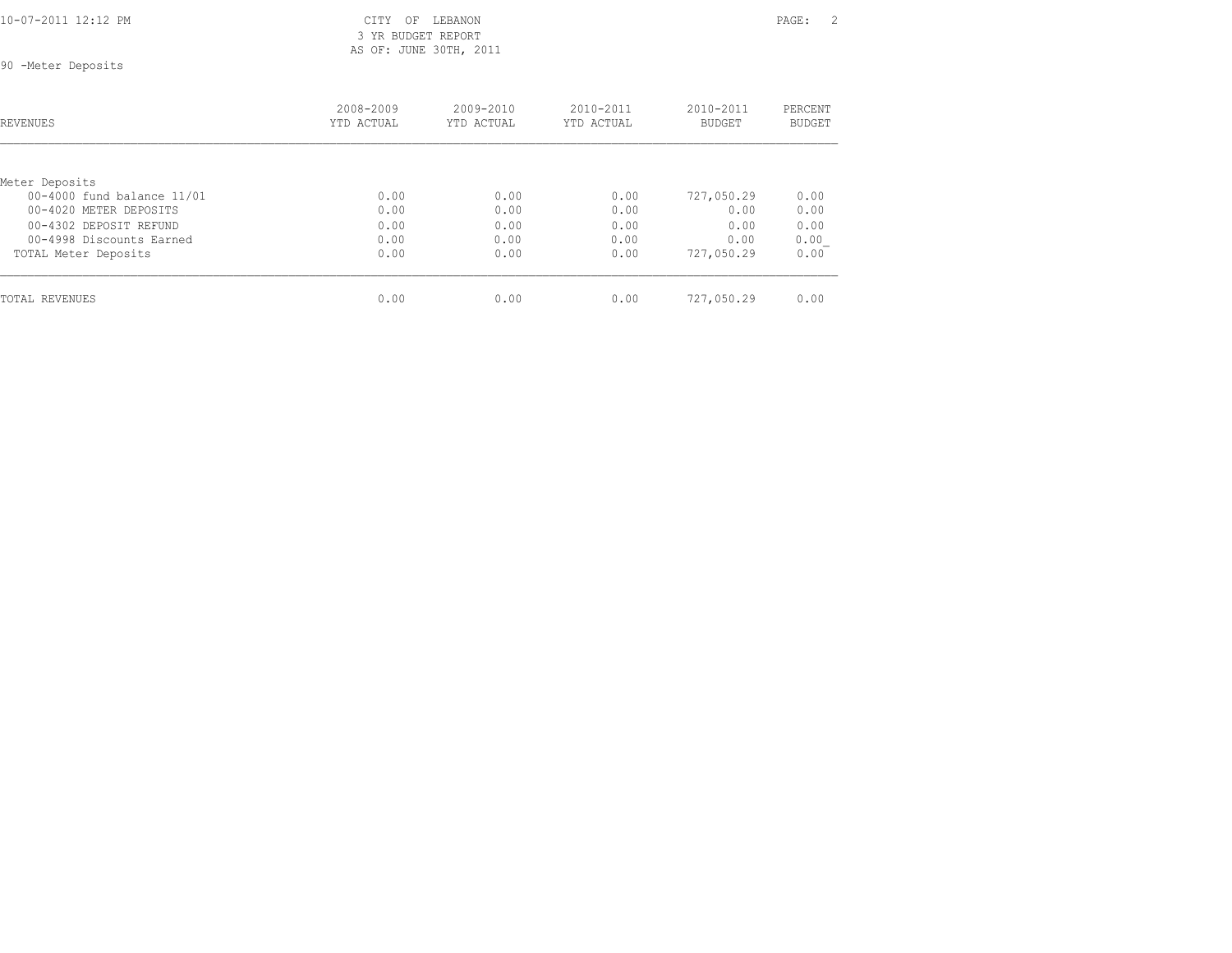10-07-2011 12:12 PM CITY OF LEBANON PAGE: 2 3 YR BUDGET REPORT AS OF: JUNE 30TH, 2011

90 -Meter Deposits

| <b>REVENUES</b>            | 2008-2009<br>YTD ACTUAL | $2009 - 2010$<br>YTD ACTUAL | $2010 - 2011$<br>YTD ACTUAL | 2010-2011<br><b>BUDGET</b> | PERCENT<br><b>BUDGET</b> |
|----------------------------|-------------------------|-----------------------------|-----------------------------|----------------------------|--------------------------|
|                            |                         |                             |                             |                            |                          |
| Meter Deposits             |                         |                             |                             |                            |                          |
| 00-4000 fund balance 11/01 | 0.00                    | 0.00                        | 0.00                        | 727,050.29                 | 0.00                     |
| 00-4020 METER DEPOSITS     | 0.00                    | 0.00                        | 0.00                        | 0.00                       | 0.00                     |
| 00-4302 DEPOSIT REFUND     | 0.00                    | 0.00                        | 0.00                        | 0.00                       | 0.00                     |
| 00-4998 Discounts Earned   | 0.00                    | 0.00                        | 0.00                        | 0.00                       | 0.00                     |
| TOTAL Meter Deposits       | 0.00                    | 0.00                        | 0.00                        | 727,050.29                 | 0.00                     |
| TOTAL REVENUES             | 0.00                    | 0.00                        | 0.00                        | 727,050.29                 | 0.00                     |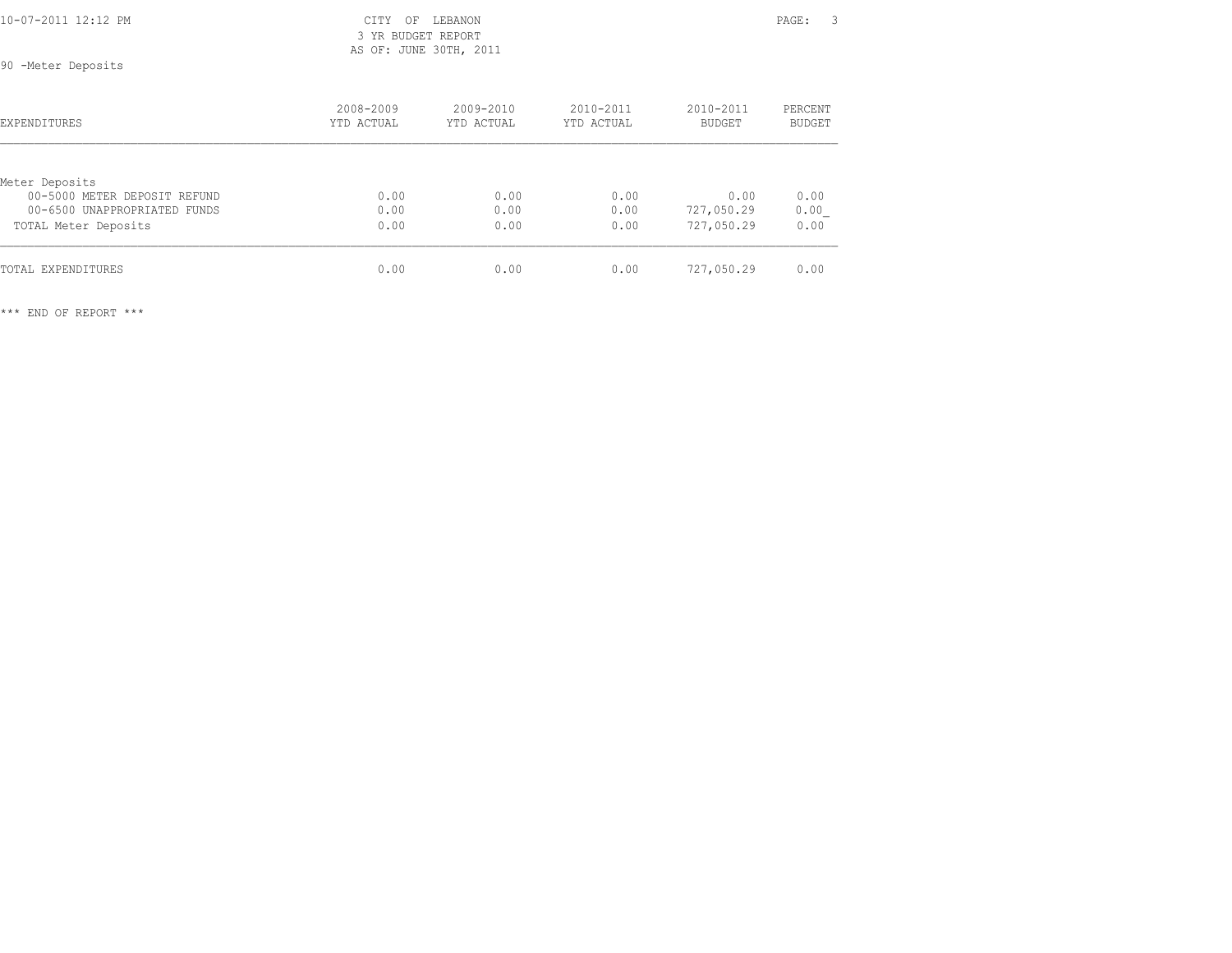| 10-07-2011 12:12 PM | CITY OF LEBANON    | PAGE: | $\sim$ |
|---------------------|--------------------|-------|--------|
|                     | 3 YR RUDGET REPORT |       |        |

 3 YR BUDGET REPORT AS OF: JUNE 30TH, 2011

90 -Meter Deposits

| EXPENDITURES                 | 2008-2009<br>YTD ACTUAL | $2009 - 2010$<br>YTD ACTUAL | 2010-2011<br>YTD ACTUAL | 2010-2011<br>BUDGET | PERCENT<br><b>BUDGET</b> |
|------------------------------|-------------------------|-----------------------------|-------------------------|---------------------|--------------------------|
|                              |                         |                             |                         |                     |                          |
| Meter Deposits               |                         |                             |                         |                     |                          |
| 00-5000 METER DEPOSIT REFUND | 0.00                    | 0.00                        | 0.00                    | 0.00                | 0.00                     |
| 00-6500 UNAPPROPRIATED FUNDS | 0.00                    | 0.00                        | 0.00                    | 727,050.29          | 0.00                     |
| TOTAL Meter Deposits         | 0.00                    | 0.00                        | 0.00                    | 727,050.29          | 0.00                     |
| TOTAL EXPENDITURES           | 0.00                    | 0.00                        | 0.00                    | 727,050.29          | 0.00                     |
|                              |                         |                             |                         |                     |                          |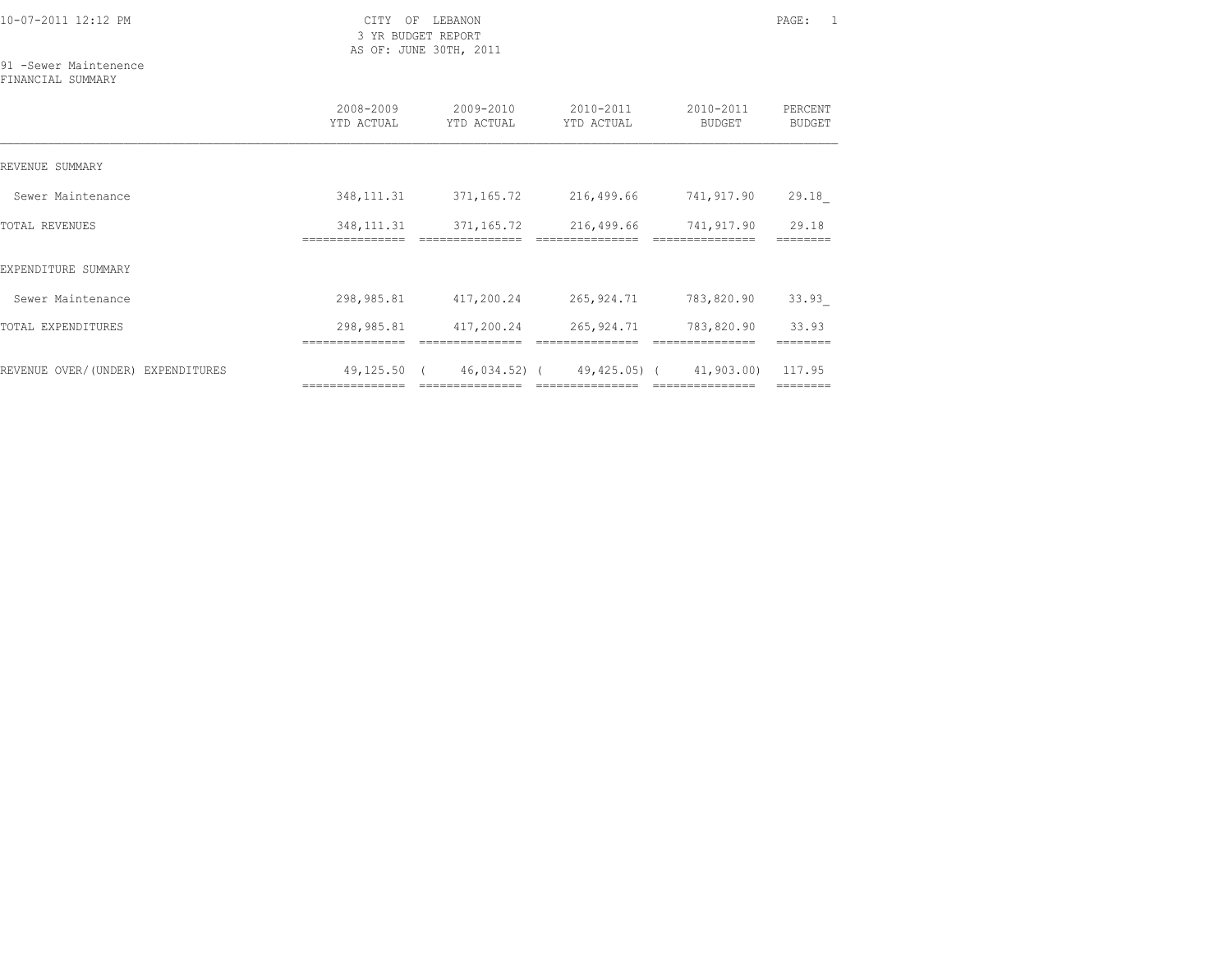3 YR BUDGET REPORT AS OF: JUNE 30TH, 2011

91 -Sewer Maintenence FINANCIAL SUMMARY

|                                   | 2008-2009<br>YTD ACTUAL | $2009 - 2010$<br>YTD ACTUAL | $2010 - 2011$<br>YTD ACTUAL        | 2010-2011<br>BUDGET | PERCENT<br><b>BUDGET</b> |
|-----------------------------------|-------------------------|-----------------------------|------------------------------------|---------------------|--------------------------|
| REVENUE SUMMARY                   |                         |                             |                                    |                     |                          |
| Sewer Maintenance                 | 348, 111.31             | 371,165.72                  | 216,499.66                         | 741,917.90          | 29.18                    |
| TOTAL REVENUES                    | 348, 111.31             | 371,165.72                  | 216,499.66                         | 741,917.90          | 29.18                    |
| EXPENDITURE SUMMARY               |                         |                             |                                    |                     |                          |
| Sewer Maintenance                 | 298,985.81              | 417,200.24                  | 265,924.71                         | 783,820.90          | 33.93                    |
| TOTAL EXPENDITURES                | 298,985.81              | 417,200.24                  | 265,924.71                         | 783,820.90          | 33.93                    |
| REVENUE OVER/(UNDER) EXPENDITURES | 49,125.50 (             |                             | 46,034.52) (49,425.05) (41,903.00) |                     | 117.95                   |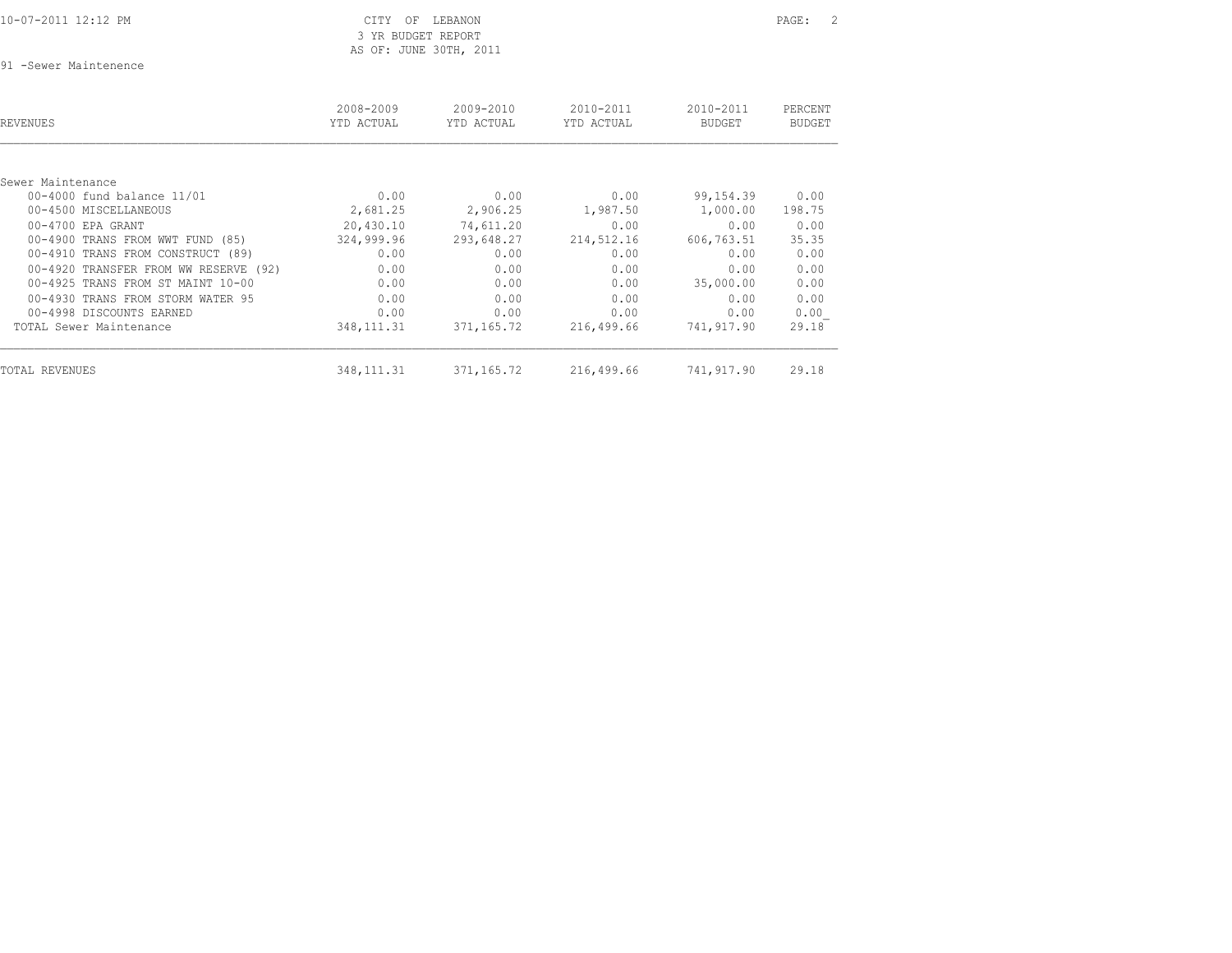| 10-07-2011 12:12 PM |  |
|---------------------|--|
|                     |  |

## CITY OF LEBANON **PAGE:** 2 3 YR BUDGET REPORT AS OF: JUNE 30TH, 2011

91 -Sewer Maintenence

| REVENUES                              | 2008-2009<br>YTD ACTUAL | 2009-2010<br>YTD ACTUAL | 2010-2011<br>YTD ACTUAL | 2010-2011<br><b>BUDGET</b> | PERCENT<br><b>BUDGET</b> |
|---------------------------------------|-------------------------|-------------------------|-------------------------|----------------------------|--------------------------|
|                                       |                         |                         |                         |                            |                          |
| Sewer Maintenance                     |                         |                         |                         |                            |                          |
| 00-4000 fund balance 11/01            | 0.00                    | 0.00                    | 0.00                    | 99,154.39                  | 0.00                     |
| 00-4500 MISCELLANEOUS                 | 2,681.25                | 2,906.25                | 1,987.50                | 1,000.00                   | 198.75                   |
| $00-4700$ EPA GRANT                   | 20,430.10               | 74,611.20               | 0.00                    | 0.00                       | 0.00                     |
| 00-4900 TRANS FROM WWT FUND (85)      | 324,999.96              | 293,648.27              | 214,512.16              | 606,763.51                 | 35.35                    |
| 00-4910 TRANS FROM CONSTRUCT (89)     | 0.00                    | 0.00                    | 0.00                    | 0.00                       | 0.00                     |
| 00-4920 TRANSFER FROM WW RESERVE (92) | 0.00                    | 0.00                    | 0.00                    | 0.00                       | 0.00                     |
| 00-4925 TRANS FROM ST MAINT 10-00     | 0.00                    | 0.00                    | 0.00                    | 35,000.00                  | 0.00                     |
| 00-4930 TRANS FROM STORM WATER 95     | 0.00                    | 0.00                    | 0.00                    | 0.00                       | 0.00                     |
| 00-4998 DISCOUNTS EARNED              | 0.00                    | 0.00                    | 0.00                    | 0.00                       | 0.00                     |
| TOTAL Sewer Maintenance               | 348, 111.31             | 371,165.72              | 216,499.66              | 741,917.90                 | 29.18                    |
| TOTAL REVENUES                        | 348, 111.31             | 371,165.72              | 216,499.66              | 741,917.90                 | 29.18                    |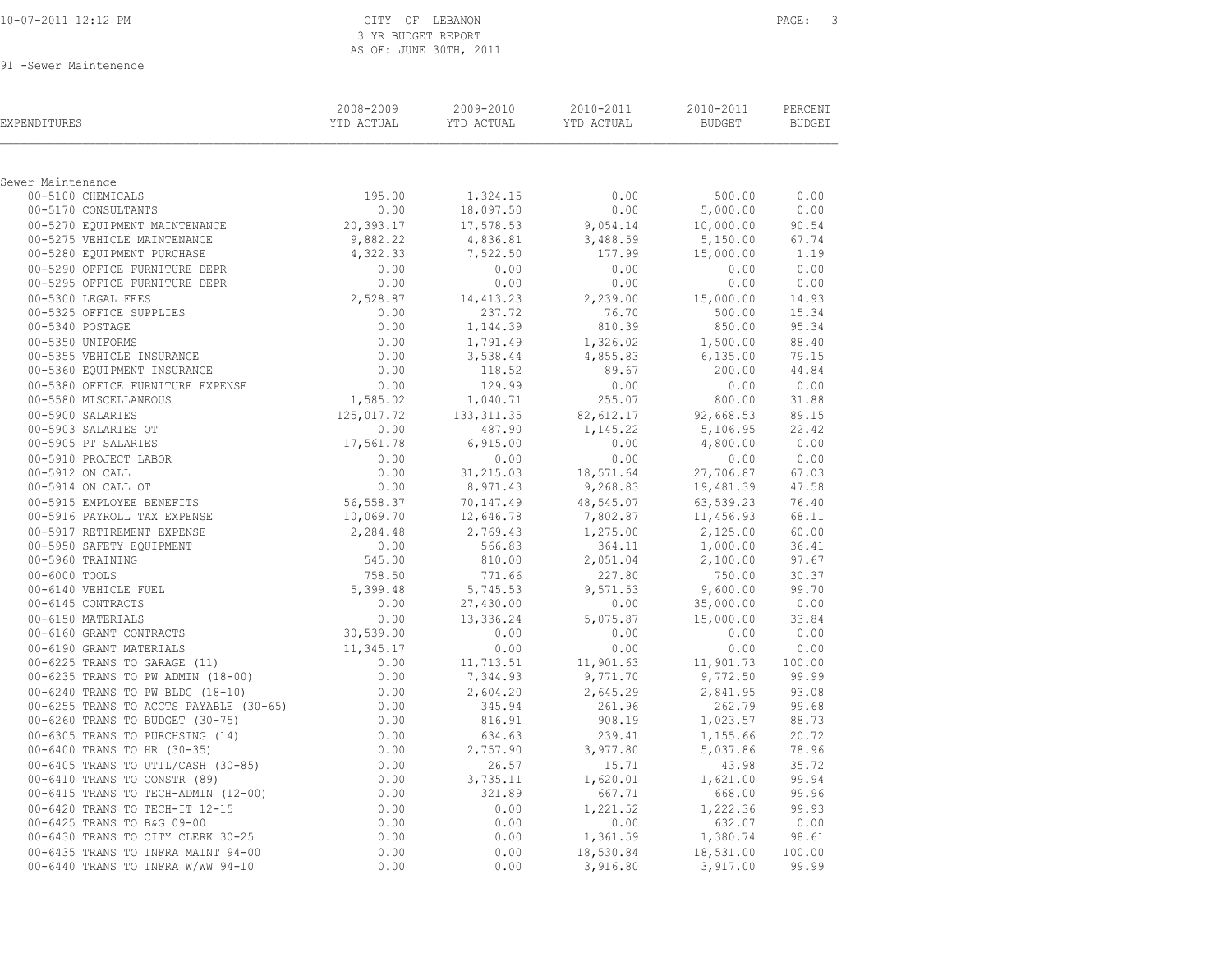| 10-07-2011 12:12 PM |  |
|---------------------|--|
|---------------------|--|

### CITY OF LEBANON **PAGE:** 3 3 YR BUDGET REPORT AS OF: JUNE 30TH, 2011

91 -Sewer Maintenence

| EXPENDITURES                                                                                                                                                                                                                                     | 2008-2009<br>YTD ACTUAL                                                                                                                                 | 2009-2010          | 2010-2011<br><b>THE STATE OF STATE STATE</b> | 2010-2011<br><b>BUDGET</b>       | PERCENT<br><b>BUDGET</b> |
|--------------------------------------------------------------------------------------------------------------------------------------------------------------------------------------------------------------------------------------------------|---------------------------------------------------------------------------------------------------------------------------------------------------------|--------------------|----------------------------------------------|----------------------------------|--------------------------|
| Sewer Maintenance                                                                                                                                                                                                                                |                                                                                                                                                         |                    |                                              |                                  |                          |
| 00-5100 CHEMICALS                                                                                                                                                                                                                                | 195.00                                                                                                                                                  | 1,324.15           | 0.00                                         | 500.00                           | 0.00                     |
| 00-5170 CONSULTANTS                                                                                                                                                                                                                              | 0.00                                                                                                                                                    | 18,097.50          | 0.00                                         | 5,000.00                         | 0.00                     |
|                                                                                                                                                                                                                                                  |                                                                                                                                                         | 17,578.53          | 9,054.14                                     | 10,000.00 90.54                  |                          |
|                                                                                                                                                                                                                                                  |                                                                                                                                                         | 4,836.81           | 3,488.59                                     | 5,150.00 67.74                   |                          |
|                                                                                                                                                                                                                                                  |                                                                                                                                                         | 7,522.50           | 177.99                                       | 15,000.00                        | 1.19                     |
|                                                                                                                                                                                                                                                  |                                                                                                                                                         | 0.00               | 0.00                                         | 0.00 0.00                        |                          |
|                                                                                                                                                                                                                                                  |                                                                                                                                                         | 0.00               | 0.00                                         | 0.00                             | 0.00                     |
|                                                                                                                                                                                                                                                  |                                                                                                                                                         | 14, 413.23         | 2,239.00                                     | 15,000.00                        | 14.93                    |
|                                                                                                                                                                                                                                                  |                                                                                                                                                         | 237.72             | 76.70                                        | 500.00                           | 15.34                    |
|                                                                                                                                                                                                                                                  |                                                                                                                                                         | 1,144.39           | 810.39                                       | 850.00                           | 95.34                    |
|                                                                                                                                                                                                                                                  |                                                                                                                                                         | 1,791.49           | 1,326.02                                     | 1,500.00                         | 88.40                    |
|                                                                                                                                                                                                                                                  |                                                                                                                                                         | 3,538.44           | 4,855.83                                     | 6,135.00                         | 79.15                    |
|                                                                                                                                                                                                                                                  |                                                                                                                                                         | 118.52             | 89.67                                        | 200.00                           | 44.84                    |
|                                                                                                                                                                                                                                                  |                                                                                                                                                         | 129.99             | 0.00                                         |                                  | 0.00 0.00                |
|                                                                                                                                                                                                                                                  |                                                                                                                                                         | 1,040.71           | 255.07                                       | 800.00                           | 31.88                    |
|                                                                                                                                                                                                                                                  | 125,017.72                                                                                                                                              | 133, 311.35        |                                              | 82, 612.17 92, 668.53            | 89.15                    |
|                                                                                                                                                                                                                                                  |                                                                                                                                                         | 487.90             | 1,145.22                                     | 5,106.95 22.42                   |                          |
|                                                                                                                                                                                                                                                  |                                                                                                                                                         | 6,915.00           | 0.00                                         | 4,800.00                         | 0.00                     |
| 00-5380 OFFICE FURNITURE EXPENSE<br>00-5580 MISCELLANEOUS<br>00-5900 SALARIES<br>00-5900 SALARIES<br>00-5905 PT SALARIES<br>00-5905 PT SALARIES<br>00-5915 PROJECT LABOR<br>00-5914 ON CALL OT<br>00-5914 ON CALL OT<br>00-5915 EMPLOYEE BENEFIT |                                                                                                                                                         | 0.00               | 0.00                                         | 0.00                             | 0.00                     |
|                                                                                                                                                                                                                                                  |                                                                                                                                                         | 31,215.03          | 18,571.64                                    | 27,706.87                        | 67.03                    |
|                                                                                                                                                                                                                                                  |                                                                                                                                                         | 8,971.43           | 9,268.83                                     | 19,481.39                        | 47.58                    |
|                                                                                                                                                                                                                                                  |                                                                                                                                                         | 70,147.49          | 48,545.07                                    | 63,539.23                        | 76.40                    |
|                                                                                                                                                                                                                                                  |                                                                                                                                                         | 12,646.78          | 7,802.87                                     | 11,456.93                        | 68.11                    |
|                                                                                                                                                                                                                                                  |                                                                                                                                                         |                    | 2,769.43 1,275.00                            | 2,125.00                         | 60.00                    |
|                                                                                                                                                                                                                                                  |                                                                                                                                                         | 566.83             | 364.11                                       | 1,000.00                         | 36.41                    |
|                                                                                                                                                                                                                                                  |                                                                                                                                                         | 810.00             | 2,051.04                                     | 2,100.00                         | 97.67                    |
|                                                                                                                                                                                                                                                  |                                                                                                                                                         | 771.66             | 227.80                                       | 750.00                           | 30.37                    |
|                                                                                                                                                                                                                                                  |                                                                                                                                                         | 5,745.53           | 9,571.53                                     | 9,600.00 99.70                   |                          |
|                                                                                                                                                                                                                                                  |                                                                                                                                                         | 27,430.00          | 0.00                                         | 35,000.00 0.00                   |                          |
|                                                                                                                                                                                                                                                  |                                                                                                                                                         | 13,336.24          | 5,075.87                                     | $15,000.00$ $33.84$<br>0.00 0.00 |                          |
|                                                                                                                                                                                                                                                  |                                                                                                                                                         | 0.00               | 0.00                                         |                                  |                          |
| 00–5916 PAYROLL TAX EXPENSE $0.069.70$<br>00–5917 RETIREMENT EXPENSE $2,284.48$<br>00–5950 SAFETY EQUIPMENT $0.00$<br>00–5960 TRAINING $545.00$<br>00–6000 TOOLS 758.50<br>00–6140 VEHICLE FUEL 5,399.48<br>00–6145 CONTRACTS 0.00<br>00–61      |                                                                                                                                                         | 0.00               | 0.00                                         | 0.00                             | 0.00                     |
|                                                                                                                                                                                                                                                  |                                                                                                                                                         | 11,713.51          | 11,901.63                                    | 11,901.73 100.00                 |                          |
| 00-6235 TRANS TO PW ADMIN (18-00)                                                                                                                                                                                                                |                                                                                                                                                         | 7,344.93           | 9,771.70                                     | 9,772.50 99.99                   |                          |
| 00-6240 TRANS TO PW BLDG (18-10)                                                                                                                                                                                                                 |                                                                                                                                                         | 2,604.20<br>345.94 | 2,645.29<br>261.96                           | 2,841.95 93.08<br>262.79         | 99.68                    |
| 00-6255 TRANS TO ACCTS PAYABLE (30-65)<br>00-6260 TRANS TO BUDGET (30-75)                                                                                                                                                                        |                                                                                                                                                         | 816.91             | 908.19                                       | 1,023.57                         | 88.73                    |
| 00-6305 TRANS TO PURCHSING (14)                                                                                                                                                                                                                  |                                                                                                                                                         | 634.63             | 239.41                                       | 1,155.66                         | 20.72                    |
| 00-6400 TRANS TO HR (30-35)                                                                                                                                                                                                                      |                                                                                                                                                         | 2,757.90           |                                              | 5,037.86                         | 78.96                    |
| 00-6405 TRANS TO UTIL/CASH (30-85)                                                                                                                                                                                                               |                                                                                                                                                         | 26.57              | 3,977.80<br>15.71                            | 43.98                            | 35.72                    |
| 00-6410 TRANS TO CONSTR (89)                                                                                                                                                                                                                     | $11,345.17$<br>$0.00$<br>$0.00$<br>$0.00$<br>$0.00$<br>$0.00$<br>$0.00$<br>$0.00$<br>$0.00$<br>$0.00$<br>$0.00$<br>$0.00$<br>$0.00$<br>$0.00$<br>$0.00$ | 3,735.11           | 1,620.01                                     | 1,621.00                         | 99.94                    |
| 00-6415 TRANS TO TECH-ADMIN (12-00)                                                                                                                                                                                                              |                                                                                                                                                         | 321.89             | 667.71                                       | 668.00 99.96                     |                          |
| 00-6420 TRANS TO TECH-IT 12-15                                                                                                                                                                                                                   |                                                                                                                                                         | 0.00               | 1,221.52                                     |                                  |                          |
|                                                                                                                                                                                                                                                  |                                                                                                                                                         | 0.00               | 0.00                                         | 1,222.36 99.93<br>632.07 0.00    |                          |
| 00-6425 TRANS TO B&G 09-00<br>00-6425 TRANS TO B&G 09-00<br>00-6430 TRANS TO CITY CLERK 30-25                                                                                                                                                    |                                                                                                                                                         | 0.00               | 1,361.59                                     | 1,380.74 98.61                   |                          |
|                                                                                                                                                                                                                                                  | 0.00                                                                                                                                                    | 0.00               | 18,530.84                                    | 18,531.00                        | 100.00                   |
| 00-6430 TRANS 10 0111 022.<br>00-6435 TRANS TO INFRA MAINT 94-00<br>-- ------ W/WW 94-10<br>00-6440 TRANS TO INFRA W/WW 94-10                                                                                                                    | 0.00                                                                                                                                                    | 0.00               | 3,916.80                                     | 3,917.00                         | 99.99                    |
|                                                                                                                                                                                                                                                  |                                                                                                                                                         |                    |                                              |                                  |                          |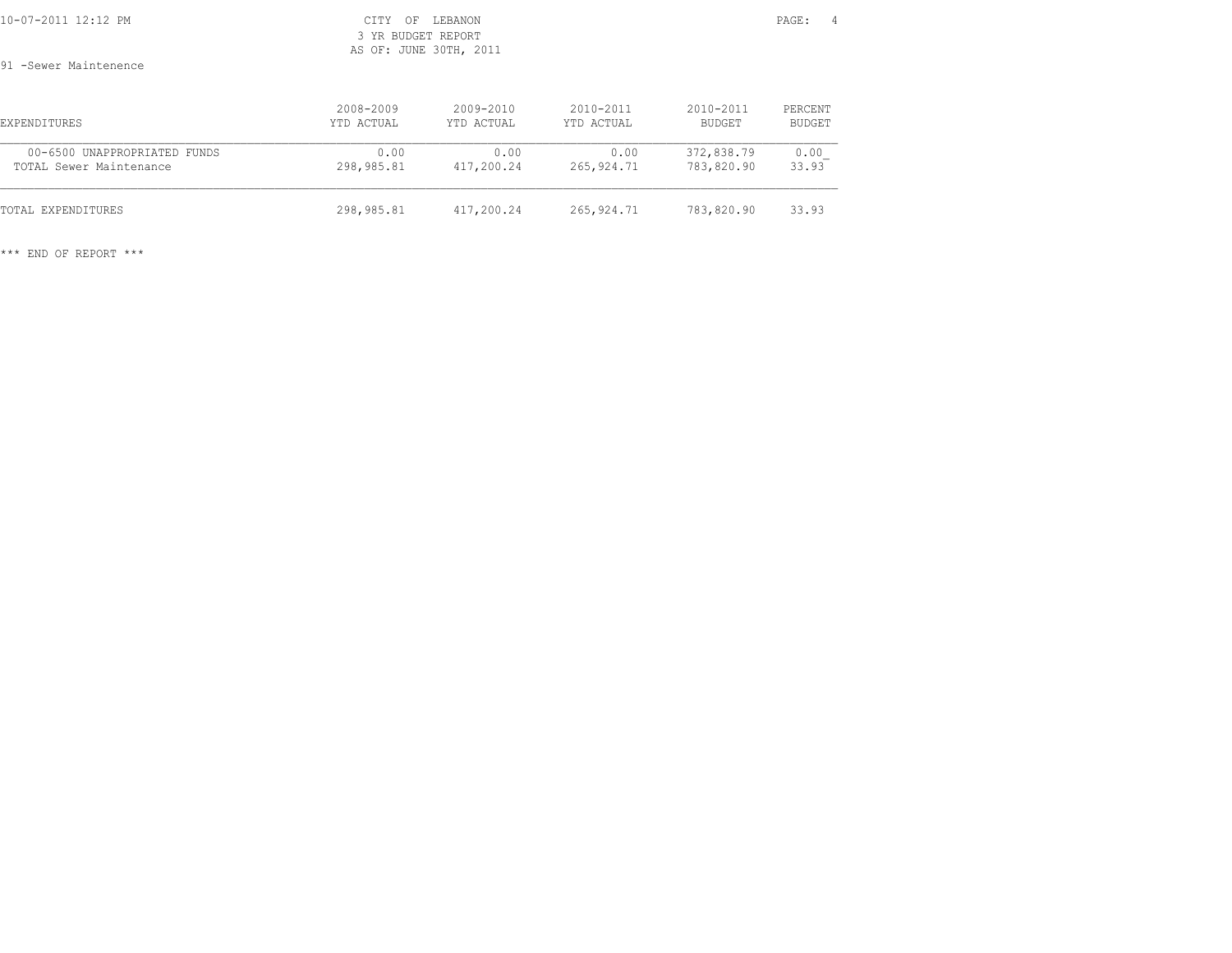| 10-07-2011 12:12 PM                                     | <b>CITY</b><br>ΟF<br>3 YR BUDGET REPORT | LEBANON<br>AS OF: JUNE 30TH, 2011 |                             |                          | PAGE:<br>$\sim$ 4 |  |
|---------------------------------------------------------|-----------------------------------------|-----------------------------------|-----------------------------|--------------------------|-------------------|--|
| 91 -Sewer Maintenence                                   |                                         |                                   |                             |                          |                   |  |
| EXPENDITURES                                            | 2008-2009<br>YTD ACTUAL                 | $2009 - 2010$<br>YTD ACTUAL       | $2010 - 2011$<br>YTD ACTUAL | $2010 - 2011$<br>BUDGET  | PERCENT<br>BUDGET |  |
| 00-6500 UNAPPROPRIATED FUNDS<br>TOTAL Sewer Maintenance | 0.00<br>298,985.81                      | 0.00<br>417,200.24                | 0.00<br>265,924.71          | 372,838.79<br>783,820.90 | 0.00<br>33.93     |  |
| TOTAL EXPENDITURES                                      | 298,985.81                              | 417,200.24                        | 265,924.71                  | 783,820.90               | 33.93             |  |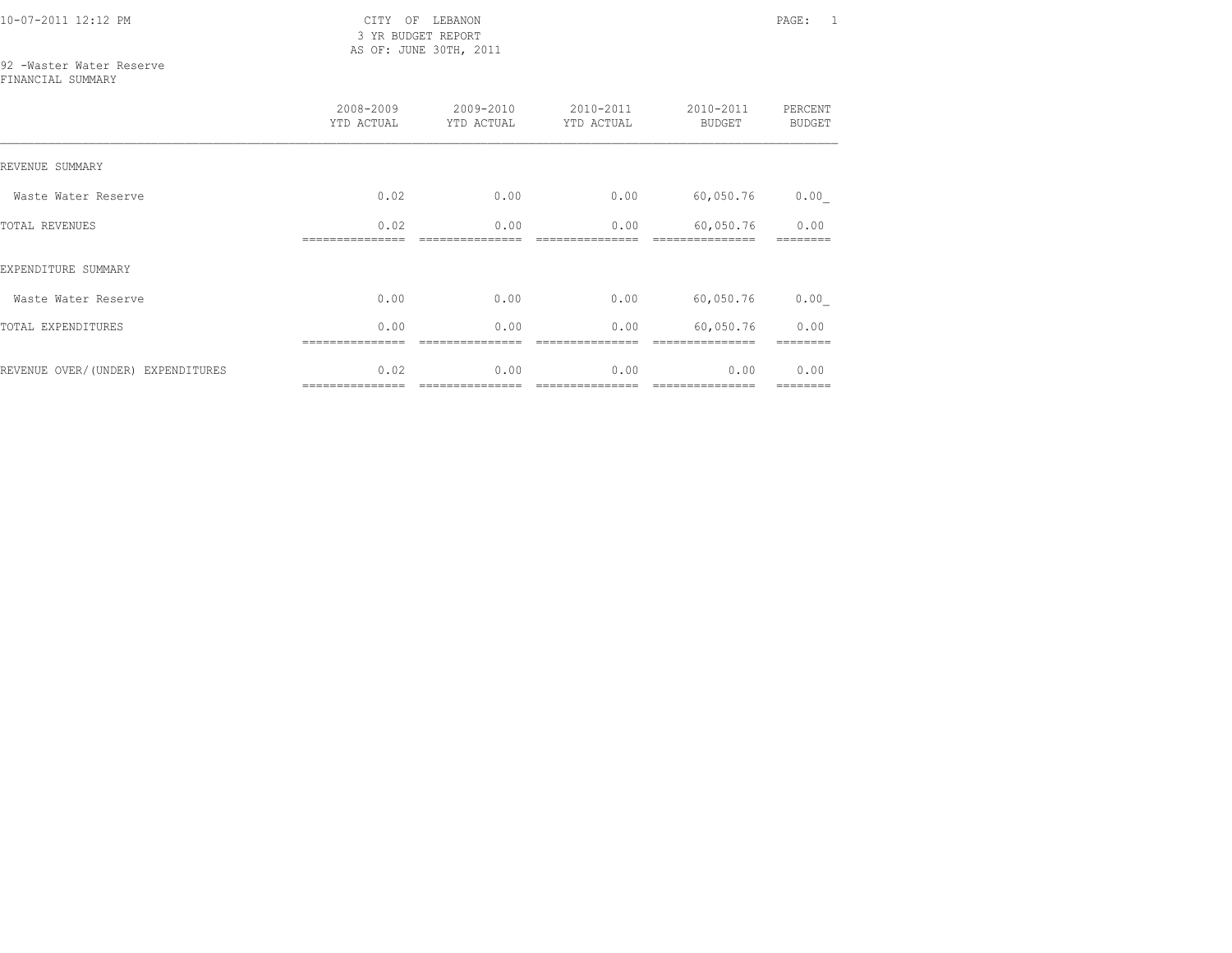10-07-2011 12:12 PM CITY OF LEBANON PAGE: 1 3 YR BUDGET REPORT AS OF: JUNE 30TH, 2011

## 92 -Waster Water Reserve

FINANCIAL SUMMARY

|                                   | 2008-2009<br>YTD ACTUAL | 2009-2010<br>YTD ACTUAL | 2010-2011<br>YTD ACTUAL | 2010-2011<br><b>BUDGET</b> | PERCENT<br><b>BUDGET</b> |
|-----------------------------------|-------------------------|-------------------------|-------------------------|----------------------------|--------------------------|
| REVENUE SUMMARY                   |                         |                         |                         |                            |                          |
| Waste Water Reserve               | 0.02                    | 0.00                    | 0.00                    | 60,050.76                  | 0.00                     |
| <b>TOTAL REVENUES</b>             | 0.02                    | 0.00                    | 0.00                    | 60,050.76                  | 0.00                     |
| EXPENDITURE SUMMARY               |                         |                         |                         |                            |                          |
| Waste Water Reserve               | 0.00                    | 0.00                    | 0.00                    | 60,050.76                  | 0.00                     |
| TOTAL EXPENDITURES                | 0.00                    | 0.00                    | 0.00                    | 60,050.76                  | 0.00                     |
| REVENUE OVER/(UNDER) EXPENDITURES | 0.02                    | 0.00                    | 0.00                    | 0.00                       | 0.00<br>========         |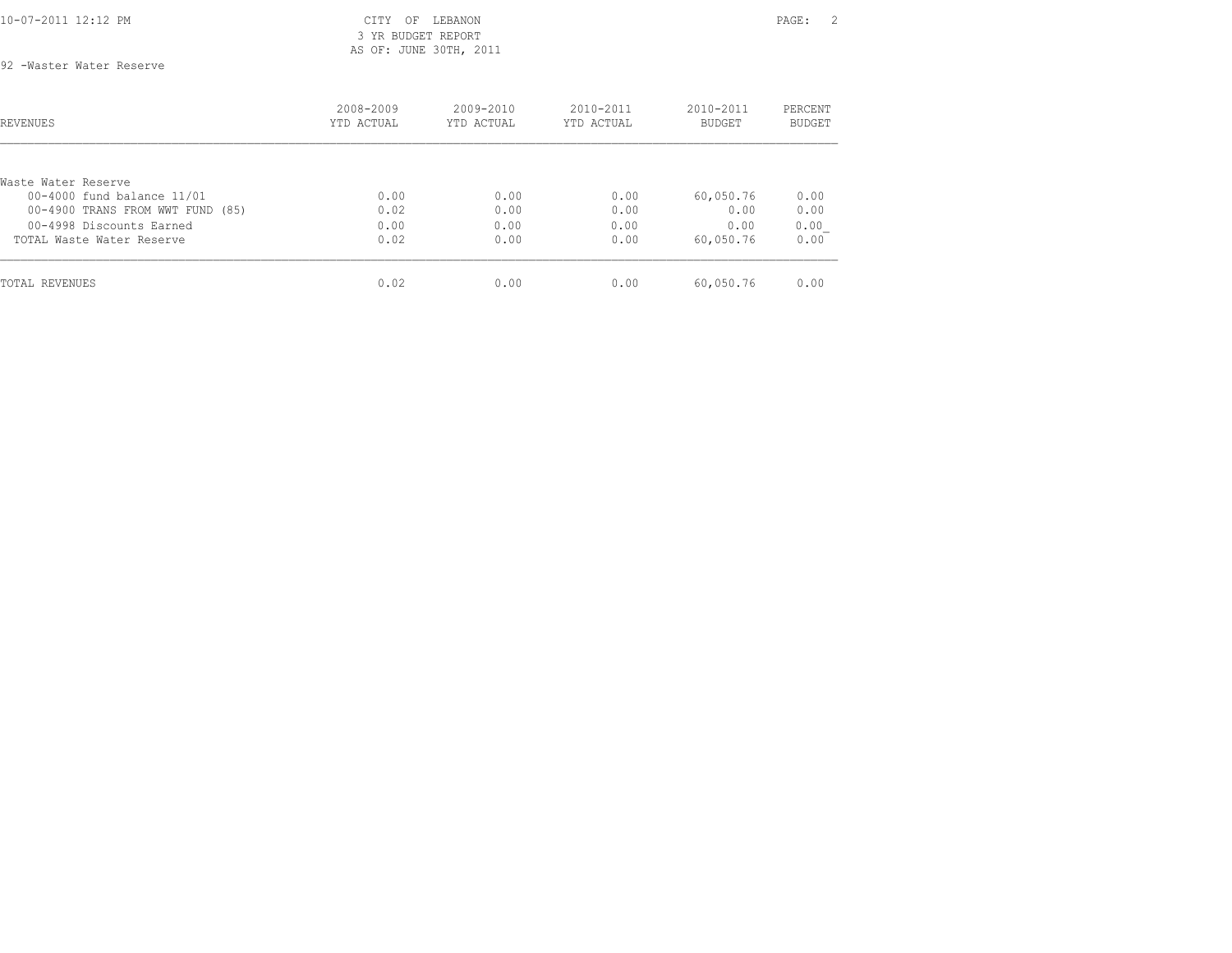## 3 YR BUDGET REPORT AS OF: JUNE 30TH, 2011

92 -Waster Water Reserve

| REVENUES                                          | 2008-2009<br>YTD ACTUAL | 2009-2010<br>YTD ACTUAL | 2010-2011<br>YTD ACTUAL | 2010-2011<br><b>BUDGET</b> | PERCENT<br>BUDGET |
|---------------------------------------------------|-------------------------|-------------------------|-------------------------|----------------------------|-------------------|
|                                                   |                         |                         |                         |                            |                   |
| Waste Water Reserve<br>00-4000 fund balance 11/01 | 0.00                    | 0.00                    | 0.00                    | 60,050.76                  | 0.00              |
| 00-4900 TRANS FROM WWT FUND (85)                  | 0.02                    | 0.00                    | 0.00                    | 0.00                       | 0.00              |
| 00-4998 Discounts Earned                          | 0.00                    | 0.00                    | 0.00                    | 0.00                       | 0.00              |
| TOTAL Waste Water Reserve                         | 0.02                    | 0.00                    | 0.00                    | 60,050.76                  | 0.00              |
| TOTAL REVENUES                                    | 0.02                    | 0.00                    | 0.00                    | 60,050.76                  | 0.00              |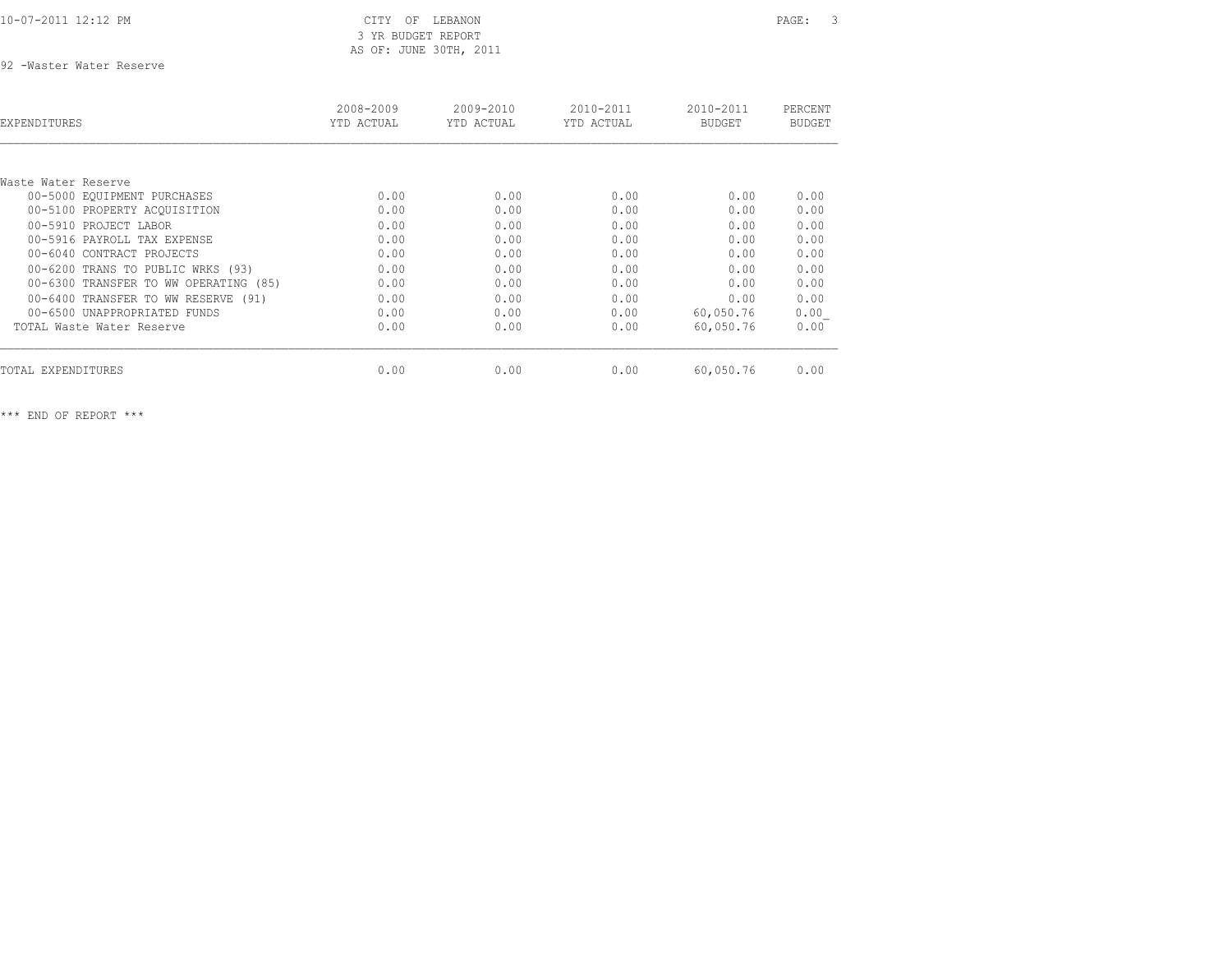## 3 YR BUDGET REPORT AS OF: JUNE 30TH, 2011

92 -Waster Water Reserve

| EXPENDITURES                          | 2008-2009<br>YTD ACTUAL | 2009-2010<br>YTD ACTUAL | 2010-2011<br>YTD ACTUAL | 2010-2011<br>BUDGET | PERCENT<br><b>BUDGET</b> |
|---------------------------------------|-------------------------|-------------------------|-------------------------|---------------------|--------------------------|
|                                       |                         |                         |                         |                     |                          |
| Waste Water Reserve                   |                         |                         |                         |                     |                          |
| 00-5000 EQUIPMENT PURCHASES           | 0.00                    | 0.00                    | 0.00                    | 0.00                | 0.00                     |
| 00-5100 PROPERTY ACOUISITION          | 0.00                    | 0.00                    | 0.00                    | 0.00                | 0.00                     |
| 00-5910 PROJECT LABOR                 | 0.00                    | 0.00                    | 0.00                    | 0.00                | 0.00                     |
| 00-5916 PAYROLL TAX EXPENSE           | 0.00                    | 0.00                    | 0.00                    | 0.00                | 0.00                     |
| 00-6040 CONTRACT PROJECTS             | 0.00                    | 0.00                    | 0.00                    | 0.00                | 0.00                     |
| 00-6200 TRANS TO PUBLIC WRKS (93)     | 0.00                    | 0.00                    | 0.00                    | 0.00                | 0.00                     |
| 00-6300 TRANSFER TO WW OPERATING (85) | 0.00                    | 0.00                    | 0.00                    | 0.00                | 0.00                     |
| 00-6400 TRANSFER TO WW RESERVE (91)   | 0.00                    | 0.00                    | 0.00                    | 0.00                | 0.00                     |
| 00-6500 UNAPPROPRIATED FUNDS          | 0.00                    | 0.00                    | 0.00                    | 60,050.76           | 0.00                     |
| TOTAL Waste Water Reserve             | 0.00                    | 0.00                    | 0.00                    | 60,050.76           | 0.00                     |
| TOTAL EXPENDITURES                    | 0.00                    | 0.00                    | 0.00                    | 60,050.76           | 0.00                     |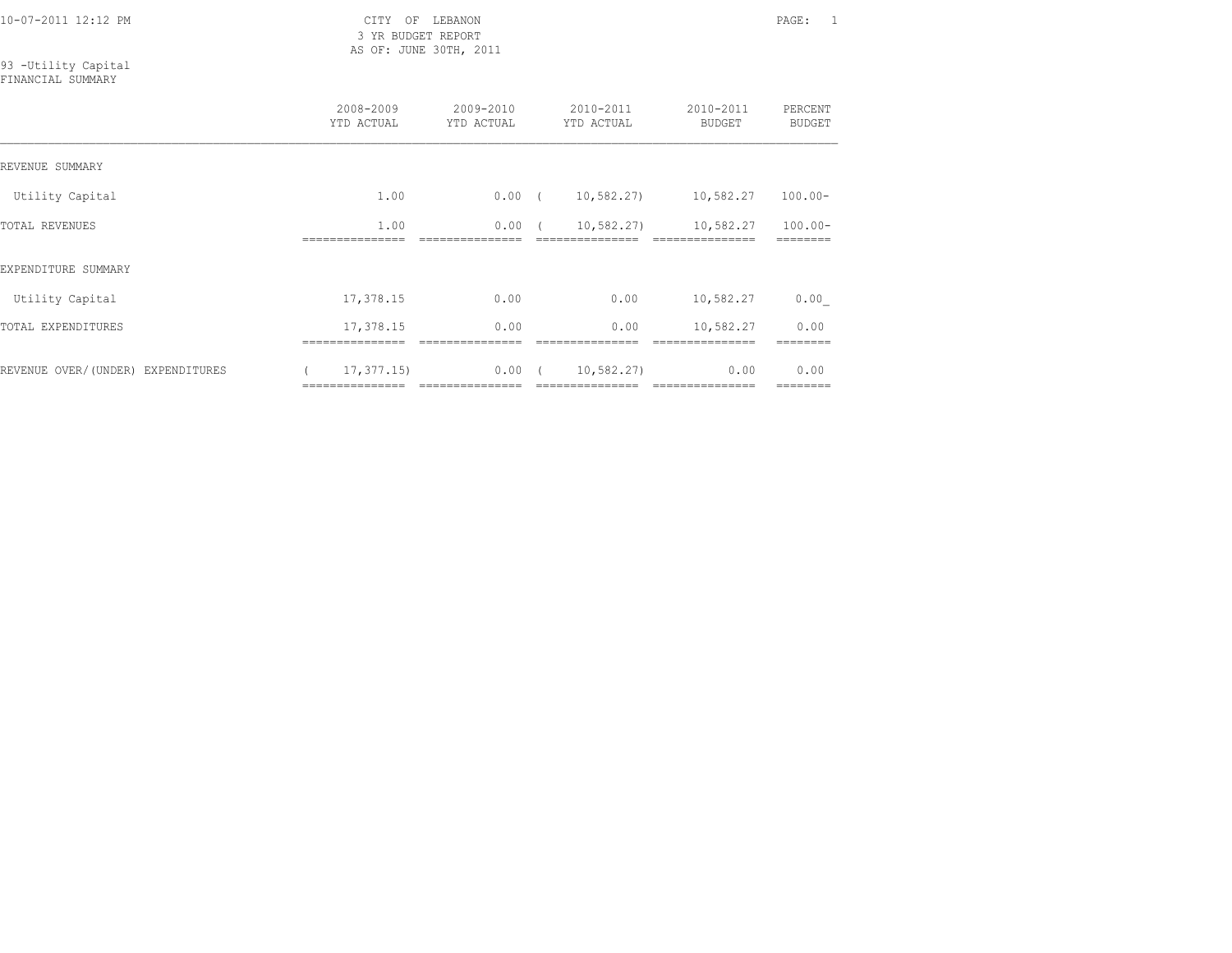3 YR BUDGET REPORT AS OF: JUNE 30TH, 2011

# 93 -Utility Capital

| FINANCIAL SUMMARY |  |
|-------------------|--|
|-------------------|--|

|                                   | 2008-2009<br>YTD ACTUAL                                                                                                                                                                                                                                                                                                                                                                                                                                                                                | $2009 - 2010$<br>YTD ACTUAL | $2010 - 2011$<br>YTD ACTUAL                  | 2010-2011<br><b>BUDGET</b> | PERCENT<br><b>BUDGET</b> |
|-----------------------------------|--------------------------------------------------------------------------------------------------------------------------------------------------------------------------------------------------------------------------------------------------------------------------------------------------------------------------------------------------------------------------------------------------------------------------------------------------------------------------------------------------------|-----------------------------|----------------------------------------------|----------------------------|--------------------------|
| REVENUE SUMMARY                   |                                                                                                                                                                                                                                                                                                                                                                                                                                                                                                        |                             |                                              |                            |                          |
| Utility Capital                   | 1.00                                                                                                                                                                                                                                                                                                                                                                                                                                                                                                   | $0.00$ (                    | 10,582.27)                                   | 10,582.27                  | $100.00 -$               |
| TOTAL REVENUES                    | 1.00                                                                                                                                                                                                                                                                                                                                                                                                                                                                                                   | $0.00$ (                    | 10,582.27)                                   | 10,582.27                  | $100.00 -$               |
| EXPENDITURE SUMMARY               |                                                                                                                                                                                                                                                                                                                                                                                                                                                                                                        |                             |                                              |                            |                          |
| Utility Capital                   | 17,378.15                                                                                                                                                                                                                                                                                                                                                                                                                                                                                              | 0.00                        | 0.00                                         | 10,582.27                  | 0.00                     |
| TOTAL EXPENDITURES                | 17,378.15                                                                                                                                                                                                                                                                                                                                                                                                                                                                                              | 0.00                        | 0.00                                         | 10,582.27                  | 0.00                     |
| REVENUE OVER/(UNDER) EXPENDITURES | 17, 377, 15)<br>$\begin{array}{cccccccccccccc} \multicolumn{2}{c}{} & \multicolumn{2}{c}{} & \multicolumn{2}{c}{} & \multicolumn{2}{c}{} & \multicolumn{2}{c}{} & \multicolumn{2}{c}{} & \multicolumn{2}{c}{} & \multicolumn{2}{c}{} & \multicolumn{2}{c}{} & \multicolumn{2}{c}{} & \multicolumn{2}{c}{} & \multicolumn{2}{c}{} & \multicolumn{2}{c}{} & \multicolumn{2}{c}{} & \multicolumn{2}{c}{} & \multicolumn{2}{c}{} & \multicolumn{2}{c}{} & \multicolumn{2}{c}{} & \multicolumn{2}{c}{} & \$ | 0.00<br>----------------    | 10,582.27)<br>$\sqrt{1}$<br>---------------- | 0.00<br>----------------   | 0.00<br>========         |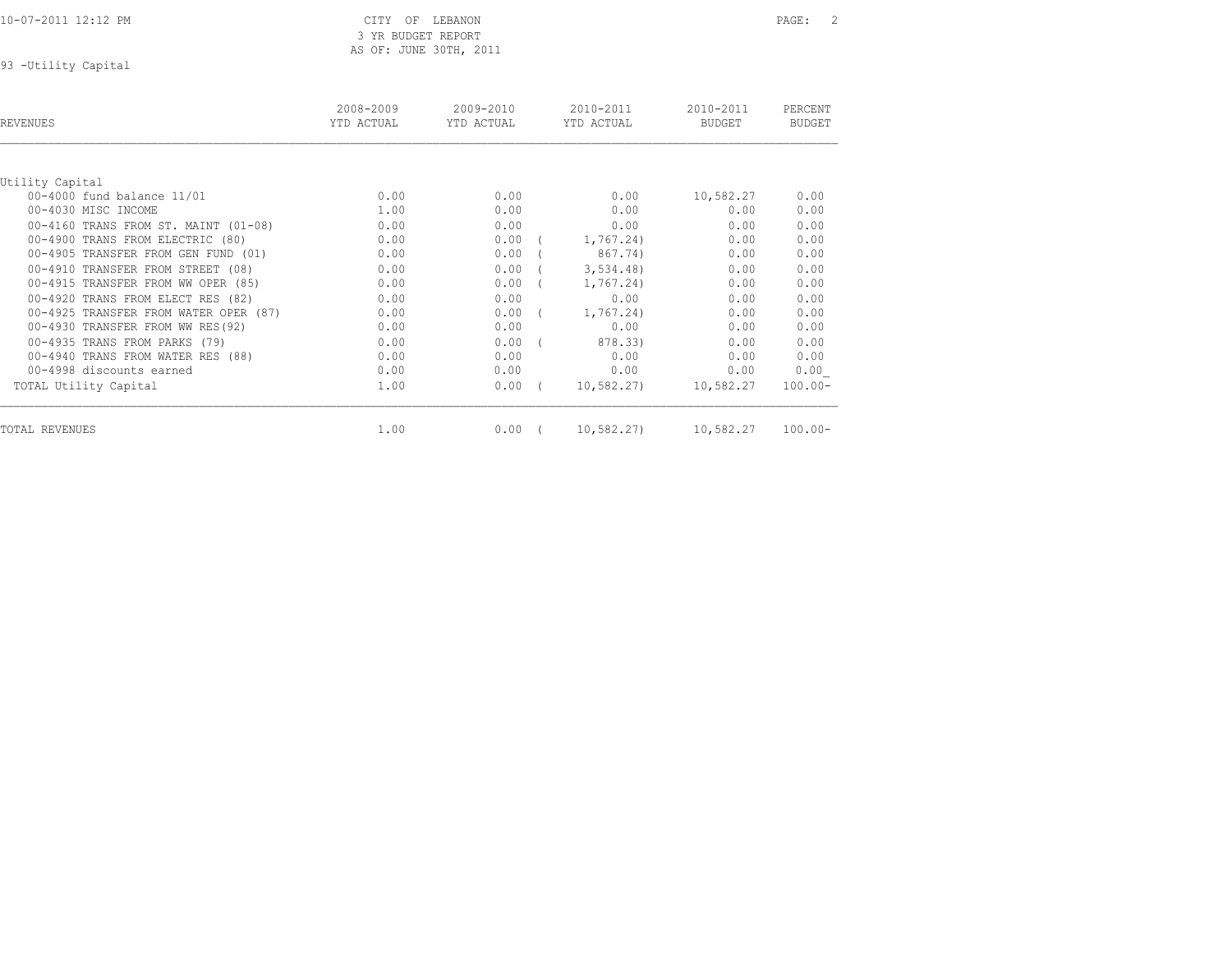3 YR BUDGET REPORT AS OF: JUNE 30TH, 2011

93 -Utility Capital

| REVENUES                              | 2008-2009<br>YTD ACTUAL | 2009-2010<br>YTD ACTUAL | 2010-2011<br>YTD ACTUAL | 2010-2011<br><b>BUDGET</b> | PERCENT<br><b>BUDGET</b> |
|---------------------------------------|-------------------------|-------------------------|-------------------------|----------------------------|--------------------------|
|                                       |                         |                         |                         |                            |                          |
| Utility Capital                       |                         |                         |                         |                            |                          |
| 00-4000 fund balance 11/01            | 0.00                    | 0.00                    | 0.00                    | 10,582.27                  | 0.00                     |
| 00-4030 MISC INCOME                   | 1.00                    | 0.00                    | 0.00                    | 0.00                       | 0.00                     |
| 00-4160 TRANS FROM ST. MAINT (01-08)  | 0.00                    | 0.00                    | 0.00                    | 0.00                       | 0.00                     |
| 00-4900 TRANS FROM ELECTRIC (80)      | 0.00                    | 0.00                    | 1,767.24)               | 0.00                       | 0.00                     |
| 00-4905 TRANSFER FROM GEN FUND (01)   | 0.00                    | 0.00                    | 867.74)                 | 0.00                       | 0.00                     |
| 00-4910 TRANSFER FROM STREET (08)     | 0.00                    | 0.00                    | 3,534.48                | 0.00                       | 0.00                     |
| 00-4915 TRANSFER FROM WW OPER (85)    | 0.00                    | 0.00                    | 1,767.24)               | 0.00                       | 0.00                     |
| 00-4920 TRANS FROM ELECT RES (82)     | 0.00                    | 0.00                    | 0.00                    | 0.00                       | 0.00                     |
| 00-4925 TRANSFER FROM WATER OPER (87) | 0.00                    | 0.00                    | 1,767.24)               | 0.00                       | 0.00                     |
| 00-4930 TRANSFER FROM WW RES(92)      | 0.00                    | 0.00                    | 0.00                    | 0.00                       | 0.00                     |
| 00-4935 TRANS FROM PARKS (79)         | 0.00                    | 0.00                    | 878.33)                 | 0.00                       | 0.00                     |
| 00-4940 TRANS FROM WATER RES (88)     | 0.00                    | 0.00                    | 0.00                    | 0.00                       | 0.00                     |
| 00-4998 discounts earned              | 0.00                    | 0.00                    | 0.00                    | 0.00                       | 0.00                     |
| TOTAL Utility Capital                 | 1.00                    | 0.00                    | 10,582.27)              | 10,582.27                  | $100.00 -$               |
| TOTAL REVENUES                        |                         |                         |                         |                            | $100.00 -$               |
|                                       | 1.00                    | 0.00                    | 10,582.27)              | 10,582.27                  |                          |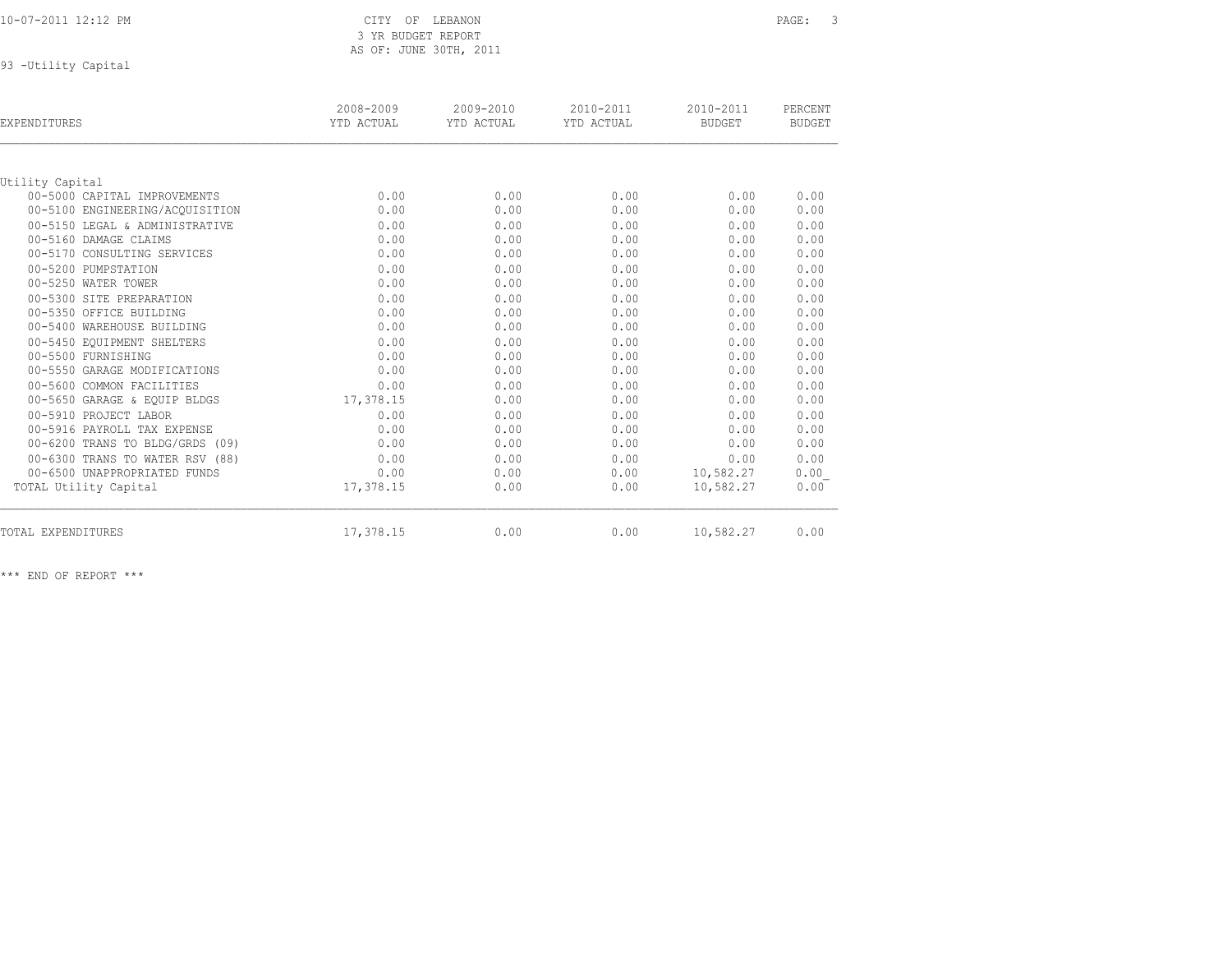| 10-07-2011 12:12 PM |  |  |
|---------------------|--|--|
|                     |  |  |

### CITY OF LEBANON PAGE: 3 3 YR BUDGET REPORT AS OF: JUNE 30TH, 2011

93 -Utility Capital

| <b>EXPENDITURES</b>             | 2008-2009<br>YTD ACTUAL | 2009-2010<br>YTD ACTUAL | 2010-2011<br>YTD ACTUAL | 2010-2011<br><b>BUDGET</b> | PERCENT<br><b>BUDGET</b> |
|---------------------------------|-------------------------|-------------------------|-------------------------|----------------------------|--------------------------|
|                                 |                         |                         |                         |                            |                          |
| Utility Capital                 |                         |                         |                         |                            |                          |
| 00-5000 CAPITAL IMPROVEMENTS    | 0.00                    | 0.00                    | 0.00                    | 0.00                       | 0.00                     |
| 00-5100 ENGINEERING/ACOUISITION | 0.00                    | 0.00                    | 0.00                    | 0.00                       | 0.00                     |
| 00-5150 LEGAL & ADMINISTRATIVE  | 0.00                    | 0.00                    | 0.00                    | 0.00                       | 0.00                     |
| 00-5160 DAMAGE CLAIMS           | 0.00                    | 0.00                    | 0.00                    | 0.00                       | 0.00                     |
| 00-5170 CONSULTING SERVICES     | 0.00                    | 0.00                    | 0.00                    | 0.00                       | 0.00                     |
| 00-5200 PUMPSTATION             | 0.00                    | 0.00                    | 0.00                    | 0.00                       | 0.00                     |
| 00-5250 WATER TOWER             | 0.00                    | 0.00                    | 0.00                    | 0.00                       | 0.00                     |
| 00-5300 SITE PREPARATION        | 0.00                    | 0.00                    | 0.00                    | 0.00                       | 0.00                     |
| 00-5350 OFFICE BUILDING         | 0.00                    | 0.00                    | 0.00                    | 0.00                       | 0.00                     |
| 00-5400 WAREHOUSE BUILDING      | 0.00                    | 0.00                    | 0.00                    | 0.00                       | 0.00                     |
| 00-5450 EQUIPMENT SHELTERS      | 0.00                    | 0.00                    | 0.00                    | 0.00                       | 0.00                     |
| 00-5500 FURNISHING              | 0.00                    | 0.00                    | 0.00                    | 0.00                       | 0.00                     |
| 00-5550 GARAGE MODIFICATIONS    | 0.00                    | 0.00                    | 0.00                    | 0.00                       | 0.00                     |
| 00-5600 COMMON FACILITIES       | 0.00                    | 0.00                    | 0.00                    | 0.00                       | 0.00                     |
| 00-5650 GARAGE & EQUIP BLDGS    | 17,378.15               | 0.00                    | 0.00                    | 0.00                       | 0.00                     |
| 00-5910 PROJECT LABOR           | 0.00                    | 0.00                    | 0.00                    | 0.00                       | 0.00                     |
| 00-5916 PAYROLL TAX EXPENSE     | 0.00                    | 0.00                    | 0.00                    | 0.00                       | 0.00                     |
| 00-6200 TRANS TO BLDG/GRDS (09) | 0.00                    | 0.00                    | 0.00                    | 0.00                       | 0.00                     |
| 00-6300 TRANS TO WATER RSV (88) | 0.00                    | 0.00                    | 0.00                    | 0.00                       | 0.00                     |
| 00-6500 UNAPPROPRIATED FUNDS    | 0.00                    | 0.00                    | 0.00                    | 10,582.27                  | 0.00                     |
| TOTAL Utility Capital           | 17,378.15               | 0.00                    | 0.00                    | 10,582.27                  | 0.00                     |
| TOTAL EXPENDITURES              | 17,378.15               | 0.00                    | 0.00                    | 10,582.27                  | 0.00                     |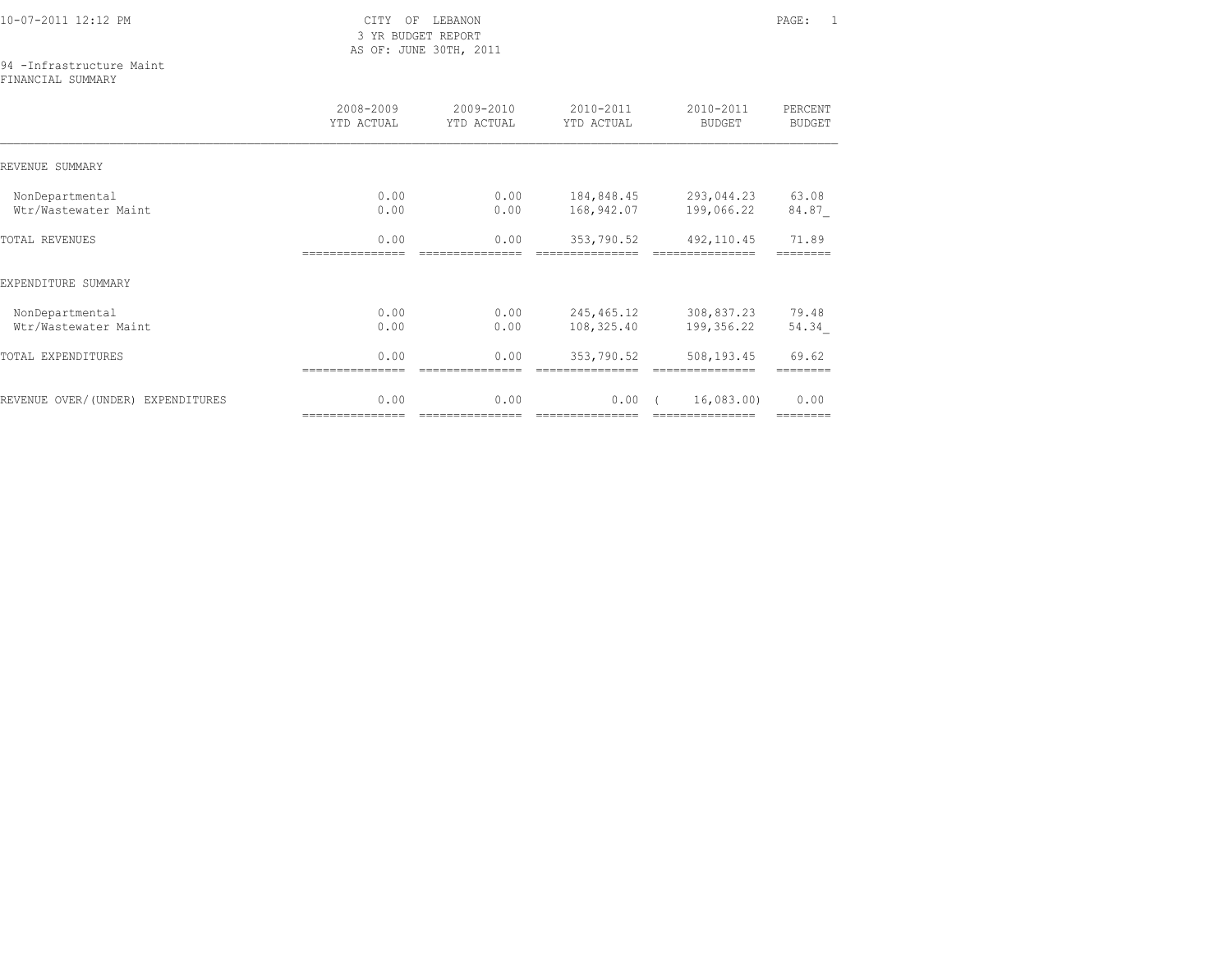3 YR BUDGET REPORT AS OF: JUNE 30TH, 2011

## 94 -Infrastructure Maint

FINANCIAL SUMMARY

|                                   | 2008-2009<br>YTD ACTUAL | 2009-2010<br>YTD ACTUAL | 2010-2011<br>YTD ACTUAL | 2010-2011<br><b>BUDGET</b> | PERCENT<br><b>BUDGET</b> |
|-----------------------------------|-------------------------|-------------------------|-------------------------|----------------------------|--------------------------|
| REVENUE SUMMARY                   |                         |                         |                         |                            |                          |
| NonDepartmental                   | 0.00<br>0.00            | 0.00                    | 184,848.45              | 293,044.23                 | 63.08                    |
| Wtr/Wastewater Maint              |                         | 0.00                    | 168,942.07              | 199,066.22                 | 84.87                    |
| <b>TOTAL REVENUES</b>             | 0.00                    | 0.00                    | 353,790.52              | 492, 110.45                | 71.89                    |
| EXPENDITURE SUMMARY               |                         |                         |                         |                            |                          |
| NonDepartmental                   | 0.00                    | 0.00                    | 245,465.12              | 308,837.23                 | 79.48                    |
| Wtr/Wastewater Maint              | 0.00                    | 0.00                    | 108,325.40              | 199,356.22                 | 54.34                    |
| TOTAL EXPENDITURES                | 0.00                    | 0.00                    | 353,790.52              | 508,193.45                 | 69.62                    |
| REVENUE OVER/(UNDER) EXPENDITURES | 0.00                    | 0.00                    | 0.00                    | 16,083.00)                 | 0.00                     |
|                                   | ===============         | ===============         | ===============         | ===============            | --------                 |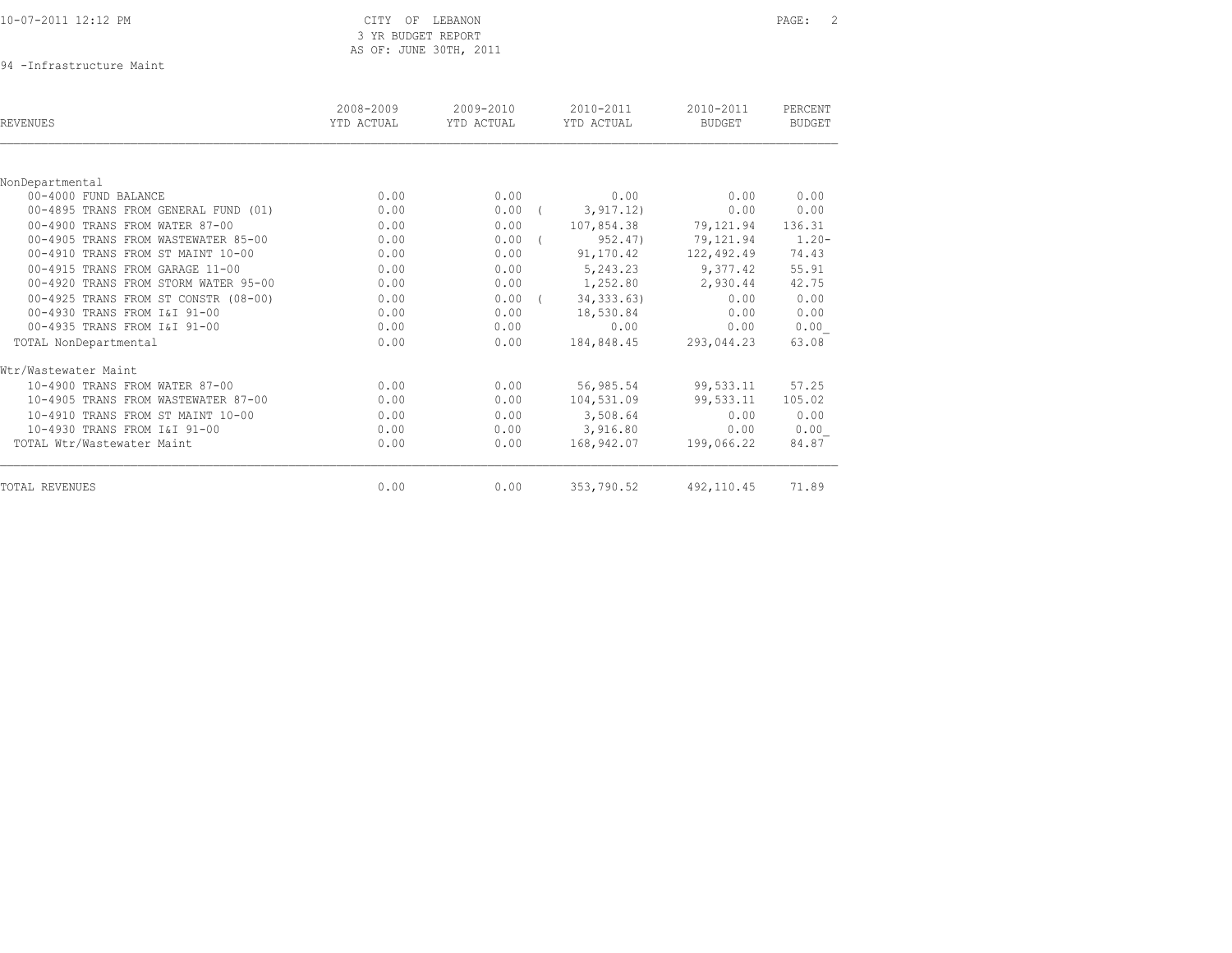| 10-07-2011 12:12 PM |
|---------------------|
|---------------------|

### CITY OF LEBANON PAGE: 2 3 YR BUDGET REPORT AS OF: JUNE 30TH, 2011

94 -Infrastructure Maint

| REVENUES                             | 2008-2009<br>YTD ACTUAL | 2009-2010<br>YTD ACTUAL | 2010-2011<br>YTD ACTUAL | 2010-2011<br><b>BUDGET</b> | PERCENT<br><b>BUDGET</b> |
|--------------------------------------|-------------------------|-------------------------|-------------------------|----------------------------|--------------------------|
|                                      |                         |                         |                         |                            |                          |
| NonDepartmental                      |                         |                         |                         |                            |                          |
| 00-4000 FUND BALANCE                 | 0.00                    | 0.00                    | 0.00                    | 0.00                       | 0.00                     |
| 00-4895 TRANS FROM GENERAL FUND (01) | 0.00                    | 0.00                    | 3, 917.12)              | 0.00                       | 0.00                     |
| 00-4900 TRANS FROM WATER 87-00       | 0.00                    | 0.00                    | 107,854.38              | 79,121.94                  | 136.31                   |
| 00-4905 TRANS FROM WASTEWATER 85-00  | 0.00                    | $0.00$ (                | 952.47)                 | 79,121.94                  | $1.20 -$                 |
| 00-4910 TRANS FROM ST MAINT 10-00    | 0.00                    | 0.00                    | 91,170.42               | 122,492.49                 | 74.43                    |
| 00-4915 TRANS FROM GARAGE 11-00      | 0.00                    | 0.00                    | 5,243.23                | 9,377.42                   | 55.91                    |
| 00-4920 TRANS FROM STORM WATER 95-00 | 0.00                    | 0.00                    | 1,252.80                | 2,930.44                   | 42.75                    |
| 00-4925 TRANS FROM ST CONSTR (08-00) | 0.00                    | 0.00                    | 34, 333.63)             | 0.00                       | 0.00                     |
| 00-4930 TRANS FROM I&I 91-00         | 0.00                    | 0.00                    | 18,530.84               | 0.00                       | 0.00                     |
| 00-4935 TRANS FROM I&I 91-00         | 0.00                    | 0.00                    | 0.00                    | 0.00                       | 0.00                     |
| TOTAL NonDepartmental                | 0.00                    | 0.00                    | 184,848.45              | 293,044.23                 | 63.08                    |
| Wtr/Wastewater Maint                 |                         |                         |                         |                            |                          |
| 10-4900 TRANS FROM WATER 87-00       | 0.00                    | 0.00                    | 56,985.54               | 99,533.11                  | 57.25                    |
| 10-4905 TRANS FROM WASTEWATER 87-00  | 0.00                    | 0.00                    | 104,531.09              | 99,533.11                  | 105.02                   |
| 10-4910 TRANS FROM ST MAINT 10-00    | 0.00                    | 0.00                    | 3,508.64                | 0.00                       | 0.00                     |
| 10-4930 TRANS FROM I&I 91-00         | 0.00                    | 0.00                    | 3,916.80                | 0.00                       | 0.00                     |
| TOTAL Wtr/Wastewater Maint           | 0.00                    | 0.00                    | 168,942.07              | 199,066.22                 | 84.87                    |
| TOTAL REVENUES                       | 0.00                    | 0.00                    | 353,790.52              | 492, 110.45                | 71.89                    |
|                                      |                         |                         |                         |                            |                          |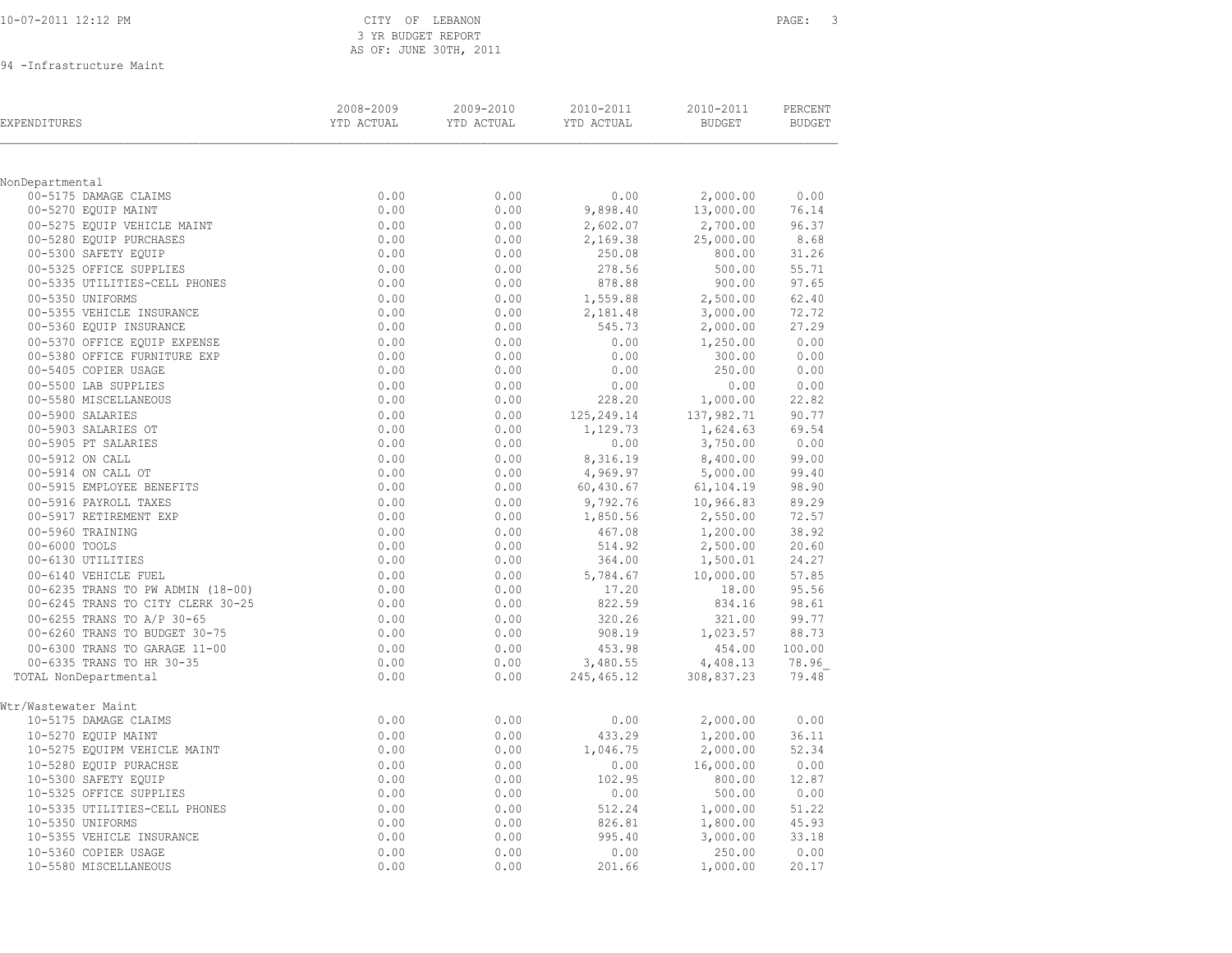| 10-07-2011 12:12 PM |  |
|---------------------|--|
|                     |  |

## CITY OF LEBANON PAGE: 3 3 YR BUDGET REPORT AS OF: JUNE 30TH, 2011

94 -Infrastructure Maint

| EXPENDITURES                                           | 2008-2009<br>YTD ACTUAL | 2009-2010<br>YTD ACTUAL | 2010-2011<br>YTD ACTUAL | 2010-2011<br><b>BUDGET</b> | PERCENT<br><b>BUDGET</b> |
|--------------------------------------------------------|-------------------------|-------------------------|-------------------------|----------------------------|--------------------------|
|                                                        |                         |                         |                         |                            |                          |
| NonDepartmental                                        |                         |                         |                         |                            |                          |
| 00-5175 DAMAGE CLAIMS<br>00-5270 EOUIP MAINT           | 0.00<br>0.00            | 0.00<br>0.00            | 0.00                    | 2,000.00                   | 0.00<br>76.14            |
|                                                        |                         |                         | 9,898.40                | 13,000.00                  |                          |
| 00-5275 EQUIP VEHICLE MAINT<br>00-5280 EQUIP PURCHASES | 0.00<br>0.00            | 0.00<br>0.00            | 2,602.07                | 2,700.00                   | 96.37<br>8.68            |
| 00-5300 SAFETY EQUIP                                   | 0.00                    | 0.00                    | 2,169.38<br>250.08      | 25,000.00<br>800.00        | 31.26                    |
| 00-5325 OFFICE SUPPLIES                                | 0.00                    | 0.00                    | 278.56                  | 500.00                     | 55.71                    |
| 00-5335 UTILITIES-CELL PHONES                          | 0.00                    | 0.00                    | 878.88                  | 900.00                     | 97.65                    |
| 00-5350 UNIFORMS                                       |                         |                         |                         |                            | 62.40                    |
| 00-5355 VEHICLE INSURANCE                              | 0.00<br>0.00            | 0.00<br>0.00            | 1,559.88<br>2,181.48    | 2,500.00<br>3,000.00       | 72.72                    |
| 00-5360 EQUIP INSURANCE                                | 0.00                    | 0.00                    | 545.73                  | 2,000.00                   | 27.29                    |
| 00-5370 OFFICE EQUIP EXPENSE                           | 0.00                    | 0.00                    | 0.00                    | 1,250.00                   | 0.00                     |
| 00-5380 OFFICE FURNITURE EXP                           | 0.00                    | 0.00                    | 0.00                    | 300.00                     | 0.00                     |
| 00-5405 COPIER USAGE                                   | 0.00                    | 0.00                    | 0.00                    | 250.00                     | 0.00                     |
| 00-5500 LAB SUPPLIES                                   | 0.00                    | 0.00                    | 0.00                    | 0.00                       | 0.00                     |
| 00-5580 MISCELLANEOUS                                  | 0.00                    | 0.00                    | 228.20                  | 1,000.00                   | 22.82                    |
| 00-5900 SALARIES                                       | 0.00                    | 0.00                    |                         | 137,982.71                 | 90.77                    |
| 00-5903 SALARIES OT                                    | 0.00                    | 0.00                    | 125, 249.14<br>1,129.73 | 1,624.63                   | 69.54                    |
| 00-5905 PT SALARIES                                    | 0.00                    | 0.00                    | 0.00                    | 3,750.00                   | 0.00                     |
| 00-5912 ON CALL                                        | 0.00                    | 0.00                    | 8,316.19                | 8,400.00                   | 99.00                    |
| 00-5914 ON CALL OT                                     | 0.00                    | 0.00                    | 4,969.97                | 5,000.00                   | 99.40                    |
| 00-5915 EMPLOYEE BENEFITS                              | 0.00                    | 0.00                    | 60,430.67               | 61,104.19                  | 98.90                    |
| 00-5916 PAYROLL TAXES                                  | 0.00                    | 0.00                    | 9,792.76                | 10,966.83                  | 89.29                    |
| 00-5917 RETIREMENT EXP                                 | 0.00                    | 0.00                    | 1,850.56                | 2,550.00                   | 72.57                    |
| 00-5960 TRAINING                                       | 0.00                    | 0.00                    | 467.08                  | 1,200.00                   | 38.92                    |
| 00-6000 TOOLS                                          | 0.00                    | 0.00                    | 514.92                  | 2,500.00                   | 20.60                    |
| 00-6130 UTILITIES                                      | 0.00                    | 0.00                    | 364.00                  | 1,500.01                   | 24.27                    |
| 00-6140 VEHICLE FUEL                                   | 0.00                    | 0.00                    | 5,784.67                | 10,000.00                  | 57.85                    |
| 00-6235 TRANS TO PW ADMIN (18-00)                      | 0.00                    | 0.00                    | 17.20                   | 18.00                      | 95.56                    |
| 00-6245 TRANS TO CITY CLERK 30-25                      | 0.00                    | 0.00                    | 822.59                  | 834.16                     | 98.61                    |
| 00-6255 TRANS TO A/P 30-65                             | 0.00                    | 0.00                    | 320.26                  | 321.00                     | 99.77                    |
| 00-6260 TRANS TO BUDGET 30-75                          | 0.00                    | 0.00                    | 908.19                  | 1,023.57                   | 88.73                    |
| 00-6300 TRANS TO GARAGE 11-00                          | 0.00                    | 0.00                    | 453.98                  | 454.00                     | 100.00                   |
| 00-6335 TRANS TO HR 30-35                              | 0.00                    | 0.00                    | 3,480.55                | 4,408.13                   | 78.96                    |
| TOTAL NonDepartmental                                  | 0.00                    | 0.00                    | 245, 465.12             | 308,837.23                 | 79.48                    |
|                                                        |                         |                         |                         |                            |                          |
| Wtr/Wastewater Maint                                   |                         |                         |                         |                            |                          |
| 10-5175 DAMAGE CLAIMS                                  | 0.00                    | 0.00                    | 0.00                    | 2,000.00                   | 0.00                     |
| 10-5270 EQUIP MAINT                                    | 0.00                    | 0.00                    | 433.29                  | 1,200.00                   | 36.11                    |
| 10-5275 EQUIPM VEHICLE MAINT                           | 0.00                    | 0.00                    | 1,046.75                | 2,000.00                   | 52.34                    |
| 10-5280 EQUIP PURACHSE                                 | 0.00                    | 0.00                    | 0.00                    | 16,000.00                  | 0.00                     |
| 10-5300 SAFETY EOUIP                                   | 0.00                    | 0.00                    | 102.95                  | 800.00                     | 12.87                    |
| 10-5325 OFFICE SUPPLIES                                | 0.00                    | 0.00                    | 0.00                    | 500.00                     | 0.00                     |
| 10-5335 UTILITIES-CELL PHONES                          | 0.00                    | 0.00                    | 512.24                  | 1,000.00                   | 51.22                    |
| 10-5350 UNIFORMS                                       | 0.00                    | 0.00                    | 826.81                  | 1,800.00                   | 45.93                    |
| 10-5355 VEHICLE INSURANCE                              | 0.00                    | 0.00                    | 995.40                  | 3,000.00                   | 33.18                    |
| 10-5360 COPIER USAGE                                   | 0.00                    | 0.00                    | 0.00                    | 250.00                     | 0.00                     |
| 10-5580 MISCELLANEOUS                                  | 0.00                    | 0.00                    | 201.66                  | 1,000.00                   | 20.17                    |
|                                                        |                         |                         |                         |                            |                          |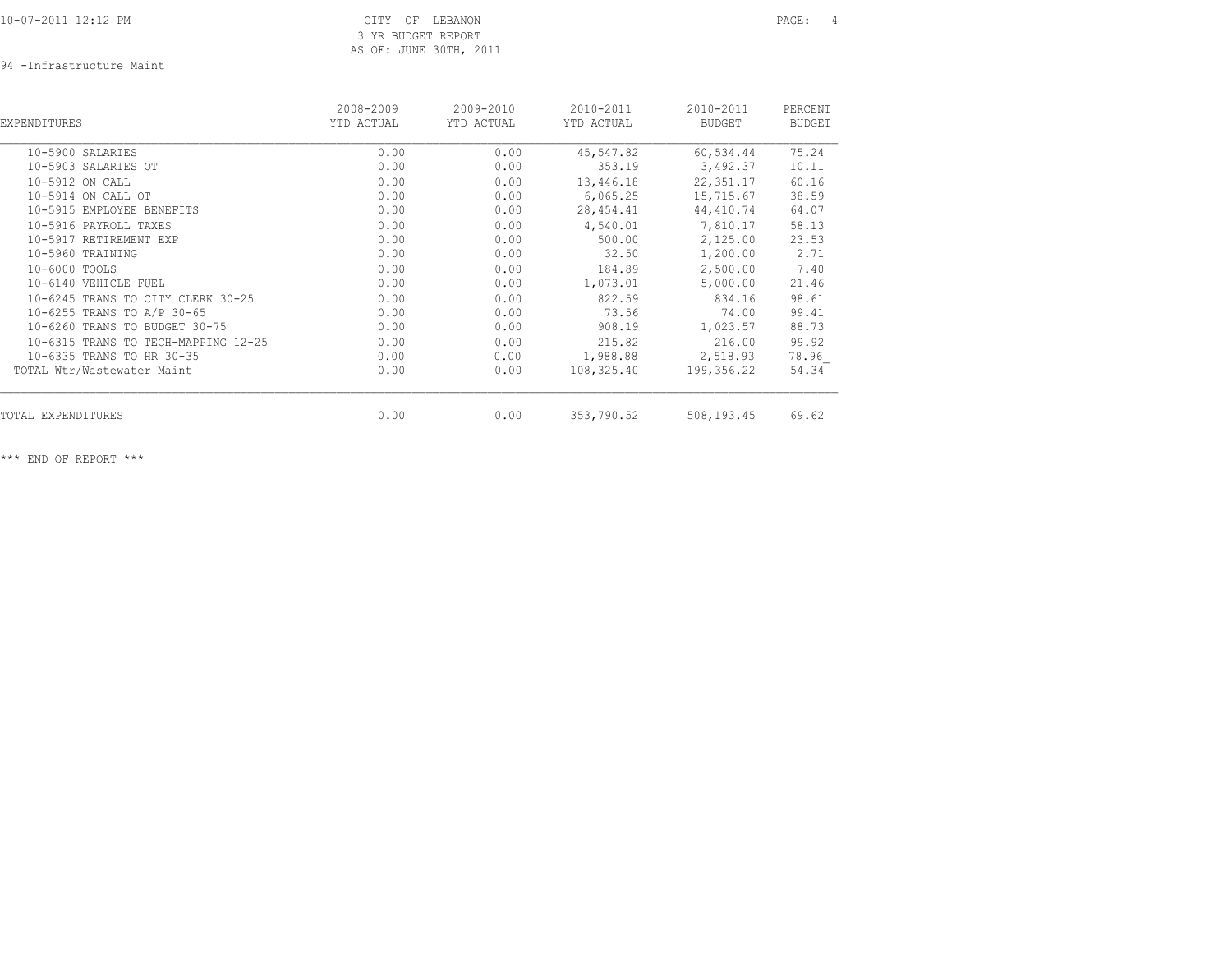94 -Infrastructure Maint

| EXPENDITURES                        | 2008-2009<br>YTD ACTUAL | 2009-2010<br>YTD ACTUAL | 2010-2011<br>YTD ACTUAL | 2010-2011<br><b>BUDGET</b> | PERCENT<br><b>BUDGET</b> |
|-------------------------------------|-------------------------|-------------------------|-------------------------|----------------------------|--------------------------|
| 10-5900 SALARIES                    | 0.00                    | 0.00                    | 45,547.82               | 60,534.44                  | 75.24                    |
| 10-5903 SALARIES OT                 | 0.00                    | 0.00                    | 353.19                  | 3,492.37                   | 10.11                    |
| 10-5912 ON CALL                     | 0.00                    | 0.00                    | 13,446.18               | 22, 351.17                 | 60.16                    |
| 10-5914 ON CALL OT                  | 0.00                    | 0.00                    | 6,065.25                | 15,715.67                  | 38.59                    |
| 10-5915 EMPLOYEE BENEFITS           | 0.00                    | 0.00                    | 28,454.41               | 44,410.74                  | 64.07                    |
| 10-5916 PAYROLL TAXES               | 0.00                    | 0.00                    | 4,540.01                | 7,810.17                   | 58.13                    |
| 10-5917 RETIREMENT EXP              | 0.00                    | 0.00                    | 500.00                  | 2,125.00                   | 23.53                    |
| 10-5960 TRAINING                    | 0.00                    | 0.00                    | 32.50                   | 1,200.00                   | 2.71                     |
| 10-6000 TOOLS                       | 0.00                    | 0.00                    | 184.89                  | 2,500.00                   | 7.40                     |
| 10-6140 VEHICLE FUEL                | 0.00                    | 0.00                    | 1,073.01                | 5,000.00                   | 21.46                    |
| 10-6245 TRANS TO CITY CLERK 30-25   | 0.00                    | 0.00                    | 822.59                  | 834.16                     | 98.61                    |
| 10-6255 TRANS TO A/P 30-65          | 0.00                    | 0.00                    | 73.56                   | 74.00                      | 99.41                    |
| 10-6260 TRANS TO BUDGET 30-75       | 0.00                    | 0.00                    | 908.19                  | 1,023.57                   | 88.73                    |
| 10-6315 TRANS TO TECH-MAPPING 12-25 | 0.00                    | 0.00                    | 215.82                  | 216.00                     | 99.92                    |
| 10-6335 TRANS TO HR 30-35           | 0.00                    | 0.00                    | 1,988.88                | 2,518.93                   | 78.96                    |
| TOTAL Wtr/Wastewater Maint          | 0.00                    | 0.00                    | 108,325.40              | 199,356.22                 | 54.34                    |
| TOTAL EXPENDITURES                  | 0.00                    | 0.00                    | 353,790.52              | 508,193.45                 | 69.62                    |
|                                     |                         |                         |                         |                            |                          |

\*\*\* END OF REPORT \*\*\*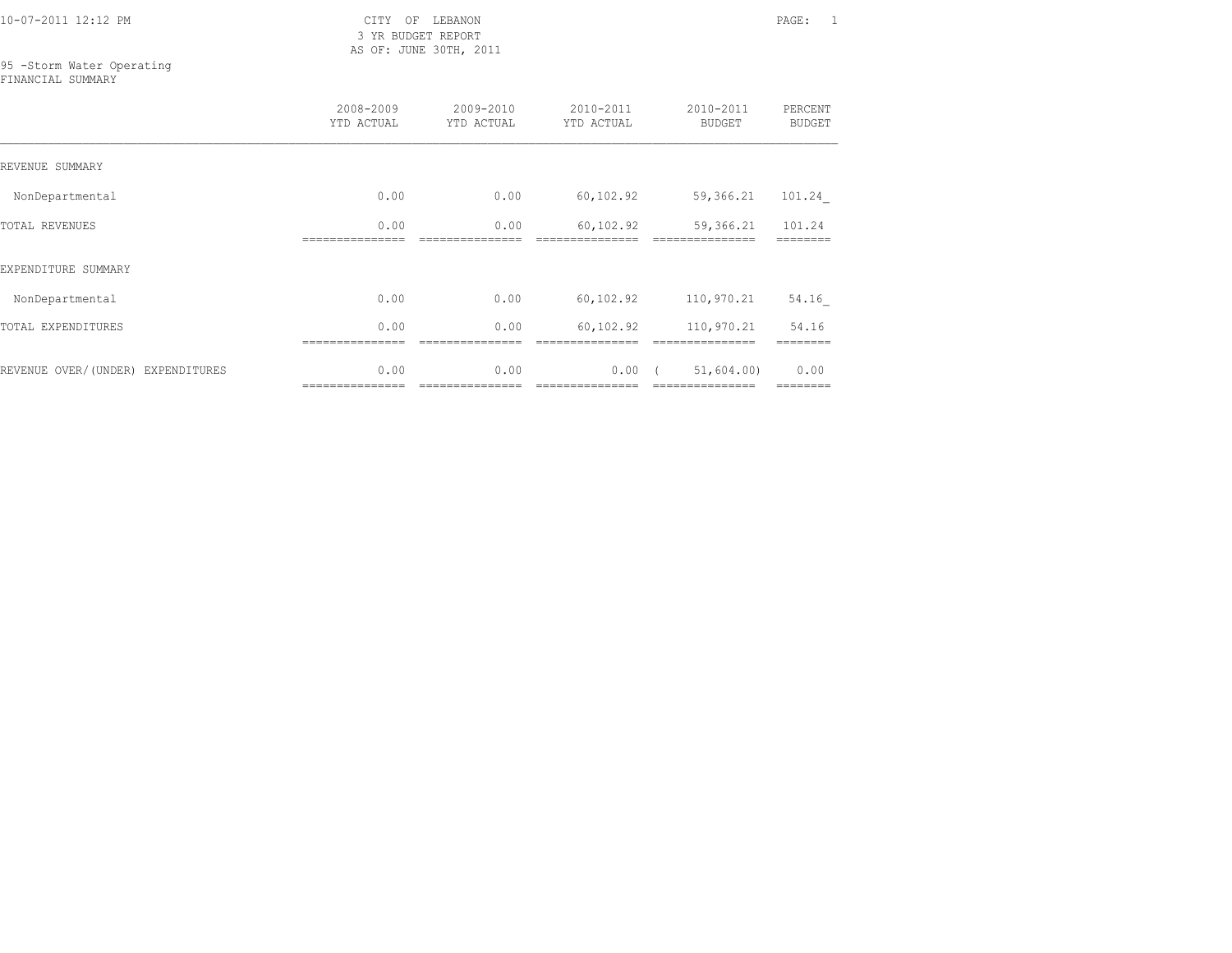10-07-2011 12:12 PM CITY OF LEBANON PAGE: 1

 3 YR BUDGET REPORT AS OF: JUNE 30TH, 2011

## 95 -Storm Water Operating

FINANCIAL SUMMARY

|                                   | 2008-2009<br>YTD ACTUAL | 2009-2010<br>YTD ACTUAL | 2010-2011<br>YTD ACTUAL | 2010-2011<br><b>BUDGET</b>   | PERCENT<br><b>BUDGET</b> |
|-----------------------------------|-------------------------|-------------------------|-------------------------|------------------------------|--------------------------|
| REVENUE SUMMARY                   |                         |                         |                         |                              |                          |
| NonDepartmental                   | 0.00                    | 0.00                    | 60,102.92               | 59,366.21                    | 101.24                   |
| <b>TOTAL REVENUES</b>             | 0.00                    | 0.00                    | 60,102.92               | 59,366.21                    | 101.24                   |
| EXPENDITURE SUMMARY               |                         |                         |                         |                              |                          |
| NonDepartmental                   | 0.00                    | 0.00                    | 60,102.92               | 110,970.21                   | 54.16                    |
| TOTAL EXPENDITURES                | 0.00                    | 0.00                    | 60,102.92               | 110,970.21                   | 54.16                    |
| REVENUE OVER/(UNDER) EXPENDITURES | 0.00<br>=============== | 0.00                    | 0.00                    | 51,604.00<br>=============== | 0.00<br>========         |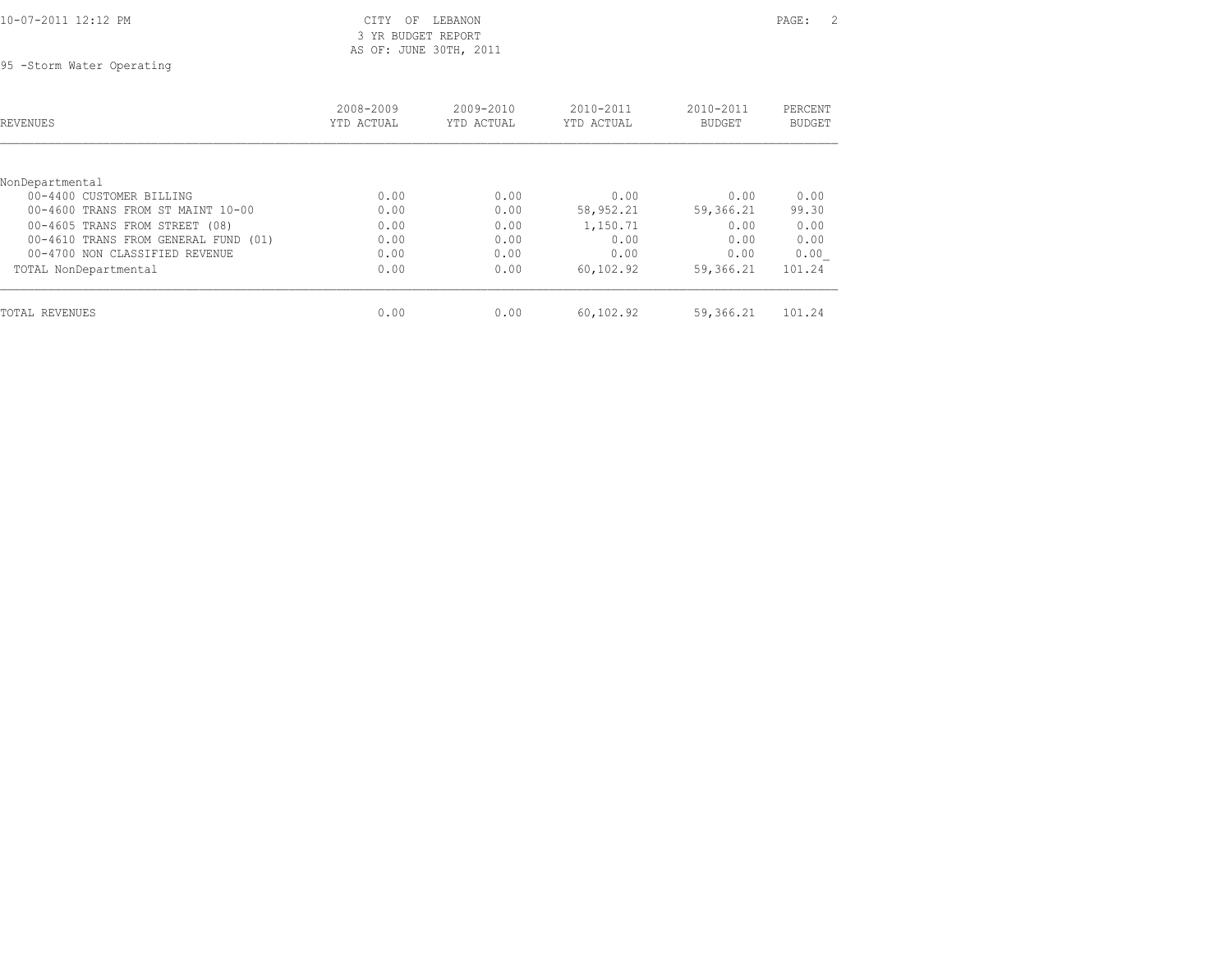|  | 10-07-2011 12:12 PM |  |
|--|---------------------|--|

## CITY OF LEBANON PAGE: 2 3 YR BUDGET REPORT AS OF: JUNE 30TH, 2011

95 -Storm Water Operating

| REVENUES                             | 2008-2009<br>YTD ACTUAL | 2009-2010<br>YTD ACTUAL | $2010 - 2011$<br>YTD ACTUAL | 2010-2011<br><b>BUDGET</b> | PERCENT<br><b>BUDGET</b> |
|--------------------------------------|-------------------------|-------------------------|-----------------------------|----------------------------|--------------------------|
| NonDepartmental                      |                         |                         |                             |                            |                          |
| 00-4400 CUSTOMER BILLING             | 0.00                    | 0.00                    | 0.00                        | 0.00                       | 0.00                     |
| 00-4600 TRANS FROM ST MAINT 10-00    | 0.00                    | 0.00                    | 58,952.21                   | 59,366.21                  | 99.30                    |
| 00-4605 TRANS FROM STREET (08)       | 0.00                    | 0.00                    | 1,150.71                    | 0.00                       | 0.00                     |
| 00-4610 TRANS FROM GENERAL FUND (01) | 0.00                    | 0.00                    | 0.00                        | 0.00                       | 0.00                     |
| 00-4700 NON CLASSIFIED REVENUE       | 0.00                    | 0.00                    | 0.00                        | 0.00                       | 0.00                     |
| TOTAL NonDepartmental                | 0.00                    | 0.00                    | 60,102.92                   | 59,366.21                  | 101.24                   |
| TOTAL REVENUES                       | 0.00                    | 0.00                    | 60,102.92                   | 59,366.21                  | 101.24                   |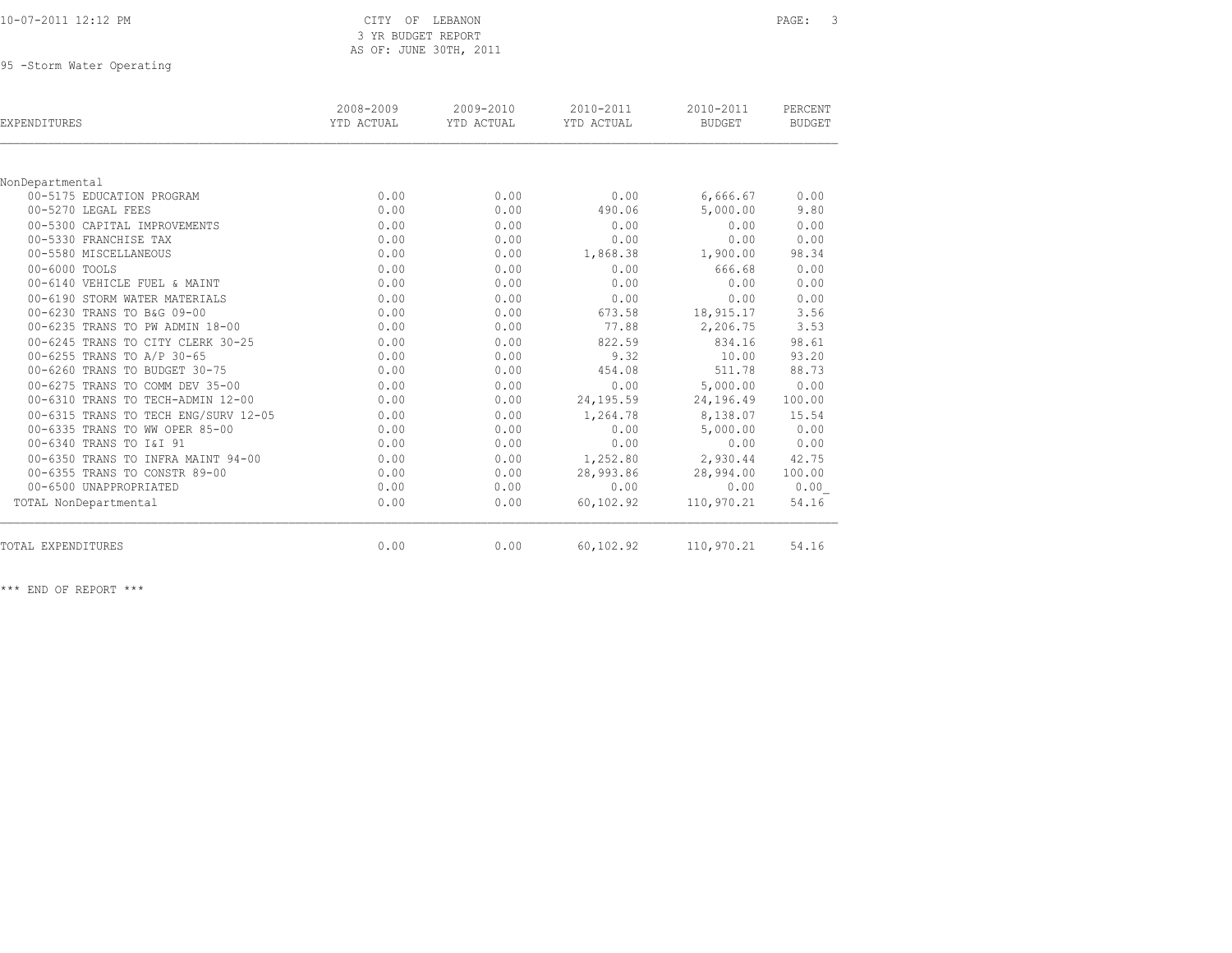## CITY OF LEBANON PAGE: 3 3 YR BUDGET REPORT AS OF: JUNE 30TH, 2011

95 -Storm Water Operating

| EXPENDITURES                         | 2008-2009<br>YTD ACTUAL | 2009-2010<br>YTD ACTUAL | 2010-2011<br>YTD ACTUAL | 2010-2011<br><b>BUDGET</b> | PERCENT<br><b>BUDGET</b> |
|--------------------------------------|-------------------------|-------------------------|-------------------------|----------------------------|--------------------------|
|                                      |                         |                         |                         |                            |                          |
| NonDepartmental                      |                         |                         |                         |                            |                          |
| 00-5175 EDUCATION PROGRAM            | 0.00                    | 0.00                    | 0.00                    | 6,666.67                   | 0.00                     |
| 00-5270 LEGAL FEES                   | 0.00                    | 0.00                    | 490.06                  | 5,000.00                   | 9.80                     |
| 00-5300 CAPITAL IMPROVEMENTS         | 0.00                    | 0.00                    | 0.00                    | 0.00                       | 0.00                     |
| 00-5330 FRANCHISE TAX                | 0.00                    | 0.00                    | 0.00                    | 0.00                       | 0.00                     |
| 00-5580 MISCELLANEOUS                | 0.00                    | 0.00                    | 1,868.38                | 1,900.00                   | 98.34                    |
| 00-6000 TOOLS                        | 0.00                    | 0.00                    | 0.00                    | 666.68                     | 0.00                     |
| 00-6140 VEHICLE FUEL & MAINT         | 0.00                    | 0.00                    | 0.00                    | 0.00                       | 0.00                     |
| 00-6190 STORM WATER MATERIALS        | 0.00                    | 0.00                    | 0.00                    | 0.00                       | 0.00                     |
| 00-6230 TRANS TO B&G 09-00           | 0.00                    | 0.00                    | 673.58                  | 18,915.17                  | 3.56                     |
| 00-6235 TRANS TO PW ADMIN 18-00      | 0.00                    | 0.00                    | 77.88                   | 2,206.75                   | 3.53                     |
| 00-6245 TRANS TO CITY CLERK 30-25    | 0.00                    | 0.00                    | 822.59                  | 834.16                     | 98.61                    |
| 00-6255 TRANS TO A/P 30-65           | 0.00                    | 0.00                    | 9.32                    | 10.00                      | 93.20                    |
| 00-6260 TRANS TO BUDGET 30-75        | 0.00                    | 0.00                    | 454.08                  | 511.78                     | 88.73                    |
| 00-6275 TRANS TO COMM DEV 35-00      | 0.00                    | 0.00                    | 0.00                    | 5,000.00                   | 0.00                     |
| 00-6310 TRANS TO TECH-ADMIN 12-00    | 0.00                    | 0.00                    | 24,195.59               | 24,196.49                  | 100.00                   |
| 00-6315 TRANS TO TECH ENG/SURV 12-05 | 0.00                    | 0.00                    | 1,264.78                | 8,138.07                   | 15.54                    |
| 00-6335 TRANS TO WW OPER 85-00       | 0.00                    | 0.00                    | 0.00                    | 5,000.00                   | 0.00                     |
| 00-6340 TRANS TO I&I 91              | 0.00                    | 0.00                    | 0.00                    | 0.00                       | 0.00                     |
| 00-6350 TRANS TO INFRA MAINT 94-00   | 0.00                    | 0.00                    | 1,252.80                | 2,930.44                   | 42.75                    |
| 00-6355 TRANS TO CONSTR 89-00        | 0.00                    | 0.00                    | 28,993.86               | 28,994.00                  | 100.00                   |
| 00-6500 UNAPPROPRIATED               | 0.00                    | 0.00                    | 0.00                    | 0.00                       | 0.00                     |
| TOTAL NonDepartmental                | 0.00                    | 0.00                    | 60,102.92               | 110,970.21                 | 54.16                    |
| TOTAL EXPENDITURES                   | 0.00                    | 0.00                    | 60,102.92               | 110,970.21                 | 54.16                    |

\*\*\* END OF REPORT \*\*\*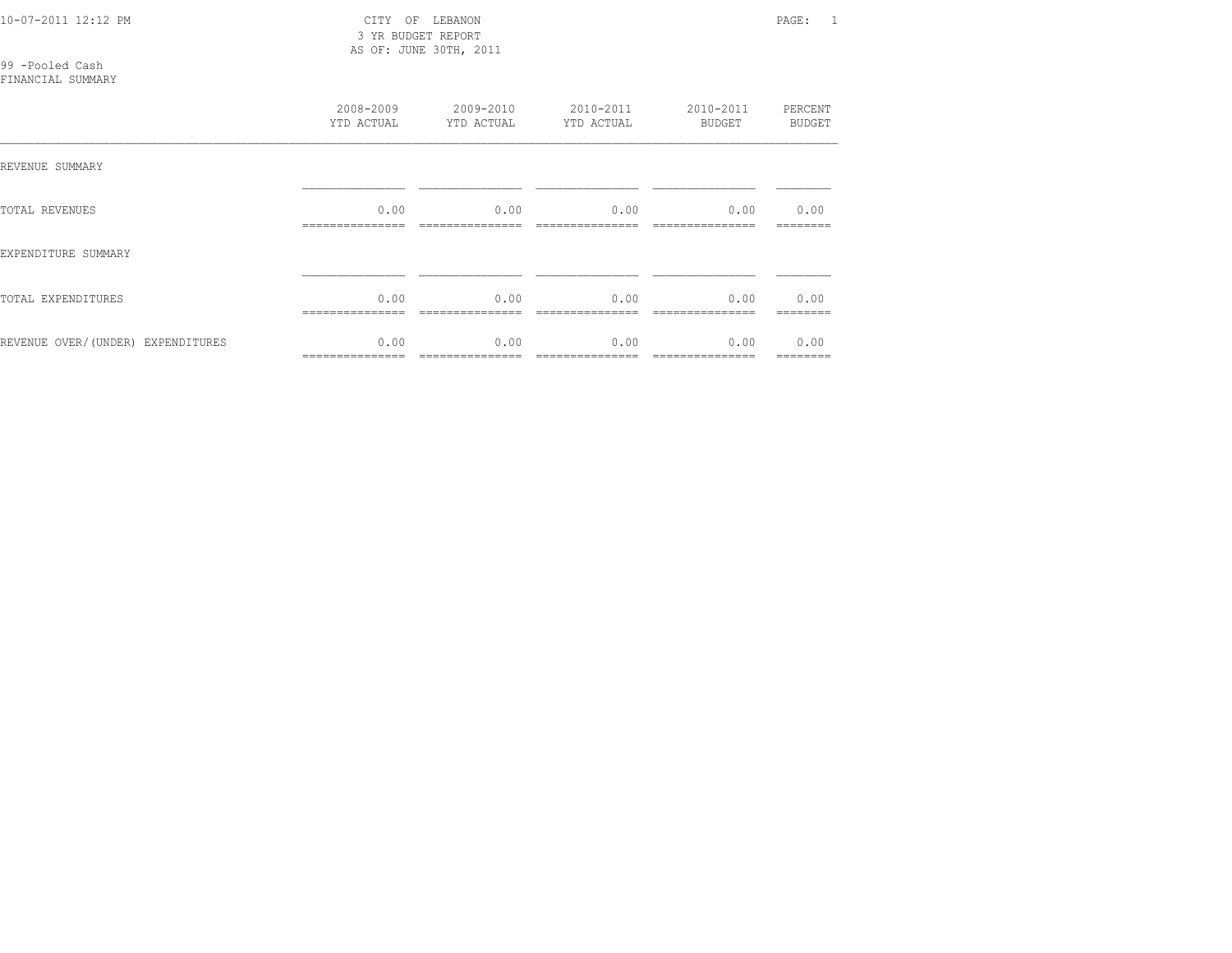| 10-07-2011 12:12 PM |  |
|---------------------|--|

 3 YR BUDGET REPORT AS OF: JUNE 30TH, 2011

CITY OF LEBANON **PAGE:** 1

99 -Pooled Cash

## FINANCIAL SUMMARY

|                                   | 2008-2009<br>YTD ACTUAL | 2009-2010<br>YTD ACTUAL | 2010-2011<br>YTD ACTUAL | 2010-2011<br>BUDGET | PERCENT<br>BUDGET |
|-----------------------------------|-------------------------|-------------------------|-------------------------|---------------------|-------------------|
| REVENUE SUMMARY                   |                         |                         |                         |                     |                   |
| TOTAL REVENUES                    | 0.00                    | 0.00                    | 0.00                    | 0.00                | 0.00              |
| EXPENDITURE SUMMARY               |                         |                         |                         |                     |                   |
| TOTAL EXPENDITURES                | 0.00<br>--------------- | 0.00                    | 0.00                    | 0.00                | 0.00<br>--------  |
| REVENUE OVER/(UNDER) EXPENDITURES | 0.00<br>=============== | 0.00                    | 0.00                    | 0.00                | 0.00<br>--------  |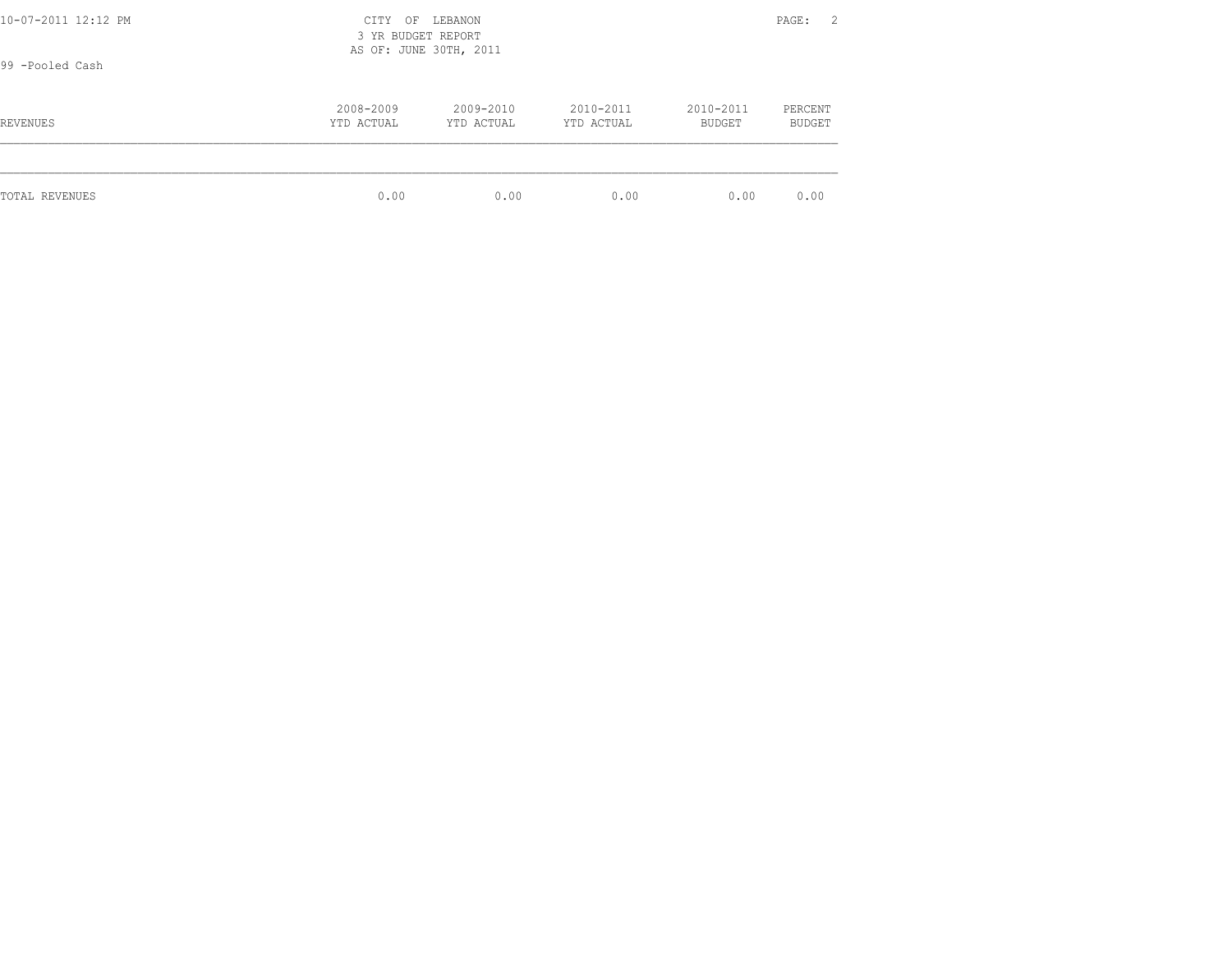| 10-07-2011 12:12 PM<br>CITY OF LEBANON<br>3 YR BUDGET REPORT<br>AS OF: JUNE 30TH, 2011<br>99 -Pooled Cash |                         |                         |                         |                     |                          |
|-----------------------------------------------------------------------------------------------------------|-------------------------|-------------------------|-------------------------|---------------------|--------------------------|
| REVENUES                                                                                                  | 2008-2009<br>YTD ACTUAL | 2009-2010<br>YTD ACTUAL | 2010-2011<br>YTD ACTUAL | 2010-2011<br>BUDGET | PERCENT<br><b>BUDGET</b> |
| TOTAL REVENUES                                                                                            | 0.00                    | 0.00                    | 0.00                    | 0.00                | 0.00                     |